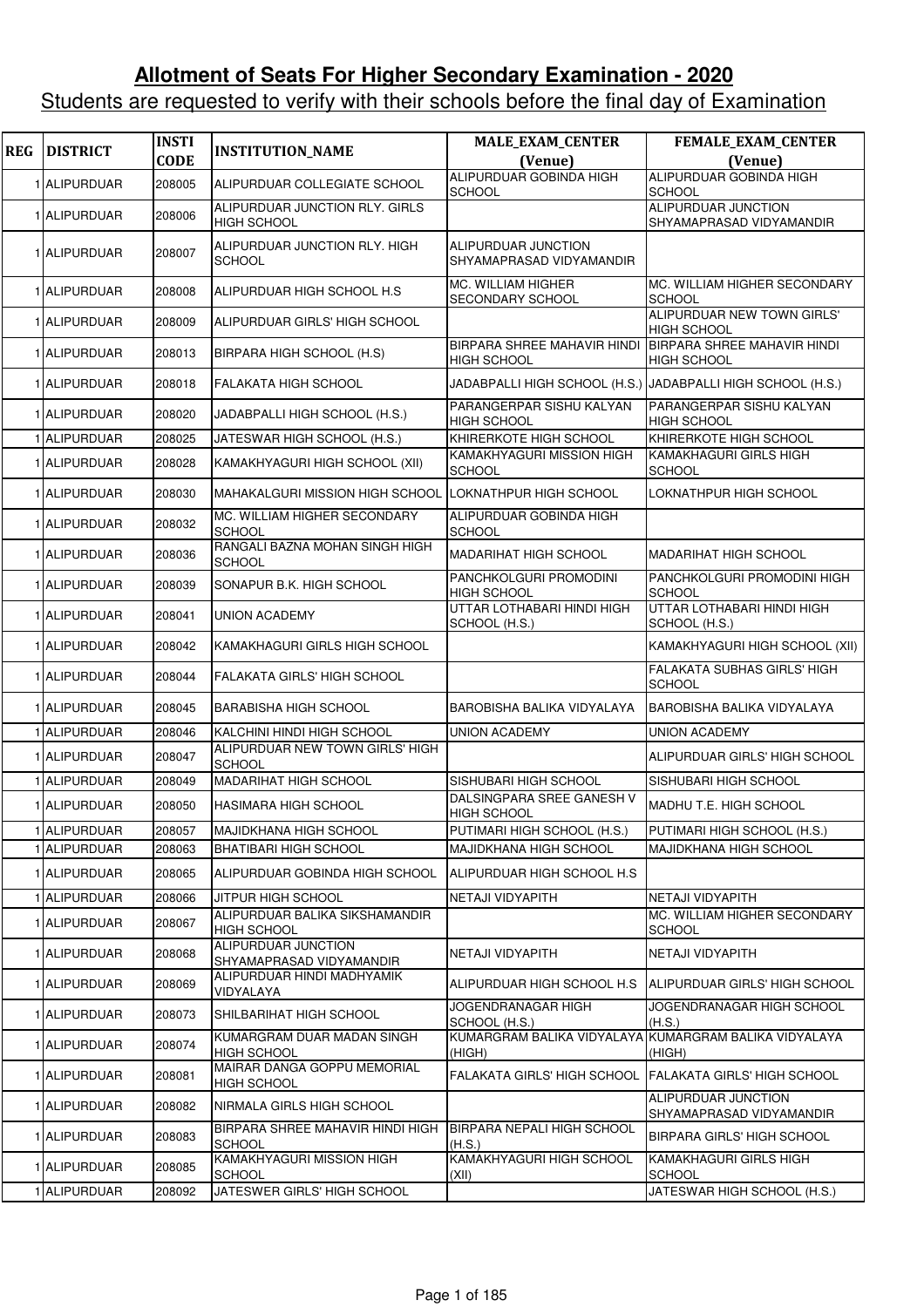## **Allotment of Seats For Higher Secondary Examination - 2020**

## Students are requested to verify with their schools before the final day of Examination

| <b>REG</b> | <b>DISTRICT</b> | <b>INSTI</b><br><b>CODE</b> | <b>INSTITUTION_NAME</b>                              | MALE_EXAM_CENTER<br>(Venue)                                 | FEMALE_EXAM_CENTER<br>(Venue)                                   |
|------------|-----------------|-----------------------------|------------------------------------------------------|-------------------------------------------------------------|-----------------------------------------------------------------|
|            | 1 ALIPURDUAR    | 208005                      | ALIPURDUAR COLLEGIATE SCHOOL                         | ALIPURDUAR GOBINDA HIGH<br><b>SCHOOL</b>                    | ALIPURDUAR GOBINDA HIGH<br><b>SCHOOL</b>                        |
|            | 1 ALIPURDUAR    | 208006                      | ALIPURDUAR JUNCTION RLY. GIRLS<br><b>HIGH SCHOOL</b> |                                                             | <b>ALIPURDUAR JUNCTION</b><br>SHYAMAPRASAD VIDYAMANDIR          |
|            | 1 ALIPURDUAR    | 208007                      | ALIPURDUAR JUNCTION RLY. HIGH<br><b>SCHOOL</b>       | ALIPURDUAR JUNCTION<br>SHYAMAPRASAD VIDYAMANDIR             |                                                                 |
|            | 1 ALIPURDUAR    | 208008                      | ALIPURDUAR HIGH SCHOOL H.S                           | MC. WILLIAM HIGHER<br><b>SECONDARY SCHOOL</b>               | MC. WILLIAM HIGHER SECONDARY<br><b>SCHOOL</b>                   |
|            | 1 ALIPURDUAR    | 208009                      | ALIPURDUAR GIRLS' HIGH SCHOOL                        |                                                             | ALIPURDUAR NEW TOWN GIRLS'<br><b>HIGH SCHOOL</b>                |
|            | 1 ALIPURDUAR    | 208013                      | BIRPARA HIGH SCHOOL (H.S)                            | <b>BIRPARA SHREE MAHAVIR HINDI</b><br><b>HIGH SCHOOL</b>    | BIRPARA SHREE MAHAVIR HINDI<br><b>HIGH SCHOOL</b>               |
|            | 1 ALIPURDUAR    | 208018                      | FALAKATA HIGH SCHOOL                                 | JADABPALLI HIGH SCHOOL (H.S.) JADABPALLI HIGH SCHOOL (H.S.) |                                                                 |
|            | 1 ALIPURDUAR    | 208020                      | JADABPALLI HIGH SCHOOL (H.S.)                        | PARANGERPAR SISHU KALYAN<br><b>HIGH SCHOOL</b>              | PARANGERPAR SISHU KALYAN<br><b>HIGH SCHOOL</b>                  |
|            | 1 ALIPURDUAR    | 208025                      | JATESWAR HIGH SCHOOL (H.S.)                          | KHIRERKOTE HIGH SCHOOL                                      | KHIRERKOTE HIGH SCHOOL                                          |
|            | 1 ALIPURDUAR    | 208028                      | KAMAKHYAGURI HIGH SCHOOL (XII)                       | KAMAKHYAGURI MISSION HIGH<br><b>SCHOOL</b>                  | KAMAKHAGURI GIRLS HIGH<br><b>SCHOOL</b>                         |
|            | 1 ALIPURDUAR    | 208030                      | MAHAKALGURI MISSION HIGH SCHOOL                      | LOKNATHPUR HIGH SCHOOL                                      | LOKNATHPUR HIGH SCHOOL                                          |
|            | 1 ALIPURDUAR    | 208032                      | MC. WILLIAM HIGHER SECONDARY<br><b>SCHOOL</b>        | ALIPURDUAR GOBINDA HIGH<br><b>SCHOOL</b>                    |                                                                 |
|            | 1 ALIPURDUAR    | 208036                      | RANGALI BAZNA MOHAN SINGH HIGH<br><b>SCHOOL</b>      | <b>MADARIHAT HIGH SCHOOL</b>                                | MADARIHAT HIGH SCHOOL                                           |
|            | 1 ALIPURDUAR    | 208039                      | SONAPUR B.K. HIGH SCHOOL                             | PANCHKOLGURI PROMODINI<br><b>HIGH SCHOOL</b>                | PANCHKOLGURI PROMODINI HIGH<br><b>SCHOOL</b>                    |
|            | 1 ALIPURDUAR    | 208041                      | <b>UNION ACADEMY</b>                                 | UTTAR LOTHABARI HINDI HIGH<br>SCHOOL (H.S.)                 | UTTAR LOTHABARI HINDI HIGH<br>SCHOOL (H.S.)                     |
|            | 1 ALIPURDUAR    | 208042                      | KAMAKHAGURI GIRLS HIGH SCHOOL                        |                                                             | KAMAKHYAGURI HIGH SCHOOL (XII)                                  |
|            | 1 ALIPURDUAR    | 208044                      | FALAKATA GIRLS' HIGH SCHOOL                          |                                                             | <b>FALAKATA SUBHAS GIRLS' HIGH</b><br><b>SCHOOL</b>             |
|            | 1 ALIPURDUAR    | 208045                      | <b>BARABISHA HIGH SCHOOL</b>                         | <b>BAROBISHA BALIKA VIDYALAYA</b>                           | <b>BAROBISHA BALIKA VIDYALAYA</b>                               |
|            | 1 ALIPURDUAR    | 208046                      | KALCHINI HINDI HIGH SCHOOL                           | <b>UNION ACADEMY</b>                                        | <b>UNION ACADEMY</b>                                            |
|            | 1 ALIPURDUAR    | 208047                      | ALIPURDUAR NEW TOWN GIRLS' HIGH<br><b>SCHOOL</b>     |                                                             | ALIPURDUAR GIRLS' HIGH SCHOOL                                   |
|            | 1 ALIPURDUAR    | 208049                      | MADARIHAT HIGH SCHOOL                                | SISHUBARI HIGH SCHOOL                                       | SISHUBARI HIGH SCHOOL                                           |
|            | 1 ALIPURDUAR    | 208050                      | <b>HASIMARA HIGH SCHOOL</b>                          | DALSINGPARA SREE GANESH V<br><b>HIGH SCHOOL</b>             | MADHU T.E. HIGH SCHOOL                                          |
|            | 1 ALIPURDUAR    | 208057                      | MAJIDKHANA HIGH SCHOOL                               | PUTIMARI HIGH SCHOOL (H.S.)                                 | PUTIMARI HIGH SCHOOL (H.S.)                                     |
|            | 1 ALIPURDUAR    | 208063                      | <b>BHATIBARI HIGH SCHOOL</b>                         | <b>MAJIDKHANA HIGH SCHOOL</b>                               | <b>MAJIDKHANA HIGH SCHOOL</b>                                   |
|            | 1 ALIPURDUAR    | 208065                      | ALIPURDUAR GOBINDA HIGH SCHOOL                       | IALIPURDUAR HIGH SCHOOL H.S                                 |                                                                 |
|            | 1 ALIPURDUAR    | 208066                      | JITPUR HIGH SCHOOL                                   | NETAJI VIDYAPITH                                            | <b>NETAJI VIDYAPITH</b>                                         |
|            | 1 ALIPURDUAR    | 208067                      | ALIPURDUAR BALIKA SIKSHAMANDIR<br><b>HIGH SCHOOL</b> |                                                             | MC. WILLIAM HIGHER SECONDARY<br><b>SCHOOL</b>                   |
|            | 1 ALIPURDUAR    | 208068                      | ALIPURDUAR JUNCTION<br>SHYAMAPRASAD VIDYAMANDIR      | NETAJI VIDYAPITH                                            | NETAJI VIDYAPITH                                                |
|            | 1 ALIPURDUAR    | 208069                      | ALIPURDUAR HINDI MADHYAMIK<br>VIDYALAYA              | ALIPURDUAR HIGH SCHOOL H.S                                  | ALIPURDUAR GIRLS' HIGH SCHOOL                                   |
|            | 1 ALIPURDUAR    | 208073                      | SHILBARIHAT HIGH SCHOOL                              | JOGENDRANAGAR HIGH<br>SCHOOL (H.S.)                         | JOGENDRANAGAR HIGH SCHOOL<br>(H.S.)                             |
|            | 1 ALIPURDUAR    | 208074                      | KUMARGRAM DUAR MADAN SINGH<br><b>HIGH SCHOOL</b>     | (HIGH)                                                      | KUMARGRAM BALIKA VIDYALAYA KUMARGRAM BALIKA VIDYALAYA<br>(HIGH) |
|            | 1 ALIPURDUAR    | 208081                      | MAIRAR DANGA GOPPU MEMORIAL<br>HIGH SCHOOL           | FALAKATA GIRLS' HIGH SCHOOL FALAKATA GIRLS' HIGH SCHOOL     |                                                                 |
|            | 1 ALIPURDUAR    | 208082                      | NIRMALA GIRLS HIGH SCHOOL                            |                                                             | ALIPURDUAR JUNCTION<br>SHYAMAPRASAD VIDYAMANDIR                 |
|            | 1 ALIPURDUAR    | 208083                      | BIRPARA SHREE MAHAVIR HINDI HIGH<br>SCHOOL           | <b>BIRPARA NEPALI HIGH SCHOOL</b><br>(H.S.)                 | <b>BIRPARA GIRLS' HIGH SCHOOL</b>                               |
|            | 1 ALIPURDUAR    | 208085                      | KAMAKHYAGURI MISSION HIGH<br><b>SCHOOL</b>           | KAMAKHYAGURI HIGH SCHOOL<br>(XII)                           | KAMAKHAGURI GIRLS HIGH<br><b>SCHOOL</b>                         |
|            | 1 ALIPURDUAR    | 208092                      | JATESWER GIRLS' HIGH SCHOOL                          |                                                             | JATESWAR HIGH SCHOOL (H.S.)                                     |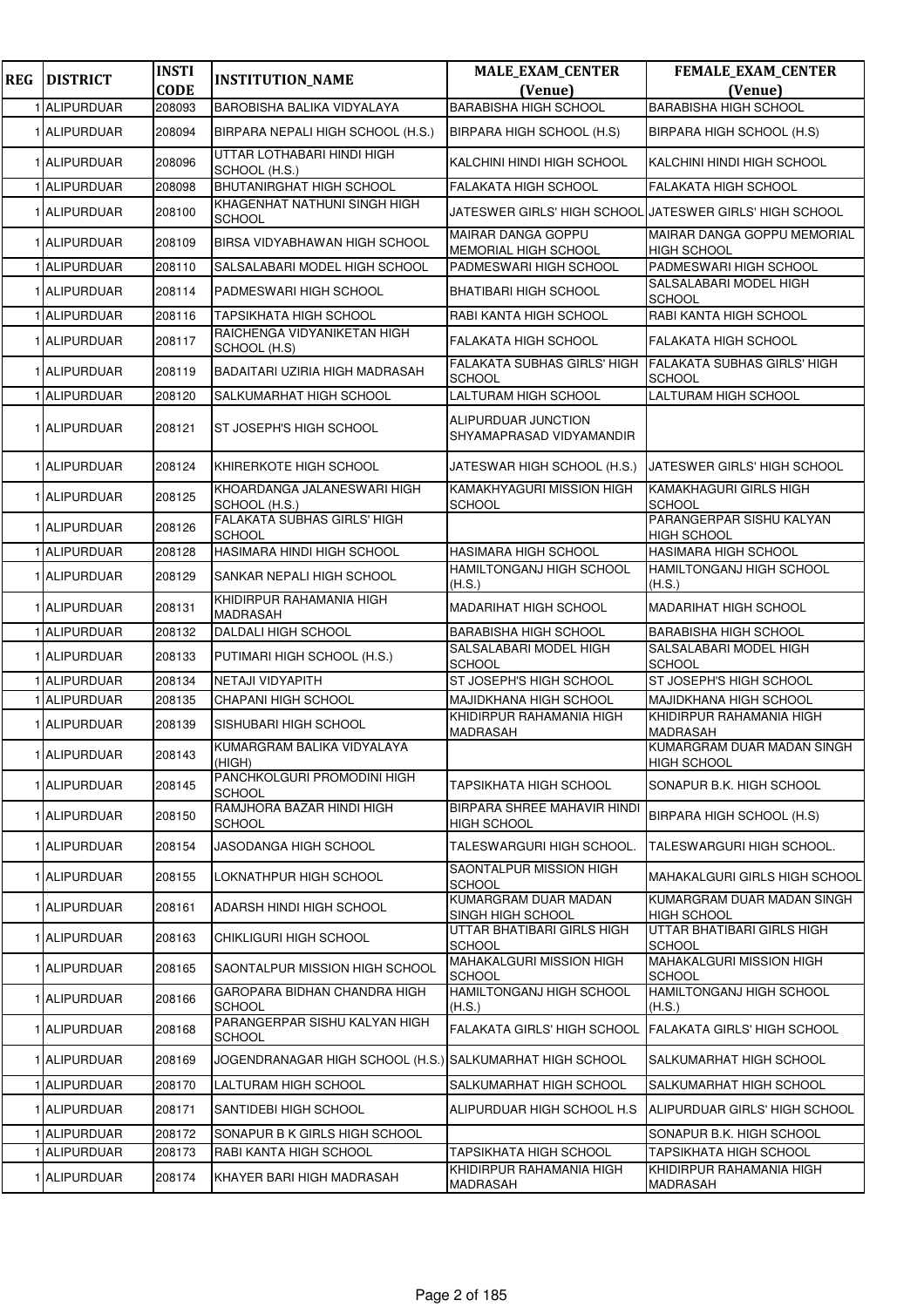| <b>REG</b> | <b>DISTRICT</b>   | <b>INSTI</b><br><b>CODE</b> | <b>INSTITUTION_NAME</b>                                   | <b>MALE_EXAM_CENTER</b><br>(Venue)                  | <b>FEMALE_EXAM_CENTER</b><br>(Venue)                    |
|------------|-------------------|-----------------------------|-----------------------------------------------------------|-----------------------------------------------------|---------------------------------------------------------|
|            | <b>ALIPURDUAR</b> | 208093                      | BAROBISHA BALIKA VIDYALAYA                                | <b>BARABISHA HIGH SCHOOL</b>                        | <b>BARABISHA HIGH SCHOOL</b>                            |
|            | 1 ALIPURDUAR      | 208094                      | BIRPARA NEPALI HIGH SCHOOL (H.S.)                         | BIRPARA HIGH SCHOOL (H.S)                           | BIRPARA HIGH SCHOOL (H.S)                               |
|            | 1 ALIPURDUAR      | 208096                      | UTTAR LOTHABARI HINDI HIGH<br>SCHOOL (H.S.)               | KALCHINI HINDI HIGH SCHOOL                          | KALCHINI HINDI HIGH SCHOOL                              |
|            | 1 ALIPURDUAR      | 208098                      | BHUTANIRGHAT HIGH SCHOOL                                  | FALAKATA HIGH SCHOOL                                | <b>FALAKATA HIGH SCHOOL</b>                             |
|            | 1 ALIPURDUAR      | 208100                      | KHAGENHAT NATHUNI SINGH HIGH<br><b>SCHOOL</b>             |                                                     | JATESWER GIRLS' HIGH SCHOOL JATESWER GIRLS' HIGH SCHOOL |
|            | 1 ALIPURDUAR      | 208109                      | BIRSA VIDYABHAWAN HIGH SCHOOL                             | MAIRAR DANGA GOPPU<br><b>MEMORIAL HIGH SCHOOL</b>   | MAIRAR DANGA GOPPU MEMORIAL<br><b>HIGH SCHOOL</b>       |
|            | 1 ALIPURDUAR      | 208110                      | SALSALABARI MODEL HIGH SCHOOL                             | PADMESWARI HIGH SCHOOL                              | PADMESWARI HIGH SCHOOL                                  |
|            | 1 ALIPURDUAR      | 208114                      | PADMESWARI HIGH SCHOOL                                    | <b>BHATIBARI HIGH SCHOOL</b>                        | SALSALABARI MODEL HIGH<br><b>SCHOOL</b>                 |
|            | 1 ALIPURDUAR      | 208116                      | <b>TAPSIKHATA HIGH SCHOOL</b>                             | RABI KANTA HIGH SCHOOL                              | RABI KANTA HIGH SCHOOL                                  |
|            | 1 ALIPURDUAR      | 208117                      | RAICHENGA VIDYANIKETAN HIGH<br>SCHOOL (H.S)               | FALAKATA HIGH SCHOOL                                | <b>FALAKATA HIGH SCHOOL</b>                             |
|            | 1 ALIPURDUAR      | 208119                      | BADAITARI UZIRIA HIGH MADRASAH                            | <b>FALAKATA SUBHAS GIRLS' HIGH</b><br><b>SCHOOL</b> | <b>FALAKATA SUBHAS GIRLS' HIGH</b><br><b>SCHOOL</b>     |
|            | 1 ALIPURDUAR      | 208120                      | SALKUMARHAT HIGH SCHOOL                                   | LALTURAM HIGH SCHOOL                                | LALTURAM HIGH SCHOOL                                    |
|            | 1 ALIPURDUAR      | 208121                      | ST JOSEPH'S HIGH SCHOOL                                   | ALIPURDUAR JUNCTION<br>SHYAMAPRASAD VIDYAMANDIR     |                                                         |
|            | 1 ALIPURDUAR      | 208124                      | KHIRERKOTE HIGH SCHOOL                                    | JATESWAR HIGH SCHOOL (H.S.)                         | JATESWER GIRLS' HIGH SCHOOL                             |
|            | 1 ALIPURDUAR      | 208125                      | KHOARDANGA JALANESWARI HIGH<br>SCHOOL (H.S.)              | KAMAKHYAGURI MISSION HIGH<br>SCHOOL                 | <b>KAMAKHAGURI GIRLS HIGH</b><br><b>SCHOOL</b>          |
|            | 1 ALIPURDUAR      | 208126                      | <b>FALAKATA SUBHAS GIRLS' HIGH</b><br><b>SCHOOL</b>       |                                                     | PARANGERPAR SISHU KALYAN<br><b>HIGH SCHOOL</b>          |
|            | 1 ALIPURDUAR      | 208128                      | HASIMARA HINDI HIGH SCHOOL                                | HASIMARA HIGH SCHOOL                                | HASIMARA HIGH SCHOOL                                    |
|            | 1 ALIPURDUAR      | 208129                      | SANKAR NEPALI HIGH SCHOOL                                 | HAMILTONGANJ HIGH SCHOOL<br>(H.S.)                  | HAMILTONGANJ HIGH SCHOOL<br>(H.S.)                      |
|            | 1 ALIPURDUAR      | 208131                      | KHIDIRPUR RAHAMANIA HIGH<br><b>MADRASAH</b>               | MADARIHAT HIGH SCHOOL                               | <b>MADARIHAT HIGH SCHOOL</b>                            |
|            | 1 ALIPURDUAR      | 208132                      | <b>DALDALI HIGH SCHOOL</b>                                | BARABISHA HIGH SCHOOL                               | <b>BARABISHA HIGH SCHOOL</b>                            |
|            | 1 ALIPURDUAR      | 208133                      | PUTIMARI HIGH SCHOOL (H.S.)                               | SALSALABARI MODEL HIGH<br>SCHOOL                    | SALSALABARI MODEL HIGH<br><b>SCHOOL</b>                 |
|            | 1 ALIPURDUAR      | 208134                      | <b>NETAJI VIDYAPITH</b>                                   | ST JOSEPH'S HIGH SCHOOL                             | ST JOSEPH'S HIGH SCHOOL                                 |
|            | 1 ALIPURDUAR      | 208135                      | CHAPANI HIGH SCHOOL                                       | MAJIDKHANA HIGH SCHOOL<br>KHIDIRPUR RAHAMANIA HIGH  | MAJIDKHANA HIGH SCHOOL<br>KHIDIRPUR RAHAMANIA HIGH      |
|            | 1 ALIPURDUAR      | 208139                      | SISHUBARI HIGH SCHOOL<br>KUMARGRAM BALIKA VIDYALAYA       | MADRASAH                                            | <b>MADRASAH</b>                                         |
|            | 1 ALIPURDUAR      | 208143                      | (HIGH)                                                    |                                                     | KUMARGRAM DUAR MADAN SINGH<br><b>HIGH SCHOOL</b>        |
|            | 1 ALIPURDUAR      | 208145                      | PANCHKOLGURI PROMODINI HIGH<br><b>SCHOOL</b>              | TAPSIKHATA HIGH SCHOOL                              | SONAPUR B.K. HIGH SCHOOL                                |
|            | 1 ALIPURDUAR      | 208150                      | RAMJHORA BAZAR HINDI HIGH<br><b>SCHOOL</b>                | BIRPARA SHREE MAHAVIR HINDI<br><b>HIGH SCHOOL</b>   | BIRPARA HIGH SCHOOL (H.S)                               |
|            | 1 ALIPURDUAR      | 208154                      | JASODANGA HIGH SCHOOL                                     | TALESWARGURI HIGH SCHOOL.                           | TALESWARGURI HIGH SCHOOL.                               |
|            | 1 ALIPURDUAR      | 208155                      | LOKNATHPUR HIGH SCHOOL                                    | SAONTALPUR MISSION HIGH<br>SCHOOL                   | MAHAKALGURI GIRLS HIGH SCHOOL                           |
|            | 1 ALIPURDUAR      | 208161                      | ADARSH HINDI HIGH SCHOOL                                  | KUMARGRAM DUAR MADAN<br>SINGH HIGH SCHOOL           | KUMARGRAM DUAR MADAN SINGH<br>HIGH SCHOOL               |
|            | 1 ALIPURDUAR      | 208163                      | CHIKLIGURI HIGH SCHOOL                                    | UTTAR BHATIBARI GIRLS HIGH<br>SCHOOL                | UTTAR BHATIBARI GIRLS HIGH<br><b>SCHOOL</b>             |
|            | 1 ALIPURDUAR      | 208165                      | SAONTALPUR MISSION HIGH SCHOOL                            | MAHAKALGURI MISSION HIGH<br><b>SCHOOL</b>           | MAHAKALGURI MISSION HIGH<br><b>SCHOOL</b>               |
|            | 1 ALIPURDUAR      | 208166                      | GAROPARA BIDHAN CHANDRA HIGH<br><b>SCHOOL</b>             | HAMILTONGANJ HIGH SCHOOL<br>(H.S.)                  | HAMILTONGANJ HIGH SCHOOL<br>(H.S.)                      |
|            | 1 ALIPURDUAR      | 208168                      | PARANGERPAR SISHU KALYAN HIGH<br><b>SCHOOL</b>            | FALAKATA GIRLS' HIGH SCHOOL                         | FALAKATA GIRLS' HIGH SCHOOL                             |
|            | 1 ALIPURDUAR      | 208169                      | JOGENDRANAGAR HIGH SCHOOL (H.S.) ISALKUMARHAT HIGH SCHOOL |                                                     | SALKUMARHAT HIGH SCHOOL                                 |
|            | 1 ALIPURDUAR      | 208170                      | LALTURAM HIGH SCHOOL                                      | SALKUMARHAT HIGH SCHOOL                             | SALKUMARHAT HIGH SCHOOL                                 |
|            | 1 ALIPURDUAR      | 208171                      | SANTIDEBI HIGH SCHOOL                                     | ALIPURDUAR HIGH SCHOOL H.S                          | ALIPURDUAR GIRLS' HIGH SCHOOL                           |
|            | 1 ALIPURDUAR      | 208172                      | SONAPUR B K GIRLS HIGH SCHOOL                             |                                                     | SONAPUR B.K. HIGH SCHOOL                                |
|            | 1 ALIPURDUAR      | 208173                      | RABI KANTA HIGH SCHOOL                                    | TAPSIKHATA HIGH SCHOOL<br>KHIDIRPUR RAHAMANIA HIGH  | TAPSIKHATA HIGH SCHOOL<br>KHIDIRPUR RAHAMANIA HIGH      |
|            | 1 ALIPURDUAR      | 208174                      | KHAYER BARI HIGH MADRASAH                                 | MADRASAH                                            | MADRASAH                                                |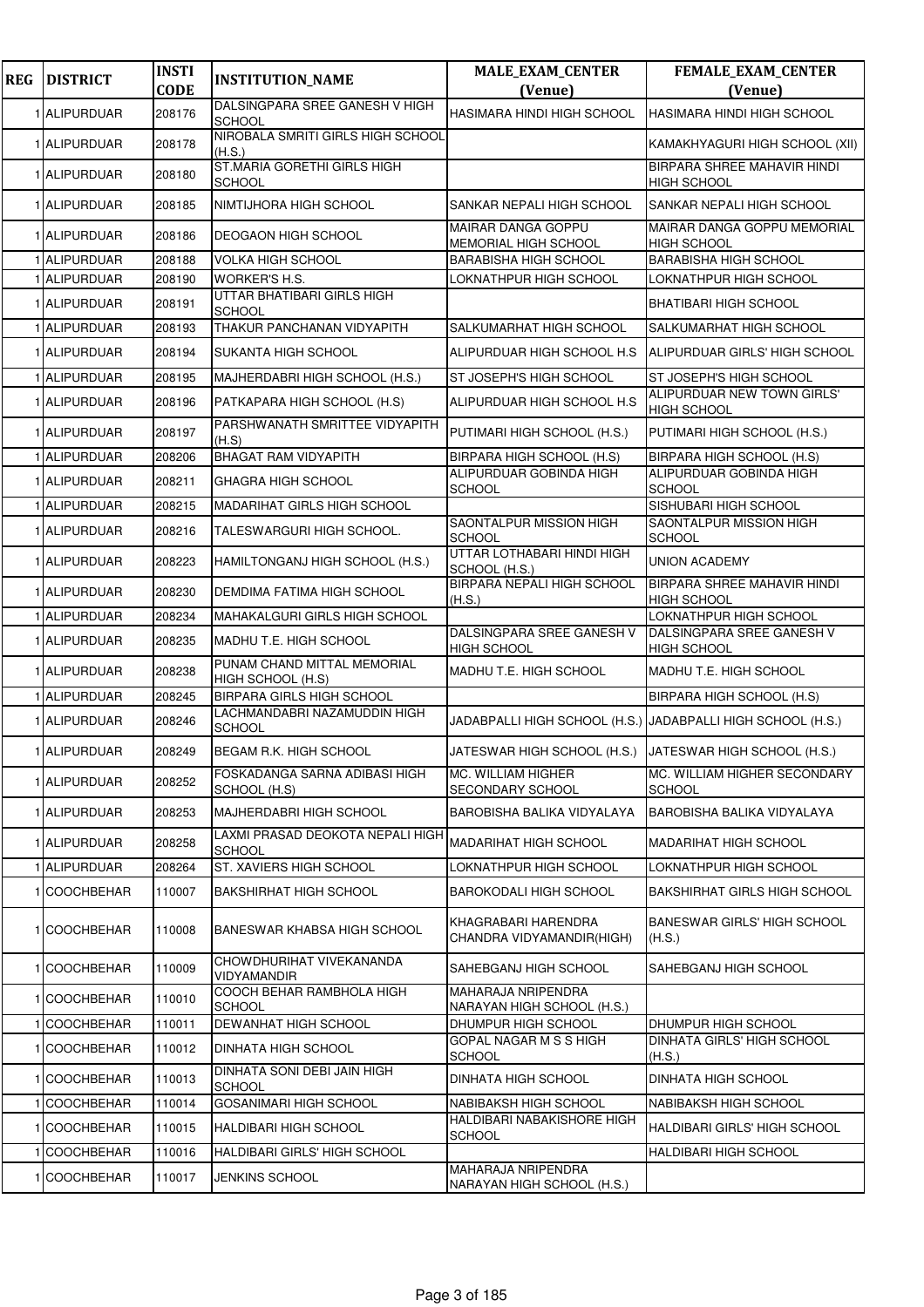| <b>REG</b> | <b>DISTRICT</b>   | <b>INSTI</b><br><b>CODE</b> | <b>INSTITUTION_NAME</b>                           | <b>MALE_EXAM_CENTER</b><br>(Venue)                      | <b>FEMALE_EXAM_CENTER</b><br>(Venue)                        |
|------------|-------------------|-----------------------------|---------------------------------------------------|---------------------------------------------------------|-------------------------------------------------------------|
|            | 1 ALIPURDUAR      | 208176                      | DALSINGPARA SREE GANESH V HIGH<br><b>SCHOOL</b>   | HASIMARA HINDI HIGH SCHOOL                              | HASIMARA HINDI HIGH SCHOOL                                  |
|            | 1 ALIPURDUAR      | 208178                      | NIROBALA SMRITI GIRLS HIGH SCHOOL<br>(H.S.)       |                                                         | KAMAKHYAGURI HIGH SCHOOL (XII)                              |
|            | 1 ALIPURDUAR      | 208180                      | ST.MARIA GORETHI GIRLS HIGH<br><b>SCHOOL</b>      |                                                         | BIRPARA SHREE MAHAVIR HINDI<br><b>HIGH SCHOOL</b>           |
|            | 1 ALIPURDUAR      | 208185                      | NIMTIJHORA HIGH SCHOOL                            | SANKAR NEPALI HIGH SCHOOL                               | SANKAR NEPALI HIGH SCHOOL                                   |
|            | 1 ALIPURDUAR      | 208186                      | <b>DEOGAON HIGH SCHOOL</b>                        | <b>MAIRAR DANGA GOPPU</b><br>MEMORIAL HIGH SCHOOL       | MAIRAR DANGA GOPPU MEMORIAL<br><b>HIGH SCHOOL</b>           |
|            | 1 ALIPURDUAR      | 208188                      | <b>VOLKA HIGH SCHOOL</b>                          | <b>BARABISHA HIGH SCHOOL</b>                            | <b>BARABISHA HIGH SCHOOL</b>                                |
|            | 1 ALIPURDUAR      | 208190                      | WORKER'S H.S.                                     | LOKNATHPUR HIGH SCHOOL                                  | LOKNATHPUR HIGH SCHOOL                                      |
|            | 1 ALIPURDUAR      | 208191                      | UTTAR BHATIBARI GIRLS HIGH<br><b>SCHOOL</b>       |                                                         | BHATIBARI HIGH SCHOOL                                       |
|            | 1 ALIPURDUAR      | 208193                      | THAKUR PANCHANAN VIDYAPITH                        | SALKUMARHAT HIGH SCHOOL                                 | SALKUMARHAT HIGH SCHOOL                                     |
|            | 1 ALIPURDUAR      | 208194                      | SUKANTA HIGH SCHOOL                               | ALIPURDUAR HIGH SCHOOL H.S                              | ALIPURDUAR GIRLS' HIGH SCHOOL                               |
|            | 1 ALIPURDUAR      | 208195                      | MAJHERDABRI HIGH SCHOOL (H.S.)                    | ST JOSEPH'S HIGH SCHOOL                                 | ST JOSEPH'S HIGH SCHOOL                                     |
|            | 1 ALIPURDUAR      | 208196                      | PATKAPARA HIGH SCHOOL (H.S)                       | ALIPURDUAR HIGH SCHOOL H.S                              | ALIPURDUAR NEW TOWN GIRLS'<br><b>HIGH SCHOOL</b>            |
|            | 1 ALIPURDUAR      | 208197                      | PARSHWANATH SMRITTEE VIDYAPITH<br>(H.S)           | PUTIMARI HIGH SCHOOL (H.S.)                             | PUTIMARI HIGH SCHOOL (H.S.)                                 |
|            | 1 ALIPURDUAR      | 208206                      | <b>BHAGAT RAM VIDYAPITH</b>                       | BIRPARA HIGH SCHOOL (H.S)                               | BIRPARA HIGH SCHOOL (H.S)                                   |
|            | 1 ALIPURDUAR      | 208211                      | <b>GHAGRA HIGH SCHOOL</b>                         | ALIPURDUAR GOBINDA HIGH<br><b>SCHOOL</b>                | ALIPURDUAR GOBINDA HIGH<br><b>SCHOOL</b>                    |
|            | 1 ALIPURDUAR      | 208215                      | MADARIHAT GIRLS HIGH SCHOOL                       |                                                         | SISHUBARI HIGH SCHOOL                                       |
|            | 1 ALIPURDUAR      | 208216                      | TALESWARGURI HIGH SCHOOL.                         | SAONTALPUR MISSION HIGH<br><b>SCHOOL</b>                | SAONTALPUR MISSION HIGH<br><b>SCHOOL</b>                    |
|            | 1 ALIPURDUAR      | 208223                      | HAMILTONGANJ HIGH SCHOOL (H.S.)                   | UTTAR LOTHABARI HINDI HIGH<br>SCHOOL (H.S.)             | <b>UNION ACADEMY</b>                                        |
|            | 1 ALIPURDUAR      | 208230                      | DEMDIMA FATIMA HIGH SCHOOL                        | <b>BIRPARA NEPALI HIGH SCHOOL</b><br>(H.S.)             | BIRPARA SHREE MAHAVIR HINDI<br><b>HIGH SCHOOL</b>           |
|            | 1 ALIPURDUAR      | 208234                      | MAHAKALGURI GIRLS HIGH SCHOOL                     |                                                         | LOKNATHPUR HIGH SCHOOL                                      |
|            | 1 ALIPURDUAR      | 208235                      | MADHU T.E. HIGH SCHOOL                            | DALSINGPARA SREE GANESH V<br><b>HIGH SCHOOL</b>         | DALSINGPARA SREE GANESH V<br><b>HIGH SCHOOL</b>             |
|            | 1 ALIPURDUAR      | 208238                      | PUNAM CHAND MITTAL MEMORIAL<br>HIGH SCHOOL (H.S)  | MADHU T.E. HIGH SCHOOL                                  | MADHU T.E. HIGH SCHOOL                                      |
|            | 1 ALIPURDUAR      | 208245                      | <b>BIRPARA GIRLS HIGH SCHOOL</b>                  |                                                         | BIRPARA HIGH SCHOOL (H.S)                                   |
|            | 1 ALIPURDUAR      | 208246                      | LACHMANDABRI NAZAMUDDIN HIGH<br><b>SCHOOL</b>     |                                                         | JADABPALLI HIGH SCHOOL (H.S.) JADABPALLI HIGH SCHOOL (H.S.) |
|            | 1 ALIPURDUAR      | 208249                      | BEGAM R.K. HIGH SCHOOL                            | JATESWAR HIGH SCHOOL (H.S.) JATESWAR HIGH SCHOOL (H.S.) |                                                             |
|            | 1 ALIPURDUAR      | 208252                      | FOSKADANGA SARNA ADIBASI HIGH<br>SCHOOL (H.S)     | <b>MC. WILLIAM HIGHER</b><br><b>SECONDARY SCHOOL</b>    | MC. WILLIAM HIGHER SECONDARY<br><b>SCHOOL</b>               |
|            | 1 ALIPURDUAR      | 208253                      | MAJHERDABRI HIGH SCHOOL                           | BAROBISHA BALIKA VIDYALAYA                              | <b>BAROBISHA BALIKA VIDYALAYA</b>                           |
|            | 1 ALIPURDUAR      | 208258                      | LAXMI PRASAD DEOKOTA NEPALI HIGH<br><b>SCHOOL</b> | <b>MADARIHAT HIGH SCHOOL</b>                            | MADARIHAT HIGH SCHOOL                                       |
|            | 1 ALIPURDUAR      | 208264                      | ST. XAVIERS HIGH SCHOOL                           | LOKNATHPUR HIGH SCHOOL                                  | LOKNATHPUR HIGH SCHOOL                                      |
|            | 1 COOCHBEHAR      | 110007                      | <b>BAKSHIRHAT HIGH SCHOOL</b>                     | <b>BAROKODALI HIGH SCHOOL</b>                           | <b>BAKSHIRHAT GIRLS HIGH SCHOOL</b>                         |
|            | 1 COOCHBEHAR      | 110008                      | BANESWAR KHABSA HIGH SCHOOL                       | KHAGRABARI HARENDRA<br>CHANDRA VIDYAMANDIR(HIGH)        | <b>BANESWAR GIRLS' HIGH SCHOOL</b><br>(H.S.)                |
|            | 1 COOCHBEHAR      | 110009                      | CHOWDHURIHAT VIVEKANANDA<br><b>VIDYAMANDIR</b>    | SAHEBGANJ HIGH SCHOOL                                   | SAHEBGANJ HIGH SCHOOL                                       |
|            | 1 COOCHBEHAR      | 110010                      | COOCH BEHAR RAMBHOLA HIGH<br><b>SCHOOL</b>        | MAHARAJA NRIPENDRA<br>NARAYAN HIGH SCHOOL (H.S.)        |                                                             |
|            | <b>COOCHBEHAR</b> | 110011                      | DEWANHAT HIGH SCHOOL                              | DHUMPUR HIGH SCHOOL                                     | DHUMPUR HIGH SCHOOL                                         |
|            | 1 COOCHBEHAR      | 110012                      | DINHATA HIGH SCHOOL                               | GOPAL NAGAR M S S HIGH<br><b>SCHOOL</b>                 | DINHATA GIRLS' HIGH SCHOOL<br>(H.S.)                        |
|            | 1 COOCHBEHAR      | 110013                      | DINHATA SONI DEBI JAIN HIGH<br><b>SCHOOL</b>      | <b>DINHATA HIGH SCHOOL</b>                              | <b>DINHATA HIGH SCHOOL</b>                                  |
|            | 1 COOCHBEHAR      | 110014                      | <b>GOSANIMARI HIGH SCHOOL</b>                     | NABIBAKSH HIGH SCHOOL                                   | NABIBAKSH HIGH SCHOOL                                       |
|            | 1 COOCHBEHAR      | 110015                      | HALDIBARI HIGH SCHOOL                             | HALDIBARI NABAKISHORE HIGH<br><b>SCHOOL</b>             | HALDIBARI GIRLS' HIGH SCHOOL                                |
|            | <b>COOCHBEHAR</b> | 110016                      | HALDIBARI GIRLS' HIGH SCHOOL                      |                                                         | HALDIBARI HIGH SCHOOL                                       |
|            | 1 COOCHBEHAR      | 110017                      | JENKINS SCHOOL                                    | MAHARAJA NRIPENDRA<br>NARAYAN HIGH SCHOOL (H.S.)        |                                                             |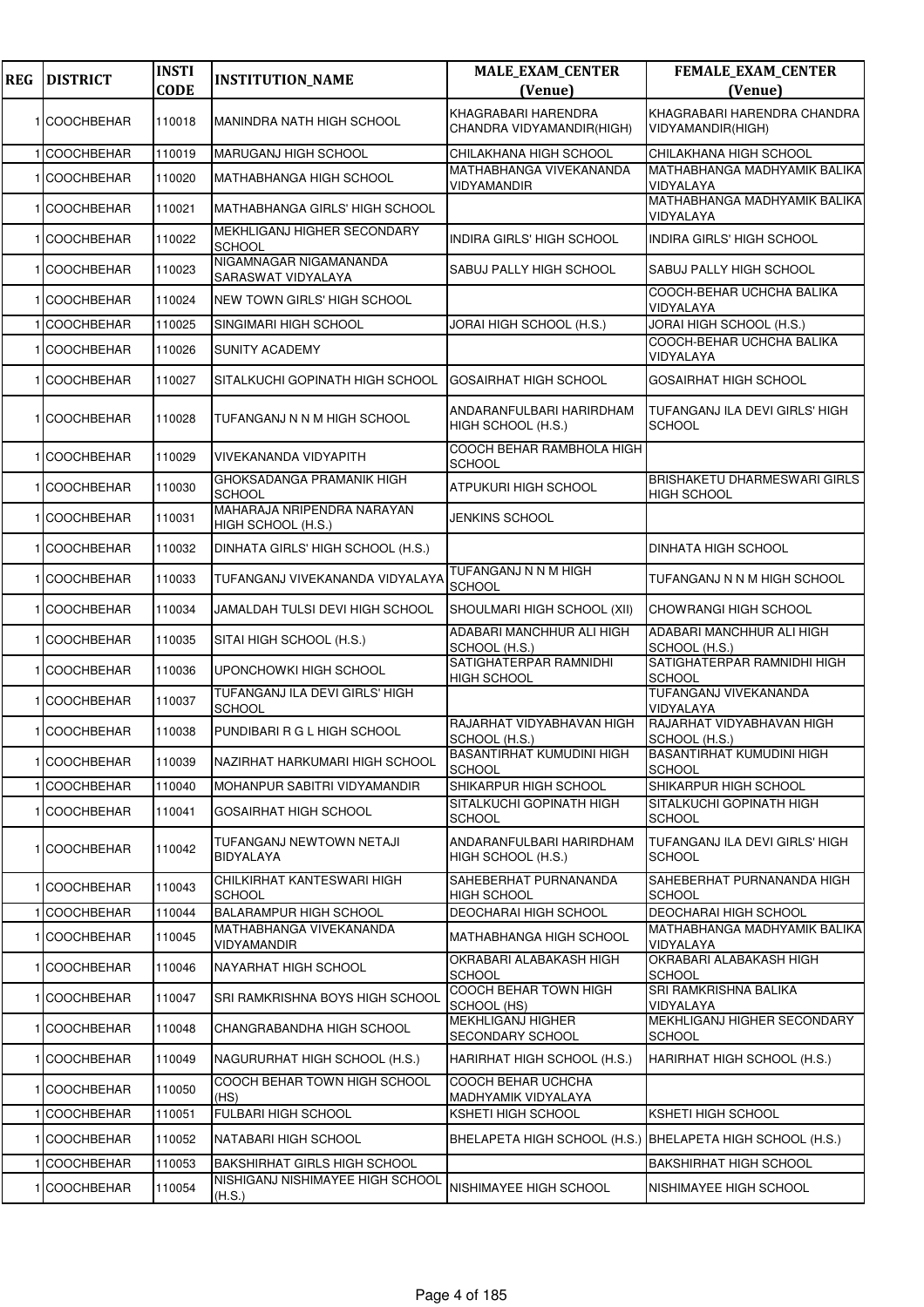| <b>REG</b> | <b>DISTRICT</b>   | <b>INSTI</b><br><b>CODE</b> | <b>INSTITUTION_NAME</b>                          | <b>MALE_EXAM_CENTER</b><br>(Venue)                        | FEMALE_EXAM_CENTER<br>(Venue)                             |
|------------|-------------------|-----------------------------|--------------------------------------------------|-----------------------------------------------------------|-----------------------------------------------------------|
|            |                   |                             |                                                  |                                                           |                                                           |
|            | 1 COOCHBEHAR      | 110018                      | MANINDRA NATH HIGH SCHOOL                        | KHAGRABARI HARENDRA<br>CHANDRA VIDYAMANDIR(HIGH)          | KHAGRABARI HARENDRA CHANDRA<br>VIDYAMANDIR(HIGH)          |
|            | 1 COOCHBEHAR      | 110019                      | MARUGANJ HIGH SCHOOL                             | CHILAKHANA HIGH SCHOOL                                    | CHILAKHANA HIGH SCHOOL                                    |
|            | 1 COOCHBEHAR      | 110020                      | <b>MATHABHANGA HIGH SCHOOL</b>                   | MATHABHANGA VIVEKANANDA<br>VIDYAMANDIR                    | MATHABHANGA MADHYAMIK BALIKA<br>VIDYALAYA                 |
|            | 1 COOCHBEHAR      | 110021                      | MATHABHANGA GIRLS' HIGH SCHOOL                   |                                                           | MATHABHANGA MADHYAMIK BALIKA<br>VIDYALAYA                 |
|            | 1 COOCHBEHAR      | 110022                      | MEKHLIGANJ HIGHER SECONDARY<br><b>SCHOOL</b>     | <b>INDIRA GIRLS' HIGH SCHOOL</b>                          | INDIRA GIRLS' HIGH SCHOOL                                 |
|            | 1 COOCHBEHAR      | 110023                      | NIGAMNAGAR NIGAMANANDA<br>SARASWAT VIDYALAYA     | SABUJ PALLY HIGH SCHOOL                                   | <b>SABUJ PALLY HIGH SCHOOL</b>                            |
|            | 1 COOCHBEHAR      | 110024                      | NEW TOWN GIRLS' HIGH SCHOOL                      |                                                           | COOCH-BEHAR UCHCHA BALIKA<br>VIDYALAYA                    |
|            | <b>COOCHBEHAR</b> | 110025                      | SINGIMARI HIGH SCHOOL                            | JORAI HIGH SCHOOL (H.S.)                                  | JORAI HIGH SCHOOL (H.S.)                                  |
|            | 1 COOCHBEHAR      | 110026                      | <b>SUNITY ACADEMY</b>                            |                                                           | COOCH-BEHAR UCHCHA BALIKA<br>VIDYALAYA                    |
|            | 1 COOCHBEHAR      | 110027                      | SITALKUCHI GOPINATH HIGH SCHOOL                  | GOSAIRHAT HIGH SCHOOL                                     | <b>GOSAIRHAT HIGH SCHOOL</b>                              |
|            | 1 COOCHBEHAR      | 110028                      | TUFANGANJ N N M HIGH SCHOOL                      | ANDARANFULBARI HARIRDHAM<br>HIGH SCHOOL (H.S.)            | TUFANGANJ ILA DEVI GIRLS' HIGH<br><b>SCHOOL</b>           |
|            | 1 COOCHBEHAR      | 110029                      | VIVEKANANDA VIDYAPITH                            | COOCH BEHAR RAMBHOLA HIGH<br><b>SCHOOL</b>                |                                                           |
|            | 1 COOCHBEHAR      | 110030                      | GHOKSADANGA PRAMANIK HIGH<br><b>SCHOOL</b>       | ATPUKURI HIGH SCHOOL                                      | <b>BRISHAKETU DHARMESWARI GIRLS</b><br><b>HIGH SCHOOL</b> |
|            | 1 COOCHBEHAR      | 110031                      | MAHARAJA NRIPENDRA NARAYAN<br>HIGH SCHOOL (H.S.) | JENKINS SCHOOL                                            |                                                           |
|            | 1 COOCHBEHAR      | 110032                      | DINHATA GIRLS' HIGH SCHOOL (H.S.)                |                                                           | <b>DINHATA HIGH SCHOOL</b>                                |
|            | 1 COOCHBEHAR      | 110033                      | TUFANGANJ VIVEKANANDA VIDYALAYA                  | TUFANGANJ N N M HIGH<br><b>SCHOOL</b>                     | TUFANGANJ N N M HIGH SCHOOL                               |
|            | 1 COOCHBEHAR      | 110034                      | JAMALDAH TULSI DEVI HIGH SCHOOL                  | SHOULMARI HIGH SCHOOL (XII)                               | CHOWRANGI HIGH SCHOOL                                     |
|            | 1 COOCHBEHAR      | 110035                      | SITAI HIGH SCHOOL (H.S.)                         | ADABARI MANCHHUR ALI HIGH<br>SCHOOL (H.S.)                | ADABARI MANCHHUR ALI HIGH<br>SCHOOL (H.S.)                |
|            | 1 COOCHBEHAR      | 110036                      | UPONCHOWKI HIGH SCHOOL                           | SATIGHATERPAR RAMNIDHI<br><b>HIGH SCHOOL</b>              | SATIGHATERPAR RAMNIDHI HIGH<br><b>SCHOOL</b>              |
|            | 1 COOCHBEHAR      | 110037                      | TUFANGANJ ILA DEVI GIRLS' HIGH<br><b>SCHOOL</b>  |                                                           | TUFANGANJ VIVEKANANDA<br>VIDYALAYA                        |
|            | 1 COOCHBEHAR      | 110038                      | PUNDIBARI R G L HIGH SCHOOL                      | RAJARHAT VIDYABHAVAN HIGH<br>SCHOOL (H.S.)                | RAJARHAT VIDYABHAVAN HIGH<br>SCHOOL (H.S.)                |
|            | 1 COOCHBEHAR      | 110039                      | NAZIRHAT HARKUMARI HIGH SCHOOL                   | <b>BASANTIRHAT KUMUDINI HIGH</b><br><b>SCHOOL</b>         | <b>BASANTIRHAT KUMUDINI HIGH</b><br><b>SCHOOL</b>         |
|            | 1 COOCHBEHAR      | 110040                      | MOHANPUR SABITRI VIDYAMANDIR                     | SHIKARPUR HIGH SCHOOL                                     | SHIKARPUR HIGH SCHOOL                                     |
|            | 1 COOCHBEHAR      | 110041                      | <b>GOSAIRHAT HIGH SCHOOL</b>                     | SITALKUCHI GOPINATH HIGH<br><b>SCHOOL</b>                 | SITALKUCHI GOPINATH HIGH<br><b>SCHOOL</b>                 |
|            | 1 COOCHBEHAR      | 110042                      | TUFANGANJ NEWTOWN NETAJI<br><b>BIDYALAYA</b>     | ANDARANFULBARI HARIRDHAM<br>HIGH SCHOOL (H.S.)            | TUFANGANJ ILA DEVI GIRLS' HIGH<br><b>SCHOOL</b>           |
|            | 1 COOCHBEHAR      | 110043                      | CHILKIRHAT KANTESWARI HIGH<br>SCHOOL             | SAHEBERHAT PURNANANDA<br><b>HIGH SCHOOL</b>               | SAHEBERHAT PURNANANDA HIGH<br><b>SCHOOL</b>               |
|            | 1 COOCHBEHAR      | 110044                      | <b>BALARAMPUR HIGH SCHOOL</b>                    | <b>DEOCHARAI HIGH SCHOOL</b>                              | DEOCHARAI HIGH SCHOOL                                     |
|            | 1 COOCHBEHAR      | 110045                      | MATHABHANGA VIVEKANANDA<br>VIDYAMANDIR           | <b>MATHABHANGA HIGH SCHOOL</b>                            | MATHABHANGA MADHYAMIK BALIKA<br>VIDYALAYA                 |
|            | 1 COOCHBEHAR      | 110046                      | NAYARHAT HIGH SCHOOL                             | OKRABARI ALABAKASH HIGH<br><b>SCHOOL</b>                  | OKRABARI ALABAKASH HIGH<br><b>SCHOOL</b>                  |
|            | 1 COOCHBEHAR      | 110047                      | SRI RAMKRISHNA BOYS HIGH SCHOOL                  | COOCH BEHAR TOWN HIGH<br>SCHOOL (HS)                      | SRI RAMKRISHNA BALIKA<br>VIDYALAYA                        |
|            | 1 COOCHBEHAR      | 110048                      | CHANGRABANDHA HIGH SCHOOL                        | <b>MEKHLIGANJ HIGHER</b><br>SECONDARY SCHOOL              | MEKHLIGANJ HIGHER SECONDARY<br><b>SCHOOL</b>              |
|            | 1 COOCHBEHAR      | 110049                      | NAGURURHAT HIGH SCHOOL (H.S.)                    | HARIRHAT HIGH SCHOOL (H.S.)                               | HARIRHAT HIGH SCHOOL (H.S.)                               |
|            | 1 COOCHBEHAR      | 110050                      | COOCH BEHAR TOWN HIGH SCHOOL<br>(HS)             | COOCH BEHAR UCHCHA<br>MADHYAMIK VIDYALAYA                 |                                                           |
|            | <b>COOCHBEHAR</b> | 110051                      | FULBARI HIGH SCHOOL                              | <b>KSHETI HIGH SCHOOL</b>                                 | <b>KSHETI HIGH SCHOOL</b>                                 |
|            | 1 COOCHBEHAR      | 110052                      | NATABARI HIGH SCHOOL                             | BHELAPETA HIGH SCHOOL (H.S.) BHELAPETA HIGH SCHOOL (H.S.) |                                                           |
|            | <b>COOCHBEHAR</b> | 110053                      | <b>BAKSHIRHAT GIRLS HIGH SCHOOL</b>              |                                                           | <b>BAKSHIRHAT HIGH SCHOOL</b>                             |
|            | 1 COOCHBEHAR      | 110054                      | NISHIGANJ NISHIMAYEE HIGH SCHOOL<br>(H.S.)       | NISHIMAYEE HIGH SCHOOL                                    | NISHIMAYEE HIGH SCHOOL                                    |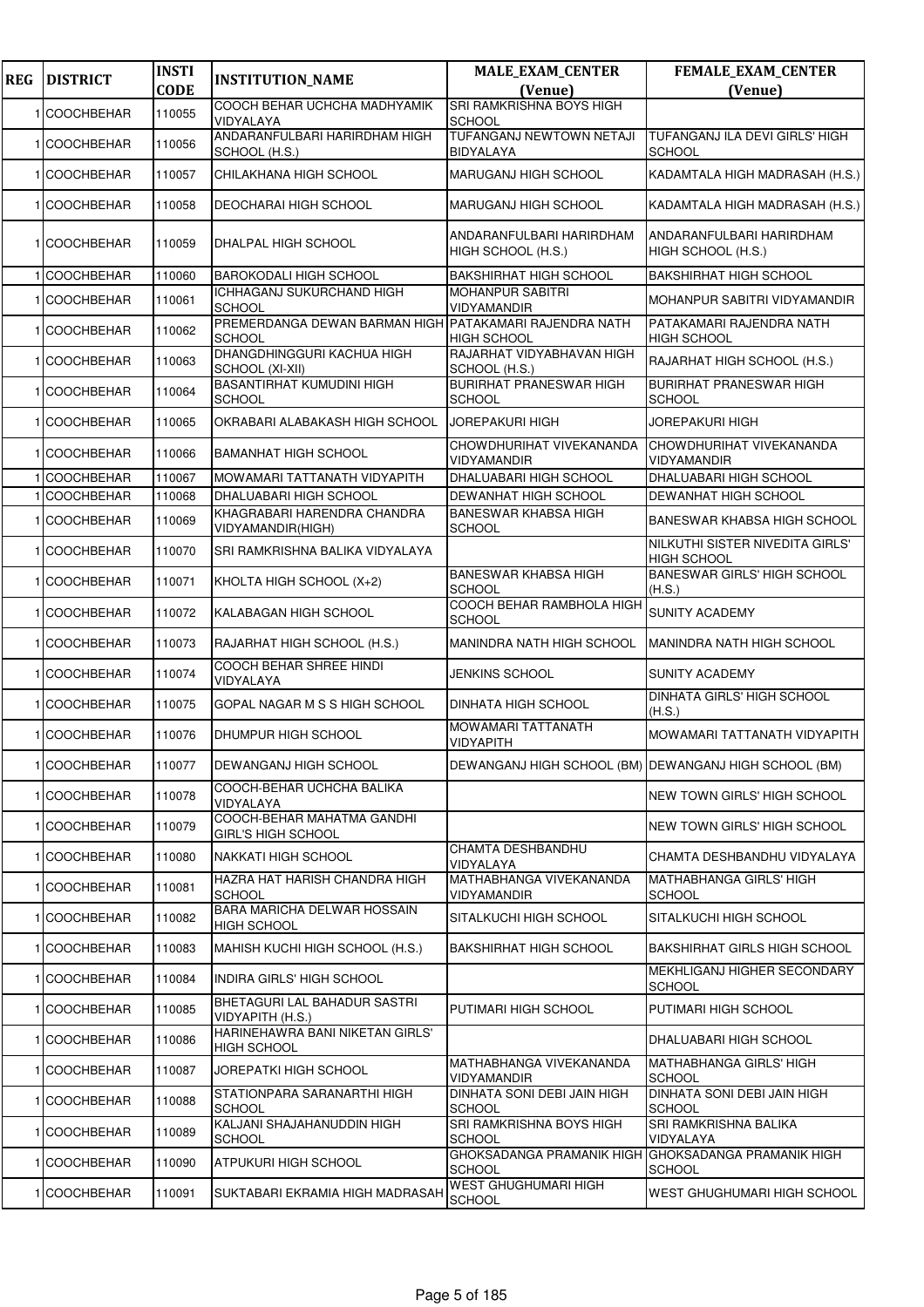| <b>REG</b> | <b>DISTRICT</b>   | <b>INSTI</b><br><b>CODE</b> | <b>INSTITUTION_NAME</b>                                                 | <b>MALE_EXAM_CENTER</b><br>(Venue)                    | FEMALE_EXAM_CENTER<br>(Venue)                         |
|------------|-------------------|-----------------------------|-------------------------------------------------------------------------|-------------------------------------------------------|-------------------------------------------------------|
|            |                   |                             | COOCH BEHAR UCHCHA MADHYAMIK                                            | SRI RAMKRISHNA BOYS HIGH                              |                                                       |
|            | 1 COOCHBEHAR      | 110055                      | VIDYALAYA                                                               | <b>SCHOOL</b>                                         |                                                       |
|            | 1 COOCHBEHAR      | 110056                      | ANDARANFULBARI HARIRDHAM HIGH<br>SCHOOL (H.S.)                          | TUFANGANJ NEWTOWN NETAJI<br>BIDYALAYA                 | TUFANGANJ ILA DEVI GIRLS' HIGH<br><b>SCHOOL</b>       |
|            | <b>COOCHBEHAR</b> | 110057                      | CHILAKHANA HIGH SCHOOL                                                  | MARUGANJ HIGH SCHOOL                                  | KADAMTALA HIGH MADRASAH (H.S.)                        |
|            | <b>COOCHBEHAR</b> | 110058                      | DEOCHARAI HIGH SCHOOL                                                   | MARUGANJ HIGH SCHOOL                                  | KADAMTALA HIGH MADRASAH (H.S.)                        |
|            | 1 COOCHBEHAR      | 110059                      | DHALPAL HIGH SCHOOL                                                     | ANDARANFULBARI HARIRDHAM<br>HIGH SCHOOL (H.S.)        | ANDARANFULBARI HARIRDHAM<br>HIGH SCHOOL (H.S.)        |
|            | <b>COOCHBEHAR</b> | 110060                      | <b>BAROKODALI HIGH SCHOOL</b>                                           | <b>BAKSHIRHAT HIGH SCHOOL</b>                         | <b>BAKSHIRHAT HIGH SCHOOL</b>                         |
|            | 1 COOCHBEHAR      | 110061                      | ICHHAGANJ SUKURCHAND HIGH<br><b>SCHOOL</b>                              | <b>MOHANPUR SABITRI</b><br>VIDYAMANDIR                | MOHANPUR SABITRI VIDYAMANDIR                          |
|            | 1 COOCHBEHAR      | 110062                      | PREMERDANGA DEWAN BARMAN HIGH PATAKAMARI RAJENDRA NATH<br><b>SCHOOL</b> | <b>HIGH SCHOOL</b>                                    | PATAKAMARI RAJENDRA NATH<br><b>HIGH SCHOOL</b>        |
|            | <b>COOCHBEHAR</b> | 110063                      | DHANGDHINGGURI KACHUA HIGH<br>SCHOOL (XI-XII)                           | RAJARHAT VIDYABHAVAN HIGH<br>SCHOOL (H.S.)            | RAJARHAT HIGH SCHOOL (H.S.)                           |
|            | 1 COOCHBEHAR      | 110064                      | <b>BASANTIRHAT KUMUDINI HIGH</b><br><b>SCHOOL</b>                       | <b>BURIRHAT PRANESWAR HIGH</b><br><b>SCHOOL</b>       | <b>BURIRHAT PRANESWAR HIGH</b><br><b>SCHOOL</b>       |
|            | 1 COOCHBEHAR      | 110065                      | OKRABARI ALABAKASH HIGH SCHOOL                                          | <b>JOREPAKURI HIGH</b>                                | <b>JOREPAKURI HIGH</b>                                |
|            | 1 COOCHBEHAR      | 110066                      | <b>BAMANHAT HIGH SCHOOL</b>                                             | CHOWDHURIHAT VIVEKANANDA<br>VIDYAMANDIR               | CHOWDHURIHAT VIVEKANANDA<br>VIDYAMANDIR               |
|            | <b>COOCHBEHAR</b> | 110067                      | MOWAMARI TATTANATH VIDYAPITH                                            | DHALUABARI HIGH SCHOOL                                | DHALUABARI HIGH SCHOOL                                |
|            | <b>COOCHBEHAR</b> | 110068                      | DHALUABARI HIGH SCHOOL                                                  | DEWANHAT HIGH SCHOOL                                  | DEWANHAT HIGH SCHOOL                                  |
|            | <b>COOCHBEHAR</b> | 110069                      | KHAGRABARI HARENDRA CHANDRA<br>VIDYAMANDIR(HIGH)                        | <b>BANESWAR KHABSA HIGH</b><br>SCHOOL                 | BANESWAR KHABSA HIGH SCHOOL                           |
|            | 1 COOCHBEHAR      | 110070                      | SRI RAMKRISHNA BALIKA VIDYALAYA                                         |                                                       | NILKUTHI SISTER NIVEDITA GIRLS'<br><b>HIGH SCHOOL</b> |
|            | 1 COOCHBEHAR      | 110071                      | KHOLTA HIGH SCHOOL (X+2)                                                | BANESWAR KHABSA HIGH<br><b>SCHOOL</b>                 | <b>BANESWAR GIRLS' HIGH SCHOOL</b><br>(H.S.)          |
|            | <b>COOCHBEHAR</b> | 110072                      | KALABAGAN HIGH SCHOOL                                                   | COOCH BEHAR RAMBHOLA HIGH<br><b>SCHOOL</b>            | <b>SUNITY ACADEMY</b>                                 |
|            | 1 COOCHBEHAR      | 110073                      | RAJARHAT HIGH SCHOOL (H.S.)                                             | <b>MANINDRA NATH HIGH SCHOOL</b>                      | MANINDRA NATH HIGH SCHOOL                             |
|            | 1 COOCHBEHAR      | 110074                      | COOCH BEHAR SHREE HINDI<br>VIDYALAYA                                    | <b>JENKINS SCHOOL</b>                                 | <b>SUNITY ACADEMY</b>                                 |
|            | 1 COOCHBEHAR      | 110075                      | GOPAL NAGAR M S S HIGH SCHOOL                                           | <b>DINHATA HIGH SCHOOL</b>                            | <b>DINHATA GIRLS' HIGH SCHOOL</b><br>(H.S.)           |
|            | <b>COOCHBEHAR</b> | 110076                      | DHUMPUR HIGH SCHOOL                                                     | MOWAMARI TATTANATH<br>VIDYAPITH                       | MOWAMARI TATTANATH VIDYAPITH                          |
|            | 1 COOCHBEHAR      | 110077                      | DEWANGANJ HIGH SCHOOL                                                   | DEWANGANJ HIGH SCHOOL (BM) DEWANGANJ HIGH SCHOOL (BM) |                                                       |
|            | 1 COOCHBEHAR      | 110078                      | COOCH-BEHAR UCHCHA BALIKA<br>VIDYALAYA                                  |                                                       | NEW TOWN GIRLS' HIGH SCHOOL                           |
|            | <b>COOCHBEHAR</b> | 110079                      | COOCH-BEHAR MAHATMA GANDHI<br>GIRL'S HIGH SCHOOL                        |                                                       | NEW TOWN GIRLS' HIGH SCHOOL                           |
|            | <b>COOCHBEHAR</b> | 110080                      | <b>NAKKATI HIGH SCHOOL</b>                                              | CHAMTA DESHBANDHU<br>VIDYALAYA                        | CHAMTA DESHBANDHU VIDYALAYA                           |
|            | 1 COOCHBEHAR      | 110081                      | HAZRA HAT HARISH CHANDRA HIGH<br><b>SCHOOL</b>                          | MATHABHANGA VIVEKANANDA<br>VIDYAMANDIR                | <b>MATHABHANGA GIRLS' HIGH</b><br><b>SCHOOL</b>       |
|            | 1 COOCHBEHAR      | 110082                      | <b>BARA MARICHA DELWAR HOSSAIN</b><br><b>HIGH SCHOOL</b>                | SITALKUCHI HIGH SCHOOL                                | SITALKUCHI HIGH SCHOOL                                |
|            | <b>COOCHBEHAR</b> | 110083                      | MAHISH KUCHI HIGH SCHOOL (H.S.)                                         | <b>BAKSHIRHAT HIGH SCHOOL</b>                         | <b>BAKSHIRHAT GIRLS HIGH SCHOOL</b>                   |
|            | 1 COOCHBEHAR      | 110084                      | INDIRA GIRLS' HIGH SCHOOL                                               |                                                       | MEKHLIGANJ HIGHER SECONDARY<br><b>SCHOOL</b>          |
|            | 1 COOCHBEHAR      | 110085                      | BHETAGURI LAL BAHADUR SASTRI<br>VIDYAPITH (H.S.)                        | PUTIMARI HIGH SCHOOL                                  | PUTIMARI HIGH SCHOOL                                  |
|            | 1 COOCHBEHAR      | 110086                      | HARINEHAWRA BANI NIKETAN GIRLS'<br><b>HIGH SCHOOL</b>                   |                                                       | DHALUABARI HIGH SCHOOL                                |
|            | <b>COOCHBEHAR</b> | 110087                      | JOREPATKI HIGH SCHOOL                                                   | MATHABHANGA VIVEKANANDA<br>VIDYAMANDIR                | <b>MATHABHANGA GIRLS' HIGH</b><br><b>SCHOOL</b>       |
|            | 1 COOCHBEHAR      | 110088                      | STATIONPARA SARANARTHI HIGH<br><b>SCHOOL</b>                            | DINHATA SONI DEBI JAIN HIGH<br><b>SCHOOL</b>          | DINHATA SONI DEBI JAIN HIGH<br><b>SCHOOL</b>          |
|            | 1 COOCHBEHAR      | 110089                      | KALJANI SHAJAHANUDDIN HIGH<br><b>SCHOOL</b>                             | SRI RAMKRISHNA BOYS HIGH<br><b>SCHOOL</b>             | SRI RAMKRISHNA BALIKA<br>VIDYALAYA                    |
|            | <b>COOCHBEHAR</b> | 110090                      | ATPUKURI HIGH SCHOOL                                                    | <b>GHOKSADANGA PRAMANIK HIGH</b><br><b>SCHOOL</b>     | <b>GHOKSADANGA PRAMANIK HIGH</b><br><b>SCHOOL</b>     |
|            | 1 COOCHBEHAR      | 110091                      | SUKTABARI EKRAMIA HIGH MADRASAH                                         | <b>WEST GHUGHUMARI HIGH</b><br><b>SCHOOL</b>          | WEST GHUGHUMARI HIGH SCHOOL                           |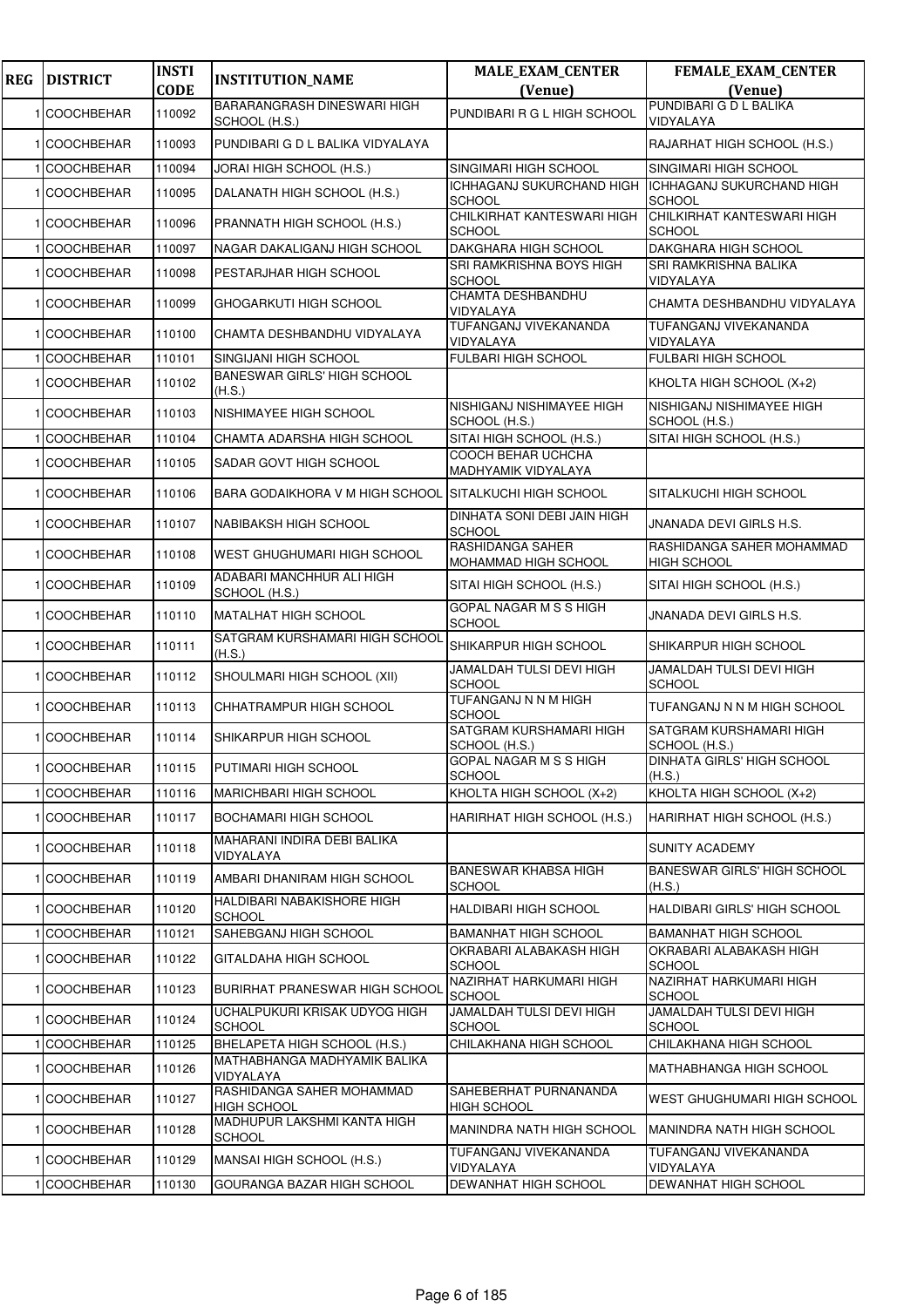| <b>REG</b> | <b>DISTRICT</b>   | <b>INSTI</b> | <b>INSTITUTION_NAME</b>                             | <b>MALE_EXAM_CENTER</b>                           | <b>FEMALE_EXAM_CENTER</b>                         |
|------------|-------------------|--------------|-----------------------------------------------------|---------------------------------------------------|---------------------------------------------------|
|            |                   | <b>CODE</b>  |                                                     | (Venue)                                           | (Venue)                                           |
|            | 1 COOCHBEHAR      | 110092       | <b>BARARANGRASH DINESWARI HIGH</b><br>SCHOOL (H.S.) | PUNDIBARI R G L HIGH SCHOOL                       | PUNDIBARI G D L BALIKA<br>VIDYALAYA               |
|            | 1 COOCHBEHAR      | 110093       | PUNDIBARI G D L BALIKA VIDYALAYA                    |                                                   | RAJARHAT HIGH SCHOOL (H.S.)                       |
|            | <b>COOCHBEHAR</b> | 110094       | JORAI HIGH SCHOOL (H.S.)                            | SINGIMARI HIGH SCHOOL                             | SINGIMARI HIGH SCHOOL                             |
|            | <b>COOCHBEHAR</b> | 110095       | DALANATH HIGH SCHOOL (H.S.)                         | <b>ICHHAGANJ SUKURCHAND HIGH</b><br><b>SCHOOL</b> | <b>ICHHAGANJ SUKURCHAND HIGH</b><br><b>SCHOOL</b> |
|            | <b>COOCHBEHAR</b> | 110096       | PRANNATH HIGH SCHOOL (H.S.)                         | CHILKIRHAT KANTESWARI HIGH<br><b>SCHOOL</b>       | CHILKIRHAT KANTESWARI HIGH<br><b>SCHOOL</b>       |
|            | <b>COOCHBEHAR</b> | 110097       | NAGAR DAKALIGANJ HIGH SCHOOL                        | <b>DAKGHARA HIGH SCHOOL</b>                       | DAKGHARA HIGH SCHOOL                              |
|            | 1 COOCHBEHAR      | 110098       | PESTARJHAR HIGH SCHOOL                              | SRI RAMKRISHNA BOYS HIGH<br><b>SCHOOL</b>         | SRI RAMKRISHNA BALIKA<br>VIDYALAYA                |
|            | 1 COOCHBEHAR      | 110099       | GHOGARKUTI HIGH SCHOOL                              | CHAMTA DESHBANDHU<br>VIDYALAYA                    | CHAMTA DESHBANDHU VIDYALAYA                       |
|            | <b>COOCHBEHAR</b> | 110100       | CHAMTA DESHBANDHU VIDYALAYA                         | TUFANGANJ VIVEKANANDA<br>VIDYALAYA                | TUFANGANJ VIVEKANANDA<br>VIDYALAYA                |
|            | <b>COOCHBEHAR</b> | 110101       | SINGIJANI HIGH SCHOOL                               | <b>FULBARI HIGH SCHOOL</b>                        | FULBARI HIGH SCHOOL                               |
|            | <b>COOCHBEHAR</b> | 110102       | <b>BANESWAR GIRLS' HIGH SCHOOL</b><br>(H.S.)        |                                                   | KHOLTA HIGH SCHOOL (X+2)                          |
|            | 1 COOCHBEHAR      | 110103       | NISHIMAYEE HIGH SCHOOL                              | NISHIGANJ NISHIMAYEE HIGH<br>SCHOOL (H.S.)        | NISHIGANJ NISHIMAYEE HIGH<br>SCHOOL (H.S.)        |
|            | <b>COOCHBEHAR</b> | 110104       | CHAMTA ADARSHA HIGH SCHOOL                          | SITAI HIGH SCHOOL (H.S.)                          | SITAI HIGH SCHOOL (H.S.)                          |
|            | 1 COOCHBEHAR      | 110105       | SADAR GOVT HIGH SCHOOL                              | COOCH BEHAR UCHCHA<br>MADHYAMIK VIDYALAYA         |                                                   |
|            | <b>COOCHBEHAR</b> | 110106       | BARA GODAIKHORA V M HIGH SCHOOL                     | SITALKUCHI HIGH SCHOOL                            | SITALKUCHI HIGH SCHOOL                            |
|            | 1 COOCHBEHAR      | 110107       | NABIBAKSH HIGH SCHOOL                               | DINHATA SONI DEBI JAIN HIGH<br><b>SCHOOL</b>      | JNANADA DEVI GIRLS H.S.                           |
|            | 1 COOCHBEHAR      | 110108       | WEST GHUGHUMARI HIGH SCHOOL                         | RASHIDANGA SAHER<br>MOHAMMAD HIGH SCHOOL          | RASHIDANGA SAHER MOHAMMAD<br><b>HIGH SCHOOL</b>   |
|            | <b>COOCHBEHAR</b> | 110109       | ADABARI MANCHHUR ALI HIGH<br>SCHOOL (H.S.)          | SITAI HIGH SCHOOL (H.S.)                          | SITAI HIGH SCHOOL (H.S.)                          |
|            | 1 COOCHBEHAR      | 110110       | <b>MATALHAT HIGH SCHOOL</b>                         | GOPAL NAGAR M S S HIGH<br><b>SCHOOL</b>           | JNANADA DEVI GIRLS H.S.                           |
|            | 1 COOCHBEHAR      | 110111       | SATGRAM KURSHAMARI HIGH SCHOOL<br>(H.S.)            | SHIKARPUR HIGH SCHOOL                             | SHIKARPUR HIGH SCHOOL                             |
|            | 1 COOCHBEHAR      | 110112       | SHOULMARI HIGH SCHOOL (XII)                         | <b>JAMALDAH TULSI DEVI HIGH</b><br><b>SCHOOL</b>  | JAMALDAH TULSI DEVI HIGH<br><b>SCHOOL</b>         |
|            | <b>COOCHBEHAR</b> | 110113       | CHHATRAMPUR HIGH SCHOOL                             | TUFANGANJ N N M HIGH<br><b>SCHOOL</b>             | TUFANGANJ N N M HIGH SCHOOL                       |
|            | 1 COOCHBEHAR      | 110114       | SHIKARPUR HIGH SCHOOL                               | SATGRAM KURSHAMARI HIGH<br>SCHOOL (H.S.)          | SATGRAM KURSHAMARI HIGH<br>SCHOOL (H.S.)          |
|            | 1 COOCHBEHAR      | 110115       | PUTIMARI HIGH SCHOOL                                | GOPAL NAGAR M S S HIGH<br><b>SCHOOL</b>           | DINHATA GIRLS' HIGH SCHOOL<br>(H.S.)              |
|            | <b>COOCHBEHAR</b> | 110116       | <b>MARICHBARI HIGH SCHOOL</b>                       | KHOLTA HIGH SCHOOL (X+2)                          | KHOLTA HIGH SCHOOL (X+2)                          |
|            | <b>COOCHBEHAR</b> | 110117       | BOCHAMARI HIGH SCHOOL                               | HARIRHAT HIGH SCHOOL (H.S.)                       | HARIRHAT HIGH SCHOOL (H.S.)                       |
|            | 1 COOCHBEHAR      | 110118       | MAHARANI INDIRA DEBI BALIKA<br>VIDYALAYA            |                                                   | <b>SUNITY ACADEMY</b>                             |
|            | 1 COOCHBEHAR      | 110119       | AMBARI DHANIRAM HIGH SCHOOL                         | <b>BANESWAR KHABSA HIGH</b><br><b>SCHOOL</b>      | <b>BANESWAR GIRLS' HIGH SCHOOL</b><br>(H.S.)      |
|            | 1 COOCHBEHAR      | 110120       | HALDIBARI NABAKISHORE HIGH<br><b>SCHOOL</b>         | HALDIBARI HIGH SCHOOL                             | HALDIBARI GIRLS' HIGH SCHOOL                      |
|            | <b>COOCHBEHAR</b> | 110121       | SAHEBGANJ HIGH SCHOOL                               | <b>BAMANHAT HIGH SCHOOL</b>                       | <b>BAMANHAT HIGH SCHOOL</b>                       |
|            | <b>COOCHBEHAR</b> | 110122       | GITALDAHA HIGH SCHOOL                               | OKRABARI ALABAKASH HIGH<br><b>SCHOOL</b>          | OKRABARI ALABAKASH HIGH<br><b>SCHOOL</b>          |
|            | 1 COOCHBEHAR      | 110123       | <b>BURIRHAT PRANESWAR HIGH SCHOOL</b>               | NAZIRHAT HARKUMARI HIGH<br><b>SCHOOL</b>          | NAZIRHAT HARKUMARI HIGH<br><b>SCHOOL</b>          |
|            | 1 COOCHBEHAR      | 110124       | UCHALPUKURI KRISAK UDYOG HIGH<br><b>SCHOOL</b>      | JAMALDAH TULSI DEVI HIGH<br><b>SCHOOL</b>         | JAMALDAH TULSI DEVI HIGH<br><b>SCHOOL</b>         |
|            | <b>COOCHBEHAR</b> | 110125       | BHELAPETA HIGH SCHOOL (H.S.)                        | CHILAKHANA HIGH SCHOOL                            | CHILAKHANA HIGH SCHOOL                            |
|            | <b>COOCHBEHAR</b> | 110126       | MATHABHANGA MADHYAMIK BALIKA<br>VIDYALAYA           |                                                   | MATHABHANGA HIGH SCHOOL                           |
|            | 1 COOCHBEHAR      | 110127       | RASHIDANGA SAHER MOHAMMAD<br><b>HIGH SCHOOL</b>     | SAHEBERHAT PURNANANDA<br><b>HIGH SCHOOL</b>       | WEST GHUGHUMARI HIGH SCHOOL                       |
|            | 1 COOCHBEHAR      | 110128       | MADHUPUR LAKSHMI KANTA HIGH<br><b>SCHOOL</b>        | <b>MANINDRA NATH HIGH SCHOOL</b>                  | MANINDRA NATH HIGH SCHOOL                         |
|            | 1 COOCHBEHAR      | 110129       | MANSAI HIGH SCHOOL (H.S.)                           | TUFANGANJ VIVEKANANDA<br>VIDYALAYA                | TUFANGANJ VIVEKANANDA<br>VIDYALAYA                |
|            | 1 COOCHBEHAR      | 110130       | GOURANGA BAZAR HIGH SCHOOL                          | DEWANHAT HIGH SCHOOL                              | DEWANHAT HIGH SCHOOL                              |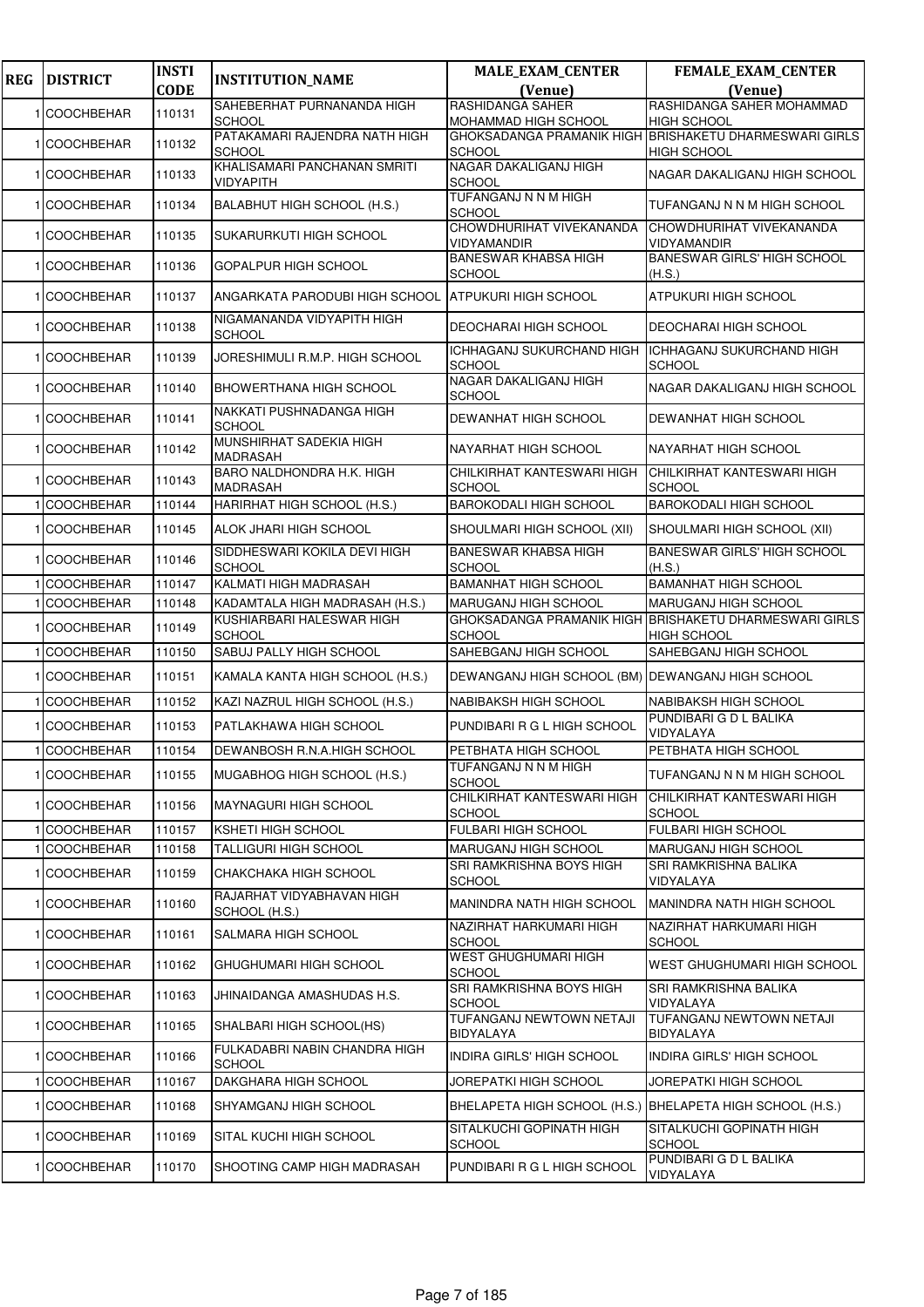| <b>REG</b> | <b>DISTRICT</b>   | <b>INSTI</b> | <b>INSTITUTION_NAME</b>                        | <b>MALE_EXAM_CENTER</b>                          | <b>FEMALE_EXAM_CENTER</b>                                                    |
|------------|-------------------|--------------|------------------------------------------------|--------------------------------------------------|------------------------------------------------------------------------------|
|            |                   | <b>CODE</b>  |                                                | (Venue)                                          | (Venue)                                                                      |
|            | 1 COOCHBEHAR      | 110131       | SAHEBERHAT PURNANANDA HIGH<br><b>SCHOOL</b>    | <b>RASHIDANGA SAHER</b><br>MOHAMMAD HIGH SCHOOL  | RASHIDANGA SAHER MOHAMMAD<br><b>HIGH SCHOOL</b>                              |
|            | 1 COOCHBEHAR      | 110132       | PATAKAMARI RAJENDRA NATH HIGH<br><b>SCHOOL</b> | <b>SCHOOL</b>                                    | GHOKSADANGA PRAMANIK HIGH BRISHAKETU DHARMESWARI GIRLS<br><b>HIGH SCHOOL</b> |
|            | <b>COOCHBEHAR</b> | 110133       | KHALISAMARI PANCHANAN SMRITI<br>VIDYAPITH      | NAGAR DAKALIGANJ HIGH<br><b>SCHOOL</b>           | NAGAR DAKALIGANJ HIGH SCHOOL                                                 |
|            | <b>COOCHBEHAR</b> | 110134       | BALABHUT HIGH SCHOOL (H.S.)                    | TUFANGANJ N N M HIGH<br><b>SCHOOL</b>            | TUFANGANJ N N M HIGH SCHOOL                                                  |
|            | 1 COOCHBEHAR      | 110135       | SUKARURKUTI HIGH SCHOOL                        | CHOWDHURIHAT VIVEKANANDA<br>VIDYAMANDIR          | CHOWDHURIHAT VIVEKANANDA<br><b>VIDYAMANDIR</b>                               |
|            | 1 COOCHBEHAR      | 110136       | GOPALPUR HIGH SCHOOL                           | <b>BANESWAR KHABSA HIGH</b><br><b>SCHOOL</b>     | <b>BANESWAR GIRLS' HIGH SCHOOL</b><br>(H.S.)                                 |
|            | <b>COOCHBEHAR</b> | 110137       | ANGARKATA PARODUBI HIGH SCHOOL                 | <b>ATPUKURI HIGH SCHOOL</b>                      | <b>ATPUKURI HIGH SCHOOL</b>                                                  |
|            | <b>COOCHBEHAR</b> | 110138       | NIGAMANANDA VIDYAPITH HIGH<br><b>SCHOOL</b>    | DEOCHARAI HIGH SCHOOL                            | <b>DEOCHARAI HIGH SCHOOL</b>                                                 |
|            | 1 COOCHBEHAR      | 110139       | JORESHIMULI R.M.P. HIGH SCHOOL                 | ICHHAGANJ SUKURCHAND HIGH<br>SCHOOL              | <b>ICHHAGANJ SUKURCHAND HIGH</b><br><b>SCHOOL</b>                            |
|            | <b>COOCHBEHAR</b> | 110140       | <b>BHOWERTHANA HIGH SCHOOL</b>                 | NAGAR DAKALIGANJ HIGH<br><b>SCHOOL</b>           | NAGAR DAKALIGANJ HIGH SCHOOL                                                 |
|            | <b>COOCHBEHAR</b> | 110141       | NAKKATI PUSHNADANGA HIGH<br><b>SCHOOL</b>      | DEWANHAT HIGH SCHOOL                             | <b>DEWANHAT HIGH SCHOOL</b>                                                  |
|            | 1 COOCHBEHAR      | 110142       | MUNSHIRHAT SADEKIA HIGH<br><b>MADRASAH</b>     | <b>NAYARHAT HIGH SCHOOL</b>                      | NAYARHAT HIGH SCHOOL                                                         |
|            | 1 COOCHBEHAR      | 110143       | BARO NALDHONDRA H.K. HIGH<br><b>MADRASAH</b>   | CHILKIRHAT KANTESWARI HIGH<br><b>SCHOOL</b>      | CHILKIRHAT KANTESWARI HIGH<br><b>SCHOOL</b>                                  |
|            | <b>COOCHBEHAR</b> | 110144       | HARIRHAT HIGH SCHOOL (H.S.)                    | <b>BAROKODALI HIGH SCHOOL</b>                    | <b>BAROKODALI HIGH SCHOOL</b>                                                |
|            | <b>COOCHBEHAR</b> | 110145       | ALOK JHARI HIGH SCHOOL                         | SHOULMARI HIGH SCHOOL (XII)                      | SHOULMARI HIGH SCHOOL (XII)                                                  |
|            | 1 COOCHBEHAR      | 110146       | SIDDHESWARI KOKILA DEVI HIGH<br><b>SCHOOL</b>  | <b>BANESWAR KHABSA HIGH</b><br><b>SCHOOL</b>     | <b>BANESWAR GIRLS' HIGH SCHOOL</b><br>(H.S.)                                 |
|            | <b>COOCHBEHAR</b> | 110147       | KALMATI HIGH MADRASAH                          | <b>BAMANHAT HIGH SCHOOL</b>                      | <b>BAMANHAT HIGH SCHOOL</b>                                                  |
|            | <b>COOCHBEHAR</b> | 110148       | KADAMTALA HIGH MADRASAH (H.S.)                 | <b>MARUGANJ HIGH SCHOOL</b>                      | <b>MARUGANJ HIGH SCHOOL</b>                                                  |
|            | 1 COOCHBEHAR      | 110149       | KUSHIARBARI HALESWAR HIGH<br>SCHOOL            | <b>SCHOOL</b>                                    | GHOKSADANGA PRAMANIK HIGH BRISHAKETU DHARMESWARI GIRLS<br><b>HIGH SCHOOL</b> |
|            | <b>COOCHBEHAR</b> | 110150       | SABUJ PALLY HIGH SCHOOL                        | SAHEBGANJ HIGH SCHOOL                            | SAHEBGANJ HIGH SCHOOL                                                        |
|            | <b>COOCHBEHAR</b> | 110151       | KAMALA KANTA HIGH SCHOOL (H.S.)                | DEWANGANJ HIGH SCHOOL (BM) DEWANGANJ HIGH SCHOOL |                                                                              |
|            | <b>COOCHBEHAR</b> | 110152       | KAZI NAZRUL HIGH SCHOOL (H.S.)                 | <b>NABIBAKSH HIGH SCHOOL</b>                     | <b>NABIBAKSH HIGH SCHOOL</b>                                                 |
|            | <b>COOCHBEHAR</b> | 110153       | PATLAKHAWA HIGH SCHOOL                         | PUNDIBARI R G L HIGH SCHOOL                      | PUNDIBARI G D L BALIKA<br>VIDYALAYA                                          |
|            | 1 COOCHBEHAR      | 110154       | DEWANBOSH R.N.A.HIGH SCHOOL                    | PETBHATA HIGH SCHOOL                             | <b>PETBHATA HIGH SCHOOL</b>                                                  |
|            | 1 COOCHBEHAR      | 110155       | MUGABHOG HIGH SCHOOL (H.S.)                    | <b>TUFANGANJ N N M HIGH</b><br><b>SCHOOL</b>     | TUFANGANJ N N M HIGH SCHOOL                                                  |
|            | 1 COOCHBEHAR      | 110156       | <b>MAYNAGURI HIGH SCHOOL</b>                   | CHILKIRHAT KANTESWARI HIGH<br><b>SCHOOL</b>      | CHILKIRHAT KANTESWARI HIGH<br><b>SCHOOL</b>                                  |
|            | <b>COOCHBEHAR</b> | 110157       | <b>KSHETI HIGH SCHOOL</b>                      | FULBARI HIGH SCHOOL                              | FULBARI HIGH SCHOOL                                                          |
|            | <b>COOCHBEHAR</b> | 110158       | TALLIGURI HIGH SCHOOL                          | MARUGANJ HIGH SCHOOL                             | MARUGANJ HIGH SCHOOL                                                         |
|            | <b>COOCHBEHAR</b> | 110159       | CHAKCHAKA HIGH SCHOOL                          | SRI RAMKRISHNA BOYS HIGH<br><b>SCHOOL</b>        | SRI RAMKRISHNA BALIKA<br>VIDYALAYA                                           |
|            | 1 COOCHBEHAR      | 110160       | RAJARHAT VIDYABHAVAN HIGH<br>SCHOOL (H.S.)     | MANINDRA NATH HIGH SCHOOL                        | MANINDRA NATH HIGH SCHOOL                                                    |
|            | 1 COOCHBEHAR      | 110161       | SALMARA HIGH SCHOOL                            | NAZIRHAT HARKUMARI HIGH<br><b>SCHOOL</b>         | NAZIRHAT HARKUMARI HIGH<br><b>SCHOOL</b>                                     |
|            | <b>COOCHBEHAR</b> | 110162       | GHUGHUMARI HIGH SCHOOL                         | WEST GHUGHUMARI HIGH<br><b>SCHOOL</b>            | WEST GHUGHUMARI HIGH SCHOOL                                                  |
|            | <b>COOCHBEHAR</b> | 110163       | JHINAIDANGA AMASHUDAS H.S.                     | SRI RAMKRISHNA BOYS HIGH<br><b>SCHOOL</b>        | SRI RAMKRISHNA BALIKA<br>VIDYALAYA                                           |
|            | 1 COOCHBEHAR      | 110165       | SHALBARI HIGH SCHOOL(HS)                       | TUFANGANJ NEWTOWN NETAJI<br>BIDYALAYA            | TUFANGANJ NEWTOWN NETAJI<br><b>BIDYALAYA</b>                                 |
|            | 1 COOCHBEHAR      | 110166       | FULKADABRI NABIN CHANDRA HIGH<br><b>SCHOOL</b> | INDIRA GIRLS' HIGH SCHOOL                        | <b>INDIRA GIRLS' HIGH SCHOOL</b>                                             |
|            | <b>COOCHBEHAR</b> | 110167       | DAKGHARA HIGH SCHOOL                           | JOREPATKI HIGH SCHOOL                            | JOREPATKI HIGH SCHOOL                                                        |
|            | <b>COOCHBEHAR</b> | 110168       | SHYAMGANJ HIGH SCHOOL                          |                                                  | BHELAPETA HIGH SCHOOL (H.S.)  BHELAPETA HIGH SCHOOL (H.S.)                   |
|            | 1 COOCHBEHAR      | 110169       | SITAL KUCHI HIGH SCHOOL                        | SITALKUCHI GOPINATH HIGH<br><b>SCHOOL</b>        | SITALKUCHI GOPINATH HIGH<br><b>SCHOOL</b>                                    |
|            | 1 COOCHBEHAR      | 110170       | SHOOTING CAMP HIGH MADRASAH                    | PUNDIBARI R G L HIGH SCHOOL                      | PUNDIBARI G D L BALIKA<br>VIDYALAYA                                          |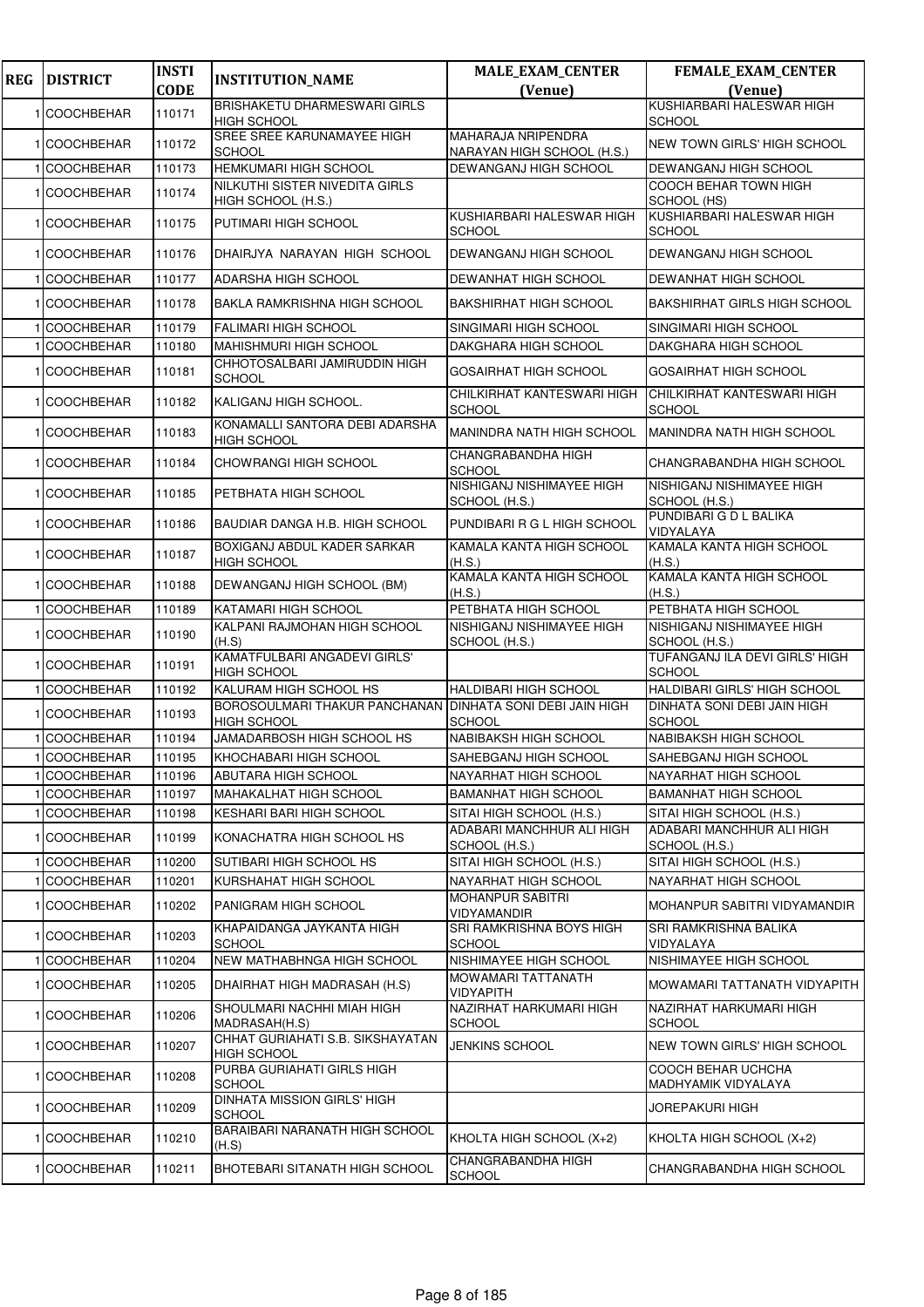| <b>REG</b> | <b>DISTRICT</b>   | <b>INSTI</b> | <b>INSTITUTION_NAME</b>                                   | <b>MALE_EXAM_CENTER</b>                             | <b>FEMALE_EXAM_CENTER</b>                           |
|------------|-------------------|--------------|-----------------------------------------------------------|-----------------------------------------------------|-----------------------------------------------------|
|            |                   | <b>CODE</b>  |                                                           | (Venue)                                             | (Venue)                                             |
|            | 1 COOCHBEHAR      | 110171       | <b>BRISHAKETU DHARMESWARI GIRLS</b><br><b>HIGH SCHOOL</b> |                                                     | KUSHIARBARI HALESWAR HIGH<br><b>SCHOOL</b>          |
|            | 1 COOCHBEHAR      | 110172       | SREE SREE KARUNAMAYEE HIGH<br><b>SCHOOL</b>               | MAHARAJA NRIPENDRA<br>NARAYAN HIGH SCHOOL (H.S.)    | NEW TOWN GIRLS' HIGH SCHOOL                         |
|            | <b>COOCHBEHAR</b> | 110173       | HEMKUMARI HIGH SCHOOL                                     | DEWANGANJ HIGH SCHOOL                               | DEWANGANJ HIGH SCHOOL                               |
|            | COOCHBEHAR        | 110174       | NILKUTHI SISTER NIVEDITA GIRLS<br>HIGH SCHOOL (H.S.)      |                                                     | COOCH BEHAR TOWN HIGH<br>SCHOOL (HS)                |
|            | 1 COOCHBEHAR      | 110175       | PUTIMARI HIGH SCHOOL                                      | KUSHIARBARI HALESWAR HIGH<br><b>SCHOOL</b>          | KUSHIARBARI HALESWAR HIGH<br><b>SCHOOL</b>          |
|            | 1 COOCHBEHAR      | 110176       | DHAIRJYA NARAYAN HIGH SCHOOL                              | <b>DEWANGANJ HIGH SCHOOL</b>                        | DEWANGANJ HIGH SCHOOL                               |
|            | <b>COOCHBEHAR</b> | 110177       | ADARSHA HIGH SCHOOL                                       | DEWANHAT HIGH SCHOOL                                | DEWANHAT HIGH SCHOOL                                |
|            | 1 COOCHBEHAR      | 110178       | <b>BAKLA RAMKRISHNA HIGH SCHOOL</b>                       | <b>BAKSHIRHAT HIGH SCHOOL</b>                       | <b>BAKSHIRHAT GIRLS HIGH SCHOOL</b>                 |
|            | <b>COOCHBEHAR</b> | 110179       | <b>FALIMARI HIGH SCHOOL</b>                               | SINGIMARI HIGH SCHOOL                               | SINGIMARI HIGH SCHOOL                               |
|            | <b>COOCHBEHAR</b> | 110180       | <b>MAHISHMURI HIGH SCHOOL</b>                             | DAKGHARA HIGH SCHOOL                                | DAKGHARA HIGH SCHOOL                                |
|            | <b>COOCHBEHAR</b> | 110181       | CHHOTOSALBARI JAMIRUDDIN HIGH<br><b>SCHOOL</b>            | <b>GOSAIRHAT HIGH SCHOOL</b>                        | <b>GOSAIRHAT HIGH SCHOOL</b>                        |
|            | 1 COOCHBEHAR      | 110182       | KALIGANJ HIGH SCHOOL.                                     | CHILKIRHAT KANTESWARI HIGH<br><b>SCHOOL</b>         | CHILKIRHAT KANTESWARI HIGH<br><b>SCHOOL</b>         |
|            | 1 COOCHBEHAR      | 110183       | KONAMALLI SANTORA DEBI ADARSHA<br><b>HIGH SCHOOL</b>      | MANINDRA NATH HIGH SCHOOL                           | MANINDRA NATH HIGH SCHOOL                           |
|            | <b>COOCHBEHAR</b> | 110184       | CHOWRANGI HIGH SCHOOL                                     | <b>CHANGRABANDHA HIGH</b><br><b>SCHOOL</b>          | CHANGRABANDHA HIGH SCHOOL                           |
|            | 1 COOCHBEHAR      | 110185       | PETBHATA HIGH SCHOOL                                      | NISHIGANJ NISHIMAYEE HIGH<br>SCHOOL (H.S.)          | NISHIGANJ NISHIMAYEE HIGH<br>SCHOOL (H.S.)          |
|            | 1 COOCHBEHAR      | 110186       | BAUDIAR DANGA H.B. HIGH SCHOOL                            | PUNDIBARI R G L HIGH SCHOOL                         | PUNDIBARI G D L BALIKA<br>VIDYALAYA                 |
|            | 1 COOCHBEHAR      | 110187       | BOXIGANJ ABDUL KADER SARKAR<br><b>HIGH SCHOOL</b>         | KAMALA KANTA HIGH SCHOOL<br>(H.S.)                  | KAMALA KANTA HIGH SCHOOL<br>(H.S.)                  |
|            | <b>COOCHBEHAR</b> | 110188       | DEWANGANJ HIGH SCHOOL (BM)                                | KAMALA KANTA HIGH SCHOOL<br>(H.S.)                  | KAMALA KANTA HIGH SCHOOL<br>(H.S.)                  |
|            | <b>COOCHBEHAR</b> | 110189       | <b>KATAMARI HIGH SCHOOL</b>                               | PETBHATA HIGH SCHOOL                                | PETBHATA HIGH SCHOOL                                |
|            | 1 COOCHBEHAR      | 110190       | KALPANI RAJMOHAN HIGH SCHOOL<br>(H.S)                     | NISHIGANJ NISHIMAYEE HIGH<br>SCHOOL (H.S.)          | NISHIGANJ NISHIMAYEE HIGH<br>SCHOOL (H.S.)          |
|            | 1 COOCHBEHAR      | 110191       | KAMATFULBARI ANGADEVI GIRLS'<br><b>HIGH SCHOOL</b>        |                                                     | TUFANGANJ ILA DEVI GIRLS' HIGH<br><b>SCHOOL</b>     |
|            | <b>COOCHBEHAR</b> | 110192       | KALURAM HIGH SCHOOL HS                                    | HALDIBARI HIGH SCHOOL                               | HALDIBARI GIRLS' HIGH SCHOOL                        |
|            | <b>COOCHBEHAR</b> | 110193       | BOROSOULMARI THAKUR PANCHANAN<br>HIGH SCHOOL              | <b>DINHATA SONI DEBI JAIN HIGH</b><br><b>SCHOOL</b> | <b>DINHATA SONI DEBI JAIN HIGH</b><br><b>SCHOOL</b> |
|            | <b>COOCHBEHAR</b> | 110194       | JAMADARBOSH HIGH SCHOOL HS                                | NABIBAKSH HIGH SCHOOL                               | NABIBAKSH HIGH SCHOOL                               |
|            | 1 COOCHBEHAR      | 110195       | KHOCHABARI HIGH SCHOOL                                    | SAHEBGANJ HIGH SCHOOL                               | SAHEBGANJ HIGH SCHOOL                               |
|            | <b>COOCHBEHAR</b> | 110196       | ABUTARA HIGH SCHOOL                                       | NAYARHAT HIGH SCHOOL                                | NAYARHAT HIGH SCHOOL                                |
|            | <b>COOCHBEHAR</b> | 110197       | MAHAKALHAT HIGH SCHOOL                                    | <b>BAMANHAT HIGH SCHOOL</b>                         | <b>BAMANHAT HIGH SCHOOL</b>                         |
|            | <b>COOCHBEHAR</b> | 110198       | KESHARI BARI HIGH SCHOOL                                  | SITAI HIGH SCHOOL (H.S.)                            | SITAI HIGH SCHOOL (H.S.)                            |
|            | 1 COOCHBEHAR      | 110199       | KONACHATRA HIGH SCHOOL HS                                 | ADABARI MANCHHUR ALI HIGH<br>SCHOOL (H.S.)          | ADABARI MANCHHUR ALI HIGH<br>SCHOOL (H.S.)          |
|            | <b>COOCHBEHAR</b> | 110200       | <b>SUTIBARI HIGH SCHOOL HS</b>                            | SITAI HIGH SCHOOL (H.S.)                            | SITAI HIGH SCHOOL (H.S.)                            |
|            | <b>COOCHBEHAR</b> | 110201       | KURSHAHAT HIGH SCHOOL                                     | NAYARHAT HIGH SCHOOL                                | NAYARHAT HIGH SCHOOL                                |
|            | 1 COOCHBEHAR      | 110202       | <b>PANIGRAM HIGH SCHOOL</b>                               | <b>MOHANPUR SABITRI</b><br>VIDYAMANDIR              | MOHANPUR SABITRI VIDYAMANDIR                        |
|            | 1 COOCHBEHAR      | 110203       | KHAPAIDANGA JAYKANTA HIGH<br><b>SCHOOL</b>                | SRI RAMKRISHNA BOYS HIGH<br><b>SCHOOL</b>           | SRI RAMKRISHNA BALIKA<br>VIDYALAYA                  |
|            | <b>COOCHBEHAR</b> | 110204       | <b>NEW MATHABHNGA HIGH SCHOOL</b>                         | NISHIMAYEE HIGH SCHOOL                              | NISHIMAYEE HIGH SCHOOL                              |
|            | <b>COOCHBEHAR</b> | 110205       | DHAIRHAT HIGH MADRASAH (H.S)                              | MOWAMARI TATTANATH<br>VIDYAPITH                     | MOWAMARI TATTANATH VIDYAPITH                        |
|            | 1 COOCHBEHAR      | 110206       | SHOULMARI NACHHI MIAH HIGH<br>MADRASAH(H.S)               | NAZIRHAT HARKUMARI HIGH<br><b>SCHOOL</b>            | NAZIRHAT HARKUMARI HIGH<br><b>SCHOOL</b>            |
|            | 1 COOCHBEHAR      | 110207       | CHHAT GURIAHATI S.B. SIKSHAYATAN<br>HIGH SCHOOL           | <b>JENKINS SCHOOL</b>                               | NEW TOWN GIRLS' HIGH SCHOOL                         |
|            | 1 COOCHBEHAR      | 110208       | PURBA GURIAHATI GIRLS HIGH<br><b>SCHOOL</b>               |                                                     | COOCH BEHAR UCHCHA<br>MADHYAMIK VIDYALAYA           |
|            | 1 COOCHBEHAR      | 110209       | DINHATA MISSION GIRLS' HIGH<br><b>SCHOOL</b>              |                                                     | JOREPAKURI HIGH                                     |
|            | 1 COOCHBEHAR      | 110210       | BARAIBARI NARANATH HIGH SCHOOL<br>(H.S)                   | KHOLTA HIGH SCHOOL (X+2)                            | KHOLTA HIGH SCHOOL (X+2)                            |
|            | 1 COOCHBEHAR      | 110211       | BHOTEBARI SITANATH HIGH SCHOOL                            | CHANGRABANDHA HIGH<br><b>SCHOOL</b>                 | CHANGRABANDHA HIGH SCHOOL                           |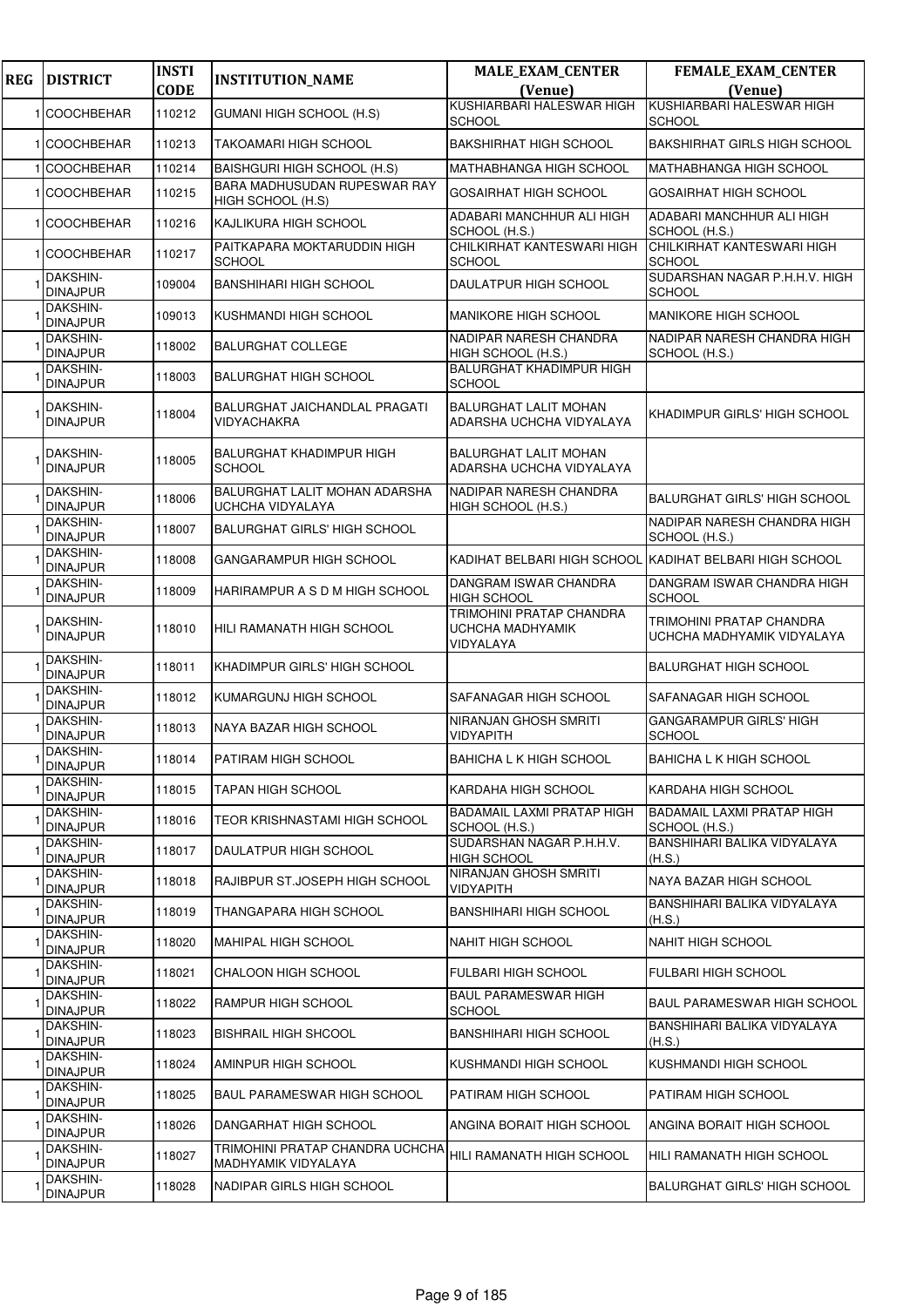| <b>REG</b> | <b>DISTRICT</b>                    | <b>INSTI</b><br><b>CODE</b> | <b>INSTITUTION_NAME</b>                                | <b>MALE_EXAM_CENTER</b><br>(Venue)                               | FEMALE_EXAM_CENTER<br>(Venue)                          |
|------------|------------------------------------|-----------------------------|--------------------------------------------------------|------------------------------------------------------------------|--------------------------------------------------------|
|            | <b>COOCHBEHAR</b>                  | 110212                      | <b>GUMANI HIGH SCHOOL (H.S)</b>                        | KUSHIARBARI HALESWAR HIGH                                        | KUSHIARBARI HALESWAR HIGH                              |
|            | 1 COOCHBEHAR                       | 110213                      | TAKOAMARI HIGH SCHOOL                                  | SCHOOL<br><b>BAKSHIRHAT HIGH SCHOOL</b>                          | SCHOOL<br><b>BAKSHIRHAT GIRLS HIGH SCHOOL</b>          |
|            | <b>COOCHBEHAR</b>                  | 110214                      | BAISHGURI HIGH SCHOOL (H.S)                            | <b>MATHABHANGA HIGH SCHOOL</b>                                   | <b>MATHABHANGA HIGH SCHOOL</b>                         |
|            | <b>COOCHBEHAR</b>                  | 110215                      | BARA MADHUSUDAN RUPESWAR RAY<br>HIGH SCHOOL (H.S)      | <b>GOSAIRHAT HIGH SCHOOL</b>                                     | <b>GOSAIRHAT HIGH SCHOOL</b>                           |
|            | 1 COOCHBEHAR                       | 110216                      | KAJLIKURA HIGH SCHOOL                                  | ADABARI MANCHHUR ALI HIGH<br>SCHOOL (H.S.)                       | ADABARI MANCHHUR ALI HIGH<br>SCHOOL (H.S.)             |
|            | 1 COOCHBEHAR                       | 110217                      | PAITKAPARA MOKTARUDDIN HIGH<br><b>SCHOOL</b>           | CHILKIRHAT KANTESWARI HIGH<br><b>SCHOOL</b>                      | CHILKIRHAT KANTESWARI HIGH<br><b>SCHOOL</b>            |
|            | DAKSHIN-<br><b>DINAJPUR</b>        | 109004                      | <b>BANSHIHARI HIGH SCHOOL</b>                          | DAULATPUR HIGH SCHOOL                                            | SUDARSHAN NAGAR P.H.H.V. HIGH<br><b>SCHOOL</b>         |
|            | <b>DAKSHIN-</b><br><b>DINAJPUR</b> | 109013                      | KUSHMANDI HIGH SCHOOL                                  | <b>MANIKORE HIGH SCHOOL</b>                                      | MANIKORE HIGH SCHOOL                                   |
|            | DAKSHIN-<br><b>DINAJPUR</b>        | 118002                      | <b>BALURGHAT COLLEGE</b>                               | NADIPAR NARESH CHANDRA<br>HIGH SCHOOL (H.S.)                     | NADIPAR NARESH CHANDRA HIGH<br>SCHOOL (H.S.)           |
|            | DAKSHIN-<br><b>DINAJPUR</b>        | 118003                      | <b>BALURGHAT HIGH SCHOOL</b>                           | <b>BALURGHAT KHADIMPUR HIGH</b><br><b>SCHOOL</b>                 |                                                        |
|            | DAKSHIN-<br><b>DINAJPUR</b>        | 118004                      | BALURGHAT JAICHANDLAL PRAGATI<br>VIDYACHAKRA           | <b>BALURGHAT LALIT MOHAN</b><br>ADARSHA UCHCHA VIDYALAYA         | KHADIMPUR GIRLS' HIGH SCHOOL                           |
|            | DAKSHIN-<br><b>DINAJPUR</b>        | 118005                      | <b>BALURGHAT KHADIMPUR HIGH</b><br><b>SCHOOL</b>       | <b>BALURGHAT LALIT MOHAN</b><br>ADARSHA UCHCHA VIDYALAYA         |                                                        |
|            | DAKSHIN-<br><b>DINAJPUR</b>        | 118006                      | BALURGHAT LALIT MOHAN ADARSHA<br>UCHCHA VIDYALAYA      | <b>NADIPAR NARESH CHANDRA</b><br>HIGH SCHOOL (H.S.)              | <b>BALURGHAT GIRLS' HIGH SCHOOL</b>                    |
|            | DAKSHIN-<br><b>DINAJPUR</b>        | 118007                      | <b>BALURGHAT GIRLS' HIGH SCHOOL</b>                    |                                                                  | NADIPAR NARESH CHANDRA HIGH<br>SCHOOL (H.S.)           |
|            | DAKSHIN-<br><b>DINAJPUR</b>        | 118008                      | GANGARAMPUR HIGH SCHOOL                                | KADIHAT BELBARI HIGH SCHOOL                                      | . KADIHAT BELBARI HIGH SCHOOL                          |
|            | DAKSHIN-<br><b>DINAJPUR</b>        | 118009                      | HARIRAMPUR A S D M HIGH SCHOOL                         | DANGRAM ISWAR CHANDRA<br><b>HIGH SCHOOL</b>                      | DANGRAM ISWAR CHANDRA HIGH<br><b>SCHOOL</b>            |
|            | DAKSHIN-<br><b>DINAJPUR</b>        | 118010                      | HILI RAMANATH HIGH SCHOOL                              | <b>TRIMOHINI PRATAP CHANDRA</b><br>UCHCHA MADHYAMIK<br>VIDYALAYA | TRIMOHINI PRATAP CHANDRA<br>UCHCHA MADHYAMIK VIDYALAYA |
|            | <b>DAKSHIN-</b><br><b>DINAJPUR</b> | 118011                      | KHADIMPUR GIRLS' HIGH SCHOOL                           |                                                                  | <b>BALURGHAT HIGH SCHOOL</b>                           |
|            | DAKSHIN-<br><b>DINAJPUR</b>        | 118012                      | KUMARGUNJ HIGH SCHOOL                                  | SAFANAGAR HIGH SCHOOL                                            | SAFANAGAR HIGH SCHOOL                                  |
|            | DAKSHIN-<br><b>DINAJPUR</b>        | 118013                      | NAYA BAZAR HIGH SCHOOL                                 | NIRANJAN GHOSH SMRITI<br><b>VIDYAPITH</b>                        | <b>GANGARAMPUR GIRLS' HIGH</b><br><b>SCHOOL</b>        |
|            | <b>DAKSHIN-</b><br><b>DINAJPUR</b> | 118014                      | PATIRAM HIGH SCHOOL                                    | BAHICHA L K HIGH SCHOOL                                          | <b>BAHICHA L K HIGH SCHOOL</b>                         |
|            | <b>DAKSHIN-</b><br><b>DINAJPUR</b> | 118015                      | TAPAN HIGH SCHOOL                                      | KARDAHA HIGH SCHOOL                                              | KARDAHA HIGH SCHOOL                                    |
|            | DAKSHIN-<br><b>DINAJPUR</b>        | 118016                      | TEOR KRISHNASTAMI HIGH SCHOOL                          | <b>BADAMAIL LAXMI PRATAP HIGH</b><br>SCHOOL (H.S.)               | <b>BADAMAIL LAXMI PRATAP HIGH</b><br>SCHOOL (H.S.)     |
|            | DAKSHIN-<br><b>DINAJPUR</b>        | 118017                      | DAULATPUR HIGH SCHOOL                                  | SUDARSHAN NAGAR P.H.H.V.<br><b>HIGH SCHOOL</b>                   | BANSHIHARI BALIKA VIDYALAYA<br>(H.S.)                  |
|            | DAKSHIN-<br><b>DINAJPUR</b>        | 118018                      | RAJIBPUR ST.JOSEPH HIGH SCHOOL                         | NIRANJAN GHOSH SMRITI<br><b>VIDYAPITH</b>                        | NAYA BAZAR HIGH SCHOOL                                 |
|            | DAKSHIN-<br><b>DINAJPUR</b>        | 118019                      | THANGAPARA HIGH SCHOOL                                 | <b>BANSHIHARI HIGH SCHOOL</b>                                    | BANSHIHARI BALIKA VIDYALAYA<br>(H.S.)                  |
|            | DAKSHIN-<br><b>DINAJPUR</b>        | 118020                      | <b>MAHIPAL HIGH SCHOOL</b>                             | <b>NAHIT HIGH SCHOOL</b>                                         | <b>NAHIT HIGH SCHOOL</b>                               |
|            | DAKSHIN-<br><b>DINAJPUR</b>        | 118021                      | <b>CHALOON HIGH SCHOOL</b>                             | <b>FULBARI HIGH SCHOOL</b>                                       | FULBARI HIGH SCHOOL                                    |
|            | <b>DAKSHIN-</b><br><b>DINAJPUR</b> | 118022                      | RAMPUR HIGH SCHOOL                                     | <b>BAUL PARAMESWAR HIGH</b><br>SCHOOL                            | BAUL PARAMESWAR HIGH SCHOOL                            |
|            | DAKSHIN-<br><b>DINAJPUR</b>        | 118023                      | <b>BISHRAIL HIGH SHCOOL</b>                            | <b>BANSHIHARI HIGH SCHOOL</b>                                    | BANSHIHARI BALIKA VIDYALAYA<br>(H.S.)                  |
|            | <b>DAKSHIN-</b><br><b>DINAJPUR</b> | 118024                      | AMINPUR HIGH SCHOOL                                    | KUSHMANDI HIGH SCHOOL                                            | KUSHMANDI HIGH SCHOOL                                  |
|            | DAKSHIN-<br><b>DINAJPUR</b>        | 118025                      | <b>BAUL PARAMESWAR HIGH SCHOOL</b>                     | PATIRAM HIGH SCHOOL                                              | PATIRAM HIGH SCHOOL                                    |
|            | DAKSHIN-<br><b>DINAJPUR</b>        | 118026                      | DANGARHAT HIGH SCHOOL                                  | ANGINA BORAIT HIGH SCHOOL                                        | ANGINA BORAIT HIGH SCHOOL                              |
|            | DAKSHIN-<br><b>DINAJPUR</b>        | 118027                      | TRIMOHINI PRATAP CHANDRA UCHCHA<br>MADHYAMIK VIDYALAYA | HILI RAMANATH HIGH SCHOOL                                        | HILI RAMANATH HIGH SCHOOL                              |
|            | DAKSHIN-<br><b>DINAJPUR</b>        | 118028                      | NADIPAR GIRLS HIGH SCHOOL                              |                                                                  | <b>BALURGHAT GIRLS' HIGH SCHOOL</b>                    |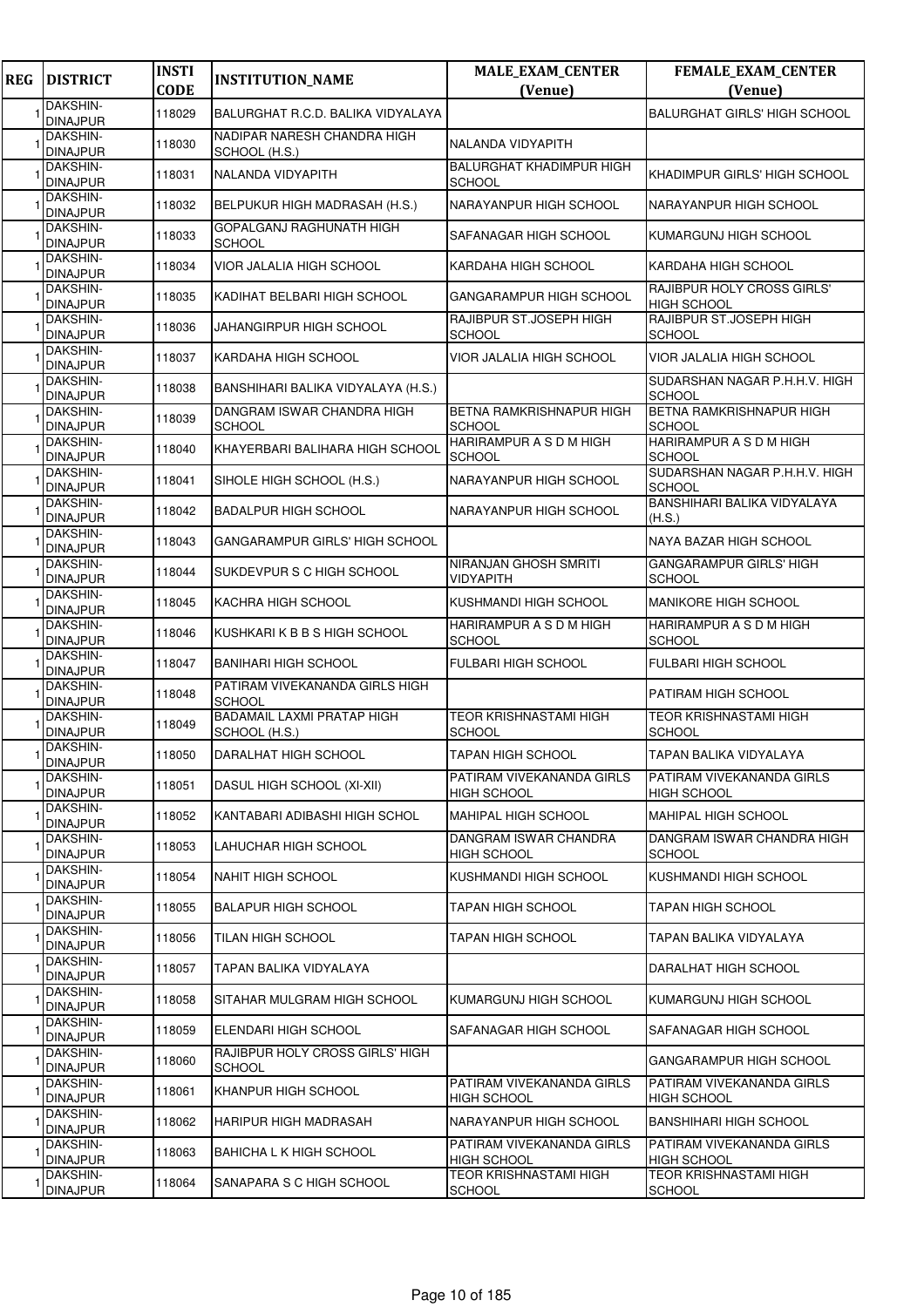| <b>DAKSHIN-</b><br><b>DINAJPUR</b><br>DAKSHIN-<br><b>DINAJPUR</b><br><b>DAKSHIN-</b><br><b>DINAJPUR</b> | 118029<br>118030<br>118031 | BALURGHAT R.C.D. BALIKA VIDYALAYA<br>NADIPAR NARESH CHANDRA HIGH |                                                  | (Venue)<br><b>BALURGHAT GIRLS' HIGH SCHOOL</b>   |
|---------------------------------------------------------------------------------------------------------|----------------------------|------------------------------------------------------------------|--------------------------------------------------|--------------------------------------------------|
|                                                                                                         |                            |                                                                  |                                                  |                                                  |
|                                                                                                         |                            |                                                                  | NALANDA VIDYAPITH                                |                                                  |
|                                                                                                         |                            | SCHOOL (H.S.)                                                    | <b>BALURGHAT KHADIMPUR HIGH</b>                  |                                                  |
| DAKSHIN-                                                                                                |                            | NALANDA VIDYAPITH                                                | <b>SCHOOL</b>                                    | KHADIMPUR GIRLS' HIGH SCHOOL                     |
| <b>DINAJPUR</b>                                                                                         | 118032                     | BELPUKUR HIGH MADRASAH (H.S.)                                    | NARAYANPUR HIGH SCHOOL                           | NARAYANPUR HIGH SCHOOL                           |
| DAKSHIN-<br><b>DINAJPUR</b>                                                                             | 118033                     | GOPALGANJ RAGHUNATH HIGH<br><b>SCHOOL</b>                        | SAFANAGAR HIGH SCHOOL                            | KUMARGUNJ HIGH SCHOOL                            |
| DAKSHIN-<br><b>DINAJPUR</b>                                                                             | 118034                     | VIOR JALALIA HIGH SCHOOL                                         | KARDAHA HIGH SCHOOL                              | KARDAHA HIGH SCHOOL                              |
| <b>DAKSHIN-</b><br><b>DINAJPUR</b>                                                                      | 118035                     | KADIHAT BELBARI HIGH SCHOOL                                      | GANGARAMPUR HIGH SCHOOL                          | RAJIBPUR HOLY CROSS GIRLS'<br><b>HIGH SCHOOL</b> |
| DAKSHIN-<br><b>DINAJPUR</b>                                                                             | 118036                     | JAHANGIRPUR HIGH SCHOOL                                          | RAJIBPUR ST.JOSEPH HIGH<br><b>SCHOOL</b>         | RAJIBPUR ST.JOSEPH HIGH<br><b>SCHOOL</b>         |
| DAKSHIN-<br><b>DINAJPUR</b>                                                                             | 118037                     | KARDAHA HIGH SCHOOL                                              | VIOR JALALIA HIGH SCHOOL                         | VIOR JALALIA HIGH SCHOOL                         |
| DAKSHIN-<br><b>DINAJPUR</b>                                                                             | 118038                     | BANSHIHARI BALIKA VIDYALAYA (H.S.)                               |                                                  | SUDARSHAN NAGAR P.H.H.V. HIGH<br><b>SCHOOL</b>   |
| <b>DAKSHIN-</b><br><b>DINAJPUR</b>                                                                      | 118039                     | DANGRAM ISWAR CHANDRA HIGH<br>SCHOOL                             | <b>BETNA RAMKRISHNAPUR HIGH</b><br><b>SCHOOL</b> | <b>BETNA RAMKRISHNAPUR HIGH</b><br><b>SCHOOL</b> |
| DAKSHIN-<br><b>DINAJPUR</b>                                                                             | 118040                     | KHAYERBARI BALIHARA HIGH SCHOOL                                  | HARIRAMPUR A S D M HIGH<br><b>SCHOOL</b>         | HARIRAMPUR A S D M HIGH<br><b>SCHOOL</b>         |
| <b>DAKSHIN-</b><br><b>DINAJPUR</b>                                                                      | 118041                     | SIHOLE HIGH SCHOOL (H.S.)                                        | NARAYANPUR HIGH SCHOOL                           | SUDARSHAN NAGAR P.H.H.V. HIGH<br><b>SCHOOL</b>   |
| DAKSHIN-<br><b>DINAJPUR</b>                                                                             | 118042                     | <b>BADALPUR HIGH SCHOOL</b>                                      | NARAYANPUR HIGH SCHOOL                           | BANSHIHARI BALIKA VIDYALAYA<br>(H.S.)            |
| DAKSHIN-<br><b>DINAJPUR</b>                                                                             | 118043                     | GANGARAMPUR GIRLS' HIGH SCHOOL                                   |                                                  | NAYA BAZAR HIGH SCHOOL                           |
| DAKSHIN-<br><b>DINAJPUR</b>                                                                             | 118044                     | SUKDEVPUR S C HIGH SCHOOL                                        | NIRANJAN GHOSH SMRITI<br>VIDYAPITH               | <b>GANGARAMPUR GIRLS' HIGH</b><br><b>SCHOOL</b>  |
| DAKSHIN-<br><b>DINAJPUR</b>                                                                             | 118045                     | KACHRA HIGH SCHOOL                                               | KUSHMANDI HIGH SCHOOL                            | <b>MANIKORE HIGH SCHOOL</b>                      |
| DAKSHIN-<br><b>DINAJPUR</b>                                                                             | 118046                     | KUSHKARI K B B S HIGH SCHOOL                                     | HARIRAMPUR A S D M HIGH<br>SCHOOL                | HARIRAMPUR A S D M HIGH<br><b>SCHOOL</b>         |
| DAKSHIN-<br><b>DINAJPUR</b>                                                                             | 118047                     | <b>BANIHARI HIGH SCHOOL</b>                                      | <b>FULBARI HIGH SCHOOL</b>                       | <b>FULBARI HIGH SCHOOL</b>                       |
| <b>DAKSHIN-</b><br><b>DINAJPUR</b>                                                                      | 118048                     | PATIRAM VIVEKANANDA GIRLS HIGH<br><b>SCHOOL</b>                  |                                                  | PATIRAM HIGH SCHOOL                              |
| <b>DAKSHIN-</b><br><b>DINAJPUR</b>                                                                      | 118049                     | <b>BADAMAIL LAXMI PRATAP HIGH</b><br>SCHOOL (H.S.)               | TEOR KRISHNASTAMI HIGH<br><b>SCHOOL</b>          | <b>TEOR KRISHNASTAMI HIGH</b><br><b>SCHOOL</b>   |
| <b>DAKSHIN-</b><br><b>DINAJPUR</b>                                                                      | 118050                     | <b>DARALHAT HIGH SCHOOL</b>                                      | <b>TAPAN HIGH SCHOOL</b>                         | TAPAN BALIKA VIDYALAYA                           |
| <b>DAKSHIN-</b><br><b>DINAJPUR</b>                                                                      | 118051                     | DASUL HIGH SCHOOL (XI-XII)                                       | PATIRAM VIVEKANANDA GIRLS<br><b>HIGH SCHOOL</b>  | PATIRAM VIVEKANANDA GIRLS<br><b>HIGH SCHOOL</b>  |
| DAKSHIN-<br><b>DINAJPUR</b>                                                                             | 118052                     | KANTABARI ADIBASHI HIGH SCHOL                                    | <b>MAHIPAL HIGH SCHOOL</b>                       | MAHIPAL HIGH SCHOOL                              |
| DAKSHIN-<br><b>DINAJPUR</b>                                                                             | 118053                     | LAHUCHAR HIGH SCHOOL                                             | DANGRAM ISWAR CHANDRA<br>HIGH SCHOOL             | DANGRAM ISWAR CHANDRA HIGH<br><b>SCHOOL</b>      |
| DAKSHIN-<br><b>DINAJPUR</b>                                                                             | 118054                     | <b>NAHIT HIGH SCHOOL</b>                                         | KUSHMANDI HIGH SCHOOL                            | KUSHMANDI HIGH SCHOOL                            |
| DAKSHIN-<br><b>DINAJPUR</b>                                                                             | 118055                     | <b>BALAPUR HIGH SCHOOL</b>                                       | TAPAN HIGH SCHOOL                                | TAPAN HIGH SCHOOL                                |
| DAKSHIN-<br><b>DINAJPUR</b>                                                                             | 118056                     | TILAN HIGH SCHOOL                                                | TAPAN HIGH SCHOOL                                | TAPAN BALIKA VIDYALAYA                           |
| <b>DAKSHIN-</b><br><b>DINAJPUR</b>                                                                      | 118057                     | TAPAN BALIKA VIDYALAYA                                           |                                                  | DARALHAT HIGH SCHOOL                             |
| <b>DAKSHIN-</b><br><b>DINAJPUR</b>                                                                      | 118058                     | SITAHAR MULGRAM HIGH SCHOOL                                      | KUMARGUNJ HIGH SCHOOL                            | KUMARGUNJ HIGH SCHOOL                            |
| DAKSHIN-<br><b>DINAJPUR</b>                                                                             | 118059                     | ELENDARI HIGH SCHOOL                                             | SAFANAGAR HIGH SCHOOL                            | SAFANAGAR HIGH SCHOOL                            |
| <b>DAKSHIN-</b><br><b>DINAJPUR</b>                                                                      | 118060                     | RAJIBPUR HOLY CROSS GIRLS' HIGH<br>SCHOOL                        |                                                  | GANGARAMPUR HIGH SCHOOL                          |
| DAKSHIN-<br><b>DINAJPUR</b>                                                                             | 118061                     | KHANPUR HIGH SCHOOL                                              | PATIRAM VIVEKANANDA GIRLS<br><b>HIGH SCHOOL</b>  | PATIRAM VIVEKANANDA GIRLS<br><b>HIGH SCHOOL</b>  |
| <b>DAKSHIN-</b><br><b>DINAJPUR</b>                                                                      | 118062                     | HARIPUR HIGH MADRASAH                                            | NARAYANPUR HIGH SCHOOL                           | <b>BANSHIHARI HIGH SCHOOL</b>                    |
| <b>DAKSHIN-</b><br><b>DINAJPUR</b>                                                                      | 118063                     | <b>BAHICHA L K HIGH SCHOOL</b>                                   | PATIRAM VIVEKANANDA GIRLS<br>HIGH SCHOOL         | PATIRAM VIVEKANANDA GIRLS<br><b>HIGH SCHOOL</b>  |
| <b>DAKSHIN-</b><br><b>DINAJPUR</b>                                                                      | 118064                     | SANAPARA S C HIGH SCHOOL                                         | <b>TEOR KRISHNASTAMI HIGH</b><br><b>SCHOOL</b>   | <b>TEOR KRISHNASTAMI HIGH</b><br><b>SCHOOL</b>   |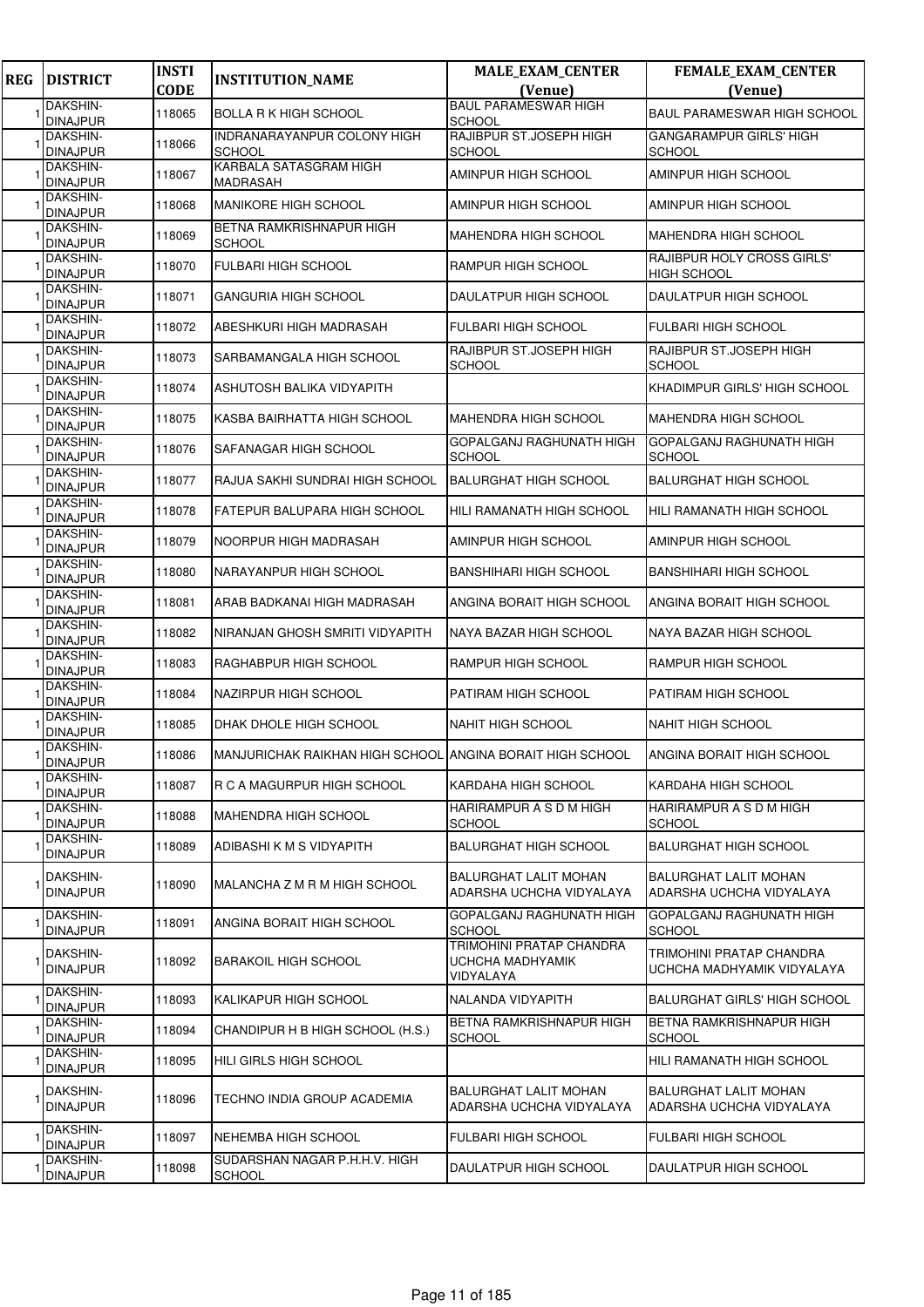| <b>REG</b> | <b>DISTRICT</b>                    | <b>INSTI</b><br><b>CODE</b> | <b>INSTITUTION_NAME</b>                                   | <b>MALE_EXAM_CENTER</b><br>(Venue)                        | FEMALE_EXAM_CENTER<br>(Venue)                            |
|------------|------------------------------------|-----------------------------|-----------------------------------------------------------|-----------------------------------------------------------|----------------------------------------------------------|
|            | DAKSHIN-<br><b>DINAJPUR</b>        | 118065                      | <b>BOLLA R K HIGH SCHOOL</b>                              | <b>BAUL PARAMESWAR HIGH</b><br><b>SCHOOL</b>              | BAUL PARAMESWAR HIGH SCHOOL                              |
|            | DAKSHIN-<br><b>DINAJPUR</b>        | 118066                      | INDRANARAYANPUR COLONY HIGH<br><b>SCHOOL</b>              | RAJIBPUR ST.JOSEPH HIGH<br><b>SCHOOL</b>                  | <b>GANGARAMPUR GIRLS' HIGH</b><br><b>SCHOOL</b>          |
|            | <b>DAKSHIN-</b><br><b>DINAJPUR</b> | 118067                      | KARBALA SATASGRAM HIGH<br>MADRASAH                        | AMINPUR HIGH SCHOOL                                       | AMINPUR HIGH SCHOOL                                      |
|            | DAKSHIN-<br><b>DINAJPUR</b>        | 118068                      | <b>MANIKORE HIGH SCHOOL</b>                               | AMINPUR HIGH SCHOOL                                       | AMINPUR HIGH SCHOOL                                      |
|            | DAKSHIN-<br><b>DINAJPUR</b>        | 118069                      | BETNA RAMKRISHNAPUR HIGH<br><b>SCHOOL</b>                 | MAHENDRA HIGH SCHOOL                                      | MAHENDRA HIGH SCHOOL                                     |
|            | <b>DAKSHIN-</b><br><b>DINAJPUR</b> | 118070                      | <b>FULBARI HIGH SCHOOL</b>                                | RAMPUR HIGH SCHOOL                                        | RAJIBPUR HOLY CROSS GIRLS'<br><b>HIGH SCHOOL</b>         |
|            | <b>DAKSHIN-</b><br><b>DINAJPUR</b> | 118071                      | GANGURIA HIGH SCHOOL                                      | DAULATPUR HIGH SCHOOL                                     | DAULATPUR HIGH SCHOOL                                    |
|            | <b>DAKSHIN-</b><br><b>DINAJPUR</b> | 118072                      | ABESHKURI HIGH MADRASAH                                   | <b>FULBARI HIGH SCHOOL</b>                                | <b>FULBARI HIGH SCHOOL</b>                               |
|            | <b>DAKSHIN-</b><br><b>DINAJPUR</b> | 118073                      | SARBAMANGALA HIGH SCHOOL                                  | RAJIBPUR ST.JOSEPH HIGH<br>SCHOOL                         | RAJIBPUR ST.JOSEPH HIGH<br><b>SCHOOL</b>                 |
|            | DAKSHIN-<br><b>DINAJPUR</b>        | 118074                      | ASHUTOSH BALIKA VIDYAPITH                                 |                                                           | KHADIMPUR GIRLS' HIGH SCHOOL                             |
|            | <b>DAKSHIN-</b><br><b>DINAJPUR</b> | 118075                      | KASBA BAIRHATTA HIGH SCHOOL                               | <b>MAHENDRA HIGH SCHOOL</b>                               | MAHENDRA HIGH SCHOOL                                     |
|            | <b>DAKSHIN-</b><br><b>DINAJPUR</b> | 118076                      | SAFANAGAR HIGH SCHOOL                                     | GOPALGANJ RAGHUNATH HIGH<br><b>SCHOOL</b>                 | GOPALGANJ RAGHUNATH HIGH<br><b>SCHOOL</b>                |
|            | DAKSHIN-<br><b>DINAJPUR</b>        | 118077                      | RAJUA SAKHI SUNDRAI HIGH SCHOOL                           | <b>BALURGHAT HIGH SCHOOL</b>                              | <b>BALURGHAT HIGH SCHOOL</b>                             |
|            | <b>DAKSHIN-</b><br><b>DINAJPUR</b> | 118078                      | FATEPUR BALUPARA HIGH SCHOOL                              | HILI RAMANATH HIGH SCHOOL                                 | HILI RAMANATH HIGH SCHOOL                                |
|            | <b>DAKSHIN-</b><br><b>DINAJPUR</b> | 118079                      | NOORPUR HIGH MADRASAH                                     | AMINPUR HIGH SCHOOL                                       | AMINPUR HIGH SCHOOL                                      |
|            | <b>DAKSHIN-</b><br><b>DINAJPUR</b> | 118080                      | NARAYANPUR HIGH SCHOOL                                    | BANSHIHARI HIGH SCHOOL                                    | <b>BANSHIHARI HIGH SCHOOL</b>                            |
|            | DAKSHIN-<br><b>DINAJPUR</b>        | 118081                      | ARAB BADKANAI HIGH MADRASAH                               | ANGINA BORAIT HIGH SCHOOL                                 | ANGINA BORAIT HIGH SCHOOL                                |
|            | <b>DAKSHIN-</b><br><b>DINAJPUR</b> | 118082                      | NIRANJAN GHOSH SMRITI VIDYAPITH                           | NAYA BAZAR HIGH SCHOOL                                    | NAYA BAZAR HIGH SCHOOL                                   |
|            | DAKSHIN-<br><b>DINAJPUR</b>        | 118083                      | RAGHABPUR HIGH SCHOOL                                     | RAMPUR HIGH SCHOOL                                        | <b>RAMPUR HIGH SCHOOL</b>                                |
|            | DAKSHIN-<br><b>DINAJPUR</b>        | 118084                      | <b>NAZIRPUR HIGH SCHOOL</b>                               | PATIRAM HIGH SCHOOL                                       | PATIRAM HIGH SCHOOL                                      |
|            | DAKSHIN-<br><b>DINAJPUR</b>        | 118085                      | DHAK DHOLE HIGH SCHOOL                                    | NAHIT HIGH SCHOOL                                         | <b>NAHIT HIGH SCHOOL</b>                                 |
|            | <b>DAKSHIN-</b><br><b>DINAJPUR</b> | 118086                      | MANJURICHAK RAIKHAN HIGH SCHOOL ANGINA BORAIT HIGH SCHOOL |                                                           | ANGINA BORAIT HIGH SCHOOL                                |
|            | <b>DAKSHIN-</b><br><b>DINAJPUR</b> | 118087                      | R C A MAGURPUR HIGH SCHOOL                                | KARDAHA HIGH SCHOOL                                       | KARDAHA HIGH SCHOOL                                      |
|            | <b>DAKSHIN-</b><br><b>DINAJPUR</b> | 118088                      | <b>MAHENDRA HIGH SCHOOL</b>                               | <b>HARIRAMPUR A S D M HIGH</b><br><b>SCHOOL</b>           | HARIRAMPUR A S D M HIGH<br><b>SCHOOL</b>                 |
|            | DAKSHIN-<br><b>DINAJPUR</b>        | 118089                      | ADIBASHI K M S VIDYAPITH                                  | <b>BALURGHAT HIGH SCHOOL</b>                              | <b>BALURGHAT HIGH SCHOOL</b>                             |
|            | DAKSHIN-<br><b>DINAJPUR</b>        | 118090                      | MALANCHA Z M R M HIGH SCHOOL                              | <b>BALURGHAT LALIT MOHAN</b><br>ADARSHA UCHCHA VIDYALAYA  | BALURGHAT LALIT MOHAN<br>ADARSHA UCHCHA VIDYALAYA        |
|            | DAKSHIN-<br><b>DINAJPUR</b>        | 118091                      | ANGINA BORAIT HIGH SCHOOL                                 | GOPALGANJ RAGHUNATH HIGH<br><b>SCHOOL</b>                 | GOPALGANJ RAGHUNATH HIGH<br><b>SCHOOL</b>                |
|            | DAKSHIN-<br><b>DINAJPUR</b>        | 118092                      | <b>BARAKOIL HIGH SCHOOL</b>                               | TRIMOHINI PRATAP CHANDRA<br>UCHCHA MADHYAMIK<br>VIDYALAYA | TRIMOHINI PRATAP CHANDRA<br>UCHCHA MADHYAMIK VIDYALAYA   |
|            | <b>DAKSHIN-</b><br><b>DINAJPUR</b> | 118093                      | KALIKAPUR HIGH SCHOOL                                     | NALANDA VIDYAPITH                                         | <b>BALURGHAT GIRLS' HIGH SCHOOL</b>                      |
|            | DAKSHIN-<br><b>DINAJPUR</b>        | 118094                      | CHANDIPUR H B HIGH SCHOOL (H.S.)                          | BETNA RAMKRISHNAPUR HIGH<br><b>SCHOOL</b>                 | <b>BETNA RAMKRISHNAPUR HIGH</b><br><b>SCHOOL</b>         |
|            | <b>DAKSHIN-</b><br><b>DINAJPUR</b> | 118095                      | HILI GIRLS HIGH SCHOOL                                    |                                                           | HILI RAMANATH HIGH SCHOOL                                |
|            | DAKSHIN-<br><b>DINAJPUR</b>        | 118096                      | TECHNO INDIA GROUP ACADEMIA                               | BALURGHAT LALIT MOHAN<br>ADARSHA UCHCHA VIDYALAYA         | <b>BALURGHAT LALIT MOHAN</b><br>ADARSHA UCHCHA VIDYALAYA |
|            | <b>DAKSHIN-</b><br><b>DINAJPUR</b> | 118097                      | NEHEMBA HIGH SCHOOL                                       | <b>FULBARI HIGH SCHOOL</b>                                | <b>FULBARI HIGH SCHOOL</b>                               |
|            | DAKSHIN-<br><b>DINAJPUR</b>        | 118098                      | SUDARSHAN NAGAR P.H.H.V. HIGH<br><b>SCHOOL</b>            | DAULATPUR HIGH SCHOOL                                     | DAULATPUR HIGH SCHOOL                                    |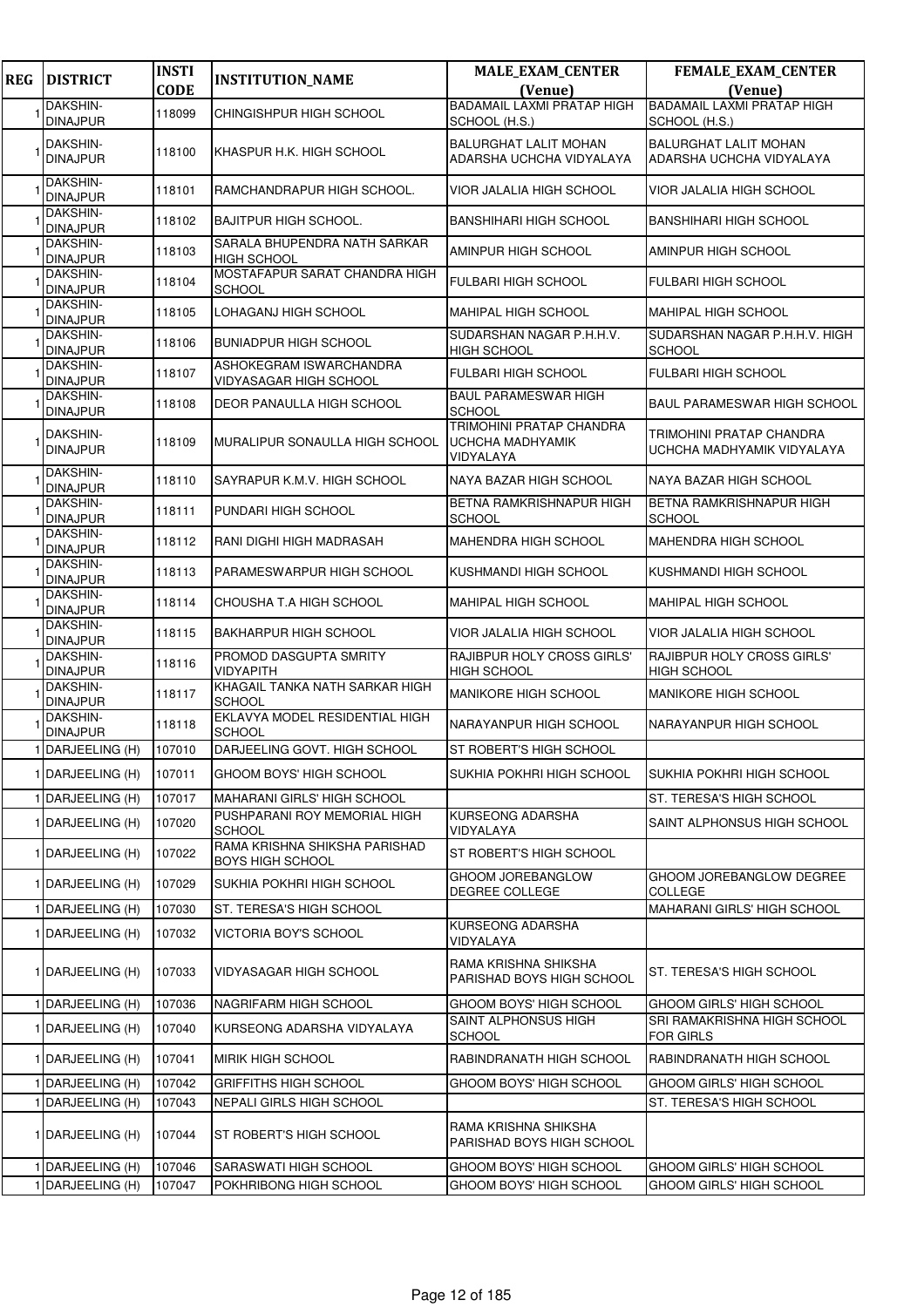| <b>REG</b> | <b>DISTRICT</b>                    | <b>INSTI</b><br><b>CODE</b> | <b>INSTITUTION_NAME</b>                                  | <b>MALE_EXAM_CENTER</b><br>(Venue)                        | <b>FEMALE_EXAM_CENTER</b><br>(Venue)                     |
|------------|------------------------------------|-----------------------------|----------------------------------------------------------|-----------------------------------------------------------|----------------------------------------------------------|
|            | <b>DAKSHIN-</b>                    | 118099                      | CHINGISHPUR HIGH SCHOOL                                  | <b>BADAMAIL LAXMI PRATAP HIGH</b>                         | <b>BADAMAIL LAXMI PRATAP HIGH</b>                        |
|            | <b>DINAJPUR</b>                    |                             |                                                          | SCHOOL (H.S.)                                             | SCHOOL (H.S.)                                            |
|            | DAKSHIN-<br><b>DINAJPUR</b>        | 118100                      | KHASPUR H.K. HIGH SCHOOL                                 | <b>BALURGHAT LALIT MOHAN</b><br>ADARSHA UCHCHA VIDYALAYA  | <b>BALURGHAT LALIT MOHAN</b><br>ADARSHA UCHCHA VIDYALAYA |
|            | DAKSHIN-<br><b>DINAJPUR</b>        | 118101                      | RAMCHANDRAPUR HIGH SCHOOL.                               | VIOR JALALIA HIGH SCHOOL                                  | VIOR JALALIA HIGH SCHOOL                                 |
|            | DAKSHIN-<br><b>DINAJPUR</b>        | 118102                      | <b>BAJITPUR HIGH SCHOOL.</b>                             | <b>BANSHIHARI HIGH SCHOOL</b>                             | <b>BANSHIHARI HIGH SCHOOL</b>                            |
|            | DAKSHIN-<br><b>DINAJPUR</b>        | 118103                      | SARALA BHUPENDRA NATH SARKAR<br><b>HIGH SCHOOL</b>       | AMINPUR HIGH SCHOOL                                       | AMINPUR HIGH SCHOOL                                      |
|            | DAKSHIN-<br><b>DINAJPUR</b>        | 118104                      | MOSTAFAPUR SARAT CHANDRA HIGH<br><b>SCHOOL</b>           | <b>FULBARI HIGH SCHOOL</b>                                | <b>FULBARI HIGH SCHOOL</b>                               |
|            | DAKSHIN-<br><b>DINAJPUR</b>        | 118105                      | LOHAGANJ HIGH SCHOOL                                     | <b>MAHIPAL HIGH SCHOOL</b>                                | MAHIPAL HIGH SCHOOL                                      |
|            | DAKSHIN-<br><b>DINAJPUR</b>        | 118106                      | <b>BUNIADPUR HIGH SCHOOL</b>                             | SUDARSHAN NAGAR P.H.H.V.<br><b>HIGH SCHOOL</b>            | SUDARSHAN NAGAR P.H.H.V. HIGH<br><b>SCHOOL</b>           |
|            | <b>DAKSHIN-</b><br><b>DINAJPUR</b> | 118107                      | ASHOKEGRAM ISWARCHANDRA<br><b>VIDYASAGAR HIGH SCHOOL</b> | <b>FULBARI HIGH SCHOOL</b>                                | <b>FULBARI HIGH SCHOOL</b>                               |
|            | <b>DAKSHIN-</b><br><b>DINAJPUR</b> | 118108                      | DEOR PANAULLA HIGH SCHOOL                                | <b>BAUL PARAMESWAR HIGH</b><br><b>SCHOOL</b>              | <b>BAUL PARAMESWAR HIGH SCHOOL</b>                       |
|            | DAKSHIN-<br><b>DINAJPUR</b>        | 118109                      | MURALIPUR SONAULLA HIGH SCHOOL                           | TRIMOHINI PRATAP CHANDRA<br>UCHCHA MADHYAMIK<br>VIDYALAYA | TRIMOHINI PRATAP CHANDRA<br>UCHCHA MADHYAMIK VIDYALAYA   |
|            | DAKSHIN-<br><b>DINAJPUR</b>        | 118110                      | SAYRAPUR K.M.V. HIGH SCHOOL                              | NAYA BAZAR HIGH SCHOOL                                    | NAYA BAZAR HIGH SCHOOL                                   |
|            | DAKSHIN-<br><b>DINAJPUR</b>        | 118111                      | PUNDARI HIGH SCHOOL                                      | <b>BETNA RAMKRISHNAPUR HIGH</b><br>SCHOOL                 | BETNA RAMKRISHNAPUR HIGH<br><b>SCHOOL</b>                |
|            | DAKSHIN-<br><b>DINAJPUR</b>        | 118112                      | RANI DIGHI HIGH MADRASAH                                 | <b>MAHENDRA HIGH SCHOOL</b>                               | MAHENDRA HIGH SCHOOL                                     |
|            | DAKSHIN-<br><b>DINAJPUR</b>        | 118113                      | PARAMESWARPUR HIGH SCHOOL                                | KUSHMANDI HIGH SCHOOL                                     | KUSHMANDI HIGH SCHOOL                                    |
|            | DAKSHIN-<br><b>DINAJPUR</b>        | 118114                      | CHOUSHA T.A HIGH SCHOOL                                  | <b>MAHIPAL HIGH SCHOOL</b>                                | <b>MAHIPAL HIGH SCHOOL</b>                               |
|            | DAKSHIN-<br><b>DINAJPUR</b>        | 118115                      | <b>BAKHARPUR HIGH SCHOOL</b>                             | VIOR JALALIA HIGH SCHOOL                                  | VIOR JALALIA HIGH SCHOOL                                 |
|            | DAKSHIN-<br><b>DINAJPUR</b>        | 118116                      | PROMOD DASGUPTA SMRITY<br><b>VIDYAPITH</b>               | <b>RAJIBPUR HOLY CROSS GIRLS'</b><br><b>HIGH SCHOOL</b>   | <b>RAJIBPUR HOLY CROSS GIRLS'</b><br><b>HIGH SCHOOL</b>  |
|            | DAKSHIN-<br><b>DINAJPUR</b>        | 118117                      | KHAGAIL TANKA NATH SARKAR HIGH<br><b>SCHOOL</b>          | <b>MANIKORE HIGH SCHOOL</b>                               | MANIKORE HIGH SCHOOL                                     |
|            | DAKSHIN-<br><b>DINAJPUR</b>        | 118118                      | EKLAVYA MODEL RESIDENTIAL HIGH<br><b>SCHOOL</b>          | NARAYANPUR HIGH SCHOOL                                    | NARAYANPUR HIGH SCHOOL                                   |
|            | 1 DARJEELING (H)                   | 107010                      | DARJEELING GOVT. HIGH SCHOOL                             | ST ROBERT'S HIGH SCHOOL                                   |                                                          |
|            | 1 DARJEELING (H)                   | 107011                      | GHOOM BOYS' HIGH SCHOOL                                  | SUKHIA POKHRI HIGH SCHOOL                                 | SUKHIA POKHRI HIGH SCHOOL                                |
|            | 1 DARJEELING (H)                   | 107017                      | <b>MAHARANI GIRLS' HIGH SCHOOL</b>                       |                                                           | ST. TERESA'S HIGH SCHOOL                                 |
|            | 1 DARJEELING (H)                   | 107020                      | PUSHPARANI ROY MEMORIAL HIGH<br><b>SCHOOL</b>            | <b>KURSEONG ADARSHA</b><br>VIDYALAYA                      | SAINT ALPHONSUS HIGH SCHOOL                              |
|            | 1 DARJEELING (H)                   | 107022                      | RAMA KRISHNA SHIKSHA PARISHAD<br><b>BOYS HIGH SCHOOL</b> | ST ROBERT'S HIGH SCHOOL                                   |                                                          |
|            | 1 DARJEELING (H)                   | 107029                      | SUKHIA POKHRI HIGH SCHOOL                                | GHOOM JOREBANGLOW<br>DEGREE COLLEGE                       | GHOOM JOREBANGLOW DEGREE<br><b>COLLEGE</b>               |
|            | DARJEELING (H)                     | 107030                      | ST. TERESA'S HIGH SCHOOL                                 |                                                           | MAHARANI GIRLS' HIGH SCHOOL                              |
|            | 1 DARJEELING (H)                   | 107032                      | VICTORIA BOY'S SCHOOL                                    | <b>KURSEONG ADARSHA</b><br>VIDYALAYA                      |                                                          |
|            | 1 DARJEELING (H)                   | 107033                      | VIDYASAGAR HIGH SCHOOL                                   | RAMA KRISHNA SHIKSHA<br>PARISHAD BOYS HIGH SCHOOL         | ST. TERESA'S HIGH SCHOOL                                 |
| 1          | DARJEELING (H)                     | 107036                      | NAGRIFARM HIGH SCHOOL                                    | GHOOM BOYS' HIGH SCHOOL                                   | GHOOM GIRLS' HIGH SCHOOL                                 |
|            | 1 DARJEELING (H)                   | 107040                      | KURSEONG ADARSHA VIDYALAYA                               | SAINT ALPHONSUS HIGH<br><b>SCHOOL</b>                     | SRI RAMAKRISHNA HIGH SCHOOL<br><b>FOR GIRLS</b>          |
|            | 1 DARJEELING (H)                   | 107041                      | <b>MIRIK HIGH SCHOOL</b>                                 | RABINDRANATH HIGH SCHOOL                                  | RABINDRANATH HIGH SCHOOL                                 |
|            | DARJEELING (H)                     | 107042                      | <b>GRIFFITHS HIGH SCHOOL</b>                             | GHOOM BOYS' HIGH SCHOOL                                   | GHOOM GIRLS' HIGH SCHOOL                                 |
|            | DARJEELING (H)                     | 107043                      | NEPALI GIRLS HIGH SCHOOL                                 |                                                           | ST. TERESA'S HIGH SCHOOL                                 |
|            | 1 DARJEELING (H)                   | 107044                      | ST ROBERT'S HIGH SCHOOL                                  | RAMA KRISHNA SHIKSHA<br>PARISHAD BOYS HIGH SCHOOL         |                                                          |
|            | DARJEELING (H)                     | 107046                      | SARASWATI HIGH SCHOOL                                    | GHOOM BOYS' HIGH SCHOOL                                   | GHOOM GIRLS' HIGH SCHOOL                                 |
|            | DARJEELING (H)                     | 107047                      | POKHRIBONG HIGH SCHOOL                                   | GHOOM BOYS' HIGH SCHOOL                                   | GHOOM GIRLS' HIGH SCHOOL                                 |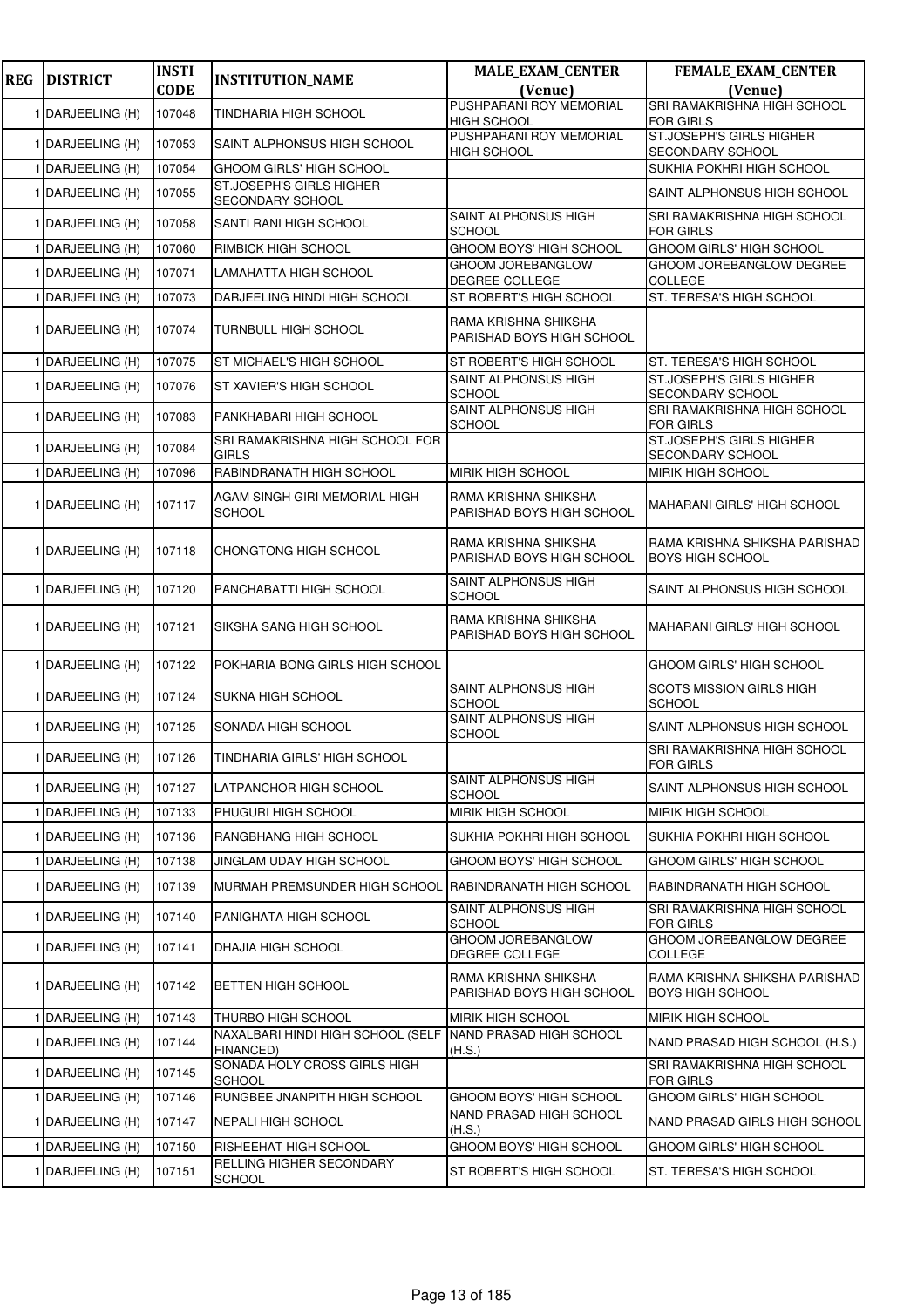| <b>REG</b> | <b>DISTRICT</b>  | <b>INSTI</b> | <b>INSTITUTION_NAME</b>                         | <b>MALE_EXAM_CENTER</b>                           | FEMALE_EXAM_CENTER                                       |
|------------|------------------|--------------|-------------------------------------------------|---------------------------------------------------|----------------------------------------------------------|
|            |                  | <b>CODE</b>  |                                                 | (Venue)                                           | (Venue)                                                  |
|            | 1 DARJEELING (H) | 107048       | TINDHARIA HIGH SCHOOL                           | PUSHPARANI ROY MEMORIAL<br><b>HIGH SCHOOL</b>     | SRI RAMAKRISHNA HIGH SCHOOL<br><b>FOR GIRLS</b>          |
|            | 1 DARJEELING (H) | 107053       | SAINT ALPHONSUS HIGH SCHOOL                     | PUSHPARANI ROY MEMORIAL<br><b>HIGH SCHOOL</b>     | ST.JOSEPH'S GIRLS HIGHER<br>SECONDARY SCHOOL             |
|            | DARJEELING (H)   | 107054       | <b>GHOOM GIRLS' HIGH SCHOOL</b>                 |                                                   | SUKHIA POKHRI HIGH SCHOOL                                |
|            | 1 DARJEELING (H) | 107055       | ST.JOSEPH'S GIRLS HIGHER<br>SECONDARY SCHOOL    |                                                   | SAINT ALPHONSUS HIGH SCHOOL                              |
|            | 1 DARJEELING (H) | 107058       | SANTI RANI HIGH SCHOOL                          | SAINT ALPHONSUS HIGH<br><b>SCHOOL</b>             | SRI RAMAKRISHNA HIGH SCHOOL<br><b>FOR GIRLS</b>          |
|            | 1 DARJEELING (H) | 107060       | RIMBICK HIGH SCHOOL                             | GHOOM BOYS' HIGH SCHOOL                           | GHOOM GIRLS' HIGH SCHOOL                                 |
|            | 1 DARJEELING (H) | 107071       | LAMAHATTA HIGH SCHOOL                           | <b>GHOOM JOREBANGLOW</b><br>DEGREE COLLEGE        | GHOOM JOREBANGLOW DEGREE<br><b>COLLEGE</b>               |
|            | 1 DARJEELING (H) | 107073       | DARJEELING HINDI HIGH SCHOOL                    | ST ROBERT'S HIGH SCHOOL                           | ST. TERESA'S HIGH SCHOOL                                 |
|            | 1 DARJEELING (H) | 107074       | <b>TURNBULL HIGH SCHOOL</b>                     | RAMA KRISHNA SHIKSHA<br>PARISHAD BOYS HIGH SCHOOL |                                                          |
|            | 1 DARJEELING (H) | 107075       | ST MICHAEL'S HIGH SCHOOL                        | ST ROBERT'S HIGH SCHOOL                           | ST. TERESA'S HIGH SCHOOL                                 |
|            | 1 DARJEELING (H) | 107076       | ST XAVIER'S HIGH SCHOOL                         | SAINT ALPHONSUS HIGH<br><b>SCHOOL</b>             | ST.JOSEPH'S GIRLS HIGHER<br><b>SECONDARY SCHOOL</b>      |
|            | 1 DARJEELING (H) | 107083       | PANKHABARI HIGH SCHOOL                          | SAINT ALPHONSUS HIGH<br><b>SCHOOL</b>             | SRI RAMAKRISHNA HIGH SCHOOL<br><b>FOR GIRLS</b>          |
|            | 1 DARJEELING (H) | 107084       | SRI RAMAKRISHNA HIGH SCHOOL FOR<br><b>GIRLS</b> |                                                   | ST.JOSEPH'S GIRLS HIGHER<br>SECONDARY SCHOOL             |
|            | 1 DARJEELING (H) | 107096       | RABINDRANATH HIGH SCHOOL                        | MIRIK HIGH SCHOOL                                 | MIRIK HIGH SCHOOL                                        |
|            | 1 DARJEELING (H) | 107117       | AGAM SINGH GIRI MEMORIAL HIGH<br><b>SCHOOL</b>  | RAMA KRISHNA SHIKSHA<br>PARISHAD BOYS HIGH SCHOOL | <b>MAHARANI GIRLS' HIGH SCHOOL</b>                       |
|            | 1 DARJEELING (H) | 107118       | CHONGTONG HIGH SCHOOL                           | RAMA KRISHNA SHIKSHA<br>PARISHAD BOYS HIGH SCHOOL | RAMA KRISHNA SHIKSHA PARISHAD<br><b>BOYS HIGH SCHOOL</b> |
|            | 1 DARJEELING (H) | 107120       | PANCHABATTI HIGH SCHOOL                         | SAINT ALPHONSUS HIGH<br><b>SCHOOL</b>             | SAINT ALPHONSUS HIGH SCHOOL                              |
|            | 1 DARJEELING (H) | 107121       | SIKSHA SANG HIGH SCHOOL                         | RAMA KRISHNA SHIKSHA<br>PARISHAD BOYS HIGH SCHOOL | <b>MAHARANI GIRLS' HIGH SCHOOL</b>                       |
|            | 1 DARJEELING (H) | 107122       | POKHARIA BONG GIRLS HIGH SCHOOL                 |                                                   | GHOOM GIRLS' HIGH SCHOOL                                 |
|            | 1 DARJEELING (H) | 107124       | SUKNA HIGH SCHOOL                               | SAINT ALPHONSUS HIGH<br><b>SCHOOL</b>             | <b>SCOTS MISSION GIRLS HIGH</b><br><b>SCHOOL</b>         |
|            | 1 DARJEELING (H) | 107125       | SONADA HIGH SCHOOL                              | SAINT ALPHONSUS HIGH<br><b>SCHOOL</b>             | SAINT ALPHONSUS HIGH SCHOOL                              |
|            | 1 DARJEELING (H) | 107126       | TINDHARIA GIRLS' HIGH SCHOOL                    |                                                   | SRI RAMAKRISHNA HIGH SCHOOL<br><b>FOR GIRLS</b>          |
|            | 1 DARJEELING (H) | 107127       | LATPANCHOR HIGH SCHOOL                          | SAINT ALPHONSUS HIGH<br><b>SCHOOL</b>             | SAINT ALPHONSUS HIGH SCHOOL                              |
|            | 1 DARJEELING (H) | 107133       | PHUGURI HIGH SCHOOL                             | MIRIK HIGH SCHOOL                                 | MIRIK HIGH SCHOOL                                        |
|            | 1 DARJEELING (H) | 107136       | RANGBHANG HIGH SCHOOL                           | SUKHIA POKHRI HIGH SCHOOL                         | SUKHIA POKHRI HIGH SCHOOL                                |
|            | DARJEELING (H)   | 107138       | JINGLAM UDAY HIGH SCHOOL                        | GHOOM BOYS' HIGH SCHOOL                           | GHOOM GIRLS' HIGH SCHOOL                                 |
|            | 1 DARJEELING (H) | 107139       | MURMAH PREMSUNDER HIGH SCHOOL                   | RABINDRANATH HIGH SCHOOL                          | RABINDRANATH HIGH SCHOOL                                 |
|            | 1 DARJEELING (H) | 107140       | PANIGHATA HIGH SCHOOL                           | SAINT ALPHONSUS HIGH<br><b>SCHOOL</b>             | SRI RAMAKRISHNA HIGH SCHOOL<br><b>FOR GIRLS</b>          |
|            | 1 DARJEELING (H) | 107141       | DHAJIA HIGH SCHOOL                              | GHOOM JOREBANGLOW<br>DEGREE COLLEGE               | GHOOM JOREBANGLOW DEGREE<br><b>COLLEGE</b>               |
|            | 1 DARJEELING (H) | 107142       | <b>BETTEN HIGH SCHOOL</b>                       | RAMA KRISHNA SHIKSHA<br>PARISHAD BOYS HIGH SCHOOL | RAMA KRISHNA SHIKSHA PARISHAD<br><b>BOYS HIGH SCHOOL</b> |
|            | 1 DARJEELING (H) | 107143       | THURBO HIGH SCHOOL                              | <b>MIRIK HIGH SCHOOL</b>                          | MIRIK HIGH SCHOOL                                        |
|            | 1 DARJEELING (H) | 107144       | NAXALBARI HINDI HIGH SCHOOL (SELF<br>FINANCED)  | NAND PRASAD HIGH SCHOOL<br>(H.S.)                 | NAND PRASAD HIGH SCHOOL (H.S.)                           |
|            | 1 DARJEELING (H) | 107145       | SONADA HOLY CROSS GIRLS HIGH<br><b>SCHOOL</b>   |                                                   | SRI RAMAKRISHNA HIGH SCHOOL<br><b>FOR GIRLS</b>          |
|            | 1 DARJEELING (H) | 107146       | RUNGBEE JNANPITH HIGH SCHOOL                    | GHOOM BOYS' HIGH SCHOOL                           | GHOOM GIRLS' HIGH SCHOOL                                 |
|            | 1 DARJEELING (H) | 107147       | NEPALI HIGH SCHOOL                              | NAND PRASAD HIGH SCHOOL<br>(H.S.)                 | NAND PRASAD GIRLS HIGH SCHOOL                            |
|            | DARJEELING (H)   | 107150       | RISHEEHAT HIGH SCHOOL                           | GHOOM BOYS' HIGH SCHOOL                           | GHOOM GIRLS' HIGH SCHOOL                                 |
|            | 1 DARJEELING (H) | 107151       | RELLING HIGHER SECONDARY<br><b>SCHOOL</b>       | ST ROBERT'S HIGH SCHOOL                           | ST. TERESA'S HIGH SCHOOL                                 |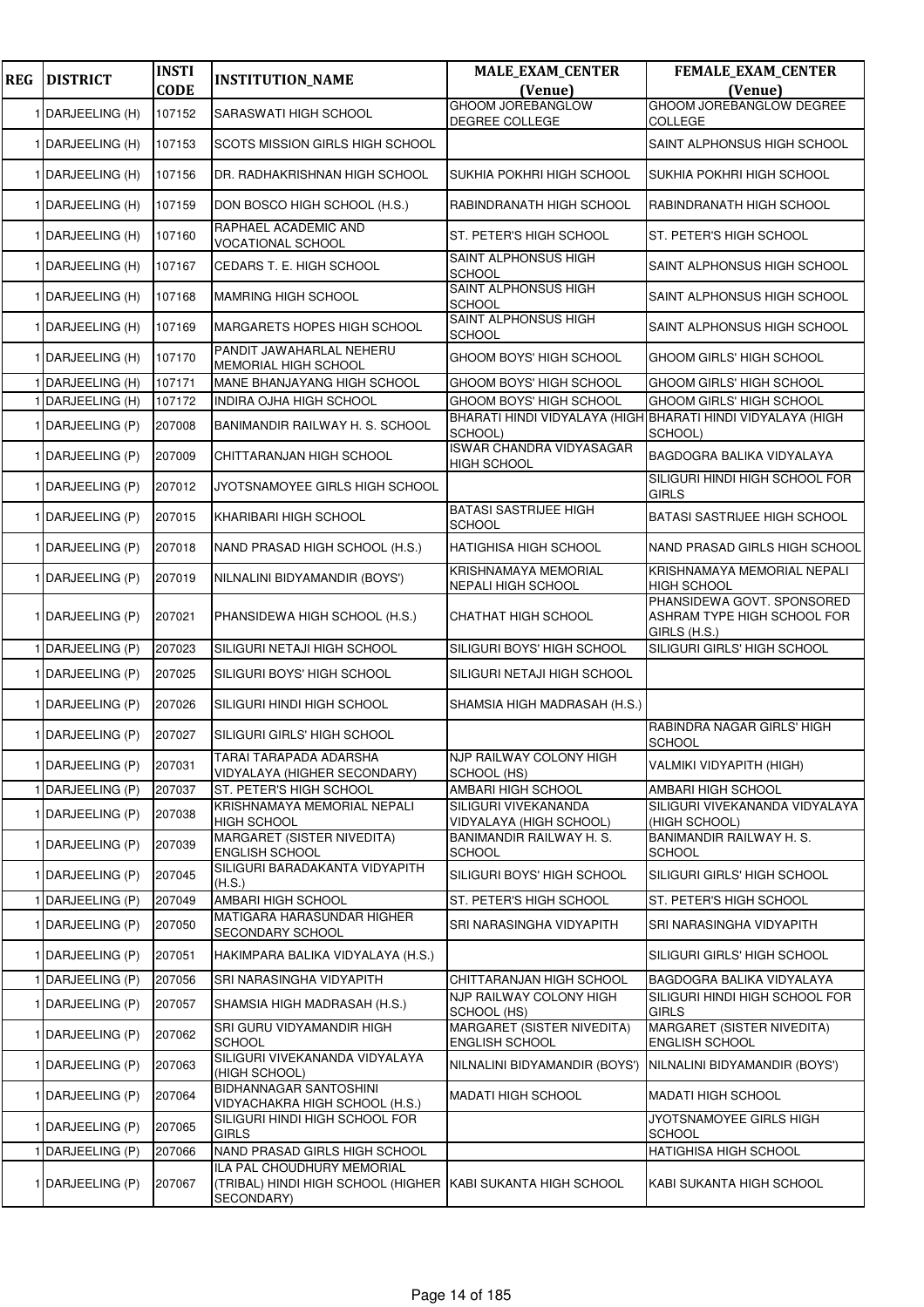| <b>REG</b> | <b>DISTRICT</b>  | <b>INSTI</b><br><b>CODE</b> | <b>INSTITUTION_NAME</b>                                                                                 | <b>MALE_EXAM_CENTER</b><br>(Venue)                         | <b>FEMALE_EXAM_CENTER</b><br>(Venue)                                      |
|------------|------------------|-----------------------------|---------------------------------------------------------------------------------------------------------|------------------------------------------------------------|---------------------------------------------------------------------------|
|            | 1 DARJEELING (H) | 107152                      | SARASWATI HIGH SCHOOL                                                                                   | <b>GHOOM JOREBANGLOW</b>                                   | <b>GHOOM JOREBANGLOW DEGREE</b>                                           |
|            |                  |                             |                                                                                                         | DEGREE COLLEGE                                             | <b>COLLEGE</b>                                                            |
|            | 1 DARJEELING (H) | 107153                      | SCOTS MISSION GIRLS HIGH SCHOOL                                                                         |                                                            | SAINT ALPHONSUS HIGH SCHOOL                                               |
|            | 1 DARJEELING (H) | 107156                      | DR. RADHAKRISHNAN HIGH SCHOOL                                                                           | SUKHIA POKHRI HIGH SCHOOL                                  | SUKHIA POKHRI HIGH SCHOOL                                                 |
|            | 1 DARJEELING (H) | 107159                      | DON BOSCO HIGH SCHOOL (H.S.)                                                                            | RABINDRANATH HIGH SCHOOL                                   | RABINDRANATH HIGH SCHOOL                                                  |
|            | 1 DARJEELING (H) | 107160                      | RAPHAEL ACADEMIC AND<br>VOCATIONAL SCHOOL                                                               | ST. PETER'S HIGH SCHOOL                                    | ST. PETER'S HIGH SCHOOL                                                   |
|            | 1 DARJEELING (H) | 107167                      | CEDARS T. E. HIGH SCHOOL                                                                                | SAINT ALPHONSUS HIGH<br><b>SCHOOL</b>                      | SAINT ALPHONSUS HIGH SCHOOL                                               |
|            | 1 DARJEELING (H) | 107168                      | MAMRING HIGH SCHOOL                                                                                     | SAINT ALPHONSUS HIGH<br>SCHOOL                             | SAINT ALPHONSUS HIGH SCHOOL                                               |
|            | 1 DARJEELING (H) | 107169                      | MARGARETS HOPES HIGH SCHOOL                                                                             | SAINT ALPHONSUS HIGH<br><b>SCHOOL</b>                      | SAINT ALPHONSUS HIGH SCHOOL                                               |
|            | 1 DARJEELING (H) | 107170                      | PANDIT JAWAHARLAL NEHERU<br>MEMORIAL HIGH SCHOOL                                                        | GHOOM BOYS' HIGH SCHOOL                                    | GHOOM GIRLS' HIGH SCHOOL                                                  |
|            | DARJEELING (H)   | 107171                      | MANE BHANJAYANG HIGH SCHOOL                                                                             | GHOOM BOYS' HIGH SCHOOL                                    | GHOOM GIRLS' HIGH SCHOOL                                                  |
|            |                  |                             |                                                                                                         |                                                            |                                                                           |
|            | DARJEELING (H)   | 107172                      | INDIRA OJHA HIGH SCHOOL                                                                                 | GHOOM BOYS' HIGH SCHOOL                                    | GHOOM GIRLS' HIGH SCHOOL                                                  |
|            | 1 DARJEELING (P) | 207008                      | BANIMANDIR RAILWAY H. S. SCHOOL                                                                         | SCHOOL)                                                    | BHARATI HINDI VIDYALAYA (HIGH BHARATI HINDI VIDYALAYA (HIGH<br>SCHOOL)    |
|            | 1 DARJEELING (P) | 207009                      | CHITTARANJAN HIGH SCHOOL                                                                                | ISWAR CHANDRA VIDYASAGAR<br><b>HIGH SCHOOL</b>             | BAGDOGRA BALIKA VIDYALAYA                                                 |
|            | 1 DARJEELING (P) | 207012                      | JYOTSNAMOYEE GIRLS HIGH SCHOOL                                                                          |                                                            | SILIGURI HINDI HIGH SCHOOL FOR<br><b>GIRLS</b>                            |
|            | 1 DARJEELING (P) | 207015                      | KHARIBARI HIGH SCHOOL                                                                                   | <b>BATASI SASTRIJEE HIGH</b><br><b>SCHOOL</b>              | BATASI SASTRIJEE HIGH SCHOOL                                              |
|            | 1 DARJEELING (P) | 207018                      | NAND PRASAD HIGH SCHOOL (H.S.)                                                                          | HATIGHISA HIGH SCHOOL                                      | NAND PRASAD GIRLS HIGH SCHOOL                                             |
|            | 1 DARJEELING (P) | 207019                      | NILNALINI BIDYAMANDIR (BOYS')                                                                           | KRISHNAMAYA MEMORIAL<br>NEPALI HIGH SCHOOL                 | KRISHNAMAYA MEMORIAL NEPALI<br><b>HIGH SCHOOL</b>                         |
|            | 1 DARJEELING (P) | 207021                      | PHANSIDEWA HIGH SCHOOL (H.S.)                                                                           | CHATHAT HIGH SCHOOL                                        | PHANSIDEWA GOVT. SPONSORED<br>ASHRAM TYPE HIGH SCHOOL FOR<br>GIRLS (H.S.) |
|            | 1 DARJEELING (P) | 207023                      | SILIGURI NETAJI HIGH SCHOOL                                                                             | SILIGURI BOYS' HIGH SCHOOL                                 | SILIGURI GIRLS' HIGH SCHOOL                                               |
|            | 1 DARJEELING (P) | 207025                      | SILIGURI BOYS' HIGH SCHOOL                                                                              | SILIGURI NETAJI HIGH SCHOOL                                |                                                                           |
|            | 1 DARJEELING (P) | 207026                      | SILIGURI HINDI HIGH SCHOOL                                                                              | SHAMSIA HIGH MADRASAH (H.S.)                               |                                                                           |
|            | 1 DARJEELING (P) | 207027                      | SILIGURI GIRLS' HIGH SCHOOL                                                                             |                                                            | RABINDRA NAGAR GIRLS' HIGH<br><b>SCHOOL</b>                               |
|            | 1 DARJEELING (P) | 207031                      | <b>TARAI TARAPADA ADARSHA</b><br>VIDYALAYA (HIGHER SECONDARY)                                           | NJP RAILWAY COLONY HIGH<br>SCHOOL (HS)                     | VALMIKI VIDYAPITH (HIGH)                                                  |
|            | 1 DARJEELING (P) | 207037                      | ST. PETER'S HIGH SCHOOL                                                                                 | AMBARI HIGH SCHOOL                                         | AMBARI HIGH SCHOOL                                                        |
|            | 1 DARJEELING (P) | 207038                      | KRISHNAMAYA MEMORIAL NEPALI<br>HIGH SCHOOL                                                              | SILIGURI VIVEKANANDA<br>VIDYALAYA (HIGH SCHOOL)            | SILIGURI VIVEKANANDA VIDYALAYA<br>(HIGH SCHOOL)                           |
|            | 1 DARJEELING (P) | 207039                      | <b>MARGARET (SISTER NIVEDITA)</b><br><b>ENGLISH SCHOOL</b>                                              | BANIMANDIR RAILWAY H. S.<br>SCHOOL                         | BANIMANDIR RAILWAY H. S.<br><b>SCHOOL</b>                                 |
|            | 1 DARJEELING (P) | 207045                      | SILIGURI BARADAKANTA VIDYAPITH<br>(H.S.)                                                                | SILIGURI BOYS' HIGH SCHOOL                                 | SILIGURI GIRLS' HIGH SCHOOL                                               |
|            | DARJEELING (P)   | 207049                      | AMBARI HIGH SCHOOL                                                                                      | ST. PETER'S HIGH SCHOOL                                    | ST. PETER'S HIGH SCHOOL                                                   |
|            | 1 DARJEELING (P) | 207050                      | <b>MATIGARA HARASUNDAR HIGHER</b><br>SECONDARY SCHOOL                                                   | SRI NARASINGHA VIDYAPITH                                   | SRI NARASINGHA VIDYAPITH                                                  |
|            | 1 DARJEELING (P) | 207051                      | HAKIMPARA BALIKA VIDYALAYA (H.S.)                                                                       |                                                            | SILIGURI GIRLS' HIGH SCHOOL                                               |
|            | 1 DARJEELING (P) | 207056                      | SRI NARASINGHA VIDYAPITH                                                                                | CHITTARANJAN HIGH SCHOOL                                   | BAGDOGRA BALIKA VIDYALAYA                                                 |
|            | 1 DARJEELING (P) | 207057                      | SHAMSIA HIGH MADRASAH (H.S.)                                                                            | NJP RAILWAY COLONY HIGH<br>SCHOOL (HS)                     | SILIGURI HINDI HIGH SCHOOL FOR<br><b>GIRLS</b>                            |
|            | 1 DARJEELING (P) | 207062                      | SRI GURU VIDYAMANDIR HIGH<br><b>SCHOOL</b>                                                              | <b>MARGARET (SISTER NIVEDITA)</b><br><b>ENGLISH SCHOOL</b> | MARGARET (SISTER NIVEDITA)<br><b>ENGLISH SCHOOL</b>                       |
|            | 1 DARJEELING (P) | 207063                      | SILIGURI VIVEKANANDA VIDYALAYA<br>(HIGH SCHOOL)                                                         | NILNALINI BIDYAMANDIR (BOYS')                              | NILNALINI BIDYAMANDIR (BOYS')                                             |
|            | 1 DARJEELING (P) | 207064                      | BIDHANNAGAR SANTOSHINI<br>VIDYACHAKRA HIGH SCHOOL (H.S.)                                                | MADATI HIGH SCHOOL                                         | <b>MADATI HIGH SCHOOL</b>                                                 |
|            | 1 DARJEELING (P) | 207065                      | SILIGURI HINDI HIGH SCHOOL FOR<br><b>GIRLS</b>                                                          |                                                            | JYOTSNAMOYEE GIRLS HIGH<br>SCHOOL                                         |
|            | DARJEELING (P)   | 207066                      | NAND PRASAD GIRLS HIGH SCHOOL                                                                           |                                                            | HATIGHISA HIGH SCHOOL                                                     |
|            | 1 DARJEELING (P) | 207067                      | ILA PAL CHOUDHURY MEMORIAL<br>(TRIBAL) HINDI HIGH SCHOOL (HIGHER KABI SUKANTA HIGH SCHOOL<br>SECONDARY) |                                                            | KABI SUKANTA HIGH SCHOOL                                                  |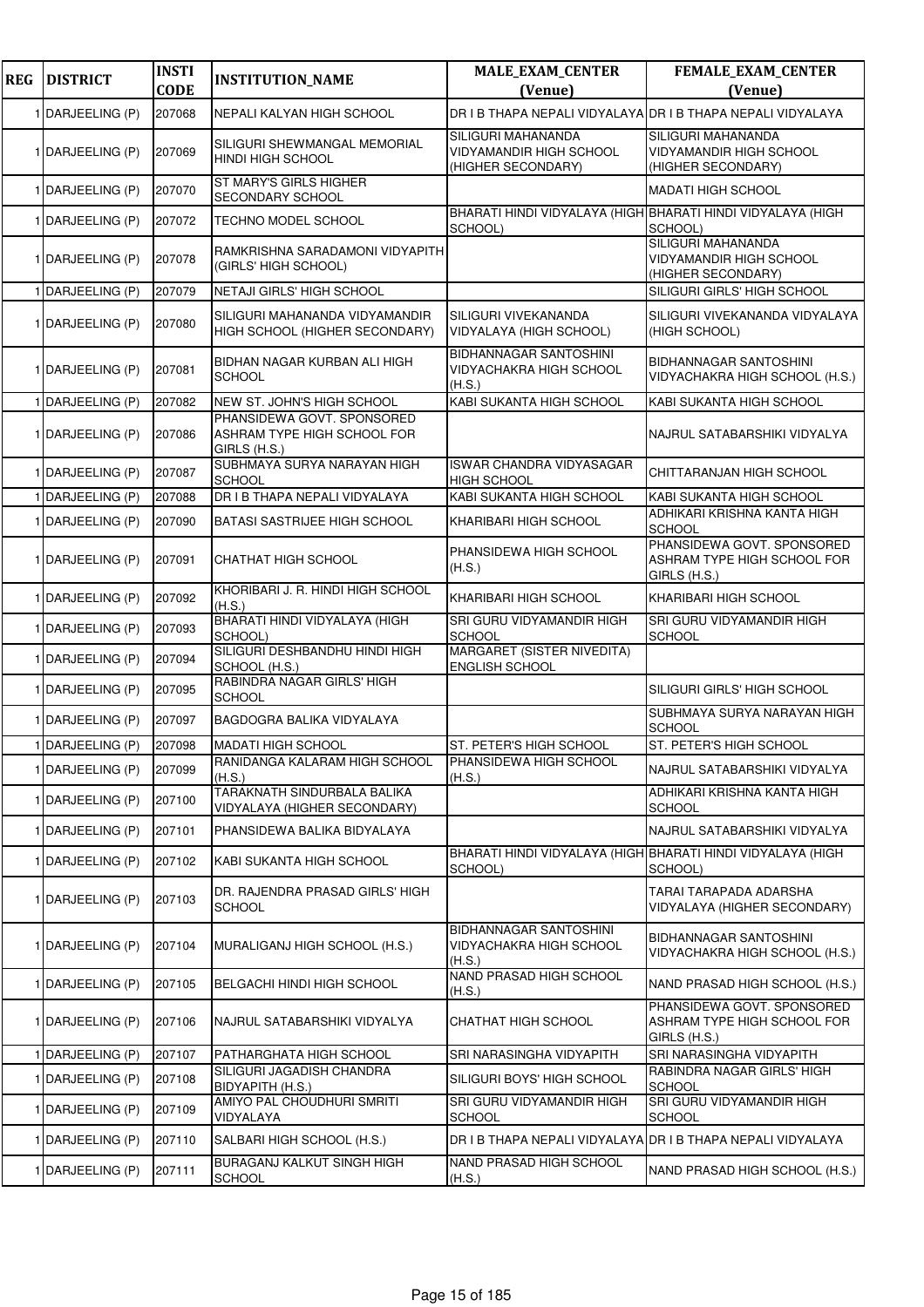| <b>REG</b> | <b>DISTRICT</b>  | <b>INSTI</b> | <b>INSTITUTION_NAME</b>                                                   | <b>MALE_EXAM_CENTER</b>                                                    | FEMALE_EXAM_CENTER                                                         |
|------------|------------------|--------------|---------------------------------------------------------------------------|----------------------------------------------------------------------------|----------------------------------------------------------------------------|
|            |                  | <b>CODE</b>  |                                                                           | (Venue)                                                                    | (Venue)                                                                    |
|            | 1 DARJEELING (P) | 207068       | NEPALI KALYAN HIGH SCHOOL                                                 | DR I B THAPA NEPALI VIDYALAYA DR I B THAPA NEPALI VIDYALAYA                |                                                                            |
|            | 1 DARJEELING (P) | 207069       | SILIGURI SHEWMANGAL MEMORIAL<br>HINDI HIGH SCHOOL                         | SILIGURI MAHANANDA<br><b>VIDYAMANDIR HIGH SCHOOL</b><br>(HIGHER SECONDARY) | SILIGURI MAHANANDA<br><b>VIDYAMANDIR HIGH SCHOOL</b><br>(HIGHER SECONDARY) |
|            | 1 DARJEELING (P) | 207070       | ST MARY'S GIRLS HIGHER<br>SECONDARY SCHOOL                                |                                                                            | <b>MADATI HIGH SCHOOL</b>                                                  |
|            | 1 DARJEELING (P) | 207072       | TECHNO MODEL SCHOOL                                                       | BHARATI HINDI VIDYALAYA (HIGH BHARATI HINDI VIDYALAYA (HIGH<br>SCHOOL)     | SCHOOL)                                                                    |
|            | 1 DARJEELING (P) | 207078       | RAMKRISHNA SARADAMONI VIDYAPITH<br>(GIRLS' HIGH SCHOOL)                   |                                                                            | SILIGURI MAHANANDA<br>VIDYAMANDIR HIGH SCHOOL<br>(HIGHER SECONDARY)        |
|            | 1 DARJEELING (P) | 207079       | NETAJI GIRLS' HIGH SCHOOL                                                 |                                                                            | SILIGURI GIRLS' HIGH SCHOOL                                                |
|            | 1 DARJEELING (P) | 207080       | SILIGURI MAHANANDA VIDYAMANDIR<br>HIGH SCHOOL (HIGHER SECONDARY)          | SILIGURI VIVEKANANDA<br>VIDYALAYA (HIGH SCHOOL)                            | SILIGURI VIVEKANANDA VIDYALAYA<br>(HIGH SCHOOL)                            |
|            | 1 DARJEELING (P) | 207081       | BIDHAN NAGAR KURBAN ALI HIGH<br><b>SCHOOL</b>                             | <b>BIDHANNAGAR SANTOSHINI</b><br>VIDYACHAKRA HIGH SCHOOL<br>(H.S.)         | <b>BIDHANNAGAR SANTOSHINI</b><br>VIDYACHAKRA HIGH SCHOOL (H.S.)            |
|            | 1 DARJEELING (P) | 207082       | NEW ST. JOHN'S HIGH SCHOOL                                                | KABI SUKANTA HIGH SCHOOL                                                   | KABI SUKANTA HIGH SCHOOL                                                   |
|            | 1 DARJEELING (P) | 207086       | PHANSIDEWA GOVT. SPONSORED<br>ASHRAM TYPE HIGH SCHOOL FOR<br>GIRLS (H.S.) |                                                                            | NAJRUL SATABARSHIKI VIDYALYA                                               |
|            | 1 DARJEELING (P) | 207087       | SUBHMAYA SURYA NARAYAN HIGH<br><b>SCHOOL</b>                              | <b>ISWAR CHANDRA VIDYASAGAR</b><br><b>HIGH SCHOOL</b>                      | CHITTARANJAN HIGH SCHOOL                                                   |
|            | DARJEELING (P)   | 207088       | DR I B THAPA NEPALI VIDYALAYA                                             | KABI SUKANTA HIGH SCHOOL                                                   | KABI SUKANTA HIGH SCHOOL                                                   |
|            | 1 DARJEELING (P) | 207090       | BATASI SASTRIJEE HIGH SCHOOL                                              | KHARIBARI HIGH SCHOOL                                                      | ADHIKARI KRISHNA KANTA HIGH<br><b>SCHOOL</b>                               |
|            | 1 DARJEELING (P) | 207091       | <b>CHATHAT HIGH SCHOOL</b>                                                | PHANSIDEWA HIGH SCHOOL<br>(H.S.)                                           | PHANSIDEWA GOVT. SPONSORED<br>ASHRAM TYPE HIGH SCHOOL FOR<br>GIRLS (H.S.)  |
|            | 1 DARJEELING (P) | 207092       | KHORIBARI J. R. HINDI HIGH SCHOOL<br>(H.S.)                               | KHARIBARI HIGH SCHOOL                                                      | KHARIBARI HIGH SCHOOL                                                      |
|            | 1 DARJEELING (P) | 207093       | BHARATI HINDI VIDYALAYA (HIGH<br>SCHOOL)                                  | SRI GURU VIDYAMANDIR HIGH<br><b>SCHOOL</b>                                 | SRI GURU VIDYAMANDIR HIGH<br><b>SCHOOL</b>                                 |
|            | 1 DARJEELING (P) | 207094       | SILIGURI DESHBANDHU HINDI HIGH<br>SCHOOL (H.S.)                           | MARGARET (SISTER NIVEDITA)<br><b>ENGLISH SCHOOL</b>                        |                                                                            |
|            | 1 DARJEELING (P) | 207095       | RABINDRA NAGAR GIRLS' HIGH<br><b>SCHOOL</b>                               |                                                                            | SILIGURI GIRLS' HIGH SCHOOL                                                |
|            | 1 DARJEELING (P) | 207097       | BAGDOGRA BALIKA VIDYALAYA                                                 |                                                                            | SUBHMAYA SURYA NARAYAN HIGH<br><b>SCHOOL</b>                               |
|            | DARJEELING (P)   | 207098       | <b>MADATI HIGH SCHOOL</b>                                                 | ST. PETER'S HIGH SCHOOL                                                    | ST. PETER'S HIGH SCHOOL                                                    |
|            | 1 DARJEELING (P) | 207099       | RANIDANGA KALARAM HIGH SCHOOL<br>(H.S.)                                   | PHANSIDEWA HIGH SCHOOL<br>(H.S.)                                           | NAJRUL SATABARSHIKI VIDYALYA                                               |
|            | 1 DARJEELING (P) | 207100       | TARAKNATH SINDURBALA BALIKA<br>VIDYALAYA (HIGHER SECONDARY)               |                                                                            | ADHIKARI KRISHNA KANTA HIGH<br><b>SCHOOL</b>                               |
|            | 1 DARJEELING (P) | 207101       | PHANSIDEWA BALIKA BIDYALAYA                                               |                                                                            | NAJRUL SATABARSHIKI VIDYALYA                                               |
|            | 1 DARJEELING (P) | 207102       | KABI SUKANTA HIGH SCHOOL                                                  | BHARATI HINDI VIDYALAYA (HIGH BHARATI HINDI VIDYALAYA (HIGH<br>SCHOOL)     | SCHOOL)                                                                    |
|            | 1 DARJEELING (P) | 207103       | DR. RAJENDRA PRASAD GIRLS' HIGH<br><b>SCHOOL</b>                          |                                                                            | TARAI TARAPADA ADARSHA<br>VIDYALAYA (HIGHER SECONDARY)                     |
|            | 1 DARJEELING (P) | 207104       | MURALIGANJ HIGH SCHOOL (H.S.)                                             | <b>BIDHANNAGAR SANTOSHINI</b><br>VIDYACHAKRA HIGH SCHOOL<br>(H.S.)         | <b>BIDHANNAGAR SANTOSHINI</b><br>VIDYACHAKRA HIGH SCHOOL (H.S.)            |
|            | 1 DARJEELING (P) | 207105       | <b>BELGACHI HINDI HIGH SCHOOL</b>                                         | NAND PRASAD HIGH SCHOOL<br>(H.S.)                                          | NAND PRASAD HIGH SCHOOL (H.S.)                                             |
|            | 1 DARJEELING (P) | 207106       | NAJRUL SATABARSHIKI VIDYALYA                                              | CHATHAT HIGH SCHOOL                                                        | PHANSIDEWA GOVT. SPONSORED<br>ASHRAM TYPE HIGH SCHOOL FOR<br>GIRLS (H.S.)  |
|            | 1 DARJEELING (P) | 207107       | PATHARGHATA HIGH SCHOOL                                                   | SRI NARASINGHA VIDYAPITH                                                   | SRI NARASINGHA VIDYAPITH                                                   |
|            | 1 DARJEELING (P) | 207108       | SILIGURI JAGADISH CHANDRA<br>BIDYAPITH (H.S.)                             | SILIGURI BOYS' HIGH SCHOOL                                                 | RABINDRA NAGAR GIRLS' HIGH<br><b>SCHOOL</b>                                |
|            | 1 DARJEELING (P) | 207109       | AMIYO PAL CHOUDHURI SMRITI<br>VIDYALAYA                                   | SRI GURU VIDYAMANDIR HIGH<br><b>SCHOOL</b>                                 | SRI GURU VIDYAMANDIR HIGH<br><b>SCHOOL</b>                                 |
|            | 1 DARJEELING (P) | 207110       | SALBARI HIGH SCHOOL (H.S.)                                                | DR I B THAPA NEPALI VIDYALAYA DR I B THAPA NEPALI VIDYALAYA                |                                                                            |
|            | 1 DARJEELING (P) | 207111       | BURAGANJ KALKUT SINGH HIGH<br><b>SCHOOL</b>                               | NAND PRASAD HIGH SCHOOL<br>(H.S.)                                          | NAND PRASAD HIGH SCHOOL (H.S.)                                             |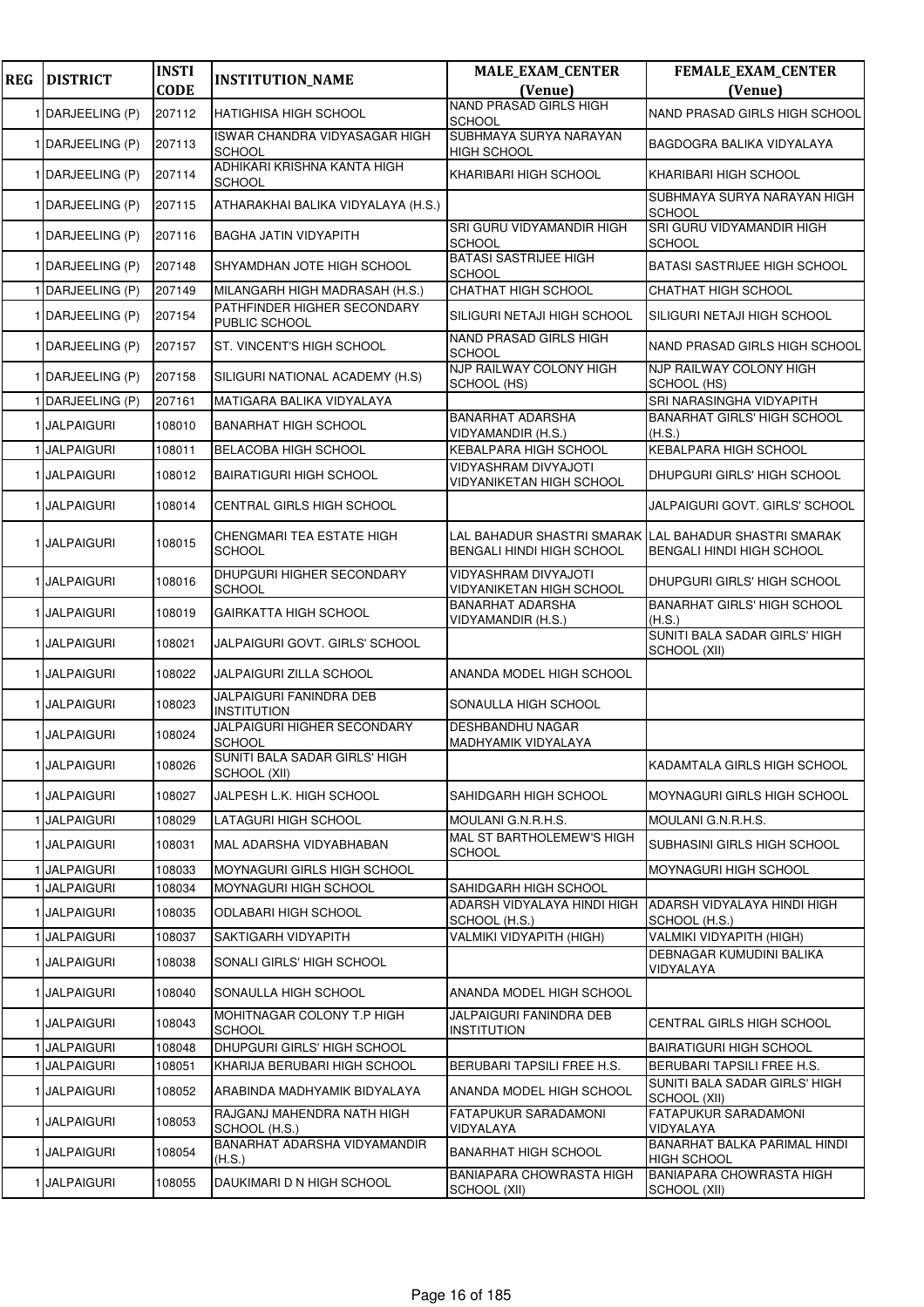| <b>REG</b> | <b>DISTRICT</b>                   | <b>INSTI</b><br><b>CODE</b> | <b>INSTITUTION_NAME</b>                              | <b>MALE_EXAM_CENTER</b><br>(Venue)                   | FEMALE_EXAM_CENTER<br>(Venue)                                                               |
|------------|-----------------------------------|-----------------------------|------------------------------------------------------|------------------------------------------------------|---------------------------------------------------------------------------------------------|
|            | 1 DARJEELING (P)                  | 207112                      | HATIGHISA HIGH SCHOOL                                | <b>NAND PRASAD GIRLS HIGH</b>                        | NAND PRASAD GIRLS HIGH SCHOOL                                                               |
|            | 1 DARJEELING (P)                  | 207113                      | ISWAR CHANDRA VIDYASAGAR HIGH<br><b>SCHOOL</b>       | <b>SCHOOL</b><br>SUBHMAYA SURYA NARAYAN              | BAGDOGRA BALIKA VIDYALAYA                                                                   |
|            | 1 DARJEELING (P)                  | 207114                      | ADHIKARI KRISHNA KANTA HIGH<br><b>SCHOOL</b>         | <b>HIGH SCHOOL</b><br>KHARIBARI HIGH SCHOOL          | KHARIBARI HIGH SCHOOL                                                                       |
|            | 1 DARJEELING (P)                  | 207115                      | ATHARAKHAI BALIKA VIDYALAYA (H.S.)                   |                                                      | SUBHMAYA SURYA NARAYAN HIGH<br><b>SCHOOL</b>                                                |
|            | 1 DARJEELING (P)                  | 207116                      | <b>BAGHA JATIN VIDYAPITH</b>                         | SRI GURU VIDYAMANDIR HIGH<br>SCHOOL                  | SRI GURU VIDYAMANDIR HIGH<br><b>SCHOOL</b>                                                  |
|            | 1 DARJEELING (P)                  | 207148                      | SHYAMDHAN JOTE HIGH SCHOOL                           | <b>BATASI SASTRIJEE HIGH</b><br><b>SCHOOL</b>        | BATASI SASTRIJEE HIGH SCHOOL                                                                |
|            | 1 DARJEELING (P)                  | 207149                      | MILANGARH HIGH MADRASAH (H.S.)                       | CHATHAT HIGH SCHOOL                                  | CHATHAT HIGH SCHOOL                                                                         |
|            | 1 DARJEELING (P)                  | 207154                      | PATHFINDER HIGHER SECONDARY<br>PUBLIC SCHOOL         | SILIGURI NETAJI HIGH SCHOOL                          | SILIGURI NETAJI HIGH SCHOOL                                                                 |
|            | 1 DARJEELING (P)                  | 207157                      | ST. VINCENT'S HIGH SCHOOL                            | NAND PRASAD GIRLS HIGH<br><b>SCHOOL</b>              | NAND PRASAD GIRLS HIGH SCHOOL                                                               |
|            | 1 DARJEELING (P)                  | 207158                      | SILIGURI NATIONAL ACADEMY (H.S)                      | NJP RAILWAY COLONY HIGH<br>SCHOOL (HS)               | NJP RAILWAY COLONY HIGH<br>SCHOOL (HS)                                                      |
|            | 1 DARJEELING (P)                  | 207161                      | MATIGARA BALIKA VIDYALAYA                            |                                                      | SRI NARASINGHA VIDYAPITH                                                                    |
|            | 1 JALPAIGURI                      | 108010                      | <b>BANARHAT HIGH SCHOOL</b>                          | <b>BANARHAT ADARSHA</b><br>VIDYAMANDIR (H.S.)        | <b>BANARHAT GIRLS' HIGH SCHOOL</b><br>(H.S.)                                                |
|            | 1 JALPAIGURI                      | 108011                      | BELACOBA HIGH SCHOOL                                 | KEBALPARA HIGH SCHOOL                                | <b>KEBALPARA HIGH SCHOOL</b>                                                                |
|            | 1 JALPAIGURI                      | 108012                      | <b>BAIRATIGURI HIGH SCHOOL</b>                       | VIDYASHRAM DIVYAJOTI<br>VIDYANIKETAN HIGH SCHOOL     | DHUPGURI GIRLS' HIGH SCHOOL                                                                 |
|            | 1 JALPAIGURI                      | 108014                      | CENTRAL GIRLS HIGH SCHOOL                            |                                                      | JALPAIGURI GOVT. GIRLS' SCHOOL                                                              |
|            | 1 JALPAIGURI                      | 108015                      | CHENGMARI TEA ESTATE HIGH<br><b>SCHOOL</b>           | BENGALI HINDI HIGH SCHOOL                            | LAL BAHADUR SHASTRI SMARAK <b> </b> LAL BAHADUR SHASTRI SMARAK<br>BENGALI HINDI HIGH SCHOOL |
|            | 1 JALPAIGURI                      | 108016                      | DHUPGURI HIGHER SECONDARY<br><b>SCHOOL</b>           | VIDYASHRAM DIVYAJOTI<br>VIDYANIKETAN HIGH SCHOOL     | DHUPGURI GIRLS' HIGH SCHOOL                                                                 |
|            | 1 JALPAIGURI                      | 108019                      | <b>GAIRKATTA HIGH SCHOOL</b>                         | <b>BANARHAT ADARSHA</b><br>VIDYAMANDIR (H.S.)        | <b>BANARHAT GIRLS' HIGH SCHOOL</b><br>(H.S.)                                                |
|            | 1 JALPAIGURI                      | 108021                      | JALPAIGURI GOVT. GIRLS' SCHOOL                       |                                                      | SUNITI BALA SADAR GIRLS' HIGH<br>SCHOOL (XII)                                               |
|            | 1 JALPAIGURI                      | 108022                      | JALPAIGURI ZILLA SCHOOL                              | ANANDA MODEL HIGH SCHOOL                             |                                                                                             |
|            | 1 JALPAIGURI                      | 108023                      | JALPAIGURI FANINDRA DEB<br><b>INSTITUTION</b>        | SONAULLA HIGH SCHOOL                                 |                                                                                             |
|            | 1 JALPAIGURI                      | 108024                      | JALPAIGURI HIGHER SECONDARY<br><b>SCHOOL</b>         | DESHBANDHU NAGAR<br>MADHYAMIK VIDYALAYA              |                                                                                             |
|            | 1 JALPAIGURI                      | 108026                      | SUNITI BALA SADAR GIRLS' HIGH<br>SCHOOL (XII)        |                                                      | KADAMTALA GIRLS HIGH SCHOOL                                                                 |
|            | 1 JALPAIGURI                      | 108027                      | JALPESH L.K. HIGH SCHOOL                             | SAHIDGARH HIGH SCHOOL                                | MOYNAGURI GIRLS HIGH SCHOOL                                                                 |
|            | 1 JALPAIGURI                      | 108029                      | LATAGURI HIGH SCHOOL                                 | MOULANI G.N.R.H.S.                                   | MOULANI G.N.R.H.S.                                                                          |
|            | 1 JALPAIGURI                      | 108031                      | MAL ADARSHA VIDYABHABAN                              | MAL ST BARTHOLEMEW'S HIGH<br>SCHOOL                  | SUBHASINI GIRLS HIGH SCHOOL                                                                 |
|            | 1 JALPAIGURI                      | 108033                      | <b>MOYNAGURI GIRLS HIGH SCHOOL</b>                   |                                                      | MOYNAGURI HIGH SCHOOL                                                                       |
|            | <b>JALPAIGURI</b><br>1 JALPAIGURI | 108034<br>108035            | MOYNAGURI HIGH SCHOOL<br><b>ODLABARI HIGH SCHOOL</b> | SAHIDGARH HIGH SCHOOL<br>ADARSH VIDYALAYA HINDI HIGH | ADARSH VIDYALAYA HINDI HIGH                                                                 |
|            | 1 JALPAIGURI                      | 108037                      | SAKTIGARH VIDYAPITH                                  | SCHOOL (H.S.)<br>VALMIKI VIDYAPITH (HIGH)            | SCHOOL (H.S.)<br>VALMIKI VIDYAPITH (HIGH)                                                   |
|            | 1 JALPAIGURI                      | 108038                      | SONALI GIRLS' HIGH SCHOOL                            |                                                      | DEBNAGAR KUMUDINI BALIKA                                                                    |
|            | 1 JALPAIGURI                      | 108040                      | SONAULLA HIGH SCHOOL                                 | ANANDA MODEL HIGH SCHOOL                             | VIDYALAYA                                                                                   |
|            | 1 JALPAIGURI                      | 108043                      | MOHITNAGAR COLONY T.P HIGH<br><b>SCHOOL</b>          | JALPAIGURI FANINDRA DEB<br><b>INSTITUTION</b>        | CENTRAL GIRLS HIGH SCHOOL                                                                   |
|            | 1 JALPAIGURI                      | 108048                      | DHUPGURI GIRLS' HIGH SCHOOL                          |                                                      | <b>BAIRATIGURI HIGH SCHOOL</b>                                                              |
|            | 1 JALPAIGURI                      | 108051                      | KHARIJA BERUBARI HIGH SCHOOL                         | BERUBARI TAPSILI FREE H.S.                           | BERUBARI TAPSILI FREE H.S.                                                                  |
|            | 1 JALPAIGURI                      | 108052                      | ARABINDA MADHYAMIK BIDYALAYA                         | ANANDA MODEL HIGH SCHOOL                             | SUNITI BALA SADAR GIRLS' HIGH<br>SCHOOL (XII)                                               |
|            | 1 JALPAIGURI                      | 108053                      | RAJGANJ MAHENDRA NATH HIGH<br>SCHOOL (H.S.)          | FATAPUKUR SARADAMONI<br>VIDYALAYA                    | FATAPUKUR SARADAMONI<br>VIDYALAYA                                                           |
|            | 1 JALPAIGURI                      | 108054                      | BANARHAT ADARSHA VIDYAMANDIR<br>(H.S.)               | BANARHAT HIGH SCHOOL                                 | BANARHAT BALKA PARIMAL HINDI<br>HIGH SCHOOL                                                 |
|            | 1 JALPAIGURI                      | 108055                      | DAUKIMARI D N HIGH SCHOOL                            | BANIAPARA CHOWRASTA HIGH<br>SCHOOL (XII)             | <b>BANIAPARA CHOWRASTA HIGH</b><br>SCHOOL (XII)                                             |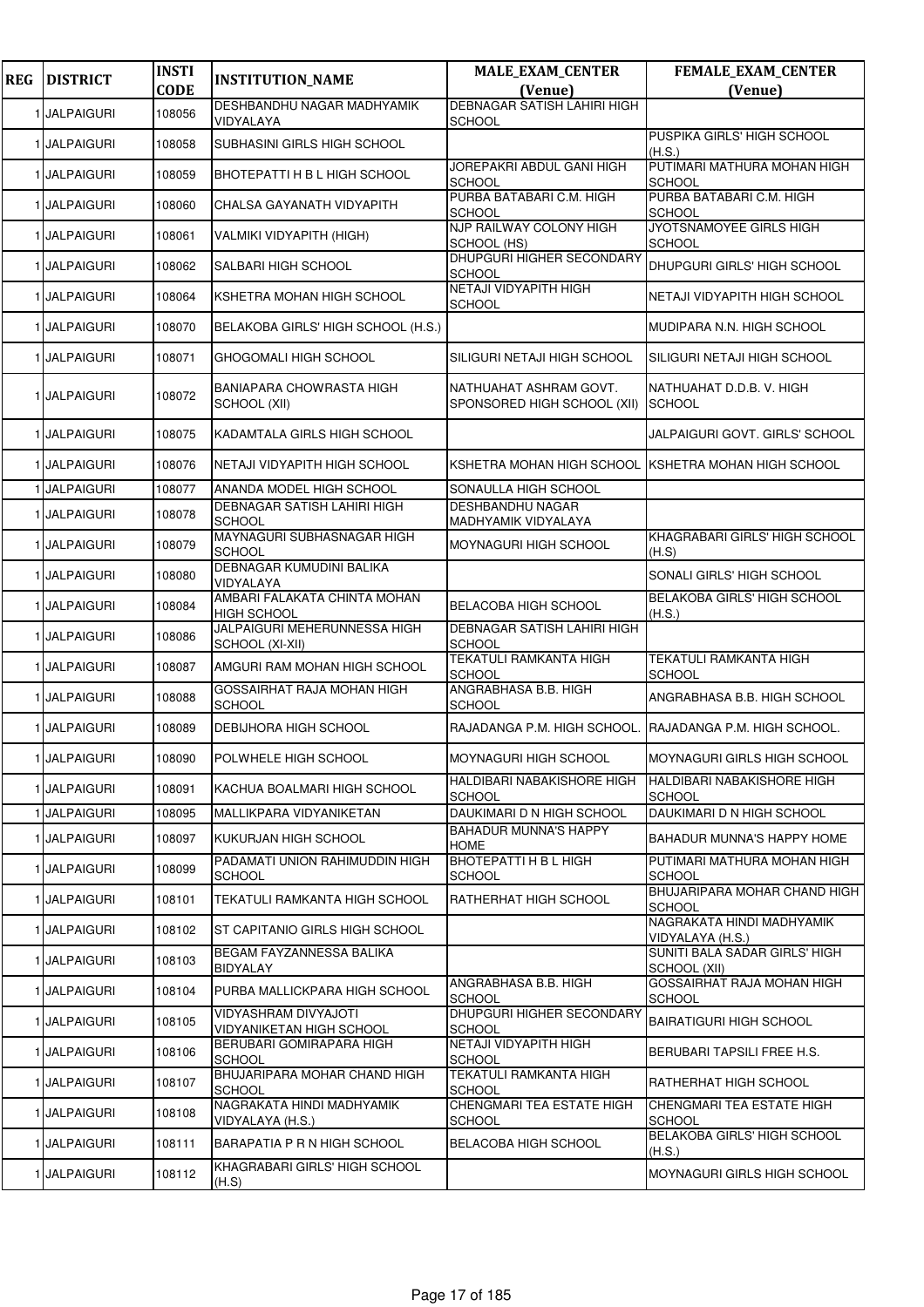| <b>REG</b> | <b>DISTRICT</b> | <b>INSTI</b> | <b>INSTITUTION_NAME</b>                            | <b>MALE_EXAM_CENTER</b>                               | FEMALE_EXAM_CENTER                                   |
|------------|-----------------|--------------|----------------------------------------------------|-------------------------------------------------------|------------------------------------------------------|
|            |                 | <b>CODE</b>  | DESHBANDHU NAGAR MADHYAMIK                         | (Venue)<br><b>DEBNAGAR SATISH LAHIRI HIGH</b>         | (Venue)                                              |
|            | 1 JALPAIGURI    | 108056       | VIDYALAYA                                          | <b>SCHOOL</b>                                         |                                                      |
|            | 1 JALPAIGURI    | 108058       | SUBHASINI GIRLS HIGH SCHOOL                        |                                                       | PUSPIKA GIRLS' HIGH SCHOOL<br>(H.S.)                 |
|            | 1 JALPAIGURI    | 108059       | BHOTEPATTI H B L HIGH SCHOOL                       | JOREPAKRI ABDUL GANI HIGH<br>SCHOOL                   | PUTIMARI MATHURA MOHAN HIGH<br><b>SCHOOL</b>         |
|            | 1 JALPAIGURI    | 108060       | CHALSA GAYANATH VIDYAPITH                          | PURBA BATABARI C.M. HIGH<br>SCHOOL                    | PURBA BATABARI C.M. HIGH<br><b>SCHOOL</b>            |
|            | 1 JALPAIGURI    | 108061       | VALMIKI VIDYAPITH (HIGH)                           | NJP RAILWAY COLONY HIGH<br>SCHOOL (HS)                | JYOTSNAMOYEE GIRLS HIGH<br><b>SCHOOL</b>             |
|            | 1 JALPAIGURI    | 108062       | SALBARI HIGH SCHOOL                                | DHUPGURI HIGHER SECONDARY<br>SCHOOL                   | DHUPGURI GIRLS' HIGH SCHOOL                          |
|            | 1 JALPAIGURI    | 108064       | KSHETRA MOHAN HIGH SCHOOL                          | NETAJI VIDYAPITH HIGH<br><b>SCHOOL</b>                | NETAJI VIDYAPITH HIGH SCHOOL                         |
|            | 1 JALPAIGURI    | 108070       | BELAKOBA GIRLS' HIGH SCHOOL (H.S.)                 |                                                       | MUDIPARA N.N. HIGH SCHOOL                            |
|            | 1 JALPAIGURI    | 108071       | GHOGOMALI HIGH SCHOOL                              | SILIGURI NETAJI HIGH SCHOOL                           | SILIGURI NETAJI HIGH SCHOOL                          |
|            | 1 JALPAIGURI    | 108072       | BANIAPARA CHOWRASTA HIGH<br>SCHOOL (XII)           | NATHUAHAT ASHRAM GOVT.<br>SPONSORED HIGH SCHOOL (XII) | NATHUAHAT D.D.B. V. HIGH<br><b>SCHOOL</b>            |
|            | 1 JALPAIGURI    | 108075       | KADAMTALA GIRLS HIGH SCHOOL                        |                                                       | JALPAIGURI GOVT. GIRLS' SCHOOL                       |
|            | 1 JALPAIGURI    | 108076       | NETAJI VIDYAPITH HIGH SCHOOL                       |                                                       | KSHETRA MOHAN HIGH SCHOOL IKSHETRA MOHAN HIGH SCHOOL |
|            | 1 JALPAIGURI    | 108077       | ANANDA MODEL HIGH SCHOOL                           | SONAULLA HIGH SCHOOL                                  |                                                      |
|            | 1 JALPAIGURI    | 108078       | DEBNAGAR SATISH LAHIRI HIGH<br><b>SCHOOL</b>       | <b>DESHBANDHU NAGAR</b><br>MADHYAMIK VIDYALAYA        |                                                      |
|            | 1 JALPAIGURI    | 108079       | MAYNAGURI SUBHASNAGAR HIGH<br><b>SCHOOL</b>        | MOYNAGURI HIGH SCHOOL                                 | KHAGRABARI GIRLS' HIGH SCHOOL<br>(H.S)               |
|            | 1 JALPAIGURI    | 108080       | DEBNAGAR KUMUDINI BALIKA<br>VIDYALAYA              |                                                       | SONALI GIRLS' HIGH SCHOOL                            |
|            | 1 JALPAIGURI    | 108084       | AMBARI FALAKATA CHINTA MOHAN<br><b>HIGH SCHOOL</b> | <b>BELACOBA HIGH SCHOOL</b>                           | BELAKOBA GIRLS' HIGH SCHOOL<br>(H.S.)                |
|            | 1 JALPAIGURI    | 108086       | JALPAIGURI MEHERUNNESSA HIGH<br>SCHOOL (XI-XII)    | DEBNAGAR SATISH LAHIRI HIGH<br><b>SCHOOL</b>          |                                                      |
|            | 1 JALPAIGURI    | 108087       | AMGURI RAM MOHAN HIGH SCHOOL                       | <b>TEKATULI RAMKANTA HIGH</b><br><b>SCHOOL</b>        | <b>TEKATULI RAMKANTA HIGH</b><br><b>SCHOOL</b>       |
|            | 1 JALPAIGURI    | 108088       | GOSSAIRHAT RAJA MOHAN HIGH<br><b>SCHOOL</b>        | ANGRABHASA B.B. HIGH<br>SCHOOL                        | ANGRABHASA B.B. HIGH SCHOOL                          |
|            | 1 JALPAIGURI    | 108089       | <b>DEBIJHORA HIGH SCHOOL</b>                       | RAJADANGA P.M. HIGH SCHOOL.                           | RAJADANGA P.M. HIGH SCHOOL.                          |
|            | 1 JALPAIGURI    | 108090       | POLWHELE HIGH SCHOOL                               | MOYNAGURI HIGH SCHOOL                                 | MOYNAGURI GIRLS HIGH SCHOOL                          |
|            | 1 JALPAIGURI    | 108091       | KACHUA BOALMARI HIGH SCHOOL                        | HALDIBARI NABAKISHORE HIGH<br>SCHOOL                  | HALDIBARI NABAKISHORE HIGH<br><b>SCHOOL</b>          |
|            | 1 JALPAIGURI    | 108095       | MALLIKPARA VIDYANIKETAN                            | DAUKIMARI D N HIGH SCHOOL                             | DAUKIMARI D N HIGH SCHOOL                            |
|            | 1 JALPAIGURI    | 108097       | KUKURJAN HIGH SCHOOL                               | BAHADUR MUNNA'S HAPPY<br>HOME                         | <b>BAHADUR MUNNA'S HAPPY HOME</b>                    |
|            | 1 JALPAIGURI    | 108099       | PADAMATI UNION RAHIMUDDIN HIGH<br><b>SCHOOL</b>    | <b>BHOTEPATTI H B L HIGH</b><br><b>SCHOOL</b>         | PUTIMARI MATHURA MOHAN HIGH<br><b>SCHOOL</b>         |
|            | 1 JALPAIGURI    | 108101       | TEKATULI RAMKANTA HIGH SCHOOL                      | RATHERHAT HIGH SCHOOL                                 | BHUJARIPARA MOHAR CHAND HIGH<br><b>SCHOOL</b>        |
|            | 1 JALPAIGURI    | 108102       | ST CAPITANIO GIRLS HIGH SCHOOL                     |                                                       | NAGRAKATA HINDI MADHYAMIK<br>VIDYALAYA (H.S.)        |
|            | 1 JALPAIGURI    | 108103       | BEGAM FAYZANNESSA BALIKA<br><b>BIDYALAY</b>        |                                                       | SUNITI BALA SADAR GIRLS' HIGH<br>SCHOOL (XII)        |
|            | 1 JALPAIGURI    | 108104       | PURBA MALLICKPARA HIGH SCHOOL                      | ANGRABHASA B.B. HIGH<br>SCHOOL                        | GOSSAIRHAT RAJA MOHAN HIGH<br><b>SCHOOL</b>          |
|            | 1 JALPAIGURI    | 108105       | VIDYASHRAM DIVYAJOTI<br>VIDYANIKETAN HIGH SCHOOL   | DHUPGURI HIGHER SECONDARY<br>SCHOOL                   | <b>BAIRATIGURI HIGH SCHOOL</b>                       |
|            | 1 JALPAIGURI    | 108106       | BERUBARI GOMIRAPARA HIGH<br><b>SCHOOL</b>          | NETAJI VIDYAPITH HIGH<br>SCHOOL                       | BERUBARI TAPSILI FREE H.S.                           |
|            | 1 JALPAIGURI    | 108107       | BHUJARIPARA MOHAR CHAND HIGH<br><b>SCHOOL</b>      | TEKATULI RAMKANTA HIGH<br><b>SCHOOL</b>               | RATHERHAT HIGH SCHOOL                                |
|            | 1 JALPAIGURI    | 108108       | NAGRAKATA HINDI MADHYAMIK<br>VIDYALAYA (H.S.)      | CHENGMARI TEA ESTATE HIGH<br>SCHOOL                   | CHENGMARI TEA ESTATE HIGH<br><b>SCHOOL</b>           |
|            | 1 JALPAIGURI    | 108111       | BARAPATIA P R N HIGH SCHOOL                        | BELACOBA HIGH SCHOOL                                  | <b>BELAKOBA GIRLS' HIGH SCHOOL</b><br>(H.S.)         |
|            | 1 JALPAIGURI    | 108112       | KHAGRABARI GIRLS' HIGH SCHOOL<br>(H.S)             |                                                       | MOYNAGURI GIRLS HIGH SCHOOL                          |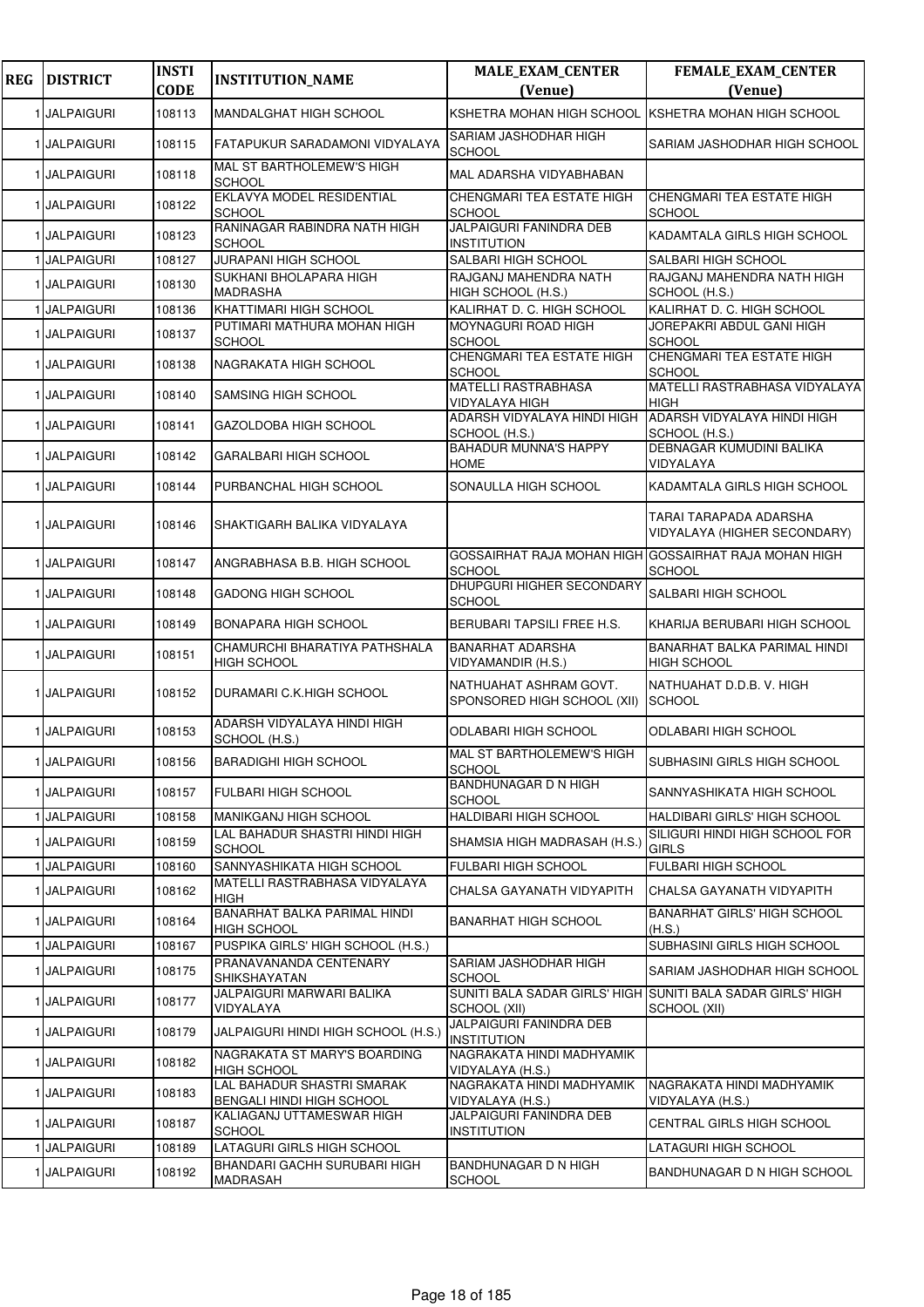| <b>REG</b> | <b>DISTRICT</b>   | <b>INSTI</b><br><b>CODE</b> | <b>INSTITUTION_NAME</b>                                        | <b>MALE_EXAM_CENTER</b><br>(Venue)                                     | FEMALE_EXAM_CENTER<br>(Venue)                                               |
|------------|-------------------|-----------------------------|----------------------------------------------------------------|------------------------------------------------------------------------|-----------------------------------------------------------------------------|
|            | 1 JALPAIGURI      | 108113                      | <b>MANDALGHAT HIGH SCHOOL</b>                                  | KSHETRA MOHAN HIGH SCHOOL                                              | <b>KSHETRA MOHAN HIGH SCHOOL</b>                                            |
|            | 1 JALPAIGURI      | 108115                      | FATAPUKUR SARADAMONI VIDYALAYA                                 | SARIAM JASHODHAR HIGH<br><b>SCHOOL</b>                                 | SARIAM JASHODHAR HIGH SCHOOL                                                |
|            | 1 JALPAIGURI      | 108118                      | MAL ST BARTHOLEMEW'S HIGH<br><b>SCHOOL</b>                     | MAL ADARSHA VIDYABHABAN                                                |                                                                             |
|            | 1 JALPAIGURI      | 108122                      | EKLAVYA MODEL RESIDENTIAL<br><b>SCHOOL</b>                     | CHENGMARI TEA ESTATE HIGH<br><b>SCHOOL</b>                             | CHENGMARI TEA ESTATE HIGH<br><b>SCHOOL</b>                                  |
|            | 1 JALPAIGURI      | 108123                      | RANINAGAR RABINDRA NATH HIGH<br><b>SCHOOL</b>                  | JALPAIGURI FANINDRA DEB<br><b>INSTITUTION</b>                          | KADAMTALA GIRLS HIGH SCHOOL                                                 |
|            | 1 JALPAIGURI      | 108127                      | JURAPANI HIGH SCHOOL                                           | SALBARI HIGH SCHOOL                                                    | SALBARI HIGH SCHOOL                                                         |
|            | 1 JALPAIGURI      | 108130                      | SUKHANI BHOLAPARA HIGH<br>MADRASHA                             | RAJGANJ MAHENDRA NATH<br>HIGH SCHOOL (H.S.)                            | RAJGANJ MAHENDRA NATH HIGH<br>SCHOOL (H.S.)                                 |
|            | 1 JALPAIGURI      | 108136                      | KHATTIMARI HIGH SCHOOL                                         | KALIRHAT D. C. HIGH SCHOOL                                             | KALIRHAT D. C. HIGH SCHOOL                                                  |
|            | 1 JALPAIGURI      | 108137                      | PUTIMARI MATHURA MOHAN HIGH<br><b>SCHOOL</b>                   | MOYNAGURI ROAD HIGH<br><b>SCHOOL</b>                                   | JOREPAKRI ABDUL GANI HIGH<br><b>SCHOOL</b>                                  |
|            | 1 JALPAIGURI      | 108138                      | NAGRAKATA HIGH SCHOOL                                          | CHENGMARI TEA ESTATE HIGH<br><b>SCHOOL</b>                             | CHENGMARI TEA ESTATE HIGH<br><b>SCHOOL</b>                                  |
|            | 1 JALPAIGURI      | 108140                      | SAMSING HIGH SCHOOL                                            | <b>MATELLI RASTRABHASA</b><br><b>VIDYALAYA HIGH</b>                    | MATELLI RASTRABHASA VIDYALAYA<br><b>HIGH</b>                                |
|            | 1 JALPAIGURI      | 108141                      | GAZOLDOBA HIGH SCHOOL                                          | ADARSH VIDYALAYA HINDI HIGH<br>SCHOOL (H.S.)                           | ADARSH VIDYALAYA HINDI HIGH<br>SCHOOL (H.S.)                                |
|            | 1 JALPAIGURI      | 108142                      | <b>GARALBARI HIGH SCHOOL</b>                                   | <b>BAHADUR MUNNA'S HAPPY</b><br><b>HOME</b>                            | DEBNAGAR KUMUDINI BALIKA<br>VIDYALAYA                                       |
|            | 1 JALPAIGURI      | 108144                      | PURBANCHAL HIGH SCHOOL                                         | SONAULLA HIGH SCHOOL                                                   | KADAMTALA GIRLS HIGH SCHOOL                                                 |
|            | 1 JALPAIGURI      | 108146                      | SHAKTIGARH BALIKA VIDYALAYA                                    |                                                                        | TARAI TARAPADA ADARSHA<br>VIDYALAYA (HIGHER SECONDARY)                      |
|            | 1 JALPAIGURI      | 108147                      | ANGRABHASA B.B. HIGH SCHOOL                                    | GOSSAIRHAT RAJA MOHAN HIGH GOSSAIRHAT RAJA MOHAN HIGH<br><b>SCHOOL</b> | <b>SCHOOL</b>                                                               |
|            | 1 JALPAIGURI      | 108148                      | GADONG HIGH SCHOOL                                             | DHUPGURI HIGHER SECONDARY<br><b>SCHOOL</b>                             | SALBARI HIGH SCHOOL                                                         |
|            | 1 JALPAIGURI      | 108149                      | <b>BONAPARA HIGH SCHOOL</b>                                    | BERUBARI TAPSILI FREE H.S.                                             | KHARIJA BERUBARI HIGH SCHOOL                                                |
|            | 1 JALPAIGURI      | 108151                      | CHAMURCHI BHARATIYA PATHSHALA<br><b>HIGH SCHOOL</b>            | <b>BANARHAT ADARSHA</b><br>VIDYAMANDIR (H.S.)                          | BANARHAT BALKA PARIMAL HINDI<br><b>HIGH SCHOOL</b>                          |
|            | 1 JALPAIGURI      | 108152                      | DURAMARI C.K.HIGH SCHOOL                                       | NATHUAHAT ASHRAM GOVT.<br>SPONSORED HIGH SCHOOL (XII)                  | NATHUAHAT D.D.B. V. HIGH<br><b>SCHOOL</b>                                   |
|            | 1 JALPAIGURI      | 108153                      | ADARSH VIDYALAYA HINDI HIGH<br>SCHOOL (H.S.)                   | ODLABARI HIGH SCHOOL                                                   | ODLABARI HIGH SCHOOL                                                        |
|            | 1 JALPAIGURI      | 108156                      | BARADIGHI HIGH SCHOOL                                          | MAL ST BARTHOLEMEW'S HIGH<br><b>SCHOOL</b>                             | SUBHASINI GIRLS HIGH SCHOOL                                                 |
|            | 1 JALPAIGURI      | 108157                      | <b>FULBARI HIGH SCHOOL</b>                                     | <b>BANDHUNAGAR D N HIGH</b><br><b>SCHOOL</b>                           | SANNYASHIKATA HIGH SCHOOL                                                   |
|            | 1 JALPAIGURI      | 108158                      | MANIKGANJ HIGH SCHOOL                                          | <b>HALDIBARI HIGH SCHOOL</b>                                           | HALDIBARI GIRLS' HIGH SCHOOL                                                |
|            | 1 JALPAIGURI      | 108159                      | LAL BAHADUR SHASTRI HINDI HIGH<br><b>SCHOOL</b>                | SHAMSIA HIGH MADRASAH (H.S.)                                           | SILIGURI HINDI HIGH SCHOOL FOR<br><b>GIRLS</b>                              |
|            | 1 JALPAIGURI      | 108160                      | SANNYASHIKATA HIGH SCHOOL                                      | <b>FULBARI HIGH SCHOOL</b>                                             | <b>FULBARI HIGH SCHOOL</b>                                                  |
|            | 1 JALPAIGURI      | 108162                      | MATELLI RASTRABHASA VIDYALAYA<br><b>HIGH</b>                   | CHALSA GAYANATH VIDYAPITH                                              | CHALSA GAYANATH VIDYAPITH                                                   |
|            | 1 JALPAIGURI      | 108164                      | BANARHAT BALKA PARIMAL HINDI<br><b>HIGH SCHOOL</b>             | <b>BANARHAT HIGH SCHOOL</b>                                            | <b>BANARHAT GIRLS' HIGH SCHOOL</b><br>(H.S.)                                |
|            | <b>JALPAIGURI</b> | 108167                      | PUSPIKA GIRLS' HIGH SCHOOL (H.S.)                              |                                                                        | SUBHASINI GIRLS HIGH SCHOOL                                                 |
|            | 1 JALPAIGURI      | 108175                      | PRANAVANANDA CENTENARY<br>SHIKSHAYATAN                         | SARIAM JASHODHAR HIGH<br><b>SCHOOL</b>                                 | SARIAM JASHODHAR HIGH SCHOOL                                                |
|            | 1 JALPAIGURI      | 108177                      | JALPAIGURI MARWARI BALIKA<br>VIDYALAYA                         | SCHOOL (XII)                                                           | SUNITI BALA SADAR GIRLS' HIGH SUNITI BALA SADAR GIRLS' HIGH<br>SCHOOL (XII) |
|            | 1 JALPAIGURI      | 108179                      | JALPAIGURI HINDI HIGH SCHOOL (H.S.)                            | JALPAIGURI FANINDRA DEB<br><b>INSTITUTION</b>                          |                                                                             |
|            | 1 JALPAIGURI      | 108182                      | NAGRAKATA ST MARY'S BOARDING<br><b>HIGH SCHOOL</b>             | NAGRAKATA HINDI MADHYAMIK<br>VIDYALAYA (H.S.)                          |                                                                             |
|            | 1 JALPAIGURI      | 108183                      | LAL BAHADUR SHASTRI SMARAK<br><b>BENGALI HINDI HIGH SCHOOL</b> | NAGRAKATA HINDI MADHYAMIK<br>VIDYALAYA (H.S.)                          | NAGRAKATA HINDI MADHYAMIK<br>VIDYALAYA (H.S.)                               |
|            | 1 JALPAIGURI      | 108187                      | KALIAGANJ UTTAMESWAR HIGH<br><b>SCHOOL</b>                     | JALPAIGURI FANINDRA DEB<br><b>INSTITUTION</b>                          | CENTRAL GIRLS HIGH SCHOOL                                                   |
|            | 1 JALPAIGURI      | 108189                      | LATAGURI GIRLS HIGH SCHOOL                                     |                                                                        | LATAGURI HIGH SCHOOL                                                        |
|            | 1 JALPAIGURI      | 108192                      | BHANDARI GACHH SURUBARI HIGH<br>MADRASAH                       | <b>BANDHUNAGAR D N HIGH</b><br><b>SCHOOL</b>                           | BANDHUNAGAR D N HIGH SCHOOL                                                 |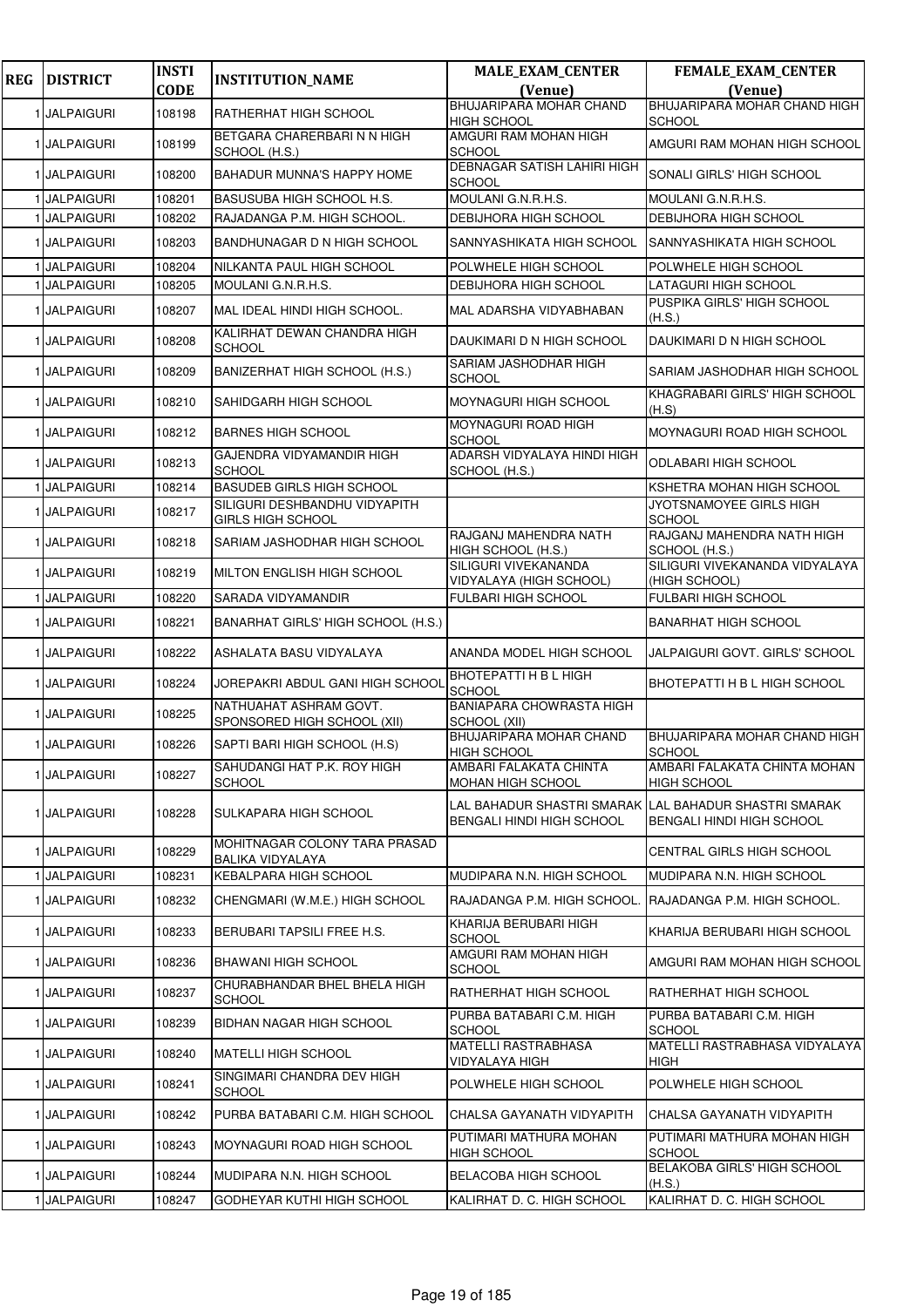| <b>REG</b> | <b>DISTRICT</b>   | <b>INSTI</b><br><b>CODE</b> | <b>INSTITUTION_NAME</b>                                         | <b>MALE_EXAM_CENTER</b><br>(Venue)                 | FEMALE_EXAM_CENTER<br>(Venue)                                                              |
|------------|-------------------|-----------------------------|-----------------------------------------------------------------|----------------------------------------------------|--------------------------------------------------------------------------------------------|
|            |                   |                             |                                                                 | BHUJARIPARA MOHAR CHAND                            | BHUJARIPARA MOHAR CHAND HIGH                                                               |
|            | 1 JALPAIGURI      | 108198                      | RATHERHAT HIGH SCHOOL                                           | <b>HIGH SCHOOL</b>                                 | SCHOOL                                                                                     |
|            | 1 JALPAIGURI      | 108199                      | BETGARA CHARERBARI N N HIGH<br>SCHOOL (H.S.)                    | AMGURI RAM MOHAN HIGH<br><b>SCHOOL</b>             | AMGURI RAM MOHAN HIGH SCHOOL                                                               |
|            | 1 JALPAIGURI      | 108200                      | BAHADUR MUNNA'S HAPPY HOME                                      | <b>DEBNAGAR SATISH LAHIRI HIGH</b><br>SCHOOL       | SONALI GIRLS' HIGH SCHOOL                                                                  |
|            | 1 JALPAIGURI      | 108201                      | BASUSUBA HIGH SCHOOL H.S.                                       | MOULANI G.N.R.H.S.                                 | MOULANI G.N.R.H.S.                                                                         |
|            | <b>JALPAIGURI</b> | 108202                      | RAJADANGA P.M. HIGH SCHOOL.                                     | <b>DEBIJHORA HIGH SCHOOL</b>                       | DEBIJHORA HIGH SCHOOL                                                                      |
|            | 1 JALPAIGURI      | 108203                      | BANDHUNAGAR D N HIGH SCHOOL                                     | SANNYASHIKATA HIGH SCHOOL                          | SANNYASHIKATA HIGH SCHOOL                                                                  |
|            | <b>JALPAIGURI</b> | 108204                      | NILKANTA PAUL HIGH SCHOOL                                       | POLWHELE HIGH SCHOOL                               | POLWHELE HIGH SCHOOL                                                                       |
|            | <b>JALPAIGURI</b> | 108205                      | MOULANI G.N.R.H.S.                                              | DEBIJHORA HIGH SCHOOL                              | LATAGURI HIGH SCHOOL                                                                       |
|            | 1 JALPAIGURI      | 108207                      | MAL IDEAL HINDI HIGH SCHOOL.                                    | MAL ADARSHA VIDYABHABAN                            | PUSPIKA GIRLS' HIGH SCHOOL<br>(H.S.)                                                       |
|            | 1 JALPAIGURI      | 108208                      | KALIRHAT DEWAN CHANDRA HIGH<br><b>SCHOOL</b>                    | DAUKIMARI D N HIGH SCHOOL                          | DAUKIMARI D N HIGH SCHOOL                                                                  |
|            | 1 JALPAIGURI      | 108209                      | BANIZERHAT HIGH SCHOOL (H.S.)                                   | SARIAM JASHODHAR HIGH<br><b>SCHOOL</b>             | SARIAM JASHODHAR HIGH SCHOOL                                                               |
|            | 1 JALPAIGURI      | 108210                      | SAHIDGARH HIGH SCHOOL                                           | MOYNAGURI HIGH SCHOOL                              | KHAGRABARI GIRLS' HIGH SCHOOL<br>(H.S)                                                     |
|            | 1 JALPAIGURI      | 108212                      | <b>BARNES HIGH SCHOOL</b>                                       | MOYNAGURI ROAD HIGH<br><b>SCHOOL</b>               | MOYNAGURI ROAD HIGH SCHOOL                                                                 |
|            | 1 JALPAIGURI      | 108213                      | GAJENDRA VIDYAMANDIR HIGH<br><b>SCHOOL</b>                      | ADARSH VIDYALAYA HINDI HIGH<br>SCHOOL (H.S.)       | <b>ODLABARI HIGH SCHOOL</b>                                                                |
|            | 1 JALPAIGURI      | 108214                      | <b>BASUDEB GIRLS HIGH SCHOOL</b>                                |                                                    | KSHETRA MOHAN HIGH SCHOOL                                                                  |
|            | 1 JALPAIGURI      | 108217                      | SILIGURI DESHBANDHU VIDYAPITH<br><b>GIRLS HIGH SCHOOL</b>       |                                                    | JYOTSNAMOYEE GIRLS HIGH<br><b>SCHOOL</b>                                                   |
|            | 1 JALPAIGURI      | 108218                      | SARIAM JASHODHAR HIGH SCHOOL                                    | RAJGANJ MAHENDRA NATH<br>HIGH SCHOOL (H.S.)        | RAJGANJ MAHENDRA NATH HIGH<br>SCHOOL (H.S.)                                                |
|            | 1 JALPAIGURI      | 108219                      | MILTON ENGLISH HIGH SCHOOL                                      | SILIGURI VIVEKANANDA<br>VIDYALAYA (HIGH SCHOOL)    | SILIGURI VIVEKANANDA VIDYALAYA<br>(HIGH SCHOOL)                                            |
|            | 1 JALPAIGURI      | 108220                      | SARADA VIDYAMANDIR                                              | FULBARI HIGH SCHOOL                                | FULBARI HIGH SCHOOL                                                                        |
|            | 1 JALPAIGURI      | 108221                      | <b>BANARHAT GIRLS' HIGH SCHOOL (H.S.)</b>                       |                                                    | <b>BANARHAT HIGH SCHOOL</b>                                                                |
|            | 1 JALPAIGURI      | 108222                      | ASHALATA BASU VIDYALAYA                                         | ANANDA MODEL HIGH SCHOOL                           | JALPAIGURI GOVT. GIRLS' SCHOOL                                                             |
|            | 1 JALPAIGURI      | 108224                      | JOREPAKRI ABDUL GANI HIGH SCHOOL                                | <b>BHOTEPATTI H B L HIGH</b><br>SCHOOL             | BHOTEPATTI H B L HIGH SCHOOL                                                               |
|            | 1 JALPAIGURI      | 108225                      | NATHUAHAT ASHRAM GOVT.<br>SPONSORED HIGH SCHOOL (XII)           | <b>BANIAPARA CHOWRASTA HIGH</b><br>SCHOOL (XII)    |                                                                                            |
|            | 1 JALPAIGURI      | 108226                      | SAPTI BARI HIGH SCHOOL (H.S)                                    | BHUJARIPARA MOHAR CHAND<br><b>HIGH SCHOOL</b>      | BHUJARIPARA MOHAR CHAND HIGH<br><b>SCHOOL</b>                                              |
|            | 1 JALPAIGURI      | 108227                      | SAHUDANGI HAT P.K. ROY HIGH<br><b>SCHOOL</b>                    | AMBARI FALAKATA CHINTA<br><b>MOHAN HIGH SCHOOL</b> | AMBARI FALAKATA CHINTA MOHAN<br><b>HIGH SCHOOL</b>                                         |
|            | 1 JALPAIGURI      | 108228                      | SULKAPARA HIGH SCHOOL                                           | <b>BENGALI HINDI HIGH SCHOOL</b>                   | LAL BAHADUR SHASTRI SMARAK LLAL BAHADUR SHASTRI SMARAK<br><b>BENGALI HINDI HIGH SCHOOL</b> |
|            | 1 JALPAIGURI      | 108229                      | <b>MOHITNAGAR COLONY TARA PRASAD</b><br><b>BALIKA VIDYALAYA</b> |                                                    | <b>CENTRAL GIRLS HIGH SCHOOL</b>                                                           |
|            | 1 JALPAIGURI      | 108231                      | <b>KEBALPARA HIGH SCHOOL</b>                                    | MUDIPARA N.N. HIGH SCHOOL                          | MUDIPARA N.N. HIGH SCHOOL                                                                  |
|            | 1 JALPAIGURI      | 108232                      | CHENGMARI (W.M.E.) HIGH SCHOOL                                  | RAJADANGA P.M. HIGH SCHOOL                         | RAJADANGA P.M. HIGH SCHOOL.                                                                |
|            | 1 JALPAIGURI      | 108233                      | BERUBARI TAPSILI FREE H.S.                                      | KHARIJA BERUBARI HIGH<br><b>SCHOOL</b>             | KHARIJA BERUBARI HIGH SCHOOL                                                               |
|            | 1 JALPAIGURI      | 108236                      | <b>BHAWANI HIGH SCHOOL</b>                                      | AMGURI RAM MOHAN HIGH<br><b>SCHOOL</b>             | AMGURI RAM MOHAN HIGH SCHOOL                                                               |
|            | 1 JALPAIGURI      | 108237                      | CHURABHANDAR BHEL BHELA HIGH<br><b>SCHOOL</b>                   | RATHERHAT HIGH SCHOOL                              | RATHERHAT HIGH SCHOOL                                                                      |
|            | 1 JALPAIGURI      | 108239                      | BIDHAN NAGAR HIGH SCHOOL                                        | PURBA BATABARI C.M. HIGH<br><b>SCHOOL</b>          | PURBA BATABARI C.M. HIGH<br><b>SCHOOL</b>                                                  |
|            | 1 JALPAIGURI      | 108240                      | <b>MATELLI HIGH SCHOOL</b>                                      | <b>MATELLI RASTRABHASA</b><br>VIDYALAYA HIGH       | MATELLI RASTRABHASA VIDYALAYA<br><b>HIGH</b>                                               |
|            | 1 JALPAIGURI      | 108241                      | SINGIMARI CHANDRA DEV HIGH<br><b>SCHOOL</b>                     | POLWHELE HIGH SCHOOL                               | POLWHELE HIGH SCHOOL                                                                       |
|            | 1 JALPAIGURI      | 108242                      | PURBA BATABARI C.M. HIGH SCHOOL                                 | CHALSA GAYANATH VIDYAPITH                          | CHALSA GAYANATH VIDYAPITH                                                                  |
|            | 1 JALPAIGURI      | 108243                      | MOYNAGURI ROAD HIGH SCHOOL                                      | PUTIMARI MATHURA MOHAN<br><b>HIGH SCHOOL</b>       | PUTIMARI MATHURA MOHAN HIGH<br><b>SCHOOL</b>                                               |
|            | 1 JALPAIGURI      | 108244                      | MUDIPARA N.N. HIGH SCHOOL                                       | <b>BELACOBA HIGH SCHOOL</b>                        | BELAKOBA GIRLS' HIGH SCHOOL<br>(H.S.)                                                      |
|            | 1 JALPAIGURI      | 108247                      | GODHEYAR KUTHI HIGH SCHOOL                                      | KALIRHAT D. C. HIGH SCHOOL                         | KALIRHAT D. C. HIGH SCHOOL                                                                 |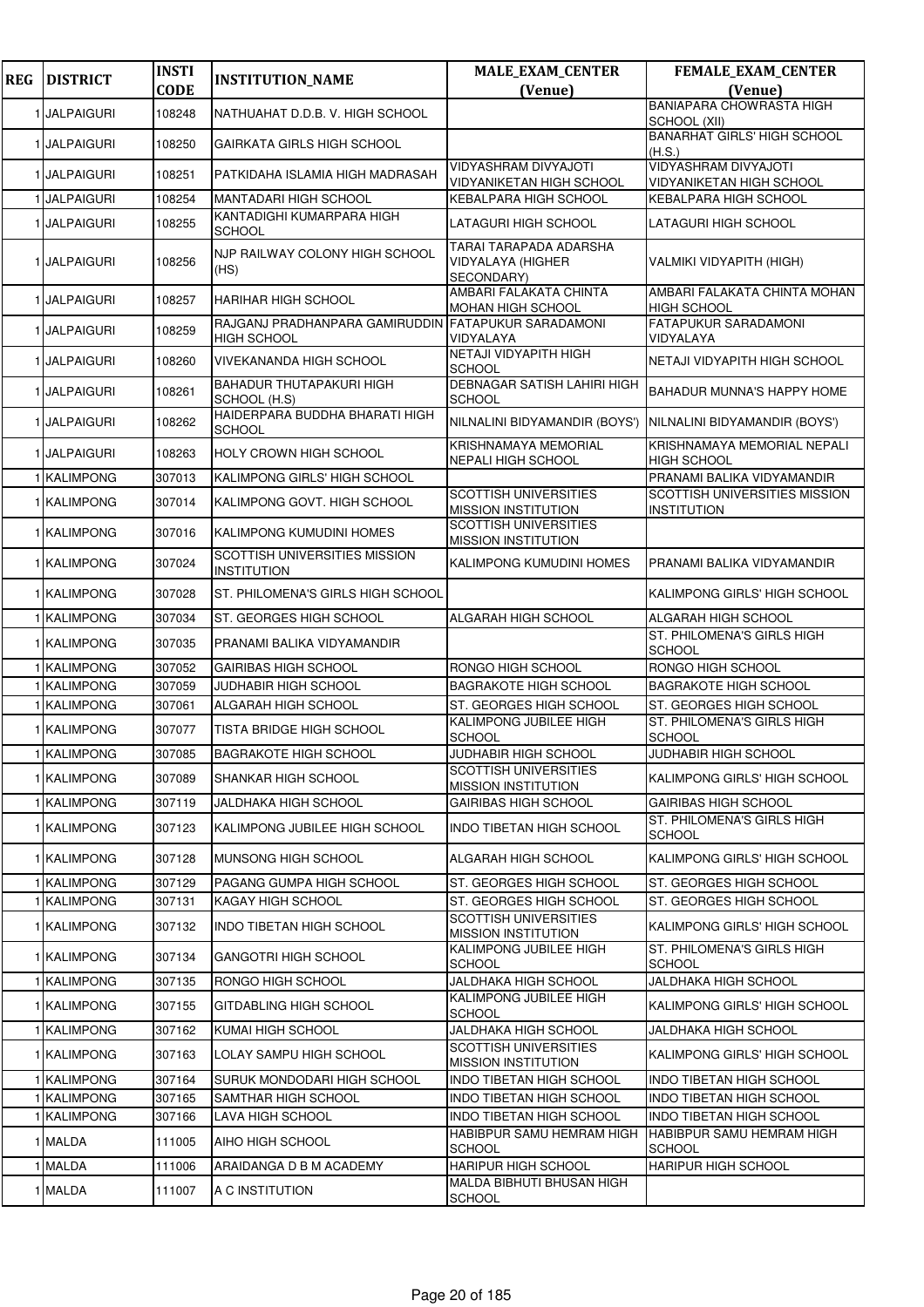| <b>REG</b> | <b>DISTRICT</b>   | <b>INSTI</b> | <b>INSTITUTION_NAME</b>                                    | <b>MALE_EXAM_CENTER</b>                                          | FEMALE_EXAM_CENTER                                      |
|------------|-------------------|--------------|------------------------------------------------------------|------------------------------------------------------------------|---------------------------------------------------------|
|            |                   | <b>CODE</b>  |                                                            | (Venue)                                                          | (Venue)                                                 |
|            | 1 JALPAIGURI      | 108248       | NATHUAHAT D.D.B. V. HIGH SCHOOL                            |                                                                  | <b>BANIAPARA CHOWRASTA HIGH</b><br>SCHOOL (XII)         |
|            | 1 JALPAIGURI      | 108250       | GAIRKATA GIRLS HIGH SCHOOL                                 |                                                                  | <b>BANARHAT GIRLS' HIGH SCHOOL</b><br>(H.S.)            |
|            | 1 JALPAIGURI      | 108251       | PATKIDAHA ISLAMIA HIGH MADRASAH                            | <b>VIDYASHRAM DIVYAJOTI</b><br>VIDYANIKETAN HIGH SCHOOL          | <b>VIDYASHRAM DIVYAJOTI</b><br>VIDYANIKETAN HIGH SCHOOL |
|            | <b>JALPAIGURI</b> | 108254       | MANTADARI HIGH SCHOOL                                      | KEBALPARA HIGH SCHOOL                                            | KEBALPARA HIGH SCHOOL                                   |
|            | 1 JALPAIGURI      | 108255       | KANTADIGHI KUMARPARA HIGH<br><b>SCHOOL</b>                 | LATAGURI HIGH SCHOOL                                             | LATAGURI HIGH SCHOOL                                    |
|            | 1 JALPAIGURI      | 108256       | NJP RAILWAY COLONY HIGH SCHOOL<br>(HS)                     | TARAI TARAPADA ADARSHA<br><b>VIDYALAYA (HIGHER</b><br>SECONDARY) | VALMIKI VIDYAPITH (HIGH)                                |
|            | 1 JALPAIGURI      | 108257       | HARIHAR HIGH SCHOOL                                        | AMBARI FALAKATA CHINTA<br>MOHAN HIGH SCHOOL                      | AMBARI FALAKATA CHINTA MOHAN<br><b>HIGH SCHOOL</b>      |
|            | 1 JALPAIGURI      | 108259       | RAJGANJ PRADHANPARA GAMIRUDDIN<br><b>HIGH SCHOOL</b>       | <b>FATAPUKUR SARADAMONI</b><br>VIDYALAYA                         | <b>FATAPUKUR SARADAMONI</b><br>VIDYALAYA                |
|            | 1 JALPAIGURI      | 108260       | <b>VIVEKANANDA HIGH SCHOOL</b>                             | NETAJI VIDYAPITH HIGH<br>SCHOOL                                  | NETAJI VIDYAPITH HIGH SCHOOL                            |
|            | 1 JALPAIGURI      | 108261       | <b>BAHADUR THUTAPAKURI HIGH</b><br>SCHOOL (H.S)            | DEBNAGAR SATISH LAHIRI HIGH<br><b>SCHOOL</b>                     | BAHADUR MUNNA'S HAPPY HOME                              |
|            | 1 JALPAIGURI      | 108262       | HAIDERPARA BUDDHA BHARATI HIGH<br><b>SCHOOL</b>            | NILNALINI BIDYAMANDIR (BOYS')                                    | NILNALINI BIDYAMANDIR (BOYS')                           |
|            | 1 JALPAIGURI      | 108263       | HOLY CROWN HIGH SCHOOL                                     | KRISHNAMAYA MEMORIAL<br>NEPALI HIGH SCHOOL                       | KRISHNAMAYA MEMORIAL NEPALI<br><b>HIGH SCHOOL</b>       |
|            | 1 KALIMPONG       | 307013       | KALIMPONG GIRLS' HIGH SCHOOL                               |                                                                  | PRANAMI BALIKA VIDYAMANDIR                              |
|            | 1 KALIMPONG       | 307014       | KALIMPONG GOVT. HIGH SCHOOL                                | <b>SCOTTISH UNIVERSITIES</b><br><b>MISSION INSTITUTION</b>       | SCOTTISH UNIVERSITIES MISSION<br><b>INSTITUTION</b>     |
|            | 1 KALIMPONG       | 307016       | KALIMPONG KUMUDINI HOMES                                   | SCOTTISH UNIVERSITIES<br><b>MISSION INSTITUTION</b>              |                                                         |
|            | 1 KALIMPONG       | 307024       | <b>SCOTTISH UNIVERSITIES MISSION</b><br><b>INSTITUTION</b> | KALIMPONG KUMUDINI HOMES                                         | PRANAMI BALIKA VIDYAMANDIR                              |
|            | 1 KALIMPONG       | 307028       | ST. PHILOMENA'S GIRLS HIGH SCHOOL                          |                                                                  | KALIMPONG GIRLS' HIGH SCHOOL                            |
|            | 1 KALIMPONG       | 307034       | ST. GEORGES HIGH SCHOOL                                    | ALGARAH HIGH SCHOOL                                              | ALGARAH HIGH SCHOOL                                     |
|            | 1 KALIMPONG       | 307035       | PRANAMI BALIKA VIDYAMANDIR                                 |                                                                  | ST. PHILOMENA'S GIRLS HIGH<br><b>SCHOOL</b>             |
|            | 1 KALIMPONG       | 307052       | <b>GAIRIBAS HIGH SCHOOL</b>                                | RONGO HIGH SCHOOL                                                | RONGO HIGH SCHOOL                                       |
|            | 1 KALIMPONG       | 307059       | JUDHABIR HIGH SCHOOL                                       | <b>BAGRAKOTE HIGH SCHOOL</b>                                     | <b>BAGRAKOTE HIGH SCHOOL</b>                            |
|            | 1 KALIMPONG       | 307061       | ALGARAH HIGH SCHOOL                                        | ST. GEORGES HIGH SCHOOL<br>KALIMPONG JUBILEE HIGH                | ST. GEORGES HIGH SCHOOL<br>ST. PHILOMENA'S GIRLS HIGH   |
|            | 1 KALIMPONG       | 307077       | <b>TISTA BRIDGE HIGH SCHOOL</b>                            | SCHOOL                                                           | <b>SCHOOL</b>                                           |
|            | 1 KALIMPONG       | 307085       | <b>BAGRAKOTE HIGH SCHOOL</b>                               | JUDHABIR HIGH SCHOOL                                             | JUDHABIR HIGH SCHOOL                                    |
|            | 1 KALIMPONG       | 307089       | SHANKAR HIGH SCHOOL                                        | <b>SCOTTISH UNIVERSITIES</b><br>MISSION INSTITUTION              | KALIMPONG GIRLS' HIGH SCHOOL                            |
|            | 1 KALIMPONG       | 307119       | <b>JALDHAKA HIGH SCHOOL</b>                                | GAIRIBAS HIGH SCHOOL                                             | <b>GAIRIBAS HIGH SCHOOL</b>                             |
|            | 1 KALIMPONG       | 307123       | KALIMPONG JUBILEE HIGH SCHOOL                              | INDO TIBETAN HIGH SCHOOL                                         | ST. PHILOMENA'S GIRLS HIGH<br><b>SCHOOL</b>             |
|            | 1 KALIMPONG       | 307128       | MUNSONG HIGH SCHOOL                                        | ALGARAH HIGH SCHOOL                                              | KALIMPONG GIRLS' HIGH SCHOOL                            |
|            | 1 KALIMPONG       | 307129       | PAGANG GUMPA HIGH SCHOOL                                   | ST. GEORGES HIGH SCHOOL                                          | ST. GEORGES HIGH SCHOOL                                 |
|            | 1 KALIMPONG       | 307131       | KAGAY HIGH SCHOOL                                          | ST. GEORGES HIGH SCHOOL                                          | ST. GEORGES HIGH SCHOOL                                 |
|            | 1 KALIMPONG       | 307132       | INDO TIBETAN HIGH SCHOOL                                   | SCOTTISH UNIVERSITIES<br><b>MISSION INSTITUTION</b>              | KALIMPONG GIRLS' HIGH SCHOOL                            |
|            | 1 KALIMPONG       | 307134       | GANGOTRI HIGH SCHOOL                                       | KALIMPONG JUBILEE HIGH<br>SCHOOL                                 | ST. PHILOMENA'S GIRLS HIGH<br><b>SCHOOL</b>             |
|            | 1 KALIMPONG       | 307135       | RONGO HIGH SCHOOL                                          | JALDHAKA HIGH SCHOOL                                             | JALDHAKA HIGH SCHOOL                                    |
|            | 1 KALIMPONG       | 307155       | <b>GITDABLING HIGH SCHOOL</b>                              | KALIMPONG JUBILEE HIGH<br>SCHOOL                                 | KALIMPONG GIRLS' HIGH SCHOOL                            |
|            | 1 KALIMPONG       | 307162       | KUMAI HIGH SCHOOL                                          | JALDHAKA HIGH SCHOOL                                             | JALDHAKA HIGH SCHOOL                                    |
|            | 1 KALIMPONG       | 307163       | LOLAY SAMPU HIGH SCHOOL                                    | SCOTTISH UNIVERSITIES<br>MISSION INSTITUTION                     | KALIMPONG GIRLS' HIGH SCHOOL                            |
|            | 1 KALIMPONG       | 307164       | SURUK MONDODARI HIGH SCHOOL                                | INDO TIBETAN HIGH SCHOOL                                         | <b>INDO TIBETAN HIGH SCHOOL</b>                         |
|            | 1 KALIMPONG       | 307165       | SAMTHAR HIGH SCHOOL                                        | INDO TIBETAN HIGH SCHOOL                                         | <b>INDO TIBETAN HIGH SCHOOL</b>                         |
|            | 1 KALIMPONG       | 307166       | LAVA HIGH SCHOOL                                           | INDO TIBETAN HIGH SCHOOL                                         | <b>INDO TIBETAN HIGH SCHOOL</b>                         |
|            | 1 MALDA           | 111005       | AIHO HIGH SCHOOL                                           | HABIBPUR SAMU HEMRAM HIGH<br>SCHOOL                              | HABIBPUR SAMU HEMRAM HIGH<br>SCHOOL                     |
|            | 1 MALDA           | 111006       | ARAIDANGA D B M ACADEMY                                    | HARIPUR HIGH SCHOOL                                              | HARIPUR HIGH SCHOOL                                     |
|            | 1 MALDA           | 111007       | A C INSTITUTION                                            | MALDA BIBHUTI BHUSAN HIGH<br>SCHOOL                              |                                                         |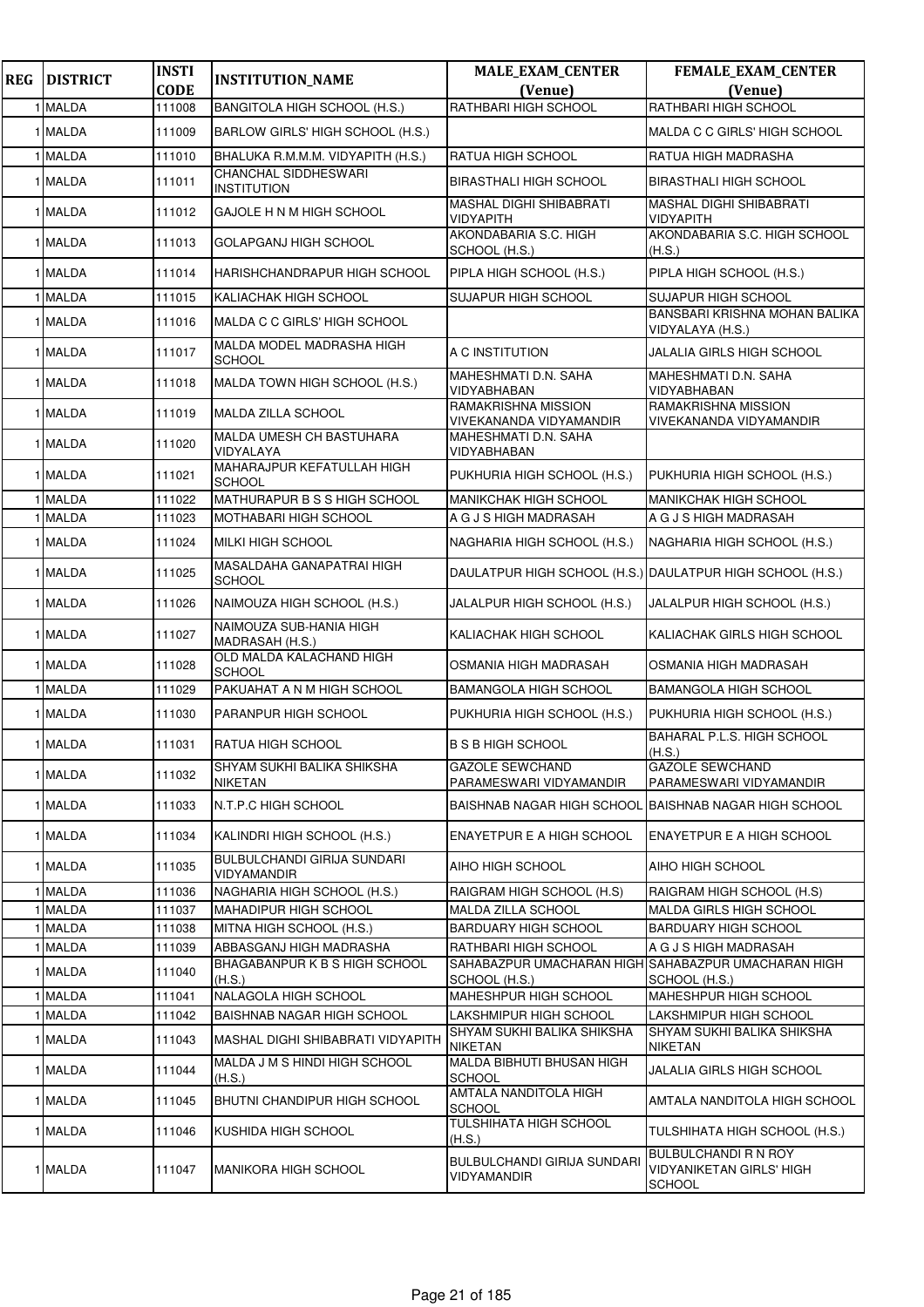| <b>REG</b> | <b>DISTRICT</b> | <b>INSTI</b> | <b>INSTITUTION_NAME</b>                           | <b>MALE_EXAM_CENTER</b>                                   | FEMALE_EXAM_CENTER                                                       |
|------------|-----------------|--------------|---------------------------------------------------|-----------------------------------------------------------|--------------------------------------------------------------------------|
|            |                 | <b>CODE</b>  |                                                   | (Venue)                                                   | (Venue)                                                                  |
|            | <b>MALDA</b>    | 111008       | BANGITOLA HIGH SCHOOL (H.S.)                      | RATHBARI HIGH SCHOOL                                      | RATHBARI HIGH SCHOOL                                                     |
|            | 1 MALDA         | 111009       | BARLOW GIRLS' HIGH SCHOOL (H.S.)                  |                                                           | MALDA C C GIRLS' HIGH SCHOOL                                             |
|            | 1 MALDA         | 111010       | BHALUKA R.M.M.M. VIDYAPITH (H.S.)                 | RATUA HIGH SCHOOL                                         | RATUA HIGH MADRASHA                                                      |
|            | 1 MALDA         | 111011       | CHANCHAL SIDDHESWARI<br><b>INSTITUTION</b>        | BIRASTHALI HIGH SCHOOL                                    | <b>BIRASTHALI HIGH SCHOOL</b>                                            |
|            | 1 MALDA         | 111012       | GAJOLE H N M HIGH SCHOOL                          | MASHAL DIGHI SHIBABRATI<br>VIDYAPITH                      | MASHAL DIGHI SHIBABRATI<br>VIDYAPITH                                     |
|            | 1 MALDA         | 111013       | GOLAPGANJ HIGH SCHOOL                             | AKONDABARIA S.C. HIGH<br>SCHOOL (H.S.)                    | AKONDABARIA S.C. HIGH SCHOOL<br>(H.S.)                                   |
|            | 1 MALDA         | 111014       | HARISHCHANDRAPUR HIGH SCHOOL                      | PIPLA HIGH SCHOOL (H.S.)                                  | PIPLA HIGH SCHOOL (H.S.)                                                 |
|            | 1 MALDA         | 111015       | KALIACHAK HIGH SCHOOL                             | SUJAPUR HIGH SCHOOL                                       | SUJAPUR HIGH SCHOOL                                                      |
|            | 1 MALDA         | 111016       | MALDA C C GIRLS' HIGH SCHOOL                      |                                                           | BANSBARI KRISHNA MOHAN BALIKA<br>VIDYALAYA (H.S.)                        |
|            | 1 MALDA         | 111017       | MALDA MODEL MADRASHA HIGH<br><b>SCHOOL</b>        | A C INSTITUTION                                           | JALALIA GIRLS HIGH SCHOOL                                                |
|            | 1 MALDA         | 111018       | MALDA TOWN HIGH SCHOOL (H.S.)                     | MAHESHMATI D.N. SAHA<br>VIDYABHABAN                       | MAHESHMATI D.N. SAHA<br>VIDYABHABAN                                      |
|            | 1 MALDA         | 111019       | MALDA ZILLA SCHOOL                                | RAMAKRISHNA MISSION<br>VIVEKANANDA VIDYAMANDIR            | RAMAKRISHNA MISSION<br>VIVEKANANDA VIDYAMANDIR                           |
|            | 1 MALDA         | 111020       | MALDA UMESH CH BASTUHARA<br>VIDYALAYA             | MAHESHMATI D.N. SAHA<br>VIDYABHABAN                       |                                                                          |
|            | 1 MALDA         | 111021       | MAHARAJPUR KEFATULLAH HIGH<br><b>SCHOOL</b>       | PUKHURIA HIGH SCHOOL (H.S.)                               | PUKHURIA HIGH SCHOOL (H.S.)                                              |
|            | <b>MALDA</b>    | 111022       | MATHURAPUR B S S HIGH SCHOOL                      | MANIKCHAK HIGH SCHOOL                                     | <b>MANIKCHAK HIGH SCHOOL</b>                                             |
|            | <b>MALDA</b>    | 111023       | MOTHABARI HIGH SCHOOL                             | A G J S HIGH MADRASAH                                     | A G J S HIGH MADRASAH                                                    |
|            | 1 MALDA         | 111024       | MILKI HIGH SCHOOL                                 | NAGHARIA HIGH SCHOOL (H.S.)                               | NAGHARIA HIGH SCHOOL (H.S.)                                              |
|            | 1 MALDA         | 111025       | MASALDAHA GANAPATRAI HIGH<br><b>SCHOOL</b>        | DAULATPUR HIGH SCHOOL (H.S.) DAULATPUR HIGH SCHOOL (H.S.) |                                                                          |
|            | 1 MALDA         | 111026       | NAIMOUZA HIGH SCHOOL (H.S.)                       | JALALPUR HIGH SCHOOL (H.S.)                               | JALALPUR HIGH SCHOOL (H.S.)                                              |
|            | 1 MALDA         | 111027       | NAIMOUZA SUB-HANIA HIGH<br>MADRASAH (H.S.)        | KALIACHAK HIGH SCHOOL                                     | KALIACHAK GIRLS HIGH SCHOOL                                              |
|            | 1 MALDA         | 111028       | OLD MALDA KALACHAND HIGH<br><b>SCHOOL</b>         | OSMANIA HIGH MADRASAH                                     | OSMANIA HIGH MADRASAH                                                    |
|            | 1 MALDA         | 111029       | PAKUAHAT A N M HIGH SCHOOL                        | BAMANGOLA HIGH SCHOOL                                     | <b>BAMANGOLA HIGH SCHOOL</b>                                             |
|            | 1 MALDA         | 111030       | PARANPUR HIGH SCHOOL                              | PUKHURIA HIGH SCHOOL (H.S.)                               | PUKHURIA HIGH SCHOOL (H.S.)                                              |
|            | 1 MALDA         | 111031       | <b>RATUA HIGH SCHOOL</b>                          | <b>B S B HIGH SCHOOL</b>                                  | BAHARAL P.L.S. HIGH SCHOOL<br>(H.S.)                                     |
|            | 1 MALDA         | 111032       | SHYAM SUKHI BALIKA SHIKSHA<br><b>NIKETAN</b>      | <b>GAZOLE SEWCHAND</b><br>PARAMESWARI VIDYAMANDIR         | <b>GAZOLE SEWCHAND</b><br>PARAMESWARI VIDYAMANDIR                        |
|            | 1 MALDA         | 111033       | N.T.P.C HIGH SCHOOL                               |                                                           | BAISHNAB NAGAR HIGH SCHOOL  BAISHNAB NAGAR HIGH SCHOOL                   |
|            | 1 MALDA         | 111034       | KALINDRI HIGH SCHOOL (H.S.)                       | ENAYETPUR E A HIGH SCHOOL                                 | <b>ENAYETPUR E A HIGH SCHOOL</b>                                         |
|            | 1 MALDA         | 111035       | <b>BULBULCHANDI GIRIJA SUNDARI</b><br>VIDYAMANDIR | AIHO HIGH SCHOOL                                          | AIHO HIGH SCHOOL                                                         |
|            | 1 MALDA         | 111036       | NAGHARIA HIGH SCHOOL (H.S.)                       | RAIGRAM HIGH SCHOOL (H.S)                                 | RAIGRAM HIGH SCHOOL (H.S)                                                |
|            | <b>MALDA</b>    | 111037       | <b>MAHADIPUR HIGH SCHOOL</b>                      | MALDA ZILLA SCHOOL                                        | MALDA GIRLS HIGH SCHOOL                                                  |
|            | <b>MALDA</b>    | 111038       | MITNA HIGH SCHOOL (H.S.)                          | BARDUARY HIGH SCHOOL                                      | BARDUARY HIGH SCHOOL                                                     |
|            | <b>MALDA</b>    | 111039       | ABBASGANJ HIGH MADRASHA                           | RATHBARI HIGH SCHOOL                                      | A G J S HIGH MADRASAH                                                    |
|            | 1 MALDA         | 111040       | BHAGABANPUR K B S HIGH SCHOOL<br>(H.S.)           | SCHOOL (H.S.)                                             | SAHABAZPUR UMACHARAN HIGH SAHABAZPUR UMACHARAN HIGH<br>SCHOOL (H.S.)     |
|            | <b>MALDA</b>    | 111041       | NALAGOLA HIGH SCHOOL                              | MAHESHPUR HIGH SCHOOL                                     | MAHESHPUR HIGH SCHOOL                                                    |
|            | <b>MALDA</b>    | 111042       | BAISHNAB NAGAR HIGH SCHOOL                        | LAKSHMIPUR HIGH SCHOOL                                    | LAKSHMIPUR HIGH SCHOOL                                                   |
|            | 1 MALDA         | 111043       | MASHAL DIGHI SHIBABRATI VIDYAPITH                 | SHYAM SUKHI BALIKA SHIKSHA<br>NIKETAN                     | SHYAM SUKHI BALIKA SHIKSHA<br>NIKETAN                                    |
|            | 1 MALDA         | 111044       | MALDA J M S HINDI HIGH SCHOOL<br>(H.S.)           | MALDA BIBHUTI BHUSAN HIGH<br>SCHOOL                       | JALALIA GIRLS HIGH SCHOOL                                                |
|            | 1 MALDA         | 111045       | BHUTNI CHANDIPUR HIGH SCHOOL                      | AMTALA NANDITOLA HIGH<br>SCHOOL                           | AMTALA NANDITOLA HIGH SCHOOL                                             |
|            | 1 MALDA         | 111046       | KUSHIDA HIGH SCHOOL                               | TULSHIHATA HIGH SCHOOL<br>(H.S.)                          | TULSHIHATA HIGH SCHOOL (H.S.)                                            |
|            | 1 MALDA         | 111047       | <b>MANIKORA HIGH SCHOOL</b>                       | BULBULCHANDI GIRIJA SUNDARI<br>VIDYAMANDIR                | BULBULCHANDI R N ROY<br><b>VIDYANIKETAN GIRLS' HIGH</b><br><b>SCHOOL</b> |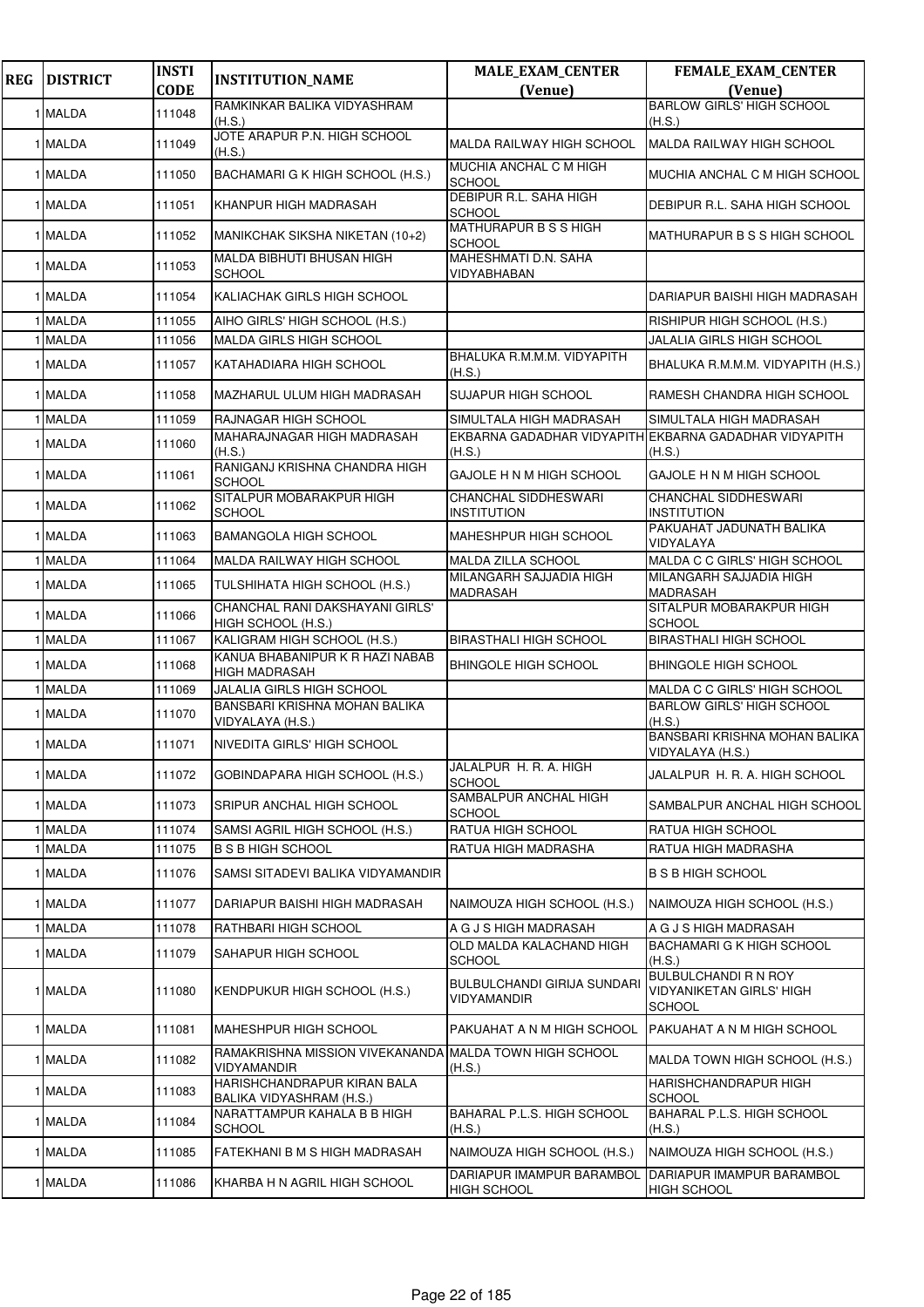| <b>REG</b> | <b>DISTRICT</b> | <b>INSTI</b><br><b>CODE</b> | <b>INSTITUTION_NAME</b>                                               | <b>MALE_EXAM_CENTER</b><br>(Venue)                | FEMALE_EXAM_CENTER<br>(Venue)                                                   |
|------------|-----------------|-----------------------------|-----------------------------------------------------------------------|---------------------------------------------------|---------------------------------------------------------------------------------|
|            |                 |                             | RAMKINKAR BALIKA VIDYASHRAM                                           |                                                   | <b>BARLOW GIRLS' HIGH SCHOOL</b>                                                |
|            | 1 MALDA         | 111048                      | (H.S.)                                                                |                                                   | (H.S.)                                                                          |
|            | 1 MALDA         | 111049                      | JOTE ARAPUR P.N. HIGH SCHOOL<br>(H.S.)                                | <b>MALDA RAILWAY HIGH SCHOOL</b>                  | <b>IMALDA RAILWAY HIGH SCHOOL</b>                                               |
|            | 1 MALDA         | 111050                      | BACHAMARI G K HIGH SCHOOL (H.S.)                                      | MUCHIA ANCHAL C M HIGH<br>SCHOOL                  | MUCHIA ANCHAL C M HIGH SCHOOL                                                   |
|            | 1 MALDA         | 111051                      | KHANPUR HIGH MADRASAH                                                 | <b>DEBIPUR R.L. SAHA HIGH</b><br><b>SCHOOL</b>    | DEBIPUR R.L. SAHA HIGH SCHOOL                                                   |
|            | 1 MALDA         | 111052                      | MANIKCHAK SIKSHA NIKETAN (10+2)                                       | MATHURAPUR B S S HIGH<br><b>SCHOOL</b>            | MATHURAPUR B S S HIGH SCHOOL                                                    |
|            | 1 MALDA         | 111053                      | MALDA BIBHUTI BHUSAN HIGH<br><b>SCHOOL</b>                            | MAHESHMATI D.N. SAHA<br>VIDYABHABAN               |                                                                                 |
|            | 1 MALDA         | 111054                      | KALIACHAK GIRLS HIGH SCHOOL                                           |                                                   | DARIAPUR BAISHI HIGH MADRASAH                                                   |
|            | <b>MALDA</b>    | 111055                      | AIHO GIRLS' HIGH SCHOOL (H.S.)                                        |                                                   | RISHIPUR HIGH SCHOOL (H.S.)                                                     |
|            | <b>MALDA</b>    | 111056                      | MALDA GIRLS HIGH SCHOOL                                               |                                                   | JALALIA GIRLS HIGH SCHOOL                                                       |
|            | 1 MALDA         | 111057                      | KATAHADIARA HIGH SCHOOL                                               | BHALUKA R.M.M.M. VIDYAPITH<br>(H.S.)              | BHALUKA R.M.M.M. VIDYAPITH (H.S.)                                               |
|            | 1 MALDA         | 111058                      | MAZHARUL ULUM HIGH MADRASAH                                           | <b>SUJAPUR HIGH SCHOOL</b>                        | RAMESH CHANDRA HIGH SCHOOL                                                      |
|            | 1 MALDA         | 111059                      | RAJNAGAR HIGH SCHOOL                                                  | SIMULTALA HIGH MADRASAH                           | SIMULTALA HIGH MADRASAH                                                         |
|            | 1 MALDA         | 111060                      | MAHARAJNAGAR HIGH MADRASAH<br>(H.S.)                                  | (H.S.)                                            | EKBARNA GADADHAR VIDYAPITH EKBARNA GADADHAR VIDYAPITH<br>(H.S.)                 |
|            | 1 MALDA         | 111061                      | RANIGANJ KRISHNA CHANDRA HIGH<br><b>SCHOOL</b>                        | GAJOLE H N M HIGH SCHOOL                          | GAJOLE H N M HIGH SCHOOL                                                        |
|            | 1 MALDA         | 111062                      | SITALPUR MOBARAKPUR HIGH<br><b>SCHOOL</b>                             | <b>CHANCHAL SIDDHESWARI</b><br><b>INSTITUTION</b> | <b>CHANCHAL SIDDHESWARI</b><br><b>INSTITUTION</b>                               |
|            | 1 MALDA         | 111063                      | <b>BAMANGOLA HIGH SCHOOL</b>                                          | MAHESHPUR HIGH SCHOOL                             | PAKUAHAT JADUNATH BALIKA<br>VIDYALAYA                                           |
|            | 1 MALDA         | 111064                      | MALDA RAILWAY HIGH SCHOOL                                             | <b>MALDA ZILLA SCHOOL</b>                         | MALDA C C GIRLS' HIGH SCHOOL                                                    |
|            | 1 MALDA         | 111065                      | TULSHIHATA HIGH SCHOOL (H.S.)                                         | MILANGARH SAJJADIA HIGH<br><b>MADRASAH</b>        | MILANGARH SAJJADIA HIGH<br><b>MADRASAH</b>                                      |
|            | 1 MALDA         | 111066                      | CHANCHAL RANI DAKSHAYANI GIRLS'<br>HIGH SCHOOL (H.S.)                 |                                                   | SITALPUR MOBARAKPUR HIGH<br><b>SCHOOL</b>                                       |
|            | 1 MALDA         | 111067                      | KALIGRAM HIGH SCHOOL (H.S.)                                           | <b>BIRASTHALI HIGH SCHOOL</b>                     | <b>BIRASTHALI HIGH SCHOOL</b>                                                   |
|            | 1 MALDA         | 111068                      | KANUA BHABANIPUR K R HAZI NABAB<br><b>HIGH MADRASAH</b>               | <b>BHINGOLE HIGH SCHOOL</b>                       | <b>BHINGOLE HIGH SCHOOL</b>                                                     |
|            | 1 MALDA         | 111069                      | JALALIA GIRLS HIGH SCHOOL                                             |                                                   | MALDA C C GIRLS' HIGH SCHOOL                                                    |
|            | 1 MALDA         | 111070                      | BANSBARI KRISHNA MOHAN BALIKA<br>VIDYALAYA (H.S.)                     |                                                   | <b>BARLOW GIRLS' HIGH SCHOOL</b><br>(H.S.)                                      |
|            | 1 MALDA         | 111071                      | NIVEDITA GIRLS' HIGH SCHOOL                                           |                                                   | BANSBARI KRISHNA MOHAN BALIKA<br>VIDYALAYA (H.S.)                               |
|            | 1 MALDA         | 111072                      | GOBINDAPARA HIGH SCHOOL (H.S.)                                        | JALALPUR H. R. A. HIGH<br><b>SCHOOL</b>           | JALALPUR H. R. A. HIGH SCHOOL                                                   |
|            | 1 MALDA         | 111073                      | SRIPUR ANCHAL HIGH SCHOOL                                             | SAMBALPUR ANCHAL HIGH<br><b>SCHOOL</b>            | SAMBALPUR ANCHAL HIGH SCHOOL                                                    |
|            | 1 MALDA         | 111074                      | SAMSI AGRIL HIGH SCHOOL (H.S.)                                        | RATUA HIGH SCHOOL                                 | RATUA HIGH SCHOOL                                                               |
|            | 1 MALDA         | 111075                      | <b>B S B HIGH SCHOOL</b>                                              | RATUA HIGH MADRASHA                               | RATUA HIGH MADRASHA                                                             |
|            | 1 MALDA         | 111076                      | SAMSI SITADEVI BALIKA VIDYAMANDIR                                     |                                                   | <b>B S B HIGH SCHOOL</b>                                                        |
|            | 1 MALDA         | 111077                      | DARIAPUR BAISHI HIGH MADRASAH                                         | NAIMOUZA HIGH SCHOOL (H.S.)                       | NAIMOUZA HIGH SCHOOL (H.S.)                                                     |
|            | 1 MALDA         | 111078                      | RATHBARI HIGH SCHOOL                                                  | A G J S HIGH MADRASAH                             | A G J S HIGH MADRASAH                                                           |
|            | 1 MALDA         | 111079                      | SAHAPUR HIGH SCHOOL                                                   | OLD MALDA KALACHAND HIGH<br>SCHOOL                | <b>BACHAMARI G K HIGH SCHOOL</b><br>(H.S.)                                      |
|            | 1 MALDA         | 111080                      | KENDPUKUR HIGH SCHOOL (H.S.)                                          | <b>BULBULCHANDI GIRIJA SUNDARI</b><br>VIDYAMANDIR | <b>BULBULCHANDI R N ROY</b><br><b>VIDYANIKETAN GIRLS' HIGH</b><br><b>SCHOOL</b> |
|            | 1 MALDA         | 111081                      | MAHESHPUR HIGH SCHOOL                                                 | PAKUAHAT A N M HIGH SCHOOL                        | PAKUAHAT A N M HIGH SCHOOL                                                      |
|            | 1 MALDA         | 111082                      | RAMAKRISHNA MISSION VIVEKANANDA MALDA TOWN HIGH SCHOOL<br>VIDYAMANDIR | (H.S.)                                            | MALDA TOWN HIGH SCHOOL (H.S.)                                                   |
|            | 1 MALDA         | 111083                      | HARISHCHANDRAPUR KIRAN BALA<br>BALIKA VIDYASHRAM (H.S.)               |                                                   | HARISHCHANDRAPUR HIGH<br><b>SCHOOL</b>                                          |
|            | 1 MALDA         | 111084                      | NARATTAMPUR KAHALA B B HIGH<br><b>SCHOOL</b>                          | BAHARAL P.L.S. HIGH SCHOOL<br>(H.S.)              | BAHARAL P.L.S. HIGH SCHOOL<br>(H.S.)                                            |
|            | 1 MALDA         | 111085                      | FATEKHANI B M S HIGH MADRASAH                                         | NAIMOUZA HIGH SCHOOL (H.S.)                       | NAIMOUZA HIGH SCHOOL (H.S.)                                                     |
|            | 1 MALDA         | 111086                      | KHARBA H N AGRIL HIGH SCHOOL                                          | DARIAPUR IMAMPUR BARAMBOL<br><b>HIGH SCHOOL</b>   | DARIAPUR IMAMPUR BARAMBOL<br><b>HIGH SCHOOL</b>                                 |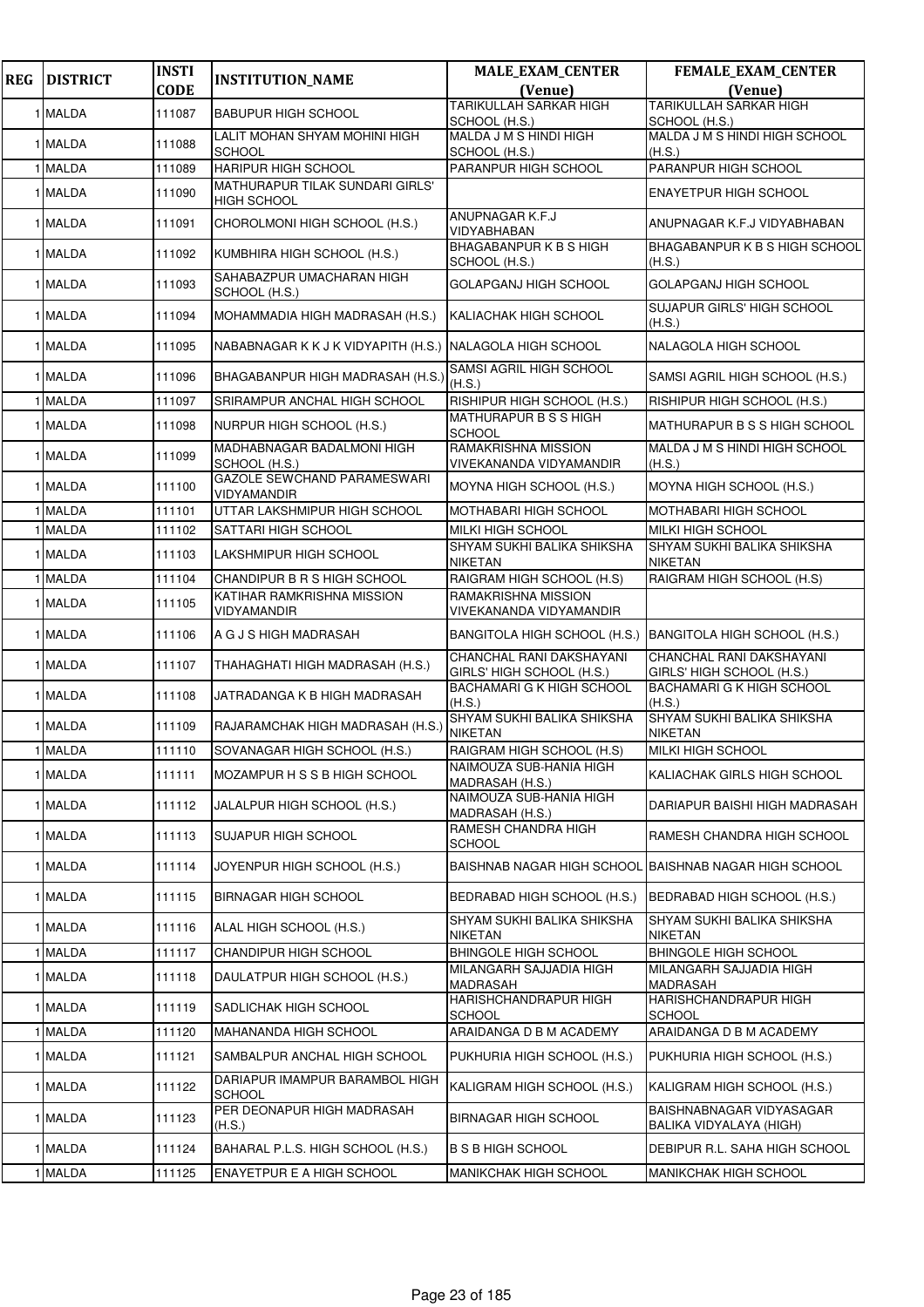| <b>REG</b> | <b>DISTRICT</b> | <b>INSTI</b><br><b>CODE</b> | <b>INSTITUTION_NAME</b>                                  | <b>MALE_EXAM_CENTER</b><br>(Venue)                    | <b>FEMALE_EXAM_CENTER</b><br>(Venue)                  |
|------------|-----------------|-----------------------------|----------------------------------------------------------|-------------------------------------------------------|-------------------------------------------------------|
|            | 1 MALDA         | 111087                      | <b>BABUPUR HIGH SCHOOL</b>                               | TARIKULLAH SARKAR HIGH                                | <b>TARIKULLAH SARKAR HIGH</b>                         |
|            | 1 MALDA         |                             | LALIT MOHAN SHYAM MOHINI HIGH                            | SCHOOL (H.S.)<br>MALDA J M S HINDI HIGH               | SCHOOL (H.S.)<br>MALDA J M S HINDI HIGH SCHOOL        |
|            |                 | 111088                      | <b>SCHOOL</b>                                            | SCHOOL (H.S.)                                         | (H.S.)                                                |
|            | 1 MALDA         | 111089                      | HARIPUR HIGH SCHOOL<br>MATHURAPUR TILAK SUNDARI GIRLS'   | PARANPUR HIGH SCHOOL                                  | PARANPUR HIGH SCHOOL                                  |
|            | 1 MALDA         | 111090                      | <b>HIGH SCHOOL</b>                                       |                                                       | ENAYETPUR HIGH SCHOOL                                 |
|            | 1 MALDA         | 111091                      | CHOROLMONI HIGH SCHOOL (H.S.)                            | ANUPNAGAR K.F.J<br>VIDYABHABAN                        | ANUPNAGAR K.F.J VIDYABHABAN                           |
|            | 1 MALDA         | 111092                      | KUMBHIRA HIGH SCHOOL (H.S.)                              | <b>BHAGABANPURK B S HIGH</b><br>SCHOOL (H.S.)         | BHAGABANPUR K B S HIGH SCHOOL<br>(H.S.)               |
|            | 1 MALDA         | 111093                      | SAHABAZPUR UMACHARAN HIGH<br>SCHOOL (H.S.)               | GOLAPGANJ HIGH SCHOOL                                 | GOLAPGANJ HIGH SCHOOL                                 |
|            | 1 MALDA         | 111094                      | MOHAMMADIA HIGH MADRASAH (H.S.)                          | KALIACHAK HIGH SCHOOL                                 | SUJAPUR GIRLS' HIGH SCHOOL<br>(H.S.)                  |
|            | 1 MALDA         | 111095                      | NABABNAGAR K K J K VIDYAPITH (H.S.) NALAGOLA HIGH SCHOOL |                                                       | NALAGOLA HIGH SCHOOL                                  |
|            | 1 MALDA         | 111096                      | BHAGABANPUR HIGH MADRASAH (H.S.)                         | SAMSI AGRIL HIGH SCHOOL<br>(H.S.)                     | SAMSI AGRIL HIGH SCHOOL (H.S.)                        |
|            | 1 MALDA         | 111097                      | SRIRAMPUR ANCHAL HIGH SCHOOL                             | RISHIPUR HIGH SCHOOL (H.S.)                           | RISHIPUR HIGH SCHOOL (H.S.)                           |
|            | 1 MALDA         | 111098                      | NURPUR HIGH SCHOOL (H.S.)                                | MATHURAPUR B S S HIGH<br>SCHOOL                       | MATHURAPUR B S S HIGH SCHOOL                          |
|            | 1 MALDA         | 111099                      | MADHABNAGAR BADALMONI HIGH<br>SCHOOL (H.S.)              | RAMAKRISHNA MISSION<br>VIVEKANANDA VIDYAMANDIR        | MALDA J M S HINDI HIGH SCHOOL<br>(H.S.)               |
|            | 1 MALDA         | 111100                      | GAZOLE SEWCHAND PARAMESWARI<br>VIDYAMANDIR               | MOYNA HIGH SCHOOL (H.S.)                              | MOYNA HIGH SCHOOL (H.S.)                              |
|            | 1 MALDA         | 111101                      | UTTAR LAKSHMIPUR HIGH SCHOOL                             | MOTHABARI HIGH SCHOOL                                 | <b>MOTHABARI HIGH SCHOOL</b>                          |
|            | <b>MALDA</b>    | 111102                      | SATTARI HIGH SCHOOL                                      | MILKI HIGH SCHOOL                                     | MILKI HIGH SCHOOL                                     |
|            | 1 MALDA         | 111103                      | LAKSHMIPUR HIGH SCHOOL                                   | SHYAM SUKHI BALIKA SHIKSHA<br><b>NIKETAN</b>          | SHYAM SUKHI BALIKA SHIKSHA<br><b>NIKETAN</b>          |
|            | 1 MALDA         | 111104                      | CHANDIPUR B R S HIGH SCHOOL                              | RAIGRAM HIGH SCHOOL (H.S)                             | RAIGRAM HIGH SCHOOL (H.S)                             |
|            | 1 MALDA         | 111105                      | KATIHAR RAMKRISHNA MISSION<br>VIDYAMANDIR                | RAMAKRISHNA MISSION<br>VIVEKANANDA VIDYAMANDIR        |                                                       |
|            | 1 MALDA         | 111106                      | A G J S HIGH MADRASAH                                    | BANGITOLA HIGH SCHOOL (H.S.)                          | BANGITOLA HIGH SCHOOL (H.S.)                          |
|            | 1 MALDA         | 111107                      | THAHAGHATI HIGH MADRASAH (H.S.)                          | CHANCHAL RANI DAKSHAYANI<br>GIRLS' HIGH SCHOOL (H.S.) | CHANCHAL RANI DAKSHAYANI<br>GIRLS' HIGH SCHOOL (H.S.) |
|            | 1 MALDA         | 111108                      | JATRADANGA K B HIGH MADRASAH                             | <b>BACHAMARI G K HIGH SCHOOL</b><br>(H.S.)            | BACHAMARI G K HIGH SCHOOL<br>(H.S.)                   |
|            | 1 MALDA         | 111109                      | RAJARAMCHAK HIGH MADRASAH (H.S.)                         | SHYAM SUKHI BALIKA SHIKSHA<br>NIKETAN                 | SHYAM SUKHI BALIKA SHIKSHA<br><b>NIKETAN</b>          |
|            | 1 MALDA         | 111110                      | SOVANAGAR HIGH SCHOOL (H.S.)                             | RAIGRAM HIGH SCHOOL (H.S)                             | MILKI HIGH SCHOOL                                     |
|            | 1 MALDA         | 111111                      | MOZAMPUR H S S B HIGH SCHOOL                             | NAIMOUZA SUB-HANIA HIGH<br>MADRASAH (H.S.)            | KALIACHAK GIRLS HIGH SCHOOL                           |
|            | 1 MALDA         | 111112                      | JALALPUR HIGH SCHOOL (H.S.)                              | NAIMOUZA SUB-HANIA HIGH<br>MADRASAH (H.S.)            | DARIAPUR BAISHI HIGH MADRASAH                         |
|            | 1 MALDA         | 111113                      | SUJAPUR HIGH SCHOOL                                      | RAMESH CHANDRA HIGH<br><b>SCHOOL</b>                  | RAMESH CHANDRA HIGH SCHOOL                            |
|            | 1 MALDA         | 111114                      | JOYENPUR HIGH SCHOOL (H.S.)                              | BAISHNAB NAGAR HIGH SCHOOL                            | <b>BAISHNAB NAGAR HIGH SCHOOL</b>                     |
|            | 1 MALDA         | 111115                      | <b>BIRNAGAR HIGH SCHOOL</b>                              | BEDRABAD HIGH SCHOOL (H.S.)                           | BEDRABAD HIGH SCHOOL (H.S.)                           |
|            | 1 MALDA         | 111116                      | ALAL HIGH SCHOOL (H.S.)                                  | SHYAM SUKHI BALIKA SHIKSHA<br>NIKETAN                 | SHYAM SUKHI BALIKA SHIKSHA<br>NIKETAN                 |
|            | 1 MALDA         | 111117                      | CHANDIPUR HIGH SCHOOL                                    | <b>BHINGOLE HIGH SCHOOL</b>                           | <b>BHINGOLE HIGH SCHOOL</b>                           |
|            | 1 MALDA         | 111118                      | DAULATPUR HIGH SCHOOL (H.S.)                             | MILANGARH SAJJADIA HIGH<br>MADRASAH                   | MILANGARH SAJJADIA HIGH<br>MADRASAH                   |
|            | 1 MALDA         | 111119                      | SADLICHAK HIGH SCHOOL                                    | HARISHCHANDRAPUR HIGH<br>SCHOOL                       | HARISHCHANDRAPUR HIGH<br><b>SCHOOL</b>                |
|            | <b>MALDA</b>    | 111120                      | MAHANANDA HIGH SCHOOL                                    | ARAIDANGA D B M ACADEMY                               | ARAIDANGA D B M ACADEMY                               |
|            | 1 MALDA         | 111121                      | SAMBALPUR ANCHAL HIGH SCHOOL                             | PUKHURIA HIGH SCHOOL (H.S.)                           | PUKHURIA HIGH SCHOOL (H.S.)                           |
|            | 1 MALDA         | 111122                      | DARIAPUR IMAMPUR BARAMBOL HIGH<br><b>SCHOOL</b>          | KALIGRAM HIGH SCHOOL (H.S.)                           | KALIGRAM HIGH SCHOOL (H.S.)                           |
|            | 1 MALDA         | 111123                      | PER DEONAPUR HIGH MADRASAH<br>(H.S.)                     | <b>BIRNAGAR HIGH SCHOOL</b>                           | BAISHNABNAGAR VIDYASAGAR<br>BALIKA VIDYALAYA (HIGH)   |
|            | 1 MALDA         | 111124                      | BAHARAL P.L.S. HIGH SCHOOL (H.S.)                        | <b>B S B HIGH SCHOOL</b>                              | DEBIPUR R.L. SAHA HIGH SCHOOL                         |
|            | 1 MALDA         | 111125                      | ENAYETPUR E A HIGH SCHOOL                                | MANIKCHAK HIGH SCHOOL                                 | MANIKCHAK HIGH SCHOOL                                 |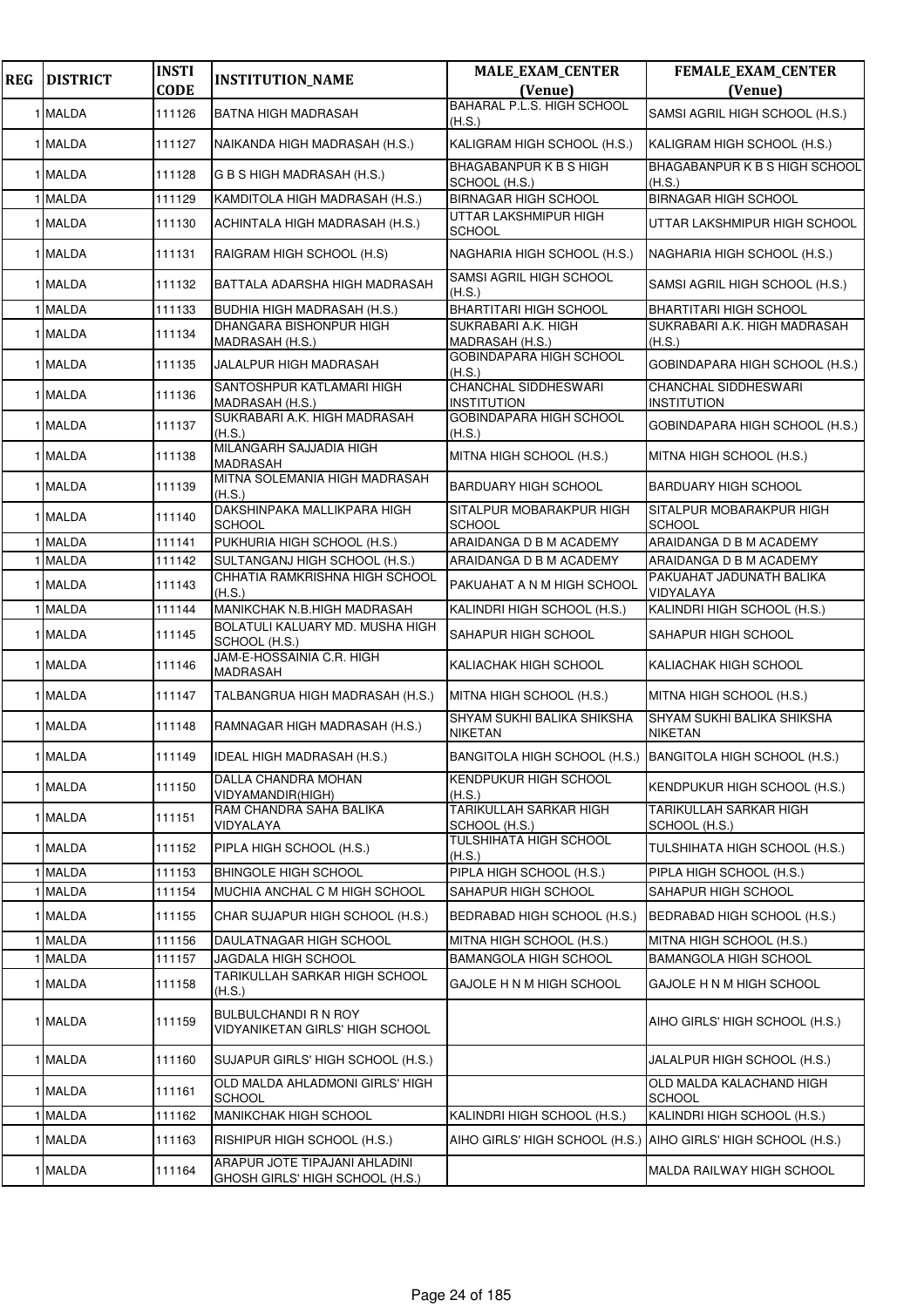| <b>REG</b> | <b>DISTRICT</b> | <b>INSTI</b><br><b>CODE</b> | <b>INSTITUTION_NAME</b>                                          | <b>MALE_EXAM_CENTER</b><br>(Venue)             | FEMALE_EXAM_CENTER<br>(Venue)                                  |
|------------|-----------------|-----------------------------|------------------------------------------------------------------|------------------------------------------------|----------------------------------------------------------------|
|            | 1 MALDA         | 111126                      | <b>BATNA HIGH MADRASAH</b>                                       | <b>BAHARAL P.L.S. HIGH SCHOOL</b><br>(H.S.)    | SAMSI AGRIL HIGH SCHOOL (H.S.)                                 |
|            | 1 MALDA         | 111127                      | NAIKANDA HIGH MADRASAH (H.S.)                                    | KALIGRAM HIGH SCHOOL (H.S.)                    | KALIGRAM HIGH SCHOOL (H.S.)                                    |
|            | 1 MALDA         | 111128                      | G B S HIGH MADRASAH (H.S.)                                       | <b>BHAGABANPURK B S HIGH</b><br>SCHOOL (H.S.)  | <b>BHAGABANPUR K B S HIGH SCHOOL</b><br>(H.S.)                 |
|            | 1 MALDA         | 111129                      | KAMDITOLA HIGH MADRASAH (H.S.)                                   | <b>BIRNAGAR HIGH SCHOOL</b>                    | <b>BIRNAGAR HIGH SCHOOL</b>                                    |
|            | 1 MALDA         | 111130                      | ACHINTALA HIGH MADRASAH (H.S.)                                   | UTTAR LAKSHMIPUR HIGH<br>SCHOOL                | UTTAR LAKSHMIPUR HIGH SCHOOL                                   |
|            | 1 MALDA         | 111131                      | RAIGRAM HIGH SCHOOL (H.S)                                        | NAGHARIA HIGH SCHOOL (H.S.)                    | NAGHARIA HIGH SCHOOL (H.S.)                                    |
|            | 1 MALDA         | 111132                      | BATTALA ADARSHA HIGH MADRASAH                                    | SAMSI AGRIL HIGH SCHOOL<br>(H.S.)              | SAMSI AGRIL HIGH SCHOOL (H.S.)                                 |
|            | 1 MALDA         | 111133                      | BUDHIA HIGH MADRASAH (H.S.)                                      | BHARTITARI HIGH SCHOOL                         | BHARTITARI HIGH SCHOOL                                         |
|            | 1 MALDA         | 111134                      | DHANGARA BISHONPUR HIGH<br>MADRASAH (H.S.)                       | SUKRABARI A.K. HIGH<br>MADRASAH (H.S.)         | SUKRABARI A.K. HIGH MADRASAH<br>(H.S.)                         |
|            | 1 MALDA         | 111135                      | JALALPUR HIGH MADRASAH                                           | GOBINDAPARA HIGH SCHOOL<br>(H.S.)              | GOBINDAPARA HIGH SCHOOL (H.S.)                                 |
|            | 1 MALDA         | 111136                      | SANTOSHPUR KATLAMARI HIGH<br>MADRASAH (H.S.)                     | CHANCHAL SIDDHESWARI<br>INSTITUTION            | CHANCHAL SIDDHESWARI<br><b>INSTITUTION</b>                     |
|            | 1 MALDA         | 111137                      | SUKRABARI A.K. HIGH MADRASAH<br>(H.S.)                           | GOBINDAPARA HIGH SCHOOL<br>(H.S.)              | GOBINDAPARA HIGH SCHOOL (H.S.)                                 |
|            | 1 MALDA         | 111138                      | MILANGARH SAJJADIA HIGH<br><b>MADRASAH</b>                       | MITNA HIGH SCHOOL (H.S.)                       | MITNA HIGH SCHOOL (H.S.)                                       |
|            | 1 MALDA         | 111139                      | MITNA SOLEMANIA HIGH MADRASAH<br>(H.S.)                          | <b>BARDUARY HIGH SCHOOL</b>                    | <b>BARDUARY HIGH SCHOOL</b>                                    |
|            | 1 MALDA         | 111140                      | DAKSHINPAKA MALLIKPARA HIGH<br><b>SCHOOL</b>                     | SITALPUR MOBARAKPUR HIGH<br><b>SCHOOL</b>      | SITALPUR MOBARAKPUR HIGH<br><b>SCHOOL</b>                      |
|            | 1 MALDA         | 111141                      | PUKHURIA HIGH SCHOOL (H.S.)                                      | ARAIDANGA D B M ACADEMY                        | ARAIDANGA D B M ACADEMY                                        |
|            | 1 MALDA         | 111142                      | SULTANGANJ HIGH SCHOOL (H.S.)                                    | ARAIDANGA D B M ACADEMY                        | ARAIDANGA D B M ACADEMY                                        |
|            | 1 MALDA         | 111143                      | CHHATIA RAMKRISHNA HIGH SCHOOL<br>(H.S.)                         | PAKUAHAT A N M HIGH SCHOOL                     | PAKUAHAT JADUNATH BALIKA<br>VIDYALAYA                          |
|            | 1 MALDA         | 111144                      | MANIKCHAK N.B.HIGH MADRASAH                                      | KALINDRI HIGH SCHOOL (H.S.)                    | KALINDRI HIGH SCHOOL (H.S.)                                    |
|            | 1 MALDA         | 111145                      | BOLATULI KALUARY MD. MUSHA HIGH<br>SCHOOL (H.S.)                 | SAHAPUR HIGH SCHOOL                            | SAHAPUR HIGH SCHOOL                                            |
|            | 1 MALDA         | 111146                      | JAM-E-HOSSAINIA C.R. HIGH<br><b>MADRASAH</b>                     | KALIACHAK HIGH SCHOOL                          | KALIACHAK HIGH SCHOOL                                          |
|            | 1 MALDA         | 111147                      | TALBANGRUA HIGH MADRASAH (H.S.)                                  | MITNA HIGH SCHOOL (H.S.)                       | MITNA HIGH SCHOOL (H.S.)                                       |
|            | 1 MALDA         | 111148                      | RAMNAGAR HIGH MADRASAH (H.S.)                                    | SHYAM SUKHI BALIKA SHIKSHA<br><b>NIKETAN</b>   | SHYAM SUKHI BALIKA SHIKSHA<br><b>NIKETAN</b>                   |
|            | 1 MALDA         | 111149                      | IDEAL HIGH MADRASAH (H.S.)                                       |                                                | BANGITOLA HIGH SCHOOL (H.S.) BANGITOLA HIGH SCHOOL (H.S.)      |
|            | 1 MALDA         | 111150                      | DALLA CHANDRA MOHAN<br>VIDYAMANDIR(HIGH)                         | KENDPUKUR HIGH SCHOOL<br>(H.S.)                | KENDPUKUR HIGH SCHOOL (H.S.)                                   |
|            | 1 MALDA         | 111151                      | RAM CHANDRA SAHA BALIKA<br>VIDYALAYA                             | <b>TARIKULLAH SARKAR HIGH</b><br>SCHOOL (H.S.) | <b>TARIKULLAH SARKAR HIGH</b><br>SCHOOL (H.S.)                 |
|            | 1 MALDA         | 111152                      | PIPLA HIGH SCHOOL (H.S.)                                         | TULSHIHATA HIGH SCHOOL<br>(H.S.)               | TULSHIHATA HIGH SCHOOL (H.S.)                                  |
|            | 1 MALDA         | 111153                      | <b>BHINGOLE HIGH SCHOOL</b>                                      | PIPLA HIGH SCHOOL (H.S.)                       | PIPLA HIGH SCHOOL (H.S.)                                       |
|            | 1 MALDA         | 111154                      | MUCHIA ANCHAL C M HIGH SCHOOL                                    | SAHAPUR HIGH SCHOOL                            | SAHAPUR HIGH SCHOOL                                            |
|            | 1 MALDA         | 111155                      | CHAR SUJAPUR HIGH SCHOOL (H.S.)                                  | BEDRABAD HIGH SCHOOL (H.S.)                    | BEDRABAD HIGH SCHOOL (H.S.)                                    |
|            | 1 MALDA         | 111156                      | DAULATNAGAR HIGH SCHOOL                                          | MITNA HIGH SCHOOL (H.S.)                       | MITNA HIGH SCHOOL (H.S.)                                       |
|            | 1 MALDA         | 111157                      | JAGDALA HIGH SCHOOL                                              | BAMANGOLA HIGH SCHOOL                          | <b>BAMANGOLA HIGH SCHOOL</b>                                   |
|            | 1 MALDA         | 111158                      | TARIKULLAH SARKAR HIGH SCHOOL<br>(H.S.)                          | GAJOLE H N M HIGH SCHOOL                       | GAJOLE H N M HIGH SCHOOL                                       |
|            | 1 MALDA         | 111159                      | <b>BULBULCHANDI R N ROY</b><br>VIDYANIKETAN GIRLS' HIGH SCHOOL   |                                                | AIHO GIRLS' HIGH SCHOOL (H.S.)                                 |
|            | 1 MALDA         | 111160                      | SUJAPUR GIRLS' HIGH SCHOOL (H.S.)                                |                                                | JALALPUR HIGH SCHOOL (H.S.)                                    |
|            | 1 MALDA         | 111161                      | OLD MALDA AHLADMONI GIRLS' HIGH<br><b>SCHOOL</b>                 |                                                | OLD MALDA KALACHAND HIGH<br><b>SCHOOL</b>                      |
|            | 1 MALDA         | 111162                      | <b>MANIKCHAK HIGH SCHOOL</b>                                     | KALINDRI HIGH SCHOOL (H.S.)                    | KALINDRI HIGH SCHOOL (H.S.)                                    |
|            | 1 MALDA         | 111163                      | RISHIPUR HIGH SCHOOL (H.S.)                                      |                                                | AIHO GIRLS' HIGH SCHOOL (H.S.)  AIHO GIRLS' HIGH SCHOOL (H.S.) |
|            | 1 MALDA         | 111164                      | ARAPUR JOTE TIPAJANI AHLADINI<br>GHOSH GIRLS' HIGH SCHOOL (H.S.) |                                                | MALDA RAILWAY HIGH SCHOOL                                      |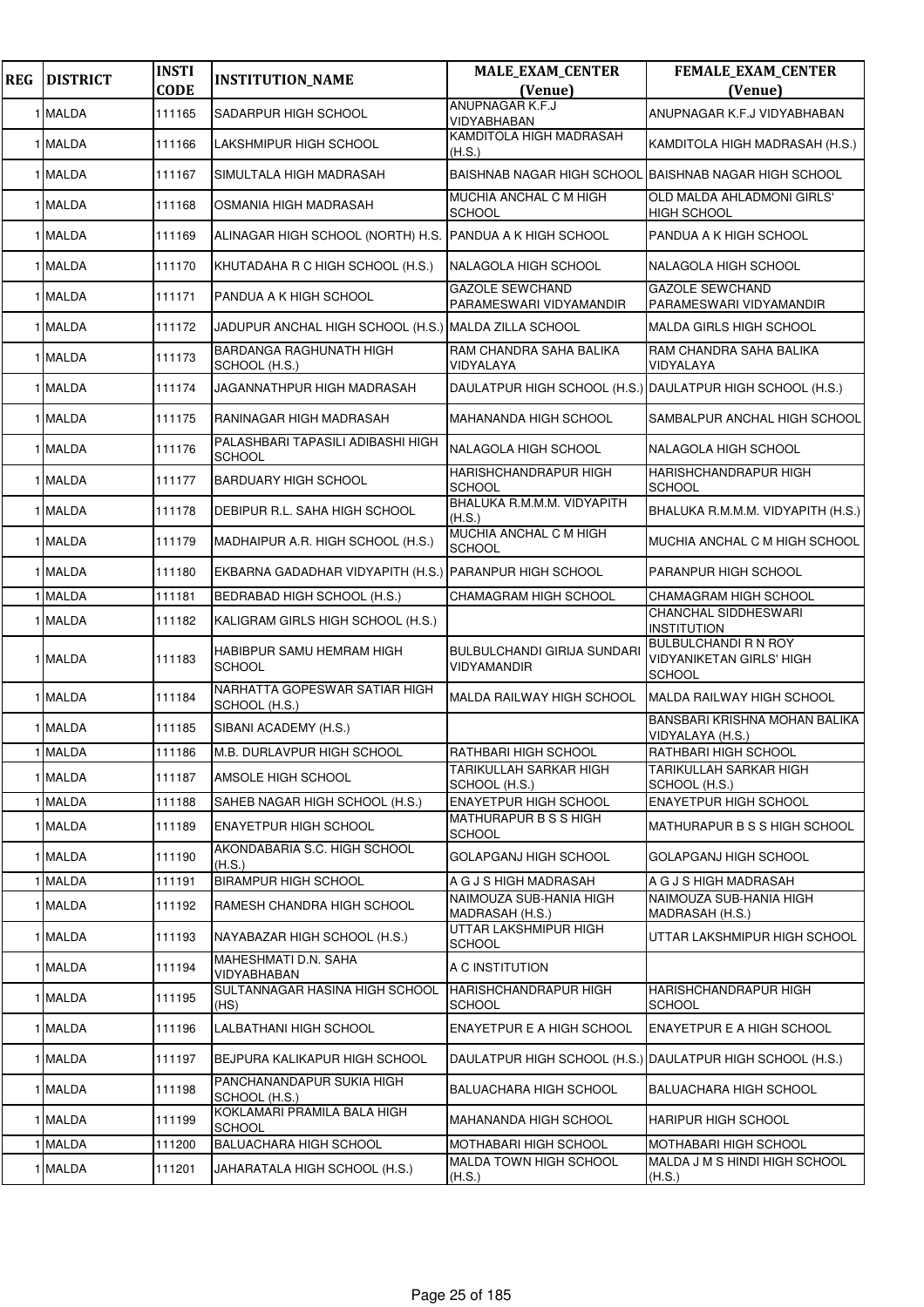| <b>REG</b> | <b>DISTRICT</b> | <b>INSTI</b><br><b>CODE</b> | <b>INSTITUTION_NAME</b>                                  | <b>MALE_EXAM_CENTER</b><br>(Venue)                | FEMALE_EXAM_CENTER<br>(Venue)                                                   |
|------------|-----------------|-----------------------------|----------------------------------------------------------|---------------------------------------------------|---------------------------------------------------------------------------------|
|            | 1 MALDA         | 111165                      | SADARPUR HIGH SCHOOL                                     | <b>ANUPNAGAR K.F.J</b><br>VIDYABHABAN             | ANUPNAGAR K.F.J VIDYABHABAN                                                     |
|            | 1 MALDA         | 111166                      | LAKSHMIPUR HIGH SCHOOL                                   | KAMDITOLA HIGH MADRASAH<br>(H.S.)                 | KAMDITOLA HIGH MADRASAH (H.S.)                                                  |
|            | 1 MALDA         | 111167                      | SIMULTALA HIGH MADRASAH                                  | <b>BAISHNAB NAGAR HIGH SCHOOL</b>                 | <b>IBAISHNAB NAGAR HIGH SCHOOL</b>                                              |
|            | 1 MALDA         | 111168                      | OSMANIA HIGH MADRASAH                                    | MUCHIA ANCHAL C M HIGH<br><b>SCHOOL</b>           | OLD MALDA AHLADMONI GIRLS'<br><b>HIGH SCHOOL</b>                                |
|            | 1 MALDA         | 111169                      | ALINAGAR HIGH SCHOOL (NORTH) H.S. PANDUA A K HIGH SCHOOL |                                                   | PANDUA A K HIGH SCHOOL                                                          |
|            | 1 MALDA         | 111170                      | KHUTADAHA R C HIGH SCHOOL (H.S.)                         | <b>NALAGOLA HIGH SCHOOL</b>                       | NALAGOLA HIGH SCHOOL                                                            |
|            | 1 MALDA         | 111171                      | PANDUA A K HIGH SCHOOL                                   | <b>GAZOLE SEWCHAND</b><br>PARAMESWARI VIDYAMANDIR | <b>GAZOLE SEWCHAND</b><br>PARAMESWARI VIDYAMANDIR                               |
|            | 1 MALDA         | 111172                      | JADUPUR ANCHAL HIGH SCHOOL (H.S.) MALDA ZILLA SCHOOL     |                                                   | <b>MALDA GIRLS HIGH SCHOOL</b>                                                  |
|            | 1 MALDA         | 111173                      | BARDANGA RAGHUNATH HIGH<br>SCHOOL (H.S.)                 | RAM CHANDRA SAHA BALIKA<br>VIDYALAYA              | RAM CHANDRA SAHA BALIKA<br>VIDYALAYA                                            |
|            | 1 MALDA         | 111174                      | JAGANNATHPUR HIGH MADRASAH                               |                                                   | DAULATPUR HIGH SCHOOL (H.S.) DAULATPUR HIGH SCHOOL (H.S.)                       |
|            | 1 MALDA         | 111175                      | RANINAGAR HIGH MADRASAH                                  | <b>MAHANANDA HIGH SCHOOL</b>                      | SAMBALPUR ANCHAL HIGH SCHOOL                                                    |
|            | 1 MALDA         | 111176                      | PALASHBARI TAPASILI ADIBASHI HIGH<br><b>SCHOOL</b>       | NALAGOLA HIGH SCHOOL                              | NALAGOLA HIGH SCHOOL                                                            |
|            | 1 MALDA         | 111177                      | <b>BARDUARY HIGH SCHOOL</b>                              | HARISHCHANDRAPUR HIGH<br><b>SCHOOL</b>            | HARISHCHANDRAPUR HIGH<br><b>SCHOOL</b>                                          |
|            | 1 MALDA         | 111178                      | DEBIPUR R.L. SAHA HIGH SCHOOL                            | BHALUKA R.M.M.M. VIDYAPITH<br>(H.S.)              | BHALUKA R.M.M.M. VIDYAPITH (H.S.)                                               |
|            | 1 MALDA         | 111179                      | MADHAIPUR A.R. HIGH SCHOOL (H.S.)                        | MUCHIA ANCHAL C M HIGH<br><b>SCHOOL</b>           | MUCHIA ANCHAL C M HIGH SCHOOL                                                   |
|            | 1 MALDA         | 111180                      | EKBARNA GADADHAR VIDYAPITH (H.S.) PARANPUR HIGH SCHOOL   |                                                   | <b>PARANPUR HIGH SCHOOL</b>                                                     |
|            | 1 MALDA         | 111181                      | BEDRABAD HIGH SCHOOL (H.S.)                              | CHAMAGRAM HIGH SCHOOL                             | CHAMAGRAM HIGH SCHOOL                                                           |
|            | 1 MALDA         | 111182                      | KALIGRAM GIRLS HIGH SCHOOL (H.S.)                        |                                                   | <b>CHANCHAL SIDDHESWARI</b><br><b>INSTITUTION</b>                               |
|            | 1 MALDA         | 111183                      | HABIBPUR SAMU HEMRAM HIGH<br><b>SCHOOL</b>               | <b>BULBULCHANDI GIRIJA SUNDARI</b><br>VIDYAMANDIR | <b>BULBULCHANDI R N ROY</b><br><b>VIDYANIKETAN GIRLS' HIGH</b><br><b>SCHOOL</b> |
|            | 1 MALDA         | 111184                      | NARHATTA GOPESWAR SATIAR HIGH<br>SCHOOL (H.S.)           | MALDA RAILWAY HIGH SCHOOL                         | <b>MALDA RAILWAY HIGH SCHOOL</b>                                                |
|            | 1 MALDA         | 111185                      | SIBANI ACADEMY (H.S.)                                    |                                                   | BANSBARI KRISHNA MOHAN BALIKA<br>VIDYALAYA (H.S.)                               |
|            | 1 MALDA         | 111186                      | M.B. DURLAVPUR HIGH SCHOOL                               | <b>RATHBARI HIGH SCHOOL</b>                       | <b>RATHBARI HIGH SCHOOL</b>                                                     |
|            | 1 MALDA         | 111187                      | AMSOLE HIGH SCHOOL                                       | <b>TARIKULLAH SARKAR HIGH</b><br>SCHOOL (H.S.)    | <b>TARIKULLAH SARKAR HIGH</b><br>SCHOOL (H.S.)                                  |
|            | 1 MALDA         | 111188                      | SAHEB NAGAR HIGH SCHOOL (H.S.)                           | <b>ENAYETPUR HIGH SCHOOL</b>                      | <b>ENAYETPUR HIGH SCHOOL</b>                                                    |
|            | 1 MALDA         | 111189                      | <b>ENAYETPUR HIGH SCHOOL</b>                             | MATHURAPUR B S S HIGH<br><b>SCHOOL</b>            | MATHURAPUR B S S HIGH SCHOOL                                                    |
|            | 1 MALDA         | 111190                      | AKONDABARIA S.C. HIGH SCHOOL<br>(H.S.)                   | GOLAPGANJ HIGH SCHOOL                             | <b>GOLAPGANJ HIGH SCHOOL</b>                                                    |
|            | 1 MALDA         | 111191                      | <b>BIRAMPUR HIGH SCHOOL</b>                              | A G J S HIGH MADRASAH                             | A G J S HIGH MADRASAH                                                           |
|            | 1 MALDA         | 111192                      | RAMESH CHANDRA HIGH SCHOOL                               | NAIMOUZA SUB-HANIA HIGH<br>MADRASAH (H.S.)        | NAIMOUZA SUB-HANIA HIGH<br>MADRASAH (H.S.)                                      |
|            | 1 MALDA         | 111193                      | NAYABAZAR HIGH SCHOOL (H.S.)                             | UTTAR LAKSHMIPUR HIGH<br><b>SCHOOL</b>            | UTTAR LAKSHMIPUR HIGH SCHOOL                                                    |
|            | 1 MALDA         | 111194                      | MAHESHMATI D.N. SAHA<br>VIDYABHABAN                      | A C INSTITUTION                                   |                                                                                 |
|            | 1 MALDA         | 111195                      | SULTANNAGAR HASINA HIGH SCHOOL<br>(HS)                   | <b>HARISHCHANDRAPUR HIGH</b><br><b>SCHOOL</b>     | HARISHCHANDRAPUR HIGH<br><b>SCHOOL</b>                                          |
|            | 1 MALDA         | 111196                      | LALBATHANI HIGH SCHOOL                                   | ENAYETPUR E A HIGH SCHOOL                         | ENAYETPUR E A HIGH SCHOOL                                                       |
|            | 1 MALDA         | 111197                      | BEJPURA KALIKAPUR HIGH SCHOOL                            |                                                   | DAULATPUR HIGH SCHOOL (H.S.) DAULATPUR HIGH SCHOOL (H.S.)                       |
|            | 1 MALDA         | 111198                      | PANCHANANDAPUR SUKIA HIGH<br>SCHOOL (H.S.)               | <b>BALUACHARA HIGH SCHOOL</b>                     | <b>BALUACHARA HIGH SCHOOL</b>                                                   |
|            | 1 MALDA         | 111199                      | KOKLAMARI PRAMILA BALA HIGH<br><b>SCHOOL</b>             | <b>MAHANANDA HIGH SCHOOL</b>                      | <b>HARIPUR HIGH SCHOOL</b>                                                      |
|            | 1 MALDA         | 111200                      | <b>BALUACHARA HIGH SCHOOL</b>                            | <b>MOTHABARI HIGH SCHOOL</b>                      | <b>MOTHABARI HIGH SCHOOL</b>                                                    |
|            | 1 MALDA         | 111201                      | JAHARATALA HIGH SCHOOL (H.S.)                            | <b>MALDA TOWN HIGH SCHOOL</b><br>(H.S.)           | MALDA J M S HINDI HIGH SCHOOL<br>(H.S.)                                         |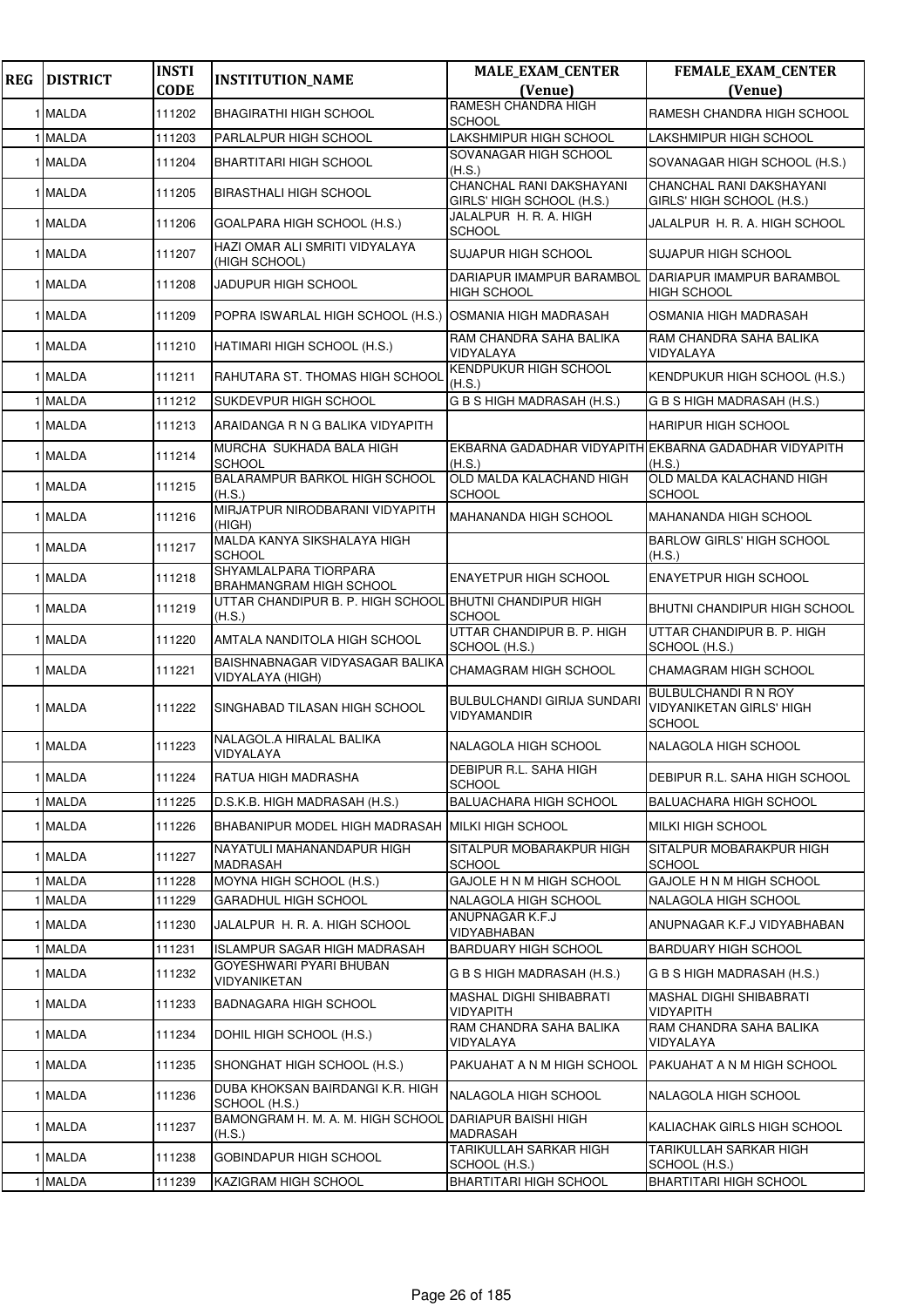| <b>REG</b> | <b>DISTRICT</b> | <b>INSTI</b> | <b>INSTITUTION_NAME</b>                                           | <b>MALE_EXAM_CENTER</b>                               | FEMALE_EXAM_CENTER                                                       |
|------------|-----------------|--------------|-------------------------------------------------------------------|-------------------------------------------------------|--------------------------------------------------------------------------|
|            |                 | <b>CODE</b>  |                                                                   | (Venue)                                               | (Venue)                                                                  |
|            | 1 MALDA         | 111202       | <b>BHAGIRATHI HIGH SCHOOL</b>                                     | RAMESH CHANDRA HIGH<br>SCHOOL                         | RAMESH CHANDRA HIGH SCHOOL                                               |
|            | 1 MALDA         | 111203       | PARLALPUR HIGH SCHOOL                                             | LAKSHMIPUR HIGH SCHOOL                                | LAKSHMIPUR HIGH SCHOOL                                                   |
|            | 1 MALDA         | 111204       | <b>BHARTITARI HIGH SCHOOL</b>                                     | SOVANAGAR HIGH SCHOOL<br>(H.S.)                       | SOVANAGAR HIGH SCHOOL (H.S.)                                             |
|            | 1 MALDA         | 111205       | <b>BIRASTHALI HIGH SCHOOL</b>                                     | CHANCHAL RANI DAKSHAYANI<br>GIRLS' HIGH SCHOOL (H.S.) | CHANCHAL RANI DAKSHAYANI<br>GIRLS' HIGH SCHOOL (H.S.)                    |
|            | 1 MALDA         | 111206       | GOALPARA HIGH SCHOOL (H.S.)                                       | JALALPUR H. R. A. HIGH<br>SCHOOL                      | JALALPUR H. R. A. HIGH SCHOOL                                            |
|            | 1 MALDA         | 111207       | HAZI OMAR ALI SMRITI VIDYALAYA<br>(HIGH SCHOOL)                   | SUJAPUR HIGH SCHOOL                                   | <b>SUJAPUR HIGH SCHOOL</b>                                               |
|            | 1 MALDA         | 111208       | JADUPUR HIGH SCHOOL                                               | DARIAPUR IMAMPUR BARAMBOL<br><b>HIGH SCHOOL</b>       | DARIAPUR IMAMPUR BARAMBOL<br><b>HIGH SCHOOL</b>                          |
|            | 1 MALDA         | 111209       | POPRA ISWARLAL HIGH SCHOOL (H.S.)                                 | <b>OSMANIA HIGH MADRASAH</b>                          | OSMANIA HIGH MADRASAH                                                    |
|            | 1 MALDA         | 111210       | HATIMARI HIGH SCHOOL (H.S.)                                       | RAM CHANDRA SAHA BALIKA<br>VIDYALAYA                  | RAM CHANDRA SAHA BALIKA<br>VIDYALAYA                                     |
|            | 1 MALDA         | 111211       | RAHUTARA ST. THOMAS HIGH SCHOOL                                   | KENDPUKUR HIGH SCHOOL<br>(H.S.)                       | KENDPUKUR HIGH SCHOOL (H.S.)                                             |
|            | 1 MALDA         | 111212       | SUKDEVPUR HIGH SCHOOL                                             | G B S HIGH MADRASAH (H.S.)                            | G B S HIGH MADRASAH (H.S.)                                               |
|            | 1 MALDA         | 111213       | ARAIDANGA R N G BALIKA VIDYAPITH                                  |                                                       | <b>HARIPUR HIGH SCHOOL</b>                                               |
|            | 1 MALDA         | 111214       | MURCHA SUKHADA BALA HIGH<br><b>SCHOOL</b>                         | (H.S.)                                                | EKBARNA GADADHAR VIDYAPITH EKBARNA GADADHAR VIDYAPITH<br>(H.S.)          |
|            | 1 MALDA         | 111215       | BALARAMPUR BARKOL HIGH SCHOOL<br>(H.S.)                           | OLD MALDA KALACHAND HIGH<br><b>SCHOOL</b>             | OLD MALDA KALACHAND HIGH<br><b>SCHOOL</b>                                |
|            | 1 MALDA         | 111216       | MIRJATPUR NIRODBARANI VIDYAPITH<br>(HIGH)                         | MAHANANDA HIGH SCHOOL                                 | <b>MAHANANDA HIGH SCHOOL</b>                                             |
|            | 1 MALDA         | 111217       | MALDA KANYA SIKSHALAYA HIGH<br><b>SCHOOL</b>                      |                                                       | <b>BARLOW GIRLS' HIGH SCHOOL</b><br>(H.S.)                               |
|            | 1 MALDA         | 111218       | SHYAMLALPARA TIORPARA<br><b>BRAHMANGRAM HIGH SCHOOL</b>           | <b>ENAYETPUR HIGH SCHOOL</b>                          | <b>ENAYETPUR HIGH SCHOOL</b>                                             |
|            | 1 MALDA         | 111219       | UTTAR CHANDIPUR B. P. HIGH SCHOOL BHUTNI CHANDIPUR HIGH<br>(H.S.) | <b>SCHOOL</b>                                         | BHUTNI CHANDIPUR HIGH SCHOOL                                             |
|            | 1 MALDA         | 111220       | AMTALA NANDITOLA HIGH SCHOOL                                      | UTTAR CHANDIPUR B. P. HIGH<br>SCHOOL (H.S.)           | UTTAR CHANDIPUR B. P. HIGH<br>SCHOOL (H.S.)                              |
|            | 1 MALDA         | 111221       | BAISHNABNAGAR VIDYASAGAR BALIKA<br>VIDYALAYA (HIGH)               | CHAMAGRAM HIGH SCHOOL                                 | CHAMAGRAM HIGH SCHOOL                                                    |
|            | 1 MALDA         | 111222       | SINGHABAD TILASAN HIGH SCHOOL                                     | BULBULCHANDI GIRIJA SUNDARI<br>VIDYAMANDIR            | <b>BULBULCHANDI R N ROY</b><br><b>VIDYANIKETAN GIRLS' HIGH</b><br>SCHOOL |
|            | 1 MALDA         | 111223       | NALAGOL.A HIRALAL BALIKA<br><b>VIDYALAYA</b>                      | NALAGOLA HIGH SCHOOL                                  | NALAGOLA HIGH SCHOOL                                                     |
|            | 1 MALDA         | 111224       | RATUA HIGH MADRASHA                                               | DEBIPUR R.L. SAHA HIGH<br>SCHOOL                      | DEBIPUR R.L. SAHA HIGH SCHOOL                                            |
|            | 1 MALDA         | 111225       | D.S.K.B. HIGH MADRASAH (H.S.)                                     | <b>BALUACHARA HIGH SCHOOL</b>                         | <b>BALUACHARA HIGH SCHOOL</b>                                            |
|            | 1 MALDA         | 111226       | BHABANIPUR MODEL HIGH MADRASAH MILKI HIGH SCHOOL                  |                                                       | <b>MILKI HIGH SCHOOL</b>                                                 |
|            | 1 MALDA         | 111227       | NAYATULI MAHANANDAPUR HIGH<br>MADRASAH                            | SITALPUR MOBARAKPUR HIGH<br>SCHOOL                    | SITALPUR MOBARAKPUR HIGH<br><b>SCHOOL</b>                                |
|            | 1 MALDA         | 111228       | MOYNA HIGH SCHOOL (H.S.)                                          | GAJOLE H N M HIGH SCHOOL                              | GAJOLE H N M HIGH SCHOOL                                                 |
|            | 1 MALDA         | 111229       | <b>GARADHUL HIGH SCHOOL</b>                                       | NALAGOLA HIGH SCHOOL<br>ANUPNAGAR K.F.J               | NALAGOLA HIGH SCHOOL                                                     |
|            | 1 MALDA         | 111230       | JALALPUR H. R. A. HIGH SCHOOL                                     | VIDYABHABAN                                           | ANUPNAGAR K.F.J VIDYABHABAN                                              |
|            | 1 MALDA         | 111231       | ISLAMPUR SAGAR HIGH MADRASAH<br>GOYESHWARI PYARI BHUBAN           | BARDUARY HIGH SCHOOL                                  | <b>BARDUARY HIGH SCHOOL</b>                                              |
|            | 1 MALDA         | 111232       | VIDYANIKETAN                                                      | G B S HIGH MADRASAH (H.S.)<br>MASHAL DIGHI SHIBABRATI | G B S HIGH MADRASAH (H.S.)<br><b>MASHAL DIGHI SHIBABRATI</b>             |
|            | 1 MALDA         | 111233       | <b>BADNAGARA HIGH SCHOOL</b>                                      | VIDYAPITH                                             | VIDYAPITH                                                                |
|            | 1 MALDA         | 111234       | DOHIL HIGH SCHOOL (H.S.)                                          | RAM CHANDRA SAHA BALIKA<br>VIDYALAYA                  | RAM CHANDRA SAHA BALIKA<br>VIDYALAYA                                     |
|            | 1 MALDA         | 111235       | SHONGHAT HIGH SCHOOL (H.S.)                                       | PAKUAHAT A N M HIGH SCHOOL                            | PAKUAHAT A N M HIGH SCHOOL                                               |
|            | 1 MALDA         | 111236       | DUBA KHOKSAN BAIRDANGI K.R. HIGH<br>SCHOOL (H.S.)                 | NALAGOLA HIGH SCHOOL                                  | NALAGOLA HIGH SCHOOL                                                     |
|            | 1 MALDA         | 111237       | BAMONGRAM H. M. A. M. HIGH SCHOOL<br>(H.S.)                       | DARIAPUR BAISHI HIGH<br>MADRASAH                      | KALIACHAK GIRLS HIGH SCHOOL                                              |
|            | 1 MALDA         | 111238       | GOBINDAPUR HIGH SCHOOL                                            | TARIKULLAH SARKAR HIGH<br>SCHOOL (H.S.)               | TARIKULLAH SARKAR HIGH<br>SCHOOL (H.S.)                                  |
|            | 1 MALDA         | 111239       | KAZIGRAM HIGH SCHOOL                                              | BHARTITARI HIGH SCHOOL                                | BHARTITARI HIGH SCHOOL                                                   |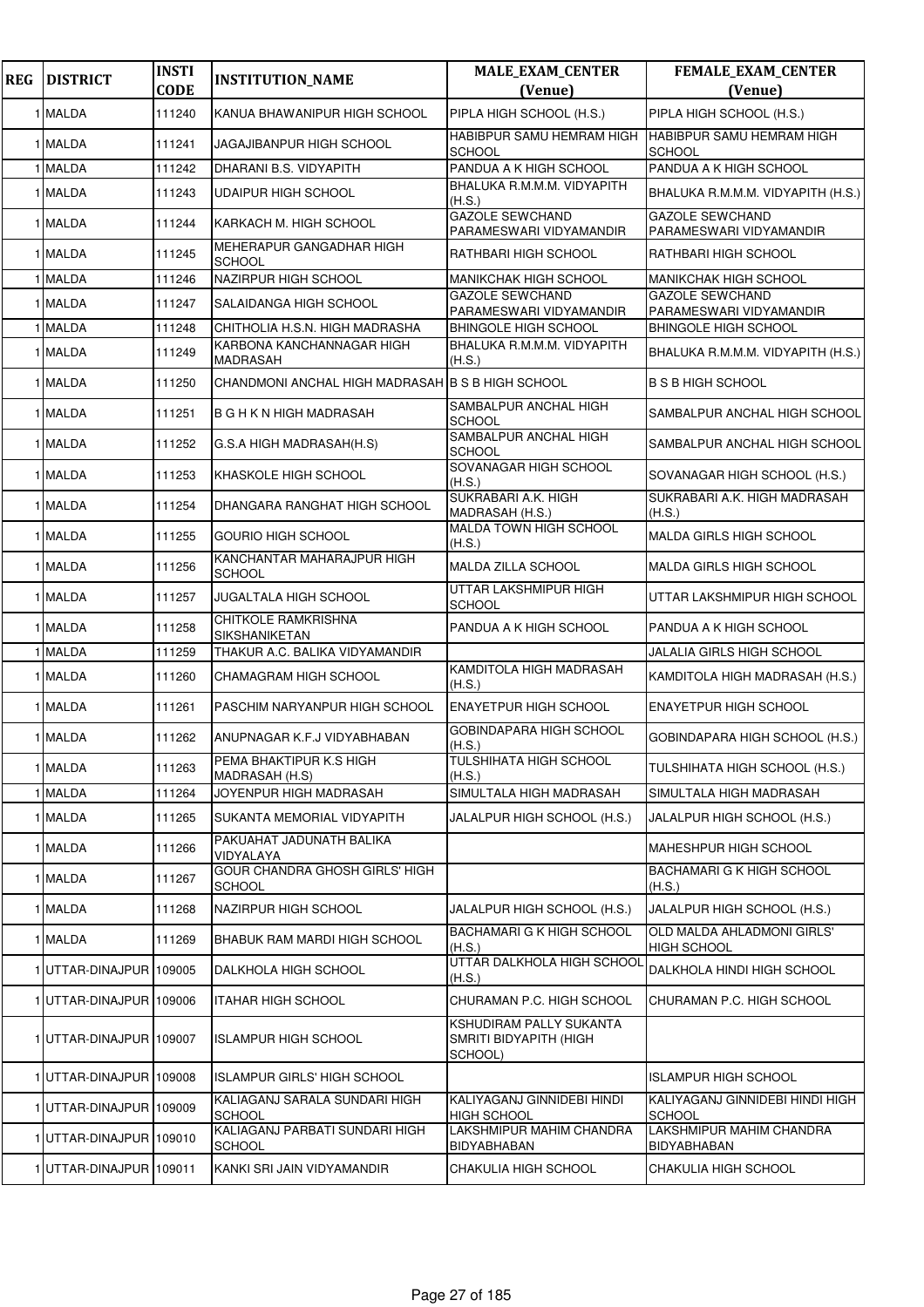| <b>REG</b> | <b>DISTRICT</b>         | <b>INSTI</b> | <b>INSTITUTION_NAME</b>                          | <b>MALE_EXAM_CENTER</b>                                      | <b>FEMALE_EXAM_CENTER</b>                         |
|------------|-------------------------|--------------|--------------------------------------------------|--------------------------------------------------------------|---------------------------------------------------|
|            |                         | <b>CODE</b>  |                                                  | (Venue)                                                      | (Venue)                                           |
|            | 1 MALDA                 | 111240       | KANUA BHAWANIPUR HIGH SCHOOL                     | PIPLA HIGH SCHOOL (H.S.)                                     | PIPLA HIGH SCHOOL (H.S.)                          |
|            | 1 MALDA                 | 111241       | JAGAJIBANPUR HIGH SCHOOL                         | HABIBPUR SAMU HEMRAM HIGH<br><b>SCHOOL</b>                   | HABIBPUR SAMU HEMRAM HIGH<br><b>SCHOOL</b>        |
|            | 1 MALDA                 | 111242       | DHARANI B.S. VIDYAPITH                           | PANDUA A K HIGH SCHOOL                                       | PANDUA A K HIGH SCHOOL                            |
|            | 1 MALDA                 | 111243       | <b>UDAIPUR HIGH SCHOOL</b>                       | BHALUKA R.M.M.M. VIDYAPITH<br>(H.S.)                         | BHALUKA R.M.M.M. VIDYAPITH (H.S.)                 |
|            | 1 MALDA                 | 111244       | KARKACH M. HIGH SCHOOL                           | <b>GAZOLE SEWCHAND</b><br>PARAMESWARI VIDYAMANDIR            | <b>GAZOLE SEWCHAND</b><br>PARAMESWARI VIDYAMANDIR |
|            | 1 MALDA                 | 111245       | MEHERAPUR GANGADHAR HIGH<br><b>SCHOOL</b>        | RATHBARI HIGH SCHOOL                                         | RATHBARI HIGH SCHOOL                              |
|            | 1 MALDA                 | 111246       | NAZIRPUR HIGH SCHOOL                             | <b>MANIKCHAK HIGH SCHOOL</b>                                 | <b>MANIKCHAK HIGH SCHOOL</b>                      |
|            | 1 MALDA                 | 111247       | SALAIDANGA HIGH SCHOOL                           | GAZOLE SEWCHAND<br>PARAMESWARI VIDYAMANDIR                   | GAZOLE SEWCHAND<br>PARAMESWARI VIDYAMANDIR        |
|            | 1 MALDA                 | 111248       | CHITHOLIA H.S.N. HIGH MADRASHA                   | <b>BHINGOLE HIGH SCHOOL</b>                                  | <b>BHINGOLE HIGH SCHOOL</b>                       |
|            | 1 MALDA                 | 111249       | KARBONA KANCHANNAGAR HIGH<br>MADRASAH            | BHALUKA R.M.M.M. VIDYAPITH<br>(H.S.)                         | BHALUKA R.M.M.M. VIDYAPITH (H.S.)                 |
|            | 1 MALDA                 | 111250       | CHANDMONI ANCHAL HIGH MADRASAH B S B HIGH SCHOOL |                                                              | <b>B S B HIGH SCHOOL</b>                          |
|            | 1 MALDA                 | 111251       | <b>B G H K N HIGH MADRASAH</b>                   | SAMBALPUR ANCHAL HIGH<br>SCHOOL                              | SAMBALPUR ANCHAL HIGH SCHOOL                      |
|            | 1 MALDA                 | 111252       | G.S.A HIGH MADRASAH(H.S)                         | SAMBALPUR ANCHAL HIGH<br>SCHOOL                              | SAMBALPUR ANCHAL HIGH SCHOOL                      |
|            | 1 MALDA                 | 111253       | KHASKOLE HIGH SCHOOL                             | SOVANAGAR HIGH SCHOOL<br>(H.S.)                              | SOVANAGAR HIGH SCHOOL (H.S.)                      |
|            | 1 MALDA                 | 111254       | DHANGARA RANGHAT HIGH SCHOOL                     | SUKRABARI A.K. HIGH<br>MADRASAH (H.S.)                       | SUKRABARI A.K. HIGH MADRASAH<br>(H.S.)            |
|            | 1 MALDA                 | 111255       | <b>GOURIO HIGH SCHOOL</b>                        | MALDA TOWN HIGH SCHOOL<br>(H.S.)                             | MALDA GIRLS HIGH SCHOOL                           |
|            | 1 MALDA                 | 111256       | KANCHANTAR MAHARAJPUR HIGH<br><b>SCHOOL</b>      | MALDA ZILLA SCHOOL                                           | <b>MALDA GIRLS HIGH SCHOOL</b>                    |
|            | 1 MALDA                 | 111257       | JUGALTALA HIGH SCHOOL                            | UTTAR LAKSHMIPUR HIGH<br>SCHOOL                              | UTTAR LAKSHMIPUR HIGH SCHOOL                      |
|            | 1 MALDA                 | 111258       | CHITKOLE RAMKRISHNA<br><b>SIKSHANIKETAN</b>      | PANDUA A K HIGH SCHOOL                                       | PANDUA A K HIGH SCHOOL                            |
|            | 1 MALDA                 | 111259       | THAKUR A.C. BALIKA VIDYAMANDIR                   |                                                              | JALALIA GIRLS HIGH SCHOOL                         |
|            | 1 MALDA                 | 111260       | CHAMAGRAM HIGH SCHOOL                            | KAMDITOLA HIGH MADRASAH<br>(H.S.)                            | KAMDITOLA HIGH MADRASAH (H.S.)                    |
|            | 1 MALDA                 | 111261       | PASCHIM NARYANPUR HIGH SCHOOL                    | ENAYETPUR HIGH SCHOOL                                        | <b>ENAYETPUR HIGH SCHOOL</b>                      |
|            | 1 MALDA                 | 111262       | ANUPNAGAR K.F.J VIDYABHABAN                      | GOBINDAPARA HIGH SCHOOL<br>(H.S.)                            | GOBINDAPARA HIGH SCHOOL (H.S.)                    |
|            | 1 MALDA                 | 111263       | PEMA BHAKTIPUR K.S HIGH<br>MADRASAH (H.S)        | TULSHIHATA HIGH SCHOOL<br>(H.S.)                             | TULSHIHATA HIGH SCHOOL (H.S.)                     |
|            | 1 MALDA                 | 111264       | JOYENPUR HIGH MADRASAH                           | SIMULTALA HIGH MADRASAH                                      | SIMULTALA HIGH MADRASAH                           |
|            | 1 MALDA                 | 111265       | SUKANTA MEMORIAL VIDYAPITH                       | JALALPUR HIGH SCHOOL (H.S.)                                  | JALALPUR HIGH SCHOOL (H.S.)                       |
|            | 1 MALDA                 | 111266       | PAKUAHAT JADUNATH BALIKA<br><b>VIDYALAYA</b>     |                                                              | MAHESHPUR HIGH SCHOOL                             |
|            | 1 MALDA                 | 111267       | GOUR CHANDRA GHOSH GIRLS' HIGH<br><b>SCHOOL</b>  |                                                              | <b>BACHAMARI G K HIGH SCHOOL</b><br>(H.S.)        |
|            | 1 MALDA                 | 111268       | NAZIRPUR HIGH SCHOOL                             | JALALPUR HIGH SCHOOL (H.S.)                                  | JALALPUR HIGH SCHOOL (H.S.)                       |
|            | 1 MALDA                 | 111269       | BHABUK RAM MARDI HIGH SCHOOL                     | BACHAMARI G K HIGH SCHOOL<br>(H.S.)                          | OLD MALDA AHLADMONI GIRLS'<br><b>HIGH SCHOOL</b>  |
|            | 1UTTAR-DINAJPUR 109005  |              | DALKHOLA HIGH SCHOOL                             | UTTAR DALKHOLA HIGH SCHOOL<br>(H.S.)                         | DALKHOLA HINDI HIGH SCHOOL                        |
|            | 1UTTAR-DINAJPUR 109006  |              | ITAHAR HIGH SCHOOL                               | CHURAMAN P.C. HIGH SCHOOL                                    | CHURAMAN P.C. HIGH SCHOOL                         |
|            | 1UTTAR-DINAJPUR 109007  |              | <b>ISLAMPUR HIGH SCHOOL</b>                      | KSHUDIRAM PALLY SUKANTA<br>SMRITI BIDYAPITH (HIGH<br>SCHOOL) |                                                   |
|            | 1UTTAR-DINAJPUR 109008  |              | <b>ISLAMPUR GIRLS' HIGH SCHOOL</b>               |                                                              | ISLAMPUR HIGH SCHOOL                              |
|            | 1 UTTAR-DINAJPUR 109009 |              | KALIAGANJ SARALA SUNDARI HIGH<br><b>SCHOOL</b>   | KALIYAGANJ GINNIDEBI HINDI<br>HIGH SCHOOL                    | KALIYAGANJ GINNIDEBI HINDI HIGH<br><b>SCHOOL</b>  |
|            | 1 UTTAR-DINAJPUR 109010 |              | KALIAGANJ PARBATI SUNDARI HIGH<br><b>SCHOOL</b>  | LAKSHMIPUR MAHIM CHANDRA<br>BIDYABHABAN                      | LAKSHMIPUR MAHIM CHANDRA<br>BIDYABHABAN           |
|            | 1 UTTAR-DINAJPUR 109011 |              | KANKI SRI JAIN VIDYAMANDIR                       | CHAKULIA HIGH SCHOOL                                         | CHAKULIA HIGH SCHOOL                              |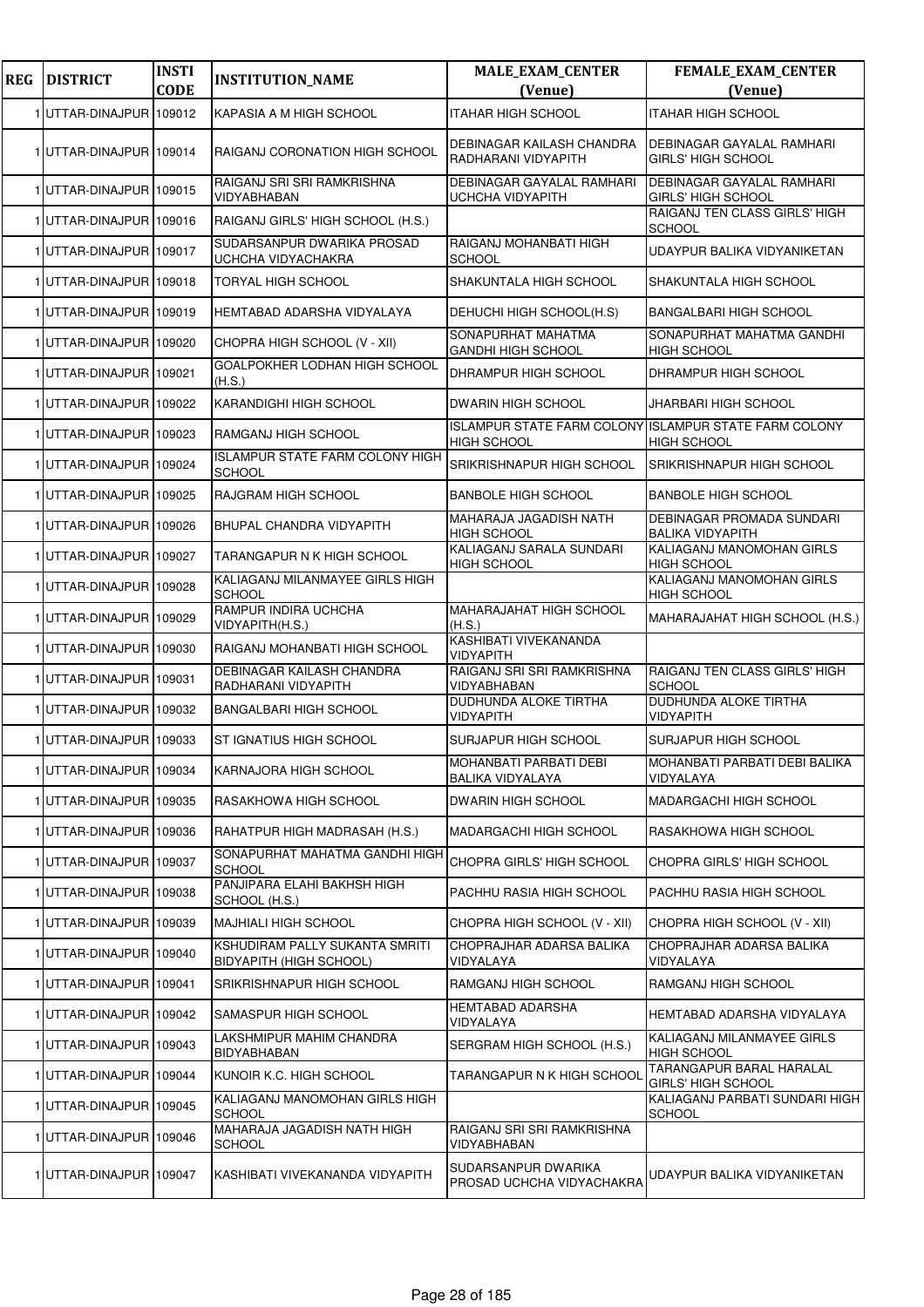| <b>REG</b> | <b>DISTRICT</b>         | <b>INSTI</b><br><b>CODE</b> | <b>INSTITUTION_NAME</b>                                   | <b>MALE_EXAM_CENTER</b><br>(Venue)                                          | <b>FEMALE_EXAM_CENTER</b><br>(Venue)                          |
|------------|-------------------------|-----------------------------|-----------------------------------------------------------|-----------------------------------------------------------------------------|---------------------------------------------------------------|
|            |                         |                             |                                                           |                                                                             |                                                               |
|            | 1 UTTAR-DINAJPUR 109012 |                             | KAPASIA A M HIGH SCHOOL                                   | <b>ITAHAR HIGH SCHOOL</b>                                                   | <b>ITAHAR HIGH SCHOOL</b>                                     |
|            | 1UTTAR-DINAJPUR 109014  |                             | RAIGANJ CORONATION HIGH SCHOOL                            | DEBINAGAR KAILASH CHANDRA<br>RADHARANI VIDYAPITH                            | DEBINAGAR GAYALAL RAMHARI<br><b>GIRLS' HIGH SCHOOL</b>        |
|            | 1 UTTAR-DINAJPUR 109015 |                             | RAIGANJ SRI SRI RAMKRISHNA<br>VIDYABHABAN                 | <b>DEBINAGAR GAYALAL RAMHARI</b><br><b>UCHCHA VIDYAPITH</b>                 | <b>DEBINAGAR GAYALAL RAMHARI</b><br><b>GIRLS' HIGH SCHOOL</b> |
|            | 1 UTTAR-DINAJPUR 109016 |                             | RAIGANJ GIRLS' HIGH SCHOOL (H.S.)                         |                                                                             | RAIGANJ TEN CLASS GIRLS' HIGH<br><b>SCHOOL</b>                |
|            | 1UTTAR-DINAJPUR 109017  |                             | SUDARSANPUR DWARIKA PROSAD<br>UCHCHA VIDYACHAKRA          | RAIGANJ MOHANBATI HIGH<br><b>SCHOOL</b>                                     | UDAYPUR BALIKA VIDYANIKETAN                                   |
|            | 1 UTTAR-DINAJPUR 109018 |                             | <b>TORYAL HIGH SCHOOL</b>                                 | SHAKUNTALA HIGH SCHOOL                                                      | SHAKUNTALA HIGH SCHOOL                                        |
|            | 1 UTTAR-DINAJPUR 109019 |                             | HEMTABAD ADARSHA VIDYALAYA                                | DEHUCHI HIGH SCHOOL(H.S)                                                    | <b>BANGALBARI HIGH SCHOOL</b>                                 |
|            | 1 UTTAR-DINAJPUR 109020 |                             | CHOPRA HIGH SCHOOL (V - XII)                              | SONAPURHAT MAHATMA<br><b>GANDHI HIGH SCHOOL</b>                             | SONAPURHAT MAHATMA GANDHI<br><b>HIGH SCHOOL</b>               |
|            | 1UTTAR-DINAJPUR 109021  |                             | GOALPOKHER LODHAN HIGH SCHOOL<br>(H.S.)                   | DHRAMPUR HIGH SCHOOL                                                        | DHRAMPUR HIGH SCHOOL                                          |
|            | 1 UTTAR-DINAJPUR 109022 |                             | KARANDIGHI HIGH SCHOOL                                    | <b>DWARIN HIGH SCHOOL</b>                                                   | JHARBARI HIGH SCHOOL                                          |
|            | 1 UTTAR-DINAJPUR 109023 |                             | RAMGANJ HIGH SCHOOL                                       | ISLAMPUR STATE FARM COLONY ISLAMPUR STATE FARM COLONY<br><b>HIGH SCHOOL</b> | <b>HIGH SCHOOL</b>                                            |
|            | 1UTTAR-DINAJPUR 109024  |                             | <b>ISLAMPUR STATE FARM COLONY HIGH</b><br><b>SCHOOL</b>   | SRIKRISHNAPUR HIGH SCHOOL                                                   | <b>SRIKRISHNAPUR HIGH SCHOOL</b>                              |
|            | 1 UTTAR-DINAJPUR 109025 |                             | RAJGRAM HIGH SCHOOL                                       | <b>BANBOLE HIGH SCHOOL</b>                                                  | <b>BANBOLE HIGH SCHOOL</b>                                    |
|            | 1UTTAR-DINAJPUR 109026  |                             | BHUPAL CHANDRA VIDYAPITH                                  | MAHARAJA JAGADISH NATH<br><b>HIGH SCHOOL</b>                                | <b>DEBINAGAR PROMADA SUNDARI</b><br><b>BALIKA VIDYAPITH</b>   |
|            | 1 UTTAR-DINAJPUR 109027 |                             | TARANGAPUR N K HIGH SCHOOL                                | KALIAGANJ SARALA SUNDARI<br><b>HIGH SCHOOL</b>                              | KALIAGANJ MANOMOHAN GIRLS<br><b>HIGH SCHOOL</b>               |
|            | 1UTTAR-DINAJPUR 109028  |                             | KALIAGANJ MILANMAYEE GIRLS HIGH<br><b>SCHOOL</b>          |                                                                             | KALIAGANJ MANOMOHAN GIRLS<br><b>HIGH SCHOOL</b>               |
|            | 1 UTTAR-DINAJPUR 109029 |                             | RAMPUR INDIRA UCHCHA<br>VIDYAPITH(H.S.)                   | MAHARAJAHAT HIGH SCHOOL<br>(H.S.)                                           | MAHARAJAHAT HIGH SCHOOL (H.S.)                                |
|            | 1 UTTAR-DINAJPUR 109030 |                             | RAIGANJ MOHANBATI HIGH SCHOOL                             | KASHIBATI VIVEKANANDA<br><b>VIDYAPITH</b>                                   |                                                               |
|            | 1UTTAR-DINAJPUR 109031  |                             | DEBINAGAR KAILASH CHANDRA<br>RADHARANI VIDYAPITH          | RAIGANJ SRI SRI RAMKRISHNA<br>VIDYABHABAN                                   | RAIGANJ TEN CLASS GIRLS' HIGH<br><b>SCHOOL</b>                |
|            | 1 UTTAR-DINAJPUR 109032 |                             | <b>BANGALBARI HIGH SCHOOL</b>                             | <b>DUDHUNDA ALOKE TIRTHA</b><br>VIDYAPITH                                   | DUDHUNDA ALOKE TIRTHA<br><b>VIDYAPITH</b>                     |
|            | 1 UTTAR-DINAJPUR 109033 |                             | <b>ST IGNATIUS HIGH SCHOOL</b>                            | <b>SURJAPUR HIGH SCHOOL</b>                                                 | SURJAPUR HIGH SCHOOL                                          |
|            | 1 UTTAR-DINAJPUR 109034 |                             | KARNAJORA HIGH SCHOOL                                     | MOHANBATI PARBATI DEBI<br>BALIKA VIDYALAYA                                  | MOHANBATI PARBATI DEBI BALIKA<br>VIDYALAYA                    |
|            | 1UTTAR-DINAJPUR 109035  |                             | RASAKHOWA HIGH SCHOOL                                     | DWARIN HIGH SCHOOL                                                          | <b>MADARGACHI HIGH SCHOOL</b>                                 |
|            | 1UTTAR-DINAJPUR 109036  |                             | RAHATPUR HIGH MADRASAH (H.S.)                             | MADARGACHI HIGH SCHOOL                                                      | RASAKHOWA HIGH SCHOOL                                         |
|            | 1UTTAR-DINAJPUR 109037  |                             | SONAPURHAT MAHATMA GANDHI HIGH<br><b>SCHOOL</b>           | CHOPRA GIRLS' HIGH SCHOOL                                                   | CHOPRA GIRLS' HIGH SCHOOL                                     |
|            | 1 UTTAR-DINAJPUR 109038 |                             | PANJIPARA ELAHI BAKHSH HIGH<br>SCHOOL (H.S.)              | PACHHU RASIA HIGH SCHOOL                                                    | PACHHU RASIA HIGH SCHOOL                                      |
|            | 1 UTTAR-DINAJPUR 109039 |                             | <b>MAJHIALI HIGH SCHOOL</b>                               | CHOPRA HIGH SCHOOL (V - XII)                                                | CHOPRA HIGH SCHOOL (V - XII)                                  |
|            | 1UTTAR-DINAJPUR 109040  |                             | KSHUDIRAM PALLY SUKANTA SMRITI<br>BIDYAPITH (HIGH SCHOOL) | CHOPRAJHAR ADARSA BALIKA<br>VIDYALAYA                                       | CHOPRAJHAR ADARSA BALIKA<br>VIDYALAYA                         |
|            | 1UTTAR-DINAJPUR 109041  |                             | SRIKRISHNAPUR HIGH SCHOOL                                 | RAMGANJ HIGH SCHOOL                                                         | RAMGANJ HIGH SCHOOL                                           |
|            | 1UTTAR-DINAJPUR 109042  |                             | SAMASPUR HIGH SCHOOL                                      | <b>HEMTABAD ADARSHA</b><br>VIDYALAYA                                        | HEMTABAD ADARSHA VIDYALAYA                                    |
|            | 1 UTTAR-DINAJPUR 109043 |                             | LAKSHMIPUR MAHIM CHANDRA<br><b>BIDYABHABAN</b>            | SERGRAM HIGH SCHOOL (H.S.)                                                  | KALIAGANJ MILANMAYEE GIRLS<br><b>HIGH SCHOOL</b>              |
|            | 1 UTTAR-DINAJPUR 109044 |                             | KUNOIR K.C. HIGH SCHOOL                                   | TARANGAPUR N K HIGH SCHOOL                                                  | TARANGAPUR BARAL HARALAL<br><b>GIRLS' HIGH SCHOOL</b>         |
|            | 1 UTTAR-DINAJPUR 109045 |                             | KALIAGANJ MANOMOHAN GIRLS HIGH<br><b>SCHOOL</b>           |                                                                             | KALIAGANJ PARBATI SUNDARI HIGH<br><b>SCHOOL</b>               |
|            | 1 UTTAR-DINAJPUR 109046 |                             | MAHARAJA JAGADISH NATH HIGH<br><b>SCHOOL</b>              | RAIGANJ SRI SRI RAMKRISHNA<br>VIDYABHABAN                                   |                                                               |
|            | 1 UTTAR-DINAJPUR 109047 |                             | KASHIBATI VIVEKANANDA VIDYAPITH                           | SUDARSANPUR DWARIKA<br>PROSAD UCHCHA VIDYACHAKRA                            | UDAYPUR BALIKA VIDYANIKETAN                                   |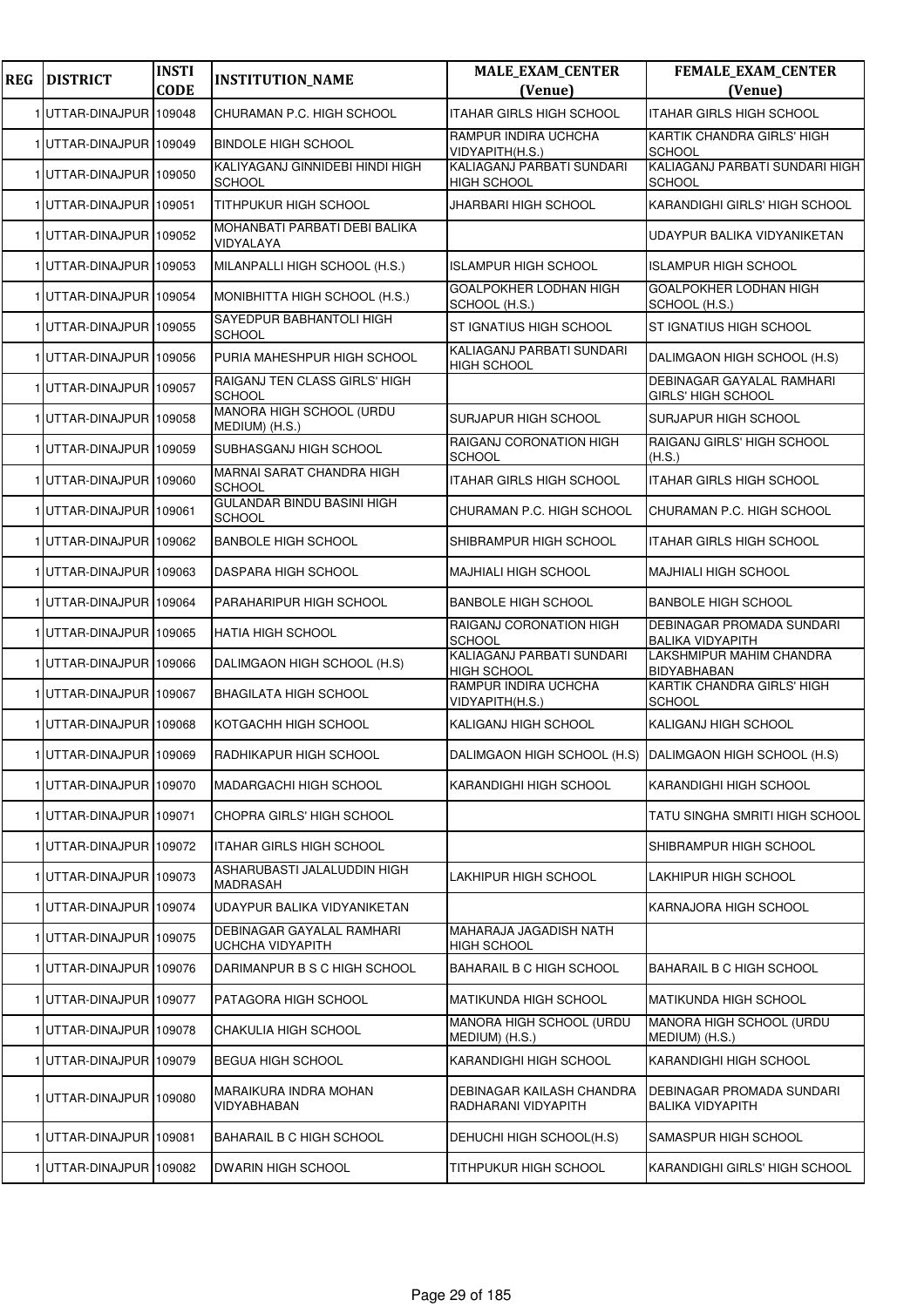| <b>REG</b> | <b>DISTRICT</b>         | <b>INSTI</b><br><b>CODE</b> | <b>INSTITUTION_NAME</b>                            | <b>MALE_EXAM_CENTER</b><br>(Venue)                      | <b>FEMALE_EXAM_CENTER</b><br>(Venue)                   |
|------------|-------------------------|-----------------------------|----------------------------------------------------|---------------------------------------------------------|--------------------------------------------------------|
|            | 1 UTTAR-DINAJPUR 109048 |                             | CHURAMAN P.C. HIGH SCHOOL                          | <b>ITAHAR GIRLS HIGH SCHOOL</b>                         | <b>ITAHAR GIRLS HIGH SCHOOL</b>                        |
|            | 1 UTTAR-DINAJPUR 109049 |                             | <b>BINDOLE HIGH SCHOOL</b>                         | RAMPUR INDIRA UCHCHA<br>VIDYAPITH(H.S.)                 | KARTIK CHANDRA GIRLS' HIGH<br><b>SCHOOL</b>            |
|            | UTTAR-DINAJPUR 109050   |                             | KALIYAGANJ GINNIDEBI HINDI HIGH<br><b>SCHOOL</b>   | KALIAGANJ PARBATI SUNDARI<br><b>HIGH SCHOOL</b>         | KALIAGANJ PARBATI SUNDARI HIGH<br>SCHOOL               |
|            | 1 UTTAR-DINAJPUR 109051 |                             | <b>TITHPUKUR HIGH SCHOOL</b>                       | JHARBARI HIGH SCHOOL                                    | KARANDIGHI GIRLS' HIGH SCHOOL                          |
|            | 1 UTTAR-DINAJPUR 109052 |                             | MOHANBATI PARBATI DEBI BALIKA<br>VIDYALAYA         |                                                         | UDAYPUR BALIKA VIDYANIKETAN                            |
|            | 1UTTAR-DINAJPUR 109053  |                             | MILANPALLI HIGH SCHOOL (H.S.)                      | <b>ISLAMPUR HIGH SCHOOL</b>                             | <b>ISLAMPUR HIGH SCHOOL</b>                            |
|            | 1 UTTAR-DINAJPUR 109054 |                             | MONIBHITTA HIGH SCHOOL (H.S.)                      | GOALPOKHER LODHAN HIGH<br>SCHOOL (H.S.)                 | GOALPOKHER LODHAN HIGH<br>SCHOOL (H.S.)                |
|            | 1 UTTAR-DINAJPUR 109055 |                             | SAYEDPUR BABHANTOLI HIGH<br><b>SCHOOL</b>          | ST IGNATIUS HIGH SCHOOL                                 | ST IGNATIUS HIGH SCHOOL                                |
|            | 1 UTTAR-DINAJPUR 109056 |                             | PURIA MAHESHPUR HIGH SCHOOL                        | KALIAGANJ PARBATI SUNDARI<br><b>HIGH SCHOOL</b>         | DALIMGAON HIGH SCHOOL (H.S)                            |
|            | 1 UTTAR-DINAJPUR 109057 |                             | RAIGANJ TEN CLASS GIRLS' HIGH<br><b>SCHOOL</b>     |                                                         | <b>DEBINAGAR GAYALAL RAMHARI</b><br>GIRLS' HIGH SCHOOL |
|            | 1 UTTAR-DINAJPUR 109058 |                             | MANORA HIGH SCHOOL (URDU<br>MEDIUM) (H.S.)         | SURJAPUR HIGH SCHOOL                                    | SURJAPUR HIGH SCHOOL                                   |
|            | 1UTTAR-DINAJPUR 109059  |                             | SUBHASGANJ HIGH SCHOOL                             | RAIGANJ CORONATION HIGH<br>SCHOOL                       | RAIGANJ GIRLS' HIGH SCHOOL<br>(H.S.)                   |
|            | 1 UTTAR-DINAJPUR 109060 |                             | MARNAI SARAT CHANDRA HIGH<br><b>SCHOOL</b>         | ITAHAR GIRLS HIGH SCHOOL                                | ITAHAR GIRLS HIGH SCHOOL                               |
|            | 1 UTTAR-DINAJPUR 109061 |                             | <b>GULANDAR BINDU BASINI HIGH</b><br><b>SCHOOL</b> | CHURAMAN P.C. HIGH SCHOOL                               | CHURAMAN P.C. HIGH SCHOOL                              |
|            | 1UTTAR-DINAJPUR 109062  |                             | <b>BANBOLE HIGH SCHOOL</b>                         | SHIBRAMPUR HIGH SCHOOL                                  | ITAHAR GIRLS HIGH SCHOOL                               |
|            | 1 UTTAR-DINAJPUR 109063 |                             | DASPARA HIGH SCHOOL                                | <b>MAJHIALI HIGH SCHOOL</b>                             | MAJHIALI HIGH SCHOOL                                   |
|            | 1 UTTAR-DINAJPUR 109064 |                             | PARAHARIPUR HIGH SCHOOL                            | <b>BANBOLE HIGH SCHOOL</b>                              | <b>BANBOLE HIGH SCHOOL</b>                             |
|            | 1UTTAR-DINAJPUR 109065  |                             | <b>HATIA HIGH SCHOOL</b>                           | RAIGANJ CORONATION HIGH<br><b>SCHOOL</b>                | DEBINAGAR PROMADA SUNDARI<br><b>BALIKA VIDYAPITH</b>   |
|            | 1 UTTAR-DINAJPUR 109066 |                             | DALIMGAON HIGH SCHOOL (H.S)                        | KALIAGANJ PARBATI SUNDARI<br><b>HIGH SCHOOL</b>         | LAKSHMIPUR MAHIM CHANDRA<br>BIDYABHABAN                |
|            | 1 UTTAR-DINAJPUR 109067 |                             | <b>BHAGILATA HIGH SCHOOL</b>                       | RAMPUR INDIRA UCHCHA<br>VIDYAPITH(H.S.)                 | KARTIK CHANDRA GIRLS' HIGH<br><b>SCHOOL</b>            |
|            | 1UTTAR-DINAJPUR 109068  |                             | KOTGACHH HIGH SCHOOL                               | KALIGANJ HIGH SCHOOL                                    | <b>KALIGANJ HIGH SCHOOL</b>                            |
|            | 1 UTTAR-DINAJPUR 109069 |                             | RADHIKAPUR HIGH SCHOOL                             | DALIMGAON HIGH SCHOOL (H.S) DALIMGAON HIGH SCHOOL (H.S) |                                                        |
|            | 1UTTAR-DINAJPUR 109070  |                             | <b>MADARGACHI HIGH SCHOOL</b>                      | KARANDIGHI HIGH SCHOOL                                  | KARANDIGHI HIGH SCHOOL                                 |
|            | 1 UTTAR-DINAJPUR 109071 |                             | CHOPRA GIRLS' HIGH SCHOOL                          |                                                         | TATU SINGHA SMRITI HIGH SCHOOL                         |
|            | 1UTTAR-DINAJPUR 109072  |                             | <b>ITAHAR GIRLS HIGH SCHOOL</b>                    |                                                         | SHIBRAMPUR HIGH SCHOOL                                 |
|            | 1UTTAR-DINAJPUR 109073  |                             | ASHARUBASTI JALALUDDIN HIGH<br>MADRASAH            | <b>LAKHIPUR HIGH SCHOOL</b>                             | LAKHIPUR HIGH SCHOOL                                   |
|            | 1 UTTAR-DINAJPUR 109074 |                             | UDAYPUR BALIKA VIDYANIKETAN                        |                                                         | KARNAJORA HIGH SCHOOL                                  |
|            | UTTAR-DINAJPUR 109075   |                             | DEBINAGAR GAYALAL RAMHARI<br>UCHCHA VIDYAPITH      | MAHARAJA JAGADISH NATH<br><b>HIGH SCHOOL</b>            |                                                        |
|            | 1 UTTAR-DINAJPUR 109076 |                             | DARIMANPUR B S C HIGH SCHOOL                       | <b>BAHARAIL B C HIGH SCHOOL</b>                         | BAHARAIL B C HIGH SCHOOL                               |
|            | 1 UTTAR-DINAJPUR 109077 |                             | PATAGORA HIGH SCHOOL                               | MATIKUNDA HIGH SCHOOL                                   | MATIKUNDA HIGH SCHOOL                                  |
|            | 1 UTTAR-DINAJPUR 109078 |                             | CHAKULIA HIGH SCHOOL                               | MANORA HIGH SCHOOL (URDU<br>MEDIUM) (H.S.)              | MANORA HIGH SCHOOL (URDU<br>MEDIUM) (H.S.)             |
|            | 1UTTAR-DINAJPUR 109079  |                             | <b>BEGUA HIGH SCHOOL</b>                           | KARANDIGHI HIGH SCHOOL                                  | KARANDIGHI HIGH SCHOOL                                 |
|            | 1 UTTAR-DINAJPUR 109080 |                             | MARAIKURA INDRA MOHAN<br>VIDYABHABAN               | DEBINAGAR KAILASH CHANDRA<br>RADHARANI VIDYAPITH        | DEBINAGAR PROMADA SUNDARI<br><b>BALIKA VIDYAPITH</b>   |
|            | 1 UTTAR-DINAJPUR 109081 |                             | BAHARAIL B C HIGH SCHOOL                           | DEHUCHI HIGH SCHOOL(H.S)                                | SAMASPUR HIGH SCHOOL                                   |
|            | 1UTTAR-DINAJPUR 109082  |                             | DWARIN HIGH SCHOOL                                 | TITHPUKUR HIGH SCHOOL                                   | KARANDIGHI GIRLS' HIGH SCHOOL                          |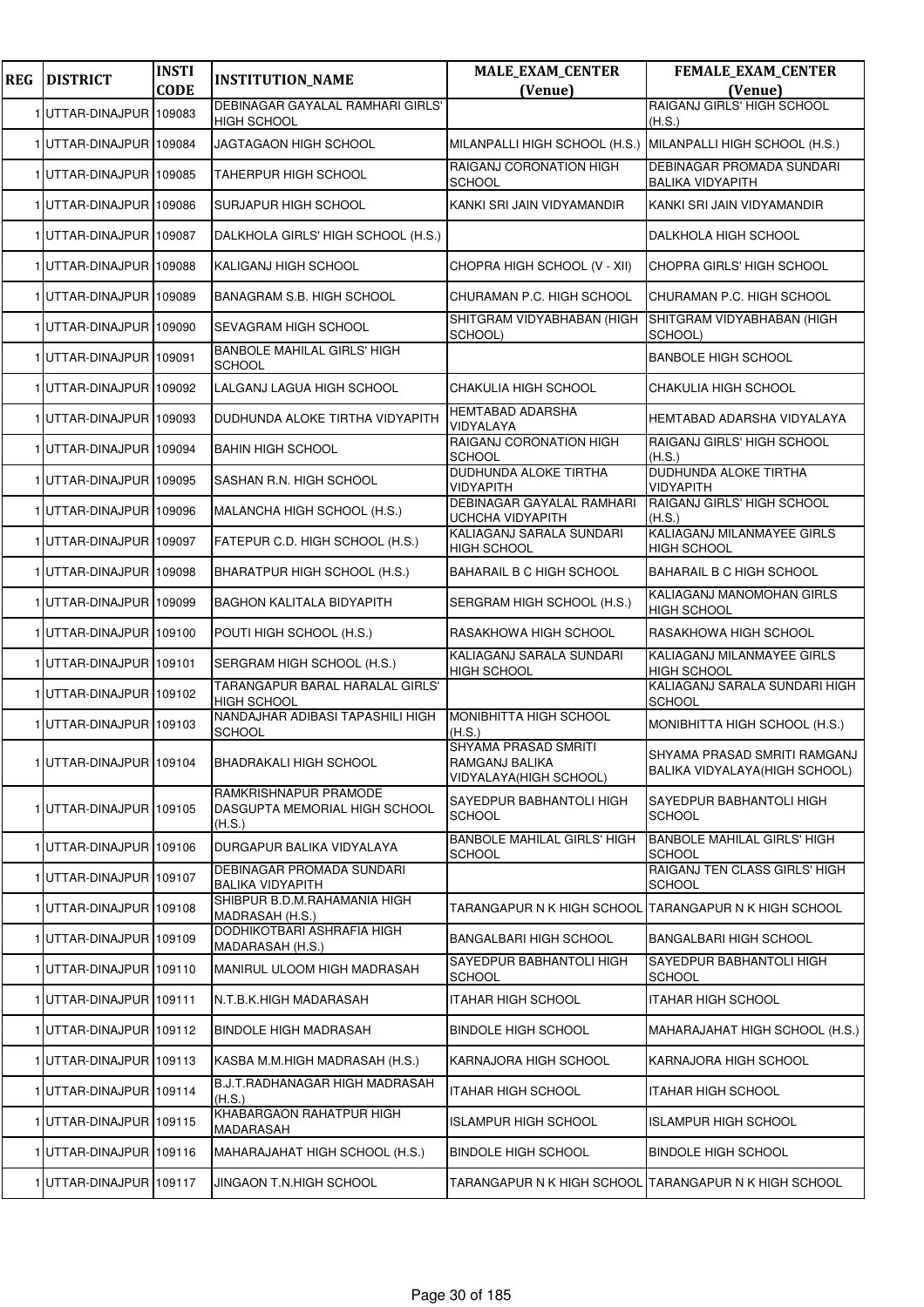| <b>REG</b> | <b>DISTRICT</b>         | <b>INSTI</b><br><b>CODE</b> | <b>INSTITUTION_NAME</b>                                          | <b>MALE_EXAM_CENTER</b><br>(Venue)                                | <b>FEMALE_EXAM_CENTER</b><br>(Venue)                           |
|------------|-------------------------|-----------------------------|------------------------------------------------------------------|-------------------------------------------------------------------|----------------------------------------------------------------|
|            | 1 UTTAR-DINAJPUR 109083 |                             | DEBINAGAR GAYALAL RAMHARI GIRLS'                                 |                                                                   | RAIGANJ GIRLS' HIGH SCHOOL                                     |
|            | 1 UTTAR-DINAJPUR 109084 |                             | <b>HIGH SCHOOL</b><br>JAGTAGAON HIGH SCHOOL                      | MILANPALLI HIGH SCHOOL (H.S.) MILANPALLI HIGH SCHOOL (H.S.)       | (H.S.)                                                         |
|            | UTTAR-DINAJPUR 109085   |                             | <b>TAHERPUR HIGH SCHOOL</b>                                      | RAIGANJ CORONATION HIGH                                           | <b>DEBINAGAR PROMADA SUNDARI</b>                               |
|            | 1 UTTAR-DINAJPUR 109086 |                             | SURJAPUR HIGH SCHOOL                                             | <b>SCHOOL</b><br>KANKI SRI JAIN VIDYAMANDIR                       | <b>BALIKA VIDYAPITH</b><br>KANKI SRI JAIN VIDYAMANDIR          |
|            | 1 UTTAR-DINAJPUR 109087 |                             | DALKHOLA GIRLS' HIGH SCHOOL (H.S.)                               |                                                                   | DALKHOLA HIGH SCHOOL                                           |
|            | 1 UTTAR-DINAJPUR 109088 |                             | KALIGANJ HIGH SCHOOL                                             | CHOPRA HIGH SCHOOL (V - XII)                                      | CHOPRA GIRLS' HIGH SCHOOL                                      |
|            | 1 UTTAR-DINAJPUR 109089 |                             |                                                                  |                                                                   |                                                                |
|            |                         |                             | <b>BANAGRAM S.B. HIGH SCHOOL</b>                                 | CHURAMAN P.C. HIGH SCHOOL<br>SHITGRAM VIDYABHABAN (HIGH           | CHURAMAN P.C. HIGH SCHOOL<br>SHITGRAM VIDYABHABAN (HIGH        |
|            | 1 UTTAR-DINAJPUR 109090 |                             | SEVAGRAM HIGH SCHOOL<br><b>BANBOLE MAHILAL GIRLS' HIGH</b>       | SCHOOL)                                                           | SCHOOL)                                                        |
|            | 1 UTTAR-DINAJPUR 109091 |                             | SCHOOL                                                           |                                                                   | <b>BANBOLE HIGH SCHOOL</b>                                     |
|            | 1UTTAR-DINAJPUR 109092  |                             | LALGANJ LAGUA HIGH SCHOOL                                        | CHAKULIA HIGH SCHOOL<br>HEMTABAD ADARSHA                          | CHAKULIA HIGH SCHOOL                                           |
|            | 1 UTTAR-DINAJPUR 109093 |                             | DUDHUNDA ALOKE TIRTHA VIDYAPITH                                  | VIDYALAYA<br>RAIGANJ CORONATION HIGH                              | HEMTABAD ADARSHA VIDYALAYA<br>RAIGANJ GIRLS' HIGH SCHOOL       |
|            | 1 UTTAR-DINAJPUR 109094 |                             | <b>BAHIN HIGH SCHOOL</b>                                         | <b>SCHOOL</b>                                                     | (H.S.)                                                         |
|            | 1 UTTAR-DINAJPUR 109095 |                             | SASHAN R.N. HIGH SCHOOL                                          | DUDHUNDA ALOKE TIRTHA<br>VIDYAPITH                                | <b>DUDHUNDA ALOKE TIRTHA</b><br>VIDYAPITH                      |
|            | UTTAR-DINAJPUR 109096   |                             | MALANCHA HIGH SCHOOL (H.S.)                                      | DEBINAGAR GAYALAL RAMHARI<br>UCHCHA VIDYAPITH                     | RAIGANJ GIRLS' HIGH SCHOOL<br>(H.S.)                           |
|            | 1 UTTAR-DINAJPUR 109097 |                             | FATEPUR C.D. HIGH SCHOOL (H.S.)                                  | KALIAGANJ SARALA SUNDARI<br><b>HIGH SCHOOL</b>                    | KALIAGANJ MILANMAYEE GIRLS<br><b>HIGH SCHOOL</b>               |
|            | 1 UTTAR-DINAJPUR 109098 |                             | BHARATPUR HIGH SCHOOL (H.S.)                                     | BAHARAIL B C HIGH SCHOOL                                          | BAHARAIL B C HIGH SCHOOL                                       |
|            | 1 UTTAR-DINAJPUR 109099 |                             | <b>BAGHON KALITALA BIDYAPITH</b>                                 | SERGRAM HIGH SCHOOL (H.S.)                                        | KALIAGANJ MANOMOHAN GIRLS<br>HIGH SCHOOL                       |
|            | 1UTTAR-DINAJPUR 109100  |                             | POUTI HIGH SCHOOL (H.S.)                                         | RASAKHOWA HIGH SCHOOL                                             | RASAKHOWA HIGH SCHOOL                                          |
|            | 1 UTTAR-DINAJPUR 109101 |                             | SERGRAM HIGH SCHOOL (H.S.)                                       | KALIAGANJ SARALA SUNDARI<br><b>HIGH SCHOOL</b>                    | KALIAGANJ MILANMAYEE GIRLS<br><b>HIGH SCHOOL</b>               |
|            | 1 UTTAR-DINAJPUR 109102 |                             | TARANGAPUR BARAL HARALAL GIRLS'<br><b>HIGH SCHOOL</b>            |                                                                   | KALIAGANJ SARALA SUNDARI HIGH<br><b>SCHOOL</b>                 |
|            | 1UTTAR-DINAJPUR 109103  |                             | NANDAJHAR ADIBASI TAPASHILI HIGH<br><b>SCHOOL</b>                | MONIBHITTA HIGH SCHOOL<br>(H.S.)                                  | MONIBHITTA HIGH SCHOOL (H.S.)                                  |
|            | 1 UTTAR-DINAJPUR 109104 |                             | <b>BHADRAKALI HIGH SCHOOL</b>                                    | SHYAMA PRASAD SMRITI<br>RAMGANJ BALIKA<br>VIDYALAYA (HIGH SCHOOL) | SHYAMA PRASAD SMRITI RAMGANJ<br>BALIKA VIDYALAYA (HIGH SCHOOL) |
|            | 1 UTTAR-DINAJPUR 109105 |                             | RAMKRISHNAPUR PRAMODE<br>DASGUPTA MEMORIAL HIGH SCHOOL<br>(H.S.) | SAYEDPUR BABHANTOLI HIGH<br><b>SCHOOL</b>                         | SAYEDPUR BABHANTOLI HIGH<br><b>SCHOOL</b>                      |
|            | 1 UTTAR-DINAJPUR 109106 |                             | DURGAPUR BALIKA VIDYALAYA                                        | <b>BANBOLE MAHILAL GIRLS' HIGH</b><br><b>SCHOOL</b>               | <b>BANBOLE MAHILAL GIRLS' HIGH</b><br><b>SCHOOL</b>            |
|            | 1UTTAR-DINAJPUR 109107  |                             | DEBINAGAR PROMADA SUNDARI<br><b>BALIKA VIDYAPITH</b>             |                                                                   | RAIGANJ TEN CLASS GIRLS' HIGH<br><b>SCHOOL</b>                 |
|            | 1UTTAR-DINAJPUR 109108  |                             | SHIBPUR B.D.M.RAHAMANIA HIGH<br>MADRASAH (H.S.)                  |                                                                   |                                                                |
|            | UTTAR-DINAJPUR 109109   |                             | DODHIKOTBARI ASHRAFIA HIGH<br>MADARASAH (H.S.)                   | BANGALBARI HIGH SCHOOL                                            | <b>BANGALBARI HIGH SCHOOL</b>                                  |
|            | 1UTTAR-DINAJPUR 109110  |                             | MANIRUL ULOOM HIGH MADRASAH                                      | SAYEDPUR BABHANTOLI HIGH<br><b>SCHOOL</b>                         | SAYEDPUR BABHANTOLI HIGH<br><b>SCHOOL</b>                      |
|            | 1UTTAR-DINAJPUR 109111  |                             | N.T.B.K.HIGH MADARASAH                                           | ITAHAR HIGH SCHOOL                                                | ITAHAR HIGH SCHOOL                                             |
|            | 1UTTAR-DINAJPUR 109112  |                             | <b>BINDOLE HIGH MADRASAH</b>                                     | <b>BINDOLE HIGH SCHOOL</b>                                        | MAHARAJAHAT HIGH SCHOOL (H.S.)                                 |
|            | 1UTTAR-DINAJPUR 109113  |                             | KASBA M.M.HIGH MADRASAH (H.S.)                                   | KARNAJORA HIGH SCHOOL                                             | KARNAJORA HIGH SCHOOL                                          |
|            | 1UTTAR-DINAJPUR 109114  |                             | B.J.T.RADHANAGAR HIGH MADRASAH<br>(H.S.)                         | ITAHAR HIGH SCHOOL                                                | <b>ITAHAR HIGH SCHOOL</b>                                      |
|            | 1 UTTAR-DINAJPUR 109115 |                             | KHABARGAON RAHATPUR HIGH<br>MADARASAH                            | <b>ISLAMPUR HIGH SCHOOL</b>                                       | <b>ISLAMPUR HIGH SCHOOL</b>                                    |
|            | UTTAR-DINAJPUR 109116   |                             | MAHARAJAHAT HIGH SCHOOL (H.S.)                                   | <b>BINDOLE HIGH SCHOOL</b>                                        | <b>BINDOLE HIGH SCHOOL</b>                                     |
|            | 1 UTTAR-DINAJPUR 109117 |                             | JINGAON T.N.HIGH SCHOOL                                          |                                                                   | TARANGAPUR N K HIGH SCHOOL TARANGAPUR N K HIGH SCHOOL          |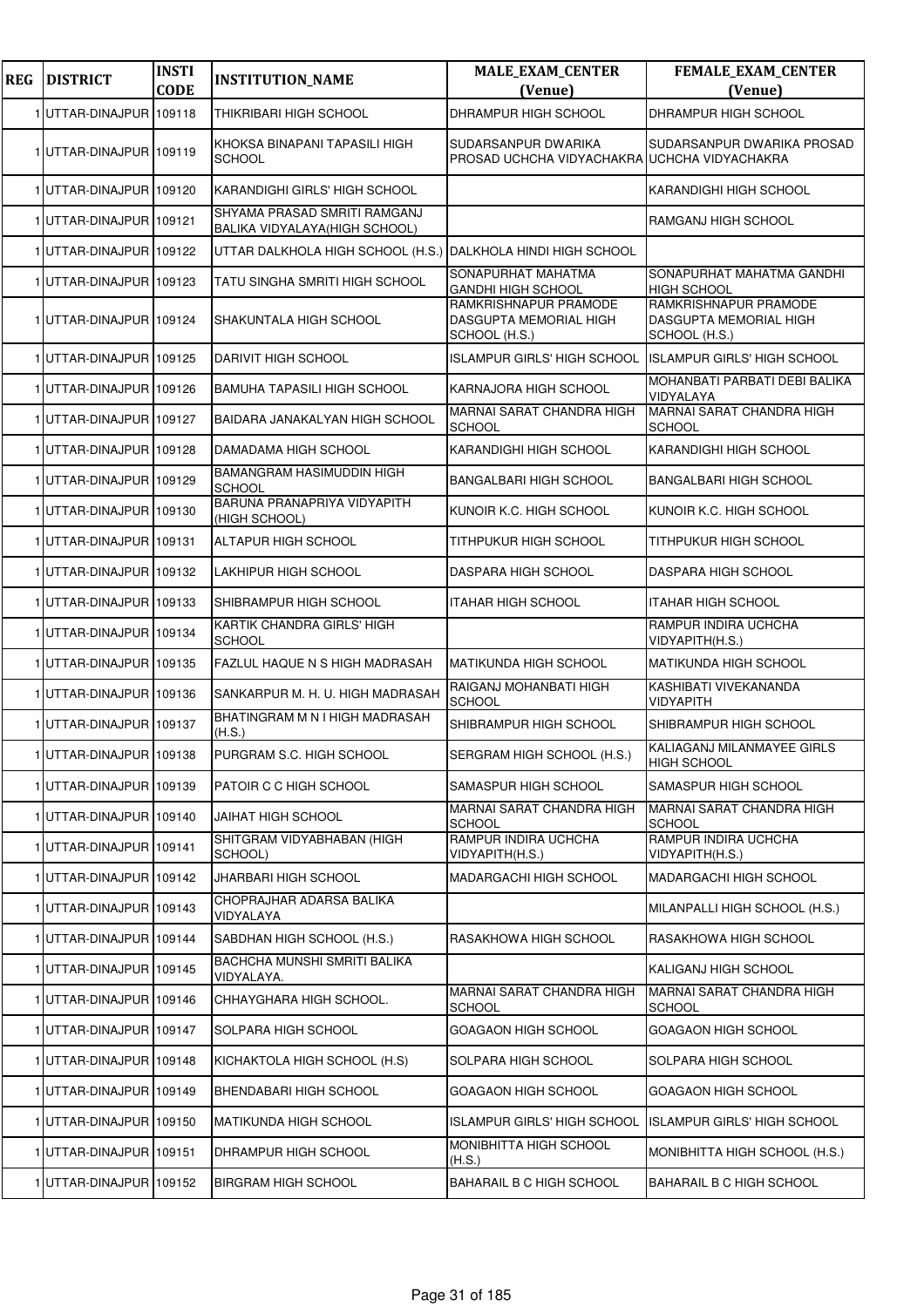| <b>REG</b> | <b>DISTRICT</b>         | <b>INSTI</b><br><b>CODE</b> | <b>INSTITUTION_NAME</b>                                       | <b>MALE_EXAM_CENTER</b><br>(Venue)                                  | FEMALE_EXAM_CENTER<br>(Venue)                                    |
|------------|-------------------------|-----------------------------|---------------------------------------------------------------|---------------------------------------------------------------------|------------------------------------------------------------------|
|            | 1UTTAR-DINAJPUR 109118  |                             | THIKRIBARI HIGH SCHOOL                                        | DHRAMPUR HIGH SCHOOL                                                | DHRAMPUR HIGH SCHOOL                                             |
|            | 1UTTAR-DINAJPUR 109119  |                             | KHOKSA BINAPANI TAPASILI HIGH<br><b>SCHOOL</b>                | SUDARSANPUR DWARIKA<br>PROSAD UCHCHA VIDYACHAKRA UCHCHA VIDYACHAKRA | SUDARSANPUR DWARIKA PROSAD                                       |
|            | 1UTTAR-DINAJPUR 109120  |                             | KARANDIGHI GIRLS' HIGH SCHOOL                                 |                                                                     | KARANDIGHI HIGH SCHOOL                                           |
|            | 1UTTAR-DINAJPUR 109121  |                             | SHYAMA PRASAD SMRITI RAMGANJ<br>BALIKA VIDYALAYA(HIGH SCHOOL) |                                                                     | RAMGANJ HIGH SCHOOL                                              |
|            | 1 UTTAR-DINAJPUR 109122 |                             | UTTAR DALKHOLA HIGH SCHOOL (H.S.)                             | DALKHOLA HINDI HIGH SCHOOL                                          |                                                                  |
|            | 1UTTAR-DINAJPUR 109123  |                             | TATU SINGHA SMRITI HIGH SCHOOL                                | SONAPURHAT MAHATMA<br><b>GANDHI HIGH SCHOOL</b>                     | SONAPURHAT MAHATMA GANDHI<br><b>HIGH SCHOOL</b>                  |
|            | 1UTTAR-DINAJPUR 109124  |                             | SHAKUNTALA HIGH SCHOOL                                        | RAMKRISHNAPUR PRAMODE<br>DASGUPTA MEMORIAL HIGH<br>SCHOOL (H.S.)    | RAMKRISHNAPUR PRAMODE<br>DASGUPTA MEMORIAL HIGH<br>SCHOOL (H.S.) |
|            | 1UTTAR-DINAJPUR 109125  |                             | DARIVIT HIGH SCHOOL                                           | ISLAMPUR GIRLS' HIGH SCHOOL                                         | <b>ISLAMPUR GIRLS' HIGH SCHOOL</b>                               |
|            | 1UTTAR-DINAJPUR 109126  |                             | <b>BAMUHA TAPASILI HIGH SCHOOL</b>                            | KARNAJORA HIGH SCHOOL                                               | MOHANBATI PARBATI DEBI BALIKA<br>VIDYALAYA                       |
|            | 1 UTTAR-DINAJPUR 109127 |                             | BAIDARA JANAKALYAN HIGH SCHOOL                                | <b>MARNAI SARAT CHANDRA HIGH</b><br><b>SCHOOL</b>                   | <b>MARNAI SARAT CHANDRA HIGH</b><br><b>SCHOOL</b>                |
|            | 1UTTAR-DINAJPUR 109128  |                             | DAMADAMA HIGH SCHOOL                                          | KARANDIGHI HIGH SCHOOL                                              | KARANDIGHI HIGH SCHOOL                                           |
|            | 1UTTAR-DINAJPUR 109129  |                             | <b>BAMANGRAM HASIMUDDIN HIGH</b><br><b>SCHOOL</b>             | <b>BANGALBARI HIGH SCHOOL</b>                                       | BANGALBARI HIGH SCHOOL                                           |
|            | 1UTTAR-DINAJPUR 109130  |                             | BARUNA PRANAPRIYA VIDYAPITH<br>(HIGH SCHOOL)                  | KUNOIR K.C. HIGH SCHOOL                                             | KUNOIR K.C. HIGH SCHOOL                                          |
|            | 1 UTTAR-DINAJPUR 109131 |                             | ALTAPUR HIGH SCHOOL                                           | TITHPUKUR HIGH SCHOOL                                               | TITHPUKUR HIGH SCHOOL                                            |
|            | 1 UTTAR-DINAJPUR 109132 |                             | LAKHIPUR HIGH SCHOOL                                          | DASPARA HIGH SCHOOL                                                 | DASPARA HIGH SCHOOL                                              |
|            | 1UTTAR-DINAJPUR 109133  |                             | SHIBRAMPUR HIGH SCHOOL                                        | ITAHAR HIGH SCHOOL                                                  | <b>ITAHAR HIGH SCHOOL</b>                                        |
|            | 1 UTTAR-DINAJPUR 109134 |                             | KARTIK CHANDRA GIRLS' HIGH<br><b>SCHOOL</b>                   |                                                                     | RAMPUR INDIRA UCHCHA<br>VIDYAPITH(H.S.)                          |
|            | 1 UTTAR-DINAJPUR 109135 |                             | FAZLUL HAQUE N S HIGH MADRASAH                                | <b>MATIKUNDA HIGH SCHOOL</b>                                        | <b>MATIKUNDA HIGH SCHOOL</b>                                     |
|            | 1 UTTAR-DINAJPUR 109136 |                             | SANKARPUR M. H. U. HIGH MADRASAH                              | RAIGANJ MOHANBATI HIGH<br>SCHOOL                                    | KASHIBATI VIVEKANANDA<br>VIDYAPITH                               |
|            | 1UTTAR-DINAJPUR 109137  |                             | BHATINGRAM M N I HIGH MADRASAH<br>(H.S.)                      | SHIBRAMPUR HIGH SCHOOL                                              | SHIBRAMPUR HIGH SCHOOL                                           |
|            | 1 UTTAR-DINAJPUR 109138 |                             | PURGRAM S.C. HIGH SCHOOL                                      | SERGRAM HIGH SCHOOL (H.S.)                                          | KALIAGANJ MILANMAYEE GIRLS<br><b>HIGH SCHOOL</b>                 |
|            | 1 UTTAR-DINAJPUR 109139 |                             | PATOIR C C HIGH SCHOOL                                        | SAMASPUR HIGH SCHOOL                                                | SAMASPUR HIGH SCHOOL                                             |
|            | 1UTTAR-DINAJPUR 109140  |                             | <b>JAIHAT HIGH SCHOOL</b>                                     | <b>MARNAI SARAT CHANDRA HIGH</b><br><b>SCHOOL</b>                   | MARNAI SARAT CHANDRA HIGH<br><b>SCHOOL</b>                       |
|            | 1UTTAR-DINAJPUR 109141  |                             | SHITGRAM VIDYABHABAN (HIGH<br>SCHOOL)                         | RAMPUR INDIRA UCHCHA<br>VIDYAPITH(H.S.)                             | RAMPUR INDIRA UCHCHA<br>VIDYAPITH(H.S.)                          |
|            | 1 UTTAR-DINAJPUR 109142 |                             | JHARBARI HIGH SCHOOL                                          | MADARGACHI HIGH SCHOOL                                              | MADARGACHI HIGH SCHOOL                                           |
|            | 1 UTTAR-DINAJPUR 109143 |                             | CHOPRAJHAR ADARSA BALIKA<br>VIDYALAYA                         |                                                                     | MILANPALLI HIGH SCHOOL (H.S.)                                    |
|            | 1UTTAR-DINAJPUR 109144  |                             | SABDHAN HIGH SCHOOL (H.S.)                                    | RASAKHOWA HIGH SCHOOL                                               | RASAKHOWA HIGH SCHOOL                                            |
|            | 1 UTTAR-DINAJPUR 109145 |                             | BACHCHA MUNSHI SMRITI BALIKA<br>VIDYALAYA.                    |                                                                     | KALIGANJ HIGH SCHOOL                                             |
|            | 1UTTAR-DINAJPUR 109146  |                             | CHHAYGHARA HIGH SCHOOL.                                       | MARNAI SARAT CHANDRA HIGH<br><b>SCHOOL</b>                          | MARNAI SARAT CHANDRA HIGH<br><b>SCHOOL</b>                       |
|            | 1UTTAR-DINAJPUR 109147  |                             | SOLPARA HIGH SCHOOL                                           | GOAGAON HIGH SCHOOL                                                 | GOAGAON HIGH SCHOOL                                              |
|            | 1UTTAR-DINAJPUR 109148  |                             | KICHAKTOLA HIGH SCHOOL (H.S)                                  | SOLPARA HIGH SCHOOL                                                 | SOLPARA HIGH SCHOOL                                              |
|            | 1UTTAR-DINAJPUR 109149  |                             | BHENDABARI HIGH SCHOOL                                        | GOAGAON HIGH SCHOOL                                                 | GOAGAON HIGH SCHOOL                                              |
|            | 1 UTTAR-DINAJPUR 109150 |                             | <b>MATIKUNDA HIGH SCHOOL</b>                                  | <b>ISLAMPUR GIRLS' HIGH SCHOOL</b>                                  | <b>ISLAMPUR GIRLS' HIGH SCHOOL</b>                               |
|            | 1UTTAR-DINAJPUR 109151  |                             | DHRAMPUR HIGH SCHOOL                                          | MONIBHITTA HIGH SCHOOL<br>(H.S.)                                    | MONIBHITTA HIGH SCHOOL (H.S.)                                    |
|            | 1 UTTAR-DINAJPUR 109152 |                             | <b>BIRGRAM HIGH SCHOOL</b>                                    | BAHARAIL B C HIGH SCHOOL                                            | BAHARAIL B C HIGH SCHOOL                                         |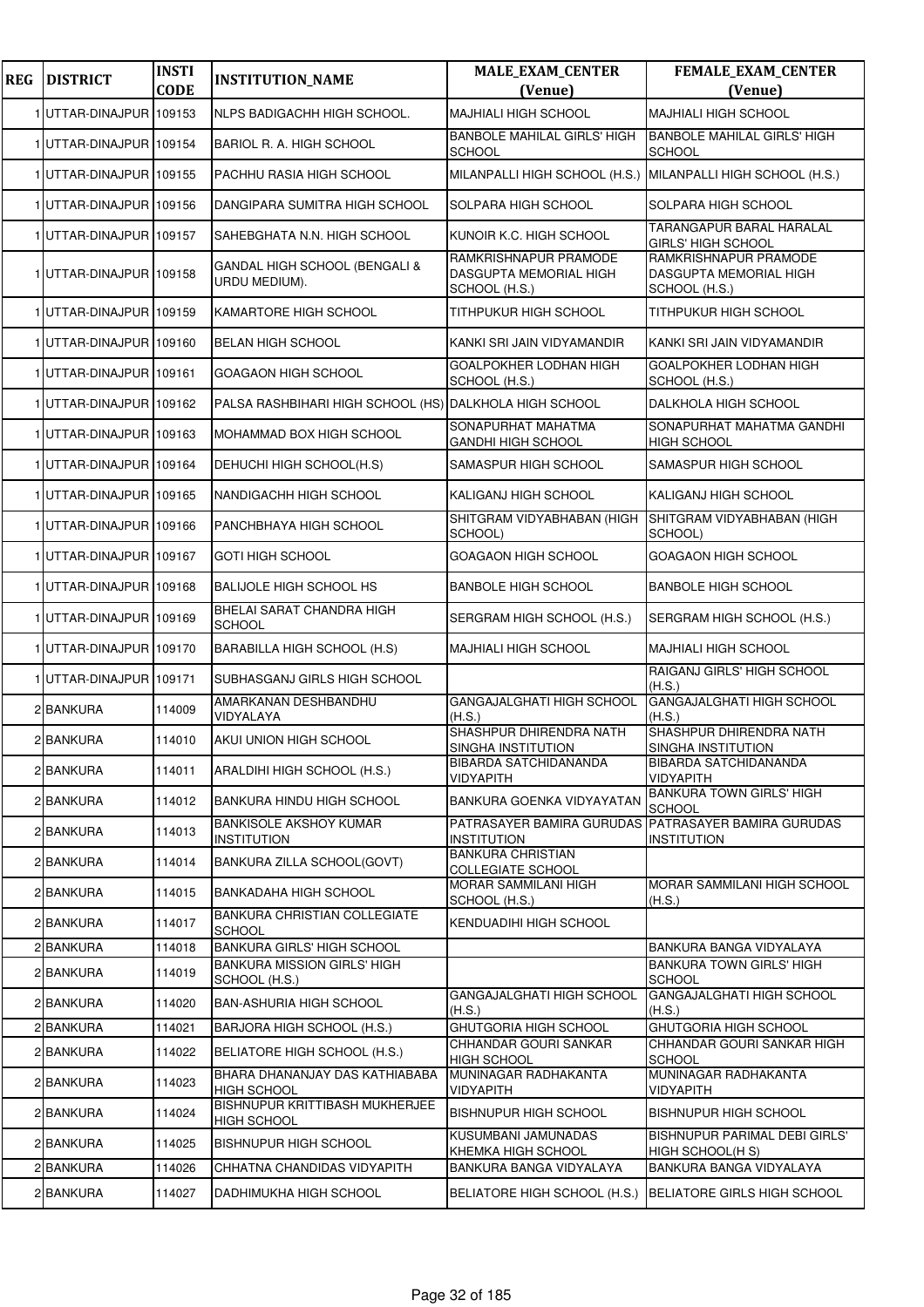| <b>REG</b> | <b>DISTRICT</b>         | <b>INSTI</b><br><b>CODE</b> | <b>INSTITUTION_NAME</b>                                | <b>MALE_EXAM_CENTER</b><br>(Venue)                               | FEMALE_EXAM_CENTER<br>(Venue)                                             |
|------------|-------------------------|-----------------------------|--------------------------------------------------------|------------------------------------------------------------------|---------------------------------------------------------------------------|
|            | 1UTTAR-DINAJPUR 109153  |                             | <b>NLPS BADIGACHH HIGH SCHOOL.</b>                     | <b>MAJHIALI HIGH SCHOOL</b>                                      | <b>MAJHIALI HIGH SCHOOL</b>                                               |
|            | 1 UTTAR-DINAJPUR 109154 |                             | BARIOL R. A. HIGH SCHOOL                               | <b>BANBOLE MAHILAL GIRLS' HIGH</b><br><b>SCHOOL</b>              | <b>BANBOLE MAHILAL GIRLS' HIGH</b><br><b>SCHOOL</b>                       |
|            | 1UTTAR-DINAJPUR 109155  |                             | PACHHU RASIA HIGH SCHOOL                               | MILANPALLI HIGH SCHOOL (H.S.) MILANPALLI HIGH SCHOOL (H.S.)      |                                                                           |
|            | 1 UTTAR-DINAJPUR 109156 |                             | DANGIPARA SUMITRA HIGH SCHOOL                          | SOLPARA HIGH SCHOOL                                              | SOLPARA HIGH SCHOOL                                                       |
|            | 1UTTAR-DINAJPUR 109157  |                             | SAHEBGHATA N.N. HIGH SCHOOL                            | KUNOIR K.C. HIGH SCHOOL                                          | <b>TARANGAPUR BARAL HARALAL</b><br><b>GIRLS' HIGH SCHOOL</b>              |
|            | 1 UTTAR-DINAJPUR 109158 |                             | GANDAL HIGH SCHOOL (BENGALI &<br>URDU MEDIUM).         | RAMKRISHNAPUR PRAMODE<br>DASGUPTA MEMORIAL HIGH<br>SCHOOL (H.S.) | RAMKRISHNAPUR PRAMODE<br><b>DASGUPTA MEMORIAL HIGH</b><br>SCHOOL (H.S.)   |
|            | 1 UTTAR-DINAJPUR 109159 |                             | KAMARTORE HIGH SCHOOL                                  | TITHPUKUR HIGH SCHOOL                                            | TITHPUKUR HIGH SCHOOL                                                     |
|            | 1 UTTAR-DINAJPUR 109160 |                             | <b>BELAN HIGH SCHOOL</b>                               | KANKI SRI JAIN VIDYAMANDIR                                       | KANKI SRI JAIN VIDYAMANDIR                                                |
|            | 1 UTTAR-DINAJPUR 109161 |                             | <b>GOAGAON HIGH SCHOOL</b>                             | GOALPOKHER LODHAN HIGH<br>SCHOOL (H.S.)                          | <b>GOALPOKHER LODHAN HIGH</b><br>SCHOOL (H.S.)                            |
|            | 1 UTTAR-DINAJPUR 109162 |                             | PALSA RASHBIHARI HIGH SCHOOL (HS) DALKHOLA HIGH SCHOOL |                                                                  | DALKHOLA HIGH SCHOOL                                                      |
|            | 1UTTAR-DINAJPUR 109163  |                             | MOHAMMAD BOX HIGH SCHOOL                               | SONAPURHAT MAHATMA<br><b>GANDHI HIGH SCHOOL</b>                  | SONAPURHAT MAHATMA GANDHI<br><b>HIGH SCHOOL</b>                           |
|            | 1UTTAR-DINAJPUR 109164  |                             | DEHUCHI HIGH SCHOOL(H.S)                               | SAMASPUR HIGH SCHOOL                                             | SAMASPUR HIGH SCHOOL                                                      |
|            | 1 UTTAR-DINAJPUR 109165 |                             | NANDIGACHH HIGH SCHOOL                                 | KALIGANJ HIGH SCHOOL                                             | KALIGANJ HIGH SCHOOL                                                      |
|            | 1 UTTAR-DINAJPUR 109166 |                             | PANCHBHAYA HIGH SCHOOL                                 | SHITGRAM VIDYABHABAN (HIGH<br>SCHOOL)                            | SHITGRAM VIDYABHABAN (HIGH<br>SCHOOL)                                     |
|            | 1UTTAR-DINAJPUR 109167  |                             | <b>GOTI HIGH SCHOOL</b>                                | GOAGAON HIGH SCHOOL                                              | <b>GOAGAON HIGH SCHOOL</b>                                                |
|            | 1 UTTAR-DINAJPUR 109168 |                             | <b>BALIJOLE HIGH SCHOOL HS</b>                         | <b>BANBOLE HIGH SCHOOL</b>                                       | <b>BANBOLE HIGH SCHOOL</b>                                                |
|            | 1 UTTAR-DINAJPUR 109169 |                             | BHELAI SARAT CHANDRA HIGH<br><b>SCHOOL</b>             | SERGRAM HIGH SCHOOL (H.S.)                                       | SERGRAM HIGH SCHOOL (H.S.)                                                |
|            | 1UTTAR-DINAJPUR 109170  |                             | BARABILLA HIGH SCHOOL (H.S)                            | <b>MAJHIALI HIGH SCHOOL</b>                                      | <b>MAJHIALI HIGH SCHOOL</b>                                               |
|            | 1UTTAR-DINAJPUR 109171  |                             | SUBHASGANJ GIRLS HIGH SCHOOL                           |                                                                  | RAIGANJ GIRLS' HIGH SCHOOL<br>(H.S.)                                      |
|            | 2 BANKURA               | 114009                      | AMARKANAN DESHBANDHU<br>VIDYALAYA                      | GANGAJALGHATI HIGH SCHOOL<br>(H.S.)                              | <b>GANGAJALGHATI HIGH SCHOOL</b><br>(H.S.)                                |
|            | 2 BANKURA               | 114010                      | AKUI UNION HIGH SCHOOL                                 | SHASHPUR DHIRENDRA NATH<br>SINGHA INSTITUTION                    | SHASHPUR DHIRENDRA NATH<br>SINGHA INSTITUTION                             |
|            | 2 BANKURA               | 114011                      | ARALDIHI HIGH SCHOOL (H.S.)                            | <b>BIBARDA SATCHIDANANDA</b><br>VIDYAPITH                        | <b>BIBARDA SATCHIDANANDA</b><br>VIDYAPITH                                 |
|            | 2 BANKURA               | 114012                      | <b>BANKURA HINDU HIGH SCHOOL</b>                       | BANKURA GOENKA VIDYAYATAN                                        | <b>BANKURA TOWN GIRLS' HIGH</b><br><b>SCHOOL</b>                          |
|            | 2 BANKURA               | 114013                      | <b>BANKISOLE AKSHOY KUMAR</b><br><b>INSTITUTION</b>    | <b>INSTITUTION</b>                                               | PATRASAYER BAMIRA GURUDAS PATRASAYER BAMIRA GURUDAS<br><b>INSTITUTION</b> |
|            | 2 BANKURA               | 114014                      | BANKURA ZILLA SCHOOL(GOVT)                             | <b>BANKURA CHRISTIAN</b><br><b>COLLEGIATE SCHOOL</b>             |                                                                           |
|            | 2 BANKURA               | 114015                      | <b>BANKADAHA HIGH SCHOOL</b>                           | MORAR SAMMILANI HIGH<br>SCHOOL (H.S.)                            | MORAR SAMMILANI HIGH SCHOOL<br>(H.S.)                                     |
|            | 2 BANKURA               | 114017                      | BANKURA CHRISTIAN COLLEGIATE<br><b>SCHOOL</b>          | KENDUADIHI HIGH SCHOOL                                           |                                                                           |
|            | 2 BANKURA               | 114018                      | <b>BANKURA GIRLS' HIGH SCHOOL</b>                      |                                                                  | BANKURA BANGA VIDYALAYA                                                   |
|            | 2 BANKURA               | 114019                      | BANKURA MISSION GIRLS' HIGH<br>SCHOOL (H.S.)           |                                                                  | <b>BANKURA TOWN GIRLS' HIGH</b><br><b>SCHOOL</b>                          |
|            | 2 BANKURA               | 114020                      | <b>BAN-ASHURIA HIGH SCHOOL</b>                         | <b>GANGAJALGHATI HIGH SCHOOL</b><br>(H.S.)                       | <b>GANGAJALGHATI HIGH SCHOOL</b><br>(H.S.)                                |
|            | 2 BANKURA               | 114021                      | BARJORA HIGH SCHOOL (H.S.)                             | GHUTGORIA HIGH SCHOOL                                            | GHUTGORIA HIGH SCHOOL                                                     |
|            | 2 BANKURA               | 114022                      | BELIATORE HIGH SCHOOL (H.S.)                           | CHHANDAR GOURI SANKAR<br><b>HIGH SCHOOL</b>                      | CHHANDAR GOURI SANKAR HIGH<br><b>SCHOOL</b>                               |
|            | 2 BANKURA               | 114023                      | BHARA DHANANJAY DAS KATHIABABA<br><b>HIGH SCHOOL</b>   | MUNINAGAR RADHAKANTA<br>VIDYAPITH                                | MUNINAGAR RADHAKANTA<br>VIDYAPITH                                         |
|            | 2 BANKURA               | 114024                      | BISHNUPUR KRITTIBASH MUKHERJEE<br><b>HIGH SCHOOL</b>   | <b>BISHNUPUR HIGH SCHOOL</b>                                     | <b>BISHNUPUR HIGH SCHOOL</b>                                              |
|            | 2 BANKURA               | 114025                      | <b>BISHNUPUR HIGH SCHOOL</b>                           | KUSUMBANI JAMUNADAS<br>KHEMKA HIGH SCHOOL                        | BISHNUPUR PARIMAL DEBI GIRLS'<br>HIGH SCHOOL(H S)                         |
|            | 2 BANKURA               | 114026                      | CHHATNA CHANDIDAS VIDYAPITH                            | BANKURA BANGA VIDYALAYA                                          | BANKURA BANGA VIDYALAYA                                                   |
|            | 2 BANKURA               | 114027                      | DADHIMUKHA HIGH SCHOOL                                 | BELIATORE HIGH SCHOOL (H.S.)                                     | BELIATORE GIRLS HIGH SCHOOL                                               |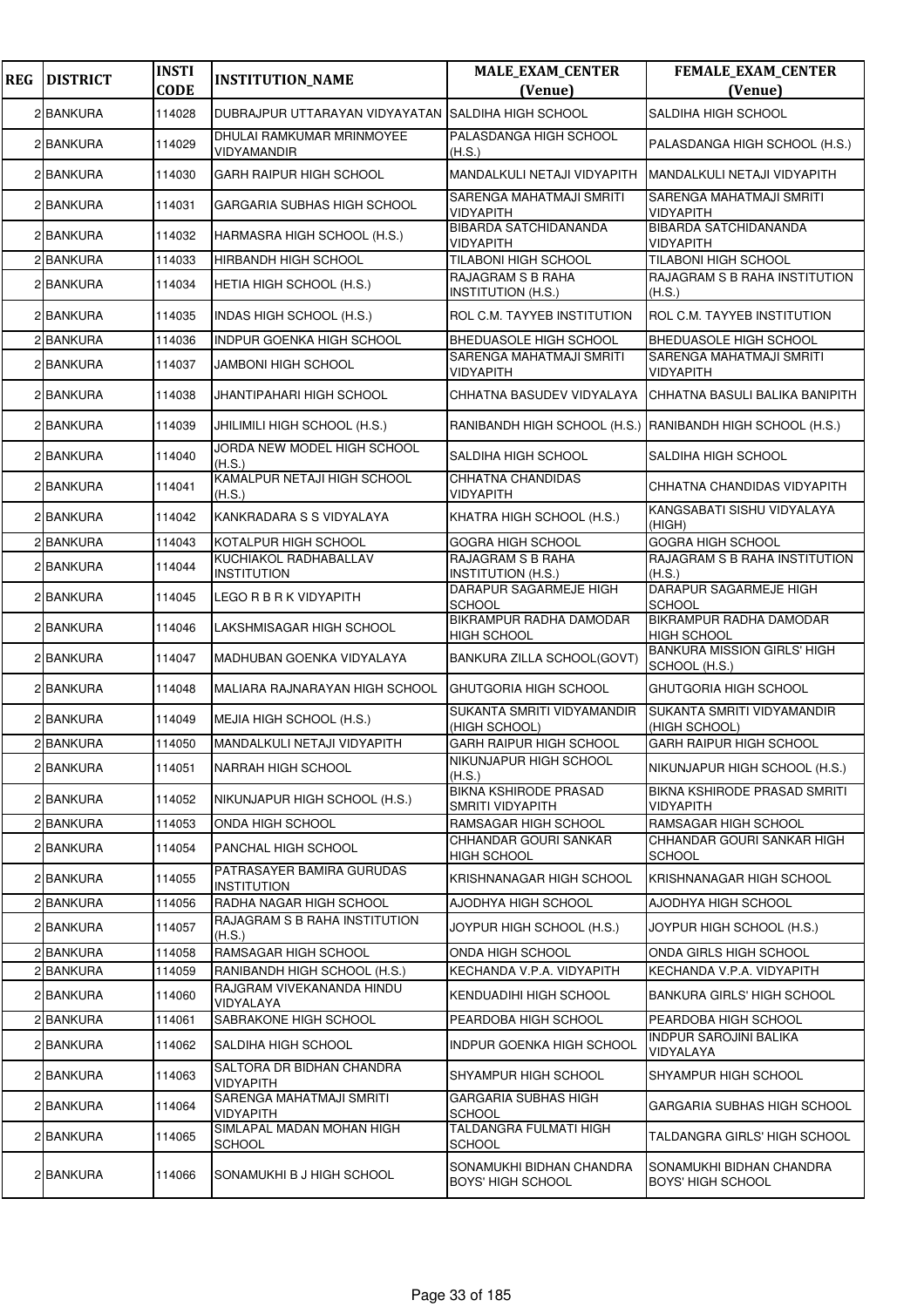| <b>REG</b> | <b>DISTRICT</b> | <b>INSTI</b><br><b>CODE</b> | <b>INSTITUTION_NAME</b>                            | <b>MALE_EXAM_CENTER</b><br>(Venue)               | <b>FEMALE_EXAM_CENTER</b><br>(Venue)                      |
|------------|-----------------|-----------------------------|----------------------------------------------------|--------------------------------------------------|-----------------------------------------------------------|
|            | 2 BANKURA       | 114028                      | DUBRAJPUR UTTARAYAN VIDYAYATAN SALDIHA HIGH SCHOOL |                                                  | <b>SALDIHA HIGH SCHOOL</b>                                |
|            | 2 BANKURA       | 114029                      | DHULAI RAMKUMAR MRINMOYEE<br>VIDYAMANDIR           | PALASDANGA HIGH SCHOOL<br>(H.S.)                 | PALASDANGA HIGH SCHOOL (H.S.)                             |
|            | 2 BANKURA       | 114030                      | <b>GARH RAIPUR HIGH SCHOOL</b>                     | MANDALKULI NETAJI VIDYAPITH                      | MANDALKULI NETAJI VIDYAPITH                               |
|            | 2 BANKURA       | 114031                      | GARGARIA SUBHAS HIGH SCHOOL                        | SARENGA MAHATMAJI SMRITI<br>VIDYAPITH            | SARENGA MAHATMAJI SMRITI<br><b>VIDYAPITH</b>              |
|            | 2 BANKURA       | 114032                      | HARMASRA HIGH SCHOOL (H.S.)                        | <b>BIBARDA SATCHIDANANDA</b><br>VIDYAPITH        | <b>BIBARDA SATCHIDANANDA</b><br><b>VIDYAPITH</b>          |
|            | 2 BANKURA       | 114033                      | HIRBANDH HIGH SCHOOL                               | TILABONI HIGH SCHOOL                             | <b>TILABONI HIGH SCHOOL</b>                               |
|            | 2 BANKURA       | 114034                      | HETIA HIGH SCHOOL (H.S.)                           | RAJAGRAM S B RAHA<br>INSTITUTION (H.S.)          | RAJAGRAM S B RAHA INSTITUTION<br>(H.S.)                   |
|            | 2 BANKURA       | 114035                      | INDAS HIGH SCHOOL (H.S.)                           | ROL C.M. TAYYEB INSTITUTION                      | ROL C.M. TAYYEB INSTITUTION                               |
|            | 2 BANKURA       | 114036                      | <b>INDPUR GOENKA HIGH SCHOOL</b>                   | BHEDUASOLE HIGH SCHOOL                           | <b>BHEDUASOLE HIGH SCHOOL</b>                             |
|            | 2 BANKURA       | 114037                      | <b>JAMBONI HIGH SCHOOL</b>                         | SARENGA MAHATMAJI SMRITI<br>VIDYAPITH            | SARENGA MAHATMAJI SMRITI<br><b>VIDYAPITH</b>              |
|            | 2 BANKURA       | 114038                      | <b>JHANTIPAHARI HIGH SCHOOL</b>                    | CHHATNA BASUDEV VIDYALAYA                        | CHHATNA BASULI BALIKA BANIPITH                            |
|            | 2 BANKURA       | 114039                      | JHILIMILI HIGH SCHOOL (H.S.)                       |                                                  | RANIBANDH HIGH SCHOOL (H.S.) RANIBANDH HIGH SCHOOL (H.S.) |
|            | 2 BANKURA       | 114040                      | JORDA NEW MODEL HIGH SCHOOL<br>(H.S.)              | SALDIHA HIGH SCHOOL                              | <b>SALDIHA HIGH SCHOOL</b>                                |
|            | 2 BANKURA       | 114041                      | KAMALPUR NETAJI HIGH SCHOOL<br>(H.S.)              | CHHATNA CHANDIDAS<br><b>VIDYAPITH</b>            | CHHATNA CHANDIDAS VIDYAPITH                               |
|            | 2 BANKURA       | 114042                      | KANKRADARA S S VIDYALAYA                           | KHATRA HIGH SCHOOL (H.S.)                        | KANGSABATI SISHU VIDYALAYA<br>(HIGH)                      |
|            | 2 BANKURA       | 114043                      | KOTALPUR HIGH SCHOOL                               | GOGRA HIGH SCHOOL                                | <b>GOGRA HIGH SCHOOL</b>                                  |
|            | 2 BANKURA       | 114044                      | KUCHIAKOL RADHABALLAV<br><b>INSTITUTION</b>        | RAJAGRAM S B RAHA<br>INSTITUTION (H.S.)          | RAJAGRAM S B RAHA INSTITUTION<br>(H.S.)                   |
|            | 2 BANKURA       | 114045                      | LEGO R B R K VIDYAPITH                             | DARAPUR SAGARMEJE HIGH<br>SCHOOL                 | DARAPUR SAGARMEJE HIGH<br><b>SCHOOL</b>                   |
|            | 2 BANKURA       | 114046                      | LAKSHMISAGAR HIGH SCHOOL                           | BIKRAMPUR RADHA DAMODAR<br><b>HIGH SCHOOL</b>    | <b>BIKRAMPUR RADHA DAMODAR</b><br><b>HIGH SCHOOL</b>      |
|            | 2 BANKURA       | 114047                      | MADHUBAN GOENKA VIDYALAYA                          | BANKURA ZILLA SCHOOL(GOVT)                       | <b>BANKURA MISSION GIRLS' HIGH</b><br>SCHOOL (H.S.)       |
|            | 2 BANKURA       | 114048                      | MALIARA RAJNARAYAN HIGH SCHOOL                     | GHUTGORIA HIGH SCHOOL                            | GHUTGORIA HIGH SCHOOL                                     |
|            | 2 BANKURA       | 114049                      | MEJIA HIGH SCHOOL (H.S.)                           | SUKANTA SMRITI VIDYAMANDIR<br>(HIGH SCHOOL)      | SUKANTA SMRITI VIDYAMANDIR<br>(HIGH SCHOOL)               |
|            | 2 BANKURA       | 114050                      | MANDALKULI NETAJI VIDYAPITH                        | GARH RAIPUR HIGH SCHOOL                          | <b>GARH RAIPUR HIGH SCHOOL</b>                            |
|            | 2 BANKURA       | 114051                      | <b>NARRAH HIGH SCHOOL</b>                          | NIKUNJAPUR HIGH SCHOOL<br>(H.S.)                 | NIKUNJAPUR HIGH SCHOOL (H.S.)                             |
|            | 2 BANKURA       | 114052                      | NIKUNJAPUR HIGH SCHOOL (H.S.)                      | <b>BIKNA KSHIRODE PRASAD</b><br>SMRITI VIDYAPITH | BIKNA KSHIRODE PRASAD SMRITI<br><b>VIDYAPITH</b>          |
|            | 2 BANKURA       | 114053                      | ONDA HIGH SCHOOL                                   | RAMSAGAR HIGH SCHOOL                             | RAMSAGAR HIGH SCHOOL                                      |
|            | 2 BANKURA       | 114054                      | PANCHAL HIGH SCHOOL                                | CHHANDAR GOURI SANKAR<br><b>HIGH SCHOOL</b>      | CHHANDAR GOURI SANKAR HIGH<br><b>SCHOOL</b>               |
|            | 2 BANKURA       | 114055                      | PATRASAYER BAMIRA GURUDAS<br><b>INSTITUTION</b>    | KRISHNANAGAR HIGH SCHOOL                         | KRISHNANAGAR HIGH SCHOOL                                  |
|            | 2 BANKURA       | 114056                      | RADHA NAGAR HIGH SCHOOL                            | AJODHYA HIGH SCHOOL                              | AJODHYA HIGH SCHOOL                                       |
|            | 2 BANKURA       | 114057                      | RAJAGRAM S B RAHA INSTITUTION<br>(H.S.)            | JOYPUR HIGH SCHOOL (H.S.)                        | JOYPUR HIGH SCHOOL (H.S.)                                 |
|            | 2 BANKURA       | 114058                      | RAMSAGAR HIGH SCHOOL                               | ONDA HIGH SCHOOL                                 | ONDA GIRLS HIGH SCHOOL                                    |
|            | 2 BANKURA       | 114059                      | RANIBANDH HIGH SCHOOL (H.S.)                       | KECHANDA V.P.A. VIDYAPITH                        | KECHANDA V.P.A. VIDYAPITH                                 |
|            | 2 BANKURA       | 114060                      | RAJGRAM VIVEKANANDA HINDU<br>VIDYALAYA             | KENDUADIHI HIGH SCHOOL                           | <b>BANKURA GIRLS' HIGH SCHOOL</b>                         |
|            | 2 BANKURA       | 114061                      | SABRAKONE HIGH SCHOOL                              | PEARDOBA HIGH SCHOOL                             | PEARDOBA HIGH SCHOOL                                      |
|            | 2 BANKURA       | 114062                      | <b>SALDIHA HIGH SCHOOL</b>                         | INDPUR GOENKA HIGH SCHOOL                        | <b>INDPUR SAROJINI BALIKA</b><br>VIDYALAYA                |
|            | 2 BANKURA       | 114063                      | SALTORA DR BIDHAN CHANDRA<br>VIDYAPITH             | SHYAMPUR HIGH SCHOOL                             | <b>SHYAMPUR HIGH SCHOOL</b>                               |
|            | 2 BANKURA       | 114064                      | SARENGA MAHATMAJI SMRITI<br>VIDYAPITH              | GARGARIA SUBHAS HIGH<br>SCHOOL                   | GARGARIA SUBHAS HIGH SCHOOL                               |
|            | 2 BANKURA       | 114065                      | SIMLAPAL MADAN MOHAN HIGH<br><b>SCHOOL</b>         | TALDANGRA FULMATI HIGH<br>SCHOOL                 | TALDANGRA GIRLS' HIGH SCHOOL                              |
|            | 2 BANKURA       | 114066                      | SONAMUKHI B J HIGH SCHOOL                          | SONAMUKHI BIDHAN CHANDRA<br>BOYS' HIGH SCHOOL    | SONAMUKHI BIDHAN CHANDRA<br><b>BOYS' HIGH SCHOOL</b>      |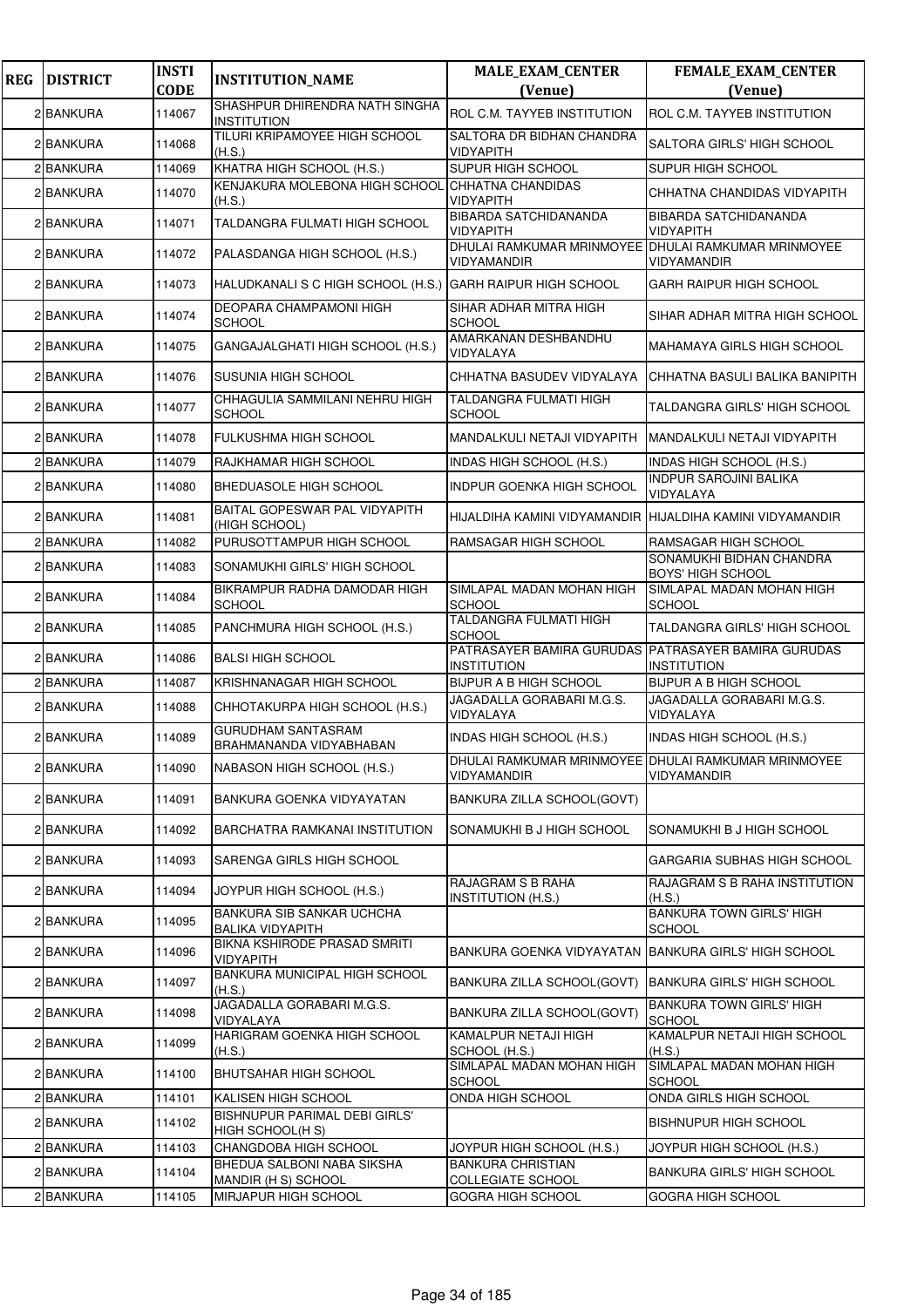| <b>REG</b> | <b>DISTRICT</b> | <b>INSTI</b><br><b>CODE</b> | <b>INSTITUTION_NAME</b>                              | <b>MALE_EXAM_CENTER</b><br>(Venue)                                        | FEMALE_EXAM_CENTER<br>(Venue)                        |
|------------|-----------------|-----------------------------|------------------------------------------------------|---------------------------------------------------------------------------|------------------------------------------------------|
|            | 2 BANKURA       | 114067                      | SHASHPUR DHIRENDRA NATH SINGHA<br><b>INSTITUTION</b> | ROL C.M. TAYYEB INSTITUTION                                               | <b>ROL C.M. TAYYEB INSTITUTION</b>                   |
|            | 2 BANKURA       | 114068                      | TILURI KRIPAMOYEE HIGH SCHOOL<br>(H.S.)              | SALTORA DR BIDHAN CHANDRA<br><b>VIDYAPITH</b>                             | SALTORA GIRLS' HIGH SCHOOL                           |
|            | 2 BANKURA       | 114069                      | KHATRA HIGH SCHOOL (H.S.)                            | SUPUR HIGH SCHOOL                                                         | SUPUR HIGH SCHOOL                                    |
|            | 2 BANKURA       | 114070                      | KENJAKURA MOLEBONA HIGH SCHOOL<br>(H.S.)             | CHHATNA CHANDIDAS<br><b>VIDYAPITH</b>                                     | CHHATNA CHANDIDAS VIDYAPITH                          |
|            | 2 BANKURA       | 114071                      | TALDANGRA FULMATI HIGH SCHOOL                        | <b>BIBARDA SATCHIDANANDA</b><br><b>VIDYAPITH</b>                          | <b>BIBARDA SATCHIDANANDA</b><br><b>VIDYAPITH</b>     |
|            | 2 BANKURA       | 114072                      | PALASDANGA HIGH SCHOOL (H.S.)                        | DHULAI RAMKUMAR MRINMOYEE DHULAI RAMKUMAR MRINMOYEE<br><b>VIDYAMANDIR</b> | VIDYAMANDIR                                          |
|            | 2 BANKURA       | 114073                      | HALUDKANALI S C HIGH SCHOOL (H.S.)                   | <b>GARH RAIPUR HIGH SCHOOL</b>                                            | <b>GARH RAIPUR HIGH SCHOOL</b>                       |
|            | 2 BANKURA       | 114074                      | DEOPARA CHAMPAMONI HIGH<br><b>SCHOOL</b>             | SIHAR ADHAR MITRA HIGH<br><b>SCHOOL</b>                                   | SIHAR ADHAR MITRA HIGH SCHOOL                        |
|            | 2 BANKURA       | 114075                      | GANGAJALGHATI HIGH SCHOOL (H.S.)                     | AMARKANAN DESHBANDHU<br>VIDYALAYA                                         | MAHAMAYA GIRLS HIGH SCHOOL                           |
|            | 2 BANKURA       | 114076                      | SUSUNIA HIGH SCHOOL                                  | CHHATNA BASUDEV VIDYALAYA                                                 | CHHATNA BASULI BALIKA BANIPITH                       |
|            | 2 BANKURA       | 114077                      | CHHAGULIA SAMMILANI NEHRU HIGH<br><b>SCHOOL</b>      | TALDANGRA FULMATI HIGH<br><b>SCHOOL</b>                                   | TALDANGRA GIRLS' HIGH SCHOOL                         |
|            | 2 BANKURA       | 114078                      | FULKUSHMA HIGH SCHOOL                                | MANDALKULI NETAJI VIDYAPITH                                               | MANDALKULI NETAJI VIDYAPITH                          |
|            | 2 BANKURA       | 114079                      | RAJKHAMAR HIGH SCHOOL                                | <b>INDAS HIGH SCHOOL (H.S.)</b>                                           | <b>INDAS HIGH SCHOOL (H.S.)</b>                      |
|            | 2 BANKURA       | 114080                      | BHEDUASOLE HIGH SCHOOL                               | <b>INDPUR GOENKA HIGH SCHOOL</b>                                          | <b>INDPUR SAROJINI BALIKA</b><br>VIDYALAYA           |
|            | 2 BANKURA       | 114081                      | BAITAL GOPESWAR PAL VIDYAPITH<br>(HIGH SCHOOL)       | HIJALDIHA KAMINI VIDYAMANDIR                                              | HIJALDIHA KAMINI VIDYAMANDIR                         |
|            | 2 BANKURA       | 114082                      | PURUSOTTAMPUR HIGH SCHOOL                            | RAMSAGAR HIGH SCHOOL                                                      | RAMSAGAR HIGH SCHOOL                                 |
|            | 2 BANKURA       | 114083                      | SONAMUKHI GIRLS' HIGH SCHOOL                         |                                                                           | SONAMUKHI BIDHAN CHANDRA<br><b>BOYS' HIGH SCHOOL</b> |
|            | 2 BANKURA       | 114084                      | BIKRAMPUR RADHA DAMODAR HIGH<br><b>SCHOOL</b>        | SIMLAPAL MADAN MOHAN HIGH<br>SCHOOL                                       | SIMLAPAL MADAN MOHAN HIGH<br><b>SCHOOL</b>           |
|            | 2 BANKURA       | 114085                      | PANCHMURA HIGH SCHOOL (H.S.)                         | TALDANGRA FULMATI HIGH<br><b>SCHOOL</b>                                   | TALDANGRA GIRLS' HIGH SCHOOL                         |
|            | 2 BANKURA       | 114086                      | <b>BALSI HIGH SCHOOL</b>                             | PATRASAYER BAMIRA GURUDAS PATRASAYER BAMIRA GURUDAS<br><b>INSTITUTION</b> | <b>INSTITUTION</b>                                   |
|            | 2 BANKURA       | 114087                      | KRISHNANAGAR HIGH SCHOOL                             | <b>BIJPUR A B HIGH SCHOOL</b>                                             | <b>BIJPUR A B HIGH SCHOOL</b>                        |
|            | 2 BANKURA       | 114088                      | CHHOTAKURPA HIGH SCHOOL (H.S.)                       | JAGADALLA GORABARI M.G.S.<br>VIDYALAYA                                    | JAGADALLA GORABARI M.G.S.<br>VIDYALAYA               |
|            | 2 BANKURA       | 114089                      | GURUDHAM SANTASRAM<br>BRAHMANANDA VIDYABHABAN        | <b>INDAS HIGH SCHOOL (H.S.)</b>                                           | <b>INDAS HIGH SCHOOL (H.S.)</b>                      |
|            | 2 BANKURA       | 114090                      | NABASON HIGH SCHOOL (H.S.)                           | DHULAI RAMKUMAR MRINMOYEE DHULAI RAMKUMAR MRINMOYEE<br>VIDYAMANDIR        | VIDYAMANDIR                                          |
|            | 2 BANKURA       | 114091                      | BANKURA GOENKA VIDYAYATAN                            | BANKURA ZILLA SCHOOL(GOVT)                                                |                                                      |
|            | 2 BANKURA       | 114092                      | BARCHATRA RAMKANAI INSTITUTION                       | SONAMUKHI B J HIGH SCHOOL                                                 | SONAMUKHI B J HIGH SCHOOL                            |
|            | 2 BANKURA       | 114093                      | SARENGA GIRLS HIGH SCHOOL                            |                                                                           | GARGARIA SUBHAS HIGH SCHOOL                          |
|            | 2 BANKURA       | 114094                      | JOYPUR HIGH SCHOOL (H.S.)                            | RAJAGRAM S B RAHA<br><b>INSTITUTION (H.S.)</b>                            | RAJAGRAM S B RAHA INSTITUTION<br>(H.S.)              |
|            | 2 BANKURA       | 114095                      | BANKURA SIB SANKAR UCHCHA<br><b>BALIKA VIDYAPITH</b> |                                                                           | <b>BANKURA TOWN GIRLS' HIGH</b><br><b>SCHOOL</b>     |
|            | 2 BANKURA       | 114096                      | BIKNA KSHIRODE PRASAD SMRITI<br><b>VIDYAPITH</b>     | BANKURA GOENKA VIDYAYATAN BANKURA GIRLS' HIGH SCHOOL                      |                                                      |
|            | 2 BANKURA       | 114097                      | BANKURA MUNICIPAL HIGH SCHOOL<br>(H.S.)              | BANKURA ZILLA SCHOOL(GOVT)                                                | BANKURA GIRLS' HIGH SCHOOL                           |
|            | 2 BANKURA       | 114098                      | JAGADALLA GORABARI M.G.S.<br>VIDYALAYA               | BANKURA ZILLA SCHOOL(GOVT)                                                | <b>BANKURA TOWN GIRLS' HIGH</b><br><b>SCHOOL</b>     |
|            | 2 BANKURA       | 114099                      | HARIGRAM GOENKA HIGH SCHOOL<br>(H.S.)                | KAMALPUR NETAJI HIGH<br>SCHOOL (H.S.)                                     | KAMALPUR NETAJI HIGH SCHOOL<br>(H.S.)                |
|            | 2 BANKURA       | 114100                      | <b>BHUTSAHAR HIGH SCHOOL</b>                         | SIMLAPAL MADAN MOHAN HIGH<br><b>SCHOOL</b>                                | SIMLAPAL MADAN MOHAN HIGH<br><b>SCHOOL</b>           |
|            | 2 BANKURA       | 114101                      | KALISEN HIGH SCHOOL                                  | ONDA HIGH SCHOOL                                                          | ONDA GIRLS HIGH SCHOOL                               |
|            | 2 BANKURA       | 114102                      | BISHNUPUR PARIMAL DEBI GIRLS'<br>HIGH SCHOOL(H S)    |                                                                           | <b>BISHNUPUR HIGH SCHOOL</b>                         |
|            | 2 BANKURA       | 114103                      | CHANGDOBA HIGH SCHOOL                                | JOYPUR HIGH SCHOOL (H.S.)                                                 | JOYPUR HIGH SCHOOL (H.S.)                            |
|            | 2 BANKURA       | 114104                      | BHEDUA SALBONI NABA SIKSHA<br>MANDIR (H S) SCHOOL    | <b>BANKURA CHRISTIAN</b><br><b>COLLEGIATE SCHOOL</b>                      | <b>BANKURA GIRLS' HIGH SCHOOL</b>                    |
|            | 2 BANKURA       | 114105                      | MIRJAPUR HIGH SCHOOL                                 | GOGRA HIGH SCHOOL                                                         | GOGRA HIGH SCHOOL                                    |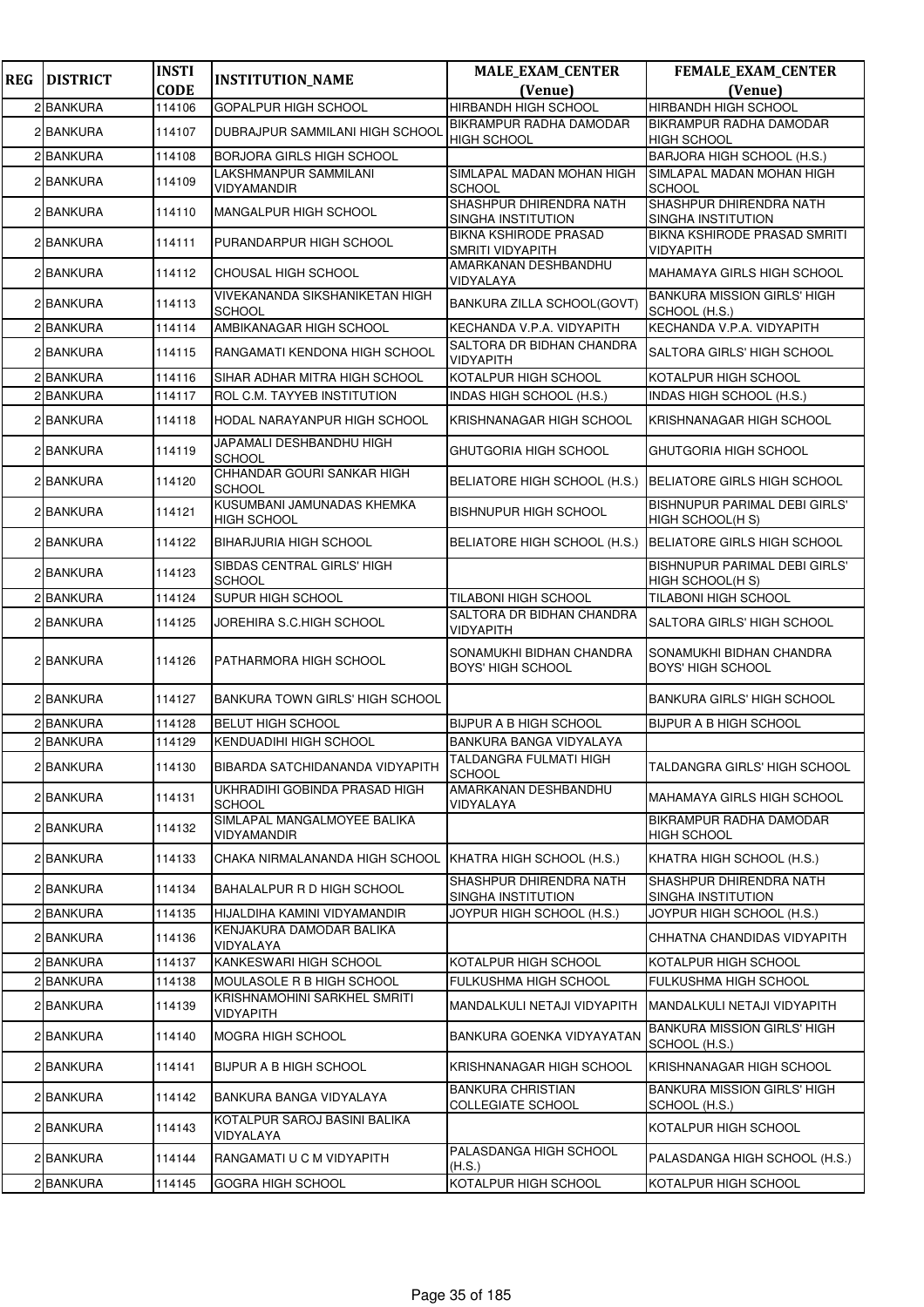| <b>REG</b> | <b>DISTRICT</b> | <b>INSTI</b> | <b>INSTITUTION_NAME</b>                           | <b>MALE_EXAM_CENTER</b>                          | <b>FEMALE_EXAM_CENTER</b>                            |
|------------|-----------------|--------------|---------------------------------------------------|--------------------------------------------------|------------------------------------------------------|
|            |                 | <b>CODE</b>  |                                                   | (Venue)                                          | (Venue)                                              |
|            | 2 BANKURA       | 114106       | <b>GOPALPUR HIGH SCHOOL</b>                       | HIRBANDH HIGH SCHOOL                             | HIRBANDH HIGH SCHOOL                                 |
|            | 2 BANKURA       | 114107       | DUBRAJPUR SAMMILANI HIGH SCHOOL                   | BIKRAMPUR RADHA DAMODAR<br><b>HIGH SCHOOL</b>    | <b>BIKRAMPUR RADHA DAMODAR</b><br><b>HIGH SCHOOL</b> |
|            | 2 BANKURA       | 114108       | <b>BORJORA GIRLS HIGH SCHOOL</b>                  |                                                  | BARJORA HIGH SCHOOL (H.S.)                           |
|            | 2 BANKURA       | 114109       | LAKSHMANPUR SAMMILANI<br>VIDYAMANDIR              | SIMLAPAL MADAN MOHAN HIGH<br>SCHOOL              | SIMLAPAL MADAN MOHAN HIGH<br><b>SCHOOL</b>           |
|            | 2 BANKURA       | 114110       | MANGALPUR HIGH SCHOOL                             | SHASHPUR DHIRENDRA NATH<br>SINGHA INSTITUTION    | SHASHPUR DHIRENDRA NATH<br>SINGHA INSTITUTION        |
|            | 2 BANKURA       | 114111       | PURANDARPUR HIGH SCHOOL                           | <b>BIKNA KSHIRODE PRASAD</b><br>SMRITI VIDYAPITH | BIKNA KSHIRODE PRASAD SMRITI<br>VIDYAPITH            |
|            | 2 BANKURA       | 114112       | CHOUSAL HIGH SCHOOL                               | AMARKANAN DESHBANDHU<br>VIDYALAYA                | <b>MAHAMAYA GIRLS HIGH SCHOOL</b>                    |
|            | 2 BANKURA       | 114113       | VIVEKANANDA SIKSHANIKETAN HIGH<br><b>SCHOOL</b>   | BANKURA ZILLA SCHOOL(GOVT)                       | <b>BANKURA MISSION GIRLS' HIGH</b><br>SCHOOL (H.S.)  |
|            | 2 BANKURA       | 114114       | AMBIKANAGAR HIGH SCHOOL                           | KECHANDA V.P.A. VIDYAPITH                        | KECHANDA V.P.A. VIDYAPITH                            |
|            | 2 BANKURA       | 114115       | RANGAMATI KENDONA HIGH SCHOOL                     | SALTORA DR BIDHAN CHANDRA<br><b>VIDYAPITH</b>    | SALTORA GIRLS' HIGH SCHOOL                           |
|            | 2 BANKURA       | 114116       | SIHAR ADHAR MITRA HIGH SCHOOL                     | KOTALPUR HIGH SCHOOL                             | KOTALPUR HIGH SCHOOL                                 |
|            | 2 BANKURA       | 114117       | ROL C.M. TAYYEB INSTITUTION                       | INDAS HIGH SCHOOL (H.S.)                         | INDAS HIGH SCHOOL (H.S.)                             |
|            | 2 BANKURA       | 114118       | HODAL NARAYANPUR HIGH SCHOOL                      | KRISHNANAGAR HIGH SCHOOL                         | KRISHNANAGAR HIGH SCHOOL                             |
|            | 2 BANKURA       | 114119       | JAPAMALI DESHBANDHU HIGH<br><b>SCHOOL</b>         | GHUTGORIA HIGH SCHOOL                            | GHUTGORIA HIGH SCHOOL                                |
|            | 2 BANKURA       | 114120       | CHHANDAR GOURI SANKAR HIGH<br><b>SCHOOL</b>       | BELIATORE HIGH SCHOOL (H.S.)                     | BELIATORE GIRLS HIGH SCHOOL                          |
|            | 2 BANKURA       | 114121       | KUSUMBANI JAMUNADAS KHEMKA<br><b>HIGH SCHOOL</b>  | <b>BISHNUPUR HIGH SCHOOL</b>                     | BISHNUPUR PARIMAL DEBI GIRLS'<br>HIGH SCHOOL(H S)    |
|            | 2 BANKURA       | 114122       | <b>BIHARJURIA HIGH SCHOOL</b>                     | BELIATORE HIGH SCHOOL (H.S.)                     | <b>BELIATORE GIRLS HIGH SCHOOL</b>                   |
|            | 2 BANKURA       | 114123       | SIBDAS CENTRAL GIRLS' HIGH<br><b>SCHOOL</b>       |                                                  | BISHNUPUR PARIMAL DEBI GIRLS'<br>HIGH SCHOOL(H S)    |
|            | 2 BANKURA       | 114124       | SUPUR HIGH SCHOOL                                 | TILABONI HIGH SCHOOL                             | TILABONI HIGH SCHOOL                                 |
|            | 2 BANKURA       | 114125       | JOREHIRA S.C.HIGH SCHOOL                          | SALTORA DR BIDHAN CHANDRA<br>VIDYAPITH           | SALTORA GIRLS' HIGH SCHOOL                           |
|            | 2 BANKURA       | 114126       | PATHARMORA HIGH SCHOOL                            | SONAMUKHI BIDHAN CHANDRA<br>BOYS' HIGH SCHOOL    | SONAMUKHI BIDHAN CHANDRA<br><b>BOYS' HIGH SCHOOL</b> |
|            | 2 BANKURA       | 114127       | <b>BANKURA TOWN GIRLS' HIGH SCHOOL</b>            |                                                  | <b>BANKURA GIRLS' HIGH SCHOOL</b>                    |
|            | 2 BANKURA       | 114128       | <b>BELUT HIGH SCHOOL</b>                          | BIJPUR A B HIGH SCHOOL                           | <b>BIJPUR A B HIGH SCHOOL</b>                        |
|            | 2 BANKURA       | 114129       | KENDUADIHI HIGH SCHOOL                            | BANKURA BANGA VIDYALAYA                          |                                                      |
|            | 2 BANKURA       | 114130       | BIBARDA SATCHIDANANDA VIDYAPITH                   | TALDANGRA FULMATI HIGH<br><b>SCHOOL</b>          | <b>TALDANGRA GIRLS' HIGH SCHOOL</b>                  |
|            | 2 BANKURA       | 114131       | UKHRADIHI GOBINDA PRASAD HIGH<br><b>SCHOOL</b>    | AMARKANAN DESHBANDHU<br>VIDYALAYA                | MAHAMAYA GIRLS HIGH SCHOOL                           |
|            | 2 BANKURA       | 114132       | SIMLAPAL MANGALMOYEE BALIKA<br><b>VIDYAMANDIR</b> |                                                  | BIKRAMPUR RADHA DAMODAR<br><b>HIGH SCHOOL</b>        |
|            | 2 BANKURA       | 114133       | CHAKA NIRMALANANDA HIGH SCHOOL                    | KHATRA HIGH SCHOOL (H.S.)                        | KHATRA HIGH SCHOOL (H.S.)                            |
|            | 2 BANKURA       | 114134       | BAHALALPUR R D HIGH SCHOOL                        | SHASHPUR DHIRENDRA NATH<br>SINGHA INSTITUTION    | SHASHPUR DHIRENDRA NATH<br>SINGHA INSTITUTION        |
|            | 2 BANKURA       | 114135       | HIJALDIHA KAMINI VIDYAMANDIR                      | JOYPUR HIGH SCHOOL (H.S.)                        | JOYPUR HIGH SCHOOL (H.S.)                            |
|            | 2 BANKURA       | 114136       | KENJAKURA DAMODAR BALIKA<br>VIDYALAYA             |                                                  | CHHATNA CHANDIDAS VIDYAPITH                          |
|            | 2 BANKURA       | 114137       | KANKESWARI HIGH SCHOOL                            | KOTALPUR HIGH SCHOOL                             | KOTALPUR HIGH SCHOOL                                 |
|            | 2 BANKURA       | 114138       | MOULASOLE R B HIGH SCHOOL                         | FULKUSHMA HIGH SCHOOL                            | FULKUSHMA HIGH SCHOOL                                |
|            | 2 BANKURA       | 114139       | KRISHNAMOHINI SARKHEL SMRITI<br>VIDYAPITH         | MANDALKULI NETAJI VIDYAPITH                      | MANDALKULI NETAJI VIDYAPITH                          |
|            | 2 BANKURA       | 114140       | <b>MOGRA HIGH SCHOOL</b>                          | BANKURA GOENKA VIDYAYATAN                        | <b>BANKURA MISSION GIRLS' HIGH</b><br>SCHOOL (H.S.)  |
|            | 2 BANKURA       | 114141       | BIJPUR A B HIGH SCHOOL                            | KRISHNANAGAR HIGH SCHOOL                         | KRISHNANAGAR HIGH SCHOOL                             |
|            | 2 BANKURA       | 114142       | BANKURA BANGA VIDYALAYA                           | BANKURA CHRISTIAN<br><b>COLLEGIATE SCHOOL</b>    | <b>BANKURA MISSION GIRLS' HIGH</b><br>SCHOOL (H.S.)  |
|            | 2 BANKURA       | 114143       | KOTALPUR SAROJ BASINI BALIKA<br>VIDYALAYA         |                                                  | KOTALPUR HIGH SCHOOL                                 |
|            | 2 BANKURA       | 114144       | RANGAMATI U C M VIDYAPITH                         | PALASDANGA HIGH SCHOOL<br>(H.S.)                 | PALASDANGA HIGH SCHOOL (H.S.)                        |
|            | 2 BANKURA       | 114145       | GOGRA HIGH SCHOOL                                 | KOTALPUR HIGH SCHOOL                             | KOTALPUR HIGH SCHOOL                                 |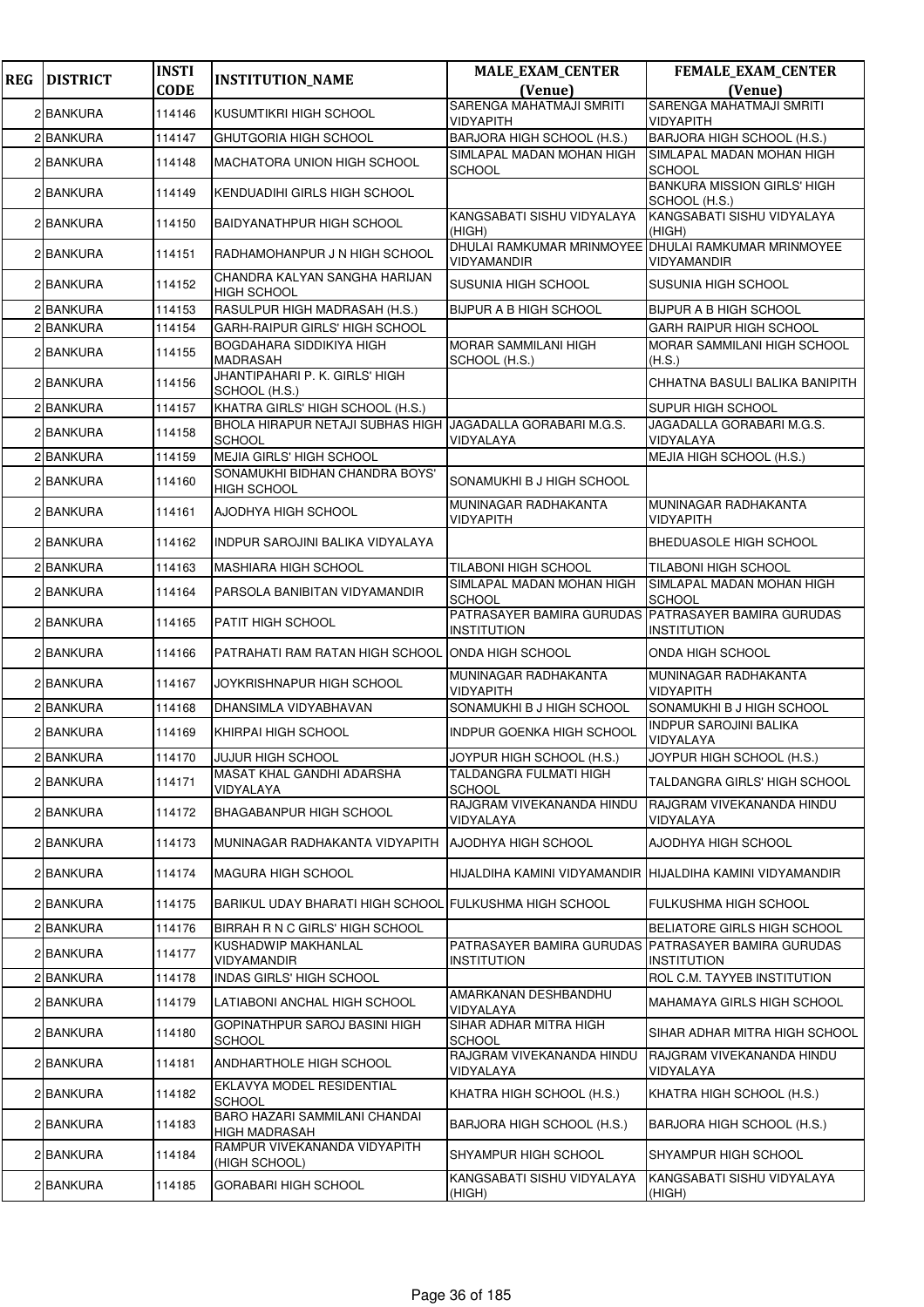| <b>REG</b> | <b>DISTRICT</b> | <b>INSTI</b> | <b>INSTITUTION_NAME</b>                                                      | <b>MALE_EXAM_CENTER</b>                                                   | FEMALE_EXAM_CENTER                                  |
|------------|-----------------|--------------|------------------------------------------------------------------------------|---------------------------------------------------------------------------|-----------------------------------------------------|
|            |                 | <b>CODE</b>  |                                                                              | (Venue)<br><b>SARENGA MAHATMAJI SMRITI</b>                                | (Venue)<br>SARENGA MAHATMAJI SMRITI                 |
|            | 2 BANKURA       | 114146       | KUSUMTIKRI HIGH SCHOOL                                                       | <b>VIDYAPITH</b>                                                          | <b>VIDYAPITH</b>                                    |
|            | 2 BANKURA       | 114147       | GHUTGORIA HIGH SCHOOL                                                        | BARJORA HIGH SCHOOL (H.S.)                                                | BARJORA HIGH SCHOOL (H.S.)                          |
|            | 2 BANKURA       | 114148       | <b>MACHATORA UNION HIGH SCHOOL</b>                                           | SIMLAPAL MADAN MOHAN HIGH<br><b>SCHOOL</b>                                | SIMLAPAL MADAN MOHAN HIGH<br><b>SCHOOL</b>          |
|            | 2 BANKURA       | 114149       | KENDUADIHI GIRLS HIGH SCHOOL                                                 |                                                                           | <b>BANKURA MISSION GIRLS' HIGH</b><br>SCHOOL (H.S.) |
|            | 2 BANKURA       | 114150       | BAIDYANATHPUR HIGH SCHOOL                                                    | KANGSABATI SISHU VIDYALAYA<br>(HIGH)                                      | KANGSABATI SISHU VIDYALAYA<br>(HIGH)                |
|            | 2 BANKURA       | 114151       | RADHAMOHANPUR J N HIGH SCHOOL                                                | DHULAI RAMKUMAR MRINMOYEE DHULAI RAMKUMAR MRINMOYEE<br><b>VIDYAMANDIR</b> | <b>VIDYAMANDIR</b>                                  |
|            | 2 BANKURA       | 114152       | CHANDRA KALYAN SANGHA HARIJAN<br>HIGH SCHOOL                                 | <b>SUSUNIA HIGH SCHOOL</b>                                                | <b>SUSUNIA HIGH SCHOOL</b>                          |
|            | 2 BANKURA       | 114153       | RASULPUR HIGH MADRASAH (H.S.)                                                | <b>BIJPUR A B HIGH SCHOOL</b>                                             | <b>BIJPUR A B HIGH SCHOOL</b>                       |
|            | 2 BANKURA       | 114154       | GARH-RAIPUR GIRLS' HIGH SCHOOL                                               |                                                                           | <b>GARH RAIPUR HIGH SCHOOL</b>                      |
|            | 2 BANKURA       | 114155       | BOGDAHARA SIDDIKIYA HIGH<br>MADRASAH                                         | <b>MORAR SAMMILANI HIGH</b><br>SCHOOL (H.S.)                              | <b>MORAR SAMMILANI HIGH SCHOOL</b><br>(H.S.)        |
|            | 2 BANKURA       | 114156       | JHANTIPAHARI P. K. GIRLS' HIGH<br>SCHOOL (H.S.)                              |                                                                           | CHHATNA BASULI BALIKA BANIPITH                      |
|            | 2 BANKURA       | 114157       | KHATRA GIRLS' HIGH SCHOOL (H.S.)                                             |                                                                           | <b>SUPUR HIGH SCHOOL</b>                            |
|            | 2 BANKURA       | 114158       | BHOLA HIRAPUR NETAJI SUBHAS HIGH JJAGADALLA GORABARI M.G.S.<br><b>SCHOOL</b> | VIDYALAYA                                                                 | JAGADALLA GORABARI M.G.S.<br>VIDYALAYA              |
|            | 2 BANKURA       | 114159       | <b>MEJIA GIRLS' HIGH SCHOOL</b>                                              |                                                                           | MEJIA HIGH SCHOOL (H.S.)                            |
|            | 2 BANKURA       | 114160       | SONAMUKHI BIDHAN CHANDRA BOYS'<br><b>HIGH SCHOOL</b>                         | SONAMUKHI B J HIGH SCHOOL                                                 |                                                     |
|            | 2 BANKURA       | 114161       | AJODHYA HIGH SCHOOL                                                          | MUNINAGAR RADHAKANTA<br>VIDYAPITH                                         | MUNINAGAR RADHAKANTA<br><b>VIDYAPITH</b>            |
|            | 2 BANKURA       | 114162       | INDPUR SAROJINI BALIKA VIDYALAYA                                             |                                                                           | <b>BHEDUASOLE HIGH SCHOOL</b>                       |
|            | 2 BANKURA       | 114163       | <b>MASHIARA HIGH SCHOOL</b>                                                  | TILABONI HIGH SCHOOL                                                      | <b>TILABONI HIGH SCHOOL</b>                         |
|            | 2 BANKURA       | 114164       | PARSOLA BANIBITAN VIDYAMANDIR                                                | SIMLAPAL MADAN MOHAN HIGH<br><b>SCHOOL</b>                                | SIMLAPAL MADAN MOHAN HIGH<br><b>SCHOOL</b>          |
|            | 2 BANKURA       | 114165       | PATIT HIGH SCHOOL                                                            | PATRASAYER BAMIRA GURUDAS<br><b>INSTITUTION</b>                           | PATRASAYER BAMIRA GURUDAS<br><b>INSTITUTION</b>     |
|            | 2 BANKURA       | 114166       | PATRAHATI RAM RATAN HIGH SCHOOL                                              | ONDA HIGH SCHOOL                                                          | ONDA HIGH SCHOOL                                    |
|            | 2 BANKURA       | 114167       | JOYKRISHNAPUR HIGH SCHOOL                                                    | MUNINAGAR RADHAKANTA<br>VIDYAPITH                                         | MUNINAGAR RADHAKANTA<br><b>VIDYAPITH</b>            |
|            | 2 BANKURA       | 114168       | DHANSIMLA VIDYABHAVAN                                                        | SONAMUKHI B J HIGH SCHOOL                                                 | SONAMUKHI B J HIGH SCHOOL                           |
|            | 2 BANKURA       | 114169       | KHIRPAI HIGH SCHOOL                                                          | <b>INDPUR GOENKA HIGH SCHOOL</b>                                          | <b>INDPUR SAROJINI BALIKA</b><br>VIDYALAYA          |
|            | 2 BANKURA       | 114170       | JUJUR HIGH SCHOOL                                                            | JOYPUR HIGH SCHOOL (H.S.)                                                 | JOYPUR HIGH SCHOOL (H.S.)                           |
|            | 2 BANKURA       | 114171       | MASAT KHAL GANDHI ADARSHA<br>VIDYALAYA                                       | <b>TALDANGRA FULMATI HIGH</b><br>SCHOOL                                   | TALDANGRA GIRLS' HIGH SCHOOL                        |
|            | 2 BANKURA       | 114172       | BHAGABANPUR HIGH SCHOOL                                                      | RAJGRAM VIVEKANANDA HINDU<br>VIDYALAYA                                    | RAJGRAM VIVEKANANDA HINDU<br>VIDYALAYA              |
|            | 2 BANKURA       | 114173       | MUNINAGAR RADHAKANTA VIDYAPITH                                               | AJODHYA HIGH SCHOOL                                                       | AJODHYA HIGH SCHOOL                                 |
|            | 2 BANKURA       | 114174       | <b>MAGURA HIGH SCHOOL</b>                                                    | HIJALDIHA KAMINI VIDYAMANDIR  HIJALDIHA KAMINI VIDYAMANDIR                |                                                     |
|            | 2 BANKURA       | 114175       | BARIKUL UDAY BHARATI HIGH SCHOOL FULKUSHMA HIGH SCHOOL                       |                                                                           | <b>FULKUSHMA HIGH SCHOOL</b>                        |
|            | 2 BANKURA       | 114176       | BIRRAH R N C GIRLS' HIGH SCHOOL                                              |                                                                           | BELIATORE GIRLS HIGH SCHOOL                         |
|            | 2 BANKURA       | 114177       | KUSHADWIP MAKHANLAL<br>VIDYAMANDIR                                           | PATRASAYER BAMIRA GURUDAS PATRASAYER BAMIRA GURUDAS<br><b>INSTITUTION</b> | <b>INSTITUTION</b>                                  |
|            | 2 BANKURA       | 114178       | INDAS GIRLS' HIGH SCHOOL                                                     |                                                                           | ROL C.M. TAYYEB INSTITUTION                         |
|            | 2 BANKURA       | 114179       | LATIABONI ANCHAL HIGH SCHOOL                                                 | AMARKANAN DESHBANDHU<br>VIDYALAYA                                         | MAHAMAYA GIRLS HIGH SCHOOL                          |
|            | 2 BANKURA       | 114180       | GOPINATHPUR SAROJ BASINI HIGH<br>SCHOOL                                      | SIHAR ADHAR MITRA HIGH<br><b>SCHOOL</b>                                   | SIHAR ADHAR MITRA HIGH SCHOOL                       |
|            | 2 BANKURA       | 114181       | ANDHARTHOLE HIGH SCHOOL                                                      | RAJGRAM VIVEKANANDA HINDU<br>VIDYALAYA                                    | RAJGRAM VIVEKANANDA HINDU<br>VIDYALAYA              |
|            | 2 BANKURA       | 114182       | EKLAVYA MODEL RESIDENTIAL<br><b>SCHOOL</b>                                   | KHATRA HIGH SCHOOL (H.S.)                                                 | KHATRA HIGH SCHOOL (H.S.)                           |
|            | 2 BANKURA       | 114183       | BARO HAZARI SAMMILANI CHANDAI<br>HIGH MADRASAH                               | BARJORA HIGH SCHOOL (H.S.)                                                | BARJORA HIGH SCHOOL (H.S.)                          |
|            | 2 BANKURA       | 114184       | RAMPUR VIVEKANANDA VIDYAPITH<br>(HIGH SCHOOL)                                | <b>SHYAMPUR HIGH SCHOOL</b>                                               | <b>SHYAMPUR HIGH SCHOOL</b>                         |
|            | 2 BANKURA       | 114185       | <b>GORABARI HIGH SCHOOL</b>                                                  | KANGSABATI SISHU VIDYALAYA<br>(HIGH)                                      | KANGSABATI SISHU VIDYALAYA<br>(HIGH)                |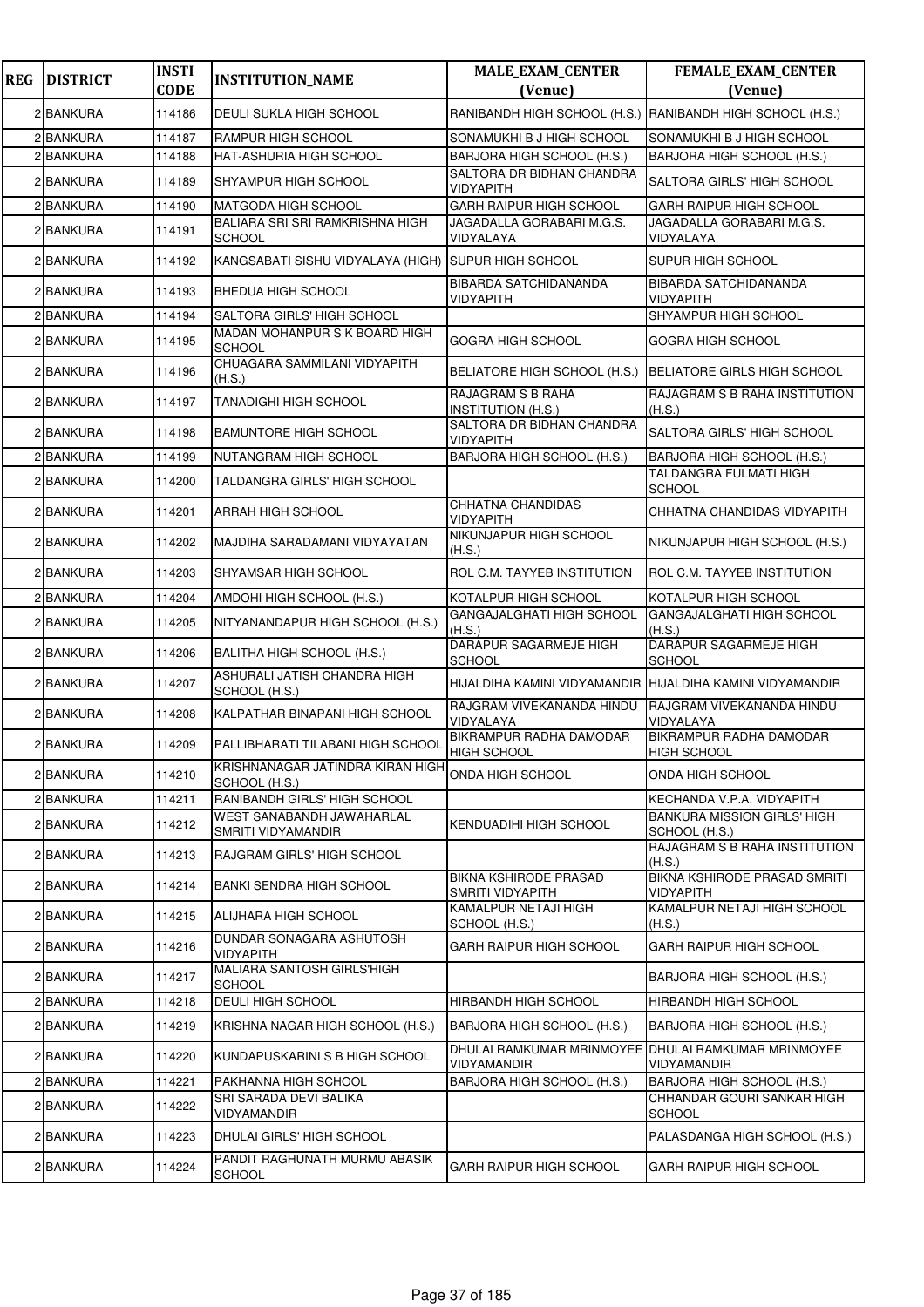| <b>REG</b> | <b>DISTRICT</b> | <b>INSTI</b><br><b>CODE</b> | <b>INSTITUTION_NAME</b>                             | <b>MALE_EXAM_CENTER</b><br>(Venue)                                 | FEMALE_EXAM_CENTER<br>(Venue)                        |
|------------|-----------------|-----------------------------|-----------------------------------------------------|--------------------------------------------------------------------|------------------------------------------------------|
|            | 2 BANKURA       | 114186                      | <b>DEULI SUKLA HIGH SCHOOL</b>                      | RANIBANDH HIGH SCHOOL (H.S.) RANIBANDH HIGH SCHOOL (H.S.)          |                                                      |
|            | 2 BANKURA       | 114187                      | RAMPUR HIGH SCHOOL                                  | SONAMUKHI B J HIGH SCHOOL                                          | SONAMUKHI B J HIGH SCHOOL                            |
|            | 2 BANKURA       | 114188                      | HAT-ASHURIA HIGH SCHOOL                             | BARJORA HIGH SCHOOL (H.S.)                                         | BARJORA HIGH SCHOOL (H.S.)                           |
|            | 2 BANKURA       | 114189                      | SHYAMPUR HIGH SCHOOL                                | SALTORA DR BIDHAN CHANDRA<br><b>VIDYAPITH</b>                      | SALTORA GIRLS' HIGH SCHOOL                           |
|            | 2 BANKURA       | 114190                      | <b>MATGODA HIGH SCHOOL</b>                          | GARH RAIPUR HIGH SCHOOL                                            | <b>GARH RAIPUR HIGH SCHOOL</b>                       |
|            | 2 BANKURA       | 114191                      | BALIARA SRI SRI RAMKRISHNA HIGH<br><b>SCHOOL</b>    | JAGADALLA GORABARI M.G.S.<br>VIDYALAYA                             | JAGADALLA GORABARI M.G.S.<br>VIDYALAYA               |
|            | 2 BANKURA       | 114192                      | KANGSABATI SISHU VIDYALAYA (HIGH) SUPUR HIGH SCHOOL |                                                                    | SUPUR HIGH SCHOOL                                    |
|            | 2 BANKURA       | 114193                      | <b>BHEDUA HIGH SCHOOL</b>                           | <b>BIBARDA SATCHIDANANDA</b><br><b>VIDYAPITH</b>                   | <b>BIBARDA SATCHIDANANDA</b><br>VIDYAPITH            |
|            | 2 BANKURA       | 114194                      | SALTORA GIRLS' HIGH SCHOOL                          |                                                                    | SHYAMPUR HIGH SCHOOL                                 |
|            | 2 BANKURA       | 114195                      | MADAN MOHANPUR S K BOARD HIGH<br><b>SCHOOL</b>      | <b>GOGRA HIGH SCHOOL</b>                                           | GOGRA HIGH SCHOOL                                    |
|            | 2 BANKURA       | 114196                      | CHUAGARA SAMMILANI VIDYAPITH<br>(H.S.)              | BELIATORE HIGH SCHOOL (H.S.)                                       | BELIATORE GIRLS HIGH SCHOOL                          |
|            | 2 BANKURA       | 114197                      | <b>TANADIGHI HIGH SCHOOL</b>                        | RAJAGRAM S B RAHA<br><b>INSTITUTION (H.S.)</b>                     | RAJAGRAM S B RAHA INSTITUTION<br>(H.S.)              |
|            | 2 BANKURA       | 114198                      | <b>BAMUNTORE HIGH SCHOOL</b>                        | SALTORA DR BIDHAN CHANDRA<br>VIDYAPITH                             | SALTORA GIRLS' HIGH SCHOOL                           |
|            | 2 BANKURA       | 114199                      | NUTANGRAM HIGH SCHOOL                               | BARJORA HIGH SCHOOL (H.S.)                                         | BARJORA HIGH SCHOOL (H.S.)                           |
|            | 2 BANKURA       | 114200                      | TALDANGRA GIRLS' HIGH SCHOOL                        |                                                                    | TALDANGRA FULMATI HIGH<br><b>SCHOOL</b>              |
|            | 2 BANKURA       | 114201                      | ARRAH HIGH SCHOOL                                   | <b>CHHATNA CHANDIDAS</b><br><b>VIDYAPITH</b>                       | CHHATNA CHANDIDAS VIDYAPITH                          |
|            | 2 BANKURA       | 114202                      | MAJDIHA SARADAMANI VIDYAYATAN                       | NIKUNJAPUR HIGH SCHOOL<br>(H.S.)                                   | NIKUNJAPUR HIGH SCHOOL (H.S.)                        |
|            | 2 BANKURA       | 114203                      | SHYAMSAR HIGH SCHOOL                                | ROL C.M. TAYYEB INSTITUTION                                        | ROL C.M. TAYYEB INSTITUTION                          |
|            | 2 BANKURA       | 114204                      | AMDOHI HIGH SCHOOL (H.S.)                           | KOTALPUR HIGH SCHOOL                                               | KOTALPUR HIGH SCHOOL                                 |
|            | 2 BANKURA       | 114205                      | NITYANANDAPUR HIGH SCHOOL (H.S.)                    | GANGAJALGHATI HIGH SCHOOL<br>(H.S.)                                | GANGAJALGHATI HIGH SCHOOL<br>(H.S.)                  |
|            | 2 BANKURA       | 114206                      | BALITHA HIGH SCHOOL (H.S.)                          | DARAPUR SAGARMEJE HIGH<br><b>SCHOOL</b>                            | DARAPUR SAGARMEJE HIGH<br><b>SCHOOL</b>              |
|            | 2 BANKURA       | 114207                      | ASHURALI JATISH CHANDRA HIGH<br>SCHOOL (H.S.)       | HIJALDIHA KAMINI VIDYAMANDIR HIJALDIHA KAMINI VIDYAMANDIR          |                                                      |
|            | 2 BANKURA       | 114208                      | KALPATHAR BINAPANI HIGH SCHOOL                      | RAJGRAM VIVEKANANDA HINDU<br>VIDYALAYA                             | RAJGRAM VIVEKANANDA HINDU<br>VIDYALAYA               |
|            | 2 BANKURA       | 114209                      | PALLIBHARATI TILABANI HIGH SCHOOL                   | <b>BIKRAMPUR RADHA DAMODAR</b><br><b>HIGH SCHOOL</b>               | <b>BIKRAMPUR RADHA DAMODAR</b><br><b>HIGH SCHOOL</b> |
|            | 2 BANKURA       | 114210                      | KRISHNANAGAR JATINDRA KIRAN HIGH<br>SCHOOL (H.S.)   | <b>ONDA HIGH SCHOOL</b>                                            | ONDA HIGH SCHOOL                                     |
|            | 2 BANKURA       | 114211                      | RANIBANDH GIRLS' HIGH SCHOOL                        |                                                                    | KECHANDA V.P.A. VIDYAPITH                            |
|            | 2 BANKURA       | 114212                      | WEST SANABANDH JAWAHARLAL<br>SMRITI VIDYAMANDIR     | KENDUADIHI HIGH SCHOOL                                             | <b>BANKURA MISSION GIRLS' HIGH</b><br>SCHOOL (H.S.)  |
|            | 2 BANKURA       | 114213                      | RAJGRAM GIRLS' HIGH SCHOOL                          |                                                                    | RAJAGRAM S B RAHA INSTITUTION<br>(H.S.)              |
|            | 2 BANKURA       | 114214                      | <b>BANKI SENDRA HIGH SCHOOL</b>                     | <b>BIKNA KSHIRODE PRASAD</b><br>SMRITI VIDYAPITH                   | BIKNA KSHIRODE PRASAD SMRITI<br>VIDYAPITH            |
|            | 2 BANKURA       | 114215                      | ALIJHARA HIGH SCHOOL                                | KAMALPUR NETAJI HIGH<br>SCHOOL (H.S.)                              | KAMALPUR NETAJI HIGH SCHOOL<br>(H.S.)                |
|            | 2 BANKURA       | 114216                      | DUNDAR SONAGARA ASHUTOSH<br>VIDYAPITH               | <b>GARH RAIPUR HIGH SCHOOL</b>                                     | GARH RAIPUR HIGH SCHOOL                              |
|            | 2 BANKURA       | 114217                      | MALIARA SANTOSH GIRLS'HIGH<br><b>SCHOOL</b>         |                                                                    | BARJORA HIGH SCHOOL (H.S.)                           |
|            | 2 BANKURA       | 114218                      | <b>DEULI HIGH SCHOOL</b>                            | <b>HIRBANDH HIGH SCHOOL</b>                                        | HIRBANDH HIGH SCHOOL                                 |
|            | 2 BANKURA       | 114219                      | KRISHNA NAGAR HIGH SCHOOL (H.S.)                    | BARJORA HIGH SCHOOL (H.S.)                                         | BARJORA HIGH SCHOOL (H.S.)                           |
|            | 2 BANKURA       | 114220                      | KUNDAPUSKARINI S B HIGH SCHOOL                      | DHULAI RAMKUMAR MRINMOYEE DHULAI RAMKUMAR MRINMOYEE<br>VIDYAMANDIR | VIDYAMANDIR                                          |
|            | 2 BANKURA       | 114221                      | PAKHANNA HIGH SCHOOL                                | BARJORA HIGH SCHOOL (H.S.)                                         | BARJORA HIGH SCHOOL (H.S.)                           |
|            | 2 BANKURA       | 114222                      | SRI SARADA DEVI BALIKA<br>VIDYAMANDIR               |                                                                    | CHHANDAR GOURI SANKAR HIGH<br><b>SCHOOL</b>          |
|            | 2 BANKURA       | 114223                      | DHULAI GIRLS' HIGH SCHOOL                           |                                                                    | PALASDANGA HIGH SCHOOL (H.S.)                        |
|            | 2 BANKURA       | 114224                      | PANDIT RAGHUNATH MURMU ABASIK<br><b>SCHOOL</b>      | <b>GARH RAIPUR HIGH SCHOOL</b>                                     | GARH RAIPUR HIGH SCHOOL                              |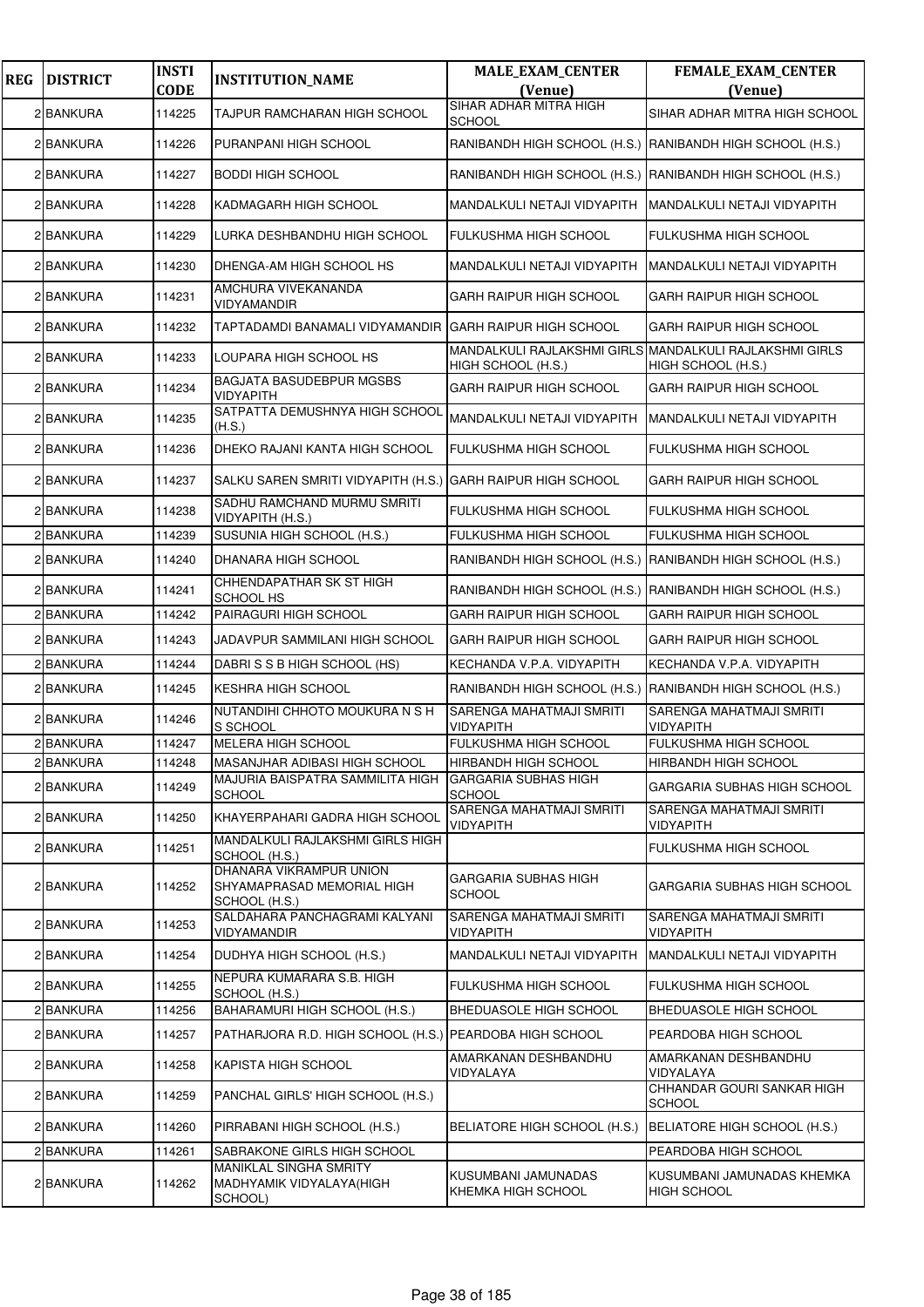| <b>REG</b> | <b>DISTRICT</b> | <b>INSTI</b><br><b>CODE</b> | <b>INSTITUTION_NAME</b>                                                | <b>MALE EXAM CENTER</b><br>(Venue)                        | FEMALE_EXAM_CENTER<br>(Venue)                                                 |
|------------|-----------------|-----------------------------|------------------------------------------------------------------------|-----------------------------------------------------------|-------------------------------------------------------------------------------|
|            | 2 BANKURA       | 114225                      | TAJPUR RAMCHARAN HIGH SCHOOL                                           | SIHAR ADHAR MITRA HIGH<br><b>SCHOOL</b>                   | SIHAR ADHAR MITRA HIGH SCHOOL                                                 |
|            | 2 BANKURA       | 114226                      | PURANPANI HIGH SCHOOL                                                  |                                                           | RANIBANDH HIGH SCHOOL (H.S.) RANIBANDH HIGH SCHOOL (H.S.)                     |
|            | 2 BANKURA       | 114227                      | <b>BODDI HIGH SCHOOL</b>                                               | RANIBANDH HIGH SCHOOL (H.S.) RANIBANDH HIGH SCHOOL (H.S.) |                                                                               |
|            | 2 BANKURA       | 114228                      | KADMAGARH HIGH SCHOOL                                                  | MANDALKULI NETAJI VIDYAPITH                               | MANDALKULI NETAJI VIDYAPITH                                                   |
|            | 2 BANKURA       | 114229                      | LURKA DESHBANDHU HIGH SCHOOL                                           | FULKUSHMA HIGH SCHOOL                                     | FULKUSHMA HIGH SCHOOL                                                         |
|            | 2 BANKURA       | 114230                      | DHENGA-AM HIGH SCHOOL HS                                               | MANDALKULI NETAJI VIDYAPITH                               | MANDALKULI NETAJI VIDYAPITH                                                   |
|            | 2 BANKURA       | 114231                      | AMCHURA VIVEKANANDA<br>VIDYAMANDIR                                     | GARH RAIPUR HIGH SCHOOL                                   | GARH RAIPUR HIGH SCHOOL                                                       |
|            | 2 BANKURA       | 114232                      | TAPTADAMDI BANAMALI VIDYAMANDIR                                        | <b>GARH RAIPUR HIGH SCHOOL</b>                            | <b>GARH RAIPUR HIGH SCHOOL</b>                                                |
|            | 2 BANKURA       | 114233                      | LOUPARA HIGH SCHOOL HS                                                 | HIGH SCHOOL (H.S.)                                        | MANDALKULI RAJLAKSHMI GIRLS MANDALKULI RAJLAKSHMI GIRLS<br>HIGH SCHOOL (H.S.) |
|            | 2 BANKURA       | 114234                      | <b>BAGJATA BASUDEBPUR MGSBS</b><br>VIDYAPITH                           | GARH RAIPUR HIGH SCHOOL                                   | GARH RAIPUR HIGH SCHOOL                                                       |
|            | 2 BANKURA       | 114235                      | SATPATTA DEMUSHNYA HIGH SCHOOL<br>(H.S.)                               | MANDALKULI NETAJI VIDYAPITH                               | MANDALKULI NETAJI VIDYAPITH                                                   |
|            | 2 BANKURA       | 114236                      | DHEKO RAJANI KANTA HIGH SCHOOL                                         | FULKUSHMA HIGH SCHOOL                                     | <b>FULKUSHMA HIGH SCHOOL</b>                                                  |
|            | 2 BANKURA       | 114237                      | SALKU SAREN SMRITI VIDYAPITH (H.S.) [GARH RAIPUR HIGH SCHOOL           |                                                           | GARH RAIPUR HIGH SCHOOL                                                       |
|            | 2 BANKURA       | 114238                      | SADHU RAMCHAND MURMU SMRITI<br>VIDYAPITH (H.S.)                        | FULKUSHMA HIGH SCHOOL                                     | <b>FULKUSHMA HIGH SCHOOL</b>                                                  |
|            | 2 BANKURA       | 114239                      | SUSUNIA HIGH SCHOOL (H.S.)                                             | FULKUSHMA HIGH SCHOOL                                     | <b>FULKUSHMA HIGH SCHOOL</b>                                                  |
|            | 2 BANKURA       | 114240                      | DHANARA HIGH SCHOOL                                                    | RANIBANDH HIGH SCHOOL (H.S.) RANIBANDH HIGH SCHOOL (H.S.) |                                                                               |
|            | 2 BANKURA       | 114241                      | CHHENDAPATHAR SK ST HIGH<br>SCHOOL HS                                  |                                                           | RANIBANDH HIGH SCHOOL (H.S.) RANIBANDH HIGH SCHOOL (H.S.)                     |
|            | 2 BANKURA       | 114242                      | PAIRAGURI HIGH SCHOOL                                                  | GARH RAIPUR HIGH SCHOOL                                   | <b>GARH RAIPUR HIGH SCHOOL</b>                                                |
|            | 2 BANKURA       | 114243                      | JADAVPUR SAMMILANI HIGH SCHOOL                                         | GARH RAIPUR HIGH SCHOOL                                   | GARH RAIPUR HIGH SCHOOL                                                       |
|            | 2 BANKURA       | 114244                      | DABRI S S B HIGH SCHOOL (HS)                                           | KECHANDA V.P.A. VIDYAPITH                                 | KECHANDA V.P.A. VIDYAPITH                                                     |
|            | 2 BANKURA       | 114245                      | <b>KESHRA HIGH SCHOOL</b>                                              | RANIBANDH HIGH SCHOOL (H.S.)                              | RANIBANDH HIGH SCHOOL (H.S.)                                                  |
|            | 2 BANKURA       | 114246                      | NUTANDIHI CHHOTO MOUKURA N S H<br>S SCHOOL                             | SARENGA MAHATMAJI SMRITI<br>VIDYAPITH                     | SARENGA MAHATMAJI SMRITI<br>VIDYAPITH                                         |
|            | 2 BANKURA       | 114247                      | <b>MELERA HIGH SCHOOL</b>                                              | FULKUSHMA HIGH SCHOOL                                     | <b>FULKUSHMA HIGH SCHOOL</b>                                                  |
|            | 2 BANKURA       | 114248                      | <b>MASANJHAR ADIBASI HIGH SCHOOL</b>                                   | HIRBANDH HIGH SCHOOL                                      | <b>HIRBANDH HIGH SCHOOL</b>                                                   |
|            | 2 BANKURA       | 114249                      | MAJURIA BAISPATRA SAMMILITA HIGH<br><b>SCHOOL</b>                      | <b>GARGARIA SUBHAS HIGH</b><br>SCHOOL                     | GARGARIA SUBHAS HIGH SCHOOL                                                   |
|            | 2 BANKURA       | 114250                      | KHAYERPAHARI GADRA HIGH SCHOOL                                         | SARENGA MAHATMAJI SMRITI<br>VIDYAPITH                     | SARENGA MAHATMAJI SMRITI<br><b>VIDYAPITH</b>                                  |
|            | 2 BANKURA       | 114251                      | MANDALKULI RAJLAKSHMI GIRLS HIGH<br>SCHOOL (H.S.)                      |                                                           | FULKUSHMA HIGH SCHOOL                                                         |
|            | 2 BANKURA       | 114252                      | DHANARA VIKRAMPUR UNION<br>SHYAMAPRASAD MEMORIAL HIGH<br>SCHOOL (H.S.) | GARGARIA SUBHAS HIGH<br>SCHOOL                            | GARGARIA SUBHAS HIGH SCHOOL                                                   |
|            | 2 BANKURA       | 114253                      | SALDAHARA PANCHAGRAMI KALYANI<br>VIDYAMANDIR                           | SARENGA MAHATMAJI SMRITI<br>VIDYAPITH                     | SARENGA MAHATMAJI SMRITI<br>VIDYAPITH                                         |
|            | 2 BANKURA       | 114254                      | DUDHYA HIGH SCHOOL (H.S.)                                              | MANDALKULI NETAJI VIDYAPITH                               | MANDALKULI NETAJI VIDYAPITH                                                   |
|            | 2 BANKURA       | 114255                      | NEPURA KUMARARA S.B. HIGH<br>SCHOOL (H.S.)                             | FULKUSHMA HIGH SCHOOL                                     | <b>FULKUSHMA HIGH SCHOOL</b>                                                  |
|            | 2 BANKURA       | 114256                      | BAHARAMURI HIGH SCHOOL (H.S.)                                          | BHEDUASOLE HIGH SCHOOL                                    | BHEDUASOLE HIGH SCHOOL                                                        |
|            | 2 BANKURA       | 114257                      | PATHARJORA R.D. HIGH SCHOOL (H.S.) PEARDOBA HIGH SCHOOL                |                                                           | PEARDOBA HIGH SCHOOL                                                          |
|            | 2 BANKURA       | 114258                      | KAPISTA HIGH SCHOOL                                                    | AMARKANAN DESHBANDHU<br>VIDYALAYA                         | AMARKANAN DESHBANDHU<br>VIDYALAYA                                             |
|            | 2 BANKURA       | 114259                      | PANCHAL GIRLS' HIGH SCHOOL (H.S.)                                      |                                                           | CHHANDAR GOURI SANKAR HIGH<br>SCHOOL                                          |
|            | 2 BANKURA       | 114260                      | PIRRABANI HIGH SCHOOL (H.S.)                                           | BELIATORE HIGH SCHOOL (H.S.)                              | BELIATORE HIGH SCHOOL (H.S.)                                                  |
|            | 2 BANKURA       | 114261                      | SABRAKONE GIRLS HIGH SCHOOL                                            |                                                           | PEARDOBA HIGH SCHOOL                                                          |
|            | 2 BANKURA       | 114262                      | MANIKLAL SINGHA SMRITY<br>MADHYAMIK VIDYALAYA(HIGH<br>SCHOOL)          | KUSUMBANI JAMUNADAS<br>KHEMKA HIGH SCHOOL                 | KUSUMBANI JAMUNADAS KHEMKA<br><b>HIGH SCHOOL</b>                              |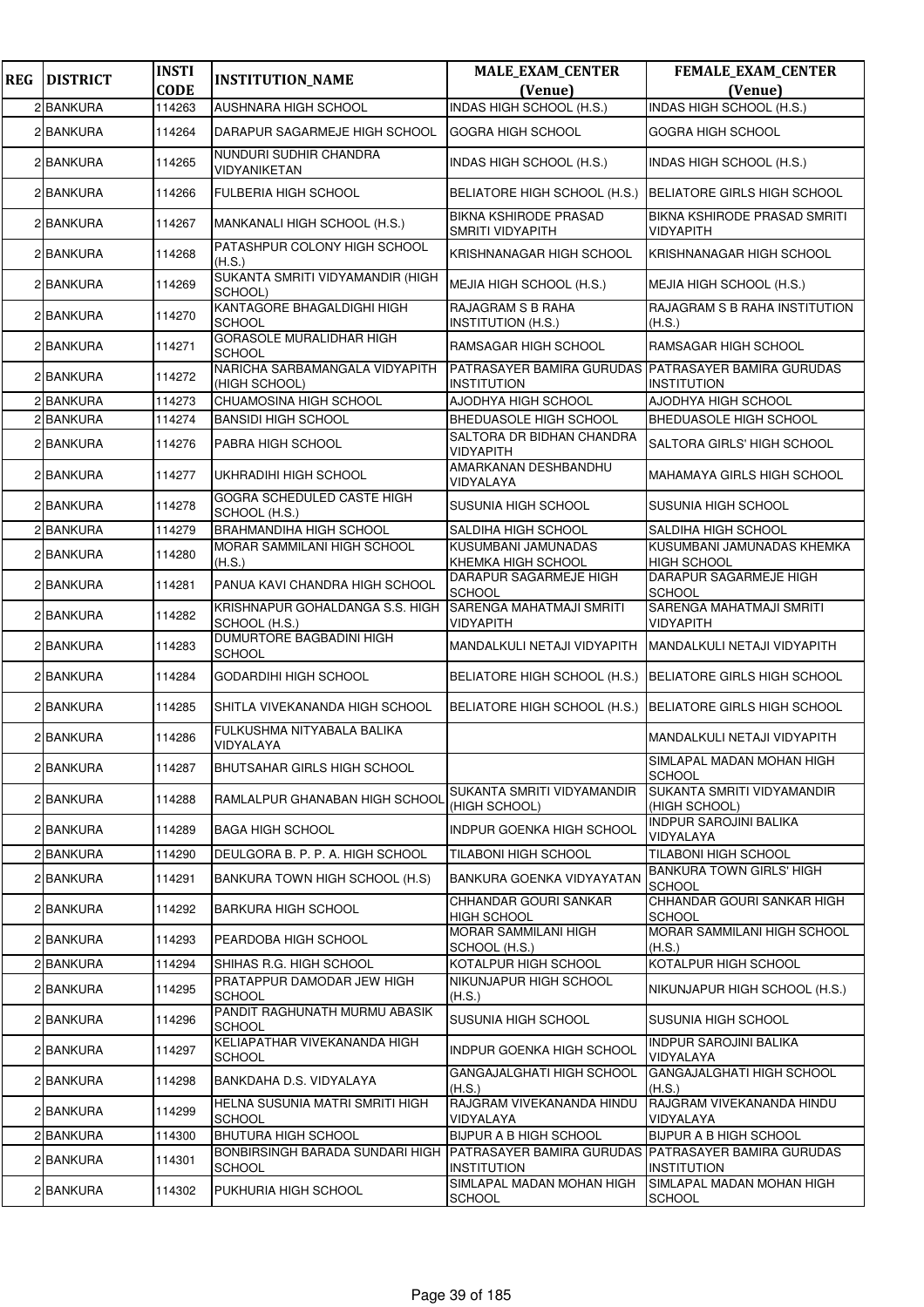| <b>REG</b> | <b>DISTRICT</b> | <b>INSTI</b>          | <b>INSTITUTION_NAME</b>                          | <b>MALE_EXAM_CENTER</b>                                                   | FEMALE_EXAM_CENTER                               |
|------------|-----------------|-----------------------|--------------------------------------------------|---------------------------------------------------------------------------|--------------------------------------------------|
|            | 2 BANKURA       | <b>CODE</b><br>114263 | AUSHNARA HIGH SCHOOL                             | (Venue)<br>INDAS HIGH SCHOOL (H.S.)                                       | (Venue)<br>INDAS HIGH SCHOOL (H.S.)              |
|            | 2 BANKURA       |                       | DARAPUR SAGARMEJE HIGH SCHOOL                    |                                                                           |                                                  |
|            |                 | 114264                | NUNDURI SUDHIR CHANDRA                           | <b>GOGRA HIGH SCHOOL</b>                                                  | GOGRA HIGH SCHOOL                                |
|            | 2 BANKURA       | 114265                | VIDYANIKETAN                                     | INDAS HIGH SCHOOL (H.S.)                                                  | INDAS HIGH SCHOOL (H.S.)                         |
|            | 2 BANKURA       | 114266                | <b>FULBERIA HIGH SCHOOL</b>                      | BELIATORE HIGH SCHOOL (H.S.)                                              | BELIATORE GIRLS HIGH SCHOOL                      |
|            | 2 BANKURA       | 114267                | MANKANALI HIGH SCHOOL (H.S.)                     | <b>BIKNA KSHIRODE PRASAD</b><br><b>SMRITI VIDYAPITH</b>                   | BIKNA KSHIRODE PRASAD SMRITI<br>VIDYAPITH        |
|            | 2 BANKURA       | 114268                | PATASHPUR COLONY HIGH SCHOOL<br>(H.S.)           | KRISHNANAGAR HIGH SCHOOL                                                  | KRISHNANAGAR HIGH SCHOOL                         |
|            | 2 BANKURA       | 114269                | SUKANTA SMRITI VIDYAMANDIR (HIGH<br>SCHOOL)      | MEJIA HIGH SCHOOL (H.S.)                                                  | MEJIA HIGH SCHOOL (H.S.)                         |
|            | 2 BANKURA       | 114270                | KANTAGORE BHAGALDIGHI HIGH<br><b>SCHOOL</b>      | <b>RAJAGRAM S B RAHA</b><br><b>INSTITUTION (H.S.)</b>                     | RAJAGRAM S B RAHA INSTITUTION<br>(H.S.)          |
|            | 2 BANKURA       | 114271                | <b>GORASOLE MURALIDHAR HIGH</b><br><b>SCHOOL</b> | RAMSAGAR HIGH SCHOOL                                                      | RAMSAGAR HIGH SCHOOL                             |
|            | 2 BANKURA       | 114272                | NARICHA SARBAMANGALA VIDYAPITH<br>(HIGH SCHOOL)  | PATRASAYER BAMIRA GURUDAS PATRASAYER BAMIRA GURUDAS<br><b>INSTITUTION</b> | <b>INSTITUTION</b>                               |
|            | 2 BANKURA       | 114273                | CHUAMOSINA HIGH SCHOOL                           | AJODHYA HIGH SCHOOL                                                       | AJODHYA HIGH SCHOOL                              |
|            | 2 BANKURA       | 114274                | <b>BANSIDI HIGH SCHOOL</b>                       | <b>BHEDUASOLE HIGH SCHOOL</b>                                             | <b>BHEDUASOLE HIGH SCHOOL</b>                    |
|            | 2 BANKURA       | 114276                | PABRA HIGH SCHOOL                                | SALTORA DR BIDHAN CHANDRA<br>VIDYAPITH                                    | SALTORA GIRLS' HIGH SCHOOL                       |
|            | 2 BANKURA       | 114277                | UKHRADIHI HIGH SCHOOL                            | AMARKANAN DESHBANDHU<br>VIDYALAYA                                         | <b>MAHAMAYA GIRLS HIGH SCHOOL</b>                |
|            | 2 BANKURA       | 114278                | GOGRA SCHEDULED CASTE HIGH<br>SCHOOL (H.S.)      | <b>SUSUNIA HIGH SCHOOL</b>                                                | SUSUNIA HIGH SCHOOL                              |
|            | 2 BANKURA       | 114279                | <b>BRAHMANDIHA HIGH SCHOOL</b>                   | SALDIHA HIGH SCHOOL                                                       | SALDIHA HIGH SCHOOL                              |
|            | 2 BANKURA       | 114280                | MORAR SAMMILANI HIGH SCHOOL<br>(H.S.)            | KUSUMBANI JAMUNADAS<br>KHEMKA HIGH SCHOOL                                 | KUSUMBANI JAMUNADAS KHEMKA<br><b>HIGH SCHOOL</b> |
|            | 2 BANKURA       | 114281                | PANUA KAVI CHANDRA HIGH SCHOOL                   | DARAPUR SAGARMEJE HIGH<br><b>SCHOOL</b>                                   | DARAPUR SAGARMEJE HIGH<br><b>SCHOOL</b>          |
|            | 2 BANKURA       | 114282                | KRISHNAPUR GOHALDANGA S.S. HIGH<br>SCHOOL (H.S.) | SARENGA MAHATMAJI SMRITI<br><b>VIDYAPITH</b>                              | SARENGA MAHATMAJI SMRITI<br><b>VIDYAPITH</b>     |
|            | 2 BANKURA       | 114283                | DUMURTORE BAGBADINI HIGH<br><b>SCHOOL</b>        | MANDALKULI NETAJI VIDYAPITH                                               | MANDALKULI NETAJI VIDYAPITH                      |
|            | 2 BANKURA       | 114284                | GODARDIHI HIGH SCHOOL                            | BELIATORE HIGH SCHOOL (H.S.)                                              | BELIATORE GIRLS HIGH SCHOOL                      |
|            | 2 BANKURA       | 114285                | SHITLA VIVEKANANDA HIGH SCHOOL                   | BELIATORE HIGH SCHOOL (H.S.)                                              | <b>BELIATORE GIRLS HIGH SCHOOL</b>               |
|            | 2 BANKURA       | 114286                | FULKUSHMA NITYABALA BALIKA<br>VIDYALAYA          |                                                                           | MANDALKULI NETAJI VIDYAPITH                      |
|            | 2 BANKURA       | 114287                | <b>BHUTSAHAR GIRLS HIGH SCHOOL</b>               |                                                                           | SIMLAPAL MADAN MOHAN HIGH<br><b>SCHOOL</b>       |
|            | 2 BANKURA       | 114288                | RAMLALPUR GHANABAN HIGH SCHOOL                   | SUKANTA SMRITI VIDYAMANDIR<br>(HIGH SCHOOL)                               | SUKANTA SMRITI VIDYAMANDIR<br>(HIGH SCHOOL)      |
|            | 2 BANKURA       | 114289                | <b>BAGA HIGH SCHOOL</b>                          | <b>INDPUR GOENKA HIGH SCHOOL</b>                                          | <b>INDPUR SAROJINI BALIKA</b><br>VIDYALAYA       |
|            | 2 BANKURA       | 114290                | DEULGORA B. P. P. A. HIGH SCHOOL                 | TILABONI HIGH SCHOOL                                                      | TILABONI HIGH SCHOOL                             |
|            | 2 BANKURA       | 114291                | BANKURA TOWN HIGH SCHOOL (H.S)                   | <b>BANKURA GOENKA VIDYAYATAN</b>                                          | <b>BANKURA TOWN GIRLS' HIGH</b><br><b>SCHOOL</b> |
|            | 2 BANKURA       | 114292                | <b>BARKURA HIGH SCHOOL</b>                       | CHHANDAR GOURI SANKAR<br><b>HIGH SCHOOL</b>                               | CHHANDAR GOURI SANKAR HIGH<br><b>SCHOOL</b>      |
|            | 2 BANKURA       | 114293                | PEARDOBA HIGH SCHOOL                             | <b>MORAR SAMMILANI HIGH</b><br>SCHOOL (H.S.)                              | MORAR SAMMILANI HIGH SCHOOL<br>(H.S.)            |
|            | 2 BANKURA       | 114294                | SHIHAS R.G. HIGH SCHOOL                          | KOTALPUR HIGH SCHOOL                                                      | KOTALPUR HIGH SCHOOL                             |
|            | 2 BANKURA       | 114295                | PRATAPPUR DAMODAR JEW HIGH<br><b>SCHOOL</b>      | NIKUNJAPUR HIGH SCHOOL<br>(H.S.)                                          | NIKUNJAPUR HIGH SCHOOL (H.S.)                    |
|            | 2 BANKURA       | 114296                | PANDIT RAGHUNATH MURMU ABASIK<br><b>SCHOOL</b>   | <b>SUSUNIA HIGH SCHOOL</b>                                                | SUSUNIA HIGH SCHOOL                              |
|            | 2 BANKURA       | 114297                | KELIAPATHAR VIVEKANANDA HIGH<br><b>SCHOOL</b>    | <b>INDPUR GOENKA HIGH SCHOOL</b>                                          | <b>INDPUR SAROJINI BALIKA</b><br>VIDYALAYA       |
|            | 2 BANKURA       | 114298                | BANKDAHA D.S. VIDYALAYA                          | GANGAJALGHATI HIGH SCHOOL<br>(H.S.)                                       | GANGAJALGHATI HIGH SCHOOL<br>(H.S.)              |
|            | 2 BANKURA       | 114299                | HELNA SUSUNIA MATRI SMRITI HIGH<br><b>SCHOOL</b> | RAJGRAM VIVEKANANDA HINDU<br>VIDYALAYA                                    | RAJGRAM VIVEKANANDA HINDU<br>VIDYALAYA           |
|            | 2 BANKURA       | 114300                | <b>BHUTURA HIGH SCHOOL</b>                       | <b>BIJPUR A B HIGH SCHOOL</b>                                             | <b>BIJPUR A B HIGH SCHOOL</b>                    |
|            | 2 BANKURA       | 114301                | BONBIRSINGH BARADA SUNDARI HIGH<br><b>SCHOOL</b> | PATRASAYER BAMIRA GURUDAS PATRASAYER BAMIRA GURUDAS<br><b>INSTITUTION</b> | <b>INSTITUTION</b>                               |
|            | 2 BANKURA       | 114302                | PUKHURIA HIGH SCHOOL                             | SIMLAPAL MADAN MOHAN HIGH                                                 | SIMLAPAL MADAN MOHAN HIGH                        |
|            |                 |                       |                                                  | <b>SCHOOL</b>                                                             | <b>SCHOOL</b>                                    |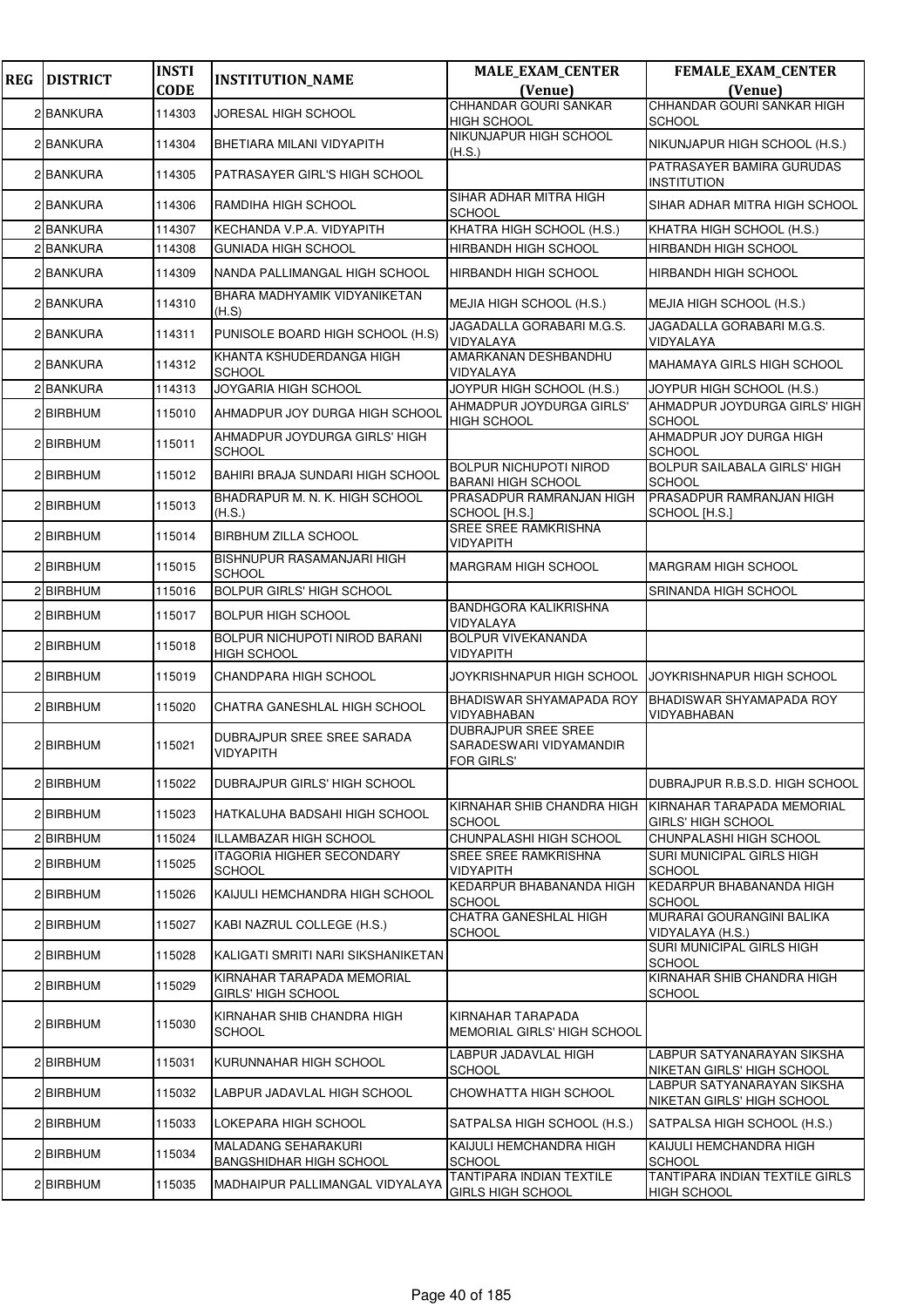| <b>REG</b> | <b>DISTRICT</b> | <b>INSTI</b> | <b>INSTITUTION_NAME</b>                                      | <b>MALE_EXAM_CENTER</b>                                            | <b>FEMALE_EXAM_CENTER</b>                                |
|------------|-----------------|--------------|--------------------------------------------------------------|--------------------------------------------------------------------|----------------------------------------------------------|
|            |                 | <b>CODE</b>  |                                                              | (Venue)<br>CHHANDAR GOURI SANKAR                                   | (Venue)<br>CHHANDAR GOURI SANKAR HIGH                    |
|            | 2 BANKURA       | 114303       | JORESAL HIGH SCHOOL                                          | <b>HIGH SCHOOL</b>                                                 | <b>SCHOOL</b>                                            |
|            | 2 BANKURA       | 114304       | BHETIARA MILANI VIDYAPITH                                    | NIKUNJAPUR HIGH SCHOOL<br>(H.S.)                                   | NIKUNJAPUR HIGH SCHOOL (H.S.)                            |
|            | 2 BANKURA       | 114305       | PATRASAYER GIRL'S HIGH SCHOOL                                |                                                                    | PATRASAYER BAMIRA GURUDAS<br><b>INSTITUTION</b>          |
|            | 2 BANKURA       | 114306       | RAMDIHA HIGH SCHOOL                                          | SIHAR ADHAR MITRA HIGH<br><b>SCHOOL</b>                            | SIHAR ADHAR MITRA HIGH SCHOOL                            |
|            | 2 BANKURA       | 114307       | KECHANDA V.P.A. VIDYAPITH                                    | KHATRA HIGH SCHOOL (H.S.)                                          | KHATRA HIGH SCHOOL (H.S.)                                |
|            | 2 BANKURA       | 114308       | <b>GUNIADA HIGH SCHOOL</b>                                   | <b>HIRBANDH HIGH SCHOOL</b>                                        | <b>HIRBANDH HIGH SCHOOL</b>                              |
|            | 2 BANKURA       | 114309       | NANDA PALLIMANGAL HIGH SCHOOL                                | HIRBANDH HIGH SCHOOL                                               | <b>HIRBANDH HIGH SCHOOL</b>                              |
|            | 2 BANKURA       | 114310       | BHARA MADHYAMIK VIDYANIKETAN<br>(H.S)                        | MEJIA HIGH SCHOOL (H.S.)                                           | MEJIA HIGH SCHOOL (H.S.)                                 |
|            | 2 BANKURA       | 114311       | PUNISOLE BOARD HIGH SCHOOL (H.S)                             | JAGADALLA GORABARI M.G.S.<br>VIDYALAYA                             | JAGADALLA GORABARI M.G.S.<br>VIDYALAYA                   |
|            | 2 BANKURA       | 114312       | KHANTA KSHUDERDANGA HIGH<br><b>SCHOOL</b>                    | AMARKANAN DESHBANDHU<br>VIDYALAYA                                  | MAHAMAYA GIRLS HIGH SCHOOL                               |
|            | 2 BANKURA       | 114313       | JOYGARIA HIGH SCHOOL                                         | JOYPUR HIGH SCHOOL (H.S.)                                          | JOYPUR HIGH SCHOOL (H.S.)                                |
|            | 2 BIRBHUM       | 115010       | AHMADPUR JOY DURGA HIGH SCHOOL                               | AHMADPUR JOYDURGA GIRLS'<br><b>HIGH SCHOOL</b>                     | AHMADPUR JOYDURGA GIRLS' HIGH<br><b>SCHOOL</b>           |
|            | 2 BIRBHUM       | 115011       | AHMADPUR JOYDURGA GIRLS' HIGH<br><b>SCHOOL</b>               |                                                                    | AHMADPUR JOY DURGA HIGH<br><b>SCHOOL</b>                 |
|            | 2 BIRBHUM       | 115012       | BAHIRI BRAJA SUNDARI HIGH SCHOOL                             | <b>BOLPUR NICHUPOTI NIROD</b><br><b>BARANI HIGH SCHOOL</b>         | BOLPUR SAILABALA GIRLS' HIGH<br><b>SCHOOL</b>            |
|            | 2 BIRBHUM       | 115013       | BHADRAPUR M. N. K. HIGH SCHOOL<br>(H.S.)                     | PRASADPUR RAMRANJAN HIGH<br>SCHOOL [H.S.]                          | PRASADPUR RAMRANJAN HIGH<br>SCHOOL [H.S.]                |
|            | 2 BIRBHUM       | 115014       | <b>BIRBHUM ZILLA SCHOOL</b>                                  | SREE SREE RAMKRISHNA<br>VIDYAPITH                                  |                                                          |
|            | 2 BIRBHUM       | 115015       | BISHNUPUR RASAMANJARI HIGH<br><b>SCHOOL</b>                  | <b>MARGRAM HIGH SCHOOL</b>                                         | <b>MARGRAM HIGH SCHOOL</b>                               |
|            | 2 BIRBHUM       | 115016       | <b>BOLPUR GIRLS' HIGH SCHOOL</b>                             |                                                                    | SRINANDA HIGH SCHOOL                                     |
|            | 2 BIRBHUM       | 115017       | <b>BOLPUR HIGH SCHOOL</b>                                    | <b>BANDHGORA KALIKRISHNA</b><br>VIDYALAYA                          |                                                          |
|            | 2 BIRBHUM       | 115018       | BOLPUR NICHUPOTI NIROD BARANI<br><b>HIGH SCHOOL</b>          | <b>BOLPUR VIVEKANANDA</b><br><b>VIDYAPITH</b>                      |                                                          |
|            | 2 BIRBHUM       | 115019       | CHANDPARA HIGH SCHOOL                                        | JOYKRISHNAPUR HIGH SCHOOL                                          | JOYKRISHNAPUR HIGH SCHOOL                                |
|            | 2 BIRBHUM       | 115020       | CHATRA GANESHLAL HIGH SCHOOL                                 | BHADISWAR SHYAMAPADA ROY<br>VIDYABHABAN                            | BHADISWAR SHYAMAPADA ROY<br>VIDYABHABAN                  |
|            | 2 BIRBHUM       | 115021       | DUBRAJPUR SREE SREE SARADA<br><b>VIDYAPITH</b>               | <b>DUBRAJPUR SREE SREE</b><br>SARADESWARI VIDYAMANDIR<br>FOR GIRLS |                                                          |
|            | 2 BIRBHUM       | 115022       | DUBRAJPUR GIRLS' HIGH SCHOOL                                 |                                                                    | DUBRAJPUR R.B.S.D. HIGH SCHOOL                           |
|            | 2 BIRBHUM       | 115023       | HATKALUHA BADSAHI HIGH SCHOOL                                | KIRNAHAR SHIB CHANDRA HIGH<br><b>SCHOOL</b>                        | KIRNAHAR TARAPADA MEMORIAL<br>GIRLS' HIGH SCHOOL         |
|            | 2 BIRBHUM       | 115024       | <b>ILLAMBAZAR HIGH SCHOOL</b>                                | CHUNPALASHI HIGH SCHOOL                                            | CHUNPALASHI HIGH SCHOOL                                  |
|            | 2 BIRBHUM       | 115025       | <b>ITAGORIA HIGHER SECONDARY</b><br><b>SCHOOL</b>            | SREE SREE RAMKRISHNA<br>VIDYAPITH                                  | SURI MUNICIPAL GIRLS HIGH<br><b>SCHOOL</b>               |
|            | 2 BIRBHUM       | 115026       | KAIJULI HEMCHANDRA HIGH SCHOOL                               | KEDARPUR BHABANANDA HIGH<br><b>SCHOOL</b>                          | KEDARPUR BHABANANDA HIGH<br><b>SCHOOL</b>                |
|            | 2 BIRBHUM       | 115027       | KABI NAZRUL COLLEGE (H.S.)                                   | CHATRA GANESHLAL HIGH<br><b>SCHOOL</b>                             | MURARAI GOURANGINI BALIKA<br>VIDYALAYA (H.S.)            |
|            | 2 BIRBHUM       | 115028       | KALIGATI SMRITI NARI SIKSHANIKETAN                           |                                                                    | SURI MUNICIPAL GIRLS HIGH<br><b>SCHOOL</b>               |
|            | 2 BIRBHUM       | 115029       | KIRNAHAR TARAPADA MEMORIAL<br>GIRLS' HIGH SCHOOL             |                                                                    | KIRNAHAR SHIB CHANDRA HIGH<br><b>SCHOOL</b>              |
|            | 2 BIRBHUM       | 115030       | KIRNAHAR SHIB CHANDRA HIGH<br><b>SCHOOL</b>                  | KIRNAHAR TARAPADA<br>MEMORIAL GIRLS' HIGH SCHOOL                   |                                                          |
|            | 2 BIRBHUM       | 115031       | KURUNNAHAR HIGH SCHOOL                                       | LABPUR JADAVLAL HIGH<br>SCHOOL                                     | LABPUR SATYANARAYAN SIKSHA<br>NIKETAN GIRLS' HIGH SCHOOL |
|            | 2 BIRBHUM       | 115032       | LABPUR JADAVLAL HIGH SCHOOL                                  | CHOWHATTA HIGH SCHOOL                                              | LABPUR SATYANARAYAN SIKSHA<br>NIKETAN GIRLS' HIGH SCHOOL |
|            | 2 BIRBHUM       | 115033       | LOKEPARA HIGH SCHOOL                                         | SATPALSA HIGH SCHOOL (H.S.)                                        | SATPALSA HIGH SCHOOL (H.S.)                              |
|            | 2 BIRBHUM       | 115034       | <b>MALADANG SEHARAKURI</b><br><b>BANGSHIDHAR HIGH SCHOOL</b> | KAIJULI HEMCHANDRA HIGH<br><b>SCHOOL</b>                           | KAIJULI HEMCHANDRA HIGH<br><b>SCHOOL</b>                 |
|            | 2 BIRBHUM       | 115035       | MADHAIPUR PALLIMANGAL VIDYALAYA                              | TANTIPARA INDIAN TEXTILE<br><b>GIRLS HIGH SCHOOL</b>               | TANTIPARA INDIAN TEXTILE GIRLS<br>HIGH SCHOOL            |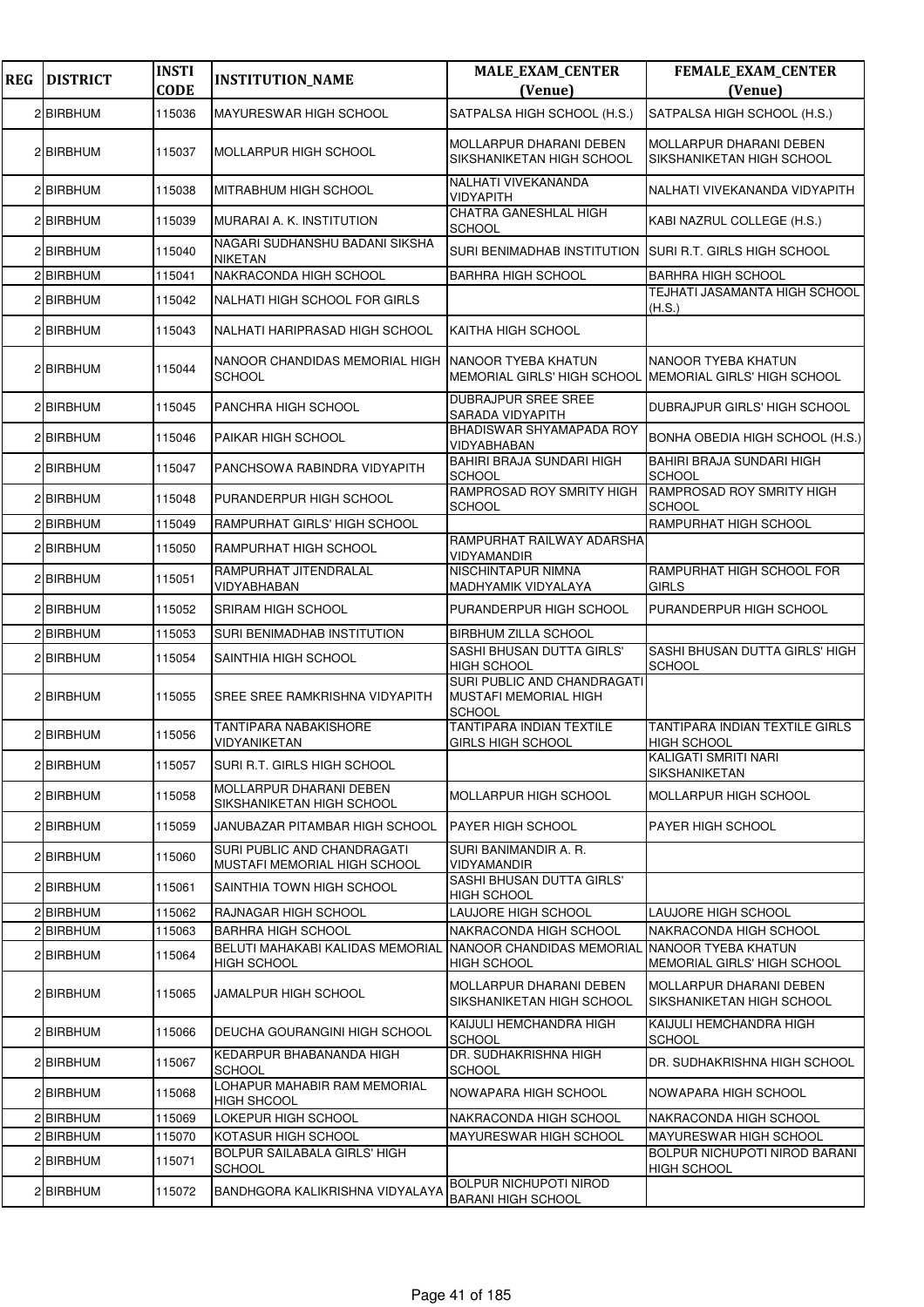| <b>REG</b> | <b>DISTRICT</b>  | <b>INSTI</b><br><b>CODE</b> | <b>INSTITUTION_NAME</b>                                       | <b>MALE_EXAM_CENTER</b><br>(Venue)                                             | FEMALE_EXAM_CENTER<br>(Venue)                               |
|------------|------------------|-----------------------------|---------------------------------------------------------------|--------------------------------------------------------------------------------|-------------------------------------------------------------|
|            | 2 BIRBHUM        | 115036                      | MAYURESWAR HIGH SCHOOL                                        | SATPALSA HIGH SCHOOL (H.S.)                                                    | SATPALSA HIGH SCHOOL (H.S.)                                 |
|            | 2 BIRBHUM        | 115037                      | MOLLARPUR HIGH SCHOOL                                         | <b>MOLLARPUR DHARANI DEBEN</b><br>SIKSHANIKETAN HIGH SCHOOL                    | MOLLARPUR DHARANI DEBEN<br>SIKSHANIKETAN HIGH SCHOOL        |
|            | 2 BIRBHUM        | 115038                      | MITRABHUM HIGH SCHOOL                                         | NALHATI VIVEKANANDA<br>VIDYAPITH                                               | NALHATI VIVEKANANDA VIDYAPITH                               |
|            | 2 BIRBHUM        | 115039                      | MURARAI A. K. INSTITUTION                                     | CHATRA GANESHLAL HIGH<br>SCHOOL                                                | KABI NAZRUL COLLEGE (H.S.)                                  |
|            | 2 BIRBHUM        | 115040                      | NAGARI SUDHANSHU BADANI SIKSHA<br><b>NIKETAN</b>              | <b>SURI BENIMADHAB INSTITUTION</b>                                             | ISURI R.T. GIRLS HIGH SCHOOL                                |
|            | 2 BIRBHUM        | 115041                      | NAKRACONDA HIGH SCHOOL                                        | <b>BARHRA HIGH SCHOOL</b>                                                      | <b>BARHRA HIGH SCHOOL</b>                                   |
|            | 2 BIRBHUM        | 115042                      | NALHATI HIGH SCHOOL FOR GIRLS                                 |                                                                                | TEJHATI JASAMANTA HIGH SCHOOL<br>(H.S.)                     |
|            | 2 BIRBHUM        | 115043                      | NALHATI HARIPRASAD HIGH SCHOOL                                | KAITHA HIGH SCHOOL                                                             |                                                             |
|            | 2 BIRBHUM        | 115044                      | NANOOR CHANDIDAS MEMORIAL HIGH<br><b>SCHOOL</b>               | NANOOR TYEBA KHATUN<br>MEMORIAL GIRLS' HIGH SCHOOL MEMORIAL GIRLS' HIGH SCHOOL | NANOOR TYEBA KHATUN                                         |
|            | 2 BIRBHUM        | 115045                      | PANCHRA HIGH SCHOOL                                           | <b>DUBRAJPUR SREE SREE</b><br>SARADA VIDYAPITH                                 | <b>DUBRAJPUR GIRLS' HIGH SCHOOL</b>                         |
|            | 2 BIRBHUM        | 115046                      | PAIKAR HIGH SCHOOL                                            | BHADISWAR SHYAMAPADA ROY<br>VIDYABHABAN                                        | BONHA OBEDIA HIGH SCHOOL (H.S.)                             |
|            | 2 BIRBHUM        | 115047                      | PANCHSOWA RABINDRA VIDYAPITH                                  | BAHIRI BRAJA SUNDARI HIGH<br><b>SCHOOL</b>                                     | <b>BAHIRI BRAJA SUNDARI HIGH</b><br>SCHOOL                  |
|            | 2 BIRBHUM        | 115048                      | PURANDERPUR HIGH SCHOOL                                       | RAMPROSAD ROY SMRITY HIGH<br><b>SCHOOL</b>                                     | RAMPROSAD ROY SMRITY HIGH<br><b>SCHOOL</b>                  |
|            | 2 BIRBHUM        | 115049                      | RAMPURHAT GIRLS' HIGH SCHOOL                                  |                                                                                | RAMPURHAT HIGH SCHOOL                                       |
|            | 2 BIRBHUM        | 115050                      | RAMPURHAT HIGH SCHOOL                                         | RAMPURHAT RAILWAY ADARSHA<br>VIDYAMANDIR                                       |                                                             |
|            | 2 BIRBHUM        | 115051                      | RAMPURHAT JITENDRALAL<br><b>VIDYABHABAN</b>                   | NISCHINTAPUR NIMNA<br><b>MADHYAMIK VIDYALAYA</b>                               | RAMPURHAT HIGH SCHOOL FOR<br><b>GIRLS</b>                   |
|            | 2 BIRBHUM        | 115052                      | <b>SRIRAM HIGH SCHOOL</b>                                     | PURANDERPUR HIGH SCHOOL                                                        | PURANDERPUR HIGH SCHOOL                                     |
|            | 2 BIRBHUM        | 115053                      | SURI BENIMADHAB INSTITUTION                                   | <b>BIRBHUM ZILLA SCHOOL</b>                                                    |                                                             |
|            | 2 BIRBHUM        | 115054                      | SAINTHIA HIGH SCHOOL                                          | SASHI BHUSAN DUTTA GIRLS'<br><b>HIGH SCHOOL</b>                                | SASHI BHUSAN DUTTA GIRLS' HIGH<br><b>SCHOOL</b>             |
|            | 2 BIRBHUM        | 115055                      | SREE SREE RAMKRISHNA VIDYAPITH                                | SURI PUBLIC AND CHANDRAGATI<br><b>MUSTAFI MEMORIAL HIGH</b><br><b>SCHOOL</b>   |                                                             |
|            | 2 BIRBHUM        | 115056                      | TANTIPARA NABAKISHORE<br>VIDYANIKETAN                         | TANTIPARA INDIAN TEXTILE<br><b>GIRLS HIGH SCHOOL</b>                           | <b>TANTIPARA INDIAN TEXTILE GIRLS</b><br><b>HIGH SCHOOL</b> |
|            | 2 <b>BIRBHUM</b> | 115057                      | SURI R.T. GIRLS HIGH SCHOOL                                   |                                                                                | <b>KALIGATI SMRITI NARI</b><br><b>SIKSHANIKETAN</b>         |
|            | 2 BIRBHUM        | 115058                      | MOLLARPUR DHARANI DEBEN<br>SIKSHANIKETAN HIGH SCHOOL          | MOLLARPUR HIGH SCHOOL                                                          | <b>MOLLARPUR HIGH SCHOOL</b>                                |
|            | 2 BIRBHUM        | 115059                      | JANUBAZAR PITAMBAR HIGH SCHOOL                                | <b>PAYER HIGH SCHOOL</b>                                                       | <b>PAYER HIGH SCHOOL</b>                                    |
|            | 2 BIRBHUM        | 115060                      | SURI PUBLIC AND CHANDRAGATI<br>MUSTAFI MEMORIAL HIGH SCHOOL   | SURI BANIMANDIR A. R.<br><b>VIDYAMANDIR</b>                                    |                                                             |
|            | 2 BIRBHUM        | 115061                      | SAINTHIA TOWN HIGH SCHOOL                                     | SASHI BHUSAN DUTTA GIRLS'<br><b>HIGH SCHOOL</b>                                |                                                             |
|            | 2 BIRBHUM        | 115062                      | RAJNAGAR HIGH SCHOOL                                          | LAUJORE HIGH SCHOOL                                                            | <b>LAUJORE HIGH SCHOOL</b>                                  |
|            | 2 BIRBHUM        | 115063                      | <b>BARHRA HIGH SCHOOL</b>                                     | NAKRACONDA HIGH SCHOOL                                                         | NAKRACONDA HIGH SCHOOL                                      |
|            | 2 BIRBHUM        | 115064                      | <b>BELUTI MAHAKABI KALIDAS MEMORIAL</b><br><b>HIGH SCHOOL</b> | NANOOR CHANDIDAS MEMORIAL<br><b>HIGH SCHOOL</b>                                | NANOOR TYEBA KHATUN<br>MEMORIAL GIRLS' HIGH SCHOOL          |
|            | 2 BIRBHUM        | 115065                      | JAMALPUR HIGH SCHOOL                                          | <b>MOLLARPUR DHARANI DEBEN</b><br>SIKSHANIKETAN HIGH SCHOOL                    | <b>MOLLARPUR DHARANI DEBEN</b><br>SIKSHANIKETAN HIGH SCHOOL |
|            | 2 BIRBHUM        | 115066                      | DEUCHA GOURANGINI HIGH SCHOOL                                 | KAIJULI HEMCHANDRA HIGH<br><b>SCHOOL</b>                                       | KAIJULI HEMCHANDRA HIGH<br><b>SCHOOL</b>                    |
|            | 2 BIRBHUM        | 115067                      | KEDARPUR BHABANANDA HIGH<br><b>SCHOOL</b>                     | DR. SUDHAKRISHNA HIGH<br><b>SCHOOL</b>                                         | DR. SUDHAKRISHNA HIGH SCHOOL                                |
|            | 2 BIRBHUM        | 115068                      | LOHAPUR MAHABIR RAM MEMORIAL<br><b>HIGH SHCOOL</b>            | NOWAPARA HIGH SCHOOL                                                           | NOWAPARA HIGH SCHOOL                                        |
|            | 2 BIRBHUM        | 115069                      | LOKEPUR HIGH SCHOOL                                           | <b>NAKRACONDA HIGH SCHOOL</b>                                                  | NAKRACONDA HIGH SCHOOL                                      |
|            | 2 BIRBHUM        | 115070                      | KOTASUR HIGH SCHOOL                                           | <b>MAYURESWAR HIGH SCHOOL</b>                                                  | MAYURESWAR HIGH SCHOOL                                      |
|            | 2 BIRBHUM        | 115071                      | BOLPUR SAILABALA GIRLS' HIGH<br><b>SCHOOL</b>                 |                                                                                | BOLPUR NICHUPOTI NIROD BARANI<br><b>HIGH SCHOOL</b>         |
|            | 2 BIRBHUM        | 115072                      | BANDHGORA KALIKRISHNA VIDYALAYA                               | <b>BOLPUR NICHUPOTI NIROD</b><br><b>BARANI HIGH SCHOOL</b>                     |                                                             |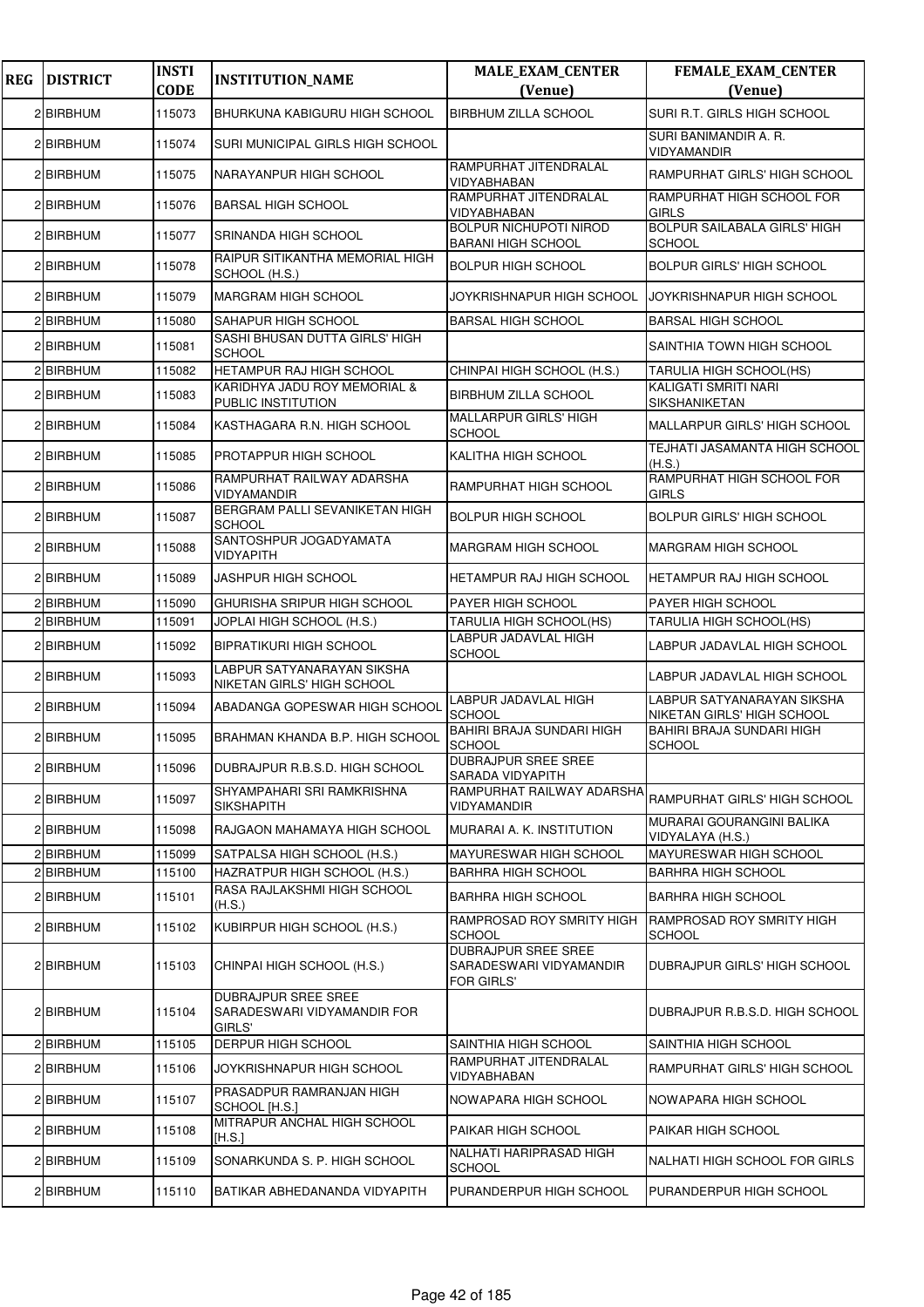| <b>REG</b> | <b>DISTRICT</b> | <b>INSTI</b><br><b>CODE</b> | <b>INSTITUTION_NAME</b>                                      | <b>MALE_EXAM_CENTER</b><br>(Venue)                           | FEMALE_EXAM_CENTER<br>(Venue)                                   |
|------------|-----------------|-----------------------------|--------------------------------------------------------------|--------------------------------------------------------------|-----------------------------------------------------------------|
|            | 2 BIRBHUM       | 115073                      | BHURKUNA KABIGURU HIGH SCHOOL                                | <b>BIRBHUM ZILLA SCHOOL</b>                                  | SURI R.T. GIRLS HIGH SCHOOL                                     |
|            | 2 BIRBHUM       | 115074                      | SURI MUNICIPAL GIRLS HIGH SCHOOL                             |                                                              | SURI BANIMANDIR A. R.                                           |
|            | 2 BIRBHUM       | 115075                      | NARAYANPUR HIGH SCHOOL                                       | RAMPURHAT JITENDRALAL                                        | VIDYAMANDIR<br>RAMPURHAT GIRLS' HIGH SCHOOL                     |
|            | 2 BIRBHUM       | 115076                      | <b>BARSAL HIGH SCHOOL</b>                                    | VIDYABHABAN<br>RAMPURHAT JITENDRALAL<br>VIDYABHABAN          | RAMPURHAT HIGH SCHOOL FOR<br><b>GIRLS</b>                       |
|            | 2 BIRBHUM       | 115077                      | <b>SRINANDA HIGH SCHOOL</b>                                  | BOLPUR NICHUPOTI NIROD<br>BARANI HIGH SCHOOL                 | <b>BOLPUR SAILABALA GIRLS' HIGH</b>                             |
|            | 2 BIRBHUM       | 115078                      | RAIPUR SITIKANTHA MEMORIAL HIGH<br>SCHOOL (H.S.)             | <b>BOLPUR HIGH SCHOOL</b>                                    | <b>SCHOOL</b><br><b>BOLPUR GIRLS' HIGH SCHOOL</b>               |
|            | 2 BIRBHUM       | 115079                      | <b>MARGRAM HIGH SCHOOL</b>                                   | JOYKRISHNAPUR HIGH SCHOOL                                    | JOYKRISHNAPUR HIGH SCHOOL                                       |
|            | 2 BIRBHUM       | 115080                      | SAHAPUR HIGH SCHOOL                                          | <b>BARSAL HIGH SCHOOL</b>                                    | <b>BARSAL HIGH SCHOOL</b>                                       |
|            | 2 BIRBHUM       | 115081                      | SASHI BHUSAN DUTTA GIRLS' HIGH<br><b>SCHOOL</b>              |                                                              | SAINTHIA TOWN HIGH SCHOOL                                       |
|            | 2 BIRBHUM       | 115082                      | HETAMPUR RAJ HIGH SCHOOL                                     | CHINPAI HIGH SCHOOL (H.S.)                                   | TARULIA HIGH SCHOOL(HS)                                         |
|            | 2 BIRBHUM       | 115083                      | KARIDHYA JADU ROY MEMORIAL &                                 | <b>BIRBHUM ZILLA SCHOOL</b>                                  | KALIGATI SMRITI NARI                                            |
|            | 2 BIRBHUM       | 115084                      | PUBLIC INSTITUTION<br>KASTHAGARA R.N. HIGH SCHOOL            | MALLARPUR GIRLS' HIGH                                        | SIKSHANIKETAN<br>MALLARPUR GIRLS' HIGH SCHOOL                   |
|            |                 |                             |                                                              | <b>SCHOOL</b>                                                | <b>TEJHATI JASAMANTA HIGH SCHOOL</b>                            |
|            | 2 BIRBHUM       | 115085                      | PROTAPPUR HIGH SCHOOL                                        | KALITHA HIGH SCHOOL                                          | (H.S.)                                                          |
|            | 2 BIRBHUM       | 115086                      | RAMPURHAT RAILWAY ADARSHA<br>VIDYAMANDIR                     | RAMPURHAT HIGH SCHOOL                                        | RAMPURHAT HIGH SCHOOL FOR<br><b>GIRLS</b>                       |
|            | 2 BIRBHUM       | 115087                      | BERGRAM PALLI SEVANIKETAN HIGH<br><b>SCHOOL</b>              | <b>BOLPUR HIGH SCHOOL</b>                                    | <b>BOLPUR GIRLS' HIGH SCHOOL</b>                                |
|            | 2 BIRBHUM       | 115088                      | SANTOSHPUR JOGADYAMATA<br><b>VIDYAPITH</b>                   | MARGRAM HIGH SCHOOL                                          | <b>MARGRAM HIGH SCHOOL</b>                                      |
|            | 2 BIRBHUM       | 115089                      | JASHPUR HIGH SCHOOL                                          | HETAMPUR RAJ HIGH SCHOOL                                     | HETAMPUR RAJ HIGH SCHOOL                                        |
|            | 2 BIRBHUM       | 115090                      | GHURISHA SRIPUR HIGH SCHOOL                                  | PAYER HIGH SCHOOL                                            | PAYER HIGH SCHOOL                                               |
|            | 2 BIRBHUM       | 115091                      | JOPLAI HIGH SCHOOL (H.S.)                                    | TARULIA HIGH SCHOOL(HS)                                      | TARULIA HIGH SCHOOL(HS)                                         |
|            | 2 BIRBHUM       | 115092                      | BIPRATIKURI HIGH SCHOOL                                      | LABPUR JADAVLAL HIGH<br><b>SCHOOL</b>                        | LABPUR JADAVLAL HIGH SCHOOL                                     |
|            | 2 BIRBHUM       | 115093                      | LABPUR SATYANARAYAN SIKSHA<br>NIKETAN GIRLS' HIGH SCHOOL     |                                                              | LABPUR JADAVLAL HIGH SCHOOL                                     |
|            | 2 BIRBHUM       | 115094                      | ABADANGA GOPESWAR HIGH SCHOOL                                | LABPUR JADAVLAL HIGH<br><b>SCHOOL</b>                        | LABPUR SATYANARAYAN SIKSHA<br><b>NIKETAN GIRLS' HIGH SCHOOL</b> |
|            | 2 BIRBHUM       | 115095                      | BRAHMAN KHANDA B.P. HIGH SCHOOL                              | <b>BAHIRI BRAJA SUNDARI HIGH</b><br><b>SCHOOL</b>            | BAHIRI BRAJA SUNDARI HIGH<br><b>SCHOOL</b>                      |
|            | 2 BIRBHUM       | 115096                      | DUBRAJPUR R.B.S.D. HIGH SCHOOL                               | DUBRAJPUR SREE SREE<br>SARADA VIDYAPITH                      |                                                                 |
|            | 2 BIRBHUM       | 115097                      | SHYAMPAHARI SRI RAMKRISHNA<br>SIKSHAPITH                     | RAMPURHAT RAILWAY ADARSHA<br>VIDYAMANDIR                     | RAMPURHAT GIRLS' HIGH SCHOOL                                    |
|            | 2 BIRBHUM       | 115098                      | RAJGAON MAHAMAYA HIGH SCHOOL                                 | MURARAI A. K. INSTITUTION                                    | <b>MURARAI GOURANGINI BALIKA</b><br>VIDYALAYA (H.S.)            |
|            | 2 BIRBHUM       | 115099                      | SATPALSA HIGH SCHOOL (H.S.)                                  | MAYURESWAR HIGH SCHOOL                                       | <b>MAYURESWAR HIGH SCHOOL</b>                                   |
|            | 2 BIRBHUM       | 115100                      | HAZRATPUR HIGH SCHOOL (H.S.)                                 | BARHRA HIGH SCHOOL                                           | <b>BARHRA HIGH SCHOOL</b>                                       |
|            | 2 BIRBHUM       | 115101                      | RASA RAJLAKSHMI HIGH SCHOOL<br>(H.S.)                        | BARHRA HIGH SCHOOL                                           | <b>BARHRA HIGH SCHOOL</b>                                       |
|            | 2 BIRBHUM       | 115102                      | KUBIRPUR HIGH SCHOOL (H.S.)                                  | RAMPROSAD ROY SMRITY HIGH<br>SCHOOL                          | <b>RAMPROSAD ROY SMRITY HIGH</b><br><b>SCHOOL</b>               |
|            | 2 BIRBHUM       | 115103                      | CHINPAI HIGH SCHOOL (H.S.)                                   | DUBRAJPUR SREE SREE<br>SARADESWARI VIDYAMANDIR<br>FOR GIRLS' | DUBRAJPUR GIRLS' HIGH SCHOOL                                    |
|            | 2 BIRBHUM       | 115104                      | DUBRAJPUR SREE SREE<br>SARADESWARI VIDYAMANDIR FOR<br>GIRLS' |                                                              | DUBRAJPUR R.B.S.D. HIGH SCHOOL                                  |
|            | 2 BIRBHUM       | 115105                      | <b>DERPUR HIGH SCHOOL</b>                                    | SAINTHIA HIGH SCHOOL                                         | SAINTHIA HIGH SCHOOL                                            |
|            | 2 BIRBHUM       | 115106                      | JOYKRISHNAPUR HIGH SCHOOL                                    | RAMPURHAT JITENDRALAL<br>VIDYABHABAN                         | RAMPURHAT GIRLS' HIGH SCHOOL                                    |
|            | 2 BIRBHUM       | 115107                      | PRASADPUR RAMRANJAN HIGH<br>SCHOOL [H.S.]                    | NOWAPARA HIGH SCHOOL                                         | NOWAPARA HIGH SCHOOL                                            |
|            | 2 BIRBHUM       | 115108                      | MITRAPUR ANCHAL HIGH SCHOOL<br>[H.S.]                        | PAIKAR HIGH SCHOOL                                           | PAIKAR HIGH SCHOOL                                              |
|            | 2 BIRBHUM       | 115109                      | SONARKUNDA S. P. HIGH SCHOOL                                 | NALHATI HARIPRASAD HIGH<br>SCHOOL                            | NALHATI HIGH SCHOOL FOR GIRLS                                   |
|            | 2 BIRBHUM       | 115110                      | BATIKAR ABHEDANANDA VIDYAPITH                                | PURANDERPUR HIGH SCHOOL                                      | PURANDERPUR HIGH SCHOOL                                         |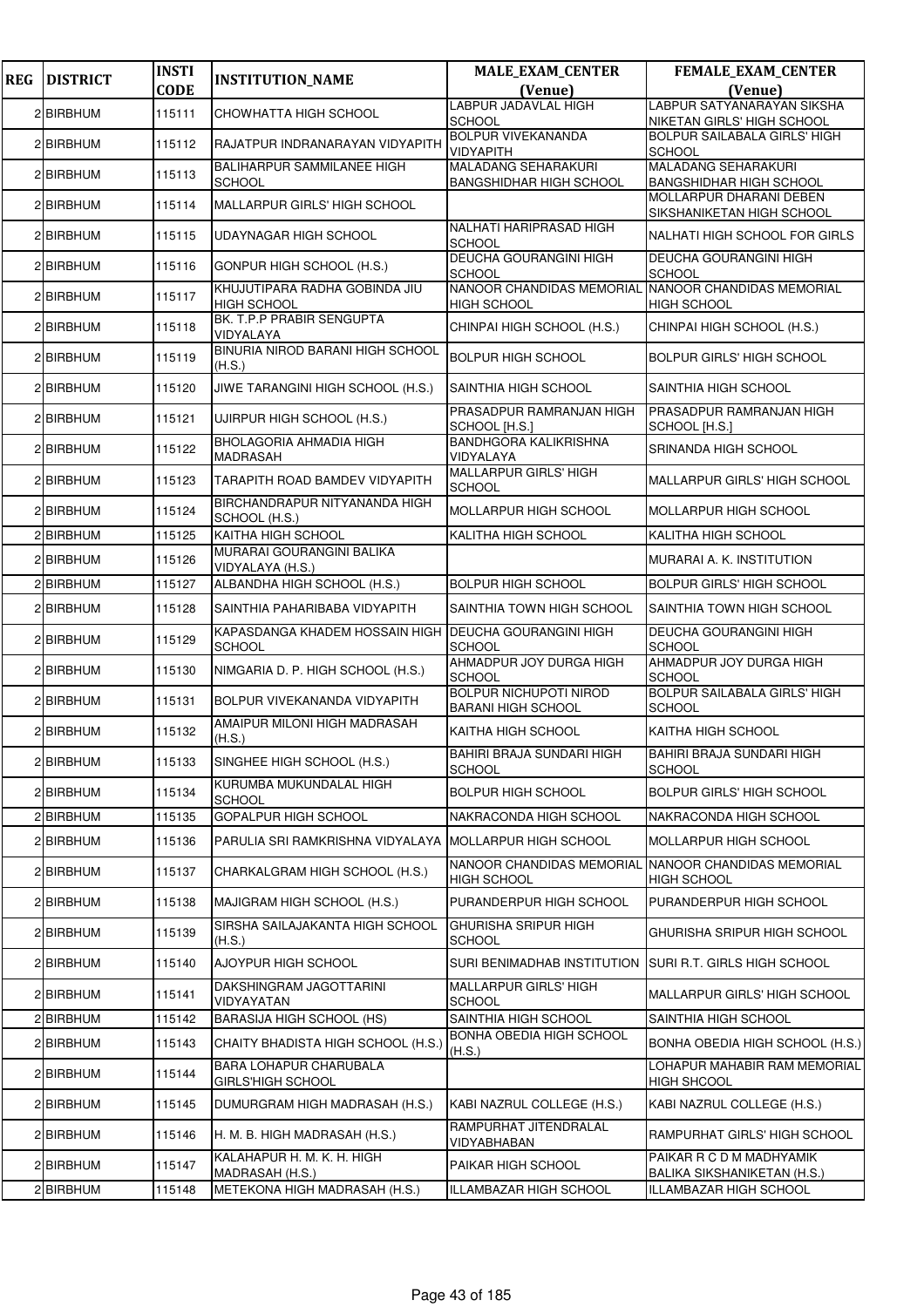| <b>REG</b> | <b>DISTRICT</b> | <b>INSTI</b> | <b>INSTITUTION_NAME</b>                                         | <b>MALE_EXAM_CENTER</b>                                      | <b>FEMALE_EXAM_CENTER</b>                                    |
|------------|-----------------|--------------|-----------------------------------------------------------------|--------------------------------------------------------------|--------------------------------------------------------------|
|            |                 | <b>CODE</b>  |                                                                 | (Venue)<br><b>LABPUR JADAVLAL HIGH</b>                       | (Venue)<br>LABPUR SATYANARAYAN SIKSHA                        |
|            | 2 BIRBHUM       | 115111       | CHOWHATTA HIGH SCHOOL                                           | <b>SCHOOL</b>                                                | NIKETAN GIRLS' HIGH SCHOOL                                   |
|            | 2 BIRBHUM       | 115112       | RAJATPUR INDRANARAYAN VIDYAPITH                                 | BOLPUR VIVEKANANDA<br>VIDYAPITH                              | BOLPUR SAILABALA GIRLS' HIGH<br><b>SCHOOL</b>                |
|            | 2 BIRBHUM       | 115113       | <b>BALIHARPUR SAMMILANEE HIGH</b><br><b>SCHOOL</b>              | <b>MALADANG SEHARAKURI</b><br><b>BANGSHIDHAR HIGH SCHOOL</b> | <b>MALADANG SEHARAKURI</b><br><b>BANGSHIDHAR HIGH SCHOOL</b> |
|            | 2 BIRBHUM       | 115114       | MALLARPUR GIRLS' HIGH SCHOOL                                    |                                                              | MOLLARPUR DHARANI DEBEN<br>SIKSHANIKETAN HIGH SCHOOL         |
|            | 2 BIRBHUM       | 115115       | UDAYNAGAR HIGH SCHOOL                                           | <b>NALHATI HARIPRASAD HIGH</b><br><b>SCHOOL</b>              | NALHATI HIGH SCHOOL FOR GIRLS                                |
|            | 2 BIRBHUM       | 115116       | GONPUR HIGH SCHOOL (H.S.)                                       | DEUCHA GOURANGINI HIGH<br><b>SCHOOL</b>                      | DEUCHA GOURANGINI HIGH<br><b>SCHOOL</b>                      |
|            | 2 BIRBHUM       | 115117       | KHUJUTIPARA RADHA GOBINDA JIU                                   | NANOOR CHANDIDAS MEMORIAL                                    | NANOOR CHANDIDAS MEMORIAL                                    |
|            | 2 BIRBHUM       | 115118       | <b>HIGH SCHOOL</b><br>BK. T.P.P PRABIR SENGUPTA<br>VIDYALAYA    | <b>HIGH SCHOOL</b><br>CHINPAI HIGH SCHOOL (H.S.)             | <b>HIGH SCHOOL</b><br>CHINPAI HIGH SCHOOL (H.S.)             |
|            | 2 BIRBHUM       | 115119       | BINURIA NIROD BARANI HIGH SCHOOL                                | <b>BOLPUR HIGH SCHOOL</b>                                    | <b>BOLPUR GIRLS' HIGH SCHOOL</b>                             |
|            | 2 BIRBHUM       | 115120       | (H.S.)<br>JIWE TARANGINI HIGH SCHOOL (H.S.)                     | SAINTHIA HIGH SCHOOL                                         | SAINTHIA HIGH SCHOOL                                         |
|            | 2 BIRBHUM       | 115121       | UJIRPUR HIGH SCHOOL (H.S.)                                      | PRASADPUR RAMRANJAN HIGH                                     | PRASADPUR RAMRANJAN HIGH                                     |
|            |                 |              | BHOLAGORIA AHMADIA HIGH                                         | SCHOOL [H.S.]<br>BANDHGORA KALIKRISHNA                       | SCHOOL [H.S.]                                                |
|            | 2 BIRBHUM       | 115122       | <b>MADRASAH</b>                                                 | VIDYALAYA<br><b>MALLARPUR GIRLS' HIGH</b>                    | SRINANDA HIGH SCHOOL                                         |
|            | 2 BIRBHUM       | 115123       | TARAPITH ROAD BAMDEV VIDYAPITH<br>BIRCHANDRAPUR NITYANANDA HIGH | <b>SCHOOL</b>                                                | MALLARPUR GIRLS' HIGH SCHOOL                                 |
|            | 2 BIRBHUM       | 115124       | SCHOOL (H.S.)                                                   | MOLLARPUR HIGH SCHOOL                                        | MOLLARPUR HIGH SCHOOL                                        |
|            | 2 BIRBHUM       | 115125       | KAITHA HIGH SCHOOL<br>MURARAI GOURANGINI BALIKA                 | KALITHA HIGH SCHOOL                                          | KALITHA HIGH SCHOOL                                          |
|            | 2 BIRBHUM       | 115126       | VIDYALAYA (H.S.)                                                |                                                              | MURARAI A. K. INSTITUTION                                    |
|            | 2 BIRBHUM       | 115127       | ALBANDHA HIGH SCHOOL (H.S.)                                     | <b>BOLPUR HIGH SCHOOL</b>                                    | <b>BOLPUR GIRLS' HIGH SCHOOL</b>                             |
|            | 2 BIRBHUM       | 115128       | SAINTHIA PAHARIBABA VIDYAPITH                                   | SAINTHIA TOWN HIGH SCHOOL                                    | SAINTHIA TOWN HIGH SCHOOL                                    |
|            | 2 BIRBHUM       | 115129       | KAPASDANGA KHADEM HOSSAIN HIGH<br><b>SCHOOL</b>                 | <b>DEUCHA GOURANGINI HIGH</b><br><b>SCHOOL</b>               | DEUCHA GOURANGINI HIGH<br><b>SCHOOL</b>                      |
|            | 2 BIRBHUM       | 115130       | NIMGARIA D. P. HIGH SCHOOL (H.S.)                               | AHMADPUR JOY DURGA HIGH<br>SCHOOL                            | AHMADPUR JOY DURGA HIGH<br><b>SCHOOL</b>                     |
|            | 2 BIRBHUM       | 115131       | BOLPUR VIVEKANANDA VIDYAPITH                                    | <b>BOLPUR NICHUPOTI NIROD</b><br><b>BARANI HIGH SCHOOL</b>   | <b>BOLPUR SAILABALA GIRLS' HIGH</b><br><b>SCHOOL</b>         |
|            | 2 BIRBHUM       | 115132       | AMAIPUR MILONI HIGH MADRASAH<br>(H.S.)                          | KAITHA HIGH SCHOOL                                           | KAITHA HIGH SCHOOL                                           |
|            | 2 BIRBHUM       | 115133       | SINGHEE HIGH SCHOOL (H.S.)                                      | <b>BAHIRI BRAJA SUNDARI HIGH</b><br>SCHOOL                   | <b>BAHIRI BRAJA SUNDARI HIGH</b><br><b>SCHOOL</b>            |
|            | 2 BIRBHUM       | 115134       | KURUMBA MUKUNDALAL HIGH<br><b>SCHOOL</b>                        | <b>BOLPUR HIGH SCHOOL</b>                                    | BOLPUR GIRLS' HIGH SCHOOL                                    |
|            | 2 BIRBHUM       | 115135       | <b>GOPALPUR HIGH SCHOOL</b>                                     | NAKRACONDA HIGH SCHOOL                                       | NAKRACONDA HIGH SCHOOL                                       |
|            | 2 BIRBHUM       | 115136       | PARULIA SRI RAMKRISHNA VIDYALAYA                                | <b>MOLLARPUR HIGH SCHOOL</b>                                 | MOLLARPUR HIGH SCHOOL                                        |
|            | 2 BIRBHUM       | 115137       | CHARKALGRAM HIGH SCHOOL (H.S.)                                  | NANOOR CHANDIDAS MEMORIAL<br><b>HIGH SCHOOL</b>              | NANOOR CHANDIDAS MEMORIAL<br><b>HIGH SCHOOL</b>              |
|            | 2 BIRBHUM       | 115138       | MAJIGRAM HIGH SCHOOL (H.S.)                                     | PURANDERPUR HIGH SCHOOL                                      | PURANDERPUR HIGH SCHOOL                                      |
|            | 2 BIRBHUM       | 115139       | SIRSHA SAILAJAKANTA HIGH SCHOOL<br>(H.S.)                       | GHURISHA SRIPUR HIGH<br><b>SCHOOL</b>                        | GHURISHA SRIPUR HIGH SCHOOL                                  |
|            | 2 BIRBHUM       | 115140       | AJOYPUR HIGH SCHOOL                                             | SURI BENIMADHAB INSTITUTION                                  | SURI R.T. GIRLS HIGH SCHOOL                                  |
|            | 2 BIRBHUM       | 115141       | DAKSHINGRAM JAGOTTARINI<br>VIDYAYATAN                           | MALLARPUR GIRLS' HIGH<br>SCHOOL                              | MALLARPUR GIRLS' HIGH SCHOOL                                 |
|            | 2 BIRBHUM       | 115142       | <b>BARASIJA HIGH SCHOOL (HS)</b>                                | SAINTHIA HIGH SCHOOL                                         | SAINTHIA HIGH SCHOOL                                         |
|            | 2 BIRBHUM       | 115143       | CHAITY BHADISTA HIGH SCHOOL (H.S.)                              | <b>BONHA OBEDIA HIGH SCHOOL</b><br>(H.S.)                    | BONHA OBEDIA HIGH SCHOOL (H.S.)                              |
|            | 2 BIRBHUM       | 115144       | BARA LOHAPUR CHARUBALA<br><b>GIRLS'HIGH SCHOOL</b>              |                                                              | LOHAPUR MAHABIR RAM MEMORIAL<br><b>HIGH SHCOOL</b>           |
|            | 2 BIRBHUM       | 115145       | DUMURGRAM HIGH MADRASAH (H.S.)                                  | KABI NAZRUL COLLEGE (H.S.)                                   | KABI NAZRUL COLLEGE (H.S.)                                   |
|            | 2 BIRBHUM       | 115146       | H. M. B. HIGH MADRASAH (H.S.)                                   | RAMPURHAT JITENDRALAL<br>VIDYABHABAN                         | RAMPURHAT GIRLS' HIGH SCHOOL                                 |
|            | 2 BIRBHUM       | 115147       | KALAHAPUR H. M. K. H. HIGH<br>MADRASAH (H.S.)                   | PAIKAR HIGH SCHOOL                                           | PAIKAR R C D M MADHYAMIK<br>BALIKA SIKSHANIKETAN (H.S.)      |
|            | 2 BIRBHUM       | 115148       | METEKONA HIGH MADRASAH (H.S.)                                   | ILLAMBAZAR HIGH SCHOOL                                       | ILLAMBAZAR HIGH SCHOOL                                       |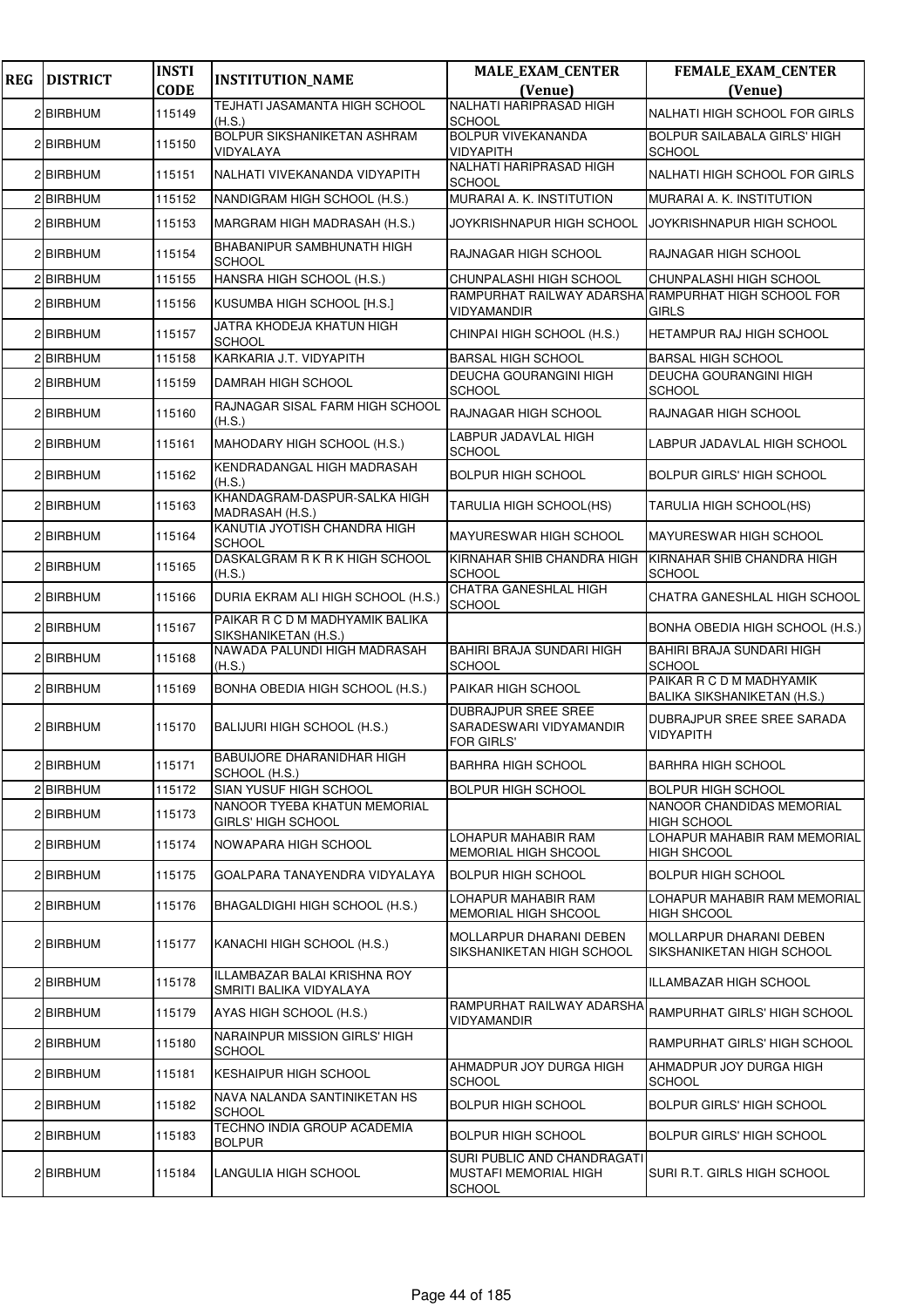| <b>REG</b> | <b>DISTRICT</b> | <b>INSTI</b> | <b>INSTITUTION_NAME</b>                                 | <b>MALE_EXAM_CENTER</b>                                                      | FEMALE_EXAM_CENTER                                      |
|------------|-----------------|--------------|---------------------------------------------------------|------------------------------------------------------------------------------|---------------------------------------------------------|
|            |                 | <b>CODE</b>  | TEJHATI JASAMANTA HIGH SCHOOL                           | (Venue)<br>NALHATI HARIPRASAD HIGH                                           | (Venue)                                                 |
|            | 2 BIRBHUM       | 115149       | (H.S.)                                                  | <b>SCHOOL</b>                                                                | NALHATI HIGH SCHOOL FOR GIRLS                           |
|            | 2 BIRBHUM       | 115150       | BOLPUR SIKSHANIKETAN ASHRAM<br>VIDYALAYA                | <b>BOLPUR VIVEKANANDA</b><br><b>VIDYAPITH</b>                                | <b>BOLPUR SAILABALA GIRLS' HIGH</b><br><b>SCHOOL</b>    |
|            | 2 BIRBHUM       | 115151       | NALHATI VIVEKANANDA VIDYAPITH                           | NALHATI HARIPRASAD HIGH<br><b>SCHOOL</b>                                     | NALHATI HIGH SCHOOL FOR GIRLS                           |
|            | 2 BIRBHUM       | 115152       | NANDIGRAM HIGH SCHOOL (H.S.)                            | MURARAI A. K. INSTITUTION                                                    | MURARAI A. K. INSTITUTION                               |
|            | 2 BIRBHUM       | 115153       | MARGRAM HIGH MADRASAH (H.S.)                            | JOYKRISHNAPUR HIGH SCHOOL                                                    | JOYKRISHNAPUR HIGH SCHOOL                               |
|            | 2 BIRBHUM       | 115154       | BHABANIPUR SAMBHUNATH HIGH<br><b>SCHOOL</b>             | RAJNAGAR HIGH SCHOOL                                                         | <b>RAJNAGAR HIGH SCHOOL</b>                             |
|            | 2 BIRBHUM       | 115155       | HANSRA HIGH SCHOOL (H.S.)                               | CHUNPALASHI HIGH SCHOOL                                                      | CHUNPALASHI HIGH SCHOOL                                 |
|            | 2 BIRBHUM       | 115156       | KUSUMBA HIGH SCHOOL [H.S.]                              | RAMPURHAT RAILWAY ADARSHA RAMPURHAT HIGH SCHOOL FOR<br><b>VIDYAMANDIR</b>    | <b>GIRLS</b>                                            |
|            | 2 BIRBHUM       | 115157       | JATRA KHODEJA KHATUN HIGH<br><b>SCHOOL</b>              | CHINPAI HIGH SCHOOL (H.S.)                                                   | HETAMPUR RAJ HIGH SCHOOL                                |
|            | 2 BIRBHUM       | 115158       | KARKARIA J.T. VIDYAPITH                                 | <b>BARSAL HIGH SCHOOL</b>                                                    | <b>BARSAL HIGH SCHOOL</b>                               |
|            | 2 BIRBHUM       | 115159       | DAMRAH HIGH SCHOOL                                      | <b>DEUCHA GOURANGINI HIGH</b><br><b>SCHOOL</b>                               | <b>DEUCHA GOURANGINI HIGH</b><br><b>SCHOOL</b>          |
|            | 2 BIRBHUM       | 115160       | RAJNAGAR SISAL FARM HIGH SCHOOL<br>(H.S.)               | <b>RAJNAGAR HIGH SCHOOL</b>                                                  | <b>RAJNAGAR HIGH SCHOOL</b>                             |
|            | 2 BIRBHUM       | 115161       | MAHODARY HIGH SCHOOL (H.S.)                             | LABPUR JADAVLAL HIGH<br><b>SCHOOL</b>                                        | LABPUR JADAVLAL HIGH SCHOOL                             |
|            | 2 BIRBHUM       | 115162       | KENDRADANGAL HIGH MADRASAH<br>(H.S.)                    | <b>BOLPUR HIGH SCHOOL</b>                                                    | <b>BOLPUR GIRLS' HIGH SCHOOL</b>                        |
|            | 2 BIRBHUM       | 115163       | KHANDAGRAM-DASPUR-SALKA HIGH<br>MADRASAH (H.S.)         | TARULIA HIGH SCHOOL(HS)                                                      | TARULIA HIGH SCHOOL(HS)                                 |
|            | 2 BIRBHUM       | 115164       | KANUTIA JYOTISH CHANDRA HIGH<br><b>SCHOOL</b>           | <b>MAYURESWAR HIGH SCHOOL</b>                                                | <b>MAYURESWAR HIGH SCHOOL</b>                           |
|            | 2 BIRBHUM       | 115165       | DASKALGRAM R K R K HIGH SCHOOL<br>(H.S.)                | KIRNAHAR SHIB CHANDRA HIGH<br><b>SCHOOL</b>                                  | KIRNAHAR SHIB CHANDRA HIGH<br><b>SCHOOL</b>             |
|            | 2 BIRBHUM       | 115166       | DURIA EKRAM ALI HIGH SCHOOL (H.S.)                      | CHATRA GANESHLAL HIGH<br><b>SCHOOL</b>                                       | CHATRA GANESHLAL HIGH SCHOOL                            |
|            | 2 BIRBHUM       | 115167       | PAIKAR R C D M MADHYAMIK BALIKA<br>SIKSHANIKETAN (H.S.) |                                                                              | BONHA OBEDIA HIGH SCHOOL (H.S.)                         |
|            | 2 BIRBHUM       | 115168       | NAWADA PALUNDI HIGH MADRASAH<br>(H.S.)                  | <b>BAHIRI BRAJA SUNDARI HIGH</b><br><b>SCHOOL</b>                            | <b>BAHIRI BRAJA SUNDARI HIGH</b><br><b>SCHOOL</b>       |
|            | 2 BIRBHUM       | 115169       | BONHA OBEDIA HIGH SCHOOL (H.S.)                         | PAIKAR HIGH SCHOOL                                                           | PAIKAR R C D M MADHYAMIK<br>BALIKA SIKSHANIKETAN (H.S.) |
|            | 2 BIRBHUM       | 115170       | BALIJURI HIGH SCHOOL (H.S.)                             | <b>DUBRAJPUR SREE SREE</b><br>SARADESWARI VIDYAMANDIR<br><b>FOR GIRLS'</b>   | DUBRAJPUR SREE SREE SARADA<br><b>VIDYAPITH</b>          |
|            | 2 BIRBHUM       | 115171       | BABUIJORE DHARANIDHAR HIGH<br>SCHOOL (H.S.)             | <b>BARHRA HIGH SCHOOL</b>                                                    | <b>BARHRA HIGH SCHOOL</b>                               |
|            | 2 BIRBHUM       | 115172       | SIAN YUSUF HIGH SCHOOL                                  | <b>BOLPUR HIGH SCHOOL</b>                                                    | <b>BOLPUR HIGH SCHOOL</b>                               |
|            | 2 BIRBHUM       | 115173       | NANOOR TYEBA KHATUN MEMORIAL<br>GIRLS' HIGH SCHOOL      |                                                                              | NANOOR CHANDIDAS MEMORIAL<br><b>HIGH SCHOOL</b>         |
|            | 2 BIRBHUM       | 115174       | NOWAPARA HIGH SCHOOL                                    | LOHAPUR MAHABIR RAM<br><b>MEMORIAL HIGH SHCOOL</b>                           | LOHAPUR MAHABIR RAM MEMORIAL<br><b>HIGH SHCOOL</b>      |
|            | 2 BIRBHUM       | 115175       | GOALPARA TANAYENDRA VIDYALAYA                           | <b>BOLPUR HIGH SCHOOL</b>                                                    | <b>BOLPUR HIGH SCHOOL</b>                               |
|            | 2 BIRBHUM       | 115176       | BHAGALDIGHI HIGH SCHOOL (H.S.)                          | LOHAPUR MAHABIR RAM<br><b>MEMORIAL HIGH SHCOOL</b>                           | LOHAPUR MAHABIR RAM MEMORIAL<br><b>HIGH SHCOOL</b>      |
|            | 2 BIRBHUM       | 115177       | KANACHI HIGH SCHOOL (H.S.)                              | MOLLARPUR DHARANI DEBEN<br>SIKSHANIKETAN HIGH SCHOOL                         | MOLLARPUR DHARANI DEBEN<br>SIKSHANIKETAN HIGH SCHOOL    |
|            | 2 BIRBHUM       | 115178       | ILLAMBAZAR BALAI KRISHNA ROY<br>SMRITI BALIKA VIDYALAYA |                                                                              | ILLAMBAZAR HIGH SCHOOL                                  |
|            | 2 BIRBHUM       | 115179       | AYAS HIGH SCHOOL (H.S.)                                 | RAMPURHAT RAILWAY ADARSHA<br>VIDYAMANDIR                                     | RAMPURHAT GIRLS' HIGH SCHOOL                            |
|            | 2 BIRBHUM       | 115180       | NARAINPUR MISSION GIRLS' HIGH<br><b>SCHOOL</b>          |                                                                              | RAMPURHAT GIRLS' HIGH SCHOOL                            |
|            | 2 BIRBHUM       | 115181       | <b>KESHAIPUR HIGH SCHOOL</b>                            | AHMADPUR JOY DURGA HIGH<br><b>SCHOOL</b>                                     | AHMADPUR JOY DURGA HIGH<br><b>SCHOOL</b>                |
|            | 2 BIRBHUM       | 115182       | NAVA NALANDA SANTINIKETAN HS<br><b>SCHOOL</b>           | <b>BOLPUR HIGH SCHOOL</b>                                                    | <b>BOLPUR GIRLS' HIGH SCHOOL</b>                        |
|            | 2 BIRBHUM       | 115183       | TECHNO INDIA GROUP ACADEMIA<br><b>BOLPUR</b>            | <b>BOLPUR HIGH SCHOOL</b>                                                    | <b>BOLPUR GIRLS' HIGH SCHOOL</b>                        |
|            | 2 BIRBHUM       | 115184       | LANGULIA HIGH SCHOOL                                    | SURI PUBLIC AND CHANDRAGATI<br><b>MUSTAFI MEMORIAL HIGH</b><br><b>SCHOOL</b> | SURI R.T. GIRLS HIGH SCHOOL                             |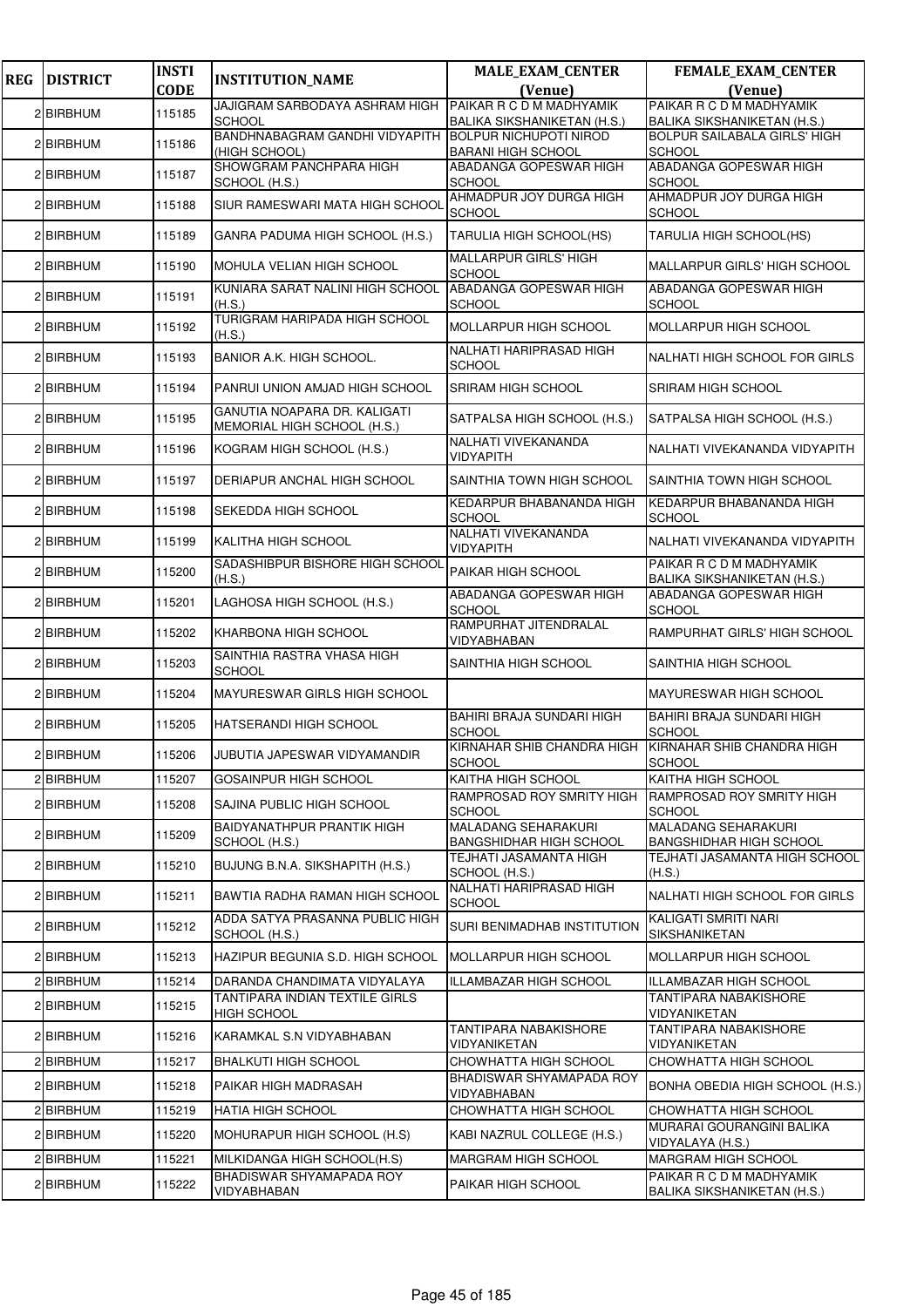| <b>REG</b> | <b>DISTRICT</b> | <b>INSTI</b> | <b>INSTITUTION_NAME</b>                                     | <b>MALE EXAM CENTER</b>                                      | FEMALE_EXAM_CENTER                                             |
|------------|-----------------|--------------|-------------------------------------------------------------|--------------------------------------------------------------|----------------------------------------------------------------|
|            |                 | <b>CODE</b>  | JAJIGRAM SARBODAYA ASHRAM HIGH PAIKAR R C D M MADHYAMIK     | (Venue)                                                      | (Venue)<br>PAIKAR R C D M MADHYAMIK                            |
|            | 2 BIRBHUM       | 115185       | <b>SCHOOL</b>                                               | <b>BALIKA SIKSHANIKETAN (H.S.)</b>                           | <b>BALIKA SIKSHANIKETAN (H.S.)</b>                             |
|            | 2 BIRBHUM       | 115186       | BANDHNABAGRAM GANDHI VIDYAPITH<br>(HIGH SCHOOL)             | <b>BOLPUR NICHUPOTI NIROD</b><br><b>BARANI HIGH SCHOOL</b>   | <b>BOLPUR SAILABALA GIRLS' HIGH</b><br><b>SCHOOL</b>           |
|            | 2 BIRBHUM       | 115187       | SHOWGRAM PANCHPARA HIGH<br>SCHOOL (H.S.)                    | <b>ABADANGA GOPESWAR HIGH</b><br><b>SCHOOL</b>               | ABADANGA GOPESWAR HIGH<br><b>SCHOOL</b>                        |
|            | 2 BIRBHUM       | 115188       | SIUR RAMESWARI MATA HIGH SCHOOL                             | AHMADPUR JOY DURGA HIGH<br><b>SCHOOL</b>                     | AHMADPUR JOY DURGA HIGH<br><b>SCHOOL</b>                       |
|            | 2 BIRBHUM       | 115189       | GANRA PADUMA HIGH SCHOOL (H.S.)                             | TARULIA HIGH SCHOOL(HS)                                      | TARULIA HIGH SCHOOL(HS)                                        |
|            | 2 BIRBHUM       | 115190       | MOHULA VELIAN HIGH SCHOOL                                   | <b>MALLARPUR GIRLS' HIGH</b><br><b>SCHOOL</b>                | <b>MALLARPUR GIRLS' HIGH SCHOOL</b>                            |
|            | 2 BIRBHUM       | 115191       | KUNIARA SARAT NALINI HIGH SCHOOL<br>(H.S.)                  | ABADANGA GOPESWAR HIGH<br><b>SCHOOL</b>                      | ABADANGA GOPESWAR HIGH<br><b>SCHOOL</b>                        |
|            | 2 BIRBHUM       | 115192       | TURIGRAM HARIPADA HIGH SCHOOL<br>(H.S.)                     | <b>MOLLARPUR HIGH SCHOOL</b>                                 | <b>MOLLARPUR HIGH SCHOOL</b>                                   |
|            | 2 BIRBHUM       | 115193       | BANIOR A.K. HIGH SCHOOL.                                    | NALHATI HARIPRASAD HIGH<br><b>SCHOOL</b>                     | <b>NALHATI HIGH SCHOOL FOR GIRLS</b>                           |
|            | 2 BIRBHUM       | 115194       | PANRUI UNION AMJAD HIGH SCHOOL                              | SRIRAM HIGH SCHOOL                                           | SRIRAM HIGH SCHOOL                                             |
|            | 2 BIRBHUM       | 115195       | GANUTIA NOAPARA DR. KALIGATI<br>MEMORIAL HIGH SCHOOL (H.S.) | SATPALSA HIGH SCHOOL (H.S.)                                  | SATPALSA HIGH SCHOOL (H.S.)                                    |
|            | 2 BIRBHUM       | 115196       | KOGRAM HIGH SCHOOL (H.S.)                                   | NALHATI VIVEKANANDA<br><b>VIDYAPITH</b>                      | NALHATI VIVEKANANDA VIDYAPITH                                  |
|            | 2 BIRBHUM       | 115197       | DERIAPUR ANCHAL HIGH SCHOOL                                 | SAINTHIA TOWN HIGH SCHOOL                                    | SAINTHIA TOWN HIGH SCHOOL                                      |
|            | 2 BIRBHUM       | 115198       | SEKEDDA HIGH SCHOOL                                         | KEDARPUR BHABANANDA HIGH<br><b>SCHOOL</b>                    | KEDARPUR BHABANANDA HIGH<br><b>SCHOOL</b>                      |
|            | 2 BIRBHUM       | 115199       | KALITHA HIGH SCHOOL                                         | NALHATI VIVEKANANDA<br><b>VIDYAPITH</b>                      | NALHATI VIVEKANANDA VIDYAPITH                                  |
|            | 2 BIRBHUM       | 115200       | SADASHIBPUR BISHORE HIGH SCHOOL<br>(H.S.)                   | PAIKAR HIGH SCHOOL                                           | PAIKAR R C D M MADHYAMIK<br><b>BALIKA SIKSHANIKETAN (H.S.)</b> |
|            | 2 BIRBHUM       | 115201       | LAGHOSA HIGH SCHOOL (H.S.)                                  | ABADANGA GOPESWAR HIGH<br><b>SCHOOL</b>                      | ABADANGA GOPESWAR HIGH<br><b>SCHOOL</b>                        |
|            | 2 BIRBHUM       | 115202       | KHARBONA HIGH SCHOOL                                        | RAMPURHAT JITENDRALAL<br>VIDYABHABAN                         | RAMPURHAT GIRLS' HIGH SCHOOL                                   |
|            | 2 BIRBHUM       | 115203       | SAINTHIA RASTRA VHASA HIGH<br><b>SCHOOL</b>                 | SAINTHIA HIGH SCHOOL                                         | SAINTHIA HIGH SCHOOL                                           |
|            | 2 BIRBHUM       | 115204       | MAYURESWAR GIRLS HIGH SCHOOL                                |                                                              | MAYURESWAR HIGH SCHOOL                                         |
|            | 2 BIRBHUM       | 115205       | HATSERANDI HIGH SCHOOL                                      | <b>BAHIRI BRAJA SUNDARI HIGH</b><br><b>SCHOOL</b>            | <b>BAHIRI BRAJA SUNDARI HIGH</b><br><b>SCHOOL</b>              |
|            | 2 BIRBHUM       | 115206       | JUBUTIA JAPESWAR VIDYAMANDIR                                | KIRNAHAR SHIB CHANDRA HIGH<br><b>SCHOOL</b>                  | KIRNAHAR SHIB CHANDRA HIGH<br><b>SCHOOL</b>                    |
|            | 2 BIRBHUM       | 115207       | GOSAINPUR HIGH SCHOOL                                       | KAITHA HIGH SCHOOL                                           | KAITHA HIGH SCHOOL                                             |
|            | 2 BIRBHUM       | 115208       | SAJINA PUBLIC HIGH SCHOOL                                   | RAMPROSAD ROY SMRITY HIGH<br><b>SCHOOL</b>                   | RAMPROSAD ROY SMRITY HIGH<br><b>SCHOOL</b>                     |
|            | 2 BIRBHUM       | 115209       | BAIDYANATHPUR PRANTIK HIGH<br>SCHOOL (H.S.)                 | <b>MALADANG SEHARAKURI</b><br><b>BANGSHIDHAR HIGH SCHOOL</b> | <b>MALADANG SEHARAKURI</b><br><b>BANGSHIDHAR HIGH SCHOOL</b>   |
|            | 2 BIRBHUM       | 115210       | BUJUNG B.N.A. SIKSHAPITH (H.S.)                             | TEJHATI JASAMANTA HIGH<br>SCHOOL (H.S.)                      | TEJHATI JASAMANTA HIGH SCHOOL<br>(H.S.)                        |
|            | 2 BIRBHUM       | 115211       | BAWTIA RADHA RAMAN HIGH SCHOOL                              | NALHATI HARIPRASAD HIGH<br><b>SCHOOL</b>                     | NALHATI HIGH SCHOOL FOR GIRLS                                  |
|            | 2 BIRBHUM       | 115212       | ADDA SATYA PRASANNA PUBLIC HIGH<br>SCHOOL (H.S.)            | <b>SURI BENIMADHAB INSTITUTION</b>                           | KALIGATI SMRITI NARI<br>SIKSHANIKETAN                          |
|            | 2 BIRBHUM       | 115213       | HAZIPUR BEGUNIA S.D. HIGH SCHOOL                            | <b>MOLLARPUR HIGH SCHOOL</b>                                 | MOLLARPUR HIGH SCHOOL                                          |
|            | 2 BIRBHUM       | 115214       | DARANDA CHANDIMATA VIDYALAYA                                | ILLAMBAZAR HIGH SCHOOL                                       | ILLAMBAZAR HIGH SCHOOL                                         |
|            | 2 BIRBHUM       | 115215       | TANTIPARA INDIAN TEXTILE GIRLS<br><b>HIGH SCHOOL</b>        |                                                              | TANTIPARA NABAKISHORE<br>VIDYANIKETAN                          |
|            | 2 BIRBHUM       | 115216       | KARAMKAL S.N VIDYABHABAN                                    | <b>TANTIPARA NABAKISHORE</b><br>VIDYANIKETAN                 | TANTIPARA NABAKISHORE<br>VIDYANIKETAN                          |
|            | 2 BIRBHUM       | 115217       | <b>BHALKUTI HIGH SCHOOL</b>                                 | CHOWHATTA HIGH SCHOOL                                        | CHOWHATTA HIGH SCHOOL                                          |
|            | 2 BIRBHUM       | 115218       | PAIKAR HIGH MADRASAH                                        | BHADISWAR SHYAMAPADA ROY<br>VIDYABHABAN                      | BONHA OBEDIA HIGH SCHOOL (H.S.)                                |
|            | 2 BIRBHUM       | 115219       | <b>HATIA HIGH SCHOOL</b>                                    | CHOWHATTA HIGH SCHOOL                                        | CHOWHATTA HIGH SCHOOL                                          |
|            | 2 BIRBHUM       | 115220       | MOHURAPUR HIGH SCHOOL (H.S)                                 | KABI NAZRUL COLLEGE (H.S.)                                   | MURARAI GOURANGINI BALIKA<br>VIDYALAYA (H.S.)                  |
|            | 2 BIRBHUM       | 115221       | MILKIDANGA HIGH SCHOOL(H.S)                                 | <b>MARGRAM HIGH SCHOOL</b>                                   | <b>MARGRAM HIGH SCHOOL</b>                                     |
|            | 2 BIRBHUM       | 115222       | BHADISWAR SHYAMAPADA ROY<br>VIDYABHABAN                     | PAIKAR HIGH SCHOOL                                           | PAIKAR R C D M MADHYAMIK<br>BALIKA SIKSHANIKETAN (H.S.)        |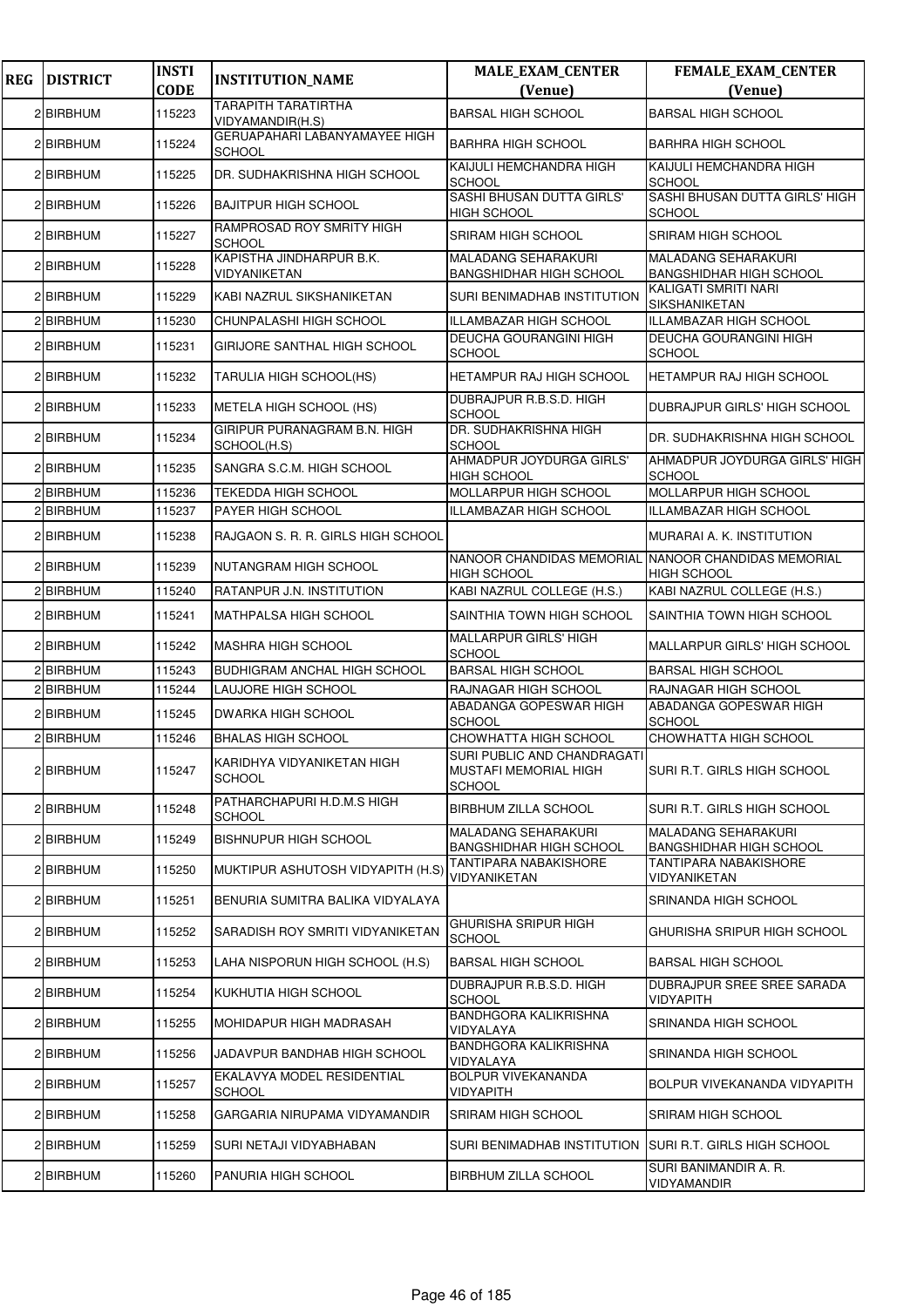| <b>REG</b> | <b>DISTRICT</b>  | <b>INSTI</b> | <b>INSTITUTION_NAME</b>                        | <b>MALE_EXAM_CENTER</b>                                               | FEMALE_EXAM_CENTER                                           |
|------------|------------------|--------------|------------------------------------------------|-----------------------------------------------------------------------|--------------------------------------------------------------|
|            |                  | <b>CODE</b>  | <b>TARAPITH TARATIRTHA</b>                     | (Venue)                                                               | (Venue)                                                      |
|            | 2 BIRBHUM        | 115223       | VIDYAMANDIR(H.S)                               | <b>BARSAL HIGH SCHOOL</b>                                             | <b>BARSAL HIGH SCHOOL</b>                                    |
|            | 2 BIRBHUM        | 115224       | GERUAPAHARI LABANYAMAYEE HIGH<br><b>SCHOOL</b> | <b>BARHRA HIGH SCHOOL</b>                                             | <b>BARHRA HIGH SCHOOL</b>                                    |
|            | 2 BIRBHUM        | 115225       | DR. SUDHAKRISHNA HIGH SCHOOL                   | KAIJULI HEMCHANDRA HIGH<br><b>SCHOOL</b>                              | KAIJULI HEMCHANDRA HIGH<br><b>SCHOOL</b>                     |
|            | 2 BIRBHUM        | 115226       | <b>BAJITPUR HIGH SCHOOL</b>                    | SASHI BHUSAN DUTTA GIRLS'<br><b>HIGH SCHOOL</b>                       | SASHI BHUSAN DUTTA GIRLS' HIGH<br><b>SCHOOL</b>              |
|            | 2 BIRBHUM        | 115227       | RAMPROSAD ROY SMRITY HIGH<br><b>SCHOOL</b>     | <b>SRIRAM HIGH SCHOOL</b>                                             | <b>SRIRAM HIGH SCHOOL</b>                                    |
|            | 2 BIRBHUM        | 115228       | KAPISTHA JINDHARPUR B.K.<br>VIDYANIKETAN       | <b>MALADANG SEHARAKURI</b><br><b>BANGSHIDHAR HIGH SCHOOL</b>          | <b>MALADANG SEHARAKURI</b><br><b>BANGSHIDHAR HIGH SCHOOL</b> |
|            | 2 BIRBHUM        | 115229       | KABI NAZRUL SIKSHANIKETAN                      | <b>SURI BENIMADHAB INSTITUTION</b>                                    | KALIGATI SMRITI NARI<br><b>SIKSHANIKETAN</b>                 |
|            | 2 BIRBHUM        | 115230       | CHUNPALASHI HIGH SCHOOL                        | ILLAMBAZAR HIGH SCHOOL                                                | ILLAMBAZAR HIGH SCHOOL                                       |
|            | 2 BIRBHUM        | 115231       | GIRIJORE SANTHAL HIGH SCHOOL                   | <b>DEUCHA GOURANGINI HIGH</b><br><b>SCHOOL</b>                        | <b>DEUCHA GOURANGINI HIGH</b><br><b>SCHOOL</b>               |
|            | 2 BIRBHUM        | 115232       | TARULIA HIGH SCHOOL(HS)                        | HETAMPUR RAJ HIGH SCHOOL                                              | HETAMPUR RAJ HIGH SCHOOL                                     |
|            | 2 BIRBHUM        | 115233       | METELA HIGH SCHOOL (HS)                        | DUBRAJPUR R.B.S.D. HIGH<br><b>SCHOOL</b>                              | DUBRAJPUR GIRLS' HIGH SCHOOL                                 |
|            | 2 BIRBHUM        | 115234       | GIRIPUR PURANAGRAM B.N. HIGH<br>SCHOOL(H.S)    | DR. SUDHAKRISHNA HIGH<br><b>SCHOOL</b>                                | DR. SUDHAKRISHNA HIGH SCHOOL                                 |
|            | 2 BIRBHUM        | 115235       | SANGRA S.C.M. HIGH SCHOOL                      | AHMADPUR JOYDURGA GIRLS'<br><b>HIGH SCHOOL</b>                        | AHMADPUR JOYDURGA GIRLS' HIGH<br><b>SCHOOL</b>               |
|            | 2 <b>BIRBHUM</b> | 115236       | <b>TEKEDDA HIGH SCHOOL</b>                     | MOLLARPUR HIGH SCHOOL                                                 | MOLLARPUR HIGH SCHOOL                                        |
|            | 2 <b>BIRBHUM</b> | 115237       | PAYER HIGH SCHOOL                              | ILLAMBAZAR HIGH SCHOOL                                                | ILLAMBAZAR HIGH SCHOOL                                       |
|            | 2 BIRBHUM        | 115238       | RAJGAON S. R. R. GIRLS HIGH SCHOOL             |                                                                       | MURARAI A. K. INSTITUTION                                    |
|            | 2 BIRBHUM        | 115239       | NUTANGRAM HIGH SCHOOL                          | NANOOR CHANDIDAS MEMORIAL<br><b>HIGH SCHOOL</b>                       | NANOOR CHANDIDAS MEMORIAL<br>HIGH SCHOOL                     |
|            | 2 BIRBHUM        | 115240       | RATANPUR J.N. INSTITUTION                      | KABI NAZRUL COLLEGE (H.S.)                                            | KABI NAZRUL COLLEGE (H.S.)                                   |
|            | 2 BIRBHUM        | 115241       | <b>MATHPALSA HIGH SCHOOL</b>                   | SAINTHIA TOWN HIGH SCHOOL                                             | SAINTHIA TOWN HIGH SCHOOL                                    |
|            | 2 BIRBHUM        | 115242       | <b>MASHRA HIGH SCHOOL</b>                      | <b>MALLARPUR GIRLS' HIGH</b><br><b>SCHOOL</b>                         | MALLARPUR GIRLS' HIGH SCHOOL                                 |
|            | 2 BIRBHUM        | 115243       | BUDHIGRAM ANCHAL HIGH SCHOOL                   | <b>BARSAL HIGH SCHOOL</b>                                             | <b>BARSAL HIGH SCHOOL</b>                                    |
|            | 2BIRBHUM         | 115244       | LAUJORE HIGH SCHOOL                            | RAJNAGAR HIGH SCHOOL                                                  | RAJNAGAR HIGH SCHOOL                                         |
|            | 2 BIRBHUM        | 115245       | <b>DWARKA HIGH SCHOOL</b>                      | ABADANGA GOPESWAR HIGH<br><b>SCHOOL</b>                               | ABADANGA GOPESWAR HIGH<br><b>SCHOOL</b>                      |
|            | 2 BIRBHUM        | 115246       | <b>BHALAS HIGH SCHOOL</b>                      | CHOWHATTA HIGH SCHOOL                                                 | CHOWHATTA HIGH SCHOOL                                        |
|            | 2 BIRBHUM        | 115247       | KARIDHYA VIDYANIKETAN HIGH<br><b>SCHOOL</b>    | SURI PUBLIC AND CHANDRAGATI<br>MUSTAFI MEMORIAL HIGH<br><b>SCHOOL</b> | SURI R.T. GIRLS HIGH SCHOOL                                  |
|            | 2 BIRBHUM        | 115248       | PATHARCHAPURI H.D.M.S HIGH<br><b>SCHOOL</b>    | <b>BIRBHUM ZILLA SCHOOL</b>                                           | SURI R.T. GIRLS HIGH SCHOOL                                  |
|            | 2 BIRBHUM        | 115249       | <b>BISHNUPUR HIGH SCHOOL</b>                   | MALADANG SEHARAKURI<br><b>BANGSHIDHAR HIGH SCHOOL</b>                 | MALADANG SEHARAKURI<br><b>BANGSHIDHAR HIGH SCHOOL</b>        |
|            | 2 BIRBHUM        | 115250       | MUKTIPUR ASHUTOSH VIDYAPITH (H.S)              | TANTIPARA NABAKISHORE<br>VIDYANIKETAN                                 | TANTIPARA NABAKISHORE<br>VIDYANIKETAN                        |
|            | 2 BIRBHUM        | 115251       | BENURIA SUMITRA BALIKA VIDYALAYA               |                                                                       | SRINANDA HIGH SCHOOL                                         |
|            | 2 BIRBHUM        | 115252       | SARADISH ROY SMRITI VIDYANIKETAN               | GHURISHA SRIPUR HIGH<br><b>SCHOOL</b>                                 | GHURISHA SRIPUR HIGH SCHOOL                                  |
|            | 2 BIRBHUM        | 115253       | LAHA NISPORUN HIGH SCHOOL (H.S)                | BARSAL HIGH SCHOOL                                                    | <b>BARSAL HIGH SCHOOL</b>                                    |
|            | 2 BIRBHUM        | 115254       | KUKHUTIA HIGH SCHOOL                           | DUBRAJPUR R.B.S.D. HIGH<br><b>SCHOOL</b>                              | DUBRAJPUR SREE SREE SARADA<br>VIDYAPITH                      |
|            | 2 BIRBHUM        | 115255       | MOHIDAPUR HIGH MADRASAH                        | <b>BANDHGORA KALIKRISHNA</b><br>VIDYALAYA                             | SRINANDA HIGH SCHOOL                                         |
|            | 2 BIRBHUM        | 115256       | JADAVPUR BANDHAB HIGH SCHOOL                   | <b>BANDHGORA KALIKRISHNA</b><br>VIDYALAYA                             | SRINANDA HIGH SCHOOL                                         |
|            | 2 BIRBHUM        | 115257       | EKALAVYA MODEL RESIDENTIAL<br><b>SCHOOL</b>    | <b>BOLPUR VIVEKANANDA</b><br><b>VIDYAPITH</b>                         | BOLPUR VIVEKANANDA VIDYAPITH                                 |
|            | 2 BIRBHUM        | 115258       | GARGARIA NIRUPAMA VIDYAMANDIR                  | SRIRAM HIGH SCHOOL                                                    | SRIRAM HIGH SCHOOL                                           |
|            | 2 BIRBHUM        | 115259       | SURI NETAJI VIDYABHABAN                        | SURI BENIMADHAB INSTITUTION                                           | <b>SURI R.T. GIRLS HIGH SCHOOL</b>                           |
|            | 2 BIRBHUM        | 115260       | PANURIA HIGH SCHOOL                            | <b>BIRBHUM ZILLA SCHOOL</b>                                           | SURI BANIMANDIR A. R.<br>VIDYAMANDIR                         |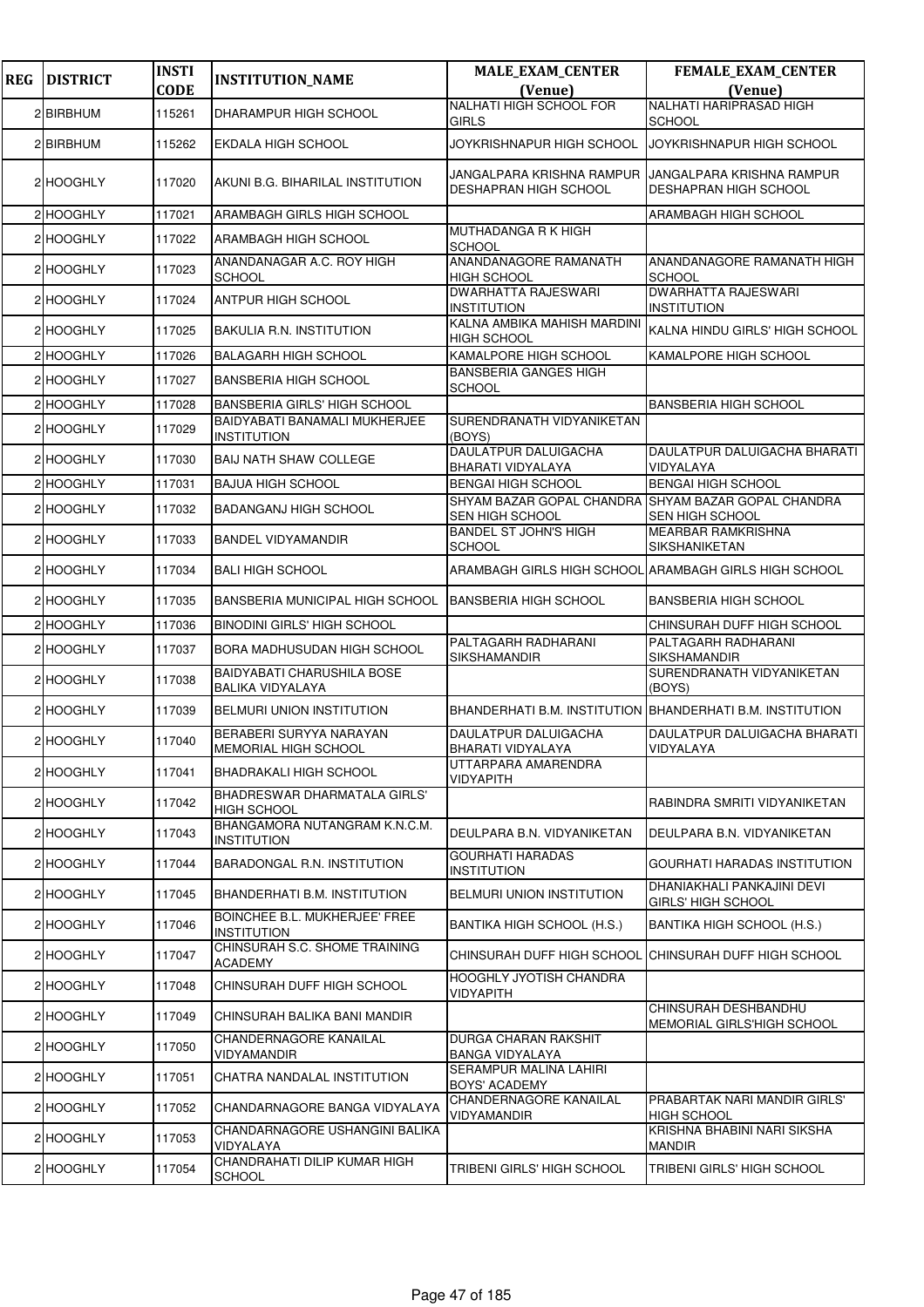| <b>REG</b> | <b>DISTRICT</b> | <b>INSTI</b> | <b>INSTITUTION_NAME</b>                                      | <b>MALE_EXAM_CENTER</b>                            | <b>FEMALE_EXAM_CENTER</b>                                  |
|------------|-----------------|--------------|--------------------------------------------------------------|----------------------------------------------------|------------------------------------------------------------|
|            |                 | <b>CODE</b>  |                                                              | (Venue)<br>NALHATI HIGH SCHOOL FOR                 | (Venue)<br>NALHATI HARIPRASAD HIGH                         |
|            | 2 BIRBHUM       | 115261       | DHARAMPUR HIGH SCHOOL                                        | GIRLS                                              | <b>SCHOOL</b>                                              |
|            | 2 BIRBHUM       | 115262       | EKDALA HIGH SCHOOL                                           | JOYKRISHNAPUR HIGH SCHOOL                          | JOYKRISHNAPUR HIGH SCHOOL                                  |
|            | 2 HOOGHLY       | 117020       | AKUNI B.G. BIHARILAL INSTITUTION                             | JANGALPARA KRISHNA RAMPUR<br>DESHAPRAN HIGH SCHOOL | JANGALPARA KRISHNA RAMPUR<br>DESHAPRAN HIGH SCHOOL         |
|            | 2 HOOGHLY       | 117021       | ARAMBAGH GIRLS HIGH SCHOOL                                   |                                                    | ARAMBAGH HIGH SCHOOL                                       |
|            | 2 HOOGHLY       | 117022       | ARAMBAGH HIGH SCHOOL                                         | MUTHADANGA R K HIGH<br>SCHOOL                      |                                                            |
|            | 2 HOOGHLY       | 117023       | ANANDANAGAR A.C. ROY HIGH<br><b>SCHOOL</b>                   | ANANDANAGORE RAMANATH<br>HIGH SCHOOL               | ANANDANAGORE RAMANATH HIGH<br><b>SCHOOL</b>                |
|            | 2 HOOGHLY       | 117024       | ANTPUR HIGH SCHOOL                                           | <b>DWARHATTA RAJESWARI</b><br>INSTITUTION          | <b>DWARHATTA RAJESWARI</b><br><b>INSTITUTION</b>           |
|            | 2 HOOGHLY       | 117025       | BAKULIA R.N. INSTITUTION                                     | KALNA AMBIKA MAHISH MARDINI<br>HIGH SCHOOL         | KALNA HINDU GIRLS' HIGH SCHOOL                             |
|            | 2 HOOGHLY       | 117026       | <b>BALAGARH HIGH SCHOOL</b>                                  | KAMALPORE HIGH SCHOOL                              | KAMALPORE HIGH SCHOOL                                      |
|            | 2 HOOGHLY       | 117027       | <b>BANSBERIA HIGH SCHOOL</b>                                 | <b>BANSBERIA GANGES HIGH</b><br><b>SCHOOL</b>      |                                                            |
|            | 2 HOOGHLY       | 117028       | <b>BANSBERIA GIRLS' HIGH SCHOOL</b>                          |                                                    | <b>BANSBERIA HIGH SCHOOL</b>                               |
|            | 2 HOOGHLY       | 117029       | BAIDYABATI BANAMALI MUKHERJEE<br><b>INSTITUTION</b>          | SURENDRANATH VIDYANIKETAN<br>(BOYS)                |                                                            |
|            | 2 HOOGHLY       | 117030       | <b>BAIJ NATH SHAW COLLEGE</b>                                | DAULATPUR DALUIGACHA<br>BHARATI VIDYALAYA          | DAULATPUR DALUIGACHA BHARATI<br>VIDYALAYA                  |
|            | 2 HOOGHLY       | 117031       | <b>BAJUA HIGH SCHOOL</b>                                     | <b>BENGAI HIGH SCHOOL</b>                          | <b>BENGAI HIGH SCHOOL</b>                                  |
|            | 2 HOOGHLY       | 117032       | <b>BADANGANJ HIGH SCHOOL</b>                                 | SHYAM BAZAR GOPAL CHANDRA<br>SEN HIGH SCHOOL       | SHYAM BAZAR GOPAL CHANDRA<br>SEN HIGH SCHOOL               |
|            | 2 HOOGHLY       | 117033       | <b>BANDEL VIDYAMANDIR</b>                                    | <b>BANDEL ST JOHN'S HIGH</b><br>SCHOOL             | <b>MEARBAR RAMKRISHNA</b><br>SIKSHANIKETAN                 |
|            | 2 HOOGHLY       | 117034       | <b>BALI HIGH SCHOOL</b>                                      |                                                    | ARAMBAGH GIRLS HIGH SCHOOL ARAMBAGH GIRLS HIGH SCHOOL      |
|            | 2 HOOGHLY       | 117035       | BANSBERIA MUNICIPAL HIGH SCHOOL                              | <b>BANSBERIA HIGH SCHOOL</b>                       | <b>BANSBERIA HIGH SCHOOL</b>                               |
|            | 2 HOOGHLY       | 117036       | <b>BINODINI GIRLS' HIGH SCHOOL</b>                           |                                                    | CHINSURAH DUFF HIGH SCHOOL                                 |
|            | 2 HOOGHLY       | 117037       | BORA MADHUSUDAN HIGH SCHOOL                                  | PALTAGARH RADHARANI<br>SIKSHAMANDIR                | PALTAGARH RADHARANI<br>SIKSHAMANDIR                        |
|            | 2 HOOGHLY       | 117038       | <b>BAIDYABATI CHARUSHILA BOSE</b><br><b>BALIKA VIDYALAYA</b> |                                                    | SURENDRANATH VIDYANIKETAN<br>(BOYS)                        |
|            | 2 HOOGHLY       | 117039       | BELMURI UNION INSTITUTION                                    |                                                    | BHANDERHATI B.M. INSTITUTION IBHANDERHATI B.M. INSTITUTION |
|            | 2 HOOGHLY       | 117040       | BERABERI SURYYA NARAYAN<br><b>MEMORIAL HIGH SCHOOL</b>       | DAULATPUR DALUIGACHA<br>BHARATI VIDYALAYA          | DAULATPUR DALUIGACHA BHARATI<br>VIDYALAYA                  |
|            | 2 HOOGHLY       | 117041       | <b>BHADRAKALI HIGH SCHOOL</b>                                | UTTARPARA AMARENDRA<br>VIDYAPITH                   |                                                            |
|            | 2 HOOGHLY       | 117042       | BHADRESWAR DHARMATALA GIRLS'<br><b>HIGH SCHOOL</b>           |                                                    | RABINDRA SMRITI VIDYANIKETAN                               |
|            | 2 HOOGHLY       | 117043       | BHANGAMORA NUTANGRAM K.N.C.M.<br><b>INSTITUTION</b>          | DEULPARA B.N. VIDYANIKETAN                         | DEULPARA B.N. VIDYANIKETAN                                 |
|            | 2 HOOGHLY       | 117044       | BARADONGAL R.N. INSTITUTION                                  | GOURHATI HARADAS<br>INSTITUTION                    | <b>GOURHATI HARADAS INSTITUTION</b>                        |
|            | 2 HOOGHLY       | 117045       | BHANDERHATI B.M. INSTITUTION                                 | <b>BELMURI UNION INSTITUTION</b>                   | DHANIAKHALI PANKAJINI DEVI<br>GIRLS' HIGH SCHOOL           |
|            | 2 HOOGHLY       | 117046       | BOINCHEE B.L. MUKHERJEE' FREE<br><b>INSTITUTION</b>          | <b>BANTIKA HIGH SCHOOL (H.S.)</b>                  | <b>BANTIKA HIGH SCHOOL (H.S.)</b>                          |
|            | 2 HOOGHLY       | 117047       | CHINSURAH S.C. SHOME TRAINING<br><b>ACADEMY</b>              | CHINSURAH DUFF HIGH SCHOOL                         | CHINSURAH DUFF HIGH SCHOOL                                 |
|            | 2 HOOGHLY       | 117048       | CHINSURAH DUFF HIGH SCHOOL                                   | HOOGHLY JYOTISH CHANDRA<br>VIDYAPITH               |                                                            |
|            | 2 HOOGHLY       | 117049       | CHINSURAH BALIKA BANI MANDIR                                 |                                                    | <b>CHINSURAH DESHBANDHU</b><br>MEMORIAL GIRLS'HIGH SCHOOL  |
|            | 2 HOOGHLY       | 117050       | CHANDERNAGORE KANAILAL<br>VIDYAMANDIR                        | DURGA CHARAN RAKSHIT<br>BANGA VIDYALAYA            |                                                            |
|            | 2 HOOGHLY       | 117051       | CHATRA NANDALAL INSTITUTION                                  | SERAMPUR MALINA LAHIRI<br>BOYS' ACADEMY            |                                                            |
|            | 2 HOOGHLY       | 117052       | CHANDARNAGORE BANGA VIDYALAYA                                | CHANDERNAGORE KANAILAL<br>VIDYAMANDIR              | PRABARTAK NARI MANDIR GIRLS'<br><b>HIGH SCHOOL</b>         |
|            | 2 HOOGHLY       | 117053       | CHANDARNAGORE USHANGINI BALIKA<br>VIDYALAYA                  |                                                    | KRISHNA BHABINI NARI SIKSHA<br>MANDIR                      |
|            | 2 HOOGHLY       | 117054       | CHANDRAHATI DILIP KUMAR HIGH<br><b>SCHOOL</b>                | TRIBENI GIRLS' HIGH SCHOOL                         | TRIBENI GIRLS' HIGH SCHOOL                                 |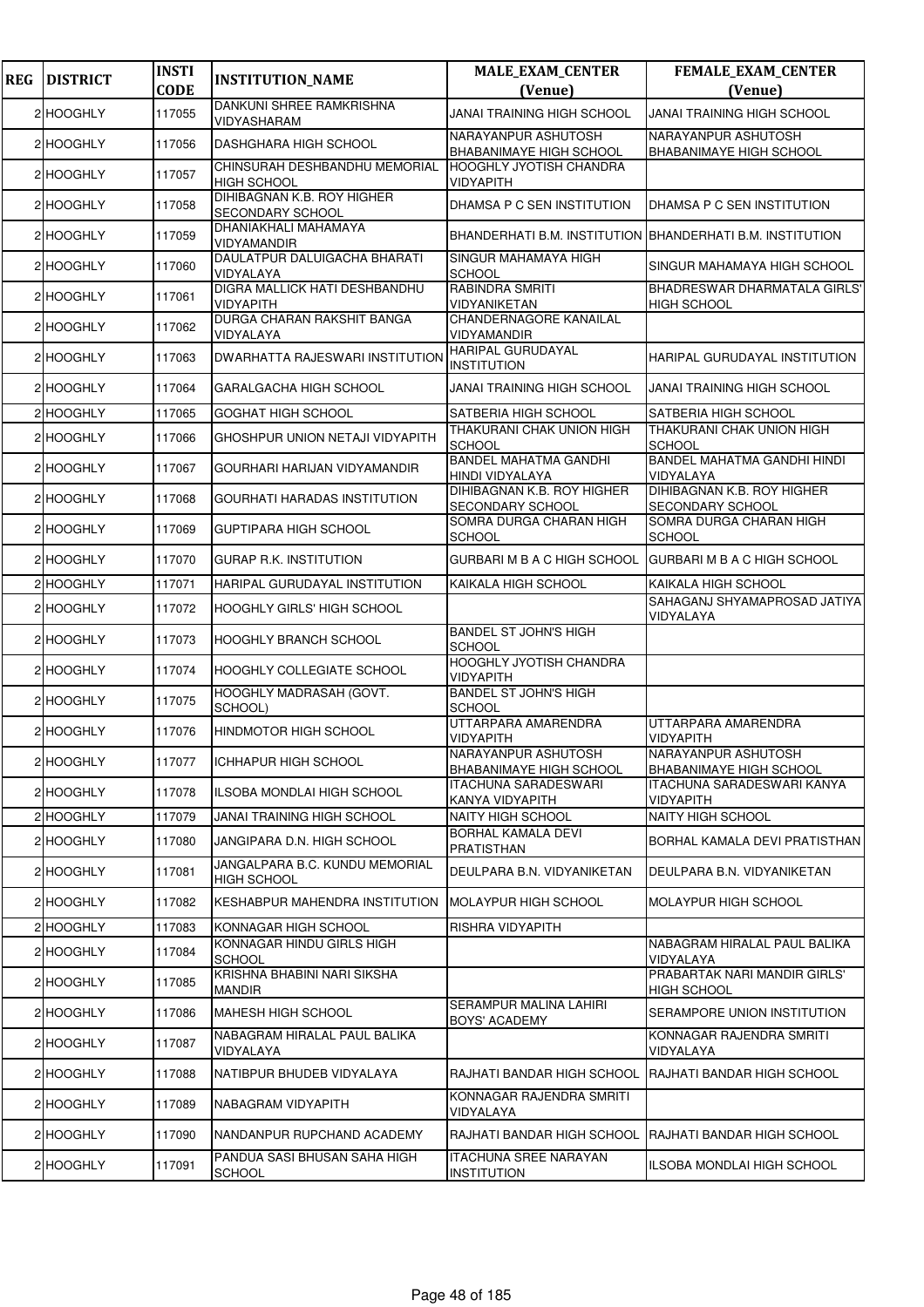| <b>REG</b> | <b>DISTRICT</b> | <b>INSTI</b><br><b>CODE</b> | <b>INSTITUTION_NAME</b>                              | <b>MALE_EXAM_CENTER</b><br>(Venue)                        | FEMALE_EXAM_CENTER<br>(Venue)                         |
|------------|-----------------|-----------------------------|------------------------------------------------------|-----------------------------------------------------------|-------------------------------------------------------|
|            | 2 HOOGHLY       | 117055                      | DANKUNI SHREE RAMKRISHNA<br>VIDYASHARAM              | <b>JANAI TRAINING HIGH SCHOOL</b>                         | <b>JANAI TRAINING HIGH SCHOOL</b>                     |
|            | 2 HOOGHLY       | 117056                      | DASHGHARA HIGH SCHOOL                                | NARAYANPUR ASHUTOSH<br>BHABANIMAYE HIGH SCHOOL            | NARAYANPUR ASHUTOSH<br><b>BHABANIMAYE HIGH SCHOOL</b> |
|            | 2 HOOGHLY       | 117057                      | CHINSURAH DESHBANDHU MEMORIAL<br><b>HIGH SCHOOL</b>  | <b>HOOGHLY JYOTISH CHANDRA</b><br>VIDYAPITH               |                                                       |
|            | 2 HOOGHLY       | 117058                      | DIHIBAGNAN K.B. ROY HIGHER<br>SECONDARY SCHOOL       | DHAMSA P C SEN INSTITUTION                                | DHAMSA P C SEN INSTITUTION                            |
|            | 2 HOOGHLY       | 117059                      | DHANIAKHALI MAHAMAYA<br>VIDYAMANDIR                  | BHANDERHATI B.M. INSTITUTION BHANDERHATI B.M. INSTITUTION |                                                       |
|            | 2 HOOGHLY       | 117060                      | DAULATPUR DALUIGACHA BHARATI<br>VIDYALAYA            | SINGUR MAHAMAYA HIGH<br><b>SCHOOL</b>                     | SINGUR MAHAMAYA HIGH SCHOOL                           |
|            | 2 HOOGHLY       | 117061                      | DIGRA MALLICK HATI DESHBANDHU<br>VIDYAPITH           | RABINDRA SMRITI<br>VIDYANIKETAN                           | BHADRESWAR DHARMATALA GIRLS'<br><b>HIGH SCHOOL</b>    |
|            | 2 HOOGHLY       | 117062                      | DURGA CHARAN RAKSHIT BANGA<br>VIDYALAYA              | CHANDERNAGORE KANAILAL<br>VIDYAMANDIR                     |                                                       |
|            | 2 HOOGHLY       | 117063                      | DWARHATTA RAJESWARI INSTITUTION                      | HARIPAL GURUDAYAL<br><b>INSTITUTION</b>                   | HARIPAL GURUDAYAL INSTITUTION                         |
|            | 2 HOOGHLY       | 117064                      | <b>GARALGACHA HIGH SCHOOL</b>                        | JANAI TRAINING HIGH SCHOOL                                | <b>JANAI TRAINING HIGH SCHOOL</b>                     |
|            | 2 HOOGHLY       | 117065                      | <b>GOGHAT HIGH SCHOOL</b>                            | SATBERIA HIGH SCHOOL                                      | SATBERIA HIGH SCHOOL                                  |
|            | 2 HOOGHLY       | 117066                      | GHOSHPUR UNION NETAJI VIDYAPITH                      | THAKURANI CHAK UNION HIGH<br><b>SCHOOL</b>                | THAKURANI CHAK UNION HIGH<br><b>SCHOOL</b>            |
|            | 2 HOOGHLY       | 117067                      | GOURHARI HARIJAN VIDYAMANDIR                         | <b>BANDEL MAHATMA GANDHI</b><br>HINDI VIDYALAYA           | BANDEL MAHATMA GANDHI HINDI<br>VIDYALAYA              |
|            | 2 HOOGHLY       | 117068                      | GOURHATI HARADAS INSTITUTION                         | DIHIBAGNAN K.B. ROY HIGHER<br>SECONDARY SCHOOL            | DIHIBAGNAN K.B. ROY HIGHER<br><b>SECONDARY SCHOOL</b> |
|            | 2 HOOGHLY       | 117069                      | <b>GUPTIPARA HIGH SCHOOL</b>                         | SOMRA DURGA CHARAN HIGH<br><b>SCHOOL</b>                  | SOMRA DURGA CHARAN HIGH<br><b>SCHOOL</b>              |
|            | 2 HOOGHLY       | 117070                      | <b>GURAP R.K. INSTITUTION</b>                        | GURBARI M B A C HIGH SCHOOL                               | <b>GURBARI M B A C HIGH SCHOOL</b>                    |
|            | 2 HOOGHLY       | 117071                      | HARIPAL GURUDAYAL INSTITUTION                        | KAIKALA HIGH SCHOOL                                       | KAIKALA HIGH SCHOOL                                   |
|            | 2 HOOGHLY       | 117072                      | HOOGHLY GIRLS' HIGH SCHOOL                           |                                                           | SAHAGANJ SHYAMAPROSAD JATIYA<br>VIDYALAYA             |
|            | 2 HOOGHLY       | 117073                      | HOOGHLY BRANCH SCHOOL                                | BANDEL ST JOHN'S HIGH<br>SCHOOL                           |                                                       |
|            | 2 HOOGHLY       | 117074                      | HOOGHLY COLLEGIATE SCHOOL                            | HOOGHLY JYOTISH CHANDRA<br>VIDYAPITH                      |                                                       |
|            | 2 HOOGHLY       | 117075                      | HOOGHLY MADRASAH (GOVT.<br>SCHOOL)                   | <b>BANDEL ST JOHN'S HIGH</b><br><b>SCHOOL</b>             |                                                       |
|            | 2 HOOGHLY       | 117076                      | HINDMOTOR HIGH SCHOOL                                | UTTARPARA AMARENDRA<br>VIDYAPITH                          | UTTARPARA AMARENDRA<br><b>VIDYAPITH</b>               |
|            | 2 HOOGHLY       | 117077                      | ICHHAPUR HIGH SCHOOL                                 | NARAYANPUR ASHUTOSH<br><b>BHABANIMAYE HIGH SCHOOL</b>     | NARAYANPUR ASHUTOSH<br><b>BHABANIMAYE HIGH SCHOOL</b> |
|            | 2 HOOGHLY       | 117078                      | ILSOBA MONDLAI HIGH SCHOOL                           | ITACHUNA SARADESWARI<br>KANYA VIDYAPITH                   | ITACHUNA SARADESWARI KANYA<br><b>VIDYAPITH</b>        |
|            | 2 HOOGHLY       | 117079                      | JANAI TRAINING HIGH SCHOOL                           | NAITY HIGH SCHOOL                                         | <b>NAITY HIGH SCHOOL</b>                              |
|            | 2 HOOGHLY       | 117080                      | JANGIPARA D.N. HIGH SCHOOL                           | BORHAL KAMALA DEVI<br>PRATISTHAN                          | BORHAL KAMALA DEVI PRATISTHAN                         |
|            | 2 HOOGHLY       | 117081                      | JANGALPARA B.C. KUNDU MEMORIAL<br><b>HIGH SCHOOL</b> | DEULPARA B.N. VIDYANIKETAN                                | DEULPARA B.N. VIDYANIKETAN                            |
|            | 2 HOOGHLY       | 117082                      | <b>KESHABPUR MAHENDRA INSTITUTION</b>                | <b>MOLAYPUR HIGH SCHOOL</b>                               | <b>MOLAYPUR HIGH SCHOOL</b>                           |
|            | 2 HOOGHLY       | 117083                      | KONNAGAR HIGH SCHOOL                                 | RISHRA VIDYAPITH                                          |                                                       |
|            | 2 HOOGHLY       | 117084                      | KONNAGAR HINDU GIRLS HIGH<br><b>SCHOOL</b>           |                                                           | NABAGRAM HIRALAL PAUL BALIKA<br>VIDYALAYA             |
|            | 2 HOOGHLY       | 117085                      | KRISHNA BHABINI NARI SIKSHA<br>MANDIR                |                                                           | PRABARTAK NARI MANDIR GIRLS'<br><b>HIGH SCHOOL</b>    |
|            | 2 HOOGHLY       | 117086                      | MAHESH HIGH SCHOOL                                   | SERAMPUR MALINA LAHIRI<br>BOYS' ACADEMY                   | SERAMPORE UNION INSTITUTION                           |
|            | 2 HOOGHLY       | 117087                      | NABAGRAM HIRALAL PAUL BALIKA<br>VIDYALAYA            |                                                           | KONNAGAR RAJENDRA SMRITI<br>VIDYALAYA                 |
|            | 2 HOOGHLY       | 117088                      | NATIBPUR BHUDEB VIDYALAYA                            | RAJHATI BANDAR HIGH SCHOOL                                | RAJHATI BANDAR HIGH SCHOOL                            |
|            | 2 HOOGHLY       | 117089                      | NABAGRAM VIDYAPITH                                   | KONNAGAR RAJENDRA SMRITI<br>VIDYALAYA                     |                                                       |
|            | 2 HOOGHLY       | 117090                      | NANDANPUR RUPCHAND ACADEMY                           | RAJHATI BANDAR HIGH SCHOOL                                | RAJHATI BANDAR HIGH SCHOOL                            |
|            | 2 HOOGHLY       | 117091                      | PANDUA SASI BHUSAN SAHA HIGH<br><b>SCHOOL</b>        | ITACHUNA SREE NARAYAN<br><b>INSTITUTION</b>               | ILSOBA MONDLAI HIGH SCHOOL                            |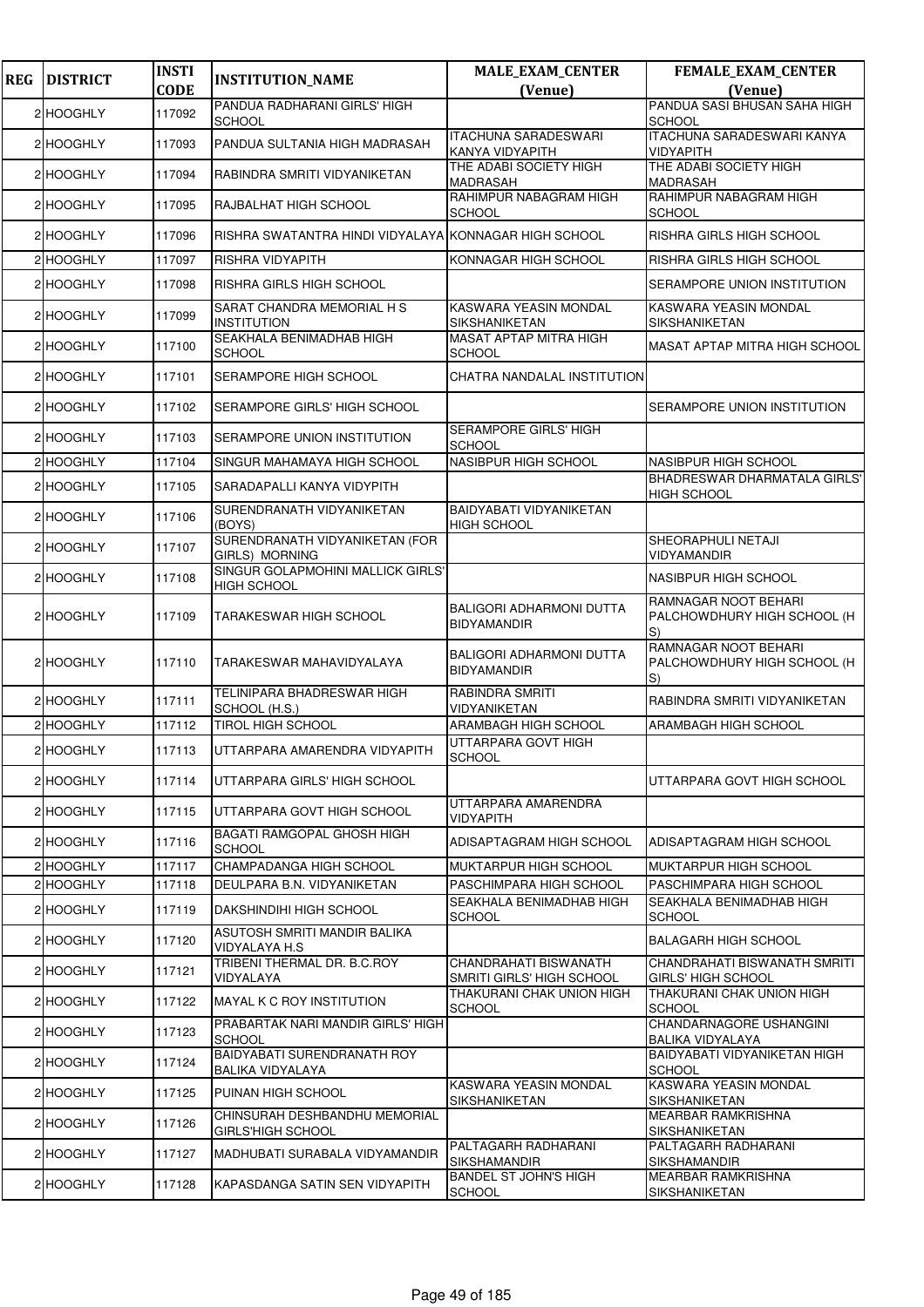| <b>REG</b> | <b>DISTRICT</b> | <b>INSTI</b> | <b>INSTITUTION_NAME</b>                                   | <b>MALE_EXAM_CENTER</b>                               | <b>FEMALE_EXAM_CENTER</b>                                 |
|------------|-----------------|--------------|-----------------------------------------------------------|-------------------------------------------------------|-----------------------------------------------------------|
|            |                 | <b>CODE</b>  | PANDUA RADHARANI GIRLS' HIGH                              | (Venue)                                               | (Venue)<br>PANDUA SASI BHUSAN SAHA HIGH                   |
|            | 2 HOOGHLY       | 117092       | <b>SCHOOL</b>                                             |                                                       | <b>SCHOOL</b>                                             |
|            | 2 HOOGHLY       | 117093       | PANDUA SULTANIA HIGH MADRASAH                             | <b>ITACHUNA SARADESWARI</b><br>KANYA VIDYAPITH        | <b>ITACHUNA SARADESWARI KANYA</b><br>VIDYAPITH            |
|            | 2 HOOGHLY       | 117094       | RABINDRA SMRITI VIDYANIKETAN                              | THE ADABI SOCIETY HIGH<br><b>MADRASAH</b>             | THE ADABI SOCIETY HIGH<br>MADRASAH                        |
|            | 2 HOOGHLY       | 117095       | RAJBALHAT HIGH SCHOOL                                     | RAHIMPUR NABAGRAM HIGH<br><b>SCHOOL</b>               | RAHIMPUR NABAGRAM HIGH<br><b>SCHOOL</b>                   |
|            | 2 HOOGHLY       | 117096       | RISHRA SWATANTRA HINDI VIDYALAYA KONNAGAR HIGH SCHOOL     |                                                       | RISHRA GIRLS HIGH SCHOOL                                  |
|            | 2 HOOGHLY       | 117097       | RISHRA VIDYAPITH                                          | KONNAGAR HIGH SCHOOL                                  | RISHRA GIRLS HIGH SCHOOL                                  |
|            | 2 HOOGHLY       | 117098       | RISHRA GIRLS HIGH SCHOOL                                  |                                                       | SERAMPORE UNION INSTITUTION                               |
|            | 2 HOOGHLY       | 117099       | SARAT CHANDRA MEMORIAL H S<br><b>INSTITUTION</b>          | <b>KASWARA YEASIN MONDAL</b><br>SIKSHANIKETAN         | KASWARA YEASIN MONDAL<br>SIKSHANIKETAN                    |
|            | 2 HOOGHLY       | 117100       | SEAKHALA BENIMADHAB HIGH<br><b>SCHOOL</b>                 | MASAT APTAP MITRA HIGH<br><b>SCHOOL</b>               | MASAT APTAP MITRA HIGH SCHOOL                             |
|            | 2 HOOGHLY       | 117101       | <b>SERAMPORE HIGH SCHOOL</b>                              | CHATRA NANDALAL INSTITUTION                           |                                                           |
|            | 2 HOOGHLY       | 117102       | SERAMPORE GIRLS' HIGH SCHOOL                              |                                                       | SERAMPORE UNION INSTITUTION                               |
|            | 2 HOOGHLY       | 117103       | <b>SERAMPORE UNION INSTITUTION</b>                        | <b>SERAMPORE GIRLS' HIGH</b><br><b>SCHOOL</b>         |                                                           |
|            | 2 HOOGHLY       | 117104       | SINGUR MAHAMAYA HIGH SCHOOL                               | NASIBPUR HIGH SCHOOL                                  | NASIBPUR HIGH SCHOOL                                      |
|            | 2 HOOGHLY       | 117105       | SARADAPALLI KANYA VIDYPITH                                |                                                       | BHADRESWAR DHARMATALA GIRLS'<br><b>HIGH SCHOOL</b>        |
|            | 2 HOOGHLY       | 117106       | SURENDRANATH VIDYANIKETAN<br>(BOYS)                       | <b>BAIDYABATI VIDYANIKETAN</b><br><b>HIGH SCHOOL</b>  |                                                           |
|            | 2 HOOGHLY       | 117107       | SURENDRANATH VIDYANIKETAN (FOR<br>GIRLS) MORNING          |                                                       | SHEORAPHULI NETAJI<br>VIDYAMANDIR                         |
|            | 2 HOOGHLY       | 117108       | SINGUR GOLAPMOHINI MALLICK GIRLS'<br><b>HIGH SCHOOL</b>   |                                                       | <b>NASIBPUR HIGH SCHOOL</b>                               |
|            | 2 HOOGHLY       | 117109       | <b>TARAKESWAR HIGH SCHOOL</b>                             | <b>BALIGORI ADHARMONI DUTTA</b><br><b>BIDYAMANDIR</b> | RAMNAGAR NOOT BEHARI<br>PALCHOWDHURY HIGH SCHOOL (H<br>S) |
|            | 2 HOOGHLY       | 117110       | TARAKESWAR MAHAVIDYALAYA                                  | <b>BALIGORI ADHARMONI DUTTA</b><br><b>BIDYAMANDIR</b> | RAMNAGAR NOOT BEHARI<br>PALCHOWDHURY HIGH SCHOOL (H<br>S) |
|            | 2 HOOGHLY       | 117111       | TELINIPARA BHADRESWAR HIGH<br>SCHOOL (H.S.)               | RABINDRA SMRITI<br>VIDYANIKETAN                       | RABINDRA SMRITI VIDYANIKETAN                              |
|            | 2 HOOGHLY       | 117112       | <b>TIROL HIGH SCHOOL</b>                                  | ARAMBAGH HIGH SCHOOL                                  | ARAMBAGH HIGH SCHOOL                                      |
|            | 2 HOOGHLY       | 117113       | UTTARPARA AMARENDRA VIDYAPITH                             | UTTARPARA GOVT HIGH<br><b>SCHOOL</b>                  |                                                           |
|            | 2 HOOGHLY       | 117114       | UTTARPARA GIRLS' HIGH SCHOOL                              |                                                       | UTTARPARA GOVT HIGH SCHOOL                                |
|            | 2 HOOGHLY       | 117115       | UTTARPARA GOVT HIGH SCHOOL                                | UTTARPARA AMARENDRA<br>VIDYAPITH                      |                                                           |
|            | 2 HOOGHLY       | 117116       | BAGATI RAMGOPAL GHOSH HIGH<br><b>SCHOOL</b>               | ADISAPTAGRAM HIGH SCHOOL                              | ADISAPTAGRAM HIGH SCHOOL                                  |
|            | 2 HOOGHLY       | 117117       | CHAMPADANGA HIGH SCHOOL                                   | <b>MUKTARPUR HIGH SCHOOL</b>                          | MUKTARPUR HIGH SCHOOL                                     |
|            | 2 HOOGHLY       | 117118       | DEULPARA B.N. VIDYANIKETAN                                | PASCHIMPARA HIGH SCHOOL                               | PASCHIMPARA HIGH SCHOOL                                   |
|            | 2 HOOGHLY       | 117119       | DAKSHINDIHI HIGH SCHOOL                                   | SEAKHALA BENIMADHAB HIGH<br>SCHOOL                    | SEAKHALA BENIMADHAB HIGH<br><b>SCHOOL</b>                 |
|            | 2 HOOGHLY       | 117120       | ASUTOSH SMRITI MANDIR BALIKA<br>VIDYALAYA H.S.            |                                                       | <b>BALAGARH HIGH SCHOOL</b>                               |
|            | 2 HOOGHLY       | 117121       | TRIBENI THERMAL DR. B.C.ROY<br>VIDYALAYA                  | CHANDRAHATI BISWANATH<br>SMRITI GIRLS' HIGH SCHOOL    | CHANDRAHATI BISWANATH SMRITI<br>GIRLS' HIGH SCHOOL        |
|            | 2 HOOGHLY       | 117122       | <b>MAYAL K C ROY INSTITUTION</b>                          | THAKURANI CHAK UNION HIGH<br><b>SCHOOL</b>            | THAKURANI CHAK UNION HIGH<br><b>SCHOOL</b>                |
|            | 2 HOOGHLY       | 117123       | PRABARTAK NARI MANDIR GIRLS' HIGH<br><b>SCHOOL</b>        |                                                       | CHANDARNAGORE USHANGINI<br>BALIKA VIDYALAYA               |
|            | 2 HOOGHLY       | 117124       | BAIDYABATI SURENDRANATH ROY<br>BALIKA VIDYALAYA           |                                                       | BAIDYABATI VIDYANIKETAN HIGH<br><b>SCHOOL</b>             |
|            | 2 HOOGHLY       | 117125       | PUINAN HIGH SCHOOL                                        | KASWARA YEASIN MONDAL<br>SIKSHANIKETAN                | KASWARA YEASIN MONDAL<br><b>SIKSHANIKETAN</b>             |
|            | 2 HOOGHLY       | 117126       | CHINSURAH DESHBANDHU MEMORIAL<br><b>GIRLS'HIGH SCHOOL</b> |                                                       | <b>MEARBAR RAMKRISHNA</b><br>SIKSHANIKETAN                |
|            | 2 HOOGHLY       | 117127       | MADHUBATI SURABALA VIDYAMANDIR                            | PALTAGARH RADHARANI<br><b>SIKSHAMANDIR</b>            | PALTAGARH RADHARANI<br><b>SIKSHAMANDIR</b>                |
|            | 2 HOOGHLY       | 117128       | KAPASDANGA SATIN SEN VIDYAPITH                            | <b>BANDEL ST JOHN'S HIGH</b><br><b>SCHOOL</b>         | MEARBAR RAMKRISHNA<br>SIKSHANIKETAN                       |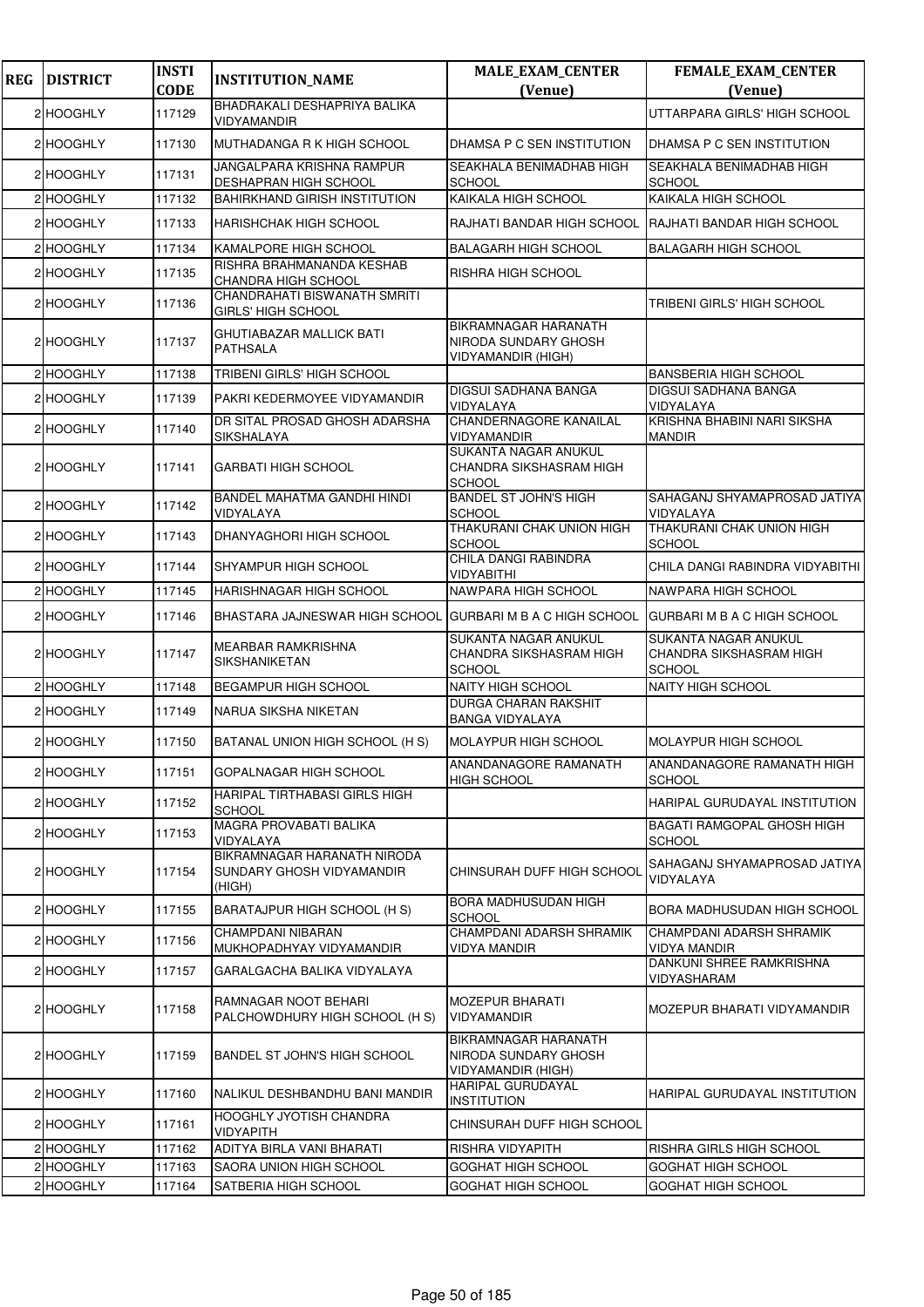| <b>REG</b> | <b>DISTRICT</b> | <b>INSTI</b><br><b>CODE</b> | <b>INSTITUTION_NAME</b>                                            | <b>MALE_EXAM_CENTER</b><br>(Venue)                                        | <b>FEMALE_EXAM_CENTER</b><br>(Venue)                             |
|------------|-----------------|-----------------------------|--------------------------------------------------------------------|---------------------------------------------------------------------------|------------------------------------------------------------------|
|            | 2 HOOGHLY       | 117129                      | BHADRAKALI DESHAPRIYA BALIKA<br>VIDYAMANDIR                        |                                                                           | UTTARPARA GIRLS' HIGH SCHOOL                                     |
|            | 2 HOOGHLY       | 117130                      | MUTHADANGA R K HIGH SCHOOL                                         | DHAMSA P C SEN INSTITUTION                                                | DHAMSA P C SEN INSTITUTION                                       |
|            | 2 HOOGHLY       | 117131                      | JANGALPARA KRISHNA RAMPUR<br><b>DESHAPRAN HIGH SCHOOL</b>          | SEAKHALA BENIMADHAB HIGH<br><b>SCHOOL</b>                                 | SEAKHALA BENIMADHAB HIGH<br><b>SCHOOL</b>                        |
|            | 2 HOOGHLY       | 117132                      | <b>BAHIRKHAND GIRISH INSTITUTION</b>                               | KAIKALA HIGH SCHOOL                                                       | KAIKALA HIGH SCHOOL                                              |
|            | 2 HOOGHLY       | 117133                      | HARISHCHAK HIGH SCHOOL                                             | RAJHATI BANDAR HIGH SCHOOL                                                | RAJHATI BANDAR HIGH SCHOOL                                       |
|            | 2 HOOGHLY       | 117134                      | KAMALPORE HIGH SCHOOL                                              | <b>BALAGARH HIGH SCHOOL</b>                                               | <b>BALAGARH HIGH SCHOOL</b>                                      |
|            | 2 HOOGHLY       | 117135                      | RISHRA BRAHMANANDA KESHAB<br><b>CHANDRA HIGH SCHOOL</b>            | RISHRA HIGH SCHOOL                                                        |                                                                  |
|            | 2 HOOGHLY       | 117136                      | CHANDRAHATI BISWANATH SMRITI<br><b>GIRLS' HIGH SCHOOL</b>          |                                                                           | TRIBENI GIRLS' HIGH SCHOOL                                       |
|            | 2 HOOGHLY       | 117137                      | <b>GHUTIABAZAR MALLICK BATI</b><br><b>PATHSALA</b>                 | <b>BIKRAMNAGAR HARANATH</b><br>NIRODA SUNDARY GHOSH<br>VIDYAMANDIR (HIGH) |                                                                  |
|            | 2 HOOGHLY       | 117138                      | TRIBENI GIRLS' HIGH SCHOOL                                         |                                                                           | <b>BANSBERIA HIGH SCHOOL</b>                                     |
|            | 2 HOOGHLY       | 117139                      | PAKRI KEDERMOYEE VIDYAMANDIR                                       | <b>DIGSUI SADHANA BANGA</b><br>VIDYALAYA                                  | DIGSUI SADHANA BANGA<br>VIDYALAYA                                |
|            | 2 HOOGHLY       | 117140                      | DR SITAL PROSAD GHOSH ADARSHA<br>SIKSHALAYA                        | CHANDERNAGORE KANAILAL<br><b>VIDYAMANDIR</b>                              | KRISHNA BHABINI NARI SIKSHA<br><b>MANDIR</b>                     |
|            | 2 HOOGHLY       | 117141                      | <b>GARBATI HIGH SCHOOL</b>                                         | SUKANTA NAGAR ANUKUL<br><b>CHANDRA SIKSHASRAM HIGH</b><br><b>SCHOOL</b>   |                                                                  |
|            | 2 HOOGHLY       | 117142                      | BANDEL MAHATMA GANDHI HINDI<br>VIDYALAYA                           | <b>BANDEL ST JOHN'S HIGH</b><br><b>SCHOOL</b>                             | SAHAGANJ SHYAMAPROSAD JATIYA<br>VIDYALAYA                        |
|            | 2 HOOGHLY       | 117143                      | DHANYAGHORI HIGH SCHOOL                                            | THAKURANI CHAK UNION HIGH<br><b>SCHOOL</b>                                | THAKURANI CHAK UNION HIGH<br><b>SCHOOL</b>                       |
|            | 2 HOOGHLY       | 117144                      | SHYAMPUR HIGH SCHOOL                                               | CHILA DANGI RABINDRA<br><b>VIDYABITHI</b>                                 | CHILA DANGI RABINDRA VIDYABITHI                                  |
|            | 2 HOOGHLY       | 117145                      | HARISHNAGAR HIGH SCHOOL                                            | NAWPARA HIGH SCHOOL                                                       | NAWPARA HIGH SCHOOL                                              |
|            | 2 HOOGHLY       | 117146                      | BHASTARA JAJNESWAR HIGH SCHOOL GURBARI M B A C HIGH SCHOOL         |                                                                           | GURBARI M B A C HIGH SCHOOL                                      |
|            | 2 HOOGHLY       | 117147                      | <b>MEARBAR RAMKRISHNA</b><br><b>SIKSHANIKETAN</b>                  | SUKANTA NAGAR ANUKUL<br>CHANDRA SIKSHASRAM HIGH<br><b>SCHOOL</b>          | SUKANTA NAGAR ANUKUL<br>CHANDRA SIKSHASRAM HIGH<br><b>SCHOOL</b> |
|            | 2 HOOGHLY       | 117148                      | <b>BEGAMPUR HIGH SCHOOL</b>                                        | <b>NAITY HIGH SCHOOL</b>                                                  | <b>NAITY HIGH SCHOOL</b>                                         |
|            | 2 HOOGHLY       | 117149                      | NARUA SIKSHA NIKETAN                                               | <b>DURGA CHARAN RAKSHIT</b><br><b>BANGA VIDYALAYA</b>                     |                                                                  |
|            | 2 HOOGHLY       | 117150                      | BATANAL UNION HIGH SCHOOL (H S)                                    | <b>MOLAYPUR HIGH SCHOOL</b>                                               | MOLAYPUR HIGH SCHOOL                                             |
|            | 2 HOOGHLY       | 117151                      | GOPALNAGAR HIGH SCHOOL                                             | ANANDANAGORE RAMANATH<br><b>HIGH SCHOOL</b>                               | ANANDANAGORE RAMANATH HIGH<br><b>SCHOOL</b>                      |
|            | 2 HOOGHLY       | 117152                      | HARIPAL TIRTHABASI GIRLS HIGH<br><b>SCHOOL</b>                     |                                                                           | HARIPAL GURUDAYAL INSTITUTION                                    |
|            | 2 HOOGHLY       | 117153                      | MAGRA PROVABATI BALIKA<br>VIDYALAYA                                |                                                                           | BAGATI RAMGOPAL GHOSH HIGH<br><b>SCHOOL</b>                      |
|            | 2 HOOGHLY       | 117154                      | BIKRAMNAGAR HARANATH NIRODA<br>SUNDARY GHOSH VIDYAMANDIR<br>(HIGH) | CHINSURAH DUFF HIGH SCHOOL                                                | SAHAGANJ SHYAMAPROSAD JATIYA<br>VIDYALAYA                        |
|            | 2 HOOGHLY       | 117155                      | BARATAJPUR HIGH SCHOOL (H S)                                       | <b>BORA MADHUSUDAN HIGH</b><br><b>SCHOOL</b>                              | BORA MADHUSUDAN HIGH SCHOOL                                      |
|            | 2 HOOGHLY       | 117156                      | CHAMPDANI NIBARAN<br>MUKHOPADHYAY VIDYAMANDIR                      | CHAMPDANI ADARSH SHRAMIK<br>VIDYA MANDIR                                  | CHAMPDANI ADARSH SHRAMIK<br>VIDYA MANDIR                         |
|            | 2 HOOGHLY       | 117157                      | GARALGACHA BALIKA VIDYALAYA                                        |                                                                           | DANKUNI SHREE RAMKRISHNA<br>VIDYASHARAM                          |
|            | 2 HOOGHLY       | 117158                      | RAMNAGAR NOOT BEHARI<br>PALCHOWDHURY HIGH SCHOOL (H S)             | <b>MOZEPUR BHARATI</b><br>VIDYAMANDIR                                     | MOZEPUR BHARATI VIDYAMANDIR                                      |
|            | 2 HOOGHLY       | 117159                      | BANDEL ST JOHN'S HIGH SCHOOL                                       | <b>BIKRAMNAGAR HARANATH</b><br>NIRODA SUNDARY GHOSH<br>VIDYAMANDIR (HIGH) |                                                                  |
|            | 2 HOOGHLY       | 117160                      | NALIKUL DESHBANDHU BANI MANDIR                                     | <b>HARIPAL GURUDAYAL</b><br><b>INSTITUTION</b>                            | HARIPAL GURUDAYAL INSTITUTION                                    |
|            | 2 HOOGHLY       | 117161                      | <b>HOOGHLY JYOTISH CHANDRA</b><br><b>VIDYAPITH</b>                 | CHINSURAH DUFF HIGH SCHOOL                                                |                                                                  |
|            | 2 HOOGHLY       | 117162                      | ADITYA BIRLA VANI BHARATI                                          | RISHRA VIDYAPITH                                                          | RISHRA GIRLS HIGH SCHOOL                                         |
|            | 2 HOOGHLY       | 117163                      | SAORA UNION HIGH SCHOOL                                            | <b>GOGHAT HIGH SCHOOL</b>                                                 | GOGHAT HIGH SCHOOL                                               |
|            | 2 HOOGHLY       | 117164                      | SATBERIA HIGH SCHOOL                                               | <b>GOGHAT HIGH SCHOOL</b>                                                 | GOGHAT HIGH SCHOOL                                               |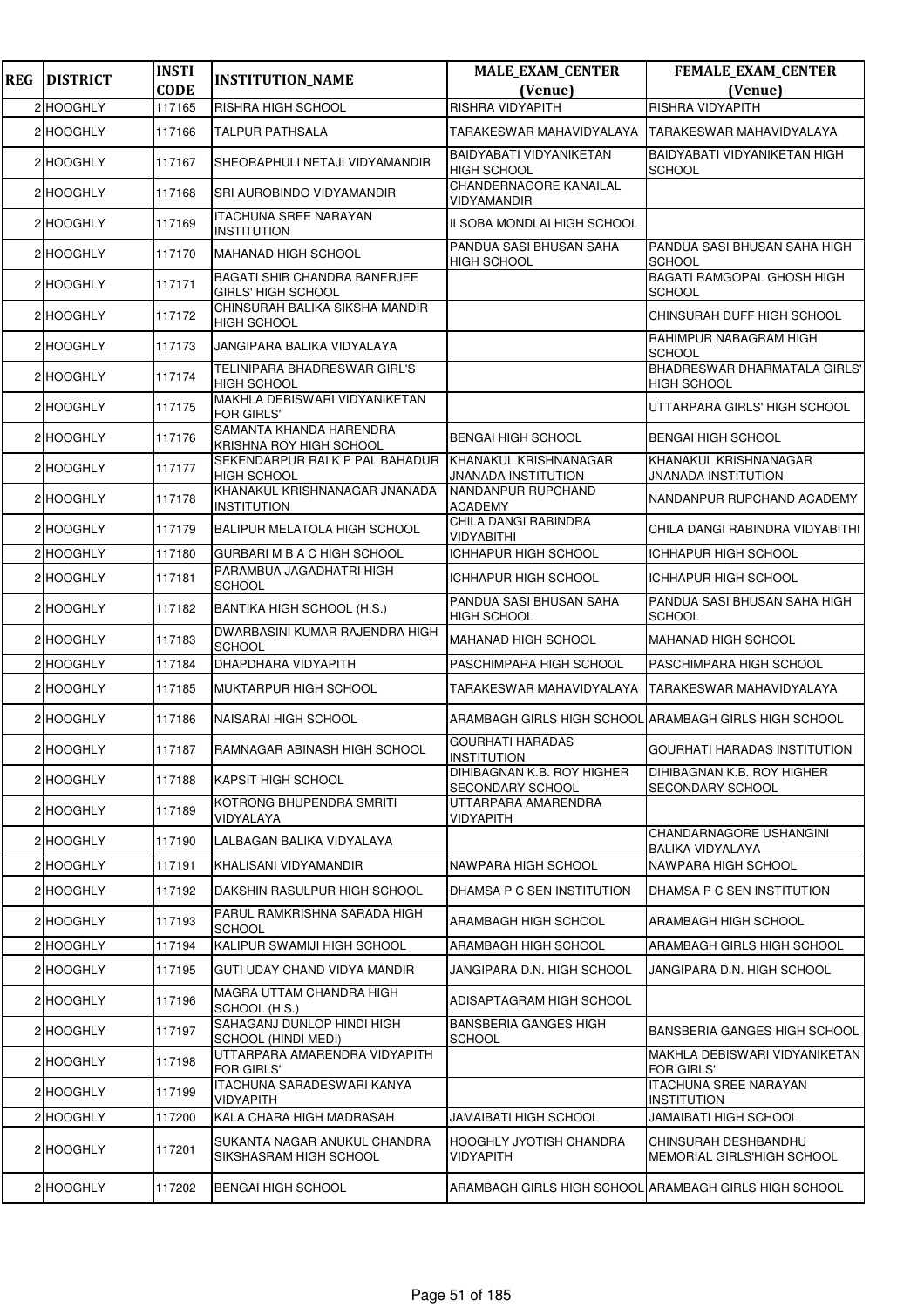| <b>REG</b> | <b>DISTRICT</b> | <b>INSTI</b> | <b>INSTITUTION_NAME</b>                                                     | <b>MALE_EXAM_CENTER</b>                               | <b>FEMALE_EXAM_CENTER</b>                                |
|------------|-----------------|--------------|-----------------------------------------------------------------------------|-------------------------------------------------------|----------------------------------------------------------|
|            |                 | <b>CODE</b>  |                                                                             | (Venue)<br><b>RISHRA VIDYAPITH</b>                    | (Venue)<br><b>RISHRA VIDYAPITH</b>                       |
|            | 2 HOOGHLY       | 117165       | RISHRA HIGH SCHOOL                                                          |                                                       |                                                          |
|            | 2 HOOGHLY       | 117166       | <b>TALPUR PATHSALA</b>                                                      | TARAKESWAR MAHAVIDYALAYA<br>BAIDYABATI VIDYANIKETAN   | TARAKESWAR MAHAVIDYALAYA<br>BAIDYABATI VIDYANIKETAN HIGH |
|            | 2 HOOGHLY       | 117167       | SHEORAPHULI NETAJI VIDYAMANDIR                                              | <b>HIGH SCHOOL</b><br><b>CHANDERNAGORE KANAILAL</b>   | <b>SCHOOL</b>                                            |
|            | 2 HOOGHLY       | 117168       | SRI AUROBINDO VIDYAMANDIR                                                   | VIDYAMANDIR                                           |                                                          |
|            | 2 HOOGHLY       | 117169       | <b>ITACHUNA SREE NARAYAN</b><br><b>INSTITUTION</b>                          | ILSOBA MONDLAI HIGH SCHOOL                            |                                                          |
|            | 2 HOOGHLY       | 117170       | <b>MAHANAD HIGH SCHOOL</b>                                                  | PANDUA SASI BHUSAN SAHA<br><b>HIGH SCHOOL</b>         | PANDUA SASI BHUSAN SAHA HIGH<br><b>SCHOOL</b>            |
|            | 2 HOOGHLY       | 117171       | <b>BAGATI SHIB CHANDRA BANERJEE</b><br><b>GIRLS' HIGH SCHOOL</b>            |                                                       | <b>BAGATI RAMGOPAL GHOSH HIGH</b><br><b>SCHOOL</b>       |
|            | 2 HOOGHLY       | 117172       | CHINSURAH BALIKA SIKSHA MANDIR<br><b>HIGH SCHOOL</b>                        |                                                       | CHINSURAH DUFF HIGH SCHOOL                               |
|            | 2 HOOGHLY       | 117173       | JANGIPARA BALIKA VIDYALAYA                                                  |                                                       | RAHIMPUR NABAGRAM HIGH<br><b>SCHOOL</b>                  |
|            | 2 HOOGHLY       | 117174       | TELINIPARA BHADRESWAR GIRL'S<br><b>HIGH SCHOOL</b>                          |                                                       | BHADRESWAR DHARMATALA GIRLS'<br><b>HIGH SCHOOL</b>       |
|            | 2 HOOGHLY       | 117175       | MAKHLA DEBISWARI VIDYANIKETAN<br><b>FOR GIRLS'</b>                          |                                                       | UTTARPARA GIRLS' HIGH SCHOOL                             |
|            | 2 HOOGHLY       | 117176       | SAMANTA KHANDA HARENDRA<br>KRISHNA ROY HIGH SCHOOL                          | <b>BENGAI HIGH SCHOOL</b>                             | <b>BENGAI HIGH SCHOOL</b>                                |
|            | 2 HOOGHLY       | 117177       | SEKENDARPUR RAI K P PAL BAHADUR KHANAKUL KRISHNANAGAR<br><b>HIGH SCHOOL</b> | <b>JNANADA INSTITUTION</b>                            | KHANAKUL KRISHNANAGAR<br><b>JNANADA INSTITUTION</b>      |
|            | 2 HOOGHLY       | 117178       | KHANAKUL KRISHNANAGAR JNANADA<br><b>INSTITUTION</b>                         | NANDANPUR RUPCHAND<br><b>ACADEMY</b>                  | NANDANPUR RUPCHAND ACADEMY                               |
|            | 2 HOOGHLY       | 117179       | <b>BALIPUR MELATOLA HIGH SCHOOL</b>                                         | CHILA DANGI RABINDRA<br>VIDYABITHI                    | CHILA DANGI RABINDRA VIDYABITHI                          |
|            | 2 HOOGHLY       | 117180       | GURBARI M B A C HIGH SCHOOL                                                 | <b>ICHHAPUR HIGH SCHOOL</b>                           | ICHHAPUR HIGH SCHOOL                                     |
|            | 2 HOOGHLY       | 117181       | PARAMBUA JAGADHATRI HIGH<br><b>SCHOOL</b>                                   | <b>ICHHAPUR HIGH SCHOOL</b>                           | ICHHAPUR HIGH SCHOOL                                     |
|            | 2 HOOGHLY       | 117182       | <b>BANTIKA HIGH SCHOOL (H.S.)</b>                                           | PANDUA SASI BHUSAN SAHA<br><b>HIGH SCHOOL</b>         | PANDUA SASI BHUSAN SAHA HIGH<br><b>SCHOOL</b>            |
|            | 2 HOOGHLY       | 117183       | DWARBASINI KUMAR RAJENDRA HIGH<br><b>SCHOOL</b>                             | <b>MAHANAD HIGH SCHOOL</b>                            | <b>MAHANAD HIGH SCHOOL</b>                               |
|            | 2 HOOGHLY       | 117184       | DHAPDHARA VIDYAPITH                                                         | PASCHIMPARA HIGH SCHOOL                               | PASCHIMPARA HIGH SCHOOL                                  |
|            | 2 HOOGHLY       | 117185       | MUKTARPUR HIGH SCHOOL                                                       | TARAKESWAR MAHAVIDYALAYA                              | TARAKESWAR MAHAVIDYALAYA                                 |
|            | 2 HOOGHLY       | 117186       | NAISARAI HIGH SCHOOL                                                        | ARAMBAGH GIRLS HIGH SCHOOL ARAMBAGH GIRLS HIGH SCHOOL |                                                          |
|            | 2 HOOGHLY       | 117187       | RAMNAGAR ABINASH HIGH SCHOOL                                                | <b>GOURHATI HARADAS</b><br><b>INSTITUTION</b>         | <b>GOURHATI HARADAS INSTITUTION</b>                      |
|            | 2 HOOGHLY       | 117188       | KAPSIT HIGH SCHOOL                                                          | DIHIBAGNAN K.B. ROY HIGHER<br><b>SECONDARY SCHOOL</b> | DIHIBAGNAN K.B. ROY HIGHER<br><b>SECONDARY SCHOOL</b>    |
|            | 2 HOOGHLY       | 117189       | KOTRONG BHUPENDRA SMRITI<br>VIDYALAYA                                       | UTTARPARA AMARENDRA<br>VIDYAPITH                      |                                                          |
|            | 2 HOOGHLY       | 117190       | LALBAGAN BALIKA VIDYALAYA                                                   |                                                       | CHANDARNAGORE USHANGINI<br>BALIKA VIDYALAYA              |
|            | 2 HOOGHLY       | 117191       | KHALISANI VIDYAMANDIR                                                       | NAWPARA HIGH SCHOOL                                   | NAWPARA HIGH SCHOOL                                      |
|            | 2 HOOGHLY       | 117192       | DAKSHIN RASULPUR HIGH SCHOOL                                                | DHAMSA P C SEN INSTITUTION                            | DHAMSA P C SEN INSTITUTION                               |
|            | 2 HOOGHLY       | 117193       | PARUL RAMKRISHNA SARADA HIGH<br><b>SCHOOL</b>                               | ARAMBAGH HIGH SCHOOL                                  | ARAMBAGH HIGH SCHOOL                                     |
|            | 2 HOOGHLY       | 117194       | KALIPUR SWAMIJI HIGH SCHOOL                                                 | ARAMBAGH HIGH SCHOOL                                  | <b>ARAMBAGH GIRLS HIGH SCHOOL</b>                        |
|            | 2 HOOGHLY       | 117195       | GUTI UDAY CHAND VIDYA MANDIR                                                | JANGIPARA D.N. HIGH SCHOOL                            | JANGIPARA D.N. HIGH SCHOOL                               |
|            | 2 HOOGHLY       | 117196       | MAGRA UTTAM CHANDRA HIGH<br>SCHOOL (H.S.)                                   | ADISAPTAGRAM HIGH SCHOOL                              |                                                          |
|            | 2 HOOGHLY       | 117197       | SAHAGANJ DUNLOP HINDI HIGH<br>SCHOOL (HINDI MEDI)                           | <b>BANSBERIA GANGES HIGH</b><br><b>SCHOOL</b>         | <b>BANSBERIA GANGES HIGH SCHOOL</b>                      |
|            | 2 HOOGHLY       | 117198       | UTTARPARA AMARENDRA VIDYAPITH<br><b>FOR GIRLS'</b>                          |                                                       | MAKHLA DEBISWARI VIDYANIKETAN<br><b>FOR GIRLS'</b>       |
|            | 2 HOOGHLY       | 117199       | ITACHUNA SARADESWARI KANYA<br><b>VIDYAPITH</b>                              |                                                       | <b>ITACHUNA SREE NARAYAN</b><br><b>INSTITUTION</b>       |
|            | 2 HOOGHLY       | 117200       | KALA CHARA HIGH MADRASAH                                                    | JAMAIBATI HIGH SCHOOL                                 | JAMAIBATI HIGH SCHOOL                                    |
|            | 2 HOOGHLY       | 117201       | SUKANTA NAGAR ANUKUL CHANDRA<br>SIKSHASRAM HIGH SCHOOL                      | <b>HOOGHLY JYOTISH CHANDRA</b><br>VIDYAPITH           | CHINSURAH DESHBANDHU<br>MEMORIAL GIRLS'HIGH SCHOOL       |
|            | 2 HOOGHLY       | 117202       | <b>BENGAI HIGH SCHOOL</b>                                                   |                                                       | ARAMBAGH GIRLS HIGH SCHOOL ARAMBAGH GIRLS HIGH SCHOOL    |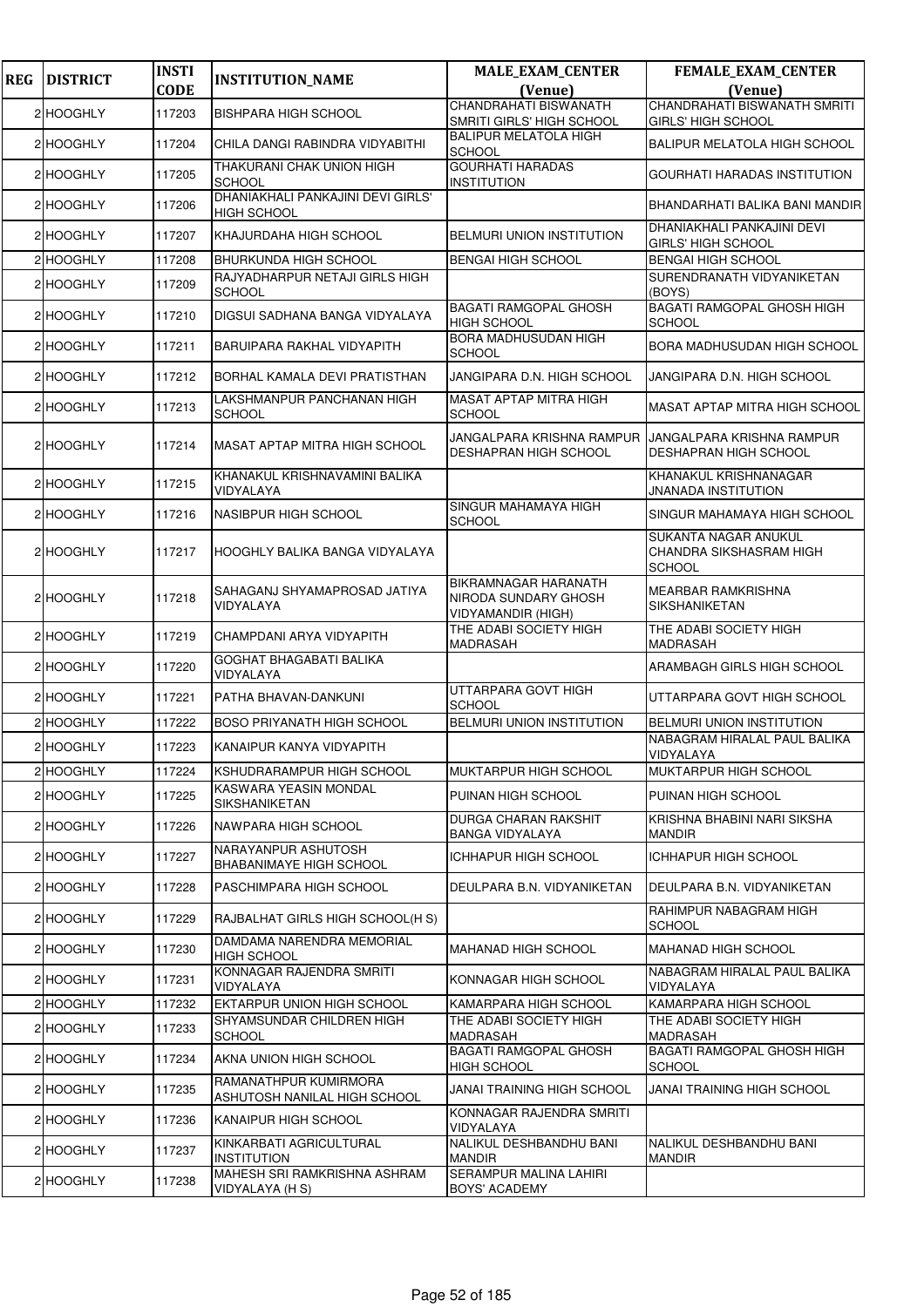| <b>REG</b> | <b>DISTRICT</b> | <b>INSTI</b> | <b>INSTITUTION_NAME</b>                                 | <b>MALE_EXAM_CENTER</b>                                                   | <b>FEMALE_EXAM_CENTER</b>                                        |
|------------|-----------------|--------------|---------------------------------------------------------|---------------------------------------------------------------------------|------------------------------------------------------------------|
|            |                 | <b>CODE</b>  |                                                         | (Venue)<br><b>CHANDRAHATI BISWANATH</b>                                   | (Venue)<br>CHANDRAHATI BISWANATH SMRITI                          |
|            | 2 HOOGHLY       | 117203       | <b>BISHPARA HIGH SCHOOL</b>                             | SMRITI GIRLS' HIGH SCHOOL                                                 | <b>GIRLS' HIGH SCHOOL</b>                                        |
|            | 2 HOOGHLY       | 117204       | CHILA DANGI RABINDRA VIDYABITHI                         | <b>BALIPUR MELATOLA HIGH</b><br><b>SCHOOL</b>                             | <b>BALIPUR MELATOLA HIGH SCHOOL</b>                              |
|            | 2 HOOGHLY       | 117205       | THAKURANI CHAK UNION HIGH<br><b>SCHOOL</b>              | <b>GOURHATI HARADAS</b><br><b>INSTITUTION</b>                             | GOURHATI HARADAS INSTITUTION                                     |
|            | 2 HOOGHLY       | 117206       | DHANIAKHALI PANKAJINI DEVI GIRLS'<br><b>HIGH SCHOOL</b> |                                                                           | BHANDARHATI BALIKA BANI MANDIR                                   |
|            | 2 HOOGHLY       | 117207       | KHAJURDAHA HIGH SCHOOL                                  | <b>BELMURI UNION INSTITUTION</b>                                          | DHANIAKHALI PANKAJINI DEVI<br><b>GIRLS' HIGH SCHOOL</b>          |
|            | 2 HOOGHLY       | 117208       | <b>BHURKUNDA HIGH SCHOOL</b>                            | <b>BENGAI HIGH SCHOOL</b>                                                 | <b>BENGAI HIGH SCHOOL</b>                                        |
|            | 2 HOOGHLY       | 117209       | RAJYADHARPUR NETAJI GIRLS HIGH<br><b>SCHOOL</b>         |                                                                           | SURENDRANATH VIDYANIKETAN<br>(BOYS)                              |
|            | 2 HOOGHLY       | 117210       | DIGSUI SADHANA BANGA VIDYALAYA                          | <b>BAGATI RAMGOPAL GHOSH</b><br><b>HIGH SCHOOL</b>                        | <b>BAGATI RAMGOPAL GHOSH HIGH</b><br><b>SCHOOL</b>               |
|            | 2 HOOGHLY       | 117211       | BARUIPARA RAKHAL VIDYAPITH                              | BORA MADHUSUDAN HIGH<br><b>SCHOOL</b>                                     | BORA MADHUSUDAN HIGH SCHOOL                                      |
|            | 2 HOOGHLY       | 117212       | BORHAL KAMALA DEVI PRATISTHAN                           | JANGIPARA D.N. HIGH SCHOOL                                                | JANGIPARA D.N. HIGH SCHOOL                                       |
|            | 2 HOOGHLY       | 117213       | LAKSHMANPUR PANCHANAN HIGH<br><b>SCHOOL</b>             | MASAT APTAP MITRA HIGH<br><b>SCHOOL</b>                                   | <b>MASAT APTAP MITRA HIGH SCHOOL</b>                             |
|            | 2 HOOGHLY       | 117214       | MASAT APTAP MITRA HIGH SCHOOL                           | JANGALPARA KRISHNA RAMPUR<br><b>DESHAPRAN HIGH SCHOOL</b>                 | JANGALPARA KRISHNA RAMPUR<br>DESHAPRAN HIGH SCHOOL               |
|            | 2 HOOGHLY       | 117215       | KHANAKUL KRISHNAVAMINI BALIKA<br>VIDYALAYA              |                                                                           | KHANAKUL KRISHNANAGAR<br>JNANADA INSTITUTION                     |
|            | 2 HOOGHLY       | 117216       | NASIBPUR HIGH SCHOOL                                    | SINGUR MAHAMAYA HIGH<br><b>SCHOOL</b>                                     | SINGUR MAHAMAYA HIGH SCHOOL                                      |
|            | 2 HOOGHLY       | 117217       | HOOGHLY BALIKA BANGA VIDYALAYA                          |                                                                           | SUKANTA NAGAR ANUKUL<br>CHANDRA SIKSHASRAM HIGH<br><b>SCHOOL</b> |
|            | 2 HOOGHLY       | 117218       | SAHAGANJ SHYAMAPROSAD JATIYA<br>VIDYALAYA               | BIKRAMNAGAR HARANATH<br>NIRODA SUNDARY GHOSH<br><b>VIDYAMANDIR (HIGH)</b> | <b>MEARBAR RAMKRISHNA</b><br><b>SIKSHANIKETAN</b>                |
|            | 2 HOOGHLY       | 117219       | CHAMPDANI ARYA VIDYAPITH                                | THE ADABI SOCIETY HIGH<br>MADRASAH                                        | THE ADABI SOCIETY HIGH<br>MADRASAH                               |
|            | 2 HOOGHLY       | 117220       | GOGHAT BHAGABATI BALIKA<br>VIDYALAYA                    |                                                                           | ARAMBAGH GIRLS HIGH SCHOOL                                       |
|            | 2 HOOGHLY       | 117221       | PATHA BHAVAN-DANKUNI                                    | UTTARPARA GOVT HIGH<br><b>SCHOOL</b>                                      | UTTARPARA GOVT HIGH SCHOOL                                       |
|            | 2 HOOGHLY       | 117222       | <b>BOSO PRIYANATH HIGH SCHOOL</b>                       | <b>BELMURI UNION INSTITUTION</b>                                          | BELMURI UNION INSTITUTION                                        |
|            | 2 HOOGHLY       | 117223       | KANAIPUR KANYA VIDYAPITH                                |                                                                           | NABAGRAM HIRALAL PAUL BALIKA<br>VIDYALAYA                        |
|            | 2 HOOGHLY       | 117224       | KSHUDRARAMPUR HIGH SCHOOL                               | <b>MUKTARPUR HIGH SCHOOL</b>                                              | MUKTARPUR HIGH SCHOOL                                            |
|            | 2 HOOGHLY       | 117225       | KASWARA YEASIN MONDAL<br>SIKSHANIKETAN                  | PUINAN HIGH SCHOOL                                                        | PUINAN HIGH SCHOOL                                               |
|            | 2 HOOGHLY       | 117226       | NAWPARA HIGH SCHOOL                                     | DURGA CHARAN RAKSHIT<br>BANGA VIDYALAYA                                   | KRISHNA BHABINI NARI SIKSHA<br>MANDIR                            |
|            | 2 HOOGHLY       | 117227       | NARAYANPUR ASHUTOSH<br><b>BHABANIMAYE HIGH SCHOOL</b>   | <b>ICHHAPUR HIGH SCHOOL</b>                                               | ICHHAPUR HIGH SCHOOL                                             |
|            | 2 HOOGHLY       | 117228       | PASCHIMPARA HIGH SCHOOL                                 | DEULPARA B.N. VIDYANIKETAN                                                | DEULPARA B.N. VIDYANIKETAN                                       |
|            | 2 HOOGHLY       | 117229       | RAJBALHAT GIRLS HIGH SCHOOL(H S)                        |                                                                           | RAHIMPUR NABAGRAM HIGH<br><b>SCHOOL</b>                          |
|            | 2 HOOGHLY       | 117230       | DAMDAMA NARENDRA MEMORIAL<br><b>HIGH SCHOOL</b>         | <b>MAHANAD HIGH SCHOOL</b>                                                | <b>MAHANAD HIGH SCHOOL</b>                                       |
|            | 2 HOOGHLY       | 117231       | KONNAGAR RAJENDRA SMRITI<br>VIDYALAYA                   | KONNAGAR HIGH SCHOOL                                                      | NABAGRAM HIRALAL PAUL BALIKA<br>VIDYALAYA                        |
|            | 2 HOOGHLY       | 117232       | EKTARPUR UNION HIGH SCHOOL                              | KAMARPARA HIGH SCHOOL                                                     | KAMARPARA HIGH SCHOOL                                            |
|            | 2 HOOGHLY       | 117233       | SHYAMSUNDAR CHILDREN HIGH<br><b>SCHOOL</b>              | THE ADABI SOCIETY HIGH<br>MADRASAH                                        | THE ADABI SOCIETY HIGH<br>MADRASAH                               |
|            | 2 HOOGHLY       | 117234       | AKNA UNION HIGH SCHOOL                                  | <b>BAGATI RAMGOPAL GHOSH</b><br>HIGH SCHOOL                               | <b>BAGATI RAMGOPAL GHOSH HIGH</b><br><b>SCHOOL</b>               |
|            | 2 HOOGHLY       | 117235       | RAMANATHPUR KUMIRMORA<br>ASHUTOSH NANILAL HIGH SCHOOL   | JANAI TRAINING HIGH SCHOOL                                                | JANAI TRAINING HIGH SCHOOL                                       |
|            | 2 HOOGHLY       | 117236       | KANAIPUR HIGH SCHOOL                                    | KONNAGAR RAJENDRA SMRITI<br>VIDYALAYA                                     |                                                                  |
|            | 2 HOOGHLY       | 117237       | KINKARBATI AGRICULTURAL<br><b>INSTITUTION</b>           | NALIKUL DESHBANDHU BANI<br>MANDIR                                         | NALIKUL DESHBANDHU BANI<br><b>MANDIR</b>                         |
|            | 2 HOOGHLY       | 117238       | MAHESH SRI RAMKRISHNA ASHRAM<br>VIDYALAYA (H S)         | SERAMPUR MALINA LAHIRI<br>BOYS' ACADEMY                                   |                                                                  |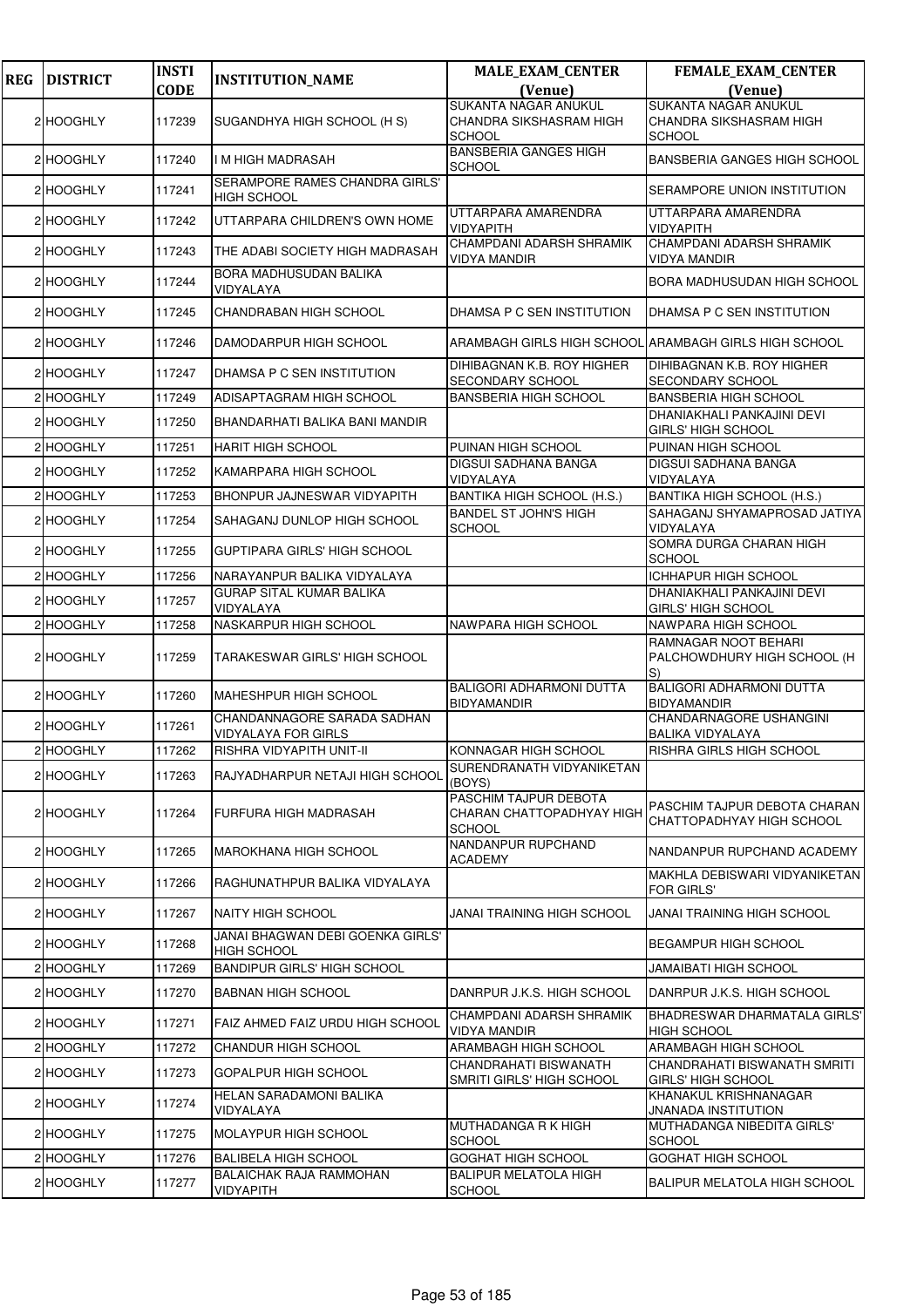| <b>REG</b> | <b>DISTRICT</b> | <b>INSTI</b> | <b>INSTITUTION_NAME</b>                                        | <b>MALE_EXAM_CENTER</b>                                             | FEMALE_EXAM_CENTER                                                |
|------------|-----------------|--------------|----------------------------------------------------------------|---------------------------------------------------------------------|-------------------------------------------------------------------|
|            |                 | <b>CODE</b>  |                                                                | (Venue)<br><b>SUKANTA NAGAR ANUKUL</b>                              | (Venue)<br>SUKANTA NAGAR ANUKUL                                   |
|            | 2 HOOGHLY       | 117239       | SUGANDHYA HIGH SCHOOL (H S)                                    | CHANDRA SIKSHASRAM HIGH<br>SCHOOL                                   | CHANDRA SIKSHASRAM HIGH<br><b>SCHOOL</b>                          |
|            | 2 HOOGHLY       | 117240       | I M HIGH MADRASAH                                              | <b>BANSBERIA GANGES HIGH</b><br><b>SCHOOL</b>                       | BANSBERIA GANGES HIGH SCHOOL                                      |
|            | 2 HOOGHLY       | 117241       | SERAMPORE RAMES CHANDRA GIRLS'<br>HIGH SCHOOL                  |                                                                     | SERAMPORE UNION INSTITUTION                                       |
|            | 2 HOOGHLY       | 117242       | UTTARPARA CHILDREN'S OWN HOME                                  | UTTARPARA AMARENDRA<br>VIDYAPITH                                    | UTTARPARA AMARENDRA<br><b>VIDYAPITH</b>                           |
|            | 2 HOOGHLY       | 117243       | THE ADABI SOCIETY HIGH MADRASAH                                | CHAMPDANI ADARSH SHRAMIK<br><b>VIDYA MANDIR</b>                     | CHAMPDANI ADARSH SHRAMIK<br><b>VIDYA MANDIR</b>                   |
|            | 2 HOOGHLY       | 117244       | BORA MADHUSUDAN BALIKA<br>VIDYALAYA                            |                                                                     | BORA MADHUSUDAN HIGH SCHOOL                                       |
|            | 2 HOOGHLY       | 117245       | CHANDRABAN HIGH SCHOOL                                         | DHAMSA P C SEN INSTITUTION                                          | DHAMSA P C SEN INSTITUTION                                        |
|            | 2 HOOGHLY       | 117246       | DAMODARPUR HIGH SCHOOL                                         |                                                                     | ARAMBAGH GIRLS HIGH SCHOOL ARAMBAGH GIRLS HIGH SCHOOL             |
|            | 2 HOOGHLY       | 117247       | DHAMSA P C SEN INSTITUTION                                     | DIHIBAGNAN K.B. ROY HIGHER<br>SECONDARY SCHOOL                      | DIHIBAGNAN K.B. ROY HIGHER<br><b>SECONDARY SCHOOL</b>             |
|            | 2 HOOGHLY       | 117249       | ADISAPTAGRAM HIGH SCHOOL                                       | <b>BANSBERIA HIGH SCHOOL</b>                                        | <b>BANSBERIA HIGH SCHOOL</b>                                      |
|            | 2 HOOGHLY       | 117250       | BHANDARHATI BALIKA BANI MANDIR                                 |                                                                     | DHANIAKHALI PANKAJINI DEVI<br><b>GIRLS' HIGH SCHOOL</b>           |
|            | 2 HOOGHLY       | 117251       | <b>HARIT HIGH SCHOOL</b>                                       | PUINAN HIGH SCHOOL                                                  | PUINAN HIGH SCHOOL                                                |
|            | 2 HOOGHLY       | 117252       | KAMARPARA HIGH SCHOOL                                          | DIGSUI SADHANA BANGA                                                | DIGSUI SADHANA BANGA                                              |
|            |                 |              |                                                                | VIDYALAYA                                                           | VIDYALAYA                                                         |
|            | 2 HOOGHLY       | 117253       | BHONPUR JAJNESWAR VIDYAPITH                                    | <b>BANTIKA HIGH SCHOOL (H.S.)</b><br><b>BANDEL ST JOHN'S HIGH</b>   | <b>BANTIKA HIGH SCHOOL (H.S.)</b><br>SAHAGANJ SHYAMAPROSAD JATIYA |
|            | 2 HOOGHLY       | 117254       | SAHAGANJ DUNLOP HIGH SCHOOL                                    | <b>SCHOOL</b>                                                       | VIDYALAYA<br>SOMRA DURGA CHARAN HIGH                              |
|            | 2 HOOGHLY       | 117255       | <b>GUPTIPARA GIRLS' HIGH SCHOOL</b>                            |                                                                     | <b>SCHOOL</b>                                                     |
|            | 2 HOOGHLY       | 117256       | NARAYANPUR BALIKA VIDYALAYA<br><b>GURAP SITAL KUMAR BALIKA</b> |                                                                     | <b>ICHHAPUR HIGH SCHOOL</b><br>DHANIAKHALI PANKAJINI DEVI         |
|            | 2 HOOGHLY       | 117257       | VIDYALAYA                                                      |                                                                     | <b>GIRLS' HIGH SCHOOL</b>                                         |
|            | 2 HOOGHLY       | 117258       | NASKARPUR HIGH SCHOOL                                          | NAWPARA HIGH SCHOOL                                                 | NAWPARA HIGH SCHOOL                                               |
|            | 2 HOOGHLY       | 117259       | TARAKESWAR GIRLS' HIGH SCHOOL                                  |                                                                     | RAMNAGAR NOOT BEHARI<br>PALCHOWDHURY HIGH SCHOOL (H<br>S)         |
|            | 2 HOOGHLY       | 117260       | MAHESHPUR HIGH SCHOOL                                          | <b>BALIGORI ADHARMONI DUTTA</b><br><b>BIDYAMANDIR</b>               | BALIGORI ADHARMONI DUTTA<br><b>BIDYAMANDIR</b>                    |
|            | 2 HOOGHLY       | 117261       | CHANDANNAGORE SARADA SADHAN<br><b>VIDYALAYA FOR GIRLS</b>      |                                                                     | CHANDARNAGORE USHANGINI<br><b>BALIKA VIDYALAYA</b>                |
|            | 2 HOOGHLY       | 117262       | <b>RISHRA VIDYAPITH UNIT-II</b>                                | KONNAGAR HIGH SCHOOL                                                | RISHRA GIRLS HIGH SCHOOL                                          |
|            | 2 HOOGHLY       | 117263       | RAJYADHARPUR NETAJI HIGH SCHOOL                                | SURENDRANATH VIDYANIKETAN<br>(BOYS)                                 |                                                                   |
|            | 2 HOOGHLY       | 117264       | FURFURA HIGH MADRASAH                                          | PASCHIM TAJPUR DEBOTA<br>CHARAN CHATTOPADHYAY HIGH<br><b>SCHOOL</b> | PASCHIM TAJPUR DEBOTA CHARAN<br>CHATTOPADHYAY HIGH SCHOOL         |
|            | 2 HOOGHLY       | 117265       | <b>MAROKHANA HIGH SCHOOL</b>                                   | NANDANPUR RUPCHAND<br>ACADEMY                                       | NANDANPUR RUPCHAND ACADEMY                                        |
|            | 2 HOOGHLY       | 117266       | RAGHUNATHPUR BALIKA VIDYALAYA                                  |                                                                     | MAKHLA DEBISWARI VIDYANIKETAN<br>FOR GIRLS'                       |
|            | 2 HOOGHLY       | 117267       | NAITY HIGH SCHOOL                                              | JANAI TRAINING HIGH SCHOOL                                          | JANAI TRAINING HIGH SCHOOL                                        |
|            | 2 HOOGHLY       | 117268       | JANAI BHAGWAN DEBI GOENKA GIRLS'<br><b>HIGH SCHOOL</b>         |                                                                     | <b>BEGAMPUR HIGH SCHOOL</b>                                       |
|            | 2 HOOGHLY       | 117269       | <b>BANDIPUR GIRLS' HIGH SCHOOL</b>                             |                                                                     | JAMAIBATI HIGH SCHOOL                                             |
|            | 2 HOOGHLY       | 117270       | <b>BABNAN HIGH SCHOOL</b>                                      | DANRPUR J.K.S. HIGH SCHOOL                                          | DANRPUR J.K.S. HIGH SCHOOL                                        |
|            | 2 HOOGHLY       | 117271       | FAIZ AHMED FAIZ URDU HIGH SCHOOL                               | CHAMPDANI ADARSH SHRAMIK<br>VIDYA MANDIR                            | BHADRESWAR DHARMATALA GIRLS'<br>HIGH SCHOOL                       |
|            | 2 HOOGHLY       | 117272       | <b>CHANDUR HIGH SCHOOL</b>                                     | ARAMBAGH HIGH SCHOOL                                                | ARAMBAGH HIGH SCHOOL                                              |
|            | 2 HOOGHLY       | 117273       | <b>GOPALPUR HIGH SCHOOL</b>                                    | CHANDRAHATI BISWANATH<br>SMRITI GIRLS' HIGH SCHOOL                  | CHANDRAHATI BISWANATH SMRITI<br><b>GIRLS' HIGH SCHOOL</b>         |
|            | 2 HOOGHLY       | 117274       | HELAN SARADAMONI BALIKA<br>VIDYALAYA                           |                                                                     | KHANAKUL KRISHNANAGAR<br><b>JNANADA INSTITUTION</b>               |
|            | 2 HOOGHLY       | 117275       | MOLAYPUR HIGH SCHOOL                                           | MUTHADANGA R K HIGH<br><b>SCHOOL</b>                                | MUTHADANGA NIBEDITA GIRLS'<br><b>SCHOOL</b>                       |
|            | 2 HOOGHLY       | 117276       | <b>BALIBELA HIGH SCHOOL</b>                                    | GOGHAT HIGH SCHOOL                                                  | GOGHAT HIGH SCHOOL                                                |
|            | 2 HOOGHLY       | 117277       | <b>BALAICHAK RAJA RAMMOHAN</b><br><b>VIDYAPITH</b>             | <b>BALIPUR MELATOLA HIGH</b><br><b>SCHOOL</b>                       | <b>BALIPUR MELATOLA HIGH SCHOOL</b>                               |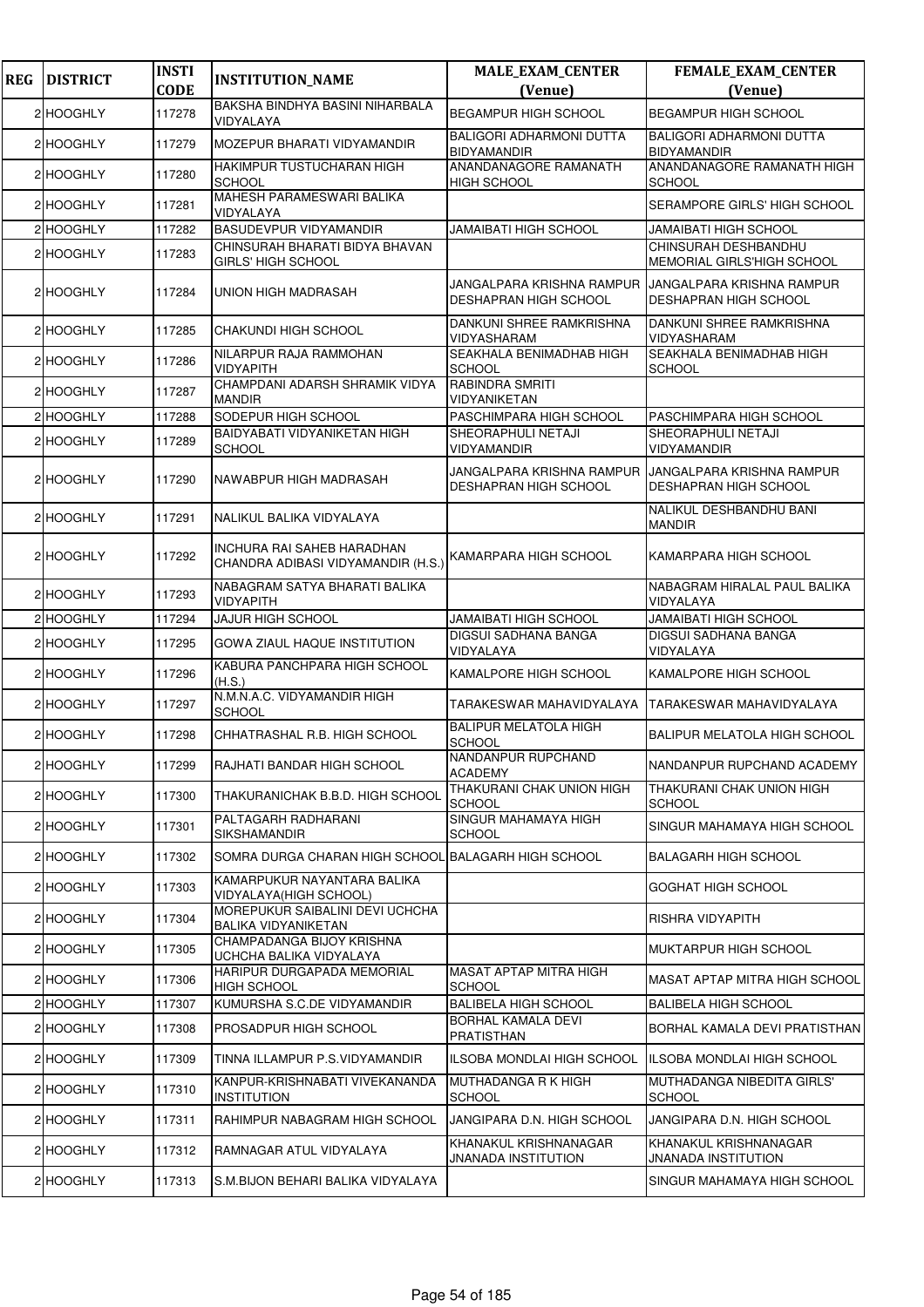| <b>REG</b> | <b>DISTRICT</b> | <b>INSTI</b> | <b>INSTITUTION_NAME</b>                                          | <b>MALE_EXAM_CENTER</b>                                   | FEMALE_EXAM_CENTER                                               |
|------------|-----------------|--------------|------------------------------------------------------------------|-----------------------------------------------------------|------------------------------------------------------------------|
|            |                 | <b>CODE</b>  | BAKSHA BINDHYA BASINI NIHARBALA                                  | (Venue)                                                   | (Venue)                                                          |
|            | 2 HOOGHLY       | 117278       | VIDYALAYA                                                        | <b>BEGAMPUR HIGH SCHOOL</b>                               | <b>BEGAMPUR HIGH SCHOOL</b>                                      |
|            | 2 HOOGHLY       | 117279       | MOZEPUR BHARATI VIDYAMANDIR                                      | <b>BALIGORI ADHARMONI DUTTA</b><br><b>BIDYAMANDIR</b>     | <b>BALIGORI ADHARMONI DUTTA</b><br><b>BIDYAMANDIR</b>            |
|            | 2 HOOGHLY       | 117280       | <b>HAKIMPUR TUSTUCHARAN HIGH</b><br><b>SCHOOL</b>                | ANANDANAGORE RAMANATH<br><b>HIGH SCHOOL</b>               | ANANDANAGORE RAMANATH HIGH<br><b>SCHOOL</b>                      |
|            | 2 HOOGHLY       | 117281       | MAHESH PARAMESWARI BALIKA<br>VIDYALAYA                           |                                                           | SERAMPORE GIRLS' HIGH SCHOOL                                     |
|            | 2 HOOGHLY       | 117282       | <b>BASUDEVPUR VIDYAMANDIR</b>                                    | <b>JAMAIBATI HIGH SCHOOL</b>                              | <b>JAMAIBATI HIGH SCHOOL</b>                                     |
|            | 2 HOOGHLY       | 117283       | CHINSURAH BHARATI BIDYA BHAVAN<br><b>GIRLS' HIGH SCHOOL</b>      |                                                           | CHINSURAH DESHBANDHU<br>MEMORIAL GIRLS'HIGH SCHOOL               |
|            | 2 HOOGHLY       | 117284       | UNION HIGH MADRASAH                                              | JANGALPARA KRISHNA RAMPUR<br><b>DESHAPRAN HIGH SCHOOL</b> | <b>JANGALPARA KRISHNA RAMPUR</b><br><b>DESHAPRAN HIGH SCHOOL</b> |
|            | 2 HOOGHLY       | 117285       | CHAKUNDI HIGH SCHOOL                                             | DANKUNI SHREE RAMKRISHNA<br>VIDYASHARAM                   | DANKUNI SHREE RAMKRISHNA<br>VIDYASHARAM                          |
|            | 2 HOOGHLY       | 117286       | NILARPUR RAJA RAMMOHAN<br><b>VIDYAPITH</b>                       | SEAKHALA BENIMADHAB HIGH<br><b>SCHOOL</b>                 | SEAKHALA BENIMADHAB HIGH<br><b>SCHOOL</b>                        |
|            | 2 HOOGHLY       | 117287       | CHAMPDANI ADARSH SHRAMIK VIDYA<br><b>MANDIR</b>                  | RABINDRA SMRITI<br>VIDYANIKETAN                           |                                                                  |
|            | 2 HOOGHLY       | 117288       | SODEPUR HIGH SCHOOL                                              | PASCHIMPARA HIGH SCHOOL                                   | PASCHIMPARA HIGH SCHOOL                                          |
|            | 2 HOOGHLY       | 117289       | BAIDYABATI VIDYANIKETAN HIGH                                     | SHEORAPHULI NETAJI                                        | SHEORAPHULI NETAJI                                               |
|            |                 |              | <b>SCHOOL</b>                                                    | VIDYAMANDIR                                               | VIDYAMANDIR                                                      |
|            | 2 HOOGHLY       | 117290       | NAWABPUR HIGH MADRASAH                                           | JANGALPARA KRISHNA RAMPUR<br><b>DESHAPRAN HIGH SCHOOL</b> | JANGALPARA KRISHNA RAMPUR<br><b>DESHAPRAN HIGH SCHOOL</b>        |
|            | 2 HOOGHLY       | 117291       | NALIKUL BALIKA VIDYALAYA                                         |                                                           | NALIKUL DESHBANDHU BANI<br><b>MANDIR</b>                         |
|            | 2 HOOGHLY       | 117292       | INCHURA RAI SAHEB HARADHAN<br>CHANDRA ADIBASI VIDYAMANDIR (H.S.) | KAMARPARA HIGH SCHOOL                                     | KAMARPARA HIGH SCHOOL                                            |
|            | 2 HOOGHLY       | 117293       | NABAGRAM SATYA BHARATI BALIKA<br>VIDYAPITH                       |                                                           | NABAGRAM HIRALAL PAUL BALIKA<br>VIDYALAYA                        |
|            | 2 HOOGHLY       | 117294       | <b>JAJUR HIGH SCHOOL</b>                                         | JAMAIBATI HIGH SCHOOL                                     | <b>JAMAIBATI HIGH SCHOOL</b>                                     |
|            | 2 HOOGHLY       | 117295       | GOWA ZIAUL HAQUE INSTITUTION                                     | DIGSUI SADHANA BANGA<br>VIDYALAYA                         | DIGSUI SADHANA BANGA<br>VIDYALAYA                                |
|            | 2 HOOGHLY       | 117296       | KABURA PANCHPARA HIGH SCHOOL<br>(H.S.)                           | KAMALPORE HIGH SCHOOL                                     | KAMALPORE HIGH SCHOOL                                            |
|            | 2 HOOGHLY       | 117297       | N.M.N.A.C. VIDYAMANDIR HIGH<br><b>SCHOOL</b>                     | TARAKESWAR MAHAVIDYALAYA                                  | TARAKESWAR MAHAVIDYALAYA                                         |
|            | 2 HOOGHLY       | 117298       | CHHATRASHAL R.B. HIGH SCHOOL                                     | <b>BALIPUR MELATOLA HIGH</b><br><b>SCHOOL</b>             | <b>BALIPUR MELATOLA HIGH SCHOOL</b>                              |
|            | 2 HOOGHLY       | 117299       | RAJHATI BANDAR HIGH SCHOOL                                       | NANDANPUR RUPCHAND<br><b>ACADEMY</b>                      | NANDANPUR RUPCHAND ACADEMY                                       |
|            | 2 HOOGHLY       | 117300       | THAKURANICHAK B.B.D. HIGH SCHOOL                                 | THAKURANI CHAK UNION HIGH<br><b>SCHOOL</b>                | THAKURANI CHAK UNION HIGH<br><b>SCHOOL</b>                       |
|            | 2 HOOGHLY       | 117301       | PALTAGARH RADHARANI<br>SIKSHAMANDIR                              | SINGUR MAHAMAYA HIGH<br>SCHOOL                            | SINGUR MAHAMAYA HIGH SCHOOL                                      |
|            | 2 HOOGHLY       | 117302       | SOMRA DURGA CHARAN HIGH SCHOOL BALAGARH HIGH SCHOOL              |                                                           | <b>BALAGARH HIGH SCHOOL</b>                                      |
|            | 2 HOOGHLY       | 117303       | KAMARPUKUR NAYANTARA BALIKA<br>VIDYALAYA(HIGH SCHOOL)            |                                                           | GOGHAT HIGH SCHOOL                                               |
|            | 2 HOOGHLY       | 117304       | MOREPUKUR SAIBALINI DEVI UCHCHA<br><b>BALIKA VIDYANIKETAN</b>    |                                                           | RISHRA VIDYAPITH                                                 |
|            | 2 HOOGHLY       | 117305       | CHAMPADANGA BIJOY KRISHNA<br>UCHCHA BALIKA VIDYALAYA             |                                                           | MUKTARPUR HIGH SCHOOL                                            |
|            | 2 HOOGHLY       | 117306       | HARIPUR DURGAPADA MEMORIAL<br><b>HIGH SCHOOL</b>                 | MASAT APTAP MITRA HIGH<br><b>SCHOOL</b>                   | MASAT APTAP MITRA HIGH SCHOOL                                    |
|            | 2 HOOGHLY       | 117307       | KUMURSHA S.C.DE VIDYAMANDIR                                      | <b>BALIBELA HIGH SCHOOL</b>                               | <b>BALIBELA HIGH SCHOOL</b>                                      |
|            | 2 HOOGHLY       | 117308       | <b>PROSADPUR HIGH SCHOOL</b>                                     | BORHAL KAMALA DEVI<br>PRATISTHAN                          | BORHAL KAMALA DEVI PRATISTHAN                                    |
|            | 2 HOOGHLY       | 117309       | TINNA ILLAMPUR P.S.VIDYAMANDIR                                   | ILSOBA MONDLAI HIGH SCHOOL                                | ILSOBA MONDLAI HIGH SCHOOL                                       |
|            | 2 HOOGHLY       | 117310       | KANPUR-KRISHNABATI VIVEKANANDA<br><b>INSTITUTION</b>             | MUTHADANGA R K HIGH<br><b>SCHOOL</b>                      | MUTHADANGA NIBEDITA GIRLS'<br><b>SCHOOL</b>                      |
|            | 2 HOOGHLY       | 117311       | RAHIMPUR NABAGRAM HIGH SCHOOL                                    | JANGIPARA D.N. HIGH SCHOOL                                | JANGIPARA D.N. HIGH SCHOOL                                       |
|            | 2 HOOGHLY       | 117312       | RAMNAGAR ATUL VIDYALAYA                                          | KHANAKUL KRISHNANAGAR<br><b>JNANADA INSTITUTION</b>       | KHANAKUL KRISHNANAGAR<br>JNANADA INSTITUTION                     |
|            | 2 HOOGHLY       | 117313       | S.M.BIJON BEHARI BALIKA VIDYALAYA                                |                                                           | SINGUR MAHAMAYA HIGH SCHOOL                                      |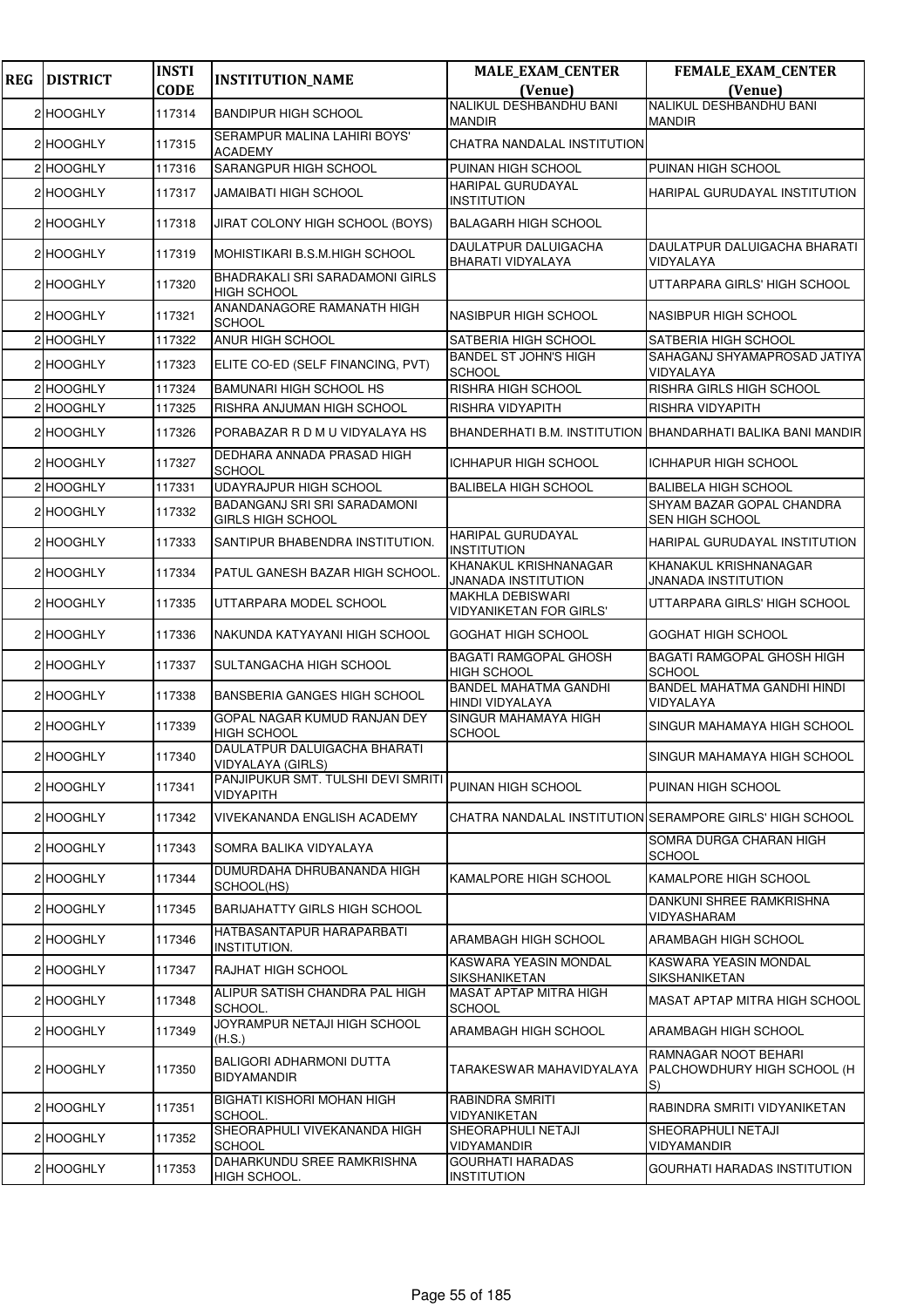| <b>REG</b> | <b>DISTRICT</b> | <b>INSTI</b> | <b>INSTITUTION_NAME</b>                                  | <b>MALE_EXAM_CENTER</b>                                | <b>FEMALE_EXAM_CENTER</b>                                   |
|------------|-----------------|--------------|----------------------------------------------------------|--------------------------------------------------------|-------------------------------------------------------------|
|            |                 | <b>CODE</b>  |                                                          | (Venue)                                                | (Venue)                                                     |
|            | 2 HOOGHLY       | 117314       | <b>BANDIPUR HIGH SCHOOL</b>                              | <b>NALIKUL DESHBANDHU BANI</b><br><b>MANDIR</b>        | NALIKUL DESHBANDHU BANI<br><b>MANDIR</b>                    |
|            | 2 HOOGHLY       | 117315       | SERAMPUR MALINA LAHIRI BOYS'<br><b>ACADEMY</b>           | CHATRA NANDALAL INSTITUTION                            |                                                             |
|            | 2 HOOGHLY       | 117316       | SARANGPUR HIGH SCHOOL                                    | PUINAN HIGH SCHOOL                                     | PUINAN HIGH SCHOOL                                          |
|            | 2 HOOGHLY       | 117317       | JAMAIBATI HIGH SCHOOL                                    | <b>HARIPAL GURUDAYAL</b><br><b>INSTITUTION</b>         | HARIPAL GURUDAYAL INSTITUTION                               |
|            | 2 HOOGHLY       | 117318       | JIRAT COLONY HIGH SCHOOL (BOYS)                          | <b>BALAGARH HIGH SCHOOL</b>                            |                                                             |
|            | 2 HOOGHLY       | 117319       | MOHISTIKARI B.S.M.HIGH SCHOOL                            | DAULATPUR DALUIGACHA<br>BHARATI VIDYALAYA              | DAULATPUR DALUIGACHA BHARATI<br>VIDYALAYA                   |
|            | 2 HOOGHLY       | 117320       | BHADRAKALI SRI SARADAMONI GIRLS<br><b>HIGH SCHOOL</b>    |                                                        | UTTARPARA GIRLS' HIGH SCHOOL                                |
|            | 2 HOOGHLY       | 117321       | ANANDANAGORE RAMANATH HIGH<br><b>SCHOOL</b>              | <b>NASIBPUR HIGH SCHOOL</b>                            | <b>NASIBPUR HIGH SCHOOL</b>                                 |
|            | 2 HOOGHLY       | 117322       | ANUR HIGH SCHOOL                                         | SATBERIA HIGH SCHOOL                                   | <b>SATBERIA HIGH SCHOOL</b>                                 |
|            | 2 HOOGHLY       | 117323       | ELITE CO-ED (SELF FINANCING, PVT)                        | <b>BANDEL ST JOHN'S HIGH</b><br><b>SCHOOL</b>          | SAHAGANJ SHYAMAPROSAD JATIYA<br>VIDYALAYA                   |
|            | 2 HOOGHLY       | 117324       | <b>BAMUNARI HIGH SCHOOL HS</b>                           | RISHRA HIGH SCHOOL                                     | RISHRA GIRLS HIGH SCHOOL                                    |
|            | 2 HOOGHLY       | 117325       | RISHRA ANJUMAN HIGH SCHOOL                               | RISHRA VIDYAPITH                                       | RISHRA VIDYAPITH                                            |
|            | 2 HOOGHLY       | 117326       | PORABAZAR R D M U VIDYALAYA HS                           |                                                        | BHANDERHATI B.M. INSTITUTION BHANDARHATI BALIKA BANI MANDIR |
|            | 2 HOOGHLY       | 117327       | DEDHARA ANNADA PRASAD HIGH<br><b>SCHOOL</b>              | <b>ICHHAPUR HIGH SCHOOL</b>                            | <b>ICHHAPUR HIGH SCHOOL</b>                                 |
|            | 2 HOOGHLY       | 117331       | <b>UDAYRAJPUR HIGH SCHOOL</b>                            | <b>BALIBELA HIGH SCHOOL</b>                            | <b>BALIBELA HIGH SCHOOL</b>                                 |
|            | 2 HOOGHLY       | 117332       | BADANGANJ SRI SRI SARADAMONI<br><b>GIRLS HIGH SCHOOL</b> |                                                        | SHYAM BAZAR GOPAL CHANDRA<br><b>SEN HIGH SCHOOL</b>         |
|            | 2 HOOGHLY       | 117333       | SANTIPUR BHABENDRA INSTITUTION.                          | <b>HARIPAL GURUDAYAL</b><br><b>INSTITUTION</b>         | HARIPAL GURUDAYAL INSTITUTION                               |
|            | 2 HOOGHLY       | 117334       | PATUL GANESH BAZAR HIGH SCHOOL.                          | KHANAKUL KRISHNANAGAR<br><b>JNANADA INSTITUTION</b>    | KHANAKUL KRISHNANAGAR<br><b>JNANADA INSTITUTION</b>         |
|            | 2 HOOGHLY       | 117335       | UTTARPARA MODEL SCHOOL                                   | <b>MAKHLA DEBISWARI</b><br>VIDYANIKETAN FOR GIRLS'     | UTTARPARA GIRLS' HIGH SCHOOL                                |
|            | 2 HOOGHLY       | 117336       | NAKUNDA KATYAYANI HIGH SCHOOL                            | <b>GOGHAT HIGH SCHOOL</b>                              | <b>GOGHAT HIGH SCHOOL</b>                                   |
|            | 2 HOOGHLY       | 117337       | SULTANGACHA HIGH SCHOOL                                  | <b>BAGATI RAMGOPAL GHOSH</b><br><b>HIGH SCHOOL</b>     | <b>BAGATI RAMGOPAL GHOSH HIGH</b><br><b>SCHOOL</b>          |
|            | 2 HOOGHLY       | 117338       | <b>BANSBERIA GANGES HIGH SCHOOL</b>                      | <b>BANDEL MAHATMA GANDHI</b><br><b>HINDI VIDYALAYA</b> | <b>BANDEL MAHATMA GANDHI HINDI</b><br>VIDYALAYA             |
|            | 2 HOOGHLY       | 117339       | GOPAL NAGAR KUMUD RANJAN DEY<br><b>HIGH SCHOOL</b>       | SINGUR MAHAMAYA HIGH<br><b>SCHOOL</b>                  | SINGUR MAHAMAYA HIGH SCHOOL                                 |
|            | 2 HOOGHLY       | 117340       | DAULATPUR DALUIGACHA BHARATI<br>VIDYALAYA (GIRLS)        |                                                        | SINGUR MAHAMAYA HIGH SCHOOL                                 |
|            | 2 HOOGHLY       | 117341       | PANJIPUKUR SMT. TULSHI DEVI SMRITI<br>VIDYAPITH          | PUINAN HIGH SCHOOL                                     | PUINAN HIGH SCHOOL                                          |
|            | 2 HOOGHLY       | 117342       | VIVEKANANDA ENGLISH ACADEMY                              |                                                        | CHATRA NANDALAL INSTITUTION SERAMPORE GIRLS' HIGH SCHOOL    |
|            | 2 HOOGHLY       | 117343       | SOMRA BALIKA VIDYALAYA                                   |                                                        | SOMRA DURGA CHARAN HIGH<br><b>SCHOOL</b>                    |
|            | 2 HOOGHLY       | 117344       | DUMURDAHA DHRUBANANDA HIGH<br>SCHOOL(HS)                 | KAMALPORE HIGH SCHOOL                                  | KAMALPORE HIGH SCHOOL                                       |
|            | 2 HOOGHLY       | 117345       | <b>BARIJAHATTY GIRLS HIGH SCHOOL</b>                     |                                                        | DANKUNI SHREE RAMKRISHNA<br>VIDYASHARAM                     |
|            | 2 HOOGHLY       | 117346       | HATBASANTAPUR HARAPARBATI<br>INSTITUTION.                | ARAMBAGH HIGH SCHOOL                                   | ARAMBAGH HIGH SCHOOL                                        |
|            | 2 HOOGHLY       | 117347       | RAJHAT HIGH SCHOOL                                       | KASWARA YEASIN MONDAL<br><b>SIKSHANIKETAN</b>          | KASWARA YEASIN MONDAL<br><b>SIKSHANIKETAN</b>               |
|            | 2 HOOGHLY       | 117348       | ALIPUR SATISH CHANDRA PAL HIGH<br>SCHOOL.                | MASAT APTAP MITRA HIGH<br><b>SCHOOL</b>                | MASAT APTAP MITRA HIGH SCHOOL                               |
|            | 2 HOOGHLY       | 117349       | JOYRAMPUR NETAJI HIGH SCHOOL<br>(H.S.)                   | ARAMBAGH HIGH SCHOOL                                   | <b>ARAMBAGH HIGH SCHOOL</b>                                 |
|            | 2 HOOGHLY       | 117350       | BALIGORI ADHARMONI DUTTA<br><b>BIDYAMANDIR</b>           | TARAKESWAR MAHAVIDYALAYA                               | RAMNAGAR NOOT BEHARI<br>PALCHOWDHURY HIGH SCHOOL (H<br>IS)  |
|            | 2 HOOGHLY       | 117351       | BIGHATI KISHORI MOHAN HIGH<br>SCHOOL.                    | RABINDRA SMRITI<br>VIDYANIKETAN                        | RABINDRA SMRITI VIDYANIKETAN                                |
|            | 2 HOOGHLY       | 117352       | SHEORAPHULI VIVEKANANDA HIGH<br><b>SCHOOL</b>            | SHEORAPHULI NETAJI<br><b>VIDYAMANDIR</b>               | <b>SHEORAPHULI NETAJI</b><br>VIDYAMANDIR                    |
|            | 2 HOOGHLY       | 117353       | DAHARKUNDU SREE RAMKRISHNA<br>HIGH SCHOOL.               | <b>GOURHATI HARADAS</b><br><b>INSTITUTION</b>          | <b>GOURHATI HARADAS INSTITUTION</b>                         |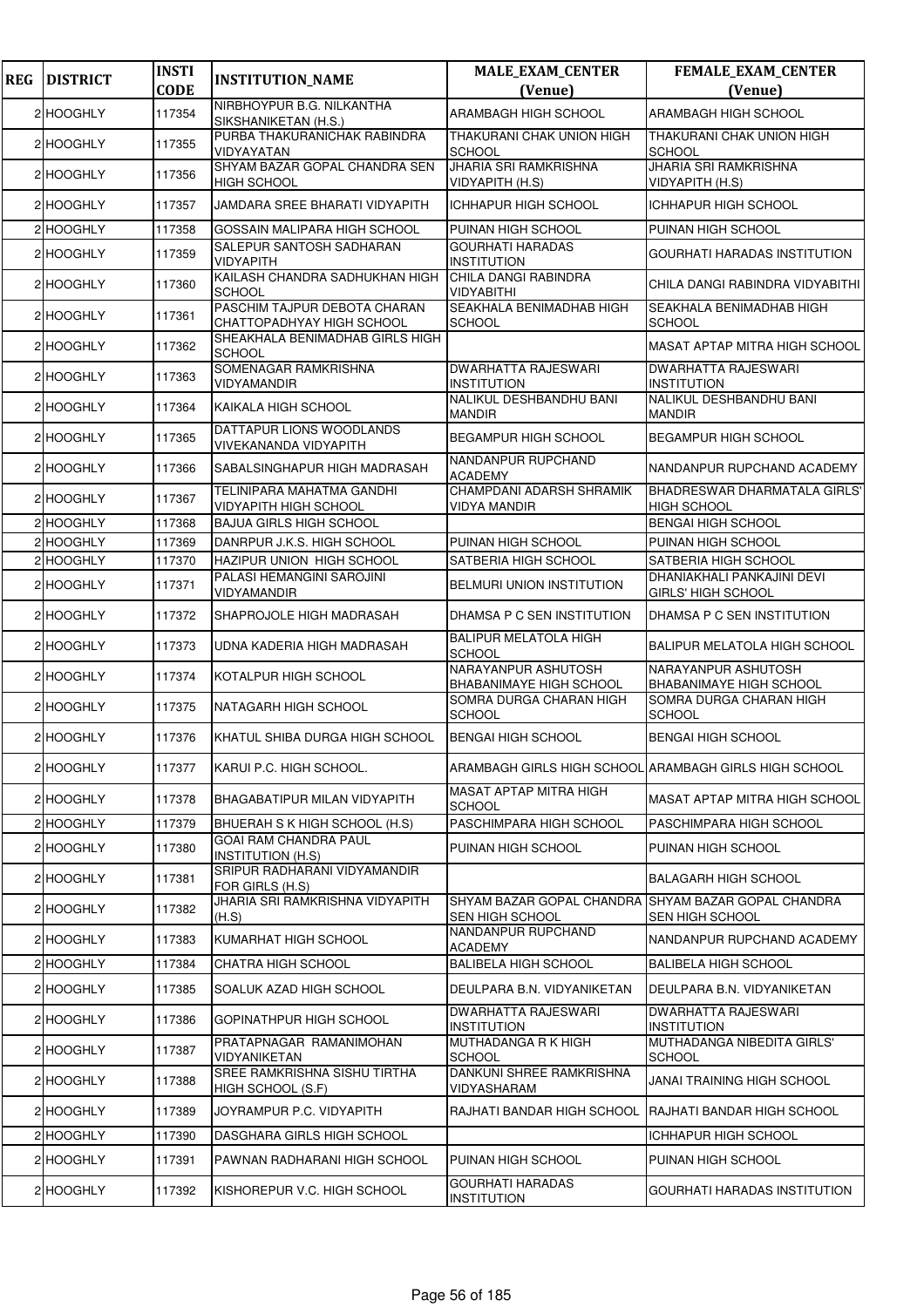| <b>REG</b> | <b>DISTRICT</b> | <b>INSTI</b><br><b>CODE</b> | <b>INSTITUTION_NAME</b>                                   | <b>MALE_EXAM_CENTER</b><br>(Venue)               | FEMALE_EXAM_CENTER<br>(Venue)                             |
|------------|-----------------|-----------------------------|-----------------------------------------------------------|--------------------------------------------------|-----------------------------------------------------------|
|            | 2 HOOGHLY       | 117354                      | NIRBHOYPUR B.G. NILKANTHA<br>SIKSHANIKETAN (H.S.)         | ARAMBAGH HIGH SCHOOL                             | ARAMBAGH HIGH SCHOOL                                      |
|            | 2 HOOGHLY       | 117355                      | PURBA THAKURANICHAK RABINDRA<br>VIDYAYATAN                | THAKURANI CHAK UNION HIGH<br><b>SCHOOL</b>       | THAKURANI CHAK UNION HIGH<br><b>SCHOOL</b>                |
|            | 2 HOOGHLY       | 117356                      | SHYAM BAZAR GOPAL CHANDRA SEN<br><b>HIGH SCHOOL</b>       | <b>JHARIA SRI RAMKRISHNA</b><br>VIDYAPITH (H.S)  | <b>JHARIA SRI RAMKRISHNA</b><br>VIDYAPITH (H.S)           |
|            | 2 HOOGHLY       | 117357                      | JAMDARA SREE BHARATI VIDYAPITH                            | <b>ICHHAPUR HIGH SCHOOL</b>                      | <b>ICHHAPUR HIGH SCHOOL</b>                               |
|            | 2 HOOGHLY       | 117358                      | GOSSAIN MALIPARA HIGH SCHOOL                              | PUINAN HIGH SCHOOL                               | PUINAN HIGH SCHOOL                                        |
|            | 2 HOOGHLY       | 117359                      | SALEPUR SANTOSH SADHARAN<br><b>VIDYAPITH</b>              | <b>GOURHATI HARADAS</b><br><b>INSTITUTION</b>    | GOURHATI HARADAS INSTITUTION                              |
|            | 2 HOOGHLY       | 117360                      | KAILASH CHANDRA SADHUKHAN HIGH<br><b>SCHOOL</b>           | CHILA DANGI RABINDRA<br>VIDYABITHI               | CHILA DANGI RABINDRA VIDYABITHI                           |
|            | 2 HOOGHLY       | 117361                      | PASCHIM TAJPUR DEBOTA CHARAN<br>CHATTOPADHYAY HIGH SCHOOL | SEAKHALA BENIMADHAB HIGH<br><b>SCHOOL</b>        | SEAKHALA BENIMADHAB HIGH<br><b>SCHOOL</b>                 |
|            | 2 HOOGHLY       | 117362                      | SHEAKHALA BENIMADHAB GIRLS HIGH<br><b>SCHOOL</b>          |                                                  | MASAT APTAP MITRA HIGH SCHOOL                             |
|            | 2 HOOGHLY       | 117363                      | SOMENAGAR RAMKRISHNA<br>VIDYAMANDIR                       | <b>DWARHATTA RAJESWARI</b><br><b>INSTITUTION</b> | <b>DWARHATTA RAJESWARI</b><br><b>INSTITUTION</b>          |
|            | 2 HOOGHLY       | 117364                      | KAIKALA HIGH SCHOOL                                       | NALIKUL DESHBANDHU BANI<br><b>MANDIR</b>         | NALIKUL DESHBANDHU BANI<br><b>MANDIR</b>                  |
|            | 2 HOOGHLY       | 117365                      | DATTAPUR LIONS WOODLANDS<br>VIVEKANANDA VIDYAPITH         | <b>BEGAMPUR HIGH SCHOOL</b>                      | <b>BEGAMPUR HIGH SCHOOL</b>                               |
|            | 2 HOOGHLY       | 117366                      | SABALSINGHAPUR HIGH MADRASAH                              | NANDANPUR RUPCHAND<br><b>ACADEMY</b>             | NANDANPUR RUPCHAND ACADEMY                                |
|            | 2 HOOGHLY       | 117367                      | TELINIPARA MAHATMA GANDHI<br><b>VIDYAPITH HIGH SCHOOL</b> | CHAMPDANI ADARSH SHRAMIK<br>VIDYA MANDIR         | <b>BHADRESWAR DHARMATALA GIRLS'</b><br><b>HIGH SCHOOL</b> |
|            | 2 HOOGHLY       | 117368                      | <b>BAJUA GIRLS HIGH SCHOOL</b>                            |                                                  | <b>BENGAI HIGH SCHOOL</b>                                 |
|            | 2 HOOGHLY       | 117369                      | DANRPUR J.K.S. HIGH SCHOOL                                | PUINAN HIGH SCHOOL                               | PUINAN HIGH SCHOOL                                        |
|            | 2 HOOGHLY       | 117370                      | HAZIPUR UNION HIGH SCHOOL<br>PALASI HEMANGINI SAROJINI    | SATBERIA HIGH SCHOOL                             | SATBERIA HIGH SCHOOL<br>DHANIAKHALI PANKAJINI DEVI        |
|            | 2 HOOGHLY       | 117371                      | VIDYAMANDIR                                               | <b>BELMURI UNION INSTITUTION</b>                 | GIRLS' HIGH SCHOOL                                        |
|            | 2 HOOGHLY       | 117372                      | SHAPROJOLE HIGH MADRASAH                                  | DHAMSA P C SEN INSTITUTION                       | DHAMSA P C SEN INSTITUTION                                |
|            | 2 HOOGHLY       | 117373                      | UDNA KADERIA HIGH MADRASAH                                | <b>BALIPUR MELATOLA HIGH</b><br><b>SCHOOL</b>    | BALIPUR MELATOLA HIGH SCHOOL                              |
|            | 2 HOOGHLY       | 117374                      | KOTALPUR HIGH SCHOOL                                      | NARAYANPUR ASHUTOSH<br>BHABANIMAYE HIGH SCHOOL   | NARAYANPUR ASHUTOSH<br>BHABANIMAYE HIGH SCHOOL            |
|            | 2 HOOGHLY       | 117375                      | <b>NATAGARH HIGH SCHOOL</b>                               | SOMRA DURGA CHARAN HIGH<br><b>SCHOOL</b>         | SOMRA DURGA CHARAN HIGH<br><b>SCHOOL</b>                  |
|            | 2 HOOGHLY       | 117376                      | KHATUL SHIBA DURGA HIGH SCHOOL                            | <b>BENGAI HIGH SCHOOL</b>                        | <b>BENGAI HIGH SCHOOL</b>                                 |
|            | 2 HOOGHLY       | 117377                      | KARUI P.C. HIGH SCHOOL.                                   |                                                  | ARAMBAGH GIRLS HIGH SCHOOL ARAMBAGH GIRLS HIGH SCHOOL     |
|            | 2 HOOGHLY       | 117378                      | BHAGABATIPUR MILAN VIDYAPITH                              | <b>MASAT APTAP MITRA HIGH</b><br><b>SCHOOL</b>   | MASAT APTAP MITRA HIGH SCHOOL                             |
|            | 2 HOOGHLY       | 117379                      | BHUERAH S K HIGH SCHOOL (H.S)                             | PASCHIMPARA HIGH SCHOOL                          | PASCHIMPARA HIGH SCHOOL                                   |
|            | 2 HOOGHLY       | 117380                      | <b>GOAI RAM CHANDRA PAUL</b><br><b>INSTITUTION (H.S)</b>  | PUINAN HIGH SCHOOL                               | PUINAN HIGH SCHOOL                                        |
|            | 2 HOOGHLY       | 117381                      | SRIPUR RADHARANI VIDYAMANDIR<br>FOR GIRLS (H.S)           |                                                  | <b>BALAGARH HIGH SCHOOL</b>                               |
|            | 2 HOOGHLY       | 117382                      | <b>JHARIA SRI RAMKRISHNA VIDYAPITH</b><br>(H.S)           | SHYAM BAZAR GOPAL CHANDRA<br>SEN HIGH SCHOOL     | <b>SHYAM BAZAR GOPAL CHANDRA</b><br>SEN HIGH SCHOOL       |
|            | 2 HOOGHLY       | 117383                      | KUMARHAT HIGH SCHOOL                                      | NANDANPUR RUPCHAND<br><b>ACADEMY</b>             | NANDANPUR RUPCHAND ACADEMY                                |
|            | 2 HOOGHLY       | 117384                      | CHATRA HIGH SCHOOL                                        | <b>BALIBELA HIGH SCHOOL</b>                      | <b>BALIBELA HIGH SCHOOL</b>                               |
|            | 2 HOOGHLY       | 117385                      | SOALUK AZAD HIGH SCHOOL                                   | DEULPARA B.N. VIDYANIKETAN                       | DEULPARA B.N. VIDYANIKETAN                                |
|            | 2 HOOGHLY       | 117386                      | GOPINATHPUR HIGH SCHOOL                                   | DWARHATTA RAJESWARI<br><b>INSTITUTION</b>        | DWARHATTA RAJESWARI<br><b>INSTITUTION</b>                 |
|            | 2 HOOGHLY       | 117387                      | PRATAPNAGAR RAMANIMOHAN<br>VIDYANIKETAN                   | MUTHADANGA R K HIGH<br><b>SCHOOL</b>             | MUTHADANGA NIBEDITA GIRLS'<br><b>SCHOOL</b>               |
|            | 2 HOOGHLY       | 117388                      | SREE RAMKRISHNA SISHU TIRTHA<br>HIGH SCHOOL (S.F)         | DANKUNI SHREE RAMKRISHNA<br>VIDYASHARAM          | JANAI TRAINING HIGH SCHOOL                                |
|            | 2 HOOGHLY       | 117389                      | JOYRAMPUR P.C. VIDYAPITH                                  | RAJHATI BANDAR HIGH SCHOOL                       | <b>RAJHATI BANDAR HIGH SCHOOL</b>                         |
|            | 2 HOOGHLY       | 117390                      | DASGHARA GIRLS HIGH SCHOOL                                |                                                  | ICHHAPUR HIGH SCHOOL                                      |
|            | 2 HOOGHLY       | 117391                      | PAWNAN RADHARANI HIGH SCHOOL                              | PUINAN HIGH SCHOOL                               | PUINAN HIGH SCHOOL                                        |
|            | 2 HOOGHLY       | 117392                      | KISHOREPUR V.C. HIGH SCHOOL                               | <b>GOURHATI HARADAS</b><br><b>INSTITUTION</b>    | GOURHATI HARADAS INSTITUTION                              |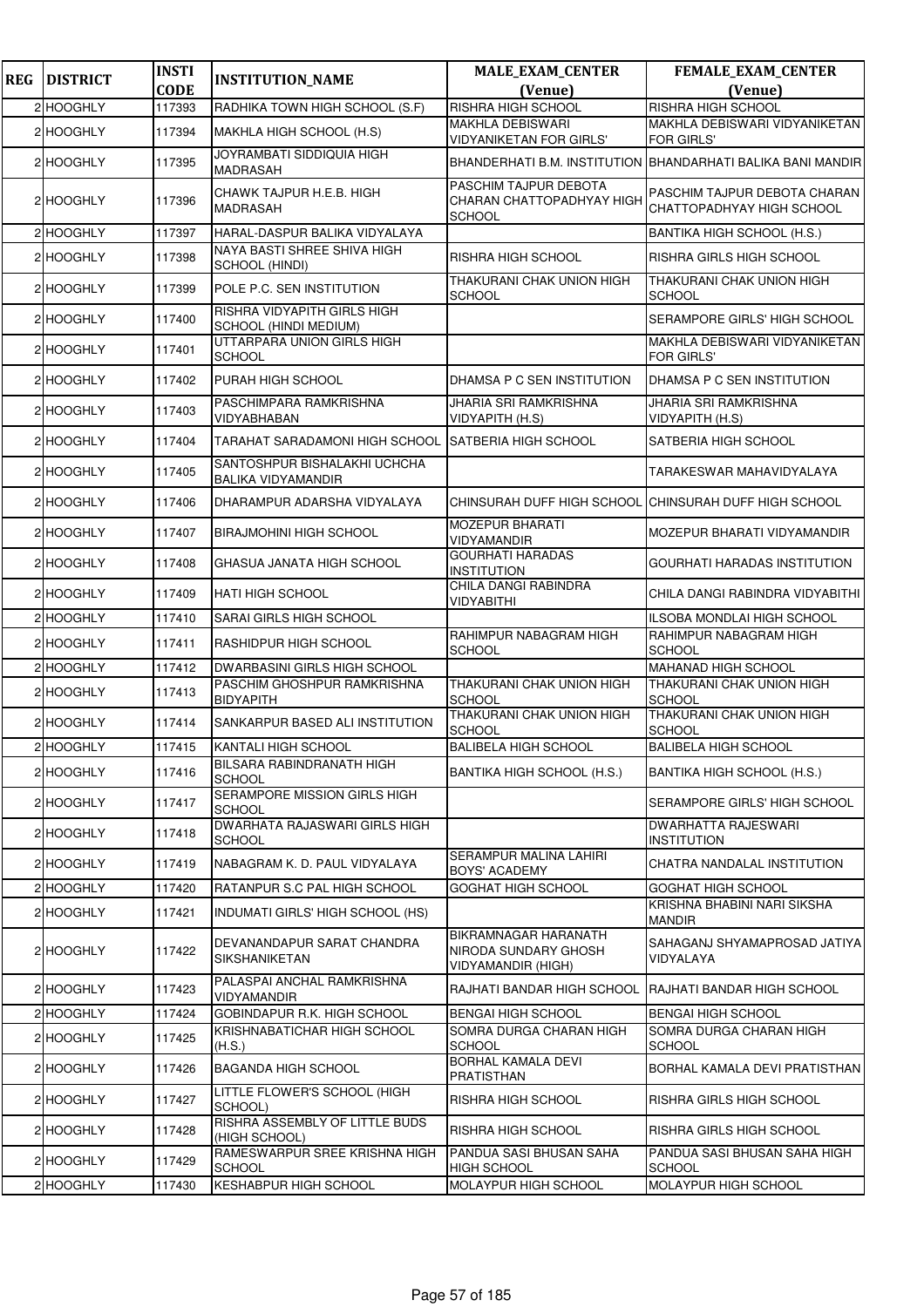| <b>REG</b> | <b>DISTRICT</b> | <b>INSTI</b> | <b>INSTITUTION_NAME</b>                                   | <b>MALE_EXAM_CENTER</b>                                                          | FEMALE_EXAM_CENTER                                               |
|------------|-----------------|--------------|-----------------------------------------------------------|----------------------------------------------------------------------------------|------------------------------------------------------------------|
|            |                 | <b>CODE</b>  |                                                           | (Venue)                                                                          | (Venue)                                                          |
|            | 2 HOOGHLY       | 117393       | RADHIKA TOWN HIGH SCHOOL (S.F)                            | RISHRA HIGH SCHOOL                                                               | RISHRA HIGH SCHOOL                                               |
|            | 2 HOOGHLY       | 117394       | MAKHLA HIGH SCHOOL (H.S)                                  | <b>MAKHLA DEBISWARI</b><br><b>VIDYANIKETAN FOR GIRLS'</b>                        | MAKHLA DEBISWARI VIDYANIKETAN<br><b>FOR GIRLS'</b>               |
|            | 2 HOOGHLY       | 117395       | JOYRAMBATI SIDDIQUIA HIGH<br>MADRASAH                     |                                                                                  | BHANDERHATI B.M. INSTITUTION BHANDARHATI BALIKA BANI MANDIRI     |
|            | 2 HOOGHLY       | 117396       | CHAWK TAJPUR H.E.B. HIGH<br><b>MADRASAH</b>               | PASCHIM TAJPUR DEBOTA<br>CHARAN CHATTOPADHYAY HIGH<br><b>SCHOOL</b>              | <b>PASCHIM TAJPUR DEBOTA CHARAN</b><br>CHATTOPADHYAY HIGH SCHOOL |
|            | 2 HOOGHLY       | 117397       | HARAL-DASPUR BALIKA VIDYALAYA                             |                                                                                  | BANTIKA HIGH SCHOOL (H.S.)                                       |
|            | 2 HOOGHLY       | 117398       | NAYA BASTI SHREE SHIVA HIGH<br>SCHOOL (HINDI)             | <b>RISHRA HIGH SCHOOL</b>                                                        | <b>RISHRA GIRLS HIGH SCHOOL</b>                                  |
|            | 2 HOOGHLY       | 117399       | POLE P.C. SEN INSTITUTION                                 | THAKURANI CHAK UNION HIGH<br>SCHOOL                                              | <b>THAKURANI CHAK UNION HIGH</b><br><b>SCHOOL</b>                |
|            | 2 HOOGHLY       | 117400       | RISHRA VIDYAPITH GIRLS HIGH<br>SCHOOL (HINDI MEDIUM)      |                                                                                  | SERAMPORE GIRLS' HIGH SCHOOL                                     |
|            | 2 HOOGHLY       | 117401       | UTTARPARA UNION GIRLS HIGH<br><b>SCHOOL</b>               |                                                                                  | MAKHLA DEBISWARI VIDYANIKETAN<br><b>FOR GIRLS'</b>               |
|            | 2 HOOGHLY       | 117402       | PURAH HIGH SCHOOL                                         | DHAMSA P C SEN INSTITUTION                                                       | DHAMSA P C SEN INSTITUTION                                       |
|            | 2 HOOGHLY       | 117403       | PASCHIMPARA RAMKRISHNA<br>VIDYABHABAN                     | <b>JHARIA SRI RAMKRISHNA</b><br>VIDYAPITH (H.S)                                  | <b>JHARIA SRI RAMKRISHNA</b><br><b>VIDYAPITH (H.S)</b>           |
|            | 2 HOOGHLY       | 117404       | TARAHAT SARADAMONI HIGH SCHOOL SATBERIA HIGH SCHOOL       |                                                                                  | <b>SATBERIA HIGH SCHOOL</b>                                      |
|            | 2 HOOGHLY       | 117405       | SANTOSHPUR BISHALAKHI UCHCHA<br><b>BALIKA VIDYAMANDIR</b> |                                                                                  | TARAKESWAR MAHAVIDYALAYA                                         |
|            | 2 HOOGHLY       | 117406       | DHARAMPUR ADARSHA VIDYALAYA                               | CHINSURAH DUFF HIGH SCHOOL                                                       | CHINSURAH DUFF HIGH SCHOOL                                       |
|            | 2 HOOGHLY       | 117407       | <b>BIRAJMOHINI HIGH SCHOOL</b>                            | <b>MOZEPUR BHARATI</b><br>VIDYAMANDIR                                            | MOZEPUR BHARATI VIDYAMANDIR                                      |
|            | 2 HOOGHLY       | 117408       | GHASUA JANATA HIGH SCHOOL                                 | <b>GOURHATI HARADAS</b><br><b>INSTITUTION</b>                                    | <b>GOURHATI HARADAS INSTITUTION</b>                              |
|            | 2 HOOGHLY       | 117409       | HATI HIGH SCHOOL                                          | CHILA DANGI RABINDRA<br>VIDYABITHI                                               | CHILA DANGI RABINDRA VIDYABITHI                                  |
|            | 2 HOOGHLY       | 117410       | SARAI GIRLS HIGH SCHOOL                                   |                                                                                  | ILSOBA MONDLAI HIGH SCHOOL                                       |
|            | 2 HOOGHLY       | 117411       | RASHIDPUR HIGH SCHOOL                                     | RAHIMPUR NABAGRAM HIGH<br><b>SCHOOL</b>                                          | RAHIMPUR NABAGRAM HIGH<br><b>SCHOOL</b>                          |
|            | 2 HOOGHLY       | 117412       | <b>DWARBASINI GIRLS HIGH SCHOOL</b>                       |                                                                                  | <b>MAHANAD HIGH SCHOOL</b>                                       |
|            | 2 HOOGHLY       | 117413       | PASCHIM GHOSHPUR RAMKRISHNA<br><b>BIDYAPITH</b>           | THAKURANI CHAK UNION HIGH<br><b>SCHOOL</b>                                       | THAKURANI CHAK UNION HIGH<br><b>SCHOOL</b>                       |
|            | 2 HOOGHLY       | 117414       | SANKARPUR BASED ALI INSTITUTION                           | THAKURANI CHAK UNION HIGH<br><b>SCHOOL</b>                                       | THAKURANI CHAK UNION HIGH<br><b>SCHOOL</b>                       |
|            | 2 HOOGHLY       | 117415       | KANTALI HIGH SCHOOL                                       | <b>BALIBELA HIGH SCHOOL</b>                                                      | <b>BALIBELA HIGH SCHOOL</b>                                      |
|            | 2 HOOGHLY       | 117416       | <b>BILSARA RABINDRANATH HIGH</b><br>SCHOOL                | BANTIKA HIGH SCHOOL (H.S.)                                                       | BANTIKA HIGH SCHOOL (H.S.)                                       |
|            | 2 HOOGHLY       | 117417       | SERAMPORE MISSION GIRLS HIGH<br><b>SCHOOL</b>             |                                                                                  | SERAMPORE GIRLS' HIGH SCHOOL                                     |
|            | 2 HOOGHLY       | 117418       | DWARHATA RAJASWARI GIRLS HIGH<br><b>SCHOOL</b>            |                                                                                  | <b>DWARHATTA RAJESWARI</b><br><b>INSTITUTION</b>                 |
|            | 2 HOOGHLY       | 117419       | NABAGRAM K. D. PAUL VIDYALAYA                             | <b>SERAMPUR MALINA LAHIRI</b><br><b>BOYS' ACADEMY</b>                            | CHATRA NANDALAL INSTITUTION                                      |
|            | 2 HOOGHLY       | 117420       | RATANPUR S.C PAL HIGH SCHOOL                              | <b>GOGHAT HIGH SCHOOL</b>                                                        | <b>GOGHAT HIGH SCHOOL</b>                                        |
|            | 2 HOOGHLY       | 117421       | INDUMATI GIRLS' HIGH SCHOOL (HS)                          |                                                                                  | KRISHNA BHABINI NARI SIKSHA<br><b>MANDIR</b>                     |
|            | 2 HOOGHLY       | 117422       | DEVANANDAPUR SARAT CHANDRA<br>SIKSHANIKETAN               | <b>BIKRAMNAGAR HARANATH</b><br>NIRODA SUNDARY GHOSH<br><b>VIDYAMANDIR (HIGH)</b> | SAHAGANJ SHYAMAPROSAD JATIYA<br>VIDYALAYA                        |
|            | 2 HOOGHLY       | 117423       | PALASPAI ANCHAL RAMKRISHNA<br>VIDYAMANDIR                 | RAJHATI BANDAR HIGH SCHOOL                                                       | RAJHATI BANDAR HIGH SCHOOL                                       |
|            | 2 HOOGHLY       | 117424       | GOBINDAPUR R.K. HIGH SCHOOL                               | <b>BENGAI HIGH SCHOOL</b>                                                        | <b>BENGAI HIGH SCHOOL</b>                                        |
|            | 2 HOOGHLY       | 117425       | KRISHNABATICHAR HIGH SCHOOL<br>(H.S.)                     | SOMRA DURGA CHARAN HIGH<br><b>SCHOOL</b>                                         | SOMRA DURGA CHARAN HIGH<br><b>SCHOOL</b>                         |
|            | 2 HOOGHLY       | 117426       | <b>BAGANDA HIGH SCHOOL</b>                                | <b>BORHAL KAMALA DEVI</b><br><b>PRATISTHAN</b>                                   | BORHAL KAMALA DEVI PRATISTHAN                                    |
|            | 2 HOOGHLY       | 117427       | LITTLE FLOWER'S SCHOOL (HIGH<br>SCHOOL)                   | RISHRA HIGH SCHOOL                                                               | RISHRA GIRLS HIGH SCHOOL                                         |
|            | 2 HOOGHLY       | 117428       | RISHRA ASSEMBLY OF LITTLE BUDS<br>(HIGH SCHOOL)           | RISHRA HIGH SCHOOL                                                               | RISHRA GIRLS HIGH SCHOOL                                         |
|            | 2 HOOGHLY       | 117429       | RAMESWARPUR SREE KRISHNA HIGH<br><b>SCHOOL</b>            | PANDUA SASI BHUSAN SAHA<br><b>HIGH SCHOOL</b>                                    | PANDUA SASI BHUSAN SAHA HIGH<br><b>SCHOOL</b>                    |
|            | 2 HOOGHLY       | 117430       | KESHABPUR HIGH SCHOOL                                     | MOLAYPUR HIGH SCHOOL                                                             | MOLAYPUR HIGH SCHOOL                                             |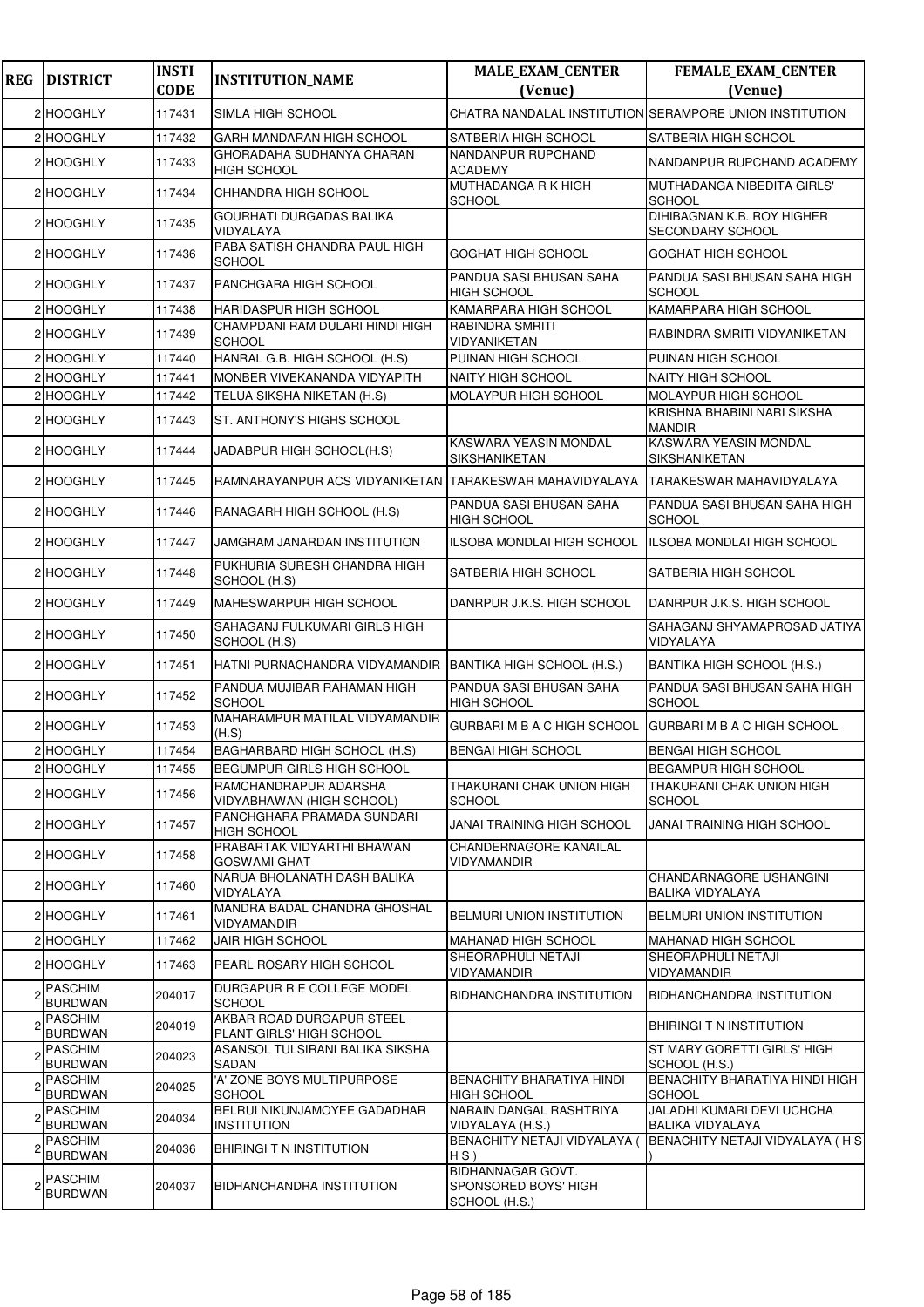| <b>REG</b> | <b>DISTRICT</b>                  | <b>INSTI</b><br><b>CODE</b> | <b>INSTITUTION_NAME</b>                                     | <b>MALE_EXAM_CENTER</b><br>(Venue)                         | <b>FEMALE_EXAM_CENTER</b><br>(Venue)                         |
|------------|----------------------------------|-----------------------------|-------------------------------------------------------------|------------------------------------------------------------|--------------------------------------------------------------|
|            | 2 HOOGHLY                        | 117431                      | SIMLA HIGH SCHOOL                                           |                                                            | CHATRA NANDALAL INSTITUTION SERAMPORE UNION INSTITUTION      |
|            | 2 HOOGHLY                        | 117432                      | GARH MANDARAN HIGH SCHOOL                                   | SATBERIA HIGH SCHOOL                                       | <b>SATBERIA HIGH SCHOOL</b>                                  |
|            |                                  |                             | GHORADAHA SUDHANYA CHARAN                                   | NANDANPUR RUPCHAND                                         | NANDANPUR RUPCHAND ACADEMY                                   |
|            | 2 HOOGHLY                        | 117433                      | <b>HIGH SCHOOL</b>                                          | <b>ACADEMY</b>                                             |                                                              |
|            | 2 HOOGHLY                        | 117434                      | CHHANDRA HIGH SCHOOL                                        | <b>MUTHADANGA R K HIGH</b><br>SCHOOL                       | MUTHADANGA NIBEDITA GIRLS'<br><b>SCHOOL</b>                  |
|            | 2 HOOGHLY                        | 117435                      | <b>GOURHATI DURGADAS BALIKA</b><br>VIDYALAYA                |                                                            | <b>DIHIBAGNAN K.B. ROY HIGHER</b><br><b>SECONDARY SCHOOL</b> |
|            | 2 HOOGHLY                        | 117436                      | PABA SATISH CHANDRA PAUL HIGH<br><b>SCHOOL</b>              | GOGHAT HIGH SCHOOL                                         | <b>GOGHAT HIGH SCHOOL</b>                                    |
|            | 2 HOOGHLY                        | 117437                      | PANCHGARA HIGH SCHOOL                                       | PANDUA SASI BHUSAN SAHA<br><b>HIGH SCHOOL</b>              | PANDUA SASI BHUSAN SAHA HIGH<br><b>SCHOOL</b>                |
|            | 2 HOOGHLY                        | 117438                      | <b>HARIDASPUR HIGH SCHOOL</b>                               | KAMARPARA HIGH SCHOOL                                      | KAMARPARA HIGH SCHOOL                                        |
|            | 2 HOOGHLY                        | 117439                      | CHAMPDANI RAM DULARI HINDI HIGH<br><b>SCHOOL</b>            | <b>RABINDRA SMRITI</b><br>VIDYANIKETAN                     | RABINDRA SMRITI VIDYANIKETAN                                 |
|            | 2 HOOGHLY                        | 117440                      | HANRAL G.B. HIGH SCHOOL (H.S)                               | PUINAN HIGH SCHOOL                                         | PUINAN HIGH SCHOOL                                           |
|            | 2 HOOGHLY                        | 117441                      | MONBER VIVEKANANDA VIDYAPITH                                | <b>NAITY HIGH SCHOOL</b>                                   | <b>NAITY HIGH SCHOOL</b>                                     |
|            | 2 HOOGHLY                        | 117442                      | TELUA SIKSHA NIKETAN (H.S)                                  | MOLAYPUR HIGH SCHOOL                                       | <b>MOLAYPUR HIGH SCHOOL</b>                                  |
|            | 2 HOOGHLY                        | 117443                      | ST. ANTHONY'S HIGHS SCHOOL                                  |                                                            | KRISHNA BHABINI NARI SIKSHA<br><b>MANDIR</b>                 |
|            | 2 HOOGHLY                        | 117444                      | JADABPUR HIGH SCHOOL(H.S)                                   | KASWARA YEASIN MONDAL<br>SIKSHANIKETAN                     | <b>KASWARA YEASIN MONDAL</b><br>SIKSHANIKETAN                |
|            | 2 HOOGHLY                        | 117445                      | RAMNARAYANPUR ACS VIDYANIKETAN                              | TARAKESWAR MAHAVIDYALAYA                                   | TARAKESWAR MAHAVIDYALAYA                                     |
|            | 2 HOOGHLY                        | 117446                      | RANAGARH HIGH SCHOOL (H.S)                                  | PANDUA SASI BHUSAN SAHA<br><b>HIGH SCHOOL</b>              | PANDUA SASI BHUSAN SAHA HIGH<br><b>SCHOOL</b>                |
|            | 2 HOOGHLY                        | 117447                      | JAMGRAM JANARDAN INSTITUTION                                | ILSOBA MONDLAI HIGH SCHOOL                                 | ILSOBA MONDLAI HIGH SCHOOL                                   |
|            | 2 HOOGHLY                        | 117448                      | PUKHURIA SURESH CHANDRA HIGH<br>SCHOOL (H.S)                | SATBERIA HIGH SCHOOL                                       | <b>SATBERIA HIGH SCHOOL</b>                                  |
|            | 2 HOOGHLY                        | 117449                      | MAHESWARPUR HIGH SCHOOL                                     | DANRPUR J.K.S. HIGH SCHOOL                                 | DANRPUR J.K.S. HIGH SCHOOL                                   |
|            | 2 HOOGHLY                        | 117450                      | SAHAGANJ FULKUMARI GIRLS HIGH<br>SCHOOL (H.S)               |                                                            | SAHAGANJ SHYAMAPROSAD JATIYA<br>VIDYALAYA                    |
|            | 2 HOOGHLY                        | 117451                      | HATNI PURNACHANDRA VIDYAMANDIR                              | BANTIKA HIGH SCHOOL (H.S.)                                 | BANTIKA HIGH SCHOOL (H.S.)                                   |
|            | 2 HOOGHLY                        | 117452                      | PANDUA MUJIBAR RAHAMAN HIGH<br><b>SCHOOL</b>                | PANDUA SASI BHUSAN SAHA<br><b>HIGH SCHOOL</b>              | PANDUA SASI BHUSAN SAHA HIGH<br><b>SCHOOL</b>                |
|            | 2 HOOGHLY                        | 117453                      | MAHARAMPUR MATILAL VIDYAMANDIR<br>(H.S)                     | GURBARI M B A C HIGH SCHOOL                                | <b>GURBARI M B A C HIGH SCHOOL</b>                           |
|            | 2 HOOGHLY                        | 117454                      | BAGHARBARD HIGH SCHOOL (H.S)                                | <b>BENGAI HIGH SCHOOL</b>                                  | <b>BENGAI HIGH SCHOOL</b>                                    |
|            | 2 HOOGHLY                        | 117455                      | <b>BEGUMPUR GIRLS HIGH SCHOOL</b>                           |                                                            | <b>BEGAMPUR HIGH SCHOOL</b>                                  |
|            | 2 HOOGHLY                        | 117456                      | RAMCHANDRAPUR ADARSHA<br>VIDYABHAWAN (HIGH SCHOOL)          | THAKURANI CHAK UNION HIGH<br>SCHOOL                        | THAKURANI CHAK UNION HIGH<br><b>SCHOOL</b>                   |
|            | 2 HOOGHLY                        | 117457                      | PANCHGHARA PRAMADA SUNDARI<br>HIGH SCHOOL                   | JANAI TRAINING HIGH SCHOOL                                 | JANAI TRAINING HIGH SCHOOL                                   |
|            | 2 HOOGHLY                        | 117458                      | PRABARTAK VIDYARTHI BHAWAN<br><b>GOSWAMI GHAT</b>           | <b>CHANDERNAGORE KANAILAL</b><br>VIDYAMANDIR               |                                                              |
|            | 2 HOOGHLY                        | 117460                      | NARUA BHOLANATH DASH BALIKA<br>VIDYALAYA                    |                                                            | CHANDARNAGORE USHANGINI<br><b>BALIKA VIDYALAYA</b>           |
|            | 2 HOOGHLY                        | 117461                      | MANDRA BADAL CHANDRA GHOSHAL<br>VIDYAMANDIR                 | BELMURI UNION INSTITUTION                                  | BELMURI UNION INSTITUTION                                    |
|            | 2 HOOGHLY                        | 117462                      | <b>JAIR HIGH SCHOOL</b>                                     | <b>MAHANAD HIGH SCHOOL</b>                                 | <b>MAHANAD HIGH SCHOOL</b>                                   |
|            | 2 HOOGHLY                        | 117463                      | PEARL ROSARY HIGH SCHOOL                                    | SHEORAPHULI NETAJI<br>VIDYAMANDIR                          | <b>SHEORAPHULI NETAJI</b><br>VIDYAMANDIR                     |
|            | <b>PASCHIM</b><br><b>BURDWAN</b> | 204017                      | DURGAPUR R E COLLEGE MODEL<br><b>SCHOOL</b>                 | BIDHANCHANDRA INSTITUTION                                  | <b>BIDHANCHANDRA INSTITUTION</b>                             |
|            | PASCHIM                          | 204019                      | AKBAR ROAD DURGAPUR STEEL                                   |                                                            | <b>BHIRINGI T N INSTITUTION</b>                              |
|            | <b>BURDWAN</b><br><b>PASCHIM</b> | 204023                      | PLANT GIRLS' HIGH SCHOOL<br>ASANSOL TULSIRANI BALIKA SIKSHA |                                                            | ST MARY GORETTI GIRLS' HIGH                                  |
|            | <b>BURDWAN</b><br><b>PASCHIM</b> |                             | SADAN<br>'A' ZONE BOYS MULTIPURPOSE                         | <b>BENACHITY BHARATIYA HINDI</b>                           | SCHOOL (H.S.)<br>BENACHITY BHARATIYA HINDI HIGH              |
|            | <b>BURDWAN</b><br><b>PASCHIM</b> | 204025                      | <b>SCHOOL</b><br>BELRUI NIKUNJAMOYEE GADADHAR               | <b>HIGH SCHOOL</b><br>NARAIN DANGAL RASHTRIYA              | <b>SCHOOL</b><br>JALADHI KUMARI DEVI UCHCHA                  |
|            | <b>BURDWAN</b>                   | 204034                      | <b>INSTITUTION</b>                                          | VIDYALAYA (H.S.)                                           | <b>BALIKA VIDYALAYA</b>                                      |
|            | <b>PASCHIM</b><br><b>BURDWAN</b> | 204036                      | BHIRINGI T N INSTITUTION                                    | <b>BENACHITY NETAJI VIDYALAYA (</b><br>$HS$ )              | BENACHITY NETAJI VIDYALAYA (HS                               |
|            | <b>PASCHIM</b><br><b>BURDWAN</b> | 204037                      | BIDHANCHANDRA INSTITUTION                                   | BIDHANNAGAR GOVT.<br>SPONSORED BOYS' HIGH<br>SCHOOL (H.S.) |                                                              |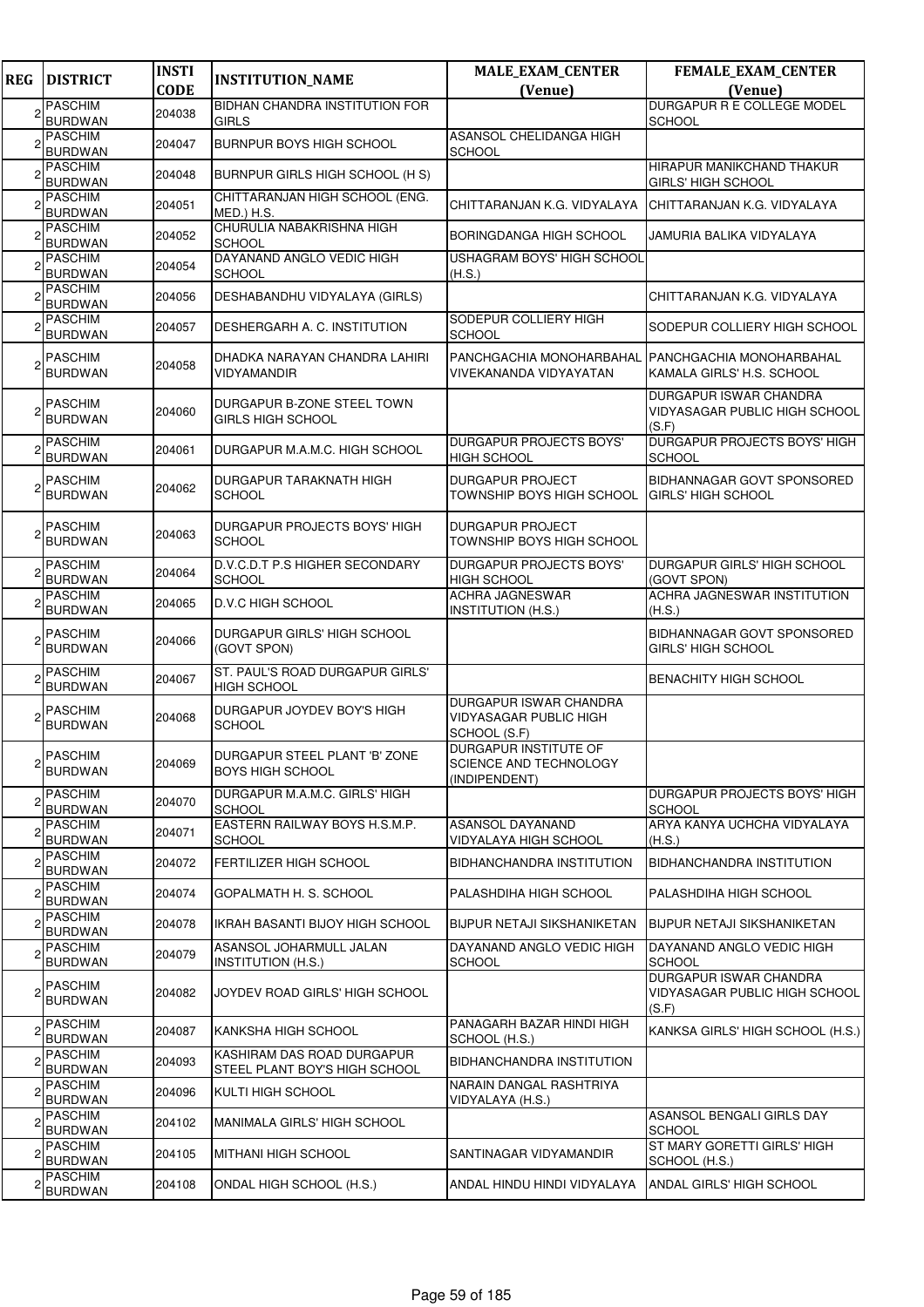| <b>REG</b> | <b>DISTRICT</b>                                    | <b>INSTI</b><br><b>CODE</b> | <b>INSTITUTION_NAME</b>                                     | <b>MALE_EXAM_CENTER</b><br>(Venue)                               | <b>FEMALE_EXAM_CENTER</b><br>(Venue)                                    |
|------------|----------------------------------------------------|-----------------------------|-------------------------------------------------------------|------------------------------------------------------------------|-------------------------------------------------------------------------|
|            | <b>PASCHIM</b>                                     | 204038                      | <b>BIDHAN CHANDRA INSTITUTION FOR</b>                       |                                                                  | DURGAPUR R E COLLEGE MODEL                                              |
|            | <b>BURDWAN</b><br><b>PASCHIM</b><br><b>BURDWAN</b> | 204047                      | <b>GIRLS</b><br><b>BURNPUR BOYS HIGH SCHOOL</b>             | ASANSOL CHELIDANGA HIGH<br>SCHOOL                                | <b>SCHOOL</b>                                                           |
|            | <b>PASCHIM</b><br><b>BURDWAN</b>                   | 204048                      | BURNPUR GIRLS HIGH SCHOOL (H S)                             |                                                                  | HIRAPUR MANIKCHAND THAKUR<br>GIRLS' HIGH SCHOOL                         |
|            | <b>PASCHIM</b><br><b>BURDWAN</b>                   | 204051                      | CHITTARANJAN HIGH SCHOOL (ENG.<br>MED.) H.S.                | CHITTARANJAN K.G. VIDYALAYA                                      | CHITTARANJAN K.G. VIDYALAYA                                             |
|            | <b>PASCHIM</b><br><b>BURDWAN</b>                   | 204052                      | CHURULIA NABAKRISHNA HIGH<br><b>SCHOOL</b>                  | BORINGDANGA HIGH SCHOOL                                          | JAMURIA BALIKA VIDYALAYA                                                |
|            | <b>PASCHIM</b><br><b>BURDWAN</b>                   | 204054                      | DAYANAND ANGLO VEDIC HIGH<br><b>SCHOOL</b>                  | USHAGRAM BOYS' HIGH SCHOOL<br>(H.S.)                             |                                                                         |
|            | <b>PASCHIM</b><br>BURDWAN                          | 204056                      | DESHABANDHU VIDYALAYA (GIRLS)                               |                                                                  | CHITTARANJAN K.G. VIDYALAYA                                             |
|            | <b>PASCHIM</b><br><b>BURDWAN</b>                   | 204057                      | DESHERGARH A. C. INSTITUTION                                | SODEPUR COLLIERY HIGH<br>SCHOOL                                  | SODEPUR COLLIERY HIGH SCHOOL                                            |
|            | <b>PASCHIM</b><br><b>BURDWAN</b>                   | 204058                      | DHADKA NARAYAN CHANDRA LAHIRI<br><b>VIDYAMANDIR</b>         | PANCHGACHIA MONOHARBAHAL<br>VIVEKANANDA VIDYAYATAN               | <b>PANCHGACHIA MONOHARBAHAL</b><br>KAMALA GIRLS' H.S. SCHOOL            |
|            | <b>PASCHIM</b><br><b>BURDWAN</b>                   | 204060                      | DURGAPUR B-ZONE STEEL TOWN<br><b>GIRLS HIGH SCHOOL</b>      |                                                                  | DURGAPUR ISWAR CHANDRA<br><b>VIDYASAGAR PUBLIC HIGH SCHOOL</b><br>(S.F) |
|            | <b>PASCHIM</b><br><b>BURDWAN</b>                   | 204061                      | DURGAPUR M.A.M.C. HIGH SCHOOL                               | DURGAPUR PROJECTS BOYS'<br><b>HIGH SCHOOL</b>                    | DURGAPUR PROJECTS BOYS' HIGH<br><b>SCHOOL</b>                           |
|            | <b>PASCHIM</b><br><b>BURDWAN</b>                   | 204062                      | DURGAPUR TARAKNATH HIGH<br><b>SCHOOL</b>                    | DURGAPUR PROJECT<br>TOWNSHIP BOYS HIGH SCHOOL                    | <b>BIDHANNAGAR GOVT SPONSORED</b><br><b>GIRLS' HIGH SCHOOL</b>          |
|            | <b>PASCHIM</b><br><b>BURDWAN</b>                   | 204063                      | DURGAPUR PROJECTS BOYS' HIGH<br><b>SCHOOL</b>               | DURGAPUR PROJECT<br>TOWNSHIP BOYS HIGH SCHOOL                    |                                                                         |
|            | <b>PASCHIM</b><br><b>BURDWAN</b>                   | 204064                      | D.V.C.D.T P.S HIGHER SECONDARY<br><b>SCHOOL</b>             | DURGAPUR PROJECTS BOYS'<br>HIGH SCHOOL                           | DURGAPUR GIRLS' HIGH SCHOOL<br>(GOVT SPON)                              |
|            | <b>PASCHIM</b><br><b>BURDWAN</b>                   | 204065                      | <b>D.V.C HIGH SCHOOL</b>                                    | ACHRA JAGNESWAR<br><b>INSTITUTION (H.S.)</b>                     | ACHRA JAGNESWAR INSTITUTION<br>(H.S.)                                   |
|            | <b>PASCHIM</b><br><b>BURDWAN</b>                   | 204066                      | <b>DURGAPUR GIRLS' HIGH SCHOOL</b><br>(GOVT SPON)           |                                                                  | <b>BIDHANNAGAR GOVT SPONSORED</b><br><b>GIRLS' HIGH SCHOOL</b>          |
|            | <b>PASCHIM</b><br><b>BURDWAN</b>                   | 204067                      | ST. PAUL'S ROAD DURGAPUR GIRLS'<br><b>HIGH SCHOOL</b>       |                                                                  | <b>BENACHITY HIGH SCHOOL</b>                                            |
|            | <b>PASCHIM</b><br><b>BURDWAN</b>                   | 204068                      | DURGAPUR JOYDEV BOY'S HIGH<br><b>SCHOOL</b>                 | DURGAPUR ISWAR CHANDRA<br>VIDYASAGAR PUBLIC HIGH<br>SCHOOL (S.F) |                                                                         |
|            | <b>PASCHIM</b><br><b>BURDWAN</b>                   | 204069                      | DURGAPUR STEEL PLANT 'B' ZONE<br><b>BOYS HIGH SCHOOL</b>    | DURGAPUR INSTITUTE OF<br>SCIENCE AND TECHNOLOGY<br>(INDIPENDENT) |                                                                         |
|            | <b>PASCHIM</b><br><b>BURDWAN</b>                   | 204070                      | DURGAPUR M.A.M.C. GIRLS' HIGH<br><b>SCHOOL</b>              |                                                                  | DURGAPUR PROJECTS BOYS' HIGH<br><b>SCHOOL</b>                           |
|            | <b>PASCHIM</b><br>BURDWAN                          | 204071                      | EASTERN RAILWAY BOYS H.S.M.P.<br><b>SCHOOL</b>              | <b>ASANSOL DAYANAND</b><br>VIDYALAYA HIGH SCHOOL                 | ARYA KANYA UCHCHA VIDYALAYA<br>(H.S.)                                   |
|            | <b>PASCHIM</b><br><b>BURDWAN</b>                   | 204072                      | FERTILIZER HIGH SCHOOL                                      | BIDHANCHANDRA INSTITUTION                                        | <b>BIDHANCHANDRA INSTITUTION</b>                                        |
|            | <b>PASCHIM</b><br><b>BURDWAN</b>                   | 204074                      | <b>GOPALMATH H. S. SCHOOL</b>                               | PALASHDIHA HIGH SCHOOL                                           | PALASHDIHA HIGH SCHOOL                                                  |
|            | <b>PASCHIM</b><br><b>BURDWAN</b>                   | 204078                      | IKRAH BASANTI BIJOY HIGH SCHOOL                             | <b>BIJPUR NETAJI SIKSHANIKETAN</b>                               | <b>BIJPUR NETAJI SIKSHANIKETAN</b>                                      |
|            | <b>PASCHIM</b><br>BURDWAN                          | 204079                      | <b>ASANSOL JOHARMULL JALAN</b><br><b>INSTITUTION (H.S.)</b> | DAYANAND ANGLO VEDIC HIGH<br>SCHOOL                              | DAYANAND ANGLO VEDIC HIGH<br><b>SCHOOL</b>                              |
|            | <b>PASCHIM</b><br><b>BURDWAN</b>                   | 204082                      | JOYDEV ROAD GIRLS' HIGH SCHOOL                              |                                                                  | DURGAPUR ISWAR CHANDRA<br><b>VIDYASAGAR PUBLIC HIGH SCHOOL</b><br>(S.F) |
|            | <b>PASCHIM</b><br><b>BURDWAN</b>                   | 204087                      | KANKSHA HIGH SCHOOL                                         | PANAGARH BAZAR HINDI HIGH<br>SCHOOL (H.S.)                       | KANKSA GIRLS' HIGH SCHOOL (H.S.)                                        |
|            | <b>PASCHIM</b><br><b>BURDWAN</b>                   | 204093                      | KASHIRAM DAS ROAD DURGAPUR<br>STEEL PLANT BOY'S HIGH SCHOOL | BIDHANCHANDRA INSTITUTION                                        |                                                                         |
|            | <b>PASCHIM</b><br><b>BURDWAN</b>                   | 204096                      | KULTI HIGH SCHOOL                                           | NARAIN DANGAL RASHTRIYA<br>VIDYALAYA (H.S.)                      |                                                                         |
|            | <b>PASCHIM</b><br><b>BURDWAN</b>                   | 204102                      | MANIMALA GIRLS' HIGH SCHOOL                                 |                                                                  | ASANSOL BENGALI GIRLS DAY<br><b>SCHOOL</b>                              |
|            | <b>PASCHIM</b><br><b>BURDWAN</b>                   | 204105                      | MITHANI HIGH SCHOOL                                         | SANTINAGAR VIDYAMANDIR                                           | ST MARY GORETTI GIRLS' HIGH<br>SCHOOL (H.S.)                            |
|            | <b>PASCHIM</b><br><b>BURDWAN</b>                   | 204108                      | ONDAL HIGH SCHOOL (H.S.)                                    | ANDAL HINDU HINDI VIDYALAYA                                      | ANDAL GIRLS' HIGH SCHOOL                                                |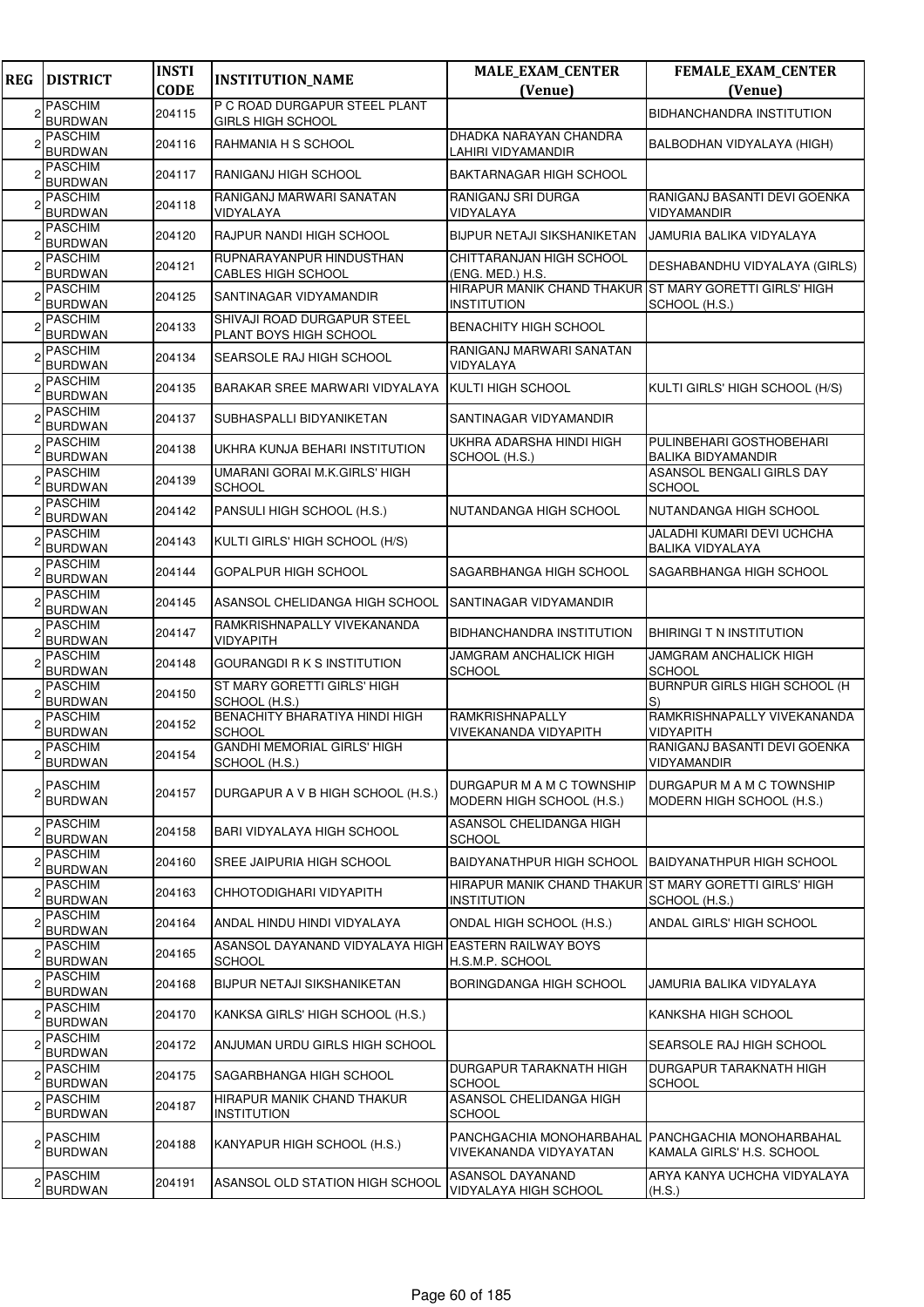| <b>REG</b> | <b>DISTRICT</b>                                    | <b>INSTI</b><br><b>CODE</b> | <b>INSTITUTION_NAME</b>                                                | <b>MALE_EXAM_CENTER</b><br>(Venue)                                            | FEMALE_EXAM_CENTER<br>(Venue)                          |
|------------|----------------------------------------------------|-----------------------------|------------------------------------------------------------------------|-------------------------------------------------------------------------------|--------------------------------------------------------|
| 2          | <b>PASCHIM</b><br><b>BURDWAN</b>                   | 204115                      | P C ROAD DURGAPUR STEEL PLANT<br><b>GIRLS HIGH SCHOOL</b>              |                                                                               | BIDHANCHANDRA INSTITUTION                              |
|            | <b>PASCHIM</b><br><b>BURDWAN</b>                   | 204116                      | RAHMANIA H S SCHOOL                                                    | DHADKA NARAYAN CHANDRA<br>LAHIRI VIDYAMANDIR                                  | BALBODHAN VIDYALAYA (HIGH)                             |
| 2          | <b>PASCHIM</b><br><b>BURDWAN</b>                   | 204117                      | RANIGANJ HIGH SCHOOL                                                   | BAKTARNAGAR HIGH SCHOOL                                                       |                                                        |
|            | <b>PASCHIM</b><br><b>BURDWAN</b>                   | 204118                      | RANIGANJ MARWARI SANATAN<br>VIDYALAYA                                  | RANIGANJ SRI DURGA<br>VIDYALAYA                                               | RANIGANJ BASANTI DEVI GOENKA<br>VIDYAMANDIR            |
|            | <b>PASCHIM</b>                                     | 204120                      | RAJPUR NANDI HIGH SCHOOL                                               | BIJPUR NETAJI SIKSHANIKETAN                                                   | JAMURIA BALIKA VIDYALAYA                               |
|            | <b>BURDWAN</b><br><b>PASCHIM</b><br><b>BURDWAN</b> | 204121                      | RUPNARAYANPUR HINDUSTHAN<br>CABLES HIGH SCHOOL                         | CHITTARANJAN HIGH SCHOOL<br>(ENG. MED.) H.S.                                  | DESHABANDHU VIDYALAYA (GIRLS)                          |
|            | <b>PASCHIM</b><br><b>BURDWAN</b>                   | 204125                      | SANTINAGAR VIDYAMANDIR                                                 | HIRAPUR MANIK CHAND THAKUR IST MARY GORETTI GIRLS' HIGH<br><b>INSTITUTION</b> | SCHOOL (H.S.)                                          |
|            | <b>PASCHIM</b><br><b>BURDWAN</b>                   | 204133                      | SHIVAJI ROAD DURGAPUR STEEL<br>PLANT BOYS HIGH SCHOOL                  | <b>BENACHITY HIGH SCHOOL</b>                                                  |                                                        |
|            | <b>PASCHIM</b><br><b>BURDWAN</b>                   | 204134                      | SEARSOLE RAJ HIGH SCHOOL                                               | RANIGANJ MARWARI SANATAN<br>VIDYALAYA                                         |                                                        |
|            | <b>PASCHIM</b><br><b>BURDWAN</b>                   | 204135                      | BARAKAR SREE MARWARI VIDYALAYA                                         | KULTI HIGH SCHOOL                                                             | KULTI GIRLS' HIGH SCHOOL (H/S)                         |
|            | <b>PASCHIM</b><br><b>BURDWAN</b>                   | 204137                      | SUBHASPALLI BIDYANIKETAN                                               | SANTINAGAR VIDYAMANDIR                                                        |                                                        |
|            | <b>PASCHIM</b><br><b>BURDWAN</b>                   | 204138                      | UKHRA KUNJA BEHARI INSTITUTION                                         | UKHRA ADARSHA HINDI HIGH<br>SCHOOL (H.S.)                                     | PULINBEHARI GOSTHOBEHARI<br><b>BALIKA BIDYAMANDIR</b>  |
|            | <b>PASCHIM</b><br><b>BURDWAN</b>                   | 204139                      | UMARANI GORAI M.K.GIRLS' HIGH<br><b>SCHOOL</b>                         |                                                                               | ASANSOL BENGALI GIRLS DAY<br><b>SCHOOL</b>             |
|            | <b>PASCHIM</b><br><b>BURDWAN</b>                   | 204142                      | PANSULI HIGH SCHOOL (H.S.)                                             | NUTANDANGA HIGH SCHOOL                                                        | NUTANDANGA HIGH SCHOOL                                 |
|            | PASCHIM<br><b>BURDWAN</b>                          | 204143                      | KULTI GIRLS' HIGH SCHOOL (H/S)                                         |                                                                               | JALADHI KUMARI DEVI UCHCHA<br><b>BALIKA VIDYALAYA</b>  |
|            | <b>PASCHIM</b><br><b>BURDWAN</b>                   | 204144                      | GOPALPUR HIGH SCHOOL                                                   | SAGARBHANGA HIGH SCHOOL                                                       | SAGARBHANGA HIGH SCHOOL                                |
|            | <b>PASCHIM</b><br><b>BURDWAN</b>                   | 204145                      | ASANSOL CHELIDANGA HIGH SCHOOL                                         | SANTINAGAR VIDYAMANDIR                                                        |                                                        |
|            | <b>PASCHIM</b><br><b>BURDWAN</b>                   | 204147                      | RAMKRISHNAPALLY VIVEKANANDA<br>VIDYAPITH                               | BIDHANCHANDRA INSTITUTION                                                     | BHIRINGI T N INSTITUTION                               |
|            | <b>PASCHIM</b><br><b>BURDWAN</b>                   | 204148                      | <b>GOURANGDI R K S INSTITUTION</b>                                     | <b>JAMGRAM ANCHALICK HIGH</b><br><b>SCHOOL</b>                                | <b>JAMGRAM ANCHALICK HIGH</b><br><b>SCHOOL</b>         |
|            | <b>PASCHIM</b><br><b>BURDWAN</b>                   | 204150                      | ST MARY GORETTI GIRLS' HIGH<br>SCHOOL (H.S.)                           |                                                                               | <b>BURNPUR GIRLS HIGH SCHOOL (H</b><br>S)              |
|            | <b>PASCHIM</b><br><b>BURDWAN</b>                   | 204152                      | BENACHITY BHARATIYA HINDI HIGH<br><b>SCHOOL</b>                        | RAMKRISHNAPALLY<br>VIVEKANANDA VIDYAPITH                                      | RAMKRISHNAPALLY VIVEKANANDA<br>VIDYAPITH               |
|            | <b>PASCHIM</b><br><b>BURDWAN</b>                   | 204154                      | <b>GANDHI MEMORIAL GIRLS' HIGH</b><br>SCHOOL (H.S.)                    |                                                                               | RANIGANJ BASANTI DEVI GOENKA<br>VIDYAMANDIR            |
| 2          | <b>PASCHIM</b><br><b>BURDWAN</b>                   | 204157                      | DURGAPUR A V B HIGH SCHOOL (H.S.)                                      | DURGAPUR M A M C TOWNSHIP<br>MODERN HIGH SCHOOL (H.S.)                        | DURGAPUR M A M C TOWNSHIP<br>MODERN HIGH SCHOOL (H.S.) |
| 2          | <b>PASCHIM</b><br><b>BURDWAN</b>                   | 204158                      | BARI VIDYALAYA HIGH SCHOOL                                             | ASANSOL CHELIDANGA HIGH<br><b>SCHOOL</b>                                      |                                                        |
|            | PASCHIM<br><b>BURDWAN</b>                          | 204160                      | SREE JAIPURIA HIGH SCHOOL                                              | <b>BAIDYANATHPUR HIGH SCHOOL</b>                                              | BAIDYANATHPUR HIGH SCHOOL                              |
|            | <b>PASCHIM</b><br><b>BURDWAN</b>                   | 204163                      | CHHOTODIGHARI VIDYAPITH                                                | HIRAPUR MANIK CHAND THAKUR<br>INSTITUTION                                     | <b>ST MARY GORETTI GIRLS' HIGH</b><br>SCHOOL (H.S.)    |
|            | <b>PASCHIM</b><br><b>BURDWAN</b>                   | 204164                      | ANDAL HINDU HINDI VIDYALAYA                                            | ONDAL HIGH SCHOOL (H.S.)                                                      | ANDAL GIRLS' HIGH SCHOOL                               |
|            | <b>PASCHIM</b><br>BURDWAN                          | 204165                      | ASANSOL DAYANAND VIDYALAYA HIGH LEASTERN RAILWAY BOYS<br><b>SCHOOL</b> | H.S.M.P. SCHOOL                                                               |                                                        |
|            | <b>PASCHIM</b><br><b>BURDWAN</b>                   | 204168                      | BIJPUR NETAJI SIKSHANIKETAN                                            | BORINGDANGA HIGH SCHOOL                                                       | JAMURIA BALIKA VIDYALAYA                               |
| 2          | <b>PASCHIM</b><br><b>BURDWAN</b>                   | 204170                      | KANKSA GIRLS' HIGH SCHOOL (H.S.)                                       |                                                                               | KANKSHA HIGH SCHOOL                                    |
|            | <b>PASCHIM</b><br><b>BURDWAN</b>                   | 204172                      | ANJUMAN URDU GIRLS HIGH SCHOOL                                         |                                                                               | SEARSOLE RAJ HIGH SCHOOL                               |
| 2          | PASCHIM<br><b>BURDWAN</b>                          | 204175                      | SAGARBHANGA HIGH SCHOOL                                                | DURGAPUR TARAKNATH HIGH<br><b>SCHOOL</b>                                      | DURGAPUR TARAKNATH HIGH<br><b>SCHOOL</b>               |
|            | <b>PASCHIM</b><br><b>BURDWAN</b>                   | 204187                      | HIRAPUR MANIK CHAND THAKUR<br><b>INSTITUTION</b>                       | ASANSOL CHELIDANGA HIGH<br>SCHOOL                                             |                                                        |
|            | 2 <sup>PASCHIM</sup><br><b>BURDWAN</b>             | 204188                      | KANYAPUR HIGH SCHOOL (H.S.)                                            | PANCHGACHIA MONOHARBAHAL<br>VIVEKANANDA VIDYAYATAN                            | PANCHGACHIA MONOHARBAHAL<br>KAMALA GIRLS' H.S. SCHOOL  |
| 2          | <b>PASCHIM</b><br><b>BURDWAN</b>                   | 204191                      | ASANSOL OLD STATION HIGH SCHOOL                                        | ASANSOL DAYANAND<br>VIDYALAYA HIGH SCHOOL                                     | ARYA KANYA UCHCHA VIDYALAYA<br>(H.S.)                  |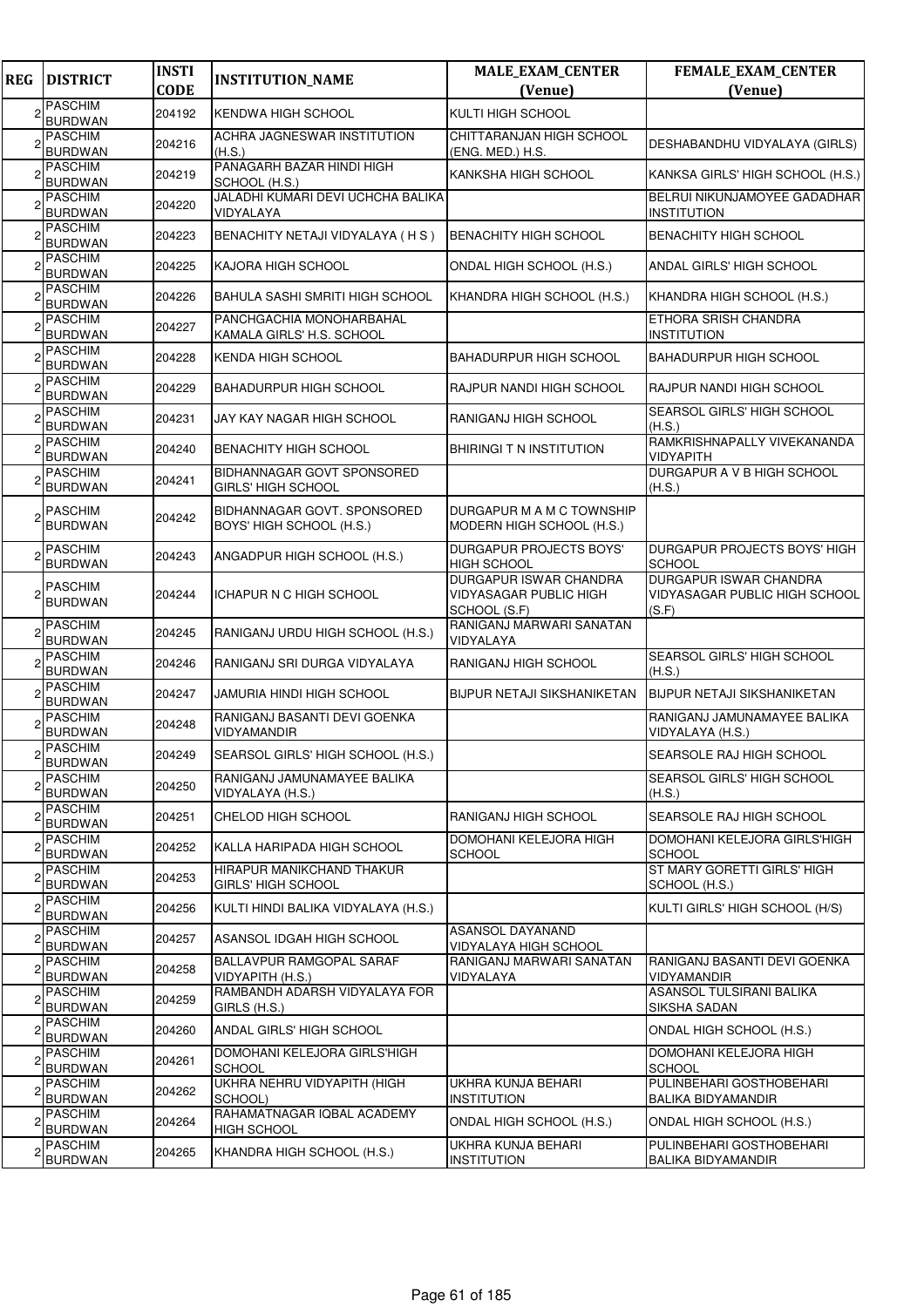| <b>REG</b> | <b>DISTRICT</b>                  | <b>INSTI</b><br><b>CODE</b> | <b>INSTITUTION_NAME</b>                                 | <b>MALE_EXAM_CENTER</b><br>(Venue)                                      | FEMALE_EXAM_CENTER<br>(Venue)                                           |
|------------|----------------------------------|-----------------------------|---------------------------------------------------------|-------------------------------------------------------------------------|-------------------------------------------------------------------------|
| 2          | <b>PASCHIM</b>                   | 204192                      |                                                         | <b>KULTI HIGH SCHOOL</b>                                                |                                                                         |
|            | <b>BURDWAN</b>                   |                             | <b>KENDWA HIGH SCHOOL</b>                               |                                                                         |                                                                         |
|            | <b>PASCHIM</b><br><b>BURDWAN</b> | 204216                      | ACHRA JAGNESWAR INSTITUTION<br>(H.S.)                   | CHITTARANJAN HIGH SCHOOL<br>(ENG. MED.) H.S.                            | DESHABANDHU VIDYALAYA (GIRLS)                                           |
|            | PASCHIM<br><b>BURDWAN</b>        | 204219                      | PANAGARH BAZAR HINDI HIGH<br>SCHOOL (H.S.)              | KANKSHA HIGH SCHOOL                                                     | KANKSA GIRLS' HIGH SCHOOL (H.S.)                                        |
|            | <b>PASCHIM</b><br><b>BURDWAN</b> | 204220                      | JALADHI KUMARI DEVI UCHCHA BALIKA<br>VIDYALAYA          |                                                                         | BELRUI NIKUNJAMOYEE GADADHAR<br><b>INSTITUTION</b>                      |
|            | <b>PASCHIM</b><br><b>BURDWAN</b> | 204223                      | BENACHITY NETAJI VIDYALAYA (HS)                         | <b>BENACHITY HIGH SCHOOL</b>                                            | <b>BENACHITY HIGH SCHOOL</b>                                            |
|            | PASCHIM<br><b>BURDWAN</b>        | 204225                      | KAJORA HIGH SCHOOL                                      | ONDAL HIGH SCHOOL (H.S.)                                                | ANDAL GIRLS' HIGH SCHOOL                                                |
|            | <b>PASCHIM</b><br><b>BURDWAN</b> | 204226                      | <b>BAHULA SASHI SMRITI HIGH SCHOOL</b>                  | KHANDRA HIGH SCHOOL (H.S.)                                              | KHANDRA HIGH SCHOOL (H.S.)                                              |
|            | <b>PASCHIM</b><br><b>BURDWAN</b> | 204227                      | PANCHGACHIA MONOHARBAHAL<br>KAMALA GIRLS' H.S. SCHOOL   |                                                                         | ETHORA SRISH CHANDRA<br><b>INSTITUTION</b>                              |
|            | <b>PASCHIM</b><br><b>BURDWAN</b> | 204228                      | KENDA HIGH SCHOOL                                       | <b>BAHADURPUR HIGH SCHOOL</b>                                           | <b>BAHADURPUR HIGH SCHOOL</b>                                           |
|            | PASCHIM<br><b>BURDWAN</b>        | 204229                      | <b>BAHADURPUR HIGH SCHOOL</b>                           | RAJPUR NANDI HIGH SCHOOL                                                | RAJPUR NANDI HIGH SCHOOL                                                |
|            | <b>PASCHIM</b><br><b>BURDWAN</b> | 204231                      | JAY KAY NAGAR HIGH SCHOOL                               | RANIGANJ HIGH SCHOOL                                                    | SEARSOL GIRLS' HIGH SCHOOL<br>(H.S.)                                    |
|            | <b>PASCHIM</b><br><b>BURDWAN</b> | 204240                      | <b>BENACHITY HIGH SCHOOL</b>                            | <b>BHIRINGI T N INSTITUTION</b>                                         | RAMKRISHNAPALLY VIVEKANANDA<br>VIDYAPITH                                |
|            | <b>PASCHIM</b><br><b>BURDWAN</b> | 204241                      | BIDHANNAGAR GOVT SPONSORED<br><b>GIRLS' HIGH SCHOOL</b> |                                                                         | DURGAPUR A V B HIGH SCHOOL<br>(H.S.)                                    |
|            | <b>PASCHIM</b><br><b>BURDWAN</b> | 204242                      | BIDHANNAGAR GOVT. SPONSORED<br>BOYS' HIGH SCHOOL (H.S.) | DURGAPUR M A M C TOWNSHIP<br>MODERN HIGH SCHOOL (H.S.)                  |                                                                         |
|            | <b>PASCHIM</b><br><b>BURDWAN</b> | 204243                      | ANGADPUR HIGH SCHOOL (H.S.)                             | DURGAPUR PROJECTS BOYS'<br><b>HIGH SCHOOL</b>                           | DURGAPUR PROJECTS BOYS' HIGH<br><b>SCHOOL</b>                           |
|            | <b>PASCHIM</b><br><b>BURDWAN</b> | 204244                      | ICHAPUR N C HIGH SCHOOL                                 | <b>DURGAPUR ISWAR CHANDRA</b><br>VIDYASAGAR PUBLIC HIGH<br>SCHOOL (S.F) | <b>DURGAPUR ISWAR CHANDRA</b><br>VIDYASAGAR PUBLIC HIGH SCHOOL<br>(S.F) |
|            | <b>PASCHIM</b><br><b>BURDWAN</b> | 204245                      | RANIGANJ URDU HIGH SCHOOL (H.S.)                        | RANIGANJ MARWARI SANATAN<br>VIDYALAYA                                   |                                                                         |
|            | <b>PASCHIM</b><br><b>BURDWAN</b> | 204246                      | RANIGANJ SRI DURGA VIDYALAYA                            | RANIGANJ HIGH SCHOOL                                                    | SEARSOL GIRLS' HIGH SCHOOL<br>(H.S.)                                    |
|            | <b>PASCHIM</b><br><b>BURDWAN</b> | 204247                      | <b>JAMURIA HINDI HIGH SCHOOL</b>                        | <b>BIJPUR NETAJI SIKSHANIKETAN</b>                                      | <b>BIJPUR NETAJI SIKSHANIKETAN</b>                                      |
|            | <b>PASCHIM</b><br><b>BURDWAN</b> | 204248                      | RANIGANJ BASANTI DEVI GOENKA<br>VIDYAMANDIR             |                                                                         | RANIGANJ JAMUNAMAYEE BALIKA<br>VIDYALAYA (H.S.)                         |
|            | <b>PASCHIM</b><br><b>BURDWAN</b> | 204249                      | SEARSOL GIRLS' HIGH SCHOOL (H.S.)                       |                                                                         | SEARSOLE RAJ HIGH SCHOOL                                                |
|            | PASCHIM<br><b>BURDWAN</b>        | 204250                      | RANIGANJ JAMUNAMAYEE BALIKA<br>VIDYALAYA (H.S.)         |                                                                         | SEARSOL GIRLS' HIGH SCHOOL<br>(H.S.)                                    |
| 2          | <b>PASCHIM</b><br><b>BURDWAN</b> | 204251                      | CHELOD HIGH SCHOOL                                      | RANIGANJ HIGH SCHOOL                                                    | SEARSOLE RAJ HIGH SCHOOL                                                |
|            | PASCHIM<br><b>BURDWAN</b>        | 204252                      | KALLA HARIPADA HIGH SCHOOL                              | DOMOHANI KELEJORA HIGH<br><b>SCHOOL</b>                                 | DOMOHANI KELEJORA GIRLS'HIGH<br><b>SCHOOL</b>                           |
|            | <b>PASCHIM</b><br><b>BURDWAN</b> | 204253                      | HIRAPUR MANIKCHAND THAKUR<br><b>GIRLS' HIGH SCHOOL</b>  |                                                                         | ST MARY GORETTI GIRLS' HIGH<br>SCHOOL (H.S.)                            |
|            | <b>PASCHIM</b><br><b>BURDWAN</b> | 204256                      | KULTI HINDI BALIKA VIDYALAYA (H.S.)                     |                                                                         | KULTI GIRLS' HIGH SCHOOL (H/S)                                          |
|            | <b>PASCHIM</b><br><b>BURDWAN</b> | 204257                      | ASANSOL IDGAH HIGH SCHOOL                               | <b>ASANSOL DAYANAND</b><br>VIDYALAYA HIGH SCHOOL                        |                                                                         |
|            | PASCHIM<br><b>BURDWAN</b>        | 204258                      | BALLAVPUR RAMGOPAL SARAF<br>VIDYAPITH (H.S.)            | RANIGANJ MARWARI SANATAN<br>VIDYALAYA                                   | RANIGANJ BASANTI DEVI GOENKA<br>VIDYAMANDIR                             |
|            | PASCHIM<br><b>BURDWAN</b>        | 204259                      | RAMBANDH ADARSH VIDYALAYA FOR<br>GIRLS (H.S.)           |                                                                         | ASANSOL TULSIRANI BALIKA<br>SIKSHA SADAN                                |
|            | <b>PASCHIM</b><br><b>BURDWAN</b> | 204260                      | ANDAL GIRLS' HIGH SCHOOL                                |                                                                         | ONDAL HIGH SCHOOL (H.S.)                                                |
|            | <b>PASCHIM</b><br><b>BURDWAN</b> | 204261                      | DOMOHANI KELEJORA GIRLS'HIGH<br><b>SCHOOL</b>           |                                                                         | DOMOHANI KELEJORA HIGH<br><b>SCHOOL</b>                                 |
|            | <b>PASCHIM</b><br><b>BURDWAN</b> | 204262                      | UKHRA NEHRU VIDYAPITH (HIGH<br>SCHOOL)                  | UKHRA KUNJA BEHARI<br><b>INSTITUTION</b>                                | PULINBEHARI GOSTHOBEHARI<br><b>BALIKA BIDYAMANDIR</b>                   |
|            | <b>PASCHIM</b><br>BURDWAN        | 204264                      | RAHAMATNAGAR IQBAL ACADEMY<br>HIGH SCHOOL               | ONDAL HIGH SCHOOL (H.S.)                                                | ONDAL HIGH SCHOOL (H.S.)                                                |
|            | <b>PASCHIM</b><br><b>BURDWAN</b> | 204265                      | KHANDRA HIGH SCHOOL (H.S.)                              | UKHRA KUNJA BEHARI<br><b>INSTITUTION</b>                                | PULINBEHARI GOSTHOBEHARI<br><b>BALIKA BIDYAMANDIR</b>                   |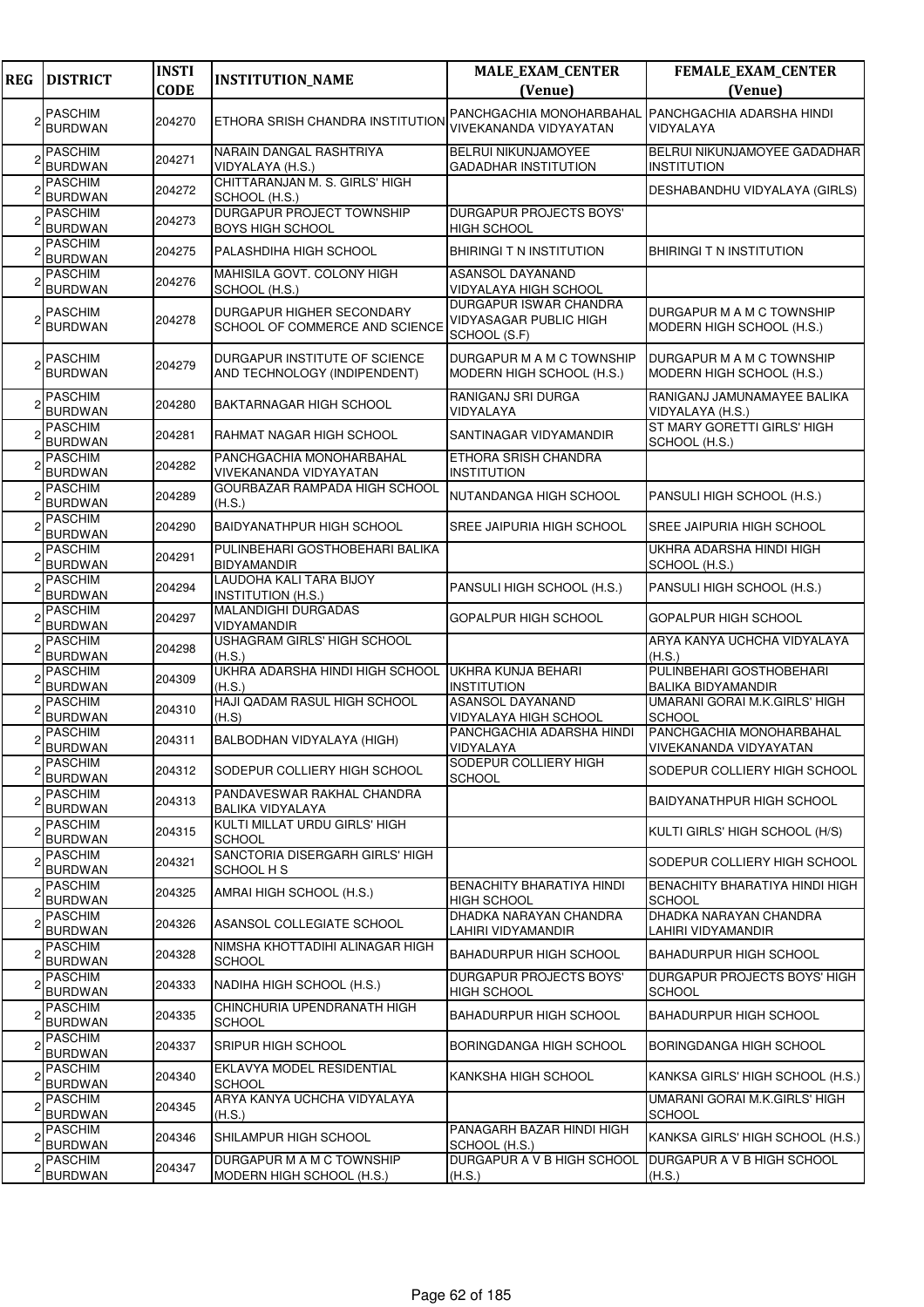| <b>REG</b> | <b>DISTRICT</b>                  | <b>INSTI</b><br><b>CODE</b> | <b>INSTITUTION_NAME</b>                                       | <b>MALE_EXAM_CENTER</b><br>(Venue)                                      | FEMALE_EXAM_CENTER<br>(Venue)                          |
|------------|----------------------------------|-----------------------------|---------------------------------------------------------------|-------------------------------------------------------------------------|--------------------------------------------------------|
|            | <b>PASCHIM</b><br><b>BURDWAN</b> | 204270                      | ETHORA SRISH CHANDRA INSTITUTION                              | PANCHGACHIA MONOHARBAHAL<br>VIVEKANANDA VIDYAYATAN                      | PANCHGACHIA ADARSHA HINDI<br>VIDYALAYA                 |
|            | <b>PASCHIM</b><br><b>BURDWAN</b> | 204271                      | NARAIN DANGAL RASHTRIYA<br>VIDYALAYA (H.S.)                   | <b>BELRUI NIKUNJAMOYEE</b><br><b>GADADHAR INSTITUTION</b>               | BELRUI NIKUNJAMOYEE GADADHAR<br><b>INSTITUTION</b>     |
|            | <b>PASCHIM</b><br><b>BURDWAN</b> | 204272                      | CHITTARANJAN M. S. GIRLS' HIGH<br>SCHOOL (H.S.)               |                                                                         | DESHABANDHU VIDYALAYA (GIRLS)                          |
|            | <b>PASCHIM</b><br><b>BURDWAN</b> | 204273                      | DURGAPUR PROJECT TOWNSHIP<br><b>BOYS HIGH SCHOOL</b>          | DURGAPUR PROJECTS BOYS'<br><b>HIGH SCHOOL</b>                           |                                                        |
|            | <b>PASCHIM</b><br><b>BURDWAN</b> | 204275                      | PALASHDIHA HIGH SCHOOL                                        | <b>BHIRINGIT N INSTITUTION</b>                                          | <b>BHIRINGI T N INSTITUTION</b>                        |
|            | <b>PASCHIM</b><br><b>BURDWAN</b> | 204276                      | MAHISILA GOVT. COLONY HIGH<br>SCHOOL (H.S.)                   | ASANSOL DAYANAND<br>VIDYALAYA HIGH SCHOOL                               |                                                        |
|            | <b>PASCHIM</b><br><b>BURDWAN</b> | 204278                      | DURGAPUR HIGHER SECONDARY<br>SCHOOL OF COMMERCE AND SCIENCE   | DURGAPUR ISWAR CHANDRA<br><b>VIDYASAGAR PUBLIC HIGH</b><br>SCHOOL (S.F) | DURGAPUR M A M C TOWNSHIP<br>MODERN HIGH SCHOOL (H.S.) |
|            | <b>PASCHIM</b><br><b>BURDWAN</b> | 204279                      | DURGAPUR INSTITUTE OF SCIENCE<br>AND TECHNOLOGY (INDIPENDENT) | DURGAPUR M A M C TOWNSHIP<br>MODERN HIGH SCHOOL (H.S.)                  | DURGAPUR M A M C TOWNSHIP<br>MODERN HIGH SCHOOL (H.S.) |
|            | <b>PASCHIM</b><br><b>BURDWAN</b> | 204280                      | <b>BAKTARNAGAR HIGH SCHOOL</b>                                | RANIGANJ SRI DURGA<br>VIDYALAYA                                         | RANIGANJ JAMUNAMAYEE BALIKA<br>VIDYALAYA (H.S.)        |
|            | <b>PASCHIM</b><br><b>BURDWAN</b> | 204281                      | RAHMAT NAGAR HIGH SCHOOL                                      | SANTINAGAR VIDYAMANDIR                                                  | ST MARY GORETTI GIRLS' HIGH<br>SCHOOL (H.S.)           |
|            | <b>PASCHIM</b><br><b>BURDWAN</b> | 204282                      | PANCHGACHIA MONOHARBAHAL<br>VIVEKANANDA VIDYAYATAN            | ETHORA SRISH CHANDRA<br><b>INSTITUTION</b>                              |                                                        |
|            | <b>PASCHIM</b><br><b>BURDWAN</b> | 204289                      | GOURBAZAR RAMPADA HIGH SCHOOL<br>(H.S.)                       | NUTANDANGA HIGH SCHOOL                                                  | PANSULI HIGH SCHOOL (H.S.)                             |
|            | <b>PASCHIM</b><br><b>BURDWAN</b> | 204290                      | BAIDYANATHPUR HIGH SCHOOL                                     | SREE JAIPURIA HIGH SCHOOL                                               | SREE JAIPURIA HIGH SCHOOL                              |
|            | <b>PASCHIM</b><br><b>BURDWAN</b> | 204291                      | PULINBEHARI GOSTHOBEHARI BALIKA<br><b>BIDYAMANDIR</b>         |                                                                         | UKHRA ADARSHA HINDI HIGH<br>SCHOOL (H.S.)              |
|            | <b>PASCHIM</b><br><b>BURDWAN</b> | 204294                      | LAUDOHA KALI TARA BIJOY<br><b>INSTITUTION (H.S.)</b>          | PANSULI HIGH SCHOOL (H.S.)                                              | PANSULI HIGH SCHOOL (H.S.)                             |
|            | <b>PASCHIM</b><br><b>BURDWAN</b> | 204297                      | MALANDIGHI DURGADAS<br>VIDYAMANDIR                            | GOPALPUR HIGH SCHOOL                                                    | GOPALPUR HIGH SCHOOL                                   |
|            | <b>PASCHIM</b><br><b>BURDWAN</b> | 204298                      | <b>USHAGRAM GIRLS' HIGH SCHOOL</b><br>(H.S.)                  |                                                                         | ARYA KANYA UCHCHA VIDYALAYA<br>(H.S.)                  |
|            | <b>PASCHIM</b><br><b>BURDWAN</b> | 204309                      | UKHRA ADARSHA HINDI HIGH SCHOOL<br>(H.S.)                     | UKHRA KUNJA BEHARI<br><b>INSTITUTION</b>                                | PULINBEHARI GOSTHOBEHARI<br><b>BALIKA BIDYAMANDIR</b>  |
|            | <b>PASCHIM</b><br><b>BURDWAN</b> | 204310                      | HAJI QADAM RASUL HIGH SCHOOL<br>(H.S)                         | <b>ASANSOL DAYANAND</b><br>VIDYALAYA HIGH SCHOOL                        | UMARANI GORAI M.K.GIRLS' HIGH<br><b>SCHOOL</b>         |
|            | <b>PASCHIM</b><br><b>BURDWAN</b> | 204311                      | BALBODHAN VIDYALAYA (HIGH)                                    | PANCHGACHIA ADARSHA HINDI<br>VIDYALAYA                                  | PANCHGACHIA MONOHARBAHAL<br>VIVEKANANDA VIDYAYATAN     |
|            | <b>PASCHIM</b><br><b>BURDWAN</b> | 204312                      | SODEPUR COLLIERY HIGH SCHOOL                                  | SODEPUR COLLIERY HIGH<br><b>SCHOOL</b>                                  | SODEPUR COLLIERY HIGH SCHOOL                           |
|            | <b>PASCHIM</b><br><b>BURDWAN</b> | 204313                      | PANDAVESWAR RAKHAL CHANDRA<br>BALIKA VIDYALAYA                |                                                                         | BAIDYANATHPUR HIGH SCHOOL                              |
|            | <b>PASCHIM</b><br><b>BURDWAN</b> | 204315                      | KULTI MILLAT URDU GIRLS' HIGH<br><b>SCHOOL</b>                |                                                                         | KULTI GIRLS' HIGH SCHOOL (H/S)                         |
|            | <b>PASCHIM</b><br><b>BURDWAN</b> | 204321                      | SANCTORIA DISERGARH GIRLS' HIGH<br>SCHOOL H S                 |                                                                         | SODEPUR COLLIERY HIGH SCHOOL                           |
|            | <b>PASCHIM</b><br><b>BURDWAN</b> | 204325                      | AMRAI HIGH SCHOOL (H.S.)                                      | <b>BENACHITY BHARATIYA HINDI</b><br><b>HIGH SCHOOL</b>                  | BENACHITY BHARATIYA HINDI HIGH<br><b>SCHOOL</b>        |
|            | <b>PASCHIM</b><br><b>BURDWAN</b> | 204326                      | ASANSOL COLLEGIATE SCHOOL                                     | DHADKA NARAYAN CHANDRA<br>LAHIRI VIDYAMANDIR                            | DHADKA NARAYAN CHANDRA<br>LAHIRI VIDYAMANDIR           |
|            | PASCHIM<br><b>BURDWAN</b>        | 204328                      | NIMSHA KHOTTADIHI ALINAGAR HIGH<br><b>SCHOOL</b>              | <b>BAHADURPUR HIGH SCHOOL</b>                                           | <b>BAHADURPUR HIGH SCHOOL</b>                          |
|            | <b>PASCHIM</b><br><b>BURDWAN</b> | 204333                      | NADIHA HIGH SCHOOL (H.S.)                                     | DURGAPUR PROJECTS BOYS'<br><b>HIGH SCHOOL</b>                           | DURGAPUR PROJECTS BOYS' HIGH<br><b>SCHOOL</b>          |
|            | <b>PASCHIM</b><br><b>BURDWAN</b> | 204335                      | CHINCHURIA UPENDRANATH HIGH<br><b>SCHOOL</b>                  | <b>BAHADURPUR HIGH SCHOOL</b>                                           | <b>BAHADURPUR HIGH SCHOOL</b>                          |
|            | <b>PASCHIM</b><br><b>BURDWAN</b> | 204337                      | SRIPUR HIGH SCHOOL                                            | BORINGDANGA HIGH SCHOOL                                                 | BORINGDANGA HIGH SCHOOL                                |
| 2          | <b>PASCHIM</b><br><b>BURDWAN</b> | 204340                      | EKLAVYA MODEL RESIDENTIAL<br><b>SCHOOL</b>                    | KANKSHA HIGH SCHOOL                                                     | KANKSA GIRLS' HIGH SCHOOL (H.S.)                       |
|            | <b>PASCHIM</b><br><b>BURDWAN</b> | 204345                      | ARYA KANYA UCHCHA VIDYALAYA<br>(H.S.)                         |                                                                         | UMARANI GORAI M.K.GIRLS' HIGH<br><b>SCHOOL</b>         |
|            | <b>PASCHIM</b><br><b>BURDWAN</b> | 204346                      | SHILAMPUR HIGH SCHOOL                                         | PANAGARH BAZAR HINDI HIGH<br>SCHOOL (H.S.)                              | KANKSA GIRLS' HIGH SCHOOL (H.S.)                       |
|            | <b>PASCHIM</b><br><b>BURDWAN</b> | 204347                      | DURGAPUR M A M C TOWNSHIP<br>MODERN HIGH SCHOOL (H.S.)        | DURGAPUR A V B HIGH SCHOOL<br>(H.S.)                                    | DURGAPUR A V B HIGH SCHOOL<br>(H.S.)                   |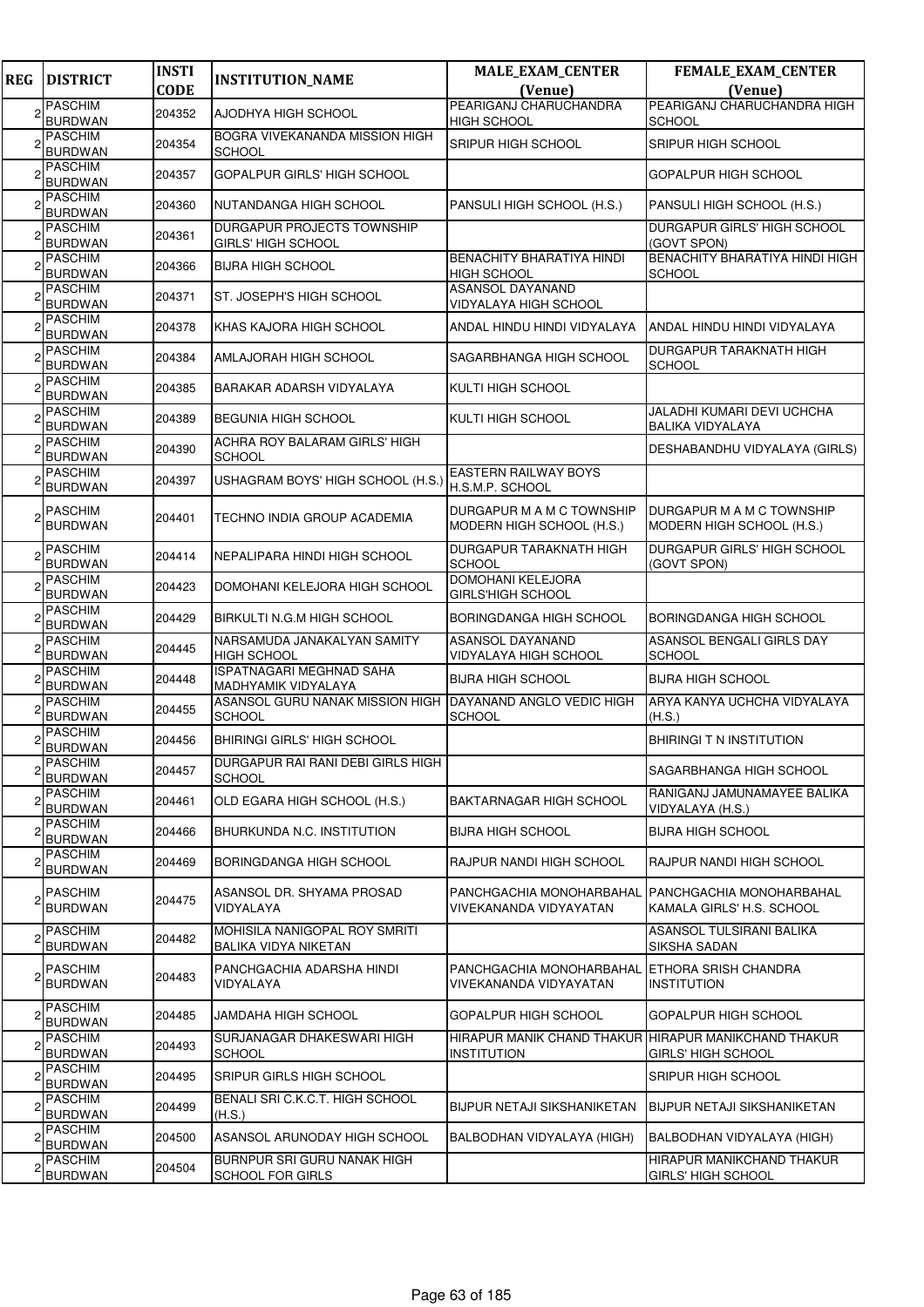| <b>REG</b>     | <b>DISTRICT</b>                        | <b>INSTI</b> | <b>INSTITUTION_NAME</b>                                 | <b>MALE_EXAM_CENTER</b>                                                     | <b>FEMALE_EXAM_CENTER</b>                              |
|----------------|----------------------------------------|--------------|---------------------------------------------------------|-----------------------------------------------------------------------------|--------------------------------------------------------|
|                |                                        | <b>CODE</b>  |                                                         | (Venue)                                                                     | (Venue)                                                |
| 2              | <b>PASCHIM</b><br><b>BURDWAN</b>       | 204352       | AJODHYA HIGH SCHOOL                                     | PEARIGANJ CHARUCHANDRA<br><b>HIGH SCHOOL</b>                                | PEARIGANJ CHARUCHANDRA HIGH<br><b>SCHOOL</b>           |
|                | <b>PASCHIM</b><br><b>BURDWAN</b>       | 204354       | BOGRA VIVEKANANDA MISSION HIGH<br><b>SCHOOL</b>         | SRIPUR HIGH SCHOOL                                                          | SRIPUR HIGH SCHOOL                                     |
| 2              | <b>PASCHIM</b><br><b>BURDWAN</b>       | 204357       | GOPALPUR GIRLS' HIGH SCHOOL                             |                                                                             | GOPALPUR HIGH SCHOOL                                   |
|                | <b>PASCHIM</b><br><b>BURDWAN</b>       | 204360       | NUTANDANGA HIGH SCHOOL                                  | PANSULI HIGH SCHOOL (H.S.)                                                  | PANSULI HIGH SCHOOL (H.S.)                             |
|                | <b>PASCHIM</b><br><b>BURDWAN</b>       | 204361       | DURGAPUR PROJECTS TOWNSHIP<br><b>GIRLS' HIGH SCHOOL</b> |                                                                             | DURGAPUR GIRLS' HIGH SCHOOL<br>(GOVT SPON)             |
|                | <b>PASCHIM</b><br><b>BURDWAN</b>       | 204366       | <b>BIJRA HIGH SCHOOL</b>                                | BENACHITY BHARATIYA HINDI<br><b>HIGH SCHOOL</b>                             | BENACHITY BHARATIYA HINDI HIGH<br><b>SCHOOL</b>        |
|                | <b>PASCHIM</b><br><b>BURDWAN</b>       | 204371       | ST. JOSEPH'S HIGH SCHOOL                                | ASANSOL DAYANAND<br>VIDYALAYA HIGH SCHOOL                                   |                                                        |
|                | <b>PASCHIM</b><br><b>BURDWAN</b>       | 204378       | KHAS KAJORA HIGH SCHOOL                                 | ANDAL HINDU HINDI VIDYALAYA                                                 | ANDAL HINDU HINDI VIDYALAYA                            |
|                | <b>PASCHIM</b><br><b>BURDWAN</b>       | 204384       | AMLAJORAH HIGH SCHOOL                                   | SAGARBHANGA HIGH SCHOOL                                                     | DURGAPUR TARAKNATH HIGH<br><b>SCHOOL</b>               |
|                | <b>PASCHIM</b><br><b>BURDWAN</b>       | 204385       | BARAKAR ADARSH VIDYALAYA                                | KULTI HIGH SCHOOL                                                           |                                                        |
|                | <b>PASCHIM</b><br><b>BURDWAN</b>       | 204389       | <b>BEGUNIA HIGH SCHOOL</b>                              | KULTI HIGH SCHOOL                                                           | JALADHI KUMARI DEVI UCHCHA<br><b>BALIKA VIDYALAYA</b>  |
|                | <b>PASCHIM</b><br><b>BURDWAN</b>       | 204390       | ACHRA ROY BALARAM GIRLS' HIGH<br><b>SCHOOL</b>          |                                                                             | DESHABANDHU VIDYALAYA (GIRLS)                          |
|                | <b>PASCHIM</b><br><b>BURDWAN</b>       | 204397       | USHAGRAM BOYS' HIGH SCHOOL (H.S.)                       | EASTERN RAILWAY BOYS<br>H.S.M.P. SCHOOL                                     |                                                        |
|                | 2 <sup>PASCHIM</sup><br><b>BURDWAN</b> | 204401       | TECHNO INDIA GROUP ACADEMIA                             | DURGAPUR M A M C TOWNSHIP<br>MODERN HIGH SCHOOL (H.S.)                      | DURGAPUR M A M C TOWNSHIP<br>MODERN HIGH SCHOOL (H.S.) |
| 2              | <b>PASCHIM</b><br><b>BURDWAN</b>       | 204414       | NEPALIPARA HINDI HIGH SCHOOL                            | DURGAPUR TARAKNATH HIGH<br><b>SCHOOL</b>                                    | DURGAPUR GIRLS' HIGH SCHOOL<br>(GOVT SPON)             |
|                | <b>PASCHIM</b><br><b>BURDWAN</b>       | 204423       | DOMOHANI KELEJORA HIGH SCHOOL                           | <b>DOMOHANI KELEJORA</b><br><b>GIRLS'HIGH SCHOOL</b>                        |                                                        |
|                | <b>PASCHIM</b><br><b>BURDWAN</b>       | 204429       | BIRKULTI N.G.M HIGH SCHOOL                              | BORINGDANGA HIGH SCHOOL                                                     | BORINGDANGA HIGH SCHOOL                                |
|                | <b>PASCHIM</b><br><b>BURDWAN</b>       | 204445       | NARSAMUDA JANAKALYAN SAMITY<br><b>HIGH SCHOOL</b>       | ASANSOL DAYANAND<br>VIDYALAYA HIGH SCHOOL                                   | ASANSOL BENGALI GIRLS DAY<br><b>SCHOOL</b>             |
|                | <b>PASCHIM</b><br><b>BURDWAN</b>       | 204448       | <b>ISPATNAGARI MEGHNAD SAHA</b><br>MADHYAMIK VIDYALAYA  | <b>BIJRA HIGH SCHOOL</b>                                                    | <b>BIJRA HIGH SCHOOL</b>                               |
|                | <b>PASCHIM</b><br><b>BURDWAN</b>       | 204455       | ASANSOL GURU NANAK MISSION HIGH<br><b>SCHOOL</b>        | DAYANAND ANGLO VEDIC HIGH<br>SCHOOL                                         | ARYA KANYA UCHCHA VIDYALAYA<br>(H.S.)                  |
|                | <b>PASCHIM</b><br><b>BURDWAN</b>       | 204456       | <b>BHIRINGI GIRLS' HIGH SCHOOL</b>                      |                                                                             | BHIRINGI T N INSTITUTION                               |
| 2              | <b>PASCHIM</b><br><b>BURDWAN</b>       | 204457       | DURGAPUR RAI RANI DEBI GIRLS HIGH<br><b>SCHOOL</b>      |                                                                             | SAGARBHANGA HIGH SCHOOL                                |
| 2              | <b>PASCHIM</b><br><b>BURDWAN</b>       | 204461       | OLD EGARA HIGH SCHOOL (H.S.)                            | BAKTARNAGAR HIGH SCHOOL                                                     | RANIGANJ JAMUNAMAYEE BALIKA<br>VIDYALAYA (H.S.)        |
| 2              | PASCHIM<br><b>BURDWAN</b>              | 204466       | BHURKUNDA N.C. INSTITUTION                              | <b>BIJRA HIGH SCHOOL</b>                                                    | <b>BIJRA HIGH SCHOOL</b>                               |
| 2              | <b>PASCHIM</b><br><b>BURDWAN</b>       | 204469       | BORINGDANGA HIGH SCHOOL                                 | RAJPUR NANDI HIGH SCHOOL                                                    | RAJPUR NANDI HIGH SCHOOL                               |
| $\overline{c}$ | <b>PASCHIM</b><br><b>BURDWAN</b>       | 204475       | ASANSOL DR. SHYAMA PROSAD<br>VIDYALAYA                  | PANCHGACHIA MONOHARBAHAL<br>VIVEKANANDA VIDYAYATAN                          | PANCHGACHIA MONOHARBAHAL<br>KAMALA GIRLS' H.S. SCHOOL  |
| 2              | <b>PASCHIM</b><br><b>BURDWAN</b>       | 204482       | MOHISILA NANIGOPAL ROY SMRITI<br>BALIKA VIDYA NIKETAN   |                                                                             | ASANSOL TULSIRANI BALIKA<br>SIKSHA SADAN               |
|                | 2 <sup>PASCHIM</sup><br><b>BURDWAN</b> | 204483       | PANCHGACHIA ADARSHA HINDI<br>VIDYALAYA                  | PANCHGACHIA MONOHARBAHAL<br>VIVEKANANDA VIDYAYATAN                          | ETHORA SRISH CHANDRA<br>INSTITUTION                    |
| $\overline{c}$ | <b>PASCHIM</b><br><b>BURDWAN</b>       | 204485       | JAMDAHA HIGH SCHOOL                                     | GOPALPUR HIGH SCHOOL                                                        | GOPALPUR HIGH SCHOOL                                   |
| 2              | PASCHIM<br><b>BURDWAN</b>              | 204493       | SURJANAGAR DHAKESWARI HIGH<br><b>SCHOOL</b>             | HIRAPUR MANIK CHAND THAKUR  HIRAPUR MANIKCHAND THAKUR<br><b>INSTITUTION</b> | GIRLS' HIGH SCHOOL                                     |
| 2              | <b>PASCHIM</b><br><b>BURDWAN</b>       | 204495       | SRIPUR GIRLS HIGH SCHOOL                                |                                                                             | SRIPUR HIGH SCHOOL                                     |
| 2              | <b>PASCHIM</b><br><b>BURDWAN</b>       | 204499       | BENALI SRI C.K.C.T. HIGH SCHOOL<br>(H.S.)               | BIJPUR NETAJI SIKSHANIKETAN                                                 | BIJPUR NETAJI SIKSHANIKETAN                            |
|                | <b>PASCHIM</b><br><b>BURDWAN</b>       | 204500       | ASANSOL ARUNODAY HIGH SCHOOL                            | BALBODHAN VIDYALAYA (HIGH)                                                  | BALBODHAN VIDYALAYA (HIGH)                             |
|                | <b>PASCHIM</b><br><b>BURDWAN</b>       | 204504       | BURNPUR SRI GURU NANAK HIGH<br>SCHOOL FOR GIRLS         |                                                                             | HIRAPUR MANIKCHAND THAKUR<br><b>GIRLS' HIGH SCHOOL</b> |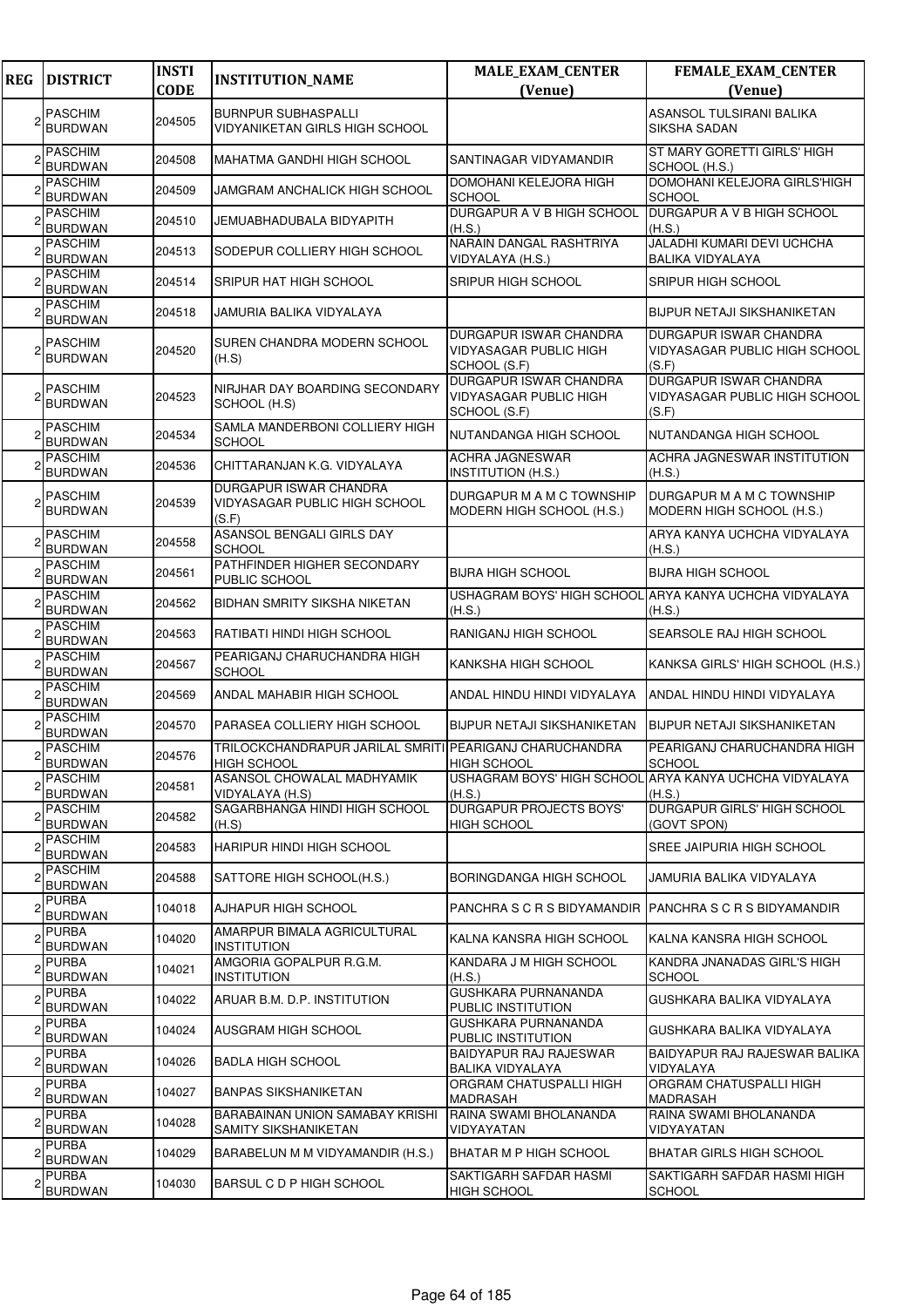| <b>REG</b> | <b>DISTRICT</b>                  | <b>INSTI</b><br><b>CODE</b> | <b>INSTITUTION_NAME</b>                                                       | <b>MALE_EXAM_CENTER</b>                                          | <b>FEMALE_EXAM_CENTER</b><br>(Venue)                                           |
|------------|----------------------------------|-----------------------------|-------------------------------------------------------------------------------|------------------------------------------------------------------|--------------------------------------------------------------------------------|
|            |                                  |                             |                                                                               | (Venue)                                                          |                                                                                |
|            | <b>PASCHIM</b><br><b>BURDWAN</b> | 204505                      | <b>BURNPUR SUBHASPALLI</b><br>VIDYANIKETAN GIRLS HIGH SCHOOL                  |                                                                  | <b>ASANSOL TULSIRANI BALIKA</b><br><b>SIKSHA SADAN</b>                         |
|            | <b>PASCHIM</b><br><b>BURDWAN</b> | 204508                      | <b>MAHATMA GANDHI HIGH SCHOOL</b>                                             | SANTINAGAR VIDYAMANDIR                                           | ST MARY GORETTI GIRLS' HIGH<br>SCHOOL (H.S.)                                   |
|            | <b>PASCHIM</b><br><b>BURDWAN</b> | 204509                      | JAMGRAM ANCHALICK HIGH SCHOOL                                                 | DOMOHANI KELEJORA HIGH<br><b>SCHOOL</b>                          | DOMOHANI KELEJORA GIRLS'HIGH<br><b>SCHOOL</b>                                  |
|            | <b>PASCHIM</b><br><b>BURDWAN</b> | 204510                      | JEMUABHADUBALA BIDYAPITH                                                      | DURGAPUR A V B HIGH SCHOOL<br>(H.S.)                             | DURGAPUR A V B HIGH SCHOOL<br>(H.S.)                                           |
|            | <b>PASCHIM</b><br><b>BURDWAN</b> | 204513                      | SODEPUR COLLIERY HIGH SCHOOL                                                  | NARAIN DANGAL RASHTRIYA<br>VIDYALAYA (H.S.)                      | JALADHI KUMARI DEVI UCHCHA<br><b>BALIKA VIDYALAYA</b>                          |
|            | <b>PASCHIM</b><br><b>BURDWAN</b> | 204514                      | SRIPUR HAT HIGH SCHOOL                                                        | SRIPUR HIGH SCHOOL                                               | SRIPUR HIGH SCHOOL                                                             |
|            | <b>PASCHIM</b><br><b>BURDWAN</b> | 204518                      | JAMURIA BALIKA VIDYALAYA                                                      |                                                                  | <b>BIJPUR NETAJI SIKSHANIKETAN</b>                                             |
|            | <b>PASCHIM</b><br><b>BURDWAN</b> | 204520                      | SUREN CHANDRA MODERN SCHOOL<br>(H.S)                                          | DURGAPUR ISWAR CHANDRA<br>VIDYASAGAR PUBLIC HIGH<br>SCHOOL (S.F) | DURGAPUR ISWAR CHANDRA<br>VIDYASAGAR PUBLIC HIGH SCHOOL<br>(S.F)               |
|            | <b>PASCHIM</b><br><b>BURDWAN</b> | 204523                      | NIRJHAR DAY BOARDING SECONDARY<br>SCHOOL (H.S)                                | DURGAPUR ISWAR CHANDRA<br>VIDYASAGAR PUBLIC HIGH<br>SCHOOL (S.F) | <b>DURGAPUR ISWAR CHANDRA</b><br><b>VIDYASAGAR PUBLIC HIGH SCHOOL</b><br>(S.F) |
|            | <b>PASCHIM</b><br><b>BURDWAN</b> | 204534                      | SAMLA MANDERBONI COLLIERY HIGH<br><b>SCHOOL</b>                               | NUTANDANGA HIGH SCHOOL                                           | NUTANDANGA HIGH SCHOOL                                                         |
|            | <b>PASCHIM</b><br><b>BURDWAN</b> | 204536                      | CHITTARANJAN K.G. VIDYALAYA                                                   | <b>ACHRA JAGNESWAR</b><br>INSTITUTION (H.S.)                     | ACHRA JAGNESWAR INSTITUTION<br>(H.S.)                                          |
|            | <b>PASCHIM</b><br><b>BURDWAN</b> | 204539                      | DURGAPUR ISWAR CHANDRA<br>VIDYASAGAR PUBLIC HIGH SCHOOL<br>(S.F)              | DURGAPUR M A M C TOWNSHIP<br>MODERN HIGH SCHOOL (H.S.)           | DURGAPUR M A M C TOWNSHIP<br>MODERN HIGH SCHOOL (H.S.)                         |
|            | <b>PASCHIM</b><br><b>BURDWAN</b> | 204558                      | ASANSOL BENGALI GIRLS DAY<br><b>SCHOOL</b>                                    |                                                                  | ARYA KANYA UCHCHA VIDYALAYA<br>(H.S.)                                          |
|            | <b>PASCHIM</b><br><b>BURDWAN</b> | 204561                      | PATHFINDER HIGHER SECONDARY<br>PUBLIC SCHOOL                                  | BIJRA HIGH SCHOOL                                                | <b>BIJRA HIGH SCHOOL</b>                                                       |
|            | <b>PASCHIM</b><br><b>BURDWAN</b> | 204562                      | <b>BIDHAN SMRITY SIKSHA NIKETAN</b>                                           | (H.S.)                                                           | USHAGRAM BOYS' HIGH SCHOOL ARYA KANYA UCHCHA VIDYALAYA<br>(H.S.)               |
|            | <b>PASCHIM</b><br><b>BURDWAN</b> | 204563                      | RATIBATI HINDI HIGH SCHOOL                                                    | RANIGANJ HIGH SCHOOL                                             | SEARSOLE RAJ HIGH SCHOOL                                                       |
|            | <b>PASCHIM</b><br><b>BURDWAN</b> | 204567                      | PEARIGANJ CHARUCHANDRA HIGH<br><b>SCHOOL</b>                                  | KANKSHA HIGH SCHOOL                                              | KANKSA GIRLS' HIGH SCHOOL (H.S.)                                               |
|            | <b>PASCHIM</b><br><b>BURDWAN</b> | 204569                      | ANDAL MAHABIR HIGH SCHOOL                                                     | ANDAL HINDU HINDI VIDYALAYA                                      | ANDAL HINDU HINDI VIDYALAYA                                                    |
|            | <b>PASCHIM</b><br><b>BURDWAN</b> | 204570                      | PARASEA COLLIERY HIGH SCHOOL                                                  | <b>BIJPUR NETAJI SIKSHANIKETAN</b>                               | <b>BIJPUR NETAJI SIKSHANIKETAN</b>                                             |
|            | <b>PASCHIM</b><br><b>BURDWAN</b> | 204576                      | TRILOCKCHANDRAPUR JARILAL SMRITI PEARIGANJ CHARUCHANDRA<br><b>HIGH SCHOOL</b> | <b>HIGH SCHOOL</b>                                               | PEARIGANJ CHARUCHANDRA HIGH<br><b>SCHOOL</b>                                   |
|            | <b>PASCHIM</b><br><b>BURDWAN</b> | 204581                      | ASANSOL CHOWALAL MADHYAMIK<br>VIDYALAYA (H.S)                                 | USHAGRAM BOYS' HIGH SCHOOL<br>(H.S.)                             | . ARYA KANYA UCHCHA VIDYALAYA<br>(H.S.)                                        |
|            | <b>PASCHIM</b><br><b>BURDWAN</b> | 204582                      | SAGARBHANGA HINDI HIGH SCHOOL<br>(H.S)                                        | <b>DURGAPUR PROJECTS BOYS'</b><br>HIGH SCHOOL                    | DURGAPUR GIRLS' HIGH SCHOOL<br>(GOVT SPON)                                     |
|            | <b>PASCHIM</b><br><b>BURDWAN</b> | 204583                      | <b>HARIPUR HINDI HIGH SCHOOL</b>                                              |                                                                  | SREE JAIPURIA HIGH SCHOOL                                                      |
|            | <b>PASCHIM</b><br><b>BURDWAN</b> | 204588                      | SATTORE HIGH SCHOOL(H.S.)                                                     | BORINGDANGA HIGH SCHOOL                                          | JAMURIA BALIKA VIDYALAYA                                                       |
|            | <b>PURBA</b><br><b>BURDWAN</b>   | 104018                      | AJHAPUR HIGH SCHOOL                                                           | PANCHRA S C R S BIDYAMANDIR  PANCHRA S C R S BIDYAMANDIR         |                                                                                |
|            | <b>PURBA</b><br><b>BURDWAN</b>   | 104020                      | AMARPUR BIMALA AGRICULTURAL<br><b>INSTITUTION</b>                             | KALNA KANSRA HIGH SCHOOL                                         | KALNA KANSRA HIGH SCHOOL                                                       |
|            | <b>PURBA</b><br><b>BURDWAN</b>   | 104021                      | AMGORIA GOPALPUR R.G.M.<br><b>INSTITUTION</b>                                 | KANDARA J M HIGH SCHOOL<br>(H.S.)                                | KANDRA JNANADAS GIRL'S HIGH<br><b>SCHOOL</b>                                   |
|            | <b>PURBA</b><br>BURDWAN          | 104022                      | ARUAR B.M. D.P. INSTITUTION                                                   | GUSHKARA PURNANANDA<br>PUBLIC INSTITUTION                        | GUSHKARA BALIKA VIDYALAYA                                                      |
|            | <b>PURBA</b><br><b>BURDWAN</b>   | 104024                      | AUSGRAM HIGH SCHOOL                                                           | GUSHKARA PURNANANDA<br>PUBLIC INSTITUTION                        | GUSHKARA BALIKA VIDYALAYA                                                      |
|            | <b>PURBA</b><br><b>BURDWAN</b>   | 104026                      | <b>BADLA HIGH SCHOOL</b>                                                      | BAIDYAPUR RAJ RAJESWAR<br>BALIKA VIDYALAYA                       | BAIDYAPUR RAJ RAJESWAR BALIKA<br>VIDYALAYA                                     |
|            | <b>PURBA</b><br><b>BURDWAN</b>   | 104027                      | BANPAS SIKSHANIKETAN                                                          | ORGRAM CHATUSPALLI HIGH<br>MADRASAH                              | ORGRAM CHATUSPALLI HIGH<br><b>MADRASAH</b>                                     |
|            | <b>PURBA</b><br><b>BURDWAN</b>   | 104028                      | BARABAINAN UNION SAMABAY KRISHI<br><b>SAMITY SIKSHANIKETAN</b>                | RAINA SWAMI BHOLANANDA<br>VIDYAYATAN                             | RAINA SWAMI BHOLANANDA<br>VIDYAYATAN                                           |
|            | <b>PURBA</b><br><b>BURDWAN</b>   | 104029                      | BARABELUN M M VIDYAMANDIR (H.S.)                                              | BHATAR M P HIGH SCHOOL                                           | BHATAR GIRLS HIGH SCHOOL                                                       |
|            | <b>PURBA</b><br><b>BURDWAN</b>   | 104030                      | <b>BARSUL C D P HIGH SCHOOL</b>                                               | SAKTIGARH SAFDAR HASMI<br><b>HIGH SCHOOL</b>                     | SAKTIGARH SAFDAR HASMI HIGH<br><b>SCHOOL</b>                                   |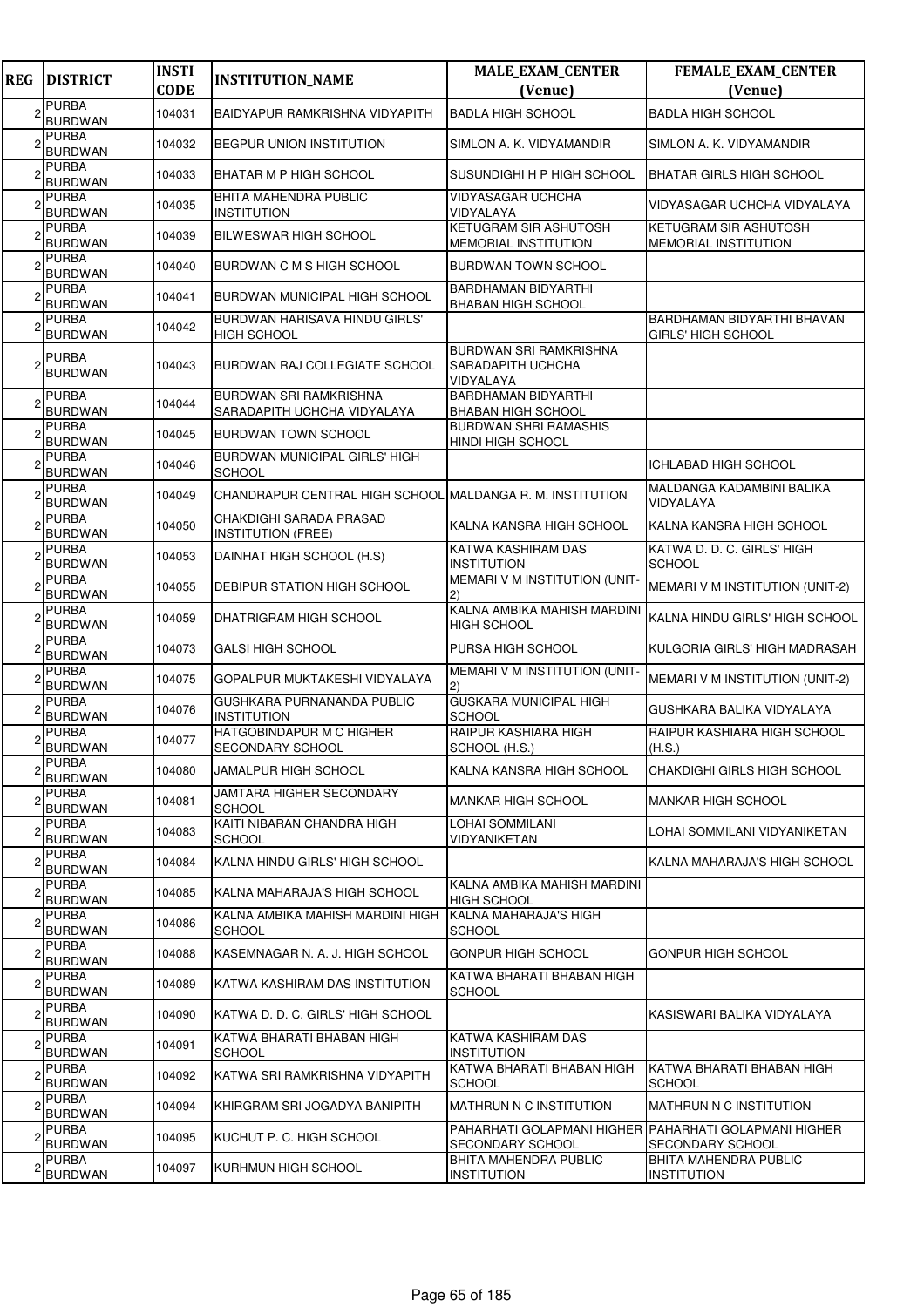| <b>REG</b> | <b>DISTRICT</b>                | <b>INSTI</b><br><b>CODE</b> | <b>INSTITUTION_NAME</b>                                   | <b>MALE_EXAM_CENTER</b><br>(Venue)                                     | FEMALE_EXAM_CENTER<br>(Venue)                                                    |
|------------|--------------------------------|-----------------------------|-----------------------------------------------------------|------------------------------------------------------------------------|----------------------------------------------------------------------------------|
|            | <b>PURBA</b><br><b>BURDWAN</b> | 104031                      | BAIDYAPUR RAMKRISHNA VIDYAPITH                            | <b>BADLA HIGH SCHOOL</b>                                               | <b>BADLA HIGH SCHOOL</b>                                                         |
|            | PURBA<br><b>BURDWAN</b>        | 104032                      | <b>BEGPUR UNION INSTITUTION</b>                           | SIMLON A. K. VIDYAMANDIR                                               | SIMLON A. K. VIDYAMANDIR                                                         |
|            | <b>PURBA</b><br><b>BURDWAN</b> | 104033                      | BHATAR M P HIGH SCHOOL                                    | SUSUNDIGHI H P HIGH SCHOOL                                             | BHATAR GIRLS HIGH SCHOOL                                                         |
|            | <b>PURBA</b><br><b>BURDWAN</b> | 104035                      | BHITA MAHENDRA PUBLIC<br><b>INSTITUTION</b>               | <b>VIDYASAGAR UCHCHA</b><br>VIDYALAYA                                  | VIDYASAGAR UCHCHA VIDYALAYA                                                      |
|            | <b>PURBA</b><br><b>BURDWAN</b> | 104039                      | <b>BILWESWAR HIGH SCHOOL</b>                              | KETUGRAM SIR ASHUTOSH<br><b>MEMORIAL INSTITUTION</b>                   | <b>KETUGRAM SIR ASHUTOSH</b><br><b>MEMORIAL INSTITUTION</b>                      |
|            | <b>PURBA</b><br><b>BURDWAN</b> | 104040                      | BURDWAN C M S HIGH SCHOOL                                 | BURDWAN TOWN SCHOOL                                                    |                                                                                  |
|            | <b>PURBA</b><br><b>BURDWAN</b> | 104041                      | BURDWAN MUNICIPAL HIGH SCHOOL                             | <b>BARDHAMAN BIDYARTHI</b><br><b>BHABAN HIGH SCHOOL</b>                |                                                                                  |
|            | PURBA<br><b>BURDWAN</b>        | 104042                      | BURDWAN HARISAVA HINDU GIRLS'<br><b>HIGH SCHOOL</b>       |                                                                        | <b>BARDHAMAN BIDYARTHI BHAVAN</b><br><b>GIRLS' HIGH SCHOOL</b>                   |
|            | PURBA<br><b>BURDWAN</b>        | 104043                      | BURDWAN RAJ COLLEGIATE SCHOOL                             | <b>BURDWAN SRI RAMKRISHNA</b><br><b>SARADAPITH UCHCHA</b><br>VIDYALAYA |                                                                                  |
|            | <b>PURBA</b><br><b>BURDWAN</b> | 104044                      | BURDWAN SRI RAMKRISHNA<br>SARADAPITH UCHCHA VIDYALAYA     | <b>BARDHAMAN BIDYARTHI</b><br><b>BHABAN HIGH SCHOOL</b>                |                                                                                  |
|            | <b>PURBA</b><br><b>BURDWAN</b> | 104045                      | BURDWAN TOWN SCHOOL                                       | <b>BURDWAN SHRI RAMASHIS</b><br><b>HINDI HIGH SCHOOL</b>               |                                                                                  |
|            | <b>PURBA</b><br><b>BURDWAN</b> | 104046                      | BURDWAN MUNICIPAL GIRLS' HIGH<br><b>SCHOOL</b>            |                                                                        | <b>ICHLABAD HIGH SCHOOL</b>                                                      |
|            | PURBA<br><b>BURDWAN</b>        | 104049                      | CHANDRAPUR CENTRAL HIGH SCHOOL MALDANGA R. M. INSTITUTION |                                                                        | MALDANGA KADAMBINI BALIKA<br>VIDYALAYA                                           |
|            | <b>PURBA</b><br><b>BURDWAN</b> | 104050                      | CHAKDIGHI SARADA PRASAD<br><b>INSTITUTION (FREE)</b>      | KALNA KANSRA HIGH SCHOOL                                               | KALNA KANSRA HIGH SCHOOL                                                         |
|            | <b>PURBA</b><br><b>BURDWAN</b> | 104053                      | DAINHAT HIGH SCHOOL (H.S)                                 | KATWA KASHIRAM DAS<br><b>INSTITUTION</b>                               | KATWA D. D. C. GIRLS' HIGH<br><b>SCHOOL</b>                                      |
|            | PURBA<br><b>BURDWAN</b>        | 104055                      | DEBIPUR STATION HIGH SCHOOL                               | MEMARI V M INSTITUTION (UNIT-<br>$\mathbf{2}$                          | MEMARI V M INSTITUTION (UNIT-2)                                                  |
|            | PURBA<br><b>BURDWAN</b>        | 104059                      | DHATRIGRAM HIGH SCHOOL                                    | KALNA AMBIKA MAHISH MARDINI<br><b>HIGH SCHOOL</b>                      | KALNA HINDU GIRLS' HIGH SCHOOL                                                   |
|            | <b>PURBA</b><br><b>BURDWAN</b> | 104073                      | <b>GALSI HIGH SCHOOL</b>                                  | PURSA HIGH SCHOOL                                                      | KULGORIA GIRLS' HIGH MADRASAH                                                    |
|            | <b>PURBA</b><br><b>BURDWAN</b> | 104075                      | GOPALPUR MUKTAKESHI VIDYALAYA                             | MEMARI V M INSTITUTION (UNIT-                                          | MEMARI V M INSTITUTION (UNIT-2)                                                  |
|            | <b>PURBA</b><br><b>BURDWAN</b> | 104076                      | <b>GUSHKARA PURNANANDA PUBLIC</b><br><b>INSTITUTION</b>   | <b>GUSKARA MUNICIPAL HIGH</b><br><b>SCHOOL</b>                         | GUSHKARA BALIKA VIDYALAYA                                                        |
|            | PURBA<br><b>BURDWAN</b>        | 104077                      | HATGOBINDAPUR M C HIGHER<br>SECONDARY SCHOOL              | RAIPUR KASHIARA HIGH<br>SCHOOL (H.S.)                                  | RAIPUR KASHIARA HIGH SCHOOL<br>(H.S.)                                            |
|            | <b>PURBA</b><br><b>BURDWAN</b> | 104080                      | JAMALPUR HIGH SCHOOL                                      | KALNA KANSRA HIGH SCHOOL                                               | CHAKDIGHI GIRLS HIGH SCHOOL                                                      |
|            | <b>PURBA</b><br><b>BURDWAN</b> | 104081                      | <b>JAMTARA HIGHER SECONDARY</b><br><b>SCHOOL</b>          | <b>MANKAR HIGH SCHOOL</b>                                              | MANKAR HIGH SCHOOL                                                               |
|            | <b>PURBA</b><br><b>BURDWAN</b> | 104083                      | KAITI NIBARAN CHANDRA HIGH<br><b>SCHOOL</b>               | LOHAI SOMMILANI<br>VIDYANIKETAN                                        | LOHAI SOMMILANI VIDYANIKETAN                                                     |
|            | <b>PURBA</b><br><b>BURDWAN</b> | 104084                      | KALNA HINDU GIRLS' HIGH SCHOOL                            |                                                                        | KALNA MAHARAJA'S HIGH SCHOOL                                                     |
|            | <b>PURBA</b><br><b>BURDWAN</b> | 104085                      | KALNA MAHARAJA'S HIGH SCHOOL                              | KALNA AMBIKA MAHISH MARDINI<br><b>HIGH SCHOOL</b>                      |                                                                                  |
|            | <b>PURBA</b><br><b>BURDWAN</b> | 104086                      | KALNA AMBIKA MAHISH MARDINI HIGH<br><b>SCHOOL</b>         | KALNA MAHARAJA'S HIGH<br><b>SCHOOL</b>                                 |                                                                                  |
| 2          | <b>PURBA</b><br><b>BURDWAN</b> | 104088                      | KASEMNAGAR N. A. J. HIGH SCHOOL                           | <b>GONPUR HIGH SCHOOL</b>                                              | GONPUR HIGH SCHOOL                                                               |
|            | <b>PURBA</b><br><b>BURDWAN</b> | 104089                      | KATWA KASHIRAM DAS INSTITUTION                            | KATWA BHARATI BHABAN HIGH<br><b>SCHOOL</b>                             |                                                                                  |
|            | <b>PURBA</b><br><b>BURDWAN</b> | 104090                      | KATWA D. D. C. GIRLS' HIGH SCHOOL                         |                                                                        | KASISWARI BALIKA VIDYALAYA                                                       |
|            | <b>PURBA</b><br><b>BURDWAN</b> | 104091                      | KATWA BHARATI BHABAN HIGH<br><b>SCHOOL</b>                | KATWA KASHIRAM DAS<br><b>INSTITUTION</b>                               |                                                                                  |
|            | PURBA<br><b>BURDWAN</b>        | 104092                      | KATWA SRI RAMKRISHNA VIDYAPITH                            | KATWA BHARATI BHABAN HIGH<br>SCHOOL                                    | KATWA BHARATI BHABAN HIGH<br><b>SCHOOL</b>                                       |
|            | <b>PURBA</b><br>BURDWAN        | 104094                      | KHIRGRAM SRI JOGADYA BANIPITH                             | <b>MATHRUN N C INSTITUTION</b>                                         | MATHRUN N C INSTITUTION                                                          |
|            | PURBA<br><b>BURDWAN</b>        | 104095                      | KUCHUT P. C. HIGH SCHOOL                                  | <b>SECONDARY SCHOOL</b>                                                | PAHARHATI GOLAPMANI HIGHER PAHARHATI GOLAPMANI HIGHER<br><b>SECONDARY SCHOOL</b> |
|            | <b>PURBA</b><br><b>BURDWAN</b> | 104097                      | KURHMUN HIGH SCHOOL                                       | <b>BHITA MAHENDRA PUBLIC</b><br>INSTITUTION                            | <b>BHITA MAHENDRA PUBLIC</b><br><b>INSTITUTION</b>                               |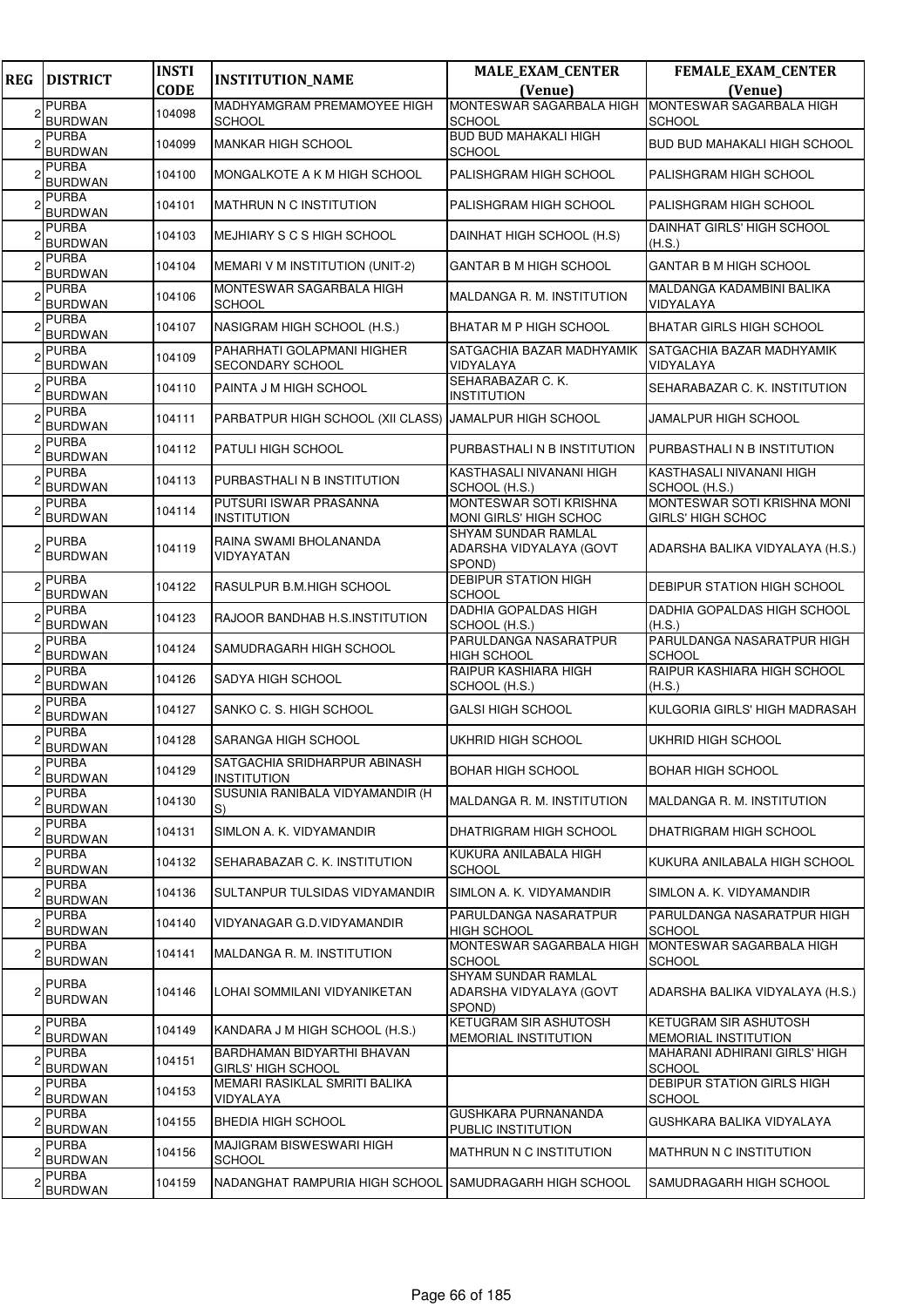| <b>REG</b> | <b>DISTRICT</b>                | <b>INSTI</b><br><b>CODE</b> | <b>INSTITUTION_NAME</b>                                | <b>MALE_EXAM_CENTER</b><br>(Venue)                       | <b>FEMALE_EXAM_CENTER</b><br>(Venue)             |
|------------|--------------------------------|-----------------------------|--------------------------------------------------------|----------------------------------------------------------|--------------------------------------------------|
|            | <b>PURBA</b><br><b>BURDWAN</b> | 104098                      | MADHYAMGRAM PREMAMOYEE HIGH<br><b>SCHOOL</b>           | MONTESWAR SAGARBALA HIGH<br><b>SCHOOL</b>                | MONTESWAR SAGARBALA HIGH<br><b>SCHOOL</b>        |
|            | PURBA<br><b>BURDWAN</b>        | 104099                      | <b>MANKAR HIGH SCHOOL</b>                              | <b>BUD BUD MAHAKALI HIGH</b><br><b>SCHOOL</b>            | <b>BUD BUD MAHAKALI HIGH SCHOOL</b>              |
|            | <b>PURBA</b><br><b>BURDWAN</b> | 104100                      | MONGALKOTE A K M HIGH SCHOOL                           | PALISHGRAM HIGH SCHOOL                                   | PALISHGRAM HIGH SCHOOL                           |
|            | <b>PURBA</b><br><b>BURDWAN</b> | 104101                      | MATHRUN N C INSTITUTION                                | PALISHGRAM HIGH SCHOOL                                   | PALISHGRAM HIGH SCHOOL                           |
|            | <b>PURBA</b><br><b>BURDWAN</b> | 104103                      | MEJHIARY S C S HIGH SCHOOL                             | DAINHAT HIGH SCHOOL (H.S)                                | <b>DAINHAT GIRLS' HIGH SCHOOL</b><br>(H.S.)      |
|            | <b>PURBA</b><br><b>BURDWAN</b> | 104104                      | <b>MEMARI V M INSTITUTION (UNIT-2)</b>                 | <b>GANTAR B M HIGH SCHOOL</b>                            | <b>GANTAR B M HIGH SCHOOL</b>                    |
|            | <b>PURBA</b><br><b>BURDWAN</b> | 104106                      | MONTESWAR SAGARBALA HIGH<br><b>SCHOOL</b>              | MALDANGA R. M. INSTITUTION                               | MALDANGA KADAMBINI BALIKA<br>VIDYALAYA           |
|            | <b>PURBA</b><br><b>BURDWAN</b> | 104107                      | NASIGRAM HIGH SCHOOL (H.S.)                            | <b>BHATAR M P HIGH SCHOOL</b>                            | <b>BHATAR GIRLS HIGH SCHOOL</b>                  |
|            | PURBA<br><b>BURDWAN</b>        | 104109                      | PAHARHATI GOLAPMANI HIGHER<br>SECONDARY SCHOOL         | SATGACHIA BAZAR MADHYAMIK<br>VIDYALAYA                   | SATGACHIA BAZAR MADHYAMIK<br>VIDYALAYA           |
|            | <b>PURBA</b><br><b>BURDWAN</b> | 104110                      | PAINTA J M HIGH SCHOOL                                 | SEHARABAZAR C. K.<br><b>INSTITUTION</b>                  | SEHARABAZAR C. K. INSTITUTION                    |
|            | <b>PURBA</b><br><b>BURDWAN</b> | 104111                      | PARBATPUR HIGH SCHOOL (XII CLASS) JAMALPUR HIGH SCHOOL |                                                          | <b>JAMALPUR HIGH SCHOOL</b>                      |
|            | PURBA<br><b>BURDWAN</b>        | 104112                      | PATULI HIGH SCHOOL                                     | PURBASTHALI N B INSTITUTION                              | PURBASTHALI N B INSTITUTION                      |
|            | <b>PURBA</b><br><b>BURDWAN</b> | 104113                      | PURBASTHALI N B INSTITUTION                            | KASTHASALI NIVANANI HIGH<br>SCHOOL (H.S.)                | KASTHASALI NIVANANI HIGH<br>SCHOOL (H.S.)        |
|            | <b>PURBA</b><br><b>BURDWAN</b> | 104114                      | PUTSURI ISWAR PRASANNA<br><b>INSTITUTION</b>           | MONTESWAR SOTI KRISHNA<br>MONI GIRLS' HIGH SCHOC         | MONTESWAR SOTI KRISHNA MONI<br>GIRLS' HIGH SCHOC |
|            | <b>PURBA</b><br><b>BURDWAN</b> | 104119                      | RAINA SWAMI BHOLANANDA<br>VIDYAYATAN                   | SHYAM SUNDAR RAMLAL<br>ADARSHA VIDYALAYA (GOVT<br>SPOND) | ADARSHA BALIKA VIDYALAYA (H.S.)                  |
|            | <b>PURBA</b><br><b>BURDWAN</b> | 104122                      | RASULPUR B.M.HIGH SCHOOL                               | <b>DEBIPUR STATION HIGH</b><br><b>SCHOOL</b>             | <b>DEBIPUR STATION HIGH SCHOOL</b>               |
|            | PURBA<br><b>BURDWAN</b>        | 104123                      | RAJOOR BANDHAB H.S.INSTITUTION                         | DADHIA GOPALDAS HIGH<br>SCHOOL (H.S.)                    | DADHIA GOPALDAS HIGH SCHOOL<br>(H.S.)            |
|            | <b>PURBA</b><br><b>BURDWAN</b> | 104124                      | SAMUDRAGARH HIGH SCHOOL                                | PARULDANGA NASARATPUR<br><b>HIGH SCHOOL</b>              | PARULDANGA NASARATPUR HIGH<br><b>SCHOOL</b>      |
|            | <b>PURBA</b><br><b>BURDWAN</b> | 104126                      | SADYA HIGH SCHOOL                                      | RAIPUR KASHIARA HIGH<br>SCHOOL (H.S.)                    | RAIPUR KASHIARA HIGH SCHOOL<br>(H.S.)            |
|            | <b>PURBA</b><br><b>BURDWAN</b> | 104127                      | SANKO C. S. HIGH SCHOOL                                | <b>GALSI HIGH SCHOOL</b>                                 | KULGORIA GIRLS' HIGH MADRASAH                    |
|            | PURBA<br><b>BURDWAN</b>        | 104128                      | SARANGA HIGH SCHOOL                                    | UKHRID HIGH SCHOOL                                       | UKHRID HIGH SCHOOL                               |
| 2          | <b>PURBA</b><br><b>BURDWAN</b> | 104129                      | SATGACHIA SRIDHARPUR ABINASH<br><b>INSTITUTION</b>     | <b>BOHAR HIGH SCHOOL</b>                                 | <b>BOHAR HIGH SCHOOL</b>                         |
|            | <b>PURBA</b><br>BURDWAN        | 104130                      | SUSUNIA RANIBALA VIDYAMANDIR (H<br>S)                  | MALDANGA R. M. INSTITUTION                               | MALDANGA R. M. INSTITUTION                       |
|            | <b>PURBA</b><br><b>BURDWAN</b> | 104131                      | SIMLON A. K. VIDYAMANDIR                               | DHATRIGRAM HIGH SCHOOL                                   | DHATRIGRAM HIGH SCHOOL                           |
|            | <b>PURBA</b><br><b>BURDWAN</b> | 104132                      | SEHARABAZAR C. K. INSTITUTION                          | KUKURA ANILABALA HIGH<br><b>SCHOOL</b>                   | KUKURA ANILABALA HIGH SCHOOL                     |
|            | <b>PURBA</b><br><b>BURDWAN</b> | 104136                      | SULTANPUR TULSIDAS VIDYAMANDIR                         | SIMLON A. K. VIDYAMANDIR                                 | SIMLON A. K. VIDYAMANDIR                         |
|            | <b>PURBA</b><br><b>BURDWAN</b> | 104140                      | VIDYANAGAR G.D.VIDYAMANDIR                             | PARULDANGA NASARATPUR<br>HIGH SCHOOL                     | PARULDANGA NASARATPUR HIGH<br><b>SCHOOL</b>      |
|            | <b>PURBA</b><br><b>BURDWAN</b> | 104141                      | MALDANGA R. M. INSTITUTION                             | MONTESWAR SAGARBALA HIGH<br>SCHOOL                       | MONTESWAR SAGARBALA HIGH<br><b>SCHOOL</b>        |
|            | <b>PURBA</b><br>BURDWAN        | 104146                      | LOHAI SOMMILANI VIDYANIKETAN                           | SHYAM SUNDAR RAMLAL<br>ADARSHA VIDYALAYA (GOVT<br>SPOND) | ADARSHA BALIKA VIDYALAYA (H.S.)                  |
|            | <b>PURBA</b><br><b>BURDWAN</b> | 104149                      | KANDARA J M HIGH SCHOOL (H.S.)                         | KETUGRAM SIR ASHUTOSH<br>MEMORIAL INSTITUTION            | KETUGRAM SIR ASHUTOSH<br>MEMORIAL INSTITUTION    |
|            | <b>PURBA</b><br>BURDWAN        | 104151                      | BARDHAMAN BIDYARTHI BHAVAN<br>GIRLS' HIGH SCHOOL       |                                                          | MAHARANI ADHIRANI GIRLS' HIGH<br><b>SCHOOL</b>   |
|            | PURBA<br><b>BURDWAN</b>        | 104153                      | MEMARI RASIKLAL SMRITI BALIKA<br>VIDYALAYA             |                                                          | DEBIPUR STATION GIRLS HIGH<br><b>SCHOOL</b>      |
|            | <b>PURBA</b><br><b>BURDWAN</b> | 104155                      | BHEDIA HIGH SCHOOL                                     | GUSHKARA PURNANANDA<br>PUBLIC INSTITUTION                | GUSHKARA BALIKA VIDYALAYA                        |
|            | PURBA<br><b>BURDWAN</b>        | 104156                      | MAJIGRAM BISWESWARI HIGH<br><b>SCHOOL</b>              | MATHRUN N C INSTITUTION                                  | MATHRUN N C INSTITUTION                          |
| 2          | <b>PURBA</b><br><b>BURDWAN</b> | 104159                      | NADANGHAT RAMPURIA HIGH SCHOOL                         | ISAMUDRAGARH HIGH SCHOOL                                 | SAMUDRAGARH HIGH SCHOOL                          |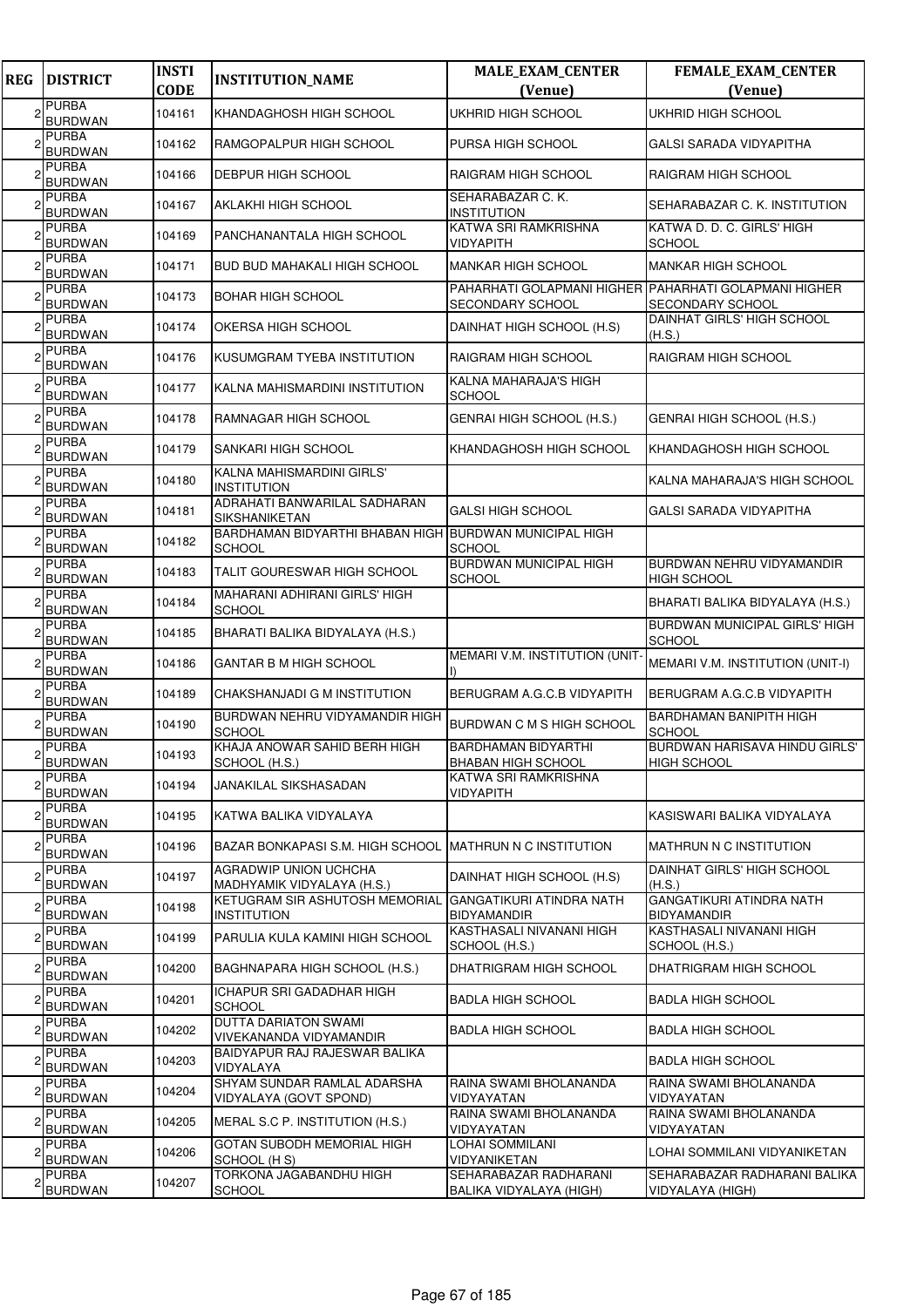| <b>REG</b> | <b>DISTRICT</b>                | <b>INSTI</b><br><b>CODE</b> | <b>INSTITUTION_NAME</b>                                                       | <b>MALE_EXAM_CENTER</b><br>(Venue)                                        | FEMALE_EXAM_CENTER<br>(Venue)                         |
|------------|--------------------------------|-----------------------------|-------------------------------------------------------------------------------|---------------------------------------------------------------------------|-------------------------------------------------------|
|            | <b>PURBA</b><br><b>BURDWAN</b> | 104161                      | KHANDAGHOSH HIGH SCHOOL                                                       | UKHRID HIGH SCHOOL                                                        | UKHRID HIGH SCHOOL                                    |
|            | <b>PURBA</b><br><b>BURDWAN</b> | 104162                      | RAMGOPALPUR HIGH SCHOOL                                                       | PURSA HIGH SCHOOL                                                         | GALSI SARADA VIDYAPITHA                               |
| 2          | <b>PURBA</b><br><b>BURDWAN</b> | 104166                      | DEBPUR HIGH SCHOOL                                                            | RAIGRAM HIGH SCHOOL                                                       | RAIGRAM HIGH SCHOOL                                   |
|            | <b>PURBA</b><br>BURDWAN        | 104167                      | AKLAKHI HIGH SCHOOL                                                           | SEHARABAZAR C. K.<br><b>INSTITUTION</b>                                   | SEHARABAZAR C. K. INSTITUTION                         |
|            | <b>PURBA</b><br><b>BURDWAN</b> | 104169                      | PANCHANANTALA HIGH SCHOOL                                                     | KATWA SRI RAMKRISHNA<br>VIDYAPITH                                         | KATWA D. D. C. GIRLS' HIGH<br><b>SCHOOL</b>           |
|            | PURBA<br><b>BURDWAN</b>        | 104171                      | <b>BUD BUD MAHAKALI HIGH SCHOOL</b>                                           | <b>MANKAR HIGH SCHOOL</b>                                                 | <b>MANKAR HIGH SCHOOL</b>                             |
|            | <b>PURBA</b><br><b>BURDWAN</b> | 104173                      | <b>BOHAR HIGH SCHOOL</b>                                                      | PAHARHATI GOLAPMANI HIGHER PAHARHATI GOLAPMANI HIGHER<br>SECONDARY SCHOOL | SECONDARY SCHOOL                                      |
|            | <b>PURBA</b><br><b>BURDWAN</b> | 104174                      | OKERSA HIGH SCHOOL                                                            | DAINHAT HIGH SCHOOL (H.S)                                                 | DAINHAT GIRLS' HIGH SCHOOL<br>(H.S.)                  |
|            | PURBA<br><b>BURDWAN</b>        | 104176                      | KUSUMGRAM TYEBA INSTITUTION                                                   | <b>RAIGRAM HIGH SCHOOL</b>                                                | RAIGRAM HIGH SCHOOL                                   |
|            | <b>PURBA</b><br><b>BURDWAN</b> | 104177                      | KALNA MAHISMARDINI INSTITUTION                                                | KALNA MAHARAJA'S HIGH<br><b>SCHOOL</b>                                    |                                                       |
|            | <b>PURBA</b><br><b>BURDWAN</b> | 104178                      | RAMNAGAR HIGH SCHOOL                                                          | GENRAI HIGH SCHOOL (H.S.)                                                 | GENRAI HIGH SCHOOL (H.S.)                             |
|            | PURBA<br><b>BURDWAN</b>        | 104179                      | SANKARI HIGH SCHOOL                                                           | KHANDAGHOSH HIGH SCHOOL                                                   | KHANDAGHOSH HIGH SCHOOL                               |
|            | <b>PURBA</b><br><b>BURDWAN</b> | 104180                      | KALNA MAHISMARDINI GIRLS'<br><b>INSTITUTION</b>                               |                                                                           | KALNA MAHARAJA'S HIGH SCHOOL                          |
|            | <b>PURBA</b><br><b>BURDWAN</b> | 104181                      | ADRAHATI BANWARILAL SADHARAN<br>SIKSHANIKETAN                                 | <b>GALSI HIGH SCHOOL</b>                                                  | GALSI SARADA VIDYAPITHA                               |
|            | <b>PURBA</b><br><b>BURDWAN</b> | 104182                      | BARDHAMAN BIDYARTHI BHABAN HIGH BURDWAN MUNICIPAL HIGH<br><b>SCHOOL</b>       | SCHOOL                                                                    |                                                       |
|            | PURBA<br><b>BURDWAN</b>        | 104183                      | TALIT GOURESWAR HIGH SCHOOL                                                   | <b>BURDWAN MUNICIPAL HIGH</b><br><b>SCHOOL</b>                            | BURDWAN NEHRU VIDYAMANDIR<br><b>HIGH SCHOOL</b>       |
|            | <b>PURBA</b><br><b>BURDWAN</b> | 104184                      | MAHARANI ADHIRANI GIRLS' HIGH<br><b>SCHOOL</b>                                |                                                                           | BHARATI BALIKA BIDYALAYA (H.S.)                       |
|            | <b>PURBA</b><br><b>BURDWAN</b> | 104185                      | BHARATI BALIKA BIDYALAYA (H.S.)                                               |                                                                           | <b>BURDWAN MUNICIPAL GIRLS' HIGH</b><br><b>SCHOOL</b> |
|            | <b>PURBA</b><br><b>BURDWAN</b> | 104186                      | <b>GANTAR B M HIGH SCHOOL</b>                                                 | <b>MEMARI V.M. INSTITUTION (UNIT</b>                                      | MEMARI V.M. INSTITUTION (UNIT-I)                      |
|            | <b>PURBA</b><br><b>BURDWAN</b> | 104189                      | CHAKSHANJADI G M INSTITUTION                                                  | BERUGRAM A.G.C.B VIDYAPITH                                                | BERUGRAM A.G.C.B VIDYAPITH                            |
|            | <b>PURBA</b><br><b>BURDWAN</b> | 104190                      | BURDWAN NEHRU VIDYAMANDIR HIGH<br><b>SCHOOL</b>                               | BURDWAN C M S HIGH SCHOOL                                                 | BARDHAMAN BANIPITH HIGH<br><b>SCHOOL</b>              |
| っ          | <b>PURBA</b><br><b>BURDWAN</b> | 104193                      | KHAJA ANOWAR SAHID BERH HIGH<br>SCHOOL (H.S.)                                 | <b>BARDHAMAN BIDYARTHI</b><br><b>BHABAN HIGH SCHOOL</b>                   | BURDWAN HARISAVA HINDU GIRLS'<br><b>HIGH SCHOOL</b>   |
|            | <b>PURBA</b><br><b>BURDWAN</b> | 104194                      | JANAKILAL SIKSHASADAN                                                         | KATWA SRI RAMKRISHNA<br><b>VIDYAPITH</b>                                  |                                                       |
| 2          | PURBA<br><b>BURDWAN</b>        | 104195                      | KATWA BALIKA VIDYALAYA                                                        |                                                                           | KASISWARI BALIKA VIDYALAYA                            |
|            | <b>PURBA</b><br><b>BURDWAN</b> | 104196                      | BAZAR BONKAPASI S.M. HIGH SCHOOL MATHRUN N C INSTITUTION                      |                                                                           | <b>MATHRUN N C INSTITUTION</b>                        |
|            | <b>PURBA</b><br><b>BURDWAN</b> | 104197                      | AGRADWIP UNION UCHCHA<br>MADHYAMIK VIDYALAYA (H.S.)                           | DAINHAT HIGH SCHOOL (H.S)                                                 | DAINHAT GIRLS' HIGH SCHOOL<br>(H.S.)                  |
| 2          | <b>PURBA</b><br><b>BURDWAN</b> | 104198                      | KETUGRAM SIR ASHUTOSH MEMORIAL GANGATIKURI ATINDRA NATH<br><b>INSTITUTION</b> | <b>BIDYAMANDIR</b>                                                        | <b>GANGATIKURI ATINDRA NATH</b><br><b>BIDYAMANDIR</b> |
|            | <b>PURBA</b><br><b>BURDWAN</b> | 104199                      | PARULIA KULA KAMINI HIGH SCHOOL                                               | KASTHASALI NIVANANI HIGH<br>SCHOOL (H.S.)                                 | KASTHASALI NIVANANI HIGH<br>SCHOOL (H.S.)             |
| 2          | <b>PURBA</b><br><b>BURDWAN</b> | 104200                      | BAGHNAPARA HIGH SCHOOL (H.S.)                                                 | DHATRIGRAM HIGH SCHOOL                                                    | DHATRIGRAM HIGH SCHOOL                                |
|            | <b>PURBA</b><br><b>BURDWAN</b> | 104201                      | ICHAPUR SRI GADADHAR HIGH<br><b>SCHOOL</b>                                    | <b>BADLA HIGH SCHOOL</b>                                                  | <b>BADLA HIGH SCHOOL</b>                              |
|            | <b>PURBA</b><br><b>BURDWAN</b> | 104202                      | <b>DUTTA DARIATON SWAMI</b><br>VIVEKANANDA VIDYAMANDIR                        | <b>BADLA HIGH SCHOOL</b>                                                  | <b>BADLA HIGH SCHOOL</b>                              |
|            | <b>PURBA</b><br><b>BURDWAN</b> | 104203                      | BAIDYAPUR RAJ RAJESWAR BALIKA<br>VIDYALAYA                                    |                                                                           | <b>BADLA HIGH SCHOOL</b>                              |
|            | PURBA<br><b>BURDWAN</b>        | 104204                      | SHYAM SUNDAR RAMLAL ADARSHA<br>VIDYALAYA (GOVT SPOND)                         | RAINA SWAMI BHOLANANDA<br>VIDYAYATAN                                      | RAINA SWAMI BHOLANANDA<br>VIDYAYATAN                  |
|            | <b>PURBA</b><br><b>BURDWAN</b> | 104205                      | MERAL S.C P. INSTITUTION (H.S.)                                               | RAINA SWAMI BHOLANANDA<br>VIDYAYATAN                                      | RAINA SWAMI BHOLANANDA<br>VIDYAYATAN                  |
|            | <b>PURBA</b><br><b>BURDWAN</b> | 104206                      | GOTAN SUBODH MEMORIAL HIGH<br>SCHOOL (H S)                                    | <b>LOHAI SOMMILANI</b><br>VIDYANIKETAN                                    | LOHAI SOMMILANI VIDYANIKETAN                          |
|            | <b>PURBA</b><br><b>BURDWAN</b> | 104207                      | TORKONA JAGABANDHU HIGH<br>SCHOOL                                             | SEHARABAZAR RADHARANI<br>BALIKA VIDYALAYA (HIGH)                          | SEHARABAZAR RADHARANI BALIKA<br>VIDYALAYA (HIGH)      |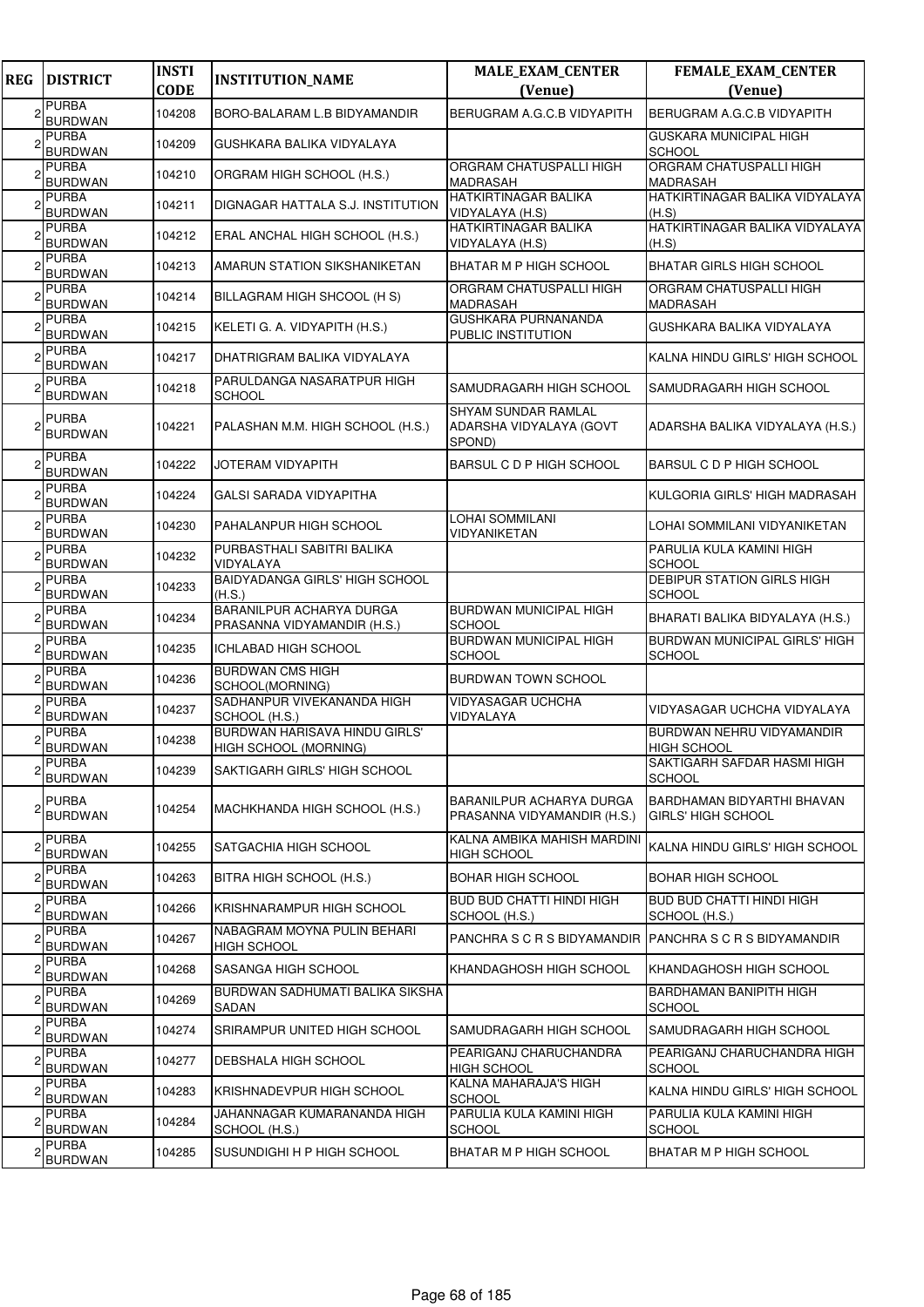| <b>REG</b> | <b>DISTRICT</b>                | <b>INSTI</b><br><b>CODE</b> | <b>INSTITUTION_NAME</b>                                 | <b>MALE_EXAM_CENTER</b>                                         | FEMALE_EXAM_CENTER                                 |
|------------|--------------------------------|-----------------------------|---------------------------------------------------------|-----------------------------------------------------------------|----------------------------------------------------|
|            | <b>PURBA</b>                   |                             |                                                         | (Venue)                                                         | (Venue)                                            |
|            | <b>BURDWAN</b>                 | 104208                      | BORO-BALARAM L.B BIDYAMANDIR                            | BERUGRAM A.G.C.B VIDYAPITH                                      | BERUGRAM A.G.C.B VIDYAPITH                         |
|            | <b>PURBA</b><br><b>BURDWAN</b> | 104209                      | GUSHKARA BALIKA VIDYALAYA                               |                                                                 | <b>GUSKARA MUNICIPAL HIGH</b><br><b>SCHOOL</b>     |
|            | <b>PURBA</b><br><b>BURDWAN</b> | 104210                      | ORGRAM HIGH SCHOOL (H.S.)                               | ORGRAM CHATUSPALLI HIGH<br><b>MADRASAH</b>                      | <b>ORGRAM CHATUSPALLI HIGH</b><br><b>MADRASAH</b>  |
|            | <b>PURBA</b><br><b>BURDWAN</b> | 104211                      | DIGNAGAR HATTALA S.J. INSTITUTION                       | <b>HATKIRTINAGAR BALIKA</b><br>VIDYALAYA (H.S)                  | HATKIRTINAGAR BALIKA VIDYALAYA<br>(H.S)            |
|            | <b>PURBA</b><br><b>BURDWAN</b> | 104212                      | ERAL ANCHAL HIGH SCHOOL (H.S.)                          | <b>HATKIRTINAGAR BALIKA</b><br>VIDYALAYA (H.S)                  | HATKIRTINAGAR BALIKA VIDYALAYA<br>(H.S)            |
|            | <b>PURBA</b><br><b>BURDWAN</b> | 104213                      | AMARUN STATION SIKSHANIKETAN                            | <b>BHATAR M P HIGH SCHOOL</b>                                   | <b>BHATAR GIRLS HIGH SCHOOL</b>                    |
|            | <b>PURBA</b><br><b>BURDWAN</b> | 104214                      | BILLAGRAM HIGH SHCOOL (H S)                             | ORGRAM CHATUSPALLI HIGH<br><b>MADRASAH</b>                      | ORGRAM CHATUSPALLI HIGH<br><b>MADRASAH</b>         |
|            | <b>PURBA</b><br><b>BURDWAN</b> | 104215                      | KELETI G. A. VIDYAPITH (H.S.)                           | <b>GUSHKARA PURNANANDA</b><br>PUBLIC INSTITUTION                | GUSHKARA BALIKA VIDYALAYA                          |
|            | <b>PURBA</b><br><b>BURDWAN</b> | 104217                      | DHATRIGRAM BALIKA VIDYALAYA                             |                                                                 | KALNA HINDU GIRLS' HIGH SCHOOL                     |
|            | <b>PURBA</b><br><b>BURDWAN</b> | 104218                      | PARULDANGA NASARATPUR HIGH<br><b>SCHOOL</b>             | SAMUDRAGARH HIGH SCHOOL                                         | SAMUDRAGARH HIGH SCHOOL                            |
|            | <b>PURBA</b><br><b>BURDWAN</b> | 104221                      | PALASHAN M.M. HIGH SCHOOL (H.S.)                        | <b>SHYAM SUNDAR RAMLAL</b><br>ADARSHA VIDYALAYA (GOVT<br>SPOND) | ADARSHA BALIKA VIDYALAYA (H.S.)                    |
|            | <b>PURBA</b><br><b>BURDWAN</b> | 104222                      | JOTERAM VIDYAPITH                                       | BARSUL C D P HIGH SCHOOL                                        | BARSUL C D P HIGH SCHOOL                           |
|            | <b>PURBA</b><br><b>BURDWAN</b> | 104224                      | GALSI SARADA VIDYAPITHA                                 |                                                                 | KULGORIA GIRLS' HIGH MADRASAH                      |
|            | <b>PURBA</b><br><b>BURDWAN</b> | 104230                      | PAHALANPUR HIGH SCHOOL                                  | LOHAI SOMMILANI<br>VIDYANIKETAN                                 | LOHAI SOMMILANI VIDYANIKETAN                       |
|            | <b>PURBA</b><br><b>BURDWAN</b> | 104232                      | PURBASTHALI SABITRI BALIKA<br>VIDYALAYA                 |                                                                 | PARULIA KULA KAMINI HIGH<br><b>SCHOOL</b>          |
|            | <b>PURBA</b><br><b>BURDWAN</b> | 104233                      | <b>BAIDYADANGA GIRLS' HIGH SCHOOL</b><br>(H.S.)         |                                                                 | <b>DEBIPUR STATION GIRLS HIGH</b><br><b>SCHOOL</b> |
|            | <b>PURBA</b><br><b>BURDWAN</b> | 104234                      | BARANILPUR ACHARYA DURGA<br>PRASANNA VIDYAMANDIR (H.S.) | <b>BURDWAN MUNICIPAL HIGH</b><br><b>SCHOOL</b>                  | BHARATI BALIKA BIDYALAYA (H.S.)                    |
|            | <b>PURBA</b><br><b>BURDWAN</b> | 104235                      | ICHLABAD HIGH SCHOOL                                    | <b>BURDWAN MUNICIPAL HIGH</b><br>SCHOOL                         | BURDWAN MUNICIPAL GIRLS' HIGH<br><b>SCHOOL</b>     |
|            | <b>PURBA</b><br><b>BURDWAN</b> | 104236                      | <b>BURDWAN CMS HIGH</b><br>SCHOOL(MORNING)              | <b>BURDWAN TOWN SCHOOL</b>                                      |                                                    |
|            | <b>PURBA</b><br><b>BURDWAN</b> | 104237                      | SADHANPUR VIVEKANANDA HIGH<br>SCHOOL (H.S.)             | <b>VIDYASAGAR UCHCHA</b><br>VIDYALAYA                           | VIDYASAGAR UCHCHA VIDYALAYA                        |
|            | <b>PURBA</b><br><b>BURDWAN</b> | 104238                      | BURDWAN HARISAVA HINDU GIRLS'<br>HIGH SCHOOL (MORNING)  |                                                                 | BURDWAN NEHRU VIDYAMANDIR<br><b>HIGH SCHOOL</b>    |
|            | <b>PURBA</b><br><b>BURDWAN</b> | 104239                      | SAKTIGARH GIRLS' HIGH SCHOOL                            |                                                                 | SAKTIGARH SAFDAR HASMI HIGH<br><b>SCHOOL</b>       |
|            | <b>PURBA</b><br>BURDWAN        | 104254                      | MACHKHANDA HIGH SCHOOL (H.S.)                           | BARANILPUR ACHARYA DURGA<br>PRASANNA VIDYAMANDIR (H.S.)         | BARDHAMAN BIDYARTHI BHAVAN<br>IGIRLS' HIGH SCHOOL  |
|            | <b>PURBA</b><br><b>BURDWAN</b> | 104255                      | SATGACHIA HIGH SCHOOL                                   | KALNA AMBIKA MAHISH MARDINI<br><b>HIGH SCHOOL</b>               | KALNA HINDU GIRLS' HIGH SCHOOL                     |
|            | <b>PURBA</b><br><b>BURDWAN</b> | 104263                      | BITRA HIGH SCHOOL (H.S.)                                | <b>BOHAR HIGH SCHOOL</b>                                        | <b>BOHAR HIGH SCHOOL</b>                           |
|            | <b>PURBA</b><br><b>BURDWAN</b> | 104266                      | KRISHNARAMPUR HIGH SCHOOL                               | <b>BUD BUD CHATTI HINDI HIGH</b><br>SCHOOL (H.S.)               | <b>BUD BUD CHATTI HINDI HIGH</b><br>SCHOOL (H.S.)  |
|            | <b>PURBA</b><br>BURDWAN        | 104267                      | NABAGRAM MOYNA PULIN BEHARI<br>HIGH SCHOOL              | PANCHRA S C R S BIDYAMANDIR                                     | PANCHRA S C R S BIDYAMANDIR                        |
|            | <b>PURBA</b><br><b>BURDWAN</b> | 104268                      | SASANGA HIGH SCHOOL                                     | KHANDAGHOSH HIGH SCHOOL                                         | KHANDAGHOSH HIGH SCHOOL                            |
|            | <b>PURBA</b><br>BURDWAN        | 104269                      | BURDWAN SADHUMATI BALIKA SIKSHA<br>SADAN                |                                                                 | BARDHAMAN BANIPITH HIGH<br><b>SCHOOL</b>           |
|            | <b>PURBA</b><br><b>BURDWAN</b> | 104274                      | SRIRAMPUR UNITED HIGH SCHOOL                            | SAMUDRAGARH HIGH SCHOOL                                         | SAMUDRAGARH HIGH SCHOOL                            |
|            | <b>PURBA</b><br><b>BURDWAN</b> | 104277                      | DEBSHALA HIGH SCHOOL                                    | PEARIGANJ CHARUCHANDRA<br>HIGH SCHOOL                           | PEARIGANJ CHARUCHANDRA HIGH<br><b>SCHOOL</b>       |
|            | PURBA<br><b>BURDWAN</b>        | 104283                      | KRISHNADEVPUR HIGH SCHOOL                               | KALNA MAHARAJA'S HIGH<br><b>SCHOOL</b>                          | KALNA HINDU GIRLS' HIGH SCHOOL                     |
|            | <b>PURBA</b><br><b>BURDWAN</b> | 104284                      | JAHANNAGAR KUMARANANDA HIGH<br>SCHOOL (H.S.)            | PARULIA KULA KAMINI HIGH<br><b>SCHOOL</b>                       | PARULIA KULA KAMINI HIGH<br><b>SCHOOL</b>          |
|            | <b>PURBA</b><br><b>BURDWAN</b> | 104285                      | SUSUNDIGHI H P HIGH SCHOOL                              | BHATAR M P HIGH SCHOOL                                          | BHATAR M P HIGH SCHOOL                             |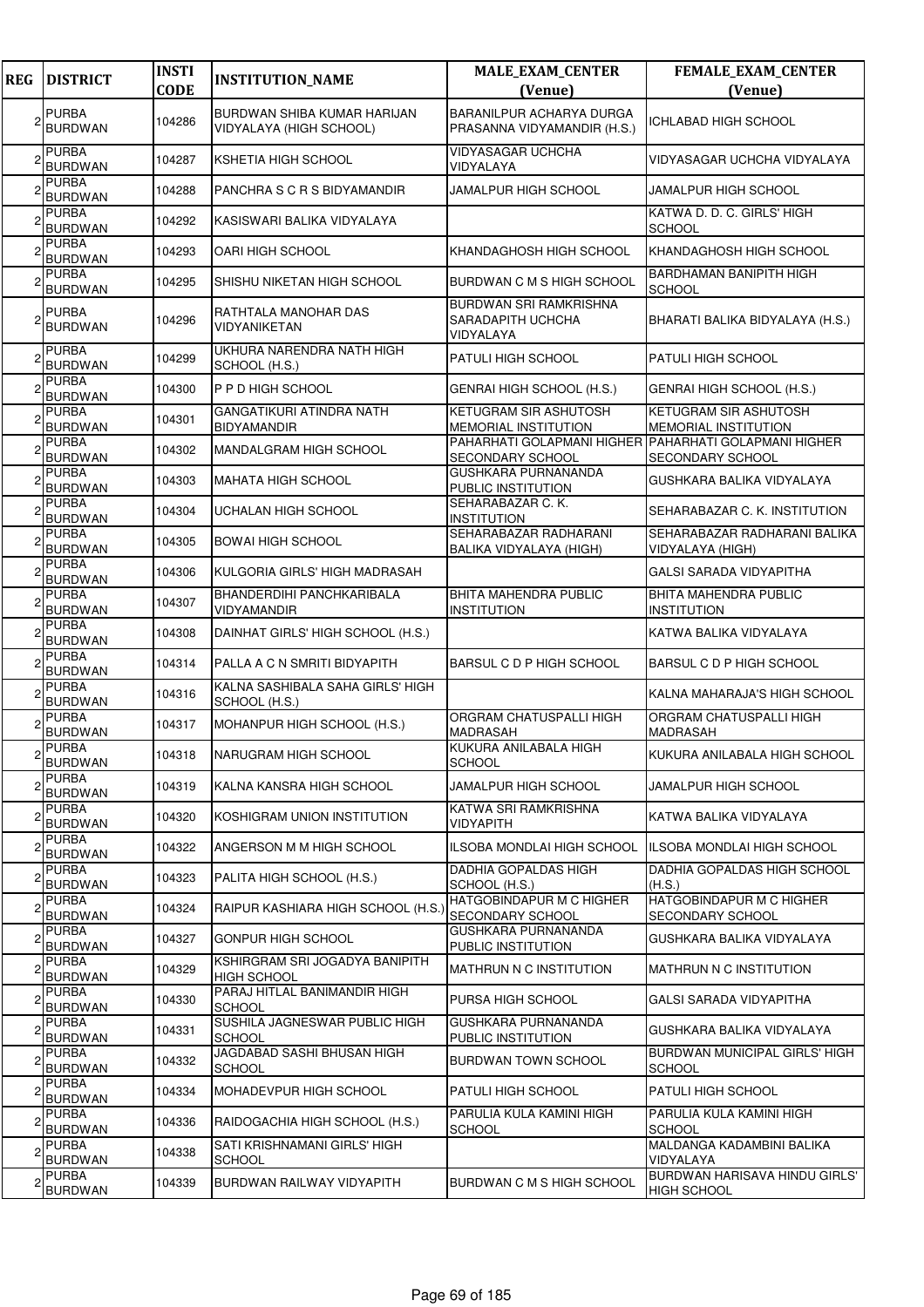| <b>REG</b> | <b>DISTRICT</b>                | <b>INSTI</b><br><b>CODE</b> | <b>INSTITUTION_NAME</b>                                | <b>MALE_EXAM_CENTER</b><br>(Venue)                                        | <b>FEMALE_EXAM_CENTER</b><br>(Venue)                       |
|------------|--------------------------------|-----------------------------|--------------------------------------------------------|---------------------------------------------------------------------------|------------------------------------------------------------|
|            | <b>PURBA</b>                   | 104286                      | <b>BURDWAN SHIBA KUMAR HARIJAN</b>                     | BARANILPUR ACHARYA DURGA                                                  | <b>ICHLABAD HIGH SCHOOL</b>                                |
|            | <b>BURDWAN</b>                 |                             | VIDYALAYA (HIGH SCHOOL)                                | PRASANNA VIDYAMANDIR (H.S.)                                               |                                                            |
|            | <b>PURBA</b><br><b>BURDWAN</b> | 104287                      | KSHETIA HIGH SCHOOL                                    | <b>VIDYASAGAR UCHCHA</b><br>VIDYALAYA                                     | VIDYASAGAR UCHCHA VIDYALAYA                                |
|            | <b>PURBA</b><br><b>BURDWAN</b> | 104288                      | PANCHRA S C R S BIDYAMANDIR                            | JAMALPUR HIGH SCHOOL                                                      | JAMALPUR HIGH SCHOOL                                       |
|            | <b>PURBA</b><br><b>BURDWAN</b> | 104292                      | KASISWARI BALIKA VIDYALAYA                             |                                                                           | KATWA D. D. C. GIRLS' HIGH<br><b>SCHOOL</b>                |
|            | <b>PURBA</b><br><b>BURDWAN</b> | 104293                      | OARI HIGH SCHOOL                                       | KHANDAGHOSH HIGH SCHOOL                                                   | KHANDAGHOSH HIGH SCHOOL                                    |
|            | <b>PURBA</b><br><b>BURDWAN</b> | 104295                      | SHISHU NIKETAN HIGH SCHOOL                             | BURDWAN C M S HIGH SCHOOL                                                 | <b>BARDHAMAN BANIPITH HIGH</b><br><b>SCHOOL</b>            |
|            | <b>PURBA</b><br><b>BURDWAN</b> | 104296                      | RATHTALA MANOHAR DAS<br>VIDYANIKETAN                   | BURDWAN SRI RAMKRISHNA<br>SARADAPITH UCHCHA<br>VIDYALAYA                  | BHARATI BALIKA BIDYALAYA (H.S.)                            |
|            | <b>PURBA</b><br><b>BURDWAN</b> | 104299                      | UKHURA NARENDRA NATH HIGH<br>SCHOOL (H.S.)             | PATULI HIGH SCHOOL                                                        | <b>PATULI HIGH SCHOOL</b>                                  |
|            | <b>PURBA</b><br><b>BURDWAN</b> | 104300                      | P P D HIGH SCHOOL                                      | GENRAI HIGH SCHOOL (H.S.)                                                 | GENRAI HIGH SCHOOL (H.S.)                                  |
|            | <b>PURBA</b><br><b>BURDWAN</b> | 104301                      | <b>GANGATIKURI ATINDRA NATH</b><br><b>BIDYAMANDIR</b>  | <b>KETUGRAM SIR ASHUTOSH</b><br><b>MEMORIAL INSTITUTION</b>               | <b>KETUGRAM SIR ASHUTOSH</b><br>MEMORIAL INSTITUTION       |
|            | <b>PURBA</b><br><b>BURDWAN</b> | 104302                      | <b>MANDALGRAM HIGH SCHOOL</b>                          | PAHARHATI GOLAPMANI HIGHER PAHARHATI GOLAPMANI HIGHER<br>SECONDARY SCHOOL | <b>SECONDARY SCHOOL</b>                                    |
|            | <b>PURBA</b><br><b>BURDWAN</b> | 104303                      | <b>MAHATA HIGH SCHOOL</b>                              | GUSHKARA PURNANANDA<br>PUBLIC INSTITUTION                                 | GUSHKARA BALIKA VIDYALAYA                                  |
|            | <b>PURBA</b><br><b>BURDWAN</b> | 104304                      | <b>UCHALAN HIGH SCHOOL</b>                             | SEHARABAZAR C. K.<br>INSTITUTION                                          | SEHARABAZAR C. K. INSTITUTION                              |
|            | <b>PURBA</b><br><b>BURDWAN</b> | 104305                      | <b>BOWAI HIGH SCHOOL</b>                               | SEHARABAZAR RADHARANI<br>BALIKA VIDYALAYA (HIGH)                          | SEHARABAZAR RADHARANI BALIKA<br>VIDYALAYA (HIGH)           |
|            | <b>PURBA</b><br><b>BURDWAN</b> | 104306                      | KULGORIA GIRLS' HIGH MADRASAH                          |                                                                           | GALSI SARADA VIDYAPITHA                                    |
|            | <b>PURBA</b><br><b>BURDWAN</b> | 104307                      | <b>BHANDERDIHI PANCHKARIBALA</b><br><b>VIDYAMANDIR</b> | BHITA MAHENDRA PUBLIC<br><b>INSTITUTION</b>                               | <b>BHITA MAHENDRA PUBLIC</b><br><b>INSTITUTION</b>         |
|            | <b>PURBA</b><br><b>BURDWAN</b> | 104308                      | DAINHAT GIRLS' HIGH SCHOOL (H.S.)                      |                                                                           | KATWA BALIKA VIDYALAYA                                     |
|            | <b>PURBA</b><br><b>BURDWAN</b> | 104314                      | PALLA A C N SMRITI BIDYAPITH                           | BARSUL C D P HIGH SCHOOL                                                  | BARSUL C D P HIGH SCHOOL                                   |
|            | <b>PURBA</b><br><b>BURDWAN</b> | 104316                      | KALNA SASHIBALA SAHA GIRLS' HIGH<br>SCHOOL (H.S.)      |                                                                           | KALNA MAHARAJA'S HIGH SCHOOL                               |
|            | <b>PURBA</b><br><b>BURDWAN</b> | 104317                      | MOHANPUR HIGH SCHOOL (H.S.)                            | ORGRAM CHATUSPALLI HIGH<br>MADRASAH                                       | ORGRAM CHATUSPALLI HIGH<br><b>MADRASAH</b>                 |
|            | <b>PURBA</b><br><b>BURDWAN</b> | 104318                      | NARUGRAM HIGH SCHOOL                                   | KUKURA ANILABALA HIGH<br><b>SCHOOL</b>                                    | KUKURA ANILABALA HIGH SCHOOL                               |
|            | <b>PURBA</b><br><b>BURDWAN</b> | 104319                      | KALNA KANSRA HIGH SCHOOL                               | JAMALPUR HIGH SCHOOL                                                      | <b>JAMALPUR HIGH SCHOOL</b>                                |
|            | <b>PURBA</b><br><b>BURDWAN</b> | 104320                      | KOSHIGRAM UNION INSTITUTION                            | KATWA SRI RAMKRISHNA<br>VIDYAPITH                                         | KATWA BALIKA VIDYALAYA                                     |
|            | <b>PURBA</b><br><b>BURDWAN</b> | 104322                      | ANGERSON M M HIGH SCHOOL                               | <b>ILSOBA MONDLAI HIGH SCHOOL</b>                                         | ILSOBA MONDLAI HIGH SCHOOL                                 |
|            | <b>PURBA</b><br><b>BURDWAN</b> | 104323                      | PALITA HIGH SCHOOL (H.S.)                              | DADHIA GOPALDAS HIGH<br>SCHOOL (H.S.)                                     | DADHIA GOPALDAS HIGH SCHOOL<br>(H.S.)                      |
|            | <b>PURBA</b><br><b>BURDWAN</b> | 104324                      | RAIPUR KASHIARA HIGH SCHOOL (H.S.)                     | HATGOBINDAPUR M C HIGHER<br>SECONDARY SCHOOL                              | <b>HATGOBINDAPUR M C HIGHER</b><br><b>SECONDARY SCHOOL</b> |
|            | <b>PURBA</b><br><b>BURDWAN</b> | 104327                      | GONPUR HIGH SCHOOL                                     | GUSHKARA PURNANANDA<br>PUBLIC INSTITUTION                                 | GUSHKARA BALIKA VIDYALAYA                                  |
|            | <b>PURBA</b><br><b>BURDWAN</b> | 104329                      | KSHIRGRAM SRI JOGADYA BANIPITH<br><b>HIGH SCHOOL</b>   | MATHRUN N C INSTITUTION                                                   | MATHRUN N C INSTITUTION                                    |
|            | <b>PURBA</b><br>BURDWAN        | 104330                      | PARAJ HITLAL BANIMANDIR HIGH<br><b>SCHOOL</b>          | PURSA HIGH SCHOOL                                                         | GALSI SARADA VIDYAPITHA                                    |
|            | <b>PURBA</b><br><b>BURDWAN</b> | 104331                      | SUSHILA JAGNESWAR PUBLIC HIGH<br><b>SCHOOL</b>         | GUSHKARA PURNANANDA<br>PUBLIC INSTITUTION                                 | GUSHKARA BALIKA VIDYALAYA                                  |
|            | <b>PURBA</b><br><b>BURDWAN</b> | 104332                      | JAGDABAD SASHI BHUSAN HIGH<br><b>SCHOOL</b>            | BURDWAN TOWN SCHOOL                                                       | BURDWAN MUNICIPAL GIRLS' HIGH<br><b>SCHOOL</b>             |
|            | PURBA<br><b>BURDWAN</b>        | 104334                      | MOHADEVPUR HIGH SCHOOL                                 | PATULI HIGH SCHOOL                                                        | <b>PATULI HIGH SCHOOL</b>                                  |
|            | <b>PURBA</b><br><b>BURDWAN</b> | 104336                      | RAIDOGACHIA HIGH SCHOOL (H.S.)                         | PARULIA KULA KAMINI HIGH<br><b>SCHOOL</b>                                 | PARULIA KULA KAMINI HIGH<br><b>SCHOOL</b>                  |
|            | <b>PURBA</b><br><b>BURDWAN</b> | 104338                      | <b>SATI KRISHNAMANI GIRLS' HIGH</b><br><b>SCHOOL</b>   |                                                                           | MALDANGA KADAMBINI BALIKA<br>VIDYALAYA                     |
|            | <b>PURBA</b><br><b>BURDWAN</b> | 104339                      | <b>BURDWAN RAILWAY VIDYAPITH</b>                       | BURDWAN C M S HIGH SCHOOL                                                 | BURDWAN HARISAVA HINDU GIRLS'<br><b>HIGH SCHOOL</b>        |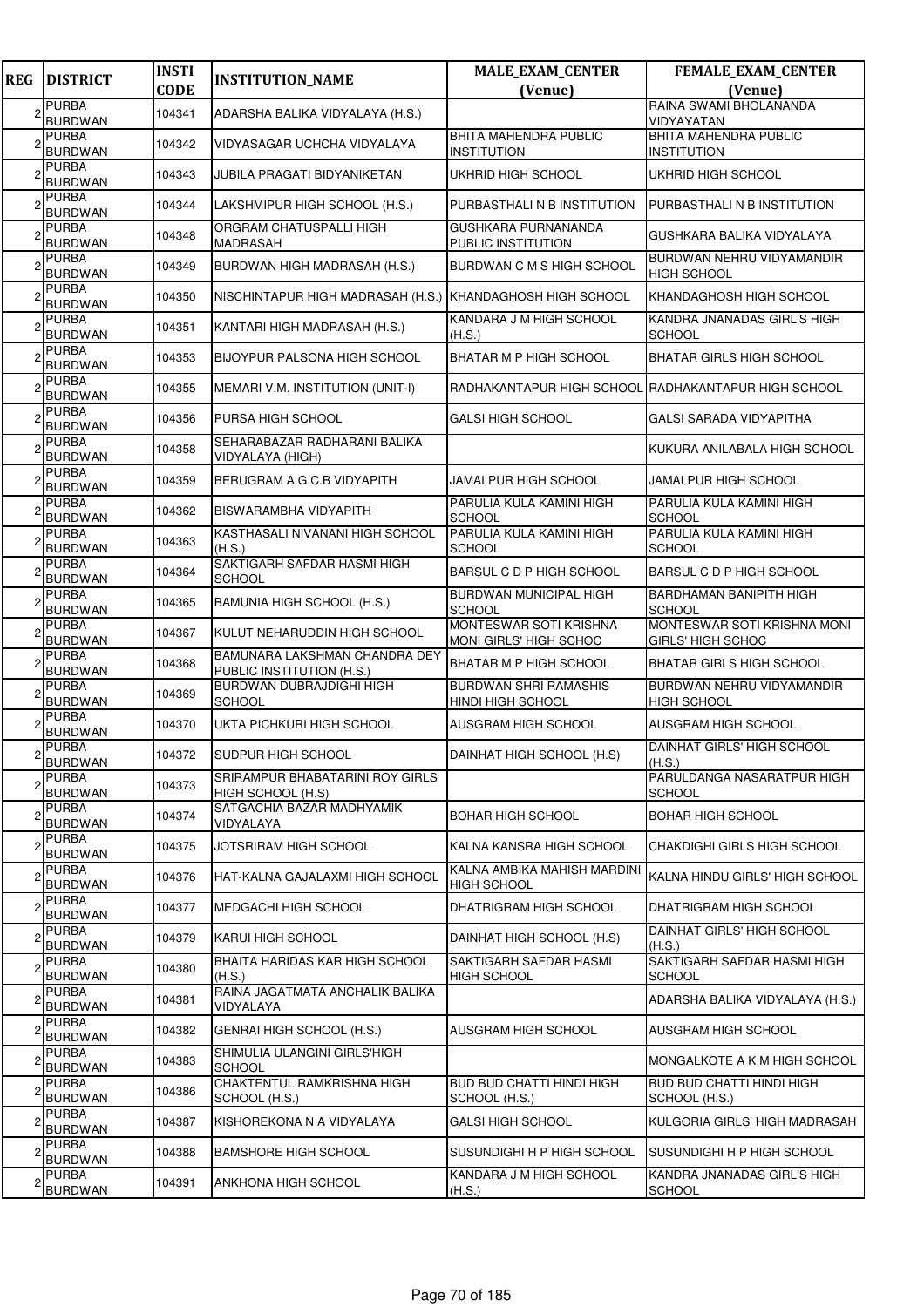| <b>REG</b> | <b>DISTRICT</b>                | <b>INSTI</b><br><b>CODE</b> | <b>INSTITUTION_NAME</b>                                           | <b>MALE_EXAM_CENTER</b><br>(Venue)                       | FEMALE_EXAM_CENTER<br>(Venue)                           |
|------------|--------------------------------|-----------------------------|-------------------------------------------------------------------|----------------------------------------------------------|---------------------------------------------------------|
|            | <b>PURBA</b>                   |                             |                                                                   |                                                          | RAINA SWAMI BHOLANANDA                                  |
|            | <b>BURDWAN</b>                 | 104341                      | ADARSHA BALIKA VIDYALAYA (H.S.)                                   |                                                          | VIDYAYATAN                                              |
|            | <b>PURBA</b><br><b>BURDWAN</b> | 104342                      | VIDYASAGAR UCHCHA VIDYALAYA                                       | BHITA MAHENDRA PUBLIC<br>INSTITUTION                     | <b>BHITA MAHENDRA PUBLIC</b><br><b>INSTITUTION</b>      |
|            | <b>PURBA</b><br><b>BURDWAN</b> | 104343                      | JUBILA PRAGATI BIDYANIKETAN                                       | UKHRID HIGH SCHOOL                                       | UKHRID HIGH SCHOOL                                      |
|            | <b>PURBA</b><br>BURDWAN        | 104344                      | LAKSHMIPUR HIGH SCHOOL (H.S.)                                     | PURBASTHALI N B INSTITUTION                              | PURBASTHALI N B INSTITUTION                             |
|            | <b>PURBA</b><br><b>BURDWAN</b> | 104348                      | ORGRAM CHATUSPALLI HIGH<br><b>MADRASAH</b>                        | GUSHKARA PURNANANDA<br>PUBLIC INSTITUTION                | GUSHKARA BALIKA VIDYALAYA                               |
|            | <b>PURBA</b><br><b>BURDWAN</b> | 104349                      | BURDWAN HIGH MADRASAH (H.S.)                                      | BURDWAN C M S HIGH SCHOOL                                | BURDWAN NEHRU VIDYAMANDIR<br><b>HIGH SCHOOL</b>         |
|            | <b>PURBA</b><br><b>BURDWAN</b> | 104350                      | NISCHINTAPUR HIGH MADRASAH (H.S.) KHANDAGHOSH HIGH SCHOOL         |                                                          | KHANDAGHOSH HIGH SCHOOL                                 |
|            | <b>PURBA</b><br><b>BURDWAN</b> | 104351                      | KANTARI HIGH MADRASAH (H.S.)                                      | KANDARA J M HIGH SCHOOL<br>(H.S.)                        | KANDRA JNANADAS GIRL'S HIGH<br><b>SCHOOL</b>            |
|            | <b>PURBA</b><br><b>BURDWAN</b> | 104353                      | <b>BIJOYPUR PALSONA HIGH SCHOOL</b>                               | BHATAR M P HIGH SCHOOL                                   | <b>BHATAR GIRLS HIGH SCHOOL</b>                         |
|            | <b>PURBA</b><br><b>BURDWAN</b> | 104355                      | MEMARI V.M. INSTITUTION (UNIT-I)                                  |                                                          | RADHAKANTAPUR HIGH SCHOOL RADHAKANTAPUR HIGH SCHOOL     |
|            | <b>PURBA</b><br><b>BURDWAN</b> | 104356                      | <b>PURSA HIGH SCHOOL</b>                                          | GALSI HIGH SCHOOL                                        | <b>GALSI SARADA VIDYAPITHA</b>                          |
|            | <b>PURBA</b><br><b>BURDWAN</b> | 104358                      | SEHARABAZAR RADHARANI BALIKA<br>VIDYALAYA (HIGH)                  |                                                          | KUKURA ANILABALA HIGH SCHOOL                            |
|            | <b>PURBA</b><br><b>BURDWAN</b> | 104359                      | BERUGRAM A.G.C.B VIDYAPITH                                        | JAMALPUR HIGH SCHOOL                                     | <b>JAMALPUR HIGH SCHOOL</b>                             |
|            | <b>PURBA</b><br><b>BURDWAN</b> | 104362                      | <b>BISWARAMBHA VIDYAPITH</b>                                      | PARULIA KULA KAMINI HIGH<br>SCHOOL                       | PARULIA KULA KAMINI HIGH<br><b>SCHOOL</b>               |
|            | <b>PURBA</b><br><b>BURDWAN</b> | 104363                      | KASTHASALI NIVANANI HIGH SCHOOL<br>(H.S.)                         | PARULIA KULA KAMINI HIGH<br>SCHOOL                       | PARULIA KULA KAMINI HIGH<br><b>SCHOOL</b>               |
|            | <b>PURBA</b><br><b>BURDWAN</b> | 104364                      | SAKTIGARH SAFDAR HASMI HIGH<br><b>SCHOOL</b>                      | BARSUL C D P HIGH SCHOOL                                 | <b>BARSUL C D P HIGH SCHOOL</b>                         |
|            | <b>PURBA</b><br><b>BURDWAN</b> | 104365                      | BAMUNIA HIGH SCHOOL (H.S.)                                        | BURDWAN MUNICIPAL HIGH<br><b>SCHOOL</b>                  | <b>BARDHAMAN BANIPITH HIGH</b><br><b>SCHOOL</b>         |
|            | <b>PURBA</b><br>BURDWAN        | 104367                      | KULUT NEHARUDDIN HIGH SCHOOL                                      | <b>MONTESWAR SOTI KRISHNA</b><br>MONI GIRLS' HIGH SCHOC  | MONTESWAR SOTI KRISHNA MONI<br><b>GIRLS' HIGH SCHOC</b> |
|            | <b>PURBA</b><br><b>BURDWAN</b> | 104368                      | <b>BAMUNARA LAKSHMAN CHANDRA DEY</b><br>PUBLIC INSTITUTION (H.S.) | <b>BHATAR M P HIGH SCHOOL</b>                            | <b>BHATAR GIRLS HIGH SCHOOL</b>                         |
|            | <b>PURBA</b><br><b>BURDWAN</b> | 104369                      | <b>BURDWAN DUBRAJDIGHI HIGH</b><br><b>SCHOOL</b>                  | <b>BURDWAN SHRI RAMASHIS</b><br><b>HINDI HIGH SCHOOL</b> | BURDWAN NEHRU VIDYAMANDIR<br><b>HIGH SCHOOL</b>         |
|            | <b>PURBA</b><br><b>BURDWAN</b> | 104370                      | UKTA PICHKURI HIGH SCHOOL                                         | AUSGRAM HIGH SCHOOL                                      | <b>AUSGRAM HIGH SCHOOL</b>                              |
|            | <b>PURBA</b><br><b>BURDWAN</b> | 104372                      | SUDPUR HIGH SCHOOL                                                | DAINHAT HIGH SCHOOL (H.S)                                | DAINHAT GIRLS' HIGH SCHOOL<br>(H.S.)                    |
|            | <b>PURBA</b><br><b>BURDWAN</b> | 104373                      | SRIRAMPUR BHABATARINI ROY GIRLS<br>HIGH SCHOOL (H.S)              |                                                          | PARULDANGA NASARATPUR HIGH<br><b>SCHOOL</b>             |
|            | <b>PURBA</b><br><b>BURDWAN</b> | 104374                      | SATGACHIA BAZAR MADHYAMIK<br>VIDYALAYA                            | BOHAR HIGH SCHOOL                                        | <b>BOHAR HIGH SCHOOL</b>                                |
|            | <b>PURBA</b><br>BURDWAN        | 104375                      | JOTSRIRAM HIGH SCHOOL                                             | KALNA KANSRA HIGH SCHOOL                                 | CHAKDIGHI GIRLS HIGH SCHOOL                             |
|            | <b>PURBA</b><br><b>BURDWAN</b> | 104376                      | HAT-KALNA GAJALAXMI HIGH SCHOOL                                   | KALNA AMBIKA MAHISH MARDINI<br><b>HIGH SCHOOL</b>        | KALNA HINDU GIRLS' HIGH SCHOOL                          |
|            | <b>PURBA</b><br>BURDWAN        | 104377                      | MEDGACHI HIGH SCHOOL                                              | DHATRIGRAM HIGH SCHOOL                                   | DHATRIGRAM HIGH SCHOOL                                  |
|            | <b>PURBA</b><br><b>BURDWAN</b> | 104379                      | <b>KARUI HIGH SCHOOL</b>                                          | DAINHAT HIGH SCHOOL (H.S)                                | DAINHAT GIRLS' HIGH SCHOOL<br>(H.S.)                    |
|            | <b>PURBA</b><br><b>BURDWAN</b> | 104380                      | BHAITA HARIDAS KAR HIGH SCHOOL<br>(H.S.)                          | SAKTIGARH SAFDAR HASMI<br>HIGH SCHOOL                    | SAKTIGARH SAFDAR HASMI HIGH<br><b>SCHOOL</b>            |
|            | PURBA<br><b>BURDWAN</b>        | 104381                      | RAINA JAGATMATA ANCHALIK BALIKA<br>VIDYALAYA                      |                                                          | ADARSHA BALIKA VIDYALAYA (H.S.)                         |
|            | <b>PURBA</b><br><b>BURDWAN</b> | 104382                      | GENRAI HIGH SCHOOL (H.S.)                                         | AUSGRAM HIGH SCHOOL                                      | AUSGRAM HIGH SCHOOL                                     |
|            | <b>PURBA</b><br><b>BURDWAN</b> | 104383                      | SHIMULIA ULANGINI GIRLS'HIGH<br><b>SCHOOL</b>                     |                                                          | IMONGALKOTE A K M HIGH SCHOOL                           |
|            | <b>PURBA</b><br><b>BURDWAN</b> | 104386                      | CHAKTENTUL RAMKRISHNA HIGH<br>SCHOOL (H.S.)                       | <b>BUD BUD CHATTI HINDI HIGH</b><br>SCHOOL (H.S.)        | <b>BUD BUD CHATTI HINDI HIGH</b><br>SCHOOL (H.S.)       |
|            | <b>PURBA</b><br><b>BURDWAN</b> | 104387                      | KISHOREKONA N A VIDYALAYA                                         | GALSI HIGH SCHOOL                                        | KULGORIA GIRLS' HIGH MADRASAH                           |
|            | <b>PURBA</b><br><b>BURDWAN</b> | 104388                      | <b>BAMSHORE HIGH SCHOOL</b>                                       | SUSUNDIGHI H P HIGH SCHOOL                               | SUSUNDIGHI H P HIGH SCHOOL                              |
|            | <b>PURBA</b><br><b>BURDWAN</b> | 104391                      | <b>ANKHONA HIGH SCHOOL</b>                                        | KANDARA J M HIGH SCHOOL<br>(H.S.)                        | KANDRA JNANADAS GIRL'S HIGH<br><b>SCHOOL</b>            |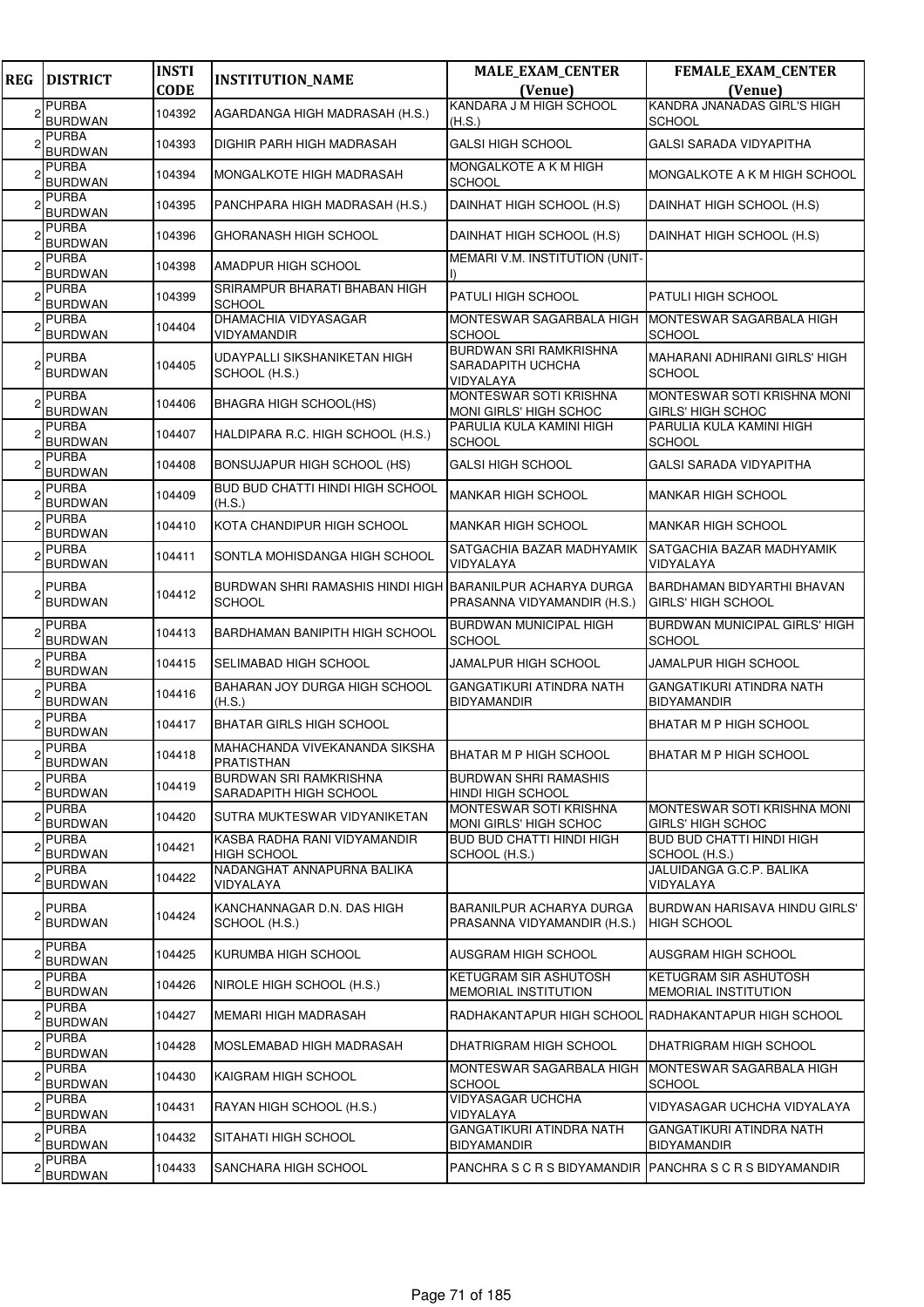| <b>REG</b> | <b>DISTRICT</b>                | <b>INSTI</b><br><b>CODE</b> | <b>INSTITUTION_NAME</b>                                                    | <b>MALE_EXAM_CENTER</b><br>(Venue)                              | <b>FEMALE_EXAM_CENTER</b><br>(Venue)                    |
|------------|--------------------------------|-----------------------------|----------------------------------------------------------------------------|-----------------------------------------------------------------|---------------------------------------------------------|
|            | <b>PURBA</b><br><b>BURDWAN</b> | 104392                      | AGARDANGA HIGH MADRASAH (H.S.)                                             | KANDARA J M HIGH SCHOOL<br>(H.S.)                               | <b>KANDRA JNANADAS GIRL'S HIGH</b><br><b>SCHOOL</b>     |
|            | <b>PURBA</b><br>BURDWAN        | 104393                      | DIGHIR PARH HIGH MADRASAH                                                  | <b>GALSI HIGH SCHOOL</b>                                        | GALSI SARADA VIDYAPITHA                                 |
|            | <b>PURBA</b><br><b>BURDWAN</b> | 104394                      | MONGALKOTE HIGH MADRASAH                                                   | <b>MONGALKOTE A K M HIGH</b><br><b>SCHOOL</b>                   | MONGALKOTE A K M HIGH SCHOOL                            |
|            | <b>PURBA</b><br><b>BURDWAN</b> | 104395                      | PANCHPARA HIGH MADRASAH (H.S.)                                             | DAINHAT HIGH SCHOOL (H.S)                                       | DAINHAT HIGH SCHOOL (H.S)                               |
|            | <b>PURBA</b><br><b>BURDWAN</b> | 104396                      | GHORANASH HIGH SCHOOL                                                      | DAINHAT HIGH SCHOOL (H.S)                                       | DAINHAT HIGH SCHOOL (H.S)                               |
|            | <b>PURBA</b><br><b>BURDWAN</b> | 104398                      | AMADPUR HIGH SCHOOL                                                        | MEMARI V.M. INSTITUTION (UNIT-                                  |                                                         |
|            | <b>PURBA</b><br>BURDWAN        | 104399                      | SRIRAMPUR BHARATI BHABAN HIGH<br><b>SCHOOL</b>                             | <b>PATULI HIGH SCHOOL</b>                                       | <b>PATULI HIGH SCHOOL</b>                               |
|            | <b>PURBA</b><br><b>BURDWAN</b> | 104404                      | DHAMACHIA VIDYASAGAR<br><b>VIDYAMANDIR</b>                                 | MONTESWAR SAGARBALA HIGH<br><b>SCHOOL</b>                       | MONTESWAR SAGARBALA HIGH<br><b>SCHOOL</b>               |
|            | <b>PURBA</b><br><b>BURDWAN</b> | 104405                      | UDAYPALLI SIKSHANIKETAN HIGH<br>SCHOOL (H.S.)                              | <b>BURDWAN SRI RAMKRISHNA</b><br>SARADAPITH UCHCHA<br>VIDYALAYA | MAHARANI ADHIRANI GIRLS' HIGH<br><b>SCHOOL</b>          |
|            | <b>PURBA</b><br>BURDWAN        | 104406                      | BHAGRA HIGH SCHOOL(HS)                                                     | <b>MONTESWAR SOTI KRISHNA</b><br>MONI GIRLS' HIGH SCHOC         | MONTESWAR SOTI KRISHNA MONI<br>GIRLS' HIGH SCHOC        |
|            | <b>PURBA</b><br><b>BURDWAN</b> | 104407                      | HALDIPARA R.C. HIGH SCHOOL (H.S.)                                          | PARULIA KULA KAMINI HIGH<br><b>SCHOOL</b>                       | PARULIA KULA KAMINI HIGH<br><b>SCHOOL</b>               |
|            | <b>PURBA</b><br><b>BURDWAN</b> | 104408                      | BONSUJAPUR HIGH SCHOOL (HS)                                                | <b>GALSI HIGH SCHOOL</b>                                        | <b>GALSI SARADA VIDYAPITHA</b>                          |
|            | <b>PURBA</b><br><b>BURDWAN</b> | 104409                      | <b>BUD BUD CHATTI HINDI HIGH SCHOOL</b><br>(H.S.)                          | <b>MANKAR HIGH SCHOOL</b>                                       | MANKAR HIGH SCHOOL                                      |
|            | <b>PURBA</b><br><b>BURDWAN</b> | 104410                      | KOTA CHANDIPUR HIGH SCHOOL                                                 | <b>MANKAR HIGH SCHOOL</b>                                       | <b>MANKAR HIGH SCHOOL</b>                               |
|            | <b>PURBA</b><br><b>BURDWAN</b> | 104411                      | SONTLA MOHISDANGA HIGH SCHOOL                                              | SATGACHIA BAZAR MADHYAMIK<br>VIDYALAYA                          | SATGACHIA BAZAR MADHYAMIK<br>VIDYALAYA                  |
|            | <b>PURBA</b><br><b>BURDWAN</b> | 104412                      | BURDWAN SHRI RAMASHIS HINDI HIGH BARANILPUR ACHARYA DURGA<br><b>SCHOOL</b> | PRASANNA VIDYAMANDIR (H.S.)                                     | BARDHAMAN BIDYARTHI BHAVAN<br><b>GIRLS' HIGH SCHOOL</b> |
|            | <b>PURBA</b><br><b>BURDWAN</b> | 104413                      | BARDHAMAN BANIPITH HIGH SCHOOL                                             | <b>BURDWAN MUNICIPAL HIGH</b><br><b>SCHOOL</b>                  | BURDWAN MUNICIPAL GIRLS' HIGH<br><b>SCHOOL</b>          |
|            | <b>PURBA</b><br><b>BURDWAN</b> | 104415                      | SELIMABAD HIGH SCHOOL                                                      | <b>JAMALPUR HIGH SCHOOL</b>                                     | JAMALPUR HIGH SCHOOL                                    |
|            | <b>PURBA</b><br><b>BURDWAN</b> | 104416                      | BAHARAN JOY DURGA HIGH SCHOOL<br>(H.S.)                                    | GANGATIKURI ATINDRA NATH<br><b>BIDYAMANDIR</b>                  | GANGATIKURI ATINDRA NATH<br><b>BIDYAMANDIR</b>          |
|            | <b>PURBA</b><br><b>BURDWAN</b> | 104417                      | <b>BHATAR GIRLS HIGH SCHOOL</b>                                            |                                                                 | BHATAR M P HIGH SCHOOL                                  |
|            | <b>PURBA</b><br><b>BURDWAN</b> | 104418                      | MAHACHANDA VIVEKANANDA SIKSHA<br><b>PRATISTHAN</b>                         | BHATAR M P HIGH SCHOOL                                          | BHATAR M P HIGH SCHOOL                                  |
|            | <b>PURBA</b><br><b>BURDWAN</b> | 104419                      | BURDWAN SRI RAMKRISHNA<br>SARADAPITH HIGH SCHOOL                           | <b>BURDWAN SHRI RAMASHIS</b><br>HINDI HIGH SCHOOL               |                                                         |
|            | <b>PURBA</b><br><b>BURDWAN</b> | 104420                      | SUTRA MUKTESWAR VIDYANIKETAN                                               | MONTESWAR SOTI KRISHNA<br>MONI GIRLS' HIGH SCHOC                | MONTESWAR SOTI KRISHNA MONI<br><b>GIRLS' HIGH SCHOC</b> |
|            | <b>PURBA</b><br>BURDWAN        | 104421                      | KASBA RADHA RANI VIDYAMANDIR<br><b>HIGH SCHOOL</b>                         | <b>BUD BUD CHATTI HINDI HIGH</b><br>SCHOOL (H.S.)               | <b>BUD BUD CHATTI HINDI HIGH</b><br>SCHOOL (H.S.)       |
|            | PURBA<br><b>BURDWAN</b>        | 104422                      | NADANGHAT ANNAPURNA BALIKA<br>VIDYALAYA                                    |                                                                 | JALUIDANGA G.C.P. BALIKA<br>VIDYALAYA                   |
|            | <b>PURBA</b><br><b>BURDWAN</b> | 104424                      | KANCHANNAGAR D.N. DAS HIGH<br>SCHOOL (H.S.)                                | <b>BARANILPUR ACHARYA DURGA</b><br>PRASANNA VIDYAMANDIR (H.S.)  | BURDWAN HARISAVA HINDU GIRLS'<br><b>HIGH SCHOOL</b>     |
|            | <b>PURBA</b><br><b>BURDWAN</b> | 104425                      | KURUMBA HIGH SCHOOL                                                        | AUSGRAM HIGH SCHOOL                                             | AUSGRAM HIGH SCHOOL                                     |
|            | <b>PURBA</b><br><b>BURDWAN</b> | 104426                      | NIROLE HIGH SCHOOL (H.S.)                                                  | <b>KETUGRAM SIR ASHUTOSH</b><br>MEMORIAL INSTITUTION            | KETUGRAM SIR ASHUTOSH<br>MEMORIAL INSTITUTION           |
|            | <b>PURBA</b><br><b>BURDWAN</b> | 104427                      | MEMARI HIGH MADRASAH                                                       | RADHAKANTAPUR HIGH SCHOOL                                       | . RADHAKANTAPUR HIGH SCHOOL                             |
|            | <b>PURBA</b><br><b>BURDWAN</b> | 104428                      | MOSLEMABAD HIGH MADRASAH                                                   | DHATRIGRAM HIGH SCHOOL                                          | DHATRIGRAM HIGH SCHOOL                                  |
|            | <b>PURBA</b><br><b>BURDWAN</b> | 104430                      | KAIGRAM HIGH SCHOOL                                                        | MONTESWAR SAGARBALA HIGH<br><b>SCHOOL</b>                       | MONTESWAR SAGARBALA HIGH<br><b>SCHOOL</b>               |
|            | <b>PURBA</b><br><b>BURDWAN</b> | 104431                      | RAYAN HIGH SCHOOL (H.S.)                                                   | <b>VIDYASAGAR UCHCHA</b><br>VIDYALAYA                           | VIDYASAGAR UCHCHA VIDYALAYA                             |
|            | <b>PURBA</b><br><b>BURDWAN</b> | 104432                      | SITAHATI HIGH SCHOOL                                                       | GANGATIKURI ATINDRA NATH<br><b>BIDYAMANDIR</b>                  | GANGATIKURI ATINDRA NATH<br>BIDYAMANDIR                 |
|            | <b>PURBA</b><br><b>BURDWAN</b> | 104433                      | SANCHARA HIGH SCHOOL                                                       | PANCHRA S C R S BIDYAMANDIR PANCHRA S C R S BIDYAMANDIR         |                                                         |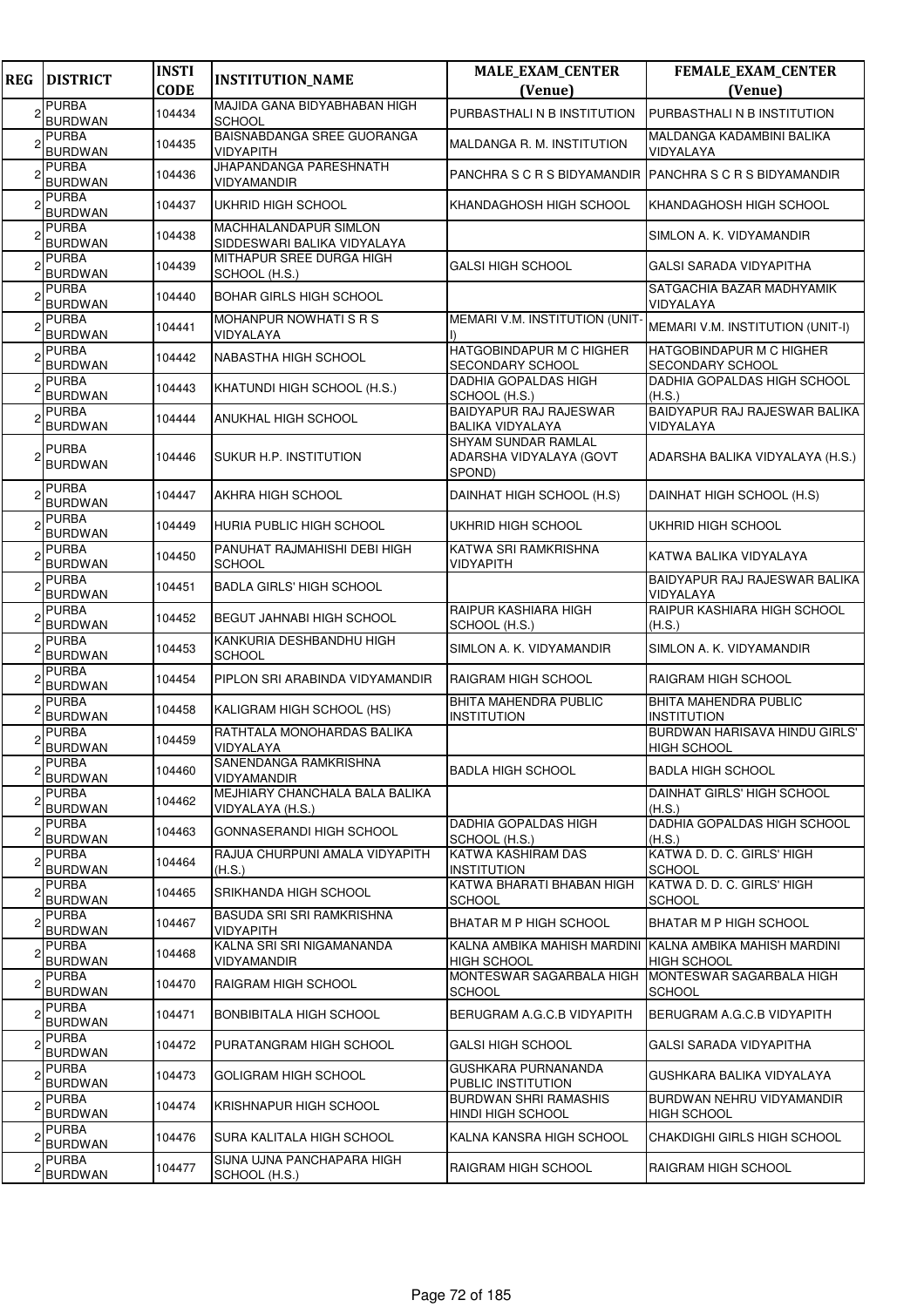| <b>REG</b> | <b>DISTRICT</b>                | <b>INSTI</b><br><b>CODE</b> | <b>INSTITUTION_NAME</b>                              | <b>MALE_EXAM_CENTER</b><br>(Venue)                       | FEMALE_EXAM_CENTER<br>(Venue)                              |
|------------|--------------------------------|-----------------------------|------------------------------------------------------|----------------------------------------------------------|------------------------------------------------------------|
|            | <b>PURBA</b><br><b>BURDWAN</b> | 104434                      | MAJIDA GANA BIDYABHABAN HIGH<br><b>SCHOOL</b>        | PURBASTHALI N B INSTITUTION                              | PURBASTHALI N B INSTITUTION                                |
|            | <b>PURBA</b><br><b>BURDWAN</b> | 104435                      | BAISNABDANGA SREE GUORANGA<br>VIDYAPITH              | MALDANGA R. M. INSTITUTION                               | MALDANGA KADAMBINI BALIKA<br>VIDYALAYA                     |
|            | <b>PURBA</b><br><b>BURDWAN</b> | 104436                      | JHAPANDANGA PARESHNATH<br>VIDYAMANDIR                | PANCHRA S C R S BIDYAMANDIR                              | PANCHRA S C R S BIDYAMANDIR                                |
|            | <b>PURBA</b><br><b>BURDWAN</b> | 104437                      | UKHRID HIGH SCHOOL                                   | KHANDAGHOSH HIGH SCHOOL                                  | KHANDAGHOSH HIGH SCHOOL                                    |
|            | <b>PURBA</b><br><b>BURDWAN</b> | 104438                      | MACHHALANDAPUR SIMLON<br>SIDDESWARI BALIKA VIDYALAYA |                                                          | SIMLON A. K. VIDYAMANDIR                                   |
|            | <b>PURBA</b><br><b>BURDWAN</b> | 104439                      | MITHAPUR SREE DURGA HIGH<br>SCHOOL (H.S.)            | <b>GALSI HIGH SCHOOL</b>                                 | GALSI SARADA VIDYAPITHA                                    |
|            | <b>PURBA</b><br><b>BURDWAN</b> | 104440                      | BOHAR GIRLS HIGH SCHOOL                              |                                                          | SATGACHIA BAZAR MADHYAMIK<br>VIDYALAYA                     |
|            | <b>PURBA</b><br><b>BURDWAN</b> | 104441                      | MOHANPUR NOWHATIS RS<br>VIDYALAYA                    | MEMARI V.M. INSTITUTION (UNIT                            | MEMARI V.M. INSTITUTION (UNIT-I)                           |
|            | <b>PURBA</b><br><b>BURDWAN</b> | 104442                      | NABASTHA HIGH SCHOOL                                 | HATGOBINDAPUR M C HIGHER<br>SECONDARY SCHOOL             | <b>HATGOBINDAPUR M C HIGHER</b><br><b>SECONDARY SCHOOL</b> |
|            | <b>PURBA</b><br><b>BURDWAN</b> | 104443                      | KHATUNDI HIGH SCHOOL (H.S.)                          | DADHIA GOPALDAS HIGH<br>SCHOOL (H.S.)                    | DADHIA GOPALDAS HIGH SCHOOL<br>(H.S.)                      |
|            | <b>PURBA</b><br><b>BURDWAN</b> | 104444                      | <b>ANUKHAL HIGH SCHOOL</b>                           | <b>BAIDYAPUR RAJ RAJESWAR</b><br>BALIKA VIDYALAYA        | BAIDYAPUR RAJ RAJESWAR BALIKA<br>VIDYALAYA                 |
|            | <b>PURBA</b><br><b>BURDWAN</b> | 104446                      | SUKUR H.P. INSTITUTION                               | SHYAM SUNDAR RAMLAL<br>ADARSHA VIDYALAYA (GOVT<br>SPOND) | ADARSHA BALIKA VIDYALAYA (H.S.)                            |
|            | <b>PURBA</b><br><b>BURDWAN</b> | 104447                      | <b>AKHRA HIGH SCHOOL</b>                             | DAINHAT HIGH SCHOOL (H.S)                                | DAINHAT HIGH SCHOOL (H.S)                                  |
|            | <b>PURBA</b><br><b>BURDWAN</b> | 104449                      | HURIA PUBLIC HIGH SCHOOL                             | UKHRID HIGH SCHOOL                                       | UKHRID HIGH SCHOOL                                         |
|            | <b>PURBA</b><br>BURDWAN        | 104450                      | PANUHAT RAJMAHISHI DEBI HIGH<br><b>SCHOOL</b>        | KATWA SRI RAMKRISHNA<br>VIDYAPITH                        | KATWA BALIKA VIDYALAYA                                     |
|            | <b>PURBA</b><br><b>BURDWAN</b> | 104451                      | <b>BADLA GIRLS' HIGH SCHOOL</b>                      |                                                          | BAIDYAPUR RAJ RAJESWAR BALIKA<br>VIDYALAYA                 |
|            | <b>PURBA</b><br><b>BURDWAN</b> | 104452                      | <b>BEGUT JAHNABI HIGH SCHOOL</b>                     | RAIPUR KASHIARA HIGH<br>SCHOOL (H.S.)                    | RAIPUR KASHIARA HIGH SCHOOL<br>(H.S.)                      |
|            | <b>PURBA</b><br><b>BURDWAN</b> | 104453                      | KANKURIA DESHBANDHU HIGH<br><b>SCHOOL</b>            | SIMLON A. K. VIDYAMANDIR                                 | SIMLON A. K. VIDYAMANDIR                                   |
|            | <b>PURBA</b><br><b>BURDWAN</b> | 104454                      | PIPLON SRI ARABINDA VIDYAMANDIR                      | RAIGRAM HIGH SCHOOL                                      | RAIGRAM HIGH SCHOOL                                        |
|            | <b>PURBA</b><br><b>BURDWAN</b> | 104458                      | KALIGRAM HIGH SCHOOL (HS)                            | <b>BHITA MAHENDRA PUBLIC</b><br><b>INSTITUTION</b>       | <b>BHITA MAHENDRA PUBLIC</b><br>INSTITUTION                |
|            | <b>PURBA</b><br><b>BURDWAN</b> | 104459                      | RATHTALA MONOHARDAS BALIKA<br>VIDYALAYA              |                                                          | <b>BURDWAN HARISAVA HINDU GIRLS'</b><br><b>HIGH SCHOOL</b> |
| 2          | <b>PURBA</b><br><b>BURDWAN</b> | 104460                      | SANENDANGA RAMKRISHNA<br>VIDYAMANDIR                 | <b>BADLA HIGH SCHOOL</b>                                 | <b>BADLA HIGH SCHOOL</b>                                   |
|            | <b>PURBA</b><br><b>BURDWAN</b> | 104462                      | MEJHIARY CHANCHALA BALA BALIKA<br>VIDYALAYA (H.S.)   |                                                          | DAINHAT GIRLS' HIGH SCHOOL<br>(H.S.)                       |
|            | <b>PURBA</b><br><b>BURDWAN</b> | 104463                      | GONNASERANDI HIGH SCHOOL                             | DADHIA GOPALDAS HIGH<br>SCHOOL (H.S.)                    | DADHIA GOPALDAS HIGH SCHOOL<br>(H.S.)                      |
|            | <b>PURBA</b><br><b>BURDWAN</b> | 104464                      | RAJUA CHURPUNI AMALA VIDYAPITH<br>(H.S.)             | KATWA KASHIRAM DAS<br><b>INSTITUTION</b>                 | KATWA D. D. C. GIRLS' HIGH<br>SCHOOL                       |
|            | <b>PURBA</b><br><b>BURDWAN</b> | 104465                      | SRIKHANDA HIGH SCHOOL                                | KATWA BHARATI BHABAN HIGH<br>SCHOOL                      | KATWA D. D. C. GIRLS' HIGH<br>SCHOOL                       |
|            | <b>PURBA</b><br><b>BURDWAN</b> | 104467                      | BASUDA SRI SRI RAMKRISHNA<br><b>VIDYAPITH</b>        | BHATAR M P HIGH SCHOOL                                   | BHATAR M P HIGH SCHOOL                                     |
|            | <b>PURBA</b><br><b>BURDWAN</b> | 104468                      | KALNA SRI SRI NIGAMANANDA<br>VIDYAMANDIR             | KALNA AMBIKA MAHISH MARDINI<br><b>HIGH SCHOOL</b>        | KALNA AMBIKA MAHISH MARDINI<br>HIGH SCHOOL                 |
|            | <b>PURBA</b><br><b>BURDWAN</b> | 104470                      | RAIGRAM HIGH SCHOOL                                  | MONTESWAR SAGARBALA HIGH<br>SCHOOL                       | MONTESWAR SAGARBALA HIGH<br>SCHOOL                         |
|            | <b>PURBA</b><br>BURDWAN        | 104471                      | BONBIBITALA HIGH SCHOOL                              | BERUGRAM A.G.C.B VIDYAPITH                               | BERUGRAM A.G.C.B VIDYAPITH                                 |
|            | <b>PURBA</b><br><b>BURDWAN</b> | 104472                      | PURATANGRAM HIGH SCHOOL                              | <b>GALSI HIGH SCHOOL</b>                                 | GALSI SARADA VIDYAPITHA                                    |
|            | <b>PURBA</b><br><b>BURDWAN</b> | 104473                      | GOLIGRAM HIGH SCHOOL                                 | GUSHKARA PURNANANDA<br>PUBLIC INSTITUTION                | GUSHKARA BALIKA VIDYALAYA                                  |
|            | <b>PURBA</b><br><b>BURDWAN</b> | 104474                      | KRISHNAPUR HIGH SCHOOL                               | <b>BURDWAN SHRI RAMASHIS</b><br>HINDI HIGH SCHOOL        | BURDWAN NEHRU VIDYAMANDIR<br><b>HIGH SCHOOL</b>            |
|            | PURBA<br><b>BURDWAN</b>        | 104476                      | SURA KALITALA HIGH SCHOOL                            | KALNA KANSRA HIGH SCHOOL                                 | CHAKDIGHI GIRLS HIGH SCHOOL                                |
|            | <b>PURBA</b><br><b>BURDWAN</b> | 104477                      | SIJNA UJNA PANCHAPARA HIGH<br>SCHOOL (H.S.)          | RAIGRAM HIGH SCHOOL                                      | RAIGRAM HIGH SCHOOL                                        |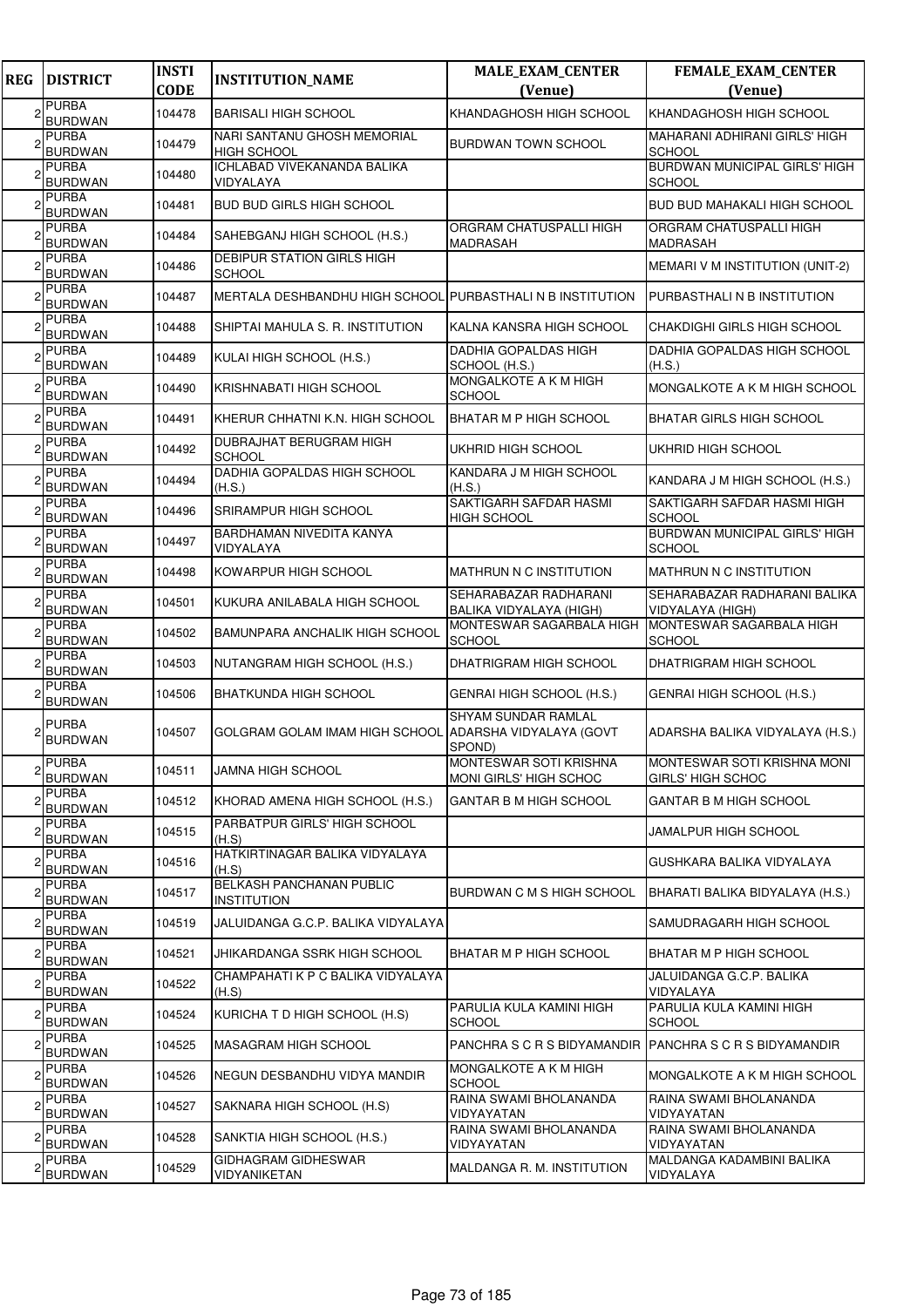| <b>REG</b> | <b>DISTRICT</b>                | <b>INSTI</b><br><b>CODE</b> | <b>INSTITUTION_NAME</b>                                    | <b>MALE_EXAM_CENTER</b><br>(Venue)                      | <b>FEMALE_EXAM_CENTER</b><br>(Venue)             |
|------------|--------------------------------|-----------------------------|------------------------------------------------------------|---------------------------------------------------------|--------------------------------------------------|
|            | <b>PURBA</b><br><b>BURDWAN</b> | 104478                      | <b>BARISALI HIGH SCHOOL</b>                                | KHANDAGHOSH HIGH SCHOOL                                 | KHANDAGHOSH HIGH SCHOOL                          |
|            | <b>PURBA</b><br><b>BURDWAN</b> | 104479                      | NARI SANTANU GHOSH MEMORIAL<br>HIGH SCHOOL                 | <b>BURDWAN TOWN SCHOOL</b>                              | MAHARANI ADHIRANI GIRLS' HIGH<br><b>SCHOOL</b>   |
|            | <b>PURBA</b><br><b>BURDWAN</b> | 104480                      | <b>ICHLABAD VIVEKANANDA BALIKA</b><br>VIDYALAYA            |                                                         | BURDWAN MUNICIPAL GIRLS' HIGH<br><b>SCHOOL</b>   |
|            | <b>PURBA</b><br><b>BURDWAN</b> | 104481                      | <b>BUD BUD GIRLS HIGH SCHOOL</b>                           |                                                         | <b>BUD BUD MAHAKALI HIGH SCHOOL</b>              |
|            | <b>PURBA</b><br><b>BURDWAN</b> | 104484                      | SAHEBGANJ HIGH SCHOOL (H.S.)                               | ORGRAM CHATUSPALLI HIGH<br><b>MADRASAH</b>              | ORGRAM CHATUSPALLI HIGH<br><b>MADRASAH</b>       |
|            | <b>PURBA</b><br><b>BURDWAN</b> | 104486                      | <b>DEBIPUR STATION GIRLS HIGH</b><br><b>SCHOOL</b>         |                                                         | MEMARI V M INSTITUTION (UNIT-2)                  |
|            | <b>PURBA</b><br>BURDWAN        | 104487                      | MERTALA DESHBANDHU HIGH SCHOOL PURBASTHALI N B INSTITUTION |                                                         | PURBASTHALI N B INSTITUTION                      |
|            | <b>PURBA</b><br><b>BURDWAN</b> | 104488                      | SHIPTAI MAHULA S. R. INSTITUTION                           | KALNA KANSRA HIGH SCHOOL                                | CHAKDIGHI GIRLS HIGH SCHOOL                      |
|            | <b>PURBA</b><br><b>BURDWAN</b> | 104489                      | KULAI HIGH SCHOOL (H.S.)                                   | <b>DADHIA GOPALDAS HIGH</b><br>SCHOOL (H.S.)            | DADHIA GOPALDAS HIGH SCHOOL<br>(H.S.)            |
|            | <b>PURBA</b><br><b>BURDWAN</b> | 104490                      | KRISHNABATI HIGH SCHOOL                                    | MONGALKOTE A K M HIGH<br><b>SCHOOL</b>                  | MONGALKOTE A K M HIGH SCHOOL                     |
|            | <b>PURBA</b><br><b>BURDWAN</b> | 104491                      | KHERUR CHHATNI K.N. HIGH SCHOOL                            | BHATAR M P HIGH SCHOOL                                  | <b>BHATAR GIRLS HIGH SCHOOL</b>                  |
|            | <b>PURBA</b><br><b>BURDWAN</b> | 104492                      | DUBRAJHAT BERUGRAM HIGH<br><b>SCHOOL</b>                   | UKHRID HIGH SCHOOL                                      | UKHRID HIGH SCHOOL                               |
|            | <b>PURBA</b><br><b>BURDWAN</b> | 104494                      | DADHIA GOPALDAS HIGH SCHOOL<br>(H.S.)                      | KANDARA J M HIGH SCHOOL<br>(H.S.)                       | KANDARA J M HIGH SCHOOL (H.S.)                   |
|            | <b>PURBA</b><br><b>BURDWAN</b> | 104496                      | SRIRAMPUR HIGH SCHOOL                                      | SAKTIGARH SAFDAR HASMI<br><b>HIGH SCHOOL</b>            | SAKTIGARH SAFDAR HASMI HIGH<br><b>SCHOOL</b>     |
|            | <b>PURBA</b><br><b>BURDWAN</b> | 104497                      | BARDHAMAN NIVEDITA KANYA<br>VIDYALAYA                      |                                                         | BURDWAN MUNICIPAL GIRLS' HIGH<br><b>SCHOOL</b>   |
|            | <b>PURBA</b><br>BURDWAN        | 104498                      | KOWARPUR HIGH SCHOOL                                       | MATHRUN N C INSTITUTION                                 | <b>MATHRUN N C INSTITUTION</b>                   |
|            | <b>PURBA</b><br><b>BURDWAN</b> | 104501                      | KUKURA ANILABALA HIGH SCHOOL                               | SEHARABAZAR RADHARANI<br>BALIKA VIDYALAYA (HIGH)        | SEHARABAZAR RADHARANI BALIKA<br>VIDYALAYA (HIGH) |
|            | <b>PURBA</b><br><b>BURDWAN</b> | 104502                      | BAMUNPARA ANCHALIK HIGH SCHOOL                             | MONTESWAR SAGARBALA HIGH<br><b>SCHOOL</b>               | MONTESWAR SAGARBALA HIGH<br><b>SCHOOL</b>        |
|            | <b>PURBA</b><br><b>BURDWAN</b> | 104503                      | NUTANGRAM HIGH SCHOOL (H.S.)                               | <b>DHATRIGRAM HIGH SCHOOL</b>                           | DHATRIGRAM HIGH SCHOOL                           |
|            | <b>PURBA</b><br><b>BURDWAN</b> | 104506                      | <b>BHATKUNDA HIGH SCHOOL</b>                               | GENRAI HIGH SCHOOL (H.S.)                               | GENRAI HIGH SCHOOL (H.S.)                        |
|            | <b>PURBA</b><br><b>BURDWAN</b> | 104507                      | GOLGRAM GOLAM IMAM HIGH SCHOOL ADARSHA VIDYALAYA (GOVT     | <b>SHYAM SUNDAR RAMLAL</b><br>SPOND)                    | ADARSHA BALIKA VIDYALAYA (H.S.)                  |
|            | <b>PURBA</b><br><b>BURDWAN</b> | 104511                      | JAMNA HIGH SCHOOL                                          | MONTESWAR SOTI KRISHNA<br><b>MONI GIRLS' HIGH SCHOC</b> | MONTESWAR SOTI KRISHNA MONI<br>GIRLS' HIGH SCHOC |
|            | <b>PURBA</b><br><b>BURDWAN</b> | 104512                      | KHORAD AMENA HIGH SCHOOL (H.S.)                            | <b>GANTAR B M HIGH SCHOOL</b>                           | GANTAR B M HIGH SCHOOL                           |
|            | <b>PURBA</b><br><b>BURDWAN</b> | 104515                      | PARBATPUR GIRLS' HIGH SCHOOL<br>(H.S)                      |                                                         | JAMALPUR HIGH SCHOOL                             |
|            | <b>PURBA</b><br><b>BURDWAN</b> | 104516                      | HATKIRTINAGAR BALIKA VIDYALAYA<br>(H.S)                    |                                                         | GUSHKARA BALIKA VIDYALAYA                        |
|            | <b>PURBA</b><br><b>BURDWAN</b> | 104517                      | BELKASH PANCHANAN PUBLIC<br><b>INSTITUTION</b>             | BURDWAN C M S HIGH SCHOOL                               | BHARATI BALIKA BIDYALAYA (H.S.)                  |
|            | <b>PURBA</b><br>BURDWAN        | 104519                      | JALUIDANGA G.C.P. BALIKA VIDYALAYA                         |                                                         | SAMUDRAGARH HIGH SCHOOL                          |
|            | <b>PURBA</b><br><b>BURDWAN</b> | 104521                      | JHIKARDANGA SSRK HIGH SCHOOL                               | <b>BHATAR M P HIGH SCHOOL</b>                           | BHATAR M P HIGH SCHOOL                           |
|            | <b>PURBA</b><br><b>BURDWAN</b> | 104522                      | CHAMPAHATI K P C BALIKA VIDYALAYA<br>(H.S)                 |                                                         | JALUIDANGA G.C.P. BALIKA<br>VIDYALAYA            |
|            | <b>PURBA</b><br><b>BURDWAN</b> | 104524                      | KURICHA T D HIGH SCHOOL (H.S)                              | PARULIA KULA KAMINI HIGH<br><b>SCHOOL</b>               | PARULIA KULA KAMINI HIGH<br><b>SCHOOL</b>        |
|            | PURBA<br><b>BURDWAN</b>        | 104525                      | <b>MASAGRAM HIGH SCHOOL</b>                                | PANCHRA S C R S BIDYAMANDIR PANCHRA S C R S BIDYAMANDIR |                                                  |
|            | PURBA<br><b>BURDWAN</b>        | 104526                      | NEGUN DESBANDHU VIDYA MANDIR                               | MONGALKOTE A K M HIGH<br><b>SCHOOL</b>                  | MONGALKOTE A K M HIGH SCHOOL                     |
|            | <b>PURBA</b><br><b>BURDWAN</b> | 104527                      | SAKNARA HIGH SCHOOL (H.S)                                  | RAINA SWAMI BHOLANANDA<br>VIDYAYATAN                    | RAINA SWAMI BHOLANANDA<br>VIDYAYATAN             |
|            | <b>PURBA</b><br><b>BURDWAN</b> | 104528                      | SANKTIA HIGH SCHOOL (H.S.)                                 | RAINA SWAMI BHOLANANDA<br>VIDYAYATAN                    | RAINA SWAMI BHOLANANDA<br>VIDYAYATAN             |
|            | <b>PURBA</b><br><b>BURDWAN</b> | 104529                      | GIDHAGRAM GIDHESWAR<br>VIDYANIKETAN                        | MALDANGA R. M. INSTITUTION                              | MALDANGA KADAMBINI BALIKA<br>VIDYALAYA           |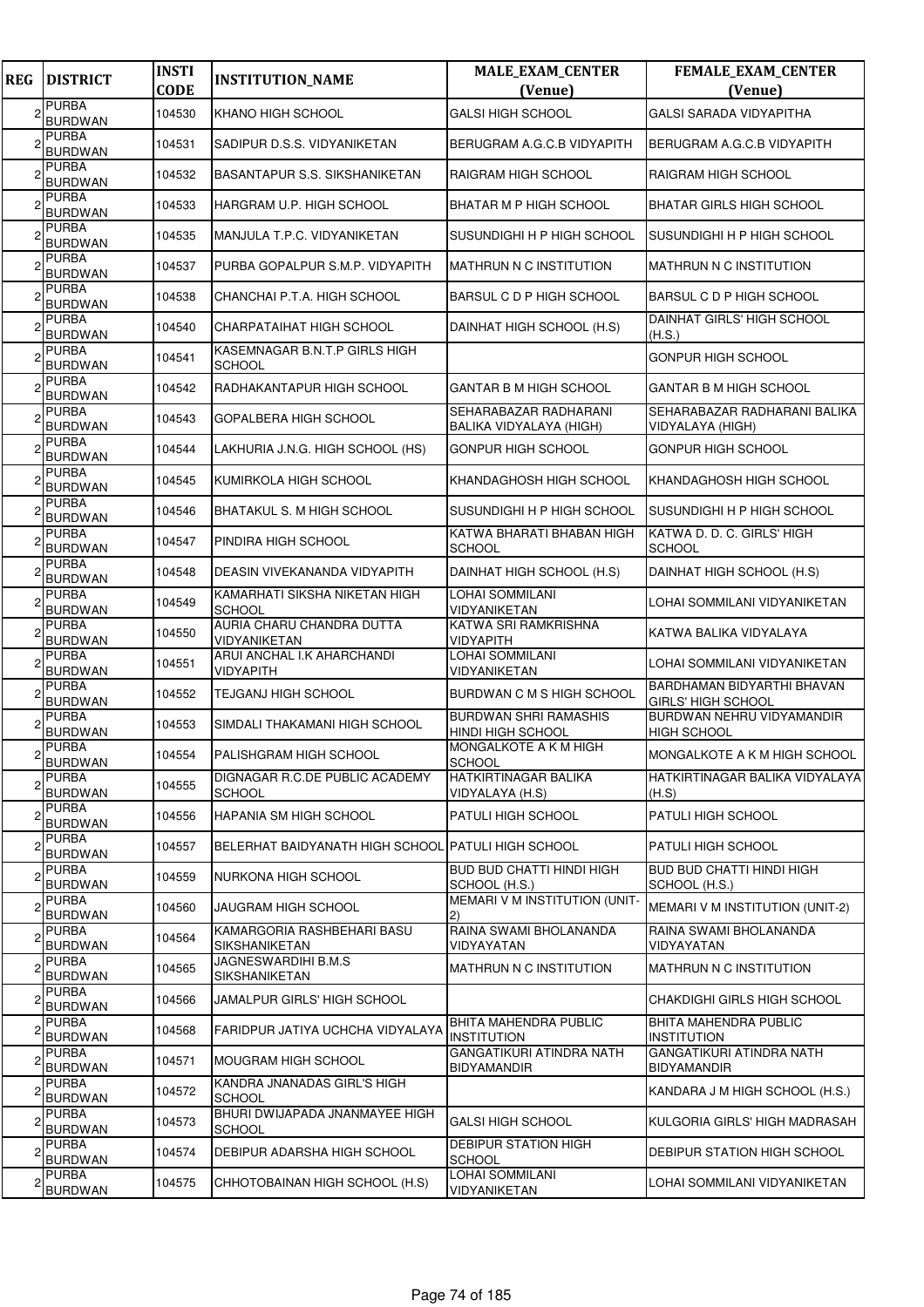| <b>REG</b> | <b>DISTRICT</b>                | <b>INSTI</b><br><b>CODE</b> | <b>INSTITUTION_NAME</b>                            | <b>MALE_EXAM_CENTER</b><br>(Venue)                    | FEMALE_EXAM_CENTER<br>(Venue)                           |
|------------|--------------------------------|-----------------------------|----------------------------------------------------|-------------------------------------------------------|---------------------------------------------------------|
|            | <b>PURBA</b><br><b>BURDWAN</b> | 104530                      | KHANO HIGH SCHOOL                                  | <b>GALSI HIGH SCHOOL</b>                              | <b>GALSI SARADA VIDYAPITHA</b>                          |
|            | PURBA<br><b>BURDWAN</b>        | 104531                      | SADIPUR D.S.S. VIDYANIKETAN                        | BERUGRAM A.G.C.B VIDYAPITH                            | BERUGRAM A.G.C.B VIDYAPITH                              |
|            | PURBA<br><b>BURDWAN</b>        | 104532                      | BASANTAPUR S.S. SIKSHANIKETAN                      | RAIGRAM HIGH SCHOOL                                   | RAIGRAM HIGH SCHOOL                                     |
|            | <b>PURBA</b><br>BURDWAN        | 104533                      | HARGRAM U.P. HIGH SCHOOL                           | BHATAR M P HIGH SCHOOL                                | <b>BHATAR GIRLS HIGH SCHOOL</b>                         |
|            | PURBA<br><b>BURDWAN</b>        | 104535                      | MANJULA T.P.C. VIDYANIKETAN                        | SUSUNDIGHI H P HIGH SCHOOL                            | SUSUNDIGHI H P HIGH SCHOOL                              |
|            | <b>PURBA</b><br><b>BURDWAN</b> | 104537                      | PURBA GOPALPUR S.M.P. VIDYAPITH                    | <b>MATHRUN N C INSTITUTION</b>                        | MATHRUN N C INSTITUTION                                 |
|            | <b>PURBA</b><br><b>BURDWAN</b> | 104538                      | CHANCHAI P.T.A. HIGH SCHOOL                        | BARSUL C D P HIGH SCHOOL                              | <b>BARSUL C D P HIGH SCHOOL</b>                         |
|            | <b>PURBA</b><br><b>BURDWAN</b> | 104540                      | CHARPATAIHAT HIGH SCHOOL                           | DAINHAT HIGH SCHOOL (H.S)                             | DAINHAT GIRLS' HIGH SCHOOL<br>(H.S.)                    |
|            | PURBA<br><b>BURDWAN</b>        | 104541                      | KASEMNAGAR B.N.T.P GIRLS HIGH<br><b>SCHOOL</b>     |                                                       | <b>GONPUR HIGH SCHOOL</b>                               |
|            | PURBA<br><b>BURDWAN</b>        | 104542                      | RADHAKANTAPUR HIGH SCHOOL                          | GANTAR B M HIGH SCHOOL                                | <b>GANTAR B M HIGH SCHOOL</b>                           |
|            | <b>PURBA</b><br><b>BURDWAN</b> | 104543                      | GOPALBERA HIGH SCHOOL                              | SEHARABAZAR RADHARANI<br>BALIKA VIDYALAYA (HIGH)      | SEHARABAZAR RADHARANI BALIKA<br>VIDYALAYA (HIGH)        |
|            | PURBA<br><b>BURDWAN</b>        | 104544                      | LAKHURIA J.N.G. HIGH SCHOOL (HS)                   | <b>GONPUR HIGH SCHOOL</b>                             | <b>GONPUR HIGH SCHOOL</b>                               |
|            | PURBA<br><b>BURDWAN</b>        | 104545                      | KUMIRKOLA HIGH SCHOOL                              | KHANDAGHOSH HIGH SCHOOL                               | KHANDAGHOSH HIGH SCHOOL                                 |
|            | PURBA<br><b>BURDWAN</b>        | 104546                      | <b>BHATAKUL S. M HIGH SCHOOL</b>                   | SUSUNDIGHI H P HIGH SCHOOL                            | ISUSUNDIGHI H P HIGH SCHOOL                             |
|            | <b>PURBA</b><br><b>BURDWAN</b> | 104547                      | PINDIRA HIGH SCHOOL                                | KATWA BHARATI BHABAN HIGH<br><b>SCHOOL</b>            | KATWA D. D. C. GIRLS' HIGH<br><b>SCHOOL</b>             |
|            | PURBA<br><b>BURDWAN</b>        | 104548                      | DEASIN VIVEKANANDA VIDYAPITH                       | DAINHAT HIGH SCHOOL (H.S)                             | DAINHAT HIGH SCHOOL (H.S)                               |
|            | PURBA<br><b>BURDWAN</b>        | 104549                      | KAMARHATI SIKSHA NIKETAN HIGH<br><b>SCHOOL</b>     | LOHAI SOMMILANI<br>VIDYANIKETAN                       | LOHAI SOMMILANI VIDYANIKETAN                            |
|            | <b>PURBA</b><br><b>BURDWAN</b> | 104550                      | AURIA CHARU CHANDRA DUTTA<br>VIDYANIKETAN          | KATWA SRI RAMKRISHNA<br>VIDYAPITH                     | KATWA BALIKA VIDYALAYA                                  |
|            | <b>PURBA</b><br><b>BURDWAN</b> | 104551                      | ARUI ANCHAL I.K AHARCHANDI<br>VIDYAPITH            | LOHAI SOMMILANI<br>VIDYANIKETAN                       | LOHAI SOMMILANI VIDYANIKETAN                            |
|            | <b>PURBA</b><br><b>BURDWAN</b> | 104552                      | TEJGANJ HIGH SCHOOL                                | BURDWAN C M S HIGH SCHOOL                             | BARDHAMAN BIDYARTHI BHAVAN<br><b>GIRLS' HIGH SCHOOL</b> |
|            | PURBA<br>BURDWAN               | 104553                      | SIMDALI THAKAMANI HIGH SCHOOL                      | <b>BURDWAN SHRI RAMASHIS</b><br>HINDI HIGH SCHOOL     | BURDWAN NEHRU VIDYAMANDIR<br><b>HIGH SCHOOL</b>         |
|            | <b>PURBA</b><br><b>BURDWAN</b> | 104554                      | PALISHGRAM HIGH SCHOOL                             | MONGALKOTE A K M HIGH<br><b>SCHOOL</b>                | IMONGALKOTE A K M HIGH SCHOOL                           |
|            | <b>PURBA</b><br><b>BURDWAN</b> | 104555                      | DIGNAGAR R.C.DE PUBLIC ACADEMY<br><b>SCHOOL</b>    | <b>HATKIRTINAGAR BALIKA</b><br>VIDYALAYA (H.S)        | HATKIRTINAGAR BALIKA VIDYALAYA<br>(H.S)                 |
|            | PURBA<br><b>BURDWAN</b>        | 104556                      | <b>HAPANIA SM HIGH SCHOOL</b>                      | <b>PATULI HIGH SCHOOL</b>                             | <b>PATULI HIGH SCHOOL</b>                               |
|            | <b>PURBA</b><br><b>BURDWAN</b> | 104557                      | BELERHAT BAIDYANATH HIGH SCHOOL PATULI HIGH SCHOOL |                                                       | PATULI HIGH SCHOOL                                      |
|            | <b>PURBA</b><br><b>BURDWAN</b> | 104559                      | NURKONA HIGH SCHOOL                                | <b>BUD BUD CHATTI HINDI HIGH</b><br>SCHOOL (H.S.)     | <b>BUD BUD CHATTI HINDI HIGH</b><br>SCHOOL (H.S.)       |
|            | <b>PURBA</b><br>BURDWAN        | 104560                      | JAUGRAM HIGH SCHOOL                                | MEMARI V M INSTITUTION (UNIT-                         | MEMARI V M INSTITUTION (UNIT-2)                         |
|            | PURBA<br><b>BURDWAN</b>        | 104564                      | KAMARGORIA RASHBEHARI BASU<br>SIKSHANIKETAN        | RAINA SWAMI BHOLANANDA<br>VIDYAYATAN                  | RAINA SWAMI BHOLANANDA<br>VIDYAYATAN                    |
|            | <b>PURBA</b><br>BURDWAN        | 104565                      | JAGNESWARDIHI B.M.S<br>SIKSHANIKETAN               | <b>MATHRUN N C INSTITUTION</b>                        | <b>MATHRUN N C INSTITUTION</b>                          |
|            | <b>PURBA</b><br>BURDWAN        | 104566                      | JAMALPUR GIRLS' HIGH SCHOOL                        |                                                       | CHAKDIGHI GIRLS HIGH SCHOOL                             |
|            | <b>PURBA</b><br><b>BURDWAN</b> | 104568                      | FARIDPUR JATIYA UCHCHA VIDYALAYA                   | <b>BHITA MAHENDRA PUBLIC</b><br>INSTITUTION           | <b>BHITA MAHENDRA PUBLIC</b><br><b>INSTITUTION</b>      |
|            | PURBA<br><b>BURDWAN</b>        | 104571                      | MOUGRAM HIGH SCHOOL                                | <b>GANGATIKURI ATINDRA NATH</b><br><b>BIDYAMANDIR</b> | <b>GANGATIKURI ATINDRA NATH</b><br><b>BIDYAMANDIR</b>   |
|            | <b>PURBA</b><br><b>BURDWAN</b> | 104572                      | KANDRA JNANADAS GIRL'S HIGH<br><b>SCHOOL</b>       |                                                       | KANDARA J M HIGH SCHOOL (H.S.)                          |
|            | <b>PURBA</b><br><b>BURDWAN</b> | 104573                      | BHURI DWIJAPADA JNANMAYEE HIGH<br><b>SCHOOL</b>    | <b>GALSI HIGH SCHOOL</b>                              | KULGORIA GIRLS' HIGH MADRASAH                           |
|            | <b>PURBA</b><br>BURDWAN        | 104574                      | DEBIPUR ADARSHA HIGH SCHOOL                        | DEBIPUR STATION HIGH<br><b>SCHOOL</b>                 | DEBIPUR STATION HIGH SCHOOL                             |
|            | <b>PURBA</b><br>BURDWAN        | 104575                      | CHHOTOBAINAN HIGH SCHOOL (H.S)                     | <b>LOHAI SOMMILANI</b><br>VIDYANIKETAN                | LOHAI SOMMILANI VIDYANIKETAN                            |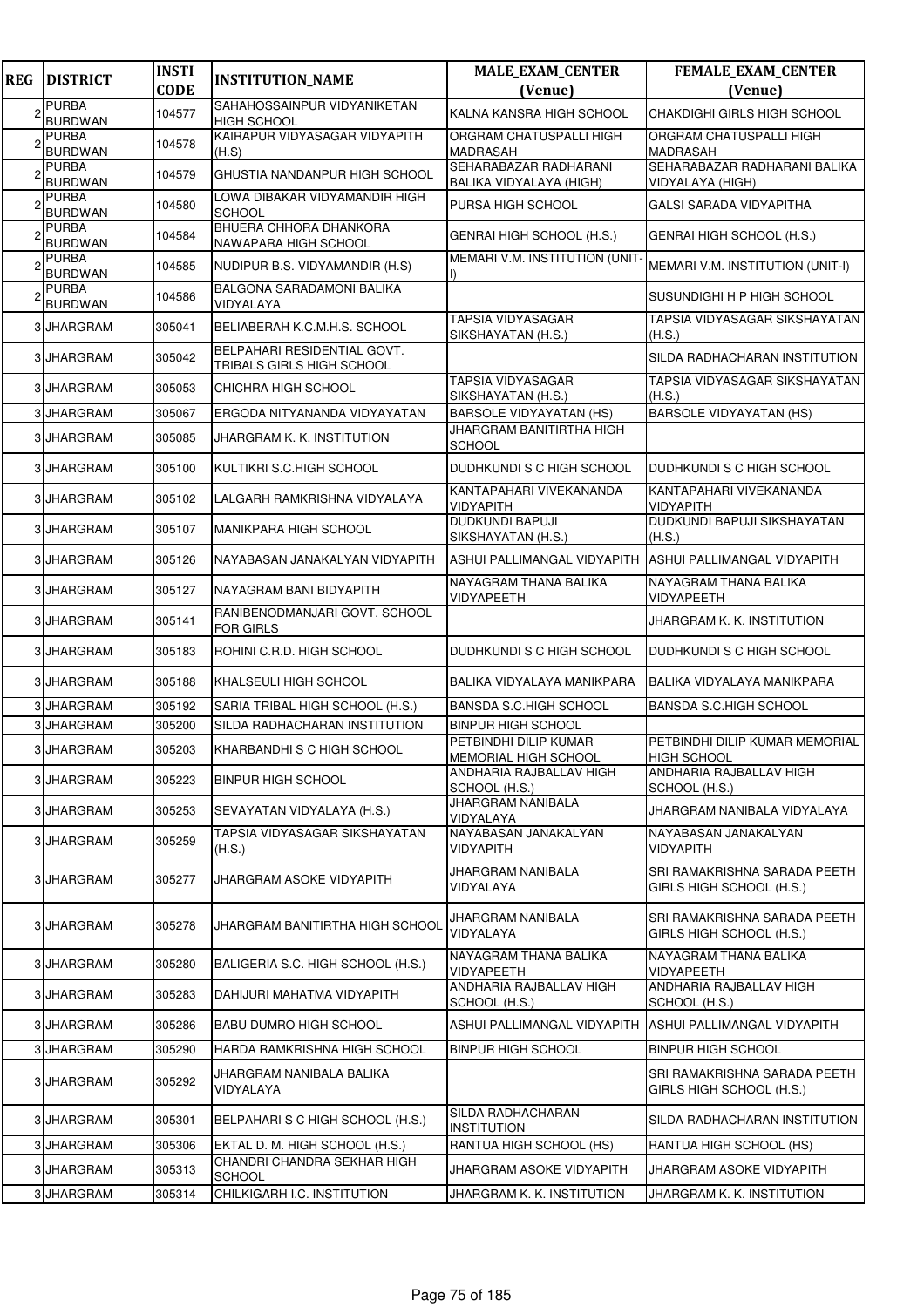| <b>REG</b> | <b>DISTRICT</b>                | <b>INSTI</b><br><b>CODE</b> | <b>INSTITUTION_NAME</b>                                  | <b>MALE_EXAM_CENTER</b><br>(Venue)               | <b>FEMALE_EXAM_CENTER</b><br>(Venue)                     |
|------------|--------------------------------|-----------------------------|----------------------------------------------------------|--------------------------------------------------|----------------------------------------------------------|
|            | <b>PURBA</b>                   | 104577                      | SAHAHOSSAINPUR VIDYANIKETAN                              | KALNA KANSRA HIGH SCHOOL                         | CHAKDIGHI GIRLS HIGH SCHOOL                              |
|            | <b>BURDWAN</b><br><b>PURBA</b> |                             | <b>HIGH SCHOOL</b><br>KAIRAPUR VIDYASAGAR VIDYAPITH      | ORGRAM CHATUSPALLI HIGH                          | ORGRAM CHATUSPALLI HIGH                                  |
|            | <b>BURDWAN</b>                 | 104578                      | (H.S)                                                    | <b>MADRASAH</b>                                  | <b>MADRASAH</b>                                          |
|            | <b>PURBA</b><br><b>BURDWAN</b> | 104579                      | GHUSTIA NANDANPUR HIGH SCHOOL                            | SEHARABAZAR RADHARANI<br>BALIKA VIDYALAYA (HIGH) | SEHARABAZAR RADHARANI BALIKA<br>VIDYALAYA (HIGH)         |
|            | <b>PURBA</b><br><b>BURDWAN</b> | 104580                      | LOWA DIBAKAR VIDYAMANDIR HIGH<br><b>SCHOOL</b>           | PURSA HIGH SCHOOL                                | <b>GALSI SARADA VIDYAPITHA</b>                           |
|            | <b>PURBA</b><br><b>BURDWAN</b> | 104584                      | BHUERA CHHORA DHANKORA<br>NAWAPARA HIGH SCHOOL           | GENRAI HIGH SCHOOL (H.S.)                        | GENRAI HIGH SCHOOL (H.S.)                                |
|            | <b>PURBA</b><br><b>BURDWAN</b> | 104585                      | NUDIPUR B.S. VIDYAMANDIR (H.S)                           | MEMARI V.M. INSTITUTION (UNIT-                   | MEMARI V.M. INSTITUTION (UNIT-I)                         |
|            | <b>PURBA</b><br><b>BURDWAN</b> | 104586                      | BALGONA SARADAMONI BALIKA<br>VIDYALAYA                   |                                                  | SUSUNDIGHI H P HIGH SCHOOL                               |
|            | 3 JHARGRAM                     | 305041                      | BELIABERAH K.C.M.H.S. SCHOOL                             | TAPSIA VIDYASAGAR<br>SIKSHAYATAN (H.S.)          | TAPSIA VIDYASAGAR SIKSHAYATAN<br>(H.S.)                  |
|            | 3 JHARGRAM                     | 305042                      | BELPAHARI RESIDENTIAL GOVT.<br>TRIBALS GIRLS HIGH SCHOOL |                                                  | SILDA RADHACHARAN INSTITUTION                            |
|            | 3 JHARGRAM                     | 305053                      | CHICHRA HIGH SCHOOL                                      | TAPSIA VIDYASAGAR<br>SIKSHAYATAN (H.S.)          | TAPSIA VIDYASAGAR SIKSHAYATAN<br>(H.S.)                  |
|            | 3 JHARGRAM                     | 305067                      | ERGODA NITYANANDA VIDYAYATAN                             | <b>BARSOLE VIDYAYATAN (HS)</b>                   | <b>BARSOLE VIDYAYATAN (HS)</b>                           |
|            | 3 JHARGRAM                     | 305085                      | <b>JHARGRAM K. K. INSTITUTION</b>                        | JHARGRAM BANITIRTHA HIGH<br><b>SCHOOL</b>        |                                                          |
|            | 3 JHARGRAM                     | 305100                      | KULTIKRI S.C.HIGH SCHOOL                                 | DUDHKUNDI S C HIGH SCHOOL                        | DUDHKUNDI S C HIGH SCHOOL                                |
|            | 3 JHARGRAM                     | 305102                      | LALGARH RAMKRISHNA VIDYALAYA                             | KANTAPAHARI VIVEKANANDA<br><b>VIDYAPITH</b>      | KANTAPAHARI VIVEKANANDA<br><b>VIDYAPITH</b>              |
|            | 3 JHARGRAM                     | 305107                      | MANIKPARA HIGH SCHOOL                                    | <b>DUDKUNDI BAPUJI</b><br>SIKSHAYATAN (H.S.)     | DUDKUNDI BAPUJI SIKSHAYATAN<br>(H.S.)                    |
|            | 3 JHARGRAM                     | 305126                      | NAYABASAN JANAKALYAN VIDYAPITH                           | ASHUI PALLIMANGAL VIDYAPITH                      | ASHUI PALLIMANGAL VIDYAPITH                              |
|            | 3 JHARGRAM                     | 305127                      | NAYAGRAM BANI BIDYAPITH                                  | NAYAGRAM THANA BALIKA<br>VIDYAPEETH              | NAYAGRAM THANA BALIKA<br>VIDYAPEETH                      |
|            | 3 JHARGRAM                     | 305141                      | RANIBENODMANJARI GOVT. SCHOOL<br><b>FOR GIRLS</b>        |                                                  | JHARGRAM K. K. INSTITUTION                               |
|            | 3 JHARGRAM                     | 305183                      | ROHINI C.R.D. HIGH SCHOOL                                | DUDHKUNDI S C HIGH SCHOOL                        | DUDHKUNDI S C HIGH SCHOOL                                |
|            | 3 JHARGRAM                     | 305188                      | KHALSEULI HIGH SCHOOL                                    | BALIKA VIDYALAYA MANIKPARA                       | BALIKA VIDYALAYA MANIKPARA                               |
|            | 3 JHARGRAM                     | 305192                      | SARIA TRIBAL HIGH SCHOOL (H.S.)                          | <b>BANSDA S.C.HIGH SCHOOL</b>                    | <b>BANSDA S.C.HIGH SCHOOL</b>                            |
|            | 3 JHARGRAM                     | 305200                      | SILDA RADHACHARAN INSTITUTION                            | <b>BINPUR HIGH SCHOOL</b>                        |                                                          |
|            | 3 JHARGRAM                     | 305203                      | KHARBANDHIS C HIGH SCHOOL                                | PETBINDHI DILIP KUMAR<br>MEMORIAL HIGH SCHOOL    | PETBINDHI DILIP KUMAR MEMORIAL<br><b>HIGH SCHOOL</b>     |
|            | 3 JHARGRAM                     | 305223                      | <b>BINPUR HIGH SCHOOL</b>                                | ANDHARIA RAJBALLAV HIGH<br>SCHOOL (H.S.)         | ANDHARIA RAJBALLAV HIGH<br>SCHOOL (H.S.)                 |
|            | 3 JHARGRAM                     | 305253                      | SEVAYATAN VIDYALAYA (H.S.)                               | <b>JHARGRAM NANIBALA</b><br>VIDYALAYA            | JHARGRAM NANIBALA VIDYALAYA                              |
|            | 3 JHARGRAM                     | 305259                      | TAPSIA VIDYASAGAR SIKSHAYATAN<br>(H.S.)                  | NAYABASAN JANAKALYAN<br>VIDYAPITH                | NAYABASAN JANAKALYAN<br>VIDYAPITH                        |
|            | 3 JHARGRAM                     | 305277                      | JHARGRAM ASOKE VIDYAPITH                                 | JHARGRAM NANIBALA<br>VIDYALAYA                   | SRI RAMAKRISHNA SARADA PEETH<br>GIRLS HIGH SCHOOL (H.S.) |
|            | 3 JHARGRAM                     | 305278                      | JHARGRAM BANITIRTHA HIGH SCHOOL                          | JHARGRAM NANIBALA<br>VIDYALAYA                   | SRI RAMAKRISHNA SARADA PEETH<br>GIRLS HIGH SCHOOL (H.S.) |
|            | 3 JHARGRAM                     | 305280                      | BALIGERIA S.C. HIGH SCHOOL (H.S.)                        | NAYAGRAM THANA BALIKA<br>VIDYAPEETH              | NAYAGRAM THANA BALIKA<br>VIDYAPEETH                      |
|            | 3 JHARGRAM                     | 305283                      | DAHIJURI MAHATMA VIDYAPITH                               | ANDHARIA RAJBALLAV HIGH<br>SCHOOL (H.S.)         | ANDHARIA RAJBALLAV HIGH<br>SCHOOL (H.S.)                 |
|            | 3 JHARGRAM                     | 305286                      | <b>BABU DUMRO HIGH SCHOOL</b>                            | ASHUI PALLIMANGAL VIDYAPITH                      | ASHUI PALLIMANGAL VIDYAPITH                              |
|            | 3 JHARGRAM                     | 305290                      | HARDA RAMKRISHNA HIGH SCHOOL                             | <b>BINPUR HIGH SCHOOL</b>                        | <b>BINPUR HIGH SCHOOL</b>                                |
|            | 3 JHARGRAM                     | 305292                      | JHARGRAM NANIBALA BALIKA<br>VIDYALAYA                    |                                                  | SRI RAMAKRISHNA SARADA PEETH<br>GIRLS HIGH SCHOOL (H.S.) |
|            | 3 JHARGRAM                     | 305301                      | BELPAHARI S C HIGH SCHOOL (H.S.)                         | SILDA RADHACHARAN<br><b>INSTITUTION</b>          | SILDA RADHACHARAN INSTITUTION                            |
|            | 3 JHARGRAM                     | 305306                      | EKTAL D. M. HIGH SCHOOL (H.S.)                           | RANTUA HIGH SCHOOL (HS)                          | RANTUA HIGH SCHOOL (HS)                                  |
|            | 3 JHARGRAM                     | 305313                      | CHANDRI CHANDRA SEKHAR HIGH<br><b>SCHOOL</b>             | JHARGRAM ASOKE VIDYAPITH                         | JHARGRAM ASOKE VIDYAPITH                                 |
|            | 3 JHARGRAM                     | 305314                      | CHILKIGARH I.C. INSTITUTION                              | JHARGRAM K. K. INSTITUTION                       | JHARGRAM K. K. INSTITUTION                               |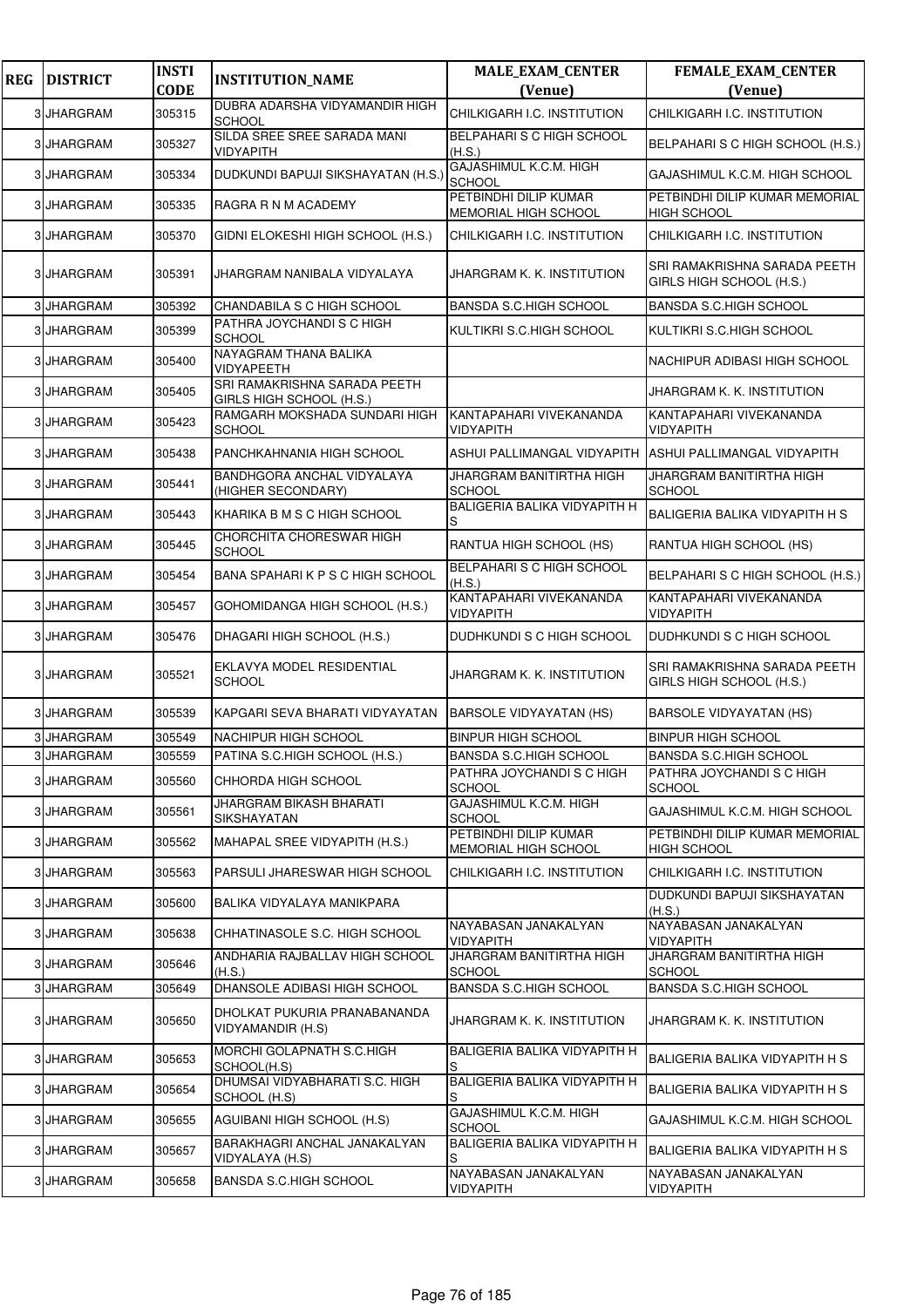| <b>REG</b> | <b>DISTRICT</b> | <b>INSTI</b><br><b>CODE</b> | <b>INSTITUTION_NAME</b>                                  | <b>MALE_EXAM_CENTER</b><br>(Venue)                   | <b>FEMALE_EXAM_CENTER</b><br>(Venue)                     |
|------------|-----------------|-----------------------------|----------------------------------------------------------|------------------------------------------------------|----------------------------------------------------------|
|            | 3 JHARGRAM      | 305315                      | DUBRA ADARSHA VIDYAMANDIR HIGH<br><b>SCHOOL</b>          | CHILKIGARH I.C. INSTITUTION                          | CHILKIGARH I.C. INSTITUTION                              |
|            | 3 JHARGRAM      | 305327                      | SILDA SREE SREE SARADA MANI<br><b>VIDYAPITH</b>          | BELPAHARI S C HIGH SCHOOL<br>(H.S.)                  | BELPAHARI S C HIGH SCHOOL (H.S.)                         |
|            | 3 JHARGRAM      | 305334                      | DUDKUNDI BAPUJI SIKSHAYATAN (H.S.)                       | GAJASHIMUL K.C.M. HIGH<br>SCHOOL                     | GAJASHIMUL K.C.M. HIGH SCHOOL                            |
|            | 3 JHARGRAM      | 305335                      | RAGRA R N M ACADEMY                                      | PETBINDHI DILIP KUMAR<br>MEMORIAL HIGH SCHOOL        | PETBINDHI DILIP KUMAR MEMORIAL<br><b>HIGH SCHOOL</b>     |
|            | 3 JHARGRAM      | 305370                      | GIDNI ELOKESHI HIGH SCHOOL (H.S.)                        | CHILKIGARH I.C. INSTITUTION                          | CHILKIGARH I.C. INSTITUTION                              |
|            | 3 JHARGRAM      | 305391                      | JHARGRAM NANIBALA VIDYALAYA                              | JHARGRAM K. K. INSTITUTION                           | SRI RAMAKRISHNA SARADA PEETH<br>GIRLS HIGH SCHOOL (H.S.) |
|            | 3 JHARGRAM      | 305392                      | CHANDABILA S C HIGH SCHOOL                               | <b>BANSDA S.C.HIGH SCHOOL</b>                        | <b>BANSDA S.C.HIGH SCHOOL</b>                            |
|            | 3 JHARGRAM      | 305399                      | PATHRA JOYCHANDI S C HIGH<br><b>SCHOOL</b>               | KULTIKRI S.C.HIGH SCHOOL                             | KULTIKRI S.C.HIGH SCHOOL                                 |
|            | 3 JHARGRAM      | 305400                      | NAYAGRAM THANA BALIKA<br><b>VIDYAPEETH</b>               |                                                      | NACHIPUR ADIBASI HIGH SCHOOL                             |
|            | 3 JHARGRAM      | 305405                      | SRI RAMAKRISHNA SARADA PEETH<br>GIRLS HIGH SCHOOL (H.S.) |                                                      | JHARGRAM K. K. INSTITUTION                               |
|            | 3 JHARGRAM      | 305423                      | RAMGARH MOKSHADA SUNDARI HIGH<br><b>SCHOOL</b>           | KANTAPAHARI VIVEKANANDA<br>VIDYAPITH                 | KANTAPAHARI VIVEKANANDA<br>VIDYAPITH                     |
|            | 3 JHARGRAM      | 305438                      | PANCHKAHNANIA HIGH SCHOOL                                | ASHUI PALLIMANGAL VIDYAPITH                          | ASHUI PALLIMANGAL VIDYAPITH                              |
|            | 3 JHARGRAM      | 305441                      | BANDHGORA ANCHAL VIDYALAYA<br>(HIGHER SECONDARY)         | JHARGRAM BANITIRTHA HIGH<br><b>SCHOOL</b>            | JHARGRAM BANITIRTHA HIGH<br><b>SCHOOL</b>                |
|            | 3 JHARGRAM      | 305443                      | KHARIKA B M S C HIGH SCHOOL                              | <b>BALIGERIA BALIKA VIDYAPITH H</b><br>S             | BALIGERIA BALIKA VIDYAPITH H S                           |
|            | 3 JHARGRAM      | 305445                      | CHORCHITA CHORESWAR HIGH<br><b>SCHOOL</b>                | RANTUA HIGH SCHOOL (HS)                              | RANTUA HIGH SCHOOL (HS)                                  |
|            | 3 JHARGRAM      | 305454                      | BANA SPAHARIK P S C HIGH SCHOOL                          | BELPAHARI S C HIGH SCHOOL<br>(H.S.)                  | BELPAHARI S C HIGH SCHOOL (H.S.)                         |
|            | 3 JHARGRAM      | 305457                      | GOHOMIDANGA HIGH SCHOOL (H.S.)                           | KANTAPAHARI VIVEKANANDA<br>VIDYAPITH                 | KANTAPAHARI VIVEKANANDA<br>VIDYAPITH                     |
|            | 3 JHARGRAM      | 305476                      | DHAGARI HIGH SCHOOL (H.S.)                               | DUDHKUNDI S C HIGH SCHOOL                            | DUDHKUNDI S C HIGH SCHOOL                                |
|            | 3 JHARGRAM      | 305521                      | EKLAVYA MODEL RESIDENTIAL<br><b>SCHOOL</b>               | JHARGRAM K. K. INSTITUTION                           | SRI RAMAKRISHNA SARADA PEETH<br>GIRLS HIGH SCHOOL (H.S.) |
|            | 3 JHARGRAM      | 305539                      | KAPGARI SEVA BHARATI VIDYAYATAN                          | <b>BARSOLE VIDYAYATAN (HS)</b>                       | <b>BARSOLE VIDYAYATAN (HS)</b>                           |
|            | 3 JHARGRAM      | 305549                      | NACHIPUR HIGH SCHOOL                                     | <b>BINPUR HIGH SCHOOL</b>                            | <b>BINPUR HIGH SCHOOL</b>                                |
|            | 3 JHARGRAM      | 305559                      | PATINA S.C.HIGH SCHOOL (H.S.)                            | <b>BANSDA S.C.HIGH SCHOOL</b>                        | BANSDA S.C.HIGH SCHOOL                                   |
|            | 3 JHARGRAM      | 305560                      | CHHORDA HIGH SCHOOL                                      | PATHRA JOYCHANDI S C HIGH<br>SCHOOL                  | PATHRA JOYCHANDI S C HIGH<br><b>SCHOOL</b>               |
|            | 3 JHARGRAM      | 305561                      | JHARGRAM BIKASH BHARATI<br>SIKSHAYATAN                   | GAJASHIMUL K.C.M. HIGH<br>SCHOOL                     | GAJASHIMUL K.C.M. HIGH SCHOOL                            |
|            | 3 JHARGRAM      | 305562                      | MAHAPAL SREE VIDYAPITH (H.S.)                            | PETBINDHI DILIP KUMAR<br><b>MEMORIAL HIGH SCHOOL</b> | PETBINDHI DILIP KUMAR MEMORIAL<br>HIGH SCHOOL            |
|            | 3 JHARGRAM      | 305563                      | PARSULI JHARESWAR HIGH SCHOOL                            | CHILKIGARH I.C. INSTITUTION                          | CHILKIGARH I.C. INSTITUTION                              |
|            | 3 JHARGRAM      | 305600                      | BALIKA VIDYALAYA MANIKPARA                               |                                                      | DUDKUNDI BAPUJI SIKSHAYATAN<br>(H.S.)                    |
|            | 3 JHARGRAM      | 305638                      | CHHATINASOLE S.C. HIGH SCHOOL                            | NAYABASAN JANAKALYAN<br><b>VIDYAPITH</b>             | NAYABASAN JANAKALYAN<br><b>VIDYAPITH</b>                 |
|            | 3 JHARGRAM      | 305646                      | ANDHARIA RAJBALLAV HIGH SCHOOL<br>(H.S.)                 | JHARGRAM BANITIRTHA HIGH<br><b>SCHOOL</b>            | JHARGRAM BANITIRTHA HIGH<br><b>SCHOOL</b>                |
|            | 3 JHARGRAM      | 305649                      | DHANSOLE ADIBASI HIGH SCHOOL                             | BANSDA S.C.HIGH SCHOOL                               | BANSDA S.C.HIGH SCHOOL                                   |
|            | 3 JHARGRAM      | 305650                      | DHOLKAT PUKURIA PRANABANANDA<br>VIDYAMANDIR (H.S)        | JHARGRAM K. K. INSTITUTION                           | JHARGRAM K. K. INSTITUTION                               |
|            | 3 JHARGRAM      | 305653                      | MORCHI GOLAPNATH S.C.HIGH<br>SCHOOL(H.S)                 | <b>BALIGERIA BALIKA VIDYAPITH H</b>                  | BALIGERIA BALIKA VIDYAPITH H S                           |
|            | 3 JHARGRAM      | 305654                      | DHUMSAI VIDYABHARATI S.C. HIGH<br>SCHOOL (H.S)           | BALIGERIA BALIKA VIDYAPITH H<br>S                    | BALIGERIA BALIKA VIDYAPITH H S                           |
|            | 3 JHARGRAM      | 305655                      | AGUIBANI HIGH SCHOOL (H.S)                               | GAJASHIMUL K.C.M. HIGH<br><b>SCHOOL</b>              | GAJASHIMUL K.C.M. HIGH SCHOOL                            |
|            | 3 JHARGRAM      | 305657                      | BARAKHAGRI ANCHAL JANAKALYAN<br>VIDYALAYA (H.S)          | BALIGERIA BALIKA VIDYAPITH H                         | BALIGERIA BALIKA VIDYAPITH H S                           |
|            | 3 JHARGRAM      | 305658                      | BANSDA S.C.HIGH SCHOOL                                   | NAYABASAN JANAKALYAN<br>VIDYAPITH                    | NAYABASAN JANAKALYAN<br>VIDYAPITH                        |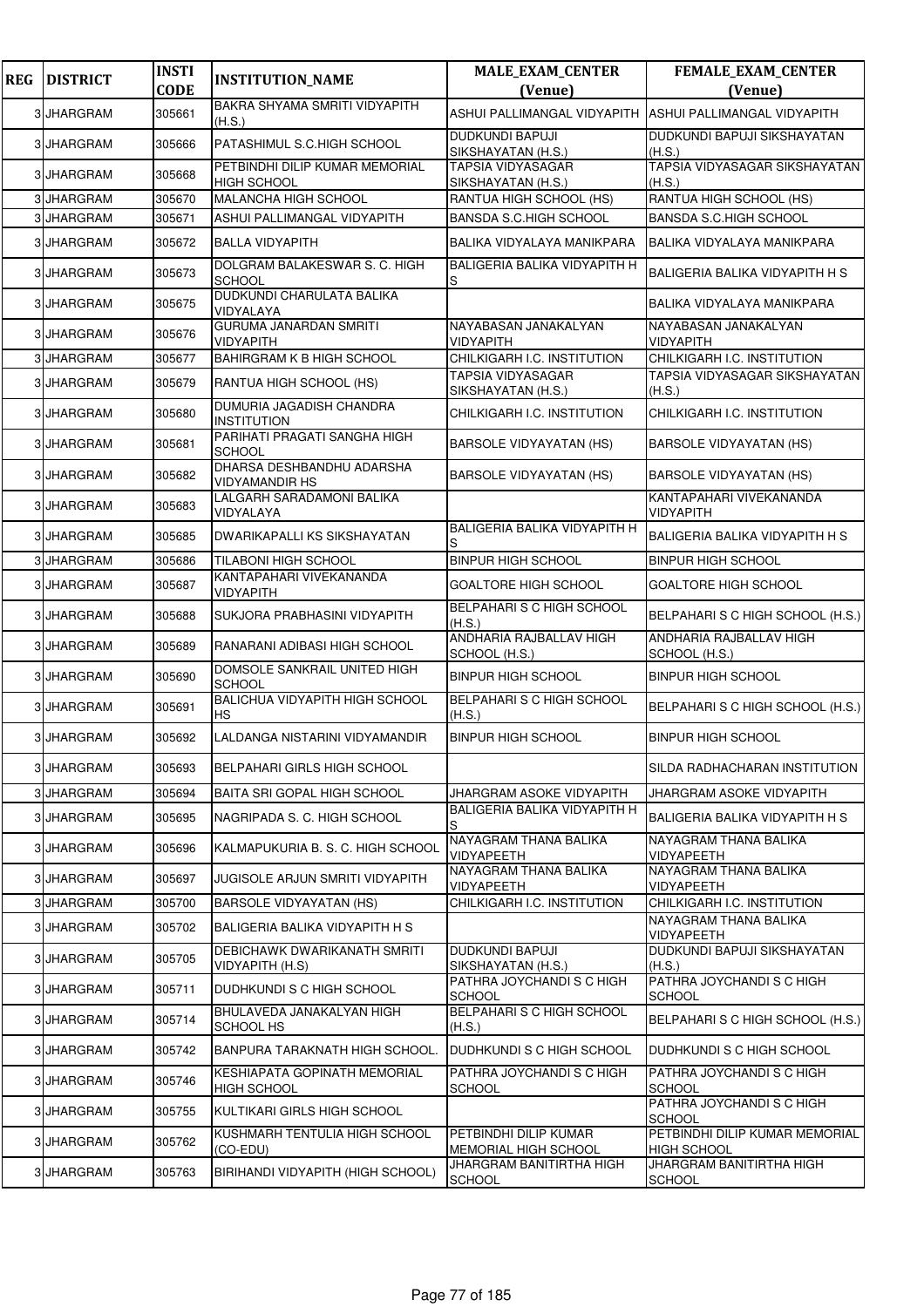| <b>REG</b> | <b>DISTRICT</b> | <b>INSTI</b> | <b>INSTITUTION_NAME</b>                              | <b>MALE_EXAM_CENTER</b>                        | <b>FEMALE_EXAM_CENTER</b>                            |
|------------|-----------------|--------------|------------------------------------------------------|------------------------------------------------|------------------------------------------------------|
|            |                 | <b>CODE</b>  | BAKRA SHYAMA SMRITI VIDYAPITH                        | (Venue)                                        | (Venue)                                              |
|            | 3 JHARGRAM      | 305661       | (H.S.)                                               | <b>ASHUI PALLIMANGAL VIDYAPITH</b>             | ASHUI PALLIMANGAL VIDYAPITH                          |
|            | 3 JHARGRAM      | 305666       | PATASHIMUL S.C.HIGH SCHOOL                           | <b>DUDKUNDI BAPUJI</b><br>SIKSHAYATAN (H.S.)   | DUDKUNDI BAPUJI SIKSHAYATAN<br>(H.S.)                |
|            | 3 JHARGRAM      | 305668       | PETBINDHI DILIP KUMAR MEMORIAL<br><b>HIGH SCHOOL</b> | <b>TAPSIA VIDYASAGAR</b><br>SIKSHAYATAN (H.S.) | TAPSIA VIDYASAGAR SIKSHAYATAN<br>(H.S.)              |
|            | 3 JHARGRAM      | 305670       | MALANCHA HIGH SCHOOL                                 | RANTUA HIGH SCHOOL (HS)                        | RANTUA HIGH SCHOOL (HS)                              |
| 3          | <b>JHARGRAM</b> | 305671       | ASHUI PALLIMANGAL VIDYAPITH                          | <b>BANSDA S.C.HIGH SCHOOL</b>                  | <b>BANSDA S.C.HIGH SCHOOL</b>                        |
| 3          | <b>JHARGRAM</b> | 305672       | <b>BALLA VIDYAPITH</b>                               | BALIKA VIDYALAYA MANIKPARA                     | BALIKA VIDYALAYA MANIKPARA                           |
|            | 3 JHARGRAM      | 305673       | DOLGRAM BALAKESWAR S. C. HIGH<br><b>SCHOOL</b>       | <b>BALIGERIA BALIKA VIDYAPITH H</b><br>S       | BALIGERIA BALIKA VIDYAPITH H S                       |
| 3          | <b>JHARGRAM</b> | 305675       | DUDKUNDI CHARULATA BALIKA<br>VIDYALAYA               |                                                | BALIKA VIDYALAYA MANIKPARA                           |
|            | 3 JHARGRAM      | 305676       | <b>GURUMA JANARDAN SMRITI</b><br>VIDYAPITH           | NAYABASAN JANAKALYAN<br>VIDYAPITH              | NAYABASAN JANAKALYAN<br><b>VIDYAPITH</b>             |
| 3          | <b>JHARGRAM</b> | 305677       | BAHIRGRAM K B HIGH SCHOOL                            | CHILKIGARH I.C. INSTITUTION                    | CHILKIGARH I.C. INSTITUTION                          |
| 3          | <b>JHARGRAM</b> | 305679       | RANTUA HIGH SCHOOL (HS)                              | TAPSIA VIDYASAGAR<br>SIKSHAYATAN (H.S.)        | TAPSIA VIDYASAGAR SIKSHAYATAN<br>(H.S.)              |
| 3          | <b>JHARGRAM</b> | 305680       | DUMURIA JAGADISH CHANDRA<br><b>INSTITUTION</b>       | CHILKIGARH I.C. INSTITUTION                    | CHILKIGARH I.C. INSTITUTION                          |
| 3          | <b>JHARGRAM</b> | 305681       | PARIHATI PRAGATI SANGHA HIGH<br><b>SCHOOL</b>        | <b>BARSOLE VIDYAYATAN (HS)</b>                 | <b>BARSOLE VIDYAYATAN (HS)</b>                       |
| 3          | <b>JHARGRAM</b> | 305682       | DHARSA DESHBANDHU ADARSHA<br><b>VIDYAMANDIR HS</b>   | <b>BARSOLE VIDYAYATAN (HS)</b>                 | <b>BARSOLE VIDYAYATAN (HS)</b>                       |
|            | 3 JHARGRAM      | 305683       | LALGARH SARADAMONI BALIKA<br>VIDYALAYA               |                                                | KANTAPAHARI VIVEKANANDA<br><b>VIDYAPITH</b>          |
| 3          | <b>JHARGRAM</b> | 305685       | DWARIKAPALLI KS SIKSHAYATAN                          | BALIGERIA BALIKA VIDYAPITH H<br>S              | <b>BALIGERIA BALIKA VIDYAPITH H S</b>                |
|            | 3 JHARGRAM      | 305686       | TILABONI HIGH SCHOOL                                 | <b>BINPUR HIGH SCHOOL</b>                      | <b>BINPUR HIGH SCHOOL</b>                            |
| 3          | <b>JHARGRAM</b> | 305687       | KANTAPAHARI VIVEKANANDA<br><b>VIDYAPITH</b>          | GOALTORE HIGH SCHOOL                           | <b>GOALTORE HIGH SCHOOL</b>                          |
|            | 3 JHARGRAM      | 305688       | SUKJORA PRABHASINI VIDYAPITH                         | BELPAHARI S C HIGH SCHOOL<br>(H.S.)            | BELPAHARI S C HIGH SCHOOL (H.S.)                     |
|            | 3 JHARGRAM      | 305689       | RANARANI ADIBASI HIGH SCHOOL                         | ANDHARIA RAJBALLAV HIGH<br>SCHOOL (H.S.)       | ANDHARIA RAJBALLAV HIGH<br>SCHOOL (H.S.)             |
|            | <b>JHARGRAM</b> | 305690       | DOMSOLE SANKRAIL UNITED HIGH<br><b>SCHOOL</b>        | <b>BINPUR HIGH SCHOOL</b>                      | <b>BINPUR HIGH SCHOOL</b>                            |
| 3          | <b>JHARGRAM</b> | 305691       | BALICHUA VIDYAPITH HIGH SCHOOL<br><b>HS</b>          | <b>BELPAHARI S C HIGH SCHOOL</b><br>(H.S.)     | BELPAHARI S C HIGH SCHOOL (H.S.)                     |
|            | 3 JHARGRAM      | 305692       | LALDANGA NISTARINI VIDYAMANDIR                       | <b>BINPUR HIGH SCHOOL</b>                      | <b>BINPUR HIGH SCHOOL</b>                            |
|            | 3 JHARGRAM      | 305693       | BELPAHARI GIRLS HIGH SCHOOL                          |                                                | SILDA RADHACHARAN INSTITUTION                        |
|            | 3 JHARGRAM      | 305694       | <b>BAITA SRI GOPAL HIGH SCHOOL</b>                   | JHARGRAM ASOKE VIDYAPITH                       | JHARGRAM ASOKE VIDYAPITH                             |
|            | 3 JHARGRAM      | 305695       | NAGRIPADA S. C. HIGH SCHOOL                          | BALIGERIA BALIKA VIDYAPITH H<br>S              | BALIGERIA BALIKA VIDYAPITH H S                       |
| 3          | <b>JHARGRAM</b> | 305696       | KALMAPUKURIA B. S. C. HIGH SCHOOL                    | NAYAGRAM THANA BALIKA<br>VIDYAPEETH            | NAYAGRAM THANA BALIKA<br>VIDYAPEETH                  |
|            | 3 JHARGRAM      | 305697       | JUGISOLE ARJUN SMRITI VIDYAPITH                      | NAYAGRAM THANA BALIKA<br>VIDYAPEETH            | NAYAGRAM THANA BALIKA<br>VIDYAPEETH                  |
|            | 3 JHARGRAM      | 305700       | <b>BARSOLE VIDYAYATAN (HS)</b>                       | CHILKIGARH I.C. INSTITUTION                    | CHILKIGARH I.C. INSTITUTION                          |
| 3          | <b>JHARGRAM</b> | 305702       | BALIGERIA BALIKA VIDYAPITH H S                       |                                                | NAYAGRAM THANA BALIKA<br><b>VIDYAPEETH</b>           |
|            | 3 JHARGRAM      | 305705       | DEBICHAWK DWARIKANATH SMRITI<br>VIDYAPITH (H.S)      | <b>DUDKUNDI BAPUJI</b><br>SIKSHAYATAN (H.S.)   | DUDKUNDI BAPUJI SIKSHAYATAN<br>(H.S.)                |
|            | 3 JHARGRAM      | 305711       | DUDHKUNDI S C HIGH SCHOOL                            | PATHRA JOYCHANDI S C HIGH<br>SCHOOL            | PATHRA JOYCHANDI S C HIGH<br><b>SCHOOL</b>           |
| 3          | <b>JHARGRAM</b> | 305714       | BHULAVEDA JANAKALYAN HIGH<br>SCHOOL HS               | BELPAHARI S C HIGH SCHOOL<br>(H.S.)            | BELPAHARI S C HIGH SCHOOL (H.S.)                     |
|            | 3 JHARGRAM      | 305742       | BANPURA TARAKNATH HIGH SCHOOL.                       | DUDHKUNDI S C HIGH SCHOOL                      | DUDHKUNDI S C HIGH SCHOOL                            |
|            | 3 JHARGRAM      | 305746       | KESHIAPATA GOPINATH MEMORIAL<br><b>HIGH SCHOOL</b>   | PATHRA JOYCHANDI S C HIGH<br><b>SCHOOL</b>     | PATHRA JOYCHANDI S C HIGH<br><b>SCHOOL</b>           |
|            | 3 JHARGRAM      | 305755       | KULTIKARI GIRLS HIGH SCHOOL                          |                                                | PATHRA JOYCHANDI S C HIGH<br><b>SCHOOL</b>           |
| 3          | <b>JHARGRAM</b> | 305762       | KUSHMARH TENTULIA HIGH SCHOOL<br>(CO-EDU)            | PETBINDHI DILIP KUMAR<br>MEMORIAL HIGH SCHOOL  | PETBINDHI DILIP KUMAR MEMORIAL<br><b>HIGH SCHOOL</b> |
|            | 3 JHARGRAM      | 305763       | BIRIHANDI VIDYAPITH (HIGH SCHOOL)                    | JHARGRAM BANITIRTHA HIGH<br><b>SCHOOL</b>      | JHARGRAM BANITIRTHA HIGH<br><b>SCHOOL</b>            |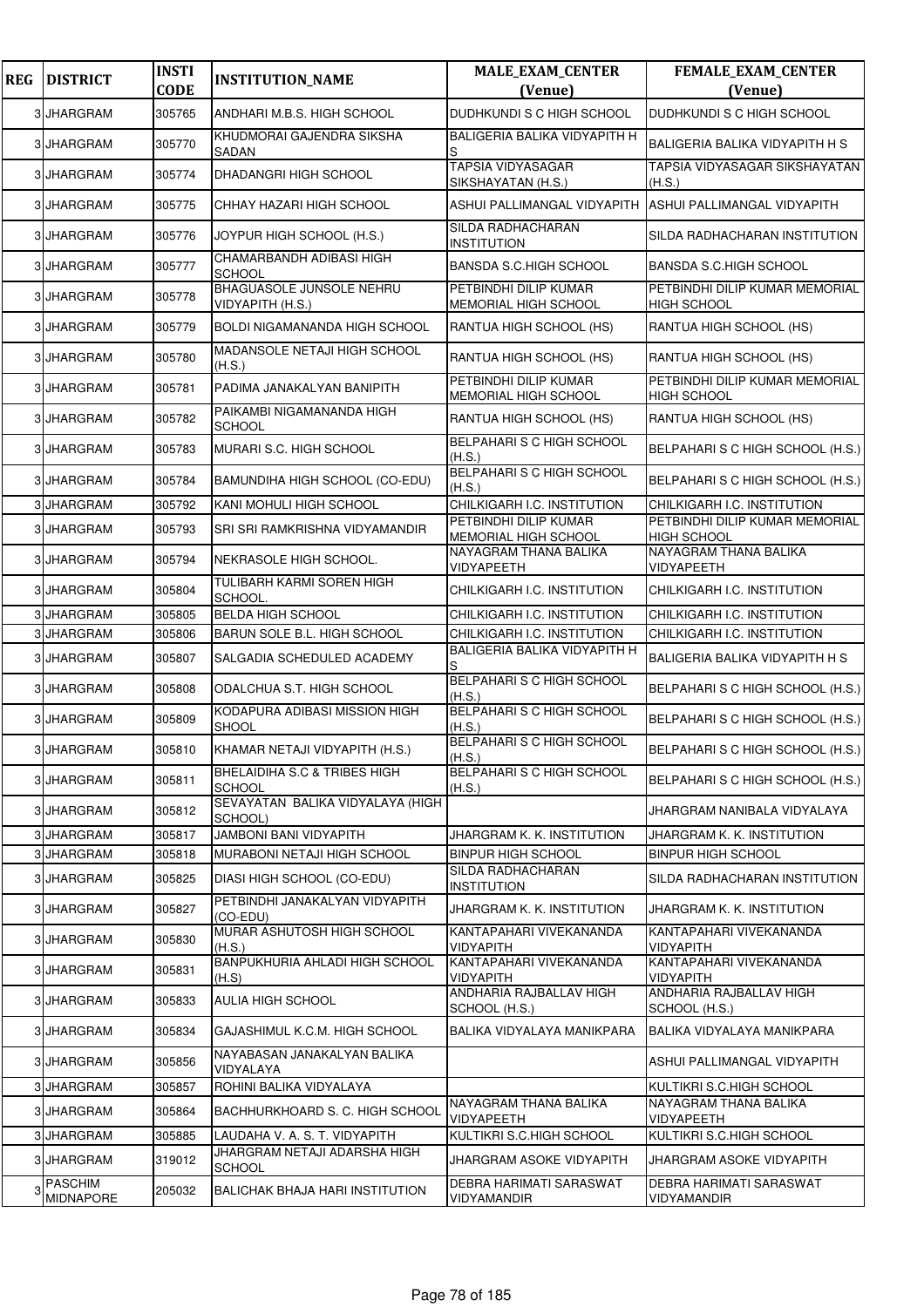| <b>REG</b> | <b>DISTRICT</b>                    | <b>INSTI</b><br><b>CODE</b> | <b>INSTITUTION_NAME</b>                       | <b>MALE_EXAM_CENTER</b><br>(Venue)             | <b>FEMALE_EXAM_CENTER</b><br>(Venue)                 |
|------------|------------------------------------|-----------------------------|-----------------------------------------------|------------------------------------------------|------------------------------------------------------|
|            | 3 JHARGRAM                         | 305765                      | ANDHARI M.B.S. HIGH SCHOOL                    | DUDHKUNDI S C HIGH SCHOOL                      | DUDHKUNDI S C HIGH SCHOOL                            |
|            | 3 JHARGRAM                         | 305770                      | KHUDMORAI GAJENDRA SIKSHA<br>SADAN            | BALIGERIA BALIKA VIDYAPITH H                   | <b>BALIGERIA BALIKA VIDYAPITH H S</b>                |
|            | <b>JHARGRAM</b>                    | 305774                      | DHADANGRI HIGH SCHOOL                         | <b>TAPSIA VIDYASAGAR</b><br>SIKSHAYATAN (H.S.) | TAPSIA VIDYASAGAR SIKSHAYATAN<br>(H.S.)              |
| 3          | <b>JHARGRAM</b>                    | 305775                      | CHHAY HAZARI HIGH SCHOOL                      | ASHUI PALLIMANGAL VIDYAPITH                    | ASHUI PALLIMANGAL VIDYAPITH                          |
|            | 3 JHARGRAM                         | 305776                      | JOYPUR HIGH SCHOOL (H.S.)                     | SILDA RADHACHARAN<br>INSTITUTION               | SILDA RADHACHARAN INSTITUTION                        |
| 31         | <b>JHARGRAM</b>                    | 305777                      | CHAMARBANDH ADIBASI HIGH<br><b>SCHOOL</b>     | <b>BANSDA S.C.HIGH SCHOOL</b>                  | <b>BANSDA S.C.HIGH SCHOOL</b>                        |
|            | 3 JHARGRAM                         | 305778                      | BHAGUASOLE JUNSOLE NEHRU<br>VIDYAPITH (H.S.)  | PETBINDHI DILIP KUMAR<br>MEMORIAL HIGH SCHOOL  | PETBINDHI DILIP KUMAR MEMORIAL<br><b>HIGH SCHOOL</b> |
| 3          | <b>JHARGRAM</b>                    | 305779                      | BOLDI NIGAMANANDA HIGH SCHOOL                 | RANTUA HIGH SCHOOL (HS)                        | RANTUA HIGH SCHOOL (HS)                              |
|            | 3 JHARGRAM                         | 305780                      | MADANSOLE NETAJI HIGH SCHOOL<br>(H.S.)        | RANTUA HIGH SCHOOL (HS)                        | RANTUA HIGH SCHOOL (HS)                              |
| 3          | <b>JHARGRAM</b>                    | 305781                      | PADIMA JANAKALYAN BANIPITH                    | PETBINDHI DILIP KUMAR<br>MEMORIAL HIGH SCHOOL  | PETBINDHI DILIP KUMAR MEMORIAL<br><b>HIGH SCHOOL</b> |
| 3          | <b>JHARGRAM</b>                    | 305782                      | PAIKAMBI NIGAMANANDA HIGH<br><b>SCHOOL</b>    | RANTUA HIGH SCHOOL (HS)                        | RANTUA HIGH SCHOOL (HS)                              |
|            | 3 JHARGRAM                         | 305783                      | MURARI S.C. HIGH SCHOOL                       | BELPAHARI S C HIGH SCHOOL<br>(H.S.)            | BELPAHARI S C HIGH SCHOOL (H.S.)                     |
| 3          | <b>JHARGRAM</b>                    | 305784                      | BAMUNDIHA HIGH SCHOOL (CO-EDU)                | <b>BELPAHARI S C HIGH SCHOOL</b><br>(H.S.)     | BELPAHARI S C HIGH SCHOOL (H.S.)                     |
|            | 3 JHARGRAM                         | 305792                      | KANI MOHULI HIGH SCHOOL                       | CHILKIGARH I.C. INSTITUTION                    | CHILKIGARH I.C. INSTITUTION                          |
| 3          | <b>JHARGRAM</b>                    | 305793                      | SRI SRI RAMKRISHNA VIDYAMANDIR                | PETBINDHI DILIP KUMAR<br>MEMORIAL HIGH SCHOOL  | PETBINDHI DILIP KUMAR MEMORIAL<br><b>HIGH SCHOOL</b> |
| 3          | <b>JHARGRAM</b>                    | 305794                      | NEKRASOLE HIGH SCHOOL.                        | NAYAGRAM THANA BALIKA<br>VIDYAPEETH            | NAYAGRAM THANA BALIKA<br><b>VIDYAPEETH</b>           |
|            | 3 JHARGRAM                         | 305804                      | TULIBARH KARMI SOREN HIGH<br>SCHOOL.          | CHILKIGARH I.C. INSTITUTION                    | CHILKIGARH I.C. INSTITUTION                          |
|            | 3 JHARGRAM                         | 305805                      | <b>BELDA HIGH SCHOOL</b>                      | CHILKIGARH I.C. INSTITUTION                    | CHILKIGARH I.C. INSTITUTION                          |
|            | 3 JHARGRAM                         | 305806                      | BARUN SOLE B.L. HIGH SCHOOL                   | CHILKIGARH I.C. INSTITUTION                    | CHILKIGARH I.C. INSTITUTION                          |
|            | <b>JHARGRAM</b>                    | 305807                      | SALGADIA SCHEDULED ACADEMY                    | BALIGERIA BALIKA VIDYAPITH H<br>S              | <b>BALIGERIA BALIKA VIDYAPITH H S</b>                |
|            | 3 JHARGRAM                         | 305808                      | ODALCHUA S.T. HIGH SCHOOL                     | <b>BELPAHARI S C HIGH SCHOOL</b><br>(H.S.)     | BELPAHARI S C HIGH SCHOOL (H.S.)                     |
|            | 3 JHARGRAM                         | 305809                      | KODAPURA ADIBASI MISSION HIGH<br><b>SHOOL</b> | BELPAHARI S C HIGH SCHOOL<br>(H.S.)            | BELPAHARI S C HIGH SCHOOL (H.S.)                     |
|            | 3 JHARGRAM                         | 305810                      | KHAMAR NETAJI VIDYAPITH (H.S.)                | <b>BELPAHARI S C HIGH SCHOOL</b><br>(H.S.)     | BELPAHARI S C HIGH SCHOOL (H.S.)                     |
| 3          | <b>JHARGRAM</b>                    | 305811                      | BHELAIDIHA S.C & TRIBES HIGH<br><b>SCHOOL</b> | BELPAHARI S C HIGH SCHOOL<br>(H.S.)            | BELPAHARI S C HIGH SCHOOL (H.S.)                     |
| 3          | <b>JHARGRAM</b>                    | 305812                      | SEVAYATAN BALIKA VIDYALAYA (HIGH<br>SCHOOL)   |                                                | JHARGRAM NANIBALA VIDYALAYA                          |
|            | 3 JHARGRAM                         | 305817                      | <b>JAMBONI BANI VIDYAPITH</b>                 | JHARGRAM K. K. INSTITUTION                     | JHARGRAM K. K. INSTITUTION                           |
| 3          | <b>JHARGRAM</b>                    | 305818                      | MURABONI NETAJI HIGH SCHOOL                   | BINPUR HIGH SCHOOL                             | <b>BINPUR HIGH SCHOOL</b>                            |
|            | 3 JHARGRAM                         | 305825                      | DIASI HIGH SCHOOL (CO-EDU)                    | SILDA RADHACHARAN<br>INSTITUTION               | SILDA RADHACHARAN INSTITUTION                        |
| 3          | JHARGRAM                           | 305827                      | PETBINDHI JANAKALYAN VIDYAPITH<br>(CO-EDU)    | JHARGRAM K. K. INSTITUTION                     | JHARGRAM K. K. INSTITUTION                           |
|            | 3 JHARGRAM                         | 305830                      | MURAR ASHUTOSH HIGH SCHOOL<br>(H.S.)          | KANTAPAHARI VIVEKANANDA<br>VIDYAPITH           | KANTAPAHARI VIVEKANANDA<br><b>VIDYAPITH</b>          |
|            | 3 JHARGRAM                         | 305831                      | BANPUKHURIA AHLADI HIGH SCHOOL<br>(H.S)       | KANTAPAHARI VIVEKANANDA<br>VIDYAPITH           | KANTAPAHARI VIVEKANANDA<br><b>VIDYAPITH</b>          |
|            | 3 JHARGRAM                         | 305833                      | <b>AULIA HIGH SCHOOL</b>                      | ANDHARIA RAJBALLAV HIGH<br>SCHOOL (H.S.)       | ANDHARIA RAJBALLAV HIGH<br>SCHOOL (H.S.)             |
| 3          | <b>JHARGRAM</b>                    | 305834                      | GAJASHIMUL K.C.M. HIGH SCHOOL                 | BALIKA VIDYALAYA MANIKPARA                     | BALIKA VIDYALAYA MANIKPARA                           |
|            | 3 JHARGRAM                         | 305856                      | NAYABASAN JANAKALYAN BALIKA<br>VIDYALAYA      |                                                | ASHUI PALLIMANGAL VIDYAPITH                          |
|            | 3 JHARGRAM                         | 305857                      | ROHINI BALIKA VIDYALAYA                       |                                                | KULTIKRI S.C.HIGH SCHOOL                             |
|            | 3 JHARGRAM                         | 305864                      | BACHHURKHOARD S. C. HIGH SCHOOL               | NAYAGRAM THANA BALIKA<br>VIDYAPEETH            | NAYAGRAM THANA BALIKA<br><b>VIDYAPEETH</b>           |
|            | 3 JHARGRAM                         | 305885                      | LAUDAHA V. A. S. T. VIDYAPITH                 | KULTIKRI S.C.HIGH SCHOOL                       | KULTIKRI S.C.HIGH SCHOOL                             |
| 3          | JHARGRAM                           | 319012                      | JHARGRAM NETAJI ADARSHA HIGH<br><b>SCHOOL</b> | JHARGRAM ASOKE VIDYAPITH                       | JHARGRAM ASOKE VIDYAPITH                             |
| З          | <b>PASCHIM</b><br><b>MIDNAPORE</b> | 205032                      | BALICHAK BHAJA HARI INSTITUTION               | DEBRA HARIMATI SARASWAT<br>VIDYAMANDIR         | DEBRA HARIMATI SARASWAT<br>VIDYAMANDIR               |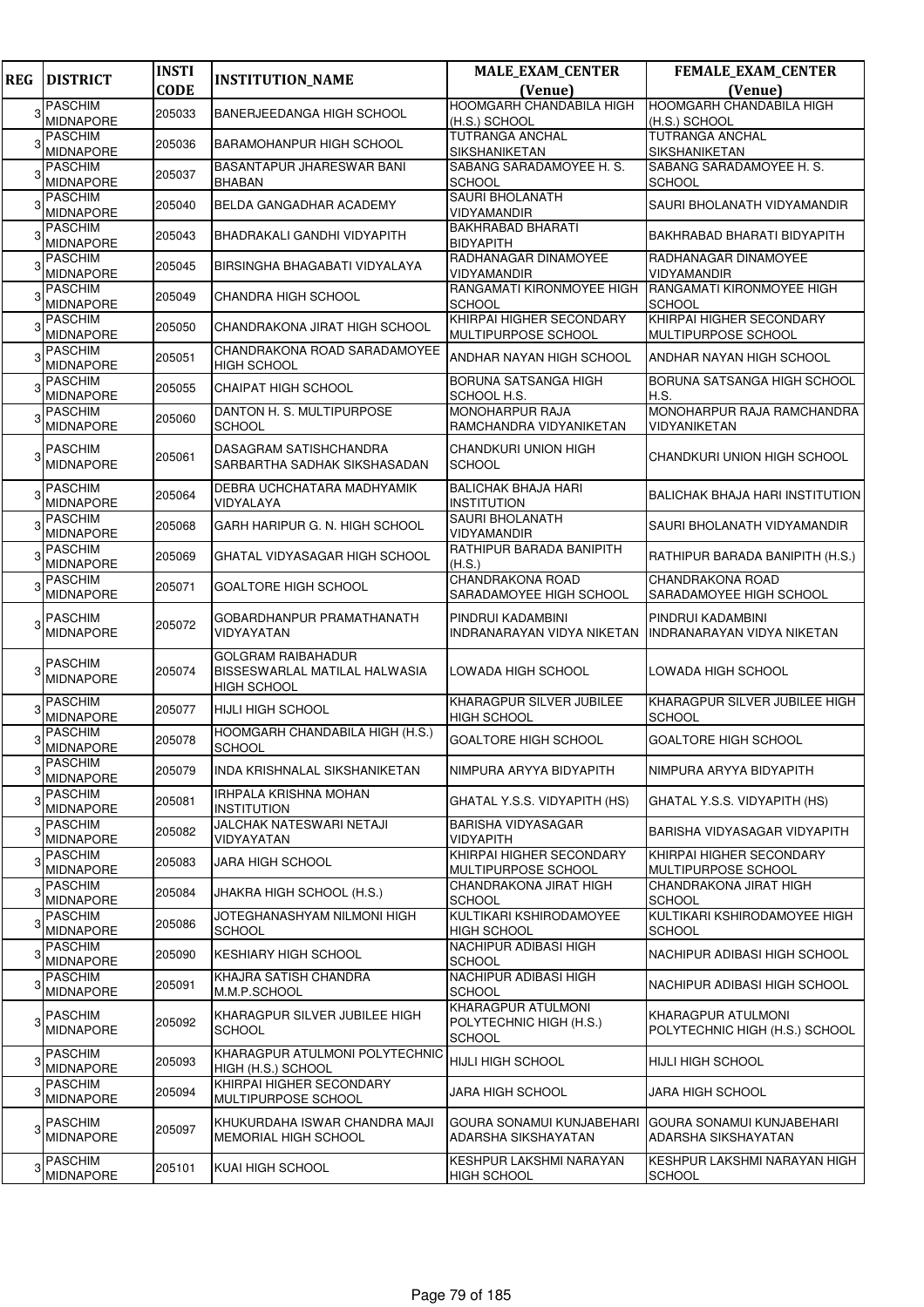| <b>REG</b> | <b>DISTRICT</b>                    | <b>INSTI</b> | <b>INSTITUTION_NAME</b>                               | <b>MALE_EXAM_CENTER</b>                         | <b>FEMALE_EXAM_CENTER</b>                      |
|------------|------------------------------------|--------------|-------------------------------------------------------|-------------------------------------------------|------------------------------------------------|
|            |                                    | <b>CODE</b>  |                                                       | (Venue)                                         | (Venue)                                        |
| 3          | <b>PASCHIM</b>                     | 205033       | BANERJEEDANGA HIGH SCHOOL                             | HOOMGARH CHANDABILA HIGH                        | <b>HOOMGARH CHANDABILA HIGH</b>                |
|            | <b>MIDNAPORE</b>                   |              |                                                       | (H.S.) SCHOOL                                   | (H.S.) SCHOOL                                  |
|            | <b>PASCHIM</b><br>MIDNAPORE        | 205036       | BARAMOHANPUR HIGH SCHOOL                              | <b>TUTRANGA ANCHAL</b><br>SIKSHANIKETAN         | <b>TUTRANGA ANCHAL</b><br><b>SIKSHANIKETAN</b> |
|            | PASCHIM                            |              | <b>BASANTAPUR JHARESWAR BANI</b>                      | SABANG SARADAMOYEE H.S.                         | SABANG SARADAMOYEE H. S.                       |
| 3          | <b>MIDNAPORE</b>                   | 205037       | <b>BHABAN</b>                                         | <b>SCHOOL</b>                                   | <b>SCHOOL</b>                                  |
|            | <b>PASCHIM</b>                     | 205040       | BELDA GANGADHAR ACADEMY                               | <b>SAURI BHOLANATH</b>                          | SAURI BHOLANATH VIDYAMANDIR                    |
|            | MIDNAPORE                          |              |                                                       | VIDYAMANDIR                                     |                                                |
|            | <b>PASCHIM</b><br><b>MIDNAPORE</b> | 205043       | BHADRAKALI GANDHI VIDYAPITH                           | <b>BAKHRABAD BHARATI</b><br><b>BIDYAPITH</b>    | <b>BAKHRABAD BHARATI BIDYAPITH</b>             |
|            | <b>PASCHIM</b>                     |              |                                                       | RADHANAGAR DINAMOYEE                            | RADHANAGAR DINAMOYEE                           |
|            | <b>MIDNAPORE</b>                   | 205045       | BIRSINGHA BHAGABATI VIDYALAYA                         | VIDYAMANDIR                                     | <b>VIDYAMANDIR</b>                             |
|            | <b>PASCHIM</b>                     | 205049       | CHANDRA HIGH SCHOOL                                   | RANGAMATI KIRONMOYEE HIGH                       | RANGAMATI KIRONMOYEE HIGH                      |
|            | <b>MIDNAPORE</b>                   |              |                                                       | <b>SCHOOL</b>                                   | <b>SCHOOL</b>                                  |
|            | <b>PASCHIM</b><br><b>MIDNAPORE</b> | 205050       | CHANDRAKONA JIRAT HIGH SCHOOL                         | KHIRPAI HIGHER SECONDARY<br>MULTIPURPOSE SCHOOL | KHIRPAI HIGHER SECONDARY                       |
|            | <b>PASCHIM</b>                     |              | CHANDRAKONA ROAD SARADAMOYEE                          |                                                 | MULTIPURPOSE SCHOOL                            |
|            | MIDNAPORE                          | 205051       | <b>HIGH SCHOOL</b>                                    | ANDHAR NAYAN HIGH SCHOOL                        | ANDHAR NAYAN HIGH SCHOOL                       |
|            | <b>PASCHIM</b>                     | 205055       | <b>CHAIPAT HIGH SCHOOL</b>                            | BORUNA SATSANGA HIGH                            | BORUNA SATSANGA HIGH SCHOOL                    |
|            | <b>MIDNAPORE</b>                   |              |                                                       | SCHOOL H.S.                                     | H.S.                                           |
|            | <b>PASCHIM</b>                     | 205060       | DANTON H. S. MULTIPURPOSE                             | <b>MONOHARPUR RAJA</b>                          | MONOHARPUR RAJA RAMCHANDRA                     |
|            | <b>MIDNAPORE</b>                   |              | <b>SCHOOL</b>                                         | RAMCHANDRA VIDYANIKETAN                         | VIDYANIKETAN                                   |
|            | <b>PASCHIM</b>                     | 205061       | DASAGRAM SATISHCHANDRA                                | CHANDKURI UNION HIGH                            | CHANDKURI UNION HIGH SCHOOL                    |
|            | <b>MIDNAPORE</b>                   |              | SARBARTHA SADHAK SIKSHASADAN                          | <b>SCHOOL</b>                                   |                                                |
|            | <b>PASCHIM</b>                     | 205064       | DEBRA UCHCHATARA MADHYAMIK                            | <b>BALICHAK BHAJA HARI</b>                      | <b>BALICHAK BHAJA HARI INSTITUTION</b>         |
|            | <b>MIDNAPORE</b>                   |              | VIDYALAYA                                             | <b>INSTITUTION</b>                              |                                                |
|            | <b>PASCHIM</b>                     | 205068       | GARH HARIPUR G. N. HIGH SCHOOL                        | SAURI BHOLANATH                                 | SAURI BHOLANATH VIDYAMANDIR                    |
|            | <b>MIDNAPORE</b>                   |              |                                                       | VIDYAMANDIR                                     |                                                |
|            | <b>PASCHIM</b><br><b>MIDNAPORE</b> | 205069       | GHATAL VIDYASAGAR HIGH SCHOOL                         | RATHIPUR BARADA BANIPITH<br>(H.S.)              | RATHIPUR BARADA BANIPITH (H.S.)                |
|            | <b>PASCHIM</b>                     |              |                                                       | <b>CHANDRAKONA ROAD</b>                         | <b>CHANDRAKONA ROAD</b>                        |
|            | <b>MIDNAPORE</b>                   | 205071       | <b>GOALTORE HIGH SCHOOL</b>                           | SARADAMOYEE HIGH SCHOOL                         | SARADAMOYEE HIGH SCHOOL                        |
|            | <b>PASCHIM</b>                     |              | GOBARDHANPUR PRAMATHANATH                             | PINDRUI KADAMBINI                               | PINDRUI KADAMBINI                              |
|            | MIDNAPORE                          | 205072       | VIDYAYATAN                                            | INDRANARAYAN VIDYA NIKETAN                      | INDRANARAYAN VIDYA NIKETAN                     |
|            |                                    |              | <b>GOLGRAM RAIBAHADUR</b>                             |                                                 |                                                |
|            | <b>PASCHIM</b>                     | 205074       | BISSESWARLAL MATILAL HALWASIA                         | LOWADA HIGH SCHOOL                              | LOWADA HIGH SCHOOL                             |
|            | <b>MIDNAPORE</b>                   |              | HIGH SCHOOL                                           |                                                 |                                                |
|            | <b>PASCHIM</b>                     | 205077       | <b>HIJLI HIGH SCHOOL</b>                              | KHARAGPUR SILVER JUBILEE                        | KHARAGPUR SILVER JUBILEE HIGH                  |
|            | MIDNAPORE                          |              |                                                       | <b>HIGH SCHOOL</b>                              | <b>SCHOOL</b>                                  |
|            | <b>PASCHIM</b><br><b>MIDNAPORE</b> | 205078       | HOOMGARH CHANDABILA HIGH (H.S.)<br><b>SCHOOL</b>      | GOALTORE HIGH SCHOOL                            | <b>GOALTORE HIGH SCHOOL</b>                    |
|            | <b>PASCHIM</b>                     |              |                                                       |                                                 |                                                |
| 3          | <b>MIDNAPORE</b>                   | 205079       | INDA KRISHNALAL SIKSHANIKETAN                         | NIMPURA ARYYA BIDYAPITH                         | NIMPURA ARYYA BIDYAPITH                        |
| 3          | <b>PASCHIM</b>                     | 205081       | IRHPALA KRISHNA MOHAN                                 | GHATAL Y.S.S. VIDYAPITH (HS)                    | GHATAL Y.S.S. VIDYAPITH (HS)                   |
|            | <b>MIDNAPORE</b>                   |              | <b>INSTITUTION</b><br><b>JALCHAK NATESWARI NETAJI</b> | <b>BARISHA VIDYASAGAR</b>                       |                                                |
| 3          | <b>PASCHIM</b><br><b>MIDNAPORE</b> | 205082       | VIDYAYATAN                                            | VIDYAPITH                                       | BARISHA VIDYASAGAR VIDYAPITH                   |
|            | <b>PASCHIM</b>                     |              |                                                       | KHIRPAI HIGHER SECONDARY                        | KHIRPAI HIGHER SECONDARY                       |
| 3          | MIDNAPORE                          | 205083       | JARA HIGH SCHOOL                                      | MULTIPURPOSE SCHOOL                             | MULTIPURPOSE SCHOOL                            |
| 3          | <b>PASCHIM</b>                     | 205084       | JHAKRA HIGH SCHOOL (H.S.)                             | CHANDRAKONA JIRAT HIGH                          | CHANDRAKONA JIRAT HIGH                         |
|            | MIDNAPORE                          |              |                                                       | <b>SCHOOL</b><br>KULTIKARI KSHIRODAMOYEE        | <b>SCHOOL</b>                                  |
| 3          | <b>PASCHIM</b><br>MIDNAPORE        | 205086       | JOTEGHANASHYAM NILMONI HIGH<br><b>SCHOOL</b>          | <b>HIGH SCHOOL</b>                              | KULTIKARI KSHIRODAMOYEE HIGH<br><b>SCHOOL</b>  |
|            | <b>PASCHIM</b>                     |              |                                                       | NACHIPUR ADIBASI HIGH                           |                                                |
| 3          | MIDNAPORE                          | 205090       | <b>KESHIARY HIGH SCHOOL</b>                           | <b>SCHOOL</b>                                   | NACHIPUR ADIBASI HIGH SCHOOL                   |
| 3          | <b>PASCHIM</b>                     | 205091       | KHAJRA SATISH CHANDRA                                 | NACHIPUR ADIBASI HIGH                           | NACHIPUR ADIBASI HIGH SCHOOL                   |
|            | <b>MIDNAPORE</b>                   |              | M.M.P.SCHOOL                                          | <b>SCHOOL</b>                                   |                                                |
|            | <b>PASCHIM</b>                     |              | KHARAGPUR SILVER JUBILEE HIGH                         | KHARAGPUR ATULMONI                              | KHARAGPUR ATULMONI                             |
| 3          | <b>MIDNAPORE</b>                   | 205092       | <b>SCHOOL</b>                                         | POLYTECHNIC HIGH (H.S.)<br><b>SCHOOL</b>        | POLYTECHNIC HIGH (H.S.) SCHOOL                 |
|            | <b>PASCHIM</b>                     |              | KHARAGPUR ATULMONI POLYTECHNIC                        |                                                 |                                                |
| 3          | MIDNAPORE                          | 205093       | HIGH (H.S.) SCHOOL                                    | <b>HIJLI HIGH SCHOOL</b>                        | <b>HIJLI HIGH SCHOOL</b>                       |
|            | <b>PASCHIM</b>                     | 205094       | KHIRPAI HIGHER SECONDARY                              | <b>JARA HIGH SCHOOL</b>                         | <b>JARA HIGH SCHOOL</b>                        |
|            | <b>MIDNAPORE</b>                   |              | MULTIPURPOSE SCHOOL                                   |                                                 |                                                |
| 3          | <b>PASCHIM</b>                     | 205097       | KHUKURDAHA ISWAR CHANDRA MAJI                         | GOURA SONAMUI KUNJABEHARI                       | <b>GOURA SONAMUI KUNJABEHARI</b>               |
|            | <b>MIDNAPORE</b>                   |              | MEMORIAL HIGH SCHOOL                                  | ADARSHA SIKSHAYATAN                             | ADARSHA SIKSHAYATAN                            |
|            | <b>PASCHIM</b>                     |              |                                                       | KESHPUR LAKSHMI NARAYAN                         | KESHPUR LAKSHMI NARAYAN HIGH                   |
|            | MIDNAPORE                          | 205101       | KUAI HIGH SCHOOL                                      | <b>HIGH SCHOOL</b>                              | <b>SCHOOL</b>                                  |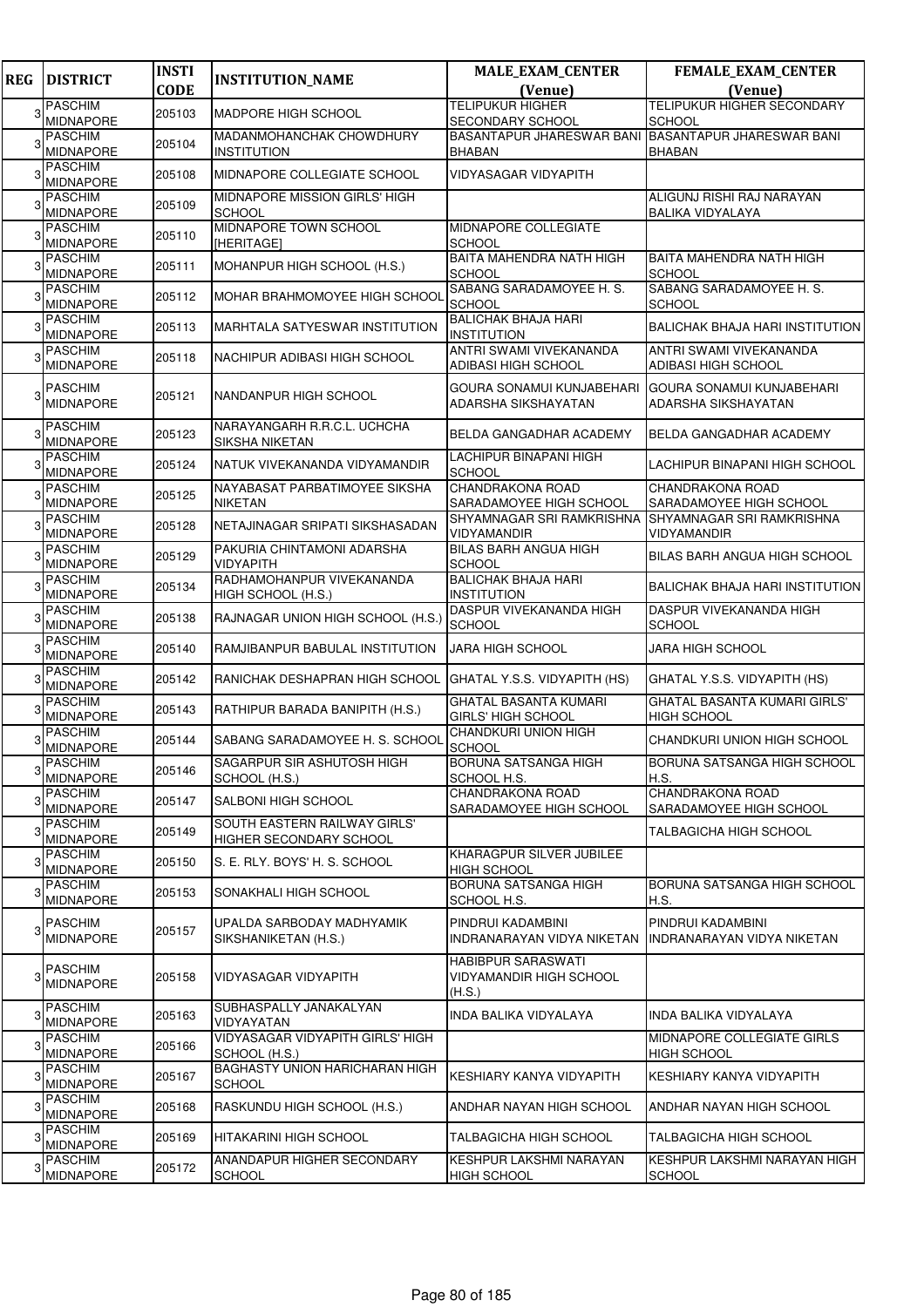| <b>REG</b> | <b>DISTRICT</b>                    | <b>INSTI</b> | <b>INSTITUTION_NAME</b>                                  | <b>MALE_EXAM_CENTER</b>                                       | <b>FEMALE_EXAM_CENTER</b>                                      |
|------------|------------------------------------|--------------|----------------------------------------------------------|---------------------------------------------------------------|----------------------------------------------------------------|
|            |                                    | <b>CODE</b>  |                                                          | (Venue)                                                       | (Venue)                                                        |
|            | <b>PASCHIM</b><br><b>MIDNAPORE</b> | 205103       | <b>MADPORE HIGH SCHOOL</b>                               | <b>TELIPUKUR HIGHER</b><br>SECONDARY SCHOOL                   | <b>TELIPUKUR HIGHER SECONDARY</b><br><b>SCHOOL</b>             |
|            | <b>PASCHIM</b><br><b>MIDNAPORE</b> | 205104       | MADANMOHANCHAK CHOWDHURY<br><b>INSTITUTION</b>           | BASANTAPUR JHARESWAR BANI BASANTAPUR JHARESWAR BANI<br>BHABAN | <b>BHABAN</b>                                                  |
| 3          | <b>PASCHIM</b><br><b>MIDNAPORE</b> | 205108       | MIDNAPORE COLLEGIATE SCHOOL                              | VIDYASAGAR VIDYAPITH                                          |                                                                |
|            | <b>PASCHIM</b><br><b>MIDNAPORE</b> | 205109       | MIDNAPORE MISSION GIRLS' HIGH<br><b>SCHOOL</b>           |                                                               | ALIGUNJ RISHI RAJ NARAYAN                                      |
|            | <b>PASCHIM</b><br><b>MIDNAPORE</b> | 205110       | MIDNAPORE TOWN SCHOOL<br>[HERITAGE]                      | MIDNAPORE COLLEGIATE<br>SCHOOL                                | <b>BALIKA VIDYALAYA</b>                                        |
|            | <b>PASCHIM</b><br><b>MIDNAPORE</b> | 205111       | MOHANPUR HIGH SCHOOL (H.S.)                              | BAITA MAHENDRA NATH HIGH<br><b>SCHOOL</b>                     | BAITA MAHENDRA NATH HIGH<br><b>SCHOOL</b>                      |
|            | <b>PASCHIM</b><br><b>MIDNAPORE</b> | 205112       | MOHAR BRAHMOMOYEE HIGH SCHOOL                            | SABANG SARADAMOYEE H. S.<br><b>SCHOOL</b>                     | SABANG SARADAMOYEE H. S.<br><b>SCHOOL</b>                      |
|            | <b>PASCHIM</b><br><b>MIDNAPORE</b> | 205113       | <b>MARHTALA SATYESWAR INSTITUTION</b>                    | <b>BALICHAK BHAJA HARI</b><br><b>INSTITUTION</b>              | <b>BALICHAK BHAJA HARI INSTITUTION</b>                         |
|            | <b>PASCHIM</b><br><b>MIDNAPORE</b> | 205118       | NACHIPUR ADIBASI HIGH SCHOOL                             | <b>ANTRI SWAMI VIVEKANANDA</b><br>ADIBASI HIGH SCHOOL         | ANTRI SWAMI VIVEKANANDA<br>ADIBASI HIGH SCHOOL                 |
|            | <b>PASCHIM</b><br>MIDNAPORE        | 205121       | NANDANPUR HIGH SCHOOL                                    | GOURA SONAMUI KUNJABEHARI<br>ADARSHA SIKSHAYATAN              | <b>GOURA SONAMUI KUNJABEHARI</b><br><b>ADARSHA SIKSHAYATAN</b> |
|            | <b>PASCHIM</b><br>MIDNAPORE        | 205123       | NARAYANGARH R.R.C.L. UCHCHA<br>SIKSHA NIKETAN            | BELDA GANGADHAR ACADEMY                                       | BELDA GANGADHAR ACADEMY                                        |
|            | <b>PASCHIM</b><br><b>MIDNAPORE</b> | 205124       | NATUK VIVEKANANDA VIDYAMANDIR                            | LACHIPUR BINAPANI HIGH<br><b>SCHOOL</b>                       | LACHIPUR BINAPANI HIGH SCHOOL                                  |
|            | <b>PASCHIM</b><br>MIDNAPORE        | 205125       | NAYABASAT PARBATIMOYEE SIKSHA<br><b>NIKETAN</b>          | CHANDRAKONA ROAD<br>SARADAMOYEE HIGH SCHOOL                   | <b>CHANDRAKONA ROAD</b><br>SARADAMOYEE HIGH SCHOOL             |
|            | <b>PASCHIM</b><br><b>MIDNAPORE</b> | 205128       | NETAJINAGAR SRIPATI SIKSHASADAN                          | SHYAMNAGAR SRI RAMKRISHNA<br>VIDYAMANDIR                      | SHYAMNAGAR SRI RAMKRISHNA<br>VIDYAMANDIR                       |
|            | <b>PASCHIM</b><br><b>MIDNAPORE</b> | 205129       | PAKURIA CHINTAMONI ADARSHA<br>VIDYAPITH                  | <b>BILAS BARH ANGUA HIGH</b><br><b>SCHOOL</b>                 | <b>BILAS BARH ANGUA HIGH SCHOOL</b>                            |
|            | <b>PASCHIM</b><br><b>MIDNAPORE</b> | 205134       | RADHAMOHANPUR VIVEKANANDA<br>HIGH SCHOOL (H.S.)          | <b>BALICHAK BHAJA HARI</b><br><b>INSTITUTION</b>              | <b>BALICHAK BHAJA HARI INSTITUTION</b>                         |
|            | <b>PASCHIM</b><br><b>MIDNAPORE</b> | 205138       | RAJNAGAR UNION HIGH SCHOOL (H.S.)                        | DASPUR VIVEKANANDA HIGH<br><b>SCHOOL</b>                      | DASPUR VIVEKANANDA HIGH<br><b>SCHOOL</b>                       |
|            | PASCHIM<br><b>MIDNAPORE</b>        | 205140       | RAMJIBANPUR BABULAL INSTITUTION                          | JARA HIGH SCHOOL                                              | <b>JARA HIGH SCHOOL</b>                                        |
|            | <b>PASCHIM</b><br><b>MIDNAPORE</b> | 205142       | RANICHAK DESHAPRAN HIGH SCHOOL                           | GHATAL Y.S.S. VIDYAPITH (HS)                                  | GHATAL Y.S.S. VIDYAPITH (HS)                                   |
|            | <b>PASCHIM</b><br>MIDNAPORE        | 205143       | RATHIPUR BARADA BANIPITH (H.S.)                          | <b>GHATAL BASANTA KUMARI</b><br><b>GIRLS' HIGH SCHOOL</b>     | <b>GHATAL BASANTA KUMARI GIRLS'</b><br><b>HIGH SCHOOL</b>      |
|            | <b>PASCHIM</b><br>MIDNAPORE        | 205144       | SABANG SARADAMOYEE H. S. SCHOOL                          | <b>CHANDKURI UNION HIGH</b><br><b>SCHOOL</b>                  | CHANDKURI UNION HIGH SCHOOL                                    |
|            | <b>PASCHIM</b><br>MIDNAPORE        | 205146       | SAGARPUR SIR ASHUTOSH HIGH<br>SCHOOL (H.S.)              | BORUNA SATSANGA HIGH<br>SCHOOL H.S.                           | BORUNA SATSANGA HIGH SCHOOL<br>H.S.                            |
| 3          | <b>PASCHIM</b><br>MIDNAPORE        | 205147       | SALBONI HIGH SCHOOL                                      | CHANDRAKONA ROAD<br>SARADAMOYEE HIGH SCHOOL                   | <b>CHANDRAKONA ROAD</b><br>SARADAMOYEE HIGH SCHOOL             |
| 3          | <b>PASCHIM</b><br><b>MIDNAPORE</b> | 205149       | SOUTH EASTERN RAILWAY GIRLS'<br>HIGHER SECONDARY SCHOOL  |                                                               | <b>TALBAGICHA HIGH SCHOOL</b>                                  |
|            | <b>PASCHIM</b><br><b>MIDNAPORE</b> | 205150       | S. E. RLY. BOYS' H. S. SCHOOL                            | KHARAGPUR SILVER JUBILEE<br>HIGH SCHOOL                       |                                                                |
| 3          | <b>PASCHIM</b><br><b>MIDNAPORE</b> | 205153       | SONAKHALI HIGH SCHOOL                                    | BORUNA SATSANGA HIGH<br>SCHOOL H.S.                           | BORUNA SATSANGA HIGH SCHOOL<br>H.S.                            |
|            | <b>PASCHIM</b><br>MIDNAPORE        | 205157       | UPALDA SARBODAY MADHYAMIK<br>SIKSHANIKETAN (H.S.)        | PINDRUI KADAMBINI<br>INDRANARAYAN VIDYA NIKETAN               | PINDRUI KADAMBINI<br><b>INDRANARAYAN VIDYA NIKETAN</b>         |
| 3          | <b>PASCHIM</b><br><b>MIDNAPORE</b> | 205158       | VIDYASAGAR VIDYAPITH                                     | HABIBPUR SARASWATI<br>VIDYAMANDIR HIGH SCHOOL<br>(H.S.)       |                                                                |
| 3          | <b>PASCHIM</b><br><b>MIDNAPORE</b> | 205163       | SUBHASPALLY JANAKALYAN<br>VIDYAYATAN                     | INDA BALIKA VIDYALAYA                                         | INDA BALIKA VIDYALAYA                                          |
|            | <b>PASCHIM</b><br><b>MIDNAPORE</b> | 205166       | <b>VIDYASAGAR VIDYAPITH GIRLS' HIGH</b><br>SCHOOL (H.S.) |                                                               | MIDNAPORE COLLEGIATE GIRLS<br><b>HIGH SCHOOL</b>               |
| 3          | <b>PASCHIM</b><br><b>MIDNAPORE</b> | 205167       | <b>BAGHASTY UNION HARICHARAN HIGH</b><br><b>SCHOOL</b>   | KESHIARY KANYA VIDYAPITH                                      | KESHIARY KANYA VIDYAPITH                                       |
| 3          | <b>PASCHIM</b><br>MIDNAPORE        | 205168       | RASKUNDU HIGH SCHOOL (H.S.)                              | ANDHAR NAYAN HIGH SCHOOL                                      | ANDHAR NAYAN HIGH SCHOOL                                       |
|            | <b>PASCHIM</b><br><b>MIDNAPORE</b> | 205169       | HITAKARINI HIGH SCHOOL                                   | TALBAGICHA HIGH SCHOOL                                        | <b>TALBAGICHA HIGH SCHOOL</b>                                  |
| 3          | <b>PASCHIM</b><br>MIDNAPORE        | 205172       | ANANDAPUR HIGHER SECONDARY<br><b>SCHOOL</b>              | KESHPUR LAKSHMI NARAYAN<br><b>HIGH SCHOOL</b>                 | KESHPUR LAKSHMI NARAYAN HIGH<br><b>SCHOOL</b>                  |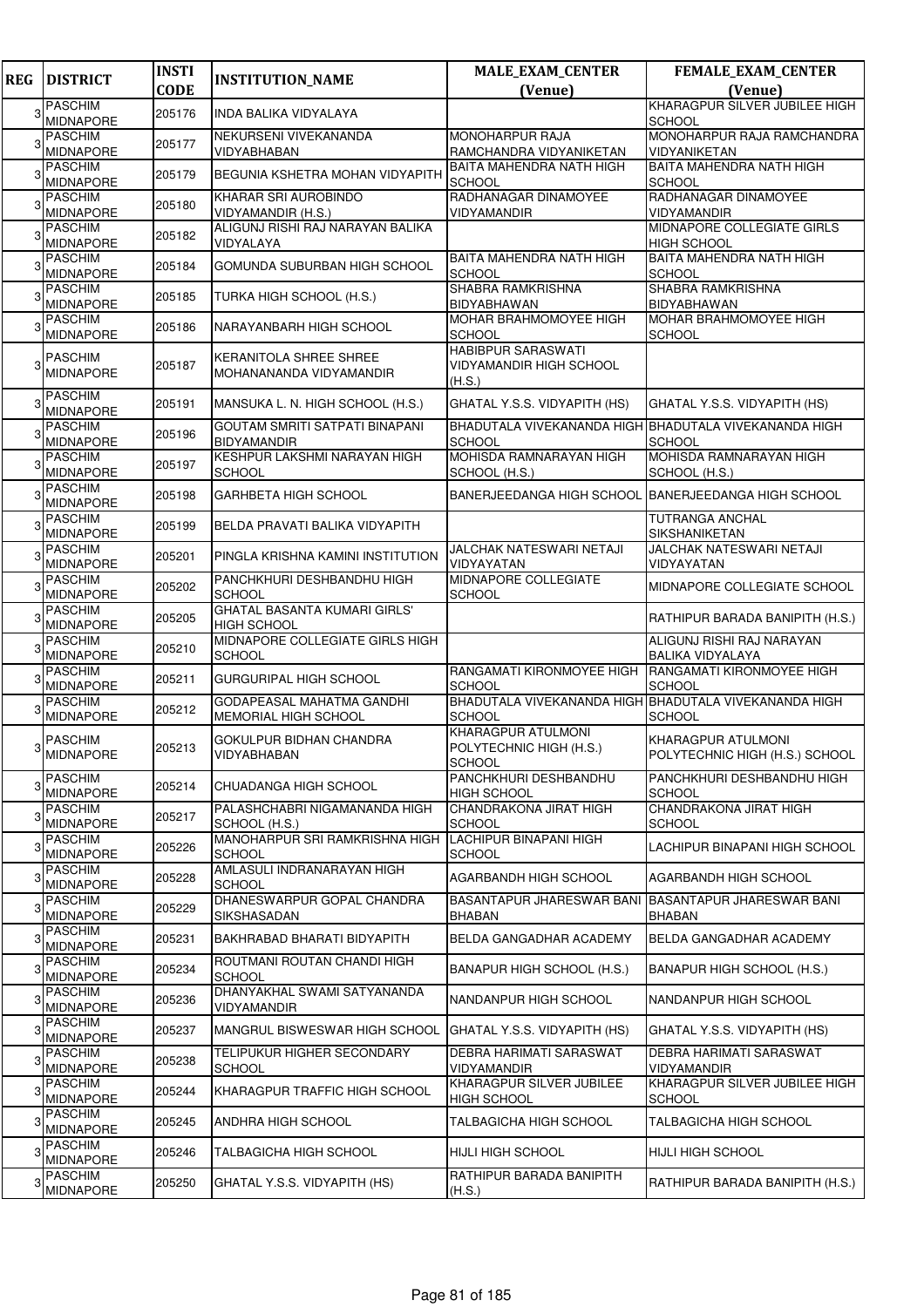| <b>REG</b> | <b>DISTRICT</b>                    | <b>INSTI</b> | <b>INSTITUTION_NAME</b>                                | <b>MALE_EXAM_CENTER</b>                             | <b>FEMALE_EXAM_CENTER</b>                                              |
|------------|------------------------------------|--------------|--------------------------------------------------------|-----------------------------------------------------|------------------------------------------------------------------------|
|            |                                    | <b>CODE</b>  |                                                        | (Venue)                                             | (Venue)                                                                |
|            | <b>PASCHIM</b><br><b>MIDNAPORE</b> | 205176       | INDA BALIKA VIDYALAYA                                  |                                                     | KHARAGPUR SILVER JUBILEE HIGH<br><b>SCHOOL</b>                         |
|            | <b>PASCHIM</b>                     |              | NEKURSENI VIVEKANANDA                                  | MONOHARPUR RAJA                                     | MONOHARPUR RAJA RAMCHANDRA                                             |
|            | <b>MIDNAPORE</b>                   | 205177       | VIDYABHABAN                                            | RAMCHANDRA VIDYANIKETAN                             | VIDYANIKETAN                                                           |
| 3          | <b>PASCHIM</b><br><b>MIDNAPORE</b> | 205179       | BEGUNIA KSHETRA MOHAN VIDYAPITH                        | BAITA MAHENDRA NATH HIGH<br><b>SCHOOL</b>           | <b>BAITA MAHENDRA NATH HIGH</b><br><b>SCHOOL</b>                       |
|            | <b>PASCHIM</b>                     | 205180       | KHARAR SRI AUROBINDO                                   | RADHANAGAR DINAMOYEE                                | RADHANAGAR DINAMOYEE                                                   |
|            | <b>MIDNAPORE</b><br><b>PASCHIM</b> |              | VIDYAMANDIR (H.S.)<br>ALIGUNJ RISHI RAJ NARAYAN BALIKA | VIDYAMANDIR                                         | <b>VIDYAMANDIR</b><br>MIDNAPORE COLLEGIATE GIRLS                       |
|            | MIDNAPORE                          | 205182       | VIDYALAYA                                              |                                                     | <b>HIGH SCHOOL</b>                                                     |
|            | <b>PASCHIM</b><br><b>MIDNAPORE</b> | 205184       | GOMUNDA SUBURBAN HIGH SCHOOL                           | BAITA MAHENDRA NATH HIGH<br><b>SCHOOL</b>           | <b>BAITA MAHENDRA NATH HIGH</b><br><b>SCHOOL</b>                       |
|            | <b>PASCHIM</b><br><b>MIDNAPORE</b> | 205185       | TURKA HIGH SCHOOL (H.S.)                               | SHABRA RAMKRISHNA<br>BIDYABHAWAN                    | SHABRA RAMKRISHNA<br><b>BIDYABHAWAN</b>                                |
|            | <b>PASCHIM</b><br>MIDNAPORE        | 205186       | NARAYANBARH HIGH SCHOOL                                | MOHAR BRAHMOMOYEE HIGH<br><b>SCHOOL</b>             | MOHAR BRAHMOMOYEE HIGH<br><b>SCHOOL</b>                                |
|            | <b>PASCHIM</b>                     |              | <b>KERANITOLA SHREE SHREE</b>                          | HABIBPUR SARASWATI                                  |                                                                        |
|            | MIDNAPORE                          | 205187       | MOHANANANDA VIDYAMANDIR                                | VIDYAMANDIR HIGH SCHOOL<br>(H.S.)                   |                                                                        |
|            | <b>PASCHIM</b><br><b>MIDNAPORE</b> | 205191       | MANSUKA L. N. HIGH SCHOOL (H.S.)                       | GHATAL Y.S.S. VIDYAPITH (HS)                        | GHATAL Y.S.S. VIDYAPITH (HS)                                           |
|            | <b>PASCHIM</b>                     | 205196       | GOUTAM SMRITI SATPATI BINAPANI                         |                                                     | BHADUTALA VIVEKANANDA HIGH BHADUTALA VIVEKANANDA HIGH                  |
|            | <b>MIDNAPORE</b><br><b>PASCHIM</b> |              | <b>BIDYAMANDIR</b><br>KESHPUR LAKSHMI NARAYAN HIGH     | <b>SCHOOL</b><br>MOHISDA RAMNARAYAN HIGH            | <b>SCHOOL</b><br>MOHISDA RAMNARAYAN HIGH                               |
|            | <b>MIDNAPORE</b>                   | 205197       | <b>SCHOOL</b>                                          | SCHOOL (H.S.)                                       | SCHOOL (H.S.)                                                          |
|            | <b>PASCHIM</b><br>MIDNAPORE        | 205198       | <b>GARHBETA HIGH SCHOOL</b>                            | BANERJEEDANGA HIGH SCHOOL BANERJEEDANGA HIGH SCHOOL |                                                                        |
|            | <b>PASCHIM</b><br><b>MIDNAPORE</b> | 205199       | BELDA PRAVATI BALIKA VIDYAPITH                         |                                                     | <b>TUTRANGA ANCHAL</b><br>SIKSHANIKETAN                                |
|            | <b>PASCHIM</b><br><b>MIDNAPORE</b> | 205201       | PINGLA KRISHNA KAMINI INSTITUTION                      | JALCHAK NATESWARI NETAJI<br>VIDYAYATAN              | JALCHAK NATESWARI NETAJI<br>VIDYAYATAN                                 |
|            | <b>PASCHIM</b>                     | 205202       | PANCHKHURI DESHBANDHU HIGH                             | MIDNAPORE COLLEGIATE                                | MIDNAPORE COLLEGIATE SCHOOL                                            |
|            | <b>MIDNAPORE</b><br><b>PASCHIM</b> |              | <b>SCHOOL</b><br><b>GHATAL BASANTA KUMARI GIRLS'</b>   | <b>SCHOOL</b>                                       |                                                                        |
|            | <b>MIDNAPORE</b>                   | 205205       | HIGH SCHOOL                                            |                                                     | RATHIPUR BARADA BANIPITH (H.S.)                                        |
|            | PASCHIM<br><b>MIDNAPORE</b>        | 205210       | MIDNAPORE COLLEGIATE GIRLS HIGH<br><b>SCHOOL</b>       |                                                     | ALIGUNJ RISHI RAJ NARAYAN<br><b>BALIKA VIDYALAYA</b>                   |
|            | <b>PASCHIM</b><br><b>MIDNAPORE</b> | 205211       | <b>GURGURIPAL HIGH SCHOOL</b>                          | RANGAMATI KIRONMOYEE HIGH<br>SCHOOL                 | RANGAMATI KIRONMOYEE HIGH<br><b>SCHOOL</b>                             |
|            | <b>PASCHIM</b><br>MIDNAPORE        | 205212       | GODAPEASAL MAHATMA GANDHI<br>MEMORIAL HIGH SCHOOL      | <b>SCHOOL</b>                                       | BHADUTALA VIVEKANANDA HIGH BHADUTALA VIVEKANANDA HIGH<br><b>SCHOOL</b> |
|            | <b>PASCHIM</b>                     |              | GOKULPUR BIDHAN CHANDRA                                | KHARAGPUR ATULMONI                                  | <b>KHARAGPUR ATULMONI</b>                                              |
|            | <b>MIDNAPORE</b>                   | 205213       | VIDYABHABAN                                            | POLYTECHNIC HIGH (H.S.)<br><b>SCHOOL</b>            | POLYTECHNIC HIGH (H.S.) SCHOOL                                         |
|            | <b>PASCHIM</b><br>MIDNAPORE        | 205214       | CHUADANGA HIGH SCHOOL                                  | PANCHKHURI DESHBANDHU<br>HIGH SCHOOL                | PANCHKHURI DESHBANDHU HIGH<br><b>SCHOOL</b>                            |
|            | <b>PASCHIM</b>                     | 205217       | PALASHCHABRI NIGAMANANDA HIGH                          | CHANDRAKONA JIRAT HIGH                              | CHANDRAKONA JIRAT HIGH                                                 |
|            | MIDNAPORE<br><b>PASCHIM</b>        |              | SCHOOL (H.S.)<br>MANOHARPUR SRI RAMKRISHNA HIGH        | <b>SCHOOL</b><br>LACHIPUR BINAPANI HIGH             | <b>SCHOOL</b>                                                          |
|            | <b>MIDNAPORE</b>                   | 205226       | <b>SCHOOL</b>                                          | <b>SCHOOL</b>                                       | LACHIPUR BINAPANI HIGH SCHOOL                                          |
|            | <b>PASCHIM</b><br>MIDNAPORE        | 205228       | AMLASULI INDRANARAYAN HIGH<br><b>SCHOOL</b>            | AGARBANDH HIGH SCHOOL                               | AGARBANDH HIGH SCHOOL                                                  |
| 3          | <b>PASCHIM</b><br><b>MIDNAPORE</b> | 205229       | DHANESWARPUR GOPAL CHANDRA<br>SIKSHASADAN              | BASANTAPUR JHARESWAR BANI<br><b>BHABAN</b>          | BASANTAPUR JHARESWAR BANI<br><b>BHABAN</b>                             |
|            | <b>PASCHIM</b><br>MIDNAPORE        | 205231       | BAKHRABAD BHARATI BIDYAPITH                            | BELDA GANGADHAR ACADEMY                             | BELDA GANGADHAR ACADEMY                                                |
|            | <b>PASCHIM</b><br><b>MIDNAPORE</b> | 205234       | ROUTMANI ROUTAN CHANDI HIGH<br><b>SCHOOL</b>           | BANAPUR HIGH SCHOOL (H.S.)                          | BANAPUR HIGH SCHOOL (H.S.)                                             |
|            | <b>PASCHIM</b>                     | 205236       | DHANYAKHAL SWAMI SATYANANDA                            | NANDANPUR HIGH SCHOOL                               | NANDANPUR HIGH SCHOOL                                                  |
|            | <b>MIDNAPORE</b><br><b>PASCHIM</b> | 205237       | VIDYAMANDIR<br>MANGRUL BISWESWAR HIGH SCHOOL           | GHATAL Y.S.S. VIDYAPITH (HS)                        | GHATAL Y.S.S. VIDYAPITH (HS)                                           |
| 3          | <b>MIDNAPORE</b><br><b>PASCHIM</b> | 205238       | TELIPUKUR HIGHER SECONDARY                             | DEBRA HARIMATI SARASWAT                             | DEBRA HARIMATI SARASWAT                                                |
|            | MIDNAPORE<br>PASCHIM               |              | <b>SCHOOL</b>                                          | VIDYAMANDIR<br>KHARAGPUR SILVER JUBILEE             | <b>VIDYAMANDIR</b><br>KHARAGPUR SILVER JUBILEE HIGH                    |
|            | <b>MIDNAPORE</b><br><b>PASCHIM</b> | 205244       | KHARAGPUR TRAFFIC HIGH SCHOOL                          | <b>HIGH SCHOOL</b>                                  | <b>SCHOOL</b>                                                          |
| з          | <b>MIDNAPORE</b>                   | 205245       | ANDHRA HIGH SCHOOL                                     | TALBAGICHA HIGH SCHOOL                              | <b>TALBAGICHA HIGH SCHOOL</b>                                          |
| 3          | <b>PASCHIM</b><br>MIDNAPORE        | 205246       | TALBAGICHA HIGH SCHOOL                                 | <b>HIJLI HIGH SCHOOL</b>                            | <b>HIJLI HIGH SCHOOL</b>                                               |
|            | <b>PASCHIM</b><br>MIDNAPORE        | 205250       | GHATAL Y.S.S. VIDYAPITH (HS)                           | RATHIPUR BARADA BANIPITH<br>(H.S.)                  | RATHIPUR BARADA BANIPITH (H.S.)                                        |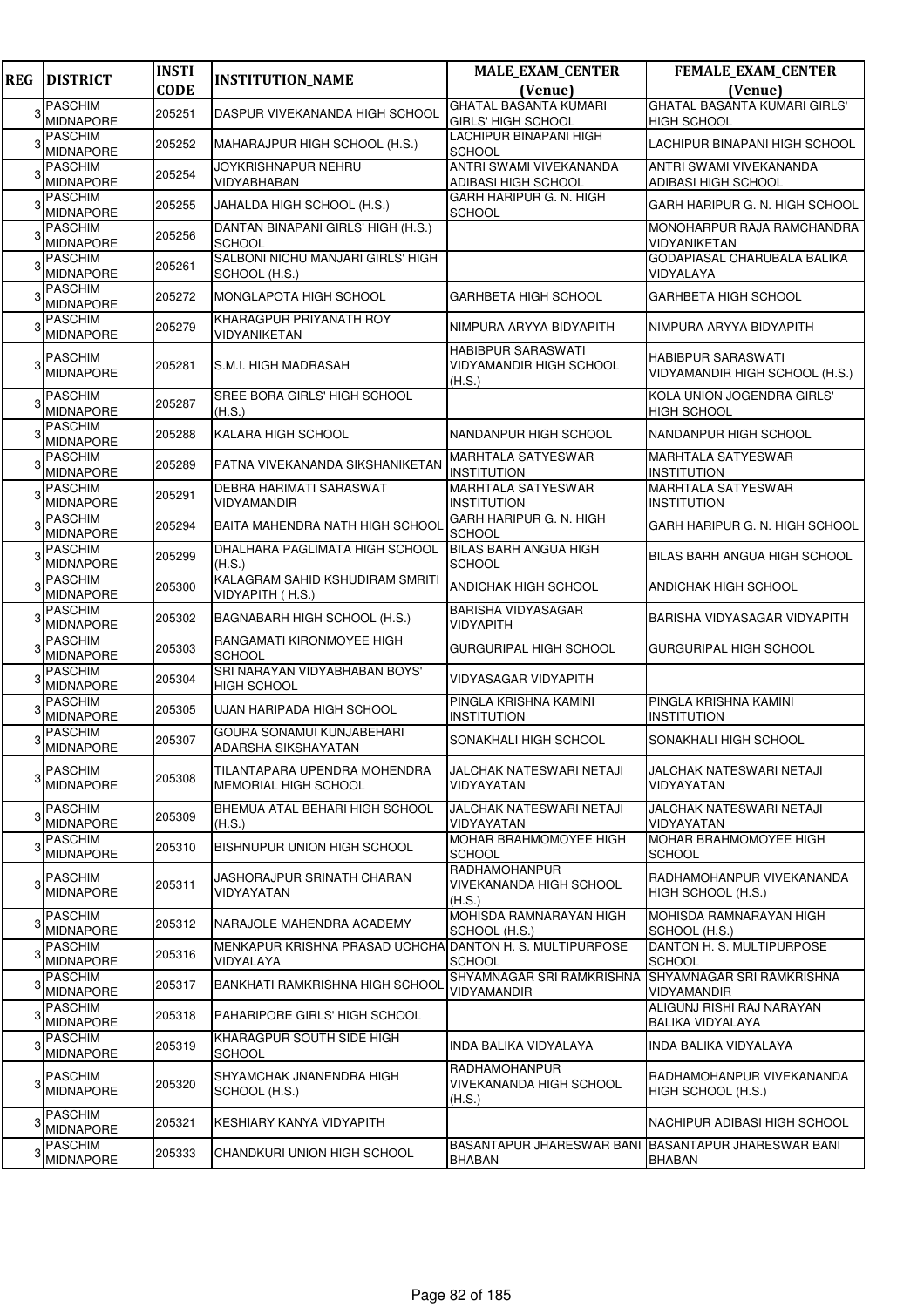| <b>REG</b> | <b>DISTRICT</b>                    | <b>INSTI</b> | <b>INSTITUTION_NAME</b>                                  | <b>MALE_EXAM_CENTER</b>                                       | <b>FEMALE_EXAM_CENTER</b>                            |
|------------|------------------------------------|--------------|----------------------------------------------------------|---------------------------------------------------------------|------------------------------------------------------|
|            |                                    | <b>CODE</b>  |                                                          | (Venue)                                                       | (Venue)                                              |
| 3          | <b>PASCHIM</b>                     | 205251       | DASPUR VIVEKANANDA HIGH SCHOOL                           | <b>GHATAL BASANTA KUMARI</b>                                  | <b>GHATAL BASANTA KUMARI GIRLS'</b>                  |
|            | <b>MIDNAPORE</b>                   |              |                                                          | <b>GIRLS' HIGH SCHOOL</b><br>LACHIPUR BINAPANI HIGH           | <b>HIGH SCHOOL</b>                                   |
|            | <b>PASCHIM</b><br><b>MIDNAPORE</b> | 205252       | MAHARAJPUR HIGH SCHOOL (H.S.)                            | <b>SCHOOL</b>                                                 | LACHIPUR BINAPANI HIGH SCHOOL                        |
|            | <b>PASCHIM</b>                     |              | <b>JOYKRISHNAPUR NEHRU</b>                               | ANTRI SWAMI VIVEKANANDA                                       | ANTRI SWAMI VIVEKANANDA                              |
|            | <b>MIDNAPORE</b>                   | 205254       | VIDYABHABAN                                              | ADIBASI HIGH SCHOOL                                           | ADIBASI HIGH SCHOOL                                  |
|            | <b>PASCHIM</b>                     | 205255       | JAHALDA HIGH SCHOOL (H.S.)                               | GARH HARIPUR G. N. HIGH                                       | GARH HARIPUR G. N. HIGH SCHOOL                       |
|            | <b>MIDNAPORE</b><br><b>PASCHIM</b> |              | DANTAN BINAPANI GIRLS' HIGH (H.S.)                       | <b>SCHOOL</b>                                                 | MONOHARPUR RAJA RAMCHANDRA                           |
|            | MIDNAPORE                          | 205256       | <b>SCHOOL</b>                                            |                                                               | VIDYANIKETAN                                         |
|            | <b>PASCHIM</b>                     | 205261       | SALBONI NICHU MANJARI GIRLS' HIGH                        |                                                               | GODAPIASAL CHARUBALA BALIKA                          |
|            | <b>MIDNAPORE</b>                   |              | SCHOOL (H.S.)                                            |                                                               | VIDYALAYA                                            |
|            | <b>PASCHIM</b><br>MIDNAPORE        | 205272       | MONGLAPOTA HIGH SCHOOL                                   | GARHBETA HIGH SCHOOL                                          | <b>GARHBETA HIGH SCHOOL</b>                          |
|            | <b>PASCHIM</b>                     |              | KHARAGPUR PRIYANATH ROY                                  |                                                               |                                                      |
|            | <b>MIDNAPORE</b>                   | 205279       | VIDYANIKETAN                                             | NIMPURA ARYYA BIDYAPITH                                       | NIMPURA ARYYA BIDYAPITH                              |
|            | <b>PASCHIM</b>                     |              |                                                          | <b>HABIBPUR SARASWATI</b>                                     | HABIBPUR SARASWATI                                   |
|            | <b>MIDNAPORE</b>                   | 205281       | S.M.I. HIGH MADRASAH                                     | <b>VIDYAMANDIR HIGH SCHOOL</b><br>(H.S.)                      | VIDYAMANDIR HIGH SCHOOL (H.S.)                       |
|            | <b>PASCHIM</b>                     |              | SREE BORA GIRLS' HIGH SCHOOL                             |                                                               | <b>KOLA UNION JOGENDRA GIRLS'</b>                    |
|            | <b>MIDNAPORE</b>                   | 205287       | (H.S.)                                                   |                                                               | <b>HIGH SCHOOL</b>                                   |
|            | <b>PASCHIM</b>                     | 205288       | KALARA HIGH SCHOOL                                       | NANDANPUR HIGH SCHOOL                                         | NANDANPUR HIGH SCHOOL                                |
|            | <b>MIDNAPORE</b><br><b>PASCHIM</b> |              |                                                          | <b>MARHTALA SATYESWAR</b>                                     | <b>MARHTALA SATYESWAR</b>                            |
|            | MIDNAPORE                          | 205289       | PATNA VIVEKANANDA SIKSHANIKETAN                          | <b>INSTITUTION</b>                                            | <b>INSTITUTION</b>                                   |
|            | <b>PASCHIM</b>                     | 205291       | DEBRA HARIMATI SARASWAT                                  | MARHTALA SATYESWAR                                            | <b>MARHTALA SATYESWAR</b>                            |
|            | <b>MIDNAPORE</b><br><b>PASCHIM</b> |              | VIDYAMANDIR                                              | <b>INSTITUTION</b><br>GARH HARIPUR G. N. HIGH                 | <b>INSTITUTION</b>                                   |
|            | <b>MIDNAPORE</b>                   | 205294       | BAITA MAHENDRA NATH HIGH SCHOOL                          | SCHOOL                                                        | GARH HARIPUR G. N. HIGH SCHOOL                       |
|            | <b>PASCHIM</b>                     | 205299       | DHALHARA PAGLIMATA HIGH SCHOOL                           | <b>BILAS BARH ANGUA HIGH</b>                                  | BILAS BARH ANGUA HIGH SCHOOL                         |
|            | <b>MIDNAPORE</b>                   |              | (H.S.)                                                   | <b>SCHOOL</b>                                                 |                                                      |
|            | <b>PASCHIM</b><br><b>MIDNAPORE</b> | 205300       | KALAGRAM SAHID KSHUDIRAM SMRITI<br>VIDYAPITH (H.S.)      | ANDICHAK HIGH SCHOOL                                          | <b>ANDICHAK HIGH SCHOOL</b>                          |
|            | <b>PASCHIM</b>                     |              |                                                          | BARISHA VIDYASAGAR                                            |                                                      |
|            | <b>MIDNAPORE</b>                   | 205302       | BAGNABARH HIGH SCHOOL (H.S.)                             | VIDYAPITH                                                     | BARISHA VIDYASAGAR VIDYAPITH                         |
|            | PASCHIM<br><b>MIDNAPORE</b>        | 205303       | RANGAMATI KIRONMOYEE HIGH                                | GURGURIPAL HIGH SCHOOL                                        | <b>GURGURIPAL HIGH SCHOOL</b>                        |
|            | <b>PASCHIM</b>                     |              | <b>SCHOOL</b><br>SRI NARAYAN VIDYABHABAN BOYS'           |                                                               |                                                      |
|            | <b>MIDNAPORE</b>                   | 205304       | HIGH SCHOOL                                              | VIDYASAGAR VIDYAPITH                                          |                                                      |
|            | <b>PASCHIM</b>                     | 205305       | <b>UJAN HARIPADA HIGH SCHOOL</b>                         | PINGLA KRISHNA KAMINI                                         | PINGLA KRISHNA KAMINI                                |
|            | <b>MIDNAPORE</b><br>PASCHIM        |              | GOURA SONAMUI KUNJABEHARI                                | <b>INSTITUTION</b>                                            | <b>INSTITUTION</b>                                   |
|            | <b>MIDNAPORE</b>                   | 205307       | ADARSHA SIKSHAYATAN                                      | SONAKHALI HIGH SCHOOL                                         | SONAKHALI HIGH SCHOOL                                |
|            | <b>PASCHIM</b>                     |              | TILANTAPARA UPENDRA MOHENDRA                             | JALCHAK NATESWARI NETAJI                                      | <b>JALCHAK NATESWARI NETAJI</b>                      |
| 3          | <b>MIDNAPORE</b>                   | 205308       | <b>MEMORIAL HIGH SCHOOL</b>                              | VIDYAYATAN                                                    | VIDYAYATAN                                           |
|            | <b>PASCHIM</b>                     |              | BHEMUA ATAL BEHARI HIGH SCHOOL                           | JALCHAK NATESWARI NETAJI                                      | JALCHAK NATESWARI NETAJI                             |
| 3          | <b>MIDNAPORE</b>                   | 205309       | (H.S.)                                                   | VIDYAYATAN                                                    | VIDYAYATAN                                           |
| 3          | <b>PASCHIM</b>                     | 205310       | BISHNUPUR UNION HIGH SCHOOL                              | MOHAR BRAHMOMOYEE HIGH                                        | MOHAR BRAHMOMOYEE HIGH                               |
|            | <b>MIDNAPORE</b>                   |              |                                                          | <b>SCHOOL</b><br>RADHAMOHANPUR                                | <b>SCHOOL</b>                                        |
| 3          | <b>PASCHIM</b>                     | 205311       | JASHORAJPUR SRINATH CHARAN                               | VIVEKANANDA HIGH SCHOOL                                       | RADHAMOHANPUR VIVEKANANDA                            |
|            | <b>MIDNAPORE</b>                   |              | VIDYAYATAN                                               | (H.S.)                                                        | HIGH SCHOOL (H.S.)                                   |
| 3          | <b>PASCHIM</b>                     | 205312       | NARAJOLE MAHENDRA ACADEMY                                | MOHISDA RAMNARAYAN HIGH                                       | MOHISDA RAMNARAYAN HIGH                              |
|            | <b>MIDNAPORE</b><br><b>PASCHIM</b> |              | MENKAPUR KRISHNA PRASAD UCHCHA DANTON H. S. MULTIPURPOSE | SCHOOL (H.S.)                                                 | SCHOOL (H.S.)<br>DANTON H. S. MULTIPURPOSE           |
|            | MIDNAPORE                          | 205316       | VIDYALAYA                                                | <b>SCHOOL</b>                                                 | <b>SCHOOL</b>                                        |
| 3          | <b>PASCHIM</b>                     | 205317       | BANKHATI RAMKRISHNA HIGH SCHOOL                          | SHYAMNAGAR SRI RAMKRISHNA                                     | SHYAMNAGAR SRI RAMKRISHNA                            |
|            | MIDNAPORE                          |              |                                                          | VIDYAMANDIR                                                   | VIDYAMANDIR                                          |
| 3          | <b>PASCHIM</b><br><b>MIDNAPORE</b> | 205318       | PAHARIPORE GIRLS' HIGH SCHOOL                            |                                                               | ALIGUNJ RISHI RAJ NARAYAN<br><b>BALIKA VIDYALAYA</b> |
| 3          | <b>PASCHIM</b>                     | 205319       | KHARAGPUR SOUTH SIDE HIGH                                | INDA BALIKA VIDYALAYA                                         | INDA BALIKA VIDYALAYA                                |
|            | <b>MIDNAPORE</b>                   |              | <b>SCHOOL</b>                                            |                                                               |                                                      |
| 3          | <b>PASCHIM</b>                     | 205320       | SHYAMCHAK JNANENDRA HIGH                                 | RADHAMOHANPUR<br>VIVEKANANDA HIGH SCHOOL                      | RADHAMOHANPUR VIVEKANANDA                            |
|            | <b>MIDNAPORE</b>                   |              | SCHOOL (H.S.)                                            | (H.S.)                                                        | HIGH SCHOOL (H.S.)                                   |
| 3          | <b>PASCHIM</b>                     | 205321       | KESHIARY KANYA VIDYAPITH                                 |                                                               | NACHIPUR ADIBASI HIGH SCHOOL                         |
|            | <b>MIDNAPORE</b>                   |              |                                                          |                                                               |                                                      |
| 3          | <b>PASCHIM</b><br><b>MIDNAPORE</b> | 205333       | CHANDKURI UNION HIGH SCHOOL                              | BASANTAPUR JHARESWAR BANI BASANTAPUR JHARESWAR BANI<br>BHABAN | <b>BHABAN</b>                                        |
|            |                                    |              |                                                          |                                                               |                                                      |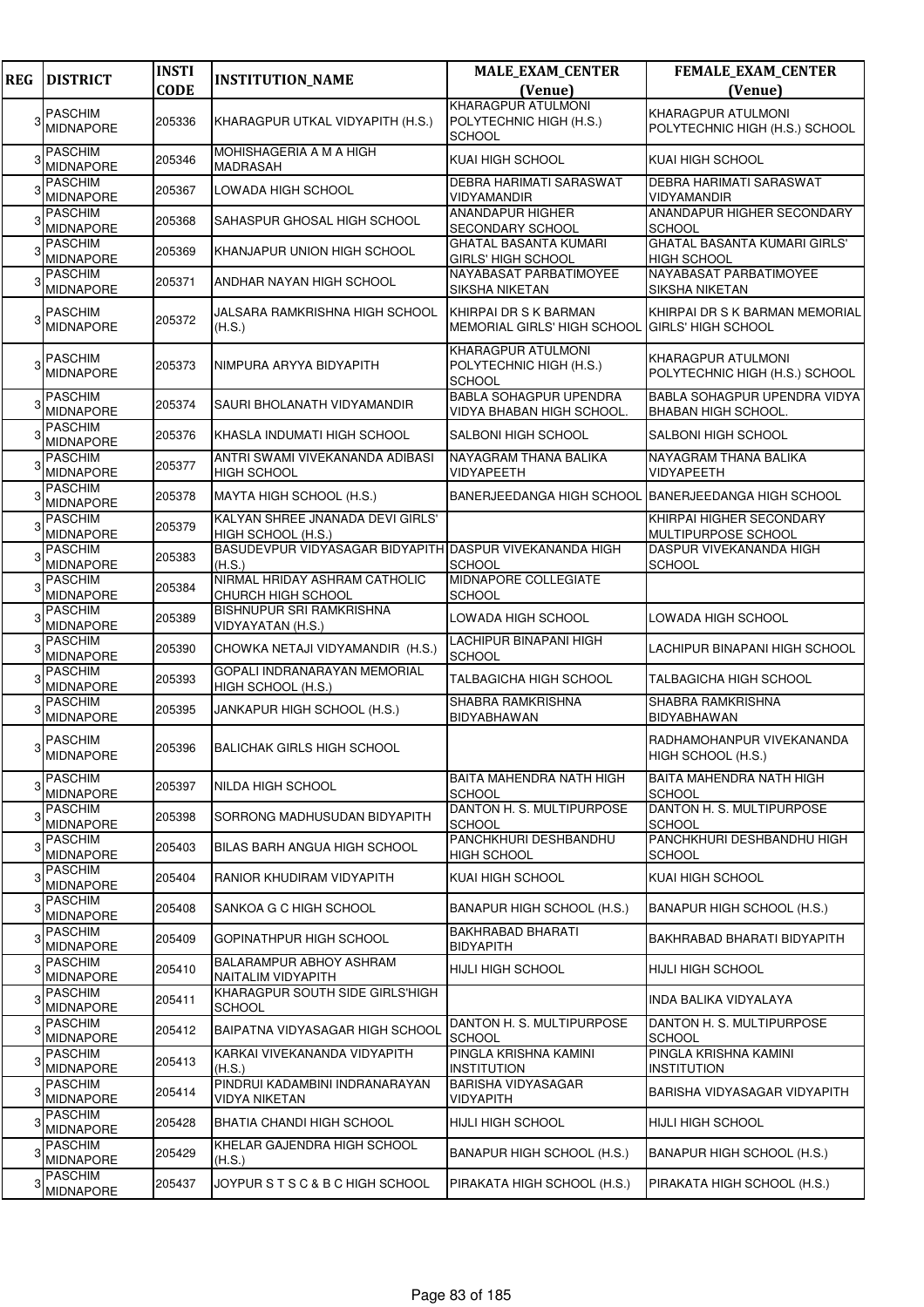| <b>REG</b> | <b>DISTRICT</b>                    | <b>INSTI</b> | <b>INSTITUTION_NAME</b>                                           | <b>MALE_EXAM_CENTER</b>                                                 | <b>FEMALE_EXAM_CENTER</b>                                  |
|------------|------------------------------------|--------------|-------------------------------------------------------------------|-------------------------------------------------------------------------|------------------------------------------------------------|
|            |                                    | <b>CODE</b>  |                                                                   | (Venue)<br><b>KHARAGPUR ATULMONI</b>                                    | (Venue)                                                    |
|            | <b>PASCHIM</b><br><b>MIDNAPORE</b> | 205336       | KHARAGPUR UTKAL VIDYAPITH (H.S.)                                  | POLYTECHNIC HIGH (H.S.)<br>SCHOOL                                       | KHARAGPUR ATULMONI<br>POLYTECHNIC HIGH (H.S.) SCHOOL       |
|            | <b>PASCHIM</b><br><b>MIDNAPORE</b> | 205346       | MOHISHAGERIA A M A HIGH<br>MADRASAH                               | KUAI HIGH SCHOOL                                                        | KUAI HIGH SCHOOL                                           |
|            | <b>PASCHIM</b><br><b>MIDNAPORE</b> | 205367       | LOWADA HIGH SCHOOL                                                | DEBRA HARIMATI SARASWAT<br>VIDYAMANDIR                                  | DEBRA HARIMATI SARASWAT<br><b>VIDYAMANDIR</b>              |
|            | PASCHIM<br>MIDNAPORE               | 205368       | SAHASPUR GHOSAL HIGH SCHOOL                                       | ANANDAPUR HIGHER<br>SECONDARY SCHOOL                                    | ANANDAPUR HIGHER SECONDARY<br><b>SCHOOL</b>                |
|            | <b>PASCHIM</b><br><b>MIDNAPORE</b> | 205369       | KHANJAPUR UNION HIGH SCHOOL                                       | GHATAL BASANTA KUMARI<br>GIRLS' HIGH SCHOOL                             | <b>GHATAL BASANTA KUMARI GIRLS'</b><br><b>HIGH SCHOOL</b>  |
|            | PASCHIM<br><b>MIDNAPORE</b>        | 205371       | ANDHAR NAYAN HIGH SCHOOL                                          | NAYABASAT PARBATIMOYEE<br>SIKSHA NIKETAN                                | NAYABASAT PARBATIMOYEE<br>SIKSHA NIKETAN                   |
|            | PASCHIM<br><b>MIDNAPORE</b>        | 205372       | JALSARA RAMKRISHNA HIGH SCHOOL<br>(H.S.)                          | KHIRPAI DR S K BARMAN<br>MEMORIAL GIRLS' HIGH SCHOOL GIRLS' HIGH SCHOOL | KHIRPAI DR S K BARMAN MEMORIAL                             |
|            | PASCHIM<br><b>MIDNAPORE</b>        | 205373       | NIMPURA ARYYA BIDYAPITH                                           | KHARAGPUR ATULMONI<br>POLYTECHNIC HIGH (H.S.)<br>SCHOOL                 | KHARAGPUR ATULMONI<br>POLYTECHNIC HIGH (H.S.) SCHOOL       |
|            | <b>PASCHIM</b><br><b>MIDNAPORE</b> | 205374       | SAURI BHOLANATH VIDYAMANDIR                                       | <b>BABLA SOHAGPUR UPENDRA</b><br>VIDYA BHABAN HIGH SCHOOL.              | BABLA SOHAGPUR UPENDRA VIDYA<br><b>BHABAN HIGH SCHOOL.</b> |
|            | PASCHIM<br>MIDNAPORE               | 205376       | KHASLA INDUMATI HIGH SCHOOL                                       | SALBONI HIGH SCHOOL                                                     | SALBONI HIGH SCHOOL                                        |
|            | PASCHIM<br><b>MIDNAPORE</b>        | 205377       | ANTRI SWAMI VIVEKANANDA ADIBASI<br><b>HIGH SCHOOL</b>             | NAYAGRAM THANA BALIKA<br>VIDYAPEETH                                     | NAYAGRAM THANA BALIKA<br>VIDYAPEETH                        |
|            | PASCHIM<br><b>MIDNAPORE</b>        | 205378       | MAYTA HIGH SCHOOL (H.S.)                                          | BANERJEEDANGA HIGH SCHOOL BANERJEEDANGA HIGH SCHOOL                     |                                                            |
|            | <b>PASCHIM</b><br><b>MIDNAPORE</b> | 205379       | KALYAN SHREE JNANADA DEVI GIRLS'<br>HIGH SCHOOL (H.S.)            |                                                                         | KHIRPAI HIGHER SECONDARY<br>MULTIPURPOSE SCHOOL            |
|            | <b>PASCHIM</b><br>MIDNAPORE        | 205383       | BASUDEVPUR VIDYASAGAR BIDYAPITH DASPUR VIVEKANANDA HIGH<br>(H.S.) | SCHOOL                                                                  | DASPUR VIVEKANANDA HIGH<br><b>SCHOOL</b>                   |
|            | PASCHIM<br><b>MIDNAPORE</b>        | 205384       | NIRMAL HRIDAY ASHRAM CATHOLIC<br>CHURCH HIGH SCHOOL               | MIDNAPORE COLLEGIATE<br>SCHOOL                                          |                                                            |
|            | <b>PASCHIM</b><br><b>MIDNAPORE</b> | 205389       | BISHNUPUR SRI RAMKRISHNA<br>VIDYAYATAN (H.S.)                     | LOWADA HIGH SCHOOL                                                      | LOWADA HIGH SCHOOL                                         |
|            | <b>PASCHIM</b><br><b>MIDNAPORE</b> | 205390       | CHOWKA NETAJI VIDYAMANDIR (H.S.)                                  | LACHIPUR BINAPANI HIGH<br><b>SCHOOL</b>                                 | LACHIPUR BINAPANI HIGH SCHOOL                              |
|            | <b>PASCHIM</b><br>MIDNAPORE        | 205393       | GOPALI INDRANARAYAN MEMORIAL<br>HIGH SCHOOL (H.S.)                | TALBAGICHA HIGH SCHOOL                                                  | TALBAGICHA HIGH SCHOOL                                     |
|            | <b>PASCHIM</b><br><b>MIDNAPORE</b> | 205395       | JANKAPUR HIGH SCHOOL (H.S.)                                       | SHABRA RAMKRISHNA<br>BIDYABHAWAN                                        | SHABRA RAMKRISHNA<br>BIDYABHAWAN                           |
| 3          | <b>PASCHIM</b><br>MIDNAPORE        | 205396       | <b>BALICHAK GIRLS HIGH SCHOOL</b>                                 |                                                                         | RADHAMOHANPUR VIVEKANANDA<br>HIGH SCHOOL (H.S.)            |
|            | PASCHIM<br>MIDNAPORE               | 205397       | NILDA HIGH SCHOOL                                                 | BAITA MAHENDRA NATH HIGH<br>SCHOOL                                      | BAITA MAHENDRA NATH HIGH<br><b>SCHOOL</b>                  |
|            | <b>PASCHIM</b><br><b>MIDNAPORE</b> | 205398       | SORRONG MADHUSUDAN BIDYAPITH                                      | DANTON H. S. MULTIPURPOSE<br>SCHOOL                                     | DANTON H. S. MULTIPURPOSE<br><b>SCHOOL</b>                 |
|            | PASCHIM<br>MIDNAPORE               | 205403       | BILAS BARH ANGUA HIGH SCHOOL                                      | PANCHKHURI DESHBANDHU<br>HIGH SCHOOL                                    | PANCHKHURI DESHBANDHU HIGH<br><b>SCHOOL</b>                |
|            | PASCHIM<br><b>MIDNAPORE</b>        | 205404       | RANIOR KHUDIRAM VIDYAPITH                                         | KUAI HIGH SCHOOL                                                        | KUAI HIGH SCHOOL                                           |
|            | <b>PASCHIM</b><br>MIDNAPORE        | 205408       | SANKOA G C HIGH SCHOOL                                            | BANAPUR HIGH SCHOOL (H.S.)                                              | BANAPUR HIGH SCHOOL (H.S.)                                 |
| 3          | <b>PASCHIM</b><br>MIDNAPORE        | 205409       | GOPINATHPUR HIGH SCHOOL                                           | BAKHRABAD BHARATI<br>BIDYAPITH                                          | BAKHRABAD BHARATI BIDYAPITH                                |
|            | <b>PASCHIM</b><br><b>MIDNAPORE</b> | 205410       | BALARAMPUR ABHOY ASHRAM<br>NAITALIM VIDYAPITH                     | HIJLI HIGH SCHOOL                                                       | HIJLI HIGH SCHOOL                                          |
|            | PASCHIM<br>MIDNAPORE               | 205411       | KHARAGPUR SOUTH SIDE GIRLS'HIGH<br><b>SCHOOL</b>                  |                                                                         | INDA BALIKA VIDYALAYA                                      |
|            | <b>PASCHIM</b><br>MIDNAPORE        | 205412       | BAIPATNA VIDYASAGAR HIGH SCHOOL                                   | DANTON H. S. MULTIPURPOSE<br><b>SCHOOL</b>                              | DANTON H. S. MULTIPURPOSE<br><b>SCHOOL</b>                 |
|            | <b>PASCHIM</b><br>MIDNAPORE        | 205413       | KARKAI VIVEKANANDA VIDYAPITH<br>(H.S.)                            | PINGLA KRISHNA KAMINI<br><b>INSTITUTION</b>                             | PINGLA KRISHNA KAMINI<br><b>INSTITUTION</b>                |
|            | <b>PASCHIM</b><br>MIDNAPORE        | 205414       | PINDRUI KADAMBINI INDRANARAYAN<br><b>VIDYA NIKETAN</b>            | <b>BARISHA VIDYASAGAR</b><br>VIDYAPITH                                  | BARISHA VIDYASAGAR VIDYAPITH                               |
|            | PASCHIM<br>MIDNAPORE               | 205428       | BHATIA CHANDI HIGH SCHOOL                                         | HIJLI HIGH SCHOOL                                                       | HIJLI HIGH SCHOOL                                          |
|            | <b>PASCHIM</b><br>MIDNAPORE        | 205429       | KHELAR GAJENDRA HIGH SCHOOL<br>(H.S.)                             | BANAPUR HIGH SCHOOL (H.S.)                                              | BANAPUR HIGH SCHOOL (H.S.)                                 |
|            | <b>PASCHIM</b><br>MIDNAPORE        | 205437       | JOYPUR STSC&BCHIGH SCHOOL                                         | PIRAKATA HIGH SCHOOL (H.S.)                                             | PIRAKATA HIGH SCHOOL (H.S.)                                |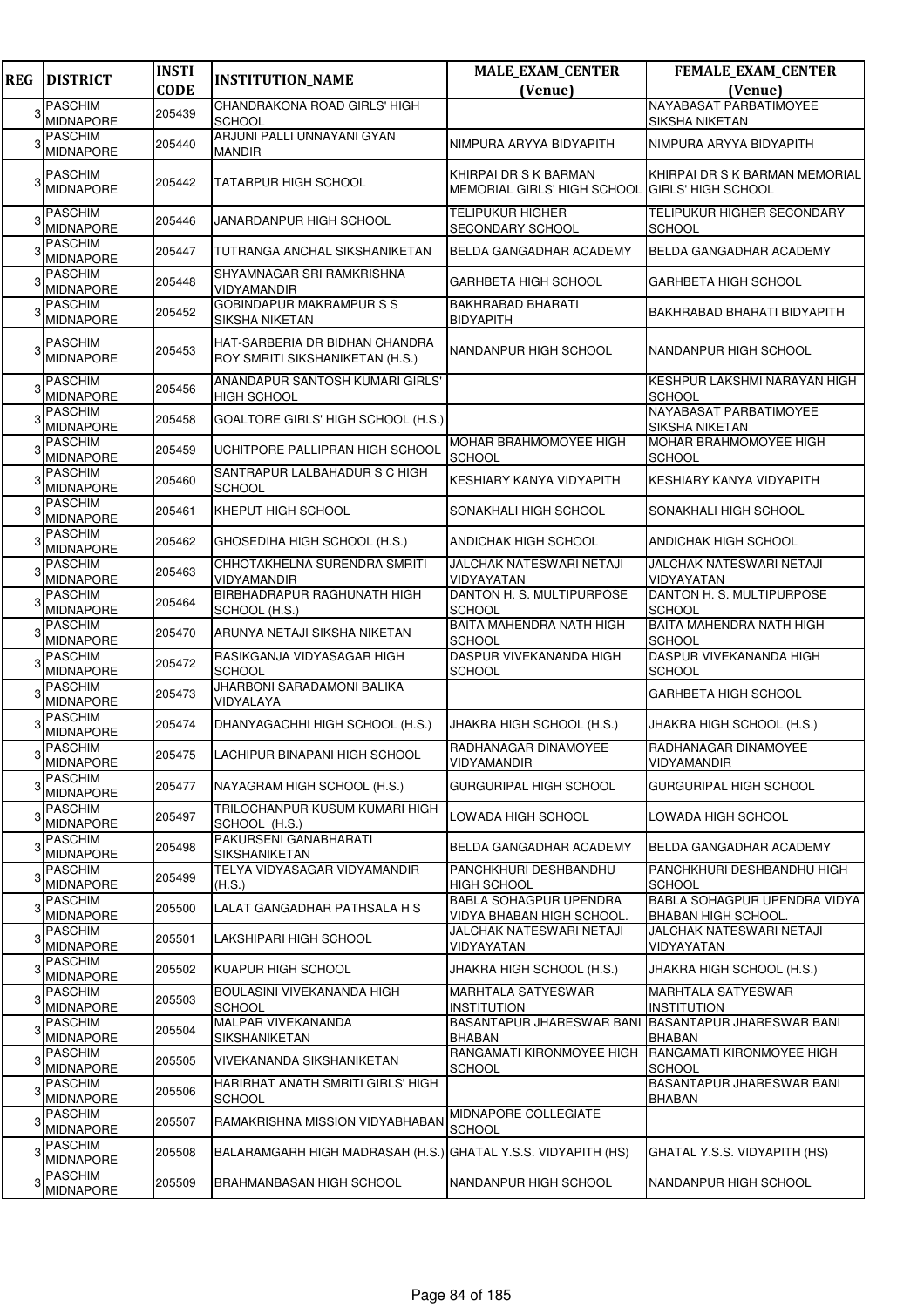| <b>REG</b> | <b>DISTRICT</b>                    | <b>INSTI</b> | <b>INSTITUTION_NAME</b>                                           | MALE_EXAM_CENTER                                            | FEMALE_EXAM_CENTER                                         |
|------------|------------------------------------|--------------|-------------------------------------------------------------------|-------------------------------------------------------------|------------------------------------------------------------|
|            |                                    | <b>CODE</b>  |                                                                   | (Venue)                                                     | (Venue)                                                    |
| 3          | <b>PASCHIM</b><br><b>MIDNAPORE</b> | 205439       | CHANDRAKONA ROAD GIRLS' HIGH<br><b>SCHOOL</b>                     |                                                             | NAYABASAT PARBATIMOYEE<br>SIKSHA NIKETAN                   |
|            | <b>PASCHIM</b><br>MIDNAPORE        | 205440       | ARJUNI PALLI UNNAYANI GYAN<br><b>MANDIR</b>                       | NIMPURA ARYYA BIDYAPITH                                     | NIMPURA ARYYA BIDYAPITH                                    |
|            | <b>PASCHIM</b><br><b>MIDNAPORE</b> | 205442       | TATARPUR HIGH SCHOOL                                              | KHIRPAI DR S K BARMAN<br><b>MEMORIAL GIRLS' HIGH SCHOOL</b> | KHIRPAI DR S K BARMAN MEMORIAL<br>IGIRLS' HIGH SCHOOL      |
| 3          | <b>PASCHIM</b><br><b>MIDNAPORE</b> | 205446       | JANARDANPUR HIGH SCHOOL                                           | TELIPUKUR HIGHER<br>SECONDARY SCHOOL                        | TELIPUKUR HIGHER SECONDARY<br><b>SCHOOL</b>                |
|            | <b>PASCHIM</b><br><b>MIDNAPORE</b> | 205447       | TUTRANGA ANCHAL SIKSHANIKETAN                                     | BELDA GANGADHAR ACADEMY                                     | BELDA GANGADHAR ACADEMY                                    |
|            | <b>PASCHIM</b><br><b>MIDNAPORE</b> | 205448       | SHYAMNAGAR SRI RAMKRISHNA<br><b>VIDYAMANDIR</b>                   | <b>GARHBETA HIGH SCHOOL</b>                                 | <b>GARHBETA HIGH SCHOOL</b>                                |
|            | <b>PASCHIM</b><br>MIDNAPORE        | 205452       | <b>GOBINDAPUR MAKRAMPUR S S</b><br><b>SIKSHA NIKETAN</b>          | <b>BAKHRABAD BHARATI</b><br><b>BIDYAPITH</b>                | BAKHRABAD BHARATI BIDYAPITH                                |
|            | <b>PASCHIM</b><br><b>MIDNAPORE</b> | 205453       | HAT-SARBERIA DR BIDHAN CHANDRA<br>ROY SMRITI SIKSHANIKETAN (H.S.) | NANDANPUR HIGH SCHOOL                                       | NANDANPUR HIGH SCHOOL                                      |
| 3          | <b>PASCHIM</b><br><b>MIDNAPORE</b> | 205456       | ANANDAPUR SANTOSH KUMARI GIRLS'<br><b>HIGH SCHOOL</b>             |                                                             | KESHPUR LAKSHMI NARAYAN HIGH<br><b>SCHOOL</b>              |
|            | <b>PASCHIM</b><br><b>MIDNAPORE</b> | 205458       | GOALTORE GIRLS' HIGH SCHOOL (H.S.)                                |                                                             | NAYABASAT PARBATIMOYEE<br><b>SIKSHA NIKETAN</b>            |
|            | <b>PASCHIM</b><br><b>MIDNAPORE</b> | 205459       | UCHITPORE PALLIPRAN HIGH SCHOOL                                   | MOHAR BRAHMOMOYEE HIGH<br><b>SCHOOL</b>                     | <b>MOHAR BRAHMOMOYEE HIGH</b><br><b>SCHOOL</b>             |
|            | <b>PASCHIM</b><br><b>MIDNAPORE</b> | 205460       | SANTRAPUR LALBAHADUR S C HIGH<br><b>SCHOOL</b>                    | KESHIARY KANYA VIDYAPITH                                    | KESHIARY KANYA VIDYAPITH                                   |
| 3          | <b>PASCHIM</b><br><b>MIDNAPORE</b> | 205461       | KHEPUT HIGH SCHOOL                                                | SONAKHALI HIGH SCHOOL                                       | SONAKHALI HIGH SCHOOL                                      |
|            | <b>PASCHIM</b><br><b>MIDNAPORE</b> | 205462       | GHOSEDIHA HIGH SCHOOL (H.S.)                                      | ANDICHAK HIGH SCHOOL                                        | <b>ANDICHAK HIGH SCHOOL</b>                                |
|            | <b>PASCHIM</b><br>MIDNAPORE        | 205463       | CHHOTAKHELNA SURENDRA SMRITI<br>VIDYAMANDIR                       | JALCHAK NATESWARI NETAJI<br>VIDYAYATAN                      | <b>JALCHAK NATESWARI NETAJI</b><br>VIDYAYATAN              |
|            | <b>PASCHIM</b><br><b>MIDNAPORE</b> | 205464       | BIRBHADRAPUR RAGHUNATH HIGH<br>SCHOOL (H.S.)                      | DANTON H. S. MULTIPURPOSE<br><b>SCHOOL</b>                  | DANTON H. S. MULTIPURPOSE<br><b>SCHOOL</b>                 |
|            | <b>PASCHIM</b><br><b>MIDNAPORE</b> | 205470       | ARUNYA NETAJI SIKSHA NIKETAN                                      | BAITA MAHENDRA NATH HIGH<br><b>SCHOOL</b>                   | BAITA MAHENDRA NATH HIGH<br>SCHOOL                         |
|            | PASCHIM<br><b>MIDNAPORE</b>        | 205472       | RASIKGANJA VIDYASAGAR HIGH<br><b>SCHOOL</b>                       | DASPUR VIVEKANANDA HIGH<br><b>SCHOOL</b>                    | DASPUR VIVEKANANDA HIGH<br><b>SCHOOL</b>                   |
|            | <b>PASCHIM</b><br><b>MIDNAPORE</b> | 205473       | JHARBONI SARADAMONI BALIKA<br>VIDYALAYA                           |                                                             | <b>GARHBETA HIGH SCHOOL</b>                                |
|            | <b>PASCHIM</b><br>MIDNAPORE        | 205474       | DHANYAGACHHI HIGH SCHOOL (H.S.)                                   | JHAKRA HIGH SCHOOL (H.S.)                                   | JHAKRA HIGH SCHOOL (H.S.)                                  |
|            | <b>PASCHIM</b><br><b>MIDNAPORE</b> | 205475       | LACHIPUR BINAPANI HIGH SCHOOL                                     | RADHANAGAR DINAMOYEE<br><b>VIDYAMANDIR</b>                  | RADHANAGAR DINAMOYEE<br>VIDYAMANDIR                        |
|            | <b>PASCHIM</b><br><b>MIDNAPORE</b> | 205477       | NAYAGRAM HIGH SCHOOL (H.S.)                                       | <b>GURGURIPAL HIGH SCHOOL</b>                               | <b>GURGURIPAL HIGH SCHOOL</b>                              |
| 3          | <b>PASCHIM</b><br><b>MIDNAPORE</b> | 205497       | TRILOCHANPUR KUSUM KUMARI HIGH<br>SCHOOL (H.S.)                   | LOWADA HIGH SCHOOL                                          | LOWADA HIGH SCHOOL                                         |
|            | <b>PASCHIM</b><br><b>MIDNAPORE</b> | 205498       | PAKURSENI GANABHARATI<br>SIKSHANIKETAN                            | BELDA GANGADHAR ACADEMY                                     | BELDA GANGADHAR ACADEMY                                    |
|            | <b>PASCHIM</b><br>MIDNAPORE        | 205499       | TELYA VIDYASAGAR VIDYAMANDIR<br>(H.S.)                            | PANCHKHURI DESHBANDHU<br><b>HIGH SCHOOL</b>                 | PANCHKHURI DESHBANDHU HIGH<br><b>SCHOOL</b>                |
|            | <b>PASCHIM</b><br><b>MIDNAPORE</b> | 205500       | LALAT GANGADHAR PATHSALA H S                                      | <b>BABLA SOHAGPUR UPENDRA</b><br>VIDYA BHABAN HIGH SCHOOL.  | BABLA SOHAGPUR UPENDRA VIDYA<br><b>BHABAN HIGH SCHOOL.</b> |
|            | <b>PASCHIM</b><br><b>MIDNAPORE</b> | 205501       | LAKSHIPARI HIGH SCHOOL                                            | JALCHAK NATESWARI NETAJI<br>VIDYAYATAN                      | JALCHAK NATESWARI NETAJI<br>VIDYAYATAN                     |
|            | <b>PASCHIM</b><br><b>MIDNAPORE</b> | 205502       | KUAPUR HIGH SCHOOL                                                | JHAKRA HIGH SCHOOL (H.S.)                                   | JHAKRA HIGH SCHOOL (H.S.)                                  |
|            | <b>PASCHIM</b><br><b>MIDNAPORE</b> | 205503       | BOULASINI VIVEKANANDA HIGH<br><b>SCHOOL</b>                       | <b>MARHTALA SATYESWAR</b><br><b>INSTITUTION</b>             | <b>MARHTALA SATYESWAR</b><br><b>INSTITUTION</b>            |
|            | <b>PASCHIM</b><br><b>MIDNAPORE</b> | 205504       | MALPAR VIVEKANANDA<br>SIKSHANIKETAN                               | <b>BASANTAPUR JHARESWAR BANI</b><br><b>BHABAN</b>           | <b>BASANTAPUR JHARESWAR BANI</b><br><b>BHABAN</b>          |
| 3          | <b>PASCHIM</b><br>MIDNAPORE        | 205505       | VIVEKANANDA SIKSHANIKETAN                                         | RANGAMATI KIRONMOYEE HIGH<br><b>SCHOOL</b>                  | RANGAMATI KIRONMOYEE HIGH<br><b>SCHOOL</b>                 |
|            | <b>PASCHIM</b><br><b>MIDNAPORE</b> | 205506       | HARIRHAT ANATH SMRITI GIRLS' HIGH<br><b>SCHOOL</b>                |                                                             | BASANTAPUR JHARESWAR BANI<br><b>BHABAN</b>                 |
|            | <b>PASCHIM</b><br>MIDNAPORE        | 205507       | RAMAKRISHNA MISSION VIDYABHABAN                                   | MIDNAPORE COLLEGIATE<br><b>SCHOOL</b>                       |                                                            |
| 3          | <b>PASCHIM</b><br>MIDNAPORE        | 205508       | BALARAMGARH HIGH MADRASAH (H.S.) GHATAL Y.S.S. VIDYAPITH (HS)     |                                                             | GHATAL Y.S.S. VIDYAPITH (HS)                               |
|            | <b>PASCHIM</b><br>MIDNAPORE        | 205509       | BRAHMANBASAN HIGH SCHOOL                                          | NANDANPUR HIGH SCHOOL                                       | NANDANPUR HIGH SCHOOL                                      |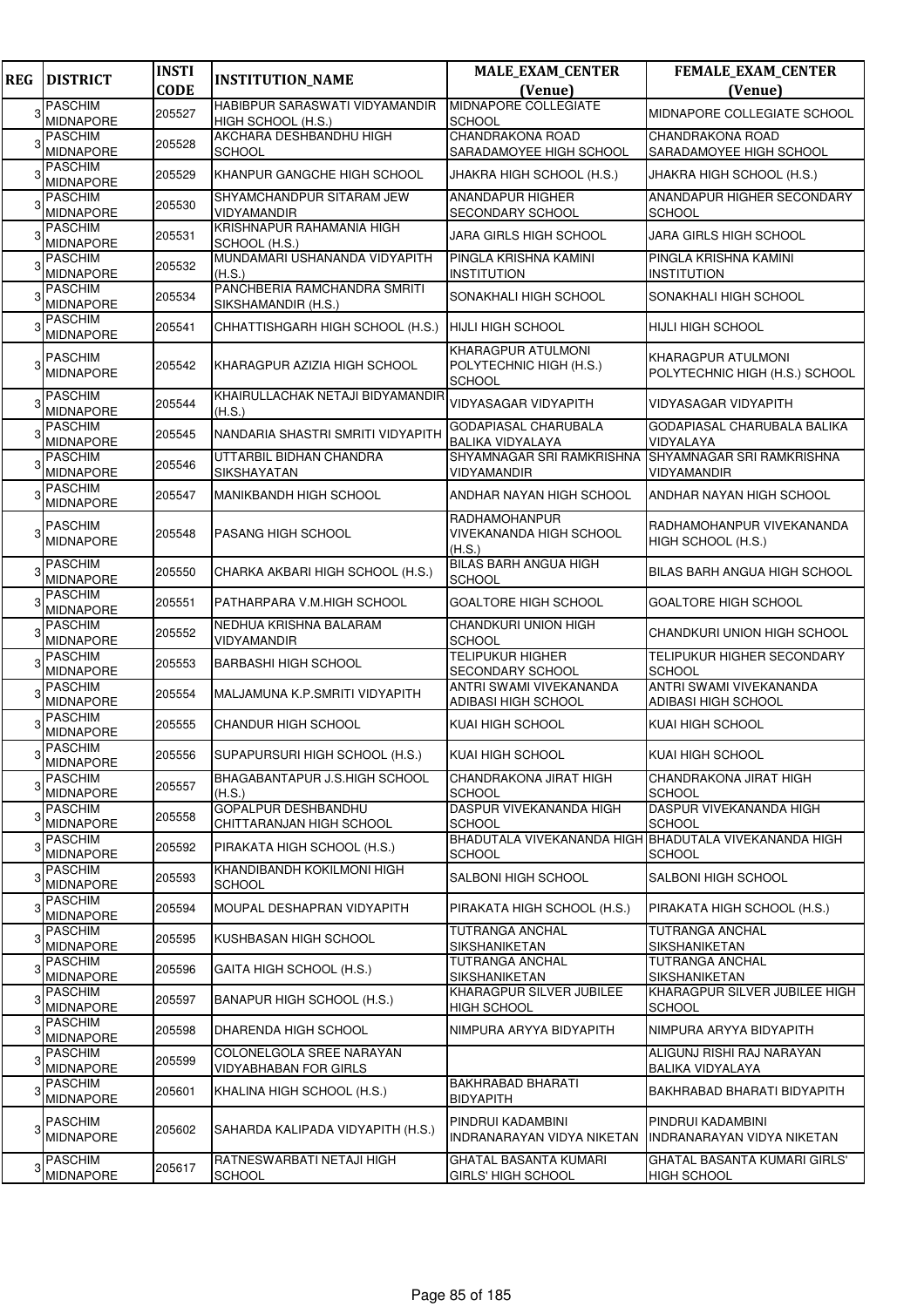| <b>REG</b> | <b>DISTRICT</b>                    | <b>INSTI</b><br><b>CODE</b> | <b>INSTITUTION_NAME</b>                                  | <b>MALE_EXAM_CENTER</b><br>(Venue)                                     | <b>FEMALE_EXAM_CENTER</b><br>(Venue)                 |
|------------|------------------------------------|-----------------------------|----------------------------------------------------------|------------------------------------------------------------------------|------------------------------------------------------|
|            | <b>PASCHIM</b>                     |                             | HABIBPUR SARASWATI VIDYAMANDIR                           | <b>MIDNAPORE COLLEGIATE</b>                                            |                                                      |
|            | <b>MIDNAPORE</b>                   | 205527                      | HIGH SCHOOL (H.S.)                                       | <b>SCHOOL</b>                                                          | MIDNAPORE COLLEGIATE SCHOOL                          |
|            | <b>PASCHIM</b>                     | 205528                      | AKCHARA DESHBANDHU HIGH                                  | CHANDRAKONA ROAD                                                       | CHANDRAKONA ROAD                                     |
|            | MIDNAPORE                          |                             | <b>SCHOOL</b>                                            | SARADAMOYEE HIGH SCHOOL                                                | SARADAMOYEE HIGH SCHOOL                              |
|            | <b>PASCHIM</b><br><b>MIDNAPORE</b> | 205529                      | KHANPUR GANGCHE HIGH SCHOOL                              | JHAKRA HIGH SCHOOL (H.S.)                                              | JHAKRA HIGH SCHOOL (H.S.)                            |
|            | <b>PASCHIM</b><br>MIDNAPORE        | 205530                      | SHYAMCHANDPUR SITARAM JEW<br><b>VIDYAMANDIR</b>          | <b>ANANDAPUR HIGHER</b><br><b>SECONDARY SCHOOL</b>                     | ANANDAPUR HIGHER SECONDARY<br><b>SCHOOL</b>          |
|            | <b>PASCHIM</b><br><b>MIDNAPORE</b> | 205531                      | KRISHNAPUR RAHAMANIA HIGH<br>SCHOOL (H.S.)               | JARA GIRLS HIGH SCHOOL                                                 | JARA GIRLS HIGH SCHOOL                               |
|            | <b>PASCHIM</b><br><b>MIDNAPORE</b> | 205532                      | MUNDAMARI USHANANDA VIDYAPITH<br>(H.S.)                  | PINGLA KRISHNA KAMINI<br><b>INSTITUTION</b>                            | PINGLA KRISHNA KAMINI<br><b>INSTITUTION</b>          |
|            | <b>PASCHIM</b><br><b>MIDNAPORE</b> | 205534                      | PANCHBERIA RAMCHANDRA SMRITI<br>SIKSHAMANDIR (H.S.)      | SONAKHALI HIGH SCHOOL                                                  | SONAKHALI HIGH SCHOOL                                |
|            | <b>PASCHIM</b><br><b>MIDNAPORE</b> | 205541                      | CHHATTISHGARH HIGH SCHOOL (H.S.)                         | <b>HIJLI HIGH SCHOOL</b>                                               | HIJLI HIGH SCHOOL                                    |
|            | <b>PASCHIM</b><br><b>MIDNAPORE</b> | 205542                      | KHARAGPUR AZIZIA HIGH SCHOOL                             | <b>KHARAGPUR ATULMONI</b><br>POLYTECHNIC HIGH (H.S.)<br><b>SCHOOL</b>  | KHARAGPUR ATULMONI<br>POLYTECHNIC HIGH (H.S.) SCHOOL |
|            | <b>PASCHIM</b><br><b>MIDNAPORE</b> | 205544                      | KHAIRULLACHAK NETAJI BIDYAMANDIR<br>(H.S.)               | VIDYASAGAR VIDYAPITH                                                   | <b>VIDYASAGAR VIDYAPITH</b>                          |
|            | <b>PASCHIM</b><br><b>MIDNAPORE</b> | 205545                      | NANDARIA SHASTRI SMRITI VIDYAPITH                        | GODAPIASAL CHARUBALA<br><b>BALIKA VIDYALAYA</b>                        | GODAPIASAL CHARUBALA BALIKA<br>VIDYALAYA             |
|            | <b>PASCHIM</b><br><b>MIDNAPORE</b> | 205546                      | UTTARBIL BIDHAN CHANDRA<br><b>SIKSHAYATAN</b>            | SHYAMNAGAR SRI RAMKRISHNA<br>VIDYAMANDIR                               | SHYAMNAGAR SRI RAMKRISHNA<br>VIDYAMANDIR             |
|            | <b>PASCHIM</b><br><b>MIDNAPORE</b> | 205547                      | <b>MANIKBANDH HIGH SCHOOL</b>                            | ANDHAR NAYAN HIGH SCHOOL                                               | ANDHAR NAYAN HIGH SCHOOL                             |
|            | <b>PASCHIM</b><br>MIDNAPORE        | 205548                      | <b>PASANG HIGH SCHOOL</b>                                | RADHAMOHANPUR<br><b>VIVEKANANDA HIGH SCHOOL</b><br>(H.S.)              | RADHAMOHANPUR VIVEKANANDA<br>HIGH SCHOOL (H.S.)      |
|            | <b>PASCHIM</b><br><b>MIDNAPORE</b> | 205550                      | CHARKA AKBARI HIGH SCHOOL (H.S.)                         | <b>BILAS BARH ANGUA HIGH</b><br><b>SCHOOL</b>                          | BILAS BARH ANGUA HIGH SCHOOL                         |
|            | <b>PASCHIM</b><br><b>MIDNAPORE</b> | 205551                      | PATHARPARA V.M.HIGH SCHOOL                               | <b>GOALTORE HIGH SCHOOL</b>                                            | <b>GOALTORE HIGH SCHOOL</b>                          |
|            | <b>PASCHIM</b><br><b>MIDNAPORE</b> | 205552                      | NEDHUA KRISHNA BALARAM<br>VIDYAMANDIR                    | CHANDKURI UNION HIGH<br><b>SCHOOL</b>                                  | CHANDKURI UNION HIGH SCHOOL                          |
|            | <b>PASCHIM</b><br><b>MIDNAPORE</b> | 205553                      | <b>BARBASHI HIGH SCHOOL</b>                              | TELIPUKUR HIGHER<br><b>SECONDARY SCHOOL</b>                            | TELIPUKUR HIGHER SECONDARY<br><b>SCHOOL</b>          |
|            | <b>PASCHIM</b><br><b>MIDNAPORE</b> | 205554                      | MALJAMUNA K.P.SMRITI VIDYAPITH                           | ANTRI SWAMI VIVEKANANDA<br><b>ADIBASI HIGH SCHOOL</b>                  | ANTRI SWAMI VIVEKANANDA<br>ADIBASI HIGH SCHOOL       |
|            | <b>PASCHIM</b><br>MIDNAPORE        | 205555                      | <b>CHANDUR HIGH SCHOOL</b>                               | <b>KUAI HIGH SCHOOL</b>                                                | KUAI HIGH SCHOOL                                     |
|            | <b>PASCHIM</b><br><b>MIDNAPORE</b> | 205556                      | SUPAPURSURI HIGH SCHOOL (H.S.)                           | KUAI HIGH SCHOOL                                                       | KUAI HIGH SCHOOL                                     |
|            | <b>PASCHIM</b><br>MIDNAPORE        | 205557                      | BHAGABANTAPUR J.S.HIGH SCHOOL<br>(H.S.)                  | <b>CHANDRAKONA JIRAT HIGH</b><br><b>SCHOOL</b>                         | CHANDRAKONA JIRAT HIGH<br><b>SCHOOL</b>              |
|            | <b>PASCHIM</b><br><b>MIDNAPORE</b> | 205558                      | GOPALPUR DESHBANDHU<br>CHITTARANJAN HIGH SCHOOL          | DASPUR VIVEKANANDA HIGH<br><b>SCHOOL</b>                               | DASPUR VIVEKANANDA HIGH<br><b>SCHOOL</b>             |
|            | <b>PASCHIM</b><br>MIDNAPORE        | 205592                      | PIRAKATA HIGH SCHOOL (H.S.)                              | BHADUTALA VIVEKANANDA HIGH BHADUTALA VIVEKANANDA HIGH<br><b>SCHOOL</b> | <b>SCHOOL</b>                                        |
|            | <b>PASCHIM</b><br>MIDNAPORE        | 205593                      | KHANDIBANDH KOKILMONI HIGH<br><b>SCHOOL</b>              | SALBONI HIGH SCHOOL                                                    | SALBONI HIGH SCHOOL                                  |
|            | <b>PASCHIM</b><br>MIDNAPORE        | 205594                      | MOUPAL DESHAPRAN VIDYAPITH                               | PIRAKATA HIGH SCHOOL (H.S.)                                            | PIRAKATA HIGH SCHOOL (H.S.)                          |
|            | <b>PASCHIM</b><br>MIDNAPORE        | 205595                      | KUSHBASAN HIGH SCHOOL                                    | TUTRANGA ANCHAL<br><b>SIKSHANIKETAN</b>                                | TUTRANGA ANCHAL<br>SIKSHANIKETAN                     |
|            | <b>PASCHIM</b><br><b>MIDNAPORE</b> | 205596                      | GAITA HIGH SCHOOL (H.S.)                                 | TUTRANGA ANCHAL<br><b>SIKSHANIKETAN</b>                                | <b>TUTRANGA ANCHAL</b><br>SIKSHANIKETAN              |
|            | <b>PASCHIM</b><br>MIDNAPORE        | 205597                      | BANAPUR HIGH SCHOOL (H.S.)                               | KHARAGPUR SILVER JUBILEE<br><b>HIGH SCHOOL</b>                         | KHARAGPUR SILVER JUBILEE HIGH<br><b>SCHOOL</b>       |
|            | <b>PASCHIM</b><br>MIDNAPORE        | 205598                      | DHARENDA HIGH SCHOOL                                     | NIMPURA ARYYA BIDYAPITH                                                | NIMPURA ARYYA BIDYAPITH                              |
|            | <b>PASCHIM</b><br><b>MIDNAPORE</b> | 205599                      | COLONELGOLA SREE NARAYAN<br><b>VIDYABHABAN FOR GIRLS</b> |                                                                        | ALIGUNJ RISHI RAJ NARAYAN<br>BALIKA VIDYALAYA        |
|            | <b>PASCHIM</b><br><b>MIDNAPORE</b> | 205601                      | KHALINA HIGH SCHOOL (H.S.)                               | <b>BAKHRABAD BHARATI</b><br><b>BIDYAPITH</b>                           | BAKHRABAD BHARATI BIDYAPITH                          |
|            | <b>PASCHIM</b><br><b>MIDNAPORE</b> | 205602                      | SAHARDA KALIPADA VIDYAPITH (H.S.)                        | PINDRUI KADAMBINI<br>INDRANARAYAN VIDYA NIKETAN                        | PINDRUI KADAMBINI<br>INDRANARAYAN VIDYA NIKETAN      |
|            | <b>PASCHIM</b><br>MIDNAPORE        | 205617                      | RATNESWARBATI NETAJI HIGH<br><b>SCHOOL</b>               | GHATAL BASANTA KUMARI<br>GIRLS' HIGH SCHOOL                            | GHATAL BASANTA KUMARI GIRLS'<br><b>HIGH SCHOOL</b>   |
|            |                                    |                             |                                                          |                                                                        |                                                      |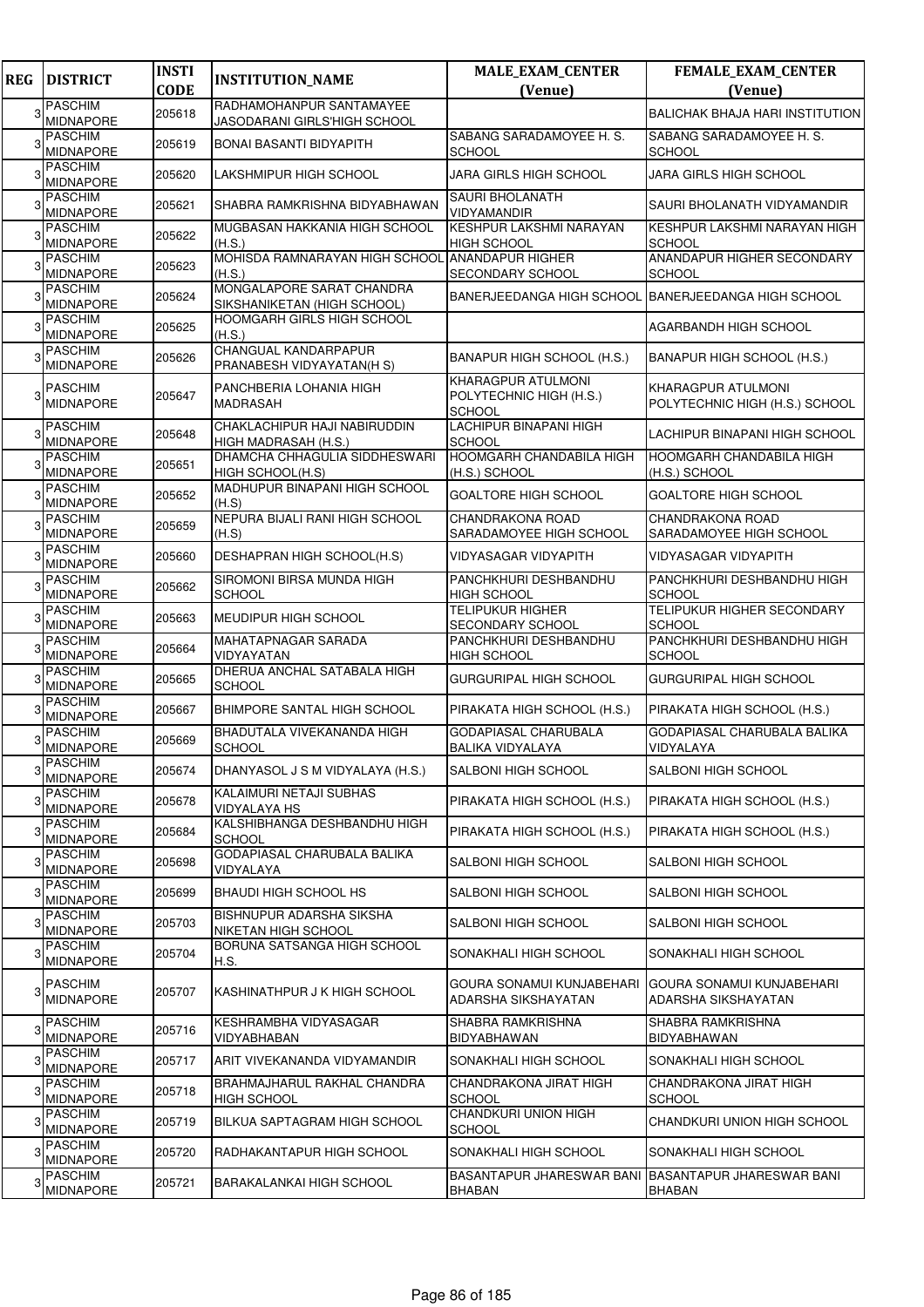| <b>REG</b> | <b>DISTRICT</b>                    | <b>INSTI</b><br><b>CODE</b> | <b>INSTITUTION_NAME</b>                                  | <b>MALE_EXAM_CENTER</b><br>(Venue)                             | <b>FEMALE_EXAM_CENTER</b><br>(Venue)                 |
|------------|------------------------------------|-----------------------------|----------------------------------------------------------|----------------------------------------------------------------|------------------------------------------------------|
| 3          | <b>PASCHIM</b>                     | 205618                      | RADHAMOHANPUR SANTAMAYEE                                 |                                                                | <b>BALICHAK BHAJA HARI INSTITUTION</b>               |
|            | <b>MIDNAPORE</b>                   |                             | JASODARANI GIRLS'HIGH SCHOOL                             |                                                                |                                                      |
|            | <b>PASCHIM</b><br><b>MIDNAPORE</b> | 205619                      | <b>BONAI BASANTI BIDYAPITH</b>                           | SABANG SARADAMOYEE H. S.<br><b>SCHOOL</b>                      | SABANG SARADAMOYEE H. S.<br><b>SCHOOL</b>            |
|            | <b>PASCHIM</b><br><b>MIDNAPORE</b> | 205620                      | LAKSHMIPUR HIGH SCHOOL                                   | JARA GIRLS HIGH SCHOOL                                         | JARA GIRLS HIGH SCHOOL                               |
|            | <b>PASCHIM</b><br><b>MIDNAPORE</b> | 205621                      | SHABRA RAMKRISHNA BIDYABHAWAN                            | <b>SAURI BHOLANATH</b><br><b>VIDYAMANDIR</b>                   | SAURI BHOLANATH VIDYAMANDIR                          |
|            | <b>PASCHIM</b><br>MIDNAPORE        | 205622                      | MUGBASAN HAKKANIA HIGH SCHOOL<br>(H.S.)                  | KESHPUR LAKSHMI NARAYAN<br><b>HIGH SCHOOL</b>                  | KESHPUR LAKSHMI NARAYAN HIGH<br><b>SCHOOL</b>        |
|            | <b>PASCHIM</b><br><b>MIDNAPORE</b> | 205623                      | MOHISDA RAMNARAYAN HIGH SCHOOL<br>(H.S.)                 | <b>ANANDAPUR HIGHER</b><br>SECONDARY SCHOOL                    | ANANDAPUR HIGHER SECONDARY<br><b>SCHOOL</b>          |
|            | <b>PASCHIM</b><br>MIDNAPORE        | 205624                      | MONGALAPORE SARAT CHANDRA<br>SIKSHANIKETAN (HIGH SCHOOL) | <b>BANERJEEDANGA HIGH SCHOOL</b>                               | <b>BANERJEEDANGA HIGH SCHOOL</b>                     |
|            | <b>PASCHIM</b><br><b>MIDNAPORE</b> | 205625                      | HOOMGARH GIRLS HIGH SCHOOL<br>(H.S.)                     |                                                                | AGARBANDH HIGH SCHOOL                                |
|            | <b>PASCHIM</b><br><b>MIDNAPORE</b> | 205626                      | CHANGUAL KANDARPAPUR<br>PRANABESH VIDYAYATAN(H S)        | BANAPUR HIGH SCHOOL (H.S.)                                     | BANAPUR HIGH SCHOOL (H.S.)                           |
|            | <b>PASCHIM</b><br><b>MIDNAPORE</b> | 205647                      | PANCHBERIA LOHANIA HIGH<br>MADRASAH                      | KHARAGPUR ATULMONI<br>POLYTECHNIC HIGH (H.S.)<br><b>SCHOOL</b> | KHARAGPUR ATULMONI<br>POLYTECHNIC HIGH (H.S.) SCHOOL |
|            | <b>PASCHIM</b><br><b>MIDNAPORE</b> | 205648                      | CHAKLACHIPUR HAJI NABIRUDDIN<br>HIGH MADRASAH (H.S.)     | <b>LACHIPUR BINAPANI HIGH</b><br><b>SCHOOL</b>                 | LACHIPUR BINAPANI HIGH SCHOOL                        |
|            | <b>PASCHIM</b><br>MIDNAPORE        | 205651                      | DHAMCHA CHHAGULIA SIDDHESWARI<br>HIGH SCHOOL(H.S)        | <b>HOOMGARH CHANDABILA HIGH</b><br>(H.S.) SCHOOL               | <b>HOOMGARH CHANDABILA HIGH</b><br>(H.S.) SCHOOL     |
|            | <b>PASCHIM</b><br>MIDNAPORE        | 205652                      | MADHUPUR BINAPANI HIGH SCHOOL<br>(H.S)                   | <b>GOALTORE HIGH SCHOOL</b>                                    | <b>GOALTORE HIGH SCHOOL</b>                          |
|            | <b>PASCHIM</b><br><b>MIDNAPORE</b> | 205659                      | NEPURA BIJALI RANI HIGH SCHOOL<br>(H.S)                  | CHANDRAKONA ROAD<br>SARADAMOYEE HIGH SCHOOL                    | CHANDRAKONA ROAD<br>SARADAMOYEE HIGH SCHOOL          |
|            | <b>PASCHIM</b><br><b>MIDNAPORE</b> | 205660                      | DESHAPRAN HIGH SCHOOL(H.S)                               | VIDYASAGAR VIDYAPITH                                           | VIDYASAGAR VIDYAPITH                                 |
|            | <b>PASCHIM</b><br><b>MIDNAPORE</b> | 205662                      | SIROMONI BIRSA MUNDA HIGH<br><b>SCHOOL</b>               | PANCHKHURI DESHBANDHU<br><b>HIGH SCHOOL</b>                    | PANCHKHURI DESHBANDHU HIGH<br><b>SCHOOL</b>          |
|            | <b>PASCHIM</b><br><b>MIDNAPORE</b> | 205663                      | MEUDIPUR HIGH SCHOOL                                     | <b>TELIPUKUR HIGHER</b><br>SECONDARY SCHOOL                    | TELIPUKUR HIGHER SECONDARY<br><b>SCHOOL</b>          |
|            | PASCHIM<br><b>MIDNAPORE</b>        | 205664                      | <b>MAHATAPNAGAR SARADA</b><br>VIDYAYATAN                 | PANCHKHURI DESHBANDHU<br><b>HIGH SCHOOL</b>                    | PANCHKHURI DESHBANDHU HIGH<br><b>SCHOOL</b>          |
|            | <b>PASCHIM</b><br><b>MIDNAPORE</b> | 205665                      | DHERUA ANCHAL SATABALA HIGH<br><b>SCHOOL</b>             | <b>GURGURIPAL HIGH SCHOOL</b>                                  | <b>GURGURIPAL HIGH SCHOOL</b>                        |
|            | <b>PASCHIM</b><br><b>MIDNAPORE</b> | 205667                      | BHIMPORE SANTAL HIGH SCHOOL                              | PIRAKATA HIGH SCHOOL (H.S.)                                    | PIRAKATA HIGH SCHOOL (H.S.)                          |
|            | <b>PASCHIM</b><br><b>MIDNAPORE</b> | 205669                      | BHADUTALA VIVEKANANDA HIGH<br><b>SCHOOL</b>              | <b>GODAPIASAL CHARUBALA</b><br><b>BALIKA VIDYALAYA</b>         | GODAPIASAL CHARUBALA BALIKA<br>VIDYALAYA             |
|            | <b>PASCHIM</b><br><b>MIDNAPORE</b> | 205674                      | DHANYASOL J S M VIDYALAYA (H.S.)                         | <b>SALBONI HIGH SCHOOL</b>                                     | SALBONI HIGH SCHOOL                                  |
| 3          | <b>PASCHIM</b><br>MIDNAPORE        | 205678                      | KALAIMURI NETAJI SUBHAS<br><b>VIDYALAYA HS</b>           | PIRAKATA HIGH SCHOOL (H.S.)                                    | PIRAKATA HIGH SCHOOL (H.S.)                          |
| 3          | <b>PASCHIM</b><br>MIDNAPORE        | 205684                      | KALSHIBHANGA DESHBANDHU HIGH<br><b>SCHOOL</b>            | PIRAKATA HIGH SCHOOL (H.S.)                                    | PIRAKATA HIGH SCHOOL (H.S.)                          |
| з          | <b>PASCHIM</b><br>MIDNAPORE        | 205698                      | GODAPIASAL CHARUBALA BALIKA<br>VIDYALAYA                 | SALBONI HIGH SCHOOL                                            | SALBONI HIGH SCHOOL                                  |
| 3          | <b>PASCHIM</b><br><b>MIDNAPORE</b> | 205699                      | <b>BHAUDI HIGH SCHOOL HS</b>                             | SALBONI HIGH SCHOOL                                            | SALBONI HIGH SCHOOL                                  |
| 3          | <b>PASCHIM</b><br><b>MIDNAPORE</b> | 205703                      | BISHNUPUR ADARSHA SIKSHA<br>NIKETAN HIGH SCHOOL          | <b>SALBONI HIGH SCHOOL</b>                                     | SALBONI HIGH SCHOOL                                  |
| 3          | <b>PASCHIM</b><br><b>MIDNAPORE</b> | 205704                      | BORUNA SATSANGA HIGH SCHOOL<br>H.S.                      | SONAKHALI HIGH SCHOOL                                          | SONAKHALI HIGH SCHOOL                                |
| 3          | <b>PASCHIM</b><br><b>MIDNAPORE</b> | 205707                      | KASHINATHPUR J K HIGH SCHOOL                             | GOURA SONAMUI KUNJABEHARI<br>ADARSHA SIKSHAYATAN               | IGOURA SONAMUI KUNJABEHARI<br>ADARSHA SIKSHAYATAN    |
| 3          | <b>PASCHIM</b><br><b>MIDNAPORE</b> | 205716                      | KESHRAMBHA VIDYASAGAR<br>VIDYABHABAN                     | SHABRA RAMKRISHNA<br><b>BIDYABHAWAN</b>                        | SHABRA RAMKRISHNA<br>BIDYABHAWAN                     |
| 3          | <b>PASCHIM</b><br><b>MIDNAPORE</b> | 205717                      | ARIT VIVEKANANDA VIDYAMANDIR                             | SONAKHALI HIGH SCHOOL                                          | SONAKHALI HIGH SCHOOL                                |
|            | <b>PASCHIM</b><br><b>MIDNAPORE</b> | 205718                      | BRAHMAJHARUL RAKHAL CHANDRA<br><b>HIGH SCHOOL</b>        | CHANDRAKONA JIRAT HIGH<br><b>SCHOOL</b>                        | CHANDRAKONA JIRAT HIGH<br><b>SCHOOL</b>              |
| 3          | <b>PASCHIM</b><br><b>MIDNAPORE</b> | 205719                      | BILKUA SAPTAGRAM HIGH SCHOOL                             | CHANDKURI UNION HIGH<br><b>SCHOOL</b>                          | CHANDKURI UNION HIGH SCHOOL                          |
|            | <b>PASCHIM</b><br>MIDNAPORE        | 205720                      | RADHAKANTAPUR HIGH SCHOOL                                | SONAKHALI HIGH SCHOOL                                          | SONAKHALI HIGH SCHOOL                                |
| 3          | <b>PASCHIM</b><br>MIDNAPORE        | 205721                      | BARAKALANKAI HIGH SCHOOL                                 | <b>BASANTAPUR JHARESWAR BANI</b><br><b>BHABAN</b>              | BASANTAPUR JHARESWAR BANI<br><b>BHABAN</b>           |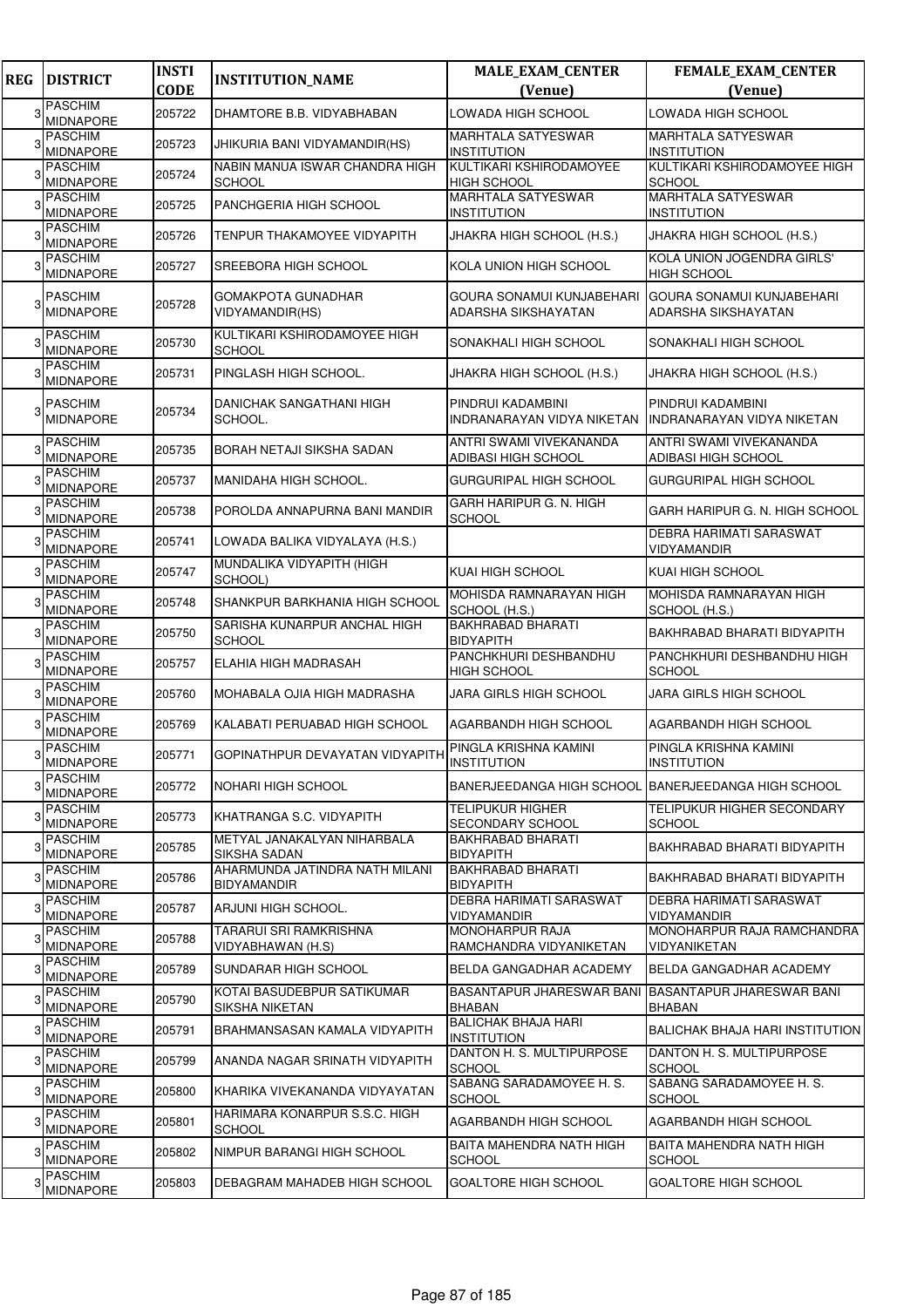| <b>REG</b> | <b>DISTRICT</b>                    | <b>INSTI</b><br><b>CODE</b> | <b>INSTITUTION_NAME</b>                               | <b>MALE_EXAM_CENTER</b><br>(Venue)                  | <b>FEMALE_EXAM_CENTER</b><br>(Venue)                    |
|------------|------------------------------------|-----------------------------|-------------------------------------------------------|-----------------------------------------------------|---------------------------------------------------------|
|            | <b>PASCHIM</b>                     |                             |                                                       |                                                     |                                                         |
|            | <b>MIDNAPORE</b>                   | 205722                      | DHAMTORE B.B. VIDYABHABAN                             | LOWADA HIGH SCHOOL                                  | LOWADA HIGH SCHOOL                                      |
|            | <b>PASCHIM</b><br><b>MIDNAPORE</b> | 205723                      | JHIKURIA BANI VIDYAMANDIR(HS)                         | <b>MARHTALA SATYESWAR</b><br><b>INSTITUTION</b>     | <b>MARHTALA SATYESWAR</b><br><b>INSTITUTION</b>         |
|            | <b>PASCHIM</b><br><b>MIDNAPORE</b> | 205724                      | NABIN MANUA ISWAR CHANDRA HIGH<br><b>SCHOOL</b>       | KULTIKARI KSHIRODAMOYEE<br><b>HIGH SCHOOL</b>       | KULTIKARI KSHIRODAMOYEE HIGH<br><b>SCHOOL</b>           |
|            | <b>PASCHIM</b><br><b>MIDNAPORE</b> | 205725                      | PANCHGERIA HIGH SCHOOL                                | <b>MARHTALA SATYESWAR</b><br><b>INSTITUTION</b>     | <b>MARHTALA SATYESWAR</b><br><b>INSTITUTION</b>         |
|            | <b>PASCHIM</b><br>MIDNAPORE        | 205726                      | TENPUR THAKAMOYEE VIDYAPITH                           | JHAKRA HIGH SCHOOL (H.S.)                           | JHAKRA HIGH SCHOOL (H.S.)                               |
|            | <b>PASCHIM</b><br><b>MIDNAPORE</b> | 205727                      | SREEBORA HIGH SCHOOL                                  | KOLA UNION HIGH SCHOOL                              | KOLA UNION JOGENDRA GIRLS'<br>HIGH SCHOOL               |
|            | <b>PASCHIM</b><br>MIDNAPORE        | 205728                      | <b>GOMAKPOTA GUNADHAR</b><br>VIDYAMANDIR(HS)          | GOURA SONAMUI KUNJABEHARI<br>ADARSHA SIKSHAYATAN    | <b>GOURA SONAMUI KUNJABEHARI</b><br>ADARSHA SIKSHAYATAN |
|            | <b>PASCHIM</b><br><b>MIDNAPORE</b> | 205730                      | KULTIKARI KSHIRODAMOYEE HIGH<br><b>SCHOOL</b>         | SONAKHALI HIGH SCHOOL                               | SONAKHALI HIGH SCHOOL                                   |
|            | <b>PASCHIM</b><br><b>MIDNAPORE</b> | 205731                      | PINGLASH HIGH SCHOOL.                                 | JHAKRA HIGH SCHOOL (H.S.)                           | JHAKRA HIGH SCHOOL (H.S.)                               |
|            | <b>PASCHIM</b><br><b>MIDNAPORE</b> | 205734                      | DANICHAK SANGATHANI HIGH<br>SCHOOL.                   | PINDRUI KADAMBINI<br>INDRANARAYAN VIDYA NIKETAN     | PINDRUI KADAMBINI<br>INDRANARAYAN VIDYA NIKETAN         |
|            | <b>PASCHIM</b><br><b>MIDNAPORE</b> | 205735                      | BORAH NETAJI SIKSHA SADAN                             | ANTRI SWAMI VIVEKANANDA<br>ADIBASI HIGH SCHOOL      | ANTRI SWAMI VIVEKANANDA<br>ADIBASI HIGH SCHOOL          |
|            | <b>PASCHIM</b><br><b>MIDNAPORE</b> | 205737                      | MANIDAHA HIGH SCHOOL.                                 | <b>GURGURIPAL HIGH SCHOOL</b>                       | <b>GURGURIPAL HIGH SCHOOL</b>                           |
|            | <b>PASCHIM</b><br><b>MIDNAPORE</b> | 205738                      | POROLDA ANNAPURNA BANI MANDIR                         | GARH HARIPUR G. N. HIGH<br><b>SCHOOL</b>            | GARH HARIPUR G. N. HIGH SCHOOL                          |
|            | <b>PASCHIM</b><br><b>MIDNAPORE</b> | 205741                      | LOWADA BALIKA VIDYALAYA (H.S.)                        |                                                     | DEBRA HARIMATI SARASWAT<br>VIDYAMANDIR                  |
|            | <b>PASCHIM</b><br><b>MIDNAPORE</b> | 205747                      | MUNDALIKA VIDYAPITH (HIGH<br>SCHOOL)                  | KUAI HIGH SCHOOL                                    | KUAI HIGH SCHOOL                                        |
|            | <b>PASCHIM</b><br><b>MIDNAPORE</b> | 205748                      | SHANKPUR BARKHANIA HIGH SCHOOL                        | MOHISDA RAMNARAYAN HIGH<br>SCHOOL (H.S.)            | MOHISDA RAMNARAYAN HIGH<br>SCHOOL (H.S.)                |
|            | <b>PASCHIM</b><br><b>MIDNAPORE</b> | 205750                      | SARISHA KUNARPUR ANCHAL HIGH<br><b>SCHOOL</b>         | <b>BAKHRABAD BHARATI</b><br><b>BIDYAPITH</b>        | BAKHRABAD BHARATI BIDYAPITH                             |
|            | <b>PASCHIM</b><br><b>MIDNAPORE</b> | 205757                      | ELAHIA HIGH MADRASAH                                  | PANCHKHURI DESHBANDHU<br><b>HIGH SCHOOL</b>         | PANCHKHURI DESHBANDHU HIGH<br><b>SCHOOL</b>             |
|            | <b>PASCHIM</b><br><b>MIDNAPORE</b> | 205760                      | MOHABALA OJIA HIGH MADRASHA                           | <b>JARA GIRLS HIGH SCHOOL</b>                       | JARA GIRLS HIGH SCHOOL                                  |
|            | <b>PASCHIM</b><br><b>MIDNAPORE</b> | 205769                      | KALABATI PERUABAD HIGH SCHOOL                         | AGARBANDH HIGH SCHOOL                               | AGARBANDH HIGH SCHOOL                                   |
|            | <b>PASCHIM</b><br><b>MIDNAPORE</b> | 205771                      | GOPINATHPUR DEVAYATAN VIDYAPITH PINGLA KRISHNA KAMINI | <b>INSTITUTION</b>                                  | PINGLA KRISHNA KAMINI<br><b>INSTITUTION</b>             |
|            | <b>PASCHIM</b><br>MIDNAPORE        | 205772                      | NOHARI HIGH SCHOOL                                    | BANERJEEDANGA HIGH SCHOOL BANERJEEDANGA HIGH SCHOOL |                                                         |
|            | <b>PASCHIM</b><br><b>MIDNAPORE</b> | 205773                      | KHATRANGA S.C. VIDYAPITH                              | <b>TELIPUKUR HIGHER</b><br>SECONDARY SCHOOL         | <b>TELIPUKUR HIGHER SECONDARY</b><br><b>SCHOOL</b>      |
|            | <b>PASCHIM</b><br>MIDNAPORE        | 205785                      | METYAL JANAKALYAN NIHARBALA<br>SIKSHA SADAN           | <b>BAKHRABAD BHARATI</b><br><b>BIDYAPITH</b>        | BAKHRABAD BHARATI BIDYAPITH                             |
|            | <b>PASCHIM</b><br><b>MIDNAPORE</b> | 205786                      | AHARMUNDA JATINDRA NATH MILANI<br><b>BIDYAMANDIR</b>  | BAKHRABAD BHARATI<br><b>BIDYAPITH</b>               | BAKHRABAD BHARATI BIDYAPITH                             |
|            | <b>PASCHIM</b><br><b>MIDNAPORE</b> | 205787                      | ARJUNI HIGH SCHOOL.                                   | DEBRA HARIMATI SARASWAT<br>VIDYAMANDIR              | DEBRA HARIMATI SARASWAT<br>VIDYAMANDIR                  |
|            | <b>PASCHIM</b><br>MIDNAPORE        | 205788                      | TARARUI SRI RAMKRISHNA<br>VIDYABHAWAN (H.S)           | <b>MONOHARPUR RAJA</b><br>RAMCHANDRA VIDYANIKETAN   | MONOHARPUR RAJA RAMCHANDRA<br>VIDYANIKETAN              |
|            | <b>PASCHIM</b><br><b>MIDNAPORE</b> | 205789                      | SUNDARAR HIGH SCHOOL                                  | BELDA GANGADHAR ACADEMY                             | BELDA GANGADHAR ACADEMY                                 |
|            | <b>PASCHIM</b><br>MIDNAPORE        | 205790                      | KOTAI BASUDEBPUR SATIKUMAR<br>SIKSHA NIKETAN          | BASANTAPUR JHARESWAR BANI<br><b>BHABAN</b>          | <b>BASANTAPUR JHARESWAR BANI</b><br>BHABAN              |
|            | <b>PASCHIM</b><br><b>MIDNAPORE</b> | 205791                      | BRAHMANSASAN KAMALA VIDYAPITH                         | <b>BALICHAK BHAJA HARI</b><br><b>INSTITUTION</b>    | BALICHAK BHAJA HARI INSTITUTION                         |
|            | <b>PASCHIM</b><br><b>MIDNAPORE</b> | 205799                      | ANANDA NAGAR SRINATH VIDYAPITH                        | DANTON H. S. MULTIPURPOSE<br><b>SCHOOL</b>          | DANTON H. S. MULTIPURPOSE<br><b>SCHOOL</b>              |
|            | <b>PASCHIM</b><br>MIDNAPORE        | 205800                      | KHARIKA VIVEKANANDA VIDYAYATAN                        | SABANG SARADAMOYEE H. S.<br><b>SCHOOL</b>           | SABANG SARADAMOYEE H. S.<br><b>SCHOOL</b>               |
|            | <b>PASCHIM</b><br>MIDNAPORE        | 205801                      | HARIMARA KONARPUR S.S.C. HIGH<br><b>SCHOOL</b>        | AGARBANDH HIGH SCHOOL                               | AGARBANDH HIGH SCHOOL                                   |
|            | <b>PASCHIM</b><br>MIDNAPORE        | 205802                      | NIMPUR BARANGI HIGH SCHOOL                            | BAITA MAHENDRA NATH HIGH<br><b>SCHOOL</b>           | BAITA MAHENDRA NATH HIGH<br><b>SCHOOL</b>               |
|            | <b>PASCHIM</b><br>MIDNAPORE        | 205803                      | DEBAGRAM MAHADEB HIGH SCHOOL                          | <b>GOALTORE HIGH SCHOOL</b>                         | <b>GOALTORE HIGH SCHOOL</b>                             |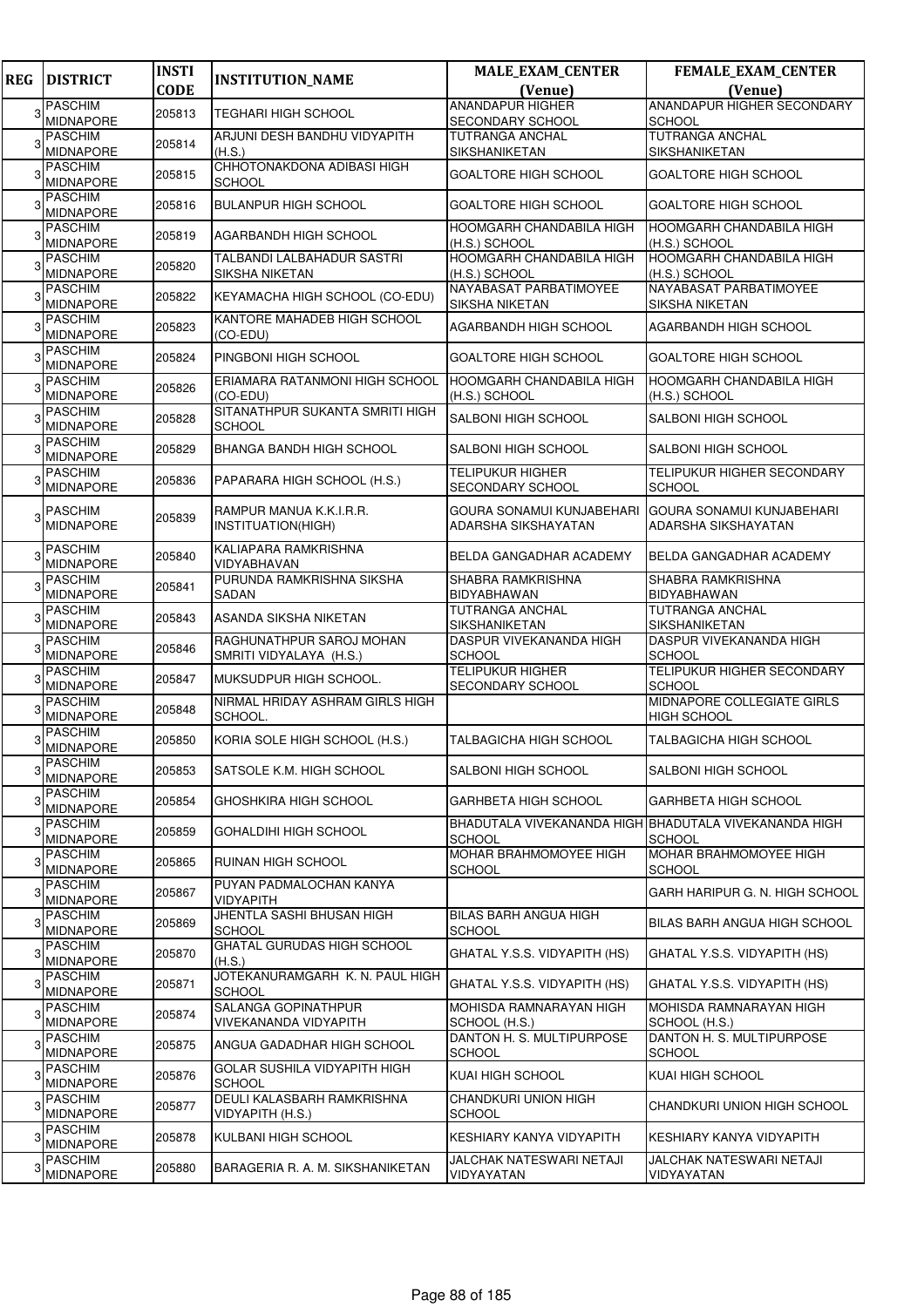| <b>REG</b> | <b>DISTRICT</b>                          | <b>INSTI</b> | <b>INSTITUTION_NAME</b>                             | <b>MALE_EXAM_CENTER</b>                          | <b>FEMALE_EXAM_CENTER</b>                                              |
|------------|------------------------------------------|--------------|-----------------------------------------------------|--------------------------------------------------|------------------------------------------------------------------------|
|            |                                          | <b>CODE</b>  |                                                     | (Venue)                                          | (Venue)                                                                |
| 3          | <b>PASCHIM</b><br><b>MIDNAPORE</b>       | 205813       | TEGHARI HIGH SCHOOL                                 | <b>ANANDAPUR HIGHER</b><br>SECONDARY SCHOOL      | ANANDAPUR HIGHER SECONDARY<br><b>SCHOOL</b>                            |
|            | <b>PASCHIM</b>                           |              | ARJUNI DESH BANDHU VIDYAPITH                        | TUTRANGA ANCHAL                                  | <b>TUTRANGA ANCHAL</b>                                                 |
|            | MIDNAPORE                                | 205814       | (H.S.)                                              | SIKSHANIKETAN                                    | SIKSHANIKETAN                                                          |
| 3          | <b>PASCHIM</b><br><b>MIDNAPORE</b>       | 205815       | CHHOTONAKDONA ADIBASI HIGH<br><b>SCHOOL</b>         | GOALTORE HIGH SCHOOL                             | <b>GOALTORE HIGH SCHOOL</b>                                            |
|            | <b>PASCHIM</b><br>MIDNAPORE              | 205816       | <b>BULANPUR HIGH SCHOOL</b>                         | GOALTORE HIGH SCHOOL                             | <b>GOALTORE HIGH SCHOOL</b>                                            |
|            | <b>PASCHIM</b><br><b>MIDNAPORE</b>       | 205819       | AGARBANDH HIGH SCHOOL                               | <b>HOOMGARH CHANDABILA HIGH</b><br>(H.S.) SCHOOL | <b>HOOMGARH CHANDABILA HIGH</b><br>(H.S.) SCHOOL                       |
|            | <b>PASCHIM</b><br><b>MIDNAPORE</b>       | 205820       | TALBANDI LALBAHADUR SASTRI<br><b>SIKSHA NIKETAN</b> | HOOMGARH CHANDABILA HIGH<br>(H.S.) SCHOOL        | <b>HOOMGARH CHANDABILA HIGH</b><br>(H.S.) SCHOOL                       |
|            | <b>PASCHIM</b><br><b>MIDNAPORE</b>       | 205822       | KEYAMACHA HIGH SCHOOL (CO-EDU)                      | NAYABASAT PARBATIMOYEE<br>SIKSHA NIKETAN         | NAYABASAT PARBATIMOYEE<br>SIKSHA NIKETAN                               |
|            | <b>PASCHIM</b><br>MIDNAPORE              | 205823       | KANTORE MAHADEB HIGH SCHOOL<br>(CO-EDU)             | AGARBANDH HIGH SCHOOL                            | AGARBANDH HIGH SCHOOL                                                  |
|            | <b>PASCHIM</b><br><b>MIDNAPORE</b>       | 205824       | PINGBONI HIGH SCHOOL                                | GOALTORE HIGH SCHOOL                             | <b>GOALTORE HIGH SCHOOL</b>                                            |
|            | PASCHIM<br><b>MIDNAPORE</b>              | 205826       | ERIAMARA RATANMONI HIGH SCHOOL<br>(CO-EDU)          | HOOMGARH CHANDABILA HIGH<br>(H.S.) SCHOOL        | <b>HOOMGARH CHANDABILA HIGH</b><br>(H.S.) SCHOOL                       |
|            | <b>PASCHIM</b><br><b>MIDNAPORE</b>       | 205828       | SITANATHPUR SUKANTA SMRITI HIGH<br><b>SCHOOL</b>    | SALBONI HIGH SCHOOL                              | SALBONI HIGH SCHOOL                                                    |
|            | <b>PASCHIM</b><br><b>MIDNAPORE</b>       | 205829       | BHANGA BANDH HIGH SCHOOL                            | SALBONI HIGH SCHOOL                              | <b>SALBONI HIGH SCHOOL</b>                                             |
|            | <b>PASCHIM</b><br><b>MIDNAPORE</b>       | 205836       | PAPARARA HIGH SCHOOL (H.S.)                         | <b>TELIPUKUR HIGHER</b><br>SECONDARY SCHOOL      | <b>TELIPUKUR HIGHER SECONDARY</b><br><b>SCHOOL</b>                     |
|            | <b>PASCHIM</b><br><b>MIDNAPORE</b>       | 205839       | RAMPUR MANUA K.K.I.R.R.<br>INSTITUATION(HIGH)       | GOURA SONAMUI KUNJABEHARI<br>ADARSHA SIKSHAYATAN | GOURA SONAMUI KUNJABEHARI<br><b>ADARSHA SIKSHAYATAN</b>                |
|            | <b>PASCHIM</b><br><b>MIDNAPORE</b>       | 205840       | KALIAPARA RAMKRISHNA<br>VIDYABHAVAN                 | BELDA GANGADHAR ACADEMY                          | BELDA GANGADHAR ACADEMY                                                |
|            | <b>PASCHIM</b><br><b>MIDNAPORE</b>       | 205841       | PURUNDA RAMKRISHNA SIKSHA<br>SADAN                  | SHABRA RAMKRISHNA<br>BIDYABHAWAN                 | <b>SHABRA RAMKRISHNA</b><br><b>BIDYABHAWAN</b>                         |
|            | <b>PASCHIM</b><br><b>MIDNAPORE</b>       | 205843       | ASANDA SIKSHA NIKETAN                               | <b>TUTRANGA ANCHAL</b><br>SIKSHANIKETAN          | <b>TUTRANGA ANCHAL</b><br><b>SIKSHANIKETAN</b>                         |
|            | <b>PASCHIM</b><br><b>MIDNAPORE</b>       | 205846       | RAGHUNATHPUR SAROJ MOHAN<br>SMRITI VIDYALAYA (H.S.) | DASPUR VIVEKANANDA HIGH<br><b>SCHOOL</b>         | DASPUR VIVEKANANDA HIGH<br><b>SCHOOL</b>                               |
|            | <b>PASCHIM</b><br><b>MIDNAPORE</b>       | 205847       | MUKSUDPUR HIGH SCHOOL.                              | <b>TELIPUKUR HIGHER</b><br>SECONDARY SCHOOL      | <b>TELIPUKUR HIGHER SECONDARY</b><br><b>SCHOOL</b>                     |
|            | <b>PASCHIM</b><br><b>MIDNAPORE</b>       | 205848       | NIRMAL HRIDAY ASHRAM GIRLS HIGH<br>SCHOOL.          |                                                  | MIDNAPORE COLLEGIATE GIRLS<br><b>HIGH SCHOOL</b>                       |
|            | PASCHIM<br>MIDNAPORE                     | 205850       | KORIA SOLE HIGH SCHOOL (H.S.)                       | TALBAGICHA HIGH SCHOOL                           | <b>TALBAGICHA HIGH SCHOOL</b>                                          |
|            | 3 <sup>PASCHIM</sup><br><b>MIDNAPORE</b> | 205853       | SATSOLE K.M. HIGH SCHOOL                            | SALBONI HIGH SCHOOL                              | SALBONI HIGH SCHOOL                                                    |
| 3          | <b>PASCHIM</b><br><b>MIDNAPORE</b>       | 205854       | GHOSHKIRA HIGH SCHOOL                               | GARHBETA HIGH SCHOOL                             | <b>GARHBETA HIGH SCHOOL</b>                                            |
| 3          | <b>PASCHIM</b><br>MIDNAPORE              | 205859       | GOHALDIHI HIGH SCHOOL                               | <b>SCHOOL</b>                                    | BHADUTALA VIVEKANANDA HIGH BHADUTALA VIVEKANANDA HIGH<br><b>SCHOOL</b> |
|            | <b>PASCHIM</b><br><b>MIDNAPORE</b>       | 205865       | RUINAN HIGH SCHOOL                                  | MOHAR BRAHMOMOYEE HIGH<br>SCHOOL                 | <b>MOHAR BRAHMOMOYEE HIGH</b><br><b>SCHOOL</b>                         |
| 3          | <b>PASCHIM</b><br><b>MIDNAPORE</b>       | 205867       | PUYAN PADMALOCHAN KANYA<br>VIDYAPITH                |                                                  | GARH HARIPUR G. N. HIGH SCHOOL                                         |
|            | <b>PASCHIM</b><br><b>MIDNAPORE</b>       | 205869       | JHENTLA SASHI BHUSAN HIGH<br>SCHOOL                 | BILAS BARH ANGUA HIGH<br><b>SCHOOL</b>           | <b>BILAS BARH ANGUA HIGH SCHOOL</b>                                    |
|            | <b>PASCHIM</b><br>MIDNAPORE              | 205870       | <b>GHATAL GURUDAS HIGH SCHOOL</b><br>(H.S.)         | GHATAL Y.S.S. VIDYAPITH (HS)                     | GHATAL Y.S.S. VIDYAPITH (HS)                                           |
| 3          | <b>PASCHIM</b><br><b>MIDNAPORE</b>       | 205871       | JOTEKANURAMGARH K. N. PAUL HIGH<br><b>SCHOOL</b>    | GHATAL Y.S.S. VIDYAPITH (HS)                     | GHATAL Y.S.S. VIDYAPITH (HS)                                           |
| 3          | PASCHIM<br>MIDNAPORE                     | 205874       | SALANGA GOPINATHPUR<br>VIVEKANANDA VIDYAPITH        | MOHISDA RAMNARAYAN HIGH<br>SCHOOL (H.S.)         | MOHISDA RAMNARAYAN HIGH<br>SCHOOL (H.S.)                               |
| 3          | <b>PASCHIM</b><br><b>MIDNAPORE</b>       | 205875       | ANGUA GADADHAR HIGH SCHOOL                          | DANTON H. S. MULTIPURPOSE<br><b>SCHOOL</b>       | DANTON H. S. MULTIPURPOSE<br><b>SCHOOL</b>                             |
|            | <b>PASCHIM</b><br><b>MIDNAPORE</b>       | 205876       | GOLAR SUSHILA VIDYAPITH HIGH<br><b>SCHOOL</b>       | KUAI HIGH SCHOOL                                 | KUAI HIGH SCHOOL                                                       |
|            | <b>PASCHIM</b><br><b>MIDNAPORE</b>       | 205877       | DEULI KALASBARH RAMKRISHNA<br>VIDYAPITH (H.S.)      | CHANDKURI UNION HIGH<br>SCHOOL                   | CHANDKURI UNION HIGH SCHOOL                                            |
| 3          | <b>PASCHIM</b><br>MIDNAPORE              | 205878       | KULBANI HIGH SCHOOL                                 | KESHIARY KANYA VIDYAPITH                         | KESHIARY KANYA VIDYAPITH                                               |
|            | <b>PASCHIM</b><br>MIDNAPORE              | 205880       | BARAGERIA R. A. M. SIKSHANIKETAN                    | JALCHAK NATESWARI NETAJI<br>VIDYAYATAN           | JALCHAK NATESWARI NETAJI<br>VIDYAYATAN                                 |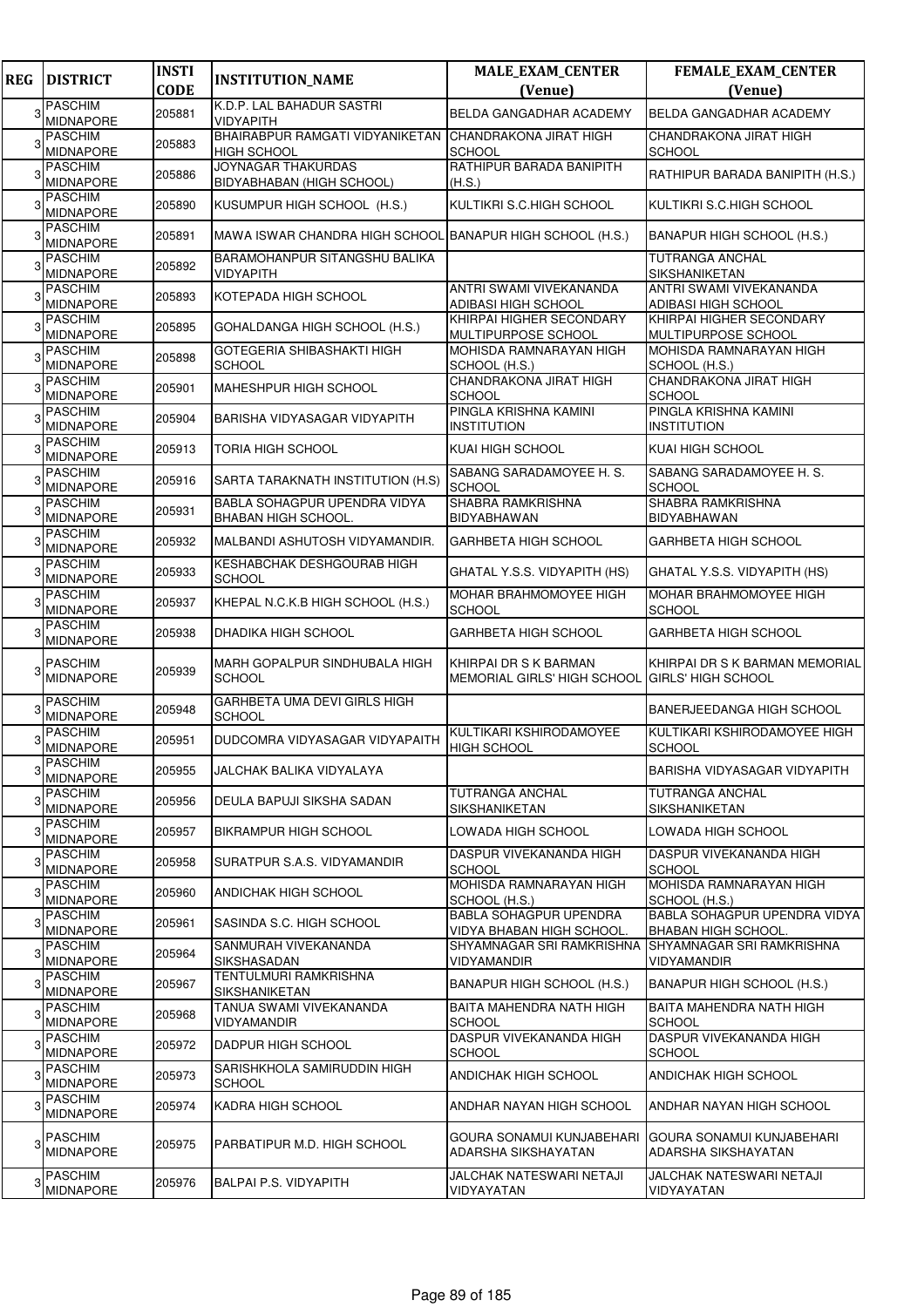| <b>REG</b> | <b>DISTRICT</b>                    | <b>INSTI</b><br><b>CODE</b> | <b>INSTITUTION_NAME</b>                                       | <b>MALE_EXAM_CENTER</b><br>(Venue)                                      | FEMALE_EXAM_CENTER<br>(Venue)                              |
|------------|------------------------------------|-----------------------------|---------------------------------------------------------------|-------------------------------------------------------------------------|------------------------------------------------------------|
| 3          | <b>PASCHIM</b>                     | 205881                      | K.D.P. LAL BAHADUR SASTRI                                     | BELDA GANGADHAR ACADEMY                                                 | BELDA GANGADHAR ACADEMY                                    |
|            | <b>MIDNAPORE</b>                   |                             | <b>VIDYAPITH</b>                                              |                                                                         |                                                            |
|            | <b>PASCHIM</b><br><b>MIDNAPORE</b> | 205883                      | BHAIRABPUR RAMGATI VIDYANIKETAN<br>HIGH SCHOOL                | CHANDRAKONA JIRAT HIGH<br><b>SCHOOL</b>                                 | CHANDRAKONA JIRAT HIGH<br><b>SCHOOL</b>                    |
| 3          | <b>PASCHIM</b><br><b>MIDNAPORE</b> | 205886                      | <b>JOYNAGAR THAKURDAS</b><br><b>BIDYABHABAN (HIGH SCHOOL)</b> | RATHIPUR BARADA BANIPITH<br>(H.S.)                                      | RATHIPUR BARADA BANIPITH (H.S.)                            |
|            | <b>PASCHIM</b><br>MIDNAPORE        | 205890                      | KUSUMPUR HIGH SCHOOL (H.S.)                                   | KULTIKRI S.C.HIGH SCHOOL                                                | KULTIKRI S.C.HIGH SCHOOL                                   |
|            | <b>PASCHIM</b><br>MIDNAPORE        | 205891                      | MAWA ISWAR CHANDRA HIGH SCHOOL BANAPUR HIGH SCHOOL (H.S.)     |                                                                         | BANAPUR HIGH SCHOOL (H.S.)                                 |
|            | <b>PASCHIM</b><br><b>MIDNAPORE</b> | 205892                      | BARAMOHANPUR SITANGSHU BALIKA<br><b>VIDYAPITH</b>             |                                                                         | TUTRANGA ANCHAL<br>SIKSHANIKETAN                           |
|            | <b>PASCHIM</b><br>MIDNAPORE        | 205893                      | KOTEPADA HIGH SCHOOL                                          | ANTRI SWAMI VIVEKANANDA<br>ADIBASI HIGH SCHOOL                          | ANTRI SWAMI VIVEKANANDA<br>ADIBASI HIGH SCHOOL             |
|            | <b>PASCHIM</b><br><b>MIDNAPORE</b> | 205895                      | GOHALDANGA HIGH SCHOOL (H.S.)                                 | KHIRPAI HIGHER SECONDARY<br>MULTIPURPOSE SCHOOL                         | KHIRPAI HIGHER SECONDARY<br>MULTIPURPOSE SCHOOL            |
|            | <b>PASCHIM</b><br><b>MIDNAPORE</b> | 205898                      | GOTEGERIA SHIBASHAKTI HIGH<br><b>SCHOOL</b>                   | MOHISDA RAMNARAYAN HIGH<br>SCHOOL (H.S.)                                | MOHISDA RAMNARAYAN HIGH<br>SCHOOL (H.S.)                   |
|            | <b>PASCHIM</b><br><b>MIDNAPORE</b> | 205901                      | MAHESHPUR HIGH SCHOOL                                         | CHANDRAKONA JIRAT HIGH<br><b>SCHOOL</b>                                 | CHANDRAKONA JIRAT HIGH<br><b>SCHOOL</b>                    |
|            | <b>PASCHIM</b><br><b>MIDNAPORE</b> | 205904                      | BARISHA VIDYASAGAR VIDYAPITH                                  | PINGLA KRISHNA KAMINI<br>INSTITUTION                                    | PINGLA KRISHNA KAMINI<br><b>INSTITUTION</b>                |
|            | <b>PASCHIM</b><br><b>MIDNAPORE</b> | 205913                      | TORIA HIGH SCHOOL                                             | <b>KUAI HIGH SCHOOL</b>                                                 | <b>KUAI HIGH SCHOOL</b>                                    |
|            | <b>PASCHIM</b><br><b>MIDNAPORE</b> | 205916                      | SARTA TARAKNATH INSTITUTION (H.S)                             | SABANG SARADAMOYEE H. S.<br><b>SCHOOL</b>                               | SABANG SARADAMOYEE H. S.<br><b>SCHOOL</b>                  |
|            | <b>PASCHIM</b><br><b>MIDNAPORE</b> | 205931                      | BABLA SOHAGPUR UPENDRA VIDYA<br>BHABAN HIGH SCHOOL.           | SHABRA RAMKRISHNA<br>BIDYABHAWAN                                        | SHABRA RAMKRISHNA<br>BIDYABHAWAN                           |
|            | <b>PASCHIM</b><br><b>MIDNAPORE</b> | 205932                      | MALBANDI ASHUTOSH VIDYAMANDIR.                                | <b>GARHBETA HIGH SCHOOL</b>                                             | <b>GARHBETA HIGH SCHOOL</b>                                |
|            | <b>PASCHIM</b><br>MIDNAPORE        | 205933                      | KESHABCHAK DESHGOURAB HIGH<br><b>SCHOOL</b>                   | GHATAL Y.S.S. VIDYAPITH (HS)                                            | GHATAL Y.S.S. VIDYAPITH (HS)                               |
|            | <b>PASCHIM</b><br><b>MIDNAPORE</b> | 205937                      | KHEPAL N.C.K.B HIGH SCHOOL (H.S.)                             | MOHAR BRAHMOMOYEE HIGH<br><b>SCHOOL</b>                                 | MOHAR BRAHMOMOYEE HIGH<br><b>SCHOOL</b>                    |
|            | <b>PASCHIM</b><br><b>MIDNAPORE</b> | 205938                      | DHADIKA HIGH SCHOOL                                           | GARHBETA HIGH SCHOOL                                                    | <b>GARHBETA HIGH SCHOOL</b>                                |
|            | <b>PASCHIM</b><br><b>MIDNAPORE</b> | 205939                      | MARH GOPALPUR SINDHUBALA HIGH<br><b>SCHOOL</b>                | KHIRPAI DR S K BARMAN<br>MEMORIAL GIRLS' HIGH SCHOOL GIRLS' HIGH SCHOOL | KHIRPAI DR S K BARMAN MEMORIAL                             |
|            | <b>PASCHIM</b><br><b>MIDNAPORE</b> | 205948                      | <b>GARHBETA UMA DEVI GIRLS HIGH</b><br><b>SCHOOL</b>          |                                                                         | <b>BANERJEEDANGA HIGH SCHOOL</b>                           |
|            | <b>PASCHIM</b><br><b>MIDNAPORE</b> | 205951                      | DUDCOMRA VIDYASAGAR VIDYAPAITH                                | KULTIKARI KSHIRODAMOYEE<br>HIGH SCHOOL                                  | KULTIKARI KSHIRODAMOYEE HIGH<br><b>SCHOOL</b>              |
| 3          | <b>PASCHIM</b><br><b>MIDNAPORE</b> | 205955                      | JALCHAK BALIKA VIDYALAYA                                      |                                                                         | BARISHA VIDYASAGAR VIDYAPITH                               |
| 3          | <b>PASCHIM</b><br><b>MIDNAPORE</b> | 205956                      | DEULA BAPUJI SIKSHA SADAN                                     | TUTRANGA ANCHAL<br><b>SIKSHANIKETAN</b>                                 | <b>TUTRANGA ANCHAL</b><br><b>SIKSHANIKETAN</b>             |
|            | <b>PASCHIM</b><br>MIDNAPORE        | 205957                      | <b>BIKRAMPUR HIGH SCHOOL</b>                                  | LOWADA HIGH SCHOOL                                                      | LOWADA HIGH SCHOOL                                         |
| 3          | PASCHIM<br><b>MIDNAPORE</b>        | 205958                      | SURATPUR S.A.S. VIDYAMANDIR                                   | DASPUR VIVEKANANDA HIGH<br><b>SCHOOL</b>                                | DASPUR VIVEKANANDA HIGH<br><b>SCHOOL</b>                   |
| 3          | <b>PASCHIM</b><br>MIDNAPORE        | 205960                      | ANDICHAK HIGH SCHOOL                                          | MOHISDA RAMNARAYAN HIGH<br>SCHOOL (H.S.)                                | MOHISDA RAMNARAYAN HIGH<br>SCHOOL (H.S.)                   |
| 3          | <b>PASCHIM</b><br><b>MIDNAPORE</b> | 205961                      | SASINDA S.C. HIGH SCHOOL                                      | <b>BABLA SOHAGPUR UPENDRA</b><br>VIDYA BHABAN HIGH SCHOOL.              | BABLA SOHAGPUR UPENDRA VIDYA<br><b>BHABAN HIGH SCHOOL.</b> |
| 3          | <b>PASCHIM</b><br><b>MIDNAPORE</b> | 205964                      | SANMURAH VIVEKANANDA<br>SIKSHASADAN                           | SHYAMNAGAR SRI RAMKRISHNA<br>VIDYAMANDIR                                | SHYAMNAGAR SRI RAMKRISHNA<br>VIDYAMANDIR                   |
| 3          | <b>PASCHIM</b><br><b>MIDNAPORE</b> | 205967                      | TENTULMURI RAMKRISHNA<br>SIKSHANIKETAN                        | BANAPUR HIGH SCHOOL (H.S.)                                              | BANAPUR HIGH SCHOOL (H.S.)                                 |
| 3          | <b>PASCHIM</b><br>MIDNAPORE        | 205968                      | TANUA SWAMI VIVEKANANDA<br>VIDYAMANDIR                        | BAITA MAHENDRA NATH HIGH<br><b>SCHOOL</b>                               | BAITA MAHENDRA NATH HIGH<br><b>SCHOOL</b>                  |
|            | <b>PASCHIM</b><br><b>MIDNAPORE</b> | 205972                      | DADPUR HIGH SCHOOL                                            | DASPUR VIVEKANANDA HIGH<br><b>SCHOOL</b>                                | DASPUR VIVEKANANDA HIGH<br><b>SCHOOL</b>                   |
| 3          | <b>PASCHIM</b><br><b>MIDNAPORE</b> | 205973                      | SARISHKHOLA SAMIRUDDIN HIGH<br><b>SCHOOL</b>                  | ANDICHAK HIGH SCHOOL                                                    | ANDICHAK HIGH SCHOOL                                       |
|            | <b>PASCHIM</b><br>MIDNAPORE        | 205974                      | KADRA HIGH SCHOOL                                             | ANDHAR NAYAN HIGH SCHOOL                                                | ANDHAR NAYAN HIGH SCHOOL                                   |
|            | <b>PASCHIM</b><br><b>MIDNAPORE</b> | 205975                      | PARBATIPUR M.D. HIGH SCHOOL                                   | GOURA SONAMUI KUNJABEHARI<br>ADARSHA SIKSHAYATAN                        | <b>GOURA SONAMUI KUNJABEHARI</b><br>ADARSHA SIKSHAYATAN    |
| 3          | <b>PASCHIM</b><br>MIDNAPORE        | 205976                      | BALPAI P.S. VIDYAPITH                                         | <b>JALCHAK NATESWARI NETAJI</b><br>VIDYAYATAN                           | JALCHAK NATESWARI NETAJI<br>VIDYAYATAN                     |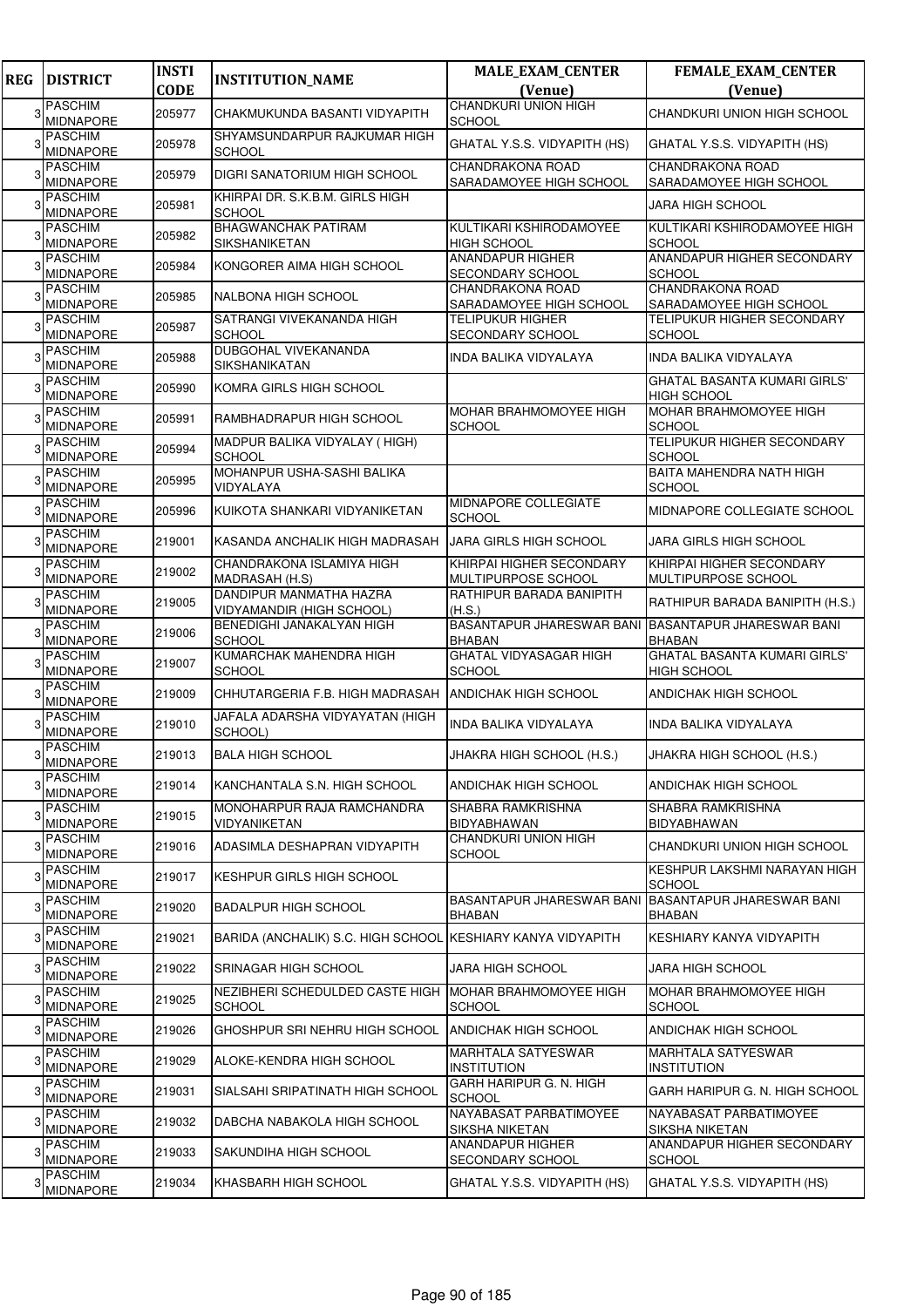| <b>REG</b> | <b>DISTRICT</b>                    | <b>INSTI</b> | <b>INSTITUTION_NAME</b>                                       | <b>MALE_EXAM_CENTER</b>                            | FEMALE_EXAM_CENTER                                    |
|------------|------------------------------------|--------------|---------------------------------------------------------------|----------------------------------------------------|-------------------------------------------------------|
|            |                                    | <b>CODE</b>  |                                                               | (Venue)                                            | (Venue)                                               |
| 3          | <b>PASCHIM</b><br><b>MIDNAPORE</b> | 205977       | CHAKMUKUNDA BASANTI VIDYAPITH                                 | <b>CHANDKURI UNION HIGH</b>                        | CHANDKURI UNION HIGH SCHOOL                           |
|            | <b>PASCHIM</b>                     |              | SHYAMSUNDARPUR RAJKUMAR HIGH                                  | <b>SCHOOL</b>                                      |                                                       |
|            | <b>MIDNAPORE</b>                   | 205978       | <b>SCHOOL</b>                                                 | GHATAL Y.S.S. VIDYAPITH (HS)                       | GHATAL Y.S.S. VIDYAPITH (HS)                          |
| 3          | <b>PASCHIM</b>                     | 205979       | DIGRI SANATORIUM HIGH SCHOOL                                  | <b>CHANDRAKONA ROAD</b>                            | CHANDRAKONA ROAD                                      |
|            | <b>MIDNAPORE</b><br><b>PASCHIM</b> |              | KHIRPAI DR. S.K.B.M. GIRLS HIGH                               | SARADAMOYEE HIGH SCHOOL                            | SARADAMOYEE HIGH SCHOOL                               |
| 3          | <b>MIDNAPORE</b>                   | 205981       | <b>SCHOOL</b>                                                 |                                                    | <b>JARA HIGH SCHOOL</b>                               |
|            | <b>PASCHIM</b>                     | 205982       | <b>BHAGWANCHAK PATIRAM</b>                                    | KULTIKARI KSHIRODAMOYEE                            | KULTIKARI KSHIRODAMOYEE HIGH                          |
|            | <b>MIDNAPORE</b><br><b>PASCHIM</b> |              | SIKSHANIKETAN                                                 | <b>HIGH SCHOOL</b><br><b>ANANDAPUR HIGHER</b>      | <b>SCHOOL</b><br>ANANDAPUR HIGHER SECONDARY           |
|            | <b>MIDNAPORE</b>                   | 205984       | KONGORER AIMA HIGH SCHOOL                                     | SECONDARY SCHOOL                                   | <b>SCHOOL</b>                                         |
|            | <b>PASCHIM</b>                     | 205985       | NALBONA HIGH SCHOOL                                           | CHANDRAKONA ROAD                                   | CHANDRAKONA ROAD                                      |
|            | <b>MIDNAPORE</b><br><b>PASCHIM</b> |              | SATRANGI VIVEKANANDA HIGH                                     | SARADAMOYEE HIGH SCHOOL<br><b>TELIPUKUR HIGHER</b> | SARADAMOYEE HIGH SCHOOL<br>TELIPUKUR HIGHER SECONDARY |
|            | <b>MIDNAPORE</b>                   | 205987       | <b>SCHOOL</b>                                                 | <b>SECONDARY SCHOOL</b>                            | <b>SCHOOL</b>                                         |
|            | <b>PASCHIM</b>                     | 205988       | DUBGOHAL VIVEKANANDA                                          | INDA BALIKA VIDYALAYA                              | INDA BALIKA VIDYALAYA                                 |
|            | <b>MIDNAPORE</b><br><b>PASCHIM</b> |              | SIKSHANIKATAN                                                 |                                                    | <b>GHATAL BASANTA KUMARI GIRLS'</b>                   |
|            | <b>MIDNAPORE</b>                   | 205990       | KOMRA GIRLS HIGH SCHOOL                                       |                                                    | <b>HIGH SCHOOL</b>                                    |
| 3          | <b>PASCHIM</b>                     | 205991       | RAMBHADRAPUR HIGH SCHOOL                                      | <b>MOHAR BRAHMOMOYEE HIGH</b>                      | <b>MOHAR BRAHMOMOYEE HIGH</b>                         |
|            | <b>MIDNAPORE</b><br><b>PASCHIM</b> |              | MADPUR BALIKA VIDYALAY (HIGH)                                 | <b>SCHOOL</b>                                      | <b>SCHOOL</b><br>TELIPUKUR HIGHER SECONDARY           |
|            | <b>MIDNAPORE</b>                   | 205994       | <b>SCHOOL</b>                                                 |                                                    | SCHOOL                                                |
|            | <b>PASCHIM</b>                     | 205995       | MOHANPUR USHA-SASHI BALIKA                                    |                                                    | BAITA MAHENDRA NATH HIGH                              |
|            | <b>MIDNAPORE</b><br><b>PASCHIM</b> |              | VIDYALAYA                                                     | MIDNAPORE COLLEGIATE                               | <b>SCHOOL</b>                                         |
| 3          | <b>MIDNAPORE</b>                   | 205996       | KUIKOTA SHANKARI VIDYANIKETAN                                 | SCHOOL                                             | MIDNAPORE COLLEGIATE SCHOOL                           |
|            | <b>PASCHIM</b>                     | 219001       | KASANDA ANCHALIK HIGH MADRASAH                                | <b>JARA GIRLS HIGH SCHOOL</b>                      | <b>JARA GIRLS HIGH SCHOOL</b>                         |
|            | <b>MIDNAPORE</b><br><b>PASCHIM</b> |              | CHANDRAKONA ISLAMIYA HIGH                                     | KHIRPAI HIGHER SECONDARY                           | KHIRPAI HIGHER SECONDARY                              |
|            | <b>MIDNAPORE</b>                   | 219002       | MADRASAH (H.S)                                                | MULTIPURPOSE SCHOOL                                | MULTIPURPOSE SCHOOL                                   |
| 3          | <b>PASCHIM</b>                     | 219005       | DANDIPUR MANMATHA HAZRA                                       | RATHIPUR BARADA BANIPITH                           | RATHIPUR BARADA BANIPITH (H.S.)                       |
|            | <b>MIDNAPORE</b><br><b>PASCHIM</b> |              | <b>VIDYAMANDIR (HIGH SCHOOL)</b><br>BENEDIGHI JANAKALYAN HIGH | (H.S.)<br><b>BASANTAPUR JHARESWAR BANI</b>         | <b>BASANTAPUR JHARESWAR BANI</b>                      |
|            | <b>MIDNAPORE</b>                   | 219006       | <b>SCHOOL</b>                                                 | <b>BHABAN</b>                                      | <b>BHABAN</b>                                         |
|            | <b>PASCHIM</b>                     | 219007       | KUMARCHAK MAHENDRA HIGH                                       | <b>GHATAL VIDYASAGAR HIGH</b>                      | <b>GHATAL BASANTA KUMARI GIRLS'</b>                   |
|            | <b>MIDNAPORE</b><br><b>PASCHIM</b> |              | <b>SCHOOL</b>                                                 | <b>SCHOOL</b>                                      | <b>HIGH SCHOOL</b>                                    |
| 3          | <b>MIDNAPORE</b>                   | 219009       | CHHUTARGERIA F.B. HIGH MADRASAH                               | <b>ANDICHAK HIGH SCHOOL</b>                        | ANDICHAK HIGH SCHOOL                                  |
|            | <b>PASCHIM</b><br><b>MIDNAPORE</b> | 219010       | JAFALA ADARSHA VIDYAYATAN (HIGH<br>SCHOOL)                    | <b>INDA BALIKA VIDYALAYA</b>                       | INDA BALIKA VIDYALAYA                                 |
|            | <b>PASCHIM</b>                     |              |                                                               |                                                    |                                                       |
|            | <b>MIDNAPORE</b>                   | 219013       | <b>BALA HIGH SCHOOL</b>                                       | JHAKRA HIGH SCHOOL (H.S.)                          | JHAKRA HIGH SCHOOL (H.S.)                             |
| 3          | <b>PASCHIM</b><br><b>MIDNAPORE</b> | 219014       | KANCHANTALA S.N. HIGH SCHOOL                                  | ANDICHAK HIGH SCHOOL                               | ANDICHAK HIGH SCHOOL                                  |
|            | <b>PASCHIM</b>                     |              | MONOHARPUR RAJA RAMCHANDRA                                    | SHABRA RAMKRISHNA                                  | SHABRA RAMKRISHNA                                     |
| 3          | <b>MIDNAPORE</b>                   | 219015       | VIDYANIKETAN                                                  | BIDYABHAWAN                                        | <b>BIDYABHAWAN</b>                                    |
| 3          | <b>PASCHIM</b><br><b>MIDNAPORE</b> | 219016       | ADASIMLA DESHAPRAN VIDYAPITH                                  | CHANDKURI UNION HIGH<br>SCHOOL                     | CHANDKURI UNION HIGH SCHOOL                           |
|            | <b>PASCHIM</b>                     | 219017       | KESHPUR GIRLS HIGH SCHOOL                                     |                                                    | KESHPUR LAKSHMI NARAYAN HIGH                          |
|            | <b>MIDNAPORE</b>                   |              |                                                               |                                                    | <b>SCHOOL</b>                                         |
| 3          | <b>PASCHIM</b><br><b>MIDNAPORE</b> | 219020       | <b>BADALPUR HIGH SCHOOL</b>                                   | BASANTAPUR JHARESWAR BANI<br><b>BHABAN</b>         | BASANTAPUR JHARESWAR BANI<br><b>BHABAN</b>            |
| 3          | <b>PASCHIM</b>                     | 219021       | BARIDA (ANCHALIK) S.C. HIGH SCHOOL                            | KESHIARY KANYA VIDYAPITH                           | KESHIARY KANYA VIDYAPITH                              |
|            | <b>MIDNAPORE</b>                   |              |                                                               |                                                    |                                                       |
| 3          | <b>PASCHIM</b><br><b>MIDNAPORE</b> | 219022       | SRINAGAR HIGH SCHOOL                                          | JARA HIGH SCHOOL                                   | <b>JARA HIGH SCHOOL</b>                               |
|            | <b>PASCHIM</b>                     | 219025       | NEZIBHERI SCHEDULDED CASTE HIGH                               | <b>MOHAR BRAHMOMOYEE HIGH</b>                      | MOHAR BRAHMOMOYEE HIGH                                |
|            | <b>MIDNAPORE</b>                   |              | <b>SCHOOL</b>                                                 | <b>SCHOOL</b>                                      | <b>SCHOOL</b>                                         |
| 3          | <b>PASCHIM</b><br><b>MIDNAPORE</b> | 219026       | GHOSHPUR SRI NEHRU HIGH SCHOOL                                | ANDICHAK HIGH SCHOOL                               | ANDICHAK HIGH SCHOOL                                  |
| 3          | <b>PASCHIM</b>                     | 219029       | ALOKE-KENDRA HIGH SCHOOL                                      | MARHTALA SATYESWAR                                 | <b>MARHTALA SATYESWAR</b>                             |
|            | MIDNAPORE<br><b>PASCHIM</b>        |              |                                                               | INSTITUTION<br>GARH HARIPUR G. N. HIGH             | <b>INSTITUTION</b>                                    |
|            | <b>MIDNAPORE</b>                   | 219031       | SIALSAHI SRIPATINATH HIGH SCHOOL                              | <b>SCHOOL</b>                                      | GARH HARIPUR G. N. HIGH SCHOOL                        |
| 3          | <b>PASCHIM</b>                     | 219032       | DABCHA NABAKOLA HIGH SCHOOL                                   | NAYABASAT PARBATIMOYEE                             | NAYABASAT PARBATIMOYEE                                |
|            | <b>MIDNAPORE</b><br><b>PASCHIM</b> |              |                                                               | SIKSHA NIKETAN<br>ANANDAPUR HIGHER                 | SIKSHA NIKETAN<br>ANANDAPUR HIGHER SECONDARY          |
| 3          | <b>MIDNAPORE</b>                   | 219033       | SAKUNDIHA HIGH SCHOOL                                         | SECONDARY SCHOOL                                   | <b>SCHOOL</b>                                         |
| 3          | <b>PASCHIM</b>                     | 219034       | KHASBARH HIGH SCHOOL                                          | GHATAL Y.S.S. VIDYAPITH (HS)                       | GHATAL Y.S.S. VIDYAPITH (HS)                          |
|            | MIDNAPORE                          |              |                                                               |                                                    |                                                       |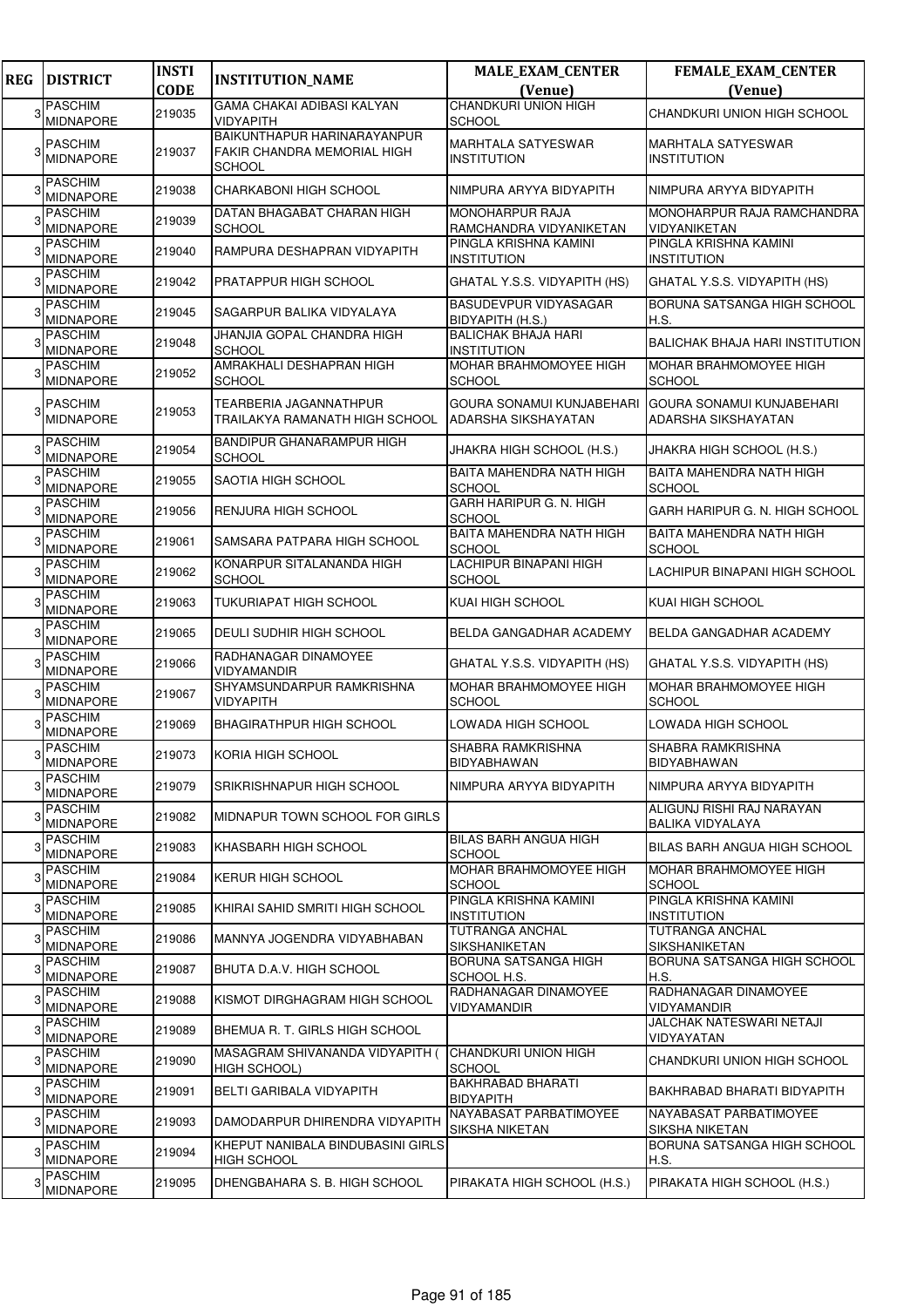| <b>REG</b> | <b>DISTRICT</b>                    | <b>INSTI</b><br><b>CODE</b> | <b>INSTITUTION_NAME</b>                                                     | <b>MALE_EXAM_CENTER</b>                                 | <b>FEMALE_EXAM_CENTER</b>                                      |
|------------|------------------------------------|-----------------------------|-----------------------------------------------------------------------------|---------------------------------------------------------|----------------------------------------------------------------|
|            | <b>PASCHIM</b>                     |                             | GAMA CHAKAI ADIBASI KALYAN                                                  | (Venue)<br><b>CHANDKURI UNION HIGH</b>                  | (Venue)                                                        |
| 3          | MIDNAPORE                          | 219035                      | <b>VIDYAPITH</b>                                                            | <b>SCHOOL</b>                                           | CHANDKURI UNION HIGH SCHOOL                                    |
|            | <b>PASCHIM</b><br><b>MIDNAPORE</b> | 219037                      | BAIKUNTHAPUR HARINARAYANPUR<br>FAKIR CHANDRA MEMORIAL HIGH<br><b>SCHOOL</b> | <b>MARHTALA SATYESWAR</b><br><b>INSTITUTION</b>         | MARHTALA SATYESWAR<br><b>INSTITUTION</b>                       |
|            | <b>PASCHIM</b><br><b>MIDNAPORE</b> | 219038                      | CHARKABONI HIGH SCHOOL                                                      | NIMPURA ARYYA BIDYAPITH                                 | NIMPURA ARYYA BIDYAPITH                                        |
|            | <b>PASCHIM</b><br><b>MIDNAPORE</b> | 219039                      | DATAN BHAGABAT CHARAN HIGH<br><b>SCHOOL</b>                                 | MONOHARPUR RAJA<br>RAMCHANDRA VIDYANIKETAN              | MONOHARPUR RAJA RAMCHANDRA<br>VIDYANIKETAN                     |
|            | <b>PASCHIM</b><br><b>MIDNAPORE</b> | 219040                      | RAMPURA DESHAPRAN VIDYAPITH                                                 | PINGLA KRISHNA KAMINI<br><b>INSTITUTION</b>             | PINGLA KRISHNA KAMINI<br><b>INSTITUTION</b>                    |
|            | <b>PASCHIM</b><br><b>MIDNAPORE</b> | 219042                      | PRATAPPUR HIGH SCHOOL                                                       | GHATAL Y.S.S. VIDYAPITH (HS)                            | GHATAL Y.S.S. VIDYAPITH (HS)                                   |
|            | <b>PASCHIM</b><br><b>MIDNAPORE</b> | 219045                      | SAGARPUR BALIKA VIDYALAYA                                                   | BASUDEVPUR VIDYASAGAR<br>BIDYAPITH (H.S.)               | BORUNA SATSANGA HIGH SCHOOL<br>H.S.                            |
|            | <b>PASCHIM</b><br><b>MIDNAPORE</b> | 219048                      | JHANJIA GOPAL CHANDRA HIGH<br><b>SCHOOL</b>                                 | <b>BALICHAK BHAJA HARI</b><br><b>INSTITUTION</b>        | <b>BALICHAK BHAJA HARI INSTITUTION</b>                         |
|            | <b>PASCHIM</b><br><b>MIDNAPORE</b> | 219052                      | AMRAKHALI DESHAPRAN HIGH<br><b>SCHOOL</b>                                   | MOHAR BRAHMOMOYEE HIGH<br><b>SCHOOL</b>                 | MOHAR BRAHMOMOYEE HIGH<br><b>SCHOOL</b>                        |
|            | <b>PASCHIM</b><br><b>MIDNAPORE</b> | 219053                      | TEARBERIA JAGANNATHPUR<br>TRAILAKYA RAMANATH HIGH SCHOOL                    | <b>GOURA SONAMUI KUNJABEHARI</b><br>ADARSHA SIKSHAYATAN | <b>GOURA SONAMUI KUNJABEHARI</b><br><b>ADARSHA SIKSHAYATAN</b> |
|            | <b>PASCHIM</b><br><b>MIDNAPORE</b> | 219054                      | <b>BANDIPUR GHANARAMPUR HIGH</b><br><b>SCHOOL</b>                           | JHAKRA HIGH SCHOOL (H.S.)                               | JHAKRA HIGH SCHOOL (H.S.)                                      |
|            | <b>PASCHIM</b><br><b>MIDNAPORE</b> | 219055                      | SAOTIA HIGH SCHOOL                                                          | BAITA MAHENDRA NATH HIGH<br><b>SCHOOL</b>               | BAITA MAHENDRA NATH HIGH<br><b>SCHOOL</b>                      |
|            | <b>PASCHIM</b><br><b>MIDNAPORE</b> | 219056                      | <b>RENJURA HIGH SCHOOL</b>                                                  | GARH HARIPUR G. N. HIGH<br><b>SCHOOL</b>                | GARH HARIPUR G. N. HIGH SCHOOL                                 |
|            | <b>PASCHIM</b><br><b>MIDNAPORE</b> | 219061                      | SAMSARA PATPARA HIGH SCHOOL                                                 | BAITA MAHENDRA NATH HIGH<br><b>SCHOOL</b>               | <b>BAITA MAHENDRA NATH HIGH</b><br><b>SCHOOL</b>               |
|            | <b>PASCHIM</b><br>MIDNAPORE        | 219062                      | KONARPUR SITALANANDA HIGH<br><b>SCHOOL</b>                                  | LACHIPUR BINAPANI HIGH<br><b>SCHOOL</b>                 | LACHIPUR BINAPANI HIGH SCHOOL                                  |
|            | <b>PASCHIM</b><br><b>MIDNAPORE</b> | 219063                      | TUKURIAPAT HIGH SCHOOL                                                      | KUAI HIGH SCHOOL                                        | KUAI HIGH SCHOOL                                               |
|            | <b>PASCHIM</b><br><b>MIDNAPORE</b> | 219065                      | DEULI SUDHIR HIGH SCHOOL                                                    | BELDA GANGADHAR ACADEMY                                 | BELDA GANGADHAR ACADEMY                                        |
|            | <b>PASCHIM</b><br><b>MIDNAPORE</b> | 219066                      | RADHANAGAR DINAMOYEE<br><b>VIDYAMANDIR</b>                                  | GHATAL Y.S.S. VIDYAPITH (HS)                            | GHATAL Y.S.S. VIDYAPITH (HS)                                   |
|            | <b>PASCHIM</b><br><b>MIDNAPORE</b> | 219067                      | SHYAMSUNDARPUR RAMKRISHNA<br>VIDYAPITH                                      | MOHAR BRAHMOMOYEE HIGH<br><b>SCHOOL</b>                 | MOHAR BRAHMOMOYEE HIGH<br><b>SCHOOL</b>                        |
|            | <b>PASCHIM</b><br><b>MIDNAPORE</b> | 219069                      | <b>BHAGIRATHPUR HIGH SCHOOL</b>                                             | LOWADA HIGH SCHOOL                                      | LOWADA HIGH SCHOOL                                             |
|            | <b>PASCHIM</b><br><b>MIDNAPORE</b> | 219073                      | KORIA HIGH SCHOOL                                                           | SHABRA RAMKRISHNA<br><b>BIDYABHAWAN</b>                 | SHABRA RAMKRISHNA<br><b>BIDYABHAWAN</b>                        |
|            | <b>PASCHIM</b><br><b>MIDNAPORE</b> | 219079                      | SRIKRISHNAPUR HIGH SCHOOL                                                   | NIMPURA ARYYA BIDYAPITH                                 | NIMPURA ARYYA BIDYAPITH                                        |
| 3          | <b>PASCHIM</b><br><b>MIDNAPORE</b> | 219082                      | MIDNAPUR TOWN SCHOOL FOR GIRLS                                              |                                                         | ALIGUNJ RISHI RAJ NARAYAN<br><b>BALIKA VIDYALAYA</b>           |
| 3          | <b>PASCHIM</b><br><b>MIDNAPORE</b> | 219083                      | KHASBARH HIGH SCHOOL                                                        | BILAS BARH ANGUA HIGH<br><b>SCHOOL</b>                  | <b>BILAS BARH ANGUA HIGH SCHOOL</b>                            |
|            | <b>PASCHIM</b><br><b>MIDNAPORE</b> | 219084                      | <b>KERUR HIGH SCHOOL</b>                                                    | MOHAR BRAHMOMOYEE HIGH<br><b>SCHOOL</b>                 | MOHAR BRAHMOMOYEE HIGH<br><b>SCHOOL</b>                        |
|            | <b>PASCHIM</b><br>MIDNAPORE        | 219085                      | KHIRAI SAHID SMRITI HIGH SCHOOL                                             | PINGLA KRISHNA KAMINI<br><b>INSTITUTION</b>             | PINGLA KRISHNA KAMINI<br><b>INSTITUTION</b>                    |
|            | <b>PASCHIM</b><br><b>MIDNAPORE</b> | 219086                      | MANNYA JOGENDRA VIDYABHABAN                                                 | TUTRANGA ANCHAL<br>SIKSHANIKETAN                        | TUTRANGA ANCHAL<br>SIKSHANIKETAN                               |
|            | <b>PASCHIM</b><br><b>MIDNAPORE</b> | 219087                      | BHUTA D.A.V. HIGH SCHOOL                                                    | BORUNA SATSANGA HIGH<br>SCHOOL H.S.                     | BORUNA SATSANGA HIGH SCHOOL<br>H.S.                            |
|            | <b>PASCHIM</b><br>MIDNAPORE        | 219088                      | KISMOT DIRGHAGRAM HIGH SCHOOL                                               | RADHANAGAR DINAMOYEE<br>VIDYAMANDIR                     | RADHANAGAR DINAMOYEE<br><b>VIDYAMANDIR</b>                     |
|            | <b>PASCHIM</b><br><b>MIDNAPORE</b> | 219089                      | BHEMUA R. T. GIRLS HIGH SCHOOL                                              |                                                         | JALCHAK NATESWARI NETAJI<br>VIDYAYATAN                         |
| 3          | <b>PASCHIM</b><br><b>MIDNAPORE</b> | 219090                      | MASAGRAM SHIVANANDA VIDYAPITH (<br><b>HIGH SCHOOL)</b>                      | <b>CHANDKURI UNION HIGH</b><br><b>SCHOOL</b>            | CHANDKURI UNION HIGH SCHOOL                                    |
|            | <b>PASCHIM</b><br><b>MIDNAPORE</b> | 219091                      | BELTI GARIBALA VIDYAPITH                                                    | <b>BAKHRABAD BHARATI</b><br><b>BIDYAPITH</b>            | BAKHRABAD BHARATI BIDYAPITH                                    |
|            | <b>PASCHIM</b><br><b>MIDNAPORE</b> | 219093                      | DAMODARPUR DHIRENDRA VIDYAPITH                                              | NAYABASAT PARBATIMOYEE<br>SIKSHA NIKETAN                | NAYABASAT PARBATIMOYEE<br><b>SIKSHA NIKETAN</b>                |
| 3          | <b>PASCHIM</b><br><b>MIDNAPORE</b> | 219094                      | KHEPUT NANIBALA BINDUBASINI GIRLS<br><b>HIGH SCHOOL</b>                     |                                                         | BORUNA SATSANGA HIGH SCHOOL<br>H.S.                            |
|            | <b>PASCHIM</b><br><b>MIDNAPORE</b> | 219095                      | DHENGBAHARA S. B. HIGH SCHOOL                                               | PIRAKATA HIGH SCHOOL (H.S.)                             | PIRAKATA HIGH SCHOOL (H.S.)                                    |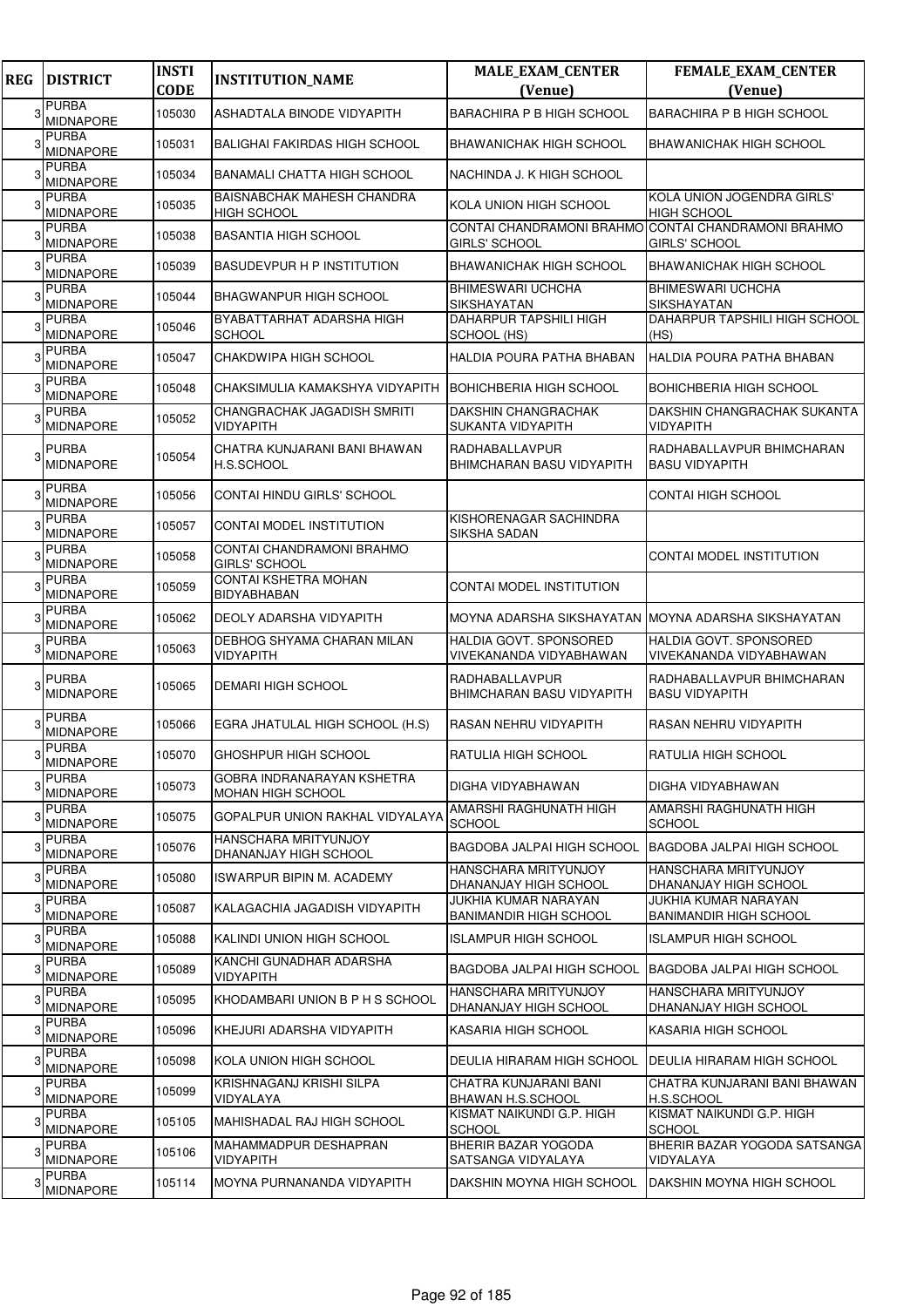| <b>REG</b> | <b>DISTRICT</b>                  | <b>INSTI</b><br><b>CODE</b> | <b>INSTITUTION_NAME</b>                                 | <b>MALE_EXAM_CENTER</b><br>(Venue)                  | FEMALE_EXAM_CENTER<br>(Venue)                                               |
|------------|----------------------------------|-----------------------------|---------------------------------------------------------|-----------------------------------------------------|-----------------------------------------------------------------------------|
| 3          | <b>PURBA</b><br><b>MIDNAPORE</b> | 105030                      | ASHADTALA BINODE VIDYAPITH                              | <b>BARACHIRA P B HIGH SCHOOL</b>                    | <b>BARACHIRA P B HIGH SCHOOL</b>                                            |
|            | <b>PURBA</b><br><b>MIDNAPORE</b> | 105031                      | <b>BALIGHAI FAKIRDAS HIGH SCHOOL</b>                    | BHAWANICHAK HIGH SCHOOL                             | BHAWANICHAK HIGH SCHOOL                                                     |
|            | <b>PURBA</b><br><b>MIDNAPORE</b> | 105034                      | <b>BANAMALI CHATTA HIGH SCHOOL</b>                      | NACHINDA J. K HIGH SCHOOL                           |                                                                             |
|            | <b>PURBA</b><br><b>MIDNAPORE</b> | 105035                      | <b>BAISNABCHAK MAHESH CHANDRA</b><br><b>HIGH SCHOOL</b> | KOLA UNION HIGH SCHOOL                              | KOLA UNION JOGENDRA GIRLS'<br><b>HIGH SCHOOL</b>                            |
|            | <b>PURBA</b><br><b>MIDNAPORE</b> | 105038                      | <b>BASANTIA HIGH SCHOOL</b>                             | GIRLS' SCHOOL                                       | CONTAI CHANDRAMONI BRAHMO CONTAI CHANDRAMONI BRAHMO<br><b>GIRLS' SCHOOL</b> |
|            | <b>PURBA</b><br><b>MIDNAPORE</b> | 105039                      | <b>BASUDEVPUR H P INSTITUTION</b>                       | BHAWANICHAK HIGH SCHOOL                             | <b>BHAWANICHAK HIGH SCHOOL</b>                                              |
|            | <b>PURBA</b><br><b>MIDNAPORE</b> | 105044                      | <b>BHAGWANPUR HIGH SCHOOL</b>                           | <b>BHIMESWARI UCHCHA</b><br>SIKSHAYATAN             | <b>BHIMESWARI UCHCHA</b><br><b>SIKSHAYATAN</b>                              |
|            | <b>PURBA</b><br><b>MIDNAPORE</b> | 105046                      | BYABATTARHAT ADARSHA HIGH<br>SCHOOL                     | DAHARPUR TAPSHILI HIGH<br>SCHOOL (HS)               | DAHARPUR TAPSHILI HIGH SCHOOL<br>(HS)                                       |
|            | <b>PURBA</b><br><b>MIDNAPORE</b> | 105047                      | CHAKDWIPA HIGH SCHOOL                                   | HALDIA POURA PATHA BHABAN                           | HALDIA POURA PATHA BHABAN                                                   |
|            | <b>PURBA</b><br><b>MIDNAPORE</b> | 105048                      | CHAKSIMULIA KAMAKSHYA VIDYAPITH                         | <b>BOHICHBERIA HIGH SCHOOL</b>                      | <b>BOHICHBERIA HIGH SCHOOL</b>                                              |
|            | <b>PURBA</b><br><b>MIDNAPORE</b> | 105052                      | CHANGRACHAK JAGADISH SMRITI<br><b>VIDYAPITH</b>         | DAKSHIN CHANGRACHAK<br>SUKANTA VIDYAPITH            | DAKSHIN CHANGRACHAK SUKANTA<br><b>VIDYAPITH</b>                             |
|            | <b>PURBA</b><br><b>MIDNAPORE</b> | 105054                      | CHATRA KUNJARANI BANI BHAWAN<br>H.S.SCHOOL              | RADHABALLAVPUR<br>BHIMCHARAN BASU VIDYAPITH         | RADHABALLAVPUR BHIMCHARAN<br><b>BASU VIDYAPITH</b>                          |
|            | <b>PURBA</b><br><b>MIDNAPORE</b> | 105056                      | CONTAI HINDU GIRLS' SCHOOL                              |                                                     | <b>CONTAI HIGH SCHOOL</b>                                                   |
|            | <b>PURBA</b><br><b>MIDNAPORE</b> | 105057                      | CONTAI MODEL INSTITUTION                                | KISHORENAGAR SACHINDRA<br>SIKSHA SADAN              |                                                                             |
|            | <b>PURBA</b><br><b>MIDNAPORE</b> | 105058                      | CONTAI CHANDRAMONI BRAHMO<br><b>GIRLS' SCHOOL</b>       |                                                     | CONTAI MODEL INSTITUTION                                                    |
|            | <b>PURBA</b><br>MIDNAPORE        | 105059                      | <b>CONTAI KSHETRA MOHAN</b><br><b>BIDYABHABAN</b>       | CONTAI MODEL INSTITUTION                            |                                                                             |
|            | <b>PURBA</b><br>MIDNAPORE        | 105062                      | <b>DEOLY ADARSHA VIDYAPITH</b>                          | MOYNA ADARSHA SIKSHAYATAN MOYNA ADARSHA SIKSHAYATAN |                                                                             |
|            | <b>PURBA</b><br><b>MIDNAPORE</b> | 105063                      | DEBHOG SHYAMA CHARAN MILAN<br><b>VIDYAPITH</b>          | HALDIA GOVT. SPONSORED<br>VIVEKANANDA VIDYABHAWAN   | HALDIA GOVT. SPONSORED<br>VIVEKANANDA VIDYABHAWAN                           |
|            | <b>PURBA</b><br><b>MIDNAPORE</b> | 105065                      | <b>DEMARI HIGH SCHOOL</b>                               | RADHABALLAVPUR<br>BHIMCHARAN BASU VIDYAPITH         | RADHABALLAVPUR BHIMCHARAN<br><b>BASU VIDYAPITH</b>                          |
|            | <b>PURBA</b><br><b>MIDNAPORE</b> | 105066                      | EGRA JHATULAL HIGH SCHOOL (H.S)                         | RASAN NEHRU VIDYAPITH                               | RASAN NEHRU VIDYAPITH                                                       |
|            | <b>PURBA</b><br><b>MIDNAPORE</b> | 105070                      | <b>GHOSHPUR HIGH SCHOOL</b>                             | RATULIA HIGH SCHOOL                                 | <b>RATULIA HIGH SCHOOL</b>                                                  |
|            | <b>PURBA</b><br><b>MIDNAPORE</b> | 105073                      | GOBRA INDRANARAYAN KSHETRA<br><b>MOHAN HIGH SCHOOL</b>  | DIGHA VIDYABHAWAN                                   | DIGHA VIDYABHAWAN                                                           |
|            | <b>PURBA</b><br><b>MIDNAPORE</b> | 105075                      | GOPALPUR UNION RAKHAL VIDYALAYA                         | AMARSHI RAGHUNATH HIGH<br>SCHOOL                    | AMARSHI RAGHUNATH HIGH<br><b>SCHOOL</b>                                     |
|            | <b>PURBA</b><br><b>MIDNAPORE</b> | 105076                      | <b>HANSCHARA MRITYUNJOY</b><br>DHANANJAY HIGH SCHOOL    | BAGDOBA JALPAI HIGH SCHOOL                          | <b>BAGDOBA JALPAI HIGH SCHOOL</b>                                           |
|            | <b>PURBA</b><br>MIDNAPORE        | 105080                      | ISWARPUR BIPIN M. ACADEMY                               | HANSCHARA MRITYUNJOY<br>DHANANJAY HIGH SCHOOL       | <b>HANSCHARA MRITYUNJOY</b><br>DHANANJAY HIGH SCHOOL                        |
|            | <b>PURBA</b><br>MIDNAPORE        | 105087                      | KALAGACHIA JAGADISH VIDYAPITH                           | JUKHIA KUMAR NARAYAN<br>BANIMANDIR HIGH SCHOOL      | JUKHIA KUMAR NARAYAN<br><b>BANIMANDIR HIGH SCHOOL</b>                       |
|            | <b>PURBA</b><br><b>MIDNAPORE</b> | 105088                      | KALINDI UNION HIGH SCHOOL                               | ISLAMPUR HIGH SCHOOL                                | ISLAMPUR HIGH SCHOOL                                                        |
|            | PURBA<br><b>MIDNAPORE</b>        | 105089                      | KANCHI GUNADHAR ADARSHA<br><b>VIDYAPITH</b>             | BAGDOBA JALPAI HIGH SCHOOL                          | BAGDOBA JALPAI HIGH SCHOOL                                                  |
|            | <b>PURBA</b><br><b>MIDNAPORE</b> | 105095                      | KHODAMBARI UNION B P H S SCHOOL                         | HANSCHARA MRITYUNJOY<br>DHANANJAY HIGH SCHOOL       | HANSCHARA MRITYUNJOY<br>DHANANJAY HIGH SCHOOL                               |
|            | <b>PURBA</b><br><b>MIDNAPORE</b> | 105096                      | KHEJURI ADARSHA VIDYAPITH                               | KASARIA HIGH SCHOOL                                 | KASARIA HIGH SCHOOL                                                         |
| 3          | <b>PURBA</b><br><b>MIDNAPORE</b> | 105098                      | KOLA UNION HIGH SCHOOL                                  | DEULIA HIRARAM HIGH SCHOOL                          | DEULIA HIRARAM HIGH SCHOOL                                                  |
|            | <b>PURBA</b><br><b>MIDNAPORE</b> | 105099                      | KRISHNAGANJ KRISHI SILPA<br>VIDYALAYA                   | CHATRA KUNJARANI BANI<br>BHAWAN H.S.SCHOOL          | CHATRA KUNJARANI BANI BHAWAN<br>H.S.SCHOOL                                  |
|            | <b>PURBA</b><br><b>MIDNAPORE</b> | 105105                      | MAHISHADAL RAJ HIGH SCHOOL                              | KISMAT NAIKUNDI G.P. HIGH<br>SCHOOL                 | KISMAT NAIKUNDI G.P. HIGH<br><b>SCHOOL</b>                                  |
|            | <b>PURBA</b><br><b>MIDNAPORE</b> | 105106                      | MAHAMMADPUR DESHAPRAN<br><b>VIDYAPITH</b>               | BHERIR BAZAR YOGODA<br>SATSANGA VIDYALAYA           | BHERIR BAZAR YOGODA SATSANGA<br>VIDYALAYA                                   |
|            | <b>PURBA</b><br><b>MIDNAPORE</b> | 105114                      | MOYNA PURNANANDA VIDYAPITH                              | DAKSHIN MOYNA HIGH SCHOOL                           | DAKSHIN MOYNA HIGH SCHOOL                                                   |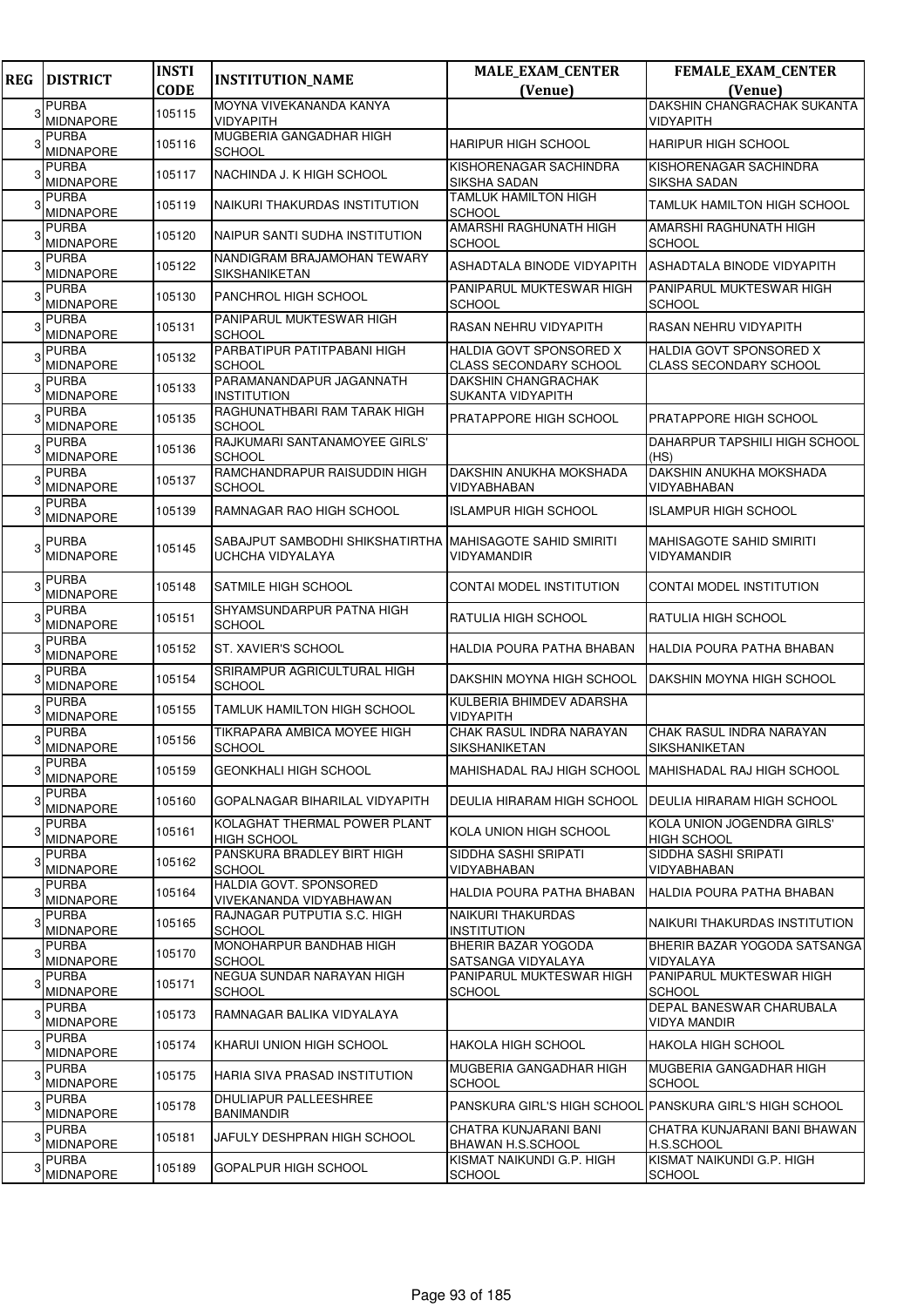| <b>REG</b> | <b>DISTRICT</b>                  | <b>INSTI</b> | <b>INSTITUTION_NAME</b>                                                      | <b>MALE_EXAM_CENTER</b>                                         | <b>FEMALE_EXAM_CENTER</b>                                |
|------------|----------------------------------|--------------|------------------------------------------------------------------------------|-----------------------------------------------------------------|----------------------------------------------------------|
|            | <b>PURBA</b>                     | <b>CODE</b>  | MOYNA VIVEKANANDA KANYA                                                      | (Venue)                                                         | (Venue)<br>DAKSHIN CHANGRACHAK SUKANTA                   |
| 3          | <b>MIDNAPORE</b>                 | 105115       | VIDYAPITH                                                                    |                                                                 | <b>VIDYAPITH</b>                                         |
|            | PURBA<br><b>MIDNAPORE</b>        | 105116       | MUGBERIA GANGADHAR HIGH<br><b>SCHOOL</b>                                     | <b>HARIPUR HIGH SCHOOL</b>                                      | <b>HARIPUR HIGH SCHOOL</b>                               |
|            | PURBA<br><b>MIDNAPORE</b>        | 105117       | NACHINDA J. K HIGH SCHOOL                                                    | KISHORENAGAR SACHINDRA<br>SIKSHA SADAN                          | KISHORENAGAR SACHINDRA<br><b>SIKSHA SADAN</b>            |
|            | <b>PURBA</b><br><b>MIDNAPORE</b> | 105119       | NAIKURI THAKURDAS INSTITUTION                                                | TAMLUK HAMILTON HIGH<br><b>SCHOOL</b>                           | <b>TAMLUK HAMILTON HIGH SCHOOL</b>                       |
|            | <b>PURBA</b><br><b>MIDNAPORE</b> | 105120       | NAIPUR SANTI SUDHA INSTITUTION                                               | AMARSHI RAGHUNATH HIGH<br><b>SCHOOL</b>                         | AMARSHI RAGHUNATH HIGH<br><b>SCHOOL</b>                  |
|            | PURBA<br><b>MIDNAPORE</b>        | 105122       | NANDIGRAM BRAJAMOHAN TEWARY<br>SIKSHANIKETAN                                 | ASHADTALA BINODE VIDYAPITH                                      | ASHADTALA BINODE VIDYAPITH                               |
|            | <b>PURBA</b><br>MIDNAPORE        | 105130       | PANCHROL HIGH SCHOOL                                                         | PANIPARUL MUKTESWAR HIGH<br>SCHOOL                              | PANIPARUL MUKTESWAR HIGH<br><b>SCHOOL</b>                |
|            | PURBA<br>MIDNAPORE               | 105131       | PANIPARUL MUKTESWAR HIGH<br><b>SCHOOL</b>                                    | RASAN NEHRU VIDYAPITH                                           | <b>RASAN NEHRU VIDYAPITH</b>                             |
| 3          | PURBA<br><b>MIDNAPORE</b>        | 105132       | PARBATIPUR PATITPABANI HIGH<br><b>SCHOOL</b>                                 | <b>HALDIA GOVT SPONSORED X</b><br><b>CLASS SECONDARY SCHOOL</b> | HALDIA GOVT SPONSORED X<br><b>CLASS SECONDARY SCHOOL</b> |
|            | <b>PURBA</b><br><b>MIDNAPORE</b> | 105133       | PARAMANANDAPUR JAGANNATH<br><b>INSTITUTION</b>                               | <b>DAKSHIN CHANGRACHAK</b><br>SUKANTA VIDYAPITH                 |                                                          |
|            | <b>PURBA</b><br>MIDNAPORE        | 105135       | RAGHUNATHBARI RAM TARAK HIGH<br><b>SCHOOL</b>                                | PRATAPPORE HIGH SCHOOL                                          | <b>PRATAPPORE HIGH SCHOOL</b>                            |
|            | PURBA<br><b>MIDNAPORE</b>        | 105136       | RAJKUMARI SANTANAMOYEE GIRLS'<br><b>SCHOOL</b>                               |                                                                 | DAHARPUR TAPSHILI HIGH SCHOOL<br>(HS)                    |
|            | <b>PURBA</b><br><b>MIDNAPORE</b> | 105137       | RAMCHANDRAPUR RAISUDDIN HIGH<br><b>SCHOOL</b>                                | DAKSHIN ANUKHA MOKSHADA<br>VIDYABHABAN                          | DAKSHIN ANUKHA MOKSHADA<br>VIDYABHABAN                   |
|            | <b>PURBA</b><br>MIDNAPORE        | 105139       | RAMNAGAR RAO HIGH SCHOOL                                                     | <b>ISLAMPUR HIGH SCHOOL</b>                                     | <b>ISLAMPUR HIGH SCHOOL</b>                              |
|            | <b>PURBA</b><br><b>MIDNAPORE</b> | 105145       | SABAJPUT SAMBODHI SHIKSHATIRTHA MAHISAGOTE SAHID SMIRITI<br>UCHCHA VIDYALAYA | VIDYAMANDIR                                                     | <b>MAHISAGOTE SAHID SMIRITI</b><br>VIDYAMANDIR           |
|            | <b>PURBA</b><br>MIDNAPORE        | 105148       | SATMILE HIGH SCHOOL                                                          | CONTAI MODEL INSTITUTION                                        | CONTAI MODEL INSTITUTION                                 |
|            | <b>PURBA</b><br><b>MIDNAPORE</b> | 105151       | SHYAMSUNDARPUR PATNA HIGH<br><b>SCHOOL</b>                                   | RATULIA HIGH SCHOOL                                             | RATULIA HIGH SCHOOL                                      |
|            | <b>PURBA</b><br><b>MIDNAPORE</b> | 105152       | ST. XAVIER'S SCHOOL                                                          | HALDIA POURA PATHA BHABAN                                       | HALDIA POURA PATHA BHABAN                                |
|            | <b>PURBA</b><br>MIDNAPORE        | 105154       | SRIRAMPUR AGRICULTURAL HIGH<br><b>SCHOOL</b>                                 | DAKSHIN MOYNA HIGH SCHOOL                                       | DAKSHIN MOYNA HIGH SCHOOL                                |
|            | <b>PURBA</b><br><b>MIDNAPORE</b> | 105155       | TAMLUK HAMILTON HIGH SCHOOL                                                  | KULBERIA BHIMDEV ADARSHA<br>VIDYAPITH                           |                                                          |
|            | <b>PURBA</b><br><b>MIDNAPORE</b> | 105156       | TIKRAPARA AMBICA MOYEE HIGH<br><b>SCHOOL</b>                                 | CHAK RASUL INDRA NARAYAN<br>SIKSHANIKETAN                       | CHAK RASUL INDRA NARAYAN<br>SIKSHANIKETAN                |
| 3          | <b>PURBA</b><br><b>MIDNAPORE</b> | 105159       | GEONKHALI HIGH SCHOOL                                                        | MAHISHADAL RAJ HIGH SCHOOL MAHISHADAL RAJ HIGH SCHOOL           |                                                          |
| 3          | <b>PURBA</b><br><b>MIDNAPORE</b> | 105160       | GOPALNAGAR BIHARILAL VIDYAPITH                                               | DEULIA HIRARAM HIGH SCHOOL                                      | <b>DEULIA HIRARAM HIGH SCHOOL</b>                        |
| 3          | <b>PURBA</b><br><b>MIDNAPORE</b> | 105161       | KOLAGHAT THERMAL POWER PLANT<br><b>HIGH SCHOOL</b>                           | KOLA UNION HIGH SCHOOL                                          | KOLA UNION JOGENDRA GIRLS'<br><b>HIGH SCHOOL</b>         |
| 3          | PURBA<br>MIDNAPORE               | 105162       | PANSKURA BRADLEY BIRT HIGH<br><b>SCHOOL</b>                                  | SIDDHA SASHI SRIPATI<br>VIDYABHABAN                             | SIDDHA SASHI SRIPATI<br>VIDYABHABAN                      |
| 3          | <b>PURBA</b><br>MIDNAPORE        | 105164       | HALDIA GOVT. SPONSORED<br>VIVEKANANDA VIDYABHAWAN                            | HALDIA POURA PATHA BHABAN                                       | HALDIA POURA PATHA BHABAN                                |
| З          | PURBA<br>MIDNAPORE               | 105165       | RAJNAGAR PUTPUTIA S.C. HIGH<br><b>SCHOOL</b>                                 | NAIKURI THAKURDAS<br><b>INSTITUTION</b>                         | NAIKURI THAKURDAS INSTITUTION                            |
| 3          | <b>PURBA</b><br>MIDNAPORE        | 105170       | MONOHARPUR BANDHAB HIGH<br><b>SCHOOL</b>                                     | BHERIR BAZAR YOGODA<br>SATSANGA VIDYALAYA                       | BHERIR BAZAR YOGODA SATSANGA<br>VIDYALAYA                |
| 3          | PURBA<br>MIDNAPORE               | 105171       | NEGUA SUNDAR NARAYAN HIGH<br>SCHOOL                                          | PANIPARUL MUKTESWAR HIGH<br>SCHOOL                              | PANIPARUL MUKTESWAR HIGH<br><b>SCHOOL</b>                |
| 3          | <b>PURBA</b><br>MIDNAPORE        | 105173       | RAMNAGAR BALIKA VIDYALAYA                                                    |                                                                 | DEPAL BANESWAR CHARUBALA<br><b>VIDYA MANDIR</b>          |
| 3          | <b>PURBA</b><br>MIDNAPORE        | 105174       | KHARUI UNION HIGH SCHOOL                                                     | <b>HAKOLA HIGH SCHOOL</b>                                       | <b>HAKOLA HIGH SCHOOL</b>                                |
| 3          | <b>PURBA</b><br><b>MIDNAPORE</b> | 105175       | HARIA SIVA PRASAD INSTITUTION                                                | MUGBERIA GANGADHAR HIGH<br><b>SCHOOL</b>                        | MUGBERIA GANGADHAR HIGH<br><b>SCHOOL</b>                 |
|            | PURBA<br>MIDNAPORE               | 105178       | DHULIAPUR PALLEESHREE<br>BANIMANDIR                                          |                                                                 | PANSKURA GIRL'S HIGH SCHOOL PANSKURA GIRL'S HIGH SCHOOL  |
| з          | <b>PURBA</b><br>MIDNAPORE        | 105181       | JAFULY DESHPRAN HIGH SCHOOL                                                  | CHATRA KUNJARANI BANI<br>BHAWAN H.S.SCHOOL                      | CHATRA KUNJARANI BANI BHAWAN<br>H.S.SCHOOL               |
|            | <b>PURBA</b><br>MIDNAPORE        | 105189       | GOPALPUR HIGH SCHOOL                                                         | KISMAT NAIKUNDI G.P. HIGH<br><b>SCHOOL</b>                      | KISMAT NAIKUNDI G.P. HIGH<br><b>SCHOOL</b>               |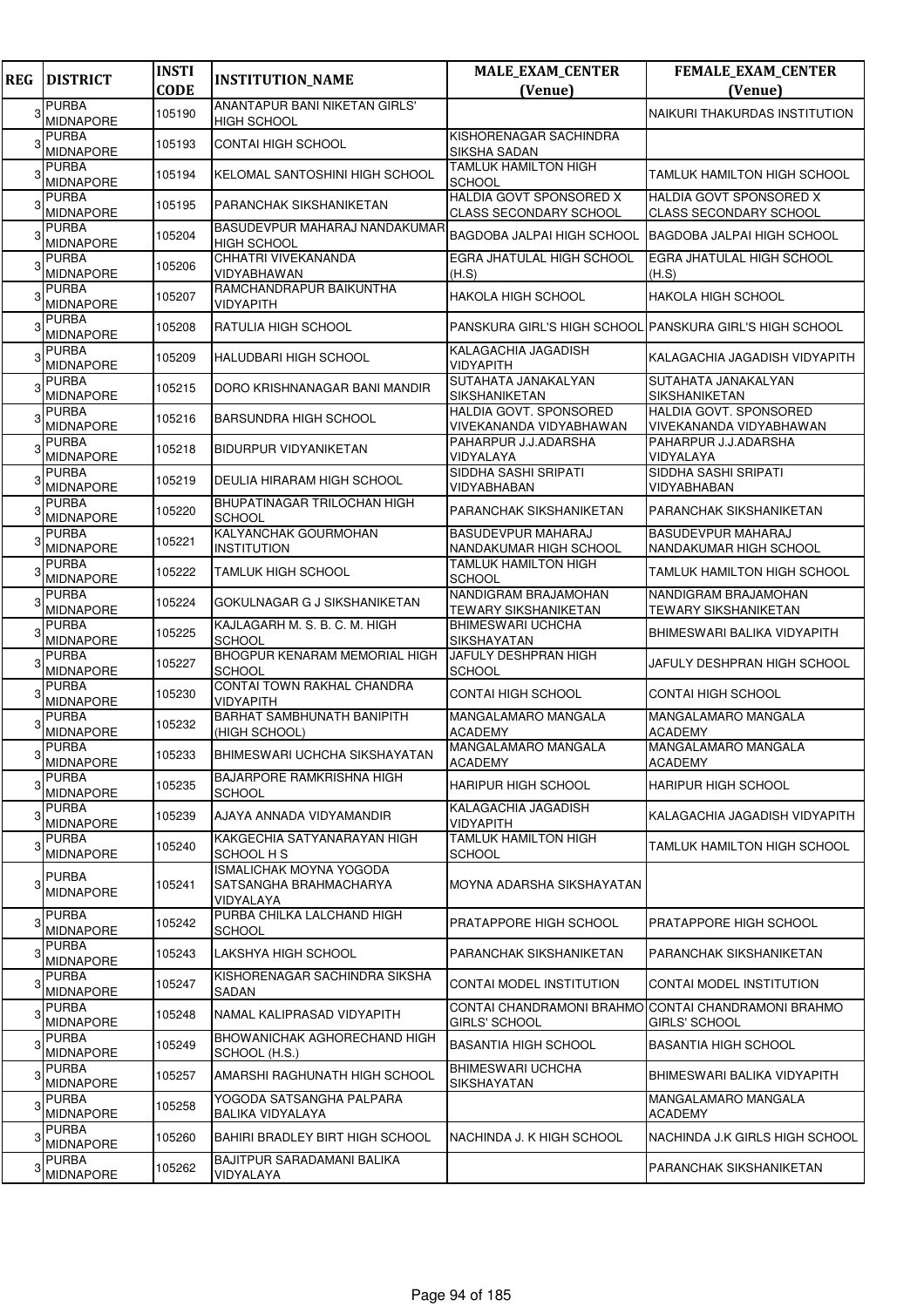| <b>REG</b> | <b>DISTRICT</b>                  | <b>INSTI</b><br><b>CODE</b> | <b>INSTITUTION_NAME</b>                                               | <b>MALE_EXAM_CENTER</b><br>(Venue)                  | <b>FEMALE_EXAM_CENTER</b><br>(Venue)                                        |
|------------|----------------------------------|-----------------------------|-----------------------------------------------------------------------|-----------------------------------------------------|-----------------------------------------------------------------------------|
|            | <b>PURBA</b>                     |                             | <b>ANANTAPUR BANI NIKETAN GIRLS'</b>                                  |                                                     |                                                                             |
| 3          | <b>MIDNAPORE</b>                 | 105190                      | <b>HIGH SCHOOL</b>                                                    |                                                     | NAIKURI THAKURDAS INSTITUTION                                               |
|            | <b>PURBA</b><br><b>MIDNAPORE</b> | 105193                      | <b>CONTAI HIGH SCHOOL</b>                                             | KISHORENAGAR SACHINDRA<br>SIKSHA SADAN              |                                                                             |
|            | <b>PURBA</b><br><b>MIDNAPORE</b> | 105194                      | KELOMAL SANTOSHINI HIGH SCHOOL                                        | <b>TAMLUK HAMILTON HIGH</b><br><b>SCHOOL</b>        | <b>TAMLUK HAMILTON HIGH SCHOOL</b>                                          |
|            | <b>PURBA</b><br>MIDNAPORE        | 105195                      | <b>PARANCHAK SIKSHANIKETAN</b>                                        | HALDIA GOVT SPONSORED X<br>CLASS SECONDARY SCHOOL   | HALDIA GOVT SPONSORED X<br><b>CLASS SECONDARY SCHOOL</b>                    |
|            | <b>PURBA</b><br><b>MIDNAPORE</b> | 105204                      | <b>BASUDEVPUR MAHARAJ NANDAKUMAR</b><br><b>HIGH SCHOOL</b>            | BAGDOBA JALPAI HIGH SCHOOL                          | <b>BAGDOBA JALPAI HIGH SCHOOL</b>                                           |
|            | <b>PURBA</b><br><b>MIDNAPORE</b> | 105206                      | CHHATRI VIVEKANANDA<br>VIDYABHAWAN                                    | EGRA JHATULAL HIGH SCHOOL<br>(H.S)                  | EGRA JHATULAL HIGH SCHOOL<br>(H.S)                                          |
|            | <b>PURBA</b><br><b>MIDNAPORE</b> | 105207                      | RAMCHANDRAPUR BAIKUNTHA<br><b>VIDYAPITH</b>                           | HAKOLA HIGH SCHOOL                                  | <b>HAKOLA HIGH SCHOOL</b>                                                   |
|            | <b>PURBA</b><br><b>MIDNAPORE</b> | 105208                      | <b>RATULIA HIGH SCHOOL</b>                                            |                                                     | PANSKURA GIRL'S HIGH SCHOOL PANSKURA GIRL'S HIGH SCHOOL                     |
|            | <b>PURBA</b><br><b>MIDNAPORE</b> | 105209                      | HALUDBARI HIGH SCHOOL                                                 | KALAGACHIA JAGADISH<br>VIDYAPITH                    | KALAGACHIA JAGADISH VIDYAPITH                                               |
|            | <b>PURBA</b><br><b>MIDNAPORE</b> | 105215                      | DORO KRISHNANAGAR BANI MANDIR                                         | SUTAHATA JANAKALYAN<br><b>SIKSHANIKETAN</b>         | SUTAHATA JANAKALYAN<br><b>SIKSHANIKETAN</b>                                 |
|            | <b>PURBA</b><br><b>MIDNAPORE</b> | 105216                      | <b>BARSUNDRA HIGH SCHOOL</b>                                          | HALDIA GOVT. SPONSORED<br>VIVEKANANDA VIDYABHAWAN   | HALDIA GOVT, SPONSORED<br>VIVEKANANDA VIDYABHAWAN                           |
|            | <b>PURBA</b><br><b>MIDNAPORE</b> | 105218                      | <b>BIDURPUR VIDYANIKETAN</b>                                          | PAHARPUR J.J.ADARSHA<br>VIDYALAYA                   | PAHARPUR J.J.ADARSHA<br>VIDYALAYA                                           |
|            | <b>PURBA</b><br>MIDNAPORE        | 105219                      | DEULIA HIRARAM HIGH SCHOOL                                            | SIDDHA SASHI SRIPATI<br>VIDYABHABAN                 | SIDDHA SASHI SRIPATI<br>VIDYABHABAN                                         |
|            | <b>PURBA</b><br>MIDNAPORE        | 105220                      | BHUPATINAGAR TRILOCHAN HIGH<br><b>SCHOOL</b>                          | PARANCHAK SIKSHANIKETAN                             | PARANCHAK SIKSHANIKETAN                                                     |
|            | <b>PURBA</b><br><b>MIDNAPORE</b> | 105221                      | KALYANCHAK GOURMOHAN<br><b>INSTITUTION</b>                            | <b>BASUDEVPUR MAHARAJ</b><br>NANDAKUMAR HIGH SCHOOL | <b>BASUDEVPUR MAHARAJ</b><br>NANDAKUMAR HIGH SCHOOL                         |
|            | <b>PURBA</b><br><b>MIDNAPORE</b> | 105222                      | <b>TAMLUK HIGH SCHOOL</b>                                             | TAMLUK HAMILTON HIGH<br>SCHOOL                      | TAMLUK HAMILTON HIGH SCHOOL                                                 |
|            | <b>PURBA</b><br><b>MIDNAPORE</b> | 105224                      | GOKULNAGAR G J SIKSHANIKETAN                                          | NANDIGRAM BRAJAMOHAN<br>TEWARY SIKSHANIKETAN        | NANDIGRAM BRAJAMOHAN<br><b>TEWARY SIKSHANIKETAN</b>                         |
|            | <b>PURBA</b><br><b>MIDNAPORE</b> | 105225                      | KAJLAGARH M. S. B. C. M. HIGH<br><b>SCHOOL</b>                        | BHIMESWARI UCHCHA<br>SIKSHAYATAN                    | BHIMESWARI BALIKA VIDYAPITH                                                 |
|            | <b>PURBA</b><br><b>MIDNAPORE</b> | 105227                      | <b>BHOGPUR KENARAM MEMORIAL HIGH</b><br><b>SCHOOL</b>                 | JAFULY DESHPRAN HIGH<br><b>SCHOOL</b>               | JAFULY DESHPRAN HIGH SCHOOL                                                 |
|            | <b>PURBA</b><br><b>MIDNAPORE</b> | 105230                      | CONTAI TOWN RAKHAL CHANDRA<br><b>VIDYAPITH</b>                        | CONTAI HIGH SCHOOL                                  | <b>CONTAI HIGH SCHOOL</b>                                                   |
|            | <b>PURBA</b><br>MIDNAPORE        | 105232                      | <b>BARHAT SAMBHUNATH BANIPITH</b><br>(HIGH SCHOOL)                    | MANGALAMARO MANGALA<br>ACADEMY                      | <b>MANGALAMARO MANGALA</b><br><b>ACADEMY</b>                                |
|            | <b>PURBA</b><br><b>MIDNAPORE</b> | 105233                      | BHIMESWARI UCHCHA SIKSHAYATAN                                         | <b>MANGALAMARO MANGALA</b><br><b>ACADEMY</b>        | MANGALAMARO MANGALA<br><b>ACADEMY</b>                                       |
| 3          | <b>PURBA</b><br>MIDNAPORE        | 105235                      | <b>BAJARPORE RAMKRISHNA HIGH</b><br><b>SCHOOL</b>                     | HARIPUR HIGH SCHOOL                                 | HARIPUR HIGH SCHOOL                                                         |
|            | <b>PURBA</b><br><b>MIDNAPORE</b> | 105239                      | AJAYA ANNADA VIDYAMANDIR                                              | KALAGACHIA JAGADISH<br>VIDYAPITH                    | KALAGACHIA JAGADISH VIDYAPITH                                               |
|            | <b>PURBA</b><br><b>MIDNAPORE</b> | 105240                      | KAKGECHIA SATYANARAYAN HIGH<br><b>SCHOOL H S</b>                      | <b>TAMLUK HAMILTON HIGH</b><br>SCHOOL               | TAMLUK HAMILTON HIGH SCHOOL                                                 |
|            | <b>PURBA</b><br>MIDNAPORE        | 105241                      | <b>ISMALICHAK MOYNA YOGODA</b><br>SATSANGHA BRAHMACHARYA<br>VIDYALAYA | MOYNA ADARSHA SIKSHAYATAN                           |                                                                             |
|            | <b>PURBA</b><br><b>MIDNAPORE</b> | 105242                      | PURBA CHILKA LALCHAND HIGH<br><b>SCHOOL</b>                           | PRATAPPORE HIGH SCHOOL                              | PRATAPPORE HIGH SCHOOL                                                      |
| 3          | <b>PURBA</b><br><b>MIDNAPORE</b> | 105243                      | LAKSHYA HIGH SCHOOL                                                   | PARANCHAK SIKSHANIKETAN                             | PARANCHAK SIKSHANIKETAN                                                     |
|            | PURBA<br><b>MIDNAPORE</b>        | 105247                      | KISHORENAGAR SACHINDRA SIKSHA<br>SADAN                                | CONTAI MODEL INSTITUTION                            | CONTAI MODEL INSTITUTION                                                    |
|            | <b>PURBA</b><br>MIDNAPORE        | 105248                      | NAMAL KALIPRASAD VIDYAPITH                                            | GIRLS' SCHOOL                                       | CONTAI CHANDRAMONI BRAHMO CONTAI CHANDRAMONI BRAHMO<br><b>GIRLS' SCHOOL</b> |
|            | PURBA<br>MIDNAPORE               | 105249                      | <b>BHOWANICHAK AGHORECHAND HIGH</b><br>SCHOOL (H.S.)                  | BASANTIA HIGH SCHOOL                                | <b>BASANTIA HIGH SCHOOL</b>                                                 |
|            | PURBA<br><b>MIDNAPORE</b>        | 105257                      | AMARSHI RAGHUNATH HIGH SCHOOL                                         | BHIMESWARI UCHCHA<br>SIKSHAYATAN                    | BHIMESWARI BALIKA VIDYAPITH                                                 |
|            | <b>PURBA</b><br>MIDNAPORE        | 105258                      | YOGODA SATSANGHA PALPARA<br><b>BALIKA VIDYALAYA</b>                   |                                                     | MANGALAMARO MANGALA<br><b>ACADEMY</b>                                       |
|            | <b>PURBA</b><br><b>MIDNAPORE</b> | 105260                      | <b>BAHIRI BRADLEY BIRT HIGH SCHOOL</b>                                | NACHINDA J. K HIGH SCHOOL                           | NACHINDA J.K GIRLS HIGH SCHOOL                                              |
|            | <b>PURBA</b><br><b>MIDNAPORE</b> | 105262                      | <b>BAJITPUR SARADAMANI BALIKA</b><br>VIDYALAYA                        |                                                     | PARANCHAK SIKSHANIKETAN                                                     |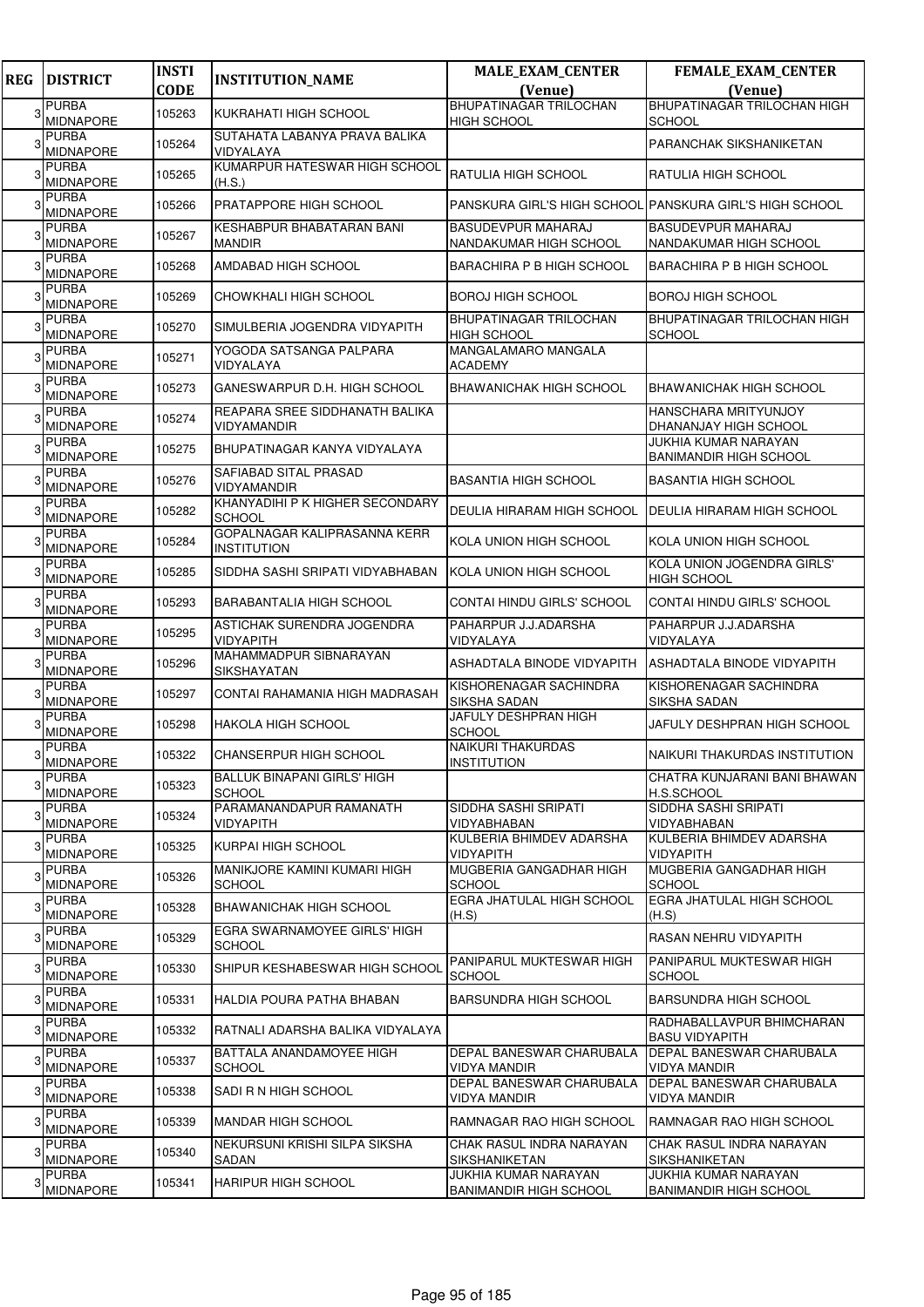| <b>REG</b> | <b>DISTRICT</b>                  | <b>INSTI</b><br><b>CODE</b> | <b>INSTITUTION_NAME</b>                             | <b>MALE_EXAM_CENTER</b><br>(Venue)                    | FEMALE_EXAM_CENTER<br>(Venue)                                |
|------------|----------------------------------|-----------------------------|-----------------------------------------------------|-------------------------------------------------------|--------------------------------------------------------------|
|            | <b>PURBA</b>                     |                             |                                                     | <b>BHUPATINAGAR TRILOCHAN</b>                         | BHUPATINAGAR TRILOCHAN HIGH                                  |
|            | <b>MIDNAPORE</b>                 | 105263                      | KUKRAHATI HIGH SCHOOL                               | <b>HIGH SCHOOL</b>                                    | <b>SCHOOL</b>                                                |
|            | <b>PURBA</b><br><b>MIDNAPORE</b> | 105264                      | SUTAHATA LABANYA PRAVA BALIKA<br>VIDYALAYA          |                                                       | PARANCHAK SIKSHANIKETAN                                      |
|            | <b>PURBA</b><br><b>MIDNAPORE</b> | 105265                      | KUMARPUR HATESWAR HIGH SCHOOL<br>(H.S.)             | <b>RATULIA HIGH SCHOOL</b>                            | <b>RATULIA HIGH SCHOOL</b>                                   |
|            | <b>PURBA</b><br><b>MIDNAPORE</b> | 105266                      | PRATAPPORE HIGH SCHOOL                              |                                                       | PANSKURA GIRL'S HIGH SCHOOL PANSKURA GIRL'S HIGH SCHOOL      |
|            | <b>PURBA</b><br><b>MIDNAPORE</b> | 105267                      | KESHABPUR BHABATARAN BANI<br><b>MANDIR</b>          | <b>BASUDEVPUR MAHARAJ</b><br>NANDAKUMAR HIGH SCHOOL   | BASUDEVPUR MAHARAJ<br>NANDAKUMAR HIGH SCHOOL                 |
|            | <b>PURBA</b><br><b>MIDNAPORE</b> | 105268                      | AMDABAD HIGH SCHOOL                                 | <b>BARACHIRA P B HIGH SCHOOL</b>                      | <b>BARACHIRA P B HIGH SCHOOL</b>                             |
|            | <b>PURBA</b><br><b>MIDNAPORE</b> | 105269                      | CHOWKHALI HIGH SCHOOL                               | <b>BOROJ HIGH SCHOOL</b>                              | <b>BOROJ HIGH SCHOOL</b>                                     |
|            | <b>PURBA</b><br><b>MIDNAPORE</b> | 105270                      | SIMULBERIA JOGENDRA VIDYAPITH                       | <b>BHUPATINAGAR TRILOCHAN</b><br><b>HIGH SCHOOL</b>   | BHUPATINAGAR TRILOCHAN HIGH<br><b>SCHOOL</b>                 |
|            | <b>PURBA</b><br><b>MIDNAPORE</b> | 105271                      | YOGODA SATSANGA PALPARA<br>VIDYALAYA                | MANGALAMARO MANGALA<br><b>ACADEMY</b>                 |                                                              |
|            | <b>PURBA</b><br><b>MIDNAPORE</b> | 105273                      | GANESWARPUR D.H. HIGH SCHOOL                        | <b>BHAWANICHAK HIGH SCHOOL</b>                        | BHAWANICHAK HIGH SCHOOL                                      |
|            | <b>PURBA</b><br>MIDNAPORE        | 105274                      | REAPARA SREE SIDDHANATH BALIKA<br>VIDYAMANDIR       |                                                       | HANSCHARA MRITYUNJOY<br>DHANANJAY HIGH SCHOOL                |
|            | <b>PURBA</b><br><b>MIDNAPORE</b> | 105275                      | BHUPATINAGAR KANYA VIDYALAYA                        |                                                       | JUKHIA KUMAR NARAYAN<br><b>BANIMANDIR HIGH SCHOOL</b>        |
|            | <b>PURBA</b><br><b>MIDNAPORE</b> | 105276                      | SAFIABAD SITAL PRASAD<br>VIDYAMANDIR                | <b>BASANTIA HIGH SCHOOL</b>                           | <b>BASANTIA HIGH SCHOOL</b>                                  |
|            | <b>PURBA</b><br>MIDNAPORE        | 105282                      | KHANYADIHI P K HIGHER SECONDARY<br><b>SCHOOL</b>    | <b>DEULIA HIRARAM HIGH SCHOOL</b>                     | <b>DEULIA HIRARAM HIGH SCHOOL</b>                            |
|            | <b>PURBA</b><br><b>MIDNAPORE</b> | 105284                      | GOPALNAGAR KALIPRASANNA KERR<br><b>INSTITUTION</b>  | KOLA UNION HIGH SCHOOL                                | KOLA UNION HIGH SCHOOL                                       |
|            | <b>PURBA</b><br><b>MIDNAPORE</b> | 105285                      | SIDDHA SASHI SRIPATI VIDYABHABAN                    | KOLA UNION HIGH SCHOOL                                | KOLA UNION JOGENDRA GIRLS'<br><b>HIGH SCHOOL</b>             |
|            | <b>PURBA</b><br><b>MIDNAPORE</b> | 105293                      | BARABANTALIA HIGH SCHOOL                            | CONTAI HINDU GIRLS' SCHOOL                            | CONTAI HINDU GIRLS' SCHOOL                                   |
|            | <b>PURBA</b><br><b>MIDNAPORE</b> | 105295                      | ASTICHAK SURENDRA JOGENDRA<br>VIDYAPITH             | PAHARPUR J.J.ADARSHA<br>VIDYALAYA                     | PAHARPUR J.J.ADARSHA<br>VIDYALAYA                            |
|            | <b>PURBA</b><br><b>MIDNAPORE</b> | 105296                      | MAHAMMADPUR SIBNARAYAN<br><b>SIKSHAYATAN</b>        | ASHADTALA BINODE VIDYAPITH                            | ASHADTALA BINODE VIDYAPITH                                   |
|            | <b>PURBA</b><br><b>MIDNAPORE</b> | 105297                      | CONTAI RAHAMANIA HIGH MADRASAH                      | KISHORENAGAR SACHINDRA<br>SIKSHA SADAN                | KISHORENAGAR SACHINDRA<br>SIKSHA SADAN                       |
|            | <b>PURBA</b><br><b>MIDNAPORE</b> | 105298                      | <b>HAKOLA HIGH SCHOOL</b>                           | JAFULY DESHPRAN HIGH<br><b>SCHOOL</b>                 | JAFULY DESHPRAN HIGH SCHOOL                                  |
|            | <b>PURBA</b><br><b>MIDNAPORE</b> | 105322                      | CHANSERPUR HIGH SCHOOL                              | <b>NAIKURI THAKURDAS</b><br><b>INSTITUTION</b>        | NAIKURI THAKURDAS INSTITUTION                                |
|            | <b>PURBA</b><br><b>MIDNAPORE</b> | 105323                      | <b>BALLUK BINAPANI GIRLS' HIGH</b><br><b>SCHOOL</b> |                                                       | CHATRA KUNJARANI BANI BHAWAN<br>H.S.SCHOOL                   |
| 3          | <b>PURBA</b><br><b>MIDNAPORE</b> | 105324                      | PARAMANANDAPUR RAMANATH<br>VIDYAPITH                | SIDDHA SASHI SRIPATI<br>VIDYABHABAN                   | SIDDHA SASHI SRIPATI<br>VIDYABHABAN                          |
| 3          | <b>PURBA</b><br><b>MIDNAPORE</b> | 105325                      | KURPAI HIGH SCHOOL                                  | KULBERIA BHIMDEV ADARSHA<br><b>VIDYAPITH</b>          | KULBERIA BHIMDEV ADARSHA<br><b>VIDYAPITH</b>                 |
|            | <b>PURBA</b><br><b>MIDNAPORE</b> | 105326                      | MANIKJORE KAMINI KUMARI HIGH<br><b>SCHOOL</b>       | MUGBERIA GANGADHAR HIGH<br><b>SCHOOL</b>              | MUGBERIA GANGADHAR HIGH<br><b>SCHOOL</b>                     |
| 3          | <b>PURBA</b><br><b>MIDNAPORE</b> | 105328                      | <b>BHAWANICHAK HIGH SCHOOL</b>                      | <b>EGRA JHATULAL HIGH SCHOOL</b><br>(H.S)             | EGRA JHATULAL HIGH SCHOOL<br>(H.S)                           |
|            | <b>PURBA</b><br><b>MIDNAPORE</b> | 105329                      | EGRA SWARNAMOYEE GIRLS' HIGH<br><b>SCHOOL</b>       |                                                       | RASAN NEHRU VIDYAPITH                                        |
|            | <b>PURBA</b><br><b>MIDNAPORE</b> | 105330                      | SHIPUR KESHABESWAR HIGH SCHOOL                      | PANIPARUL MUKTESWAR HIGH<br><b>SCHOOL</b>             | PANIPARUL MUKTESWAR HIGH<br><b>SCHOOL</b>                    |
|            | <b>PURBA</b><br><b>MIDNAPORE</b> | 105331                      | HALDIA POURA PATHA BHABAN                           | <b>BARSUNDRA HIGH SCHOOL</b>                          | <b>BARSUNDRA HIGH SCHOOL</b>                                 |
| 3          | <b>PURBA</b><br><b>MIDNAPORE</b> | 105332                      | RATNALI ADARSHA BALIKA VIDYALAYA                    |                                                       | RADHABALLAVPUR BHIMCHARAN<br><b>BASU VIDYAPITH</b>           |
| 3          | <b>PURBA</b><br><b>MIDNAPORE</b> | 105337                      | BATTALA ANANDAMOYEE HIGH<br><b>SCHOOL</b>           | DEPAL BANESWAR CHARUBALA<br><b>VIDYA MANDIR</b>       | DEPAL BANESWAR CHARUBALA<br>VIDYA MANDIR                     |
|            | <b>PURBA</b><br><b>MIDNAPORE</b> | 105338                      | SADI R N HIGH SCHOOL                                | DEPAL BANESWAR CHARUBALA<br><b>VIDYA MANDIR</b>       | <b>DEPAL BANESWAR CHARUBALA</b><br>VIDYA MANDIR              |
| 3          | <b>PURBA</b><br><b>MIDNAPORE</b> | 105339                      | <b>MANDAR HIGH SCHOOL</b>                           | RAMNAGAR RAO HIGH SCHOOL                              | RAMNAGAR RAO HIGH SCHOOL                                     |
| 3          | <b>PURBA</b><br><b>MIDNAPORE</b> | 105340                      | NEKURSUNI KRISHI SILPA SIKSHA<br>SADAN              | CHAK RASUL INDRA NARAYAN<br><b>SIKSHANIKETAN</b>      | CHAK RASUL INDRA NARAYAN<br><b>SIKSHANIKETAN</b>             |
|            | <b>PURBA</b><br><b>MIDNAPORE</b> | 105341                      | <b>HARIPUR HIGH SCHOOL</b>                          | JUKHIA KUMAR NARAYAN<br><b>BANIMANDIR HIGH SCHOOL</b> | <b>JUKHIA KUMAR NARAYAN</b><br><b>BANIMANDIR HIGH SCHOOL</b> |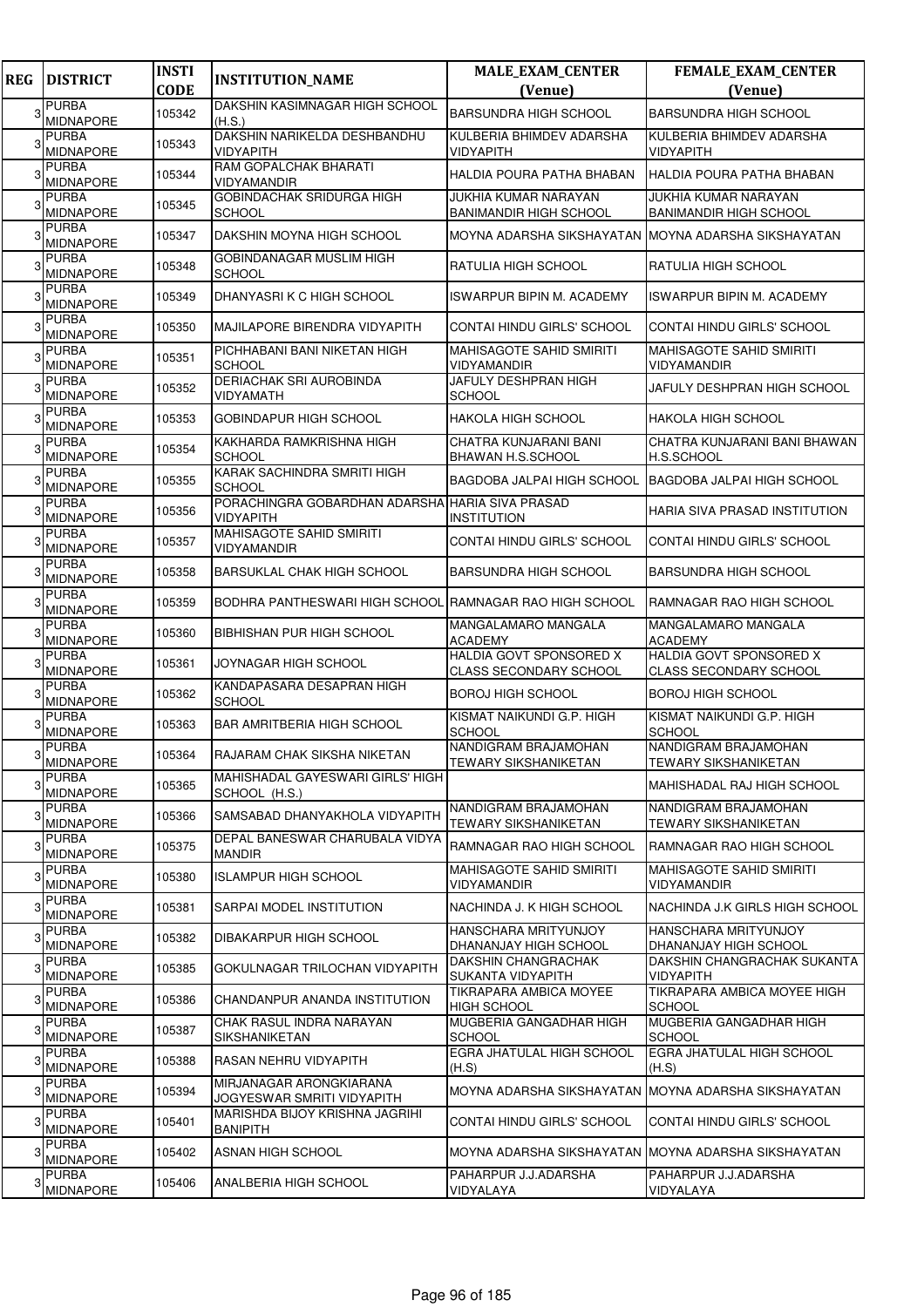| <b>REG</b> | <b>DISTRICT</b>                  | <b>INSTI</b><br><b>CODE</b> | <b>INSTITUTION_NAME</b>                                       | <b>MALE_EXAM_CENTER</b><br>(Venue)                                            | <b>FEMALE_EXAM_CENTER</b><br>(Venue)                          |
|------------|----------------------------------|-----------------------------|---------------------------------------------------------------|-------------------------------------------------------------------------------|---------------------------------------------------------------|
| 3          | <b>PURBA</b><br><b>MIDNAPORE</b> | 105342                      | DAKSHIN KASIMNAGAR HIGH SCHOOL                                | <b>BARSUNDRA HIGH SCHOOL</b>                                                  | <b>BARSUNDRA HIGH SCHOOL</b>                                  |
|            | <b>PURBA</b><br><b>MIDNAPORE</b> | 105343                      | (H.S.)<br>DAKSHIN NARIKELDA DESHBANDHU<br><b>VIDYAPITH</b>    | KULBERIA BHIMDEV ADARSHA<br>VIDYAPITH                                         | KULBERIA BHIMDEV ADARSHA<br><b>VIDYAPITH</b>                  |
|            | PURBA<br><b>MIDNAPORE</b>        | 105344                      | RAM GOPALCHAK BHARATI<br>VIDYAMANDIR                          | HALDIA POURA PATHA BHABAN                                                     | HALDIA POURA PATHA BHABAN                                     |
|            | <b>PURBA</b><br><b>MIDNAPORE</b> | 105345                      | GOBINDACHAK SRIDURGA HIGH<br><b>SCHOOL</b>                    | JUKHIA KUMAR NARAYAN                                                          | JUKHIA KUMAR NARAYAN<br><b>BANIMANDIR HIGH SCHOOL</b>         |
|            | <b>PURBA</b>                     | 105347                      | DAKSHIN MOYNA HIGH SCHOOL                                     | BANIMANDIR HIGH SCHOOL<br>MOYNA ADARSHA SIKSHAYATAN MOYNA ADARSHA SIKSHAYATAN |                                                               |
|            | <b>MIDNAPORE</b><br><b>PURBA</b> | 105348                      | GOBINDANAGAR MUSLIM HIGH                                      | RATULIA HIGH SCHOOL                                                           | IRATULIA HIGH SCHOOL                                          |
|            | <b>MIDNAPORE</b><br><b>PURBA</b> |                             | <b>SCHOOL</b>                                                 |                                                                               |                                                               |
|            | MIDNAPORE<br><b>PURBA</b>        | 105349                      | DHANYASRI K C HIGH SCHOOL                                     | ISWARPUR BIPIN M. ACADEMY                                                     | <b>ISWARPUR BIPIN M. ACADEMY</b>                              |
|            | <b>MIDNAPORE</b><br><b>PURBA</b> | 105350                      | MAJILAPORE BIRENDRA VIDYAPITH<br>PICHHABANI BANI NIKETAN HIGH | CONTAI HINDU GIRLS' SCHOOL<br>MAHISAGOTE SAHID SMIRITI                        | CONTAI HINDU GIRLS' SCHOOL<br><b>MAHISAGOTE SAHID SMIRITI</b> |
|            | <b>MIDNAPORE</b>                 | 105351                      | <b>SCHOOL</b>                                                 | VIDYAMANDIR                                                                   | <b>VIDYAMANDIR</b>                                            |
|            | <b>PURBA</b><br><b>MIDNAPORE</b> | 105352                      | <b>DERIACHAK SRI AUROBINDA</b><br>VIDYAMATH                   | JAFULY DESHPRAN HIGH<br>SCHOOL                                                | JAFULY DESHPRAN HIGH SCHOOL                                   |
|            | <b>PURBA</b><br>MIDNAPORE        | 105353                      | <b>GOBINDAPUR HIGH SCHOOL</b>                                 | HAKOLA HIGH SCHOOL                                                            | <b>HAKOLA HIGH SCHOOL</b>                                     |
|            | <b>PURBA</b><br><b>MIDNAPORE</b> | 105354                      | KAKHARDA RAMKRISHNA HIGH<br><b>SCHOOL</b>                     | CHATRA KUNJARANI BANI<br>BHAWAN H.S.SCHOOL                                    | CHATRA KUNJARANI BANI BHAWAN<br>H.S.SCHOOL                    |
|            | <b>PURBA</b><br><b>MIDNAPORE</b> | 105355                      | KARAK SACHINDRA SMRITI HIGH<br><b>SCHOOL</b>                  | BAGDOBA JALPAI HIGH SCHOOL                                                    | <b>BAGDOBA JALPAI HIGH SCHOOL</b>                             |
|            | <b>PURBA</b><br>MIDNAPORE        | 105356                      | PORACHINGRA GOBARDHAN ADARSHA<br><b>VIDYAPITH</b>             | <b>HARIA SIVA PRASAD</b><br><b>INSTITUTION</b>                                | HARIA SIVA PRASAD INSTITUTION                                 |
|            | <b>PURBA</b><br><b>MIDNAPORE</b> | 105357                      | MAHISAGOTE SAHID SMIRITI<br>VIDYAMANDIR                       | CONTAI HINDU GIRLS' SCHOOL                                                    | CONTAI HINDU GIRLS' SCHOOL                                    |
|            | <b>PURBA</b><br><b>MIDNAPORE</b> | 105358                      | <b>BARSUKLAL CHAK HIGH SCHOOL</b>                             | <b>BARSUNDRA HIGH SCHOOL</b>                                                  | <b>BARSUNDRA HIGH SCHOOL</b>                                  |
|            | <b>PURBA</b><br><b>MIDNAPORE</b> | 105359                      | BODHRA PANTHESWARI HIGH SCHOOL RAMNAGAR RAO HIGH SCHOOL       |                                                                               | RAMNAGAR RAO HIGH SCHOOL                                      |
|            | <b>PURBA</b><br><b>MIDNAPORE</b> | 105360                      | <b>BIBHISHAN PUR HIGH SCHOOL</b>                              | MANGALAMARO MANGALA<br>ACADEMY                                                | MANGALAMARO MANGALA<br><b>ACADEMY</b>                         |
|            | <b>PURBA</b><br><b>MIDNAPORE</b> | 105361                      | JOYNAGAR HIGH SCHOOL                                          | HALDIA GOVT SPONSORED X<br>CLASS SECONDARY SCHOOL                             | HALDIA GOVT SPONSORED X<br><b>CLASS SECONDARY SCHOOL</b>      |
|            | <b>PURBA</b><br><b>MIDNAPORE</b> | 105362                      | KANDAPASARA DESAPRAN HIGH<br><b>SCHOOL</b>                    | BOROJ HIGH SCHOOL                                                             | <b>BOROJ HIGH SCHOOL</b>                                      |
|            | <b>PURBA</b><br><b>MIDNAPORE</b> | 105363                      | <b>BAR AMRITBERIA HIGH SCHOOL</b>                             | KISMAT NAIKUNDI G.P. HIGH<br><b>SCHOOL</b>                                    | KISMAT NAIKUNDI G.P. HIGH<br><b>SCHOOL</b>                    |
|            | <b>PURBA</b><br><b>MIDNAPORE</b> | 105364                      | RAJARAM CHAK SIKSHA NIKETAN                                   | NANDIGRAM BRAJAMOHAN<br>TEWARY SIKSHANIKETAN                                  | NANDIGRAM BRAJAMOHAN<br><b>TEWARY SIKSHANIKETAN</b>           |
|            | <b>PURBA</b><br><b>MIDNAPORE</b> | 105365                      | MAHISHADAL GAYESWARI GIRLS' HIGH<br>SCHOOL (H.S.)             |                                                                               | <b>MAHISHADAL RAJ HIGH SCHOOL</b>                             |
| 3          | <b>PURBA</b><br><b>MIDNAPORE</b> | 105366                      | SAMSABAD DHANYAKHOLA VIDYAPITH                                | NANDIGRAM BRAJAMOHAN<br><b>TEWARY SIKSHANIKETAN</b>                           | NANDIGRAM BRAJAMOHAN<br><b>TEWARY SIKSHANIKETAN</b>           |
| 3          | <b>PURBA</b><br>MIDNAPORE        | 105375                      | DEPAL BANESWAR CHARUBALA VIDYA<br><b>MANDIR</b>               | RAMNAGAR RAO HIGH SCHOOL                                                      | RAMNAGAR RAO HIGH SCHOOL                                      |
|            | <b>PURBA</b><br><b>MIDNAPORE</b> | 105380                      | <b>ISLAMPUR HIGH SCHOOL</b>                                   | MAHISAGOTE SAHID SMIRITI<br>VIDYAMANDIR                                       | <b>MAHISAGOTE SAHID SMIRITI</b><br><b>VIDYAMANDIR</b>         |
| 3          | <b>PURBA</b><br><b>MIDNAPORE</b> | 105381                      | SARPAI MODEL INSTITUTION                                      | NACHINDA J. K HIGH SCHOOL                                                     | NACHINDA J.K GIRLS HIGH SCHOOL                                |
|            | <b>PURBA</b><br><b>MIDNAPORE</b> | 105382                      | DIBAKARPUR HIGH SCHOOL                                        | HANSCHARA MRITYUNJOY<br>DHANANJAY HIGH SCHOOL                                 | HANSCHARA MRITYUNJOY<br>DHANANJAY HIGH SCHOOL                 |
|            | <b>PURBA</b><br><b>MIDNAPORE</b> | 105385                      | GOKULNAGAR TRILOCHAN VIDYAPITH                                | DAKSHIN CHANGRACHAK<br>SUKANTA VIDYAPITH                                      | DAKSHIN CHANGRACHAK SUKANTA<br><b>VIDYAPITH</b>               |
|            | PURBA<br><b>MIDNAPORE</b>        | 105386                      | CHANDANPUR ANANDA INSTITUTION                                 | TIKRAPARA AMBICA MOYEE                                                        | TIKRAPARA AMBICA MOYEE HIGH                                   |
|            | PURBA                            | 105387                      | CHAK RASUL INDRA NARAYAN                                      | <b>HIGH SCHOOL</b><br>MUGBERIA GANGADHAR HIGH                                 | <b>SCHOOL</b><br>MUGBERIA GANGADHAR HIGH                      |
|            | <b>MIDNAPORE</b><br><b>PURBA</b> | 105388                      | SIKSHANIKETAN<br>RASAN NEHRU VIDYAPITH                        | SCHOOL<br>EGRA JHATULAL HIGH SCHOOL                                           | <b>SCHOOL</b><br>EGRA JHATULAL HIGH SCHOOL                    |
|            | <b>MIDNAPORE</b><br><b>PURBA</b> | 105394                      | MIRJANAGAR ARONGKIARANA                                       | (H.S)<br>MOYNA ADARSHA SIKSHAYATAN MOYNA ADARSHA SIKSHAYATAN                  | (H.S)                                                         |
| 3          | <b>MIDNAPORE</b><br><b>PURBA</b> | 105401                      | JOGYESWAR SMRITI VIDYAPITH<br>MARISHDA BIJOY KRISHNA JAGRIHI  | CONTAI HINDU GIRLS' SCHOOL                                                    | CONTAI HINDU GIRLS' SCHOOL                                    |
| 3          | <b>MIDNAPORE</b><br><b>PURBA</b> | 105402                      | <b>BANIPITH</b><br>ASNAN HIGH SCHOOL                          | MOYNA ADARSHA SIKSHAYATAN  MOYNA ADARSHA SIKSHAYATAN                          |                                                               |
|            | <b>MIDNAPORE</b><br><b>PURBA</b> |                             |                                                               | PAHARPUR J.J.ADARSHA                                                          | PAHARPUR J.J.ADARSHA                                          |
|            | <b>MIDNAPORE</b>                 | 105406                      | ANALBERIA HIGH SCHOOL                                         | VIDYALAYA                                                                     | VIDYALAYA                                                     |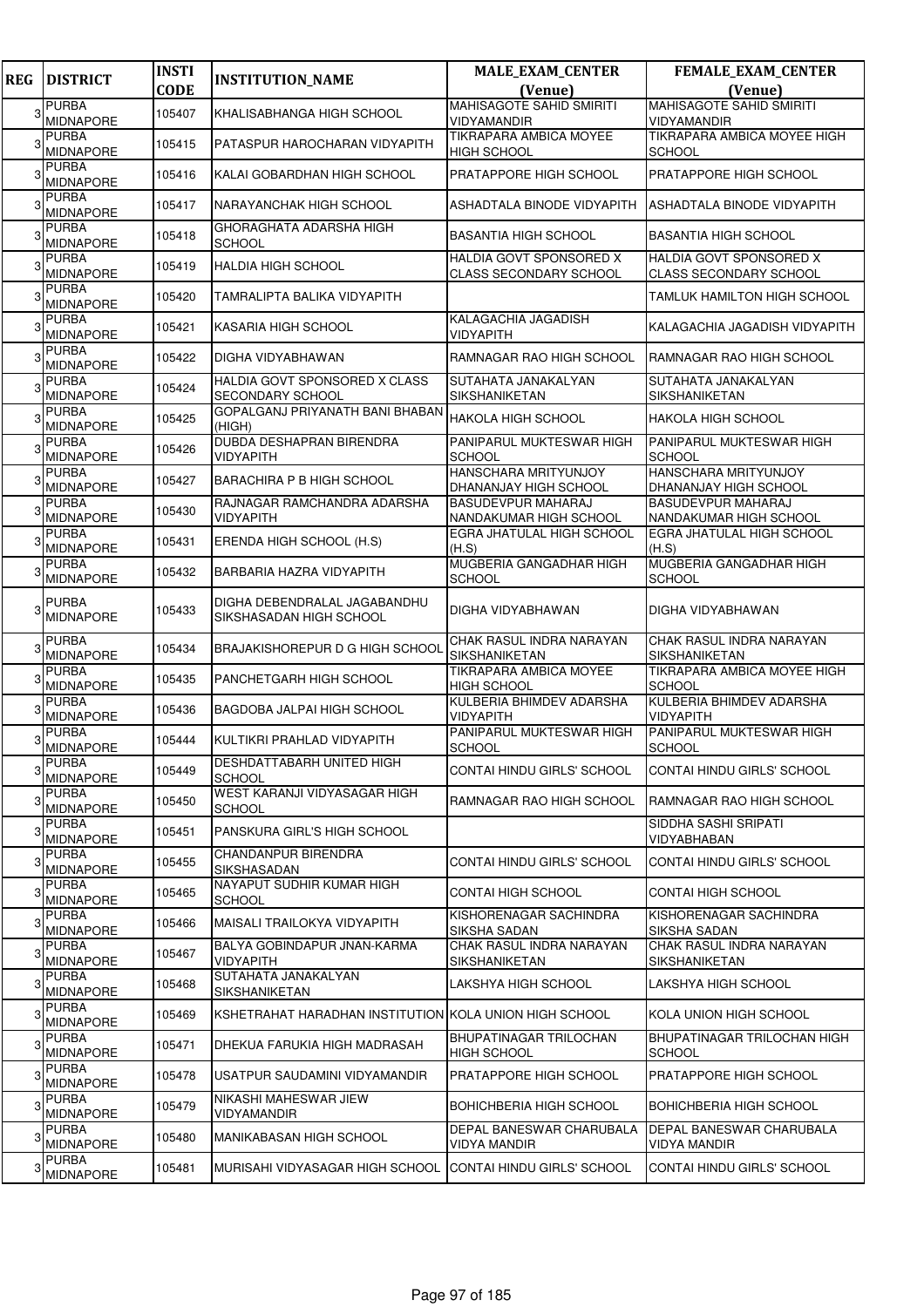| <b>REG</b> | <b>DISTRICT</b>                  | <b>INSTI</b> | <b>INSTITUTION_NAME</b>                                 | <b>MALE_EXAM_CENTER</b>                                  | FEMALE_EXAM_CENTER                                       |
|------------|----------------------------------|--------------|---------------------------------------------------------|----------------------------------------------------------|----------------------------------------------------------|
|            |                                  | <b>CODE</b>  |                                                         | (Venue)                                                  | (Venue)<br><b>MAHISAGOTE SAHID SMIRITI</b>               |
| 3          | <b>PURBA</b><br><b>MIDNAPORE</b> | 105407       | KHALISABHANGA HIGH SCHOOL                               | <b>MAHISAGOTE SAHID SMIRITI</b><br>VIDYAMANDIR           | <b>VIDYAMANDIR</b>                                       |
|            | <b>PURBA</b><br>MIDNAPORE        | 105415       | PATASPUR HAROCHARAN VIDYAPITH                           | TIKRAPARA AMBICA MOYEE<br><b>HIGH SCHOOL</b>             | TIKRAPARA AMBICA MOYEE HIGH<br><b>SCHOOL</b>             |
|            | <b>PURBA</b><br><b>MIDNAPORE</b> | 105416       | KALAI GOBARDHAN HIGH SCHOOL                             | PRATAPPORE HIGH SCHOOL                                   | PRATAPPORE HIGH SCHOOL                                   |
|            | <b>PURBA</b><br><b>MIDNAPORE</b> | 105417       | NARAYANCHAK HIGH SCHOOL                                 | ASHADTALA BINODE VIDYAPITH                               | ASHADTALA BINODE VIDYAPITH                               |
|            | <b>PURBA</b><br><b>MIDNAPORE</b> | 105418       | GHORAGHATA ADARSHA HIGH<br><b>SCHOOL</b>                | <b>BASANTIA HIGH SCHOOL</b>                              | <b>BASANTIA HIGH SCHOOL</b>                              |
|            | <b>PURBA</b><br><b>MIDNAPORE</b> | 105419       | <b>HALDIA HIGH SCHOOL</b>                               | HALDIA GOVT SPONSORED X<br><b>CLASS SECONDARY SCHOOL</b> | HALDIA GOVT SPONSORED X<br><b>CLASS SECONDARY SCHOOL</b> |
|            | <b>PURBA</b><br><b>MIDNAPORE</b> | 105420       | TAMRALIPTA BALIKA VIDYAPITH                             |                                                          | TAMLUK HAMILTON HIGH SCHOOL                              |
|            | <b>PURBA</b><br><b>MIDNAPORE</b> | 105421       | KASARIA HIGH SCHOOL                                     | KALAGACHIA JAGADISH<br><b>VIDYAPITH</b>                  | KALAGACHIA JAGADISH VIDYAPITH                            |
|            | <b>PURBA</b><br>MIDNAPORE        | 105422       | DIGHA VIDYABHAWAN                                       | RAMNAGAR RAO HIGH SCHOOL                                 | RAMNAGAR RAO HIGH SCHOOL                                 |
|            | <b>PURBA</b><br>MIDNAPORE        | 105424       | HALDIA GOVT SPONSORED X CLASS<br>SECONDARY SCHOOL       | SUTAHATA JANAKALYAN<br>SIKSHANIKETAN                     | SUTAHATA JANAKALYAN<br>SIKSHANIKETAN                     |
|            | <b>PURBA</b><br>MIDNAPORE        | 105425       | GOPALGANJ PRIYANATH BANI BHABAN<br>(HIGH)               | <b>HAKOLA HIGH SCHOOL</b>                                | <b>HAKOLA HIGH SCHOOL</b>                                |
|            | <b>PURBA</b><br><b>MIDNAPORE</b> | 105426       | DUBDA DESHAPRAN BIRENDRA<br><b>VIDYAPITH</b>            | PANIPARUL MUKTESWAR HIGH<br><b>SCHOOL</b>                | PANIPARUL MUKTESWAR HIGH<br><b>SCHOOL</b>                |
|            | <b>PURBA</b><br>MIDNAPORE        | 105427       | <b>BARACHIRA P B HIGH SCHOOL</b>                        | HANSCHARA MRITYUNJOY<br>DHANANJAY HIGH SCHOOL            | <b>HANSCHARA MRITYUNJOY</b><br>DHANANJAY HIGH SCHOOL     |
|            | <b>PURBA</b><br><b>MIDNAPORE</b> | 105430       | RAJNAGAR RAMCHANDRA ADARSHA<br>VIDYAPITH                | <b>BASUDEVPUR MAHARAJ</b><br>NANDAKUMAR HIGH SCHOOL      | BASUDEVPUR MAHARAJ<br>NANDAKUMAR HIGH SCHOOL             |
|            | <b>PURBA</b><br><b>MIDNAPORE</b> | 105431       | ERENDA HIGH SCHOOL (H.S)                                | EGRA JHATULAL HIGH SCHOOL<br>(H.S)                       | EGRA JHATULAL HIGH SCHOOL<br>(H.S)                       |
|            | <b>PURBA</b><br>MIDNAPORE        | 105432       | BARBARIA HAZRA VIDYAPITH                                | MUGBERIA GANGADHAR HIGH<br><b>SCHOOL</b>                 | MUGBERIA GANGADHAR HIGH<br><b>SCHOOL</b>                 |
|            | <b>PURBA</b><br><b>MIDNAPORE</b> | 105433       | DIGHA DEBENDRALAL JAGABANDHU<br>SIKSHASADAN HIGH SCHOOL | DIGHA VIDYABHAWAN                                        | DIGHA VIDYABHAWAN                                        |
|            | <b>PURBA</b><br>MIDNAPORE        | 105434       | <b>BRAJAKISHOREPUR D G HIGH SCHOOL</b>                  | CHAK RASUL INDRA NARAYAN<br>SIKSHANIKETAN                | CHAK RASUL INDRA NARAYAN<br>SIKSHANIKETAN                |
|            | <b>PURBA</b><br>MIDNAPORE        | 105435       | PANCHETGARH HIGH SCHOOL                                 | <b>TIKRAPARA AMBICA MOYEE</b><br><b>HIGH SCHOOL</b>      | TIKRAPARA AMBICA MOYEE HIGH<br><b>SCHOOL</b>             |
|            | <b>PURBA</b><br><b>MIDNAPORE</b> | 105436       | BAGDOBA JALPAI HIGH SCHOOL                              | KULBERIA BHIMDEV ADARSHA<br>VIDYAPITH                    | KULBERIA BHIMDEV ADARSHA<br><b>VIDYAPITH</b>             |
|            | <b>PURBA</b><br>MIDNAPORE        | 105444       | KULTIKRI PRAHLAD VIDYAPITH                              | PANIPARUL MUKTESWAR HIGH<br><b>SCHOOL</b>                | PANIPARUL MUKTESWAR HIGH<br><b>SCHOOL</b>                |
| 3          | <b>PURBA</b><br><b>MIDNAPORE</b> | 105449       | DESHDATTABARH UNITED HIGH<br><b>SCHOOL</b>              | <b>CONTAI HINDU GIRLS' SCHOOL</b>                        | CONTAI HINDU GIRLS' SCHOOL                               |
|            | <b>PURBA</b><br><b>MIDNAPORE</b> | 105450       | WEST KARANJI VIDYASAGAR HIGH<br><b>SCHOOL</b>           | RAMNAGAR RAO HIGH SCHOOL                                 | RAMNAGAR RAO HIGH SCHOOL                                 |
|            | <b>PURBA</b><br><b>MIDNAPORE</b> | 105451       | PANSKURA GIRL'S HIGH SCHOOL                             |                                                          | SIDDHA SASHI SRIPATI<br>VIDYABHABAN                      |
|            | <b>PURBA</b><br>MIDNAPORE        | 105455       | <b>CHANDANPUR BIRENDRA</b><br><b>SIKSHASADAN</b>        | CONTAI HINDU GIRLS' SCHOOL                               | CONTAI HINDU GIRLS' SCHOOL                               |
|            | <b>PURBA</b><br>MIDNAPORE        | 105465       | NAYAPUT SUDHIR KUMAR HIGH<br><b>SCHOOL</b>              | <b>CONTAI HIGH SCHOOL</b>                                | CONTAI HIGH SCHOOL                                       |
|            | <b>PURBA</b><br>MIDNAPORE        | 105466       | MAISALI TRAILOKYA VIDYAPITH                             | KISHORENAGAR SACHINDRA<br>SIKSHA SADAN                   | KISHORENAGAR SACHINDRA<br>SIKSHA SADAN                   |
|            | <b>PURBA</b><br><b>MIDNAPORE</b> | 105467       | BALYA GOBINDAPUR JNAN-KARMA<br><b>VIDYAPITH</b>         | CHAK RASUL INDRA NARAYAN<br><b>SIKSHANIKETAN</b>         | CHAK RASUL INDRA NARAYAN<br>SIKSHANIKETAN                |
| 3          | <b>PURBA</b><br><b>MIDNAPORE</b> | 105468       | SUTAHATA JANAKALYAN<br><b>SIKSHANIKETAN</b>             | LAKSHYA HIGH SCHOOL                                      | LAKSHYA HIGH SCHOOL                                      |
|            | <b>PURBA</b><br>MIDNAPORE        | 105469       | KSHETRAHAT HARADHAN INSTITUTION KOLA UNION HIGH SCHOOL  |                                                          | KOLA UNION HIGH SCHOOL                                   |
|            | <b>PURBA</b><br><b>MIDNAPORE</b> | 105471       | DHEKUA FARUKIA HIGH MADRASAH                            | <b>BHUPATINAGAR TRILOCHAN</b><br><b>HIGH SCHOOL</b>      | BHUPATINAGAR TRILOCHAN HIGH<br><b>SCHOOL</b>             |
|            | <b>PURBA</b><br>MIDNAPORE        | 105478       | USATPUR SAUDAMINI VIDYAMANDIR                           | <b>PRATAPPORE HIGH SCHOOL</b>                            | PRATAPPORE HIGH SCHOOL                                   |
|            | <b>PURBA</b><br><b>MIDNAPORE</b> | 105479       | NIKASHI MAHESWAR JIEW<br>VIDYAMANDIR                    | <b>BOHICHBERIA HIGH SCHOOL</b>                           | BOHICHBERIA HIGH SCHOOL                                  |
|            | <b>PURBA</b><br><b>MIDNAPORE</b> | 105480       | MANIKABASAN HIGH SCHOOL                                 | DEPAL BANESWAR CHARUBALA<br><b>VIDYA MANDIR</b>          | DEPAL BANESWAR CHARUBALA<br>VIDYA MANDIR                 |
|            | PURBA<br><b>MIDNAPORE</b>        | 105481       | MURISAHI VIDYASAGAR HIGH SCHOOL                         | CONTAI HINDU GIRLS' SCHOOL                               | CONTAI HINDU GIRLS' SCHOOL                               |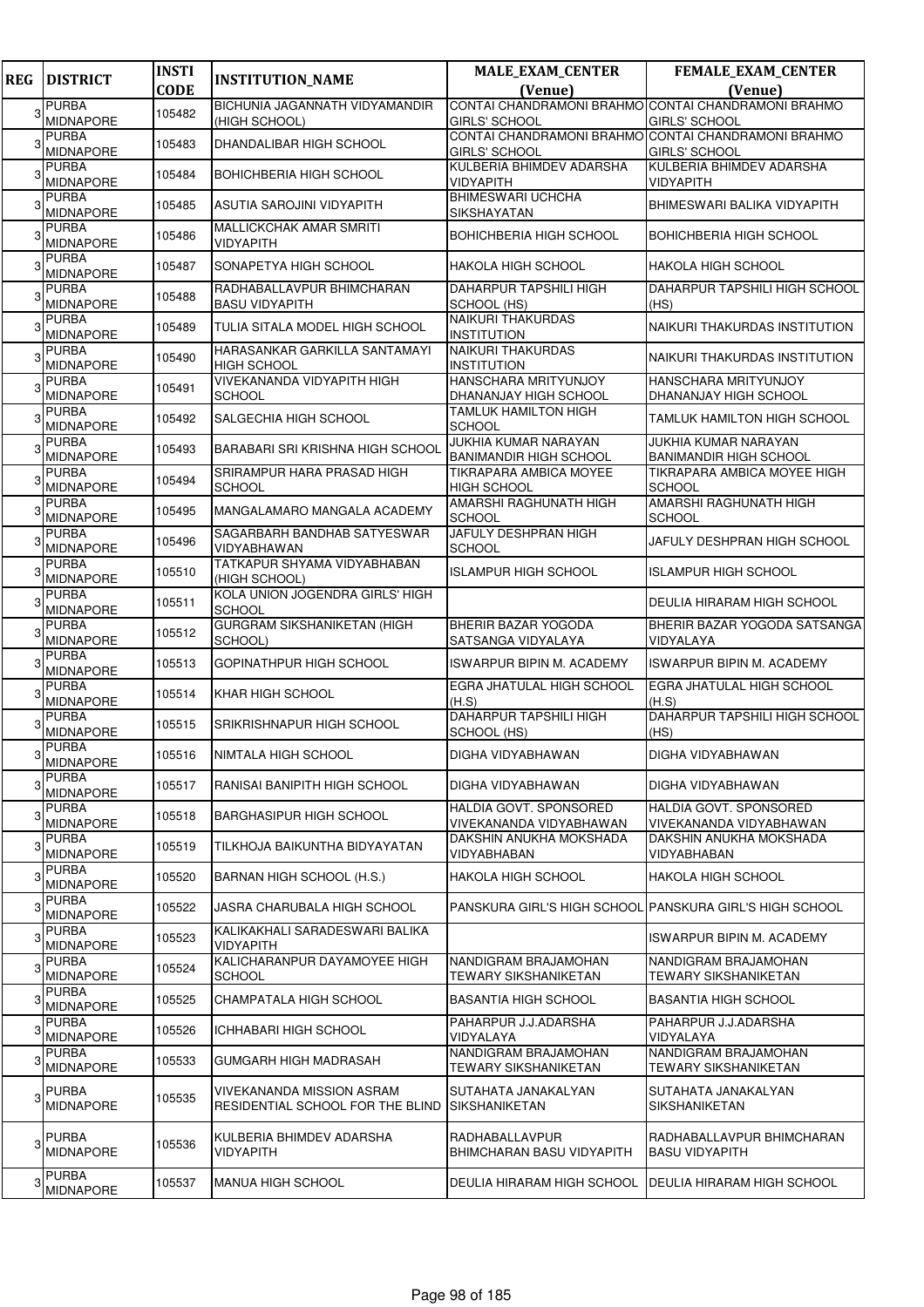| <b>REG</b> | <b>DISTRICT</b>                  | <b>INSTI</b> | <b>INSTITUTION_NAME</b>                                       | <b>MALE_EXAM_CENTER</b>                                      | <b>FEMALE_EXAM_CENTER</b>                                                   |
|------------|----------------------------------|--------------|---------------------------------------------------------------|--------------------------------------------------------------|-----------------------------------------------------------------------------|
|            |                                  | <b>CODE</b>  |                                                               | (Venue)                                                      | (Venue)                                                                     |
| 3          | <b>PURBA</b>                     | 105482       | BICHUNIA JAGANNATH VIDYAMANDIR                                | CONTAI CHANDRAMONI BRAHMO CONTAI CHANDRAMONI BRAHMO          |                                                                             |
|            | <b>MIDNAPORE</b><br><b>PURBA</b> |              | (HIGH SCHOOL)                                                 | <b>GIRLS' SCHOOL</b>                                         | <b>GIRLS' SCHOOL</b><br>CONTAI CHANDRAMONI BRAHMO CONTAI CHANDRAMONI BRAHMO |
|            | <b>MIDNAPORE</b>                 | 105483       | <b>DHANDALIBAR HIGH SCHOOL</b>                                | <b>GIRLS' SCHOOL</b>                                         | <b>GIRLS' SCHOOL</b>                                                        |
|            | <b>PURBA</b><br><b>MIDNAPORE</b> | 105484       | <b>BOHICHBERIA HIGH SCHOOL</b>                                | KULBERIA BHIMDEV ADARSHA<br>VIDYAPITH                        | KULBERIA BHIMDEV ADARSHA<br><b>VIDYAPITH</b>                                |
|            | <b>PURBA</b><br><b>MIDNAPORE</b> | 105485       | ASUTIA SAROJINI VIDYAPITH                                     | <b>BHIMESWARI UCHCHA</b><br>SIKSHAYATAN                      | <b>BHIMESWARI BALIKA VIDYAPITH</b>                                          |
|            | <b>PURBA</b><br><b>MIDNAPORE</b> | 105486       | <b>MALLICKCHAK AMAR SMRITI</b><br>VIDYAPITH                   | BOHICHBERIA HIGH SCHOOL                                      | <b>BOHICHBERIA HIGH SCHOOL</b>                                              |
|            | <b>PURBA</b><br><b>MIDNAPORE</b> | 105487       | SONAPETYA HIGH SCHOOL                                         | HAKOLA HIGH SCHOOL                                           | HAKOLA HIGH SCHOOL                                                          |
|            | <b>PURBA</b><br><b>MIDNAPORE</b> | 105488       | RADHABALLAVPUR BHIMCHARAN<br><b>BASU VIDYAPITH</b>            | DAHARPUR TAPSHILI HIGH<br>SCHOOL (HS)                        | DAHARPUR TAPSHILI HIGH SCHOOL<br>(HS)                                       |
|            | <b>PURBA</b><br>MIDNAPORE        | 105489       | TULIA SITALA MODEL HIGH SCHOOL                                | <b>NAIKURI THAKURDAS</b><br><b>INSTITUTION</b>               | NAIKURI THAKURDAS INSTITUTION                                               |
|            | <b>PURBA</b><br>MIDNAPORE        | 105490       | HARASANKAR GARKILLA SANTAMAYI<br><b>HIGH SCHOOL</b>           | NAIKURI THAKURDAS<br>INSTITUTION                             | NAIKURI THAKURDAS INSTITUTION                                               |
|            | <b>PURBA</b><br><b>MIDNAPORE</b> | 105491       | <b>VIVEKANANDA VIDYAPITH HIGH</b><br><b>SCHOOL</b>            | HANSCHARA MRITYUNJOY<br>DHANANJAY HIGH SCHOOL                | HANSCHARA MRITYUNJOY<br>DHANANJAY HIGH SCHOOL                               |
|            | <b>PURBA</b><br><b>MIDNAPORE</b> | 105492       | SALGECHIA HIGH SCHOOL                                         | <b>TAMLUK HAMILTON HIGH</b><br>SCHOOL                        | TAMLUK HAMILTON HIGH SCHOOL                                                 |
|            | <b>PURBA</b><br><b>MIDNAPORE</b> | 105493       | <b>BARABARI SRI KRISHNA HIGH SCHOOL</b>                       | <b>JUKHIA KUMAR NARAYAN</b><br><b>BANIMANDIR HIGH SCHOOL</b> | JUKHIA KUMAR NARAYAN<br><b>BANIMANDIR HIGH SCHOOL</b>                       |
|            | <b>PURBA</b><br>MIDNAPORE        | 105494       | SRIRAMPUR HARA PRASAD HIGH<br><b>SCHOOL</b>                   | TIKRAPARA AMBICA MOYEE<br><b>HIGH SCHOOL</b>                 | TIKRAPARA AMBICA MOYEE HIGH<br><b>SCHOOL</b>                                |
|            | <b>PURBA</b><br><b>MIDNAPORE</b> | 105495       | MANGALAMARO MANGALA ACADEMY                                   | AMARSHI RAGHUNATH HIGH<br>SCHOOL                             | AMARSHI RAGHUNATH HIGH<br><b>SCHOOL</b>                                     |
|            | <b>PURBA</b><br><b>MIDNAPORE</b> | 105496       | SAGARBARH BANDHAB SATYESWAR<br>VIDYABHAWAN                    | JAFULY DESHPRAN HIGH<br>SCHOOL                               | JAFULY DESHPRAN HIGH SCHOOL                                                 |
|            | <b>PURBA</b><br>MIDNAPORE        | 105510       | TATKAPUR SHYAMA VIDYABHABAN<br>(HIGH SCHOOL)                  | <b>ISLAMPUR HIGH SCHOOL</b>                                  | <b>ISLAMPUR HIGH SCHOOL</b>                                                 |
|            | <b>PURBA</b><br><b>MIDNAPORE</b> | 105511       | KOLA UNION JOGENDRA GIRLS' HIGH<br><b>SCHOOL</b>              |                                                              | DEULIA HIRARAM HIGH SCHOOL                                                  |
|            | <b>PURBA</b><br>MIDNAPORE        | 105512       | <b>GURGRAM SIKSHANIKETAN (HIGH</b><br>SCHOOL)                 | BHERIR BAZAR YOGODA<br>SATSANGA VIDYALAYA                    | BHERIR BAZAR YOGODA SATSANGA<br>VIDYALAYA                                   |
|            | <b>PURBA</b><br><b>MIDNAPORE</b> | 105513       | <b>GOPINATHPUR HIGH SCHOOL</b>                                | ISWARPUR BIPIN M. ACADEMY                                    | <b>ISWARPUR BIPIN M. ACADEMY</b>                                            |
|            | <b>PURBA</b><br><b>MIDNAPORE</b> | 105514       | KHAR HIGH SCHOOL                                              | EGRA JHATULAL HIGH SCHOOL<br>(H.S)                           | <b>EGRA JHATULAL HIGH SCHOOL</b><br>(H.S)                                   |
|            | <b>PURBA</b><br><b>MIDNAPORE</b> | 105515       | SRIKRISHNAPUR HIGH SCHOOL                                     | DAHARPUR TAPSHILI HIGH<br>SCHOOL (HS)                        | DAHARPUR TAPSHILI HIGH SCHOOL<br>(HS)                                       |
|            | <b>PURBA</b><br><b>MIDNAPORE</b> | 105516       | INIMTALA HIGH SCHOOL                                          | DIGHA VIDYABHAWAN                                            | DIGHA VIDYABHAWAN                                                           |
|            | <b>PURBA</b><br><b>MIDNAPORE</b> | 105517       | IRANISAI BANIPITH HIGH SCHOOL                                 | DIGHA VIDYABHAWAN                                            | DIGHA VIDYABHAWAN                                                           |
|            | PURBA<br><b>MIDNAPORE</b>        | 105518       | <b>BARGHASIPUR HIGH SCHOOL</b>                                | HALDIA GOVT. SPONSORED<br>VIVEKANANDA VIDYABHAWAN            | HALDIA GOVT. SPONSORED<br>VIVEKANANDA VIDYABHAWAN                           |
|            | <b>PURBA</b><br><b>MIDNAPORE</b> | 105519       | TILKHOJA BAIKUNTHA BIDYAYATAN                                 | DAKSHIN ANUKHA MOKSHADA<br>VIDYABHABAN                       | DAKSHIN ANUKHA MOKSHADA<br>VIDYABHABAN                                      |
| З          | <b>PURBA</b><br><b>MIDNAPORE</b> | 105520       | BARNAN HIGH SCHOOL (H.S.)                                     | HAKOLA HIGH SCHOOL                                           | <b>HAKOLA HIGH SCHOOL</b>                                                   |
| 3          | <b>PURBA</b><br>MIDNAPORE        | 105522       | JASRA CHARUBALA HIGH SCHOOL                                   |                                                              | PANSKURA GIRL'S HIGH SCHOOL PANSKURA GIRL'S HIGH SCHOOL                     |
|            | <b>PURBA</b><br><b>MIDNAPORE</b> | 105523       | KALIKAKHALI SARADESWARI BALIKA<br>VIDYAPITH                   |                                                              | <b>ISWARPUR BIPIN M. ACADEMY</b>                                            |
| 3          | <b>PURBA</b><br><b>MIDNAPORE</b> | 105524       | KALICHARANPUR DAYAMOYEE HIGH<br><b>SCHOOL</b>                 | NANDIGRAM BRAJAMOHAN<br>TEWARY SIKSHANIKETAN                 | NANDIGRAM BRAJAMOHAN<br>TEWARY SIKSHANIKETAN                                |
|            | PURBA<br><b>MIDNAPORE</b>        | 105525       | <b>CHAMPATALA HIGH SCHOOL</b>                                 | BASANTIA HIGH SCHOOL                                         | <b>BASANTIA HIGH SCHOOL</b>                                                 |
| 3          | <b>PURBA</b><br><b>MIDNAPORE</b> | 105526       | <b>ICHHABARI HIGH SCHOOL</b>                                  | PAHARPUR J.J.ADARSHA<br>VIDYALAYA                            | PAHARPUR J.J.ADARSHA<br>VIDYALAYA                                           |
|            | <b>PURBA</b><br><b>MIDNAPORE</b> | 105533       | <b>GUMGARH HIGH MADRASAH</b>                                  | NANDIGRAM BRAJAMOHAN<br>TEWARY SIKSHANIKETAN                 | NANDIGRAM BRAJAMOHAN<br><b>TEWARY SIKSHANIKETAN</b>                         |
| 3          | PURBA<br><b>MIDNAPORE</b>        | 105535       | VIVEKANANDA MISSION ASRAM<br>RESIDENTIAL SCHOOL FOR THE BLIND | SUTAHATA JANAKALYAN<br><b>SIKSHANIKETAN</b>                  | SUTAHATA JANAKALYAN<br>SIKSHANIKETAN                                        |
|            | PURBA<br><b>MIDNAPORE</b>        | 105536       | KULBERIA BHIMDEV ADARSHA<br><b>VIDYAPITH</b>                  | RADHABALLAVPUR<br>BHIMCHARAN BASU VIDYAPITH                  | IRADHABALLAVPUR BHIMCHARAN<br><b>BASU VIDYAPITH</b>                         |
| 3          | <b>PURBA</b><br><b>MIDNAPORE</b> | 105537       | MANUA HIGH SCHOOL                                             | DEULIA HIRARAM HIGH SCHOOL                                   | <b>DEULIA HIRARAM HIGH SCHOOL</b>                                           |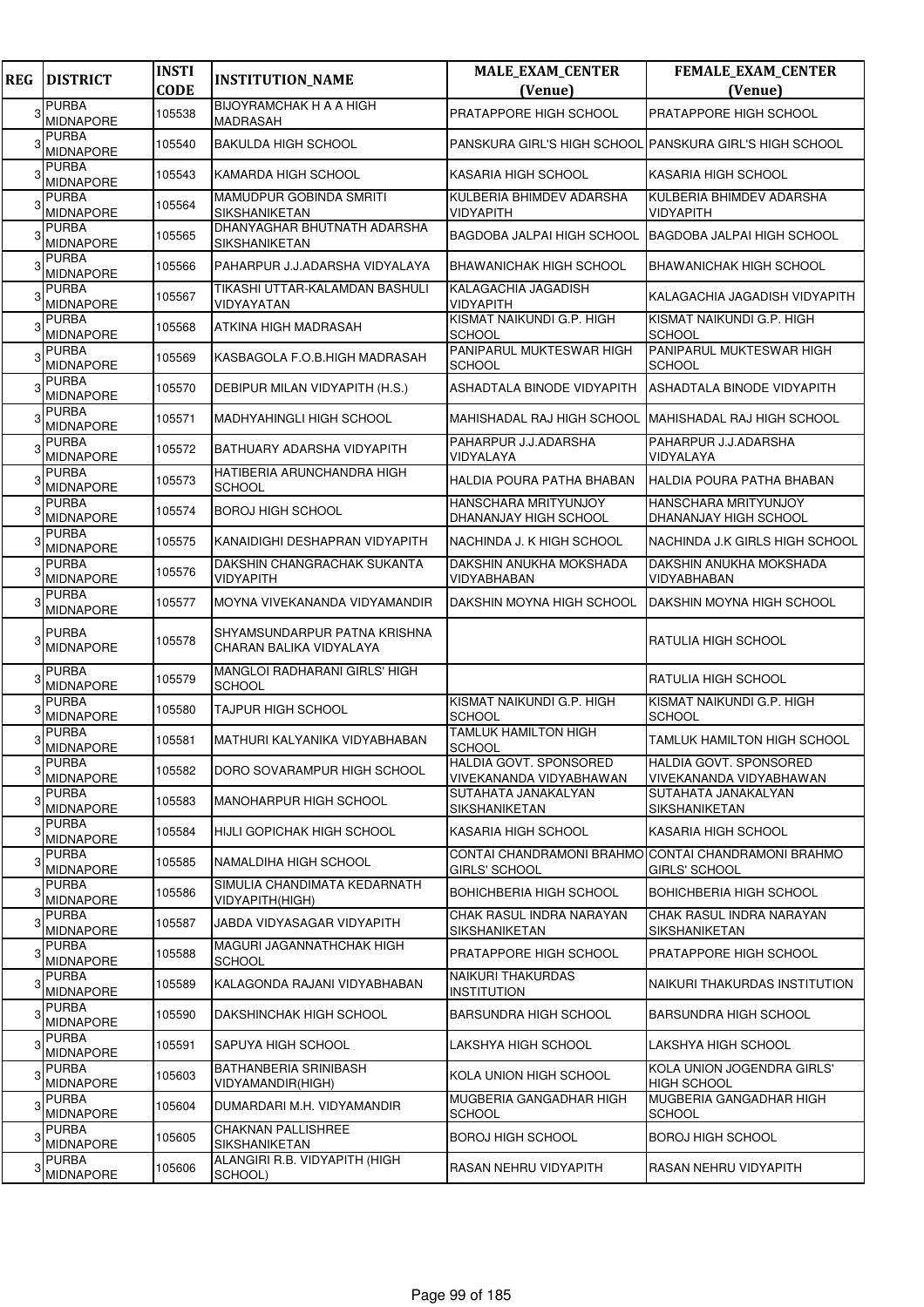| <b>REG</b> | <b>DISTRICT</b>                  | <b>INSTI</b><br><b>CODE</b> | <b>INSTITUTION_NAME</b>                                 | <b>MALE_EXAM_CENTER</b><br>(Venue)                      | FEMALE_EXAM_CENTER<br>(Venue)                                        |
|------------|----------------------------------|-----------------------------|---------------------------------------------------------|---------------------------------------------------------|----------------------------------------------------------------------|
| 3          | <b>PURBA</b><br><b>MIDNAPORE</b> | 105538                      | <b>BIJOYRAMCHAK H A A HIGH</b><br><b>MADRASAH</b>       | PRATAPPORE HIGH SCHOOL                                  | PRATAPPORE HIGH SCHOOL                                               |
|            | <b>PURBA</b><br>MIDNAPORE        | 105540                      | <b>BAKULDA HIGH SCHOOL</b>                              | PANSKURA GIRL'S HIGH SCHOOL PANSKURA GIRL'S HIGH SCHOOL |                                                                      |
|            | <b>PURBA</b><br><b>MIDNAPORE</b> | 105543                      | KAMARDA HIGH SCHOOL                                     | KASARIA HIGH SCHOOL                                     | KASARIA HIGH SCHOOL                                                  |
|            | <b>PURBA</b><br><b>MIDNAPORE</b> | 105564                      | MAMUDPUR GOBINDA SMRITI<br>SIKSHANIKETAN                | KULBERIA BHIMDEV ADARSHA<br>VIDYAPITH                   | KULBERIA BHIMDEV ADARSHA<br>VIDYAPITH                                |
|            | <b>PURBA</b><br><b>MIDNAPORE</b> | 105565                      | DHANYAGHAR BHUTNATH ADARSHA<br><b>SIKSHANIKETAN</b>     | <b>BAGDOBA JALPAI HIGH SCHOOL</b>                       | <b>BAGDOBA JALPAI HIGH SCHOOL</b>                                    |
|            | <b>PURBA</b><br><b>MIDNAPORE</b> | 105566                      | PAHARPUR J.J.ADARSHA VIDYALAYA                          | BHAWANICHAK HIGH SCHOOL                                 | <b>BHAWANICHAK HIGH SCHOOL</b>                                       |
|            | <b>PURBA</b><br><b>MIDNAPORE</b> | 105567                      | TIKASHI UTTAR-KALAMDAN BASHULI<br>VIDYAYATAN            | KALAGACHIA JAGADISH<br>VIDYAPITH                        | KALAGACHIA JAGADISH VIDYAPITH                                        |
|            | <b>PURBA</b><br>MIDNAPORE        | 105568                      | ATKINA HIGH MADRASAH                                    | KISMAT NAIKUNDI G.P. HIGH<br><b>SCHOOL</b>              | KISMAT NAIKUNDI G.P. HIGH<br><b>SCHOOL</b>                           |
|            | <b>PURBA</b><br><b>MIDNAPORE</b> | 105569                      | KASBAGOLA F.O.B.HIGH MADRASAH                           | PANIPARUL MUKTESWAR HIGH<br><b>SCHOOL</b>               | PANIPARUL MUKTESWAR HIGH<br><b>SCHOOL</b>                            |
|            | <b>PURBA</b><br><b>MIDNAPORE</b> | 105570                      | DEBIPUR MILAN VIDYAPITH (H.S.)                          | ASHADTALA BINODE VIDYAPITH                              | ASHADTALA BINODE VIDYAPITH                                           |
|            | <b>PURBA</b><br><b>MIDNAPORE</b> | 105571                      | <b>MADHYAHINGLI HIGH SCHOOL</b>                         | <b>MAHISHADAL RAJ HIGH SCHOOL</b>                       | MAHISHADAL RAJ HIGH SCHOOL                                           |
|            | <b>PURBA</b><br><b>MIDNAPORE</b> | 105572                      | BATHUARY ADARSHA VIDYAPITH                              | PAHARPUR J.J.ADARSHA<br>VIDYALAYA                       | PAHARPUR J.J.ADARSHA<br>VIDYALAYA                                    |
|            | <b>PURBA</b><br>MIDNAPORE        | 105573                      | HATIBERIA ARUNCHANDRA HIGH<br><b>SCHOOL</b>             | HALDIA POURA PATHA BHABAN                               | HALDIA POURA PATHA BHABAN                                            |
|            | <b>PURBA</b><br><b>MIDNAPORE</b> | 105574                      | <b>BOROJ HIGH SCHOOL</b>                                | HANSCHARA MRITYUNJOY<br>DHANANJAY HIGH SCHOOL           | HANSCHARA MRITYUNJOY<br>DHANANJAY HIGH SCHOOL                        |
|            | <b>PURBA</b><br><b>MIDNAPORE</b> | 105575                      | KANAIDIGHI DESHAPRAN VIDYAPITH                          | NACHINDA J. K HIGH SCHOOL                               | NACHINDA J.K GIRLS HIGH SCHOOL                                       |
|            | <b>PURBA</b><br>MIDNAPORE        | 105576                      | DAKSHIN CHANGRACHAK SUKANTA<br>VIDYAPITH                | DAKSHIN ANUKHA MOKSHADA<br>VIDYABHABAN                  | DAKSHIN ANUKHA MOKSHADA<br>VIDYABHABAN                               |
|            | <b>PURBA</b><br><b>MIDNAPORE</b> | 105577                      | MOYNA VIVEKANANDA VIDYAMANDIR                           | DAKSHIN MOYNA HIGH SCHOOL                               | DAKSHIN MOYNA HIGH SCHOOL                                            |
|            | <b>PURBA</b><br><b>MIDNAPORE</b> | 105578                      | SHYAMSUNDARPUR PATNA KRISHNA<br>CHARAN BALIKA VIDYALAYA |                                                         | RATULIA HIGH SCHOOL                                                  |
|            | <b>PURBA</b><br>MIDNAPORE        | 105579                      | <b>MANGLOI RADHARANI GIRLS' HIGH</b><br><b>SCHOOL</b>   |                                                         | RATULIA HIGH SCHOOL                                                  |
|            | <b>PURBA</b><br><b>MIDNAPORE</b> | 105580                      | <b>TAJPUR HIGH SCHOOL</b>                               | KISMAT NAIKUNDI G.P. HIGH<br><b>SCHOOL</b>              | KISMAT NAIKUNDI G.P. HIGH<br><b>SCHOOL</b>                           |
|            | <b>PURBA</b><br>MIDNAPORE        | 105581                      | MATHURI KALYANIKA VIDYABHABAN                           | <b>TAMLUK HAMILTON HIGH</b><br><b>SCHOOL</b>            | TAMLUK HAMILTON HIGH SCHOOL                                          |
| 3          | <b>PURBA</b><br><b>MIDNAPORE</b> | 105582                      | DORO SOVARAMPUR HIGH SCHOOL                             | HALDIA GOVT. SPONSORED<br>VIVEKANANDA VIDYABHAWAN       | HALDIA GOVT. SPONSORED<br>VIVEKANANDA VIDYABHAWAN                    |
| 3          | <b>PURBA</b><br><b>MIDNAPORE</b> | 105583                      | <b>MANOHARPUR HIGH SCHOOL</b>                           | SUTAHATA JANAKALYAN<br>SIKSHANIKETAN                    | SUTAHATA JANAKALYAN<br>SIKSHANIKETAN                                 |
|            | <b>PURBA</b><br><b>MIDNAPORE</b> | 105584                      | HIJLI GOPICHAK HIGH SCHOOL                              | KASARIA HIGH SCHOOL                                     | KASARIA HIGH SCHOOL                                                  |
| 3          | <b>PURBA</b><br><b>MIDNAPORE</b> | 105585                      | NAMALDIHA HIGH SCHOOL                                   | <b>GIRLS' SCHOOL</b>                                    | CONTAI CHANDRAMONI BRAHMO CONTAI CHANDRAMONI BRAHMO<br>GIRLS' SCHOOL |
|            | <b>PURBA</b><br>MIDNAPORE        | 105586                      | SIMULIA CHANDIMATA KEDARNATH<br>VIDYAPITH(HIGH)         | <b>BOHICHBERIA HIGH SCHOOL</b>                          | BOHICHBERIA HIGH SCHOOL                                              |
|            | <b>PURBA</b><br>MIDNAPORE        | 105587                      | JABDA VIDYASAGAR VIDYAPITH                              | CHAK RASUL INDRA NARAYAN<br>SIKSHANIKETAN               | CHAK RASUL INDRA NARAYAN<br>SIKSHANIKETAN                            |
|            | PURBA<br>MIDNAPORE               | 105588                      | MAGURI JAGANNATHCHAK HIGH<br><b>SCHOOL</b>              | PRATAPPORE HIGH SCHOOL                                  | PRATAPPORE HIGH SCHOOL                                               |
| 3          | <b>PURBA</b><br><b>MIDNAPORE</b> | 105589                      | KALAGONDA RAJANI VIDYABHABAN                            | NAIKURI THAKURDAS<br><b>INSTITUTION</b>                 | NAIKURI THAKURDAS INSTITUTION                                        |
| 3          | <b>PURBA</b><br>MIDNAPORE        | 105590                      | DAKSHINCHAK HIGH SCHOOL                                 | <b>BARSUNDRA HIGH SCHOOL</b>                            | BARSUNDRA HIGH SCHOOL                                                |
|            | <b>PURBA</b><br>MIDNAPORE        | 105591                      | <b>SAPUYA HIGH SCHOOL</b>                               | LAKSHYA HIGH SCHOOL                                     | LAKSHYA HIGH SCHOOL                                                  |
| 3          | <b>PURBA</b><br><b>MIDNAPORE</b> | 105603                      | BATHANBERIA SRINIBASH<br>VIDYAMANDIR(HIGH)              | KOLA UNION HIGH SCHOOL                                  | KOLA UNION JOGENDRA GIRLS'<br><b>HIGH SCHOOL</b>                     |
|            | PURBA<br><b>MIDNAPORE</b>        | 105604                      | DUMARDARI M.H. VIDYAMANDIR                              | MUGBERIA GANGADHAR HIGH<br>SCHOOL                       | MUGBERIA GANGADHAR HIGH<br>SCHOOL                                    |
|            | <b>PURBA</b><br>MIDNAPORE        | 105605                      | <b>CHAKNAN PALLISHREE</b><br>SIKSHANIKETAN              | <b>BOROJ HIGH SCHOOL</b>                                | <b>BOROJ HIGH SCHOOL</b>                                             |
|            | <b>PURBA</b><br>MIDNAPORE        | 105606                      | ALANGIRI R.B. VIDYAPITH (HIGH<br>SCHOOL)                | RASAN NEHRU VIDYAPITH                                   | RASAN NEHRU VIDYAPITH                                                |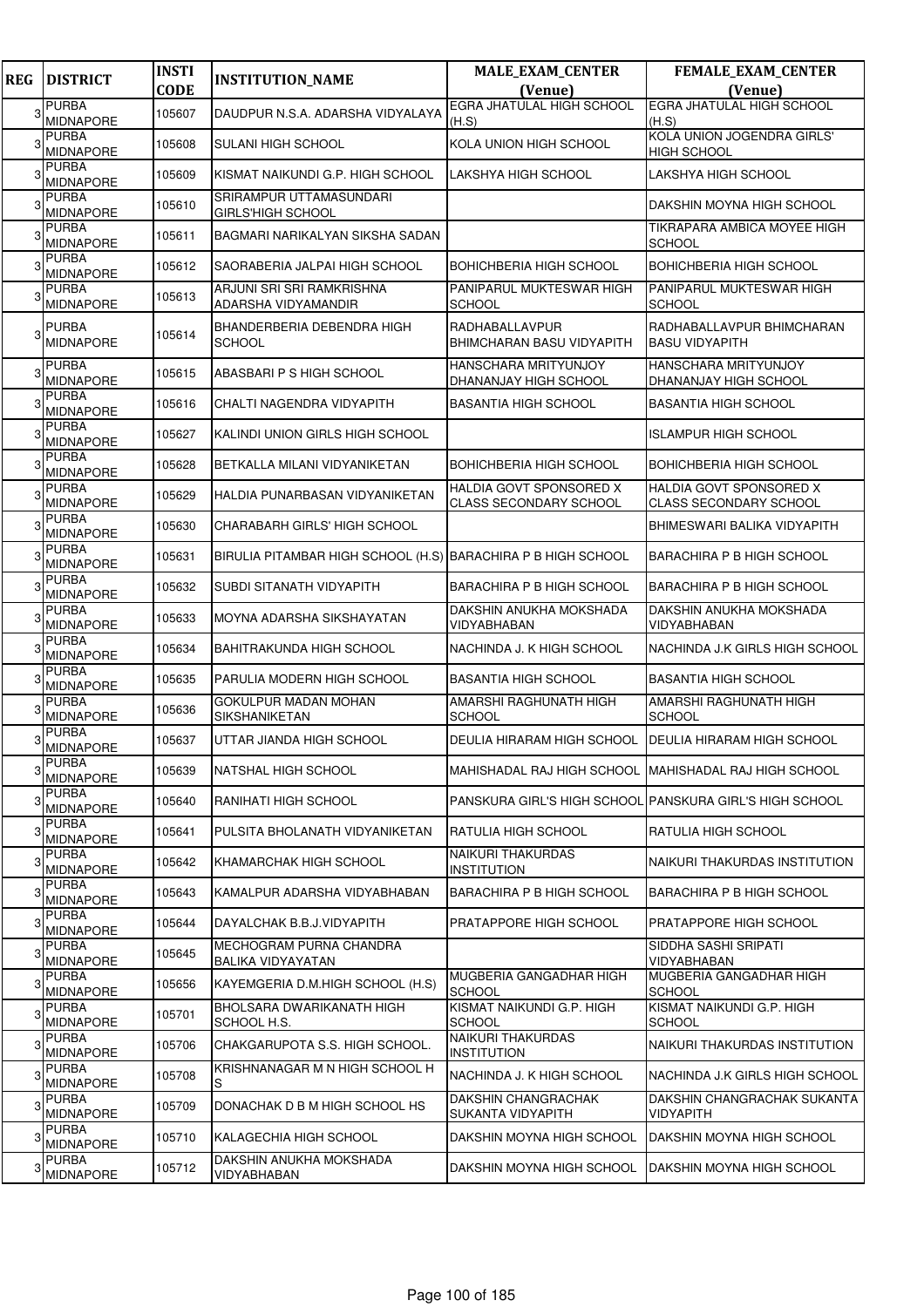| <b>REG</b> | <b>DISTRICT</b>                  | <b>INSTI</b><br><b>CODE</b> | <b>INSTITUTION_NAME</b>                                      | <b>MALE_EXAM_CENTER</b><br>(Venue)                       | FEMALE_EXAM_CENTER<br>(Venue)                            |
|------------|----------------------------------|-----------------------------|--------------------------------------------------------------|----------------------------------------------------------|----------------------------------------------------------|
| з          | <b>PURBA</b>                     | 105607                      | DAUDPUR N.S.A. ADARSHA VIDYALAYA                             | <b>EGRA JHATULAL HIGH SCHOOL</b>                         | <b>EGRA JHATULAL HIGH SCHOOL</b>                         |
|            | <b>MIDNAPORE</b><br><b>PURBA</b> |                             |                                                              | (H.S)                                                    | (H.S)<br>KOLA UNION JOGENDRA GIRLS'                      |
|            | <b>MIDNAPORE</b>                 | 105608                      | <b>SULANI HIGH SCHOOL</b>                                    | KOLA UNION HIGH SCHOOL                                   | HIGH SCHOOL                                              |
|            | <b>PURBA</b><br><b>MIDNAPORE</b> | 105609                      | KISMAT NAIKUNDI G.P. HIGH SCHOOL                             | LAKSHYA HIGH SCHOOL                                      | LAKSHYA HIGH SCHOOL                                      |
|            | <b>PURBA</b><br><b>MIDNAPORE</b> | 105610                      | SRIRAMPUR UTTAMASUNDARI<br><b>GIRLS'HIGH SCHOOL</b>          |                                                          | DAKSHIN MOYNA HIGH SCHOOL                                |
|            | <b>PURBA</b><br><b>MIDNAPORE</b> | 105611                      | BAGMARI NARIKALYAN SIKSHA SADAN                              |                                                          | TIKRAPARA AMBICA MOYEE HIGH<br><b>SCHOOL</b>             |
|            | <b>PURBA</b><br><b>MIDNAPORE</b> | 105612                      | SAORABERIA JALPAI HIGH SCHOOL                                | <b>BOHICHBERIA HIGH SCHOOL</b>                           | <b>BOHICHBERIA HIGH SCHOOL</b>                           |
|            | <b>PURBA</b><br><b>MIDNAPORE</b> | 105613                      | ARJUNI SRI SRI RAMKRISHNA<br>ADARSHA VIDYAMANDIR             | PANIPARUL MUKTESWAR HIGH<br><b>SCHOOL</b>                | PANIPARUL MUKTESWAR HIGH<br>SCHOOL                       |
|            | <b>PURBA</b><br><b>MIDNAPORE</b> | 105614                      | BHANDERBERIA DEBENDRA HIGH<br><b>SCHOOL</b>                  | RADHABALLAVPUR<br><b>BHIMCHARAN BASU VIDYAPITH</b>       | RADHABALLAVPUR BHIMCHARAN<br><b>BASU VIDYAPITH</b>       |
|            | <b>PURBA</b><br><b>MIDNAPORE</b> | 105615                      | ABASBARI P S HIGH SCHOOL                                     | <b>HANSCHARA MRITYUNJOY</b><br>DHANANJAY HIGH SCHOOL     | HANSCHARA MRITYUNJOY<br>DHANANJAY HIGH SCHOOL            |
|            | <b>PURBA</b><br><b>MIDNAPORE</b> | 105616                      | CHALTI NAGENDRA VIDYAPITH                                    | <b>BASANTIA HIGH SCHOOL</b>                              | <b>BASANTIA HIGH SCHOOL</b>                              |
|            | <b>PURBA</b><br><b>MIDNAPORE</b> | 105627                      | KALINDI UNION GIRLS HIGH SCHOOL                              |                                                          | <b>ISLAMPUR HIGH SCHOOL</b>                              |
|            | <b>PURBA</b><br><b>MIDNAPORE</b> | 105628                      | BETKALLA MILANI VIDYANIKETAN                                 | <b>BOHICHBERIA HIGH SCHOOL</b>                           | <b>BOHICHBERIA HIGH SCHOOL</b>                           |
|            | <b>PURBA</b><br><b>MIDNAPORE</b> | 105629                      | HALDIA PUNARBASAN VIDYANIKETAN                               | HALDIA GOVT SPONSORED X<br><b>CLASS SECONDARY SCHOOL</b> | HALDIA GOVT SPONSORED X<br><b>CLASS SECONDARY SCHOOL</b> |
|            | <b>PURBA</b><br><b>MIDNAPORE</b> | 105630                      | CHARABARH GIRLS' HIGH SCHOOL                                 |                                                          | BHIMESWARI BALIKA VIDYAPITH                              |
|            | <b>PURBA</b><br><b>MIDNAPORE</b> | 105631                      | BIRULIA PITAMBAR HIGH SCHOOL (H.S) BARACHIRA P B HIGH SCHOOL |                                                          | <b>BARACHIRA P B HIGH SCHOOL</b>                         |
|            | <b>PURBA</b><br>MIDNAPORE        | 105632                      | SUBDI SITANATH VIDYAPITH                                     | <b>BARACHIRA P B HIGH SCHOOL</b>                         | <b>BARACHIRA P B HIGH SCHOOL</b>                         |
|            | <b>PURBA</b><br><b>MIDNAPORE</b> | 105633                      | MOYNA ADARSHA SIKSHAYATAN                                    | DAKSHIN ANUKHA MOKSHADA<br>VIDYABHABAN                   | DAKSHIN ANUKHA MOKSHADA<br>VIDYABHABAN                   |
|            | <b>PURBA</b><br><b>MIDNAPORE</b> | 105634                      | <b>BAHITRAKUNDA HIGH SCHOOL</b>                              | NACHINDA J. K HIGH SCHOOL                                | NACHINDA J.K GIRLS HIGH SCHOOL                           |
|            | <b>PURBA</b><br><b>MIDNAPORE</b> | 105635                      | PARULIA MODERN HIGH SCHOOL                                   | <b>BASANTIA HIGH SCHOOL</b>                              | <b>BASANTIA HIGH SCHOOL</b>                              |
|            | <b>PURBA</b><br><b>MIDNAPORE</b> | 105636                      | <b>GOKULPUR MADAN MOHAN</b><br><b>SIKSHANIKETAN</b>          | AMARSHI RAGHUNATH HIGH<br><b>SCHOOL</b>                  | AMARSHI RAGHUNATH HIGH<br><b>SCHOOL</b>                  |
|            | <b>PURBA</b><br><b>MIDNAPORE</b> | 105637                      | UTTAR JIANDA HIGH SCHOOL                                     | DEULIA HIRARAM HIGH SCHOOL                               | <b>DEULIA HIRARAM HIGH SCHOOL</b>                        |
| 3          | <b>PURBA</b><br><b>MIDNAPORE</b> | 105639                      | NATSHAL HIGH SCHOOL                                          | MAHISHADAL RAJ HIGH SCHOOL MAHISHADAL RAJ HIGH SCHOOL    |                                                          |
|            | <b>PURBA</b><br><b>MIDNAPORE</b> | 105640                      | RANIHATI HIGH SCHOOL                                         |                                                          | PANSKURA GIRL'S HIGH SCHOOL PANSKURA GIRL'S HIGH SCHOOL  |
|            | <b>PURBA</b><br><b>MIDNAPORE</b> | 105641                      | PULSITA BHOLANATH VIDYANIKETAN                               | RATULIA HIGH SCHOOL                                      | RATULIA HIGH SCHOOL                                      |
|            | PURBA<br>MIDNAPORE               | 105642                      | KHAMARCHAK HIGH SCHOOL                                       | NAIKURI THAKURDAS<br><b>INSTITUTION</b>                  | NAIKURI THAKURDAS INSTITUTION                            |
|            | <b>PURBA</b><br>MIDNAPORE        | 105643                      | KAMALPUR ADARSHA VIDYABHABAN                                 | <b>BARACHIRA P B HIGH SCHOOL</b>                         | <b>BARACHIRA P B HIGH SCHOOL</b>                         |
|            | <b>PURBA</b><br><b>MIDNAPORE</b> | 105644                      | DAYALCHAK B.B.J.VIDYAPITH                                    | <b>PRATAPPORE HIGH SCHOOL</b>                            | PRATAPPORE HIGH SCHOOL                                   |
| 3          | <b>PURBA</b><br>MIDNAPORE        | 105645                      | MECHOGRAM PURNA CHANDRA<br>BALIKA VIDYAYATAN                 |                                                          | SIDDHA SASHI SRIPATI<br>VIDYABHABAN                      |
|            | <b>PURBA</b><br><b>MIDNAPORE</b> | 105656                      | KAYEMGERIA D.M.HIGH SCHOOL (H.S)                             | MUGBERIA GANGADHAR HIGH<br><b>SCHOOL</b>                 | MUGBERIA GANGADHAR HIGH<br><b>SCHOOL</b>                 |
|            | <b>PURBA</b><br>MIDNAPORE        | 105701                      | BHOLSARA DWARIKANATH HIGH<br>SCHOOL H.S.                     | KISMAT NAIKUNDI G.P. HIGH<br><b>SCHOOL</b>               | KISMAT NAIKUNDI G.P. HIGH<br><b>SCHOOL</b>               |
|            | <b>PURBA</b><br>MIDNAPORE        | 105706                      | CHAKGARUPOTA S.S. HIGH SCHOOL.                               | NAIKURI THAKURDAS<br><b>INSTITUTION</b>                  | NAIKURI THAKURDAS INSTITUTION                            |
|            | <b>PURBA</b><br>MIDNAPORE        | 105708                      | KRISHNANAGAR M N HIGH SCHOOL H<br>S                          | NACHINDA J. K HIGH SCHOOL                                | NACHINDA J.K GIRLS HIGH SCHOOL                           |
|            | <b>PURBA</b><br>MIDNAPORE        | 105709                      | DONACHAK D B M HIGH SCHOOL HS                                | DAKSHIN CHANGRACHAK<br>SUKANTA VIDYAPITH                 | DAKSHIN CHANGRACHAK SUKANTA<br>VIDYAPITH                 |
|            | <b>PURBA</b><br>MIDNAPORE        | 105710                      | KALAGECHIA HIGH SCHOOL                                       | DAKSHIN MOYNA HIGH SCHOOL                                | DAKSHIN MOYNA HIGH SCHOOL                                |
|            | <b>PURBA</b><br>MIDNAPORE        | 105712                      | DAKSHIN ANUKHA MOKSHADA<br><b>VIDYABHABAN</b>                | DAKSHIN MOYNA HIGH SCHOOL                                | DAKSHIN MOYNA HIGH SCHOOL                                |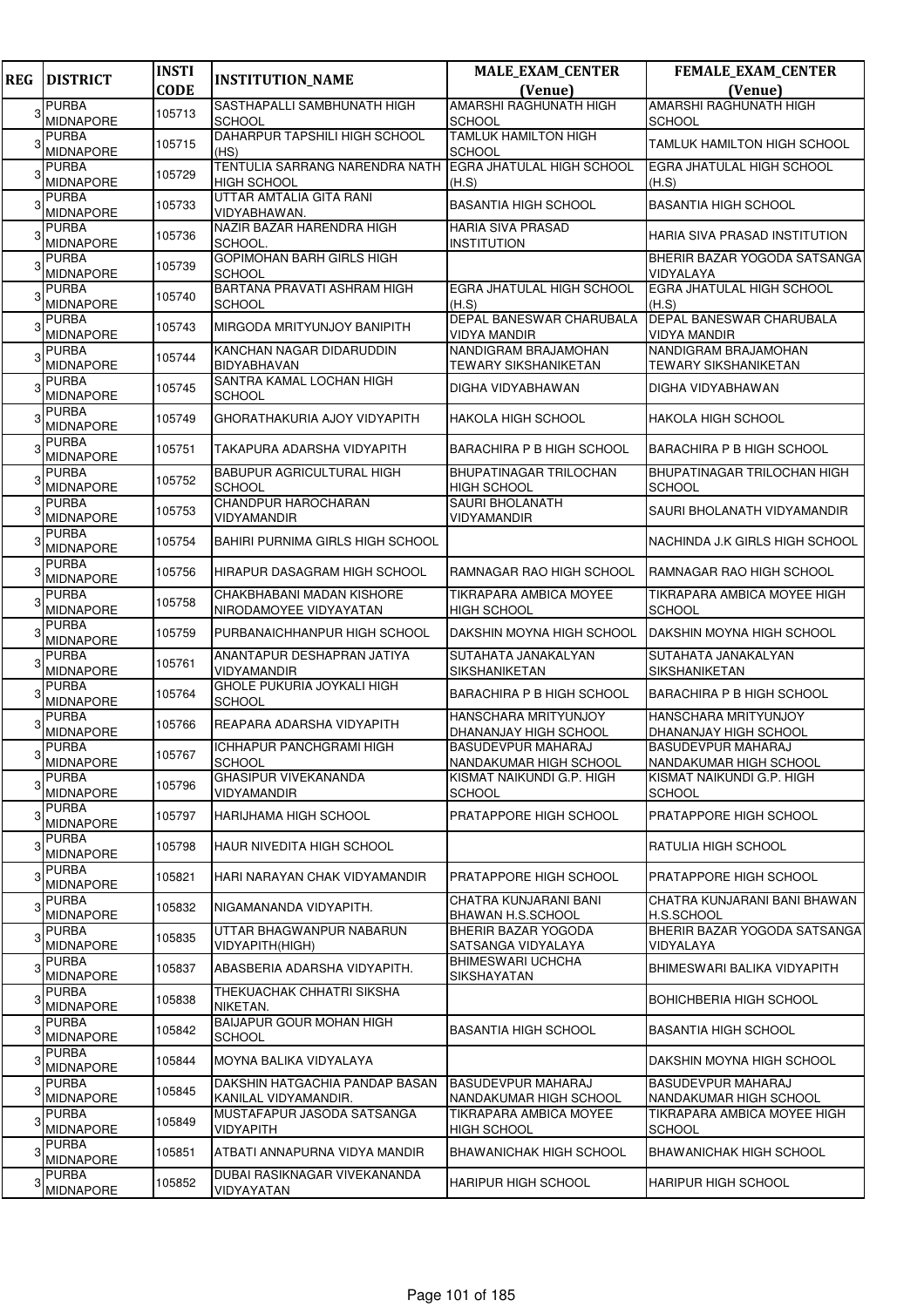| <b>REG</b> | <b>DISTRICT</b>                  | <b>INSTI</b> | <b>INSTITUTION_NAME</b>                                | <b>MALE_EXAM_CENTER</b>                             | FEMALE_EXAM_CENTER                                   |
|------------|----------------------------------|--------------|--------------------------------------------------------|-----------------------------------------------------|------------------------------------------------------|
|            |                                  | <b>CODE</b>  |                                                        | (Venue)                                             | (Venue)                                              |
| 3          | <b>PURBA</b><br><b>MIDNAPORE</b> | 105713       | SASTHAPALLI SAMBHUNATH HIGH<br><b>SCHOOL</b>           | <b>AMARSHI RAGHUNATH HIGH</b><br><b>SCHOOL</b>      | AMARSHI RAGHUNATH HIGH<br><b>SCHOOL</b>              |
|            | PURBA<br><b>MIDNAPORE</b>        | 105715       | DAHARPUR TAPSHILI HIGH SCHOOL<br>(HS)                  | <b>TAMLUK HAMILTON HIGH</b><br><b>SCHOOL</b>        | TAMLUK HAMILTON HIGH SCHOOL                          |
|            | PURBA<br><b>MIDNAPORE</b>        | 105729       | TENTULIA SARRANG NARENDRA NATH<br><b>HIGH SCHOOL</b>   | <b>EGRA JHATULAL HIGH SCHOOL</b><br>(H.S)           | EGRA JHATULAL HIGH SCHOOL<br>(H.S)                   |
|            | <b>PURBA</b><br><b>MIDNAPORE</b> | 105733       | UTTAR AMTALIA GITA RANI<br>VIDYABHAWAN.                | <b>BASANTIA HIGH SCHOOL</b>                         | <b>BASANTIA HIGH SCHOOL</b>                          |
|            | PURBA<br>MIDNAPORE               | 105736       | NAZIR BAZAR HARENDRA HIGH<br>SCHOOL.                   | <b>HARIA SIVA PRASAD</b><br><b>INSTITUTION</b>      | HARIA SIVA PRASAD INSTITUTION                        |
|            | <b>PURBA</b><br>MIDNAPORE        | 105739       | GOPIMOHAN BARH GIRLS HIGH<br>SCHOOL                    |                                                     | BHERIR BAZAR YOGODA SATSANGA<br>VIDYALAYA            |
|            | <b>PURBA</b><br><b>MIDNAPORE</b> | 105740       | BARTANA PRAVATI ASHRAM HIGH<br><b>SCHOOL</b>           | <b>EGRA JHATULAL HIGH SCHOOL</b><br>(H.S)           | EGRA JHATULAL HIGH SCHOOL<br>(H.S)                   |
|            | <b>PURBA</b><br>MIDNAPORE        | 105743       | MIRGODA MRITYUNJOY BANIPITH                            | DEPAL BANESWAR CHARUBALA<br>VIDYA MANDIR            | DEPAL BANESWAR CHARUBALA<br><b>VIDYA MANDIR</b>      |
|            | PURBA<br><b>MIDNAPORE</b>        | 105744       | KANCHAN NAGAR DIDARUDDIN<br><b>BIDYABHAVAN</b>         | NANDIGRAM BRAJAMOHAN<br><b>TEWARY SIKSHANIKETAN</b> | NANDIGRAM BRAJAMOHAN<br><b>TEWARY SIKSHANIKETAN</b>  |
|            | <b>PURBA</b><br>MIDNAPORE        | 105745       | SANTRA KAMAL LOCHAN HIGH<br><b>SCHOOL</b>              | DIGHA VIDYABHAWAN                                   | DIGHA VIDYABHAWAN                                    |
| 3          | <b>PURBA</b><br>MIDNAPORE        | 105749       | GHORATHAKURIA AJOY VIDYAPITH                           | <b>HAKOLA HIGH SCHOOL</b>                           | <b>HAKOLA HIGH SCHOOL</b>                            |
|            | <b>PURBA</b><br><b>MIDNAPORE</b> | 105751       | TAKAPURA ADARSHA VIDYAPITH                             | <b>BARACHIRA P B HIGH SCHOOL</b>                    | <b>BARACHIRA P B HIGH SCHOOL</b>                     |
|            | <b>PURBA</b><br>MIDNAPORE        | 105752       | <b>BABUPUR AGRICULTURAL HIGH</b><br><b>SCHOOL</b>      | <b>BHUPATINAGAR TRILOCHAN</b><br><b>HIGH SCHOOL</b> | BHUPATINAGAR TRILOCHAN HIGH<br><b>SCHOOL</b>         |
|            | <b>PURBA</b><br><b>MIDNAPORE</b> | 105753       | <b>CHANDPUR HAROCHARAN</b><br>VIDYAMANDIR              | <b>SAURI BHOLANATH</b><br>VIDYAMANDIR               | SAURI BHOLANATH VIDYAMANDIR                          |
|            | <b>PURBA</b><br><b>MIDNAPORE</b> | 105754       | <b>BAHIRI PURNIMA GIRLS HIGH SCHOOL</b>                |                                                     | NACHINDA J.K GIRLS HIGH SCHOOL                       |
|            | PURBA<br><b>MIDNAPORE</b>        | 105756       | HIRAPUR DASAGRAM HIGH SCHOOL                           | RAMNAGAR RAO HIGH SCHOOL                            | RAMNAGAR RAO HIGH SCHOOL                             |
|            | PURBA<br><b>MIDNAPORE</b>        | 105758       | CHAKBHABANI MADAN KISHORE<br>NIRODAMOYEE VIDYAYATAN    | TIKRAPARA AMBICA MOYEE<br><b>HIGH SCHOOL</b>        | TIKRAPARA AMBICA MOYEE HIGH<br><b>SCHOOL</b>         |
|            | <b>PURBA</b><br>MIDNAPORE        | 105759       | PURBANAICHHANPUR HIGH SCHOOL                           | DAKSHIN MOYNA HIGH SCHOOL                           | DAKSHIN MOYNA HIGH SCHOOL                            |
|            | <b>PURBA</b><br>MIDNAPORE        | 105761       | ANANTAPUR DESHAPRAN JATIYA<br>VIDYAMANDIR              | SUTAHATA JANAKALYAN<br>SIKSHANIKETAN                | SUTAHATA JANAKALYAN<br>SIKSHANIKETAN                 |
|            | PURBA<br><b>MIDNAPORE</b>        | 105764       | <b>GHOLE PUKURIA JOYKALI HIGH</b><br><b>SCHOOL</b>     | <b>BARACHIRA P B HIGH SCHOOL</b>                    | <b>BARACHIRA P B HIGH SCHOOL</b>                     |
|            | <b>PURBA</b><br><b>MIDNAPORE</b> | 105766       | REAPARA ADARSHA VIDYAPITH                              | HANSCHARA MRITYUNJOY<br>DHANANJAY HIGH SCHOOL       | <b>HANSCHARA MRITYUNJOY</b><br>DHANANJAY HIGH SCHOOL |
|            | <b>PURBA</b><br><b>MIDNAPORE</b> | 105767       | <b>ICHHAPUR PANCHGRAMI HIGH</b><br><b>SCHOOL</b>       | <b>BASUDEVPUR MAHARAJ</b><br>NANDAKUMAR HIGH SCHOOL | <b>BASUDEVPUR MAHARAJ</b><br>NANDAKUMAR HIGH SCHOOL  |
|            | <b>PURBA</b><br><b>MIDNAPORE</b> | 105796       | GHASIPUR VIVEKANANDA<br>VIDYAMANDIR                    | KISMAT NAIKUNDI G.P. HIGH<br>SCHOOL                 | KISMAT NAIKUNDI G.P. HIGH<br><b>SCHOOL</b>           |
| 3          | PURBA<br><b>MIDNAPORE</b>        | 105797       | HARIJHAMA HIGH SCHOOL                                  | <b>PRATAPPORE HIGH SCHOOL</b>                       | <b>PRATAPPORE HIGH SCHOOL</b>                        |
| 3          | <b>PURBA</b><br>MIDNAPORE        | 105798       | HAUR NIVEDITA HIGH SCHOOL                              |                                                     | <b>RATULIA HIGH SCHOOL</b>                           |
| З          | PURBA<br><b>MIDNAPORE</b>        | 105821       | HARI NARAYAN CHAK VIDYAMANDIR                          | PRATAPPORE HIGH SCHOOL                              | <b>PRATAPPORE HIGH SCHOOL</b>                        |
| 3          | PURBA<br>MIDNAPORE               | 105832       | NIGAMANANDA VIDYAPITH.                                 | CHATRA KUNJARANI BANI<br><b>BHAWAN H.S.SCHOOL</b>   | CHATRA KUNJARANI BANI BHAWAN<br>H.S.SCHOOL           |
| З          | PURBA<br>MIDNAPORE               | 105835       | UTTAR BHAGWANPUR NABARUN<br>VIDYAPITH(HIGH)            | BHERIR BAZAR YOGODA<br>SATSANGA VIDYALAYA           | BHERIR BAZAR YOGODA SATSANGA<br>VIDYALAYA            |
| 3          | <b>PURBA</b><br>MIDNAPORE        | 105837       | ABASBERIA ADARSHA VIDYAPITH.                           | <b>BHIMESWARI UCHCHA</b><br>SIKSHAYATAN             | BHIMESWARI BALIKA VIDYAPITH                          |
|            | PURBA<br>MIDNAPORE               | 105838       | THEKUACHAK CHHATRI SIKSHA<br>NIKETAN.                  |                                                     | <b>BOHICHBERIA HIGH SCHOOL</b>                       |
| 3          | <b>PURBA</b><br>MIDNAPORE        | 105842       | BAIJAPUR GOUR MOHAN HIGH<br>SCHOOL                     | <b>BASANTIA HIGH SCHOOL</b>                         | BASANTIA HIGH SCHOOL                                 |
|            | PURBA<br>MIDNAPORE               | 105844       | MOYNA BALIKA VIDYALAYA                                 |                                                     | DAKSHIN MOYNA HIGH SCHOOL                            |
| 3          | PURBA<br>MIDNAPORE               | 105845       | DAKSHIN HATGACHIA PANDAP BASAN<br>KANILAL VIDYAMANDIR. | <b>BASUDEVPUR MAHARAJ</b><br>NANDAKUMAR HIGH SCHOOL | <b>BASUDEVPUR MAHARAJ</b><br>NANDAKUMAR HIGH SCHOOL  |
| 3          | <b>PURBA</b><br>MIDNAPORE        | 105849       | MUSTAFAPUR JASODA SATSANGA<br><b>VIDYAPITH</b>         | TIKRAPARA AMBICA MOYEE<br><b>HIGH SCHOOL</b>        | TIKRAPARA AMBICA MOYEE HIGH<br><b>SCHOOL</b>         |
| 3          | PURBA<br>MIDNAPORE               | 105851       | ATBATI ANNAPURNA VIDYA MANDIR                          | <b>BHAWANICHAK HIGH SCHOOL</b>                      | <b>BHAWANICHAK HIGH SCHOOL</b>                       |
| 3          | PURBA<br>MIDNAPORE               | 105852       | DUBAI RASIKNAGAR VIVEKANANDA<br>VIDYAYATAN             | <b>HARIPUR HIGH SCHOOL</b>                          | HARIPUR HIGH SCHOOL                                  |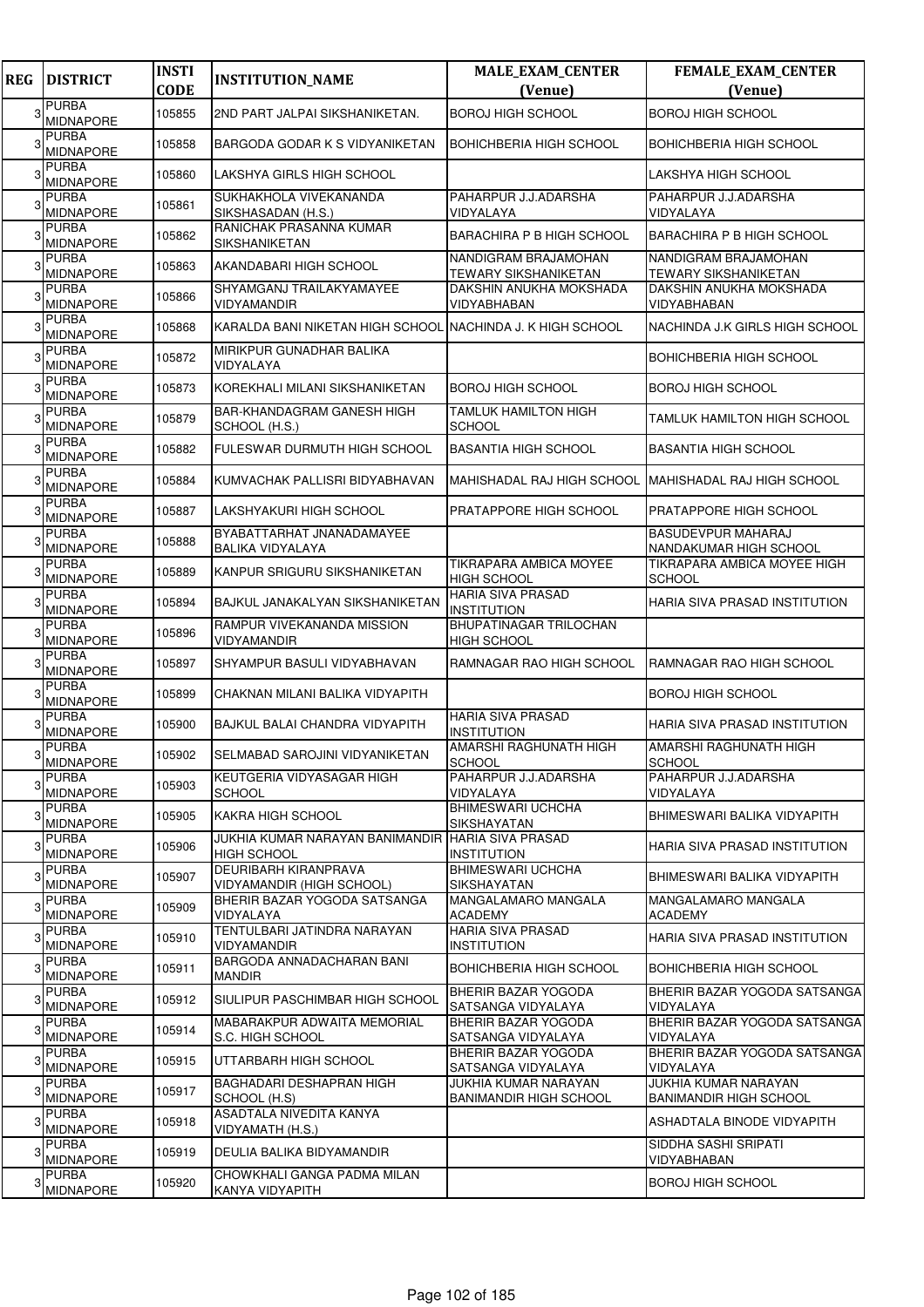| <b>REG</b> | <b>DISTRICT</b>                  | <b>INSTI</b><br><b>CODE</b> | <b>INSTITUTION_NAME</b>                                         | <b>MALE_EXAM_CENTER</b><br>(Venue)             | FEMALE_EXAM_CENTER<br>(Venue)                         |
|------------|----------------------------------|-----------------------------|-----------------------------------------------------------------|------------------------------------------------|-------------------------------------------------------|
| 3          | <b>PURBA</b><br><b>MIDNAPORE</b> | 105855                      | 2ND PART JALPAI SIKSHANIKETAN.                                  | <b>BOROJ HIGH SCHOOL</b>                       | <b>BOROJ HIGH SCHOOL</b>                              |
|            | <b>PURBA</b><br><b>MIDNAPORE</b> | 105858                      | <b>BARGODA GODAR K S VIDYANIKETAN</b>                           | <b>BOHICHBERIA HIGH SCHOOL</b>                 | <b>BOHICHBERIA HIGH SCHOOL</b>                        |
|            | <b>PURBA</b><br><b>MIDNAPORE</b> | 105860                      | LAKSHYA GIRLS HIGH SCHOOL                                       |                                                | LAKSHYA HIGH SCHOOL                                   |
|            | <b>PURBA</b><br><b>MIDNAPORE</b> | 105861                      | SUKHAKHOLA VIVEKANANDA<br>SIKSHASADAN (H.S.)                    | PAHARPUR J.J.ADARSHA<br>VIDYALAYA              | PAHARPUR J.J.ADARSHA<br>VIDYALAYA                     |
|            | <b>PURBA</b><br><b>MIDNAPORE</b> | 105862                      | RANICHAK PRASANNA KUMAR<br><b>SIKSHANIKETAN</b>                 | BARACHIRA P B HIGH SCHOOL                      | <b>BARACHIRA P B HIGH SCHOOL</b>                      |
|            | <b>PURBA</b><br><b>MIDNAPORE</b> | 105863                      | AKANDABARI HIGH SCHOOL                                          | NANDIGRAM BRAJAMOHAN<br>TEWARY SIKSHANIKETAN   | NANDIGRAM BRAJAMOHAN<br><b>TEWARY SIKSHANIKETAN</b>   |
|            | <b>PURBA</b><br><b>MIDNAPORE</b> | 105866                      | SHYAMGANJ TRAILAKYAMAYEE<br>VIDYAMANDIR                         | DAKSHIN ANUKHA MOKSHADA<br>VIDYABHABAN         | DAKSHIN ANUKHA MOKSHADA<br>VIDYABHABAN                |
|            | <b>PURBA</b><br>MIDNAPORE        | 105868                      | KARALDA BANI NIKETAN HIGH SCHOOL INACHINDA J. K HIGH SCHOOL     |                                                | NACHINDA J.K GIRLS HIGH SCHOOL                        |
|            | <b>PURBA</b><br><b>MIDNAPORE</b> | 105872                      | MIRIKPUR GUNADHAR BALIKA<br>VIDYALAYA                           |                                                | <b>BOHICHBERIA HIGH SCHOOL</b>                        |
|            | <b>PURBA</b><br><b>MIDNAPORE</b> | 105873                      | KOREKHALI MILANI SIKSHANIKETAN                                  | BOROJ HIGH SCHOOL                              | <b>BOROJ HIGH SCHOOL</b>                              |
|            | <b>PURBA</b><br><b>MIDNAPORE</b> | 105879                      | <b>BAR-KHANDAGRAM GANESH HIGH</b><br>SCHOOL (H.S.)              | <b>TAMLUK HAMILTON HIGH</b><br>SCHOOL          | <b>TAMLUK HAMILTON HIGH SCHOOL</b>                    |
|            | <b>PURBA</b><br><b>MIDNAPORE</b> | 105882                      | FULESWAR DURMUTH HIGH SCHOOL                                    | <b>BASANTIA HIGH SCHOOL</b>                    | <b>BASANTIA HIGH SCHOOL</b>                           |
|            | <b>PURBA</b><br><b>MIDNAPORE</b> | 105884                      | KUMVACHAK PALLISRI BIDYABHAVAN                                  | MAHISHADAL RAJ HIGH SCHOOL                     | <b>IMAHISHADAL RAJ HIGH SCHOOL</b>                    |
|            | <b>PURBA</b><br><b>MIDNAPORE</b> | 105887                      | LAKSHYAKURI HIGH SCHOOL                                         | PRATAPPORE HIGH SCHOOL                         | PRATAPPORE HIGH SCHOOL                                |
|            | <b>PURBA</b><br><b>MIDNAPORE</b> | 105888                      | BYABATTARHAT JNANADAMAYEE<br><b>BALIKA VIDYALAYA</b>            |                                                | <b>BASUDEVPUR MAHARAJ</b><br>NANDAKUMAR HIGH SCHOOL   |
|            | <b>PURBA</b><br><b>MIDNAPORE</b> | 105889                      | KANPUR SRIGURU SIKSHANIKETAN                                    | TIKRAPARA AMBICA MOYEE<br><b>HIGH SCHOOL</b>   | TIKRAPARA AMBICA MOYEE HIGH<br><b>SCHOOL</b>          |
|            | <b>PURBA</b><br><b>MIDNAPORE</b> | 105894                      | <b>BAJKUL JANAKALYAN SIKSHANIKETAN</b>                          | HARIA SIVA PRASAD<br>INSTITUTION               | HARIA SIVA PRASAD INSTITUTION                         |
|            | <b>PURBA</b><br>MIDNAPORE        | 105896                      | RAMPUR VIVEKANANDA MISSION<br>VIDYAMANDIR                       | BHUPATINAGAR TRILOCHAN<br>HIGH SCHOOL          |                                                       |
|            | <b>PURBA</b><br><b>MIDNAPORE</b> | 105897                      | SHYAMPUR BASULI VIDYABHAVAN                                     | RAMNAGAR RAO HIGH SCHOOL                       | <b>RAMNAGAR RAO HIGH SCHOOL</b>                       |
|            | <b>PURBA</b><br><b>MIDNAPORE</b> | 105899                      | CHAKNAN MILANI BALIKA VIDYAPITH                                 |                                                | <b>BOROJ HIGH SCHOOL</b>                              |
|            | <b>PURBA</b><br><b>MIDNAPORE</b> | 105900                      | BAJKUL BALAI CHANDRA VIDYAPITH                                  | <b>HARIA SIVA PRASAD</b><br>INSTITUTION        | HARIA SIVA PRASAD INSTITUTION                         |
|            | <b>PURBA</b><br><b>MIDNAPORE</b> | 105902                      | ISELMABAD SAROJINI VIDYANIKETAN                                 | AMARSHI RAGHUNATH HIGH<br>SCHOOL               | AMARSHI RAGHUNATH HIGH<br><b>SCHOOL</b>               |
|            | <b>PURBA</b><br><b>MIDNAPORE</b> | 105903                      | KEUTGERIA VIDYASAGAR HIGH<br><b>SCHOOL</b>                      | PAHARPUR J.J.ADARSHA<br>VIDYALAYA              | PAHARPUR J.J.ADARSHA<br><b>VIDYALAYA</b>              |
| 3          | PURBA<br>MIDNAPORE               | 105905                      | KAKRA HIGH SCHOOL                                               | <b>BHIMESWARI UCHCHA</b><br>SIKSHAYATAN        | BHIMESWARI BALIKA VIDYAPITH                           |
|            | <b>PURBA</b><br>MIDNAPORE        | 105906                      | JUKHIA KUMAR NARAYAN BANIMANDIR<br><b>HIGH SCHOOL</b>           | <b>HARIA SIVA PRASAD</b><br>INSTITUTION        | <b>HARIA SIVA PRASAD INSTITUTION</b>                  |
| 3          | <b>PURBA</b><br><b>MIDNAPORE</b> | 105907                      | <b>DEURIBARH KIRANPRAVA</b><br><b>VIDYAMANDIR (HIGH SCHOOL)</b> | <b>BHIMESWARI UCHCHA</b><br>SIKSHAYATAN        | BHIMESWARI BALIKA VIDYAPITH                           |
| 3          | <b>PURBA</b><br>MIDNAPORE        | 105909                      | BHERIR BAZAR YOGODA SATSANGA<br>VIDYALAYA                       | MANGALAMARO MANGALA<br>ACADEMY                 | MANGALAMARO MANGALA<br><b>ACADEMY</b>                 |
|            | <b>PURBA</b><br><b>MIDNAPORE</b> | 105910                      | TENTULBARI JATINDRA NARAYAN<br>VIDYAMANDIR                      | HARIA SIVA PRASAD<br>INSTITUTION               | HARIA SIVA PRASAD INSTITUTION                         |
| 3          | <b>PURBA</b><br><b>MIDNAPORE</b> | 105911                      | BARGODA ANNADACHARAN BANI<br><b>MANDIR</b>                      | BOHICHBERIA HIGH SCHOOL                        | BOHICHBERIA HIGH SCHOOL                               |
|            | <b>PURBA</b><br><b>MIDNAPORE</b> | 105912                      | SIULIPUR PASCHIMBAR HIGH SCHOOL                                 | BHERIR BAZAR YOGODA<br>SATSANGA VIDYALAYA      | BHERIR BAZAR YOGODA SATSANGA<br>VIDYALAYA             |
| 3          | <b>PURBA</b><br><b>MIDNAPORE</b> | 105914                      | MABARAKPUR ADWAITA MEMORIAL<br>S.C. HIGH SCHOOL                 | BHERIR BAZAR YOGODA<br>SATSANGA VIDYALAYA      | BHERIR BAZAR YOGODA SATSANGA<br>VIDYALAYA             |
|            | <b>PURBA</b><br>MIDNAPORE        | 105915                      | UTTARBARH HIGH SCHOOL                                           | BHERIR BAZAR YOGODA<br>SATSANGA VIDYALAYA      | BHERIR BAZAR YOGODA SATSANGA<br>VIDYALAYA             |
|            | <b>PURBA</b><br><b>MIDNAPORE</b> | 105917                      | <b>BAGHADARI DESHAPRAN HIGH</b><br>SCHOOL (H.S)                 | JUKHIA KUMAR NARAYAN<br>BANIMANDIR HIGH SCHOOL | JUKHIA KUMAR NARAYAN<br><b>BANIMANDIR HIGH SCHOOL</b> |
| 3          | <b>PURBA</b><br>MIDNAPORE        | 105918                      | ASADTALA NIVEDITA KANYA<br>VIDYAMATH (H.S.)                     |                                                | ASHADTALA BINODE VIDYAPITH                            |
| 3          | <b>PURBA</b><br><b>MIDNAPORE</b> | 105919                      | DEULIA BALIKA BIDYAMANDIR                                       |                                                | SIDDHA SASHI SRIPATI<br>VIDYABHABAN                   |
|            | <b>PURBA</b><br><b>MIDNAPORE</b> | 105920                      | CHOWKHALI GANGA PADMA MILAN<br>KANYA VIDYAPITH                  |                                                | <b>BOROJ HIGH SCHOOL</b>                              |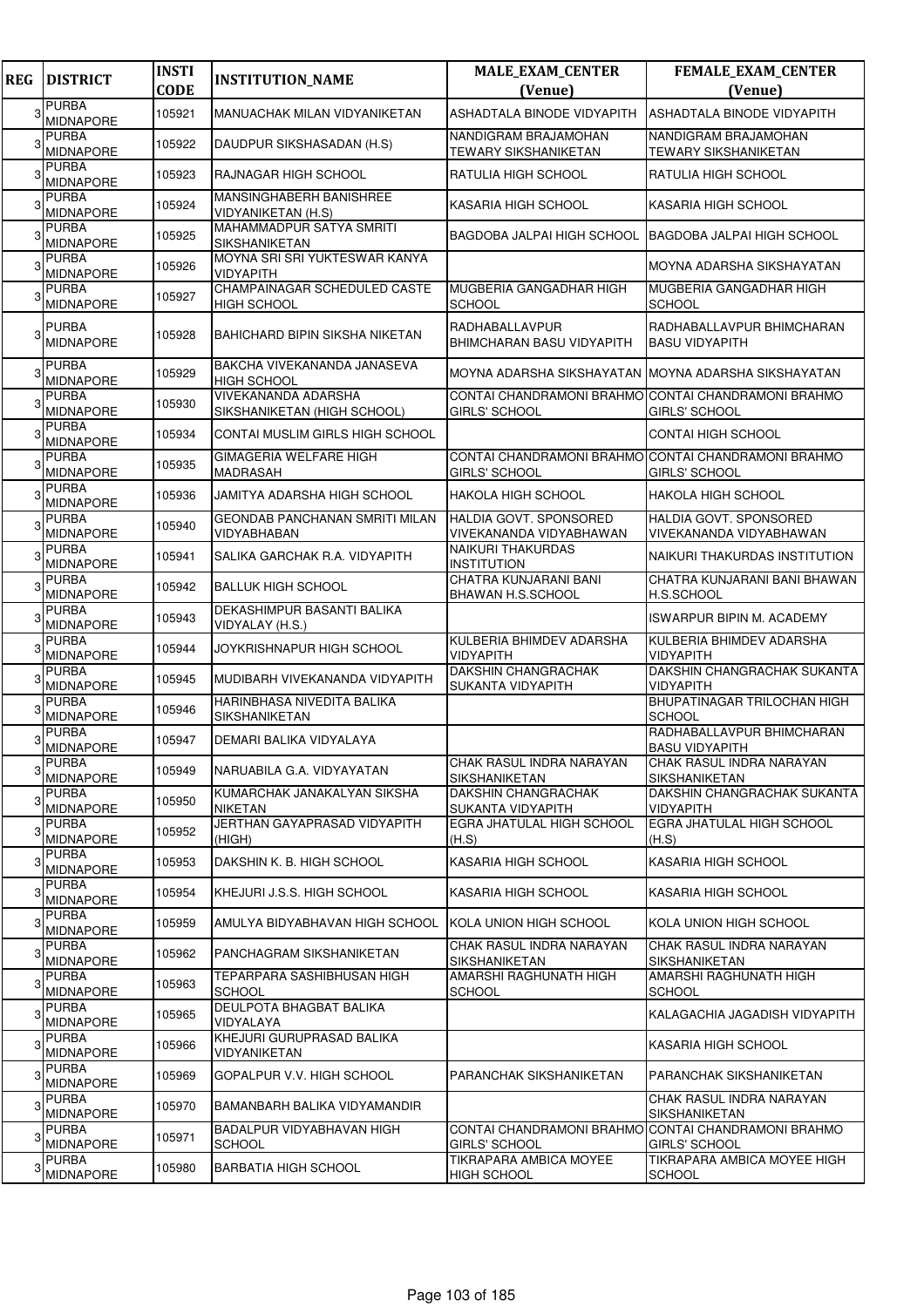| <b>REG</b> | <b>DISTRICT</b>                  | <b>INSTI</b><br><b>CODE</b> | <b>INSTITUTION_NAME</b>                            | <b>MALE_EXAM_CENTER</b><br>(Venue)                                          | <b>FEMALE_EXAM_CENTER</b><br>(Venue)                     |
|------------|----------------------------------|-----------------------------|----------------------------------------------------|-----------------------------------------------------------------------------|----------------------------------------------------------|
| 3          | <b>PURBA</b><br><b>MIDNAPORE</b> | 105921                      | MANUACHAK MILAN VIDYANIKETAN                       | ASHADTALA BINODE VIDYAPITH                                                  | ASHADTALA BINODE VIDYAPITH                               |
|            | PURBA<br><b>MIDNAPORE</b>        | 105922                      | DAUDPUR SIKSHASADAN (H.S)                          | NANDIGRAM BRAJAMOHAN<br>TEWARY SIKSHANIKETAN                                | NANDIGRAM BRAJAMOHAN<br><b>TEWARY SIKSHANIKETAN</b>      |
|            | PURBA<br><b>MIDNAPORE</b>        | 105923                      | RAJNAGAR HIGH SCHOOL                               | RATULIA HIGH SCHOOL                                                         | RATULIA HIGH SCHOOL                                      |
|            | <b>PURBA</b><br>MIDNAPORE        | 105924                      | MANSINGHABERH BANISHREE<br>VIDYANIKETAN (H.S)      | KASARIA HIGH SCHOOL                                                         | KASARIA HIGH SCHOOL                                      |
|            | PURBA<br><b>MIDNAPORE</b>        | 105925                      | MAHAMMADPUR SATYA SMRITI<br><b>SIKSHANIKETAN</b>   | BAGDOBA JALPAI HIGH SCHOOL BAGDOBA JALPAI HIGH SCHOOL                       |                                                          |
|            | <b>PURBA</b><br><b>MIDNAPORE</b> | 105926                      | MOYNA SRI SRI YUKTESWAR KANYA<br>VIDYAPITH         |                                                                             | MOYNA ADARSHA SIKSHAYATAN                                |
|            | <b>PURBA</b><br><b>MIDNAPORE</b> | 105927                      | CHAMPAINAGAR SCHEDULED CASTE<br><b>HIGH SCHOOL</b> | MUGBERIA GANGADHAR HIGH<br><b>SCHOOL</b>                                    | MUGBERIA GANGADHAR HIGH<br>SCHOOL                        |
|            | <b>PURBA</b><br><b>MIDNAPORE</b> | 105928                      | BAHICHARD BIPIN SIKSHA NIKETAN                     | <b>RADHABALLAVPUR</b><br><b>BHIMCHARAN BASU VIDYAPITH</b>                   | RADHABALLAVPUR BHIMCHARAN<br><b>BASU VIDYAPITH</b>       |
| 3          | <b>PURBA</b><br><b>MIDNAPORE</b> | 105929                      | BAKCHA VIVEKANANDA JANASEVA<br><b>HIGH SCHOOL</b>  | MOYNA ADARSHA SIKSHAYATAN IMOYNA ADARSHA SIKSHAYATAN                        |                                                          |
|            | PURBA<br>MIDNAPORE               | 105930                      | VIVEKANANDA ADARSHA<br>SIKSHANIKETAN (HIGH SCHOOL) | CONTAI CHANDRAMONI BRAHMO CONTAI CHANDRAMONI BRAHMO<br><b>GIRLS' SCHOOL</b> | <b>GIRLS' SCHOOL</b>                                     |
|            | PURBA<br>MIDNAPORE               | 105934                      | CONTAI MUSLIM GIRLS HIGH SCHOOL                    |                                                                             | <b>CONTAI HIGH SCHOOL</b>                                |
|            | <b>PURBA</b><br>MIDNAPORE        | 105935                      | <b>GIMAGERIA WELFARE HIGH</b><br>MADRASAH          | CONTAI CHANDRAMONI BRAHMO CONTAI CHANDRAMONI BRAHMO<br>GIRLS' SCHOOL        | <b>GIRLS' SCHOOL</b>                                     |
|            | PURBA<br><b>MIDNAPORE</b>        | 105936                      | JAMITYA ADARSHA HIGH SCHOOL                        | <b>HAKOLA HIGH SCHOOL</b>                                                   | <b>HAKOLA HIGH SCHOOL</b>                                |
|            | PURBA<br><b>MIDNAPORE</b>        | 105940                      | GEONDAB PANCHANAN SMRITI MILAN<br>VIDYABHABAN      | HALDIA GOVT. SPONSORED<br>VIVEKANANDA VIDYABHAWAN                           | <b>HALDIA GOVT, SPONSORED</b><br>VIVEKANANDA VIDYABHAWAN |
|            | <b>PURBA</b><br>MIDNAPORE        | 105941                      | SALIKA GARCHAK R.A. VIDYAPITH                      | <b>NAIKURI THAKURDAS</b><br><b>INSTITUTION</b>                              | NAIKURI THAKURDAS INSTITUTION                            |
|            | <b>PURBA</b><br>MIDNAPORE        | 105942                      | <b>BALLUK HIGH SCHOOL</b>                          | CHATRA KUNJARANI BANI<br>BHAWAN H.S.SCHOOL                                  | CHATRA KUNJARANI BANI BHAWAN<br>H.S.SCHOOL               |
|            | PURBA<br><b>MIDNAPORE</b>        | 105943                      | DEKASHIMPUR BASANTI BALIKA<br>VIDYALAY (H.S.)      |                                                                             | <b>ISWARPUR BIPIN M. ACADEMY</b>                         |
|            | <b>PURBA</b><br>MIDNAPORE        | 105944                      | JOYKRISHNAPUR HIGH SCHOOL                          | KULBERIA BHIMDEV ADARSHA<br>VIDYAPITH                                       | KULBERIA BHIMDEV ADARSHA<br><b>VIDYAPITH</b>             |
|            | <b>PURBA</b><br>MIDNAPORE        | 105945                      | MUDIBARH VIVEKANANDA VIDYAPITH                     | <b>DAKSHIN CHANGRACHAK</b><br>SUKANTA VIDYAPITH                             | DAKSHIN CHANGRACHAK SUKANTA<br><b>VIDYAPITH</b>          |
|            | <b>PURBA</b><br>MIDNAPORE        | 105946                      | HARINBHASA NIVEDITA BALIKA<br>SIKSHANIKETAN        |                                                                             | BHUPATINAGAR TRILOCHAN HIGH<br><b>SCHOOL</b>             |
|            | PURBA<br>MIDNAPORE               | 105947                      | DEMARI BALIKA VIDYALAYA                            |                                                                             | RADHABALLAVPUR BHIMCHARAN<br><b>BASU VIDYAPITH</b>       |
| 3          | PURBA<br><b>MIDNAPORE</b>        | 105949                      | NARUABILA G.A. VIDYAYATAN                          | CHAK RASUL INDRA NARAYAN<br><b>SIKSHANIKETAN</b>                            | CHAK RASUL INDRA NARAYAN<br><b>SIKSHANIKETAN</b>         |
| 3          | <b>PURBA</b><br><b>MIDNAPORE</b> | 105950                      | KUMARCHAK JANAKALYAN SIKSHA<br>NIKETAN             | DAKSHIN CHANGRACHAK<br>SUKANTA VIDYAPITH                                    | DAKSHIN CHANGRACHAK SUKANTA<br><b>VIDYAPITH</b>          |
| 3          | PURBA<br><b>MIDNAPORE</b>        | 105952                      | JERTHAN GAYAPRASAD VIDYAPITH<br>(HIGH)             | EGRA JHATULAL HIGH SCHOOL<br>(H.S)                                          | <b>EGRA JHATULAL HIGH SCHOOL</b><br>(H.S)                |
| 3          | <b>PURBA</b><br>MIDNAPORE        | 105953                      | DAKSHIN K. B. HIGH SCHOOL                          | KASARIA HIGH SCHOOL                                                         | KASARIA HIGH SCHOOL                                      |
| 3          | PURBA<br><b>MIDNAPORE</b>        | 105954                      | KHEJURI J.S.S. HIGH SCHOOL                         | <b>KASARIA HIGH SCHOOL</b>                                                  | <b>KASARIA HIGH SCHOOL</b>                               |
| З          | <b>PURBA</b><br><b>MIDNAPORE</b> | 105959                      | AMULYA BIDYABHAVAN HIGH SCHOOL                     | KOLA UNION HIGH SCHOOL                                                      | KOLA UNION HIGH SCHOOL                                   |
| 3          | PURBA<br><b>MIDNAPORE</b>        | 105962                      | PANCHAGRAM SIKSHANIKETAN                           | CHAK RASUL INDRA NARAYAN<br>SIKSHANIKETAN                                   | CHAK RASUL INDRA NARAYAN<br>SIKSHANIKETAN                |
| 3          | PURBA<br><b>MIDNAPORE</b>        | 105963                      | TEPARPARA SASHIBHUSAN HIGH<br><b>SCHOOL</b>        | AMARSHI RAGHUNATH HIGH<br><b>SCHOOL</b>                                     | AMARSHI RAGHUNATH HIGH<br><b>SCHOOL</b>                  |
| 3          | <b>PURBA</b><br>MIDNAPORE        | 105965                      | DEULPOTA BHAGBAT BALIKA<br>VIDYALAYA               |                                                                             | KALAGACHIA JAGADISH VIDYAPITH                            |
|            | PURBA<br><b>MIDNAPORE</b>        | 105966                      | KHEJURI GURUPRASAD BALIKA<br>VIDYANIKETAN          |                                                                             | KASARIA HIGH SCHOOL                                      |
| 3          | <b>PURBA</b><br><b>MIDNAPORE</b> | 105969                      | GOPALPUR V.V. HIGH SCHOOL                          | PARANCHAK SIKSHANIKETAN                                                     | PARANCHAK SIKSHANIKETAN                                  |
|            | PURBA<br><b>MIDNAPORE</b>        | 105970                      | BAMANBARH BALIKA VIDYAMANDIR                       |                                                                             | CHAK RASUL INDRA NARAYAN<br><b>SIKSHANIKETAN</b>         |
| 3          | <b>PURBA</b><br>MIDNAPORE        | 105971                      | BADALPUR VIDYABHAVAN HIGH<br><b>SCHOOL</b>         | CONTAI CHANDRAMONI BRAHMO CONTAI CHANDRAMONI BRAHMO<br><b>GIRLS' SCHOOL</b> | <b>GIRLS' SCHOOL</b>                                     |
|            | PURBA<br><b>MIDNAPORE</b>        | 105980                      | <b>BARBATIA HIGH SCHOOL</b>                        | TIKRAPARA AMBICA MOYEE<br><b>HIGH SCHOOL</b>                                | TIKRAPARA AMBICA MOYEE HIGH<br><b>SCHOOL</b>             |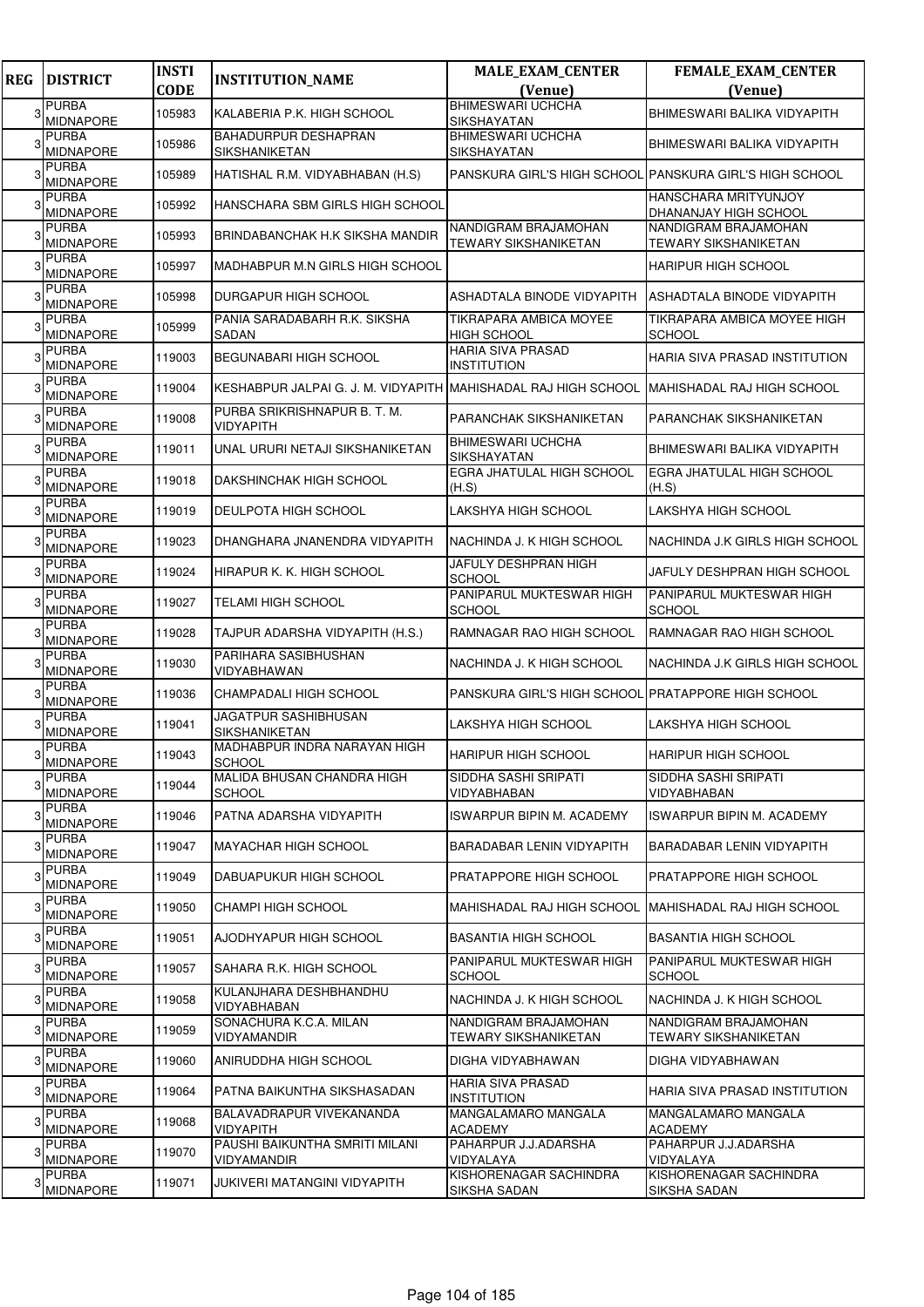| <b>REG</b> | <b>DISTRICT</b>                  | <b>INSTI</b> | <b>INSTITUTION_NAME</b>                                        | <b>MALE_EXAM_CENTER</b>                             | FEMALE_EXAM_CENTER                                      |
|------------|----------------------------------|--------------|----------------------------------------------------------------|-----------------------------------------------------|---------------------------------------------------------|
|            |                                  | <b>CODE</b>  |                                                                | (Venue)<br><b>BHIMESWARI UCHCHA</b>                 | (Venue)                                                 |
|            | <b>PURBA</b><br><b>MIDNAPORE</b> | 105983       | KALABERIA P.K. HIGH SCHOOL                                     | <b>SIKSHAYATAN</b>                                  | BHIMESWARI BALIKA VIDYAPITH                             |
|            | <b>PURBA</b><br><b>MIDNAPORE</b> | 105986       | BAHADURPUR DESHAPRAN<br><b>SIKSHANIKETAN</b>                   | <b>BHIMESWARI UCHCHA</b><br><b>SIKSHAYATAN</b>      | BHIMESWARI BALIKA VIDYAPITH                             |
|            | <b>PURBA</b><br><b>MIDNAPORE</b> | 105989       | HATISHAL R.M. VIDYABHABAN (H.S)                                |                                                     | PANSKURA GIRL'S HIGH SCHOOL PANSKURA GIRL'S HIGH SCHOOL |
|            | <b>PURBA</b><br><b>MIDNAPORE</b> | 105992       | HANSCHARA SBM GIRLS HIGH SCHOOL                                |                                                     | HANSCHARA MRITYUNJOY<br>DHANANJAY HIGH SCHOOL           |
|            | <b>PURBA</b><br><b>MIDNAPORE</b> | 105993       | BRINDABANCHAK H.K SIKSHA MANDIR                                | NANDIGRAM BRAJAMOHAN<br><b>TEWARY SIKSHANIKETAN</b> | NANDIGRAM BRAJAMOHAN<br><b>TEWARY SIKSHANIKETAN</b>     |
|            | <b>PURBA</b><br><b>MIDNAPORE</b> | 105997       | MADHABPUR M.N GIRLS HIGH SCHOOL                                |                                                     | <b>HARIPUR HIGH SCHOOL</b>                              |
|            | <b>PURBA</b><br><b>MIDNAPORE</b> | 105998       | <b>DURGAPUR HIGH SCHOOL</b>                                    | ASHADTALA BINODE VIDYAPITH                          | ASHADTALA BINODE VIDYAPITH                              |
|            | <b>PURBA</b><br><b>MIDNAPORE</b> | 105999       | PANIA SARADABARH R.K. SIKSHA<br>SADAN                          | TIKRAPARA AMBICA MOYEE<br><b>HIGH SCHOOL</b>        | TIKRAPARA AMBICA MOYEE HIGH<br><b>SCHOOL</b>            |
|            | <b>PURBA</b><br><b>MIDNAPORE</b> | 119003       | BEGUNABARI HIGH SCHOOL                                         | <b>HARIA SIVA PRASAD</b><br><b>INSTITUTION</b>      | HARIA SIVA PRASAD INSTITUTION                           |
|            | <b>PURBA</b><br><b>MIDNAPORE</b> | 119004       | KESHABPUR JALPAI G. J. M. VIDYAPITH MAHISHADAL RAJ HIGH SCHOOL |                                                     | MAHISHADAL RAJ HIGH SCHOOL                              |
|            | <b>PURBA</b><br>MIDNAPORE        | 119008       | PURBA SRIKRISHNAPUR B. T. M.<br>VIDYAPITH                      | PARANCHAK SIKSHANIKETAN                             | PARANCHAK SIKSHANIKETAN                                 |
|            | <b>PURBA</b><br><b>MIDNAPORE</b> | 119011       | UNAL URURI NETAJI SIKSHANIKETAN                                | <b>BHIMESWARI UCHCHA</b><br><b>SIKSHAYATAN</b>      | BHIMESWARI BALIKA VIDYAPITH                             |
|            | <b>PURBA</b><br><b>MIDNAPORE</b> | 119018       | DAKSHINCHAK HIGH SCHOOL                                        | <b>EGRA JHATULAL HIGH SCHOOL</b><br>(H.S)           | EGRA JHATULAL HIGH SCHOOL<br>(H.S)                      |
|            | <b>PURBA</b><br>MIDNAPORE        | 119019       | <b>DEULPOTA HIGH SCHOOL</b>                                    | LAKSHYA HIGH SCHOOL                                 | LAKSHYA HIGH SCHOOL                                     |
|            | <b>PURBA</b><br><b>MIDNAPORE</b> | 119023       | DHANGHARA JNANENDRA VIDYAPITH                                  | NACHINDA J. K HIGH SCHOOL                           | NACHINDA J.K GIRLS HIGH SCHOOL                          |
|            | <b>PURBA</b><br><b>MIDNAPORE</b> | 119024       | HIRAPUR K. K. HIGH SCHOOL                                      | JAFULY DESHPRAN HIGH<br><b>SCHOOL</b>               | JAFULY DESHPRAN HIGH SCHOOL                             |
|            | <b>PURBA</b><br><b>MIDNAPORE</b> | 119027       | TELAMI HIGH SCHOOL                                             | PANIPARUL MUKTESWAR HIGH<br><b>SCHOOL</b>           | PANIPARUL MUKTESWAR HIGH<br><b>SCHOOL</b>               |
|            | <b>PURBA</b><br><b>MIDNAPORE</b> | 119028       | TAJPUR ADARSHA VIDYAPITH (H.S.)                                | RAMNAGAR RAO HIGH SCHOOL                            | RAMNAGAR RAO HIGH SCHOOL                                |
|            | <b>PURBA</b><br><b>MIDNAPORE</b> | 119030       | PARIHARA SASIBHUSHAN<br>VIDYABHAWAN                            | NACHINDA J. K HIGH SCHOOL                           | NACHINDA J.K GIRLS HIGH SCHOOL                          |
|            | <b>PURBA</b><br><b>MIDNAPORE</b> | 119036       | CHAMPADALI HIGH SCHOOL                                         | PANSKURA GIRL'S HIGH SCHOOL PRATAPPORE HIGH SCHOOL  |                                                         |
|            | <b>PURBA</b><br><b>MIDNAPORE</b> | 119041       | JAGATPUR SASHIBHUSAN<br>SIKSHANIKETAN                          | LAKSHYA HIGH SCHOOL                                 | LAKSHYA HIGH SCHOOL                                     |
|            | <b>PURBA</b><br><b>MIDNAPORE</b> | 119043       | <b>MADHABPUR INDRA NARAYAN HIGH</b><br><b>SCHOOL</b>           | <b>HARIPUR HIGH SCHOOL</b>                          | <b>HARIPUR HIGH SCHOOL</b>                              |
|            | <b>PURBA</b><br><b>MIDNAPORE</b> | 119044       | MALIDA BHUSAN CHANDRA HIGH<br><b>SCHOOL</b>                    | SIDDHA SASHI SRIPATI<br>VIDYABHABAN                 | SIDDHA SASHI SRIPATI<br>VIDYABHABAN                     |
| 3          | <b>PURBA</b><br><b>MIDNAPORE</b> | 119046       | PATNA ADARSHA VIDYAPITH                                        | <b>ISWARPUR BIPIN M. ACADEMY</b>                    | <b>ISWARPUR BIPIN M. ACADEMY</b>                        |
|            | <b>PURBA</b><br>MIDNAPORE        | 119047       | <b>MAYACHAR HIGH SCHOOL</b>                                    | BARADABAR LENIN VIDYAPITH                           | BARADABAR LENIN VIDYAPITH                               |
|            | <b>PURBA</b><br><b>MIDNAPORE</b> | 119049       | DABUAPUKUR HIGH SCHOOL                                         | <b>PRATAPPORE HIGH SCHOOL</b>                       | PRATAPPORE HIGH SCHOOL                                  |
| 3          | <b>PURBA</b><br>MIDNAPORE        | 119050       | <b>CHAMPI HIGH SCHOOL</b>                                      | MAHISHADAL RAJ HIGH SCHOOL                          | <b>IMAHISHADAL RAJ HIGH SCHOOL</b>                      |
|            | <b>PURBA</b><br><b>MIDNAPORE</b> | 119051       | AJODHYAPUR HIGH SCHOOL                                         | <b>BASANTIA HIGH SCHOOL</b>                         | <b>BASANTIA HIGH SCHOOL</b>                             |
|            | <b>PURBA</b><br><b>MIDNAPORE</b> | 119057       | SAHARA R.K. HIGH SCHOOL                                        | PANIPARUL MUKTESWAR HIGH<br><b>SCHOOL</b>           | PANIPARUL MUKTESWAR HIGH<br><b>SCHOOL</b>               |
|            | <b>PURBA</b><br><b>MIDNAPORE</b> | 119058       | KULANJHARA DESHBHANDHU<br>VIDYABHABAN                          | NACHINDA J. K HIGH SCHOOL                           | NACHINDA J. K HIGH SCHOOL                               |
|            | PURBA<br><b>MIDNAPORE</b>        | 119059       | SONACHURA K.C.A. MILAN<br>VIDYAMANDIR                          | NANDIGRAM BRAJAMOHAN<br>TEWARY SIKSHANIKETAN        | NANDIGRAM BRAJAMOHAN<br>TEWARY SIKSHANIKETAN            |
|            | <b>PURBA</b><br>MIDNAPORE        | 119060       | ANIRUDDHA HIGH SCHOOL                                          | DIGHA VIDYABHAWAN                                   | DIGHA VIDYABHAWAN                                       |
|            | <b>PURBA</b><br><b>MIDNAPORE</b> | 119064       | PATNA BAIKUNTHA SIKSHASADAN                                    | <b>HARIA SIVA PRASAD</b><br><b>INSTITUTION</b>      | HARIA SIVA PRASAD INSTITUTION                           |
| 3          | <b>PURBA</b><br>MIDNAPORE        | 119068       | BALAVADRAPUR VIVEKANANDA<br>VIDYAPITH                          | MANGALAMARO MANGALA<br><b>ACADEMY</b>               | MANGALAMARO MANGALA<br><b>ACADEMY</b>                   |
|            | <b>PURBA</b><br><b>MIDNAPORE</b> | 119070       | PAUSHI BAIKUNTHA SMRITI MILANI<br>VIDYAMANDIR                  | PAHARPUR J.J.ADARSHA<br>VIDYALAYA                   | PAHARPUR J.J.ADARSHA<br>VIDYALAYA                       |
|            | <b>PURBA</b><br><b>MIDNAPORE</b> | 119071       | JUKIVERI MATANGINI VIDYAPITH                                   | KISHORENAGAR SACHINDRA<br>SIKSHA SADAN              | KISHORENAGAR SACHINDRA<br>SIKSHA SADAN                  |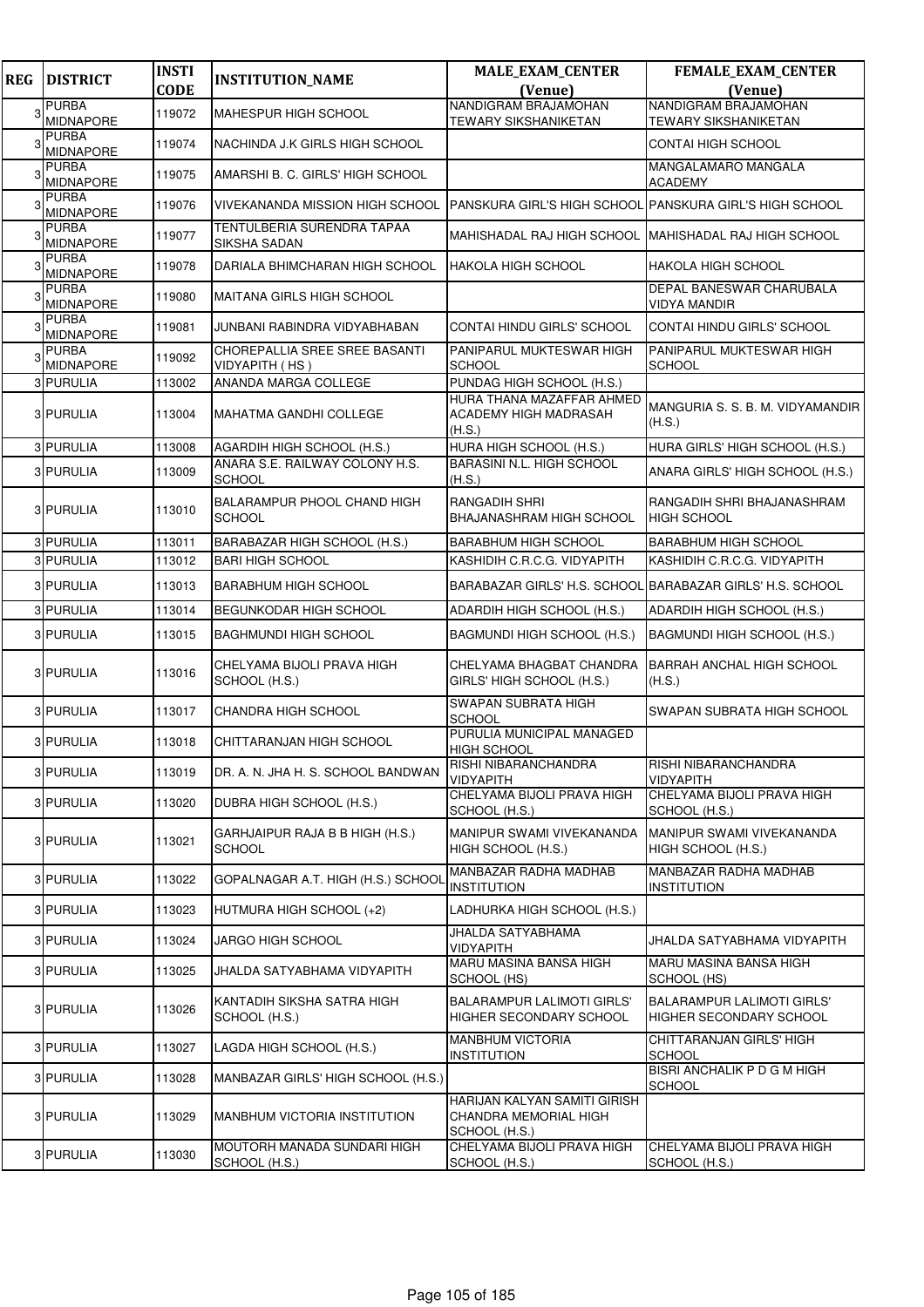| <b>REG</b> | <b>DISTRICT</b>                  | <b>INSTI</b> | <b>INSTITUTION_NAME</b>                           | <b>MALE_EXAM_CENTER</b>                                                | FEMALE_EXAM_CENTER                                           |
|------------|----------------------------------|--------------|---------------------------------------------------|------------------------------------------------------------------------|--------------------------------------------------------------|
|            |                                  | <b>CODE</b>  |                                                   | (Venue)                                                                | (Venue)                                                      |
|            | <b>PURBA</b><br><b>MIDNAPORE</b> | 119072       | MAHESPUR HIGH SCHOOL                              | NANDIGRAM BRAJAMOHAN<br>TEWARY SIKSHANIKETAN                           | NANDIGRAM BRAJAMOHAN<br><b>TEWARY SIKSHANIKETAN</b>          |
|            | PURBA<br>MIDNAPORE               | 119074       | NACHINDA J.K GIRLS HIGH SCHOOL                    |                                                                        | CONTAI HIGH SCHOOL                                           |
|            | <b>PURBA</b><br><b>MIDNAPORE</b> | 119075       | AMARSHI B. C. GIRLS' HIGH SCHOOL                  |                                                                        | MANGALAMARO MANGALA<br><b>ACADEMY</b>                        |
|            | <b>PURBA</b><br><b>MIDNAPORE</b> | 119076       | <b>VIVEKANANDA MISSION HIGH SCHOOL</b>            | IPANSKURA GIRL'S HIGH SCHOOL IPANSKURA GIRL'S HIGH SCHOOL              |                                                              |
|            | <b>PURBA</b><br><b>MIDNAPORE</b> | 119077       | <b>TENTULBERIA SURENDRA TAPAA</b><br>SIKSHA SADAN | MAHISHADAL RAJ HIGH SCHOOL MAHISHADAL RAJ HIGH SCHOOL                  |                                                              |
|            | <b>PURBA</b><br><b>MIDNAPORE</b> | 119078       | DARIALA BHIMCHARAN HIGH SCHOOL                    | <b>HAKOLA HIGH SCHOOL</b>                                              | <b>HAKOLA HIGH SCHOOL</b>                                    |
|            | <b>PURBA</b><br>MIDNAPORE        | 119080       | MAITANA GIRLS HIGH SCHOOL                         |                                                                        | DEPAL BANESWAR CHARUBALA<br><b>VIDYA MANDIR</b>              |
|            | <b>PURBA</b><br>MIDNAPORE        | 119081       | JUNBANI RABINDRA VIDYABHABAN                      | CONTAI HINDU GIRLS' SCHOOL                                             | CONTAI HINDU GIRLS' SCHOOL                                   |
|            | <b>PURBA</b><br>MIDNAPORE        | 119092       | CHOREPALLIA SREE SREE BASANTI<br>VIDYAPITH (HS)   | PANIPARUL MUKTESWAR HIGH<br>SCHOOL                                     | PANIPARUL MUKTESWAR HIGH<br><b>SCHOOL</b>                    |
|            | <b>3 PURULIA</b>                 | 113002       | ANANDA MARGA COLLEGE                              | PUNDAG HIGH SCHOOL (H.S.)                                              |                                                              |
|            | 3 PURULIA                        | 113004       | <b>MAHATMA GANDHI COLLEGE</b>                     | HURA THANA MAZAFFAR AHMED<br>ACADEMY HIGH MADRASAH<br>(H.S.)           | MANGURIA S. S. B. M. VIDYAMANDIR<br>(H.S.)                   |
|            | 3 PURULIA                        | 113008       | AGARDIH HIGH SCHOOL (H.S.)                        | HURA HIGH SCHOOL (H.S.)                                                | HURA GIRLS' HIGH SCHOOL (H.S.)                               |
|            | 3 PURULIA                        | 113009       | ANARA S.E. RAILWAY COLONY H.S.<br><b>SCHOOL</b>   | BARASINI N.L. HIGH SCHOOL<br>(H.S.)                                    | ANARA GIRLS' HIGH SCHOOL (H.S.)                              |
|            | 3 PURULIA                        | 113010       | BALARAMPUR PHOOL CHAND HIGH<br><b>SCHOOL</b>      | <b>RANGADIH SHRI</b><br><b>BHAJANASHRAM HIGH SCHOOL</b>                | RANGADIH SHRI BHAJANASHRAM<br><b>HIGH SCHOOL</b>             |
|            | 3 PURULIA                        | 113011       | BARABAZAR HIGH SCHOOL (H.S.)                      | <b>BARABHUM HIGH SCHOOL</b>                                            | <b>BARABHUM HIGH SCHOOL</b>                                  |
|            | 3 PURULIA                        | 113012       | <b>BARI HIGH SCHOOL</b>                           | KASHIDIH C.R.C.G. VIDYAPITH                                            | KASHIDIH C.R.C.G. VIDYAPITH                                  |
|            | 3 PURULIA                        | 113013       | <b>BARABHUM HIGH SCHOOL</b>                       |                                                                        | BARABAZAR GIRLS' H.S. SCHOOL BARABAZAR GIRLS' H.S. SCHOOL    |
|            | 3 PURULIA                        | 113014       | <b>BEGUNKODAR HIGH SCHOOL</b>                     | ADARDIH HIGH SCHOOL (H.S.)                                             | ADARDIH HIGH SCHOOL (H.S.)                                   |
|            | 3 PURULIA                        | 113015       | <b>BAGHMUNDI HIGH SCHOOL</b>                      | BAGMUNDI HIGH SCHOOL (H.S.)                                            | BAGMUNDI HIGH SCHOOL (H.S.)                                  |
|            | 3 PURULIA                        | 113016       | CHELYAMA BIJOLI PRAVA HIGH<br>SCHOOL (H.S.)       | CHELYAMA BHAGBAT CHANDRA<br>GIRLS' HIGH SCHOOL (H.S.)                  | <b>BARRAH ANCHAL HIGH SCHOOL</b><br>(H.S.)                   |
|            | 3 PURULIA                        | 113017       | CHANDRA HIGH SCHOOL                               | <b>SWAPAN SUBRATA HIGH</b><br><b>SCHOOL</b>                            | SWAPAN SUBRATA HIGH SCHOOL                                   |
|            | 3 PURULIA                        | 113018       | CHITTARANJAN HIGH SCHOOL                          | PURULIA MUNICIPAL MANAGED<br><b>HIGH SCHOOL</b>                        |                                                              |
|            | 3 PURULIA                        | 113019       | DR. A. N. JHA H. S. SCHOOL BANDWAN                | RISHI NIBARANCHANDRA<br><b>VIDYAPITH</b>                               | RISHI NIBARANCHANDRA<br><b>VIDYAPITH</b>                     |
|            | 3 PURULIA                        | 113020       | DUBRA HIGH SCHOOL (H.S.)                          | CHELYAMA BIJOLI PRAVA HIGH<br>SCHOOL (H.S.)                            | CHELYAMA BIJOLI PRAVA HIGH<br>SCHOOL (H.S.)                  |
|            | 3 PURULIA                        | 113021       | GARHJAIPUR RAJA B B HIGH (H.S.)<br><b>SCHOOL</b>  | MANIPUR SWAMI VIVEKANANDA<br>HIGH SCHOOL (H.S.)                        | MANIPUR SWAMI VIVEKANANDA<br>HIGH SCHOOL (H.S.)              |
|            | 3 PURULIA                        | 113022       | GOPALNAGAR A.T. HIGH (H.S.) SCHOOL                | MANBAZAR RADHA MADHAB<br><b>INSTITUTION</b>                            | <b>MANBAZAR RADHA MADHAB</b><br><b>INSTITUTION</b>           |
|            | 3 PURULIA                        | 113023       | HUTMURA HIGH SCHOOL (+2)                          | LADHURKA HIGH SCHOOL (H.S.)                                            |                                                              |
|            | 3 PURULIA                        | 113024       | JARGO HIGH SCHOOL                                 | <b>JHALDA SATYABHAMA</b><br><b>VIDYAPITH</b>                           | JHALDA SATYABHAMA VIDYAPITH                                  |
|            | 3 PURULIA                        | 113025       | JHALDA SATYABHAMA VIDYAPITH                       | MARU MASINA BANSA HIGH<br>SCHOOL (HS)                                  | MARU MASINA BANSA HIGH<br>SCHOOL (HS)                        |
|            | 3 PURULIA                        | 113026       | KANTADIH SIKSHA SATRA HIGH<br>SCHOOL (H.S.)       | <b>BALARAMPUR LALIMOTI GIRLS'</b><br>HIGHER SECONDARY SCHOOL           | <b>BALARAMPUR LALIMOTI GIRLS'</b><br>HIGHER SECONDARY SCHOOL |
|            | 3 PURULIA                        | 113027       | LAGDA HIGH SCHOOL (H.S.)                          | <b>MANBHUM VICTORIA</b><br><b>INSTITUTION</b>                          | CHITTARANJAN GIRLS' HIGH<br><b>SCHOOL</b>                    |
|            | 3 PURULIA                        | 113028       | MANBAZAR GIRLS' HIGH SCHOOL (H.S.)                |                                                                        | BISRI ANCHALIK P D G M HIGH<br><b>SCHOOL</b>                 |
|            | 3 PURULIA                        | 113029       | MANBHUM VICTORIA INSTITUTION                      | HARIJAN KALYAN SAMITI GIRISH<br>CHANDRA MEMORIAL HIGH<br>SCHOOL (H.S.) |                                                              |
|            | 3 PURULIA                        | 113030       | MOUTORH MANADA SUNDARI HIGH<br>SCHOOL (H.S.)      | CHELYAMA BIJOLI PRAVA HIGH<br>SCHOOL (H.S.)                            | CHELYAMA BIJOLI PRAVA HIGH<br>SCHOOL (H.S.)                  |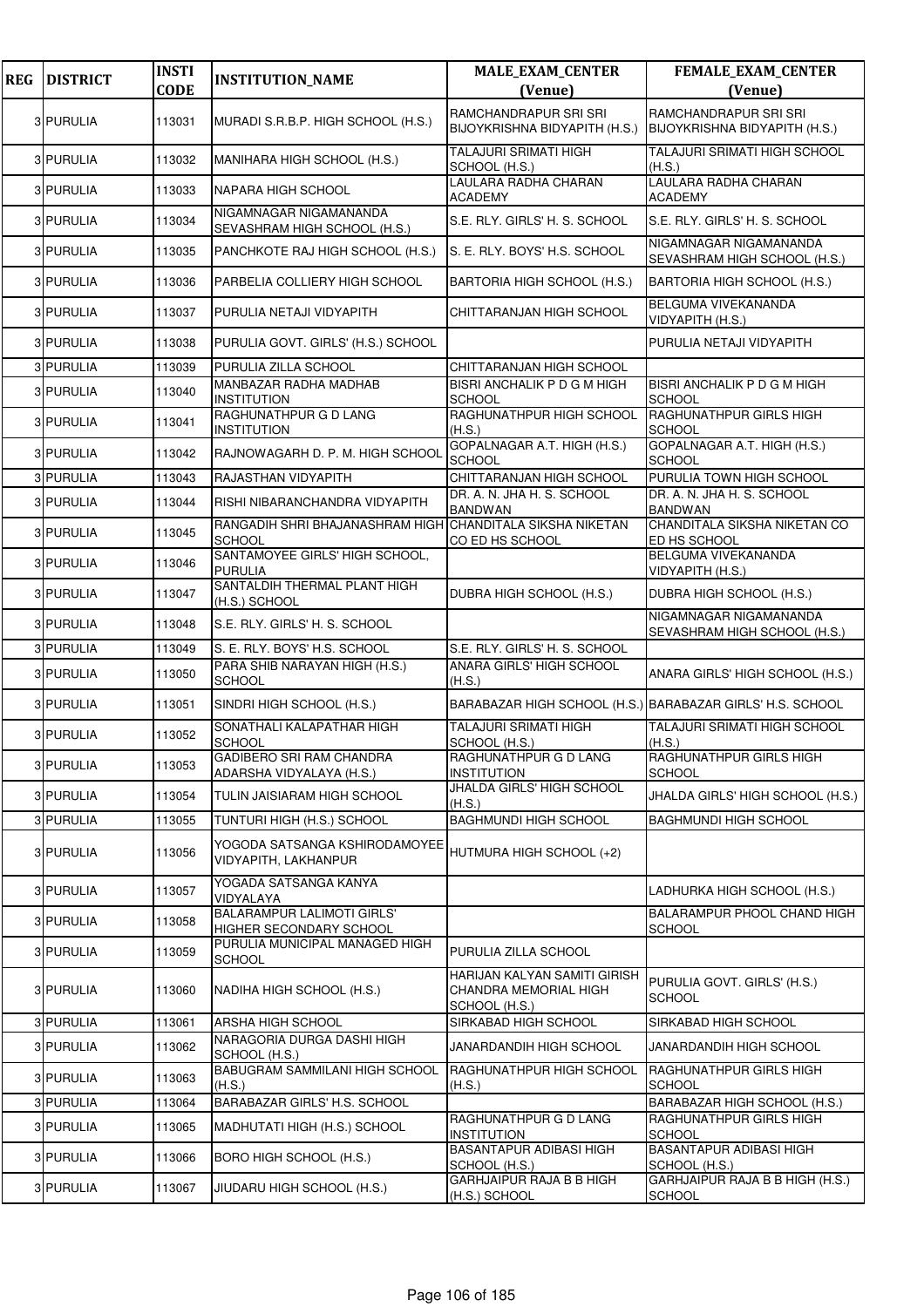| <b>REG</b> | <b>DISTRICT</b> | <b>INSTI</b><br><b>CODE</b> | <b>INSTITUTION_NAME</b>                                                    | <b>MALE_EXAM_CENTER</b><br>(Venue)                                     | FEMALE_EXAM_CENTER<br>(Venue)                          |
|------------|-----------------|-----------------------------|----------------------------------------------------------------------------|------------------------------------------------------------------------|--------------------------------------------------------|
|            |                 |                             |                                                                            |                                                                        |                                                        |
|            | 3 PURULIA       | 113031                      | MURADI S.R.B.P. HIGH SCHOOL (H.S.)                                         | RAMCHANDRAPUR SRI SRI<br>BIJOYKRISHNA BIDYAPITH (H.S.)                 | RAMCHANDRAPUR SRI SRI<br>BIJOYKRISHNA BIDYAPITH (H.S.) |
|            | 3 PURULIA       | 113032                      | MANIHARA HIGH SCHOOL (H.S.)                                                | <b>TALAJURI SRIMATI HIGH</b><br>SCHOOL (H.S.)                          | <b>TALAJURI SRIMATI HIGH SCHOOL</b><br>(H.S.)          |
|            | 3 PURULIA       | 113033                      | NAPARA HIGH SCHOOL                                                         | LAULARA RADHA CHARAN<br><b>ACADEMY</b>                                 | LAULARA RADHA CHARAN<br><b>ACADEMY</b>                 |
|            | 3 PURULIA       | 113034                      | NIGAMNAGAR NIGAMANANDA<br>SEVASHRAM HIGH SCHOOL (H.S.)                     | S.E. RLY. GIRLS' H. S. SCHOOL                                          | S.E. RLY. GIRLS' H. S. SCHOOL                          |
|            | 3 PURULIA       | 113035                      | PANCHKOTE RAJ HIGH SCHOOL (H.S.)                                           | S. E. RLY. BOYS' H.S. SCHOOL                                           | NIGAMNAGAR NIGAMANANDA<br>SEVASHRAM HIGH SCHOOL (H.S.) |
|            | 3 PURULIA       | 113036                      | PARBELIA COLLIERY HIGH SCHOOL                                              | BARTORIA HIGH SCHOOL (H.S.)                                            | BARTORIA HIGH SCHOOL (H.S.)                            |
|            | 3 PURULIA       | 113037                      | PURULIA NETAJI VIDYAPITH                                                   | CHITTARANJAN HIGH SCHOOL                                               | BELGUMA VIVEKANANDA<br>VIDYAPITH (H.S.)                |
|            | 3 PURULIA       | 113038                      | PURULIA GOVT. GIRLS' (H.S.) SCHOOL                                         |                                                                        | PURULIA NETAJI VIDYAPITH                               |
|            | 3 PURULIA       | 113039                      | PURULIA ZILLA SCHOOL                                                       | CHITTARANJAN HIGH SCHOOL                                               |                                                        |
|            | 3 PURULIA       | 113040                      | MANBAZAR RADHA MADHAB<br><b>INSTITUTION</b>                                | BISRI ANCHALIK P D G M HIGH<br><b>SCHOOL</b>                           | <b>BISRI ANCHALIK P D G M HIGH</b><br><b>SCHOOL</b>    |
|            | 3 PURULIA       | 113041                      | RAGHUNATHPUR G D LANG<br><b>INSTITUTION</b>                                | RAGHUNATHPUR HIGH SCHOOL<br>(H.S.)                                     | RAGHUNATHPUR GIRLS HIGH<br><b>SCHOOL</b>               |
|            | 3 PURULIA       | 113042                      | RAJNOWAGARH D. P. M. HIGH SCHOOL                                           | GOPALNAGAR A.T. HIGH (H.S.)<br><b>SCHOOL</b>                           | GOPALNAGAR A.T. HIGH (H.S.)<br><b>SCHOOL</b>           |
|            | 3 PURULIA       | 113043                      | RAJASTHAN VIDYAPITH                                                        | CHITTARANJAN HIGH SCHOOL                                               | PURULIA TOWN HIGH SCHOOL                               |
|            | 3 PURULIA       | 113044                      | RISHI NIBARANCHANDRA VIDYAPITH                                             | DR. A. N. JHA H. S. SCHOOL<br><b>BANDWAN</b>                           | DR. A. N. JHA H. S. SCHOOL<br><b>BANDWAN</b>           |
|            | 3 PURULIA       | 113045                      | RANGADIH SHRI BHAJANASHRAM HIGH CHANDITALA SIKSHA NIKETAN<br><b>SCHOOL</b> | CO ED HS SCHOOL                                                        | CHANDITALA SIKSHA NIKETAN CO<br>ED HS SCHOOL           |
|            | 3 PURULIA       | 113046                      | SANTAMOYEE GIRLS' HIGH SCHOOL,<br><b>PURULIA</b>                           |                                                                        | BELGUMA VIVEKANANDA<br>VIDYAPITH (H.S.)                |
|            | 3 PURULIA       | 113047                      | SANTALDIH THERMAL PLANT HIGH<br>(H.S.) SCHOOL                              | DUBRA HIGH SCHOOL (H.S.)                                               | DUBRA HIGH SCHOOL (H.S.)                               |
|            | 3 PURULIA       | 113048                      | S.E. RLY. GIRLS' H. S. SCHOOL                                              |                                                                        | NIGAMNAGAR NIGAMANANDA<br>SEVASHRAM HIGH SCHOOL (H.S.) |
|            | 3 PURULIA       | 113049                      | S. E. RLY. BOYS' H.S. SCHOOL                                               | S.E. RLY. GIRLS' H. S. SCHOOL                                          |                                                        |
|            | 3 PURULIA       | 113050                      | PARA SHIB NARAYAN HIGH (H.S.)<br><b>SCHOOL</b>                             | ANARA GIRLS' HIGH SCHOOL<br>(H.S.)                                     | ANARA GIRLS' HIGH SCHOOL (H.S.)                        |
|            | 3 PURULIA       | 113051                      | SINDRI HIGH SCHOOL (H.S.)                                                  | BARABAZAR HIGH SCHOOL (H.S.) BARABAZAR GIRLS' H.S. SCHOOL              |                                                        |
|            | 3 PURULIA       | 113052                      | SONATHALI KALAPATHAR HIGH<br><b>SCHOOL</b>                                 | <b>TALAJURI SRIMATI HIGH</b><br>SCHOOL (H.S.)                          | TALAJURI SRIMATI HIGH SCHOOL<br>(H.S.)                 |
|            | 3 PURULIA       | 113053                      | GADIBERO SRI RAM CHANDRA<br>ADARSHA VIDYALAYA (H.S.)                       | RAGHUNATHPUR G D LANG<br><b>INSTITUTION</b>                            | RAGHUNATHPUR GIRLS HIGH<br><b>SCHOOL</b>               |
|            | 3 PURULIA       | 113054                      | TULIN JAISIARAM HIGH SCHOOL                                                | JHALDA GIRLS' HIGH SCHOOL<br>(H.S.)                                    | JHALDA GIRLS' HIGH SCHOOL (H.S.)                       |
|            | 3 PURULIA       | 113055                      | TUNTURI HIGH (H.S.) SCHOOL                                                 | <b>BAGHMUNDI HIGH SCHOOL</b>                                           | <b>BAGHMUNDI HIGH SCHOOL</b>                           |
|            | 3 PURULIA       | 113056                      | YOGODA SATSANGA KSHIRODAMOYEE<br>VIDYAPITH, LAKHANPUR                      | HUTMURA HIGH SCHOOL (+2)                                               |                                                        |
|            | 3 PURULIA       | 113057                      | YOGADA SATSANGA KANYA<br>VIDYALAYA                                         |                                                                        | LADHURKA HIGH SCHOOL (H.S.)                            |
|            | 3 PURULIA       | 113058                      | <b>BALARAMPUR LALIMOTI GIRLS'</b><br>HIGHER SECONDARY SCHOOL               |                                                                        | <b>BALARAMPUR PHOOL CHAND HIGH</b><br><b>SCHOOL</b>    |
|            | 3 PURULIA       | 113059                      | PURULIA MUNICIPAL MANAGED HIGH<br><b>SCHOOL</b>                            | PURULIA ZILLA SCHOOL                                                   |                                                        |
|            | 3 PURULIA       | 113060                      | NADIHA HIGH SCHOOL (H.S.)                                                  | HARIJAN KALYAN SAMITI GIRISH<br>CHANDRA MEMORIAL HIGH<br>SCHOOL (H.S.) | PURULIA GOVT. GIRLS' (H.S.)<br><b>SCHOOL</b>           |
|            | 3 PURULIA       | 113061                      | ARSHA HIGH SCHOOL                                                          | SIRKABAD HIGH SCHOOL                                                   | SIRKABAD HIGH SCHOOL                                   |
|            | 3 PURULIA       | 113062                      | NARAGORIA DURGA DASHI HIGH<br>SCHOOL (H.S.)                                | JANARDANDIH HIGH SCHOOL                                                | JANARDANDIH HIGH SCHOOL                                |
|            | 3 PURULIA       | 113063                      | BABUGRAM SAMMILANI HIGH SCHOOL<br>(H.S.)                                   | <b>RAGHUNATHPUR HIGH SCHOOL</b><br>(H.S.)                              | <b>RAGHUNATHPUR GIRLS HIGH</b><br><b>SCHOOL</b>        |
|            | 3 PURULIA       | 113064                      | <b>BARABAZAR GIRLS' H.S. SCHOOL</b>                                        |                                                                        | BARABAZAR HIGH SCHOOL (H.S.)                           |
|            | 3 PURULIA       | 113065                      | MADHUTATI HIGH (H.S.) SCHOOL                                               | RAGHUNATHPUR G D LANG<br><b>INSTITUTION</b>                            | RAGHUNATHPUR GIRLS HIGH<br><b>SCHOOL</b>               |
|            | 3 PURULIA       | 113066                      | BORO HIGH SCHOOL (H.S.)                                                    | <b>BASANTAPUR ADIBASI HIGH</b><br>SCHOOL (H.S.)                        | <b>BASANTAPUR ADIBASI HIGH</b><br>SCHOOL (H.S.)        |
|            | 3 PURULIA       | 113067                      | JIUDARU HIGH SCHOOL (H.S.)                                                 | GARHJAIPUR RAJA B B HIGH<br>(H.S.) SCHOOL                              | GARHJAIPUR RAJA B B HIGH (H.S.)<br><b>SCHOOL</b>       |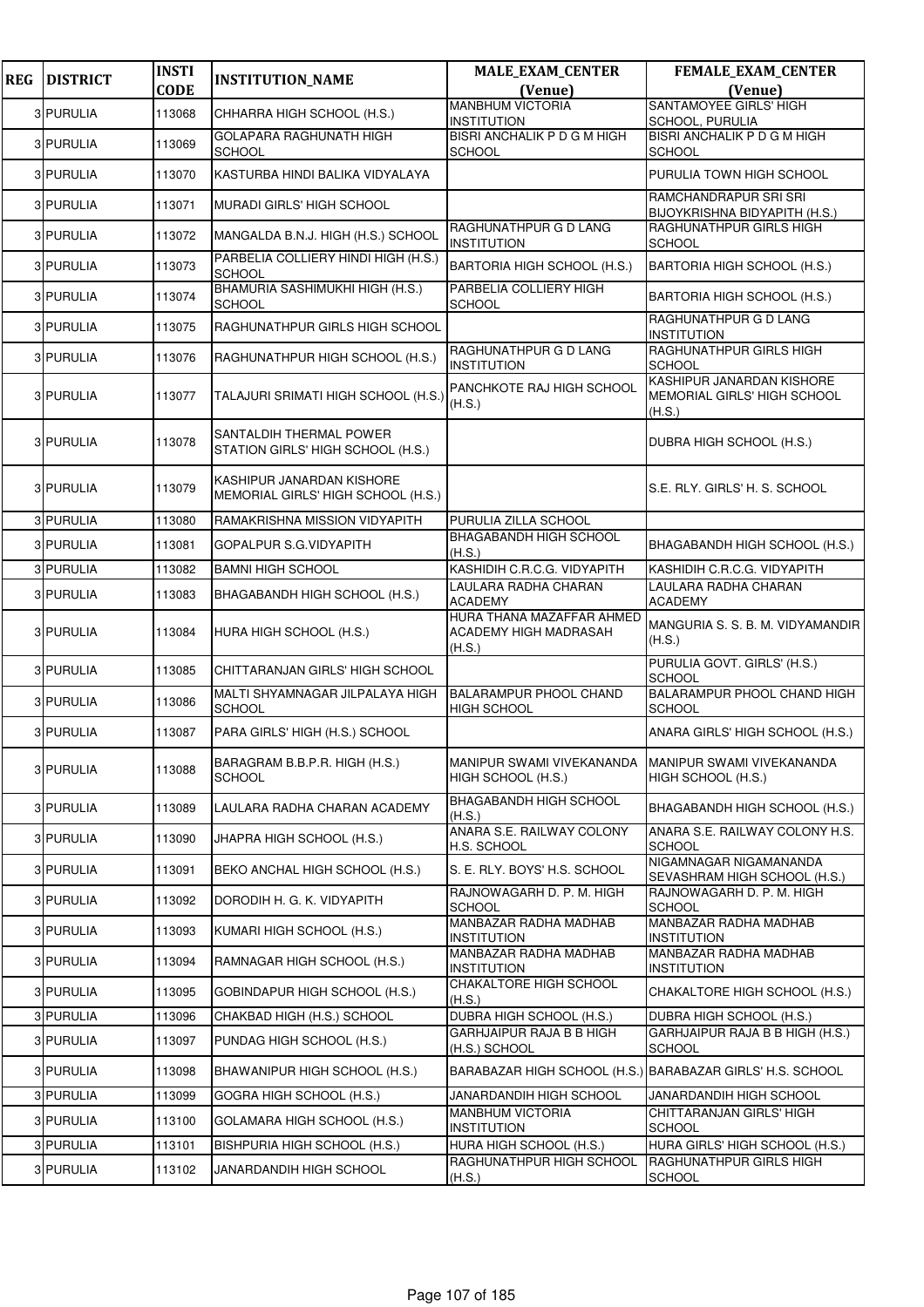| <b>REG</b> | <b>DISTRICT</b> | <b>INSTI</b> | <b>INSTITUTION_NAME</b>                                         | <b>MALE_EXAM_CENTER</b>                                      | <b>FEMALE_EXAM_CENTER</b>                                          |
|------------|-----------------|--------------|-----------------------------------------------------------------|--------------------------------------------------------------|--------------------------------------------------------------------|
|            |                 | <b>CODE</b>  |                                                                 | (Venue)                                                      | (Venue)<br>SANTAMOYEE GIRLS' HIGH                                  |
|            | 3 PURULIA       | 113068       | CHHARRA HIGH SCHOOL (H.S.)                                      | <b>MANBHUM VICTORIA</b><br><b>INSTITUTION</b>                | SCHOOL, PURULIA                                                    |
|            | 3 PURULIA       | 113069       | GOLAPARA RAGHUNATH HIGH<br><b>SCHOOL</b>                        | <b>BISRI ANCHALIK P D G M HIGH</b><br><b>SCHOOL</b>          | <b>BISRI ANCHALIK P D G M HIGH</b><br><b>SCHOOL</b>                |
|            | 3 PURULIA       | 113070       | KASTURBA HINDI BALIKA VIDYALAYA                                 |                                                              | PURULIA TOWN HIGH SCHOOL                                           |
|            | 3 PURULIA       | 113071       | MURADI GIRLS' HIGH SCHOOL                                       |                                                              | RAMCHANDRAPUR SRI SRI<br>BIJOYKRISHNA BIDYAPITH (H.S.)             |
|            | 3 PURULIA       | 113072       | MANGALDA B.N.J. HIGH (H.S.) SCHOOL                              | RAGHUNATHPUR G D LANG<br><b>INSTITUTION</b>                  | RAGHUNATHPUR GIRLS HIGH<br><b>SCHOOL</b>                           |
|            | 3 PURULIA       | 113073       | PARBELIA COLLIERY HINDI HIGH (H.S.)<br><b>SCHOOL</b>            | BARTORIA HIGH SCHOOL (H.S.)                                  | BARTORIA HIGH SCHOOL (H.S.)                                        |
|            | 3 PURULIA       | 113074       | BHAMURIA SASHIMUKHI HIGH (H.S.)<br><b>SCHOOL</b>                | PARBELIA COLLIERY HIGH<br><b>SCHOOL</b>                      | BARTORIA HIGH SCHOOL (H.S.)                                        |
|            | 3 PURULIA       | 113075       | RAGHUNATHPUR GIRLS HIGH SCHOOL                                  |                                                              | RAGHUNATHPUR G D LANG<br><b>INSTITUTION</b>                        |
|            | 3 PURULIA       | 113076       | RAGHUNATHPUR HIGH SCHOOL (H.S.)                                 | RAGHUNATHPUR G D LANG<br><b>INSTITUTION</b>                  | RAGHUNATHPUR GIRLS HIGH<br><b>SCHOOL</b>                           |
|            | 3 PURULIA       | 113077       | TALAJURI SRIMATI HIGH SCHOOL (H.S.)                             | PANCHKOTE RAJ HIGH SCHOOL<br>(H.S.)                          | KASHIPUR JANARDAN KISHORE<br>MEMORIAL GIRLS' HIGH SCHOOL<br>(H.S.) |
|            | 3 PURULIA       | 113078       | SANTALDIH THERMAL POWER<br>STATION GIRLS' HIGH SCHOOL (H.S.)    |                                                              | DUBRA HIGH SCHOOL (H.S.)                                           |
|            | 3 PURULIA       | 113079       | KASHIPUR JANARDAN KISHORE<br>MEMORIAL GIRLS' HIGH SCHOOL (H.S.) |                                                              | S.E. RLY. GIRLS' H. S. SCHOOL                                      |
|            | 3 PURULIA       | 113080       | RAMAKRISHNA MISSION VIDYAPITH                                   | PURULIA ZILLA SCHOOL                                         |                                                                    |
|            | 3 PURULIA       | 113081       | GOPALPUR S.G.VIDYAPITH                                          | BHAGABANDH HIGH SCHOOL<br>(H.S.)                             | BHAGABANDH HIGH SCHOOL (H.S.)                                      |
|            | 3 PURULIA       | 113082       | <b>BAMNI HIGH SCHOOL</b>                                        | KASHIDIH C.R.C.G. VIDYAPITH                                  | KASHIDIH C.R.C.G. VIDYAPITH                                        |
|            | 3 PURULIA       | 113083       | BHAGABANDH HIGH SCHOOL (H.S.)                                   | LAULARA RADHA CHARAN<br><b>ACADEMY</b>                       | LAULARA RADHA CHARAN<br><b>ACADEMY</b>                             |
|            | 3 PURULIA       | 113084       | HURA HIGH SCHOOL (H.S.)                                         | HURA THANA MAZAFFAR AHMED<br>ACADEMY HIGH MADRASAH<br>(H.S.) | MANGURIA S. S. B. M. VIDYAMANDIR<br>(H.S.)                         |
|            | 3 PURULIA       | 113085       | CHITTARANJAN GIRLS' HIGH SCHOOL                                 |                                                              | PURULIA GOVT. GIRLS' (H.S.)<br><b>SCHOOL</b>                       |
|            | 3 PURULIA       | 113086       | MALTI SHYAMNAGAR JILPALAYA HIGH<br><b>SCHOOL</b>                | <b>BALARAMPUR PHOOL CHAND</b><br><b>HIGH SCHOOL</b>          | BALARAMPUR PHOOL CHAND HIGH<br><b>SCHOOL</b>                       |
|            | 3 PURULIA       | 113087       | PARA GIRLS' HIGH (H.S.) SCHOOL                                  |                                                              | ANARA GIRLS' HIGH SCHOOL (H.S.)                                    |
|            | 3 PURULIA       | 113088       | BARAGRAM B.B.P.R. HIGH (H.S.)<br><b>SCHOOL</b>                  | MANIPUR SWAMI VIVEKANANDA<br>HIGH SCHOOL (H.S.)              | MANIPUR SWAMI VIVEKANANDA<br>HIGH SCHOOL (H.S.)                    |
|            | 3 PURULIA       | 113089       | LAULARA RADHA CHARAN ACADEMY                                    | <b>BHAGABANDH HIGH SCHOOL</b><br>(H.S.)                      | BHAGABANDH HIGH SCHOOL (H.S.)                                      |
|            | 3 PURULIA       | 113090       | JHAPRA HIGH SCHOOL (H.S.)                                       | ANARA S.E. RAILWAY COLONY<br>H.S. SCHOOL                     | ANARA S.E. RAILWAY COLONY H.S.<br><b>SCHOOL</b>                    |
|            | 3 PURULIA       | 113091       | BEKO ANCHAL HIGH SCHOOL (H.S.)                                  | S. E. RLY. BOYS' H.S. SCHOOL                                 | NIGAMNAGAR NIGAMANANDA<br>SEVASHRAM HIGH SCHOOL (H.S.)             |
|            | 3 PURULIA       | 113092       | DORODIH H. G. K. VIDYAPITH                                      | RAJNOWAGARH D. P. M. HIGH<br><b>SCHOOL</b>                   | RAJNOWAGARH D. P. M. HIGH<br><b>SCHOOL</b>                         |
|            | 3 PURULIA       | 113093       | KUMARI HIGH SCHOOL (H.S.)                                       | MANBAZAR RADHA MADHAB<br><b>INSTITUTION</b>                  | MANBAZAR RADHA MADHAB<br><b>INSTITUTION</b>                        |
|            | 3 PURULIA       | 113094       | RAMNAGAR HIGH SCHOOL (H.S.)                                     | MANBAZAR RADHA MADHAB<br><b>INSTITUTION</b>                  | MANBAZAR RADHA MADHAB<br><b>INSTITUTION</b>                        |
|            | 3 PURULIA       | 113095       | GOBINDAPUR HIGH SCHOOL (H.S.)                                   | CHAKALTORE HIGH SCHOOL<br>(H.S.)                             | CHAKALTORE HIGH SCHOOL (H.S.)                                      |
|            | 3 PURULIA       | 113096       | CHAKBAD HIGH (H.S.) SCHOOL                                      | DUBRA HIGH SCHOOL (H.S.)                                     | DUBRA HIGH SCHOOL (H.S.)                                           |
|            | 3 PURULIA       | 113097       | PUNDAG HIGH SCHOOL (H.S.)                                       | GARHJAIPUR RAJA B B HIGH<br>(H.S.) SCHOOL                    | GARHJAIPUR RAJA B B HIGH (H.S.)<br><b>SCHOOL</b>                   |
|            | 3 PURULIA       | 113098       | BHAWANIPUR HIGH SCHOOL (H.S.)                                   | BARABAZAR HIGH SCHOOL (H.S.) BARABAZAR GIRLS' H.S. SCHOOL    |                                                                    |
|            | 3 PURULIA       | 113099       | GOGRA HIGH SCHOOL (H.S.)                                        | JANARDANDIH HIGH SCHOOL                                      | JANARDANDIH HIGH SCHOOL                                            |
|            | 3 PURULIA       | 113100       | GOLAMARA HIGH SCHOOL (H.S.)                                     | <b>MANBHUM VICTORIA</b><br><b>INSTITUTION</b>                | CHITTARANJAN GIRLS' HIGH<br><b>SCHOOL</b>                          |
|            | 3 PURULIA       | 113101       | BISHPURIA HIGH SCHOOL (H.S.)                                    | HURA HIGH SCHOOL (H.S.)                                      | HURA GIRLS' HIGH SCHOOL (H.S.)                                     |
|            | 3 PURULIA       | 113102       | JANARDANDIH HIGH SCHOOL                                         | <b>RAGHUNATHPUR HIGH SCHOOL</b><br>(H.S.)                    | <b>RAGHUNATHPUR GIRLS HIGH</b><br><b>SCHOOL</b>                    |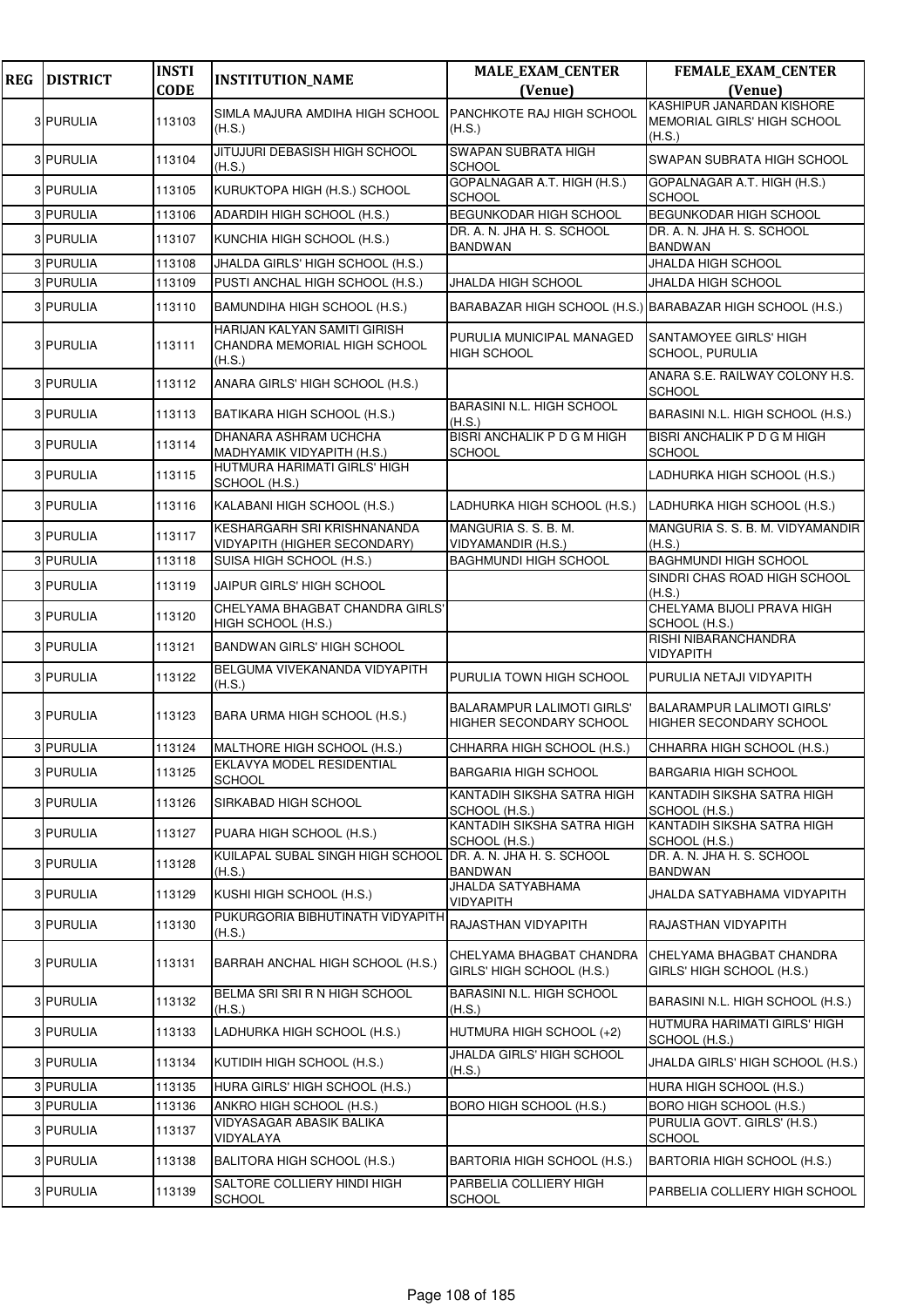| <b>REG</b> | <b>DISTRICT</b> | <b>INSTI</b> | <b>INSTITUTION_NAME</b>                                                | <b>MALE_EXAM_CENTER</b>                               | <b>FEMALE_EXAM_CENTER</b>                                           |
|------------|-----------------|--------------|------------------------------------------------------------------------|-------------------------------------------------------|---------------------------------------------------------------------|
|            |                 | <b>CODE</b>  |                                                                        | (Venue)                                               | (Venue)<br>KASHIPUR JANARDAN KISHORE                                |
|            | 3 PURULIA       | 113103       | SIMLA MAJURA AMDIHA HIGH SCHOOL<br>(H.S.)                              | PANCHKOTE RAJ HIGH SCHOOL<br>(H.S.)                   | MEMORIAL GIRLS' HIGH SCHOOL<br>(H.S.)                               |
|            | 3 PURULIA       | 113104       | JITUJURI DEBASISH HIGH SCHOOL<br>(H.S.)                                | SWAPAN SUBRATA HIGH<br>SCHOOL                         | SWAPAN SUBRATA HIGH SCHOOL                                          |
|            | 3 PURULIA       | 113105       | KURUKTOPA HIGH (H.S.) SCHOOL                                           | GOPALNAGAR A.T. HIGH (H.S.)<br>SCHOOL                 | GOPALNAGAR A.T. HIGH (H.S.)<br><b>SCHOOL</b>                        |
|            | 3 PURULIA       | 113106       | ADARDIH HIGH SCHOOL (H.S.)                                             | <b>BEGUNKODAR HIGH SCHOOL</b>                         | BEGUNKODAR HIGH SCHOOL                                              |
|            | 3 PURULIA       | 113107       | KUNCHIA HIGH SCHOOL (H.S.)                                             | DR. A. N. JHA H. S. SCHOOL<br>BANDWAN                 | DR. A. N. JHA H. S. SCHOOL<br>BANDWAN                               |
|            | 3 PURULIA       | 113108       | JHALDA GIRLS' HIGH SCHOOL (H.S.)                                       |                                                       | JHALDA HIGH SCHOOL                                                  |
|            | 3 PURULIA       | 113109       | PUSTI ANCHAL HIGH SCHOOL (H.S.)                                        | JHALDA HIGH SCHOOL                                    | JHALDA HIGH SCHOOL                                                  |
|            | 3 PURULIA       | 113110       | BAMUNDIHA HIGH SCHOOL (H.S.)                                           |                                                       | BARABAZAR HIGH SCHOOL (H.S.) BARABAZAR HIGH SCHOOL (H.S.)           |
|            | 3 PURULIA       | 113111       | HARIJAN KALYAN SAMITI GIRISH<br>CHANDRA MEMORIAL HIGH SCHOOL<br>(H.S.) | PURULIA MUNICIPAL MANAGED<br><b>HIGH SCHOOL</b>       | SANTAMOYEE GIRLS' HIGH<br>SCHOOL, PURULIA                           |
|            | 3 PURULIA       | 113112       | ANARA GIRLS' HIGH SCHOOL (H.S.)                                        |                                                       | ANARA S.E. RAILWAY COLONY H.S.<br><b>SCHOOL</b>                     |
|            | 3 PURULIA       | 113113       | BATIKARA HIGH SCHOOL (H.S.)                                            | <b>BARASINI N.L. HIGH SCHOOL</b><br>(H.S.)            | BARASINI N.L. HIGH SCHOOL (H.S.)                                    |
|            | 3 PURULIA       | 113114       | DHANARA ASHRAM UCHCHA<br>MADHYAMIK VIDYAPITH (H.S.)                    | <b>BISRI ANCHALIK P D G M HIGH</b><br>SCHOOL          | BISRI ANCHALIK P D G M HIGH<br><b>SCHOOL</b>                        |
|            | 3 PURULIA       | 113115       | HUTMURA HARIMATI GIRLS' HIGH<br>SCHOOL (H.S.)                          |                                                       | LADHURKA HIGH SCHOOL (H.S.)                                         |
|            | 3 PURULIA       | 113116       | KALABANI HIGH SCHOOL (H.S.)                                            | LADHURKA HIGH SCHOOL (H.S.)                           | LADHURKA HIGH SCHOOL (H.S.)                                         |
|            | 3 PURULIA       | 113117       | KESHARGARH SRI KRISHNANANDA<br>VIDYAPITH (HIGHER SECONDARY)            | MANGURIA S. S. B. M.<br>VIDYAMANDIR (H.S.)            | MANGURIA S. S. B. M. VIDYAMANDIR<br>(H.S.)                          |
|            | 3 PURULIA       | 113118       | SUISA HIGH SCHOOL (H.S.)                                               | <b>BAGHMUNDI HIGH SCHOOL</b>                          | <b>BAGHMUNDI HIGH SCHOOL</b>                                        |
|            | 3 PURULIA       | 113119       | JAIPUR GIRLS' HIGH SCHOOL                                              |                                                       | SINDRI CHAS ROAD HIGH SCHOOL<br>(H.S.)                              |
|            | 3 PURULIA       | 113120       | CHELYAMA BHAGBAT CHANDRA GIRLS'<br>HIGH SCHOOL (H.S.)                  |                                                       | CHELYAMA BIJOLI PRAVA HIGH<br>SCHOOL (H.S.)                         |
|            | 3 PURULIA       | 113121       | <b>BANDWAN GIRLS' HIGH SCHOOL</b>                                      |                                                       | RISHI NIBARANCHANDRA<br>VIDYAPITH                                   |
|            | 3 PURULIA       | 113122       | BELGUMA VIVEKANANDA VIDYAPITH<br>(H.S.)                                | PURULIA TOWN HIGH SCHOOL                              | PURULIA NETAJI VIDYAPITH                                            |
|            | 3 PURULIA       | 113123       | BARA URMA HIGH SCHOOL (H.S.)                                           | BALARAMPUR LALIMOTI GIRLS'<br>HIGHER SECONDARY SCHOOL | <b>BALARAMPUR LALIMOTI GIRLS'</b><br><b>HIGHER SECONDARY SCHOOL</b> |
|            | 3 PURULIA       | 113124       | MALTHORE HIGH SCHOOL (H.S.)                                            | CHHARRA HIGH SCHOOL (H.S.)                            | CHHARRA HIGH SCHOOL (H.S.)                                          |
|            | 3 PURULIA       | 113125       | EKLAVYA MODEL RESIDENTIAL<br><b>SCHOOL</b>                             | BARGARIA HIGH SCHOOL                                  | <b>BARGARIA HIGH SCHOOL</b>                                         |
|            | 3 PURULIA       | 113126       | SIRKABAD HIGH SCHOOL                                                   | KANTADIH SIKSHA SATRA HIGH<br>SCHOOL (H.S.)           | KANTADIH SIKSHA SATRA HIGH<br>SCHOOL (H.S.)                         |
|            | 3 PURULIA       | 113127       | PUARA HIGH SCHOOL (H.S.)                                               | KANTADIH SIKSHA SATRA HIGH<br>SCHOOL (H.S.)           | KANTADIH SIKSHA SATRA HIGH<br>SCHOOL (H.S.)                         |
|            | 3 PURULIA       | 113128       | KUILAPAL SUBAL SINGH HIGH SCHOOL<br>(H.S.)                             | DR. A. N. JHA H. S. SCHOOL<br>BANDWAN                 | DR. A. N. JHA H. S. SCHOOL<br><b>BANDWAN</b>                        |
|            | 3 PURULIA       | 113129       | KUSHI HIGH SCHOOL (H.S.)                                               | JHALDA SATYABHAMA<br><b>VIDYAPITH</b>                 | JHALDA SATYABHAMA VIDYAPITH                                         |
|            | 3 PURULIA       | 113130       | PUKURGORIA BIBHUTINATH VIDYAPITH<br>(H.S.)                             | RAJASTHAN VIDYAPITH                                   | RAJASTHAN VIDYAPITH                                                 |
|            | 3 PURULIA       | 113131       | BARRAH ANCHAL HIGH SCHOOL (H.S.)                                       | CHELYAMA BHAGBAT CHANDRA<br>GIRLS' HIGH SCHOOL (H.S.) | CHELYAMA BHAGBAT CHANDRA<br>GIRLS' HIGH SCHOOL (H.S.)               |
|            | 3 PURULIA       | 113132       | BELMA SRI SRI R N HIGH SCHOOL<br>(H.S.)                                | BARASINI N.L. HIGH SCHOOL<br>(H.S.)                   | BARASINI N.L. HIGH SCHOOL (H.S.)                                    |
|            | 3 PURULIA       | 113133       | LADHURKA HIGH SCHOOL (H.S.)                                            | HUTMURA HIGH SCHOOL (+2)                              | HUTMURA HARIMATI GIRLS' HIGH<br>SCHOOL (H.S.)                       |
|            | 3 PURULIA       | 113134       | KUTIDIH HIGH SCHOOL (H.S.)                                             | JHALDA GIRLS' HIGH SCHOOL<br>(H.S.)                   | JHALDA GIRLS' HIGH SCHOOL (H.S.)                                    |
|            | 3 PURULIA       | 113135       | HURA GIRLS' HIGH SCHOOL (H.S.)                                         |                                                       | HURA HIGH SCHOOL (H.S.)                                             |
|            | 3 PURULIA       | 113136       | ANKRO HIGH SCHOOL (H.S.)                                               | BORO HIGH SCHOOL (H.S.)                               | BORO HIGH SCHOOL (H.S.)                                             |
|            | 3 PURULIA       | 113137       | VIDYASAGAR ABASIK BALIKA<br>VIDYALAYA                                  |                                                       | PURULIA GOVT. GIRLS' (H.S.)<br><b>SCHOOL</b>                        |
|            | 3 PURULIA       | 113138       | BALITORA HIGH SCHOOL (H.S.)                                            | BARTORIA HIGH SCHOOL (H.S.)                           | BARTORIA HIGH SCHOOL (H.S.)                                         |
|            | 3 PURULIA       | 113139       | SALTORE COLLIERY HINDI HIGH<br><b>SCHOOL</b>                           | PARBELIA COLLIERY HIGH<br><b>SCHOOL</b>               | PARBELIA COLLIERY HIGH SCHOOL                                       |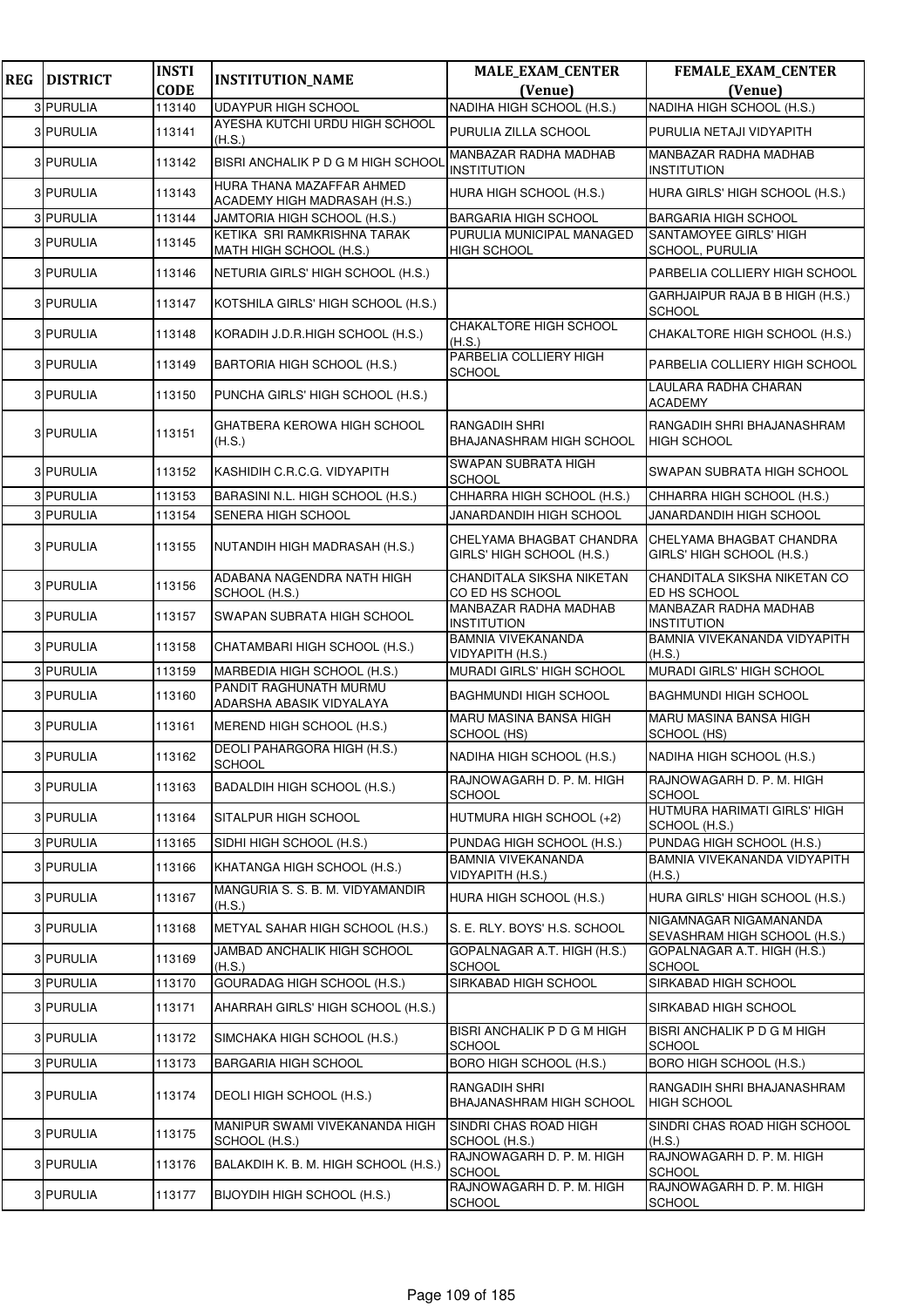| <b>REG</b> | <b>DISTRICT</b> | <b>INSTI</b>          | <b>INSTITUTION_NAME</b>                                   | <b>MALE_EXAM_CENTER</b>                               | <b>FEMALE_EXAM_CENTER</b>                              |
|------------|-----------------|-----------------------|-----------------------------------------------------------|-------------------------------------------------------|--------------------------------------------------------|
|            | 3 PURULIA       | <b>CODE</b><br>113140 | <b>UDAYPUR HIGH SCHOOL</b>                                | (Venue)<br>NADIHA HIGH SCHOOL (H.S.)                  | (Venue)<br>NADIHA HIGH SCHOOL (H.S.)                   |
|            | 3 PURULIA       | 113141                | AYESHA KUTCHI URDU HIGH SCHOOL                            | PURULIA ZILLA SCHOOL                                  | PURULIA NETAJI VIDYAPITH                               |
|            |                 |                       | (H.S.)                                                    | MANBAZAR RADHA MADHAB                                 | MANBAZAR RADHA MADHAB                                  |
|            | 3 PURULIA       | 113142                | BISRI ANCHALIK P D G M HIGH SCHOOL                        | INSTITUTION                                           | <b>INSTITUTION</b>                                     |
|            | 3 PURULIA       | 113143                | HURA THANA MAZAFFAR AHMED<br>ACADEMY HIGH MADRASAH (H.S.) | HURA HIGH SCHOOL (H.S.)                               | HURA GIRLS' HIGH SCHOOL (H.S.)                         |
|            | 3 PURULIA       | 113144                | JAMTORIA HIGH SCHOOL (H.S.)                               | <b>BARGARIA HIGH SCHOOL</b>                           | <b>BARGARIA HIGH SCHOOL</b>                            |
|            | 3 PURULIA       | 113145                | KETIKA SRI RAMKRISHNA TARAK<br>MATH HIGH SCHOOL (H.S.)    | PURULIA MUNICIPAL MANAGED<br><b>HIGH SCHOOL</b>       | SANTAMOYEE GIRLS' HIGH<br>SCHOOL, PURULIA              |
|            | 3 PURULIA       | 113146                | NETURIA GIRLS' HIGH SCHOOL (H.S.)                         |                                                       | PARBELIA COLLIERY HIGH SCHOOL                          |
|            | 3 PURULIA       | 113147                | KOTSHILA GIRLS' HIGH SCHOOL (H.S.)                        |                                                       | GARHJAIPUR RAJA B B HIGH (H.S.)<br><b>SCHOOL</b>       |
|            | 3 PURULIA       | 113148                | KORADIH J.D.R.HIGH SCHOOL (H.S.)                          | <b>CHAKALTORE HIGH SCHOOL</b><br>(H.S.)               | CHAKALTORE HIGH SCHOOL (H.S.)                          |
|            | 3 PURULIA       | 113149                | BARTORIA HIGH SCHOOL (H.S.)                               | PARBELIA COLLIERY HIGH<br><b>SCHOOL</b>               | PARBELIA COLLIERY HIGH SCHOOL                          |
|            | 3 PURULIA       | 113150                | PUNCHA GIRLS' HIGH SCHOOL (H.S.)                          |                                                       | LAULARA RADHA CHARAN<br><b>ACADEMY</b>                 |
|            | 3 PURULIA       | 113151                | GHATBERA KEROWA HIGH SCHOOL<br>(H.S.)                     | RANGADIH SHRI<br>BHAJANASHRAM HIGH SCHOOL             | RANGADIH SHRI BHAJANASHRAM<br><b>HIGH SCHOOL</b>       |
|            | 3 PURULIA       | 113152                | KASHIDIH C.R.C.G. VIDYAPITH                               | SWAPAN SUBRATA HIGH<br><b>SCHOOL</b>                  | SWAPAN SUBRATA HIGH SCHOOL                             |
|            | 3 PURULIA       | 113153                | BARASINI N.L. HIGH SCHOOL (H.S.)                          | CHHARRA HIGH SCHOOL (H.S.)                            | CHHARRA HIGH SCHOOL (H.S.)                             |
|            | 3 PURULIA       | 113154                | SENERA HIGH SCHOOL                                        | JANARDANDIH HIGH SCHOOL                               | JANARDANDIH HIGH SCHOOL                                |
|            | 3 PURULIA       | 113155                | NUTANDIH HIGH MADRASAH (H.S.)                             | CHELYAMA BHAGBAT CHANDRA<br>GIRLS' HIGH SCHOOL (H.S.) | CHELYAMA BHAGBAT CHANDRA<br>GIRLS' HIGH SCHOOL (H.S.)  |
|            | 3 PURULIA       | 113156                | ADABANA NAGENDRA NATH HIGH<br>SCHOOL (H.S.)               | CHANDITALA SIKSHA NIKETAN<br>CO ED HS SCHOOL          | CHANDITALA SIKSHA NIKETAN CO<br>ED HS SCHOOL           |
|            | 3 PURULIA       | 113157                | SWAPAN SUBRATA HIGH SCHOOL                                | MANBAZAR RADHA MADHAB<br><b>INSTITUTION</b>           | MANBAZAR RADHA MADHAB<br><b>INSTITUTION</b>            |
|            | 3 PURULIA       | 113158                | CHATAMBARI HIGH SCHOOL (H.S.)                             | BAMNIA VIVEKANANDA<br>VIDYAPITH (H.S.)                | BAMNIA VIVEKANANDA VIDYAPITH<br>(H.S.)                 |
|            | 3 PURULIA       | 113159                | MARBEDIA HIGH SCHOOL (H.S.)                               | <b>MURADI GIRLS' HIGH SCHOOL</b>                      | MURADI GIRLS' HIGH SCHOOL                              |
|            | 3 PURULIA       | 113160                | PANDIT RAGHUNATH MURMU<br>ADARSHA ABASIK VIDYALAYA        | BAGHMUNDI HIGH SCHOOL                                 | <b>BAGHMUNDI HIGH SCHOOL</b>                           |
|            | 3 PURULIA       | 113161                | MEREND HIGH SCHOOL (H.S.)                                 | <b>MARU MASINA BANSA HIGH</b><br>SCHOOL (HS)          | <b>MARU MASINA BANSA HIGH</b><br>SCHOOL (HS)           |
|            | 3 PURULIA       | 113162                | DEOLI PAHARGORA HIGH (H.S.)<br><b>SCHOOL</b>              | NADIHA HIGH SCHOOL (H.S.)                             | NADIHA HIGH SCHOOL (H.S.)                              |
|            | 3 PURULIA       | 113163                | BADALDIH HIGH SCHOOL (H.S.)                               | RAJNOWAGARH D. P. M. HIGH<br><b>SCHOOL</b>            | RAJNOWAGARH D. P. M. HIGH<br><b>SCHOOL</b>             |
|            | 3 PURULIA       | 113164                | SITALPUR HIGH SCHOOL                                      | HUTMURA HIGH SCHOOL (+2)                              | HUTMURA HARIMATI GIRLS' HIGH<br>SCHOOL (H.S.)          |
|            | 3 PURULIA       | 113165                | SIDHI HIGH SCHOOL (H.S.)                                  | PUNDAG HIGH SCHOOL (H.S.)                             | PUNDAG HIGH SCHOOL (H.S.)                              |
|            | 3 PURULIA       | 113166                | KHATANGA HIGH SCHOOL (H.S.)                               | <b>BAMNIA VIVEKANANDA</b><br>VIDYAPITH (H.S.)         | BAMNIA VIVEKANANDA VIDYAPITH<br>(H.S.)                 |
|            | 3 PURULIA       | 113167                | MANGURIA S. S. B. M. VIDYAMANDIR<br>(H.S.)                | HURA HIGH SCHOOL (H.S.)                               | HURA GIRLS' HIGH SCHOOL (H.S.)                         |
|            | 3 PURULIA       | 113168                | METYAL SAHAR HIGH SCHOOL (H.S.)                           | S. E. RLY. BOYS' H.S. SCHOOL                          | NIGAMNAGAR NIGAMANANDA<br>SEVASHRAM HIGH SCHOOL (H.S.) |
|            | 3 PURULIA       | 113169                | JAMBAD ANCHALIK HIGH SCHOOL<br>(H.S.)                     | GOPALNAGAR A.T. HIGH (H.S.)<br>SCHOOL                 | GOPALNAGAR A.T. HIGH (H.S.)<br><b>SCHOOL</b>           |
|            | 3 PURULIA       | 113170                | GOURADAG HIGH SCHOOL (H.S.)                               | SIRKABAD HIGH SCHOOL                                  | SIRKABAD HIGH SCHOOL                                   |
|            | 3 PURULIA       | 113171                | AHARRAH GIRLS' HIGH SCHOOL (H.S.)                         |                                                       | SIRKABAD HIGH SCHOOL                                   |
|            | 3 PURULIA       | 113172                | SIMCHAKA HIGH SCHOOL (H.S.)                               | BISRI ANCHALIK P D G M HIGH<br><b>SCHOOL</b>          | BISRI ANCHALIK P D G M HIGH<br><b>SCHOOL</b>           |
|            | 3 PURULIA       | 113173                | BARGARIA HIGH SCHOOL                                      | BORO HIGH SCHOOL (H.S.)                               | BORO HIGH SCHOOL (H.S.)                                |
|            | 3 PURULIA       | 113174                | DEOLI HIGH SCHOOL (H.S.)                                  | RANGADIH SHRI<br>BHAJANASHRAM HIGH SCHOOL             | RANGADIH SHRI BHAJANASHRAM<br><b>HIGH SCHOOL</b>       |
|            | 3 PURULIA       | 113175                | MANIPUR SWAMI VIVEKANANDA HIGH<br>SCHOOL (H.S.)           | SINDRI CHAS ROAD HIGH<br>SCHOOL (H.S.)                | SINDRI CHAS ROAD HIGH SCHOOL<br>(H.S.)                 |
|            | 3 PURULIA       | 113176                | BALAKDIH K. B. M. HIGH SCHOOL (H.S.)                      | RAJNOWAGARH D. P. M. HIGH<br><b>SCHOOL</b>            | RAJNOWAGARH D. P. M. HIGH<br><b>SCHOOL</b>             |
|            | 3 PURULIA       | 113177                | BIJOYDIH HIGH SCHOOL (H.S.)                               | RAJNOWAGARH D. P. M. HIGH<br><b>SCHOOL</b>            | RAJNOWAGARH D. P. M. HIGH<br><b>SCHOOL</b>             |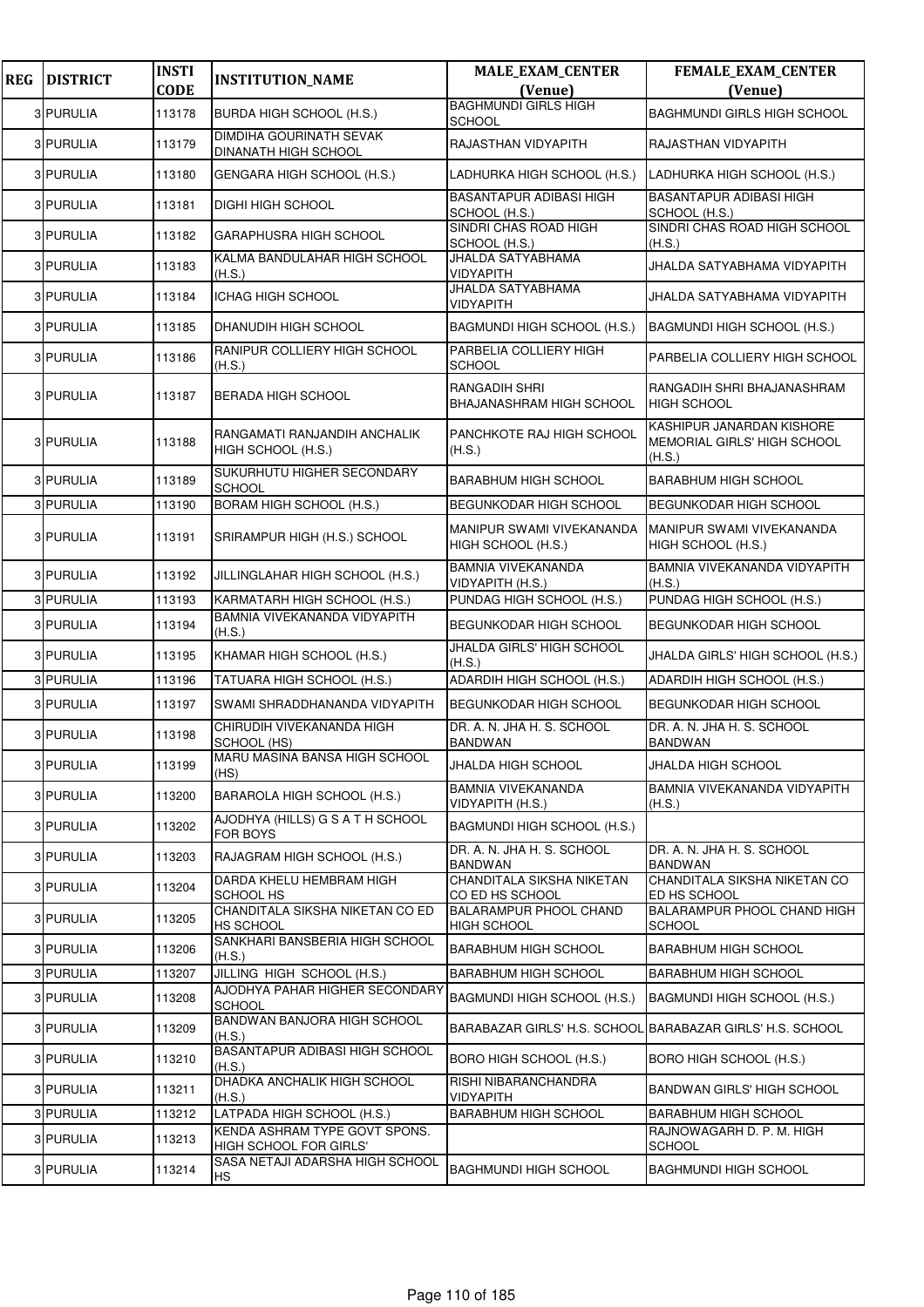| <b>REG</b> | <b>DISTRICT</b>  | <b>INSTI</b><br><b>CODE</b> | <b>INSTITUTION_NAME</b>                                 | <b>MALE_EXAM_CENTER</b><br>(Venue)              | FEMALE_EXAM_CENTER<br>(Venue)                                      |
|------------|------------------|-----------------------------|---------------------------------------------------------|-------------------------------------------------|--------------------------------------------------------------------|
|            | 3 PURULIA        | 113178                      | BURDA HIGH SCHOOL (H.S.)                                | <b>BAGHMUNDI GIRLS HIGH</b><br>SCHOOL           | <b>BAGHMUNDI GIRLS HIGH SCHOOL</b>                                 |
|            | 3 PURULIA        | 113179                      | DIMDIHA GOURINATH SEVAK<br>DINANATH HIGH SCHOOL         | RAJASTHAN VIDYAPITH                             | RAJASTHAN VIDYAPITH                                                |
|            | <b>3 PURULIA</b> | 113180                      | GENGARA HIGH SCHOOL (H.S.)                              | LADHURKA HIGH SCHOOL (H.S.)                     | LADHURKA HIGH SCHOOL (H.S.)                                        |
|            | 3 PURULIA        | 113181                      | <b>DIGHI HIGH SCHOOL</b>                                | <b>BASANTAPUR ADIBASI HIGH</b><br>SCHOOL (H.S.) | <b>BASANTAPUR ADIBASI HIGH</b><br>SCHOOL (H.S.)                    |
|            | 3 PURULIA        | 113182                      | GARAPHUSRA HIGH SCHOOL                                  | SINDRI CHAS ROAD HIGH<br>SCHOOL (H.S.)          | SINDRI CHAS ROAD HIGH SCHOOL<br>(H.S.)                             |
|            | 3 PURULIA        | 113183                      | KALMA BANDULAHAR HIGH SCHOOL<br>(H.S.)                  | JHALDA SATYABHAMA<br>VIDYAPITH                  | JHALDA SATYABHAMA VIDYAPITH                                        |
|            | 3 PURULIA        | 113184                      | ICHAG HIGH SCHOOL                                       | JHALDA SATYABHAMA<br>VIDYAPITH                  | JHALDA SATYABHAMA VIDYAPITH                                        |
|            | 3 PURULIA        | 113185                      | DHANUDIH HIGH SCHOOL                                    | BAGMUNDI HIGH SCHOOL (H.S.)                     | BAGMUNDI HIGH SCHOOL (H.S.)                                        |
|            | 3 PURULIA        | 113186                      | RANIPUR COLLIERY HIGH SCHOOL<br>(H.S.)                  | PARBELIA COLLIERY HIGH<br>SCHOOL                | PARBELIA COLLIERY HIGH SCHOOL                                      |
|            | 3 PURULIA        | 113187                      | <b>BERADA HIGH SCHOOL</b>                               | RANGADIH SHRI<br>BHAJANASHRAM HIGH SCHOOL       | RANGADIH SHRI BHAJANASHRAM<br><b>HIGH SCHOOL</b>                   |
|            | 3 PURULIA        | 113188                      | RANGAMATI RANJANDIH ANCHALIK<br>HIGH SCHOOL (H.S.)      | PANCHKOTE RAJ HIGH SCHOOL<br>(H.S.)             | KASHIPUR JANARDAN KISHORE<br>MEMORIAL GIRLS' HIGH SCHOOL<br>(H.S.) |
|            | 3 PURULIA        | 113189                      | SUKURHUTU HIGHER SECONDARY<br><b>SCHOOL</b>             | <b>BARABHUM HIGH SCHOOL</b>                     | <b>BARABHUM HIGH SCHOOL</b>                                        |
|            | 3 PURULIA        | 113190                      | BORAM HIGH SCHOOL (H.S.)                                | BEGUNKODAR HIGH SCHOOL                          | <b>BEGUNKODAR HIGH SCHOOL</b>                                      |
|            | 3 PURULIA        | 113191                      | SRIRAMPUR HIGH (H.S.) SCHOOL                            | MANIPUR SWAMI VIVEKANANDA<br>HIGH SCHOOL (H.S.) | MANIPUR SWAMI VIVEKANANDA<br>HIGH SCHOOL (H.S.)                    |
|            | 3 PURULIA        | 113192                      | JILLINGLAHAR HIGH SCHOOL (H.S.)                         | <b>BAMNIA VIVEKANANDA</b><br>VIDYAPITH (H.S.)   | BAMNIA VIVEKANANDA VIDYAPITH<br>(H.S.)                             |
|            | 3 PURULIA        | 113193                      | KARMATARH HIGH SCHOOL (H.S.)                            | PUNDAG HIGH SCHOOL (H.S.)                       | PUNDAG HIGH SCHOOL (H.S.)                                          |
|            | 3 PURULIA        | 113194                      | BAMNIA VIVEKANANDA VIDYAPITH<br>(H.S.)                  | BEGUNKODAR HIGH SCHOOL                          | <b>BEGUNKODAR HIGH SCHOOL</b>                                      |
|            | 3 PURULIA        | 113195                      | KHAMAR HIGH SCHOOL (H.S.)                               | JHALDA GIRLS' HIGH SCHOOL<br>(H.S.)             | JHALDA GIRLS' HIGH SCHOOL (H.S.)                                   |
|            | 3 PURULIA        | 113196                      | TATUARA HIGH SCHOOL (H.S.)                              | ADARDIH HIGH SCHOOL (H.S.)                      | ADARDIH HIGH SCHOOL (H.S.)                                         |
|            | 3 PURULIA        | 113197                      | SWAMI SHRADDHANANDA VIDYAPITH                           | BEGUNKODAR HIGH SCHOOL                          | <b>BEGUNKODAR HIGH SCHOOL</b>                                      |
|            | 3 PURULIA        | 113198                      | CHIRUDIH VIVEKANANDA HIGH<br>SCHOOL (HS)                | DR. A. N. JHA H. S. SCHOOL<br>BANDWAN           | DR. A. N. JHA H. S. SCHOOL<br><b>BANDWAN</b>                       |
|            | 3 PURULIA        | 113199                      | MARU MASINA BANSA HIGH SCHOOL<br>(HS)                   | JHALDA HIGH SCHOOL                              | JHALDA HIGH SCHOOL                                                 |
|            | 3 PURULIA        | 113200                      | BARAROLA HIGH SCHOOL (H.S.)                             | BAMNIA VIVEKANANDA<br>VIDYAPITH (H.S.)          | BAMNIA VIVEKANANDA VIDYAPITH<br>(H.S.)                             |
|            | 3 PURULIA        | 113202                      | AJODHYA (HILLS) G S A T H SCHOOL<br>FOR BOYS            | BAGMUNDI HIGH SCHOOL (H.S.)                     |                                                                    |
|            | 3 PURULIA        | 113203                      | RAJAGRAM HIGH SCHOOL (H.S.)                             | DR. A. N. JHA H. S. SCHOOL<br>BANDWAN           | DR. A. N. JHA H. S. SCHOOL<br><b>BANDWAN</b>                       |
|            | 3 PURULIA        | 113204                      | DARDA KHELU HEMBRAM HIGH<br><b>SCHOOL HS</b>            | CHANDITALA SIKSHA NIKETAN<br>CO ED HS SCHOOL    | CHANDITALA SIKSHA NIKETAN CO<br>ED HS SCHOOL                       |
|            | 3 PURULIA        | 113205                      | CHANDITALA SIKSHA NIKETAN CO ED<br>HS SCHOOL            | BALARAMPUR PHOOL CHAND<br><b>HIGH SCHOOL</b>    | <b>BALARAMPUR PHOOL CHAND HIGH</b><br><b>SCHOOL</b>                |
|            | 3 PURULIA        | 113206                      | SANKHARI BANSBERIA HIGH SCHOOL<br>(H.S.)                | <b>BARABHUM HIGH SCHOOL</b>                     | <b>BARABHUM HIGH SCHOOL</b>                                        |
|            | 3 PURULIA        | 113207                      | JILLING HIGH SCHOOL (H.S.)                              | <b>BARABHUM HIGH SCHOOL</b>                     | <b>BARABHUM HIGH SCHOOL</b>                                        |
|            | 3 PURULIA        | 113208                      | AJODHYA PAHAR HIGHER SECONDARY<br><b>SCHOOL</b>         | BAGMUNDI HIGH SCHOOL (H.S.)                     | BAGMUNDI HIGH SCHOOL (H.S.)                                        |
|            | 3 PURULIA        | 113209                      | BANDWAN BANJORA HIGH SCHOOL<br>(H.S.)                   |                                                 | BARABAZAR GIRLS' H.S. SCHOOL BARABAZAR GIRLS' H.S. SCHOOL          |
|            | 3 PURULIA        | 113210                      | BASANTAPUR ADIBASI HIGH SCHOOL<br>(H.S.)                | BORO HIGH SCHOOL (H.S.)                         | BORO HIGH SCHOOL (H.S.)                                            |
|            | 3 PURULIA        | 113211                      | DHADKA ANCHALIK HIGH SCHOOL<br>(H.S.)                   | RISHI NIBARANCHANDRA<br>VIDYAPITH               | <b>BANDWAN GIRLS' HIGH SCHOOL</b>                                  |
|            | 3 PURULIA        | 113212                      | LATPADA HIGH SCHOOL (H.S.)                              | BARABHUM HIGH SCHOOL                            | <b>BARABHUM HIGH SCHOOL</b>                                        |
|            | 3 PURULIA        | 113213                      | KENDA ASHRAM TYPE GOVT SPONS.<br>HIGH SCHOOL FOR GIRLS' |                                                 | RAJNOWAGARH D. P. M. HIGH<br><b>SCHOOL</b>                         |
|            | 3 PURULIA        | 113214                      | SASA NETAJI ADARSHA HIGH SCHOOL<br>НS                   | <b>BAGHMUNDI HIGH SCHOOL</b>                    | <b>BAGHMUNDI HIGH SCHOOL</b>                                       |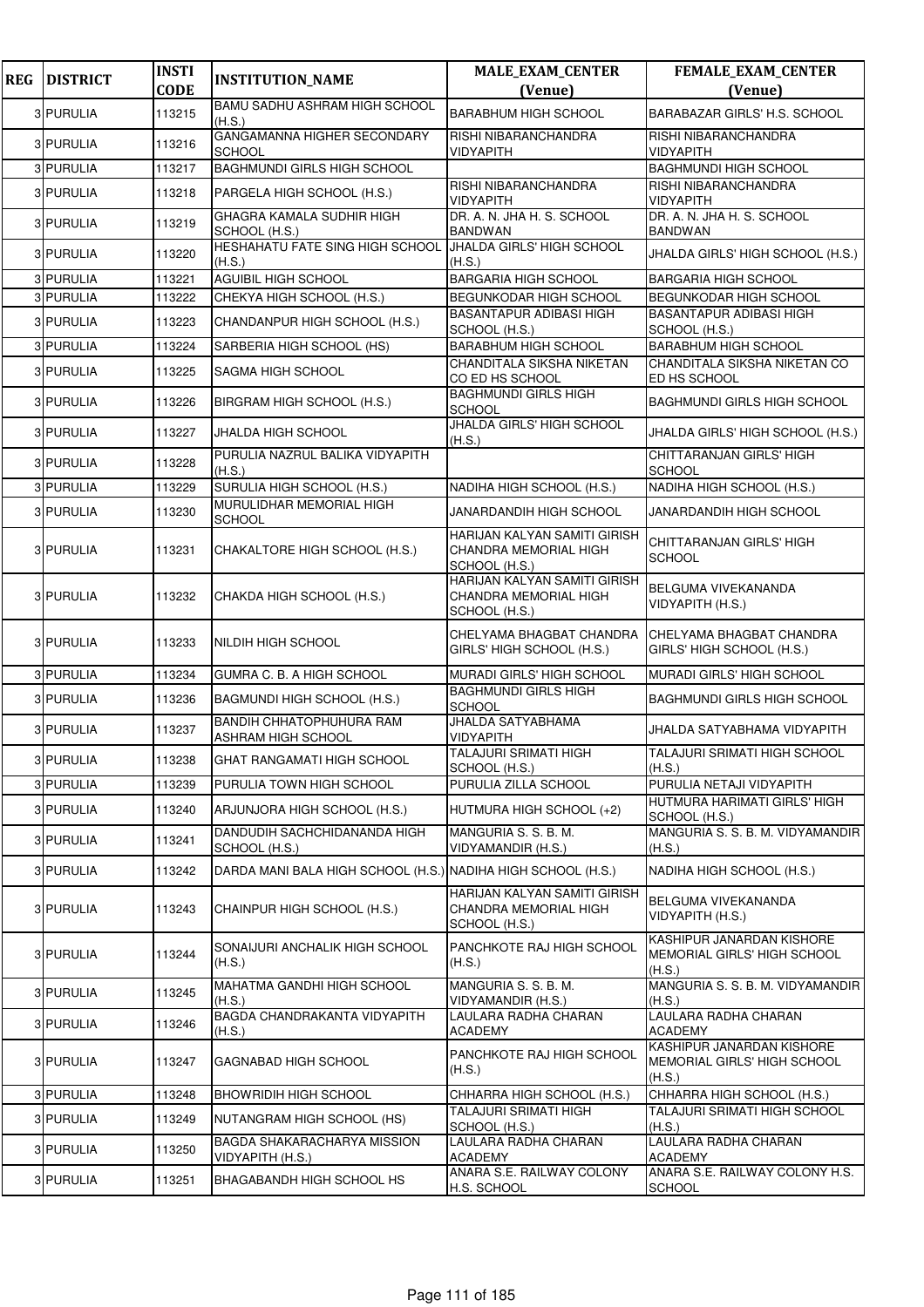| <b>REG</b> | <b>DISTRICT</b> | <b>INSTI</b> | <b>INSTITUTION_NAME</b>                                      | <b>MALE_EXAM_CENTER</b>                                                | FEMALE_EXAM_CENTER                                                 |
|------------|-----------------|--------------|--------------------------------------------------------------|------------------------------------------------------------------------|--------------------------------------------------------------------|
|            |                 | <b>CODE</b>  | <b>BAMU SADHU ASHRAM HIGH SCHOOL</b>                         | (Venue)                                                                | (Venue)                                                            |
|            | 3 PURULIA       | 113215       | (H.S.)                                                       | <b>BARABHUM HIGH SCHOOL</b>                                            | <b>BARABAZAR GIRLS' H.S. SCHOOL</b>                                |
|            | 3 PURULIA       | 113216       | GANGAMANNA HIGHER SECONDARY<br><b>SCHOOL</b>                 | RISHI NIBARANCHANDRA<br><b>VIDYAPITH</b>                               | RISHI NIBARANCHANDRA<br><b>VIDYAPITH</b>                           |
|            | 3 PURULIA       | 113217       | <b>BAGHMUNDI GIRLS HIGH SCHOOL</b>                           |                                                                        | <b>BAGHMUNDI HIGH SCHOOL</b>                                       |
|            | 3 PURULIA       | 113218       | PARGELA HIGH SCHOOL (H.S.)                                   | RISHI NIBARANCHANDRA<br><b>VIDYAPITH</b>                               | RISHI NIBARANCHANDRA<br><b>VIDYAPITH</b>                           |
|            | 3 PURULIA       | 113219       | GHAGRA KAMALA SUDHIR HIGH<br>SCHOOL (H.S.)                   | DR. A. N. JHA H. S. SCHOOL<br><b>BANDWAN</b>                           | DR. A. N. JHA H. S. SCHOOL<br><b>BANDWAN</b>                       |
|            | 3 PURULIA       | 113220       | HESHAHATU FATE SING HIGH SCHOOL<br>(H.S.)                    | <b>JHALDA GIRLS' HIGH SCHOOL</b><br>(H.S.)                             | JHALDA GIRLS' HIGH SCHOOL (H.S.)                                   |
|            | 3 PURULIA       | 113221       | AGUIBIL HIGH SCHOOL                                          | <b>BARGARIA HIGH SCHOOL</b>                                            | <b>BARGARIA HIGH SCHOOL</b>                                        |
|            | 3 PURULIA       | 113222       | CHEKYA HIGH SCHOOL (H.S.)                                    | <b>BEGUNKODAR HIGH SCHOOL</b>                                          | <b>BEGUNKODAR HIGH SCHOOL</b>                                      |
|            | 3 PURULIA       | 113223       | CHANDANPUR HIGH SCHOOL (H.S.)                                | <b>BASANTAPUR ADIBASI HIGH</b><br>SCHOOL (H.S.)                        | <b>BASANTAPUR ADIBASI HIGH</b><br>SCHOOL (H.S.)                    |
|            | 3 PURULIA       | 113224       | SARBERIA HIGH SCHOOL (HS)                                    | <b>BARABHUM HIGH SCHOOL</b>                                            | <b>BARABHUM HIGH SCHOOL</b>                                        |
|            | 3 PURULIA       | 113225       | SAGMA HIGH SCHOOL                                            | CHANDITALA SIKSHA NIKETAN<br>CO ED HS SCHOOL                           | CHANDITALA SIKSHA NIKETAN CO<br>ED HS SCHOOL                       |
|            | 3 PURULIA       | 113226       | BIRGRAM HIGH SCHOOL (H.S.)                                   | <b>BAGHMUNDI GIRLS HIGH</b><br><b>SCHOOL</b>                           | <b>BAGHMUNDI GIRLS HIGH SCHOOL</b>                                 |
|            | 3 PURULIA       | 113227       | JHALDA HIGH SCHOOL                                           | <b>JHALDA GIRLS' HIGH SCHOOL</b><br>(H.S.)                             | JHALDA GIRLS' HIGH SCHOOL (H.S.)                                   |
|            | 3 PURULIA       | 113228       | PURULIA NAZRUL BALIKA VIDYAPITH<br>(H.S.)                    |                                                                        | CHITTARANJAN GIRLS' HIGH<br><b>SCHOOL</b>                          |
|            | 3 PURULIA       | 113229       | SURULIA HIGH SCHOOL (H.S.)                                   | NADIHA HIGH SCHOOL (H.S.)                                              | NADIHA HIGH SCHOOL (H.S.)                                          |
|            | 3 PURULIA       | 113230       | MURULIDHAR MEMORIAL HIGH<br><b>SCHOOL</b>                    | JANARDANDIH HIGH SCHOOL                                                | JANARDANDIH HIGH SCHOOL                                            |
|            | 3 PURULIA       | 113231       | CHAKALTORE HIGH SCHOOL (H.S.)                                | HARIJAN KALYAN SAMITI GIRISH<br>CHANDRA MEMORIAL HIGH<br>SCHOOL (H.S.) | CHITTARANJAN GIRLS' HIGH<br><b>SCHOOL</b>                          |
|            | 3 PURULIA       | 113232       | CHAKDA HIGH SCHOOL (H.S.)                                    | HARIJAN KALYAN SAMITI GIRISH<br>CHANDRA MEMORIAL HIGH<br>SCHOOL (H.S.) | BELGUMA VIVEKANANDA<br>VIDYAPITH (H.S.)                            |
|            | 3 PURULIA       | 113233       | NILDIH HIGH SCHOOL                                           | CHELYAMA BHAGBAT CHANDRA<br>GIRLS' HIGH SCHOOL (H.S.)                  | CHELYAMA BHAGBAT CHANDRA<br>GIRLS' HIGH SCHOOL (H.S.)              |
|            | 3 PURULIA       | 113234       | <b>GUMRA C. B. A HIGH SCHOOL</b>                             | MURADI GIRLS' HIGH SCHOOL                                              | <b>MURADI GIRLS' HIGH SCHOOL</b>                                   |
|            | 3 PURULIA       | 113236       | BAGMUNDI HIGH SCHOOL (H.S.)                                  | <b>BAGHMUNDI GIRLS HIGH</b><br><b>SCHOOL</b>                           | <b>BAGHMUNDI GIRLS HIGH SCHOOL</b>                                 |
|            | 3 PURULIA       | 113237       | <b>BANDIH CHHATOPHUHURA RAM</b><br>ASHRAM HIGH SCHOOL        | JHALDA SATYABHAMA<br><b>VIDYAPITH</b>                                  | JHALDA SATYABHAMA VIDYAPITH                                        |
|            | 3 PURULIA       | 113238       | GHAT RANGAMATI HIGH SCHOOL                                   | <b>TALAJURI SRIMATI HIGH</b><br>SCHOOL (H.S.)                          | <b>TALAJURI SRIMATI HIGH SCHOOL</b><br>(H.S.)                      |
|            | 3 PURULIA       | 113239       | PURULIA TOWN HIGH SCHOOL                                     | PURULIA ZILLA SCHOOL                                                   | PURULIA NETAJI VIDYAPITH                                           |
|            | 3 PURULIA       | 113240       | ARJUNJORA HIGH SCHOOL (H.S.)                                 | HUTMURA HIGH SCHOOL (+2)                                               | HUTMURA HARIMATI GIRLS' HIGH<br>SCHOOL (H.S.)                      |
|            | 3 PURULIA       | 113241       | DANDUDIH SACHCHIDANANDA HIGH<br>SCHOOL (H.S.)                | MANGURIA S. S. B. M.<br>VIDYAMANDIR (H.S.)                             | MANGURIA S. S. B. M. VIDYAMANDIR<br>(H.S.)                         |
|            | 3 PURULIA       | 113242       | DARDA MANI BALA HIGH SCHOOL (H.S.) NADIHA HIGH SCHOOL (H.S.) |                                                                        | NADIHA HIGH SCHOOL (H.S.)                                          |
|            | 3 PURULIA       | 113243       | CHAINPUR HIGH SCHOOL (H.S.)                                  | HARIJAN KALYAN SAMITI GIRISH<br>CHANDRA MEMORIAL HIGH<br>SCHOOL (H.S.) | BELGUMA VIVEKANANDA<br>VIDYAPITH (H.S.)                            |
|            | 3 PURULIA       | 113244       | SONAIJURI ANCHALIK HIGH SCHOOL<br>(H.S.)                     | PANCHKOTE RAJ HIGH SCHOOL<br>(H.S.)                                    | KASHIPUR JANARDAN KISHORE<br>MEMORIAL GIRLS' HIGH SCHOOL<br>(H.S.) |
|            | 3 PURULIA       | 113245       | MAHATMA GANDHI HIGH SCHOOL<br>(H.S.)                         | MANGURIA S. S. B. M.<br>VIDYAMANDIR (H.S.)                             | MANGURIA S. S. B. M. VIDYAMANDIR<br>(H.S.)                         |
|            | 3 PURULIA       | 113246       | BAGDA CHANDRAKANTA VIDYAPITH<br>(H.S.)                       | LAULARA RADHA CHARAN<br>ACADEMY                                        | LAULARA RADHA CHARAN<br><b>ACADEMY</b>                             |
|            | 3 PURULIA       | 113247       | GAGNABAD HIGH SCHOOL                                         | PANCHKOTE RAJ HIGH SCHOOL<br>(H.S.)                                    | KASHIPUR JANARDAN KISHORE<br>MEMORIAL GIRLS' HIGH SCHOOL<br>(H.S.) |
|            | 3 PURULIA       | 113248       | <b>BHOWRIDIH HIGH SCHOOL</b>                                 | CHHARRA HIGH SCHOOL (H.S.)                                             | CHHARRA HIGH SCHOOL (H.S.)                                         |
|            | 3 PURULIA       | 113249       | NUTANGRAM HIGH SCHOOL (HS)                                   | TALAJURI SRIMATI HIGH<br>SCHOOL (H.S.)                                 | TALAJURI SRIMATI HIGH SCHOOL<br>(H.S.)                             |
|            | 3 PURULIA       | 113250       | BAGDA SHAKARACHARYA MISSION<br>VIDYAPITH (H.S.)              | LAULARA RADHA CHARAN<br><b>ACADEMY</b>                                 | LAULARA RADHA CHARAN<br><b>ACADEMY</b>                             |
|            | 3 PURULIA       | 113251       | BHAGABANDH HIGH SCHOOL HS                                    | ANARA S.E. RAILWAY COLONY<br>H.S. SCHOOL                               | ANARA S.E. RAILWAY COLONY H.S.<br><b>SCHOOL</b>                    |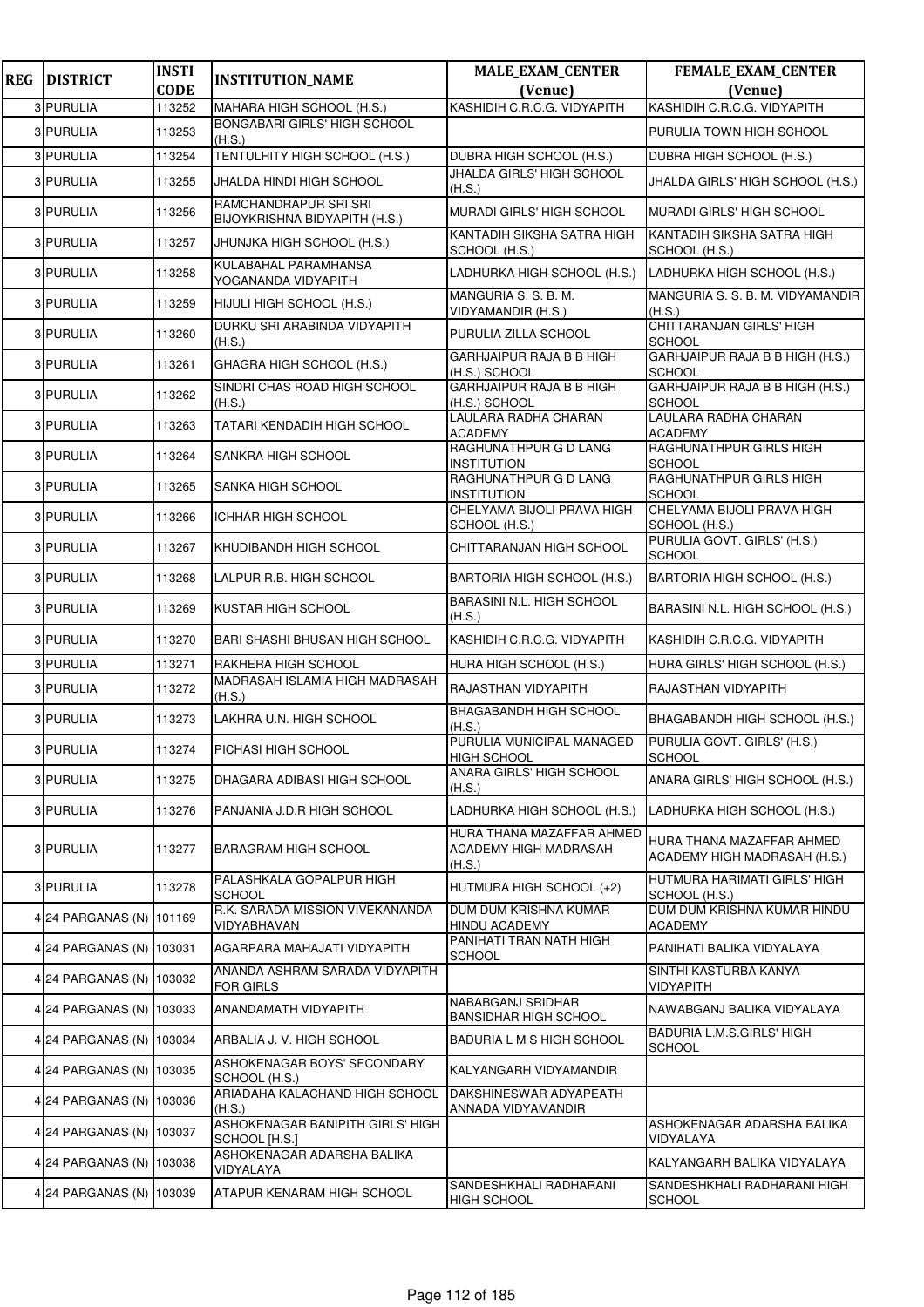| <b>REG</b> | <b>DISTRICT</b>          | <b>INSTI</b>          | <b>INSTITUTION_NAME</b>                            | <b>MALE_EXAM_CENTER</b>                                      | <b>FEMALE_EXAM_CENTER</b>                                 |
|------------|--------------------------|-----------------------|----------------------------------------------------|--------------------------------------------------------------|-----------------------------------------------------------|
|            | 3 PURULIA                | <b>CODE</b><br>113252 | MAHARA HIGH SCHOOL (H.S.)                          | (Venue)<br>KASHIDIH C.R.C.G. VIDYAPITH                       | (Venue)<br>KASHIDIH C.R.C.G. VIDYAPITH                    |
|            | 3 PURULIA                | 113253                | BONGABARI GIRLS' HIGH SCHOOL                       |                                                              | PURULIA TOWN HIGH SCHOOL                                  |
|            | 3 PURULIA                | 113254                | (H.S.)<br>TENTULHITY HIGH SCHOOL (H.S.)            | DUBRA HIGH SCHOOL (H.S.)                                     | DUBRA HIGH SCHOOL (H.S.)                                  |
|            | 3 PURULIA                | 113255                | JHALDA HINDI HIGH SCHOOL                           | JHALDA GIRLS' HIGH SCHOOL                                    | JHALDA GIRLS' HIGH SCHOOL (H.S.)                          |
|            |                          |                       | RAMCHANDRAPUR SRI SRI                              | (H.S.)                                                       |                                                           |
|            | 3 PURULIA                | 113256                | BIJOYKRISHNA BIDYAPITH (H.S.)                      | <b>MURADI GIRLS' HIGH SCHOOL</b>                             | <b>MURADI GIRLS' HIGH SCHOOL</b>                          |
|            | 3 PURULIA                | 113257                | JHUNJKA HIGH SCHOOL (H.S.)                         | KANTADIH SIKSHA SATRA HIGH<br>SCHOOL (H.S.)                  | KANTADIH SIKSHA SATRA HIGH<br>SCHOOL (H.S.)               |
|            | 3 PURULIA                | 113258                | KULABAHAL PARAMHANSA<br>YOGANANDA VIDYAPITH        | LADHURKA HIGH SCHOOL (H.S.)                                  | LADHURKA HIGH SCHOOL (H.S.)                               |
|            | 3 PURULIA                | 113259                | HIJULI HIGH SCHOOL (H.S.)                          | MANGURIA S. S. B. M.<br>VIDYAMANDIR (H.S.)                   | MANGURIA S. S. B. M. VIDYAMANDIR<br>(H.S.)                |
|            | 3 PURULIA                | 113260                | DURKU SRI ARABINDA VIDYAPITH<br>(H.S.)             | PURULIA ZILLA SCHOOL                                         | <b>CHITTARANJAN GIRLS' HIGH</b><br><b>SCHOOL</b>          |
|            | 3 PURULIA                | 113261                | GHAGRA HIGH SCHOOL (H.S.)                          | <b>GARHJAIPUR RAJA B B HIGH</b><br>(H.S.) SCHOOL             | GARHJAIPUR RAJA B B HIGH (H.S.)<br><b>SCHOOL</b>          |
|            | 3 PURULIA                | 113262                | SINDRI CHAS ROAD HIGH SCHOOL<br>(H.S.)             | <b>GARHJAIPUR RAJA B B HIGH</b><br>(H.S.) SCHOOL             | GARHJAIPUR RAJA B B HIGH (H.S.)<br><b>SCHOOL</b>          |
|            | 3 PURULIA                | 113263                | TATARI KENDADIH HIGH SCHOOL                        | LAULARA RADHA CHARAN<br><b>ACADEMY</b>                       | LAULARA RADHA CHARAN<br><b>ACADEMY</b>                    |
|            | 3 PURULIA                | 113264                | SANKRA HIGH SCHOOL                                 | RAGHUNATHPUR G D LANG<br><b>INSTITUTION</b>                  | RAGHUNATHPUR GIRLS HIGH<br><b>SCHOOL</b>                  |
|            | 3 PURULIA                | 113265                | SANKA HIGH SCHOOL                                  | RAGHUNATHPUR G D LANG<br><b>INSTITUTION</b>                  | RAGHUNATHPUR GIRLS HIGH<br><b>SCHOOL</b>                  |
|            | 3 PURULIA                | 113266                | <b>ICHHAR HIGH SCHOOL</b>                          | CHELYAMA BIJOLI PRAVA HIGH<br>SCHOOL (H.S.)                  | CHELYAMA BIJOLI PRAVA HIGH<br>SCHOOL (H.S.)               |
|            | 3 PURULIA                | 113267                | KHUDIBANDH HIGH SCHOOL                             | CHITTARANJAN HIGH SCHOOL                                     | PURULIA GOVT. GIRLS' (H.S.)<br><b>SCHOOL</b>              |
|            | 3 PURULIA                | 113268                | LALPUR R.B. HIGH SCHOOL                            | BARTORIA HIGH SCHOOL (H.S.)                                  | BARTORIA HIGH SCHOOL (H.S.)                               |
|            | 3 PURULIA                | 113269                | KUSTAR HIGH SCHOOL                                 | BARASINI N.L. HIGH SCHOOL<br>(H.S.)                          | BARASINI N.L. HIGH SCHOOL (H.S.)                          |
|            | 3 PURULIA                | 113270                | <b>BARI SHASHI BHUSAN HIGH SCHOOL</b>              | KASHIDIH C.R.C.G. VIDYAPITH                                  | KASHIDIH C.R.C.G. VIDYAPITH                               |
|            | 3 PURULIA                | 113271                | RAKHERA HIGH SCHOOL                                | HURA HIGH SCHOOL (H.S.)                                      | HURA GIRLS' HIGH SCHOOL (H.S.)                            |
|            | 3 PURULIA                | 113272                | MADRASAH ISLAMIA HIGH MADRASAH<br>(H.S.)           | RAJASTHAN VIDYAPITH                                          | RAJASTHAN VIDYAPITH                                       |
|            | 3 PURULIA                | 113273                | LAKHRA U.N. HIGH SCHOOL                            | BHAGABANDH HIGH SCHOOL<br>(H.S.)                             | BHAGABANDH HIGH SCHOOL (H.S.)                             |
|            | 3 PURULIA                | 113274                | <b>PICHASI HIGH SCHOOL</b>                         | PURULIA MUNICIPAL MANAGED<br><b>HIGH SCHOOL</b>              | PURULIA GOVT. GIRLS' (H.S.)<br><b>SCHOOL</b>              |
|            | 3 PURULIA                | 113275                | DHAGARA ADIBASI HIGH SCHOOL                        | ANARA GIRLS' HIGH SCHOOL<br>(H.S.)                           | ANARA GIRLS' HIGH SCHOOL (H.S.)                           |
|            | 3 PURULIA                | 113276                | PANJANIA J.D.R HIGH SCHOOL                         | LADHURKA HIGH SCHOOL (H.S.)                                  | LADHURKA HIGH SCHOOL (H.S.)                               |
|            | 3 PURULIA                | 113277                | <b>BARAGRAM HIGH SCHOOL</b>                        | HURA THANA MAZAFFAR AHMED<br>ACADEMY HIGH MADRASAH<br>(H.S.) | HURA THANA MAZAFFAR AHMED<br>ACADEMY HIGH MADRASAH (H.S.) |
|            | 3 PURULIA                | 113278                | PALASHKALA GOPALPUR HIGH<br><b>SCHOOL</b>          | HUTMURA HIGH SCHOOL (+2)                                     | HUTMURA HARIMATI GIRLS' HIGH<br>SCHOOL (H.S.)             |
|            | 4 24 PARGANAS (N) 101169 |                       | R.K. SARADA MISSION VIVEKANANDA<br>VIDYABHAVAN     | DUM DUM KRISHNA KUMAR<br><b>HINDU ACADEMY</b>                | DUM DUM KRISHNA KUMAR HINDU<br><b>ACADEMY</b>             |
|            | 4 24 PARGANAS (N) 103031 |                       | AGARPARA MAHAJATI VIDYAPITH                        | PANIHATI TRAN NATH HIGH<br><b>SCHOOL</b>                     | PANIHATI BALIKA VIDYALAYA                                 |
|            | 4 24 PARGANAS (N) 103032 |                       | ANANDA ASHRAM SARADA VIDYAPITH<br><b>FOR GIRLS</b> |                                                              | SINTHI KASTURBA KANYA<br><b>VIDYAPITH</b>                 |
|            | 4 24 PARGANAS (N) 103033 |                       | ANANDAMATH VIDYAPITH                               | NABABGANJ SRIDHAR<br><b>BANSIDHAR HIGH SCHOOL</b>            | NAWABGANJ BALIKA VIDYALAYA                                |
|            | 4 24 PARGANAS (N) 103034 |                       | ARBALIA J. V. HIGH SCHOOL                          | BADURIA L M S HIGH SCHOOL                                    | BADURIA L.M.S.GIRLS' HIGH<br><b>SCHOOL</b>                |
|            | 4 24 PARGANAS (N) 103035 |                       | ASHOKENAGAR BOYS' SECONDARY<br>SCHOOL (H.S.)       | KALYANGARH VIDYAMANDIR                                       |                                                           |
|            | 4 24 PARGANAS (N) 103036 |                       | ARIADAHA KALACHAND HIGH SCHOOL<br>(H.S.)           | DAKSHINESWAR ADYAPEATH<br>ANNADA VIDYAMANDIR                 |                                                           |
|            | 4 24 PARGANAS (N) 103037 |                       | ASHOKENAGAR BANIPITH GIRLS' HIGH<br>SCHOOL [H.S.]  |                                                              | ASHOKENAGAR ADARSHA BALIKA<br>VIDYALAYA                   |
|            | 4 24 PARGANAS (N) 103038 |                       | ASHOKENAGAR ADARSHA BALIKA<br>VIDYALAYA            |                                                              | KALYANGARH BALIKA VIDYALAYA                               |
|            | 4 24 PARGANAS (N) 103039 |                       | ATAPUR KENARAM HIGH SCHOOL                         | SANDESHKHALI RADHARANI<br><b>HIGH SCHOOL</b>                 | SANDESHKHALI RADHARANI HIGH<br><b>SCHOOL</b>              |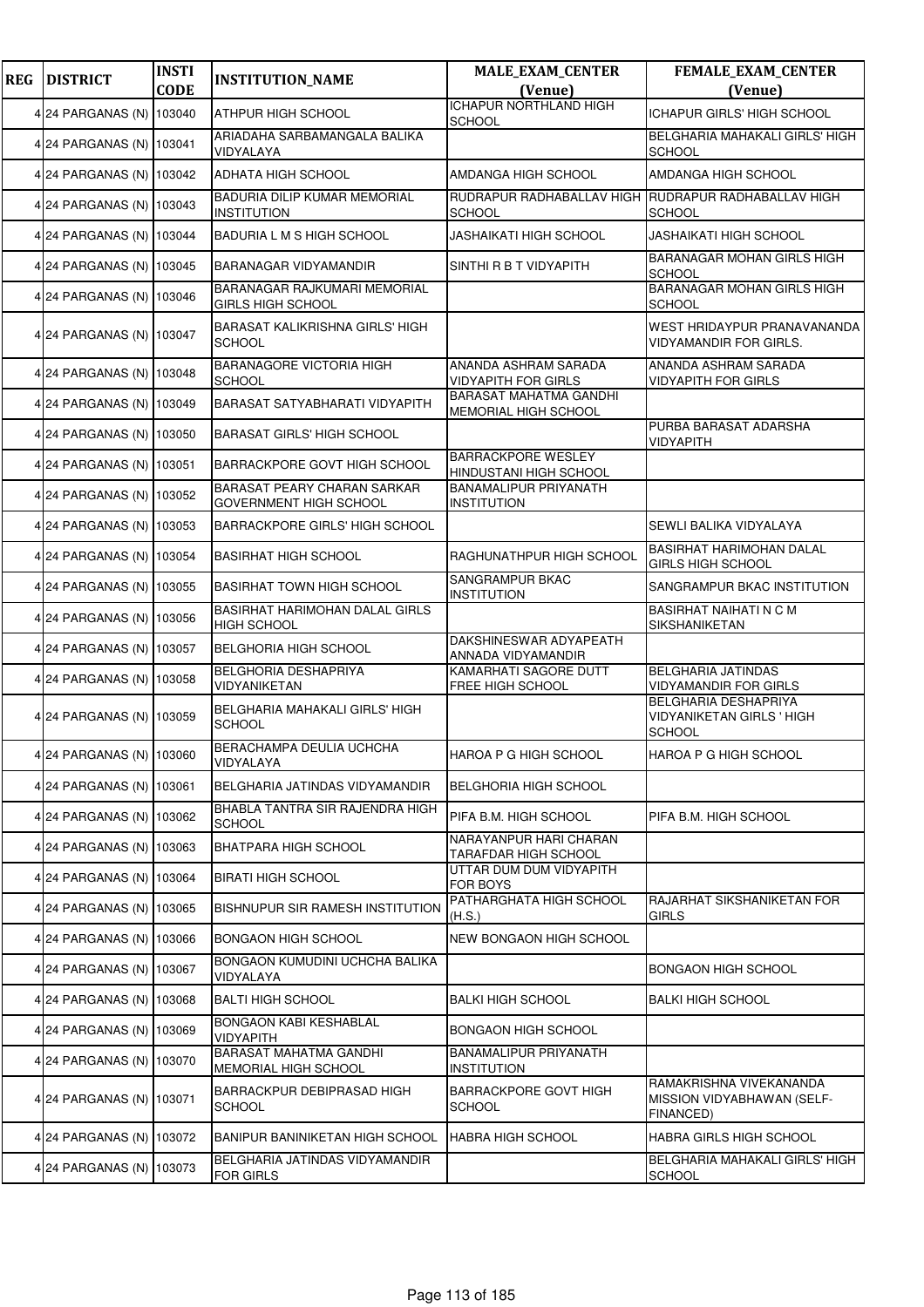| <b>REG</b> | <b>DISTRICT</b>          | <b>INSTI</b><br><b>CODE</b> | <b>INSTITUTION_NAME</b>                                      | <b>MALE_EXAM_CENTER</b><br>(Venue)                  | FEMALE_EXAM_CENTER<br>(Venue)                                             |
|------------|--------------------------|-----------------------------|--------------------------------------------------------------|-----------------------------------------------------|---------------------------------------------------------------------------|
|            | 4 24 PARGANAS (N)        | 103040                      | ATHPUR HIGH SCHOOL                                           | <b>ICHAPUR NORTHLAND HIGH</b>                       | <b>ICHAPUR GIRLS' HIGH SCHOOL</b>                                         |
|            | 4 24 PARGANAS (N) 103041 |                             | ARIADAHA SARBAMANGALA BALIKA<br>VIDYALAYA                    | <b>SCHOOL</b>                                       | BELGHARIA MAHAKALI GIRLS' HIGH<br><b>SCHOOL</b>                           |
|            | 4 24 PARGANAS (N)        | 103042                      | ADHATA HIGH SCHOOL                                           | AMDANGA HIGH SCHOOL                                 | AMDANGA HIGH SCHOOL                                                       |
|            | 4 24 PARGANAS (N)        | 103043                      | BADURIA DILIP KUMAR MEMORIAL<br><b>INSTITUTION</b>           | <b>SCHOOL</b>                                       | RUDRAPUR RADHABALLAV HIGH RUDRAPUR RADHABALLAV HIGH<br><b>SCHOOL</b>      |
|            | 4 24 PARGANAS (N) 103044 |                             | BADURIA L M S HIGH SCHOOL                                    | JASHAIKATI HIGH SCHOOL                              | JASHAIKATI HIGH SCHOOL                                                    |
|            | 4 24 PARGANAS (N) 103045 |                             | BARANAGAR VIDYAMANDIR                                        | SINTHI R B T VIDYAPITH                              | BARANAGAR MOHAN GIRLS HIGH<br><b>SCHOOL</b>                               |
|            | 4 24 PARGANAS (N)        | 103046                      | BARANAGAR RAJKUMARI MEMORIAL<br><b>GIRLS HIGH SCHOOL</b>     |                                                     | <b>BARANAGAR MOHAN GIRLS HIGH</b><br><b>SCHOOL</b>                        |
|            | 4 24 PARGANAS (N) 103047 |                             | <b>BARASAT KALIKRISHNA GIRLS' HIGH</b><br><b>SCHOOL</b>      |                                                     | WEST HRIDAYPUR PRANAVANANDA<br>VIDYAMANDIR FOR GIRLS.                     |
|            | 4 24 PARGANAS (N)        | 103048                      | <b>BARANAGORE VICTORIA HIGH</b><br><b>SCHOOL</b>             | ANANDA ASHRAM SARADA<br><b>VIDYAPITH FOR GIRLS</b>  | ANANDA ASHRAM SARADA<br><b>VIDYAPITH FOR GIRLS</b>                        |
|            | 4 24 PARGANAS (N) 103049 |                             | BARASAT SATYABHARATI VIDYAPITH                               | BARASAT MAHATMA GANDHI<br>MEMORIAL HIGH SCHOOL      |                                                                           |
|            | 4 24 PARGANAS (N)        | 103050                      | <b>BARASAT GIRLS' HIGH SCHOOL</b>                            |                                                     | PURBA BARASAT ADARSHA<br>VIDYAPITH                                        |
|            | 4 24 PARGANAS (N)        | 103051                      | BARRACKPORE GOVT HIGH SCHOOL                                 | <b>BARRACKPORE WESLEY</b><br>HINDUSTANI HIGH SCHOOL |                                                                           |
|            | 4 24 PARGANAS (N)        | 103052                      | <b>BARASAT PEARY CHARAN SARKAR</b><br>GOVERNMENT HIGH SCHOOL | BANAMALIPUR PRIYANATH<br><b>INSTITUTION</b>         |                                                                           |
|            | 4 24 PARGANAS (N)        | 103053                      | <b>BARRACKPORE GIRLS' HIGH SCHOOL</b>                        |                                                     | SEWLI BALIKA VIDYALAYA                                                    |
|            | 4 24 PARGANAS (N)        | 103054                      | <b>BASIRHAT HIGH SCHOOL</b>                                  | RAGHUNATHPUR HIGH SCHOOL                            | <b>BASIRHAT HARIMOHAN DALAL</b><br><b>GIRLS HIGH SCHOOL</b>               |
|            | 4 24 PARGANAS (N)        | 103055                      | <b>BASIRHAT TOWN HIGH SCHOOL</b>                             | <b>SANGRAMPUR BKAC</b><br><b>INSTITUTION</b>        | SANGRAMPUR BKAC INSTITUTION                                               |
|            | 4 24 PARGANAS (N)        | 103056                      | BASIRHAT HARIMOHAN DALAL GIRLS<br><b>HIGH SCHOOL</b>         |                                                     | <b>BASIRHAT NAIHATI N C M</b><br>SIKSHANIKETAN                            |
|            | 4 24 PARGANAS (N) 103057 |                             | <b>BELGHORIA HIGH SCHOOL</b>                                 | DAKSHINESWAR ADYAPEATH<br>ANNADA VIDYAMANDIR        |                                                                           |
|            | 4 24 PARGANAS (N)        | 103058                      | BELGHORIA DESHAPRIYA<br>VIDYANIKETAN                         | KAMARHATI SAGORE DUTT<br>FREE HIGH SCHOOL           | BELGHARIA JATINDAS<br><b>VIDYAMANDIR FOR GIRLS</b>                        |
|            | 4 24 PARGANAS (N)        | 103059                      | <b>BELGHARIA MAHAKALI GIRLS' HIGH</b><br><b>SCHOOL</b>       |                                                     | BELGHARIA DESHAPRIYA<br><b>VIDYANIKETAN GIRLS ' HIGH</b><br><b>SCHOOL</b> |
|            | 4 24 PARGANAS (N) 103060 |                             | BERACHAMPA DEULIA UCHCHA<br>VIDYALAYA                        | HAROA P G HIGH SCHOOL                               | HAROA P G HIGH SCHOOL                                                     |
|            | 4 24 PARGANAS (N) 103061 |                             | BELGHARIA JATINDAS VIDYAMANDIR                               | BELGHORIA HIGH SCHOOL                               |                                                                           |
|            | 4 24 PARGANAS (N)        | 103062                      | BHABLA TANTRA SIR RAJENDRA HIGH<br><b>SCHOOL</b>             | PIFA B.M. HIGH SCHOOL                               | PIFA B.M. HIGH SCHOOL                                                     |
|            | 4 24 PARGANAS (N)        | 103063                      | <b>BHATPARA HIGH SCHOOL</b>                                  | NARAYANPUR HARI CHARAN<br>TARAFDAR HIGH SCHOOL      |                                                                           |
|            | 4 24 PARGANAS (N)        | 103064                      | <b>BIRATI HIGH SCHOOL</b>                                    | UTTAR DUM DUM VIDYAPITH<br>FOR BOYS                 |                                                                           |
|            | 4 24 PARGANAS (N) 103065 |                             | <b>BISHNUPUR SIR RAMESH INSTITUTION</b>                      | PATHARGHATA HIGH SCHOOL<br>(H.S.)                   | RAJARHAT SIKSHANIKETAN FOR<br><b>GIRLS</b>                                |
|            | 4 24 PARGANAS (N)        | 103066                      | BONGAON HIGH SCHOOL                                          | NEW BONGAON HIGH SCHOOL                             |                                                                           |
|            | 4 24 PARGANAS (N)        | 103067                      | BONGAON KUMUDINI UCHCHA BALIKA<br>VIDYALAYA                  |                                                     | <b>BONGAON HIGH SCHOOL</b>                                                |
|            | 4 24 PARGANAS (N) 103068 |                             | <b>BALTI HIGH SCHOOL</b>                                     | <b>BALKI HIGH SCHOOL</b>                            | <b>BALKI HIGH SCHOOL</b>                                                  |
|            | 4 24 PARGANAS (N)        | 103069                      | BONGAON KABI KESHABLAL<br>VIDYAPITH                          | BONGAON HIGH SCHOOL                                 |                                                                           |
|            | 4 24 PARGANAS (N)        | 103070                      | <b>BARASAT MAHATMA GANDHI</b><br>MEMORIAL HIGH SCHOOL        | <b>BANAMALIPUR PRIYANATH</b><br><b>INSTITUTION</b>  |                                                                           |
|            | 4 24 PARGANAS (N)        | 103071                      | <b>BARRACKPUR DEBIPRASAD HIGH</b><br><b>SCHOOL</b>           | <b>BARRACKPORE GOVT HIGH</b><br><b>SCHOOL</b>       | RAMAKRISHNA VIVEKANANDA<br>MISSION VIDYABHAWAN (SELF-<br>FINANCED)        |
|            | 4 24 PARGANAS (N) 103072 |                             | BANIPUR BANINIKETAN HIGH SCHOOL                              | <b>HABRA HIGH SCHOOL</b>                            | HABRA GIRLS HIGH SCHOOL                                                   |
|            | 4 24 PARGANAS (N) 103073 |                             | BELGHARIA JATINDAS VIDYAMANDIR<br><b>FOR GIRLS</b>           |                                                     | BELGHARIA MAHAKALI GIRLS' HIGH<br><b>SCHOOL</b>                           |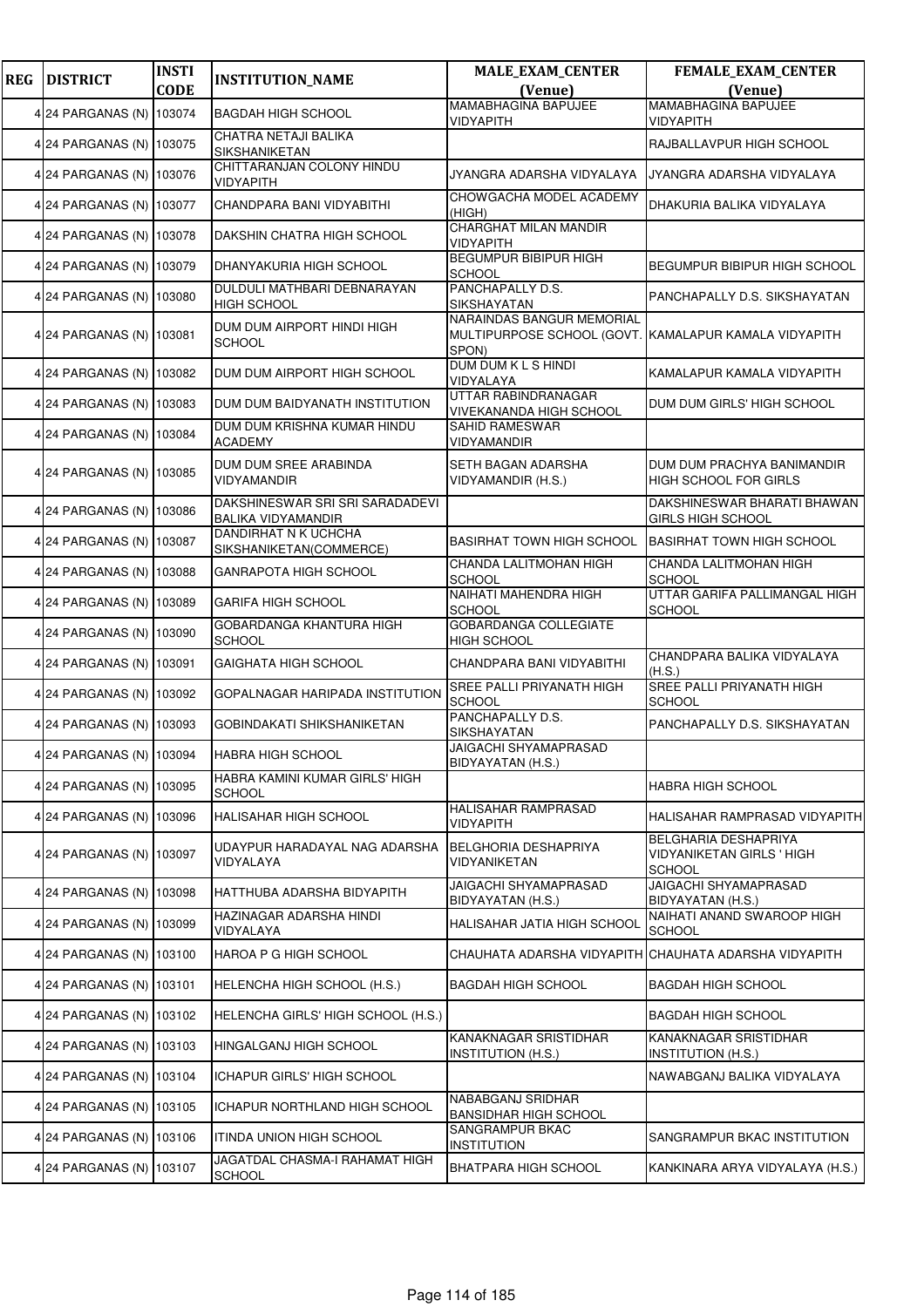| <b>REG</b> | <b>DISTRICT</b>          | <b>INSTI</b><br><b>CODE</b> | <b>INSTITUTION_NAME</b>                                      | <b>MALE_EXAM_CENTER</b><br>(Venue)                                                          | <b>FEMALE_EXAM_CENTER</b><br>(Venue)                               |
|------------|--------------------------|-----------------------------|--------------------------------------------------------------|---------------------------------------------------------------------------------------------|--------------------------------------------------------------------|
|            |                          |                             |                                                              | <b>MAMABHAGINA BAPUJEE</b>                                                                  | <b>MAMABHAGINA BAPUJEE</b>                                         |
|            | 4 24 PARGANAS (N) 103074 |                             | <b>BAGDAH HIGH SCHOOL</b>                                    | VIDYAPITH                                                                                   | VIDYAPITH                                                          |
|            | 4 24 PARGANAS (N) 103075 |                             | CHATRA NETAJI BALIKA<br>SIKSHANIKETAN                        |                                                                                             | RAJBALLAVPUR HIGH SCHOOL                                           |
|            | 4 24 PARGANAS (N) 103076 |                             | CHITTARANJAN COLONY HINDU<br>VIDYAPITH                       | JYANGRA ADARSHA VIDYALAYA                                                                   | JYANGRA ADARSHA VIDYALAYA                                          |
|            | 4 24 PARGANAS (N) 103077 |                             | CHANDPARA BANI VIDYABITHI                                    | CHOWGACHA MODEL ACADEMY<br>(HIGH)                                                           | DHAKURIA BALIKA VIDYALAYA                                          |
|            | 4 24 PARGANAS (N) 103078 |                             | DAKSHIN CHATRA HIGH SCHOOL                                   | CHARGHAT MILAN MANDIR<br>VIDYAPITH                                                          |                                                                    |
|            | 4 24 PARGANAS (N) 103079 |                             | DHANYAKURIA HIGH SCHOOL                                      | <b>BEGUMPUR BIBIPUR HIGH</b><br>SCHOOL                                                      | BEGUMPUR BIBIPUR HIGH SCHOOL                                       |
|            | 4 24 PARGANAS (N) 103080 |                             | DULDULI MATHBARI DEBNARAYAN<br><b>HIGH SCHOOL</b>            | PANCHAPALLY D.S.<br>SIKSHAYATAN                                                             | PANCHAPALLY D.S. SIKSHAYATAN                                       |
|            | 4 24 PARGANAS (N) 103081 |                             | DUM DUM AIRPORT HINDI HIGH<br><b>SCHOOL</b>                  | NARAINDAS BANGUR MEMORIAL<br>MULTIPURPOSE SCHOOL (GOVT. KAMALAPUR KAMALA VIDYAPITH<br>SPON) |                                                                    |
|            | 4 24 PARGANAS (N) 103082 |                             | DUM DUM AIRPORT HIGH SCHOOL                                  | DUM DUM K L S HINDI<br>VIDYALAYA                                                            | KAMALAPUR KAMALA VIDYAPITH                                         |
|            | 4 24 PARGANAS (N) 103083 |                             | DUM DUM BAIDYANATH INSTITUTION                               | UTTAR RABINDRANAGAR<br><b>VIVEKANANDA HIGH SCHOOL</b>                                       | DUM DUM GIRLS' HIGH SCHOOL                                         |
|            | 4 24 PARGANAS (N) 103084 |                             | DUM DUM KRISHNA KUMAR HINDU<br><b>ACADEMY</b>                | SAHID RAMESWAR<br>VIDYAMANDIR                                                               |                                                                    |
|            | 4 24 PARGANAS (N) 103085 |                             | DUM DUM SREE ARABINDA<br>VIDYAMANDIR                         | SETH BAGAN ADARSHA<br>VIDYAMANDIR (H.S.)                                                    | DUM DUM PRACHYA BANIMANDIR<br>HIGH SCHOOL FOR GIRLS                |
|            | 4 24 PARGANAS (N) 103086 |                             | DAKSHINESWAR SRI SRI SARADADEVI<br><b>BALIKA VIDYAMANDIR</b> |                                                                                             | DAKSHINESWAR BHARATI BHAWAN<br>GIRLS HIGH SCHOOL                   |
|            | 4 24 PARGANAS (N) 103087 |                             | DANDIRHAT N K UCHCHA<br>SIKSHANIKETAN(COMMERCE)              | BASIRHAT TOWN HIGH SCHOOL                                                                   | <b>BASIRHAT TOWN HIGH SCHOOL</b>                                   |
|            | 4 24 PARGANAS (N) 103088 |                             | GANRAPOTA HIGH SCHOOL                                        | CHANDA LALITMOHAN HIGH<br>SCHOOL                                                            | CHANDA LALITMOHAN HIGH<br><b>SCHOOL</b>                            |
|            | 4 24 PARGANAS (N) 103089 |                             | <b>GARIFA HIGH SCHOOL</b>                                    | NAIHATI MAHENDRA HIGH<br>SCHOOL                                                             | UTTAR GARIFA PALLIMANGAL HIGH<br><b>SCHOOL</b>                     |
|            | 4 24 PARGANAS (N) 103090 |                             | GOBARDANGA KHANTURA HIGH<br><b>SCHOOL</b>                    | <b>GOBARDANGA COLLEGIATE</b><br>HIGH SCHOOL                                                 |                                                                    |
|            | 4 24 PARGANAS (N) 103091 |                             | <b>GAIGHATA HIGH SCHOOL</b>                                  | CHANDPARA BANI VIDYABITHI                                                                   | CHANDPARA BALIKA VIDYALAYA<br>(H.S.)                               |
|            | 4 24 PARGANAS (N) 103092 |                             | GOPALNAGAR HARIPADA INSTITUTION                              | SREE PALLI PRIYANATH HIGH<br><b>SCHOOL</b>                                                  | SREE PALLI PRIYANATH HIGH<br><b>SCHOOL</b>                         |
|            | 4 24 PARGANAS (N) 103093 |                             | GOBINDAKATI SHIKSHANIKETAN                                   | PANCHAPALLY D.S.<br>SIKSHAYATAN                                                             | PANCHAPALLY D.S. SIKSHAYATAN                                       |
|            | 4 24 PARGANAS (N) 103094 |                             | HABRA HIGH SCHOOL                                            | JAIGACHI SHYAMAPRASAD<br>BIDYAYATAN (H.S.)                                                  |                                                                    |
|            | 4 24 PARGANAS (N) 103095 |                             | HABRA KAMINI KUMAR GIRLS' HIGH<br><b>SCHOOL</b>              |                                                                                             | HABRA HIGH SCHOOL                                                  |
|            | 4 24 PARGANAS (N) 103096 |                             | HALISAHAR HIGH SCHOOL                                        | HALISAHAR RAMPRASAD<br>VIDYAPITH                                                            | HALISAHAR RAMPRASAD VIDYAPITH                                      |
|            | 4 24 PARGANAS (N) 103097 |                             | UDAYPUR HARADAYAL NAG ADARSHA<br>VIDYALAYA                   | <b>BELGHORIA DESHAPRIYA</b><br>VIDYANIKETAN                                                 | BELGHARIA DESHAPRIYA<br>VIDYANIKETAN GIRLS ' HIGH<br><b>SCHOOL</b> |
|            | 4 24 PARGANAS (N) 103098 |                             | HATTHUBA ADARSHA BIDYAPITH                                   | JAIGACHI SHYAMAPRASAD<br>BIDYAYATAN (H.S.)                                                  | JAIGACHI SHYAMAPRASAD<br>BIDYAYATAN (H.S.)                         |
|            | 4 24 PARGANAS (N) 103099 |                             | HAZINAGAR ADARSHA HINDI<br><b>VIDYALAYA</b>                  | HALISAHAR JATIA HIGH SCHOOL                                                                 | NAIHATI ANAND SWAROOP HIGH<br><b>SCHOOL</b>                        |
|            | 4 24 PARGANAS (N) 103100 |                             | HAROA P G HIGH SCHOOL                                        |                                                                                             | CHAUHATA ADARSHA VIDYAPITH CHAUHATA ADARSHA VIDYAPITH              |
|            | 4 24 PARGANAS (N) 103101 |                             | HELENCHA HIGH SCHOOL (H.S.)                                  | BAGDAH HIGH SCHOOL                                                                          | BAGDAH HIGH SCHOOL                                                 |
|            | 4 24 PARGANAS (N) 103102 |                             | HELENCHA GIRLS' HIGH SCHOOL (H.S.)                           |                                                                                             | <b>BAGDAH HIGH SCHOOL</b>                                          |
|            | 4 24 PARGANAS (N) 103103 |                             | HINGALGANJ HIGH SCHOOL                                       | KANAKNAGAR SRISTIDHAR<br><b>INSTITUTION (H.S.)</b>                                          | KANAKNAGAR SRISTIDHAR<br><b>INSTITUTION (H.S.)</b>                 |
|            | 4 24 PARGANAS (N) 103104 |                             | ICHAPUR GIRLS' HIGH SCHOOL                                   |                                                                                             | NAWABGANJ BALIKA VIDYALAYA                                         |
|            | 4 24 PARGANAS (N) 103105 |                             | ICHAPUR NORTHLAND HIGH SCHOOL                                | NABABGANJ SRIDHAR<br><b>BANSIDHAR HIGH SCHOOL</b>                                           |                                                                    |
|            | 4 24 PARGANAS (N) 103106 |                             | ITINDA UNION HIGH SCHOOL                                     | SANGRAMPUR BKAC<br><b>INSTITUTION</b>                                                       | SANGRAMPUR BKAC INSTITUTION                                        |
|            | 4 24 PARGANAS (N) 103107 |                             | JAGATDAL CHASMA-I RAHAMAT HIGH<br><b>SCHOOL</b>              | BHATPARA HIGH SCHOOL                                                                        | KANKINARA ARYA VIDYALAYA (H.S.)                                    |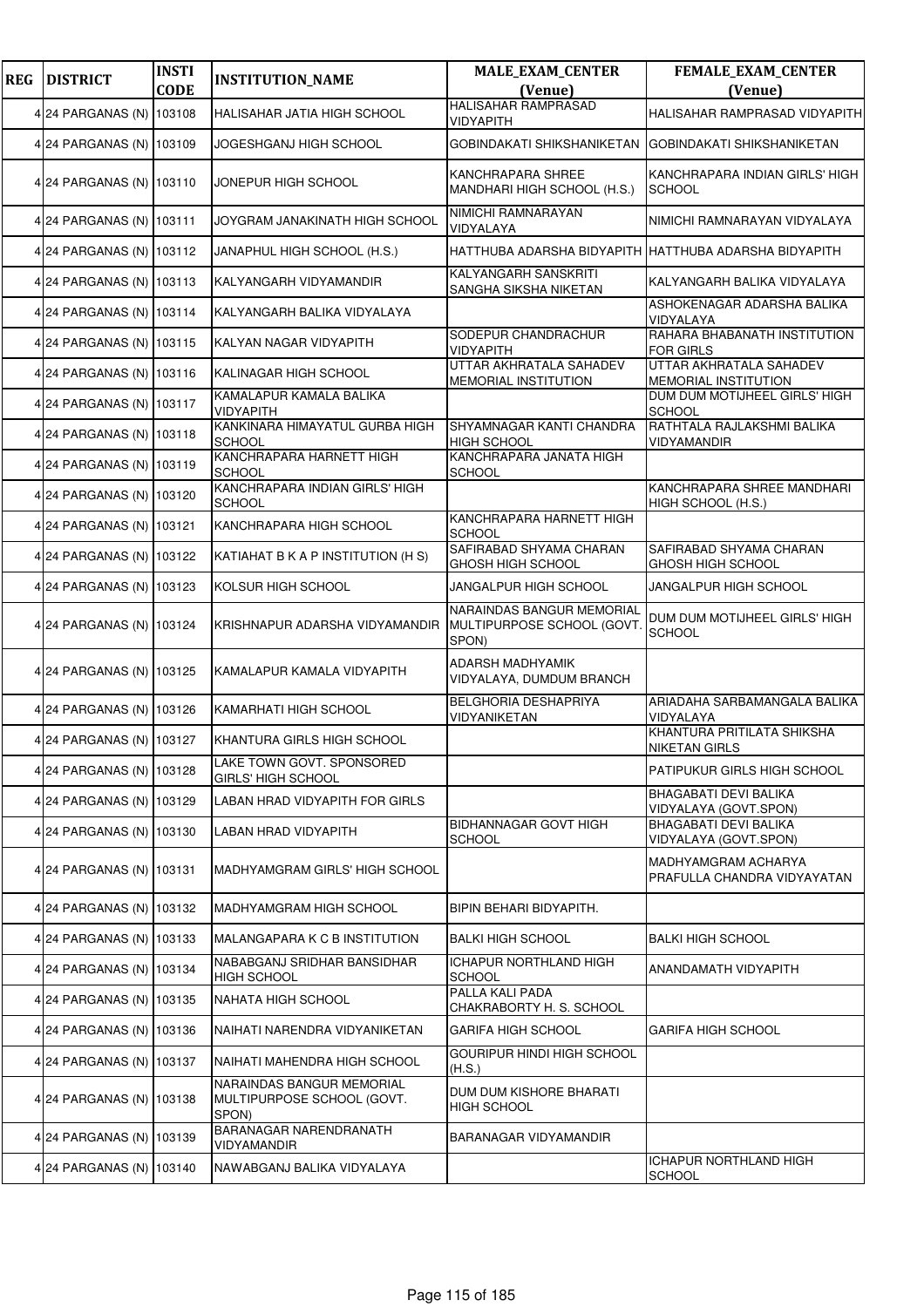| <b>REG</b> | <b>DISTRICT</b>          | <b>INSTI</b><br><b>CODE</b> | <b>INSTITUTION_NAME</b>                                          | <b>MALE_EXAM_CENTER</b><br>(Venue)                              | <b>FEMALE_EXAM_CENTER</b><br>(Venue)                  |
|------------|--------------------------|-----------------------------|------------------------------------------------------------------|-----------------------------------------------------------------|-------------------------------------------------------|
|            | 4 24 PARGANAS (N) 103108 |                             | HALISAHAR JATIA HIGH SCHOOL                                      | <b>HALISAHAR RAMPRASAD</b><br>VIDYAPITH                         | HALISAHAR RAMPRASAD VIDYAPITH                         |
|            | 4 24 PARGANAS (N) 103109 |                             | JOGESHGANJ HIGH SCHOOL                                           | GOBINDAKATI SHIKSHANIKETAN                                      | GOBINDAKATI SHIKSHANIKETAN                            |
|            | 4 24 PARGANAS (N) 103110 |                             | JONEPUR HIGH SCHOOL                                              | KANCHRAPARA SHREE<br>MANDHARI HIGH SCHOOL (H.S.)                | KANCHRAPARA INDIAN GIRLS' HIGH<br><b>SCHOOL</b>       |
|            | 4 24 PARGANAS (N) 103111 |                             | JOYGRAM JANAKINATH HIGH SCHOOL                                   | NIMICHI RAMNARAYAN<br>VIDYALAYA                                 | NIMICHI RAMNARAYAN VIDYALAYA                          |
|            | 4 24 PARGANAS (N) 103112 |                             | JANAPHUL HIGH SCHOOL (H.S.)                                      |                                                                 | HATTHUBA ADARSHA BIDYAPITH HATTHUBA ADARSHA BIDYAPITH |
|            | 4 24 PARGANAS (N) 103113 |                             | KALYANGARH VIDYAMANDIR                                           | KALYANGARH SANSKRITI<br>SANGHA SIKSHA NIKETAN                   | KALYANGARH BALIKA VIDYALAYA                           |
|            | 4 24 PARGANAS (N) 103114 |                             | KALYANGARH BALIKA VIDYALAYA                                      |                                                                 | ASHOKENAGAR ADARSHA BALIKA<br>VIDYALAYA               |
|            | 4 24 PARGANAS (N)        | 103115                      | KALYAN NAGAR VIDYAPITH                                           | SODEPUR CHANDRACHUR<br>VIDYAPITH                                | RAHARA BHABANATH INSTITUTION<br><b>FOR GIRLS</b>      |
|            | 4 24 PARGANAS (N) 103116 |                             | KALINAGAR HIGH SCHOOL                                            | UTTAR AKHRATALA SAHADEV<br>MEMORIAL INSTITUTION                 | UTTAR AKHRATALA SAHADEV<br>MEMORIAL INSTITUTION       |
|            | 4 24 PARGANAS (N) 103117 |                             | KAMALAPUR KAMALA BALIKA<br>VIDYAPITH                             |                                                                 | DUM DUM MOTIJHEEL GIRLS' HIGH<br><b>SCHOOL</b>        |
|            | 4 24 PARGANAS (N) 103118 |                             | KANKINARA HIMAYATUL GURBA HIGH<br><b>SCHOOL</b>                  | SHYAMNAGAR KANTI CHANDRA<br><b>HIGH SCHOOL</b>                  | RATHTALA RAJLAKSHMI BALIKA<br>VIDYAMANDIR             |
|            | 4 24 PARGANAS (N) 103119 |                             | KANCHRAPARA HARNETT HIGH<br><b>SCHOOL</b>                        | KANCHRAPARA JANATA HIGH<br><b>SCHOOL</b>                        |                                                       |
|            | 4 24 PARGANAS (N) 103120 |                             | KANCHRAPARA INDIAN GIRLS' HIGH<br><b>SCHOOL</b>                  |                                                                 | KANCHRAPARA SHREE MANDHARI<br>HIGH SCHOOL (H.S.)      |
|            | 4 24 PARGANAS (N) 103121 |                             | KANCHRAPARA HIGH SCHOOL                                          | KANCHRAPARA HARNETT HIGH<br><b>SCHOOL</b>                       |                                                       |
|            | 4 24 PARGANAS (N) 103122 |                             | KATIAHAT B K A P INSTITUTION (H S)                               | SAFIRABAD SHYAMA CHARAN<br>GHOSH HIGH SCHOOL                    | SAFIRABAD SHYAMA CHARAN<br>GHOSH HIGH SCHOOL          |
|            | 4 24 PARGANAS (N) 103123 |                             | KOLSUR HIGH SCHOOL                                               | JANGALPUR HIGH SCHOOL                                           | JANGALPUR HIGH SCHOOL                                 |
|            | 4 24 PARGANAS (N) 103124 |                             | KRISHNAPUR ADARSHA VIDYAMANDIR                                   | NARAINDAS BANGUR MEMORIAL<br>MULTIPURPOSE SCHOOL (GOVT<br>SPON) | DUM DUM MOTIJHEEL GIRLS' HIGH<br><b>SCHOOL</b>        |
|            | 4 24 PARGANAS (N) 103125 |                             | KAMALAPUR KAMALA VIDYAPITH                                       | ADARSH MADHYAMIK<br>VIDYALAYA, DUMDUM BRANCH                    |                                                       |
|            | 4 24 PARGANAS (N) 103126 |                             | KAMARHATI HIGH SCHOOL                                            | <b>BELGHORIA DESHAPRIYA</b><br>VIDYANIKETAN                     | ARIADAHA SARBAMANGALA BALIKA<br>VIDYALAYA             |
|            | 4 24 PARGANAS (N) 103127 |                             | KHANTURA GIRLS HIGH SCHOOL                                       |                                                                 | KHANTURA PRITILATA SHIKSHA<br><b>NIKETAN GIRLS</b>    |
|            | 4 24 PARGANAS (N) 103128 |                             | LAKE TOWN GOVT. SPONSORED<br><b>GIRLS' HIGH SCHOOL</b>           |                                                                 | PATIPUKUR GIRLS HIGH SCHOOL                           |
|            | 4 24 PARGANAS (N) 103129 |                             | LABAN HRAD VIDYAPITH FOR GIRLS                                   |                                                                 | <b>BHAGABATI DEVI BALIKA</b><br>VIDYALAYA (GOVT.SPON) |
|            | 4 24 PARGANAS (N) 103130 |                             | LABAN HRAD VIDYAPITH                                             | BIDHANNAGAR GOVT HIGH<br><b>SCHOOL</b>                          | BHAGABATI DEVI BALIKA<br>VIDYALAYA (GOVT.SPON)        |
|            | 4 24 PARGANAS (N) 103131 |                             | <b>MADHYAMGRAM GIRLS' HIGH SCHOOL</b>                            |                                                                 | MADHYAMGRAM ACHARYA<br>PRAFULLA CHANDRA VIDYAYATAN    |
|            | 4 24 PARGANAS (N) 103132 |                             | MADHYAMGRAM HIGH SCHOOL                                          | BIPIN BEHARI BIDYAPITH.                                         |                                                       |
|            | 4 24 PARGANAS (N) 103133 |                             | MALANGAPARA K C B INSTITUTION                                    | <b>BALKI HIGH SCHOOL</b>                                        | <b>BALKI HIGH SCHOOL</b>                              |
|            | 4 24 PARGANAS (N) 103134 |                             | NABABGANJ SRIDHAR BANSIDHAR<br><b>HIGH SCHOOL</b>                | <b>ICHAPUR NORTHLAND HIGH</b><br>SCHOOL                         | ANANDAMATH VIDYAPITH                                  |
|            | 4 24 PARGANAS (N) 103135 |                             | NAHATA HIGH SCHOOL                                               | PALLA KALI PADA<br>CHAKRABORTY H. S. SCHOOL                     |                                                       |
|            | 4 24 PARGANAS (N) 103136 |                             | NAIHATI NARENDRA VIDYANIKETAN                                    | GARIFA HIGH SCHOOL                                              | GARIFA HIGH SCHOOL                                    |
|            | 4 24 PARGANAS (N) 103137 |                             | NAIHATI MAHENDRA HIGH SCHOOL                                     | GOURIPUR HINDI HIGH SCHOOL<br>(H.S.)                            |                                                       |
|            | 4 24 PARGANAS (N) 103138 |                             | NARAINDAS BANGUR MEMORIAL<br>MULTIPURPOSE SCHOOL (GOVT.<br>SPON) | DUM DUM KISHORE BHARATI<br><b>HIGH SCHOOL</b>                   |                                                       |
|            | 4 24 PARGANAS (N) 103139 |                             | BARANAGAR NARENDRANATH<br>VIDYAMANDIR                            | BARANAGAR VIDYAMANDIR                                           |                                                       |
|            | 4 24 PARGANAS (N) 103140 |                             | NAWABGANJ BALIKA VIDYALAYA                                       |                                                                 | ICHAPUR NORTHLAND HIGH<br><b>SCHOOL</b>               |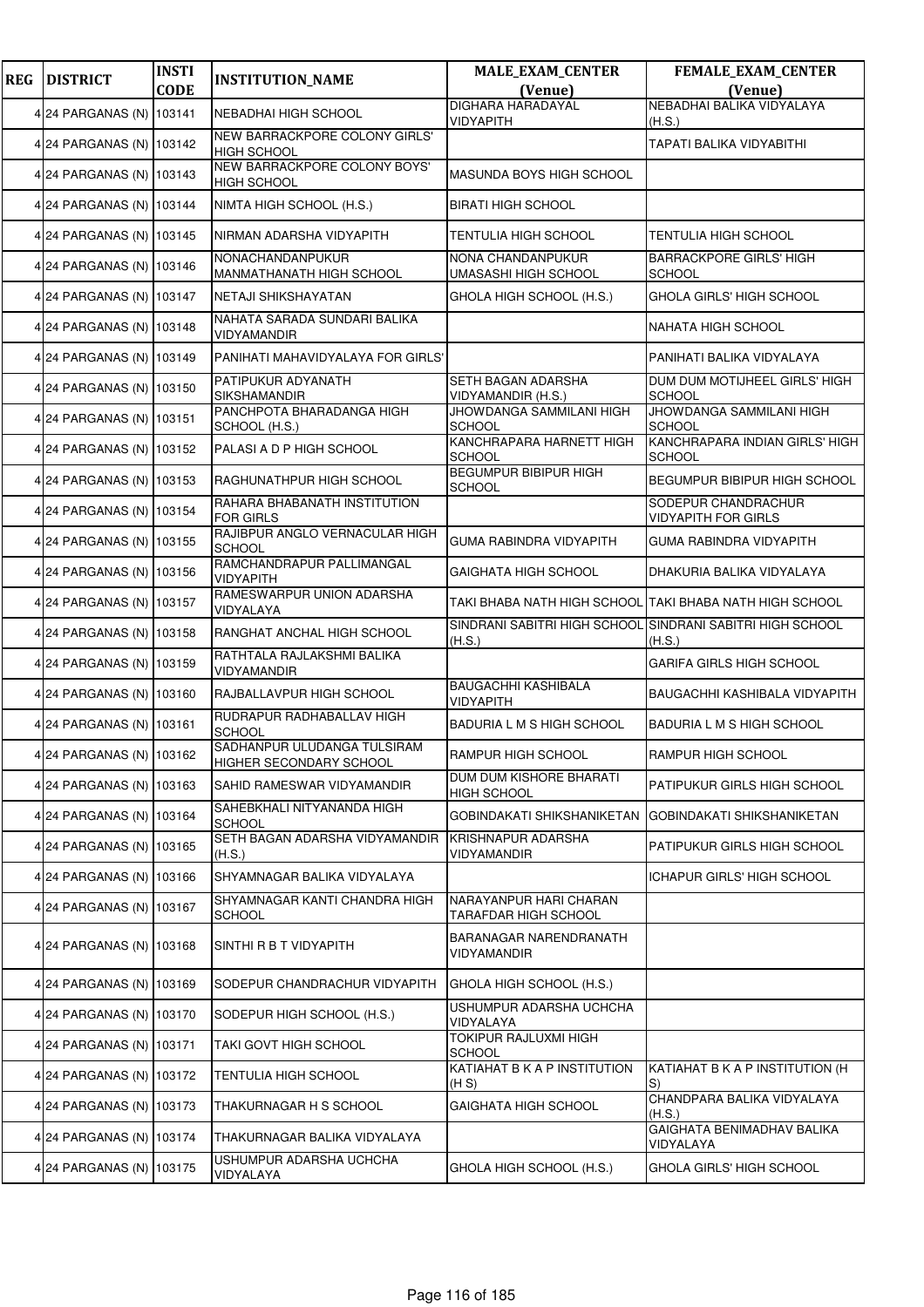| <b>REG</b> | <b>DISTRICT</b>          | <b>INSTI</b><br><b>CODE</b> | <b>INSTITUTION_NAME</b>                                | <b>MALE_EXAM_CENTER</b><br>(Venue)             | <b>FEMALE_EXAM_CENTER</b><br>(Venue)                                |
|------------|--------------------------|-----------------------------|--------------------------------------------------------|------------------------------------------------|---------------------------------------------------------------------|
|            | 4 24 PARGANAS (N)        | 103141                      | <b>NEBADHAI HIGH SCHOOL</b>                            | <b>DIGHARA HARADAYAL</b>                       | NEBADHAI BALIKA VIDYALAYA                                           |
|            |                          |                             | NEW BARRACKPORE COLONY GIRLS'                          | VIDYAPITH                                      | (H.S.)                                                              |
|            | 4 24 PARGANAS (N) 103142 |                             | <b>HIGH SCHOOL</b>                                     |                                                | TAPATI BALIKA VIDYABITHI                                            |
|            | 4 24 PARGANAS (N) 103143 |                             | NEW BARRACKPORE COLONY BOYS'<br><b>HIGH SCHOOL</b>     | MASUNDA BOYS HIGH SCHOOL                       |                                                                     |
|            | 4 24 PARGANAS (N)        | 103144                      | NIMTA HIGH SCHOOL (H.S.)                               | <b>BIRATI HIGH SCHOOL</b>                      |                                                                     |
|            | 4 24 PARGANAS (N) 103145 |                             | NIRMAN ADARSHA VIDYAPITH                               | <b>TENTULIA HIGH SCHOOL</b>                    | TENTULIA HIGH SCHOOL                                                |
|            | 4 24 PARGANAS (N) 103146 |                             | NONACHANDANPUKUR<br>MANMATHANATH HIGH SCHOOL           | NONA CHANDANPUKUR<br>UMASASHI HIGH SCHOOL      | <b>BARRACKPORE GIRLS' HIGH</b><br><b>SCHOOL</b>                     |
|            | 4 24 PARGANAS (N) 103147 |                             | NETAJI SHIKSHAYATAN                                    | GHOLA HIGH SCHOOL (H.S.)                       | GHOLA GIRLS' HIGH SCHOOL                                            |
|            | 4 24 PARGANAS (N)        | 103148                      | NAHATA SARADA SUNDARI BALIKA<br>VIDYAMANDIR            |                                                | NAHATA HIGH SCHOOL                                                  |
|            | 4 24 PARGANAS (N)        | 103149                      | PANIHATI MAHAVIDYALAYA FOR GIRLS'                      |                                                | PANIHATI BALIKA VIDYALAYA                                           |
|            | 4 24 PARGANAS (N) 103150 |                             | PATIPUKUR ADYANATH<br>SIKSHAMANDIR                     | SETH BAGAN ADARSHA<br>VIDYAMANDIR (H.S.)       | DUM DUM MOTIJHEEL GIRLS' HIGH<br><b>SCHOOL</b>                      |
|            | 4 24 PARGANAS (N)        | 103151                      | PANCHPOTA BHARADANGA HIGH<br>SCHOOL (H.S.)             | JHOWDANGA SAMMILANI HIGH<br><b>SCHOOL</b>      | JHOWDANGA SAMMILANI HIGH<br><b>SCHOOL</b>                           |
|            | 4 24 PARGANAS (N)        | 103152                      | PALASI A D P HIGH SCHOOL                               | KANCHRAPARA HARNETT HIGH<br><b>SCHOOL</b>      | KANCHRAPARA INDIAN GIRLS' HIGH<br><b>SCHOOL</b>                     |
|            | 4 24 PARGANAS (N) 103153 |                             | RAGHUNATHPUR HIGH SCHOOL                               | <b>BEGUMPUR BIBIPUR HIGH</b><br><b>SCHOOL</b>  | BEGUMPUR BIBIPUR HIGH SCHOOL                                        |
|            | 4 24 PARGANAS (N) 103154 |                             | RAHARA BHABANATH INSTITUTION<br><b>FOR GIRLS</b>       |                                                | SODEPUR CHANDRACHUR<br><b>VIDYAPITH FOR GIRLS</b>                   |
|            | 4 24 PARGANAS (N) 103155 |                             | RAJIBPUR ANGLO VERNACULAR HIGH<br><b>SCHOOL</b>        | <b>GUMA RABINDRA VIDYAPITH</b>                 | GUMA RABINDRA VIDYAPITH                                             |
|            | 4 24 PARGANAS (N) 103156 |                             | RAMCHANDRAPUR PALLIMANGAL<br>VIDYAPITH                 | GAIGHATA HIGH SCHOOL                           | DHAKURIA BALIKA VIDYALAYA                                           |
|            | 4 24 PARGANAS (N) 103157 |                             | RAMESWARPUR UNION ADARSHA<br>VIDYALAYA                 |                                                | TAKI BHABA NATH HIGH SCHOOL (TAKI BHABA NATH HIGH SCHOOL            |
|            | 4 24 PARGANAS (N)        | 103158                      | RANGHAT ANCHAL HIGH SCHOOL                             | (H.S.)                                         | SINDRANI SABITRI HIGH SCHOOL SINDRANI SABITRI HIGH SCHOOL<br>(H.S.) |
|            | 4 24 PARGANAS (N) 103159 |                             | RATHTALA RAJLAKSHMI BALIKA<br>VIDYAMANDIR              |                                                | <b>GARIFA GIRLS HIGH SCHOOL</b>                                     |
|            | 4 24 PARGANAS (N)        | 103160                      | RAJBALLAVPUR HIGH SCHOOL                               | <b>BAUGACHHI KASHIBALA</b><br><b>VIDYAPITH</b> | BAUGACHHI KASHIBALA VIDYAPITH                                       |
|            | 4 24 PARGANAS (N) 103161 |                             | RUDRAPUR RADHABALLAV HIGH<br><b>SCHOOL</b>             | BADURIA L M S HIGH SCHOOL                      | BADURIA L M S HIGH SCHOOL                                           |
|            | 4 24 PARGANAS (N) 103162 |                             | SADHANPUR ULUDANGA TULSIRAM<br>HIGHER SECONDARY SCHOOL | RAMPUR HIGH SCHOOL                             | RAMPUR HIGH SCHOOL                                                  |
|            | 4 24 PARGANAS (N) 103163 |                             | SAHID RAMESWAR VIDYAMANDIR                             | DUM DUM KISHORE BHARATI<br><b>HIGH SCHOOL</b>  | PATIPUKUR GIRLS HIGH SCHOOL                                         |
|            | 4 24 PARGANAS (N) 103164 |                             | SAHEBKHALI NITYANANDA HIGH<br><b>SCHOOL</b>            | GOBINDAKATI SHIKSHANIKETAN                     | GOBINDAKATI SHIKSHANIKETAN                                          |
|            | 4 24 PARGANAS (N)        | 103165                      | SETH BAGAN ADARSHA VIDYAMANDIR<br>(H.S.)               | <b>KRISHNAPUR ADARSHA</b><br>VIDYAMANDIR       | PATIPUKUR GIRLS HIGH SCHOOL                                         |
|            | 4 24 PARGANAS (N)        | 103166                      | SHYAMNAGAR BALIKA VIDYALAYA                            |                                                | ICHAPUR GIRLS' HIGH SCHOOL                                          |
|            | 4 24 PARGANAS (N)        | 103167                      | SHYAMNAGAR KANTI CHANDRA HIGH<br><b>SCHOOL</b>         | NARAYANPUR HARI CHARAN<br>TARAFDAR HIGH SCHOOL |                                                                     |
|            | 4 24 PARGANAS (N) 103168 |                             | SINTHI R B T VIDYAPITH                                 | BARANAGAR NARENDRANATH<br>VIDYAMANDIR          |                                                                     |
|            | 4 24 PARGANAS (N) 103169 |                             | SODEPUR CHANDRACHUR VIDYAPITH                          | GHOLA HIGH SCHOOL (H.S.)                       |                                                                     |
|            | 4 24 PARGANAS (N)        | 103170                      | SODEPUR HIGH SCHOOL (H.S.)                             | USHUMPUR ADARSHA UCHCHA<br>VIDYALAYA           |                                                                     |
|            | 4 24 PARGANAS (N)        | 103171                      | TAKI GOVT HIGH SCHOOL                                  | TOKIPUR RAJLUXMI HIGH<br><b>SCHOOL</b>         |                                                                     |
|            | 4 24 PARGANAS (N) 103172 |                             | TENTULIA HIGH SCHOOL                                   | KATIAHAT B K A P INSTITUTION<br>(H S)          | KATIAHAT B K A P INSTITUTION (H<br>$ S\rangle$                      |
|            | 4 24 PARGANAS (N) 103173 |                             | THAKURNAGAR H S SCHOOL                                 | GAIGHATA HIGH SCHOOL                           | CHANDPARA BALIKA VIDYALAYA<br>(H.S.)                                |
|            | 4 24 PARGANAS (N)        | 103174                      | THAKURNAGAR BALIKA VIDYALAYA                           |                                                | GAIGHATA BENIMADHAV BALIKA<br>VIDYALAYA                             |
|            | 4 24 PARGANAS (N)        | 103175                      | USHUMPUR ADARSHA UCHCHA<br>VIDYALAYA                   | GHOLA HIGH SCHOOL (H.S.)                       | GHOLA GIRLS' HIGH SCHOOL                                            |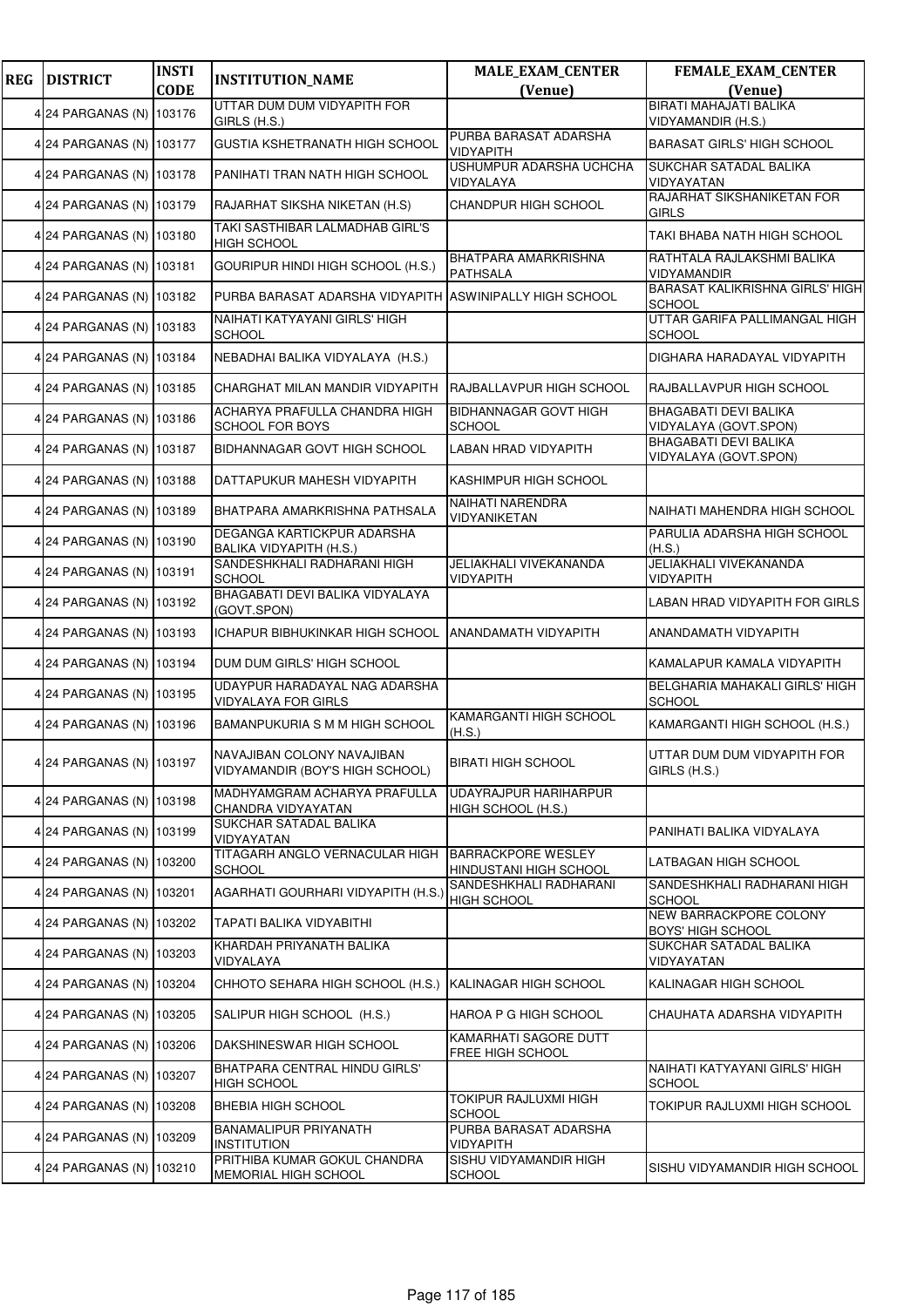| <b>REG</b> | <b>DISTRICT</b>          | <b>INSTI</b> | <b>INSTITUTION_NAME</b>                                       | <b>MALE_EXAM_CENTER</b>                             | FEMALE_EXAM_CENTER                                    |
|------------|--------------------------|--------------|---------------------------------------------------------------|-----------------------------------------------------|-------------------------------------------------------|
|            |                          | <b>CODE</b>  | UTTAR DUM DUM VIDYAPITH FOR                                   | (Venue)                                             | (Venue)<br>BIRATI MAHAJATI BALIKA                     |
|            | 4 24 PARGANAS (N)        | 103176       | GIRLS (H.S.)                                                  |                                                     | VIDYAMANDIR (H.S.)                                    |
|            | 4 24 PARGANAS (N) 103177 |              | GUSTIA KSHETRANATH HIGH SCHOOL                                | PURBA BARASAT ADARSHA<br><b>VIDYAPITH</b>           | <b>BARASAT GIRLS' HIGH SCHOOL</b>                     |
|            | 4 24 PARGANAS (N)        | 103178       | PANIHATI TRAN NATH HIGH SCHOOL                                | USHUMPUR ADARSHA UCHCHA<br>VIDYALAYA                | SUKCHAR SATADAL BALIKA<br>VIDYAYATAN                  |
|            | 4 24 PARGANAS (N)        | 103179       | RAJARHAT SIKSHA NIKETAN (H.S)                                 | CHANDPUR HIGH SCHOOL                                | RAJARHAT SIKSHANIKETAN FOR<br><b>GIRLS</b>            |
|            | 4 24 PARGANAS (N) 103180 |              | TAKI SASTHIBAR LALMADHAB GIRL'S<br>HIGH SCHOOL                |                                                     | TAKI BHABA NATH HIGH SCHOOL                           |
|            | 4 24 PARGANAS (N) 103181 |              | GOURIPUR HINDI HIGH SCHOOL (H.S.)                             | <b>BHATPARA AMARKRISHNA</b><br><b>PATHSALA</b>      | RATHTALA RAJLAKSHMI BALIKA<br>VIDYAMANDIR             |
|            | 4 24 PARGANAS (N) 103182 |              | PURBA BARASAT ADARSHA VIDYAPITH ASWINIPALLY HIGH SCHOOL       |                                                     | BARASAT KALIKRISHNA GIRLS' HIGH<br><b>SCHOOL</b>      |
|            | 4 24 PARGANAS (N)        | 103183       | NAIHATI KATYAYANI GIRLS' HIGH<br><b>SCHOOL</b>                |                                                     | UTTAR GARIFA PALLIMANGAL HIGH<br><b>SCHOOL</b>        |
|            | 4 24 PARGANAS (N) 103184 |              | NEBADHAI BALIKA VIDYALAYA (H.S.)                              |                                                     | DIGHARA HARADAYAL VIDYAPITH                           |
|            | 4 24 PARGANAS (N)        | 103185       | CHARGHAT MILAN MANDIR VIDYAPITH                               | RAJBALLAVPUR HIGH SCHOOL                            | RAJBALLAVPUR HIGH SCHOOL                              |
|            | 4 24 PARGANAS (N)        | 103186       | ACHARYA PRAFULLA CHANDRA HIGH<br><b>SCHOOL FOR BOYS</b>       | <b>BIDHANNAGAR GOVT HIGH</b><br><b>SCHOOL</b>       | <b>BHAGABATI DEVI BALIKA</b><br>VIDYALAYA (GOVT.SPON) |
|            | 4 24 PARGANAS (N)        | 103187       | BIDHANNAGAR GOVT HIGH SCHOOL                                  | <b>LABAN HRAD VIDYAPITH</b>                         | <b>BHAGABATI DEVI BALIKA</b><br>VIDYALAYA (GOVT.SPON) |
|            | 4 24 PARGANAS (N) 103188 |              | DATTAPUKUR MAHESH VIDYAPITH                                   | KASHIMPUR HIGH SCHOOL                               |                                                       |
|            | 4 24 PARGANAS (N)        | 103189       | BHATPARA AMARKRISHNA PATHSALA                                 | NAIHATI NARENDRA<br>VIDYANIKETAN                    | NAIHATI MAHENDRA HIGH SCHOOL                          |
|            | 4 24 PARGANAS (N)        | 103190       | DEGANGA KARTICKPUR ADARSHA<br>BALIKA VIDYAPITH (H.S.)         |                                                     | PARULIA ADARSHA HIGH SCHOOL<br>(H.S.)                 |
|            | 4 24 PARGANAS (N) 103191 |              | SANDESHKHALI RADHARANI HIGH<br>SCHOOL                         | JELIAKHALI VIVEKANANDA<br><b>VIDYAPITH</b>          | JELIAKHALI VIVEKANANDA<br><b>VIDYAPITH</b>            |
|            | 4 24 PARGANAS (N)        | 103192       | BHAGABATI DEVI BALIKA VIDYALAYA<br>(GOVT.SPON)                |                                                     | LABAN HRAD VIDYAPITH FOR GIRLS                        |
|            | 4 24 PARGANAS (N)        | 103193       | <b>ICHAPUR BIBHUKINKAR HIGH SCHOOL</b>                        | <b>ANANDAMATH VIDYAPITH</b>                         | ANANDAMATH VIDYAPITH                                  |
|            | 4 24 PARGANAS (N) 103194 |              | DUM DUM GIRLS' HIGH SCHOOL                                    |                                                     | KAMALAPUR KAMALA VIDYAPITH                            |
|            | 4 24 PARGANAS (N) 103195 |              | UDAYPUR HARADAYAL NAG ADARSHA<br><b>VIDYALAYA FOR GIRLS</b>   |                                                     | BELGHARIA MAHAKALI GIRLS' HIGH<br>SCHOOL              |
|            | 4 24 PARGANAS (N)        | 103196       | BAMANPUKURIA S M M HIGH SCHOOL                                | KAMARGANTI HIGH SCHOOL<br>(H.S.)                    | KAMARGANTI HIGH SCHOOL (H.S.)                         |
|            | 4 24 PARGANAS (N) 103197 |              | NAVAJIBAN COLONY NAVAJIBAN<br>VIDYAMANDIR (BOY'S HIGH SCHOOL) | <b>BIRATI HIGH SCHOOL</b>                           | UTTAR DUM DUM VIDYAPITH FOR<br>GIRLS (H.S.)           |
|            | 4 24 PARGANAS (N)        | 103198       | MADHYAMGRAM ACHARYA PRAFULLA<br>CHANDRA VIDYAYATAN            | <b>UDAYRAJPUR HARIHARPUR</b><br>HIGH SCHOOL (H.S.)  |                                                       |
|            | 4 24 PARGANAS (N)        | 103199       | SUKCHAR SATADAL BALIKA<br>VIDYAYATAN                          |                                                     | PANIHATI BALIKA VIDYALAYA                             |
|            | 4 24 PARGANAS (N) 103200 |              | TITAGARH ANGLO VERNACULAR HIGH<br><b>SCHOOL</b>               | <b>BARRACKPORE WESLEY</b><br>HINDUSTANI HIGH SCHOOL | LATBAGAN HIGH SCHOOL                                  |
|            | 4 24 PARGANAS (N)        | 103201       | AGARHATI GOURHARI VIDYAPITH (H.S.)                            | SANDESHKHALI RADHARANI<br><b>HIGH SCHOOL</b>        | SANDESHKHALI RADHARANI HIGH<br><b>SCHOOL</b>          |
|            | 4 24 PARGANAS (N)        | 103202       | TAPATI BALIKA VIDYABITHI                                      |                                                     | NEW BARRACKPORE COLONY<br><b>BOYS' HIGH SCHOOL</b>    |
|            | 4 24 PARGANAS (N) 103203 |              | KHARDAH PRIYANATH BALIKA<br>VIDYALAYA                         |                                                     | SUKCHAR SATADAL BALIKA<br>VIDYAYATAN                  |
|            | 4 24 PARGANAS (N)        | 103204       | CHHOTO SEHARA HIGH SCHOOL (H.S.)                              | KALINAGAR HIGH SCHOOL                               | KALINAGAR HIGH SCHOOL                                 |
|            | 4 24 PARGANAS (N)        | 103205       | SALIPUR HIGH SCHOOL (H.S.)                                    | HAROA P G HIGH SCHOOL                               | CHAUHATA ADARSHA VIDYAPITH                            |
|            | 4 24 PARGANAS (N) 103206 |              | DAKSHINESWAR HIGH SCHOOL                                      | KAMARHATI SAGORE DUTT<br>FREE HIGH SCHOOL           |                                                       |
|            | 4 24 PARGANAS (N) 103207 |              | BHATPARA CENTRAL HINDU GIRLS'<br><b>HIGH SCHOOL</b>           |                                                     | NAIHATI KATYAYANI GIRLS' HIGH<br><b>SCHOOL</b>        |
|            | 4 24 PARGANAS (N)        | 103208       | <b>BHEBIA HIGH SCHOOL</b>                                     | TOKIPUR RAJLUXMI HIGH<br>SCHOOL                     | TOKIPUR RAJLUXMI HIGH SCHOOL                          |
|            | 4 24 PARGANAS (N)        | 103209       | <b>BANAMALIPUR PRIYANATH</b><br><b>INSTITUTION</b>            | PURBA BARASAT ADARSHA<br><b>VIDYAPITH</b>           |                                                       |
|            | 4 24 PARGANAS (N) 103210 |              | PRITHIBA KUMAR GOKUL CHANDRA<br>MEMORIAL HIGH SCHOOL          | SISHU VIDYAMANDIR HIGH<br><b>SCHOOL</b>             | SISHU VIDYAMANDIR HIGH SCHOOL                         |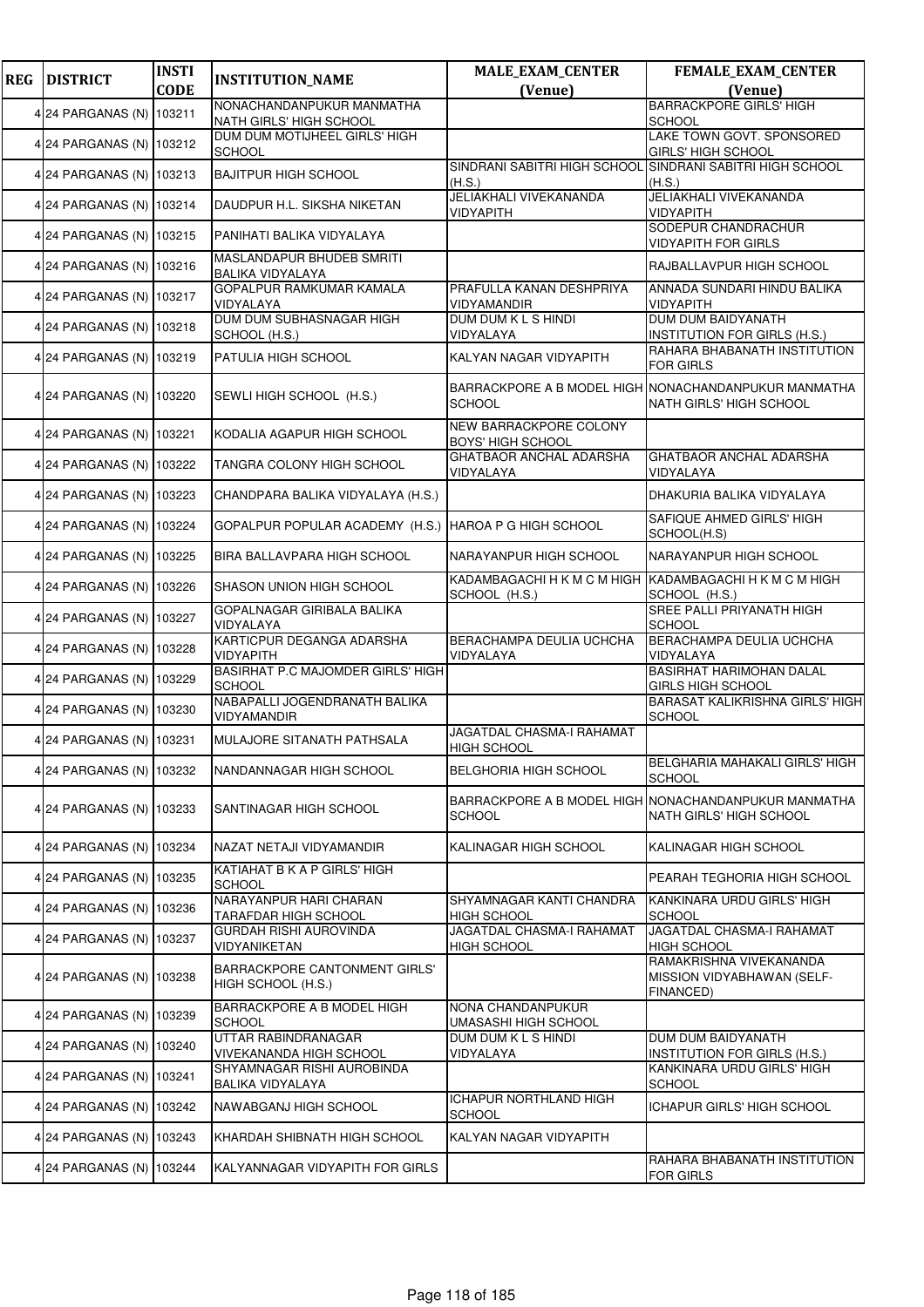| <b>REG</b> | <b>DISTRICT</b>          | <b>INSTI</b> | <b>INSTITUTION_NAME</b>                               | <b>MALE_EXAM_CENTER</b>                                                  | FEMALE_EXAM_CENTER                                                              |
|------------|--------------------------|--------------|-------------------------------------------------------|--------------------------------------------------------------------------|---------------------------------------------------------------------------------|
|            |                          | <b>CODE</b>  | NONACHANDANPUKUR MANMATHA                             | (Venue)                                                                  | (Venue)<br><b>BARRACKPORE GIRLS' HIGH</b>                                       |
|            | 4 24 PARGANAS (N)        | 103211       | NATH GIRLS' HIGH SCHOOL                               |                                                                          | <b>SCHOOL</b>                                                                   |
|            | 4 24 PARGANAS (N) 103212 |              | DUM DUM MOTIJHEEL GIRLS' HIGH<br><b>SCHOOL</b>        |                                                                          | LAKE TOWN GOVT. SPONSORED<br><b>GIRLS' HIGH SCHOOL</b>                          |
|            | 4 24 PARGANAS (N) 103213 |              | <b>BAJITPUR HIGH SCHOOL</b>                           | SINDRANI SABITRI HIGH SCHOOL<br>(H.S.)                                   | SINDRANI SABITRI HIGH SCHOOL<br>(H.S.)                                          |
|            | 4 24 PARGANAS (N)        | 103214       | DAUDPUR H.L. SIKSHA NIKETAN                           | JELIAKHALI VIVEKANANDA<br><b>VIDYAPITH</b>                               | JELIAKHALI VIVEKANANDA<br><b>VIDYAPITH</b>                                      |
|            | 4 24 PARGANAS (N) 103215 |              | PANIHATI BALIKA VIDYALAYA                             |                                                                          | SODEPUR CHANDRACHUR<br><b>VIDYAPITH FOR GIRLS</b>                               |
|            | 4 24 PARGANAS (N) 103216 |              | MASLANDAPUR BHUDEB SMRITI<br><b>BALIKA VIDYALAYA</b>  |                                                                          | <b>RAJBALLAVPUR HIGH SCHOOL</b>                                                 |
|            | 4 24 PARGANAS (N)        | 103217       | GOPALPUR RAMKUMAR KAMALA<br>VIDYALAYA                 | PRAFULLA KANAN DESHPRIYA<br>VIDYAMANDIR                                  | ANNADA SUNDARI HINDU BALIKA<br><b>VIDYAPITH</b>                                 |
|            | 4 24 PARGANAS (N)        | 103218       | DUM DUM SUBHASNAGAR HIGH<br>SCHOOL (H.S.)             | DUM DUM K L S HINDI<br>VIDYALAYA                                         | <b>DUM DUM BAIDYANATH</b><br>INSTITUTION FOR GIRLS (H.S.)                       |
|            | 4 24 PARGANAS (N) 103219 |              | PATULIA HIGH SCHOOL                                   | KALYAN NAGAR VIDYAPITH                                                   | RAHARA BHABANATH INSTITUTION<br><b>FOR GIRLS</b>                                |
|            | 4 24 PARGANAS (N) 103220 |              | SEWLI HIGH SCHOOL (H.S.)                              | <b>SCHOOL</b>                                                            | BARRACKPORE A B MODEL HIGH NONACHANDANPUKUR MANMATHA<br>NATH GIRLS' HIGH SCHOOL |
|            | 4 24 PARGANAS (N) 103221 |              | KODALIA AGAPUR HIGH SCHOOL                            | NEW BARRACKPORE COLONY<br><b>BOYS' HIGH SCHOOL</b>                       |                                                                                 |
|            | 4 24 PARGANAS (N)        | 103222       | TANGRA COLONY HIGH SCHOOL                             | GHATBAOR ANCHAL ADARSHA<br>VIDYALAYA                                     | <b>GHATBAOR ANCHAL ADARSHA</b><br>VIDYALAYA                                     |
|            | 4 24 PARGANAS (N)        | 103223       | CHANDPARA BALIKA VIDYALAYA (H.S.)                     |                                                                          | DHAKURIA BALIKA VIDYALAYA                                                       |
|            | 4 24 PARGANAS (N)        | 103224       | GOPALPUR POPULAR ACADEMY (H.S.) HAROA P G HIGH SCHOOL |                                                                          | SAFIQUE AHMED GIRLS' HIGH<br>SCHOOL(H.S)                                        |
|            | 4 24 PARGANAS (N) 103225 |              | BIRA BALLAVPARA HIGH SCHOOL                           | NARAYANPUR HIGH SCHOOL                                                   | NARAYANPUR HIGH SCHOOL                                                          |
|            | 4 24 PARGANAS (N)        | 103226       | SHASON UNION HIGH SCHOOL                              | KADAMBAGACHI H K M C M HIGH KADAMBAGACHI H K M C M HIGH<br>SCHOOL (H.S.) | SCHOOL (H.S.)                                                                   |
|            | 4 24 PARGANAS (N)        | 103227       | GOPALNAGAR GIRIBALA BALIKA<br>VIDYALAYA               |                                                                          | SREE PALLI PRIYANATH HIGH<br><b>SCHOOL</b>                                      |
|            | 4 24 PARGANAS (N) 103228 |              | KARTICPUR DEGANGA ADARSHA<br>VIDYAPITH                | BERACHAMPA DEULIA UCHCHA<br>VIDYALAYA                                    | BERACHAMPA DEULIA UCHCHA<br>VIDYALAYA                                           |
|            | 4 24 PARGANAS (N)        | 103229       | BASIRHAT P.C MAJOMDER GIRLS' HIGH<br><b>SCHOOL</b>    |                                                                          | <b>BASIRHAT HARIMOHAN DALAL</b><br><b>GIRLS HIGH SCHOOL</b>                     |
|            | 4 24 PARGANAS (N)        | 103230       | NABAPALLI JOGENDRANATH BALIKA<br>VIDYAMANDIR          |                                                                          | BARASAT KALIKRISHNA GIRLS' HIGH<br><b>SCHOOL</b>                                |
|            | 4 24 PARGANAS (N) 103231 |              | MULAJORE SITANATH PATHSALA                            | JAGATDAL CHASMA-I RAHAMAT<br><b>HIGH SCHOOL</b>                          |                                                                                 |
|            | 4 24 PARGANAS (N) 103232 |              | NANDANNAGAR HIGH SCHOOL                               | <b>BELGHORIA HIGH SCHOOL</b>                                             | BELGHARIA MAHAKALI GIRLS' HIGH<br><b>SCHOOL</b>                                 |
|            | 4 24 PARGANAS (N) 103233 |              | SANTINAGAR HIGH SCHOOL                                | <b>SCHOOL</b>                                                            | BARRACKPORE A B MODEL HIGH NONACHANDANPUKUR MANMATHA<br>NATH GIRLS' HIGH SCHOOL |
|            | 4 24 PARGANAS (N)        | 103234       | NAZAT NETAJI VIDYAMANDIR                              | KALINAGAR HIGH SCHOOL                                                    | KALINAGAR HIGH SCHOOL                                                           |
|            | 4 24 PARGANAS (N)        | 103235       | KATIAHAT B K A P GIRLS' HIGH<br><b>SCHOOL</b>         |                                                                          | PEARAH TEGHORIA HIGH SCHOOL                                                     |
|            | 4 24 PARGANAS (N)        | 103236       | NARAYANPUR HARI CHARAN<br><b>TARAFDAR HIGH SCHOOL</b> | SHYAMNAGAR KANTI CHANDRA<br><b>HIGH SCHOOL</b>                           | KANKINARA URDU GIRLS' HIGH<br><b>SCHOOL</b>                                     |
|            | 4 24 PARGANAS (N)        | 103237       | <b>GURDAH RISHI AUROVINDA</b><br>VIDYANIKETAN         | JAGATDAL CHASMA-I RAHAMAT<br><b>HIGH SCHOOL</b>                          | JAGATDAL CHASMA-I RAHAMAT<br><b>HIGH SCHOOL</b>                                 |
|            | 4 24 PARGANAS (N) I      | 103238       | BARRACKPORE CANTONMENT GIRLS'<br>HIGH SCHOOL (H.S.)   |                                                                          | RAMAKRISHNA VIVEKANANDA<br>MISSION VIDYABHAWAN (SELF-<br>FINANCED)              |
|            | 4 24 PARGANAS (N)        | 103239       | BARRACKPORE A B MODEL HIGH<br>SCHOOL                  | NONA CHANDANPUKUR<br>UMASASHI HIGH SCHOOL                                |                                                                                 |
|            | 4 24 PARGANAS (N)        | 103240       | UTTAR RABINDRANAGAR<br>VIVEKANANDA HIGH SCHOOL        | DUM DUM K L S HINDI<br>VIDYALAYA                                         | DUM DUM BAIDYANATH<br><b>INSTITUTION FOR GIRLS (H.S.)</b>                       |
|            | 4 24 PARGANAS (N) 103241 |              | SHYAMNAGAR RISHI AUROBINDA<br>BALIKA VIDYALAYA        |                                                                          | KANKINARA URDU GIRLS' HIGH<br><b>SCHOOL</b>                                     |
|            | 4 24 PARGANAS (N)        | 103242       | NAWABGANJ HIGH SCHOOL                                 | <b>ICHAPUR NORTHLAND HIGH</b><br><b>SCHOOL</b>                           | ICHAPUR GIRLS' HIGH SCHOOL                                                      |
|            | 4 24 PARGANAS (N)        | 103243       | KHARDAH SHIBNATH HIGH SCHOOL                          | KALYAN NAGAR VIDYAPITH                                                   |                                                                                 |
|            | 4 24 PARGANAS (N)        | 103244       | KALYANNAGAR VIDYAPITH FOR GIRLS                       |                                                                          | RAHARA BHABANATH INSTITUTION<br><b>FOR GIRLS</b>                                |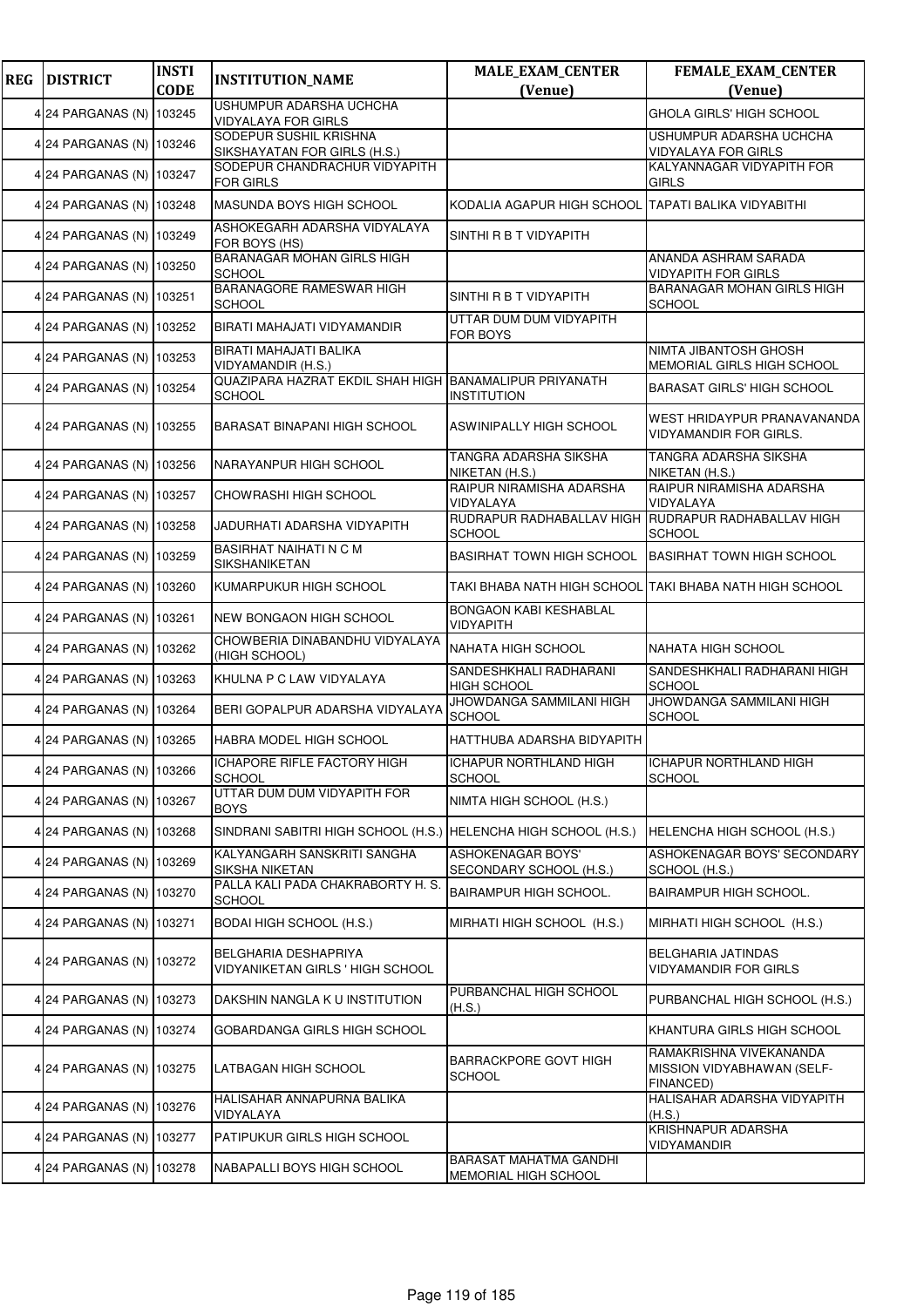| <b>REG</b> | <b>DISTRICT</b>          | <b>INSTI</b><br><b>CODE</b> | <b>INSTITUTION_NAME</b>                                                 | <b>MALE_EXAM_CENTER</b><br>(Venue)             | FEMALE_EXAM_CENTER                                                 |
|------------|--------------------------|-----------------------------|-------------------------------------------------------------------------|------------------------------------------------|--------------------------------------------------------------------|
|            |                          |                             | <b>USHUMPUR ADARSHA UCHCHA</b>                                          |                                                | (Venue)                                                            |
|            | 4 24 PARGANAS (N) 103245 |                             | <b>VIDYALAYA FOR GIRLS</b>                                              |                                                | GHOLA GIRLS' HIGH SCHOOL                                           |
|            | 4 24 PARGANAS (N) 103246 |                             | SODEPUR SUSHIL KRISHNA<br>SIKSHAYATAN FOR GIRLS (H.S.)                  |                                                | USHUMPUR ADARSHA UCHCHA<br><b>VIDYALAYA FOR GIRLS</b>              |
|            | 4 24 PARGANAS (N) 103247 |                             | SODEPUR CHANDRACHUR VIDYAPITH<br><b>FOR GIRLS</b>                       |                                                | KALYANNAGAR VIDYAPITH FOR<br>GIRLS                                 |
|            | 4 24 PARGANAS (N) 103248 |                             | MASUNDA BOYS HIGH SCHOOL                                                | KODALIA AGAPUR HIGH SCHOOL                     | TAPATI BALIKA VIDYABITHI                                           |
|            | 4 24 PARGANAS (N) 103249 |                             | ASHOKEGARH ADARSHA VIDYALAYA<br>FOR BOYS (HS)                           | SINTHI R B T VIDYAPITH                         |                                                                    |
|            | 4 24 PARGANAS (N) 103250 |                             | <b>BARANAGAR MOHAN GIRLS HIGH</b><br><b>SCHOOL</b>                      |                                                | ANANDA ASHRAM SARADA<br><b>VIDYAPITH FOR GIRLS</b>                 |
|            | 4 24 PARGANAS (N)        | 103251                      | BARANAGORE RAMESWAR HIGH<br><b>SCHOOL</b>                               | SINTHI R B T VIDYAPITH                         | <b>BARANAGAR MOHAN GIRLS HIGH</b><br><b>SCHOOL</b>                 |
|            | 4 24 PARGANAS (N) 103252 |                             | BIRATI MAHAJATI VIDYAMANDIR                                             | UTTAR DUM DUM VIDYAPITH<br>FOR BOYS            |                                                                    |
|            | 4 24 PARGANAS (N) 103253 |                             | BIRATI MAHAJATI BALIKA<br>VIDYAMANDIR (H.S.)                            |                                                | NIMTA JIBANTOSH GHOSH<br>MEMORIAL GIRLS HIGH SCHOOL                |
|            | 4 24 PARGANAS (N) 103254 |                             | QUAZIPARA HAZRAT EKDIL SHAH HIGH BANAMALIPUR PRIYANATH<br><b>SCHOOL</b> | <b>INSTITUTION</b>                             | <b>BARASAT GIRLS' HIGH SCHOOL</b>                                  |
|            | 4 24 PARGANAS (N) 103255 |                             | BARASAT BINAPANI HIGH SCHOOL                                            | ASWINIPALLY HIGH SCHOOL                        | WEST HRIDAYPUR PRANAVANANDA<br>VIDYAMANDIR FOR GIRLS.              |
|            | 4 24 PARGANAS (N)        | 103256                      | NARAYANPUR HIGH SCHOOL                                                  | TANGRA ADARSHA SIKSHA<br>NIKETAN (H.S.)        | TANGRA ADARSHA SIKSHA<br>NIKETAN (H.S.)                            |
|            | 4 24 PARGANAS (N) 103257 |                             | CHOWRASHI HIGH SCHOOL                                                   | RAIPUR NIRAMISHA ADARSHA<br>VIDYALAYA          | RAIPUR NIRAMISHA ADARSHA<br><b>VIDYALAYA</b>                       |
|            | 4 24 PARGANAS (N) 103258 |                             | JADURHATI ADARSHA VIDYAPITH                                             | RUDRAPUR RADHABALLAV HIGH<br>SCHOOL            | RUDRAPUR RADHABALLAV HIGH<br><b>SCHOOL</b>                         |
|            | 4 24 PARGANAS (N) 103259 |                             | BASIRHAT NAIHATI N C M<br><b>SIKSHANIKETAN</b>                          | <b>BASIRHAT TOWN HIGH SCHOOL</b>               | <b>BASIRHAT TOWN HIGH SCHOOL</b>                                   |
|            | 4 24 PARGANAS (N) 103260 |                             | KUMARPUKUR HIGH SCHOOL                                                  |                                                | TAKI BHABA NATH HIGH SCHOOL TAKI BHABA NATH HIGH SCHOOL            |
|            | 4 24 PARGANAS (N) 103261 |                             | <b>NEW BONGAON HIGH SCHOOL</b>                                          | BONGAON KABI KESHABLAL<br>VIDYAPITH            |                                                                    |
|            | 4 24 PARGANAS (N) 103262 |                             | CHOWBERIA DINABANDHU VIDYALAYA<br>(HIGH SCHOOL)                         | NAHATA HIGH SCHOOL                             | NAHATA HIGH SCHOOL                                                 |
|            | 4 24 PARGANAS (N)        | 103263                      | KHULNA P C LAW VIDYALAYA                                                | SANDESHKHALI RADHARANI<br>HIGH SCHOOL          | SANDESHKHALI RADHARANI HIGH<br><b>SCHOOL</b>                       |
|            | 4 24 PARGANAS (N) 103264 |                             | BERI GOPALPUR ADARSHA VIDYALAYA                                         | JHOWDANGA SAMMILANI HIGH<br><b>SCHOOL</b>      | JHOWDANGA SAMMILANI HIGH<br><b>SCHOOL</b>                          |
|            | 4 24 PARGANAS (N) 103265 |                             | HABRA MODEL HIGH SCHOOL                                                 | HATTHUBA ADARSHA BIDYAPITH                     |                                                                    |
|            | 4 24 PARGANAS (N) 103266 |                             | ICHAPORE RIFLE FACTORY HIGH<br><b>SCHOOL</b>                            | <b>ICHAPUR NORTHLAND HIGH</b><br>SCHOOL        | <b>ICHAPUR NORTHLAND HIGH</b><br><b>SCHOOL</b>                     |
|            | 4 24 PARGANAS (N) 103267 |                             | UTTAR DUM DUM VIDYAPITH FOR<br><b>BOYS</b>                              | NIMTA HIGH SCHOOL (H.S.)                       |                                                                    |
|            | 4 24 PARGANAS (N) 103268 |                             | SINDRANI SABITRI HIGH SCHOOL (H.S.) HELENCHA HIGH SCHOOL (H.S.)         |                                                | HELENCHA HIGH SCHOOL (H.S.)                                        |
|            | 4 24 PARGANAS (N) 103269 |                             | KALYANGARH SANSKRITI SANGHA<br>SIKSHA NIKETAN                           | ASHOKENAGAR BOYS'<br>SECONDARY SCHOOL (H.S.)   | ASHOKENAGAR BOYS' SECONDARY<br>SCHOOL (H.S.)                       |
|            | 4 24 PARGANAS (N) 103270 |                             | PALLA KALI PADA CHAKRABORTY H. S.<br><b>SCHOOL</b>                      | <b>BAIRAMPUR HIGH SCHOOL.</b>                  | <b>BAIRAMPUR HIGH SCHOOL.</b>                                      |
|            | 4 24 PARGANAS (N) 103271 |                             | <b>BODAI HIGH SCHOOL (H.S.)</b>                                         | MIRHATI HIGH SCHOOL (H.S.)                     | MIRHATI HIGH SCHOOL (H.S.)                                         |
|            | 4 24 PARGANAS (N) 103272 |                             | BELGHARIA DESHAPRIYA<br>VIDYANIKETAN GIRLS ' HIGH SCHOOL                |                                                | BELGHARIA JATINDAS<br>VIDYAMANDIR FOR GIRLS                        |
|            | 4 24 PARGANAS (N) 103273 |                             | DAKSHIN NANGLA K U INSTITUTION                                          | PURBANCHAL HIGH SCHOOL<br>(H.S.)               | PURBANCHAL HIGH SCHOOL (H.S.)                                      |
|            | 4 24 PARGANAS (N) 103274 |                             | GOBARDANGA GIRLS HIGH SCHOOL                                            |                                                | KHANTURA GIRLS HIGH SCHOOL                                         |
|            | 4 24 PARGANAS (N) 103275 |                             | LATBAGAN HIGH SCHOOL                                                    | BARRACKPORE GOVT HIGH<br>SCHOOL                | RAMAKRISHNA VIVEKANANDA<br>MISSION VIDYABHAWAN (SELF-<br>FINANCED) |
|            | 4 24 PARGANAS (N)        | 103276                      | HALISAHAR ANNAPURNA BALIKA<br>VIDYALAYA                                 |                                                | HALISAHAR ADARSHA VIDYAPITH<br>(H.S.)                              |
|            | 4 24 PARGANAS (N) 103277 |                             | PATIPUKUR GIRLS HIGH SCHOOL                                             |                                                | KRISHNAPUR ADARSHA<br>VIDYAMANDIR                                  |
|            | 4 24 PARGANAS (N) 103278 |                             | NABAPALLI BOYS HIGH SCHOOL                                              | BARASAT MAHATMA GANDHI<br>MEMORIAL HIGH SCHOOL |                                                                    |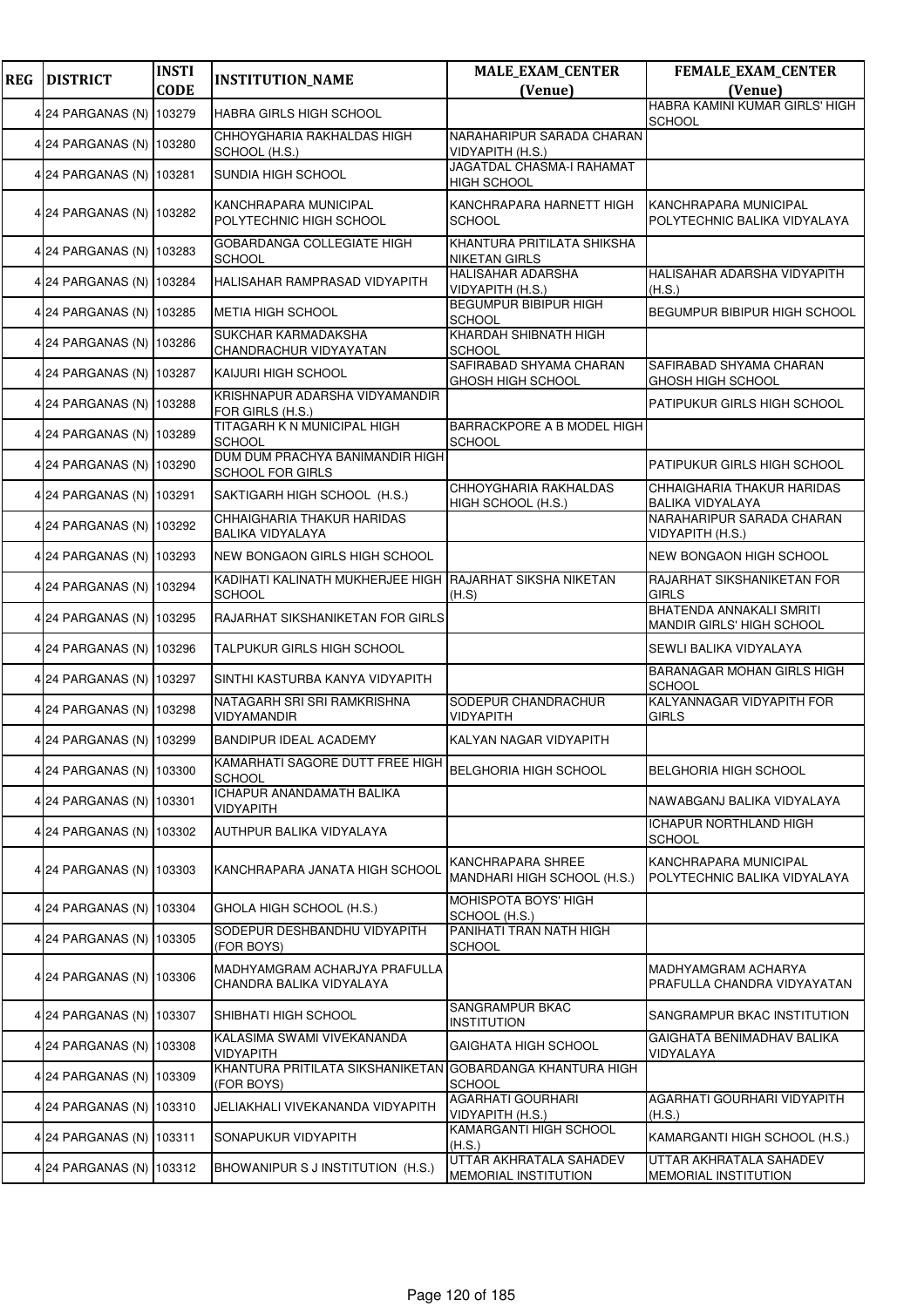| <b>REG</b> | <b>DISTRICT</b>          | <b>INSTI</b><br><b>CODE</b> | <b>INSTITUTION_NAME</b>                                    | <b>MALE_EXAM_CENTER</b>                                | FEMALE_EXAM_CENTER                                     |
|------------|--------------------------|-----------------------------|------------------------------------------------------------|--------------------------------------------------------|--------------------------------------------------------|
|            |                          |                             |                                                            | (Venue)                                                | (Venue)<br>HABRA KAMINI KUMAR GIRLS' HIGH              |
|            | 4 24 PARGANAS (N)        | 103279                      | HABRA GIRLS HIGH SCHOOL                                    |                                                        | <b>SCHOOL</b>                                          |
|            | 4 24 PARGANAS (N) 103280 |                             | CHHOYGHARIA RAKHALDAS HIGH<br>SCHOOL (H.S.)                | NARAHARIPUR SARADA CHARAN<br>VIDYAPITH (H.S.)          |                                                        |
|            | 4 24 PARGANAS (N)        | 103281                      | SUNDIA HIGH SCHOOL                                         | <b>JAGATDAL CHASMA-I RAHAMAT</b><br><b>HIGH SCHOOL</b> |                                                        |
|            | 4 24 PARGANAS (N)        | 103282                      | KANCHRAPARA MUNICIPAL<br>POLYTECHNIC HIGH SCHOOL           | KANCHRAPARA HARNETT HIGH<br><b>SCHOOL</b>              | KANCHRAPARA MUNICIPAL<br>POLYTECHNIC BALIKA VIDYALAYA  |
|            | 4 24 PARGANAS (N)        | 103283                      | GOBARDANGA COLLEGIATE HIGH<br><b>SCHOOL</b>                | KHANTURA PRITILATA SHIKSHA<br>NIKETAN GIRLS            |                                                        |
|            | 4 24 PARGANAS (N)        | 103284                      | HALISAHAR RAMPRASAD VIDYAPITH                              | HALISAHAR ADARSHA<br>VIDYAPITH (H.S.)                  | HALISAHAR ADARSHA VIDYAPITH<br>(H.S.)                  |
|            | 4 24 PARGANAS (N) 103285 |                             | METIA HIGH SCHOOL                                          | BEGUMPUR BIBIPUR HIGH<br><b>SCHOOL</b>                 | BEGUMPUR BIBIPUR HIGH SCHOOL                           |
|            | 4 24 PARGANAS (N)        | 103286                      | SUKCHAR KARMADAKSHA<br>CHANDRACHUR VIDYAYATAN              | KHARDAH SHIBNATH HIGH<br><b>SCHOOL</b>                 |                                                        |
|            | 4 24 PARGANAS (N)        | 103287                      | KAIJURI HIGH SCHOOL                                        | SAFIRABAD SHYAMA CHARAN<br>GHOSH HIGH SCHOOL           | SAFIRABAD SHYAMA CHARAN<br>GHOSH HIGH SCHOOL           |
|            | 4 24 PARGANAS (N) 103288 |                             | KRISHNAPUR ADARSHA VIDYAMANDIR<br>FOR GIRLS (H.S.)         |                                                        | PATIPUKUR GIRLS HIGH SCHOOL                            |
|            | 4 24 PARGANAS (N) 103289 |                             | TITAGARH K N MUNICIPAL HIGH<br><b>SCHOOL</b>               | BARRACKPORE A B MODEL HIGH<br><b>SCHOOL</b>            |                                                        |
|            | 4 24 PARGANAS (N)        | 103290                      | DUM DUM PRACHYA BANIMANDIR HIGH<br><b>SCHOOL FOR GIRLS</b> |                                                        | PATIPUKUR GIRLS HIGH SCHOOL                            |
|            | 4 24 PARGANAS (N)        | 103291                      | SAKTIGARH HIGH SCHOOL (H.S.)                               | CHHOYGHARIA RAKHALDAS<br>HIGH SCHOOL (H.S.)            | CHHAIGHARIA THAKUR HARIDAS<br><b>BALIKA VIDYALAYA</b>  |
|            | 4 24 PARGANAS (N)        | 103292                      | CHHAIGHARIA THAKUR HARIDAS<br><b>BALIKA VIDYALAYA</b>      |                                                        | NARAHARIPUR SARADA CHARAN<br>VIDYAPITH (H.S.)          |
|            | 4 24 PARGANAS (N)        | 103293                      | NEW BONGAON GIRLS HIGH SCHOOL                              |                                                        | NEW BONGAON HIGH SCHOOL                                |
|            | 4 24 PARGANAS (N)        | 103294                      | KADIHATI KALINATH MUKHERJEE HIGH<br><b>SCHOOL</b>          | RAJARHAT SIKSHA NIKETAN<br>(H.S)                       | RAJARHAT SIKSHANIKETAN FOR<br><b>GIRLS</b>             |
|            | 4 24 PARGANAS (N)        | 103295                      | RAJARHAT SIKSHANIKETAN FOR GIRLS                           |                                                        | BHATENDA ANNAKALI SMRITI<br>MANDIR GIRLS' HIGH SCHOOL  |
|            | 4 24 PARGANAS (N) 103296 |                             | TALPUKUR GIRLS HIGH SCHOOL                                 |                                                        | SEWLI BALIKA VIDYALAYA                                 |
|            | 4 24 PARGANAS (N)        | 103297                      | SINTHI KASTURBA KANYA VIDYAPITH                            |                                                        | BARANAGAR MOHAN GIRLS HIGH<br><b>SCHOOL</b>            |
|            | 4 24 PARGANAS (N)        | 103298                      | NATAGARH SRI SRI RAMKRISHNA<br><b>VIDYAMANDIR</b>          | SODEPUR CHANDRACHUR<br>VIDYAPITH                       | KALYANNAGAR VIDYAPITH FOR<br><b>GIRLS</b>              |
|            | 4 24 PARGANAS (N) 103299 |                             | BANDIPUR IDEAL ACADEMY                                     | KALYAN NAGAR VIDYAPITH                                 |                                                        |
|            | 4 24 PARGANAS (N) 103300 |                             | KAMARHATI SAGORE DUTT FREE HIGH<br><b>SCHOOL</b>           | <b>BELGHORIA HIGH SCHOOL</b>                           | <b>BELGHORIA HIGH SCHOOL</b>                           |
|            | 4 24 PARGANAS (N)        | 103301                      | <b>ICHAPUR ANANDAMATH BALIKA</b><br><b>VIDYAPITH</b>       |                                                        | NAWABGANJ BALIKA VIDYALAYA                             |
|            | 4 24 PARGANAS (N)        | 103302                      | AUTHPUR BALIKA VIDYALAYA                                   |                                                        | <b>ICHAPUR NORTHLAND HIGH</b><br><b>SCHOOL</b>         |
|            | 4 24 PARGANAS (N) 103303 |                             | KANCHRAPARA JANATA HIGH SCHOOL                             | KANCHRAPARA SHREE<br>MANDHARI HIGH SCHOOL (H.S.)       | KANCHRAPARA MUNICIPAL<br>POLYTECHNIC BALIKA VIDYALAYA  |
|            | 4 24 PARGANAS (N) 103304 |                             | GHOLA HIGH SCHOOL (H.S.)                                   | MOHISPOTA BOYS' HIGH<br>SCHOOL (H.S.)                  |                                                        |
|            | 4 24 PARGANAS (N)        | 103305                      | SODEPUR DESHBANDHU VIDYAPITH<br>(FOR BOYS)                 | PANIHATI TRAN NATH HIGH<br><b>SCHOOL</b>               |                                                        |
|            | 4 24 PARGANAS (N)        | 103306                      | MADHYAMGRAM ACHARJYA PRAFULLA<br>CHANDRA BALIKA VIDYALAYA  |                                                        | MADHYAMGRAM ACHARYA<br>PRAFULLA CHANDRA VIDYAYATAN     |
|            | 4 24 PARGANAS (N)        | 103307                      | SHIBHATI HIGH SCHOOL                                       | SANGRAMPUR BKAC<br><b>INSTITUTION</b>                  | SANGRAMPUR BKAC INSTITUTION                            |
|            | 4 24 PARGANAS (N) 103308 |                             | KALASIMA SWAMI VIVEKANANDA<br>VIDYAPITH                    | GAIGHATA HIGH SCHOOL                                   | GAIGHATA BENIMADHAV BALIKA<br>VIDYALAYA                |
|            | 4 24 PARGANAS (N) 103309 |                             | KHANTURA PRITILATA SIKSHANIKETAN<br>(FOR BOYS)             | GOBARDANGA KHANTURA HIGH<br>SCHOOL                     |                                                        |
|            | 4 24 PARGANAS (N)        | 103310                      | JELIAKHALI VIVEKANANDA VIDYAPITH                           | <b>AGARHATI GOURHARI</b><br>VIDYAPITH (H.S.)           | AGARHATI GOURHARI VIDYAPITH<br>(H.S.)                  |
|            | 4 24 PARGANAS (N)        | 103311                      | SONAPUKUR VIDYAPITH                                        | KAMARGANTI HIGH SCHOOL<br>(H.S.)                       | KAMARGANTI HIGH SCHOOL (H.S.)                          |
|            | 4 24 PARGANAS (N)        | 103312                      | BHOWANIPUR S J INSTITUTION (H.S.)                          | UTTAR AKHRATALA SAHADEV<br>MEMORIAL INSTITUTION        | UTTAR AKHRATALA SAHADEV<br><b>MEMORIAL INSTITUTION</b> |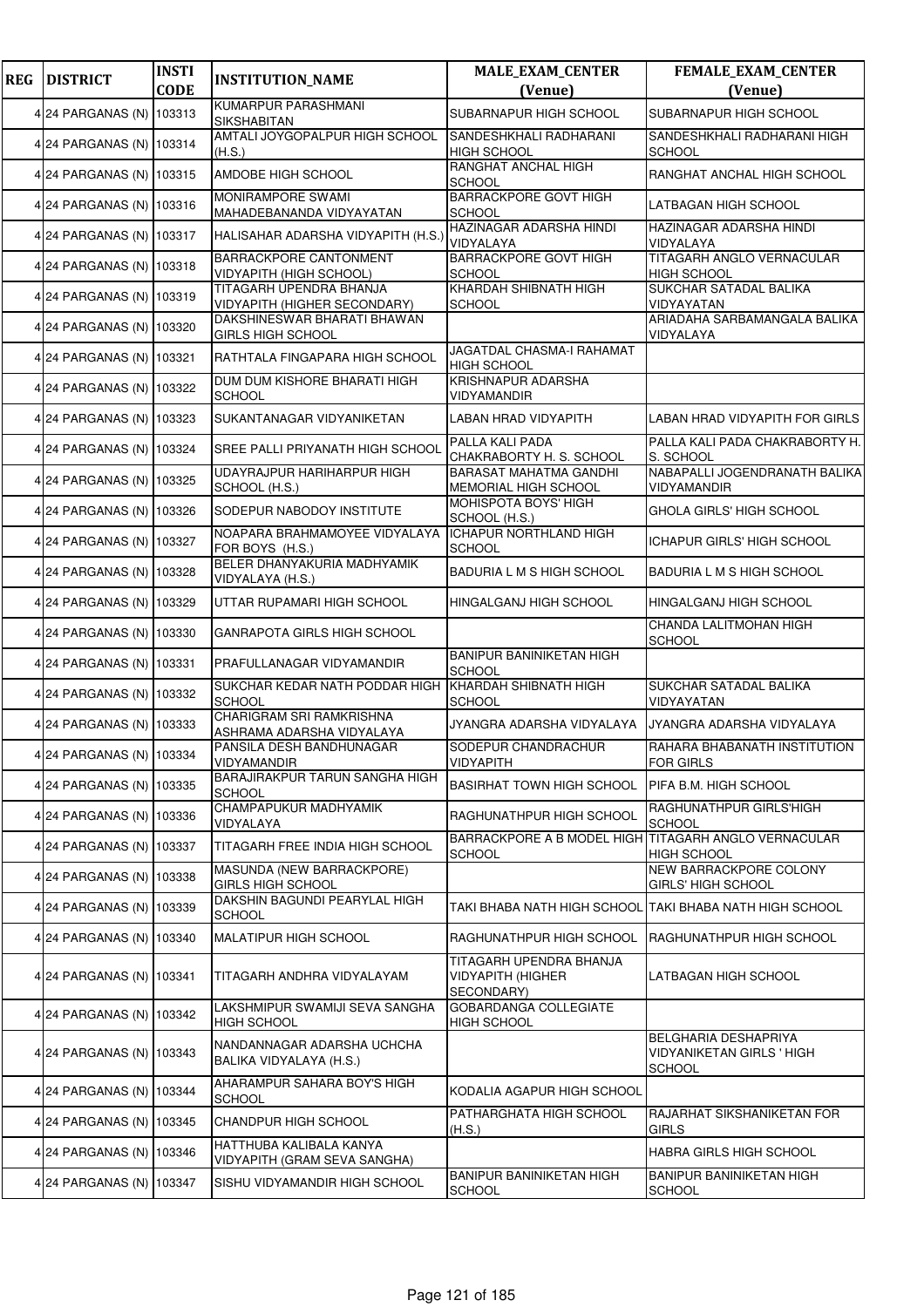| <b>REG</b> | <b>DISTRICT</b>          | <b>INSTI</b><br><b>CODE</b> | <b>INSTITUTION_NAME</b>                                        | <b>MALE_EXAM_CENTER</b><br>(Venue)                                    | <b>FEMALE_EXAM_CENTER</b><br>(Venue)                                      |
|------------|--------------------------|-----------------------------|----------------------------------------------------------------|-----------------------------------------------------------------------|---------------------------------------------------------------------------|
|            |                          |                             | KUMARPUR PARASHMANI                                            |                                                                       |                                                                           |
|            | 4 24 PARGANAS (N) 103313 |                             | <b>SIKSHABITAN</b>                                             | <b>SUBARNAPUR HIGH SCHOOL</b>                                         | SUBARNAPUR HIGH SCHOOL                                                    |
|            | 4 24 PARGANAS (N) 103314 |                             | AMTALI JOYGOPALPUR HIGH SCHOOL<br>(H.S.)                       | SANDESHKHALI RADHARANI<br><b>HIGH SCHOOL</b>                          | SANDESHKHALI RADHARANI HIGH<br><b>SCHOOL</b>                              |
|            | 4 24 PARGANAS (N) 103315 |                             | AMDOBE HIGH SCHOOL                                             | RANGHAT ANCHAL HIGH<br><b>SCHOOL</b>                                  | RANGHAT ANCHAL HIGH SCHOOL                                                |
|            | 4 24 PARGANAS (N) 103316 |                             | MONIRAMPORE SWAMI<br>MAHADEBANANDA VIDYAYATAN                  | <b>BARRACKPORE GOVT HIGH</b><br><b>SCHOOL</b>                         | LATBAGAN HIGH SCHOOL                                                      |
|            | 4 24 PARGANAS (N) 103317 |                             | HALISAHAR ADARSHA VIDYAPITH (H.S.)                             | HAZINAGAR ADARSHA HINDI<br><b>VIDYALAYA</b>                           | HAZINAGAR ADARSHA HINDI<br>VIDYALAYA                                      |
|            | 4 24 PARGANAS (N) 103318 |                             | BARRACKPORE CANTONMENT<br>VIDYAPITH (HIGH SCHOOL)              | <b>BARRACKPORE GOVT HIGH</b><br>SCHOOL                                | TITAGARH ANGLO VERNACULAR<br><b>HIGH SCHOOL</b>                           |
|            | 4 24 PARGANAS (N) 103319 |                             | TITAGARH UPENDRA BHANJA<br><b>VIDYAPITH (HIGHER SECONDARY)</b> | KHARDAH SHIBNATH HIGH<br>SCHOOL                                       | SUKCHAR SATADAL BALIKA<br>VIDYAYATAN                                      |
|            | 4 24 PARGANAS (N) 103320 |                             | DAKSHINESWAR BHARATI BHAWAN<br><b>GIRLS HIGH SCHOOL</b>        |                                                                       | ARIADAHA SARBAMANGALA BALIKA<br>VIDYALAYA                                 |
|            | 4 24 PARGANAS (N) 103321 |                             | RATHTALA FINGAPARA HIGH SCHOOL                                 | JAGATDAL CHASMA-I RAHAMAT<br><b>HIGH SCHOOL</b>                       |                                                                           |
|            | 4 24 PARGANAS (N) 103322 |                             | DUM DUM KISHORE BHARATI HIGH<br><b>SCHOOL</b>                  | KRISHNAPUR ADARSHA<br>VIDYAMANDIR                                     |                                                                           |
|            | 4 24 PARGANAS (N)        | 103323                      | SUKANTANAGAR VIDYANIKETAN                                      | LABAN HRAD VIDYAPITH                                                  | LABAN HRAD VIDYAPITH FOR GIRLS                                            |
|            | 4 24 PARGANAS (N) 103324 |                             | SREE PALLI PRIYANATH HIGH SCHOOL                               | PALLA KALI PADA<br>CHAKRABORTY H. S. SCHOOL                           | PALLA KALI PADA CHAKRABORTY H.<br>S. SCHOOL                               |
|            | 4 24 PARGANAS (N) 103325 |                             | UDAYRAJPUR HARIHARPUR HIGH<br>SCHOOL (H.S.)                    | <b>BARASAT MAHATMA GANDHI</b><br>MEMORIAL HIGH SCHOOL                 | NABAPALLI JOGENDRANATH BALIKA<br>VIDYAMANDIR                              |
|            | 4 24 PARGANAS (N)        | 103326                      | SODEPUR NABODOY INSTITUTE                                      | MOHISPOTA BOYS' HIGH<br>SCHOOL (H.S.)                                 | GHOLA GIRLS' HIGH SCHOOL                                                  |
|            | 4 24 PARGANAS (N) 103327 |                             | NOAPARA BRAHMAMOYEE VIDYALAYA<br>FOR BOYS (H.S.)               | <b>ICHAPUR NORTHLAND HIGH</b><br><b>SCHOOL</b>                        | ICHAPUR GIRLS' HIGH SCHOOL                                                |
|            | 4 24 PARGANAS (N) 103328 |                             | BELER DHANYAKURIA MADHYAMIK<br>VIDYALAYA (H.S.)                | BADURIA L M S HIGH SCHOOL                                             | BADURIA L M S HIGH SCHOOL                                                 |
|            | 4 24 PARGANAS (N) 103329 |                             | UTTAR RUPAMARI HIGH SCHOOL                                     | HINGALGANJ HIGH SCHOOL                                                | HINGALGANJ HIGH SCHOOL                                                    |
|            | 4 24 PARGANAS (N)        | 103330                      | GANRAPOTA GIRLS HIGH SCHOOL                                    |                                                                       | CHANDA LALITMOHAN HIGH<br><b>SCHOOL</b>                                   |
|            | 4 24 PARGANAS (N) 103331 |                             | PRAFULLANAGAR VIDYAMANDIR                                      | <b>BANIPUR BANINIKETAN HIGH</b><br><b>SCHOOL</b>                      |                                                                           |
|            | 4 24 PARGANAS (N) 103332 |                             | SUKCHAR KEDAR NATH PODDAR HIGH<br>SCHOOL                       | KHARDAH SHIBNATH HIGH<br><b>SCHOOL</b>                                | SUKCHAR SATADAL BALIKA<br>VIDYAYATAN                                      |
|            | 4 24 PARGANAS (N) 103333 |                             | CHARIGRAM SRI RAMKRISHNA<br>ASHRAMA ADARSHA VIDYALAYA          | JYANGRA ADARSHA VIDYALAYA                                             | JYANGRA ADARSHA VIDYALAYA                                                 |
|            | 4 24 PARGANAS (N) 103334 |                             | PANSILA DESH BANDHUNAGAR<br>VIDYAMANDIR                        | SODEPUR CHANDRACHUR<br><b>VIDYAPITH</b>                               | RAHARA BHABANATH INSTITUTION<br><b>FOR GIRLS</b>                          |
|            | 4 24 PARGANAS (N) 103335 |                             | BARAJIRAKPUR TARUN SANGHA HIGH<br><b>SCHOOL</b>                | <b>BASIRHAT TOWN HIGH SCHOOL</b>                                      | PIFA B.M. HIGH SCHOOL                                                     |
|            | 4 24 PARGANAS (N) 103336 |                             | CHAMPAPUKUR MADHYAMIK<br>VIDYALAYA                             | RAGHUNATHPUR HIGH SCHOOL                                              | RAGHUNATHPUR GIRLS'HIGH<br><b>SCHOOL</b>                                  |
|            | 4 24 PARGANAS (N)        | 103337                      | TITAGARH FREE INDIA HIGH SCHOOL                                | BARRACKPORE A B MODEL HIGH TITAGARH ANGLO VERNACULAR<br><b>SCHOOL</b> | HIGH SCHOOL                                                               |
|            | 4 24 PARGANAS (N) 103338 |                             | MASUNDA (NEW BARRACKPORE)<br><b>GIRLS HIGH SCHOOL</b>          |                                                                       | NEW BARRACKPORE COLONY<br><b>GIRLS' HIGH SCHOOL</b>                       |
|            | 4 24 PARGANAS (N) 103339 |                             | DAKSHIN BAGUNDI PEARYLAL HIGH<br><b>SCHOOL</b>                 |                                                                       | TAKI BHABA NATH HIGH SCHOOL TAKI BHABA NATH HIGH SCHOOL                   |
|            | 4 24 PARGANAS (N) 103340 |                             | MALATIPUR HIGH SCHOOL                                          | RAGHUNATHPUR HIGH SCHOOL                                              | RAGHUNATHPUR HIGH SCHOOL                                                  |
|            | 4 24 PARGANAS (N) 103341 |                             | TITAGARH ANDHRA VIDYALAYAM                                     | TITAGARH UPENDRA BHANJA<br><b>VIDYAPITH (HIGHER</b><br>SECONDARY)     | LATBAGAN HIGH SCHOOL                                                      |
|            | 4 24 PARGANAS (N)        | 103342                      | LAKSHMIPUR SWAMIJI SEVA SANGHA<br><b>HIGH SCHOOL</b>           | <b>GOBARDANGA COLLEGIATE</b><br><b>HIGH SCHOOL</b>                    |                                                                           |
|            | 4 24 PARGANAS (N) 103343 |                             | NANDANNAGAR ADARSHA UCHCHA<br>BALIKA VIDYALAYA (H.S.)          |                                                                       | BELGHARIA DESHAPRIYA<br><b>VIDYANIKETAN GIRLS ' HIGH</b><br><b>SCHOOL</b> |
|            | 4 24 PARGANAS (N) 103344 |                             | AHARAMPUR SAHARA BOY'S HIGH<br><b>SCHOOL</b>                   | KODALIA AGAPUR HIGH SCHOOL                                            |                                                                           |
|            | 4 24 PARGANAS (N) 103345 |                             | <b>CHANDPUR HIGH SCHOOL</b>                                    | PATHARGHATA HIGH SCHOOL<br>(H.S.)                                     | RAJARHAT SIKSHANIKETAN FOR<br><b>GIRLS</b>                                |
|            | 4 24 PARGANAS (N) 103346 |                             | HATTHUBA KALIBALA KANYA<br>VIDYAPITH (GRAM SEVA SANGHA)        |                                                                       | HABRA GIRLS HIGH SCHOOL                                                   |
|            | 4 24 PARGANAS (N)        | 103347                      | SISHU VIDYAMANDIR HIGH SCHOOL                                  | <b>BANIPUR BANINIKETAN HIGH</b><br><b>SCHOOL</b>                      | BANIPUR BANINIKETAN HIGH<br><b>SCHOOL</b>                                 |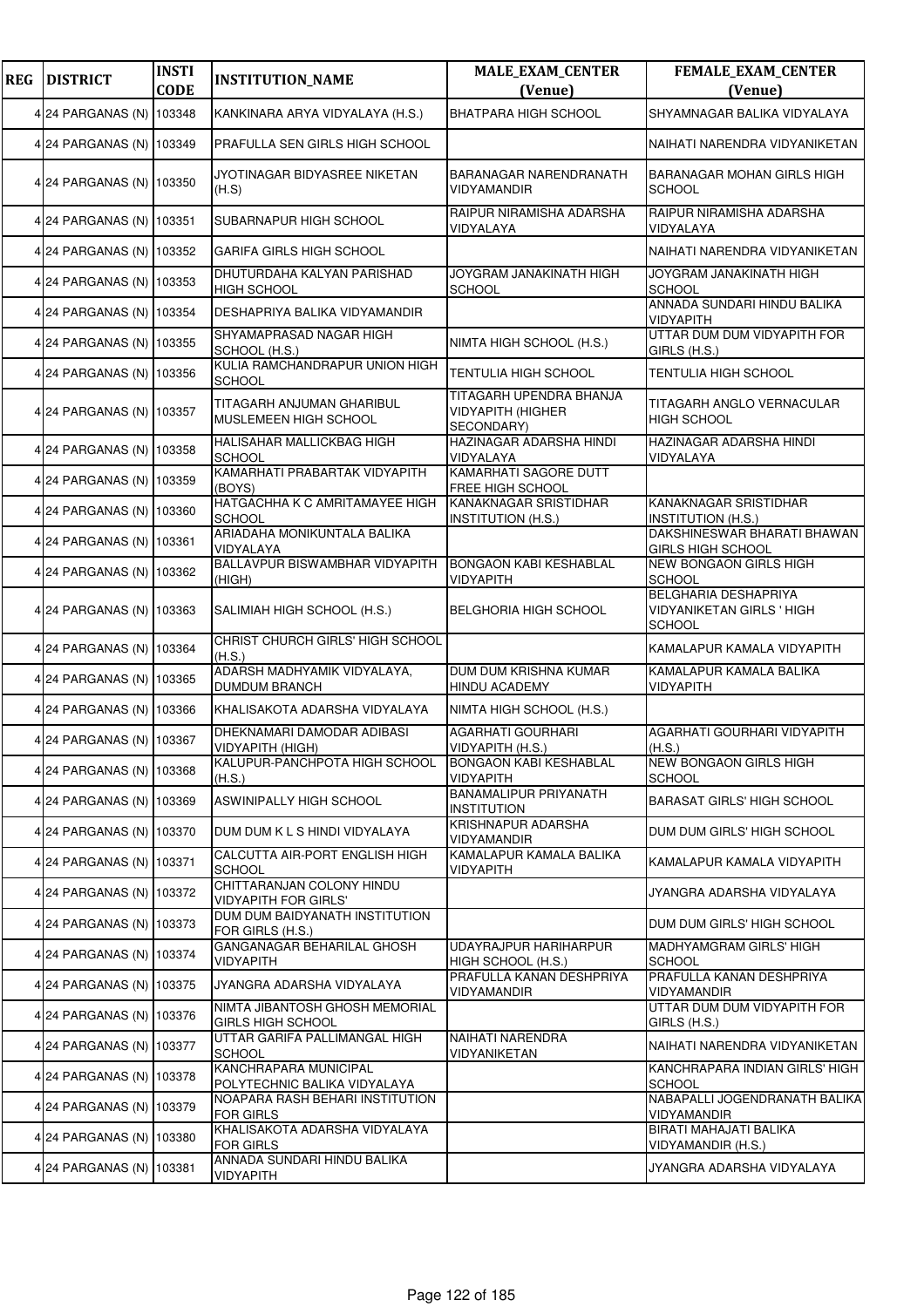| <b>REG</b> | <b>DISTRICT</b>          | <b>INSTI</b><br><b>CODE</b> | <b>INSTITUTION_NAME</b>                                    | <b>MALE_EXAM_CENTER</b><br>(Venue)                                | FEMALE_EXAM_CENTER<br>(Venue)                                             |
|------------|--------------------------|-----------------------------|------------------------------------------------------------|-------------------------------------------------------------------|---------------------------------------------------------------------------|
|            | 4 24 PARGANAS (N) 103348 |                             | KANKINARA ARYA VIDYALAYA (H.S.)                            | <b>BHATPARA HIGH SCHOOL</b>                                       | SHYAMNAGAR BALIKA VIDYALAYA                                               |
|            | 4 24 PARGANAS (N) 103349 |                             | PRAFULLA SEN GIRLS HIGH SCHOOL                             |                                                                   | NAIHATI NARENDRA VIDYANIKETAN                                             |
|            | 4 24 PARGANAS (N) 103350 |                             | JYOTINAGAR BIDYASREE NIKETAN<br>(H.S)                      | BARANAGAR NARENDRANATH<br>VIDYAMANDIR                             | BARANAGAR MOHAN GIRLS HIGH<br><b>SCHOOL</b>                               |
|            | 4 24 PARGANAS (N) 103351 |                             | SUBARNAPUR HIGH SCHOOL                                     | RAIPUR NIRAMISHA ADARSHA<br>VIDYALAYA                             | RAIPUR NIRAMISHA ADARSHA<br>VIDYALAYA                                     |
|            | 4 24 PARGANAS (N) 103352 |                             | GARIFA GIRLS HIGH SCHOOL                                   |                                                                   | NAIHATI NARENDRA VIDYANIKETAN                                             |
|            | 4 24 PARGANAS (N) 103353 |                             | DHUTURDAHA KALYAN PARISHAD<br><b>HIGH SCHOOL</b>           | JOYGRAM JANAKINATH HIGH<br><b>SCHOOL</b>                          | JOYGRAM JANAKINATH HIGH<br><b>SCHOOL</b>                                  |
|            | 4 24 PARGANAS (N) 103354 |                             | DESHAPRIYA BALIKA VIDYAMANDIR                              |                                                                   | ANNADA SUNDARI HINDU BALIKA<br>VIDYAPITH                                  |
|            | 4 24 PARGANAS (N) 103355 |                             | SHYAMAPRASAD NAGAR HIGH<br>SCHOOL (H.S.)                   | NIMTA HIGH SCHOOL (H.S.)                                          | UTTAR DUM DUM VIDYAPITH FOR<br>GIRLS (H.S.)                               |
|            | 4 24 PARGANAS (N) 103356 |                             | KULIA RAMCHANDRAPUR UNION HIGH<br><b>SCHOOL</b>            | TENTULIA HIGH SCHOOL                                              | TENTULIA HIGH SCHOOL                                                      |
|            | 4 24 PARGANAS (N) 103357 |                             | TITAGARH ANJUMAN GHARIBUL<br>MUSLEMEEN HIGH SCHOOL         | TITAGARH UPENDRA BHANJA<br><b>VIDYAPITH (HIGHER</b><br>SECONDARY) | TITAGARH ANGLO VERNACULAR<br><b>HIGH SCHOOL</b>                           |
|            | 4 24 PARGANAS (N) 103358 |                             | HALISAHAR MALLICKBAG HIGH<br><b>SCHOOL</b>                 | HAZINAGAR ADARSHA HINDI<br>VIDYALAYA                              | HAZINAGAR ADARSHA HINDI<br>VIDYALAYA                                      |
|            | 4 24 PARGANAS (N) 103359 |                             | KAMARHATI PRABARTAK VIDYAPITH<br>(BOYS)                    | KAMARHATI SAGORE DUTT<br>FREE HIGH SCHOOL                         |                                                                           |
|            | 4 24 PARGANAS (N) 103360 |                             | HATGACHHA K C AMRITAMAYEE HIGH<br><b>SCHOOL</b>            | <b>KANAKNAGAR SRISTIDHAR</b><br><b>INSTITUTION (H.S.)</b>         | KANAKNAGAR SRISTIDHAR<br><b>INSTITUTION (H.S.)</b>                        |
|            | 4 24 PARGANAS (N) 103361 |                             | ARIADAHA MONIKUNTALA BALIKA<br>VIDYALAYA                   |                                                                   | DAKSHINESWAR BHARATI BHAWAN<br>GIRLS HIGH SCHOOL                          |
|            | 4 24 PARGANAS (N) 103362 |                             | BALLAVPUR BISWAMBHAR VIDYAPITH<br>(HIGH)                   | <b>BONGAON KABI KESHABLAL</b><br>VIDYAPITH                        | NEW BONGAON GIRLS HIGH<br><b>SCHOOL</b>                                   |
|            | 4 24 PARGANAS (N) 103363 |                             | SALIMIAH HIGH SCHOOL (H.S.)                                | <b>BELGHORIA HIGH SCHOOL</b>                                      | BELGHARIA DESHAPRIYA<br><b>VIDYANIKETAN GIRLS ' HIGH</b><br><b>SCHOOL</b> |
|            | 4 24 PARGANAS (N) 103364 |                             | CHRIST CHURCH GIRLS' HIGH SCHOOL<br>(H.S.)                 |                                                                   | KAMALAPUR KAMALA VIDYAPITH                                                |
|            | 4 24 PARGANAS (N) 103365 |                             | ADARSH MADHYAMIK VIDYALAYA,<br><b>DUMDUM BRANCH</b>        | DUM DUM KRISHNA KUMAR<br>HINDU ACADEMY                            | KAMALAPUR KAMALA BALIKA<br>VIDYAPITH                                      |
|            | 4 24 PARGANAS (N) 103366 |                             | KHALISAKOTA ADARSHA VIDYALAYA                              | NIMTA HIGH SCHOOL (H.S.)                                          |                                                                           |
|            | 4 24 PARGANAS (N) 103367 |                             | DHEKNAMARI DAMODAR ADIBASI<br>VIDYAPITH (HIGH)             | <b>AGARHATI GOURHARI</b><br>VIDYAPITH (H.S.)                      | AGARHATI GOURHARI VIDYAPITH<br>(H.S.)                                     |
|            | 4 24 PARGANAS (N) 103368 |                             | KALUPUR-PANCHPOTA HIGH SCHOOL<br>(H.S.)                    | <b>BONGAON KABI KESHABLAL</b><br>VIDYAPITH                        | <b>NEW BONGAON GIRLS HIGH</b><br><b>SCHOOL</b>                            |
|            | 4 24 PARGANAS (N) 103369 |                             | ASWINIPALLY HIGH SCHOOL                                    | BANAMALIPUR PRIYANATH<br>INSTITUTION                              | <b>BARASAT GIRLS' HIGH SCHOOL</b>                                         |
|            | 4 24 PARGANAS (N) 103370 |                             | DUM DUM K L S HINDI VIDYALAYA                              | KRISHNAPUR ADARSHA<br>VIDYAMANDIR                                 | DUM DUM GIRLS' HIGH SCHOOL                                                |
|            | 4 24 PARGANAS (N) 103371 |                             | CALCUTTA AIR-PORT ENGLISH HIGH<br><b>SCHOOL</b>            | KAMALAPUR KAMALA BALIKA<br>VIDYAPITH                              | KAMALAPUR KAMALA VIDYAPITH                                                |
|            | 4 24 PARGANAS (N) 103372 |                             | CHITTARANJAN COLONY HINDU<br><b>VIDYAPITH FOR GIRLS'</b>   |                                                                   | JYANGRA ADARSHA VIDYALAYA                                                 |
|            | 4 24 PARGANAS (N) 103373 |                             | DUM DUM BAIDYANATH INSTITUTION<br>FOR GIRLS (H.S.)         |                                                                   | DUM DUM GIRLS' HIGH SCHOOL                                                |
|            | 4 24 PARGANAS (N) 103374 |                             | GANGANAGAR BEHARILAL GHOSH<br>VIDYAPITH                    | UDAYRAJPUR HARIHARPUR<br>HIGH SCHOOL (H.S.)                       | MADHYAMGRAM GIRLS' HIGH<br><b>SCHOOL</b>                                  |
|            | 4 24 PARGANAS (N) 103375 |                             | JYANGRA ADARSHA VIDYALAYA                                  | PRAFULLA KANAN DESHPRIYA<br>VIDYAMANDIR                           | PRAFULLA KANAN DESHPRIYA<br>VIDYAMANDIR                                   |
|            | 4 24 PARGANAS (N) 103376 |                             | NIMTA JIBANTOSH GHOSH MEMORIAL<br><b>GIRLS HIGH SCHOOL</b> |                                                                   | UTTAR DUM DUM VIDYAPITH FOR<br>GIRLS (H.S.)                               |
|            | 4 24 PARGANAS (N) 103377 |                             | UTTAR GARIFA PALLIMANGAL HIGH<br><b>SCHOOL</b>             | NAIHATI NARENDRA<br>VIDYANIKETAN                                  | NAIHATI NARENDRA VIDYANIKETAN                                             |
|            | 4 24 PARGANAS (N) 103378 |                             | KANCHRAPARA MUNICIPAL<br>POLYTECHNIC BALIKA VIDYALAYA      |                                                                   | KANCHRAPARA INDIAN GIRLS' HIGH<br><b>SCHOOL</b>                           |
|            | 4 24 PARGANAS (N)        | 103379                      | NOAPARA RASH BEHARI INSTITUTION<br><b>FOR GIRLS</b>        |                                                                   | NABAPALLI JOGENDRANATH BALIKA<br>VIDYAMANDIR                              |
|            | 4 24 PARGANAS (N) 103380 |                             | KHALISAKOTA ADARSHA VIDYALAYA<br><b>FOR GIRLS</b>          |                                                                   | BIRATI MAHAJATI BALIKA<br>VIDYAMANDIR (H.S.)                              |
|            | 4 24 PARGANAS (N) 103381 |                             | ANNADA SUNDARI HINDU BALIKA<br><b>VIDYAPITH</b>            |                                                                   | JYANGRA ADARSHA VIDYALAYA                                                 |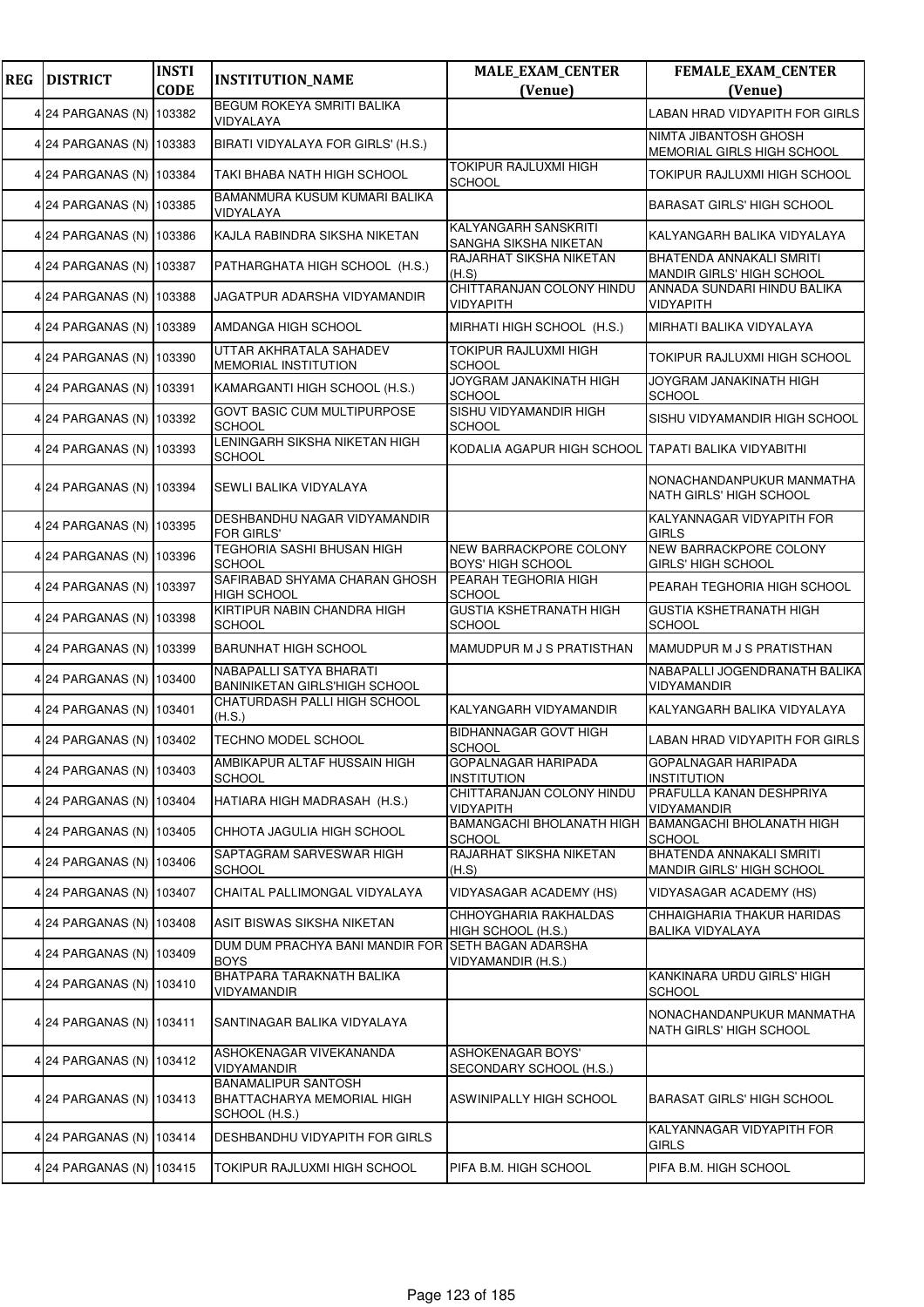| <b>REG</b> | <b>DISTRICT</b>          | <b>INSTI</b><br><b>CODE</b> | <b>INSTITUTION_NAME</b>                                                   | <b>MALE_EXAM_CENTER</b><br>(Venue)                 | <b>FEMALE_EXAM_CENTER</b><br>(Venue)                  |
|------------|--------------------------|-----------------------------|---------------------------------------------------------------------------|----------------------------------------------------|-------------------------------------------------------|
|            | 4 24 PARGANAS (N)        | 103382                      | <b>BEGUM ROKEYA SMRITI BALIKA</b><br>VIDYALAYA                            |                                                    | <b>LABAN HRAD VIDYAPITH FOR GIRLS</b>                 |
|            | 4 24 PARGANAS (N) 103383 |                             | BIRATI VIDYALAYA FOR GIRLS' (H.S.)                                        |                                                    | NIMTA JIBANTOSH GHOSH<br>MEMORIAL GIRLS HIGH SCHOOL   |
|            | 4 24 PARGANAS (N)        | 103384                      | TAKI BHABA NATH HIGH SCHOOL                                               | <b>TOKIPUR RAJLUXMI HIGH</b><br>SCHOOL             | TOKIPUR RAJLUXMI HIGH SCHOOL                          |
|            | 4 24 PARGANAS (N)        | 103385                      | BAMANMURA KUSUM KUMARI BALIKA<br>VIDYALAYA                                |                                                    | <b>BARASAT GIRLS' HIGH SCHOOL</b>                     |
|            | 4 24 PARGANAS (N) 103386 |                             | KAJLA RABINDRA SIKSHA NIKETAN                                             | KALYANGARH SANSKRITI<br>SANGHA SIKSHA NIKETAN      | KALYANGARH BALIKA VIDYALAYA                           |
|            | 4 24 PARGANAS (N) 103387 |                             | PATHARGHATA HIGH SCHOOL (H.S.)                                            | RAJARHAT SIKSHA NIKETAN<br>(H.S)                   | BHATENDA ANNAKALI SMRITI<br>MANDIR GIRLS' HIGH SCHOOL |
|            | 4 24 PARGANAS (N)        | 103388                      | JAGATPUR ADARSHA VIDYAMANDIR                                              | CHITTARANJAN COLONY HINDU<br>VIDYAPITH             | ANNADA SUNDARI HINDU BALIKA<br>VIDYAPITH              |
|            | 4 24 PARGANAS (N)        | 103389                      | AMDANGA HIGH SCHOOL                                                       | MIRHATI HIGH SCHOOL (H.S.)                         | MIRHATI BALIKA VIDYALAYA                              |
|            | 4 24 PARGANAS (N) 103390 |                             | UTTAR AKHRATALA SAHADEV<br>MEMORIAL INSTITUTION                           | TOKIPUR RAJLUXMI HIGH<br><b>SCHOOL</b>             | TOKIPUR RAJLUXMI HIGH SCHOOL                          |
|            | 4 24 PARGANAS (N) 103391 |                             | KAMARGANTI HIGH SCHOOL (H.S.)                                             | JOYGRAM JANAKINATH HIGH<br><b>SCHOOL</b>           | JOYGRAM JANAKINATH HIGH<br><b>SCHOOL</b>              |
|            | 4 24 PARGANAS (N)        | 103392                      | <b>GOVT BASIC CUM MULTIPURPOSE</b><br><b>SCHOOL</b>                       | SISHU VIDYAMANDIR HIGH<br><b>SCHOOL</b>            | SISHU VIDYAMANDIR HIGH SCHOOL                         |
|            | 4 24 PARGANAS (N)        | 103393                      | LENINGARH SIKSHA NIKETAN HIGH<br><b>SCHOOL</b>                            | KODALIA AGAPUR HIGH SCHOOL                         | TAPATI BALIKA VIDYABITHI                              |
|            | 4 24 PARGANAS (N) 103394 |                             | SEWLI BALIKA VIDYALAYA                                                    |                                                    | NONACHANDANPUKUR MANMATHA<br>NATH GIRLS' HIGH SCHOOL  |
|            | 4 24 PARGANAS (N) 103395 |                             | DESHBANDHU NAGAR VIDYAMANDIR<br><b>FOR GIRLS'</b>                         |                                                    | KALYANNAGAR VIDYAPITH FOR<br><b>GIRLS</b>             |
|            | 4 24 PARGANAS (N)        | 103396                      | <b>TEGHORIA SASHI BHUSAN HIGH</b><br><b>SCHOOL</b>                        | NEW BARRACKPORE COLONY<br><b>BOYS' HIGH SCHOOL</b> | NEW BARRACKPORE COLONY<br><b>GIRLS' HIGH SCHOOL</b>   |
|            | 4 24 PARGANAS (N)        | 103397                      | SAFIRABAD SHYAMA CHARAN GHOSH<br><b>HIGH SCHOOL</b>                       | PEARAH TEGHORIA HIGH<br><b>SCHOOL</b>              | PEARAH TEGHORIA HIGH SCHOOL                           |
|            | 4 24 PARGANAS (N)        | 103398                      | KIRTIPUR NABIN CHANDRA HIGH<br><b>SCHOOL</b>                              | <b>GUSTIA KSHETRANATH HIGH</b><br>SCHOOL           | <b>GUSTIA KSHETRANATH HIGH</b><br><b>SCHOOL</b>       |
|            | 4 24 PARGANAS (N) 103399 |                             | <b>BARUNHAT HIGH SCHOOL</b>                                               | MAMUDPUR M J S PRATISTHAN                          | MAMUDPUR M J S PRATISTHAN                             |
|            | 4 24 PARGANAS (N)        | 103400                      | NABAPALLI SATYA BHARATI<br><b>BANINIKETAN GIRLS'HIGH SCHOOL</b>           |                                                    | NABAPALLI JOGENDRANATH BALIKA<br>VIDYAMANDIR          |
|            | 4 24 PARGANAS (N)        | 103401                      | CHATURDASH PALLI HIGH SCHOOL<br>(H.S.)                                    | KALYANGARH VIDYAMANDIR                             | KALYANGARH BALIKA VIDYALAYA                           |
|            | 4 24 PARGANAS (N) 103402 |                             | TECHNO MODEL SCHOOL                                                       | <b>BIDHANNAGAR GOVT HIGH</b><br><b>SCHOOL</b>      | LABAN HRAD VIDYAPITH FOR GIRLS                        |
|            | 4 24 PARGANAS (N) 103403 |                             | AMBIKAPUR ALTAF HUSSAIN HIGH<br><b>SCHOOL</b>                             | GOPALNAGAR HARIPADA<br><b>INSTITUTION</b>          | GOPALNAGAR HARIPADA<br>INSTITUTION                    |
|            | 4 24 PARGANAS (N)        | 103404                      | HATIARA HIGH MADRASAH (H.S.)                                              | CHITTARANJAN COLONY HINDU<br><b>VIDYAPITH</b>      | PRAFULLA KANAN DESHPRIYA<br>VIDYAMANDIR               |
|            | 4 24 PARGANAS (N)        | 103405                      | CHHOTA JAGULIA HIGH SCHOOL                                                | BAMANGACHI BHOLANATH HIGH<br>SCHOOL                | <b>BAMANGACHI BHOLANATH HIGH</b><br><b>SCHOOL</b>     |
|            | 4 24 PARGANAS (N) 103406 |                             | SAPTAGRAM SARVESWAR HIGH<br><b>SCHOOL</b>                                 | RAJARHAT SIKSHA NIKETAN<br>(H.S)                   | BHATENDA ANNAKALI SMRITI<br>MANDIR GIRLS' HIGH SCHOOL |
|            | 4 24 PARGANAS (N)        | 103407                      | CHAITAL PALLIMONGAL VIDYALAYA                                             | VIDYASAGAR ACADEMY (HS)                            | VIDYASAGAR ACADEMY (HS)                               |
|            | 4 24 PARGANAS (N)        | 103408                      | ASIT BISWAS SIKSHA NIKETAN                                                | CHHOYGHARIA RAKHALDAS<br>HIGH SCHOOL (H.S.)        | CHHAIGHARIA THAKUR HARIDAS<br>BALIKA VIDYALAYA        |
|            | 4 24 PARGANAS (N) 103409 |                             | DUM DUM PRACHYA BANI MANDIR FOR<br><b>BOYS</b>                            | SETH BAGAN ADARSHA<br>VIDYAMANDIR (H.S.)           |                                                       |
|            | 4 24 PARGANAS (N)        | 103410                      | BHATPARA TARAKNATH BALIKA<br>VIDYAMANDIR                                  |                                                    | KANKINARA URDU GIRLS' HIGH<br><b>SCHOOL</b>           |
|            | 4 24 PARGANAS (N)        | 103411                      | SANTINAGAR BALIKA VIDYALAYA                                               |                                                    | NONACHANDANPUKUR MANMATHA<br>NATH GIRLS' HIGH SCHOOL  |
|            | 4 24 PARGANAS (N)        | 103412                      | ASHOKENAGAR VIVEKANANDA<br><b>VIDYAMANDIR</b>                             | ASHOKENAGAR BOYS'<br>SECONDARY SCHOOL (H.S.)       |                                                       |
|            | 4 24 PARGANAS (N)        | 103413                      | <b>BANAMALIPUR SANTOSH</b><br>BHATTACHARYA MEMORIAL HIGH<br>SCHOOL (H.S.) | ASWINIPALLY HIGH SCHOOL                            | <b>BARASAT GIRLS' HIGH SCHOOL</b>                     |
|            | 4 24 PARGANAS (N)        | 103414                      | DESHBANDHU VIDYAPITH FOR GIRLS                                            |                                                    | KALYANNAGAR VIDYAPITH FOR<br><b>GIRLS</b>             |
|            | 4 24 PARGANAS (N) 103415 |                             | TOKIPUR RAJLUXMI HIGH SCHOOL                                              | PIFA B.M. HIGH SCHOOL                              | PIFA B.M. HIGH SCHOOL                                 |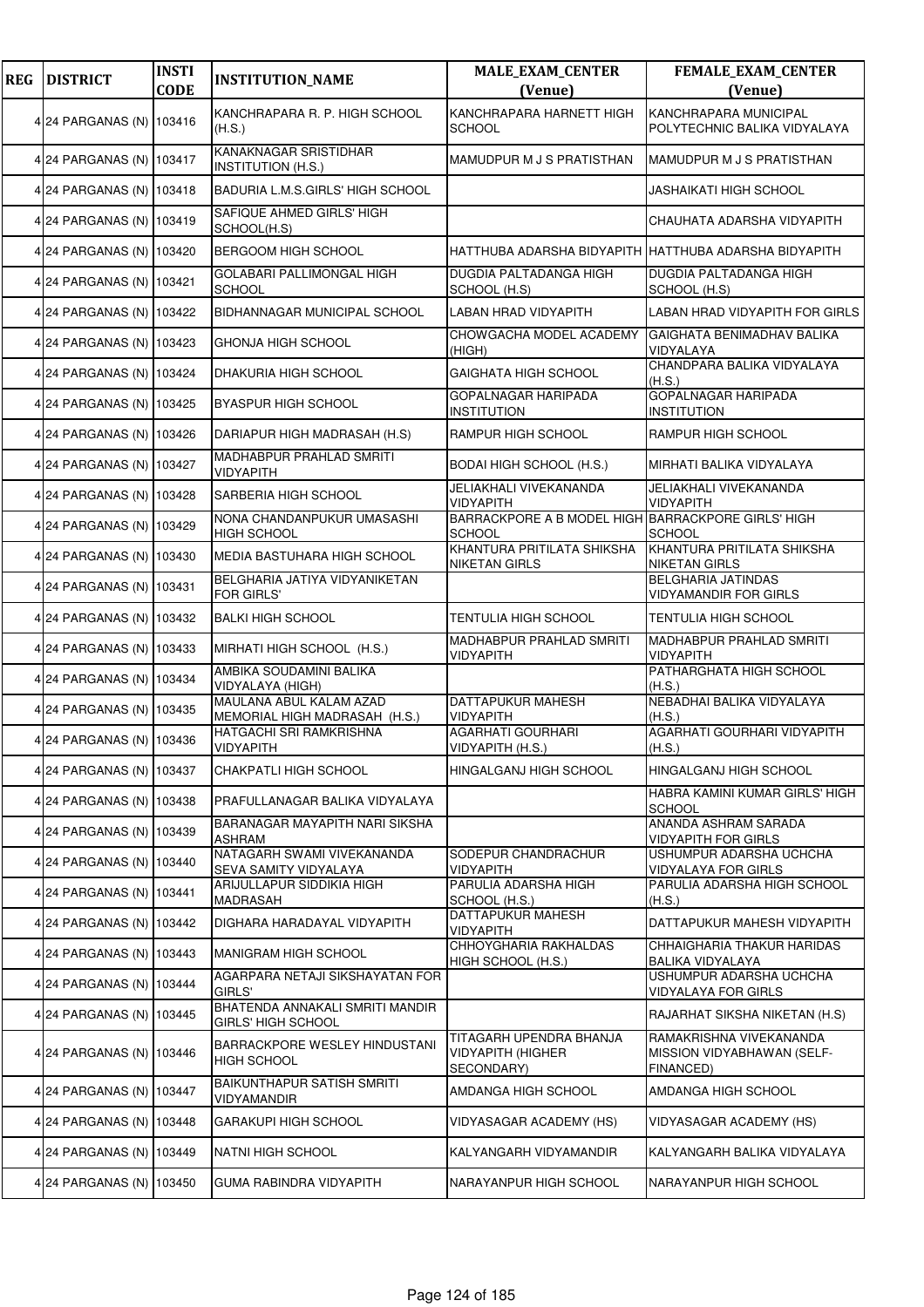| <b>REG</b> | <b>DISTRICT</b>          | <b>INSTI</b><br><b>CODE</b> | <b>INSTITUTION_NAME</b>                                      | <b>MALE_EXAM_CENTER</b><br>(Venue)                                | <b>FEMALE_EXAM_CENTER</b><br>(Venue)                               |
|------------|--------------------------|-----------------------------|--------------------------------------------------------------|-------------------------------------------------------------------|--------------------------------------------------------------------|
|            | 4 24 PARGANAS (N) 103416 |                             | KANCHRAPARA R. P. HIGH SCHOOL<br>(H.S.)                      | KANCHRAPARA HARNETT HIGH<br>SCHOOL                                | <b>KANCHRAPARA MUNICIPAL</b><br>POLYTECHNIC BALIKA VIDYALAYA       |
|            | 4 24 PARGANAS (N) 103417 |                             | <b>KANAKNAGAR SRISTIDHAR</b><br><b>INSTITUTION (H.S.)</b>    | MAMUDPUR M J S PRATISTHAN                                         | MAMUDPUR M J S PRATISTHAN                                          |
|            | 4 24 PARGANAS (N) 103418 |                             | BADURIA L.M.S.GIRLS' HIGH SCHOOL                             |                                                                   | <b>JASHAIKATI HIGH SCHOOL</b>                                      |
|            | 4 24 PARGANAS (N) 103419 |                             | SAFIQUE AHMED GIRLS' HIGH<br>SCHOOL(H.S)                     |                                                                   | CHAUHATA ADARSHA VIDYAPITH                                         |
|            | 4 24 PARGANAS (N) 103420 |                             | <b>BERGOOM HIGH SCHOOL</b>                                   | HATTHUBA ADARSHA BIDYAPITH HATTHUBA ADARSHA BIDYAPITH             |                                                                    |
|            | 4 24 PARGANAS (N) 103421 |                             | GOLABARI PALLIMONGAL HIGH<br><b>SCHOOL</b>                   | <b>DUGDIA PALTADANGA HIGH</b><br>SCHOOL (H.S)                     | DUGDIA PALTADANGA HIGH<br>SCHOOL (H.S)                             |
|            | 4 24 PARGANAS (N) 103422 |                             | BIDHANNAGAR MUNICIPAL SCHOOL                                 | LABAN HRAD VIDYAPITH                                              | LABAN HRAD VIDYAPITH FOR GIRLS                                     |
|            | 4 24 PARGANAS (N) 103423 |                             | GHONJA HIGH SCHOOL                                           | CHOWGACHA MODEL ACADEMY<br>(HIGH)                                 | GAIGHATA BENIMADHAV BALIKA<br>VIDYALAYA                            |
|            | 4 24 PARGANAS (N) 103424 |                             | DHAKURIA HIGH SCHOOL                                         | GAIGHATA HIGH SCHOOL                                              | CHANDPARA BALIKA VIDYALAYA<br>(H.S.)                               |
|            | 4 24 PARGANAS (N) 103425 |                             | <b>BYASPUR HIGH SCHOOL</b>                                   | <b>GOPALNAGAR HARIPADA</b><br><b>INSTITUTION</b>                  | <b>GOPALNAGAR HARIPADA</b><br><b>INSTITUTION</b>                   |
|            | 4 24 PARGANAS (N) 103426 |                             | DARIAPUR HIGH MADRASAH (H.S)                                 | <b>RAMPUR HIGH SCHOOL</b>                                         | RAMPUR HIGH SCHOOL                                                 |
|            | 4 24 PARGANAS (N) 103427 |                             | MADHABPUR PRAHLAD SMRITI<br><b>VIDYAPITH</b>                 | <b>BODAI HIGH SCHOOL (H.S.)</b>                                   | MIRHATI BALIKA VIDYALAYA                                           |
|            | 4 24 PARGANAS (N) 103428 |                             | SARBERIA HIGH SCHOOL                                         | <b>JELIAKHALI VIVEKANANDA</b><br>VIDYAPITH                        | JELIAKHALI VIVEKANANDA<br><b>VIDYAPITH</b>                         |
|            | 4 24 PARGANAS (N) 103429 |                             | NONA CHANDANPUKUR UMASASHI<br><b>HIGH SCHOOL</b>             | BARRACKPORE A B MODEL HIGH BARRACKPORE GIRLS' HIGH<br>SCHOOL      | <b>SCHOOL</b>                                                      |
|            | 4 24 PARGANAS (N) 103430 |                             | MEDIA BASTUHARA HIGH SCHOOL                                  | KHANTURA PRITILATA SHIKSHA<br><b>NIKETAN GIRLS</b>                | KHANTURA PRITILATA SHIKSHA<br><b>NIKETAN GIRLS</b>                 |
|            | 4 24 PARGANAS (N) 103431 |                             | BELGHARIA JATIYA VIDYANIKETAN<br>FOR GIRLS'                  |                                                                   | <b>BELGHARIA JATINDAS</b><br><b>VIDYAMANDIR FOR GIRLS</b>          |
|            | 4 24 PARGANAS (N) 103432 |                             | <b>BALKI HIGH SCHOOL</b>                                     | TENTULIA HIGH SCHOOL                                              | <b>TENTULIA HIGH SCHOOL</b>                                        |
|            | 4 24 PARGANAS (N) 103433 |                             | MIRHATI HIGH SCHOOL (H.S.)                                   | MADHABPUR PRAHLAD SMRITI<br>VIDYAPITH                             | <b>MADHABPUR PRAHLAD SMRITI</b><br><b>VIDYAPITH</b>                |
|            | 4 24 PARGANAS (N) 103434 |                             | AMBIKA SOUDAMINI BALIKA<br>VIDYALAYA (HIGH)                  |                                                                   | PATHARGHATA HIGH SCHOOL<br>(H.S.)                                  |
|            | 4 24 PARGANAS (N) 103435 |                             | MAULANA ABUL KALAM AZAD<br>MEMORIAL HIGH MADRASAH (H.S.)     | <b>DATTAPUKUR MAHESH</b><br>VIDYAPITH                             | NEBADHAI BALIKA VIDYALAYA<br>(H.S.)                                |
|            | 4 24 PARGANAS (N) 103436 |                             | HATGACHI SRI RAMKRISHNA<br><b>VIDYAPITH</b>                  | <b>AGARHATI GOURHARI</b><br>VIDYAPITH (H.S.)                      | AGARHATI GOURHARI VIDYAPITH<br>(H.S.)                              |
|            | 4 24 PARGANAS (N) 103437 |                             | <b>CHAKPATLI HIGH SCHOOL</b>                                 | HINGALGANJ HIGH SCHOOL                                            | <b>HINGALGANJ HIGH SCHOOL</b>                                      |
|            | 4 24 PARGANAS (N) 103438 |                             | PRAFULLANAGAR BALIKA VIDYALAYA                               |                                                                   | HABRA KAMINI KUMAR GIRLS' HIGH<br><b>SCHOOL</b>                    |
|            | 4 24 PARGANAS (N) 103439 |                             | BARANAGAR MAYAPITH NARI SIKSHA<br><b>ASHRAM</b>              |                                                                   | ANANDA ASHRAM SARADA<br><b>VIDYAPITH FOR GIRLS</b>                 |
|            | 4 24 PARGANAS (N) 103440 |                             | NATAGARH SWAMI VIVEKANANDA<br>SEVA SAMITY VIDYALAYA          | SODEPUR CHANDRACHUR<br><b>VIDYAPITH</b>                           | USHUMPUR ADARSHA UCHCHA<br><b>VIDYALAYA FOR GIRLS</b>              |
|            | 4 24 PARGANAS (N) 103441 |                             | ARIJULLAPUR SIDDIKIA HIGH<br>MADRASAH                        | PARULIA ADARSHA HIGH<br>SCHOOL (H.S.)                             | PARULIA ADARSHA HIGH SCHOOL<br>(H.S.)                              |
|            | 4 24 PARGANAS (N) 103442 |                             | DIGHARA HARADAYAL VIDYAPITH                                  | DATTAPUKUR MAHESH<br><b>VIDYAPITH</b>                             | DATTAPUKUR MAHESH VIDYAPITH                                        |
|            | 4 24 PARGANAS (N) 103443 |                             | MANIGRAM HIGH SCHOOL                                         | CHHOYGHARIA RAKHALDAS<br>HIGH SCHOOL (H.S.)                       | CHHAIGHARIA THAKUR HARIDAS<br>BALIKA VIDYALAYA                     |
|            | 4 24 PARGANAS (N) 103444 |                             | AGARPARA NETAJI SIKSHAYATAN FOR<br>GIRLS'                    |                                                                   | USHUMPUR ADARSHA UCHCHA<br><b>VIDYALAYA FOR GIRLS</b>              |
|            | 4 24 PARGANAS (N) 103445 |                             | BHATENDA ANNAKALI SMRITI MANDIR<br><b>GIRLS' HIGH SCHOOL</b> |                                                                   | RAJARHAT SIKSHA NIKETAN (H.S)                                      |
|            | 4 24 PARGANAS (N) 103446 |                             | BARRACKPORE WESLEY HINDUSTANI<br><b>HIGH SCHOOL</b>          | TITAGARH UPENDRA BHANJA<br><b>VIDYAPITH (HIGHER</b><br>SECONDARY) | RAMAKRISHNA VIVEKANANDA<br>MISSION VIDYABHAWAN (SELF-<br>FINANCED) |
|            | 4 24 PARGANAS (N) 103447 |                             | <b>BAIKUNTHAPUR SATISH SMRITI</b><br>VIDYAMANDIR             | AMDANGA HIGH SCHOOL                                               | AMDANGA HIGH SCHOOL                                                |
|            | 4 24 PARGANAS (N) 103448 |                             | GARAKUPI HIGH SCHOOL                                         | VIDYASAGAR ACADEMY (HS)                                           | VIDYASAGAR ACADEMY (HS)                                            |
|            | 4 24 PARGANAS (N) 103449 |                             | NATNI HIGH SCHOOL                                            | KALYANGARH VIDYAMANDIR                                            | KALYANGARH BALIKA VIDYALAYA                                        |
|            | 4 24 PARGANAS (N) 103450 |                             | GUMA RABINDRA VIDYAPITH                                      | NARAYANPUR HIGH SCHOOL                                            | NARAYANPUR HIGH SCHOOL                                             |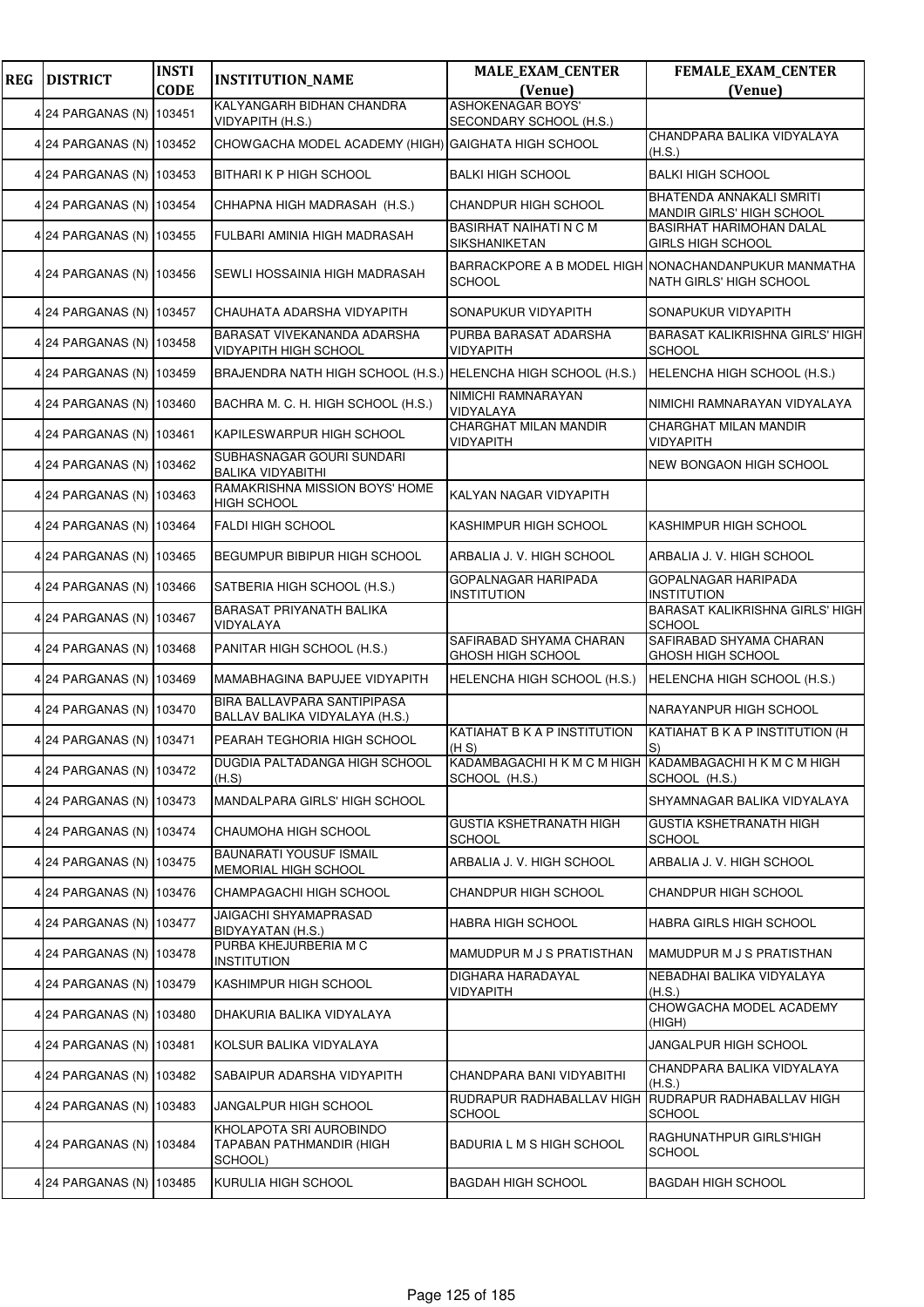| <b>REG</b> | <b>DISTRICT</b>          | <b>INSTI</b> | <b>INSTITUTION_NAME</b>                                        | <b>MALE_EXAM_CENTER</b>                                                  | <b>FEMALE_EXAM_CENTER</b>                                                       |
|------------|--------------------------|--------------|----------------------------------------------------------------|--------------------------------------------------------------------------|---------------------------------------------------------------------------------|
|            |                          | <b>CODE</b>  | KALYANGARH BIDHAN CHANDRA                                      | (Venue)<br><b>ASHOKENAGAR BOYS'</b>                                      | (Venue)                                                                         |
|            | 4 24 PARGANAS (N)        | 103451       | VIDYAPITH (H.S.)                                               | SECONDARY SCHOOL (H.S.)                                                  |                                                                                 |
|            | 4 24 PARGANAS (N) 103452 |              | CHOWGACHA MODEL ACADEMY (HIGH) GAIGHATA HIGH SCHOOL            |                                                                          | CHANDPARA BALIKA VIDYALAYA<br>(H.S.)                                            |
|            | 4 24 PARGANAS (N)        | 103453       | <b>BITHARI K P HIGH SCHOOL</b>                                 | <b>BALKI HIGH SCHOOL</b>                                                 | <b>BALKI HIGH SCHOOL</b>                                                        |
|            | 4 24 PARGANAS (N)        | 103454       | CHHAPNA HIGH MADRASAH (H.S.)                                   | <b>CHANDPUR HIGH SCHOOL</b>                                              | <b>BHATENDA ANNAKALI SMRITI</b><br>MANDIR GIRLS' HIGH SCHOOL                    |
|            | 4 24 PARGANAS (N) 103455 |              | <b>FULBARI AMINIA HIGH MADRASAH</b>                            | <b>BASIRHAT NAIHATI N C M</b><br>SIKSHANIKETAN                           | <b>BASIRHAT HARIMOHAN DALAL</b><br><b>GIRLS HIGH SCHOOL</b>                     |
|            | 4 24 PARGANAS (N) 103456 |              | SEWLI HOSSAINIA HIGH MADRASAH                                  | <b>SCHOOL</b>                                                            | BARRACKPORE A B MODEL HIGH NONACHANDANPUKUR MANMATHA<br>NATH GIRLS' HIGH SCHOOL |
|            | 4 24 PARGANAS (N) 103457 |              | CHAUHATA ADARSHA VIDYAPITH                                     | SONAPUKUR VIDYAPITH                                                      | SONAPUKUR VIDYAPITH                                                             |
|            | 4 24 PARGANAS (N)        | 103458       | BARASAT VIVEKANANDA ADARSHA<br>VIDYAPITH HIGH SCHOOL           | PURBA BARASAT ADARSHA<br><b>VIDYAPITH</b>                                | <b>BARASAT KALIKRISHNA GIRLS' HIGH</b><br><b>SCHOOL</b>                         |
|            | 4 24 PARGANAS (N)        | 103459       | BRAJENDRA NATH HIGH SCHOOL (H.S.) HELENCHA HIGH SCHOOL (H.S.)  |                                                                          | HELENCHA HIGH SCHOOL (H.S.)                                                     |
|            | 4 24 PARGANAS (N) 103460 |              | BACHRA M. C. H. HIGH SCHOOL (H.S.)                             | NIMICHI RAMNARAYAN<br>VIDYALAYA                                          | NIMICHI RAMNARAYAN VIDYALAYA                                                    |
|            | 4 24 PARGANAS (N) 103461 |              | KAPILESWARPUR HIGH SCHOOL                                      | CHARGHAT MILAN MANDIR<br><b>VIDYAPITH</b>                                | CHARGHAT MILAN MANDIR<br><b>VIDYAPITH</b>                                       |
|            | 4 24 PARGANAS (N)        | 103462       | SUBHASNAGAR GOURI SUNDARI<br><b>BALIKA VIDYABITHI</b>          |                                                                          | <b>NEW BONGAON HIGH SCHOOL</b>                                                  |
|            | 4 24 PARGANAS (N)        | 103463       | RAMAKRISHNA MISSION BOYS' HOME<br><b>HIGH SCHOOL</b>           | KALYAN NAGAR VIDYAPITH                                                   |                                                                                 |
|            | 4 24 PARGANAS (N) 103464 |              | <b>FALDI HIGH SCHOOL</b>                                       | KASHIMPUR HIGH SCHOOL                                                    | KASHIMPUR HIGH SCHOOL                                                           |
|            | 4 24 PARGANAS (N)        | 103465       | BEGUMPUR BIBIPUR HIGH SCHOOL                                   | ARBALIA J. V. HIGH SCHOOL                                                | ARBALIA J. V. HIGH SCHOOL                                                       |
|            | 4 24 PARGANAS (N)        | 103466       | SATBERIA HIGH SCHOOL (H.S.)                                    | <b>GOPALNAGAR HARIPADA</b><br><b>INSTITUTION</b>                         | <b>GOPALNAGAR HARIPADA</b><br><b>INSTITUTION</b>                                |
|            | 4 24 PARGANAS (N)        | 103467       | BARASAT PRIYANATH BALIKA<br>VIDYALAYA                          |                                                                          | BARASAT KALIKRISHNA GIRLS' HIGH<br><b>SCHOOL</b>                                |
|            | 4 24 PARGANAS (N) 103468 |              | PANITAR HIGH SCHOOL (H.S.)                                     | SAFIRABAD SHYAMA CHARAN<br>GHOSH HIGH SCHOOL                             | SAFIRABAD SHYAMA CHARAN<br>GHOSH HIGH SCHOOL                                    |
|            | 4 24 PARGANAS (N)        | 103469       | MAMABHAGINA BAPUJEE VIDYAPITH                                  | HELENCHA HIGH SCHOOL (H.S.)                                              | HELENCHA HIGH SCHOOL (H.S.)                                                     |
|            | 4 24 PARGANAS (N)        | 103470       | BIRA BALLAVPARA SANTIPIPASA<br>BALLAV BALIKA VIDYALAYA (H.S.)  |                                                                          | NARAYANPUR HIGH SCHOOL                                                          |
|            | 4 24 PARGANAS (N) 103471 |              | PEARAH TEGHORIA HIGH SCHOOL                                    | KATIAHAT B K A P INSTITUTION<br>(H S)                                    | KATIAHAT B K A P INSTITUTION (H<br>$ S\rangle$                                  |
|            | 4 24 PARGANAS (N) 103472 |              | DUGDIA PALTADANGA HIGH SCHOOL<br>(H.S)                         | KADAMBAGACHI H K M C M HIGH KADAMBAGACHI H K M C M HIGH<br>SCHOOL (H.S.) | SCHOOL (H.S.)                                                                   |
|            | 4 24 PARGANAS (N)        | 103473       | MANDALPARA GIRLS' HIGH SCHOOL                                  |                                                                          | SHYAMNAGAR BALIKA VIDYALAYA                                                     |
|            | 4 24 PARGANAS (N)        | 103474       | CHAUMOHA HIGH SCHOOL                                           | <b>GUSTIA KSHETRANATH HIGH</b><br><b>SCHOOL</b>                          | <b>GUSTIA KSHETRANATH HIGH</b><br><b>SCHOOL</b>                                 |
|            | 4 24 PARGANAS (N) 103475 |              | <b>BAUNARATI YOUSUF ISMAIL</b><br>MEMORIAL HIGH SCHOOL         | ARBALIA J. V. HIGH SCHOOL                                                | ARBALIA J. V. HIGH SCHOOL                                                       |
|            | 4 24 PARGANAS (N)        | 103476       | CHAMPAGACHI HIGH SCHOOL                                        | CHANDPUR HIGH SCHOOL                                                     | CHANDPUR HIGH SCHOOL                                                            |
|            | 4 24 PARGANAS (N)        | 103477       | JAIGACHI SHYAMAPRASAD<br>BIDYAYATAN (H.S.)                     | <b>HABRA HIGH SCHOOL</b>                                                 | HABRA GIRLS HIGH SCHOOL                                                         |
|            | 4 24 PARGANAS (N) 103478 |              | PURBA KHEJURBERIA M C<br><b>INSTITUTION</b>                    | MAMUDPUR M J S PRATISTHAN                                                | MAMUDPUR M J S PRATISTHAN                                                       |
|            | 4 24 PARGANAS (N) 103479 |              | KASHIMPUR HIGH SCHOOL                                          | DIGHARA HARADAYAL<br>VIDYAPITH                                           | NEBADHAI BALIKA VIDYALAYA<br>(H.S.)                                             |
|            | 4 24 PARGANAS (N)        | 103480       | DHAKURIA BALIKA VIDYALAYA                                      |                                                                          | CHOWGACHA MODEL ACADEMY<br>(HIGH)                                               |
|            | 4 24 PARGANAS (N)        | 103481       | KOLSUR BALIKA VIDYALAYA                                        |                                                                          | JANGALPUR HIGH SCHOOL                                                           |
|            | 4 24 PARGANAS (N) 103482 |              | SABAIPUR ADARSHA VIDYAPITH                                     | CHANDPARA BANI VIDYABITHI                                                | CHANDPARA BALIKA VIDYALAYA<br>(H.S.)                                            |
|            | 4 24 PARGANAS (N)        | 103483       | JANGALPUR HIGH SCHOOL                                          | RUDRAPUR RADHABALLAV HIGH<br><b>SCHOOL</b>                               | RUDRAPUR RADHABALLAV HIGH<br><b>SCHOOL</b>                                      |
|            | 4 24 PARGANAS (N)        | 103484       | KHOLAPOTA SRI AUROBINDO<br>TAPABAN PATHMANDIR (HIGH<br>SCHOOL) | BADURIA L M S HIGH SCHOOL                                                | RAGHUNATHPUR GIRLS'HIGH<br><b>SCHOOL</b>                                        |
|            | 4 24 PARGANAS (N)        | 103485       | KURULIA HIGH SCHOOL                                            | <b>BAGDAH HIGH SCHOOL</b>                                                | <b>BAGDAH HIGH SCHOOL</b>                                                       |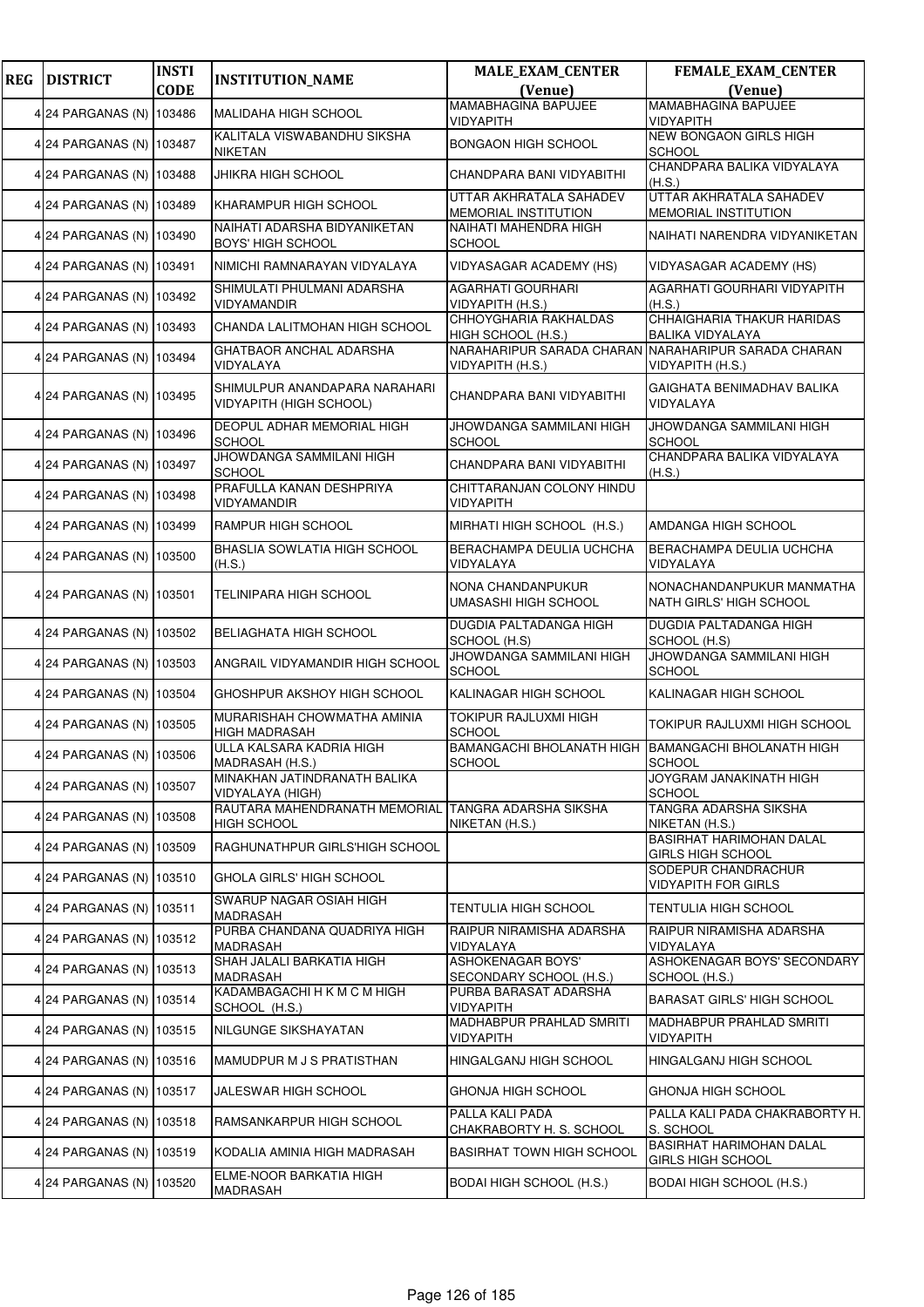| <b>REG</b> | <b>DISTRICT</b>          | <b>INSTI</b> | <b>INSTITUTION_NAME</b>                                         | <b>MALE_EXAM_CENTER</b>                                                 | FEMALE_EXAM_CENTER                                          |
|------------|--------------------------|--------------|-----------------------------------------------------------------|-------------------------------------------------------------------------|-------------------------------------------------------------|
|            |                          | <b>CODE</b>  |                                                                 | (Venue)                                                                 | (Venue)<br><b>MAMABHAGINA BAPUJEE</b>                       |
|            | 4 24 PARGANAS (N)        | 103486       | MALIDAHA HIGH SCHOOL                                            | MAMABHAGINA BAPUJEE<br><b>VIDYAPITH</b>                                 | <b>VIDYAPITH</b>                                            |
|            | 4 24 PARGANAS (N) 103487 |              | KALITALA VISWABANDHU SIKSHA<br><b>NIKETAN</b>                   | <b>BONGAON HIGH SCHOOL</b>                                              | <b>NEW BONGAON GIRLS HIGH</b><br><b>SCHOOL</b>              |
|            | 4 24 PARGANAS (N)        | 103488       | JHIKRA HIGH SCHOOL                                              | CHANDPARA BANI VIDYABITHI                                               | CHANDPARA BALIKA VIDYALAYA<br>(H.S.)                        |
|            | 4 24 PARGANAS (N)        | 103489       | KHARAMPUR HIGH SCHOOL                                           | UTTAR AKHRATALA SAHADEV<br><b>MEMORIAL INSTITUTION</b>                  | UTTAR AKHRATALA SAHADEV<br>MEMORIAL INSTITUTION             |
|            | 4 24 PARGANAS (N) 103490 |              | NAIHATI ADARSHA BIDYANIKETAN<br><b>BOYS' HIGH SCHOOL</b>        | NAIHATI MAHENDRA HIGH<br><b>SCHOOL</b>                                  | NAIHATI NARENDRA VIDYANIKETAN                               |
|            | 4 24 PARGANAS (N) 103491 |              | NIMICHI RAMNARAYAN VIDYALAYA                                    | <b>VIDYASAGAR ACADEMY (HS)</b>                                          | <b>VIDYASAGAR ACADEMY (HS)</b>                              |
|            | 4 24 PARGANAS (N)        | 103492       | SHIMULATI PHULMANI ADARSHA<br>VIDYAMANDIR                       | AGARHATI GOURHARI<br>VIDYAPITH (H.S.)                                   | AGARHATI GOURHARI VIDYAPITH<br>(H.S.)                       |
|            | 4 24 PARGANAS (N)        | 103493       | CHANDA LALITMOHAN HIGH SCHOOL                                   | CHHOYGHARIA RAKHALDAS<br>HIGH SCHOOL (H.S.)                             | CHHAIGHARIA THAKUR HARIDAS<br><b>BALIKA VIDYALAYA</b>       |
|            | 4 24 PARGANAS (N) 103494 |              | <b>GHATBAOR ANCHAL ADARSHA</b><br>VIDYALAYA                     | NARAHARIPUR SARADA CHARAN NARAHARIPUR SARADA CHARAN<br>VIDYAPITH (H.S.) | VIDYAPITH (H.S.)                                            |
|            | 4 24 PARGANAS (N) 103495 |              | SHIMULPUR ANANDAPARA NARAHARI<br><b>VIDYAPITH (HIGH SCHOOL)</b> | CHANDPARA BANI VIDYABITHI                                               | GAIGHATA BENIMADHAV BALIKA<br>VIDYALAYA                     |
|            | 4 24 PARGANAS (N) 103496 |              | DEOPUL ADHAR MEMORIAL HIGH<br><b>SCHOOL</b>                     | JHOWDANGA SAMMILANI HIGH<br><b>SCHOOL</b>                               | JHOWDANGA SAMMILANI HIGH<br><b>SCHOOL</b>                   |
|            | 4 24 PARGANAS (N)        | 103497       | JHOWDANGA SAMMILANI HIGH<br><b>SCHOOL</b>                       | CHANDPARA BANI VIDYABITHI                                               | CHANDPARA BALIKA VIDYALAYA<br>(H.S.)                        |
|            | 4 24 PARGANAS (N)        | 103498       | PRAFULLA KANAN DESHPRIYA<br>VIDYAMANDIR                         | CHITTARANJAN COLONY HINDU<br><b>VIDYAPITH</b>                           |                                                             |
|            | 4 24 PARGANAS (N) 103499 |              | RAMPUR HIGH SCHOOL                                              | MIRHATI HIGH SCHOOL (H.S.)                                              | AMDANGA HIGH SCHOOL                                         |
|            | 4 24 PARGANAS (N)        | 103500       | BHASLIA SOWLATIA HIGH SCHOOL<br>(H.S.)                          | BERACHAMPA DEULIA UCHCHA<br>VIDYALAYA                                   | BERACHAMPA DEULIA UCHCHA<br>VIDYALAYA                       |
|            | 4 24 PARGANAS (N)        | 103501       | TELINIPARA HIGH SCHOOL                                          | NONA CHANDANPUKUR<br>UMASASHI HIGH SCHOOL                               | NONACHANDANPUKUR MANMATHA<br>NATH GIRLS' HIGH SCHOOL        |
|            | 4 24 PARGANAS (N)        | 103502       | BELIAGHATA HIGH SCHOOL                                          | DUGDIA PALTADANGA HIGH<br>SCHOOL (H.S)                                  | DUGDIA PALTADANGA HIGH<br>SCHOOL (H.S)                      |
|            | 4 24 PARGANAS (N) 103503 |              | ANGRAIL VIDYAMANDIR HIGH SCHOOL                                 | JHOWDANGA SAMMILANI HIGH<br><b>SCHOOL</b>                               | JHOWDANGA SAMMILANI HIGH<br><b>SCHOOL</b>                   |
|            | 4 24 PARGANAS (N) 103504 |              | GHOSHPUR AKSHOY HIGH SCHOOL                                     | KALINAGAR HIGH SCHOOL                                                   | KALINAGAR HIGH SCHOOL                                       |
|            | 4 24 PARGANAS (N) 103505 |              | MURARISHAH CHOWMATHA AMINIA<br><b>HIGH MADRASAH</b>             | <b>TOKIPUR RAJLUXMI HIGH</b><br><b>SCHOOL</b>                           | <b>TOKIPUR RAJLUXMI HIGH SCHOOL</b>                         |
|            | 4 24 PARGANAS (N) 103506 |              | ULLA KALSARA KADRIA HIGH<br>MADRASAH (H.S.)                     | BAMANGACHI BHOLANATH HIGH BAMANGACHI BHOLANATH HIGH<br><b>SCHOOL</b>    | <b>SCHOOL</b>                                               |
|            | 4 24 PARGANAS (N) 103507 |              | MINAKHAN JATINDRANATH BALIKA<br>VIDYALAYA (HIGH)                |                                                                         | JOYGRAM JANAKINATH HIGH<br><b>SCHOOL</b>                    |
|            | 4 24 PARGANAS (N) 103508 |              | RAUTARA MAHENDRANATH MEMORIAL<br><b>HIGH SCHOOL</b>             | <b>TANGRA ADARSHA SIKSHA</b><br>NIKETAN (H.S.)                          | <b>TANGRA ADARSHA SIKSHA</b><br>NIKETAN (H.S.)              |
|            | 4 24 PARGANAS (N)        | 103509       | RAGHUNATHPUR GIRLS'HIGH SCHOOL                                  |                                                                         | <b>BASIRHAT HARIMOHAN DALAL</b><br><b>GIRLS HIGH SCHOOL</b> |
|            | 4 24 PARGANAS (N)        | 103510       | GHOLA GIRLS' HIGH SCHOOL                                        |                                                                         | SODEPUR CHANDRACHUR<br><b>VIDYAPITH FOR GIRLS</b>           |
|            | 4 24 PARGANAS (N) 103511 |              | SWARUP NAGAR OSIAH HIGH<br>MADRASAH                             | TENTULIA HIGH SCHOOL                                                    | <b>TENTULIA HIGH SCHOOL</b>                                 |
|            | 4 24 PARGANAS (N)        | 103512       | PURBA CHANDANA QUADRIYA HIGH<br>MADRASAH                        | RAIPUR NIRAMISHA ADARSHA<br>VIDYALAYA                                   | RAIPUR NIRAMISHA ADARSHA<br>VIDYALAYA                       |
|            | 4 24 PARGANAS (N)        | 103513       | SHAH JALALI BARKATIA HIGH<br>MADRASAH                           | <b>ASHOKENAGAR BOYS'</b><br>SECONDARY SCHOOL (H.S.)                     | ASHOKENAGAR BOYS' SECONDARY<br>SCHOOL (H.S.)                |
|            | 4 24 PARGANAS (N)        | 103514       | KADAMBAGACHI H K M C M HIGH<br>SCHOOL (H.S.)                    | PURBA BARASAT ADARSHA<br><b>VIDYAPITH</b>                               | <b>BARASAT GIRLS' HIGH SCHOOL</b>                           |
|            | 4 24 PARGANAS (N) 103515 |              | NILGUNGE SIKSHAYATAN                                            | MADHABPUR PRAHLAD SMRITI<br><b>VIDYAPITH</b>                            | MADHABPUR PRAHLAD SMRITI<br><b>VIDYAPITH</b>                |
|            | 4 24 PARGANAS (N)        | 103516       | MAMUDPUR M J S PRATISTHAN                                       | HINGALGANJ HIGH SCHOOL                                                  | HINGALGANJ HIGH SCHOOL                                      |
|            | 4 24 PARGANAS (N)        | 103517       | JALESWAR HIGH SCHOOL                                            | GHONJA HIGH SCHOOL                                                      | <b>GHONJA HIGH SCHOOL</b>                                   |
|            | 4 24 PARGANAS (N) 103518 |              | RAMSANKARPUR HIGH SCHOOL                                        | PALLA KALI PADA<br>CHAKRABORTY H. S. SCHOOL                             | PALLA KALI PADA CHAKRABORTY H.<br>S. SCHOOL                 |
|            | 4 24 PARGANAS (N)        | 103519       | KODALIA AMINIA HIGH MADRASAH                                    | <b>BASIRHAT TOWN HIGH SCHOOL</b>                                        | <b>BASIRHAT HARIMOHAN DALAL</b><br><b>GIRLS HIGH SCHOOL</b> |
|            | 4 24 PARGANAS (N)        | 103520       | ELME-NOOR BARKATIA HIGH<br>MADRASAH                             | <b>BODAI HIGH SCHOOL (H.S.)</b>                                         | <b>BODAI HIGH SCHOOL (H.S.)</b>                             |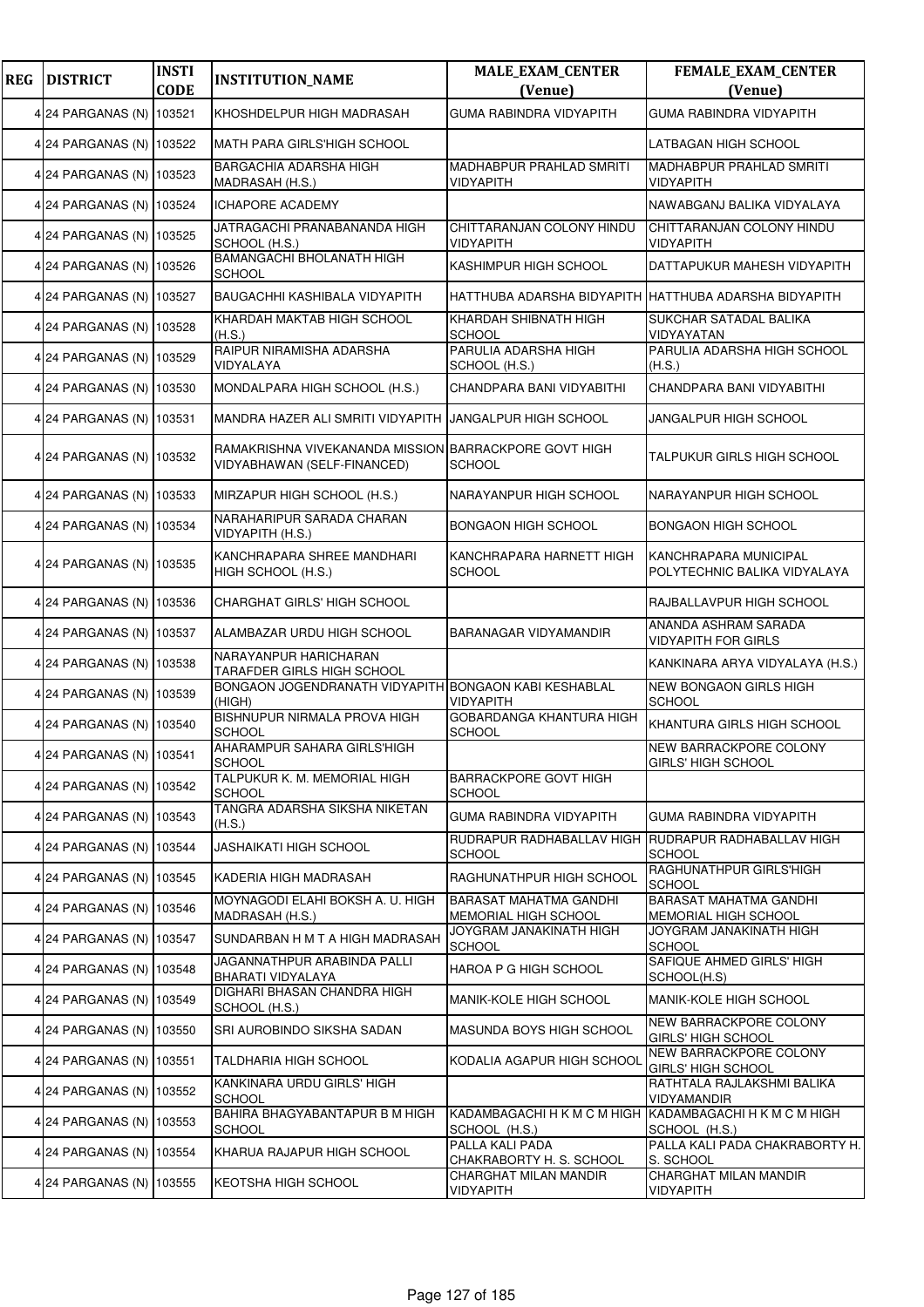| <b>REG</b> | <b>DISTRICT</b>          | <b>INSTI</b><br><b>CODE</b> | <b>INSTITUTION_NAME</b>                                                              | <b>MALE_EXAM_CENTER</b><br>(Venue)                           | <b>FEMALE_EXAM_CENTER</b><br>(Venue)                         |
|------------|--------------------------|-----------------------------|--------------------------------------------------------------------------------------|--------------------------------------------------------------|--------------------------------------------------------------|
|            | 4 24 PARGANAS (N) 103521 |                             | KHOSHDELPUR HIGH MADRASAH                                                            | <b>GUMA RABINDRA VIDYAPITH</b>                               | <b>GUMA RABINDRA VIDYAPITH</b>                               |
|            | 4 24 PARGANAS (N) 103522 |                             | MATH PARA GIRLS'HIGH SCHOOL                                                          |                                                              | LATBAGAN HIGH SCHOOL                                         |
|            | 4 24 PARGANAS (N) 103523 |                             | <b>BARGACHIA ADARSHA HIGH</b><br>MADRASAH (H.S.)                                     | <b>MADHABPUR PRAHLAD SMRITI</b><br>VIDYAPITH                 | <b>MADHABPUR PRAHLAD SMRITI</b><br><b>VIDYAPITH</b>          |
|            | 4 24 PARGANAS (N) 103524 |                             | <b>ICHAPORE ACADEMY</b>                                                              |                                                              | NAWABGANJ BALIKA VIDYALAYA                                   |
|            | 4 24 PARGANAS (N) 103525 |                             | JATRAGACHI PRANABANANDA HIGH<br>SCHOOL (H.S.)                                        | CHITTARANJAN COLONY HINDU<br>VIDYAPITH                       | CHITTARANJAN COLONY HINDU<br>VIDYAPITH                       |
|            | 4 24 PARGANAS (N) 103526 |                             | BAMANGACHI BHOLANATH HIGH<br><b>SCHOOL</b>                                           | KASHIMPUR HIGH SCHOOL                                        | DATTAPUKUR MAHESH VIDYAPITH                                  |
|            | 4 24 PARGANAS (N) 103527 |                             | BAUGACHHI KASHIBALA VIDYAPITH                                                        |                                                              | HATTHUBA ADARSHA BIDYAPITH HATTHUBA ADARSHA BIDYAPITH        |
|            | 4 24 PARGANAS (N) 103528 |                             | KHARDAH MAKTAB HIGH SCHOOL<br>(H.S.)                                                 | KHARDAH SHIBNATH HIGH<br>SCHOOL                              | SUKCHAR SATADAL BALIKA<br>VIDYAYATAN                         |
|            | 4 24 PARGANAS (N) 103529 |                             | RAIPUR NIRAMISHA ADARSHA<br>VIDYALAYA                                                | PARULIA ADARSHA HIGH<br>SCHOOL (H.S.)                        | PARULIA ADARSHA HIGH SCHOOL<br>(H.S.)                        |
|            | 4 24 PARGANAS (N) 103530 |                             | MONDALPARA HIGH SCHOOL (H.S.)                                                        | CHANDPARA BANI VIDYABITHI                                    | CHANDPARA BANI VIDYABITHI                                    |
|            | 4 24 PARGANAS (N) 103531 |                             | MANDRA HAZER ALI SMRITI VIDYAPITH                                                    | <b>JANGALPUR HIGH SCHOOL</b>                                 | JANGALPUR HIGH SCHOOL                                        |
|            | 4 24 PARGANAS (N) 103532 |                             | RAMAKRISHNA VIVEKANANDA MISSION BARRACKPORE GOVT HIGH<br>VIDYABHAWAN (SELF-FINANCED) | <b>SCHOOL</b>                                                | TALPUKUR GIRLS HIGH SCHOOL                                   |
|            | 4 24 PARGANAS (N) 103533 |                             | MIRZAPUR HIGH SCHOOL (H.S.)                                                          | NARAYANPUR HIGH SCHOOL                                       | NARAYANPUR HIGH SCHOOL                                       |
|            | 4 24 PARGANAS (N) 103534 |                             | NARAHARIPUR SARADA CHARAN<br>VIDYAPITH (H.S.)                                        | BONGAON HIGH SCHOOL                                          | BONGAON HIGH SCHOOL                                          |
|            | 4 24 PARGANAS (N) 103535 |                             | KANCHRAPARA SHREE MANDHARI<br>HIGH SCHOOL (H.S.)                                     | KANCHRAPARA HARNETT HIGH<br>SCHOOL                           | KANCHRAPARA MUNICIPAL<br>POLYTECHNIC BALIKA VIDYALAYA        |
|            | 4 24 PARGANAS (N) 103536 |                             | CHARGHAT GIRLS' HIGH SCHOOL                                                          |                                                              | RAJBALLAVPUR HIGH SCHOOL                                     |
|            | 4 24 PARGANAS (N) 103537 |                             | ALAMBAZAR URDU HIGH SCHOOL                                                           | BARANAGAR VIDYAMANDIR                                        | ANANDA ASHRAM SARADA<br><b>VIDYAPITH FOR GIRLS</b>           |
|            | 4 24 PARGANAS (N) 103538 |                             | NARAYANPUR HARICHARAN<br><b>TARAFDER GIRLS HIGH SCHOOL</b>                           |                                                              | KANKINARA ARYA VIDYALAYA (H.S.)                              |
|            | 4 24 PARGANAS (N) 103539 |                             | BONGAON JOGENDRANATH VIDYAPITH BONGAON KABI KESHABLAL<br>(HIGH)                      | <b>VIDYAPITH</b>                                             | NEW BONGAON GIRLS HIGH<br><b>SCHOOL</b>                      |
|            | 4 24 PARGANAS (N) 103540 |                             | BISHNUPUR NIRMALA PROVA HIGH<br><b>SCHOOL</b>                                        | GOBARDANGA KHANTURA HIGH<br><b>SCHOOL</b>                    | KHANTURA GIRLS HIGH SCHOOL                                   |
|            | 4 24 PARGANAS (N) 103541 |                             | AHARAMPUR SAHARA GIRLS'HIGH<br><b>SCHOOL</b>                                         |                                                              | NEW BARRACKPORE COLONY<br><b>GIRLS' HIGH SCHOOL</b>          |
|            | 4 24 PARGANAS (N) 103542 |                             | TALPUKUR K. M. MEMORIAL HIGH<br><b>SCHOOL</b>                                        | <b>BARRACKPORE GOVT HIGH</b><br>SCHOOL                       |                                                              |
|            | 4 24 PARGANAS (N) 103543 |                             | TANGRA ADARSHA SIKSHA NIKETAN<br>(H.S.)                                              | <b>GUMA RABINDRA VIDYAPITH</b>                               | GUMA RABINDRA VIDYAPITH                                      |
|            | 4 24 PARGANAS (N) 103544 |                             | <b>JASHAIKATI HIGH SCHOOL</b>                                                        | RUDRAPUR RADHABALLAV HIGH<br>SCHOOL                          | RUDRAPUR RADHABALLAV HIGH<br><b>SCHOOL</b>                   |
|            | 4 24 PARGANAS (N) 103545 |                             | KADERIA HIGH MADRASAH                                                                | RAGHUNATHPUR HIGH SCHOOL                                     | RAGHUNATHPUR GIRLS'HIGH<br><b>SCHOOL</b>                     |
|            | 4 24 PARGANAS (N) 103546 |                             | MOYNAGODI ELAHI BOKSH A. U. HIGH<br>MADRASAH (H.S.)                                  | <b>BARASAT MAHATMA GANDHI</b><br><b>MEMORIAL HIGH SCHOOL</b> | <b>BARASAT MAHATMA GANDHI</b><br><b>MEMORIAL HIGH SCHOOL</b> |
|            | 4 24 PARGANAS (N) 103547 |                             | SUNDARBAN H M T A HIGH MADRASAH                                                      | JOYGRAM JANAKINATH HIGH<br><b>SCHOOL</b>                     | JOYGRAM JANAKINATH HIGH<br><b>SCHOOL</b>                     |
|            | 4 24 PARGANAS (N) 103548 |                             | JAGANNATHPUR ARABINDA PALLI<br>BHARATI VIDYALAYA                                     | HAROA P G HIGH SCHOOL                                        | SAFIQUE AHMED GIRLS' HIGH<br>SCHOOL(H.S)                     |
|            | 4 24 PARGANAS (N) 103549 |                             | DIGHARI BHASAN CHANDRA HIGH<br>SCHOOL (H.S.)                                         | MANIK-KOLE HIGH SCHOOL                                       | MANIK-KOLE HIGH SCHOOL                                       |
|            | 4 24 PARGANAS (N) 103550 |                             | SRI AUROBINDO SIKSHA SADAN                                                           | MASUNDA BOYS HIGH SCHOOL                                     | NEW BARRACKPORE COLONY<br><b>GIRLS' HIGH SCHOOL</b>          |
|            | 4 24 PARGANAS (N) 103551 |                             | <b>TALDHARIA HIGH SCHOOL</b>                                                         | KODALIA AGAPUR HIGH SCHOOL                                   | <b>NEW BARRACKPORE COLONY</b><br>GIRLS' HIGH SCHOOL          |
|            | 4 24 PARGANAS (N) 103552 |                             | KANKINARA URDU GIRLS' HIGH<br><b>SCHOOL</b>                                          |                                                              | RATHTALA RAJLAKSHMI BALIKA<br>VIDYAMANDIR                    |
|            | 4 24 PARGANAS (N) 103553 |                             | BAHIRA BHAGYABANTAPUR B M HIGH<br><b>SCHOOL</b>                                      | KADAMBAGACHI H K M C M HIGH<br>SCHOOL (H.S.)                 | KADAMBAGACHI H K M C M HIGH<br>SCHOOL (H.S.)                 |
|            | 4 24 PARGANAS (N) 103554 |                             | KHARUA RAJAPUR HIGH SCHOOL                                                           | PALLA KALI PADA<br>CHAKRABORTY H. S. SCHOOL                  | PALLA KALI PADA CHAKRABORTY H.<br>S. SCHOOL                  |
|            | 4 24 PARGANAS (N) 103555 |                             | KEOTSHA HIGH SCHOOL                                                                  | CHARGHAT MILAN MANDIR<br>VIDYAPITH                           | CHARGHAT MILAN MANDIR<br>VIDYAPITH                           |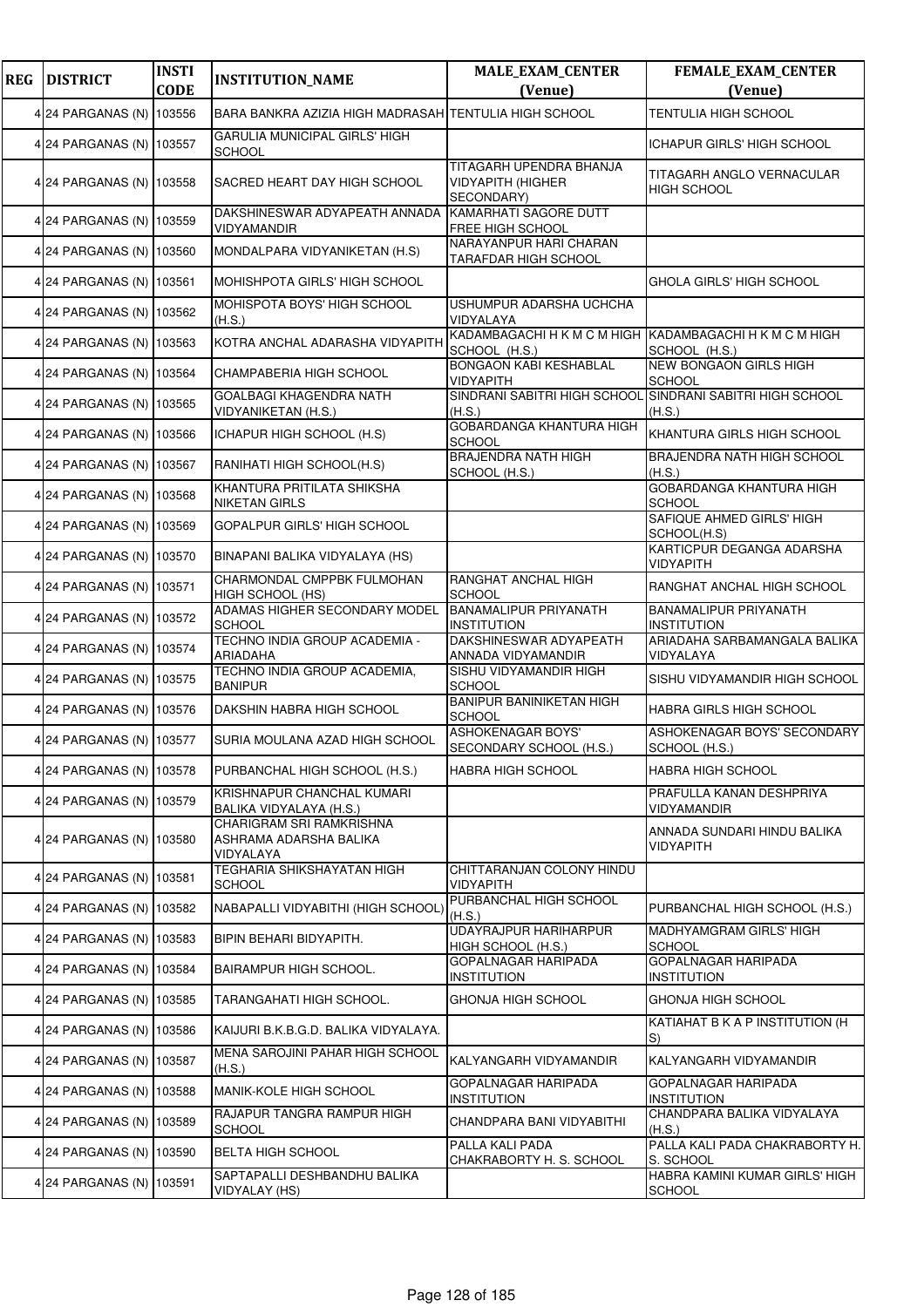| <b>REG</b> | <b>DISTRICT</b>          | <b>INSTI</b><br><b>CODE</b> | <b>INSTITUTION_NAME</b>                                         | <b>MALE_EXAM_CENTER</b><br>(Venue)                                       | <b>FEMALE_EXAM_CENTER</b><br>(Venue)                   |
|------------|--------------------------|-----------------------------|-----------------------------------------------------------------|--------------------------------------------------------------------------|--------------------------------------------------------|
|            | 4 24 PARGANAS (N) 103556 |                             | BARA BANKRA AZIZIA HIGH MADRASAH TENTULIA HIGH SCHOOL           |                                                                          | <b>TENTULIA HIGH SCHOOL</b>                            |
|            | 4 24 PARGANAS (N) 103557 |                             | GARULIA MUNICIPAL GIRLS' HIGH                                   |                                                                          | <b>ICHAPUR GIRLS' HIGH SCHOOL</b>                      |
|            | 4 24 PARGANAS (N) 103558 |                             | <b>SCHOOL</b><br>SACRED HEART DAY HIGH SCHOOL                   | TITAGARH UPENDRA BHANJA<br><b>VIDYAPITH (HIGHER</b><br>SECONDARY)        | <b>TITAGARH ANGLO VERNACULAR</b><br><b>HIGH SCHOOL</b> |
|            | 4 24 PARGANAS (N) 103559 |                             | DAKSHINESWAR ADYAPEATH ANNADA<br>VIDYAMANDIR                    | KAMARHATI SAGORE DUTT<br>FREE HIGH SCHOOL                                |                                                        |
|            | 4 24 PARGANAS (N) 103560 |                             | MONDALPARA VIDYANIKETAN (H.S)                                   | NARAYANPUR HARI CHARAN<br><b>TARAFDAR HIGH SCHOOL</b>                    |                                                        |
|            | 4 24 PARGANAS (N) 103561 |                             | MOHISHPOTA GIRLS' HIGH SCHOOL                                   |                                                                          | <b>GHOLA GIRLS' HIGH SCHOOL</b>                        |
|            | 4 24 PARGANAS (N) 103562 |                             | MOHISPOTA BOYS' HIGH SCHOOL<br>(H.S.)                           | USHUMPUR ADARSHA UCHCHA<br>VIDYALAYA                                     |                                                        |
|            | 4 24 PARGANAS (N) 103563 |                             | KOTRA ANCHAL ADARASHA VIDYAPITH                                 | KADAMBAGACHI H K M C M HIGH KADAMBAGACHI H K M C M HIGH<br>SCHOOL (H.S.) | SCHOOL (H.S.)                                          |
|            | 4 24 PARGANAS (N) 103564 |                             | CHAMPABERIA HIGH SCHOOL                                         | <b>BONGAON KABI KESHABLAL</b><br>VIDYAPITH                               | <b>NEW BONGAON GIRLS HIGH</b><br><b>SCHOOL</b>         |
|            | 4 24 PARGANAS (N) 103565 |                             | GOALBAGI KHAGENDRA NATH<br>VIDYANIKETAN (H.S.)                  | SINDRANI SABITRI HIGH SCHOOL<br>(H.S.)                                   | SINDRANI SABITRI HIGH SCHOOL<br>(H.S.)                 |
|            | 4 24 PARGANAS (N) 103566 |                             | ICHAPUR HIGH SCHOOL (H.S)                                       | GOBARDANGA KHANTURA HIGH<br><b>SCHOOL</b>                                | KHANTURA GIRLS HIGH SCHOOL                             |
|            | 4 24 PARGANAS (N) 103567 |                             | RANIHATI HIGH SCHOOL(H.S)                                       | <b>BRAJENDRA NATH HIGH</b><br>SCHOOL (H.S.)                              | <b>BRAJENDRA NATH HIGH SCHOOL</b><br>(H.S.)            |
|            | 4 24 PARGANAS (N) 103568 |                             | KHANTURA PRITILATA SHIKSHA<br><b>NIKETAN GIRLS</b>              |                                                                          | GOBARDANGA KHANTURA HIGH<br><b>SCHOOL</b>              |
|            | 4 24 PARGANAS (N) 103569 |                             | GOPALPUR GIRLS' HIGH SCHOOL                                     |                                                                          | SAFIQUE AHMED GIRLS' HIGH<br>SCHOOL(H.S)               |
|            | 4 24 PARGANAS (N) 103570 |                             | BINAPANI BALIKA VIDYALAYA (HS)                                  |                                                                          | KARTICPUR DEGANGA ADARSHA<br>VIDYAPITH                 |
|            | 4 24 PARGANAS (N) 103571 |                             | CHARMONDAL CMPPBK FULMOHAN<br>HIGH SCHOOL (HS)                  | RANGHAT ANCHAL HIGH<br><b>SCHOOL</b>                                     | RANGHAT ANCHAL HIGH SCHOOL                             |
|            | 4 24 PARGANAS (N) 103572 |                             | ADAMAS HIGHER SECONDARY MODEL<br><b>SCHOOL</b>                  | <b>BANAMALIPUR PRIYANATH</b><br><b>INSTITUTION</b>                       | <b>BANAMALIPUR PRIYANATH</b><br><b>INSTITUTION</b>     |
|            | 4 24 PARGANAS (N) 103574 |                             | TECHNO INDIA GROUP ACADEMIA -<br>ARIADAHA                       | <b>DAKSHINESWAR ADYAPEATH</b><br>ANNADA VIDYAMANDIR                      | ARIADAHA SARBAMANGALA BALIKA<br>VIDYALAYA              |
|            | 4 24 PARGANAS (N) 103575 |                             | TECHNO INDIA GROUP ACADEMIA,<br><b>BANIPUR</b>                  | SISHU VIDYAMANDIR HIGH<br><b>SCHOOL</b>                                  | SISHU VIDYAMANDIR HIGH SCHOOL                          |
|            | 4 24 PARGANAS (N) 103576 |                             | DAKSHIN HABRA HIGH SCHOOL                                       | <b>BANIPUR BANINIKETAN HIGH</b><br><b>SCHOOL</b>                         | <b>HABRA GIRLS HIGH SCHOOL</b>                         |
|            | 4 24 PARGANAS (N) 103577 |                             | SURIA MOULANA AZAD HIGH SCHOOL                                  | ASHOKENAGAR BOYS'<br>SECONDARY SCHOOL (H.S.)                             | ASHOKENAGAR BOYS' SECONDARY<br>SCHOOL (H.S.)           |
|            | 4 24 PARGANAS (N) 103578 |                             | PURBANCHAL HIGH SCHOOL (H.S.)                                   | <b>HABRA HIGH SCHOOL</b>                                                 | <b>HABRA HIGH SCHOOL</b>                               |
|            | 4 24 PARGANAS (N) 103579 |                             | KRISHNAPUR CHANCHAL KUMARI<br>BALIKA VIDYALAYA (H.S.)           |                                                                          | PRAFULLA KANAN DESHPRIYA<br>VIDYAMANDIR                |
|            | 4 24 PARGANAS (N) 103580 |                             | CHARIGRAM SRI RAMKRISHNA<br>ASHRAMA ADARSHA BALIKA<br>VIDYALAYA |                                                                          | ANNADA SUNDARI HINDU BALIKA<br>VIDYAPITH               |
|            | 4 24 PARGANAS (N) 103581 |                             | <b>TEGHARIA SHIKSHAYATAN HIGH</b><br><b>SCHOOL</b>              | CHITTARANJAN COLONY HINDU<br>VIDYAPITH                                   |                                                        |
|            | 4 24 PARGANAS (N) 103582 |                             | NABAPALLI VIDYABITHI (HIGH SCHOOL)                              | PURBANCHAL HIGH SCHOOL<br>(H.S.)                                         | PURBANCHAL HIGH SCHOOL (H.S.)                          |
|            | 4 24 PARGANAS (N) 103583 |                             | BIPIN BEHARI BIDYAPITH.                                         | <b>UDAYRAJPUR HARIHARPUR</b><br>HIGH SCHOOL (H.S.)                       | MADHYAMGRAM GIRLS' HIGH<br><b>SCHOOL</b>               |
|            | 4 24 PARGANAS (N) 103584 |                             | BAIRAMPUR HIGH SCHOOL.                                          | GOPALNAGAR HARIPADA<br><b>INSTITUTION</b>                                | GOPALNAGAR HARIPADA<br><b>INSTITUTION</b>              |
|            | 4 24 PARGANAS (N) 103585 |                             | TARANGAHATI HIGH SCHOOL.                                        | GHONJA HIGH SCHOOL                                                       | GHONJA HIGH SCHOOL                                     |
|            | 4 24 PARGANAS (N) 103586 |                             | KAIJURI B.K.B.G.D. BALIKA VIDYALAYA.                            |                                                                          | KATIAHAT B K A P INSTITUTION (H<br>S)                  |
|            | 4 24 PARGANAS (N) 103587 |                             | MENA SAROJINI PAHAR HIGH SCHOOL<br>(H.S.)                       | KALYANGARH VIDYAMANDIR                                                   | KALYANGARH VIDYAMANDIR                                 |
|            | 4 24 PARGANAS (N) 103588 |                             | <b>MANIK-KOLE HIGH SCHOOL</b>                                   | GOPALNAGAR HARIPADA<br><b>INSTITUTION</b>                                | GOPALNAGAR HARIPADA<br><b>INSTITUTION</b>              |
|            | 4 24 PARGANAS (N) 103589 |                             | RAJAPUR TANGRA RAMPUR HIGH<br><b>SCHOOL</b>                     | CHANDPARA BANI VIDYABITHI                                                | CHANDPARA BALIKA VIDYALAYA<br>(H.S.)                   |
|            | 4 24 PARGANAS (N) 103590 |                             | <b>BELTA HIGH SCHOOL</b>                                        | PALLA KALI PADA<br>CHAKRABORTY H. S. SCHOOL                              | PALLA KALI PADA CHAKRABORTY H.<br>S. SCHOOL            |
|            | 4 24 PARGANAS (N) 103591 |                             | SAPTAPALLI DESHBANDHU BALIKA<br>VIDYALAY (HS)                   |                                                                          | HABRA KAMINI KUMAR GIRLS' HIGH<br><b>SCHOOL</b>        |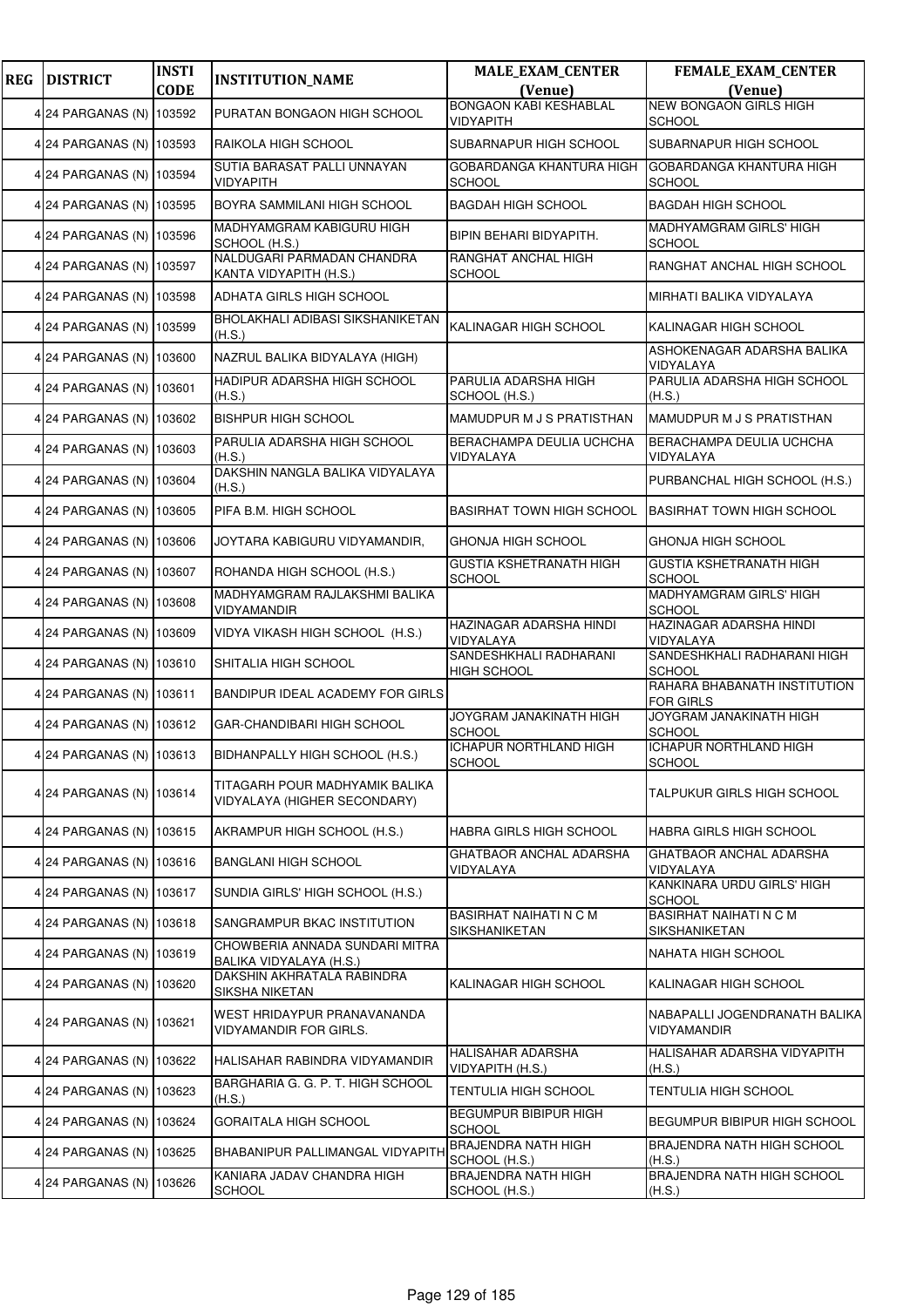| <b>REG</b> | <b>DISTRICT</b>          | <b>INSTI</b><br><b>CODE</b> | <b>INSTITUTION_NAME</b>                                        | <b>MALE_EXAM_CENTER</b><br>(Venue)               | <b>FEMALE_EXAM_CENTER</b><br>(Venue)             |
|------------|--------------------------|-----------------------------|----------------------------------------------------------------|--------------------------------------------------|--------------------------------------------------|
|            |                          |                             |                                                                | <b>BONGAON KABI KESHABLAL</b>                    | <b>NEW BONGAON GIRLS HIGH</b>                    |
|            | 4 24 PARGANAS (N)        | 103592                      | PURATAN BONGAON HIGH SCHOOL                                    | VIDYAPITH                                        | <b>SCHOOL</b>                                    |
|            | 4 24 PARGANAS (N) 103593 |                             | RAIKOLA HIGH SCHOOL                                            | SUBARNAPUR HIGH SCHOOL                           | SUBARNAPUR HIGH SCHOOL                           |
|            | 4 24 PARGANAS (N)        | 103594                      | SUTIA BARASAT PALLI UNNAYAN<br><b>VIDYAPITH</b>                | <b>GOBARDANGA KHANTURA HIGH</b><br><b>SCHOOL</b> | GOBARDANGA KHANTURA HIGH<br><b>SCHOOL</b>        |
|            | 4 24 PARGANAS (N)        | 103595                      | BOYRA SAMMILANI HIGH SCHOOL                                    | <b>BAGDAH HIGH SCHOOL</b>                        | <b>BAGDAH HIGH SCHOOL</b>                        |
|            | 4 24 PARGANAS (N) 103596 |                             | MADHYAMGRAM KABIGURU HIGH<br>SCHOOL (H.S.)                     | BIPIN BEHARI BIDYAPITH.                          | MADHYAMGRAM GIRLS' HIGH<br><b>SCHOOL</b>         |
|            | 4 24 PARGANAS (N) 103597 |                             | NALDUGARI PARMADAN CHANDRA<br>KANTA VIDYAPITH (H.S.)           | RANGHAT ANCHAL HIGH<br><b>SCHOOL</b>             | RANGHAT ANCHAL HIGH SCHOOL                       |
|            | 4 24 PARGANAS (N)        | 103598                      | ADHATA GIRLS HIGH SCHOOL                                       |                                                  | MIRHATI BALIKA VIDYALAYA                         |
|            | 4 24 PARGANAS (N)        | 103599                      | BHOLAKHALI ADIBASI SIKSHANIKETAN<br>(H.S.)                     | KALINAGAR HIGH SCHOOL                            | KALINAGAR HIGH SCHOOL                            |
|            | 4 24 PARGANAS (N)        | 103600                      | NAZRUL BALIKA BIDYALAYA (HIGH)                                 |                                                  | ASHOKENAGAR ADARSHA BALIKA<br>VIDYALAYA          |
|            | 4 24 PARGANAS (N) 103601 |                             | HADIPUR ADARSHA HIGH SCHOOL<br>(H.S.)                          | PARULIA ADARSHA HIGH<br>SCHOOL (H.S.)            | PARULIA ADARSHA HIGH SCHOOL<br>(H.S.)            |
|            | 4 24 PARGANAS (N)        | 103602                      | <b>BISHPUR HIGH SCHOOL</b>                                     | MAMUDPUR M J S PRATISTHAN                        | MAMUDPUR M J S PRATISTHAN                        |
|            | 4 24 PARGANAS (N)        | 103603                      | PARULIA ADARSHA HIGH SCHOOL<br>(H.S.)                          | <b>BERACHAMPA DEULIA UCHCHA</b><br>VIDYALAYA     | BERACHAMPA DEULIA UCHCHA<br>VIDYALAYA            |
|            | 4 24 PARGANAS (N) 103604 |                             | DAKSHIN NANGLA BALIKA VIDYALAYA<br>(H.S.)                      |                                                  | PURBANCHAL HIGH SCHOOL (H.S.)                    |
|            | 4 24 PARGANAS (N)        | 103605                      | PIFA B.M. HIGH SCHOOL                                          | <b>BASIRHAT TOWN HIGH SCHOOL</b>                 | <b>BASIRHAT TOWN HIGH SCHOOL</b>                 |
|            | 4 24 PARGANAS (N)        | 103606                      | JOYTARA KABIGURU VIDYAMANDIR,                                  | GHONJA HIGH SCHOOL                               | GHONJA HIGH SCHOOL                               |
|            | 4 24 PARGANAS (N) 103607 |                             | ROHANDA HIGH SCHOOL (H.S.)                                     | <b>GUSTIA KSHETRANATH HIGH</b><br>SCHOOL         | <b>GUSTIA KSHETRANATH HIGH</b><br><b>SCHOOL</b>  |
|            | 4 24 PARGANAS (N) 103608 |                             | MADHYAMGRAM RAJLAKSHMI BALIKA<br>VIDYAMANDIR                   |                                                  | MADHYAMGRAM GIRLS' HIGH<br><b>SCHOOL</b>         |
|            | 4 24 PARGANAS (N)        | 103609                      | VIDYA VIKASH HIGH SCHOOL (H.S.)                                | HAZINAGAR ADARSHA HINDI<br>VIDYALAYA             | HAZINAGAR ADARSHA HINDI<br>VIDYALAYA             |
|            | 4 24 PARGANAS (N) 103610 |                             | SHITALIA HIGH SCHOOL                                           | SANDESHKHALI RADHARANI<br><b>HIGH SCHOOL</b>     | SANDESHKHALI RADHARANI HIGH<br><b>SCHOOL</b>     |
|            | 4 24 PARGANAS (N) 103611 |                             | BANDIPUR IDEAL ACADEMY FOR GIRLS                               |                                                  | RAHARA BHABANATH INSTITUTION<br><b>FOR GIRLS</b> |
|            | 4 24 PARGANAS (N) 103612 |                             | GAR-CHANDIBARI HIGH SCHOOL                                     | JOYGRAM JANAKINATH HIGH<br>SCHOOL                | JOYGRAM JANAKINATH HIGH<br><b>SCHOOL</b>         |
|            | 4 24 PARGANAS (N) 103613 |                             | BIDHANPALLY HIGH SCHOOL (H.S.)                                 | <b>ICHAPUR NORTHLAND HIGH</b><br><b>SCHOOL</b>   | <b>ICHAPUR NORTHLAND HIGH</b><br><b>SCHOOL</b>   |
|            | 4 24 PARGANAS (N)        | 103614                      | TITAGARH POUR MADHYAMIK BALIKA<br>VIDYALAYA (HIGHER SECONDARY) |                                                  | TALPUKUR GIRLS HIGH SCHOOL                       |
|            | 4 24 PARGANAS (N)        | 103615                      | AKRAMPUR HIGH SCHOOL (H.S.)                                    | HABRA GIRLS HIGH SCHOOL                          | HABRA GIRLS HIGH SCHOOL                          |
|            | 4 24 PARGANAS (N) 103616 |                             | <b>BANGLANI HIGH SCHOOL</b>                                    | GHATBAOR ANCHAL ADARSHA<br>VIDYALAYA             | GHATBAOR ANCHAL ADARSHA<br>VIDYALAYA             |
|            | 4 24 PARGANAS (N)        | 103617                      | SUNDIA GIRLS' HIGH SCHOOL (H.S.)                               |                                                  | KANKINARA URDU GIRLS' HIGH<br><b>SCHOOL</b>      |
|            | 4 24 PARGANAS (N)        | 103618                      | SANGRAMPUR BKAC INSTITUTION                                    | BASIRHAT NAIHATI N C M<br>SIKSHANIKETAN          | <b>BASIRHAT NAIHATI N C M</b><br>SIKSHANIKETAN   |
|            | 4 24 PARGANAS (N) 103619 |                             | CHOWBERIA ANNADA SUNDARI MITRA<br>BALIKA VIDYALAYA (H.S.)      |                                                  | NAHATA HIGH SCHOOL                               |
|            | 4 24 PARGANAS (N)        | 103620                      | DAKSHIN AKHRATALA RABINDRA<br>SIKSHA NIKETAN                   | KALINAGAR HIGH SCHOOL                            | KALINAGAR HIGH SCHOOL                            |
|            | 4 24 PARGANAS (N)        | 103621                      | WEST HRIDAYPUR PRANAVANANDA<br>VIDYAMANDIR FOR GIRLS.          |                                                  | NABAPALLI JOGENDRANATH BALIKA<br>VIDYAMANDIR     |
|            | 4 24 PARGANAS (N)        | 103622                      | HALISAHAR RABINDRA VIDYAMANDIR                                 | HALISAHAR ADARSHA<br>VIDYAPITH (H.S.)            | HALISAHAR ADARSHA VIDYAPITH<br>(H.S.)            |
|            | 4 24 PARGANAS (N)        | 103623                      | BARGHARIA G. G. P. T. HIGH SCHOOL<br>(H.S.)                    | TENTULIA HIGH SCHOOL                             | TENTULIA HIGH SCHOOL                             |
|            | 4 24 PARGANAS (N) 103624 |                             | <b>GORAITALA HIGH SCHOOL</b>                                   | <b>BEGUMPUR BIBIPUR HIGH</b><br><b>SCHOOL</b>    | BEGUMPUR BIBIPUR HIGH SCHOOL                     |
|            | 4 24 PARGANAS (N)        | 103625                      | BHABANIPUR PALLIMANGAL VIDYAPITH                               | <b>BRAJENDRA NATH HIGH</b><br>SCHOOL (H.S.)      | BRAJENDRA NATH HIGH SCHOOL<br>(H.S.)             |
|            | 4 24 PARGANAS (N)        | 103626                      | KANIARA JADAV CHANDRA HIGH<br><b>SCHOOL</b>                    | <b>BRAJENDRA NATH HIGH</b><br>SCHOOL (H.S.)      | BRAJENDRA NATH HIGH SCHOOL<br>(H.S.)             |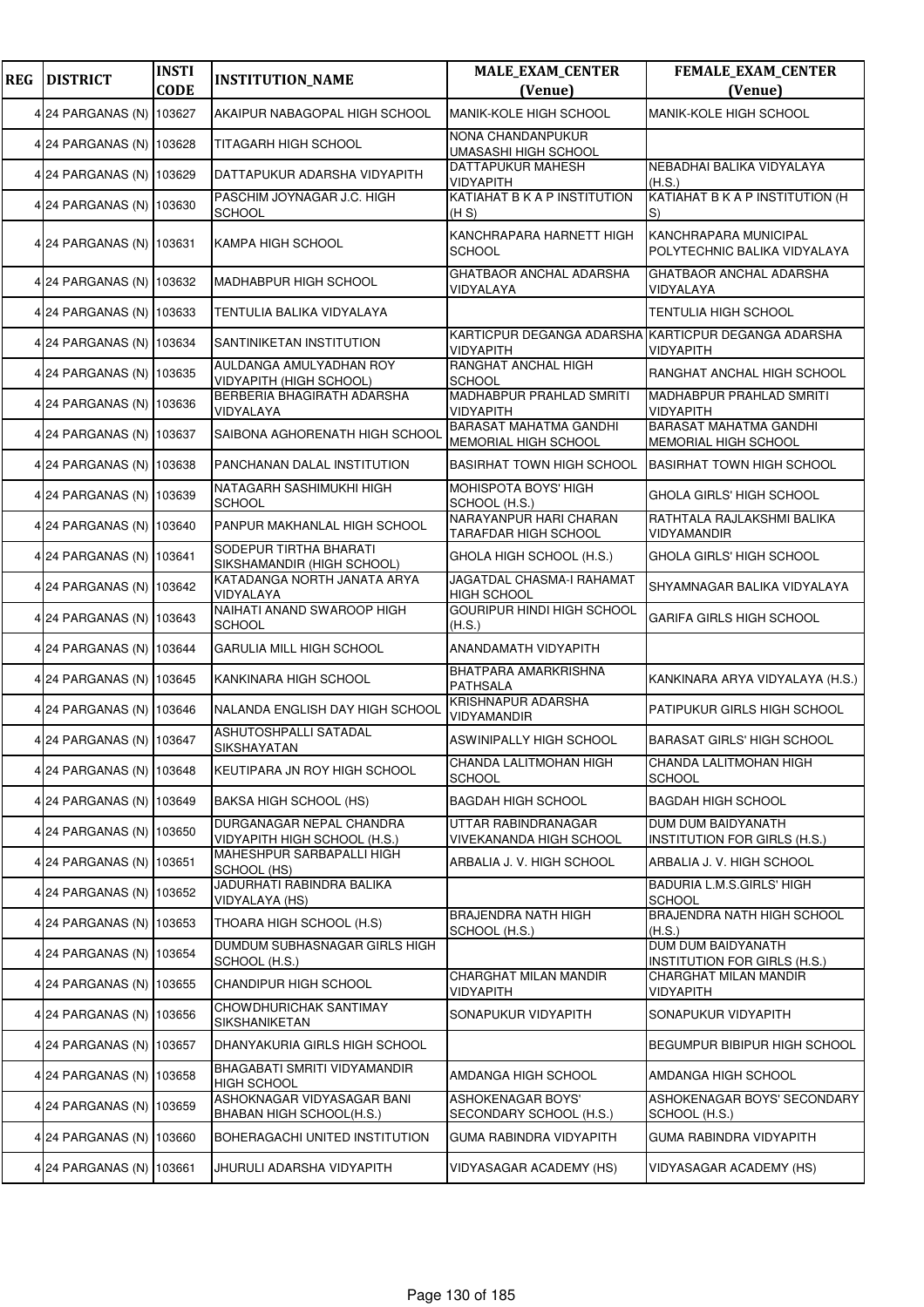| <b>REG</b> | <b>DISTRICT</b>          | <b>INSTI</b><br><b>CODE</b> | <b>INSTITUTION_NAME</b>                                   | <b>MALE_EXAM_CENTER</b><br>(Venue)                               | <b>FEMALE_EXAM_CENTER</b><br>(Venue)                  |
|------------|--------------------------|-----------------------------|-----------------------------------------------------------|------------------------------------------------------------------|-------------------------------------------------------|
|            | 4 24 PARGANAS (N)        | 103627                      | AKAIPUR NABAGOPAL HIGH SCHOOL                             | MANIK-KOLE HIGH SCHOOL                                           | MANIK-KOLE HIGH SCHOOL                                |
|            | 4 24 PARGANAS (N) 103628 |                             | TITAGARH HIGH SCHOOL                                      | NONA CHANDANPUKUR<br>UMASASHI HIGH SCHOOL                        |                                                       |
|            | 4 24 PARGANAS (N)        | 103629                      | DATTAPUKUR ADARSHA VIDYAPITH                              | <b>DATTAPUKUR MAHESH</b><br><b>VIDYAPITH</b>                     | NEBADHAI BALIKA VIDYALAYA<br>(H.S.)                   |
|            | 4 24 PARGANAS (N)        | 103630                      | PASCHIM JOYNAGAR J.C. HIGH<br><b>SCHOOL</b>               | KATIAHAT B K A P INSTITUTION<br>(H S)                            | KATIAHAT B K A P INSTITUTION (H<br>S)                 |
|            | 4 24 PARGANAS (N) 103631 |                             | KAMPA HIGH SCHOOL                                         | KANCHRAPARA HARNETT HIGH<br><b>SCHOOL</b>                        | KANCHRAPARA MUNICIPAL<br>POLYTECHNIC BALIKA VIDYALAYA |
|            | 4 24 PARGANAS (N)        | 103632                      | MADHABPUR HIGH SCHOOL                                     | GHATBAOR ANCHAL ADARSHA<br>VIDYALAYA                             | <b>GHATBAOR ANCHAL ADARSHA</b><br>VIDYALAYA           |
|            | 4 24 PARGANAS (N) 103633 |                             | TENTULIA BALIKA VIDYALAYA                                 |                                                                  | TENTULIA HIGH SCHOOL                                  |
|            | 4 24 PARGANAS (N)        | 103634                      | SANTINIKETAN INSTITUTION                                  | KARTICPUR DEGANGA ADARSHA KARTICPUR DEGANGA ADARSHA<br>VIDYAPITH | <b>VIDYAPITH</b>                                      |
|            | 4 24 PARGANAS (N)        | 103635                      | AULDANGA AMULYADHAN ROY<br><b>VIDYAPITH (HIGH SCHOOL)</b> | RANGHAT ANCHAL HIGH<br><b>SCHOOL</b>                             | RANGHAT ANCHAL HIGH SCHOOL                            |
|            | 4 24 PARGANAS (N) 103636 |                             | BERBERIA BHAGIRATH ADARSHA<br>VIDYALAYA                   | MADHABPUR PRAHLAD SMRITI<br>VIDYAPITH                            | MADHABPUR PRAHLAD SMRITI<br><b>VIDYAPITH</b>          |
|            | 4 24 PARGANAS (N)        | 103637                      | SAIBONA AGHORENATH HIGH SCHOOL                            | <b>BARASAT MAHATMA GANDHI</b><br>MEMORIAL HIGH SCHOOL            | <b>BARASAT MAHATMA GANDHI</b><br>MEMORIAL HIGH SCHOOL |
|            | 4 24 PARGANAS (N)        | 103638                      | PANCHANAN DALAL INSTITUTION                               | <b>BASIRHAT TOWN HIGH SCHOOL</b>                                 | <b>BASIRHAT TOWN HIGH SCHOOL</b>                      |
|            | 4 24 PARGANAS (N) 103639 |                             | NATAGARH SASHIMUKHI HIGH<br><b>SCHOOL</b>                 | <b>MOHISPOTA BOYS' HIGH</b><br>SCHOOL (H.S.)                     | GHOLA GIRLS' HIGH SCHOOL                              |
|            | 4 24 PARGANAS (N)        | 103640                      | PANPUR MAKHANLAL HIGH SCHOOL                              | NARAYANPUR HARI CHARAN<br>TARAFDAR HIGH SCHOOL                   | RATHTALA RAJLAKSHMI BALIKA<br>VIDYAMANDIR             |
|            | 4 24 PARGANAS (N)        | 103641                      | SODEPUR TIRTHA BHARATI<br>SIKSHAMANDIR (HIGH SCHOOL)      | GHOLA HIGH SCHOOL (H.S.)                                         | GHOLA GIRLS' HIGH SCHOOL                              |
|            | 4 24 PARGANAS (N)        | 103642                      | KATADANGA NORTH JANATA ARYA<br>VIDYALAYA                  | <b>JAGATDAL CHASMA-I RAHAMAT</b><br><b>HIGH SCHOOL</b>           | SHYAMNAGAR BALIKA VIDYALAYA                           |
|            | 4 24 PARGANAS (N)        | 103643                      | NAIHATI ANAND SWAROOP HIGH<br><b>SCHOOL</b>               | GOURIPUR HINDI HIGH SCHOOL<br>(H.S.)                             | GARIFA GIRLS HIGH SCHOOL                              |
|            | 4 24 PARGANAS (N) 103644 |                             | <b>GARULIA MILL HIGH SCHOOL</b>                           | ANANDAMATH VIDYAPITH                                             |                                                       |
|            | 4 24 PARGANAS (N)        | 103645                      | KANKINARA HIGH SCHOOL                                     | BHATPARA AMARKRISHNA<br><b>PATHSALA</b>                          | KANKINARA ARYA VIDYALAYA (H.S.)                       |
|            | 4 24 PARGANAS (N)        | 103646                      | NALANDA ENGLISH DAY HIGH SCHOOL                           | <b>KRISHNAPUR ADARSHA</b><br>VIDYAMANDIR                         | PATIPUKUR GIRLS HIGH SCHOOL                           |
|            | 4 24 PARGANAS (N) 103647 |                             | ASHUTOSHPALLI SATADAL<br>SIKSHAYATAN                      | ASWINIPALLY HIGH SCHOOL                                          | <b>BARASAT GIRLS' HIGH SCHOOL</b>                     |
|            | 4 24 PARGANAS (N)        | 103648                      | KEUTIPARA JN ROY HIGH SCHOOL                              | CHANDA LALITMOHAN HIGH<br>SCHOOL                                 | CHANDA LALITMOHAN HIGH<br><b>SCHOOL</b>               |
|            | 4 24 PARGANAS (N)        | 103649                      | BAKSA HIGH SCHOOL (HS)                                    | <b>BAGDAH HIGH SCHOOL</b>                                        | <b>BAGDAH HIGH SCHOOL</b>                             |
|            | 4 24 PARGANAS (N)        | 103650                      | DURGANAGAR NEPAL CHANDRA<br>VIDYAPITH HIGH SCHOOL (H.S.)  | UTTAR RABINDRANAGAR<br>VIVEKANANDA HIGH SCHOOL                   | DUM DUM BAIDYANATH<br>INSTITUTION FOR GIRLS (H.S.)    |
|            | 4 24 PARGANAS (N) 103651 |                             | MAHESHPUR SARBAPALLI HIGH<br>SCHOOL (HS)                  | ARBALIA J. V. HIGH SCHOOL                                        | ARBALIA J. V. HIGH SCHOOL                             |
|            | 4 24 PARGANAS (N)        | 103652                      | JADURHATI RABINDRA BALIKA<br>VIDYALAYA (HS)               |                                                                  | BADURIA L.M.S.GIRLS' HIGH<br><b>SCHOOL</b>            |
|            | 4 24 PARGANAS (N)        | 103653                      | THOARA HIGH SCHOOL (H.S)                                  | BRAJENDRA NATH HIGH<br>SCHOOL (H.S.)                             | BRAJENDRA NATH HIGH SCHOOL<br>(H.S.)                  |
|            | 4 24 PARGANAS (N) 103654 |                             | DUMDUM SUBHASNAGAR GIRLS HIGH<br>SCHOOL (H.S.)            |                                                                  | DUM DUM BAIDYANATH<br>INSTITUTION FOR GIRLS (H.S.)    |
|            | 4 24 PARGANAS (N)        | 103655                      | <b>CHANDIPUR HIGH SCHOOL</b>                              | CHARGHAT MILAN MANDIR<br>VIDYAPITH                               | CHARGHAT MILAN MANDIR<br><b>VIDYAPITH</b>             |
|            | 4 24 PARGANAS (N)        | 103656                      | CHOWDHURICHAK SANTIMAY<br>SIKSHANIKETAN                   | SONAPUKUR VIDYAPITH                                              | SONAPUKUR VIDYAPITH                                   |
|            | 4 24 PARGANAS (N)        | 103657                      | DHANYAKURIA GIRLS HIGH SCHOOL                             |                                                                  | BEGUMPUR BIBIPUR HIGH SCHOOL                          |
|            | 4 24 PARGANAS (N)        | 103658                      | BHAGABATI SMRITI VIDYAMANDIR<br><b>HIGH SCHOOL</b>        | AMDANGA HIGH SCHOOL                                              | AMDANGA HIGH SCHOOL                                   |
|            | 4 24 PARGANAS (N)        | 103659                      | ASHOKNAGAR VIDYASAGAR BANI<br>BHABAN HIGH SCHOOL(H.S.)    | <b>ASHOKENAGAR BOYS'</b><br>SECONDARY SCHOOL (H.S.)              | ASHOKENAGAR BOYS' SECONDARY<br>SCHOOL (H.S.)          |
|            | 4 24 PARGANAS (N)        | 103660                      | BOHERAGACHI UNITED INSTITUTION                            | GUMA RABINDRA VIDYAPITH                                          | GUMA RABINDRA VIDYAPITH                               |
|            | 4 24 PARGANAS (N) 103661 |                             | JHURULI ADARSHA VIDYAPITH                                 | VIDYASAGAR ACADEMY (HS)                                          | VIDYASAGAR ACADEMY (HS)                               |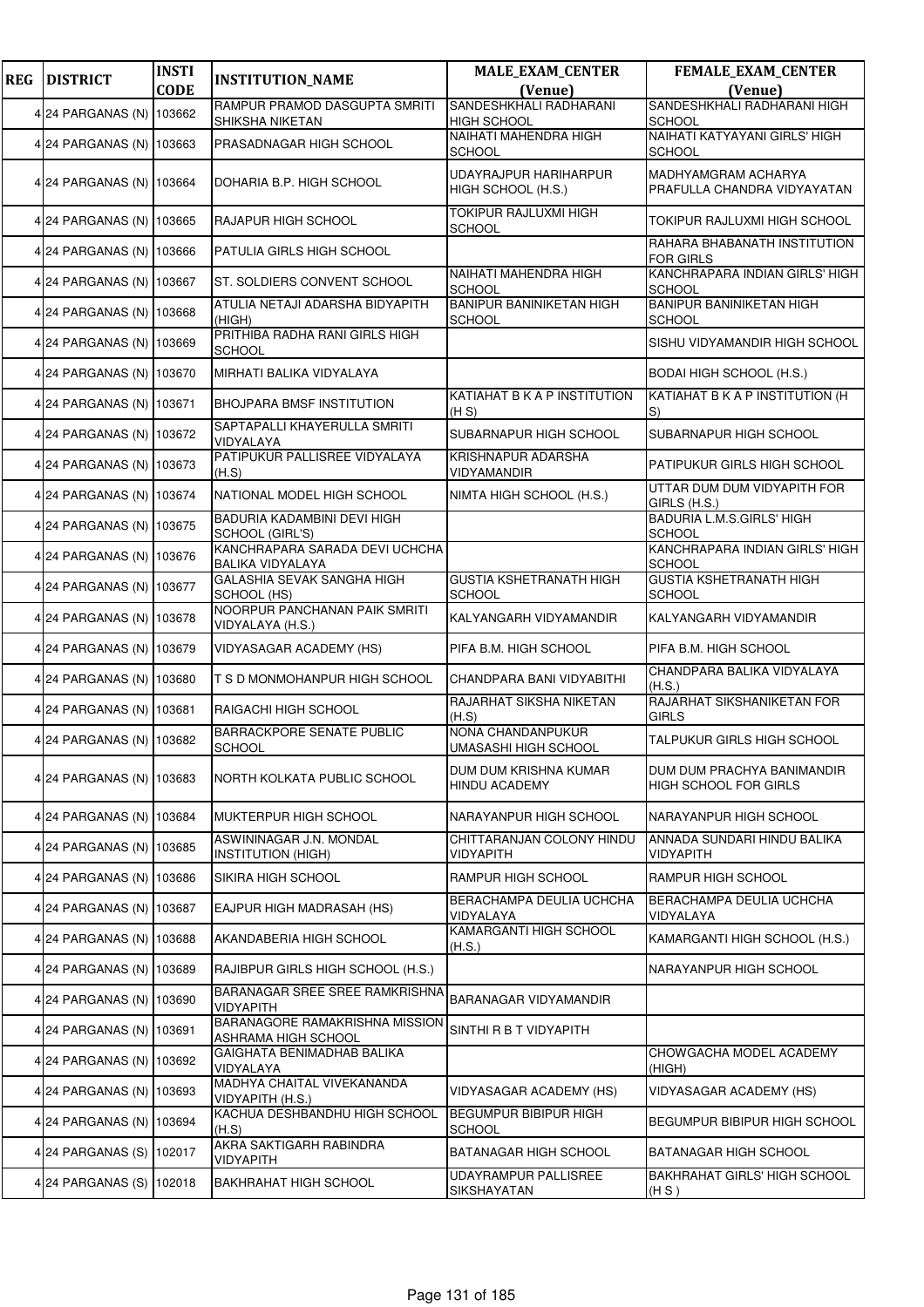| <b>REG</b> | <b>DISTRICT</b>          | <b>INSTI</b> | <b>INSTITUTION_NAME</b>                                   | <b>MALE_EXAM_CENTER</b>                          | FEMALE_EXAM_CENTER                                  |
|------------|--------------------------|--------------|-----------------------------------------------------------|--------------------------------------------------|-----------------------------------------------------|
|            |                          | <b>CODE</b>  | RAMPUR PRAMOD DASGUPTA SMRITI                             | (Venue)<br>SANDESHKHALI RADHARANI                | (Venue)<br>SANDESHKHALI RADHARANI HIGH              |
|            | 4 24 PARGANAS (N) 103662 |              | SHIKSHA NIKETAN                                           | <b>HIGH SCHOOL</b>                               | <b>SCHOOL</b>                                       |
|            | 4 24 PARGANAS (N) 103663 |              | PRASADNAGAR HIGH SCHOOL                                   | NAIHATI MAHENDRA HIGH<br><b>SCHOOL</b>           | NAIHATI KATYAYANI GIRLS' HIGH<br><b>SCHOOL</b>      |
|            | 4 24 PARGANAS (N) 103664 |              | DOHARIA B.P. HIGH SCHOOL                                  | UDAYRAJPUR HARIHARPUR<br>HIGH SCHOOL (H.S.)      | MADHYAMGRAM ACHARYA<br>PRAFULLA CHANDRA VIDYAYATAN  |
|            | 4 24 PARGANAS (N) 103665 |              | RAJAPUR HIGH SCHOOL                                       | TOKIPUR RAJLUXMI HIGH<br><b>SCHOOL</b>           | TOKIPUR RAJLUXMI HIGH SCHOOL                        |
|            | 4 24 PARGANAS (N) 103666 |              | PATULIA GIRLS HIGH SCHOOL                                 |                                                  | RAHARA BHABANATH INSTITUTION<br><b>FOR GIRLS</b>    |
|            | 4 24 PARGANAS (N) 103667 |              | ST. SOLDIERS CONVENT SCHOOL                               | NAIHATI MAHENDRA HIGH<br><b>SCHOOL</b>           | KANCHRAPARA INDIAN GIRLS' HIGH<br><b>SCHOOL</b>     |
|            | 4 24 PARGANAS (N) 103668 |              | ATULIA NETAJI ADARSHA BIDYAPITH<br>(HIGH)                 | <b>BANIPUR BANINIKETAN HIGH</b><br><b>SCHOOL</b> | <b>BANIPUR BANINIKETAN HIGH</b><br><b>SCHOOL</b>    |
|            | 4 24 PARGANAS (N) 103669 |              | PRITHIBA RADHA RANI GIRLS HIGH<br><b>SCHOOL</b>           |                                                  | SISHU VIDYAMANDIR HIGH SCHOOL                       |
|            | 4 24 PARGANAS (N) 103670 |              | MIRHATI BALIKA VIDYALAYA                                  |                                                  | <b>BODAI HIGH SCHOOL (H.S.)</b>                     |
|            | 4 24 PARGANAS (N) 103671 |              | <b>BHOJPARA BMSF INSTITUTION</b>                          | KATIAHAT B K A P INSTITUTION<br>(H S)            | KATIAHAT B K A P INSTITUTION (H<br>S)               |
|            | 4 24 PARGANAS (N) 103672 |              | SAPTAPALLI KHAYERULLA SMRITI<br>VIDYALAYA                 | SUBARNAPUR HIGH SCHOOL                           | SUBARNAPUR HIGH SCHOOL                              |
|            | 4 24 PARGANAS (N) 103673 |              | PATIPUKUR PALLISREE VIDYALAYA<br>(H.S)                    | <b>KRISHNAPUR ADARSHA</b><br>VIDYAMANDIR         | PATIPUKUR GIRLS HIGH SCHOOL                         |
|            | 4 24 PARGANAS (N) 103674 |              | NATIONAL MODEL HIGH SCHOOL                                | NIMTA HIGH SCHOOL (H.S.)                         | UTTAR DUM DUM VIDYAPITH FOR<br>GIRLS (H.S.)         |
|            | 4 24 PARGANAS (N) 103675 |              | BADURIA KADAMBINI DEVI HIGH<br><b>SCHOOL (GIRL'S)</b>     |                                                  | <b>BADURIA L.M.S.GIRLS' HIGH</b><br><b>SCHOOL</b>   |
|            | 4 24 PARGANAS (N) 103676 |              | KANCHRAPARA SARADA DEVI UCHCHA<br><b>BALIKA VIDYALAYA</b> |                                                  | KANCHRAPARA INDIAN GIRLS' HIGH<br><b>SCHOOL</b>     |
|            | 4 24 PARGANAS (N) 103677 |              | GALASHIA SEVAK SANGHA HIGH<br>SCHOOL (HS)                 | <b>GUSTIA KSHETRANATH HIGH</b><br><b>SCHOOL</b>  | <b>GUSTIA KSHETRANATH HIGH</b><br><b>SCHOOL</b>     |
|            | 4 24 PARGANAS (N) 103678 |              | NOORPUR PANCHANAN PAIK SMRITI<br>VIDYALAYA (H.S.)         | KALYANGARH VIDYAMANDIR                           | KALYANGARH VIDYAMANDIR                              |
|            | 4 24 PARGANAS (N) 103679 |              | VIDYASAGAR ACADEMY (HS)                                   | PIFA B.M. HIGH SCHOOL                            | PIFA B.M. HIGH SCHOOL                               |
|            | 4 24 PARGANAS (N) 103680 |              | T S D MONMOHANPUR HIGH SCHOOL                             | CHANDPARA BANI VIDYABITHI                        | CHANDPARA BALIKA VIDYALAYA<br>(H.S.)                |
|            | 4 24 PARGANAS (N) 103681 |              | RAIGACHI HIGH SCHOOL                                      | RAJARHAT SIKSHA NIKETAN<br>(H.S)                 | RAJARHAT SIKSHANIKETAN FOR<br><b>GIRLS</b>          |
|            | 4 24 PARGANAS (N) 103682 |              | <b>BARRACKPORE SENATE PUBLIC</b><br><b>SCHOOL</b>         | NONA CHANDANPUKUR<br><b>UMASASHI HIGH SCHOOL</b> | TALPUKUR GIRLS HIGH SCHOOL                          |
|            | 4 24 PARGANAS (N) 103683 |              | NORTH KOLKATA PUBLIC SCHOOL                               | DUM DUM KRISHNA KUMAR<br><b>HINDU ACADEMY</b>    | DUM DUM PRACHYA BANIMANDIR<br>HIGH SCHOOL FOR GIRLS |
|            | 4 24 PARGANAS (N) 103684 |              | MUKTERPUR HIGH SCHOOL                                     | NARAYANPUR HIGH SCHOOL                           | NARAYANPUR HIGH SCHOOL                              |
|            | 4 24 PARGANAS (N) 103685 |              | ASWININAGAR J.N. MONDAL<br><b>INSTITUTION (HIGH)</b>      | CHITTARANJAN COLONY HINDU<br>VIDYAPITH           | ANNADA SUNDARI HINDU BALIKA<br><b>VIDYAPITH</b>     |
|            | 4 24 PARGANAS (N) 103686 |              | SIKIRA HIGH SCHOOL                                        | RAMPUR HIGH SCHOOL                               | RAMPUR HIGH SCHOOL                                  |
|            | 4 24 PARGANAS (N) 103687 |              | EAJPUR HIGH MADRASAH (HS)                                 | BERACHAMPA DEULIA UCHCHA<br>VIDYALAYA            | BERACHAMPA DEULIA UCHCHA<br>VIDYALAYA               |
|            | 4 24 PARGANAS (N) 103688 |              | AKANDABERIA HIGH SCHOOL                                   | KAMARGANTI HIGH SCHOOL<br>(H.S.)                 | KAMARGANTI HIGH SCHOOL (H.S.)                       |
|            | 4 24 PARGANAS (N) 103689 |              | RAJIBPUR GIRLS HIGH SCHOOL (H.S.)                         |                                                  | NARAYANPUR HIGH SCHOOL                              |
|            | 4 24 PARGANAS (N) 103690 |              | BARANAGAR SREE SREE RAMKRISHNA<br><b>VIDYAPITH</b>        | BARANAGAR VIDYAMANDIR                            |                                                     |
|            | 4 24 PARGANAS (N) 103691 |              | BARANAGORE RAMAKRISHNA MISSION<br>ASHRAMA HIGH SCHOOL     | SINTHI R B T VIDYAPITH                           |                                                     |
|            | 4 24 PARGANAS (N) 103692 |              | GAIGHATA BENIMADHAB BALIKA<br>VIDYALAYA                   |                                                  | CHOWGACHA MODEL ACADEMY<br>(HIGH)                   |
|            | 4 24 PARGANAS (N) 103693 |              | MADHYA CHAITAL VIVEKANANDA<br>VIDYAPITH (H.S.)            | VIDYASAGAR ACADEMY (HS)                          | VIDYASAGAR ACADEMY (HS)                             |
|            | 4 24 PARGANAS (N) 103694 |              | KACHUA DESHBANDHU HIGH SCHOOL<br>(H.S)                    | <b>BEGUMPUR BIBIPUR HIGH</b><br><b>SCHOOL</b>    | BEGUMPUR BIBIPUR HIGH SCHOOL                        |
|            | 4 24 PARGANAS (S) 102017 |              | AKRA SAKTIGARH RABINDRA<br><b>VIDYAPITH</b>               | BATANAGAR HIGH SCHOOL                            | BATANAGAR HIGH SCHOOL                               |
|            | 4 24 PARGANAS (S) 102018 |              | <b>BAKHRAHAT HIGH SCHOOL</b>                              | <b>UDAYRAMPUR PALLISREE</b><br>SIKSHAYATAN       | BAKHRAHAT GIRLS' HIGH SCHOOL<br>(H S)               |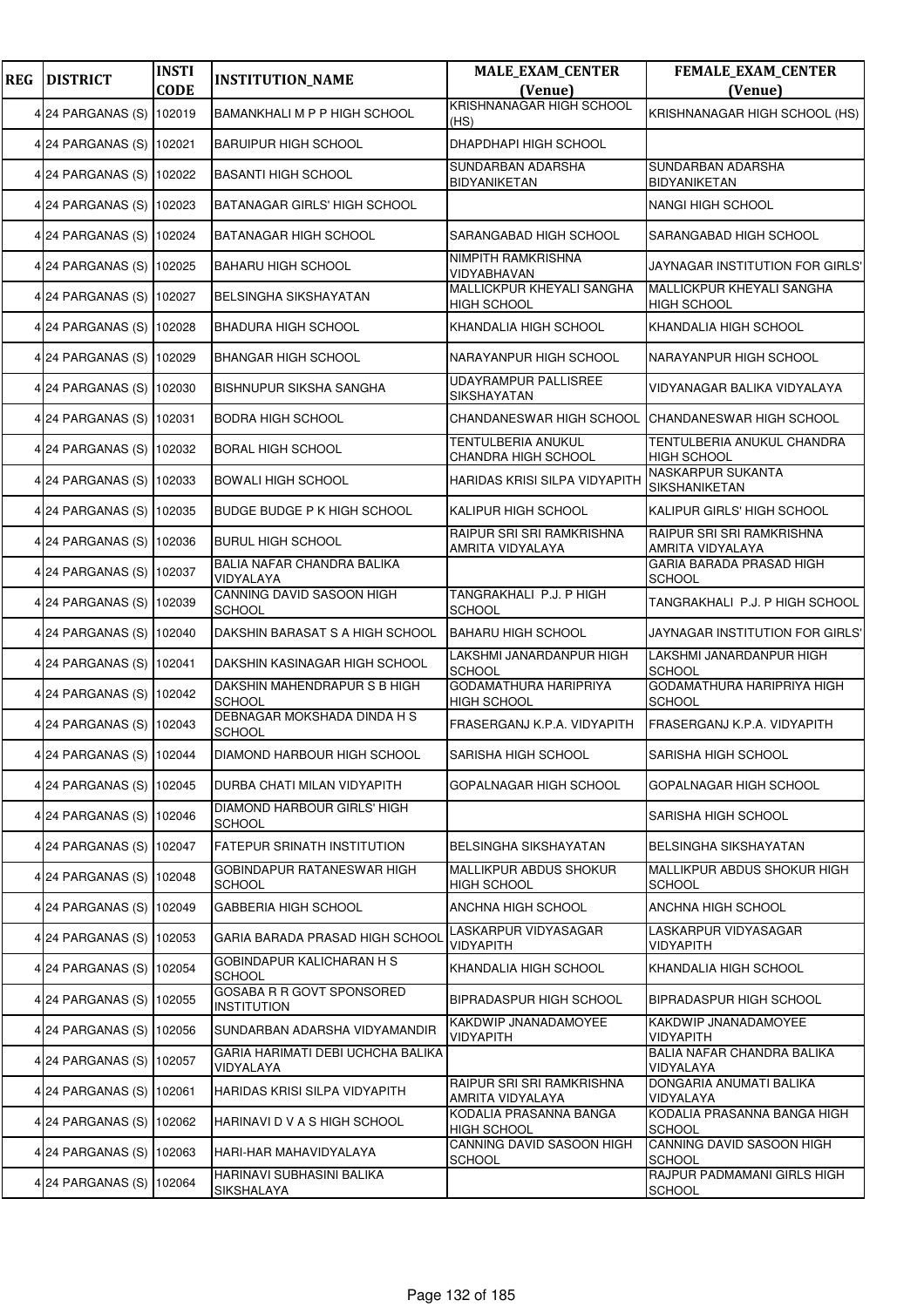| <b>REG</b> | <b>DISTRICT</b>          | <b>INSTI</b><br><b>CODE</b> | <b>INSTITUTION_NAME</b>                         | <b>MALE_EXAM_CENTER</b><br>(Venue)              | FEMALE_EXAM_CENTER<br>(Venue)                    |
|------------|--------------------------|-----------------------------|-------------------------------------------------|-------------------------------------------------|--------------------------------------------------|
|            | 4 24 PARGANAS (S) 102019 |                             | BAMANKHALI M P P HIGH SCHOOL                    | KRISHNANAGAR HIGH SCHOOL<br>(HS)                | KRISHNANAGAR HIGH SCHOOL (HS)                    |
|            | 4 24 PARGANAS (S) 102021 |                             | <b>BARUIPUR HIGH SCHOOL</b>                     | DHAPDHAPI HIGH SCHOOL                           |                                                  |
|            | 4 24 PARGANAS (S)        | 102022                      | <b>BASANTI HIGH SCHOOL</b>                      | SUNDARBAN ADARSHA<br>BIDYANIKETAN               | SUNDARBAN ADARSHA<br>BIDYANIKETAN                |
|            | 4 24 PARGANAS (S) 102023 |                             | BATANAGAR GIRLS' HIGH SCHOOL                    |                                                 | <b>NANGI HIGH SCHOOL</b>                         |
|            | 4 24 PARGANAS (S) 102024 |                             | BATANAGAR HIGH SCHOOL                           | SARANGABAD HIGH SCHOOL                          | SARANGABAD HIGH SCHOOL                           |
|            | 4 24 PARGANAS (S) 102025 |                             | <b>BAHARU HIGH SCHOOL</b>                       | NIMPITH RAMKRISHNA<br>VIDYABHAVAN               | JAYNAGAR INSTITUTION FOR GIRLS'                  |
|            | 4 24 PARGANAS (S) 102027 |                             | <b>BELSINGHA SIKSHAYATAN</b>                    | MALLICKPUR KHEYALI SANGHA<br><b>HIGH SCHOOL</b> | MALLICKPUR KHEYALI SANGHA<br><b>HIGH SCHOOL</b>  |
|            | 4 24 PARGANAS (S) 102028 |                             | <b>BHADURA HIGH SCHOOL</b>                      | KHANDALIA HIGH SCHOOL                           | KHANDALIA HIGH SCHOOL                            |
|            | 4 24 PARGANAS (S) 102029 |                             | <b>BHANGAR HIGH SCHOOL</b>                      | NARAYANPUR HIGH SCHOOL                          | NARAYANPUR HIGH SCHOOL                           |
|            | 4 24 PARGANAS (S)        | 102030                      | BISHNUPUR SIKSHA SANGHA                         | UDAYRAMPUR PALLISREE<br>SIKSHAYATAN             | VIDYANAGAR BALIKA VIDYALAYA                      |
|            | 4 24 PARGANAS (S)        | 102031                      | <b>BODRA HIGH SCHOOL</b>                        | CHANDANESWAR HIGH SCHOOL                        | CHANDANESWAR HIGH SCHOOL                         |
|            | 4 24 PARGANAS (S) 102032 |                             | <b>BORAL HIGH SCHOOL</b>                        | TENTULBERIA ANUKUL<br>CHANDRA HIGH SCHOOL       | TENTULBERIA ANUKUL CHANDRA<br><b>HIGH SCHOOL</b> |
|            | 4 24 PARGANAS (S) 102033 |                             | <b>BOWALI HIGH SCHOOL</b>                       | HARIDAS KRISI SILPA VIDYAPITH                   | NASKARPUR SUKANTA<br>SIKSHANIKETAN               |
|            | 4 24 PARGANAS (S)        | 102035                      | <b>BUDGE BUDGE P K HIGH SCHOOL</b>              | KALIPUR HIGH SCHOOL                             | KALIPUR GIRLS' HIGH SCHOOL                       |
|            | 4 24 PARGANAS (S)        | 102036                      | <b>BURUL HIGH SCHOOL</b>                        | RAIPUR SRI SRI RAMKRISHNA<br>AMRITA VIDYALAYA   | RAIPUR SRI SRI RAMKRISHNA<br>AMRITA VIDYALAYA    |
|            | 4 24 PARGANAS (S) 102037 |                             | BALIA NAFAR CHANDRA BALIKA<br>VIDYALAYA         |                                                 | GARIA BARADA PRASAD HIGH<br><b>SCHOOL</b>        |
|            | 4 24 PARGANAS (S)        | 102039                      | CANNING DAVID SASOON HIGH<br><b>SCHOOL</b>      | TANGRAKHALI P.J. P HIGH<br><b>SCHOOL</b>        | TANGRAKHALI P.J. P HIGH SCHOOL                   |
|            | 4 24 PARGANAS (S) 102040 |                             | DAKSHIN BARASAT S A HIGH SCHOOL                 | <b>BAHARU HIGH SCHOOL</b>                       | JAYNAGAR INSTITUTION FOR GIRLS'                  |
|            | 4 24 PARGANAS (S) 102041 |                             | DAKSHIN KASINAGAR HIGH SCHOOL                   | LAKSHMI JANARDANPUR HIGH<br>SCHOOL              | LAKSHMI JANARDANPUR HIGH<br><b>SCHOOL</b>        |
|            | 4 24 PARGANAS (S) 102042 |                             | DAKSHIN MAHENDRAPUR S B HIGH<br><b>SCHOOL</b>   | GODAMATHURA HARIPRIYA<br><b>HIGH SCHOOL</b>     | GODAMATHURA HARIPRIYA HIGH<br><b>SCHOOL</b>      |
|            | 4 24 PARGANAS (S) 102043 |                             | DEBNAGAR MOKSHADA DINDA H S<br><b>SCHOOL</b>    | FRASERGANJ K.P.A. VIDYAPITH                     | FRASERGANJ K.P.A. VIDYAPITH                      |
|            | 4 24 PARGANAS (S) 102044 |                             | DIAMOND HARBOUR HIGH SCHOOL                     | SARISHA HIGH SCHOOL                             | SARISHA HIGH SCHOOL                              |
|            | 4 24 PARGANAS (S) 102045 |                             | DURBA CHATI MILAN VIDYAPITH                     | GOPALNAGAR HIGH SCHOOL                          | GOPALNAGAR HIGH SCHOOL                           |
|            | 4 24 PARGANAS (S) 102046 |                             | DIAMOND HARBOUR GIRLS' HIGH<br><b>SCHOOL</b>    |                                                 | SARISHA HIGH SCHOOL                              |
|            | 4 24 PARGANAS (S) 102047 |                             | FATEPUR SRINATH INSTITUTION                     | BELSINGHA SIKSHAYATAN                           | BELSINGHA SIKSHAYATAN                            |
|            | 4 24 PARGANAS (S) 102048 |                             | GOBINDAPUR RATANESWAR HIGH<br><b>SCHOOL</b>     | MALLIKPUR ABDUS SHOKUR<br><b>HIGH SCHOOL</b>    | MALLIKPUR ABDUS SHOKUR HIGH<br><b>SCHOOL</b>     |
|            | 4 24 PARGANAS (S) 102049 |                             | <b>GABBERIA HIGH SCHOOL</b>                     | ANCHNA HIGH SCHOOL                              | ANCHNA HIGH SCHOOL                               |
|            | 4 24 PARGANAS (S)        | 102053                      | GARIA BARADA PRASAD HIGH SCHOOL                 | LASKARPUR VIDYASAGAR<br>VIDYAPITH               | LASKARPUR VIDYASAGAR<br>VIDYAPITH                |
|            | 4 24 PARGANAS (S) 102054 |                             | GOBINDAPUR KALICHARAN H S<br><b>SCHOOL</b>      | KHANDALIA HIGH SCHOOL                           | KHANDALIA HIGH SCHOOL                            |
|            | 4 24 PARGANAS (S) 102055 |                             | GOSABA R R GOVT SPONSORED<br><b>INSTITUTION</b> | BIPRADASPUR HIGH SCHOOL                         | <b>BIPRADASPUR HIGH SCHOOL</b>                   |
|            | 4 24 PARGANAS (S) 102056 |                             | SUNDARBAN ADARSHA VIDYAMANDIR                   | KAKDWIP JNANADAMOYEE<br><b>VIDYAPITH</b>        | KAKDWIP JNANADAMOYEE<br>VIDYAPITH                |
|            | 4 24 PARGANAS (S) 102057 |                             | GARIA HARIMATI DEBI UCHCHA BALIKA<br>VIDYALAYA  |                                                 | BALIA NAFAR CHANDRA BALIKA<br>VIDYALAYA          |
|            | 4 24 PARGANAS (S)        | 102061                      | HARIDAS KRISI SILPA VIDYAPITH                   | RAIPUR SRI SRI RAMKRISHNA<br>AMRITA VIDYALAYA   | DONGARIA ANUMATI BALIKA<br>VIDYALAYA             |
|            | 4 24 PARGANAS (S) 102062 |                             | HARINAVI D V A S HIGH SCHOOL                    | KODALIA PRASANNA BANGA<br>HIGH SCHOOL           | KODALIA PRASANNA BANGA HIGH<br><b>SCHOOL</b>     |
|            | 4 24 PARGANAS (S)        | 102063                      | HARI-HAR MAHAVIDYALAYA                          | CANNING DAVID SASOON HIGH<br><b>SCHOOL</b>      | CANNING DAVID SASOON HIGH<br><b>SCHOOL</b>       |
|            | 4 24 PARGANAS (S)        | 102064                      | HARINAVI SUBHASINI BALIKA<br>SIKSHALAYA         |                                                 | RAJPUR PADMAMANI GIRLS HIGH<br><b>SCHOOL</b>     |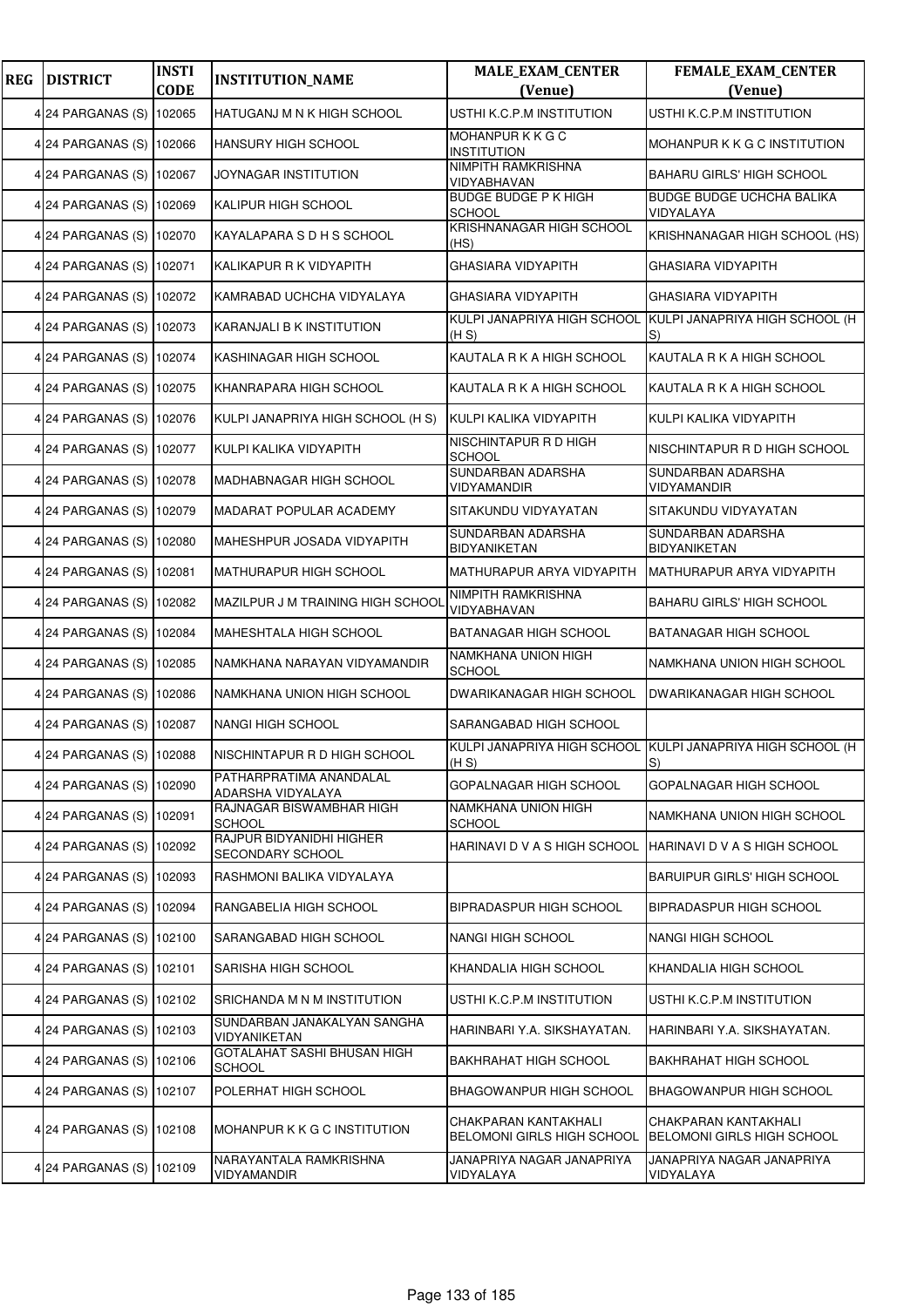| <b>REG</b> | <b>DISTRICT</b>          | <b>INSTI</b><br><b>CODE</b> | <b>INSTITUTION_NAME</b>                      | <b>MALE_EXAM_CENTER</b><br>(Venue)                 | <b>FEMALE_EXAM_CENTER</b><br>(Venue)                             |
|------------|--------------------------|-----------------------------|----------------------------------------------|----------------------------------------------------|------------------------------------------------------------------|
|            | 4 24 PARGANAS (S)        | 102065                      | HATUGANJ M N K HIGH SCHOOL                   | USTHI K.C.P.M INSTITUTION                          | USTHI K.C.P.M INSTITUTION                                        |
|            | 4 24 PARGANAS (S) 102066 |                             | HANSURY HIGH SCHOOL                          | MOHANPUR K K G C<br><b>INSTITUTION</b>             | MOHANPUR K K G C INSTITUTION                                     |
|            | 4 24 PARGANAS (S)        | 102067                      | JOYNAGAR INSTITUTION                         | NIMPITH RAMKRISHNA<br>VIDYABHAVAN                  | <b>BAHARU GIRLS' HIGH SCHOOL</b>                                 |
|            | 4 24 PARGANAS (S)        | 102069                      | KALIPUR HIGH SCHOOL                          | <b>BUDGE BUDGE P K HIGH</b><br>SCHOOL              | <b>BUDGE BUDGE UCHCHA BALIKA</b><br>VIDYALAYA                    |
|            | 4 24 PARGANAS (S) 102070 |                             | KAYALAPARA S D H S SCHOOL                    | KRISHNANAGAR HIGH SCHOOL<br>(HS)                   | KRISHNANAGAR HIGH SCHOOL (HS)                                    |
|            | 4 24 PARGANAS (S)        | 102071                      | KALIKAPUR R K VIDYAPITH                      | GHASIARA VIDYAPITH                                 | <b>GHASIARA VIDYAPITH</b>                                        |
|            | 4 24 PARGANAS (S)        | 102072                      | KAMRABAD UCHCHA VIDYALAYA                    | GHASIARA VIDYAPITH                                 | <b>GHASIARA VIDYAPITH</b>                                        |
|            | 4 24 PARGANAS (S)        | 102073                      | KARANJALI B K INSTITUTION                    | (H S)                                              | KULPI JANAPRIYA HIGH SCHOOL KULPI JANAPRIYA HIGH SCHOOL (H<br>S) |
|            | 4 24 PARGANAS (S) 102074 |                             | KASHINAGAR HIGH SCHOOL                       | KAUTALA R K A HIGH SCHOOL                          | KAUTALA R K A HIGH SCHOOL                                        |
|            | 4 24 PARGANAS (S)        | 102075                      | KHANRAPARA HIGH SCHOOL                       | KAUTALA R K A HIGH SCHOOL                          | KAUTALA R K A HIGH SCHOOL                                        |
|            | 4 24 PARGANAS (S)        | 102076                      | KULPI JANAPRIYA HIGH SCHOOL (H S)            | KULPI KALIKA VIDYAPITH                             | KULPI KALIKA VIDYAPITH                                           |
|            | 4 24 PARGANAS (S)        | 102077                      | KULPI KALIKA VIDYAPITH                       | NISCHINTAPUR R D HIGH<br>SCHOOL                    | NISCHINTAPUR R D HIGH SCHOOL                                     |
|            | 4 24 PARGANAS (S) 102078 |                             | MADHABNAGAR HIGH SCHOOL                      | SUNDARBAN ADARSHA<br>VIDYAMANDIR                   | SUNDARBAN ADARSHA<br>VIDYAMANDIR                                 |
|            | 4 24 PARGANAS (S)        | 102079                      | MADARAT POPULAR ACADEMY                      | SITAKUNDU VIDYAYATAN                               | SITAKUNDU VIDYAYATAN                                             |
|            | 4 24 PARGANAS (S)        | 102080                      | MAHESHPUR JOSADA VIDYAPITH                   | SUNDARBAN ADARSHA<br>BIDYANIKETAN                  | SUNDARBAN ADARSHA<br><b>BIDYANIKETAN</b>                         |
|            | 4 24 PARGANAS (S) 102081 |                             | MATHURAPUR HIGH SCHOOL                       | MATHURAPUR ARYA VIDYAPITH                          | MATHURAPUR ARYA VIDYAPITH                                        |
|            | 4 24 PARGANAS (S)        | 102082                      | MAZILPUR J M TRAINING HIGH SCHOOL            | NIMPITH RAMKRISHNA<br>VIDYABHAVAN                  | <b>BAHARU GIRLS' HIGH SCHOOL</b>                                 |
|            | 4 24 PARGANAS (S)        | 102084                      | MAHESHTALA HIGH SCHOOL                       | BATANAGAR HIGH SCHOOL                              | <b>BATANAGAR HIGH SCHOOL</b>                                     |
|            | 4 24 PARGANAS (S) 102085 |                             | NAMKHANA NARAYAN VIDYAMANDIR                 | NAMKHANA UNION HIGH<br><b>SCHOOL</b>               | NAMKHANA UNION HIGH SCHOOL                                       |
|            | 4 24 PARGANAS (S)        | 102086                      | NAMKHANA UNION HIGH SCHOOL                   | DWARIKANAGAR HIGH SCHOOL                           | <b>DWARIKANAGAR HIGH SCHOOL</b>                                  |
|            | 4 24 PARGANAS (S)        | 102087                      | NANGI HIGH SCHOOL                            | SARANGABAD HIGH SCHOOL                             |                                                                  |
|            | 24 PARGANAS (S) 102088   |                             | NISCHINTAPUR R D HIGH SCHOOL                 | (H S)                                              | KULPI JANAPRIYA HIGH SCHOOL KULPI JANAPRIYA HIGH SCHOOL (H<br>S) |
|            | 4 24 PARGANAS (S) 102090 |                             | PATHARPRATIMA ANANDALAL<br>ADARSHA VIDYALAYA | GOPALNAGAR HIGH SCHOOL                             | GOPALNAGAR HIGH SCHOOL                                           |
|            | 4 24 PARGANAS (S)        | 102091                      | RAJNAGAR BISWAMBHAR HIGH<br><b>SCHOOL</b>    | NAMKHANA UNION HIGH<br>SCHOOL                      | NAMKHANA UNION HIGH SCHOOL                                       |
|            | 4 24 PARGANAS (S)        | 102092                      | RAJPUR BIDYANIDHI HIGHER<br>SECONDARY SCHOOL | HARINAVI D V A S HIGH SCHOOL                       | HARINAVI D V A S HIGH SCHOOL                                     |
|            | 4 24 PARGANAS (S)        | 102093                      | RASHMONI BALIKA VIDYALAYA                    |                                                    | <b>BARUIPUR GIRLS' HIGH SCHOOL</b>                               |
|            | 4 24 PARGANAS (S)        | 102094                      | RANGABELIA HIGH SCHOOL                       | BIPRADASPUR HIGH SCHOOL                            | <b>BIPRADASPUR HIGH SCHOOL</b>                                   |
|            | 4 24 PARGANAS (S)        | 102100                      | SARANGABAD HIGH SCHOOL                       | NANGI HIGH SCHOOL                                  | <b>NANGI HIGH SCHOOL</b>                                         |
|            | 4 24 PARGANAS (S)        | 102101                      | SARISHA HIGH SCHOOL                          | KHANDALIA HIGH SCHOOL                              | KHANDALIA HIGH SCHOOL                                            |
|            | 4 24 PARGANAS (S)        | 102102                      | SRICHANDA M N M INSTITUTION                  | USTHI K.C.P.M INSTITUTION                          | USTHI K.C.P.M INSTITUTION                                        |
|            | 4 24 PARGANAS (S) 102103 |                             | SUNDARBAN JANAKALYAN SANGHA<br>VIDYANIKETAN  | HARINBARI Y.A. SIKSHAYATAN.                        | HARINBARI Y.A. SIKSHAYATAN.                                      |
|            | 4 24 PARGANAS (S)        | 102106                      | GOTALAHAT SASHI BHUSAN HIGH<br><b>SCHOOL</b> | BAKHRAHAT HIGH SCHOOL                              | <b>BAKHRAHAT HIGH SCHOOL</b>                                     |
|            | 4 24 PARGANAS (S)        | 102107                      | POLERHAT HIGH SCHOOL                         | BHAGOWANPUR HIGH SCHOOL                            | <b>BHAGOWANPUR HIGH SCHOOL</b>                                   |
|            | 4 24 PARGANAS (S) 102108 |                             | MOHANPUR K K G C INSTITUTION                 | CHAKPARAN KANTAKHALI<br>BELOMONI GIRLS HIGH SCHOOL | CHAKPARAN KANTAKHALI<br><b>BELOMONI GIRLS HIGH SCHOOL</b>        |
|            | 4 24 PARGANAS (S) 102109 |                             | NARAYANTALA RAMKRISHNA<br>VIDYAMANDIR        | JANAPRIYA NAGAR JANAPRIYA<br>VIDYALAYA             | JANAPRIYA NAGAR JANAPRIYA<br>VIDYALAYA                           |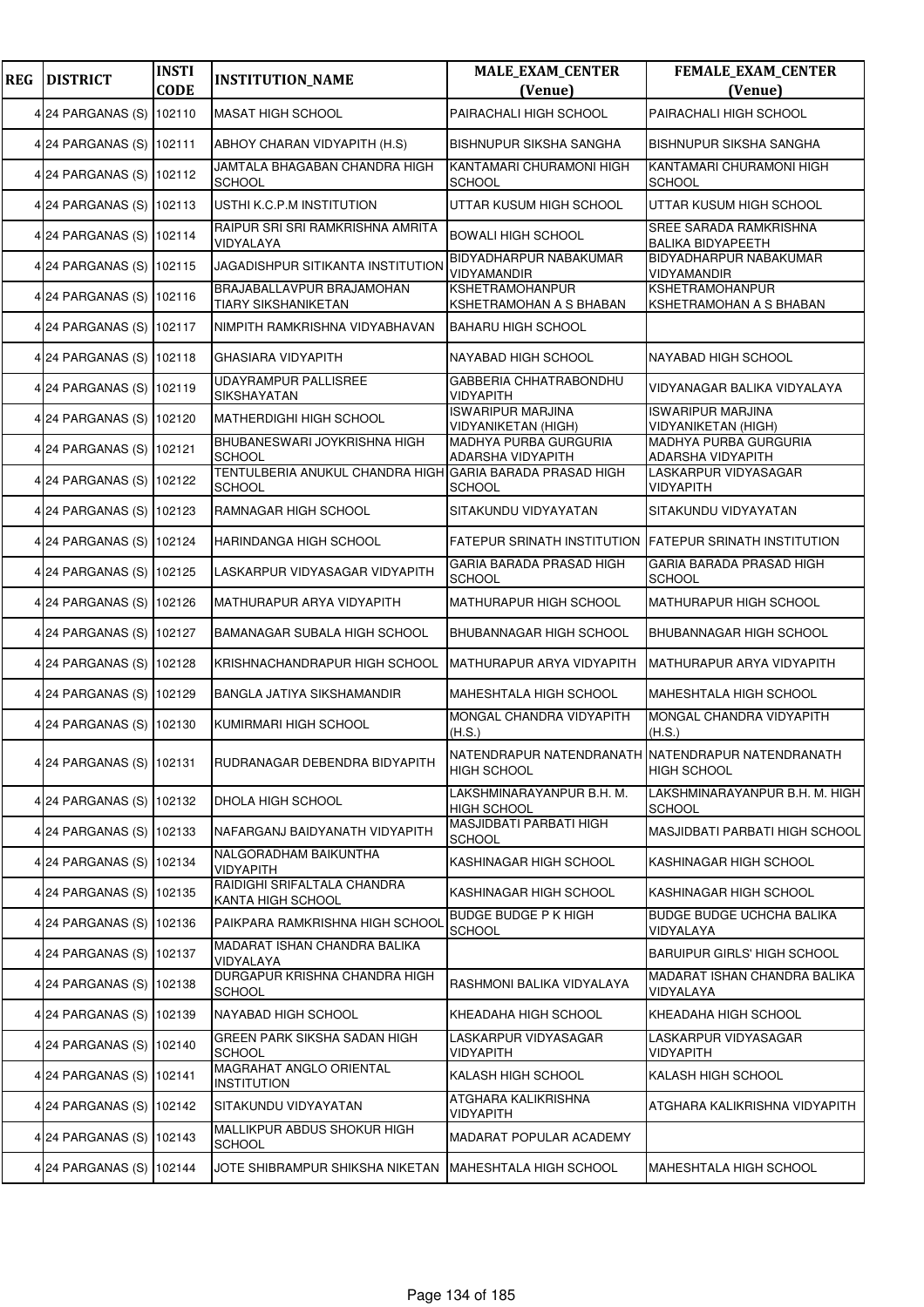| <b>REG</b> | <b>DISTRICT</b>          | <b>INSTI</b><br><b>CODE</b> | <b>INSTITUTION_NAME</b>                                 | <b>MALE_EXAM_CENTER</b><br>(Venue)                       | <b>FEMALE_EXAM_CENTER</b><br>(Venue)                                    |
|------------|--------------------------|-----------------------------|---------------------------------------------------------|----------------------------------------------------------|-------------------------------------------------------------------------|
|            | 4 24 PARGANAS (S)        | 102110                      | <b>MASAT HIGH SCHOOL</b>                                | PAIRACHALI HIGH SCHOOL                                   | PAIRACHALI HIGH SCHOOL                                                  |
|            | 4 24 PARGANAS (S) 102111 |                             | ABHOY CHARAN VIDYAPITH (H.S)                            | BISHNUPUR SIKSHA SANGHA                                  | BISHNUPUR SIKSHA SANGHA                                                 |
|            | 4 24 PARGANAS (S)        | 102112                      | JAMTALA BHAGABAN CHANDRA HIGH<br><b>SCHOOL</b>          | KANTAMARI CHURAMONI HIGH<br>SCHOOL                       | KANTAMARI CHURAMONI HIGH<br><b>SCHOOL</b>                               |
|            | 4 24 PARGANAS (S)        | 102113                      | USTHI K.C.P.M INSTITUTION                               | UTTAR KUSUM HIGH SCHOOL                                  | UTTAR KUSUM HIGH SCHOOL                                                 |
|            | 4 24 PARGANAS (S) 102114 |                             | RAIPUR SRI SRI RAMKRISHNA AMRITA<br>VIDYALAYA           | <b>BOWALI HIGH SCHOOL</b>                                | SREE SARADA RAMKRISHNA<br><b>BALIKA BIDYAPEETH</b>                      |
|            | 4 24 PARGANAS (S) 102115 |                             | <b>JAGADISHPUR SITIKANTA INSTITUTION</b>                | BIDYADHARPUR NABAKUMAR<br>VIDYAMANDIR                    | BIDYADHARPUR NABAKUMAR<br>VIDYAMANDIR                                   |
|            | 4 24 PARGANAS (S) 102116 |                             | BRAJABALLAVPUR BRAJAMOHAN<br><b>TIARY SIKSHANIKETAN</b> | <b>KSHETRAMOHANPUR</b><br>KSHETRAMOHAN A S BHABAN        | KSHETRAMOHANPUR<br>KSHETRAMOHAN A S BHABAN                              |
|            | 4 24 PARGANAS (S)        | 102117                      | NIMPITH RAMKRISHNA VIDYABHAVAN                          | <b>BAHARU HIGH SCHOOL</b>                                |                                                                         |
|            | 4 24 PARGANAS (S) 102118 |                             | <b>GHASIARA VIDYAPITH</b>                               | NAYABAD HIGH SCHOOL                                      | NAYABAD HIGH SCHOOL                                                     |
|            | 4 24 PARGANAS (S)        | 102119                      | <b>UDAYRAMPUR PALLISREE</b><br>SIKSHAYATAN              | GABBERIA CHHATRABONDHU<br>VIDYAPITH                      | VIDYANAGAR BALIKA VIDYALAYA                                             |
|            | 4 24 PARGANAS (S)        | 102120                      | MATHERDIGHI HIGH SCHOOL                                 | <b>ISWARIPUR MARJINA</b><br><b>VIDYANIKETAN (HIGH)</b>   | <b>ISWARIPUR MARJINA</b><br><b>VIDYANIKETAN (HIGH)</b>                  |
|            | 4 24 PARGANAS (S)        | 102121                      | BHUBANESWARI JOYKRISHNA HIGH<br><b>SCHOOL</b>           | <b>MADHYA PURBA GURGURIA</b><br><b>ADARSHA VIDYAPITH</b> | MADHYA PURBA GURGURIA<br>ADARSHA VIDYAPITH                              |
|            | 4 24 PARGANAS (S) 102122 |                             | TENTULBERIA ANUKUL CHANDRA HIGH<br><b>SCHOOL</b>        | <b>GARIA BARADA PRASAD HIGH</b><br><b>SCHOOL</b>         | LASKARPUR VIDYASAGAR<br>VIDYAPITH                                       |
|            | 4 24 PARGANAS (S)        | 102123                      | RAMNAGAR HIGH SCHOOL                                    | SITAKUNDU VIDYAYATAN                                     | SITAKUNDU VIDYAYATAN                                                    |
|            | 4 24 PARGANAS (S)        | 102124                      | HARINDANGA HIGH SCHOOL                                  | FATEPUR SRINATH INSTITUTION                              | <b>FATEPUR SRINATH INSTITUTION</b>                                      |
|            | 4 24 PARGANAS (S) 102125 |                             | LASKARPUR VIDYASAGAR VIDYAPITH                          | GARIA BARADA PRASAD HIGH<br><b>SCHOOL</b>                | GARIA BARADA PRASAD HIGH<br><b>SCHOOL</b>                               |
|            | 4 24 PARGANAS (S)        | 102126                      | MATHURAPUR ARYA VIDYAPITH                               | MATHURAPUR HIGH SCHOOL                                   | MATHURAPUR HIGH SCHOOL                                                  |
|            | 4 24 PARGANAS (S)        | 102127                      | BAMANAGAR SUBALA HIGH SCHOOL                            | BHUBANNAGAR HIGH SCHOOL                                  | BHUBANNAGAR HIGH SCHOOL                                                 |
|            | 4 24 PARGANAS (S) 102128 |                             | KRISHNACHANDRAPUR HIGH SCHOOL                           | MATHURAPUR ARYA VIDYAPITH                                | MATHURAPUR ARYA VIDYAPITH                                               |
|            | 4 24 PARGANAS (S) 102129 |                             | BANGLA JATIYA SIKSHAMANDIR                              | MAHESHTALA HIGH SCHOOL                                   | MAHESHTALA HIGH SCHOOL                                                  |
|            | 4 24 PARGANAS (S)        | 102130                      | KUMIRMARI HIGH SCHOOL                                   | MONGAL CHANDRA VIDYAPITH<br>(H.S.)                       | MONGAL CHANDRA VIDYAPITH<br>(H.S.)                                      |
|            | 4 24 PARGANAS (S) 102131 |                             | RUDRANAGAR DEBENDRA BIDYAPITH                           | <b>HIGH SCHOOL</b>                                       | NATENDRAPUR NATENDRANATH NATENDRAPUR NATENDRANATH<br><b>HIGH SCHOOL</b> |
|            | 4 24 PARGANAS (S)        | 102132                      | DHOLA HIGH SCHOOL                                       | LAKSHMINARAYANPUR B.H. M.<br><b>HIGH SCHOOL</b>          | LAKSHMINARAYANPUR B.H. M. HIGH<br><b>SCHOOL</b>                         |
|            | 4 24 PARGANAS (S) 102133 |                             | NAFARGANJ BAIDYANATH VIDYAPITH                          | MASJIDBATI PARBATI HIGH<br><b>SCHOOL</b>                 | MASJIDBATI PARBATI HIGH SCHOOL                                          |
|            | 4 24 PARGANAS (S) 102134 |                             | NALGORADHAM BAIKUNTHA<br>VIDYAPITH                      | KASHINAGAR HIGH SCHOOL                                   | KASHINAGAR HIGH SCHOOL                                                  |
|            | 4 24 PARGANAS (S)        | 102135                      | RAIDIGHI SRIFALTALA CHANDRA<br>KANTA HIGH SCHOOL        | KASHINAGAR HIGH SCHOOL                                   | KASHINAGAR HIGH SCHOOL                                                  |
|            | 4 24 PARGANAS (S)        | 102136                      | PAIKPARA RAMKRISHNA HIGH SCHOOL                         | <b>BUDGE BUDGE P K HIGH</b><br><b>SCHOOL</b>             | <b>BUDGE BUDGE UCHCHA BALIKA</b><br>VIDYALAYA                           |
|            | 4 24 PARGANAS (S) 102137 |                             | MADARAT ISHAN CHANDRA BALIKA<br>VIDYALAYA               |                                                          | <b>BARUIPUR GIRLS' HIGH SCHOOL</b>                                      |
|            | 4 24 PARGANAS (S)        | 102138                      | DURGAPUR KRISHNA CHANDRA HIGH<br><b>SCHOOL</b>          | RASHMONI BALIKA VIDYALAYA                                | MADARAT ISHAN CHANDRA BALIKA<br>VIDYALAYA                               |
|            | 4 24 PARGANAS (S)        | 102139                      | NAYABAD HIGH SCHOOL                                     | KHEADAHA HIGH SCHOOL                                     | KHEADAHA HIGH SCHOOL                                                    |
|            | 4 24 PARGANAS (S) 102140 |                             | GREEN PARK SIKSHA SADAN HIGH<br><b>SCHOOL</b>           | LASKARPUR VIDYASAGAR<br>VIDYAPITH                        | LASKARPUR VIDYASAGAR<br><b>VIDYAPITH</b>                                |
|            | 4 24 PARGANAS (S) 102141 |                             | MAGRAHAT ANGLO ORIENTAL<br><b>INSTITUTION</b>           | KALASH HIGH SCHOOL                                       | KALASH HIGH SCHOOL                                                      |
|            | 4 24 PARGANAS (S)        | 102142                      | SITAKUNDU VIDYAYATAN                                    | ATGHARA KALIKRISHNA<br>VIDYAPITH                         | ATGHARA KALIKRISHNA VIDYAPITH                                           |
|            | 4 24 PARGANAS (S)        | 102143                      | MALLIKPUR ABDUS SHOKUR HIGH<br><b>SCHOOL</b>            | MADARAT POPULAR ACADEMY                                  |                                                                         |
|            | 4 24 PARGANAS (S) 102144 |                             | JOTE SHIBRAMPUR SHIKSHA NIKETAN                         | MAHESHTALA HIGH SCHOOL                                   | MAHESHTALA HIGH SCHOOL                                                  |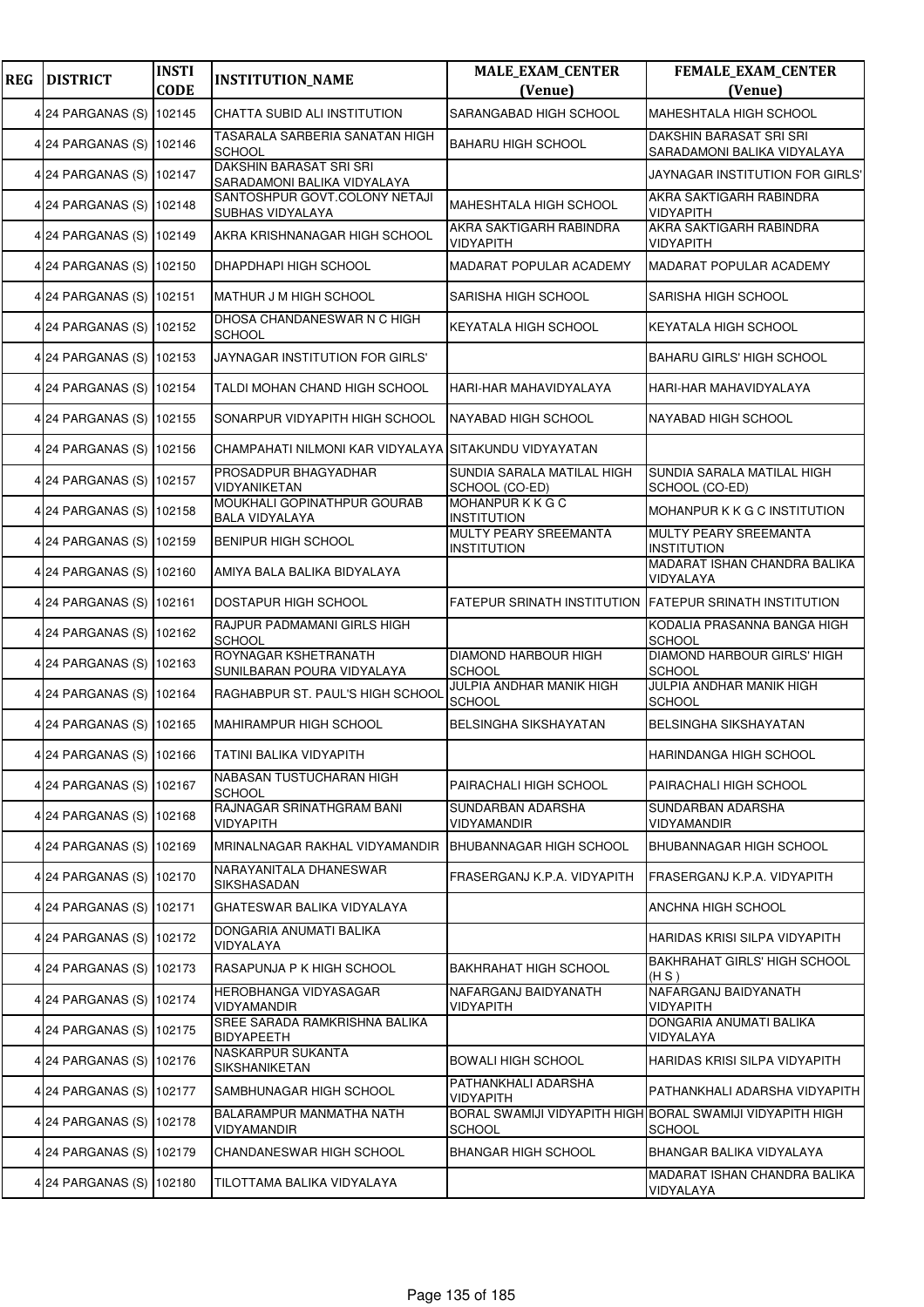| <b>REG</b> | <b>DISTRICT</b>          | <b>INSTI</b><br><b>CODE</b> | <b>INSTITUTION_NAME</b>                                       | <b>MALE_EXAM_CENTER</b><br>(Venue)           | FEMALE_EXAM_CENTER<br>(Venue)                                              |
|------------|--------------------------|-----------------------------|---------------------------------------------------------------|----------------------------------------------|----------------------------------------------------------------------------|
|            | 4 24 PARGANAS (S)        | 102145                      | CHATTA SUBID ALI INSTITUTION                                  | SARANGABAD HIGH SCHOOL                       | MAHESHTALA HIGH SCHOOL                                                     |
|            | 4 24 PARGANAS (S) 102146 |                             | TASARALA SARBERIA SANATAN HIGH<br><b>SCHOOL</b>               | <b>BAHARU HIGH SCHOOL</b>                    | DAKSHIN BARASAT SRI SRI<br>SARADAMONI BALIKA VIDYALAYA                     |
|            | 4 24 PARGANAS (S)        | 102147                      | <b>DAKSHIN BARASAT SRI SRI</b><br>SARADAMONI BALIKA VIDYALAYA |                                              | JAYNAGAR INSTITUTION FOR GIRLS'                                            |
|            | 4 24 PARGANAS (S)        | 102148                      | SANTOSHPUR GOVT.COLONY NETAJI<br>SUBHAS VIDYALAYA             | MAHESHTALA HIGH SCHOOL                       | AKRA SAKTIGARH RABINDRA<br>VIDYAPITH                                       |
|            | 4 24 PARGANAS (S)        | 102149                      | AKRA KRISHNANAGAR HIGH SCHOOL                                 | AKRA SAKTIGARH RABINDRA<br>VIDYAPITH         | AKRA SAKTIGARH RABINDRA<br>VIDYAPITH                                       |
|            | 4 24 PARGANAS (S) 102150 |                             | DHAPDHAPI HIGH SCHOOL                                         | MADARAT POPULAR ACADEMY                      | MADARAT POPULAR ACADEMY                                                    |
|            | 4 24 PARGANAS (S)        | 102151                      | MATHUR J M HIGH SCHOOL                                        | SARISHA HIGH SCHOOL                          | SARISHA HIGH SCHOOL                                                        |
|            | 4 24 PARGANAS (S)        | 102152                      | DHOSA CHANDANESWAR N C HIGH<br><b>SCHOOL</b>                  | KEYATALA HIGH SCHOOL                         | KEYATALA HIGH SCHOOL                                                       |
|            | 4 24 PARGANAS (S) 102153 |                             | JAYNAGAR INSTITUTION FOR GIRLS'                               |                                              | <b>BAHARU GIRLS' HIGH SCHOOL</b>                                           |
|            | 4 24 PARGANAS (S) 102154 |                             | TALDI MOHAN CHAND HIGH SCHOOL                                 | HARI-HAR MAHAVIDYALAYA                       | HARI-HAR MAHAVIDYALAYA                                                     |
|            | 4 24 PARGANAS (S)        | 102155                      | SONARPUR VIDYAPITH HIGH SCHOOL                                | NAYABAD HIGH SCHOOL                          | NAYABAD HIGH SCHOOL                                                        |
|            | 4 24 PARGANAS (S)        | 102156                      | CHAMPAHATI NILMONI KAR VIDYALAYA                              | SITAKUNDU VIDYAYATAN                         |                                                                            |
|            | 4 24 PARGANAS (S) 102157 |                             | PROSADPUR BHAGYADHAR<br>VIDYANIKETAN                          | SUNDIA SARALA MATILAL HIGH<br>SCHOOL (CO-ED) | SUNDIA SARALA MATILAL HIGH<br>SCHOOL (CO-ED)                               |
|            | 4 24 PARGANAS (S)        | 102158                      | MOUKHALI GOPINATHPUR GOURAB<br><b>BALA VIDYALAYA</b>          | MOHANPUR K K G C<br><b>INSTITUTION</b>       | MOHANPUR K K G C INSTITUTION                                               |
|            | 4 24 PARGANAS (S)        | 102159                      | <b>BENIPUR HIGH SCHOOL</b>                                    | MULTY PEARY SREEMANTA<br><b>INSTITUTION</b>  | MULTY PEARY SREEMANTA<br><b>INSTITUTION</b>                                |
|            | 4 24 PARGANAS (S) 102160 |                             | AMIYA BALA BALIKA BIDYALAYA                                   |                                              | MADARAT ISHAN CHANDRA BALIKA<br>VIDYALAYA                                  |
|            | 4 24 PARGANAS (S)        | 102161                      | DOSTAPUR HIGH SCHOOL                                          | FATEPUR SRINATH INSTITUTION                  | <b>FATEPUR SRINATH INSTITUTION</b>                                         |
|            | 4 24 PARGANAS (S)        | 102162                      | RAJPUR PADMAMANI GIRLS HIGH<br><b>SCHOOL</b>                  |                                              | KODALIA PRASANNA BANGA HIGH<br><b>SCHOOL</b>                               |
|            | 4 24 PARGANAS (S)        | 102163                      | ROYNAGAR KSHETRANATH<br>SUNILBARAN POURA VIDYALAYA            | <b>DIAMOND HARBOUR HIGH</b><br><b>SCHOOL</b> | DIAMOND HARBOUR GIRLS' HIGH<br><b>SCHOOL</b>                               |
|            | 4 24 PARGANAS (S) 102164 |                             | RAGHABPUR ST. PAUL'S HIGH SCHOOL                              | JULPIA ANDHAR MANIK HIGH<br><b>SCHOOL</b>    | JULPIA ANDHAR MANIK HIGH<br><b>SCHOOL</b>                                  |
|            | 4 24 PARGANAS (S) 102165 |                             | MAHIRAMPUR HIGH SCHOOL                                        | BELSINGHA SIKSHAYATAN                        | <b>BELSINGHA SIKSHAYATAN</b>                                               |
|            | 4 24 PARGANAS (S) 102166 |                             | TATINI BALIKA VIDYAPITH                                       |                                              | HARINDANGA HIGH SCHOOL                                                     |
|            | 4 24 PARGANAS (S) 102167 |                             | NABASAN TUSTUCHARAN HIGH<br><b>SCHOOL</b>                     | PAIRACHALI HIGH SCHOOL                       | PAIRACHALI HIGH SCHOOL                                                     |
|            | 4 24 PARGANAS (S) 102168 |                             | RAJNAGAR SRINATHGRAM BANI<br><b>VIDYAPITH</b>                 | SUNDARBAN ADARSHA<br><b>VIDYAMANDIR</b>      | SUNDARBAN ADARSHA<br><b>VIDYAMANDIR</b>                                    |
|            | 4 24 PARGANAS (S)        | 102169                      | MRINALNAGAR RAKHAL VIDYAMANDIR                                | <b>BHUBANNAGAR HIGH SCHOOL</b>               | BHUBANNAGAR HIGH SCHOOL                                                    |
|            | 4 24 PARGANAS (S)        | 102170                      | NARAYANITALA DHANESWAR<br>SIKSHASADAN                         | FRASERGANJ K.P.A. VIDYAPITH                  | FRASERGANJ K.P.A. VIDYAPITH                                                |
|            | 4 24 PARGANAS (S) 102171 |                             | GHATESWAR BALIKA VIDYALAYA                                    |                                              | ANCHNA HIGH SCHOOL                                                         |
|            | 4 24 PARGANAS (S)        | 102172                      | DONGARIA ANUMATI BALIKA<br>VIDYALAYA                          |                                              | HARIDAS KRISI SILPA VIDYAPITH                                              |
|            | 4 24 PARGANAS (S)        | 102173                      | RASAPUNJA P K HIGH SCHOOL                                     | <b>BAKHRAHAT HIGH SCHOOL</b>                 | BAKHRAHAT GIRLS' HIGH SCHOOL<br>(H S)                                      |
|            | 4 24 PARGANAS (S)        | 102174                      | HEROBHANGA VIDYASAGAR<br><b>VIDYAMANDIR</b>                   | NAFARGANJ BAIDYANATH<br>VIDYAPITH            | NAFARGANJ BAIDYANATH<br><b>VIDYAPITH</b>                                   |
|            | 4 24 PARGANAS (S) 102175 |                             | SREE SARADA RAMKRISHNA BALIKA<br><b>BIDYAPEETH</b>            |                                              | DONGARIA ANUMATI BALIKA<br>VIDYALAYA                                       |
|            | 4 24 PARGANAS (S)        | 102176                      | NASKARPUR SUKANTA<br>SIKSHANIKETAN                            | <b>BOWALI HIGH SCHOOL</b>                    | HARIDAS KRISI SILPA VIDYAPITH                                              |
|            | 4 24 PARGANAS (S)        | 102177                      | SAMBHUNAGAR HIGH SCHOOL                                       | PATHANKHALI ADARSHA<br>VIDYAPITH             | PATHANKHALI ADARSHA VIDYAPITH                                              |
|            | 4 24 PARGANAS (S) 102178 |                             | BALARAMPUR MANMATHA NATH<br>VIDYAMANDIR                       | <b>SCHOOL</b>                                | BORAL SWAMIJI VIDYAPITH HIGH BORAL SWAMIJI VIDYAPITH HIGH<br><b>SCHOOL</b> |
|            | 4 24 PARGANAS (S)        | 102179                      | CHANDANESWAR HIGH SCHOOL                                      | <b>BHANGAR HIGH SCHOOL</b>                   | BHANGAR BALIKA VIDYALAYA                                                   |
|            | 4 24 PARGANAS (S)        | 102180                      | TILOTTAMA BALIKA VIDYALAYA                                    |                                              | MADARAT ISHAN CHANDRA BALIKA<br>VIDYALAYA                                  |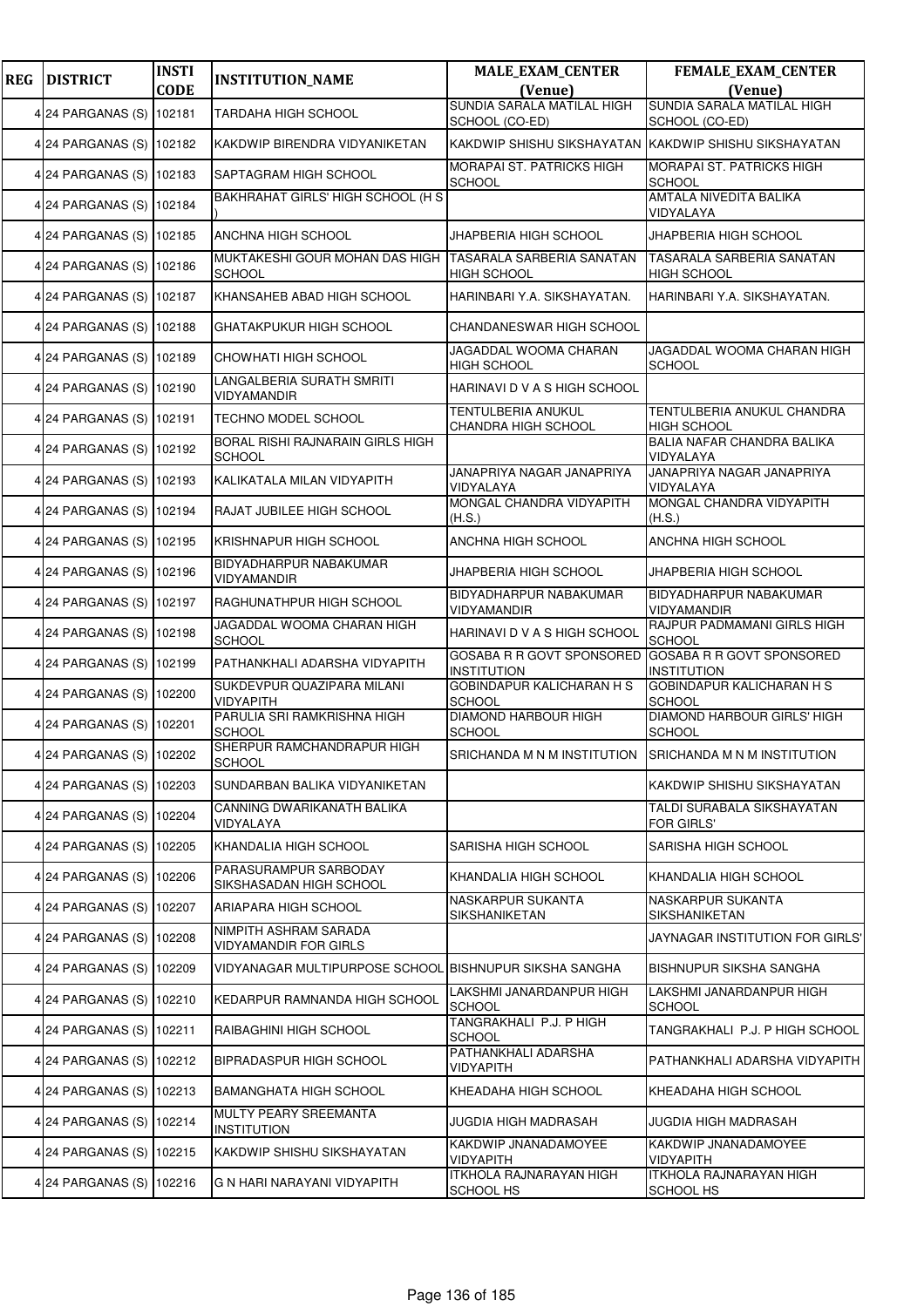| <b>REG</b> | <b>DISTRICT</b>          | <b>INSTI</b> | <b>INSTITUTION_NAME</b>                               | <b>MALE_EXAM_CENTER</b>                                | <b>FEMALE_EXAM_CENTER</b>                           |
|------------|--------------------------|--------------|-------------------------------------------------------|--------------------------------------------------------|-----------------------------------------------------|
|            |                          | <b>CODE</b>  |                                                       | (Venue)                                                | (Venue)                                             |
|            | 4 24 PARGANAS (S)        | 102181       | <b>TARDAHA HIGH SCHOOL</b>                            | SUNDIA SARALA MATILAL HIGH<br>SCHOOL (CO-ED)           | SUNDIA SARALA MATILAL HIGH<br>SCHOOL (CO-ED)        |
|            | 4 24 PARGANAS (S) 102182 |              | KAKDWIP BIRENDRA VIDYANIKETAN                         | KAKDWIP SHISHU SIKSHAYATAN KAKDWIP SHISHU SIKSHAYATAN  |                                                     |
|            | 4 24 PARGANAS (S)        | 102183       | SAPTAGRAM HIGH SCHOOL                                 | MORAPAI ST. PATRICKS HIGH<br><b>SCHOOL</b>             | <b>MORAPAI ST. PATRICKS HIGH</b><br><b>SCHOOL</b>   |
|            | 4 24 PARGANAS (S) 102184 |              | BAKHRAHAT GIRLS' HIGH SCHOOL (H S                     |                                                        | AMTALA NIVEDITA BALIKA<br>VIDYALAYA                 |
|            | 4 24 PARGANAS (S) 102185 |              | ANCHNA HIGH SCHOOL                                    | JHAPBERIA HIGH SCHOOL                                  | JHAPBERIA HIGH SCHOOL                               |
|            | 4 24 PARGANAS (S) 102186 |              | MUKTAKESHI GOUR MOHAN DAS HIGH<br><b>SCHOOL</b>       | <b>TASARALA SARBERIA SANATAN</b><br><b>HIGH SCHOOL</b> | TASARALA SARBERIA SANATAN<br><b>HIGH SCHOOL</b>     |
|            | 4 24 PARGANAS (S) 102187 |              | KHANSAHEB ABAD HIGH SCHOOL                            | HARINBARI Y.A. SIKSHAYATAN.                            | HARINBARI Y.A. SIKSHAYATAN.                         |
|            | 4 24 PARGANAS (S)        | 102188       | <b>GHATAKPUKUR HIGH SCHOOL</b>                        | CHANDANESWAR HIGH SCHOOL                               |                                                     |
|            | 4 24 PARGANAS (S) 102189 |              | CHOWHATI HIGH SCHOOL                                  | JAGADDAL WOOMA CHARAN<br><b>HIGH SCHOOL</b>            | JAGADDAL WOOMA CHARAN HIGH<br><b>SCHOOL</b>         |
|            | 4 24 PARGANAS (S)        | 102190       | LANGALBERIA SURATH SMRITI<br>VIDYAMANDIR              | HARINAVI D V A S HIGH SCHOOL                           |                                                     |
|            | 4 24 PARGANAS (S)        | 102191       | TECHNO MODEL SCHOOL                                   | <b>TENTULBERIA ANUKUL</b><br>CHANDRA HIGH SCHOOL       | TENTULBERIA ANUKUL CHANDRA<br><b>HIGH SCHOOL</b>    |
|            | 4 24 PARGANAS (S)        | 102192       | BORAL RISHI RAJNARAIN GIRLS HIGH<br><b>SCHOOL</b>     |                                                        | BALIA NAFAR CHANDRA BALIKA<br>VIDYALAYA             |
|            | 4 24 PARGANAS (S) 102193 |              | KALIKATALA MILAN VIDYAPITH                            | JANAPRIYA NAGAR JANAPRIYA<br>VIDYALAYA                 | JANAPRIYA NAGAR JANAPRIYA<br>VIDYALAYA              |
|            | 4 24 PARGANAS (S)        | 102194       | RAJAT JUBILEE HIGH SCHOOL                             | MONGAL CHANDRA VIDYAPITH<br>(H.S.)                     | MONGAL CHANDRA VIDYAPITH<br>(H.S.)                  |
|            | 4 24 PARGANAS (S)        | 102195       | KRISHNAPUR HIGH SCHOOL                                | ANCHNA HIGH SCHOOL                                     | ANCHNA HIGH SCHOOL                                  |
|            | 4 24 PARGANAS (S) 102196 |              | BIDYADHARPUR NABAKUMAR<br>VIDYAMANDIR                 | JHAPBERIA HIGH SCHOOL                                  | JHAPBERIA HIGH SCHOOL                               |
|            | 4 24 PARGANAS (S)        | 102197       | RAGHUNATHPUR HIGH SCHOOL                              | BIDYADHARPUR NABAKUMAR<br>VIDYAMANDIR                  | BIDYADHARPUR NABAKUMAR<br>VIDYAMANDIR               |
|            | 4 24 PARGANAS (S)        | 102198       | JAGADDAL WOOMA CHARAN HIGH<br><b>SCHOOL</b>           | HARINAVI D V A S HIGH SCHOOL                           | RAJPUR PADMAMANI GIRLS HIGH<br><b>SCHOOL</b>        |
|            | 4 24 PARGANAS (S) 102199 |              | PATHANKHALI ADARSHA VIDYAPITH                         | GOSABA R R GOVT SPONSORED<br><b>INSTITUTION</b>        | GOSABA R R GOVT SPONSORED<br><b>INSTITUTION</b>     |
|            | 4 24 PARGANAS (S) 102200 |              | SUKDEVPUR QUAZIPARA MILANI<br>VIDYAPITH               | <b>GOBINDAPUR KALICHARAN H S</b><br><b>SCHOOL</b>      | <b>GOBINDAPUR KALICHARAN H S</b><br><b>SCHOOL</b>   |
|            | 4 24 PARGANAS (S) 102201 |              | PARULIA SRI RAMKRISHNA HIGH<br><b>SCHOOL</b>          | <b>DIAMOND HARBOUR HIGH</b><br><b>SCHOOL</b>           | <b>DIAMOND HARBOUR GIRLS' HIGH</b><br><b>SCHOOL</b> |
|            | 4 24 PARGANAS (S) 102202 |              | SHERPUR RAMCHANDRAPUR HIGH<br><b>SCHOOL</b>           | SRICHANDA M N M INSTITUTION                            | SRICHANDA M N M INSTITUTION                         |
|            | 4 24 PARGANAS (S) 102203 |              | SUNDARBAN BALIKA VIDYANIKETAN                         |                                                        | KAKDWIP SHISHU SIKSHAYATAN                          |
|            | 4 24 PARGANAS (S)        | 102204       | CANNING DWARIKANATH BALIKA<br>VIDYALAYA               |                                                        | TALDI SURABALA SIKSHAYATAN<br><b>FOR GIRLS'</b>     |
|            | 4 24 PARGANAS (S)        | 102205       | KHANDALIA HIGH SCHOOL                                 | SARISHA HIGH SCHOOL                                    | SARISHA HIGH SCHOOL                                 |
|            | 4 24 PARGANAS (S)        | 102206       | PARASURAMPUR SARBODAY<br>SIKSHASADAN HIGH SCHOOL      | KHANDALIA HIGH SCHOOL                                  | KHANDALIA HIGH SCHOOL                               |
|            | 4 24 PARGANAS (S) 102207 |              | ARIAPARA HIGH SCHOOL                                  | NASKARPUR SUKANTA<br>SIKSHANIKETAN                     | NASKARPUR SUKANTA<br>SIKSHANIKETAN                  |
|            | 4 24 PARGANAS (S)        | 102208       | NIMPITH ASHRAM SARADA<br><b>VIDYAMANDIR FOR GIRLS</b> |                                                        | JAYNAGAR INSTITUTION FOR GIRLS'                     |
|            | 4 24 PARGANAS (S)        | 102209       | VIDYANAGAR MULTIPURPOSE SCHOOL                        | <b>IBISHNUPUR SIKSHA SANGHA</b>                        | <b>BISHNUPUR SIKSHA SANGHA</b>                      |
|            | 4 24 PARGANAS (S)        | 102210       | KEDARPUR RAMNANDA HIGH SCHOOL                         | LAKSHMI JANARDANPUR HIGH<br>SCHOOL                     | LAKSHMI JANARDANPUR HIGH<br><b>SCHOOL</b>           |
|            | 4 24 PARGANAS (S)        | 102211       | RAIBAGHINI HIGH SCHOOL                                | TANGRAKHALI P.J. P HIGH<br><b>SCHOOL</b>               | TANGRAKHALI P.J. P HIGH SCHOOL                      |
|            | 4 24 PARGANAS (S)        | 102212       | BIPRADASPUR HIGH SCHOOL                               | PATHANKHALI ADARSHA<br><b>VIDYAPITH</b>                | PATHANKHALI ADARSHA VIDYAPITH                       |
|            | 4 24 PARGANAS (S)        | 102213       | <b>BAMANGHATA HIGH SCHOOL</b>                         | KHEADAHA HIGH SCHOOL                                   | KHEADAHA HIGH SCHOOL                                |
|            | 4 24 PARGANAS (S) 102214 |              | MULTY PEARY SREEMANTA<br><b>INSTITUTION</b>           | JUGDIA HIGH MADRASAH                                   | JUGDIA HIGH MADRASAH                                |
|            | 4 24 PARGANAS (S)        | 102215       | KAKDWIP SHISHU SIKSHAYATAN                            | KAKDWIP JNANADAMOYEE<br><b>VIDYAPITH</b>               | KAKDWIP JNANADAMOYEE<br>VIDYAPITH                   |
|            | 4 24 PARGANAS (S)        | 102216       | G N HARI NARAYANI VIDYAPITH                           | <b>ITKHOLA RAJNARAYAN HIGH</b><br>SCHOOL HS            | <b>ITKHOLA RAJNARAYAN HIGH</b><br>SCHOOL HS         |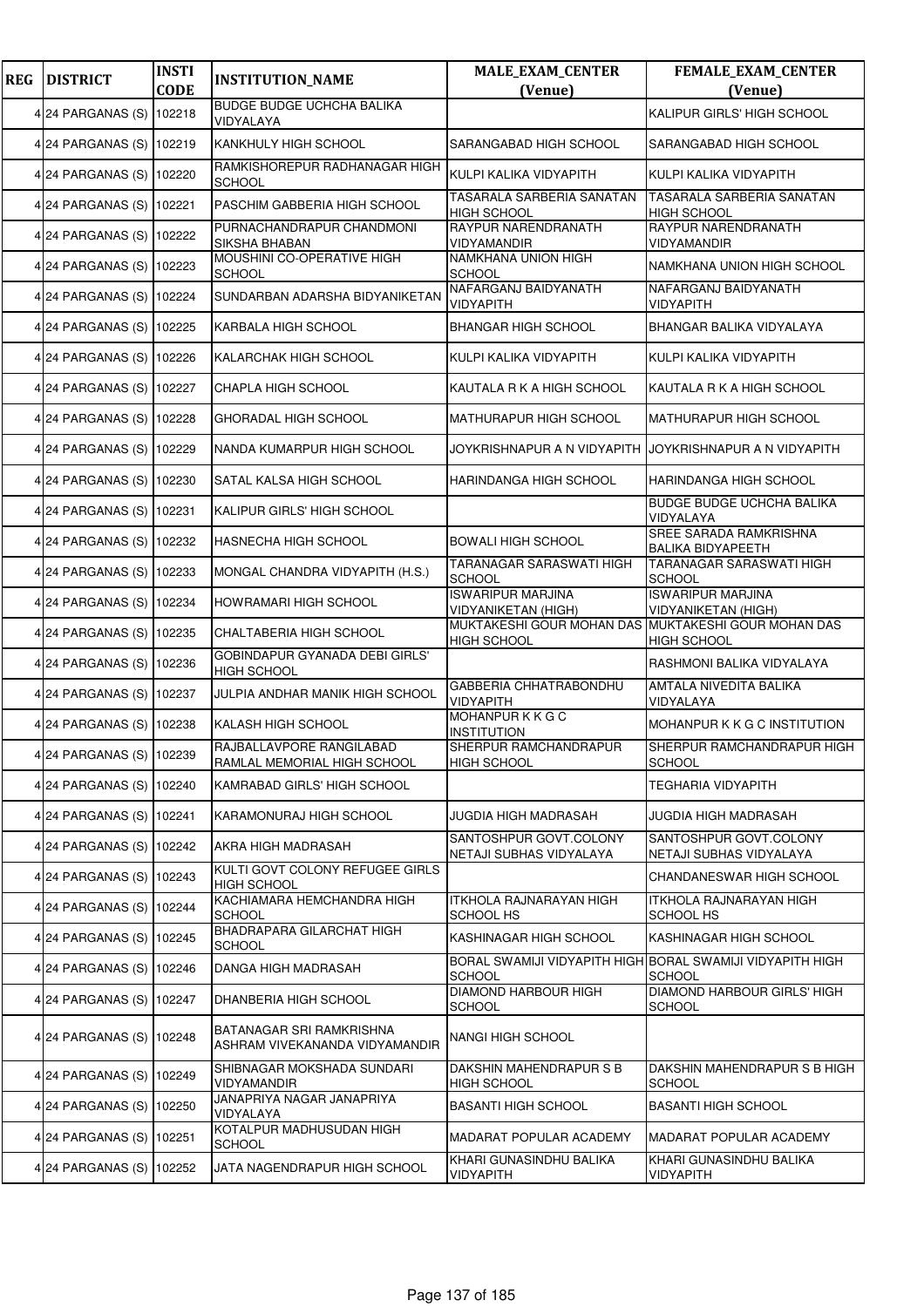| <b>REG</b> | <b>DISTRICT</b>          | <b>INSTI</b><br><b>CODE</b> | <b>INSTITUTION_NAME</b>                                    | <b>MALE_EXAM_CENTER</b><br>(Venue)                                        | <b>FEMALE_EXAM_CENTER</b><br>(Venue)                                       |
|------------|--------------------------|-----------------------------|------------------------------------------------------------|---------------------------------------------------------------------------|----------------------------------------------------------------------------|
|            | 4 24 PARGANAS (S)        | 102218                      | <b>BUDGE BUDGE UCHCHA BALIKA</b><br>VIDYALAYA              |                                                                           | KALIPUR GIRLS' HIGH SCHOOL                                                 |
|            | 4 24 PARGANAS (S) 102219 |                             | KANKHULY HIGH SCHOOL                                       | SARANGABAD HIGH SCHOOL                                                    | SARANGABAD HIGH SCHOOL                                                     |
|            | 4 24 PARGANAS (S)        | 102220                      | RAMKISHOREPUR RADHANAGAR HIGH<br><b>SCHOOL</b>             | KULPI KALIKA VIDYAPITH                                                    | KULPI KALIKA VIDYAPITH                                                     |
|            | 4 24 PARGANAS (S)        | 102221                      | PASCHIM GABBERIA HIGH SCHOOL                               | TASARALA SARBERIA SANATAN<br><b>HIGH SCHOOL</b>                           | TASARALA SARBERIA SANATAN<br><b>HIGH SCHOOL</b>                            |
|            | 4 24 PARGANAS (S) 102222 |                             | PURNACHANDRAPUR CHANDMONI<br>SIKSHA BHABAN                 | RAYPUR NARENDRANATH<br>VIDYAMANDIR                                        | RAYPUR NARENDRANATH<br>VIDYAMANDIR                                         |
|            | 4 24 PARGANAS (S)        | 102223                      | MOUSHINI CO-OPERATIVE HIGH<br><b>SCHOOL</b>                | NAMKHANA UNION HIGH<br><b>SCHOOL</b>                                      | NAMKHANA UNION HIGH SCHOOL                                                 |
|            | 4 24 PARGANAS (S)        | 102224                      | SUNDARBAN ADARSHA BIDYANIKETAN                             | NAFARGANJ BAIDYANATH<br>VIDYAPITH                                         | NAFARGANJ BAIDYANATH<br><b>VIDYAPITH</b>                                   |
|            | 4 24 PARGANAS (S)        | 102225                      | KARBALA HIGH SCHOOL                                        | <b>BHANGAR HIGH SCHOOL</b>                                                | BHANGAR BALIKA VIDYALAYA                                                   |
|            | 4 24 PARGANAS (S) 102226 |                             | KALARCHAK HIGH SCHOOL                                      | KULPI KALIKA VIDYAPITH                                                    | KULPI KALIKA VIDYAPITH                                                     |
|            | 4 24 PARGANAS (S)        | 102227                      | CHAPLA HIGH SCHOOL                                         | KAUTALA R K A HIGH SCHOOL                                                 | KAUTALA R K A HIGH SCHOOL                                                  |
|            | 4 24 PARGANAS (S)        | 102228                      | <b>GHORADAL HIGH SCHOOL</b>                                | MATHURAPUR HIGH SCHOOL                                                    | MATHURAPUR HIGH SCHOOL                                                     |
|            | 4 24 PARGANAS (S)        | 102229                      | NANDA KUMARPUR HIGH SCHOOL                                 | JOYKRISHNAPUR A N VIDYAPITH                                               | JOYKRISHNAPUR A N VIDYAPITH                                                |
|            | 4 24 PARGANAS (S) 102230 |                             | SATAL KALSA HIGH SCHOOL                                    | HARINDANGA HIGH SCHOOL                                                    | HARINDANGA HIGH SCHOOL                                                     |
|            | 4 24 PARGANAS (S)        | 102231                      | KALIPUR GIRLS' HIGH SCHOOL                                 |                                                                           | BUDGE BUDGE UCHCHA BALIKA<br>VIDYALAYA                                     |
|            | 4 24 PARGANAS (S)        | 102232                      | HASNECHA HIGH SCHOOL                                       | <b>BOWALI HIGH SCHOOL</b>                                                 | SREE SARADA RAMKRISHNA<br><b>BALIKA BIDYAPEETH</b>                         |
|            | 4 24 PARGANAS (S) 102233 |                             | MONGAL CHANDRA VIDYAPITH (H.S.)                            | TARANAGAR SARASWATI HIGH<br><b>SCHOOL</b>                                 | TARANAGAR SARASWATI HIGH<br><b>SCHOOL</b>                                  |
|            | 4 24 PARGANAS (S)        | 102234                      | HOWRAMARI HIGH SCHOOL                                      | <b>ISWARIPUR MARJINA</b><br><b>VIDYANIKETAN (HIGH)</b>                    | <b>ISWARIPUR MARJINA</b><br><b>VIDYANIKETAN (HIGH)</b>                     |
|            | 4 24 PARGANAS (S)        | 102235                      | CHALTABERIA HIGH SCHOOL                                    | MUKTAKESHI GOUR MOHAN DAS MUKTAKESHI GOUR MOHAN DAS<br><b>HIGH SCHOOL</b> | <b>HIGH SCHOOL</b>                                                         |
|            | 4 24 PARGANAS (S) 102236 |                             | GOBINDAPUR GYANADA DEBI GIRLS'<br><b>HIGH SCHOOL</b>       |                                                                           | RASHMONI BALIKA VIDYALAYA                                                  |
|            | 4 24 PARGANAS (S)        | 102237                      | JULPIA ANDHAR MANIK HIGH SCHOOL                            | <b>GABBERIA CHHATRABONDHU</b><br>VIDYAPITH                                | AMTALA NIVEDITA BALIKA<br>VIDYALAYA                                        |
|            | 4 24 PARGANAS (S)        | 102238                      | KALASH HIGH SCHOOL                                         | MOHANPURKKGC<br><b>INSTITUTION</b>                                        | MOHANPUR K K G C INSTITUTION                                               |
|            | 4 24 PARGANAS (S) 102239 |                             | RAJBALLAVPORE RANGILABAD<br>RAMLAL MEMORIAL HIGH SCHOOL    | SHERPUR RAMCHANDRAPUR<br><b>HIGH SCHOOL</b>                               | SHERPUR RAMCHANDRAPUR HIGH<br><b>SCHOOL</b>                                |
|            | 4 24 PARGANAS (S) 102240 |                             | KAMRABAD GIRLS' HIGH SCHOOL                                |                                                                           | TEGHARIA VIDYAPITH                                                         |
|            | 4 24 PARGANAS (S)        | 102241                      | KARAMONURAJ HIGH SCHOOL                                    | JUGDIA HIGH MADRASAH                                                      | JUGDIA HIGH MADRASAH                                                       |
|            | 4 24 PARGANAS (S)        | 102242                      | AKRA HIGH MADRASAH                                         | SANTOSHPUR GOVT.COLONY<br>NETAJI SUBHAS VIDYALAYA                         | SANTOSHPUR GOVT.COLONY<br>NETAJI SUBHAS VIDYALAYA                          |
|            | 4 24 PARGANAS (S)        | 102243                      | KULTI GOVT COLONY REFUGEE GIRLS<br><b>HIGH SCHOOL</b>      |                                                                           | CHANDANESWAR HIGH SCHOOL                                                   |
|            | 4 24 PARGANAS (S) 102244 |                             | KACHIAMARA HEMCHANDRA HIGH<br><b>SCHOOL</b>                | <b>ITKHOLA RAJNARAYAN HIGH</b><br>SCHOOL HS                               | <b>ITKHOLA RAJNARAYAN HIGH</b><br>SCHOOL HS                                |
|            | 4 24 PARGANAS (S)        | 102245                      | BHADRAPARA GILARCHAT HIGH<br><b>SCHOOL</b>                 | KASHINAGAR HIGH SCHOOL                                                    | KASHINAGAR HIGH SCHOOL                                                     |
|            | 4 24 PARGANAS (S)        | 102246                      | DANGA HIGH MADRASAH                                        | <b>SCHOOL</b>                                                             | BORAL SWAMIJI VIDYAPITH HIGH BORAL SWAMIJI VIDYAPITH HIGH<br><b>SCHOOL</b> |
|            | 4 24 PARGANAS (S)        | 102247                      | DHANBERIA HIGH SCHOOL                                      | <b>DIAMOND HARBOUR HIGH</b><br>SCHOOL                                     | DIAMOND HARBOUR GIRLS' HIGH<br><b>SCHOOL</b>                               |
|            | 4 24 PARGANAS (S) 102248 |                             | BATANAGAR SRI RAMKRISHNA<br>ASHRAM VIVEKANANDA VIDYAMANDIR | NANGI HIGH SCHOOL                                                         |                                                                            |
|            | 4 24 PARGANAS (S)        | 102249                      | SHIBNAGAR MOKSHADA SUNDARI<br>VIDYAMANDIR                  | DAKSHIN MAHENDRAPUR S B<br><b>HIGH SCHOOL</b>                             | DAKSHIN MAHENDRAPUR S B HIGH<br><b>SCHOOL</b>                              |
|            | 4 24 PARGANAS (S)        | 102250                      | JANAPRIYA NAGAR JANAPRIYA<br>VIDYALAYA                     | <b>BASANTI HIGH SCHOOL</b>                                                | <b>BASANTI HIGH SCHOOL</b>                                                 |
|            | 4 24 PARGANAS (S)        | 102251                      | KOTALPUR MADHUSUDAN HIGH<br><b>SCHOOL</b>                  | MADARAT POPULAR ACADEMY                                                   | MADARAT POPULAR ACADEMY                                                    |
|            | 4 24 PARGANAS (S) 102252 |                             | JATA NAGENDRAPUR HIGH SCHOOL                               | KHARI GUNASINDHU BALIKA<br><b>VIDYAPITH</b>                               | KHARI GUNASINDHU BALIKA<br>VIDYAPITH                                       |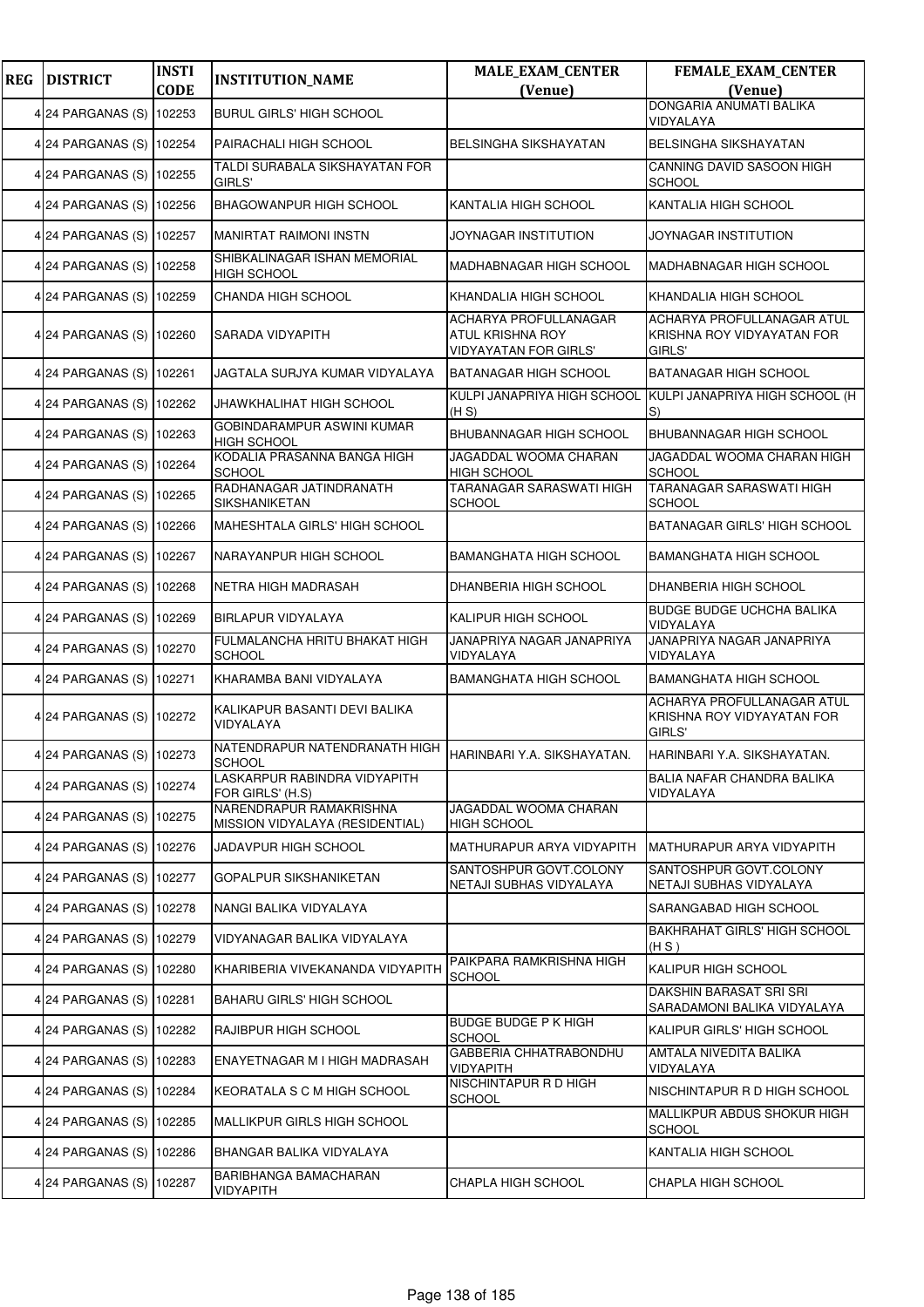| <b>REG</b> | <b>DISTRICT</b>          | <b>INSTI</b><br><b>CODE</b> | <b>INSTITUTION_NAME</b>                                                           | MALE_EXAM_CENTER<br>(Venue)                                               | <b>FEMALE_EXAM_CENTER</b><br>(Venue)                               |
|------------|--------------------------|-----------------------------|-----------------------------------------------------------------------------------|---------------------------------------------------------------------------|--------------------------------------------------------------------|
|            | 4 24 PARGANAS (S)        | 102253                      | <b>BURUL GIRLS' HIGH SCHOOL</b>                                                   |                                                                           | DONGARIA ANUMATI BALIKA                                            |
|            | 4 24 PARGANAS (S) 102254 |                             | PAIRACHALI HIGH SCHOOL                                                            | BELSINGHA SIKSHAYATAN                                                     | VIDYALAYA<br><b>BELSINGHA SIKSHAYATAN</b>                          |
|            | 4 24 PARGANAS (S)        | 102255                      | TALDI SURABALA SIKSHAYATAN FOR<br>GIRLS'                                          |                                                                           | CANNING DAVID SASOON HIGH<br><b>SCHOOL</b>                         |
|            | 4 24 PARGANAS (S)        | 102256                      | BHAGOWANPUR HIGH SCHOOL                                                           | KANTALIA HIGH SCHOOL                                                      | KANTALIA HIGH SCHOOL                                               |
|            | 4 24 PARGANAS (S) 102257 |                             | <b>MANIRTAT RAIMONI INSTN</b>                                                     | JOYNAGAR INSTITUTION                                                      | JOYNAGAR INSTITUTION                                               |
|            | 4 24 PARGANAS (S)        | 102258                      | SHIBKALINAGAR ISHAN MEMORIAL<br><b>HIGH SCHOOL</b>                                | MADHABNAGAR HIGH SCHOOL                                                   | <b>MADHABNAGAR HIGH SCHOOL</b>                                     |
|            | 4 24 PARGANAS (S)        | 102259                      | CHANDA HIGH SCHOOL                                                                | KHANDALIA HIGH SCHOOL                                                     | KHANDALIA HIGH SCHOOL                                              |
|            | 4 24 PARGANAS (S)        | 102260                      | SARADA VIDYAPITH                                                                  | <b>ACHARYA PROFULLANAGAR</b><br>ATUL KRISHNA ROY<br>VIDYAYATAN FOR GIRLS' | ACHARYA PROFULLANAGAR ATUL<br>KRISHNA ROY VIDYAYATAN FOR<br>GIRLS' |
|            | 4 24 PARGANAS (S)        | 102261                      | JAGTALA SURJYA KUMAR VIDYALAYA                                                    | <b>BATANAGAR HIGH SCHOOL</b>                                              | <b>BATANAGAR HIGH SCHOOL</b>                                       |
|            | 4 24 PARGANAS (S) 102262 |                             | JHAWKHALIHAT HIGH SCHOOL                                                          | KULPI JANAPRIYA HIGH SCHOOL<br>(H S)                                      | KULPI JANAPRIYA HIGH SCHOOL (H<br>S)                               |
|            | 4 24 PARGANAS (S)        | 102263                      | GOBINDARAMPUR ASWINI KUMAR<br><b>HIGH SCHOOL</b>                                  | BHUBANNAGAR HIGH SCHOOL                                                   | <b>BHUBANNAGAR HIGH SCHOOL</b>                                     |
|            | 4 24 PARGANAS (S)        | 102264                      | KODALIA PRASANNA BANGA HIGH<br><b>SCHOOL</b>                                      | JAGADDAL WOOMA CHARAN<br><b>HIGH SCHOOL</b>                               | JAGADDAL WOOMA CHARAN HIGH<br><b>SCHOOL</b>                        |
|            | 4 24 PARGANAS (S)        | 102265                      | RADHANAGAR JATINDRANATH<br><b>SIKSHANIKETAN</b>                                   | TARANAGAR SARASWATI HIGH<br><b>SCHOOL</b>                                 | TARANAGAR SARASWATI HIGH<br><b>SCHOOL</b>                          |
|            | 4 24 PARGANAS (S) 102266 |                             | MAHESHTALA GIRLS' HIGH SCHOOL                                                     |                                                                           | BATANAGAR GIRLS' HIGH SCHOOL                                       |
|            | 4 24 PARGANAS (S)        | 102267                      | NARAYANPUR HIGH SCHOOL                                                            | BAMANGHATA HIGH SCHOOL                                                    | <b>BAMANGHATA HIGH SCHOOL</b>                                      |
|            | 4 24 PARGANAS (S)        | 102268                      | NETRA HIGH MADRASAH                                                               | DHANBERIA HIGH SCHOOL                                                     | DHANBERIA HIGH SCHOOL                                              |
|            | 4 24 PARGANAS (S)        | 102269                      | <b>BIRLAPUR VIDYALAYA</b>                                                         | KALIPUR HIGH SCHOOL                                                       | <b>BUDGE BUDGE UCHCHA BALIKA</b><br>VIDYALAYA                      |
|            | 4 24 PARGANAS (S) 102270 |                             | FULMALANCHA HRITU BHAKAT HIGH<br><b>SCHOOL</b>                                    | JANAPRIYA NAGAR JANAPRIYA<br>VIDYALAYA                                    | JANAPRIYA NAGAR JANAPRIYA<br>VIDYALAYA                             |
|            | 4 24 PARGANAS (S)        | 102271                      | KHARAMBA BANI VIDYALAYA                                                           | <b>BAMANGHATA HIGH SCHOOL</b>                                             | <b>BAMANGHATA HIGH SCHOOL</b>                                      |
|            | 4 24 PARGANAS (S)        | 102272                      | KALIKAPUR BASANTI DEVI BALIKA<br>VIDYALAYA                                        |                                                                           | ACHARYA PROFULLANAGAR ATUL<br>KRISHNA ROY VIDYAYATAN FOR<br>GIRLS' |
|            | 4 24 PARGANAS (S) 102273 |                             | <br> NATENDRAPUR NATENDRANATH HIGH   HARINBARI Y.A. SIKSHAYATAN.<br><b>SCHOOL</b> |                                                                           | HARINBARI Y.A. SIKSHAYATAN.                                        |
|            | 4 24 PARGANAS (S) 102274 |                             | LASKARPUR RABINDRA VIDYAPITH<br>FOR GIRLS' (H.S)                                  |                                                                           | BALIA NAFAR CHANDRA BALIKA<br>VIDYALAYA                            |
|            | 4 24 PARGANAS (S)        | 102275                      | NARENDRAPUR RAMAKRISHNA<br>MISSION VIDYALAYA (RESIDENTIAL)                        | JAGADDAL WOOMA CHARAN<br><b>HIGH SCHOOL</b>                               |                                                                    |
|            | 4 24 PARGANAS (S)        | 102276                      | JADAVPUR HIGH SCHOOL                                                              | MATHURAPUR ARYA VIDYAPITH                                                 | MATHURAPUR ARYA VIDYAPITH                                          |
|            | 4 24 PARGANAS (S)        | 102277                      | GOPALPUR SIKSHANIKETAN                                                            | SANTOSHPUR GOVT.COLONY<br>NETAJI SUBHAS VIDYALAYA                         | SANTOSHPUR GOVT.COLONY<br>NETAJI SUBHAS VIDYALAYA                  |
|            | 4 24 PARGANAS (S) 102278 |                             | NANGI BALIKA VIDYALAYA                                                            |                                                                           | SARANGABAD HIGH SCHOOL                                             |
|            | 4 24 PARGANAS (S)        | 102279                      | VIDYANAGAR BALIKA VIDYALAYA                                                       |                                                                           | <b>BAKHRAHAT GIRLS' HIGH SCHOOL</b><br>(H S)                       |
|            | 4 24 PARGANAS (S)        | 102280                      | KHARIBERIA VIVEKANANDA VIDYAPITH                                                  | PAIKPARA RAMKRISHNA HIGH<br><b>SCHOOL</b>                                 | KALIPUR HIGH SCHOOL                                                |
|            | 4 24 PARGANAS (S)        | 102281                      | <b>BAHARU GIRLS' HIGH SCHOOL</b>                                                  |                                                                           | DAKSHIN BARASAT SRI SRI<br>SARADAMONI BALIKA VIDYALAYA             |
|            | 4 24 PARGANAS (S)        | 102282                      | RAJIBPUR HIGH SCHOOL                                                              | <b>BUDGE BUDGE P K HIGH</b><br><b>SCHOOL</b>                              | KALIPUR GIRLS' HIGH SCHOOL                                         |
|            | 4 24 PARGANAS (S)        | 102283                      | ENAYETNAGAR M I HIGH MADRASAH                                                     | <b>GABBERIA CHHATRABONDHU</b><br>VIDYAPITH                                | AMTALA NIVEDITA BALIKA<br>VIDYALAYA                                |
|            | 4 24 PARGANAS (S)        | 102284                      | KEORATALA S C M HIGH SCHOOL                                                       | NISCHINTAPUR R D HIGH<br><b>SCHOOL</b>                                    | NISCHINTAPUR R D HIGH SCHOOL                                       |
|            | 4 24 PARGANAS (S) 102285 |                             | MALLIKPUR GIRLS HIGH SCHOOL                                                       |                                                                           | MALLIKPUR ABDUS SHOKUR HIGH<br><b>SCHOOL</b>                       |
|            | 4 24 PARGANAS (S)        | 102286                      | BHANGAR BALIKA VIDYALAYA                                                          |                                                                           | KANTALIA HIGH SCHOOL                                               |
|            | 4 24 PARGANAS (S)        | 102287                      | BARIBHANGA BAMACHARAN<br><b>VIDYAPITH</b>                                         | CHAPLA HIGH SCHOOL                                                        | CHAPLA HIGH SCHOOL                                                 |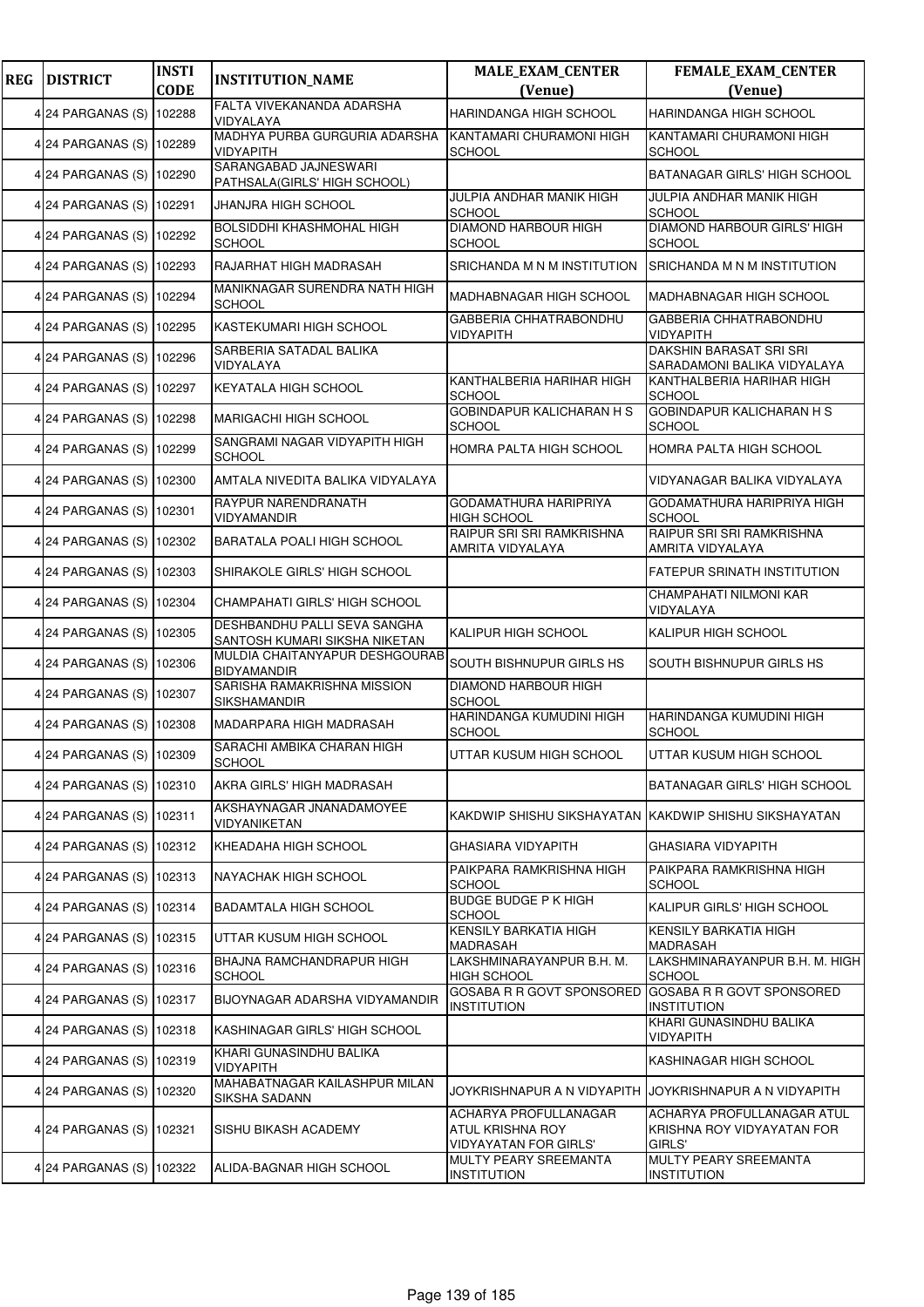| <b>REG</b> | <b>DISTRICT</b>          | <b>INSTI</b><br><b>CODE</b> | <b>INSTITUTION_NAME</b>                                       | <b>MALE_EXAM_CENTER</b><br>(Venue)                                        | FEMALE_EXAM_CENTER<br>(Venue)                                      |
|------------|--------------------------|-----------------------------|---------------------------------------------------------------|---------------------------------------------------------------------------|--------------------------------------------------------------------|
|            | 4 24 PARGANAS (S)        | 102288                      | FALTA VIVEKANANDA ADARSHA                                     | <b>HARINDANGA HIGH SCHOOL</b>                                             | <b>HARINDANGA HIGH SCHOOL</b>                                      |
|            | 4 24 PARGANAS (S) 102289 |                             | VIDYALAYA<br>MADHYA PURBA GURGURIA ADARSHA<br>VIDYAPITH       | KANTAMARI CHURAMONI HIGH<br><b>SCHOOL</b>                                 | KANTAMARI CHURAMONI HIGH<br><b>SCHOOL</b>                          |
|            | 4 24 PARGANAS (S)        | 102290                      | SARANGABAD JAJNESWARI<br>PATHSALA(GIRLS' HIGH SCHOOL)         |                                                                           | <b>BATANAGAR GIRLS' HIGH SCHOOL</b>                                |
|            | 4 24 PARGANAS (S)        | 102291                      | JHANJRA HIGH SCHOOL                                           | JULPIA ANDHAR MANIK HIGH<br><b>SCHOOL</b>                                 | JULPIA ANDHAR MANIK HIGH<br><b>SCHOOL</b>                          |
|            | 4 24 PARGANAS (S) 102292 |                             | BOLSIDDHI KHASHMOHAL HIGH<br><b>SCHOOL</b>                    | <b>DIAMOND HARBOUR HIGH</b><br><b>SCHOOL</b>                              | <b>DIAMOND HARBOUR GIRLS' HIGH</b><br><b>SCHOOL</b>                |
|            | 4 24 PARGANAS (S) 102293 |                             | RAJARHAT HIGH MADRASAH                                        | SRICHANDA M N M INSTITUTION                                               | <b>SRICHANDA M N M INSTITUTION</b>                                 |
|            | 4 24 PARGANAS (S)        | 102294                      | MANIKNAGAR SURENDRA NATH HIGH<br><b>SCHOOL</b>                | MADHABNAGAR HIGH SCHOOL                                                   | MADHABNAGAR HIGH SCHOOL                                            |
|            | 4 24 PARGANAS (S)        | 102295                      | KASTEKUMARI HIGH SCHOOL                                       | GABBERIA CHHATRABONDHU<br><b>VIDYAPITH</b>                                | GABBERIA CHHATRABONDHU<br><b>VIDYAPITH</b>                         |
|            | 4 24 PARGANAS (S) 102296 |                             | SARBERIA SATADAL BALIKA<br>VIDYALAYA                          |                                                                           | DAKSHIN BARASAT SRI SRI<br>SARADAMONI BALIKA VIDYALAYA             |
|            | 4 24 PARGANAS (S) 102297 |                             | KEYATALA HIGH SCHOOL                                          | KANTHALBERIA HARIHAR HIGH<br><b>SCHOOL</b>                                | KANTHALBERIA HARIHAR HIGH<br><b>SCHOOL</b>                         |
|            | 4 24 PARGANAS (S)        | 102298                      | <b>MARIGACHI HIGH SCHOOL</b>                                  | <b>GOBINDAPUR KALICHARAN H S</b><br><b>SCHOOL</b>                         | <b>GOBINDAPUR KALICHARAN H S</b><br><b>SCHOOL</b>                  |
|            | 4 24 PARGANAS (S)        | 102299                      | SANGRAMI NAGAR VIDYAPITH HIGH<br><b>SCHOOL</b>                | HOMRA PALTA HIGH SCHOOL                                                   | HOMRA PALTA HIGH SCHOOL                                            |
|            | 4 24 PARGANAS (S) 102300 |                             | AMTALA NIVEDITA BALIKA VIDYALAYA                              |                                                                           | VIDYANAGAR BALIKA VIDYALAYA                                        |
|            | 4 24 PARGANAS (S)        | 102301                      | RAYPUR NARENDRANATH<br>VIDYAMANDIR                            | GODAMATHURA HARIPRIYA<br>HIGH SCHOOL                                      | GODAMATHURA HARIPRIYA HIGH<br><b>SCHOOL</b>                        |
|            | 4 24 PARGANAS (S)        | 102302                      | BARATALA POALI HIGH SCHOOL                                    | RAIPUR SRI SRI RAMKRISHNA<br>AMRITA VIDYALAYA                             | RAIPUR SRI SRI RAMKRISHNA<br>AMRITA VIDYALAYA                      |
|            | 4 24 PARGANAS (S) 102303 |                             | SHIRAKOLE GIRLS' HIGH SCHOOL                                  |                                                                           | FATEPUR SRINATH INSTITUTION                                        |
|            | 4 24 PARGANAS (S)        | 102304                      | CHAMPAHATI GIRLS' HIGH SCHOOL                                 |                                                                           | CHAMPAHATI NILMONI KAR<br>VIDYALAYA                                |
|            | 4 24 PARGANAS (S)        | 102305                      | DESHBANDHU PALLI SEVA SANGHA<br>SANTOSH KUMARI SIKSHA NIKETAN | KALIPUR HIGH SCHOOL                                                       | KALIPUR HIGH SCHOOL                                                |
|            | 4 24 PARGANAS (S) 102306 |                             | MULDIA CHAITANYAPUR DESHGOURAB<br><b>BIDYAMANDIR</b>          | SOUTH BISHNUPUR GIRLS HS                                                  | SOUTH BISHNUPUR GIRLS HS                                           |
|            | 4 24 PARGANAS (S) 102307 |                             | SARISHA RAMAKRISHNA MISSION<br><b>SIKSHAMANDIR</b>            | DIAMOND HARBOUR HIGH<br>SCHOOL                                            |                                                                    |
|            | 4 24 PARGANAS (S) 102308 |                             | MADARPARA HIGH MADRASAH                                       | HARINDANGA KUMUDINI HIGH<br><b>SCHOOL</b>                                 | HARINDANGA KUMUDINI HIGH<br><b>SCHOOL</b>                          |
|            | 4 24 PARGANAS (S) 102309 |                             | SARACHI AMBIKA CHARAN HIGH<br><b>SCHOOL</b>                   | UTTAR KUSUM HIGH SCHOOL                                                   | UTTAR KUSUM HIGH SCHOOL                                            |
|            | 4 24 PARGANAS (S) 102310 |                             | AKRA GIRLS' HIGH MADRASAH                                     |                                                                           | BATANAGAR GIRLS' HIGH SCHOOL                                       |
|            | 4 24 PARGANAS (S) 102311 |                             | AKSHAYNAGAR JNANADAMOYEE<br>VIDYANIKETAN                      | KAKDWIP SHISHU SIKSHAYATAN KAKDWIP SHISHU SIKSHAYATAN                     |                                                                    |
|            | 4 24 PARGANAS (S)        | 102312                      | KHEADAHA HIGH SCHOOL                                          | GHASIARA VIDYAPITH                                                        | GHASIARA VIDYAPITH                                                 |
|            | 4 24 PARGANAS (S)        | 102313                      | NAYACHAK HIGH SCHOOL                                          | PAIKPARA RAMKRISHNA HIGH<br><b>SCHOOL</b>                                 | PAIKPARA RAMKRISHNA HIGH<br><b>SCHOOL</b>                          |
|            | 4 24 PARGANAS (S) 102314 |                             | <b>BADAMTALA HIGH SCHOOL</b>                                  | <b>BUDGE BUDGE P K HIGH</b><br><b>SCHOOL</b>                              | KALIPUR GIRLS' HIGH SCHOOL                                         |
|            | 4 24 PARGANAS (S) 102315 |                             | UTTAR KUSUM HIGH SCHOOL                                       | KENSILY BARKATIA HIGH<br>MADRASAH                                         | <b>KENSILY BARKATIA HIGH</b><br><b>MADRASAH</b>                    |
|            | 4 24 PARGANAS (S)        | 102316                      | BHAJNA RAMCHANDRAPUR HIGH<br><b>SCHOOL</b>                    | LAKSHMINARAYANPUR B.H. M.<br><b>HIGH SCHOOL</b>                           | LAKSHMINARAYANPUR B.H. M. HIGH<br><b>SCHOOL</b>                    |
|            | 4 24 PARGANAS (S)        | 102317                      | BIJOYNAGAR ADARSHA VIDYAMANDIR                                | GOSABA R R GOVT SPONSORED<br><b>INSTITUTION</b>                           | GOSABA R R GOVT SPONSORED<br><b>INSTITUTION</b>                    |
|            | 4 24 PARGANAS (S) 102318 |                             | KASHINAGAR GIRLS' HIGH SCHOOL                                 |                                                                           | KHARI GUNASINDHU BALIKA<br><b>VIDYAPITH</b>                        |
|            | 4 24 PARGANAS (S)        | 102319                      | KHARI GUNASINDHU BALIKA<br><b>VIDYAPITH</b>                   |                                                                           | KASHINAGAR HIGH SCHOOL                                             |
|            | 4 24 PARGANAS (S)        | 102320                      | MAHABATNAGAR KAILASHPUR MILAN<br>SIKSHA SADANN                | JOYKRISHNAPUR A N VIDYAPITH                                               | JOYKRISHNAPUR A N VIDYAPITH                                        |
|            | 4 24 PARGANAS (S) 102321 |                             | SISHU BIKASH ACADEMY                                          | ACHARYA PROFULLANAGAR<br>ATUL KRISHNA ROY<br><b>VIDYAYATAN FOR GIRLS'</b> | ACHARYA PROFULLANAGAR ATUL<br>KRISHNA ROY VIDYAYATAN FOR<br>GIRLS' |
|            | 4 24 PARGANAS (S)        | 102322                      | ALIDA-BAGNAR HIGH SCHOOL                                      | MULTY PEARY SREEMANTA<br><b>INSTITUTION</b>                               | MULTY PEARY SREEMANTA<br><b>INSTITUTION</b>                        |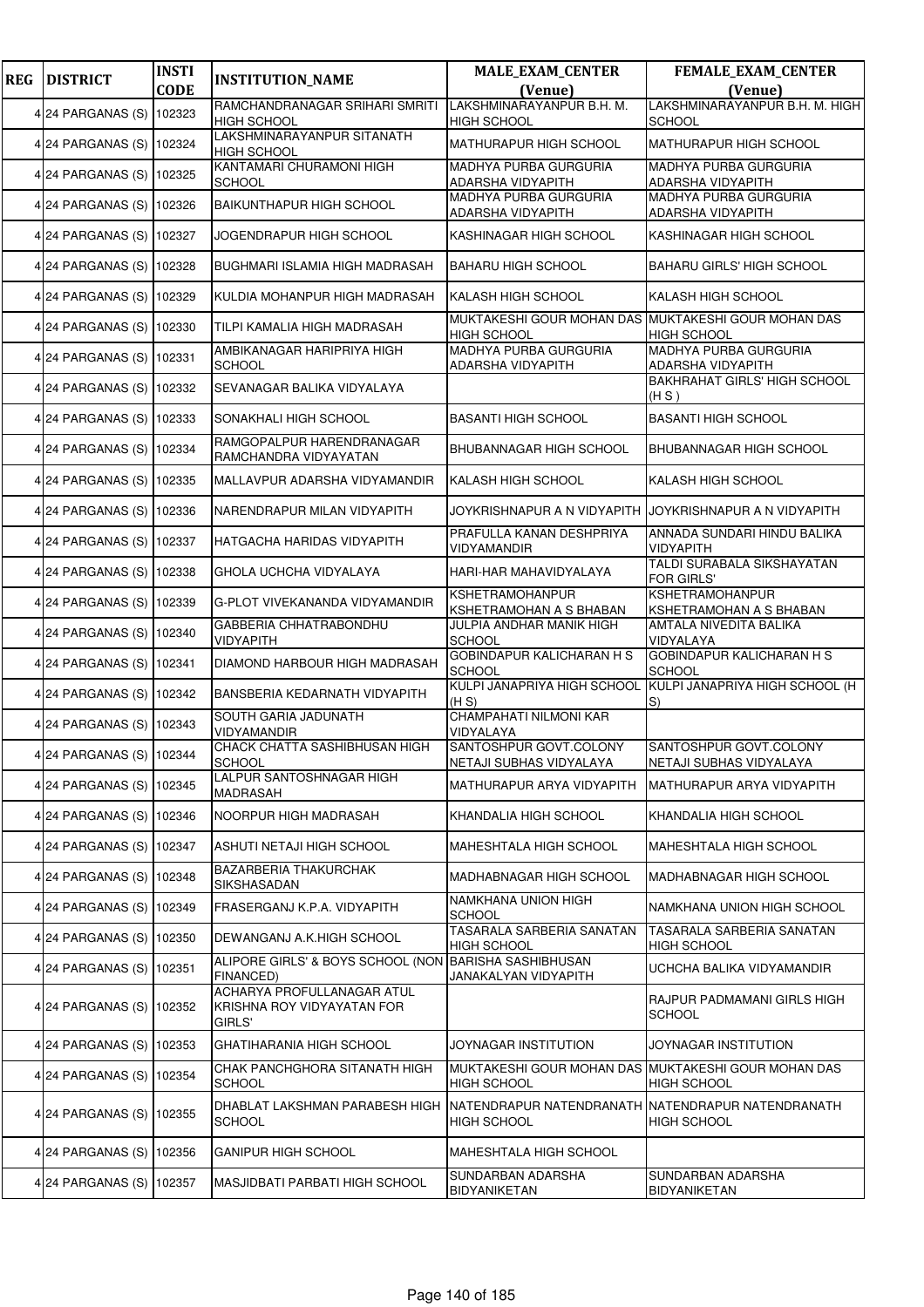| <b>REG</b> | <b>DISTRICT</b>          | <b>INSTI</b> | <b>INSTITUTION_NAME</b>                                            | <b>MALE_EXAM_CENTER</b>                                                   | <b>FEMALE_EXAM_CENTER</b>                         |
|------------|--------------------------|--------------|--------------------------------------------------------------------|---------------------------------------------------------------------------|---------------------------------------------------|
|            |                          | <b>CODE</b>  |                                                                    | (Venue)                                                                   | (Venue)                                           |
|            | 4 24 PARGANAS (S)        | 102323       | RAMCHANDRANAGAR SRIHARI SMRITI<br><b>HIGH SCHOOL</b>               | LAKSHMINARAYANPUR B.H. M.<br><b>HIGH SCHOOL</b>                           | LAKSHMINARAYANPUR B.H. M. HIGH<br>SCHOOL          |
|            | 4 24 PARGANAS (S) 102324 |              | LAKSHMINARAYANPUR SITANATH<br>HIGH SCHOOL                          | <b>MATHURAPUR HIGH SCHOOL</b>                                             | <b>MATHURAPUR HIGH SCHOOL</b>                     |
|            | 4 24 PARGANAS (S)        | 102325       | KANTAMARI CHURAMONI HIGH<br><b>SCHOOL</b>                          | <b>MADHYA PURBA GURGURIA</b><br>ADARSHA VIDYAPITH                         | <b>MADHYA PURBA GURGURIA</b><br>ADARSHA VIDYAPITH |
|            | 4 24 PARGANAS (S)        | 102326       | <b>BAIKUNTHAPUR HIGH SCHOOL</b>                                    | <b>MADHYA PURBA GURGURIA</b>                                              | <b>MADHYA PURBA GURGURIA</b>                      |
|            |                          |              |                                                                    | ADARSHA VIDYAPITH                                                         | ADARSHA VIDYAPITH                                 |
|            | 4 24 PARGANAS (S) 102327 |              | JOGENDRAPUR HIGH SCHOOL                                            | KASHINAGAR HIGH SCHOOL                                                    | KASHINAGAR HIGH SCHOOL                            |
|            | 4 24 PARGANAS (S)        | 102328       | BUGHMARI ISLAMIA HIGH MADRASAH                                     | <b>BAHARU HIGH SCHOOL</b>                                                 | <b>BAHARU GIRLS' HIGH SCHOOL</b>                  |
|            | 4 24 PARGANAS (S)        | 102329       | KULDIA MOHANPUR HIGH MADRASAH                                      | KALASH HIGH SCHOOL                                                        | KALASH HIGH SCHOOL                                |
|            | 4 24 PARGANAS (S)        | 102330       | TILPI KAMALIA HIGH MADRASAH                                        | MUKTAKESHI GOUR MOHAN DAS MUKTAKESHI GOUR MOHAN DAS<br><b>HIGH SCHOOL</b> | <b>HIGH SCHOOL</b>                                |
|            | 4 24 PARGANAS (S) 102331 |              | AMBIKANAGAR HARIPRIYA HIGH<br><b>SCHOOL</b>                        | <b>MADHYA PURBA GURGURIA</b><br>ADARSHA VIDYAPITH                         | MADHYA PURBA GURGURIA<br>ADARSHA VIDYAPITH        |
|            | 4 24 PARGANAS (S)        | 102332       | SEVANAGAR BALIKA VIDYALAYA                                         |                                                                           | <b>BAKHRAHAT GIRLS' HIGH SCHOOL</b><br>(H S)      |
|            | 4 24 PARGANAS (S)        | 102333       | SONAKHALI HIGH SCHOOL                                              | <b>BASANTI HIGH SCHOOL</b>                                                | <b>BASANTI HIGH SCHOOL</b>                        |
|            | 4 24 PARGANAS (S)        | 102334       | RAMGOPALPUR HARENDRANAGAR<br>RAMCHANDRA VIDYAYATAN                 | <b>BHUBANNAGAR HIGH SCHOOL</b>                                            | <b>BHUBANNAGAR HIGH SCHOOL</b>                    |
|            | 4 24 PARGANAS (S)        | 102335       | MALLAVPUR ADARSHA VIDYAMANDIR                                      | KALASH HIGH SCHOOL                                                        | KALASH HIGH SCHOOL                                |
|            | 4 24 PARGANAS (S)        | 102336       | NARENDRAPUR MILAN VIDYAPITH                                        | JOYKRISHNAPUR A N VIDYAPITH                                               | JOYKRISHNAPUR A N VIDYAPITH                       |
|            | 4 24 PARGANAS (S)        | 102337       | HATGACHA HARIDAS VIDYAPITH                                         | PRAFULLA KANAN DESHPRIYA<br>VIDYAMANDIR                                   | ANNADA SUNDARI HINDU BALIKA<br>VIDYAPITH          |
|            | 4 24 PARGANAS (S) 102338 |              | GHOLA UCHCHA VIDYALAYA                                             | HARI-HAR MAHAVIDYALAYA                                                    | TALDI SURABALA SIKSHAYATAN<br><b>FOR GIRLS'</b>   |
|            | 4 24 PARGANAS (S)        | 102339       | G-PLOT VIVEKANANDA VIDYAMANDIR                                     | <b>KSHETRAMOHANPUR</b><br>KSHETRAMOHAN A S BHABAN                         | KSHETRAMOHANPUR<br>KSHETRAMOHAN A S BHABAN        |
|            | 4 24 PARGANAS (S)        | 102340       | GABBERIA CHHATRABONDHU<br>VIDYAPITH                                | JULPIA ANDHAR MANIK HIGH<br><b>SCHOOL</b>                                 | AMTALA NIVEDITA BALIKA<br>VIDYALAYA               |
|            | 4 24 PARGANAS (S) 102341 |              | DIAMOND HARBOUR HIGH MADRASAH                                      | GOBINDAPUR KALICHARAN H S<br><b>SCHOOL</b>                                | GOBINDAPUR KALICHARAN H S<br><b>SCHOOL</b>        |
|            | 4 24 PARGANAS (S)        | 102342       | BANSBERIA KEDARNATH VIDYAPITH                                      | KULPI JANAPRIYA HIGH SCHOOL<br>(H S)                                      | KULPI JANAPRIYA HIGH SCHOOL (H<br>$ S\rangle$     |
|            | 4 24 PARGANAS (S)        | 102343       | SOUTH GARIA JADUNATH<br><b>VIDYAMANDIR</b>                         | CHAMPAHATI NILMONI KAR<br><b>VIDYALAYA</b>                                |                                                   |
|            | 4 24 PARGANAS (S) 102344 |              | CHACK CHATTA SASHIBHUSAN HIGH<br><b>SCHOOL</b>                     | SANTOSHPUR GOVT.COLONY<br>NETAJI SUBHAS VIDYALAYA                         | SANTOSHPUR GOVT.COLONY<br>NETAJI SUBHAS VIDYALAYA |
|            | 4 24 PARGANAS (S) 102345 |              | LALPUR SANTOSHNAGAR HIGH<br>MADRASAH                               | MATHURAPUR ARYA VIDYAPITH                                                 | MATHURAPUR ARYA VIDYAPITH                         |
|            | 4 24 PARGANAS (S)        | 102346       | NOORPUR HIGH MADRASAH                                              | KHANDALIA HIGH SCHOOL                                                     | KHANDALIA HIGH SCHOOL                             |
|            | 4 24 PARGANAS (S)        | 102347       | ASHUTI NETAJI HIGH SCHOOL                                          | <b>MAHESHTALA HIGH SCHOOL</b>                                             | <b>MAHESHTALA HIGH SCHOOL</b>                     |
|            | 4 24 PARGANAS (S)        | 102348       | BAZARBERIA THAKURCHAK<br>SIKSHASADAN                               | MADHABNAGAR HIGH SCHOOL                                                   | MADHABNAGAR HIGH SCHOOL                           |
|            | 4 24 PARGANAS (S) 102349 |              | FRASERGANJ K.P.A. VIDYAPITH                                        | NAMKHANA UNION HIGH<br><b>SCHOOL</b>                                      | NAMKHANA UNION HIGH SCHOOL                        |
|            | 4 24 PARGANAS (S)        | 102350       | DEWANGANJ A.K.HIGH SCHOOL                                          | TASARALA SARBERIA SANATAN<br><b>HIGH SCHOOL</b>                           | TASARALA SARBERIA SANATAN<br><b>HIGH SCHOOL</b>   |
|            | 4 24 PARGANAS (S)        | 102351       | ALIPORE GIRLS' & BOYS SCHOOL (NON BARISHA SASHIBHUSAN<br>FINANCED) | JANAKALYAN VIDYAPITH                                                      | UCHCHA BALIKA VIDYAMANDIR                         |
|            | 4 24 PARGANAS (S)        | 102352       | ACHARYA PROFULLANAGAR ATUL<br>KRISHNA ROY VIDYAYATAN FOR<br>GIRLS' |                                                                           | RAJPUR PADMAMANI GIRLS HIGH<br><b>SCHOOL</b>      |
|            | 4 24 PARGANAS (S)        | 102353       | GHATIHARANIA HIGH SCHOOL                                           | JOYNAGAR INSTITUTION                                                      | JOYNAGAR INSTITUTION                              |
|            | 4 24 PARGANAS (S)        | 102354       | CHAK PANCHGHORA SITANATH HIGH<br><b>SCHOOL</b>                     | MUKTAKESHI GOUR MOHAN DAS MUKTAKESHI GOUR MOHAN DAS<br><b>HIGH SCHOOL</b> | <b>HIGH SCHOOL</b>                                |
|            | 4 24 PARGANAS (S)        | 102355       | DHABLAT LAKSHMAN PARABESH HIGH<br><b>SCHOOL</b>                    | NATENDRAPUR NATENDRANATH INATENDRAPUR NATENDRANATH<br><b>HIGH SCHOOL</b>  | <b>HIGH SCHOOL</b>                                |
|            | 4 24 PARGANAS (S)        | 102356       | GANIPUR HIGH SCHOOL                                                | MAHESHTALA HIGH SCHOOL                                                    |                                                   |
|            | 424 PARGANAS (S)         | 102357       | MASJIDBATI PARBATI HIGH SCHOOL                                     | SUNDARBAN ADARSHA<br><b>BIDYANIKETAN</b>                                  | SUNDARBAN ADARSHA<br><b>BIDYANIKETAN</b>          |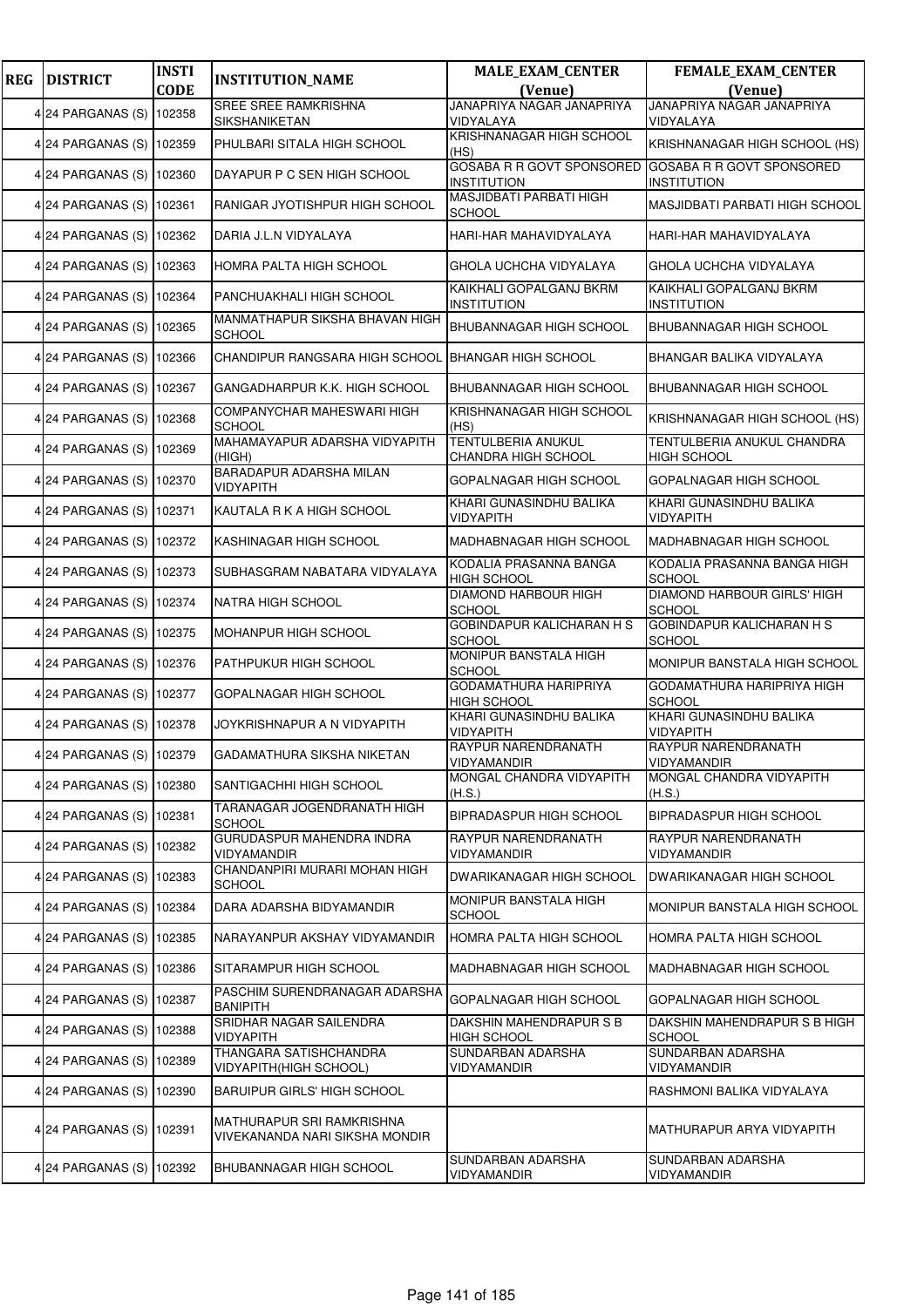| <b>REG</b> | <b>DISTRICT</b>          | <b>INSTI</b><br><b>CODE</b> | <b>INSTITUTION_NAME</b>                                     | <b>MALE_EXAM_CENTER</b><br>(Venue)                     | <b>FEMALE_EXAM_CENTER</b><br>(Venue)              |
|------------|--------------------------|-----------------------------|-------------------------------------------------------------|--------------------------------------------------------|---------------------------------------------------|
|            |                          |                             | <b>SREE SREE RAMKRISHNA</b>                                 | JANAPRIYA NAGAR JANAPRIYA                              | JANAPRIYA NAGAR JANAPRIYA                         |
|            | 4 24 PARGANAS (S)        | 102358                      | SIKSHANIKETAN                                               | VIDYALAYA                                              | VIDYALAYA                                         |
|            | 4 24 PARGANAS (S) 102359 |                             | PHULBARI SITALA HIGH SCHOOL                                 | KRISHNANAGAR HIGH SCHOOL<br>(HS)                       | KRISHNANAGAR HIGH SCHOOL (HS)                     |
|            | 4 24 PARGANAS (S)        | 102360                      | DAYAPUR P C SEN HIGH SCHOOL                                 | <b>GOSABA R R GOVT SPONSORED</b><br><b>INSTITUTION</b> | GOSABA R R GOVT SPONSORED<br><b>INSTITUTION</b>   |
|            | 4 24 PARGANAS (S)        | 102361                      | RANIGAR JYOTISHPUR HIGH SCHOOL                              | MASJIDBATI PARBATI HIGH<br><b>SCHOOL</b>               | MASJIDBATI PARBATI HIGH SCHOOL                    |
|            | 4 24 PARGANAS (S) 102362 |                             | DARIA J.L.N VIDYALAYA                                       | HARI-HAR MAHAVIDYALAYA                                 | HARI-HAR MAHAVIDYALAYA                            |
|            | 4 24 PARGANAS (S) 102363 |                             | HOMRA PALTA HIGH SCHOOL                                     | GHOLA UCHCHA VIDYALAYA                                 | GHOLA UCHCHA VIDYALAYA                            |
|            | 4 24 PARGANAS (S)        | 102364                      | PANCHUAKHALI HIGH SCHOOL                                    | KAIKHALI GOPALGANJ BKRM<br><b>INSTITUTION</b>          | KAIKHALI GOPALGANJ BKRM<br><b>INSTITUTION</b>     |
|            | 4 24 PARGANAS (S)        | 102365                      | MANMATHAPUR SIKSHA BHAVAN HIGH<br><b>SCHOOL</b>             | BHUBANNAGAR HIGH SCHOOL                                | BHUBANNAGAR HIGH SCHOOL                           |
|            | 4 24 PARGANAS (S) 102366 |                             | CHANDIPUR RANGSARA HIGH SCHOOL                              | <b>BHANGAR HIGH SCHOOL</b>                             | BHANGAR BALIKA VIDYALAYA                          |
|            | 4 24 PARGANAS (S)        | 102367                      | GANGADHARPUR K.K. HIGH SCHOOL                               | BHUBANNAGAR HIGH SCHOOL                                | <b>BHUBANNAGAR HIGH SCHOOL</b>                    |
|            | 4 24 PARGANAS (S)        | 102368                      | COMPANYCHAR MAHESWARI HIGH<br><b>SCHOOL</b>                 | KRISHNANAGAR HIGH SCHOOL<br>(HS)                       | KRISHNANAGAR HIGH SCHOOL (HS)                     |
|            | 4 24 PARGANAS (S)        | 102369                      | MAHAMAYAPUR ADARSHA VIDYAPITH<br>(HIGH)                     | <b>TENTULBERIA ANUKUL</b><br>CHANDRA HIGH SCHOOL       | TENTULBERIA ANUKUL CHANDRA<br><b>HIGH SCHOOL</b>  |
|            | 4 24 PARGANAS (S) 102370 |                             | BARADAPUR ADARSHA MILAN<br>VIDYAPITH                        | GOPALNAGAR HIGH SCHOOL                                 | GOPALNAGAR HIGH SCHOOL                            |
|            | 4 24 PARGANAS (S)        | 102371                      | KAUTALA R K A HIGH SCHOOL                                   | KHARI GUNASINDHU BALIKA<br>VIDYAPITH                   | KHARI GUNASINDHU BALIKA<br>VIDYAPITH              |
|            | 4 24 PARGANAS (S)        | 102372                      | KASHINAGAR HIGH SCHOOL                                      | MADHABNAGAR HIGH SCHOOL                                | MADHABNAGAR HIGH SCHOOL                           |
|            | 4 24 PARGANAS (S) 102373 |                             | SUBHASGRAM NABATARA VIDYALAYA                               | KODALIA PRASANNA BANGA<br><b>HIGH SCHOOL</b>           | KODALIA PRASANNA BANGA HIGH<br><b>SCHOOL</b>      |
|            | 4 24 PARGANAS (S)        | 102374                      | NATRA HIGH SCHOOL                                           | <b>DIAMOND HARBOUR HIGH</b><br><b>SCHOOL</b>           | DIAMOND HARBOUR GIRLS' HIGH<br><b>SCHOOL</b>      |
|            | 4 24 PARGANAS (S)        | 102375                      | MOHANPUR HIGH SCHOOL                                        | <b>GOBINDAPUR KALICHARAN H S</b><br><b>SCHOOL</b>      | <b>GOBINDAPUR KALICHARAN H S</b><br><b>SCHOOL</b> |
|            | 4 24 PARGANAS (S) 102376 |                             | PATHPUKUR HIGH SCHOOL                                       | MONIPUR BANSTALA HIGH<br><b>SCHOOL</b>                 | MONIPUR BANSTALA HIGH SCHOOL                      |
|            | 4 24 PARGANAS (S) 102377 |                             | GOPALNAGAR HIGH SCHOOL                                      | <b>GODAMATHURA HARIPRIYA</b><br><b>HIGH SCHOOL</b>     | GODAMATHURA HARIPRIYA HIGH<br><b>SCHOOL</b>       |
|            | 4 24 PARGANAS (S)        | 102378                      | JOYKRISHNAPUR A N VIDYAPITH                                 | KHARI GUNASINDHU BALIKA<br><b>VIDYAPITH</b>            | KHARI GUNASINDHU BALIKA<br><b>VIDYAPITH</b>       |
|            | 4 24 PARGANAS (S) 102379 |                             | GADAMATHURA SIKSHA NIKETAN                                  | RAYPUR NARENDRANATH<br>VIDYAMANDIR                     | RAYPUR NARENDRANATH<br>VIDYAMANDIR                |
|            | 4 24 PARGANAS (S) 102380 |                             | SANTIGACHHI HIGH SCHOOL                                     | MONGAL CHANDRA VIDYAPITH<br>(H.S.)                     | MONGAL CHANDRA VIDYAPITH<br>(H.S.)                |
|            | 4 24 PARGANAS (S)        | 102381                      | TARANAGAR JOGENDRANATH HIGH<br><b>SCHOOL</b>                | BIPRADASPUR HIGH SCHOOL                                | BIPRADASPUR HIGH SCHOOL                           |
|            | 4 24 PARGANAS (S)        | 102382                      | GURUDASPUR MAHENDRA INDRA<br><b>VIDYAMANDIR</b>             | RAYPUR NARENDRANATH<br>VIDYAMANDIR                     | RAYPUR NARENDRANATH<br><b>VIDYAMANDIR</b>         |
|            | 4 24 PARGANAS (S)        | 102383                      | CHANDANPIRI MURARI MOHAN HIGH<br><b>SCHOOL</b>              | DWARIKANAGAR HIGH SCHOOL                               | DWARIKANAGAR HIGH SCHOOL                          |
|            | 4 24 PARGANAS (S) 102384 |                             | DARA ADARSHA BIDYAMANDIR                                    | MONIPUR BANSTALA HIGH<br>SCHOOL                        | MONIPUR BANSTALA HIGH SCHOOL                      |
|            | 4 24 PARGANAS (S)        | 102385                      | NARAYANPUR AKSHAY VIDYAMANDIR                               | <b>HOMRA PALTA HIGH SCHOOL</b>                         | HOMRA PALTA HIGH SCHOOL                           |
|            | 4 24 PARGANAS (S)        | 102386                      | SITARAMPUR HIGH SCHOOL                                      | MADHABNAGAR HIGH SCHOOL                                | MADHABNAGAR HIGH SCHOOL                           |
|            | 4 24 PARGANAS (S)        | 102387                      | PASCHIM SURENDRANAGAR ADARSHA<br><b>BANIPITH</b>            | GOPALNAGAR HIGH SCHOOL                                 | GOPALNAGAR HIGH SCHOOL                            |
|            | 4 24 PARGANAS (S)        | 102388                      | SRIDHAR NAGAR SAILENDRA<br><b>VIDYAPITH</b>                 | DAKSHIN MAHENDRAPUR S B<br>HIGH SCHOOL                 | DAKSHIN MAHENDRAPUR S B HIGH<br><b>SCHOOL</b>     |
|            | 4 24 PARGANAS (S)        | 102389                      | THANGARA SATISHCHANDRA<br>VIDYAPITH(HIGH SCHOOL)            | SUNDARBAN ADARSHA<br>VIDYAMANDIR                       | SUNDARBAN ADARSHA<br>VIDYAMANDIR                  |
|            | 4 24 PARGANAS (S)        | 102390                      | BARUIPUR GIRLS' HIGH SCHOOL                                 |                                                        | RASHMONI BALIKA VIDYALAYA                         |
|            | 4 24 PARGANAS (S) 102391 |                             | MATHURAPUR SRI RAMKRISHNA<br>VIVEKANANDA NARI SIKSHA MONDIR |                                                        | MATHURAPUR ARYA VIDYAPITH                         |
|            | 4 24 PARGANAS (S)        | 102392                      | BHUBANNAGAR HIGH SCHOOL                                     | SUNDARBAN ADARSHA<br>VIDYAMANDIR                       | SUNDARBAN ADARSHA<br>VIDYAMANDIR                  |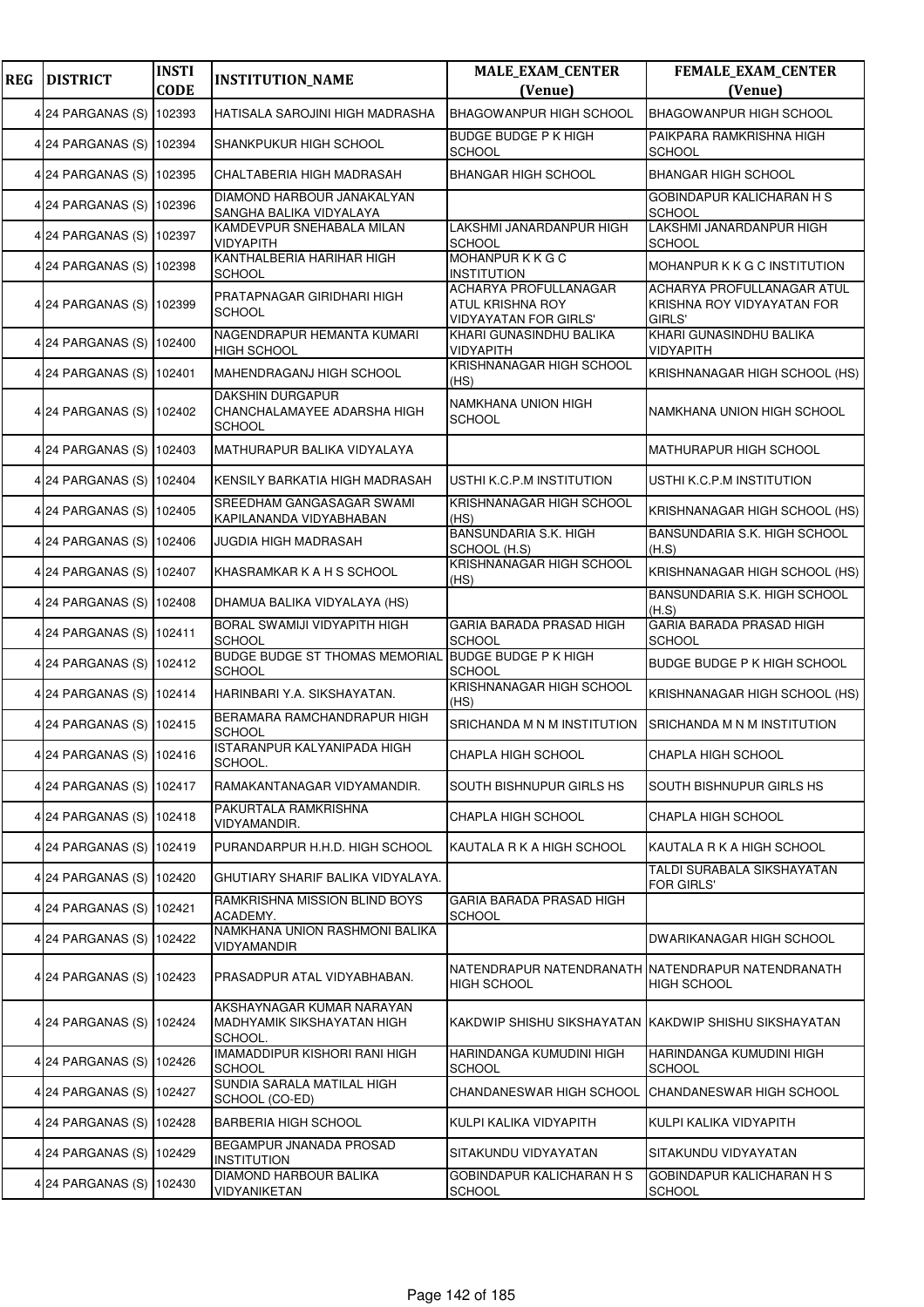| <b>REG</b> | <b>DISTRICT</b>          | <b>INSTI</b><br><b>CODE</b> | <b>INSTITUTION_NAME</b>                                                 | <b>MALE_EXAM_CENTER</b><br>(Venue)                                        | <b>FEMALE_EXAM_CENTER</b><br>(Venue)                               |
|------------|--------------------------|-----------------------------|-------------------------------------------------------------------------|---------------------------------------------------------------------------|--------------------------------------------------------------------|
|            | 4 24 PARGANAS (S)        | 102393                      | HATISALA SAROJINI HIGH MADRASHA                                         | <b>BHAGOWANPUR HIGH SCHOOL</b>                                            | <b>BHAGOWANPUR HIGH SCHOOL</b>                                     |
|            | 4 24 PARGANAS (S) 102394 |                             | SHANKPUKUR HIGH SCHOOL                                                  | <b>BUDGE BUDGE P K HIGH</b><br><b>SCHOOL</b>                              | PAIKPARA RAMKRISHNA HIGH<br><b>SCHOOL</b>                          |
|            | 4 24 PARGANAS (S)        | 102395                      | CHALTABERIA HIGH MADRASAH                                               | <b>BHANGAR HIGH SCHOOL</b>                                                | <b>BHANGAR HIGH SCHOOL</b>                                         |
|            | 4 24 PARGANAS (S)        | 102396                      | DIAMOND HARBOUR JANAKALYAN<br>SANGHA BALIKA VIDYALAYA                   |                                                                           | GOBINDAPUR KALICHARAN H S<br><b>SCHOOL</b>                         |
|            | 4 24 PARGANAS (S) 102397 |                             | KAMDEVPUR SNEHABALA MILAN<br><b>VIDYAPITH</b>                           | LAKSHMI JANARDANPUR HIGH<br><b>SCHOOL</b>                                 | LAKSHMI JANARDANPUR HIGH<br><b>SCHOOL</b>                          |
|            | 4 24 PARGANAS (S)        | 102398                      | KANTHALBERIA HARIHAR HIGH<br><b>SCHOOL</b>                              | MOHANPURKKGC<br><b>INSTITUTION</b>                                        | MOHANPUR K K G C INSTITUTION                                       |
|            | 4 24 PARGANAS (S)        | 102399                      | PRATAPNAGAR GIRIDHARI HIGH<br><b>SCHOOL</b>                             | ACHARYA PROFULLANAGAR<br>ATUL KRISHNA ROY<br><b>VIDYAYATAN FOR GIRLS'</b> | ACHARYA PROFULLANAGAR ATUL<br>KRISHNA ROY VIDYAYATAN FOR<br>GIRLS' |
|            | 4 24 PARGANAS (S)        | 102400                      | NAGENDRAPUR HEMANTA KUMARI<br><b>HIGH SCHOOL</b>                        | KHARI GUNASINDHU BALIKA<br>VIDYAPITH                                      | KHARI GUNASINDHU BALIKA<br><b>VIDYAPITH</b>                        |
|            | 4 24 PARGANAS (S)        | 102401                      | MAHENDRAGANJ HIGH SCHOOL                                                | KRISHNANAGAR HIGH SCHOOL<br>(HS)                                          | KRISHNANAGAR HIGH SCHOOL (HS)                                      |
|            | 4 24 PARGANAS (S)        | 102402                      | <b>DAKSHIN DURGAPUR</b><br>CHANCHALAMAYEE ADARSHA HIGH<br><b>SCHOOL</b> | NAMKHANA UNION HIGH<br><b>SCHOOL</b>                                      | NAMKHANA UNION HIGH SCHOOL                                         |
|            | 4 24 PARGANAS (S)        | 102403                      | MATHURAPUR BALIKA VIDYALAYA                                             |                                                                           | MATHURAPUR HIGH SCHOOL                                             |
|            | 4 24 PARGANAS (S) 102404 |                             | KENSILY BARKATIA HIGH MADRASAH                                          | USTHI K.C.P.M INSTITUTION                                                 | USTHI K.C.P.M INSTITUTION                                          |
|            | 4 24 PARGANAS (S)        | 102405                      | SREEDHAM GANGASAGAR SWAMI<br>KAPILANANDA VIDYABHABAN                    | KRISHNANAGAR HIGH SCHOOL<br>(HS)                                          | KRISHNANAGAR HIGH SCHOOL (HS)                                      |
|            | 4 24 PARGANAS (S)        | 102406                      | JUGDIA HIGH MADRASAH                                                    | BANSUNDARIA S.K. HIGH<br>SCHOOL (H.S)                                     | BANSUNDARIA S.K. HIGH SCHOOL<br>(H.S)                              |
|            | 4 24 PARGANAS (S) 102407 |                             | KHASRAMKAR K A H S SCHOOL                                               | KRISHNANAGAR HIGH SCHOOL<br>(HS)                                          | KRISHNANAGAR HIGH SCHOOL (HS)                                      |
|            | 4 24 PARGANAS (S)        | 102408                      | DHAMUA BALIKA VIDYALAYA (HS)                                            |                                                                           | BANSUNDARIA S.K. HIGH SCHOOL<br>(H.S)                              |
|            | 4 24 PARGANAS (S)        | 102411                      | BORAL SWAMIJI VIDYAPITH HIGH<br><b>SCHOOL</b>                           | GARIA BARADA PRASAD HIGH<br><b>SCHOOL</b>                                 | GARIA BARADA PRASAD HIGH<br><b>SCHOOL</b>                          |
|            | 4 24 PARGANAS (S) 102412 |                             | <b>BUDGE BUDGE ST THOMAS MEMORIAL</b><br><b>SCHOOL</b>                  | <b>BUDGE BUDGE P K HIGH</b><br><b>SCHOOL</b>                              | BUDGE BUDGE P K HIGH SCHOOL                                        |
|            | 4 24 PARGANAS (S)        | 102414                      | HARINBARI Y.A. SIKSHAYATAN.                                             | KRISHNANAGAR HIGH SCHOOL<br>(HS)                                          | KRISHNANAGAR HIGH SCHOOL (HS)                                      |
|            | 4 24 PARGANAS (S) 102415 |                             | BERAMARA RAMCHANDRAPUR HIGH<br><b>SCHOOL</b>                            | SRICHANDA M N M INSTITUTION                                               | SRICHANDA M N M INSTITUTION                                        |
|            | 4 24 PARGANAS (S) 102416 |                             | ISTARANPUR KALYANIPADA HIGH<br>SCHOOL.                                  | CHAPLA HIGH SCHOOL                                                        | CHAPLA HIGH SCHOOL                                                 |
|            | 4 24 PARGANAS (S) 102417 |                             | RAMAKANTANAGAR VIDYAMANDIR.                                             | SOUTH BISHNUPUR GIRLS HS                                                  | SOUTH BISHNUPUR GIRLS HS                                           |
|            | 4 24 PARGANAS (S)        | 102418                      | PAKURTALA RAMKRISHNA<br>VIDYAMANDIR.                                    | CHAPLA HIGH SCHOOL                                                        | CHAPLA HIGH SCHOOL                                                 |
|            | 4 24 PARGANAS (S)        | 102419                      | PURANDARPUR H.H.D. HIGH SCHOOL                                          | KAUTALA R K A HIGH SCHOOL                                                 | KAUTALA R K A HIGH SCHOOL                                          |
|            | 4 24 PARGANAS (S)        | 102420                      | GHUTIARY SHARIF BALIKA VIDYALAYA.                                       |                                                                           | TALDI SURABALA SIKSHAYATAN<br>FOR GIRLS'                           |
|            | 4 24 PARGANAS (S)        | 102421                      | RAMKRISHNA MISSION BLIND BOYS<br>ACADEMY.                               | GARIA BARADA PRASAD HIGH<br><b>SCHOOL</b>                                 |                                                                    |
|            | 4 24 PARGANAS (S)        | 102422                      | NAMKHANA UNION RASHMONI BALIKA<br>VIDYAMANDIR                           |                                                                           | DWARIKANAGAR HIGH SCHOOL                                           |
|            | 424 PARGANAS (S)         | 102423                      | PRASADPUR ATAL VIDYABHABAN.                                             | <b>HIGH SCHOOL</b>                                                        | NATENDRAPUR NATENDRANATH NATENDRAPUR NATENDRANATH<br>HIGH SCHOOL   |
|            | 4 24 PARGANAS (S)        | 102424                      | AKSHAYNAGAR KUMAR NARAYAN<br>MADHYAMIK SIKSHAYATAN HIGH<br>SCHOOL.      |                                                                           | KAKDWIP SHISHU SIKSHAYATAN KAKDWIP SHISHU SIKSHAYATAN              |
|            | 4 24 PARGANAS (S)        | 102426                      | IMAMADDIPUR KISHORI RANI HIGH<br><b>SCHOOL</b>                          | HARINDANGA KUMUDINI HIGH<br><b>SCHOOL</b>                                 | HARINDANGA KUMUDINI HIGH<br><b>SCHOOL</b>                          |
|            | 4 24 PARGANAS (S)        | 102427                      | SUNDIA SARALA MATILAL HIGH<br>SCHOOL (CO-ED)                            | CHANDANESWAR HIGH SCHOOL                                                  | CHANDANESWAR HIGH SCHOOL                                           |
|            | 4 24 PARGANAS (S)        | 102428                      | <b>BARBERIA HIGH SCHOOL</b>                                             | KULPI KALIKA VIDYAPITH                                                    | KULPI KALIKA VIDYAPITH                                             |
|            | 4 24 PARGANAS (S)        | 102429                      | BEGAMPUR JNANADA PROSAD<br><b>INSTITUTION</b>                           | SITAKUNDU VIDYAYATAN                                                      | SITAKUNDU VIDYAYATAN                                               |
|            | 4 24 PARGANAS (S)        | 102430                      | DIAMOND HARBOUR BALIKA<br>VIDYANIKETAN                                  | GOBINDAPUR KALICHARAN H S<br><b>SCHOOL</b>                                | GOBINDAPUR KALICHARAN H S<br><b>SCHOOL</b>                         |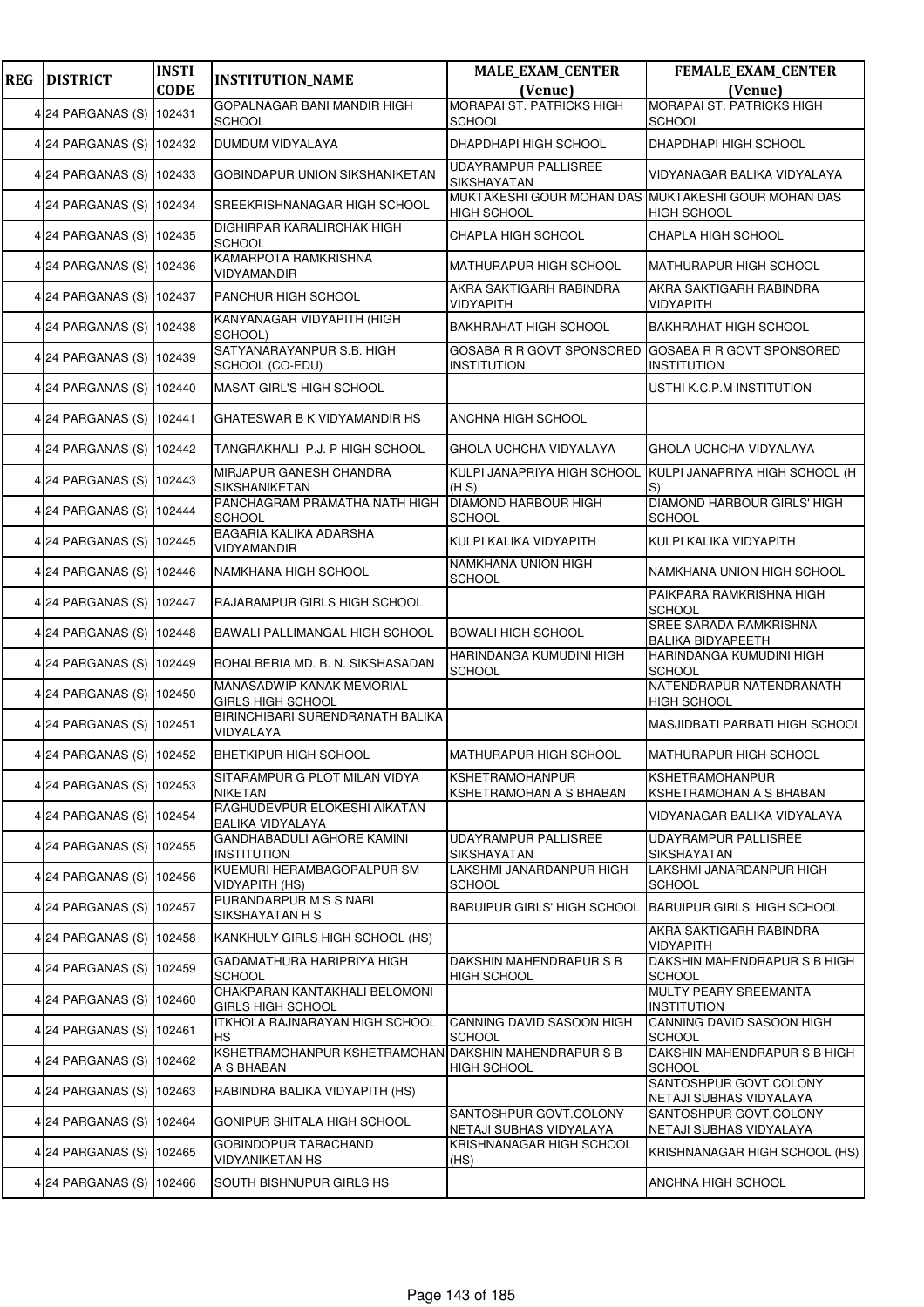| <b>REG</b> | <b>DISTRICT</b>          | <b>INSTI</b><br><b>CODE</b> | <b>INSTITUTION_NAME</b>                                   | <b>MALE_EXAM_CENTER</b><br>(Venue)                                        | <b>FEMALE_EXAM_CENTER</b><br>(Venue)                   |
|------------|--------------------------|-----------------------------|-----------------------------------------------------------|---------------------------------------------------------------------------|--------------------------------------------------------|
|            |                          |                             | GOPALNAGAR BANI MANDIR HIGH                               | <b>MORAPAI ST. PATRICKS HIGH</b>                                          | <b>MORAPAI ST. PATRICKS HIGH</b>                       |
|            | 4 24 PARGANAS (S) 102431 |                             | <b>SCHOOL</b>                                             | <b>SCHOOL</b>                                                             | <b>SCHOOL</b>                                          |
|            | 4 24 PARGANAS (S) 102432 |                             | DUMDUM VIDYALAYA                                          | DHAPDHAPI HIGH SCHOOL                                                     | DHAPDHAPI HIGH SCHOOL                                  |
|            | 4 24 PARGANAS (S) 102433 |                             | GOBINDAPUR UNION SIKSHANIKETAN                            | UDAYRAMPUR PALLISREE<br>SIKSHAYATAN                                       | VIDYANAGAR BALIKA VIDYALAYA                            |
|            | 4 24 PARGANAS (S) 102434 |                             | SREEKRISHNANAGAR HIGH SCHOOL                              | MUKTAKESHI GOUR MOHAN DAS MUKTAKESHI GOUR MOHAN DAS<br><b>HIGH SCHOOL</b> | <b>HIGH SCHOOL</b>                                     |
|            | 4 24 PARGANAS (S) 102435 |                             | DIGHIRPAR KARALIRCHAK HIGH<br><b>SCHOOL</b>               | CHAPLA HIGH SCHOOL                                                        | CHAPLA HIGH SCHOOL                                     |
|            | 4 24 PARGANAS (S) 102436 |                             | KAMARPOTA RAMKRISHNA<br>VIDYAMANDIR                       | <b>MATHURAPUR HIGH SCHOOL</b>                                             | <b>MATHURAPUR HIGH SCHOOL</b>                          |
|            | 4 24 PARGANAS (S) 102437 |                             | PANCHUR HIGH SCHOOL                                       | AKRA SAKTIGARH RABINDRA<br>VIDYAPITH                                      | AKRA SAKTIGARH RABINDRA<br><b>VIDYAPITH</b>            |
|            | 4 24 PARGANAS (S) 102438 |                             | KANYANAGAR VIDYAPITH (HIGH<br>SCHOOL)                     | <b>BAKHRAHAT HIGH SCHOOL</b>                                              | <b>BAKHRAHAT HIGH SCHOOL</b>                           |
|            | 4 24 PARGANAS (S) 102439 |                             | SATYANARAYANPUR S.B. HIGH<br>SCHOOL (CO-EDU)              | GOSABA R R GOVT SPONSORED<br><b>INSTITUTION</b>                           | <b>GOSABA R R GOVT SPONSORED</b><br><b>INSTITUTION</b> |
|            | 4 24 PARGANAS (S) 102440 |                             | MASAT GIRL'S HIGH SCHOOL                                  |                                                                           | USTHI K.C.P.M INSTITUTION                              |
|            | 4 24 PARGANAS (S) 102441 |                             | GHATESWAR B K VIDYAMANDIR HS                              | ANCHNA HIGH SCHOOL                                                        |                                                        |
|            | 4 24 PARGANAS (S) 102442 |                             | TANGRAKHALI P.J. P HIGH SCHOOL                            | GHOLA UCHCHA VIDYALAYA                                                    | GHOLA UCHCHA VIDYALAYA                                 |
|            | 4 24 PARGANAS (S) 102443 |                             | MIRJAPUR GANESH CHANDRA<br>SIKSHANIKETAN                  | KULPI JANAPRIYA HIGH SCHOOL<br>(H S)                                      | KULPI JANAPRIYA HIGH SCHOOL (H<br>S)                   |
|            | 4 24 PARGANAS (S) 102444 |                             | PANCHAGRAM PRAMATHA NATH HIGH<br><b>SCHOOL</b>            | <b>DIAMOND HARBOUR HIGH</b><br>SCHOOL                                     | <b>DIAMOND HARBOUR GIRLS' HIGH</b><br><b>SCHOOL</b>    |
|            | 4 24 PARGANAS (S) 102445 |                             | BAGARIA KALIKA ADARSHA<br>VIDYAMANDIR                     | KULPI KALIKA VIDYAPITH                                                    | KULPI KALIKA VIDYAPITH                                 |
|            | 4 24 PARGANAS (S) 102446 |                             | NAMKHANA HIGH SCHOOL                                      | NAMKHANA UNION HIGH<br>SCHOOL                                             | NAMKHANA UNION HIGH SCHOOL                             |
|            | 4 24 PARGANAS (S) 102447 |                             | RAJARAMPUR GIRLS HIGH SCHOOL                              |                                                                           | PAIKPARA RAMKRISHNA HIGH<br><b>SCHOOL</b>              |
|            | 4 24 PARGANAS (S) 102448 |                             | BAWALI PALLIMANGAL HIGH SCHOOL                            | <b>BOWALI HIGH SCHOOL</b>                                                 | SREE SARADA RAMKRISHNA<br><b>BALIKA BIDYAPEETH</b>     |
|            | 4 24 PARGANAS (S) 102449 |                             | BOHALBERIA MD. B. N. SIKSHASADAN                          | HARINDANGA KUMUDINI HIGH<br><b>SCHOOL</b>                                 | HARINDANGA KUMUDINI HIGH<br><b>SCHOOL</b>              |
|            | 4 24 PARGANAS (S) 102450 |                             | MANASADWIP KANAK MEMORIAL<br><b>GIRLS HIGH SCHOOL</b>     |                                                                           | NATENDRAPUR NATENDRANATH<br><b>HIGH SCHOOL</b>         |
|            | 4 24 PARGANAS (S) 102451 |                             | BIRINCHIBARI SURENDRANATH BALIKA<br>VIDYALAYA             |                                                                           | MASJIDBATI PARBATI HIGH SCHOOL                         |
|            | 4 24 PARGANAS (S) 102452 |                             | BHETKIPUR HIGH SCHOOL                                     | MATHURAPUR HIGH SCHOOL                                                    | MATHURAPUR HIGH SCHOOL                                 |
|            | 4 24 PARGANAS (S) 102453 |                             | SITARAMPUR G PLOT MILAN VIDYA<br><b>NIKETAN</b>           | <b>KSHETRAMOHANPUR</b><br>KSHETRAMOHAN A S BHABAN                         | <b>KSHETRAMOHANPUR</b><br>KSHETRAMOHAN A S BHABAN      |
|            | 4 24 PARGANAS (S) 102454 |                             | RAGHUDEVPUR ELOKESHI AIKATAN<br><b>BALIKA VIDYALAYA</b>   |                                                                           | VIDYANAGAR BALIKA VIDYALAYA                            |
|            | 4 24 PARGANAS (S) 102455 |                             | GANDHABADULI AGHORE KAMINI<br><b>INSTITUTION</b>          | <b>UDAYRAMPUR PALLISREE</b><br>SIKSHAYATAN                                | UDAYRAMPUR PALLISREE<br>SIKSHAYATAN                    |
|            | 4 24 PARGANAS (S) 102456 |                             | KUEMURI HERAMBAGOPALPUR SM<br><b>VIDYAPITH (HS)</b>       | LAKSHMI JANARDANPUR HIGH<br>SCHOOL                                        | LAKSHMI JANARDANPUR HIGH<br><b>SCHOOL</b>              |
|            | 4 24 PARGANAS (S) 102457 |                             | PURANDARPUR M S S NARI<br>SIKSHAYATAN H S                 | <b>BARUIPUR GIRLS' HIGH SCHOOL</b>                                        | <b>BARUIPUR GIRLS' HIGH SCHOOL</b>                     |
|            | 4 24 PARGANAS (S) 102458 |                             | KANKHULY GIRLS HIGH SCHOOL (HS)                           |                                                                           | AKRA SAKTIGARH RABINDRA<br><b>VIDYAPITH</b>            |
|            | 4 24 PARGANAS (S) 102459 |                             | GADAMATHURA HARIPRIYA HIGH<br><b>SCHOOL</b>               | DAKSHIN MAHENDRAPUR S B<br><b>HIGH SCHOOL</b>                             | DAKSHIN MAHENDRAPUR S B HIGH<br><b>SCHOOL</b>          |
|            | 4 24 PARGANAS (S) 102460 |                             | CHAKPARAN KANTAKHALI BELOMONI<br><b>GIRLS HIGH SCHOOL</b> |                                                                           | MULTY PEARY SREEMANTA<br><b>INSTITUTION</b>            |
|            | 4 24 PARGANAS (S) 102461 |                             | <b>ITKHOLA RAJNARAYAN HIGH SCHOOL</b><br>HS.              | CANNING DAVID SASOON HIGH<br><b>SCHOOL</b>                                | CANNING DAVID SASOON HIGH<br><b>SCHOOL</b>             |
|            | 4 24 PARGANAS (S) 102462 |                             | KSHETRAMOHANPUR KSHETRAMOHAN<br>A S BHABAN                | DAKSHIN MAHENDRAPUR S B<br><b>HIGH SCHOOL</b>                             | DAKSHIN MAHENDRAPUR S B HIGH<br><b>SCHOOL</b>          |
|            | 4 24 PARGANAS (S)        | 102463                      | RABINDRA BALIKA VIDYAPITH (HS)                            |                                                                           | SANTOSHPUR GOVT.COLONY<br>NETAJI SUBHAS VIDYALAYA      |
|            | 4 24 PARGANAS (S) 102464 |                             | GONIPUR SHITALA HIGH SCHOOL                               | SANTOSHPUR GOVT.COLONY<br>NETAJI SUBHAS VIDYALAYA                         | SANTOSHPUR GOVT.COLONY<br>NETAJI SUBHAS VIDYALAYA      |
|            | 4 24 PARGANAS (S) 102465 |                             | <b>GOBINDOPUR TARACHAND</b><br><b>VIDYANIKETAN HS</b>     | KRISHNANAGAR HIGH SCHOOL<br>(HS)                                          | KRISHNANAGAR HIGH SCHOOL (HS)                          |
|            | 4 24 PARGANAS (S)        | 102466                      | SOUTH BISHNUPUR GIRLS HS                                  |                                                                           | ANCHNA HIGH SCHOOL                                     |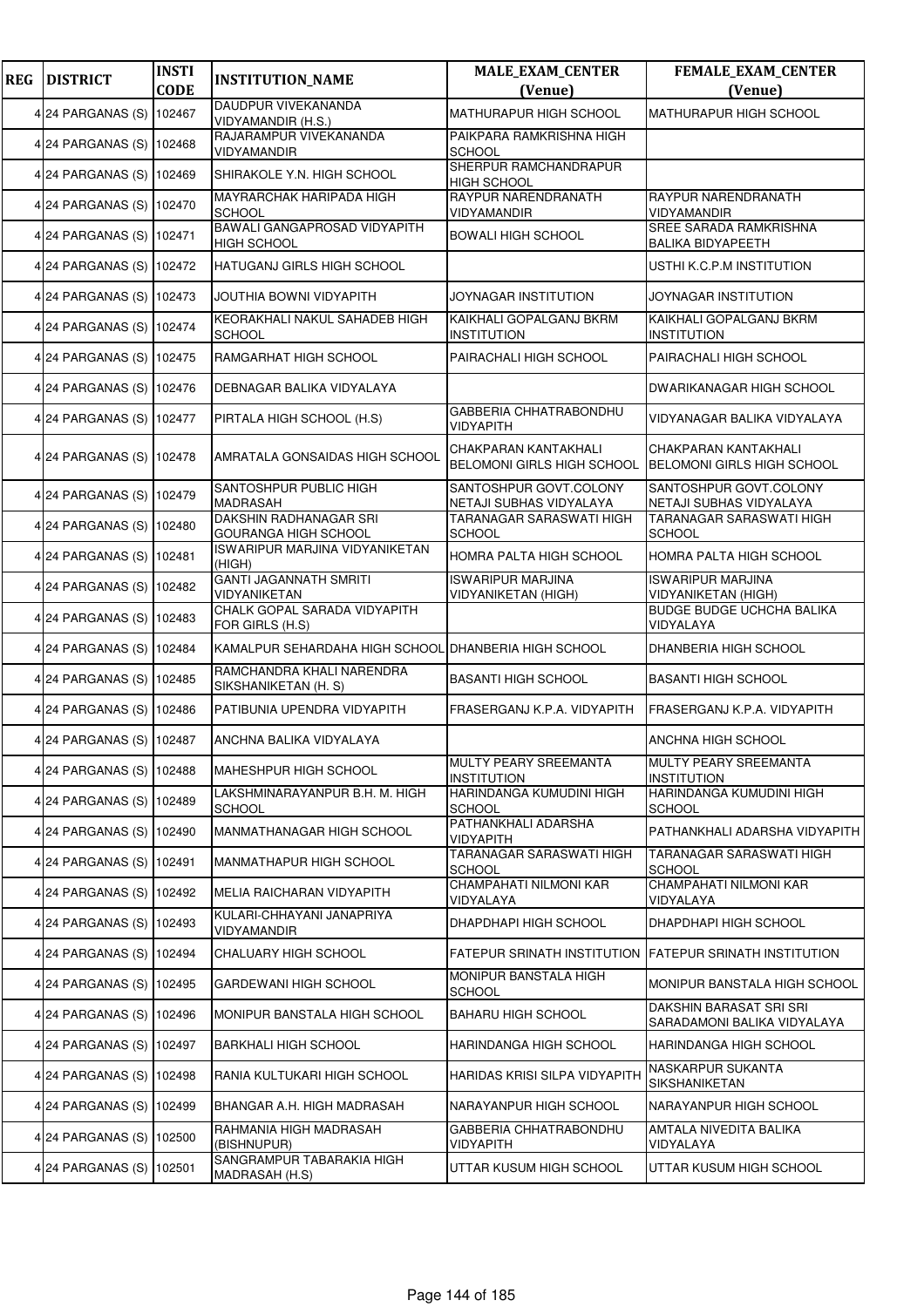| <b>REG</b> | <b>DISTRICT</b>          | <b>INSTI</b><br><b>CODE</b> | <b>INSTITUTION_NAME</b>                              | <b>MALE_EXAM_CENTER</b><br>(Venue)                        | <b>FEMALE_EXAM_CENTER</b><br>(Venue)                      |
|------------|--------------------------|-----------------------------|------------------------------------------------------|-----------------------------------------------------------|-----------------------------------------------------------|
|            |                          |                             | DAUDPUR VIVEKANANDA                                  | MATHURAPUR HIGH SCHOOL                                    | <b>MATHURAPUR HIGH SCHOOL</b>                             |
|            | 4 24 PARGANAS (S)        | 102467                      | VIDYAMANDIR (H.S.)<br>RAJARAMPUR VIVEKANANDA         | PAIKPARA RAMKRISHNA HIGH                                  |                                                           |
|            | 4 24 PARGANAS (S) 102468 |                             | VIDYAMANDIR                                          | <b>SCHOOL</b>                                             |                                                           |
|            | 4 24 PARGANAS (S)        | 102469                      | SHIRAKOLE Y.N. HIGH SCHOOL                           | SHERPUR RAMCHANDRAPUR<br><b>HIGH SCHOOL</b>               |                                                           |
|            | 4 24 PARGANAS (S)        | 102470                      | MAYRARCHAK HARIPADA HIGH<br><b>SCHOOL</b>            | RAYPUR NARENDRANATH<br>VIDYAMANDIR                        | RAYPUR NARENDRANATH<br><b>VIDYAMANDIR</b>                 |
|            | 4 24 PARGANAS (S) 102471 |                             | BAWALI GANGAPROSAD VIDYAPITH<br><b>HIGH SCHOOL</b>   | <b>BOWALI HIGH SCHOOL</b>                                 | <b>SREE SARADA RAMKRISHNA</b><br><b>BALIKA BIDYAPEETH</b> |
|            | 4 24 PARGANAS (S) 102472 |                             | HATUGANJ GIRLS HIGH SCHOOL                           |                                                           | USTHI K.C.P.M INSTITUTION                                 |
|            | 4 24 PARGANAS (S)        | 102473                      | JOUTHIA BOWNI VIDYAPITH                              | JOYNAGAR INSTITUTION                                      | JOYNAGAR INSTITUTION                                      |
|            | 4 24 PARGANAS (S)        | 102474                      | KEORAKHALI NAKUL SAHADEB HIGH<br><b>SCHOOL</b>       | KAIKHALI GOPALGANJ BKRM<br><b>INSTITUTION</b>             | KAIKHALI GOPALGANJ BKRM<br><b>INSTITUTION</b>             |
|            | 4 24 PARGANAS (S) 102475 |                             | RAMGARHAT HIGH SCHOOL                                | PAIRACHALI HIGH SCHOOL                                    | PAIRACHALI HIGH SCHOOL                                    |
|            | 4 24 PARGANAS (S) 102476 |                             | DEBNAGAR BALIKA VIDYALAYA                            |                                                           | <b>DWARIKANAGAR HIGH SCHOOL</b>                           |
|            | 4 24 PARGANAS (S)        | 102477                      | PIRTALA HIGH SCHOOL (H.S)                            | <b>GABBERIA CHHATRABONDHU</b><br>VIDYAPITH                | VIDYANAGAR BALIKA VIDYALAYA                               |
|            | 4 24 PARGANAS (S)        | 102478                      | AMRATALA GONSAIDAS HIGH SCHOOL                       | CHAKPARAN KANTAKHALI<br><b>BELOMONI GIRLS HIGH SCHOOL</b> | CHAKPARAN KANTAKHALI<br><b>BELOMONI GIRLS HIGH SCHOOL</b> |
|            | 4 24 PARGANAS (S)        | 102479                      | SANTOSHPUR PUBLIC HIGH<br><b>MADRASAH</b>            | SANTOSHPUR GOVT.COLONY<br>NETAJI SUBHAS VIDYALAYA         | SANTOSHPUR GOVT.COLONY<br>NETAJI SUBHAS VIDYALAYA         |
|            | 4 24 PARGANAS (S) 102480 |                             | DAKSHIN RADHANAGAR SRI<br>GOURANGA HIGH SCHOOL       | TARANAGAR SARASWATI HIGH<br><b>SCHOOL</b>                 | TARANAGAR SARASWATI HIGH<br><b>SCHOOL</b>                 |
|            | 4 24 PARGANAS (S) 102481 |                             | ISWARIPUR MARJINA VIDYANIKETAN<br>(HIGH)             | HOMRA PALTA HIGH SCHOOL                                   | HOMRA PALTA HIGH SCHOOL                                   |
|            | 4 24 PARGANAS (S)        | 102482                      | <b>GANTI JAGANNATH SMRITI</b><br>VIDYANIKETAN        | <b>ISWARIPUR MARJINA</b><br>VIDYANIKETAN (HIGH)           | <b>ISWARIPUR MARJINA</b><br><b>VIDYANIKETAN (HIGH)</b>    |
|            | 4 24 PARGANAS (S)        | 102483                      | CHALK GOPAL SARADA VIDYAPITH<br>FOR GIRLS (H.S)      |                                                           | <b>BUDGE BUDGE UCHCHA BALIKA</b><br>VIDYALAYA             |
|            | 4 24 PARGANAS (S) 102484 |                             | KAMALPUR SEHARDAHA HIGH SCHOOL DHANBERIA HIGH SCHOOL |                                                           | DHANBERIA HIGH SCHOOL                                     |
|            | 4 24 PARGANAS (S)        | 102485                      | RAMCHANDRA KHALI NARENDRA<br>SIKSHANIKETAN (H. S)    | <b>BASANTI HIGH SCHOOL</b>                                | <b>BASANTI HIGH SCHOOL</b>                                |
|            | 4 24 PARGANAS (S)        | 102486                      | PATIBUNIA UPENDRA VIDYAPITH                          | FRASERGANJ K.P.A. VIDYAPITH                               | FRASERGANJ K.P.A. VIDYAPITH                               |
|            | 4 24 PARGANAS (S) 102487 |                             | ANCHNA BALIKA VIDYALAYA                              |                                                           | ANCHNA HIGH SCHOOL                                        |
|            | 4 24 PARGANAS (S) 102488 |                             | <b>MAHESHPUR HIGH SCHOOL</b>                         | MULTY PEARY SREEMANTA<br><b>INSTITUTION</b>               | MULTY PEARY SREEMANTA<br><b>INSTITUTION</b>               |
|            | 4 24 PARGANAS (S)        | 102489                      | LAKSHMINARAYANPUR B.H. M. HIGH<br><b>SCHOOL</b>      | HARINDANGA KUMUDINI HIGH<br><b>SCHOOL</b>                 | HARINDANGA KUMUDINI HIGH<br><b>SCHOOL</b>                 |
|            | 4 24 PARGANAS (S)        | 102490                      | MANMATHANAGAR HIGH SCHOOL                            | PATHANKHALI ADARSHA<br>VIDYAPITH                          | PATHANKHALI ADARSHA VIDYAPITH                             |
|            | 4 24 PARGANAS (S) 102491 |                             | MANMATHAPUR HIGH SCHOOL                              | TARANAGAR SARASWATI HIGH<br><b>SCHOOL</b>                 | TARANAGAR SARASWATI HIGH<br><b>SCHOOL</b>                 |
|            | 4 24 PARGANAS (S)        | 102492                      | MELIA RAICHARAN VIDYAPITH                            | CHAMPAHATI NILMONI KAR<br>VIDYALAYA                       | CHAMPAHATI NILMONI KAR<br>VIDYALAYA                       |
|            | 4 24 PARGANAS (S)        | 102493                      | KULARI-CHHAYANI JANAPRIYA<br>VIDYAMANDIR             | DHAPDHAPI HIGH SCHOOL                                     | DHAPDHAPI HIGH SCHOOL                                     |
|            | 4 24 PARGANAS (S) 102494 |                             | CHALUARY HIGH SCHOOL                                 |                                                           | FATEPUR SRINATH INSTITUTION FATEPUR SRINATH INSTITUTION   |
|            | 4 24 PARGANAS (S) 102495 |                             | GARDEWANI HIGH SCHOOL                                | MONIPUR BANSTALA HIGH<br><b>SCHOOL</b>                    | MONIPUR BANSTALA HIGH SCHOOL                              |
|            | 4 24 PARGANAS (S)        | 102496                      | MONIPUR BANSTALA HIGH SCHOOL                         | <b>BAHARU HIGH SCHOOL</b>                                 | DAKSHIN BARASAT SRI SRI<br>SARADAMONI BALIKA VIDYALAYA    |
|            | 4 24 PARGANAS (S)        | 102497                      | <b>BARKHALI HIGH SCHOOL</b>                          | HARINDANGA HIGH SCHOOL                                    | HARINDANGA HIGH SCHOOL                                    |
|            | 4 24 PARGANAS (S) 102498 |                             | RANIA KULTUKARI HIGH SCHOOL                          | HARIDAS KRISI SILPA VIDYAPITH                             | NASKARPUR SUKANTA<br>SIKSHANIKETAN                        |
|            | 4 24 PARGANAS (S)        | 102499                      | BHANGAR A.H. HIGH MADRASAH                           | NARAYANPUR HIGH SCHOOL                                    | NARAYANPUR HIGH SCHOOL                                    |
|            | 4 24 PARGANAS (S)        | 102500                      | RAHMANIA HIGH MADRASAH<br>(BISHNUPUR)                | GABBERIA CHHATRABONDHU<br>VIDYAPITH                       | AMTALA NIVEDITA BALIKA<br>VIDYALAYA                       |
|            | 4 24 PARGANAS (S)        | 102501                      | SANGRAMPUR TABARAKIA HIGH<br>MADRASAH (H.S)          | UTTAR KUSUM HIGH SCHOOL                                   | UTTAR KUSUM HIGH SCHOOL                                   |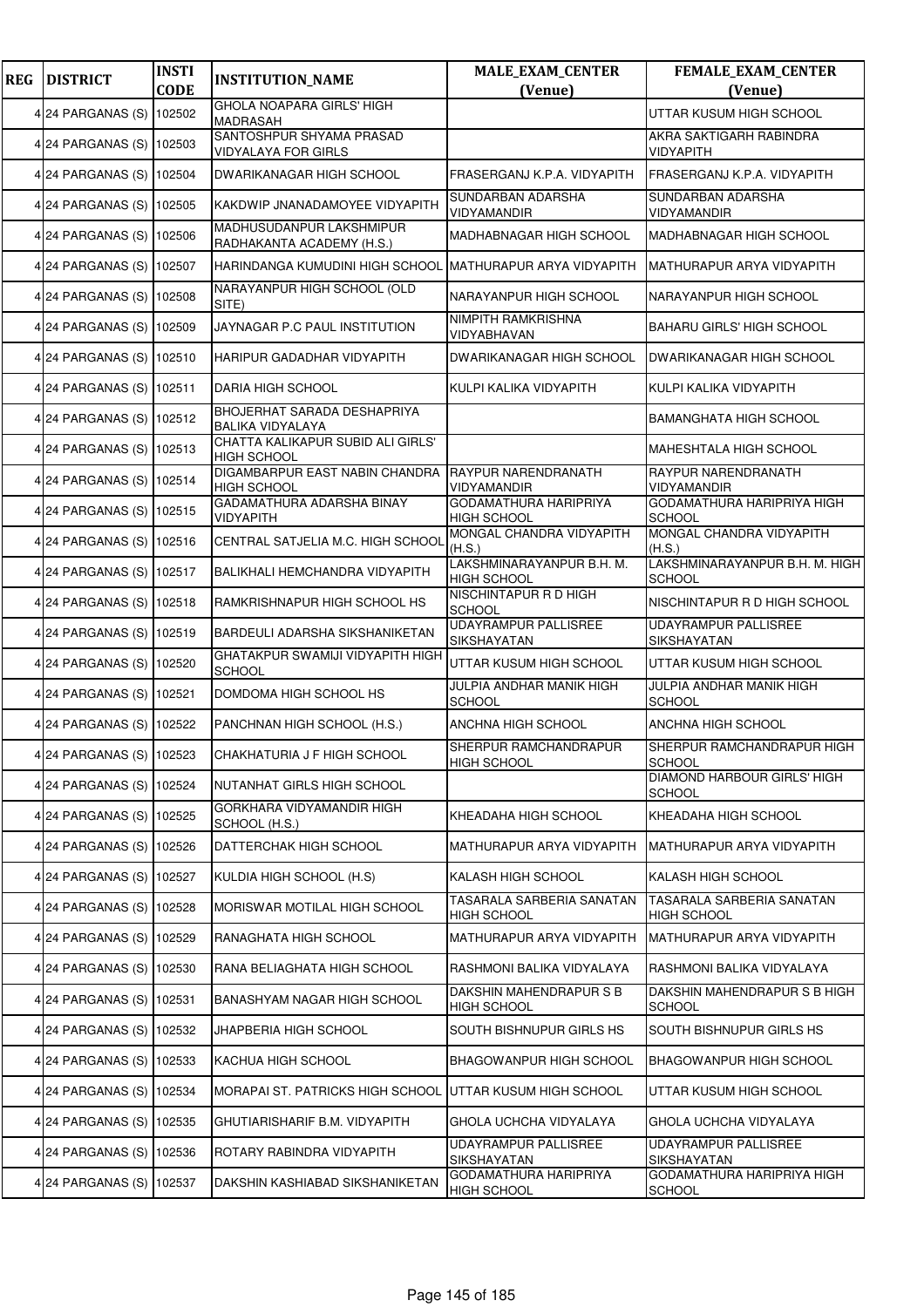| <b>REG</b> | <b>DISTRICT</b>          | <b>INSTI</b><br><b>CODE</b> | <b>INSTITUTION_NAME</b>                                       | <b>MALE_EXAM_CENTER</b><br>(Venue)                 | FEMALE_EXAM_CENTER<br>(Venue)                   |
|------------|--------------------------|-----------------------------|---------------------------------------------------------------|----------------------------------------------------|-------------------------------------------------|
|            | 4 24 PARGANAS (S)        | 102502                      | <b>GHOLA NOAPARA GIRLS' HIGH</b><br><b>MADRASAH</b>           |                                                    | UTTAR KUSUM HIGH SCHOOL                         |
|            | 4 24 PARGANAS (S) 102503 |                             | SANTOSHPUR SHYAMA PRASAD<br><b>VIDYALAYA FOR GIRLS</b>        |                                                    | AKRA SAKTIGARH RABINDRA<br><b>VIDYAPITH</b>     |
|            | 4 24 PARGANAS (S)        | 102504                      | <b>DWARIKANAGAR HIGH SCHOOL</b>                               | FRASERGANJ K.P.A. VIDYAPITH                        | FRASERGANJ K.P.A. VIDYAPITH                     |
|            | 4 24 PARGANAS (S) 102505 |                             | KAKDWIP JNANADAMOYEE VIDYAPITH                                | SUNDARBAN ADARSHA<br>VIDYAMANDIR                   | SUNDARBAN ADARSHA<br>VIDYAMANDIR                |
|            | 4 24 PARGANAS (S) 102506 |                             | MADHUSUDANPUR LAKSHMIPUR<br>RADHAKANTA ACADEMY (H.S.)         | MADHABNAGAR HIGH SCHOOL                            | <b>MADHABNAGAR HIGH SCHOOL</b>                  |
|            | 4 24 PARGANAS (S) 102507 |                             | HARINDANGA KUMUDINI HIGH SCHOOL MATHURAPUR ARYA VIDYAPITH     |                                                    | MATHURAPUR ARYA VIDYAPITH                       |
|            | 4 24 PARGANAS (S) 102508 |                             | NARAYANPUR HIGH SCHOOL (OLD<br>SITE)                          | NARAYANPUR HIGH SCHOOL                             | NARAYANPUR HIGH SCHOOL                          |
|            | 4 24 PARGANAS (S)        | 102509                      | JAYNAGAR P.C PAUL INSTITUTION                                 | NIMPITH RAMKRISHNA<br>VIDYABHAVAN                  | <b>BAHARU GIRLS' HIGH SCHOOL</b>                |
|            | 4 24 PARGANAS (S) 102510 |                             | HARIPUR GADADHAR VIDYAPITH                                    | DWARIKANAGAR HIGH SCHOOL                           | DWARIKANAGAR HIGH SCHOOL                        |
|            | 4 24 PARGANAS (S) 102511 |                             | DARIA HIGH SCHOOL                                             | KULPI KALIKA VIDYAPITH                             | KULPI KALIKA VIDYAPITH                          |
|            | 4 24 PARGANAS (S) 102512 |                             | <b>BHOJERHAT SARADA DESHAPRIYA</b><br><b>BALIKA VIDYALAYA</b> |                                                    | <b>BAMANGHATA HIGH SCHOOL</b>                   |
|            | 4 24 PARGANAS (S)        | 102513                      | CHATTA KALIKAPUR SUBID ALI GIRLS'<br><b>HIGH SCHOOL</b>       |                                                    | <b>MAHESHTALA HIGH SCHOOL</b>                   |
|            | 4 24 PARGANAS (S) 102514 |                             | DIGAMBARPUR EAST NABIN CHANDRA<br><b>HIGH SCHOOL</b>          | <b>RAYPUR NARENDRANATH</b><br>VIDYAMANDIR          | RAYPUR NARENDRANATH<br>VIDYAMANDIR              |
|            | 4 24 PARGANAS (S)        | 102515                      | GADAMATHURA ADARSHA BINAY<br><b>VIDYAPITH</b>                 | <b>GODAMATHURA HARIPRIYA</b><br><b>HIGH SCHOOL</b> | GODAMATHURA HARIPRIYA HIGH<br>SCHOOL            |
|            | 4 24 PARGANAS (S) 102516 |                             | CENTRAL SATJELIA M.C. HIGH SCHOOL                             | MONGAL CHANDRA VIDYAPITH<br>(H.S.)                 | MONGAL CHANDRA VIDYAPITH<br>(H.S.)              |
|            | 4 24 PARGANAS (S) 102517 |                             | BALIKHALI HEMCHANDRA VIDYAPITH                                | LAKSHMINARAYANPUR B.H. M.<br><b>HIGH SCHOOL</b>    | LAKSHMINARAYANPUR B.H. M. HIGH<br><b>SCHOOL</b> |
|            | 4 24 PARGANAS (S) 102518 |                             | RAMKRISHNAPUR HIGH SCHOOL HS                                  | NISCHINTAPUR R D HIGH<br>SCHOOL                    | NISCHINTAPUR R D HIGH SCHOOL                    |
|            | 4 24 PARGANAS (S) 102519 |                             | BARDEULI ADARSHA SIKSHANIKETAN                                | <b>UDAYRAMPUR PALLISREE</b><br>SIKSHAYATAN         | <b>UDAYRAMPUR PALLISREE</b><br>SIKSHAYATAN      |
|            | 4 24 PARGANAS (S) 102520 |                             | GHATAKPUR SWAMIJI VIDYAPITH HIGH<br><b>SCHOOL</b>             | UTTAR KUSUM HIGH SCHOOL                            | UTTAR KUSUM HIGH SCHOOL                         |
|            | 4 24 PARGANAS (S) 102521 |                             | DOMDOMA HIGH SCHOOL HS                                        | JULPIA ANDHAR MANIK HIGH<br>SCHOOL                 | JULPIA ANDHAR MANIK HIGH<br><b>SCHOOL</b>       |
|            | 4 24 PARGANAS (S) 102522 |                             | PANCHNAN HIGH SCHOOL (H.S.)                                   | ANCHNA HIGH SCHOOL                                 | ANCHNA HIGH SCHOOL                              |
|            | 4 24 PARGANAS (S) 102523 |                             | CHAKHATURIA J F HIGH SCHOOL                                   | SHERPUR RAMCHANDRAPUR<br><b>HIGH SCHOOL</b>        | SHERPUR RAMCHANDRAPUR HIGH<br><b>SCHOOL</b>     |
|            | 4 24 PARGANAS (S) 102524 |                             | NUTANHAT GIRLS HIGH SCHOOL                                    |                                                    | DIAMOND HARBOUR GIRLS' HIGH<br><b>SCHOOL</b>    |
|            | 4 24 PARGANAS (S) 102525 |                             | GORKHARA VIDYAMANDIR HIGH<br>SCHOOL (H.S.)                    | KHEADAHA HIGH SCHOOL                               | KHEADAHA HIGH SCHOOL                            |
|            | 4 24 PARGANAS (S)        | 102526                      | DATTERCHAK HIGH SCHOOL                                        | MATHURAPUR ARYA VIDYAPITH                          | MATHURAPUR ARYA VIDYAPITH                       |
|            | 4 24 PARGANAS (S) 102527 |                             | KULDIA HIGH SCHOOL (H.S)                                      | KALASH HIGH SCHOOL                                 | KALASH HIGH SCHOOL                              |
|            | 4 24 PARGANAS (S) 102528 |                             | MORISWAR MOTILAL HIGH SCHOOL                                  | TASARALA SARBERIA SANATAN<br><b>HIGH SCHOOL</b>    | TASARALA SARBERIA SANATAN<br><b>HIGH SCHOOL</b> |
|            | 4 24 PARGANAS (S) 102529 |                             | RANAGHATA HIGH SCHOOL                                         | MATHURAPUR ARYA VIDYAPITH                          | MATHURAPUR ARYA VIDYAPITH                       |
|            | 4 24 PARGANAS (S) 102530 |                             | RANA BELIAGHATA HIGH SCHOOL                                   | RASHMONI BALIKA VIDYALAYA                          | RASHMONI BALIKA VIDYALAYA                       |
|            | 4 24 PARGANAS (S) 102531 |                             | BANASHYAM NAGAR HIGH SCHOOL                                   | DAKSHIN MAHENDRAPUR S B<br><b>HIGH SCHOOL</b>      | DAKSHIN MAHENDRAPUR S B HIGH<br><b>SCHOOL</b>   |
|            | 4 24 PARGANAS (S) 102532 |                             | JHAPBERIA HIGH SCHOOL                                         | SOUTH BISHNUPUR GIRLS HS                           | SOUTH BISHNUPUR GIRLS HS                        |
|            | 4 24 PARGANAS (S)        | 102533                      | KACHUA HIGH SCHOOL                                            | BHAGOWANPUR HIGH SCHOOL                            | BHAGOWANPUR HIGH SCHOOL                         |
|            | 4 24 PARGANAS (S)        | 102534                      | MORAPAI ST. PATRICKS HIGH SCHOOL                              | UTTAR KUSUM HIGH SCHOOL                            | UTTAR KUSUM HIGH SCHOOL                         |
|            | 4 24 PARGANAS (S) 102535 |                             | GHUTIARISHARIF B.M. VIDYAPITH                                 | GHOLA UCHCHA VIDYALAYA                             | GHOLA UCHCHA VIDYALAYA                          |
|            | 4 24 PARGANAS (S) 102536 |                             | ROTARY RABINDRA VIDYAPITH                                     | UDAYRAMPUR PALLISREE<br>SIKSHAYATAN                | UDAYRAMPUR PALLISREE<br>SIKSHAYATAN             |
|            | 4 24 PARGANAS (S)        | 102537                      | DAKSHIN KASHIABAD SIKSHANIKETAN                               | GODAMATHURA HARIPRIYA<br><b>HIGH SCHOOL</b>        | GODAMATHURA HARIPRIYA HIGH<br><b>SCHOOL</b>     |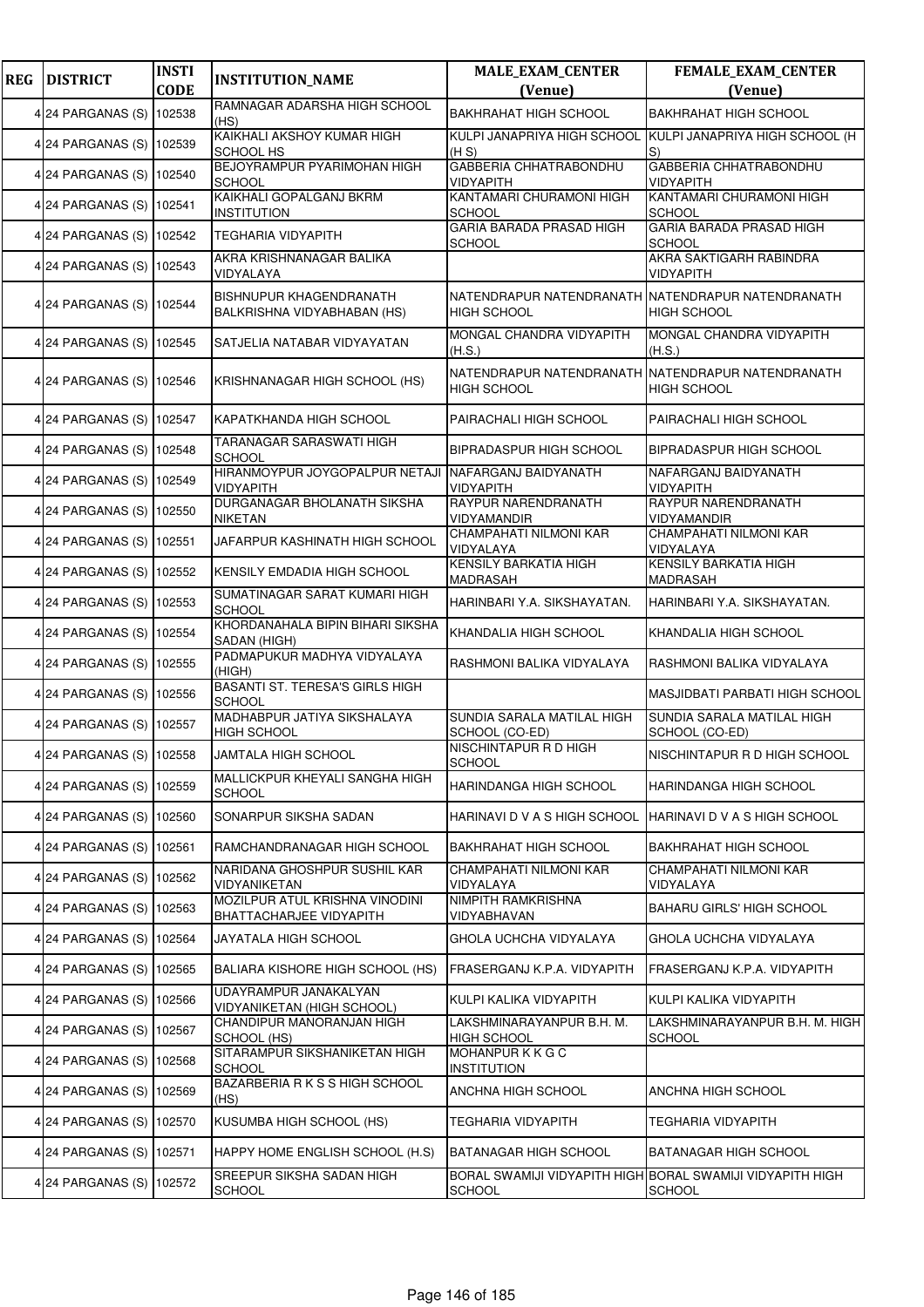| <b>REG</b> | <b>DISTRICT</b>          | <b>INSTI</b> | <b>INSTITUTION_NAME</b>                                   | <b>MALE_EXAM_CENTER</b>                                                 | <b>FEMALE_EXAM_CENTER</b>                                                  |
|------------|--------------------------|--------------|-----------------------------------------------------------|-------------------------------------------------------------------------|----------------------------------------------------------------------------|
|            |                          | <b>CODE</b>  | RAMNAGAR ADARSHA HIGH SCHOOL                              | (Venue)                                                                 | (Venue)                                                                    |
|            | 4 24 PARGANAS (S)        | 102538       | (HS)                                                      | <b>BAKHRAHAT HIGH SCHOOL</b>                                            | <b>BAKHRAHAT HIGH SCHOOL</b>                                               |
|            | 4 24 PARGANAS (S) 102539 |              | KAIKHALI AKSHOY KUMAR HIGH<br><b>SCHOOL HS</b>            | KULPI JANAPRIYA HIGH SCHOOL<br>(H S)                                    | KULPI JANAPRIYA HIGH SCHOOL (H<br>S)                                       |
|            | 4 24 PARGANAS (S)        | 102540       | BEJOYRAMPUR PYARIMOHAN HIGH<br><b>SCHOOL</b>              | GABBERIA CHHATRABONDHU<br>VIDYAPITH                                     | <b>GABBERIA CHHATRABONDHU</b><br><b>VIDYAPITH</b>                          |
|            | 4 24 PARGANAS (S)        | 102541       | KAIKHALI GOPALGANJ BKRM<br><b>INSTITUTION</b>             | KANTAMARI CHURAMONI HIGH<br><b>SCHOOL</b>                               | KANTAMARI CHURAMONI HIGH<br><b>SCHOOL</b>                                  |
|            | 4 24 PARGANAS (S) 102542 |              | <b>TEGHARIA VIDYAPITH</b>                                 | <b>GARIA BARADA PRASAD HIGH</b><br><b>SCHOOL</b>                        | GARIA BARADA PRASAD HIGH<br><b>SCHOOL</b>                                  |
|            | 4 24 PARGANAS (S) 102543 |              | AKRA KRISHNANAGAR BALIKA<br>VIDYALAYA                     |                                                                         | AKRA SAKTIGARH RABINDRA<br>VIDYAPITH                                       |
|            | 4 24 PARGANAS (S)        | 102544       | BISHNUPUR KHAGENDRANATH<br>BALKRISHNA VIDYABHABAN (HS)    | NATENDRAPUR NATENDRANATH NATENDRAPUR NATENDRANATH<br><b>HIGH SCHOOL</b> | <b>HIGH SCHOOL</b>                                                         |
|            | 4 24 PARGANAS (S)        | 102545       | SATJELIA NATABAR VIDYAYATAN                               | MONGAL CHANDRA VIDYAPITH<br>(H.S.)                                      | MONGAL CHANDRA VIDYAPITH<br>(H.S.)                                         |
|            | 4 24 PARGANAS (S)        | 102546       | KRISHNANAGAR HIGH SCHOOL (HS)                             | NATENDRAPUR NATENDRANATH NATENDRAPUR NATENDRANATH<br>HIGH SCHOOL        | <b>HIGH SCHOOL</b>                                                         |
|            | 4 24 PARGANAS (S)        | 102547       | KAPATKHANDA HIGH SCHOOL                                   | PAIRACHALI HIGH SCHOOL                                                  | PAIRACHALI HIGH SCHOOL                                                     |
|            | 4 24 PARGANAS (S) 102548 |              | TARANAGAR SARASWATI HIGH<br><b>SCHOOL</b>                 | BIPRADASPUR HIGH SCHOOL                                                 | BIPRADASPUR HIGH SCHOOL                                                    |
|            | 4 24 PARGANAS (S) 102549 |              | HIRANMOYPUR JOYGOPALPUR NETAJI<br><b>VIDYAPITH</b>        | NAFARGANJ BAIDYANATH<br><b>VIDYAPITH</b>                                | NAFARGANJ BAIDYANATH<br><b>VIDYAPITH</b>                                   |
|            | 4 24 PARGANAS (S)        | 102550       | DURGANAGAR BHOLANATH SIKSHA<br><b>NIKETAN</b>             | RAYPUR NARENDRANATH<br>VIDYAMANDIR                                      | RAYPUR NARENDRANATH<br>VIDYAMANDIR                                         |
|            | 4 24 PARGANAS (S)        | 102551       | JAFARPUR KASHINATH HIGH SCHOOL                            | CHAMPAHATI NILMONI KAR<br>VIDYALAYA                                     | CHAMPAHATI NILMONI KAR<br>VIDYALAYA                                        |
|            | 4 24 PARGANAS (S) 102552 |              | KENSILY EMDADIA HIGH SCHOOL                               | KENSILY BARKATIA HIGH<br>MADRASAH                                       | KENSILY BARKATIA HIGH<br>MADRASAH                                          |
|            | 4 24 PARGANAS (S)        | 102553       | SUMATINAGAR SARAT KUMARI HIGH<br><b>SCHOOL</b>            | HARINBARI Y.A. SIKSHAYATAN.                                             | HARINBARI Y.A. SIKSHAYATAN.                                                |
|            | 4 24 PARGANAS (S)        | 102554       | KHORDANAHALA BIPIN BIHARI SIKSHA<br>SADAN (HIGH)          | KHANDALIA HIGH SCHOOL                                                   | KHANDALIA HIGH SCHOOL                                                      |
|            | 4 24 PARGANAS (S) 102555 |              | PADMAPUKUR MADHYA VIDYALAYA<br>(HIGH)                     | RASHMONI BALIKA VIDYALAYA                                               | RASHMONI BALIKA VIDYALAYA                                                  |
|            | 4 24 PARGANAS (S)        | 102556       | <b>BASANTI ST. TERESA'S GIRLS HIGH</b><br><b>SCHOOL</b>   |                                                                         | MASJIDBATI PARBATI HIGH SCHOOL                                             |
|            | 4 24 PARGANAS (S) 102557 |              | MADHABPUR JATIYA SIKSHALAYA<br><b>HIGH SCHOOL</b>         | SUNDIA SARALA MATILAL HIGH<br>SCHOOL (CO-ED)                            | SUNDIA SARALA MATILAL HIGH<br>SCHOOL (CO-ED)                               |
|            | 4 24 PARGANAS (S) 102558 |              | JAMTALA HIGH SCHOOL                                       | NISCHINTAPUR R D HIGH<br><b>SCHOOL</b>                                  | NISCHINTAPUR R D HIGH SCHOOL                                               |
|            | 4 24 PARGANAS (S) 102559 |              | MALLICKPUR KHEYALI SANGHA HIGH<br><b>SCHOOL</b>           | HARINDANGA HIGH SCHOOL                                                  | HARINDANGA HIGH SCHOOL                                                     |
|            | 4 24 PARGANAS (S)        | 102560       | SONARPUR SIKSHA SADAN                                     | HARINAVI D V A S HIGH SCHOOL                                            | HARINAVI D V A S HIGH SCHOOL                                               |
|            | 4 24 PARGANAS (S)        | 102561       | RAMCHANDRANAGAR HIGH SCHOOL                               | <b>BAKHRAHAT HIGH SCHOOL</b>                                            | <b>BAKHRAHAT HIGH SCHOOL</b>                                               |
|            | 4 24 PARGANAS (S)        | 102562       | NARIDANA GHOSHPUR SUSHIL KAR<br>VIDYANIKETAN              | CHAMPAHATI NILMONI KAR<br>VIDYALAYA                                     | CHAMPAHATI NILMONI KAR<br>VIDYALAYA                                        |
|            | 4 24 PARGANAS (S)        | 102563       | MOZILPUR ATUL KRISHNA VINODINI<br>BHATTACHARJEE VIDYAPITH | NIMPITH RAMKRISHNA<br>VIDYABHAVAN                                       | <b>BAHARU GIRLS' HIGH SCHOOL</b>                                           |
|            | 4 24 PARGANAS (S)        | 102564       | JAYATALA HIGH SCHOOL                                      | GHOLA UCHCHA VIDYALAYA                                                  | GHOLA UCHCHA VIDYALAYA                                                     |
|            | 4 24 PARGANAS (S)        | 102565       | BALIARA KISHORE HIGH SCHOOL (HS)                          | FRASERGANJ K.P.A. VIDYAPITH                                             | FRASERGANJ K.P.A. VIDYAPITH                                                |
|            | 4 24 PARGANAS (S)        | 102566       | UDAYRAMPUR JANAKALYAN<br>VIDYANIKETAN (HIGH SCHOOL)       | KULPI KALIKA VIDYAPITH                                                  | KULPI KALIKA VIDYAPITH                                                     |
|            | 4 24 PARGANAS (S)        | 102567       | CHANDIPUR MANORANJAN HIGH<br>SCHOOL (HS)                  | LAKSHMINARAYANPUR B.H. M.<br>HIGH SCHOOL                                | LAKSHMINARAYANPUR B.H. M. HIGH<br><b>SCHOOL</b>                            |
|            | 4 24 PARGANAS (S)        | 102568       | SITARAMPUR SIKSHANIKETAN HIGH<br><b>SCHOOL</b>            | MOHANPURKKGC<br><b>INSTITUTION</b>                                      |                                                                            |
|            | 4 24 PARGANAS (S)        | 102569       | BAZARBERIA R K S S HIGH SCHOOL<br>(HS)                    | ANCHNA HIGH SCHOOL                                                      | ANCHNA HIGH SCHOOL                                                         |
|            | 4 24 PARGANAS (S) 102570 |              | KUSUMBA HIGH SCHOOL (HS)                                  | TEGHARIA VIDYAPITH                                                      | <b>TEGHARIA VIDYAPITH</b>                                                  |
|            | 4 24 PARGANAS (S)        | 102571       | HAPPY HOME ENGLISH SCHOOL (H.S)                           | <b>BATANAGAR HIGH SCHOOL</b>                                            | BATANAGAR HIGH SCHOOL                                                      |
|            | 4 24 PARGANAS (S)        | 102572       | SREEPUR SIKSHA SADAN HIGH<br><b>SCHOOL</b>                | <b>SCHOOL</b>                                                           | BORAL SWAMIJI VIDYAPITH HIGH BORAL SWAMIJI VIDYAPITH HIGH<br><b>SCHOOL</b> |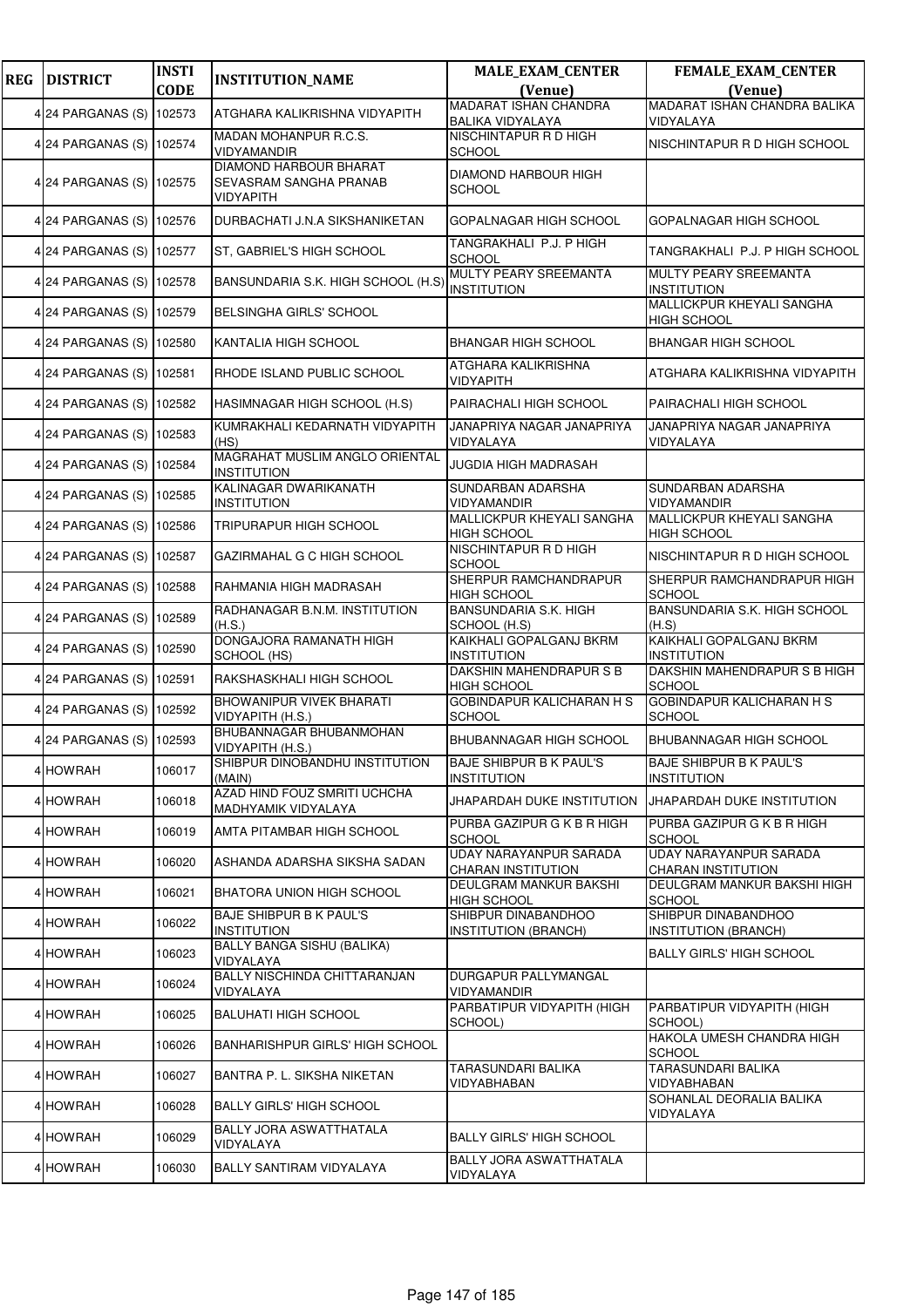| <b>REG</b> | <b>DISTRICT</b>          | <b>INSTI</b> | <b>INSTITUTION_NAME</b>                                              | <b>MALE_EXAM_CENTER</b>                              | FEMALE_EXAM_CENTER                                |
|------------|--------------------------|--------------|----------------------------------------------------------------------|------------------------------------------------------|---------------------------------------------------|
|            |                          | <b>CODE</b>  |                                                                      | (Venue)<br><b>MADARAT ISHAN CHANDRA</b>              | (Venue)<br>MADARAT ISHAN CHANDRA BALIKA           |
|            | 4 24 PARGANAS (S)        | 102573       | ATGHARA KALIKRISHNA VIDYAPITH                                        | <b>BALIKA VIDYALAYA</b>                              | VIDYALAYA                                         |
|            | 4 24 PARGANAS (S) 102574 |              | MADAN MOHANPUR R.C.S.<br><b>VIDYAMANDIR</b>                          | NISCHINTAPUR R D HIGH<br><b>SCHOOL</b>               | NISCHINTAPUR R D HIGH SCHOOL                      |
|            | 4 24 PARGANAS (S) 102575 |              | <b>DIAMOND HARBOUR BHARAT</b><br>SEVASRAM SANGHA PRANAB<br>VIDYAPITH | DIAMOND HARBOUR HIGH<br><b>SCHOOL</b>                |                                                   |
|            | 4 24 PARGANAS (S) 102576 |              | DURBACHATI J.N.A SIKSHANIKETAN                                       | GOPALNAGAR HIGH SCHOOL                               | GOPALNAGAR HIGH SCHOOL                            |
|            | 4 24 PARGANAS (S)        | 102577       | ST, GABRIEL'S HIGH SCHOOL                                            | TANGRAKHALI P.J. P HIGH<br><b>SCHOOL</b>             | TANGRAKHALI P.J. P HIGH SCHOOL                    |
|            | 4 24 PARGANAS (S)        | 102578       | BANSUNDARIA S.K. HIGH SCHOOL (H.S)                                   | MULTY PEARY SREEMANTA<br><b>INSTITUTION</b>          | MULTY PEARY SREEMANTA<br><b>INSTITUTION</b>       |
|            | 4 24 PARGANAS (S) 102579 |              | <b>BELSINGHA GIRLS' SCHOOL</b>                                       |                                                      | MALLICKPUR KHEYALI SANGHA<br><b>HIGH SCHOOL</b>   |
|            | 4 24 PARGANAS (S)        | 102580       | KANTALIA HIGH SCHOOL                                                 | <b>BHANGAR HIGH SCHOOL</b>                           | <b>BHANGAR HIGH SCHOOL</b>                        |
|            | 4 24 PARGANAS (S) 102581 |              | RHODE ISLAND PUBLIC SCHOOL                                           | ATGHARA KALIKRISHNA<br>VIDYAPITH                     | ATGHARA KALIKRISHNA VIDYAPITH                     |
|            | 4 24 PARGANAS (S) 102582 |              | HASIMNAGAR HIGH SCHOOL (H.S)                                         | PAIRACHALI HIGH SCHOOL                               | PAIRACHALI HIGH SCHOOL                            |
|            | 4 24 PARGANAS (S) 102583 |              | KUMRAKHALI KEDARNATH VIDYAPITH<br>(HS)                               | JANAPRIYA NAGAR JANAPRIYA<br>VIDYALAYA               | JANAPRIYA NAGAR JANAPRIYA<br>VIDYALAYA            |
|            | 4 24 PARGANAS (S)        | 102584       | MAGRAHAT MUSLIM ANGLO ORIENTAL<br><b>INSTITUTION</b>                 | JUGDIA HIGH MADRASAH                                 |                                                   |
|            | 4 24 PARGANAS (S)        | 102585       | KALINAGAR DWARIKANATH<br><b>INSTITUTION</b>                          | SUNDARBAN ADARSHA<br>VIDYAMANDIR                     | SUNDARBAN ADARSHA<br>VIDYAMANDIR                  |
|            | 4 24 PARGANAS (S)        | 102586       | TRIPURAPUR HIGH SCHOOL                                               | MALLICKPUR KHEYALI SANGHA<br><b>HIGH SCHOOL</b>      | MALLICKPUR KHEYALI SANGHA<br><b>HIGH SCHOOL</b>   |
|            | 4 24 PARGANAS (S)        | 102587       | GAZIRMAHAL G C HIGH SCHOOL                                           | NISCHINTAPUR R D HIGH<br><b>SCHOOL</b>               | NISCHINTAPUR R D HIGH SCHOOL                      |
|            | 4 24 PARGANAS (S)        | 102588       | RAHMANIA HIGH MADRASAH                                               | SHERPUR RAMCHANDRAPUR<br><b>HIGH SCHOOL</b>          | SHERPUR RAMCHANDRAPUR HIGH<br><b>SCHOOL</b>       |
|            | 4 24 PARGANAS (S)        | 102589       | RADHANAGAR B.N.M. INSTITUTION<br>(H.S.)                              | <b>BANSUNDARIA S.K. HIGH</b><br>SCHOOL (H.S)         | BANSUNDARIA S.K. HIGH SCHOOL<br>(H.S)             |
|            | 4 24 PARGANAS (S) 102590 |              | DONGAJORA RAMANATH HIGH<br>SCHOOL (HS)                               | <b>KAIKHALI GOPALGANJ BKRM</b><br><b>INSTITUTION</b> | KAIKHALI GOPALGANJ BKRM<br><b>INSTITUTION</b>     |
|            | 4 24 PARGANAS (S)        | 102591       | RAKSHASKHALI HIGH SCHOOL                                             | DAKSHIN MAHENDRAPUR S B<br><b>HIGH SCHOOL</b>        | DAKSHIN MAHENDRAPUR S B HIGH<br><b>SCHOOL</b>     |
|            | 4 24 PARGANAS (S)        | 102592       | <b>BHOWANIPUR VIVEK BHARATI</b><br>VIDYAPITH (H.S.)                  | <b>GOBINDAPUR KALICHARAN H S</b><br>SCHOOL           | <b>GOBINDAPUR KALICHARAN H S</b><br><b>SCHOOL</b> |
|            | 4 24 PARGANAS (S) 102593 |              | BHUBANNAGAR BHUBANMOHAN<br>VIDYAPITH (H.S.)                          | BHUBANNAGAR HIGH SCHOOL                              | <b>BHUBANNAGAR HIGH SCHOOL</b>                    |
|            | 4 HOWRAH                 | 106017       | SHIBPUR DINOBANDHU INSTITUTION<br>(MAIN)                             | BAJE SHIBPUR B K PAUL'S<br>INSTITUTION               | BAJE SHIBPUR B K PAUL'S<br><b>INSTITUTION</b>     |
|            | 4 HOWRAH                 | 106018       | AZAD HIND FOUZ SMRITI UCHCHA<br>MADHYAMIK VIDYALAYA                  | JHAPARDAH DUKE INSTITUTION                           | JHAPARDAH DUKE INSTITUTION                        |
|            | 4 HOWRAH                 | 106019       | AMTA PITAMBAR HIGH SCHOOL                                            | PURBA GAZIPUR G K B R HIGH<br>SCHOOL                 | PURBA GAZIPUR G K B R HIGH<br><b>SCHOOL</b>       |
|            | 4 HOWRAH                 | 106020       | ASHANDA ADARSHA SIKSHA SADAN                                         | UDAY NARAYANPUR SARADA<br><b>CHARAN INSTITUTION</b>  | UDAY NARAYANPUR SARADA<br>CHARAN INSTITUTION      |
|            | 4 HOWRAH                 | 106021       | BHATORA UNION HIGH SCHOOL                                            | DEULGRAM MANKUR BAKSHI<br>HIGH SCHOOL                | DEULGRAM MANKUR BAKSHI HIGH<br><b>SCHOOL</b>      |
|            | 4 HOWRAH                 | 106022       | <b>BAJE SHIBPUR B K PAUL'S</b><br><b>INSTITUTION</b>                 | SHIBPUR DINABANDHOO<br><b>INSTITUTION (BRANCH)</b>   | SHIBPUR DINABANDHOO<br>INSTITUTION (BRANCH)       |
|            | 4 HOWRAH                 | 106023       | BALLY BANGA SISHU (BALIKA)<br>VIDYALAYA                              |                                                      | <b>BALLY GIRLS' HIGH SCHOOL</b>                   |
|            | 4 HOWRAH                 | 106024       | BALLY NISCHINDA CHITTARANJAN<br>VIDYALAYA                            | DURGAPUR PALLYMANGAL<br>VIDYAMANDIR                  |                                                   |
|            | 4 HOWRAH                 | 106025       | <b>BALUHATI HIGH SCHOOL</b>                                          | PARBATIPUR VIDYAPITH (HIGH<br>SCHOOL)                | PARBATIPUR VIDYAPITH (HIGH<br>SCHOOL)             |
|            | 4 HOWRAH                 | 106026       | <b>BANHARISHPUR GIRLS' HIGH SCHOOL</b>                               |                                                      | <b>HAKOLA UMESH CHANDRA HIGH</b><br><b>SCHOOL</b> |
|            | 4 HOWRAH                 | 106027       | BANTRA P. L. SIKSHA NIKETAN                                          | TARASUNDARI BALIKA<br>VIDYABHABAN                    | TARASUNDARI BALIKA<br>VIDYABHABAN                 |
|            | 4 HOWRAH                 | 106028       | <b>BALLY GIRLS' HIGH SCHOOL</b>                                      |                                                      | SOHANLAL DEORALIA BALIKA<br>VIDYALAYA             |
|            | 4 HOWRAH                 | 106029       | BALLY JORA ASWATTHATALA<br>VIDYALAYA                                 | <b>BALLY GIRLS' HIGH SCHOOL</b>                      |                                                   |
|            | 4 HOWRAH                 | 106030       | BALLY SANTIRAM VIDYALAYA                                             | BALLY JORA ASWATTHATALA<br>VIDYALAYA                 |                                                   |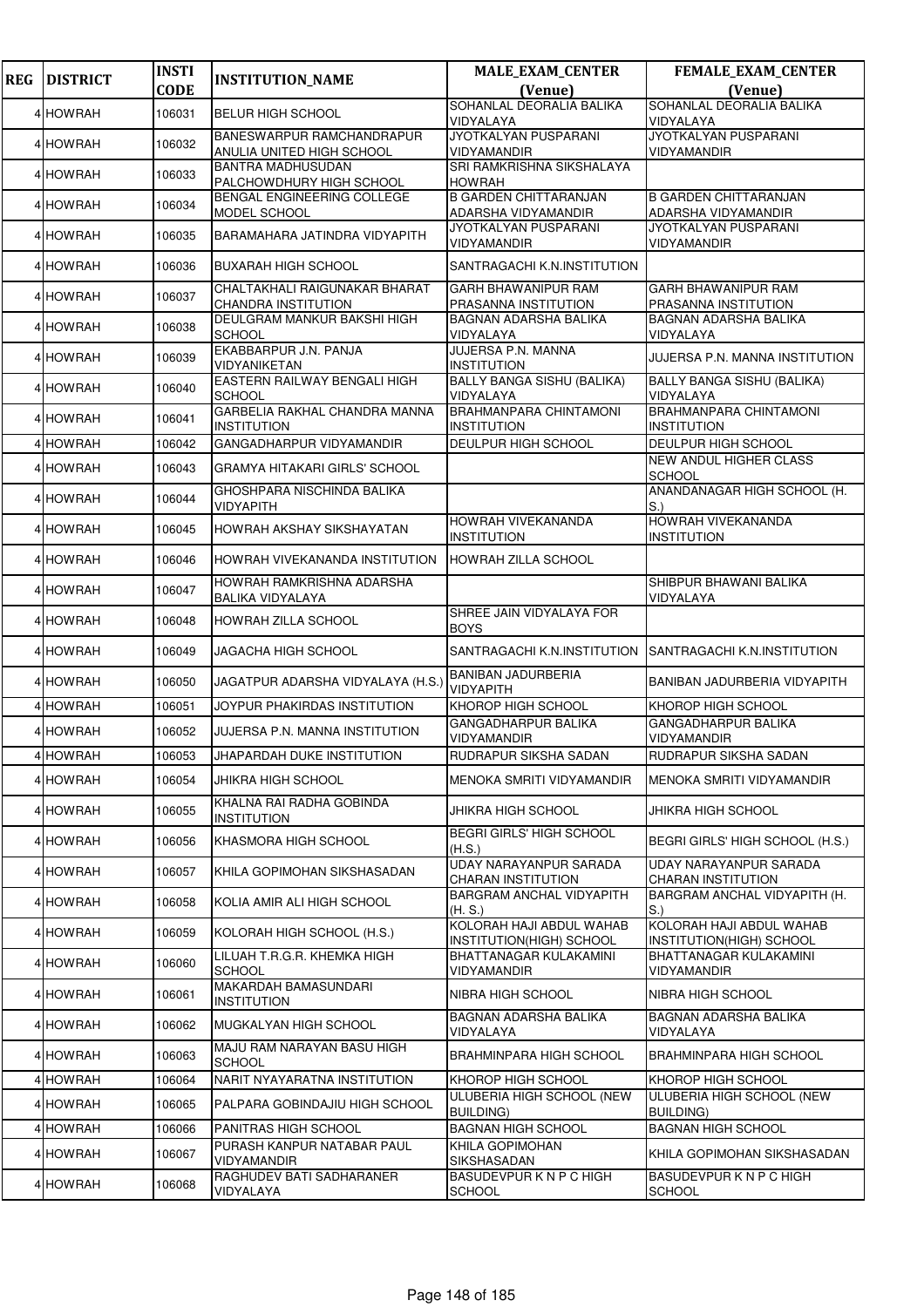| <b>REG</b> | <b>DISTRICT</b> | <b>INSTI</b> | <b>INSTITUTION_NAME</b>                                | <b>MALE_EXAM_CENTER</b>                              | FEMALE_EXAM_CENTER                                         |
|------------|-----------------|--------------|--------------------------------------------------------|------------------------------------------------------|------------------------------------------------------------|
|            |                 | <b>CODE</b>  |                                                        | (Venue)                                              | (Venue)                                                    |
|            | 4 HOWRAH        | 106031       | <b>BELUR HIGH SCHOOL</b>                               | SOHANLAL DEORALIA BALIKA<br>VIDYALAYA                | SOHANLAL DEORALIA BALIKA<br>VIDYALAYA                      |
|            | 4 HOWRAH        | 106032       | BANESWARPUR RAMCHANDRAPUR<br>ANULIA UNITED HIGH SCHOOL | JYOTKALYAN PUSPARANI<br><b>VIDYAMANDIR</b>           | JYOTKALYAN PUSPARANI<br><b>VIDYAMANDIR</b>                 |
|            | 4 HOWRAH        | 106033       | <b>BANTRA MADHUSUDAN</b><br>PALCHOWDHURY HIGH SCHOOL   | SRI RAMKRISHNA SIKSHALAYA<br><b>HOWRAH</b>           |                                                            |
|            | 4 HOWRAH        | 106034       | BENGAL ENGINEERING COLLEGE<br>MODEL SCHOOL             | <b>B GARDEN CHITTARANJAN</b><br>ADARSHA VIDYAMANDIR  | <b>B GARDEN CHITTARANJAN</b><br>ADARSHA VIDYAMANDIR        |
|            | 4 HOWRAH        | 106035       | BARAMAHARA JATINDRA VIDYAPITH                          | JYOTKALYAN PUSPARANI<br>VIDYAMANDIR                  | <b>JYOTKALYAN PUSPARANI</b><br><b>VIDYAMANDIR</b>          |
|            | 4 HOWRAH        | 106036       | <b>BUXARAH HIGH SCHOOL</b>                             | SANTRAGACHI K.N.INSTITUTION                          |                                                            |
|            | 4 HOWRAH        | 106037       | CHALTAKHALI RAIGUNAKAR BHARAT<br>CHANDRA INSTITUTION   | <b>GARH BHAWANIPUR RAM</b><br>PRASANNA INSTITUTION   | <b>GARH BHAWANIPUR RAM</b><br><b>PRASANNA INSTITUTION</b>  |
|            | 4 HOWRAH        | 106038       | DEULGRAM MANKUR BAKSHI HIGH<br><b>SCHOOL</b>           | <b>BAGNAN ADARSHA BALIKA</b><br>VIDYALAYA            | <b>BAGNAN ADARSHA BALIKA</b><br>VIDYALAYA                  |
|            | 4 HOWRAH        | 106039       | EKABBARPUR J.N. PANJA<br>VIDYANIKETAN                  | JUJERSA P.N. MANNA<br><b>INSTITUTION</b>             | JUJERSA P.N. MANNA INSTITUTION                             |
|            | 4 HOWRAH        | 106040       | EASTERN RAILWAY BENGALI HIGH<br><b>SCHOOL</b>          | <b>BALLY BANGA SISHU (BALIKA)</b><br>VIDYALAYA       | BALLY BANGA SISHU (BALIKA)<br>VIDYALAYA                    |
|            | 4 HOWRAH        | 106041       | GARBELIA RAKHAL CHANDRA MANNA<br><b>INSTITUTION</b>    | BRAHMANPARA CHINTAMONI<br><b>INSTITUTION</b>         | BRAHMANPARA CHINTAMONI<br><b>INSTITUTION</b>               |
|            | 4 HOWRAH        | 106042       | GANGADHARPUR VIDYAMANDIR                               | DEULPUR HIGH SCHOOL                                  | DEULPUR HIGH SCHOOL                                        |
|            | 4 HOWRAH        | 106043       | <b>GRAMYA HITAKARI GIRLS' SCHOOL</b>                   |                                                      | <b>NEW ANDUL HIGHER CLASS</b><br><b>SCHOOL</b>             |
|            | 4 HOWRAH        | 106044       | GHOSHPARA NISCHINDA BALIKA<br>VIDYAPITH                |                                                      | ANANDANAGAR HIGH SCHOOL (H.<br>S.                          |
|            | 4 HOWRAH        | 106045       | HOWRAH AKSHAY SIKSHAYATAN                              | <b>HOWRAH VIVEKANANDA</b><br><b>INSTITUTION</b>      | <b>HOWRAH VIVEKANANDA</b><br><b>INSTITUTION</b>            |
|            | 4 HOWRAH        | 106046       | HOWRAH VIVEKANANDA INSTITUTION                         | <b>HOWRAH ZILLA SCHOOL</b>                           |                                                            |
|            | 4 HOWRAH        | 106047       | HOWRAH RAMKRISHNA ADARSHA<br><b>BALIKA VIDYALAYA</b>   |                                                      | SHIBPUR BHAWANI BALIKA<br>VIDYALAYA                        |
|            | 4 HOWRAH        | 106048       | HOWRAH ZILLA SCHOOL                                    | SHREE JAIN VIDYALAYA FOR<br><b>BOYS</b>              |                                                            |
|            | 4 HOWRAH        | 106049       | JAGACHA HIGH SCHOOL                                    | SANTRAGACHI K.N.INSTITUTION                          | SANTRAGACHI K.N.INSTITUTION                                |
|            | 4 HOWRAH        | 106050       | JAGATPUR ADARSHA VIDYALAYA (H.S.)                      | <b>BANIBAN JADURBERIA</b><br>VIDYAPITH               | BANIBAN JADURBERIA VIDYAPITH                               |
|            | 4 HOWRAH        | 106051       | JOYPUR PHAKIRDAS INSTITUTION                           | KHOROP HIGH SCHOOL                                   | KHOROP HIGH SCHOOL                                         |
|            | 4 HOWRAH        | 106052       | JUJERSA P.N. MANNA INSTITUTION                         | <b>GANGADHARPUR BALIKA</b><br>VIDYAMANDIR            | <b>GANGADHARPUR BALIKA</b><br><b>VIDYAMANDIR</b>           |
|            | 4 HOWRAH        | 106053       | JHAPARDAH DUKE INSTITUTION                             | RUDRAPUR SIKSHA SADAN                                | RUDRAPUR SIKSHA SADAN                                      |
|            | 4 HOWRAH        | 106054       | JHIKRA HIGH SCHOOL                                     | MENOKA SMRITI VIDYAMANDIR                            | MENOKA SMRITI VIDYAMANDIR                                  |
|            | 4 HOWRAH        | 106055       | KHALNA RAI RADHA GOBINDA<br><b>INSTITUTION</b>         | JHIKRA HIGH SCHOOL                                   | JHIKRA HIGH SCHOOL                                         |
|            | 4 HOWRAH        | 106056       | KHASMORA HIGH SCHOOL                                   | <b>BEGRI GIRLS' HIGH SCHOOL</b><br>(H.S.)            | BEGRI GIRLS' HIGH SCHOOL (H.S.)                            |
|            | 4 HOWRAH        | 106057       | KHILA GOPIMOHAN SIKSHASADAN                            | UDAY NARAYANPUR SARADA<br><b>CHARAN INSTITUTION</b>  | <b>UDAY NARAYANPUR SARADA</b><br><b>CHARAN INSTITUTION</b> |
|            | 4 HOWRAH        | 106058       | KOLIA AMIR ALI HIGH SCHOOL                             | BARGRAM ANCHAL VIDYAPITH<br>(H.S.)                   | BARGRAM ANCHAL VIDYAPITH (H.<br>S.                         |
|            | 4 HOWRAH        | 106059       | KOLORAH HIGH SCHOOL (H.S.)                             | KOLORAH HAJI ABDUL WAHAB<br>INSTITUTION(HIGH) SCHOOL | KOLORAH HAJI ABDUL WAHAB<br>INSTITUTION(HIGH) SCHOOL       |
|            | 4 HOWRAH        | 106060       | LILUAH T.R.G.R. KHEMKA HIGH<br><b>SCHOOL</b>           | BHATTANAGAR KULAKAMINI<br>VIDYAMANDIR                | BHATTANAGAR KULAKAMINI<br>VIDYAMANDIR                      |
|            | 4 HOWRAH        | 106061       | MAKARDAH BAMASUNDARI<br><b>INSTITUTION</b>             | NIBRA HIGH SCHOOL                                    | NIBRA HIGH SCHOOL                                          |
|            | 4 HOWRAH        | 106062       | MUGKALYAN HIGH SCHOOL                                  | BAGNAN ADARSHA BALIKA<br>VIDYALAYA                   | <b>BAGNAN ADARSHA BALIKA</b><br>VIDYALAYA                  |
|            | 4 HOWRAH        | 106063       | MAJU RAM NARAYAN BASU HIGH<br><b>SCHOOL</b>            | BRAHMINPARA HIGH SCHOOL                              | BRAHMINPARA HIGH SCHOOL                                    |
|            | 4 HOWRAH        | 106064       | NARIT NYAYARATNA INSTITUTION                           | KHOROP HIGH SCHOOL                                   | KHOROP HIGH SCHOOL                                         |
|            | 4 HOWRAH        | 106065       | PALPARA GOBINDAJIU HIGH SCHOOL                         | ULUBERIA HIGH SCHOOL (NEW<br><b>BUILDING)</b>        | ULUBERIA HIGH SCHOOL (NEW<br><b>BUILDING)</b>              |
|            | 4 HOWRAH        | 106066       | PANITRAS HIGH SCHOOL                                   | <b>BAGNAN HIGH SCHOOL</b>                            | <b>BAGNAN HIGH SCHOOL</b>                                  |
|            | 4 HOWRAH        | 106067       | PURASH KANPUR NATABAR PAUL<br>VIDYAMANDIR              | KHILA GOPIMOHAN<br>SIKSHASADAN                       | KHILA GOPIMOHAN SIKSHASADAN                                |
|            | 4 HOWRAH        | 106068       | RAGHUDEV BATI SADHARANER<br>VIDYALAYA                  | BASUDEVPURKNPCHIGH<br><b>SCHOOL</b>                  | <b>BASUDEVPURKNPCHIGH</b><br><b>SCHOOL</b>                 |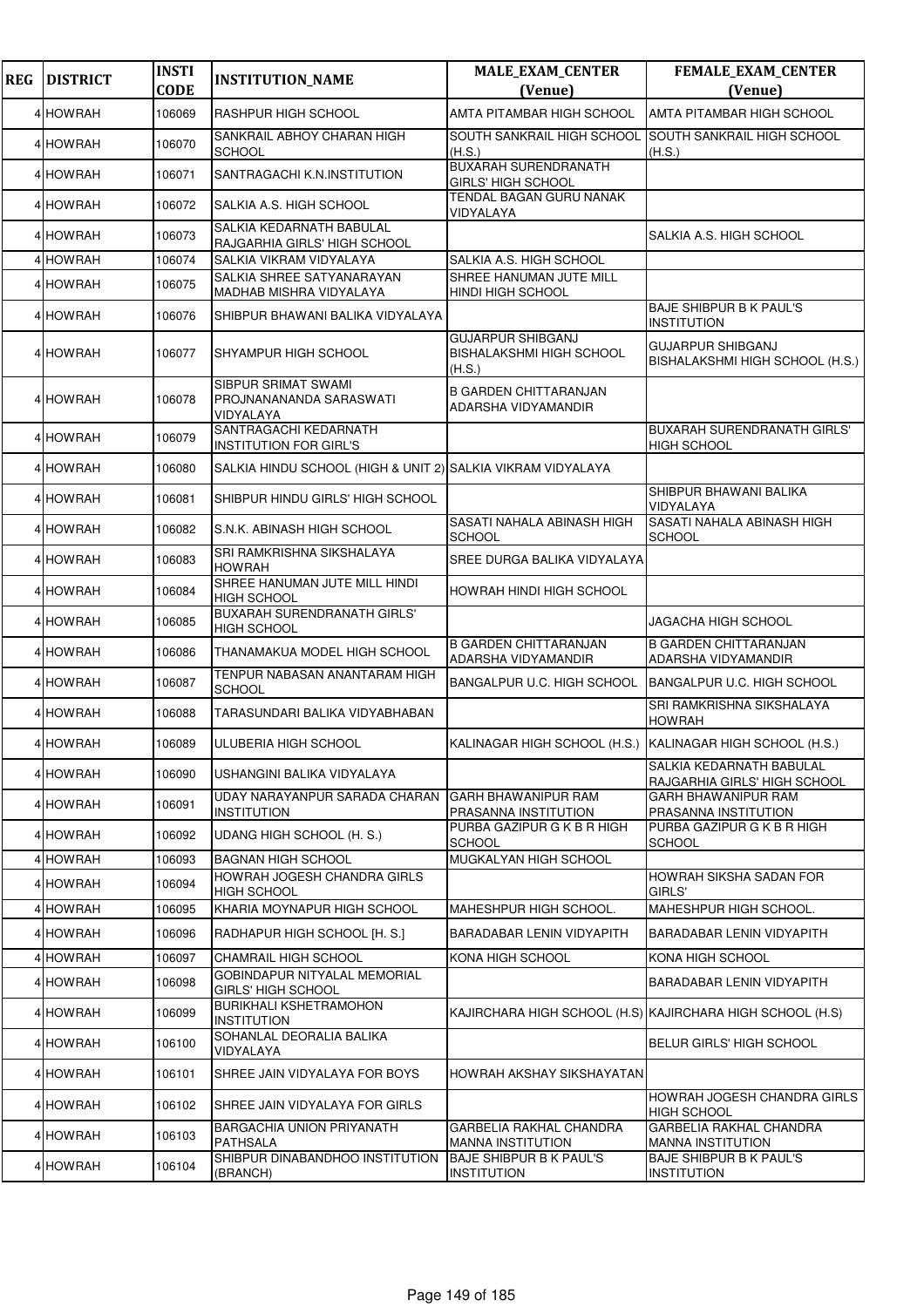| <b>REG</b> | <b>DISTRICT</b> | <b>INSTI</b><br><b>CODE</b> | <b>INSTITUTION_NAME</b>                                     | <b>MALE_EXAM_CENTER</b><br>(Venue)                             | FEMALE_EXAM_CENTER<br>(Venue)                               |
|------------|-----------------|-----------------------------|-------------------------------------------------------------|----------------------------------------------------------------|-------------------------------------------------------------|
|            | 4 HOWRAH        | 106069                      | RASHPUR HIGH SCHOOL                                         | AMTA PITAMBAR HIGH SCHOOL                                      | AMTA PITAMBAR HIGH SCHOOL                                   |
|            | 4 HOWRAH        | 106070                      | SANKRAIL ABHOY CHARAN HIGH<br><b>SCHOOL</b>                 | SOUTH SANKRAIL HIGH SCHOOL<br>(H.S.)                           | <b>SOUTH SANKRAIL HIGH SCHOOL</b><br>(H.S.)                 |
|            | 4 HOWRAH        | 106071                      | SANTRAGACHI K.N.INSTITUTION                                 | <b>BUXARAH SURENDRANATH</b><br>GIRLS' HIGH SCHOOL              |                                                             |
|            | 4 HOWRAH        | 106072                      | SALKIA A.S. HIGH SCHOOL                                     | <b>TENDAL BAGAN GURU NANAK</b><br>VIDYALAYA                    |                                                             |
|            | 4 HOWRAH        | 106073                      | SALKIA KEDARNATH BABULAL<br>RAJGARHIA GIRLS' HIGH SCHOOL    |                                                                | SALKIA A.S. HIGH SCHOOL                                     |
|            | 4 HOWRAH        | 106074                      | SALKIA VIKRAM VIDYALAYA                                     | SALKIA A.S. HIGH SCHOOL                                        |                                                             |
|            | 4 HOWRAH        | 106075                      | SALKIA SHREE SATYANARAYAN<br>MADHAB MISHRA VIDYALAYA        | SHREE HANUMAN JUTE MILL<br>HINDI HIGH SCHOOL                   |                                                             |
|            | 4 HOWRAH        | 106076                      | SHIBPUR BHAWANI BALIKA VIDYALAYA                            |                                                                | <b>BAJE SHIBPUR B K PAUL'S</b><br>INSTITUTION               |
|            | 4 HOWRAH        | 106077                      | SHYAMPUR HIGH SCHOOL                                        | <b>GUJARPUR SHIBGANJ</b><br>BISHALAKSHMI HIGH SCHOOL<br>(H.S.) | <b>GUJARPUR SHIBGANJ</b><br>BISHALAKSHMI HIGH SCHOOL (H.S.) |
|            | 4 HOWRAH        | 106078                      | SIBPUR SRIMAT SWAMI<br>PROJNANANANDA SARASWATI<br>VIDYALAYA | <b>B GARDEN CHITTARANJAN</b><br>ADARSHA VIDYAMANDIR            |                                                             |
|            | 4 HOWRAH        | 106079                      | SANTRAGACHI KEDARNATH<br><b>INSTITUTION FOR GIRL'S</b>      |                                                                | <b>BUXARAH SURENDRANATH GIRLS'</b><br><b>HIGH SCHOOL</b>    |
|            | 4 HOWRAH        | 106080                      | SALKIA HINDU SCHOOL (HIGH & UNIT 2) SALKIA VIKRAM VIDYALAYA |                                                                |                                                             |
|            | 4 HOWRAH        | 106081                      | SHIBPUR HINDU GIRLS' HIGH SCHOOL                            |                                                                | SHIBPUR BHAWANI BALIKA<br>VIDYALAYA                         |
|            | 4 HOWRAH        | 106082                      | S.N.K. ABINASH HIGH SCHOOL                                  | SASATI NAHALA ABINASH HIGH<br>SCHOOL                           | SASATI NAHALA ABINASH HIGH<br><b>SCHOOL</b>                 |
|            | 4 HOWRAH        | 106083                      | SRI RAMKRISHNA SIKSHALAYA<br><b>HOWRAH</b>                  | SREE DURGA BALIKA VIDYALAYA                                    |                                                             |
|            | 4 HOWRAH        | 106084                      | SHREE HANUMAN JUTE MILL HINDI<br><b>HIGH SCHOOL</b>         | HOWRAH HINDI HIGH SCHOOL                                       |                                                             |
|            | 4 HOWRAH        | 106085                      | BUXARAH SURENDRANATH GIRLS'<br><b>HIGH SCHOOL</b>           |                                                                | JAGACHA HIGH SCHOOL                                         |
|            | 4 HOWRAH        | 106086                      | THANAMAKUA MODEL HIGH SCHOOL                                | <b>B GARDEN CHITTARANJAN</b><br>ADARSHA VIDYAMANDIR            | <b>B GARDEN CHITTARANJAN</b><br>ADARSHA VIDYAMANDIR         |
|            | 4 HOWRAH        | 106087                      | TENPUR NABASAN ANANTARAM HIGH<br><b>SCHOOL</b>              | BANGALPUR U.C. HIGH SCHOOL                                     | <b>BANGALPUR U.C. HIGH SCHOOL</b>                           |
|            | 4 HOWRAH        | 106088                      | TARASUNDARI BALIKA VIDYABHABAN                              |                                                                | SRI RAMKRISHNA SIKSHALAYA<br><b>HOWRAH</b>                  |
|            | 4 HOWRAH        | 106089                      | ULUBERIA HIGH SCHOOL                                        | KALINAGAR HIGH SCHOOL (H.S.) KALINAGAR HIGH SCHOOL (H.S.)      |                                                             |
|            | 4 HOWRAH        | 106090                      | USHANGINI BALIKA VIDYALAYA                                  |                                                                | SALKIA KEDARNATH BABULAL<br>RAJGARHIA GIRLS' HIGH SCHOOL    |
|            | 4 HOWRAH        | 106091                      | UDAY NARAYANPUR SARADA CHARAN<br><b>INSTITUTION</b>         | <b>GARH BHAWANIPUR RAM</b><br>PRASANNA INSTITUTION             | GARH BHAWANIPUR RAM<br>PRASANNA INSTITUTION                 |
|            | 4 HOWRAH        | 106092                      | <b>UDANG HIGH SCHOOL (H. S.)</b>                            | PURBA GAZIPUR G K B R HIGH<br>SCHOOL                           | PURBA GAZIPUR G K B R HIGH<br><b>SCHOOL</b>                 |
|            | 4 HOWRAH        | 106093                      | <b>BAGNAN HIGH SCHOOL</b>                                   | MUGKALYAN HIGH SCHOOL                                          |                                                             |
|            | 4 HOWRAH        | 106094                      | HOWRAH JOGESH CHANDRA GIRLS<br><b>HIGH SCHOOL</b>           |                                                                | HOWRAH SIKSHA SADAN FOR<br>GIRLS'                           |
|            | 4 HOWRAH        | 106095                      | KHARIA MOYNAPUR HIGH SCHOOL                                 | MAHESHPUR HIGH SCHOOL.                                         | MAHESHPUR HIGH SCHOOL.                                      |
|            | 4 HOWRAH        | 106096                      | RADHAPUR HIGH SCHOOL [H. S.]                                | BARADABAR LENIN VIDYAPITH                                      | BARADABAR LENIN VIDYAPITH                                   |
|            | 4 HOWRAH        | 106097                      | <b>CHAMRAIL HIGH SCHOOL</b>                                 | KONA HIGH SCHOOL                                               | KONA HIGH SCHOOL                                            |
|            | 4 HOWRAH        | 106098                      | GOBINDAPUR NITYALAL MEMORIAL<br><b>GIRLS' HIGH SCHOOL</b>   |                                                                | BARADABAR LENIN VIDYAPITH                                   |
|            | 4 HOWRAH        | 106099                      | <b>BURIKHALI KSHETRAMOHON</b><br><b>INSTITUTION</b>         |                                                                | KAJIRCHARA HIGH SCHOOL (H.S) KAJIRCHARA HIGH SCHOOL (H.S)   |
|            | 4 HOWRAH        | 106100                      | SOHANLAL DEORALIA BALIKA<br>VIDYALAYA                       |                                                                | BELUR GIRLS' HIGH SCHOOL                                    |
|            | 4 HOWRAH        | 106101                      | SHREE JAIN VIDYALAYA FOR BOYS                               | HOWRAH AKSHAY SIKSHAYATAN                                      |                                                             |
|            | 4 HOWRAH        | 106102                      | SHREE JAIN VIDYALAYA FOR GIRLS                              |                                                                | HOWRAH JOGESH CHANDRA GIRLS<br><b>HIGH SCHOOL</b>           |
|            | 4 HOWRAH        | 106103                      | BARGACHIA UNION PRIYANATH<br><b>PATHSALA</b>                | GARBELIA RAKHAL CHANDRA<br><b>MANNA INSTITUTION</b>            | GARBELIA RAKHAL CHANDRA<br><b>MANNA INSTITUTION</b>         |
|            | 4 HOWRAH        | 106104                      | SHIBPUR DINABANDHOO INSTITUTION<br>(BRANCH)                 | <b>BAJE SHIBPUR B K PAUL'S</b><br><b>INSTITUTION</b>           | BAJE SHIBPUR B K PAUL'S<br><b>INSTITUTION</b>               |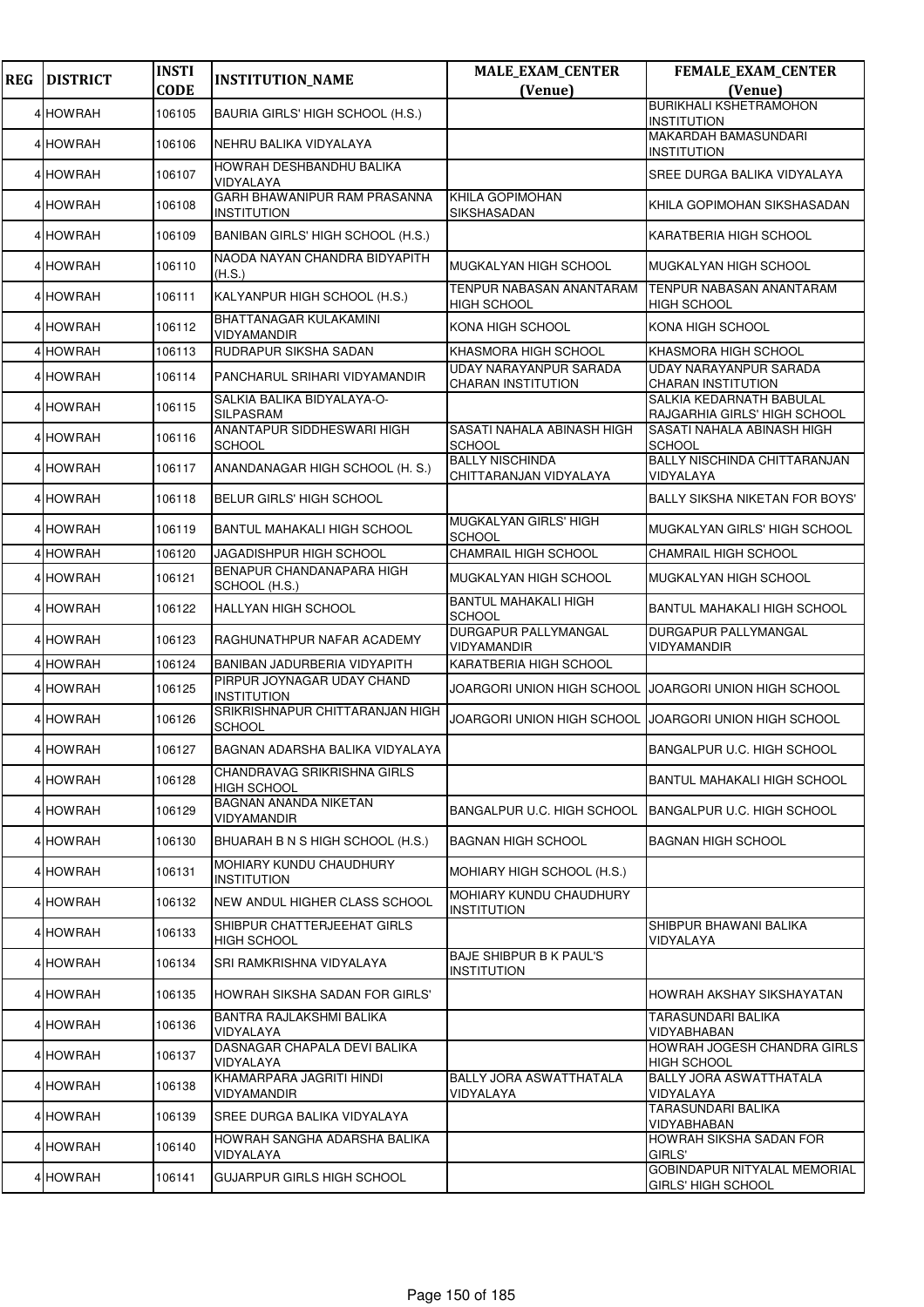| <b>REG</b> | <b>DISTRICT</b> | <b>INSTI</b><br><b>CODE</b> | <b>INSTITUTION_NAME</b>                            | <b>MALE_EXAM_CENTER</b><br>(Venue)                  | FEMALE_EXAM_CENTER<br>(Venue)                                    |
|------------|-----------------|-----------------------------|----------------------------------------------------|-----------------------------------------------------|------------------------------------------------------------------|
|            |                 |                             |                                                    |                                                     | <b>BURIKHALI KSHETRAMOHON</b>                                    |
|            | 4 HOWRAH        | 106105                      | BAURIA GIRLS' HIGH SCHOOL (H.S.)                   |                                                     | <b>INSTITUTION</b>                                               |
|            | 4 HOWRAH        | 106106                      | NEHRU BALIKA VIDYALAYA                             |                                                     | MAKARDAH BAMASUNDARI<br><b>INSTITUTION</b>                       |
|            | 4 HOWRAH        | 106107                      | HOWRAH DESHBANDHU BALIKA<br>VIDYALAYA              |                                                     | SREE DURGA BALIKA VIDYALAYA                                      |
|            | 4 HOWRAH        | 106108                      | GARH BHAWANIPUR RAM PRASANNA<br><b>INSTITUTION</b> | KHILA GOPIMOHAN<br>SIKSHASADAN                      | KHILA GOPIMOHAN SIKSHASADAN                                      |
|            | 4 HOWRAH        | 106109                      | BANIBAN GIRLS' HIGH SCHOOL (H.S.)                  |                                                     | KARATBERIA HIGH SCHOOL                                           |
|            | 4 HOWRAH        | 106110                      | NAODA NAYAN CHANDRA BIDYAPITH<br>(H.S.)            | MUGKALYAN HIGH SCHOOL                               | MUGKALYAN HIGH SCHOOL                                            |
|            | 4 HOWRAH        | 106111                      | KALYANPUR HIGH SCHOOL (H.S.)                       | TENPUR NABASAN ANANTARAM<br><b>HIGH SCHOOL</b>      | TENPUR NABASAN ANANTARAM<br><b>HIGH SCHOOL</b>                   |
|            | 4 HOWRAH        | 106112                      | BHATTANAGAR KULAKAMINI<br>VIDYAMANDIR              | KONA HIGH SCHOOL                                    | KONA HIGH SCHOOL                                                 |
|            | 4 HOWRAH        | 106113                      | RUDRAPUR SIKSHA SADAN                              | KHASMORA HIGH SCHOOL                                | KHASMORA HIGH SCHOOL                                             |
|            | 4 HOWRAH        | 106114                      | PANCHARUL SRIHARI VIDYAMANDIR                      | UDAY NARAYANPUR SARADA<br><b>CHARAN INSTITUTION</b> | UDAY NARAYANPUR SARADA<br><b>CHARAN INSTITUTION</b>              |
|            | 4 HOWRAH        | 106115                      | SALKIA BALIKA BIDYALAYA-O-<br>SILPASRAM            |                                                     | SALKIA KEDARNATH BABULAL<br>RAJGARHIA GIRLS' HIGH SCHOOL         |
|            | 4 HOWRAH        | 106116                      | ANANTAPUR SIDDHESWARI HIGH<br><b>SCHOOL</b>        | SASATI NAHALA ABINASH HIGH<br>SCHOOL                | SASATI NAHALA ABINASH HIGH<br><b>SCHOOL</b>                      |
|            | 4 HOWRAH        | 106117                      | ANANDANAGAR HIGH SCHOOL (H. S.)                    | <b>BALLY NISCHINDA</b><br>CHITTARANJAN VIDYALAYA    | BALLY NISCHINDA CHITTARANJAN<br>VIDYALAYA                        |
|            | 4 HOWRAH        | 106118                      | BELUR GIRLS' HIGH SCHOOL                           |                                                     | <b>BALLY SIKSHA NIKETAN FOR BOYS'</b>                            |
|            | 4 HOWRAH        | 106119                      | BANTUL MAHAKALI HIGH SCHOOL                        | MUGKALYAN GIRLS' HIGH<br><b>SCHOOL</b>              | MUGKALYAN GIRLS' HIGH SCHOOL                                     |
|            | 4 HOWRAH        | 106120                      | JAGADISHPUR HIGH SCHOOL                            | CHAMRAIL HIGH SCHOOL                                | CHAMRAIL HIGH SCHOOL                                             |
|            | 4 HOWRAH        | 106121                      | BENAPUR CHANDANAPARA HIGH<br>SCHOOL (H.S.)         | MUGKALYAN HIGH SCHOOL                               | MUGKALYAN HIGH SCHOOL                                            |
|            | 4 HOWRAH        | 106122                      | HALLYAN HIGH SCHOOL                                | <b>BANTUL MAHAKALI HIGH</b><br>SCHOOL               | <b>BANTUL MAHAKALI HIGH SCHOOL</b>                               |
|            | 4 HOWRAH        | 106123                      | RAGHUNATHPUR NAFAR ACADEMY                         | DURGAPUR PALLYMANGAL<br>VIDYAMANDIR                 | DURGAPUR PALLYMANGAL<br>VIDYAMANDIR                              |
|            | 4 HOWRAH        | 106124                      | BANIBAN JADURBERIA VIDYAPITH                       | KARATBERIA HIGH SCHOOL                              |                                                                  |
|            | 4 HOWRAH        | 106125                      | PIRPUR JOYNAGAR UDAY CHAND<br><b>INSTITUTION</b>   | JOARGORI UNION HIGH SCHOOL                          | JOARGORI UNION HIGH SCHOOL                                       |
|            | 4 HOWRAH        | 106126                      | SRIKRISHNAPUR CHITTARANJAN HIGH<br><b>SCHOOL</b>   | JOARGORI UNION HIGH SCHOOL                          | JOARGORI UNION HIGH SCHOOL                                       |
|            | 4 HOWRAH        | 106127                      | BAGNAN ADARSHA BALIKA VIDYALAYA                    |                                                     | BANGALPUR U.C. HIGH SCHOOL                                       |
|            | 4 HOWRAH        | 106128                      | CHANDRAVAG SRIKRISHNA GIRLS<br><b>HIGH SCHOOL</b>  |                                                     | BANTUL MAHAKALI HIGH SCHOOL                                      |
|            | 4 HOWRAH        | 106129                      | <b>BAGNAN ANANDA NIKETAN</b><br>VIDYAMANDIR        | BANGALPUR U.C. HIGH SCHOOL                          | BANGALPUR U.C. HIGH SCHOOL                                       |
|            | 4 HOWRAH        | 106130                      | BHUARAH B N S HIGH SCHOOL (H.S.)                   | <b>BAGNAN HIGH SCHOOL</b>                           | <b>BAGNAN HIGH SCHOOL</b>                                        |
|            | 4 HOWRAH        | 106131                      | MOHIARY KUNDU CHAUDHURY<br><b>INSTITUTION</b>      | MOHIARY HIGH SCHOOL (H.S.)                          |                                                                  |
|            | 4 HOWRAH        | 106132                      | NEW ANDUL HIGHER CLASS SCHOOL                      | MOHIARY KUNDU CHAUDHURY<br>INSTITUTION              |                                                                  |
|            | 4 HOWRAH        | 106133                      | SHIBPUR CHATTERJEEHAT GIRLS<br><b>HIGH SCHOOL</b>  |                                                     | SHIBPUR BHAWANI BALIKA<br>VIDYALAYA                              |
|            | 4 HOWRAH        | 106134                      | SRI RAMKRISHNA VIDYALAYA                           | <b>BAJE SHIBPUR B K PAUL'S</b><br>INSTITUTION       |                                                                  |
|            | 4 HOWRAH        | 106135                      | HOWRAH SIKSHA SADAN FOR GIRLS'                     |                                                     | HOWRAH AKSHAY SIKSHAYATAN                                        |
|            | 4 HOWRAH        | 106136                      | BANTRA RAJLAKSHMI BALIKA<br>VIDYALAYA              |                                                     | <b>TARASUNDARI BALIKA</b><br>VIDYABHABAN                         |
|            | 4 HOWRAH        | 106137                      | DASNAGAR CHAPALA DEVI BALIKA<br>VIDYALAYA          |                                                     | HOWRAH JOGESH CHANDRA GIRLS<br><b>HIGH SCHOOL</b>                |
|            | 4 HOWRAH        | 106138                      | KHAMARPARA JAGRITI HINDI<br>VIDYAMANDIR            | BALLY JORA ASWATTHATALA<br>VIDYALAYA                | BALLY JORA ASWATTHATALA<br>VIDYALAYA                             |
|            | 4 HOWRAH        | 106139                      | SREE DURGA BALIKA VIDYALAYA                        |                                                     | TARASUNDARI BALIKA<br>VIDYABHABAN                                |
|            | 4 HOWRAH        | 106140                      | HOWRAH SANGHA ADARSHA BALIKA<br>VIDYALAYA          |                                                     | HOWRAH SIKSHA SADAN FOR<br>GIRLS'                                |
|            | 4 HOWRAH        | 106141                      | GUJARPUR GIRLS HIGH SCHOOL                         |                                                     | <b>GOBINDAPUR NITYALAL MEMORIAL</b><br><b>GIRLS' HIGH SCHOOL</b> |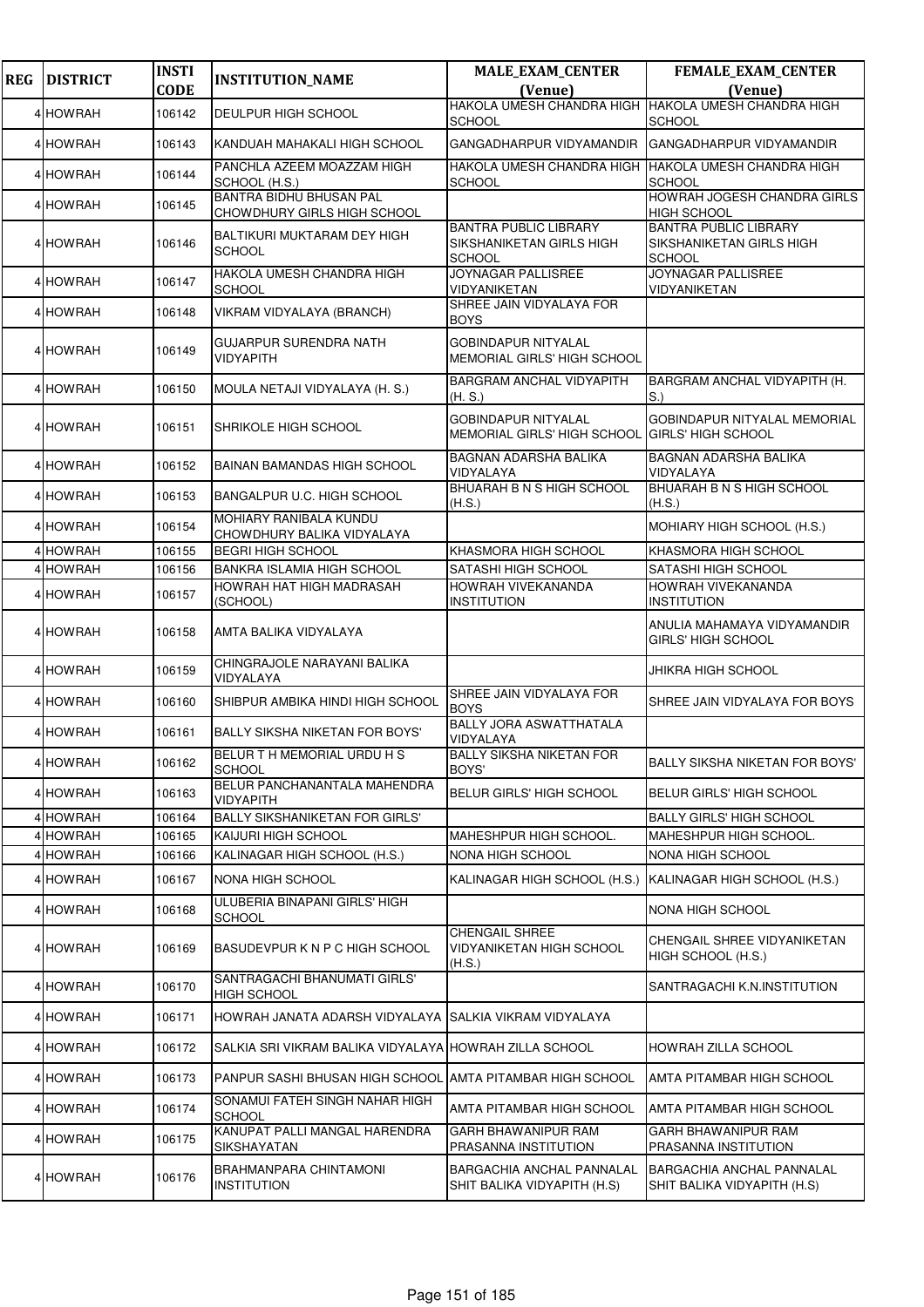| <b>REG</b> | <b>DISTRICT</b> | <b>INSTI</b><br><b>CODE</b> | <b>INSTITUTION_NAME</b>                                       | <b>MALE_EXAM_CENTER</b>                                                      | FEMALE_EXAM_CENTER                                                               |
|------------|-----------------|-----------------------------|---------------------------------------------------------------|------------------------------------------------------------------------------|----------------------------------------------------------------------------------|
|            |                 |                             |                                                               | (Venue)<br>HAKOLA UMESH CHANDRA HIGH HAKOLA UMESH CHANDRA HIGH               | (Venue)                                                                          |
|            | 4 HOWRAH        | 106142                      | <b>DEULPUR HIGH SCHOOL</b>                                    | <b>SCHOOL</b>                                                                | <b>SCHOOL</b>                                                                    |
|            | 4 HOWRAH        | 106143                      | KANDUAH MAHAKALI HIGH SCHOOL                                  | GANGADHARPUR VIDYAMANDIR                                                     | GANGADHARPUR VIDYAMANDIR                                                         |
|            | 4 HOWRAH        | 106144                      | PANCHLA AZEEM MOAZZAM HIGH<br>SCHOOL (H.S.)                   | HAKOLA UMESH CHANDRA HIGH HAKOLA UMESH CHANDRA HIGH<br><b>SCHOOL</b>         | <b>SCHOOL</b>                                                                    |
|            | 4 HOWRAH        | 106145                      | <b>BANTRA BIDHU BHUSAN PAL</b><br>CHOWDHURY GIRLS HIGH SCHOOL |                                                                              | HOWRAH JOGESH CHANDRA GIRLS<br><b>HIGH SCHOOL</b>                                |
|            | 4 HOWRAH        | 106146                      | BALTIKURI MUKTARAM DEY HIGH<br><b>SCHOOL</b>                  | <b>BANTRA PUBLIC LIBRARY</b><br>SIKSHANIKETAN GIRLS HIGH<br><b>SCHOOL</b>    | <b>BANTRA PUBLIC LIBRARY</b><br><b>SIKSHANIKETAN GIRLS HIGH</b><br><b>SCHOOL</b> |
|            | 4 HOWRAH        | 106147                      | HAKOLA UMESH CHANDRA HIGH<br><b>SCHOOL</b>                    | <b>JOYNAGAR PALLISREE</b><br>VIDYANIKETAN                                    | <b>JOYNAGAR PALLISREE</b><br>VIDYANIKETAN                                        |
|            | 4 HOWRAH        | 106148                      | VIKRAM VIDYALAYA (BRANCH)                                     | SHREE JAIN VIDYALAYA FOR<br><b>BOYS</b>                                      |                                                                                  |
|            | 4 HOWRAH        | 106149                      | <b>GUJARPUR SURENDRA NATH</b><br>VIDYAPITH                    | <b>GOBINDAPUR NITYALAL</b><br>MEMORIAL GIRLS' HIGH SCHOOL                    |                                                                                  |
|            | 4 HOWRAH        | 106150                      | MOULA NETAJI VIDYALAYA (H. S.)                                | <b>BARGRAM ANCHAL VIDYAPITH</b><br>(H.S.)                                    | BARGRAM ANCHAL VIDYAPITH (H.<br>$\vert$ S.)                                      |
|            | 4 HOWRAH        | 106151                      | SHRIKOLE HIGH SCHOOL                                          | <b>GOBINDAPUR NITYALAL</b><br>MEMORIAL GIRLS' HIGH SCHOOL GIRLS' HIGH SCHOOL | <b>GOBINDAPUR NITYALAL MEMORIAL</b>                                              |
|            | 4 HOWRAH        | 106152                      | <b>BAINAN BAMANDAS HIGH SCHOOL</b>                            | <b>BAGNAN ADARSHA BALIKA</b><br>VIDYALAYA                                    | <b>BAGNAN ADARSHA BALIKA</b><br>VIDYALAYA                                        |
|            | 4 HOWRAH        | 106153                      | BANGALPUR U.C. HIGH SCHOOL                                    | BHUARAH B N S HIGH SCHOOL<br>(H.S.)                                          | <b>BHUARAH B N S HIGH SCHOOL</b><br>(H.S.)                                       |
|            | 4 HOWRAH        | 106154                      | MOHIARY RANIBALA KUNDU<br>CHOWDHURY BALIKA VIDYALAYA          |                                                                              | MOHIARY HIGH SCHOOL (H.S.)                                                       |
|            | 4 HOWRAH        | 106155                      | <b>BEGRI HIGH SCHOOL</b>                                      | KHASMORA HIGH SCHOOL                                                         | KHASMORA HIGH SCHOOL                                                             |
|            | 4 HOWRAH        | 106156                      | <b>BANKRA ISLAMIA HIGH SCHOOL</b>                             | SATASHI HIGH SCHOOL                                                          | SATASHI HIGH SCHOOL                                                              |
|            | 4 HOWRAH        | 106157                      | HOWRAH HAT HIGH MADRASAH<br>(SCHOOL)                          | HOWRAH VIVEKANANDA<br><b>INSTITUTION</b>                                     | HOWRAH VIVEKANANDA<br><b>INSTITUTION</b>                                         |
|            | 4 HOWRAH        | 106158                      | AMTA BALIKA VIDYALAYA                                         |                                                                              | ANULIA MAHAMAYA VIDYAMANDIR<br><b>GIRLS' HIGH SCHOOL</b>                         |
|            | 4 HOWRAH        | 106159                      | CHINGRAJOLE NARAYANI BALIKA<br>VIDYALAYA                      |                                                                              | JHIKRA HIGH SCHOOL                                                               |
|            | 4 HOWRAH        | 106160                      | SHIBPUR AMBIKA HINDI HIGH SCHOOL                              | SHREE JAIN VIDYALAYA FOR<br><b>BOYS</b>                                      | SHREE JAIN VIDYALAYA FOR BOYS                                                    |
|            | 4 HOWRAH        | 106161                      | <b>BALLY SIKSHA NIKETAN FOR BOYS'</b>                         | <b>BALLY JORA ASWATTHATALA</b><br>VIDYALAYA                                  |                                                                                  |
|            | 4 HOWRAH        | 106162                      | BELUR TH MEMORIAL URDUHS<br><b>SCHOOL</b>                     | <b>BALLY SIKSHA NIKETAN FOR</b><br>BOYS'                                     | BALLY SIKSHA NIKETAN FOR BOYS'                                                   |
|            | 4 HOWRAH        | 106163                      | BELUR PANCHANANTALA MAHENDRA<br><b>VIDYAPITH</b>              | <b>BELUR GIRLS' HIGH SCHOOL</b>                                              | <b>BELUR GIRLS' HIGH SCHOOL</b>                                                  |
|            | 4 HOWRAH        | 106164                      | <b>BALLY SIKSHANIKETAN FOR GIRLS'</b>                         |                                                                              | <b>BALLY GIRLS' HIGH SCHOOL</b>                                                  |
|            | 4 HOWRAH        | 106165                      | KAIJURI HIGH SCHOOL                                           | MAHESHPUR HIGH SCHOOL.                                                       | MAHESHPUR HIGH SCHOOL.                                                           |
|            | 4 HOWRAH        | 106166                      | KALINAGAR HIGH SCHOOL (H.S.)                                  | <b>NONA HIGH SCHOOL</b>                                                      | <b>NONA HIGH SCHOOL</b>                                                          |
|            | 4 HOWRAH        | 106167                      | NONA HIGH SCHOOL                                              | KALINAGAR HIGH SCHOOL (H.S.) KALINAGAR HIGH SCHOOL (H.S.)                    |                                                                                  |
|            | 4 HOWRAH        | 106168                      | ULUBERIA BINAPANI GIRLS' HIGH<br><b>SCHOOL</b>                |                                                                              | NONA HIGH SCHOOL                                                                 |
|            | 4 HOWRAH        | 106169                      | BASUDEVPUR K N P C HIGH SCHOOL                                | <b>CHENGAIL SHREE</b><br>VIDYANIKETAN HIGH SCHOOL<br>(H.S.)                  | CHENGAIL SHREE VIDYANIKETAN<br>HIGH SCHOOL (H.S.)                                |
|            | 4 HOWRAH        | 106170                      | SANTRAGACHI BHANUMATI GIRLS'<br><b>HIGH SCHOOL</b>            |                                                                              | SANTRAGACHI K.N.INSTITUTION                                                      |
|            | 4 HOWRAH        | 106171                      | HOWRAH JANATA ADARSH VIDYALAYA                                | SALKIA VIKRAM VIDYALAYA                                                      |                                                                                  |
|            | 4 HOWRAH        | 106172                      | SALKIA SRI VIKRAM BALIKA VIDYALAYA HOWRAH ZILLA SCHOOL        |                                                                              | HOWRAH ZILLA SCHOOL                                                              |
|            | 4 HOWRAH        | 106173                      | PANPUR SASHI BHUSAN HIGH SCHOOL                               | <b>AMTA PITAMBAR HIGH SCHOOL</b>                                             | IAMTA PITAMBAR HIGH SCHOOL                                                       |
|            | 4 HOWRAH        | 106174                      | SONAMUI FATEH SINGH NAHAR HIGH<br><b>SCHOOL</b>               | AMTA PITAMBAR HIGH SCHOOL                                                    | <b>JAMTA PITAMBAR HIGH SCHOOL</b>                                                |
|            | 4 HOWRAH        | 106175                      | KANUPAT PALLI MANGAL HARENDRA<br>SIKSHAYATAN                  | GARH BHAWANIPUR RAM<br>PRASANNA INSTITUTION                                  | GARH BHAWANIPUR RAM<br>PRASANNA INSTITUTION                                      |
|            | 4 HOWRAH        | 106176                      | BRAHMANPARA CHINTAMONI<br><b>INSTITUTION</b>                  | BARGACHIA ANCHAL PANNALAL<br>SHIT BALIKA VIDYAPITH (H.S)                     | <b>BARGACHIA ANCHAL PANNALAL</b><br>SHIT BALIKA VIDYAPITH (H.S)                  |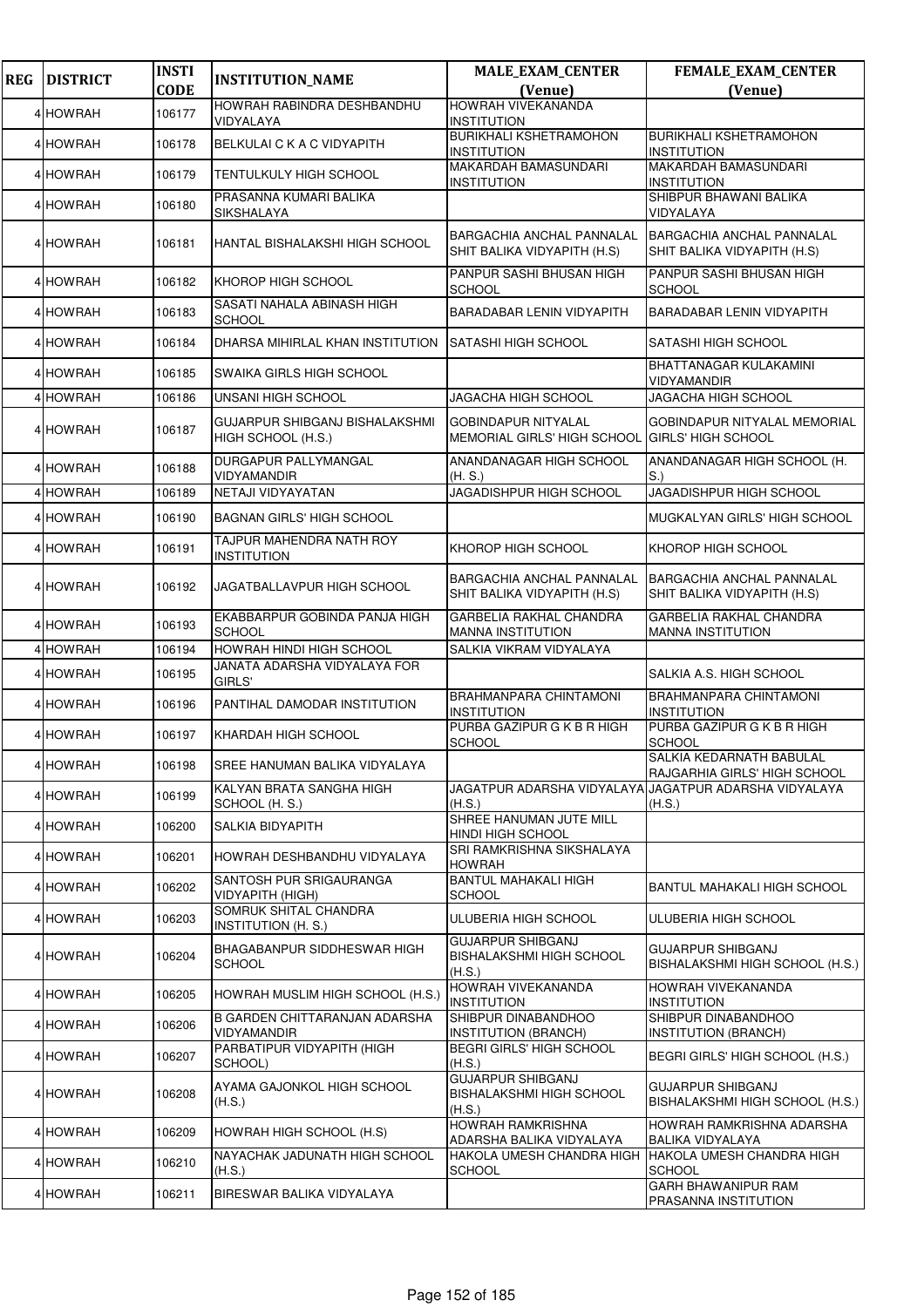| <b>REG</b> | <b>DISTRICT</b> | <b>INSTI</b> | <b>INSTITUTION_NAME</b>                              | <b>MALE_EXAM_CENTER</b>                                               | <b>FEMALE_EXAM_CENTER</b>                                       |
|------------|-----------------|--------------|------------------------------------------------------|-----------------------------------------------------------------------|-----------------------------------------------------------------|
|            |                 | <b>CODE</b>  | HOWRAH RABINDRA DESHBANDHU                           | (Venue)<br><b>HOWRAH VIVEKANANDA</b>                                  | (Venue)                                                         |
|            | 4 HOWRAH        | 106177       | VIDYALAYA                                            | <b>INSTITUTION</b>                                                    |                                                                 |
|            | 4 HOWRAH        | 106178       | BELKULAI C K A C VIDYAPITH                           | <b>BURIKHALI KSHETRAMOHON</b><br><b>INSTITUTION</b>                   | <b>BURIKHALI KSHETRAMOHON</b><br><b>INSTITUTION</b>             |
|            | 4 HOWRAH        | 106179       | <b>TENTULKULY HIGH SCHOOL</b>                        | <b>MAKARDAH BAMASUNDARI</b><br><b>INSTITUTION</b>                     | <b>MAKARDAH BAMASUNDARI</b><br><b>INSTITUTION</b>               |
|            | 4 HOWRAH        | 106180       | PRASANNA KUMARI BALIKA<br>SIKSHALAYA                 |                                                                       | SHIBPUR BHAWANI BALIKA<br>VIDYALAYA                             |
|            | 4 HOWRAH        | 106181       | HANTAL BISHALAKSHI HIGH SCHOOL                       | <b>BARGACHIA ANCHAL PANNALAL</b><br>SHIT BALIKA VIDYAPITH (H.S)       | BARGACHIA ANCHAL PANNALAL<br>SHIT BALIKA VIDYAPITH (H.S)        |
|            | 4 HOWRAH        | 106182       | KHOROP HIGH SCHOOL                                   | PANPUR SASHI BHUSAN HIGH<br>SCHOOL                                    | PANPUR SASHI BHUSAN HIGH<br><b>SCHOOL</b>                       |
|            | 4 HOWRAH        | 106183       | SASATI NAHALA ABINASH HIGH<br><b>SCHOOL</b>          | BARADABAR LENIN VIDYAPITH                                             | BARADABAR LENIN VIDYAPITH                                       |
|            | 4 HOWRAH        | 106184       | DHARSA MIHIRLAL KHAN INSTITUTION                     | SATASHI HIGH SCHOOL                                                   | SATASHI HIGH SCHOOL                                             |
|            | 4 HOWRAH        | 106185       | SWAIKA GIRLS HIGH SCHOOL                             |                                                                       | <b>BHATTANAGAR KULAKAMINI</b><br><b>VIDYAMANDIR</b>             |
|            | 4 HOWRAH        | 106186       | <b>UNSANI HIGH SCHOOL</b>                            | JAGACHA HIGH SCHOOL                                                   | JAGACHA HIGH SCHOOL                                             |
|            | 4 HOWRAH        | 106187       | GUJARPUR SHIBGANJ BISHALAKSHMI<br>HIGH SCHOOL (H.S.) | <b>GOBINDAPUR NITYALAL</b><br>MEMORIAL GIRLS' HIGH SCHOOL             | GOBINDAPUR NITYALAL MEMORIAL<br><b>GIRLS' HIGH SCHOOL</b>       |
|            | 4 HOWRAH        | 106188       | DURGAPUR PALLYMANGAL<br>VIDYAMANDIR                  | ANANDANAGAR HIGH SCHOOL<br>(H. S.)                                    | ANANDANAGAR HIGH SCHOOL (H.<br>S.                               |
|            | 4 HOWRAH        | 106189       | NETAJI VIDYAYATAN                                    | JAGADISHPUR HIGH SCHOOL                                               | <b>JAGADISHPUR HIGH SCHOOL</b>                                  |
|            | 4 HOWRAH        | 106190       | <b>BAGNAN GIRLS' HIGH SCHOOL</b>                     |                                                                       | MUGKALYAN GIRLS' HIGH SCHOOL                                    |
|            | 4 HOWRAH        | 106191       | TAJPUR MAHENDRA NATH ROY<br><b>INSTITUTION</b>       | KHOROP HIGH SCHOOL                                                    | KHOROP HIGH SCHOOL                                              |
|            | 4 HOWRAH        | 106192       | JAGATBALLAVPUR HIGH SCHOOL                           | <b>BARGACHIA ANCHAL PANNALAL</b><br>SHIT BALIKA VIDYAPITH (H.S)       | <b>BARGACHIA ANCHAL PANNALAL</b><br>SHIT BALIKA VIDYAPITH (H.S) |
|            | 4 HOWRAH        | 106193       | EKABBARPUR GOBINDA PANJA HIGH<br><b>SCHOOL</b>       | <b>GARBELIA RAKHAL CHANDRA</b><br><b>MANNA INSTITUTION</b>            | GARBELIA RAKHAL CHANDRA<br><b>MANNA INSTITUTION</b>             |
|            | 4 HOWRAH        | 106194       | HOWRAH HINDI HIGH SCHOOL                             | SALKIA VIKRAM VIDYALAYA                                               |                                                                 |
|            | 4 HOWRAH        | 106195       | JANATA ADARSHA VIDYALAYA FOR<br>GIRLS'               |                                                                       | SALKIA A.S. HIGH SCHOOL                                         |
|            | 4 HOWRAH        | 106196       | PANTIHAL DAMODAR INSTITUTION                         | BRAHMANPARA CHINTAMONI<br><b>INSTITUTION</b>                          | BRAHMANPARA CHINTAMONI<br><b>INSTITUTION</b>                    |
|            | 4 HOWRAH        | 106197       | KHARDAH HIGH SCHOOL                                  | PURBA GAZIPUR G K B R HIGH<br><b>SCHOOL</b>                           | PURBA GAZIPUR G K B R HIGH<br><b>SCHOOL</b>                     |
|            | 4 HOWRAH        | 106198       | SREE HANUMAN BALIKA VIDYALAYA                        |                                                                       | SALKIA KEDARNATH BABULAL<br>RAJGARHIA GIRLS' HIGH SCHOOL        |
|            | 4 HOWRAH        | 106199       | KALYAN BRATA SANGHA HIGH<br>SCHOOL (H. S.)           | (H.S.)                                                                | JAGATPUR ADARSHA VIDYALAYA JAGATPUR ADARSHA VIDYALAYA<br>(H.S.) |
|            | 4 HOWRAH        | 106200       | SALKIA BIDYAPITH                                     | SHREE HANUMAN JUTE MILL<br>HINDI HIGH SCHOOL                          |                                                                 |
|            | 4 HOWRAH        | 106201       | HOWRAH DESHBANDHU VIDYALAYA                          | SRI RAMKRISHNA SIKSHALAYA<br><b>HOWRAH</b>                            |                                                                 |
|            | 4 HOWRAH        | 106202       | SANTOSH PUR SRIGAURANGA<br><b>VIDYAPITH (HIGH)</b>   | BANTUL MAHAKALI HIGH<br><b>SCHOOL</b>                                 | BANTUL MAHAKALI HIGH SCHOOL                                     |
|            | 4 HOWRAH        | 106203       | SOMRUK SHITAL CHANDRA<br><b>INSTITUTION (H. S.)</b>  | ULUBERIA HIGH SCHOOL                                                  | ULUBERIA HIGH SCHOOL                                            |
|            | 4 HOWRAH        | 106204       | BHAGABANPUR SIDDHESWAR HIGH<br><b>SCHOOL</b>         | <b>GUJARPUR SHIBGANJ</b><br>BISHALAKSHMI HIGH SCHOOL<br>(H.S.)        | <b>GUJARPUR SHIBGANJ</b><br>BISHALAKSHMI HIGH SCHOOL (H.S.)     |
|            | 4 HOWRAH        | 106205       | HOWRAH MUSLIM HIGH SCHOOL (H.S.)                     | HOWRAH VIVEKANANDA<br><b>INSTITUTION</b>                              | HOWRAH VIVEKANANDA<br><b>INSTITUTION</b>                        |
|            | 4 HOWRAH        | 106206       | B GARDEN CHITTARANJAN ADARSHA<br><b>VIDYAMANDIR</b>  | SHIBPUR DINABANDHOO<br>INSTITUTION (BRANCH)                           | SHIBPUR DINABANDHOO<br><b>INSTITUTION (BRANCH)</b>              |
|            | 4 HOWRAH        | 106207       | PARBATIPUR VIDYAPITH (HIGH<br>SCHOOL)                | <b>BEGRI GIRLS' HIGH SCHOOL</b><br>(H.S.)                             | BEGRI GIRLS' HIGH SCHOOL (H.S.)                                 |
|            | 4 HOWRAH        | 106208       | AYAMA GAJONKOL HIGH SCHOOL<br>(H.S.)                 | <b>GUJARPUR SHIBGANJ</b><br><b>BISHALAKSHMI HIGH SCHOOL</b><br>(H.S.) | GUJARPUR SHIBGANJ<br>BISHALAKSHMI HIGH SCHOOL (H.S.)            |
|            | 4 HOWRAH        | 106209       | HOWRAH HIGH SCHOOL (H.S)                             | HOWRAH RAMKRISHNA<br>ADARSHA BALIKA VIDYALAYA                         | HOWRAH RAMKRISHNA ADARSHA<br><b>BALIKA VIDYALAYA</b>            |
|            | 4 HOWRAH        | 106210       | NAYACHAK JADUNATH HIGH SCHOOL<br>(H.S.)              | HAKOLA UMESH CHANDRA HIGH<br><b>SCHOOL</b>                            | HAKOLA UMESH CHANDRA HIGH<br><b>SCHOOL</b>                      |
|            | 4 HOWRAH        | 106211       | BIRESWAR BALIKA VIDYALAYA                            |                                                                       | GARH BHAWANIPUR RAM<br>PRASANNA INSTITUTION                     |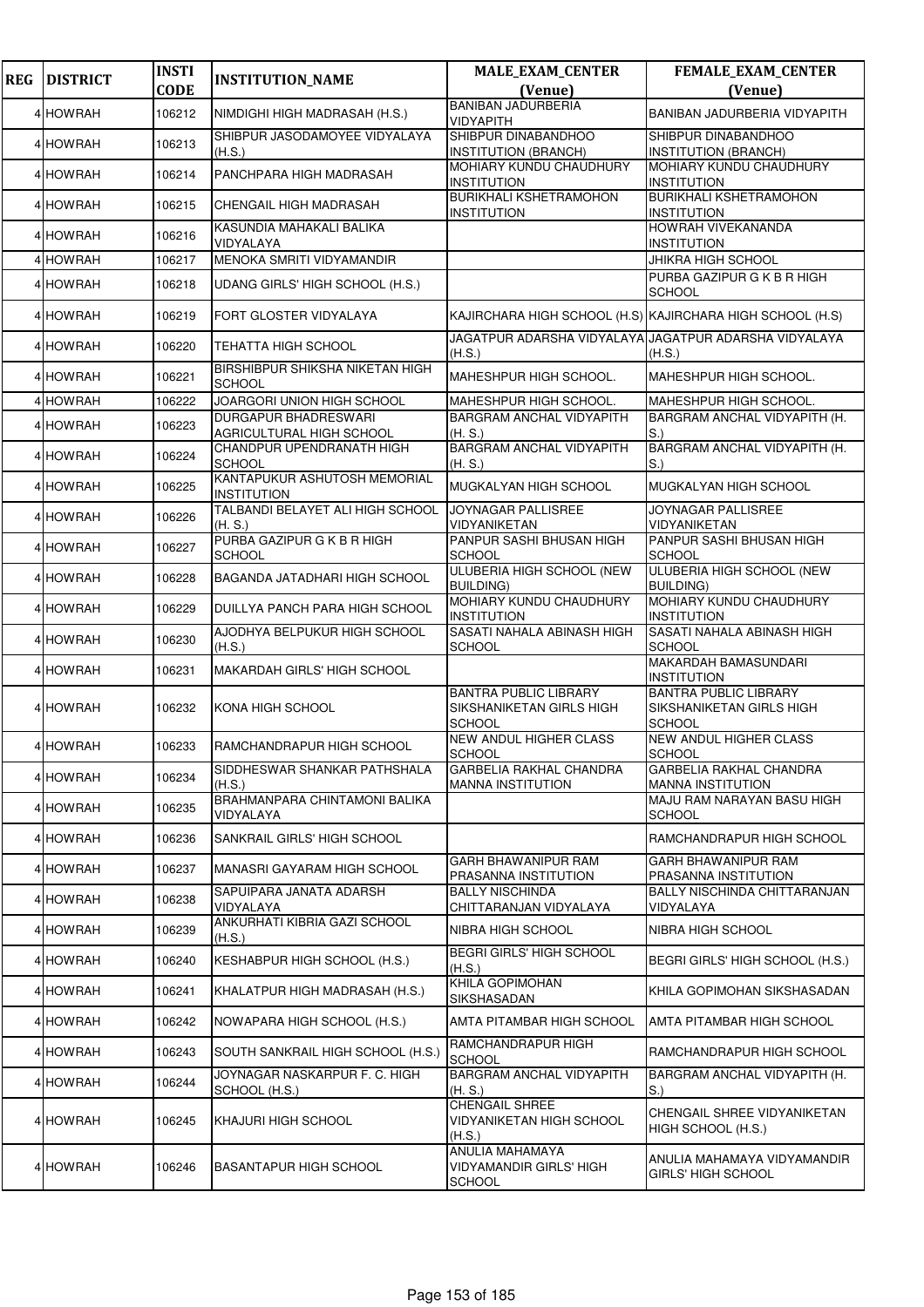| <b>REG</b> | <b>DISTRICT</b> | <b>INSTI</b> | <b>INSTITUTION_NAME</b>                                 | <b>MALE_EXAM_CENTER</b>                                                   | FEMALE_EXAM_CENTER                                                        |
|------------|-----------------|--------------|---------------------------------------------------------|---------------------------------------------------------------------------|---------------------------------------------------------------------------|
|            |                 | <b>CODE</b>  |                                                         | (Venue)                                                                   | (Venue)                                                                   |
|            | 4 HOWRAH        | 106212       | NIMDIGHI HIGH MADRASAH (H.S.)                           | <b>BANIBAN JADURBERIA</b><br>VIDYAPITH                                    | BANIBAN JADURBERIA VIDYAPITH                                              |
|            | 4 HOWRAH        | 106213       | SHIBPUR JASODAMOYEE VIDYALAYA<br>(H.S.)                 | SHIBPUR DINABANDHOO<br><b>INSTITUTION (BRANCH)</b>                        | SHIBPUR DINABANDHOO<br><b>INSTITUTION (BRANCH)</b>                        |
|            | 4 HOWRAH        | 106214       | PANCHPARA HIGH MADRASAH                                 | <b>MOHIARY KUNDU CHAUDHURY</b><br><b>INSTITUTION</b>                      | MOHIARY KUNDU CHAUDHURY<br><b>INSTITUTION</b>                             |
|            | 4 HOWRAH        | 106215       | CHENGAIL HIGH MADRASAH                                  | <b>BURIKHALI KSHETRAMOHON</b><br><b>INSTITUTION</b>                       | <b>BURIKHALI KSHETRAMOHON</b><br><b>INSTITUTION</b>                       |
|            | 4 HOWRAH        | 106216       | KASUNDIA MAHAKALI BALIKA<br>VIDYALAYA                   |                                                                           | HOWRAH VIVEKANANDA<br><b>INSTITUTION</b>                                  |
|            | 4 HOWRAH        | 106217       | MENOKA SMRITI VIDYAMANDIR                               |                                                                           | <b>JHIKRA HIGH SCHOOL</b>                                                 |
|            | 4 HOWRAH        | 106218       | UDANG GIRLS' HIGH SCHOOL (H.S.)                         |                                                                           | PURBA GAZIPUR G K B R HIGH<br><b>SCHOOL</b>                               |
|            | 4 HOWRAH        | 106219       | FORT GLOSTER VIDYALAYA                                  |                                                                           | KAJIRCHARA HIGH SCHOOL (H.S) KAJIRCHARA HIGH SCHOOL (H.S)                 |
|            | 4 HOWRAH        | 106220       | <b>TEHATTA HIGH SCHOOL</b>                              | (H.S.)                                                                    | JAGATPUR ADARSHA VIDYALAYA JAGATPUR ADARSHA VIDYALAYA<br>(H.S.)           |
|            | 4 HOWRAH        | 106221       | BIRSHIBPUR SHIKSHA NIKETAN HIGH<br><b>SCHOOL</b>        | MAHESHPUR HIGH SCHOOL.                                                    | MAHESHPUR HIGH SCHOOL.                                                    |
|            | 4 HOWRAH        | 106222       | JOARGORI UNION HIGH SCHOOL                              | MAHESHPUR HIGH SCHOOL.                                                    | MAHESHPUR HIGH SCHOOL.                                                    |
|            | 4 HOWRAH        | 106223       | <b>DURGAPUR BHADRESWARI</b><br>AGRICULTURAL HIGH SCHOOL | BARGRAM ANCHAL VIDYAPITH<br>(H. S.)                                       | BARGRAM ANCHAL VIDYAPITH (H.<br>S.                                        |
|            | 4 HOWRAH        | 106224       | CHANDPUR UPENDRANATH HIGH<br><b>SCHOOL</b>              | BARGRAM ANCHAL VIDYAPITH<br>(H.S.)                                        | BARGRAM ANCHAL VIDYAPITH (H.<br>S.                                        |
|            | 4 HOWRAH        | 106225       | KANTAPUKUR ASHUTOSH MEMORIAL<br><b>INSTITUTION</b>      | MUGKALYAN HIGH SCHOOL                                                     | MUGKALYAN HIGH SCHOOL                                                     |
|            | 4 HOWRAH        | 106226       | TALBANDI BELAYET ALI HIGH SCHOOL<br>(H. S.)             | JOYNAGAR PALLISREE<br>VIDYANIKETAN                                        | JOYNAGAR PALLISREE<br>VIDYANIKETAN                                        |
|            | 4 HOWRAH        | 106227       | PURBA GAZIPUR G K B R HIGH<br><b>SCHOOL</b>             | PANPUR SASHI BHUSAN HIGH<br><b>SCHOOL</b>                                 | PANPUR SASHI BHUSAN HIGH<br><b>SCHOOL</b>                                 |
|            | 4 HOWRAH        | 106228       | BAGANDA JATADHARI HIGH SCHOOL                           | ULUBERIA HIGH SCHOOL (NEW<br><b>BUILDING)</b>                             | ULUBERIA HIGH SCHOOL (NEW<br><b>BUILDING)</b>                             |
|            | 4 HOWRAH        | 106229       | DUILLYA PANCH PARA HIGH SCHOOL                          | MOHIARY KUNDU CHAUDHURY<br><b>INSTITUTION</b>                             | MOHIARY KUNDU CHAUDHURY<br><b>INSTITUTION</b>                             |
|            | 4 HOWRAH        | 106230       | AJODHYA BELPUKUR HIGH SCHOOL<br>(H.S.)                  | SASATI NAHALA ABINASH HIGH<br><b>SCHOOL</b>                               | SASATI NAHALA ABINASH HIGH<br><b>SCHOOL</b>                               |
|            | 4 HOWRAH        | 106231       | <b>MAKARDAH GIRLS' HIGH SCHOOL</b>                      |                                                                           | MAKARDAH BAMASUNDARI<br><b>INSTITUTION</b>                                |
|            | 4 HOWRAH        | 106232       | KONA HIGH SCHOOL                                        | <b>BANTRA PUBLIC LIBRARY</b><br>SIKSHANIKETAN GIRLS HIGH<br><b>SCHOOL</b> | <b>BANTRA PUBLIC LIBRARY</b><br>SIKSHANIKETAN GIRLS HIGH<br><b>SCHOOL</b> |
|            | 4 HOWRAH        | 106233       | RAMCHANDRAPUR HIGH SCHOOL                               | <b>NEW ANDUL HIGHER CLASS</b><br><b>SCHOOL</b>                            | <b>NEW ANDUL HIGHER CLASS</b><br><b>SCHOOL</b>                            |
|            | 4 HOWRAH        | 106234       | SIDDHESWAR SHANKAR PATHSHALA<br>(H.S.)                  | <b>GARBELIA RAKHAL CHANDRA</b><br><b>MANNA INSTITUTION</b>                | GARBELIA RAKHAL CHANDRA<br><b>MANNA INSTITUTION</b>                       |
|            | 4 HOWRAH        | 106235       | BRAHMANPARA CHINTAMONI BALIKA<br>VIDYALAYA              |                                                                           | MAJU RAM NARAYAN BASU HIGH<br><b>SCHOOL</b>                               |
|            | 4 HOWRAH        | 106236       | SANKRAIL GIRLS' HIGH SCHOOL                             |                                                                           | RAMCHANDRAPUR HIGH SCHOOL                                                 |
|            | 4 HOWRAH        | 106237       | MANASRI GAYARAM HIGH SCHOOL                             | GARH BHAWANIPUR RAM<br>PRASANNA INSTITUTION                               | <b>GARH BHAWANIPUR RAM</b><br>PRASANNA INSTITUTION                        |
|            | 4 HOWRAH        | 106238       | SAPUIPARA JANATA ADARSH<br>VIDYALAYA                    | <b>BALLY NISCHINDA</b><br>CHITTARANJAN VIDYALAYA                          | BALLY NISCHINDA CHITTARANJAN<br>VIDYALAYA                                 |
|            | 4 HOWRAH        | 106239       | ANKURHATI KIBRIA GAZI SCHOOL<br>(H.S.)                  | NIBRA HIGH SCHOOL                                                         | <b>NIBRA HIGH SCHOOL</b>                                                  |
|            | 4 HOWRAH        | 106240       | KESHABPUR HIGH SCHOOL (H.S.)                            | <b>BEGRI GIRLS' HIGH SCHOOL</b><br>(H.S.)                                 | BEGRI GIRLS' HIGH SCHOOL (H.S.)                                           |
|            | 4 HOWRAH        | 106241       | KHALATPUR HIGH MADRASAH (H.S.)                          | KHILA GOPIMOHAN<br>SIKSHASADAN                                            | KHILA GOPIMOHAN SIKSHASADAN                                               |
|            | 4 HOWRAH        | 106242       | NOWAPARA HIGH SCHOOL (H.S.)                             | AMTA PITAMBAR HIGH SCHOOL                                                 | AMTA PITAMBAR HIGH SCHOOL                                                 |
|            | 4 HOWRAH        | 106243       | SOUTH SANKRAIL HIGH SCHOOL (H.S.)                       | RAMCHANDRAPUR HIGH<br><b>SCHOOL</b>                                       | RAMCHANDRAPUR HIGH SCHOOL                                                 |
|            | 4 HOWRAH        | 106244       | JOYNAGAR NASKARPUR F. C. HIGH<br>SCHOOL (H.S.)          | BARGRAM ANCHAL VIDYAPITH<br>(H.S.)                                        | BARGRAM ANCHAL VIDYAPITH (H.<br>S.                                        |
|            | 4 HOWRAH        | 106245       | KHAJURI HIGH SCHOOL                                     | <b>CHENGAIL SHREE</b><br>VIDYANIKETAN HIGH SCHOOL<br>(H.S.)               | CHENGAIL SHREE VIDYANIKETAN<br>HIGH SCHOOL (H.S.)                         |
|            | 4 HOWRAH        | 106246       | <b>BASANTAPUR HIGH SCHOOL</b>                           | ANULIA MAHAMAYA<br><b>VIDYAMANDIR GIRLS' HIGH</b><br><b>SCHOOL</b>        | ANULIA MAHAMAYA VIDYAMANDIR<br><b>GIRLS' HIGH SCHOOL</b>                  |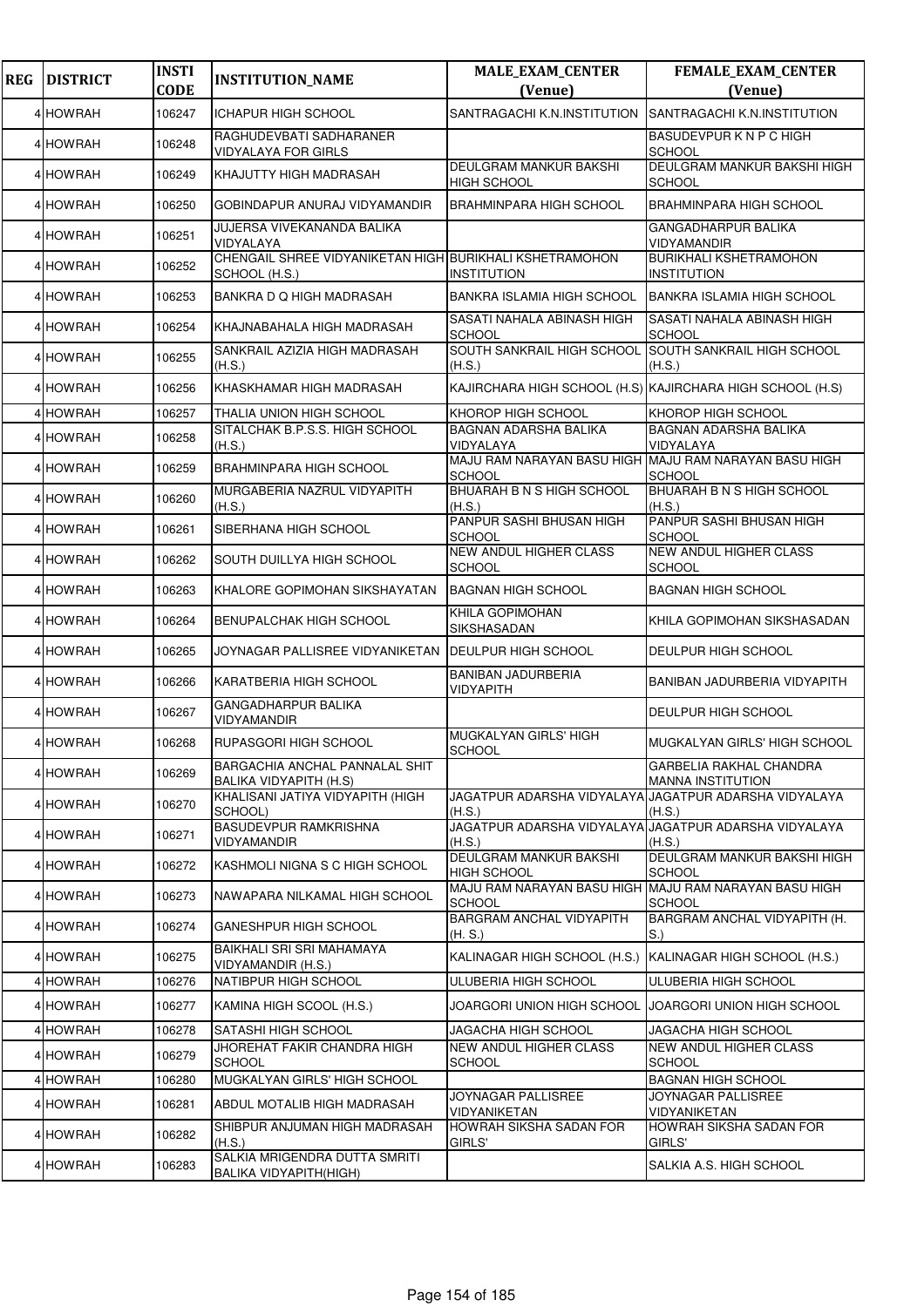| <b>REG</b> | <b>DISTRICT</b> | <b>INSTI</b><br><b>CODE</b> | <b>INSTITUTION_NAME</b>                                                  | <b>MALE_EXAM_CENTER</b><br>(Venue)                                     | FEMALE_EXAM_CENTER<br>(Venue)                                   |
|------------|-----------------|-----------------------------|--------------------------------------------------------------------------|------------------------------------------------------------------------|-----------------------------------------------------------------|
|            | 4 HOWRAH        | 106247                      | <b>ICHAPUR HIGH SCHOOL</b>                                               | SANTRAGACHI K.N.INSTITUTION                                            | SANTRAGACHI K.N.INSTITUTION                                     |
|            | 4 HOWRAH        | 106248                      | RAGHUDEVBATI SADHARANER<br><b>VIDYALAYA FOR GIRLS</b>                    |                                                                        | BASUDEVPUR K N P C HIGH<br><b>SCHOOL</b>                        |
|            | 4 HOWRAH        | 106249                      | KHAJUTTY HIGH MADRASAH                                                   | <b>DEULGRAM MANKUR BAKSHI</b><br><b>HIGH SCHOOL</b>                    | DEULGRAM MANKUR BAKSHI HIGH<br><b>SCHOOL</b>                    |
|            | 4 HOWRAH        | 106250                      | GOBINDAPUR ANURAJ VIDYAMANDIR                                            | <b>BRAHMINPARA HIGH SCHOOL</b>                                         | <b>BRAHMINPARA HIGH SCHOOL</b>                                  |
|            | 4 HOWRAH        | 106251                      | JUJERSA VIVEKANANDA BALIKA<br>VIDYALAYA                                  |                                                                        | <b>GANGADHARPUR BALIKA</b><br>VIDYAMANDIR                       |
|            | 4 HOWRAH        | 106252                      | CHENGAIL SHREE VIDYANIKETAN HIGH BURIKHALI KSHETRAMOHON<br>SCHOOL (H.S.) | <b>INSTITUTION</b>                                                     | BURIKHALI KSHETRAMOHON<br><b>INSTITUTION</b>                    |
|            | 4 HOWRAH        | 106253                      | BANKRA D Q HIGH MADRASAH                                                 | <b>BANKRA ISLAMIA HIGH SCHOOL</b>                                      | <b>BANKRA ISLAMIA HIGH SCHOOL</b>                               |
|            | 4 HOWRAH        | 106254                      | KHAJNABAHALA HIGH MADRASAH                                               | SASATI NAHALA ABINASH HIGH<br><b>SCHOOL</b>                            | SASATI NAHALA ABINASH HIGH<br><b>SCHOOL</b>                     |
|            | 4 HOWRAH        | 106255                      | SANKRAIL AZIZIA HIGH MADRASAH<br>(H.S.)                                  | SOUTH SANKRAIL HIGH SCHOOL<br>(H.S.)                                   | SOUTH SANKRAIL HIGH SCHOOL<br>(H.S.)                            |
|            | 4 HOWRAH        | 106256                      | KHASKHAMAR HIGH MADRASAH                                                 |                                                                        | KAJIRCHARA HIGH SCHOOL (H.S) KAJIRCHARA HIGH SCHOOL (H.S)       |
|            | 4 HOWRAH        | 106257                      | THALIA UNION HIGH SCHOOL                                                 | KHOROP HIGH SCHOOL                                                     | KHOROP HIGH SCHOOL                                              |
|            | 4 HOWRAH        | 106258                      | SITALCHAK B.P.S.S. HIGH SCHOOL<br>(H.S.)                                 | BAGNAN ADARSHA BALIKA<br>VIDYALAYA                                     | BAGNAN ADARSHA BALIKA<br>VIDYALAYA                              |
|            | 4 HOWRAH        | 106259                      | <b>BRAHMINPARA HIGH SCHOOL</b>                                           | MAJU RAM NARAYAN BASU HIGH MAJU RAM NARAYAN BASU HIGH<br>SCHOOL        | <b>SCHOOL</b>                                                   |
|            | 4 HOWRAH        | 106260                      | MURGABERIA NAZRUL VIDYAPITH<br>(H.S.)                                    | BHUARAH B N S HIGH SCHOOL<br>(H.S.)                                    | BHUARAH B N S HIGH SCHOOL<br>(H.S.)                             |
|            | 4 HOWRAH        | 106261                      | SIBERHANA HIGH SCHOOL                                                    | PANPUR SASHI BHUSAN HIGH<br>SCHOOL                                     | PANPUR SASHI BHUSAN HIGH<br><b>SCHOOL</b>                       |
|            | 4 HOWRAH        | 106262                      | SOUTH DUILLYA HIGH SCHOOL                                                | <b>NEW ANDUL HIGHER CLASS</b><br><b>SCHOOL</b>                         | <b>NEW ANDUL HIGHER CLASS</b><br><b>SCHOOL</b>                  |
|            | 4 HOWRAH        | 106263                      | KHALORE GOPIMOHAN SIKSHAYATAN                                            | <b>BAGNAN HIGH SCHOOL</b>                                              | <b>BAGNAN HIGH SCHOOL</b>                                       |
|            | 4 HOWRAH        | 106264                      | <b>BENUPALCHAK HIGH SCHOOL</b>                                           | KHILA GOPIMOHAN<br>SIKSHASADAN                                         | KHILA GOPIMOHAN SIKSHASADAN                                     |
|            | 4 HOWRAH        | 106265                      | JOYNAGAR PALLISREE VIDYANIKETAN                                          | <b>DEULPUR HIGH SCHOOL</b>                                             | DEULPUR HIGH SCHOOL                                             |
|            | 4 HOWRAH        | 106266                      | KARATBERIA HIGH SCHOOL                                                   | <b>BANIBAN JADURBERIA</b><br><b>VIDYAPITH</b>                          | BANIBAN JADURBERIA VIDYAPITH                                    |
|            | 4 HOWRAH        | 106267                      | GANGADHARPUR BALIKA<br>VIDYAMANDIR                                       |                                                                        | DEULPUR HIGH SCHOOL                                             |
|            | 4 HOWRAH        | 106268                      | RUPASGORI HIGH SCHOOL                                                    | MUGKALYAN GIRLS' HIGH<br><b>SCHOOL</b>                                 | <b>MUGKALYAN GIRLS' HIGH SCHOOL</b>                             |
|            | 4 HOWRAH        | 106269                      | BARGACHIA ANCHAL PANNALAL SHIT<br><b>BALIKA VIDYAPITH (H.S)</b>          |                                                                        | GARBELIA RAKHAL CHANDRA<br><b>MANNA INSTITUTION</b>             |
|            | 4 HOWRAH        | 106270                      | KHALISANI JATIYA VIDYAPITH (HIGH<br>SCHOOL)                              | (H.S.)                                                                 | JAGATPUR ADARSHA VIDYALAYA JAGATPUR ADARSHA VIDYALAYA<br>(H.S.) |
|            | 4 HOWRAH        | 106271                      | <b>BASUDEVPUR RAMKRISHNA</b><br>VIDYAMANDIR                              | (H.S.)                                                                 | JAGATPUR ADARSHA VIDYALAYA JAGATPUR ADARSHA VIDYALAYA<br>(H.S.) |
|            | 4 HOWRAH        | 106272                      | KASHMOLI NIGNA S C HIGH SCHOOL                                           | DEULGRAM MANKUR BAKSHI<br><b>HIGH SCHOOL</b>                           | DEULGRAM MANKUR BAKSHI HIGH<br><b>SCHOOL</b>                    |
|            | 4 HOWRAH        | 106273                      | NAWAPARA NILKAMAL HIGH SCHOOL                                            | MAJU RAM NARAYAN BASU HIGH MAJU RAM NARAYAN BASU HIGH<br><b>SCHOOL</b> | <b>SCHOOL</b>                                                   |
|            | 4 HOWRAH        | 106274                      | GANESHPUR HIGH SCHOOL                                                    | BARGRAM ANCHAL VIDYAPITH<br>(H.S.)                                     | BARGRAM ANCHAL VIDYAPITH (H.<br>S.                              |
|            | 4 HOWRAH        | 106275                      | BAIKHALI SRI SRI MAHAMAYA<br>VIDYAMANDIR (H.S.)                          | KALINAGAR HIGH SCHOOL (H.S.)                                           | KALINAGAR HIGH SCHOOL (H.S.)                                    |
|            | 4 HOWRAH        | 106276                      | NATIBPUR HIGH SCHOOL                                                     | ULUBERIA HIGH SCHOOL                                                   | ULUBERIA HIGH SCHOOL                                            |
|            | 4 HOWRAH        | 106277                      | KAMINA HIGH SCOOL (H.S.)                                                 | JOARGORI UNION HIGH SCHOOL                                             | JOARGORI UNION HIGH SCHOOL                                      |
|            | 4 HOWRAH        | 106278                      | SATASHI HIGH SCHOOL                                                      | JAGACHA HIGH SCHOOL                                                    | JAGACHA HIGH SCHOOL                                             |
|            | 4 HOWRAH        | 106279                      | JHOREHAT FAKIR CHANDRA HIGH<br><b>SCHOOL</b>                             | NEW ANDUL HIGHER CLASS<br><b>SCHOOL</b>                                | NEW ANDUL HIGHER CLASS<br><b>SCHOOL</b>                         |
|            | 4 HOWRAH        | 106280                      | MUGKALYAN GIRLS' HIGH SCHOOL                                             |                                                                        | <b>BAGNAN HIGH SCHOOL</b>                                       |
|            | 4 HOWRAH        | 106281                      | ABDUL MOTALIB HIGH MADRASAH                                              | JOYNAGAR PALLISREE<br>VIDYANIKETAN                                     | JOYNAGAR PALLISREE<br>VIDYANIKETAN                              |
|            | 4 HOWRAH        | 106282                      | SHIBPUR ANJUMAN HIGH MADRASAH<br>(H.S.)                                  | HOWRAH SIKSHA SADAN FOR<br>GIRLS'                                      | HOWRAH SIKSHA SADAN FOR<br>GIRLS'                               |
|            | 4 HOWRAH        | 106283                      | SALKIA MRIGENDRA DUTTA SMRITI<br><b>BALIKA VIDYAPITH(HIGH)</b>           |                                                                        | SALKIA A.S. HIGH SCHOOL                                         |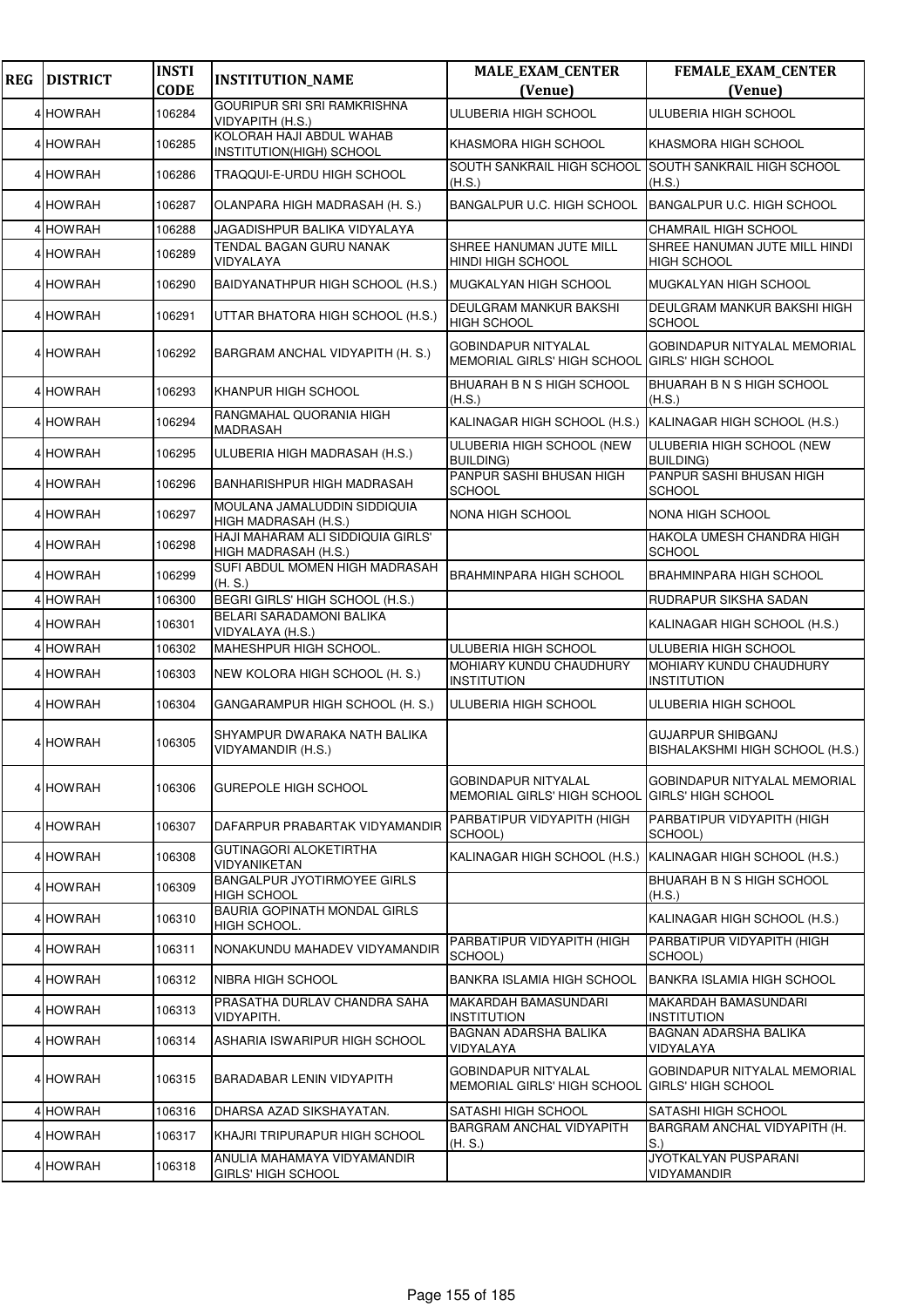| <b>REG</b> | <b>DISTRICT</b> | <b>INSTI</b><br><b>CODE</b> | <b>INSTITUTION_NAME</b>                                   | <b>MALE_EXAM_CENTER</b><br>(Venue)                                    | FEMALE_EXAM_CENTER<br>(Venue)                                    |
|------------|-----------------|-----------------------------|-----------------------------------------------------------|-----------------------------------------------------------------------|------------------------------------------------------------------|
|            | 4 HOWRAH        | 106284                      | <b>GOURIPUR SRI SRI RAMKRISHNA</b>                        | ULUBERIA HIGH SCHOOL                                                  | ULUBERIA HIGH SCHOOL                                             |
|            |                 |                             | VIDYAPITH (H.S.)<br>KOLORAH HAJI ABDUL WAHAB              |                                                                       |                                                                  |
|            | 4 HOWRAH        | 106285                      | INSTITUTION(HIGH) SCHOOL                                  | KHASMORA HIGH SCHOOL                                                  | KHASMORA HIGH SCHOOL                                             |
|            | 4 HOWRAH        | 106286                      | TRAQQUI-E-URDU HIGH SCHOOL                                | SOUTH SANKRAIL HIGH SCHOOL<br>(H.S.)                                  | <b>SOUTH SANKRAIL HIGH SCHOOL</b><br>(H.S.)                      |
|            | 4 HOWRAH        | 106287                      | OLANPARA HIGH MADRASAH (H. S.)                            | BANGALPUR U.C. HIGH SCHOOL                                            | BANGALPUR U.C. HIGH SCHOOL                                       |
|            | 4 HOWRAH        | 106288                      | JAGADISHPUR BALIKA VIDYALAYA                              |                                                                       | CHAMRAIL HIGH SCHOOL                                             |
|            | 4 HOWRAH        | 106289                      | TENDAL BAGAN GURU NANAK<br>VIDYALAYA                      | SHREE HANUMAN JUTE MILL<br><b>HINDI HIGH SCHOOL</b>                   | SHREE HANUMAN JUTE MILL HINDI<br><b>HIGH SCHOOL</b>              |
|            | 4 HOWRAH        | 106290                      | BAIDYANATHPUR HIGH SCHOOL (H.S.)                          | <b>MUGKALYAN HIGH SCHOOL</b>                                          | MUGKALYAN HIGH SCHOOL                                            |
|            | 4 HOWRAH        | 106291                      | UTTAR BHATORA HIGH SCHOOL (H.S.)                          | DEULGRAM MANKUR BAKSHI<br><b>HIGH SCHOOL</b>                          | DEULGRAM MANKUR BAKSHI HIGH<br><b>SCHOOL</b>                     |
|            | 4 HOWRAH        | 106292                      | BARGRAM ANCHAL VIDYAPITH (H. S.)                          | <b>GOBINDAPUR NITYALAL</b><br>MEMORIAL GIRLS' HIGH SCHOOL             | GOBINDAPUR NITYALAL MEMORIAL<br><b>GIRLS' HIGH SCHOOL</b>        |
|            | 4 HOWRAH        | 106293                      | KHANPUR HIGH SCHOOL                                       | BHUARAH B N S HIGH SCHOOL<br>(H.S.)                                   | BHUARAH B N S HIGH SCHOOL<br>(H.S.)                              |
|            | 4 HOWRAH        | 106294                      | RANGMAHAL QUORANIA HIGH<br>MADRASAH                       | KALINAGAR HIGH SCHOOL (H.S.) KALINAGAR HIGH SCHOOL (H.S.)             |                                                                  |
|            | 4 HOWRAH        | 106295                      | ULUBERIA HIGH MADRASAH (H.S.)                             | ULUBERIA HIGH SCHOOL (NEW<br><b>BUILDING)</b>                         | ULUBERIA HIGH SCHOOL (NEW<br><b>BUILDING)</b>                    |
|            | 4 HOWRAH        | 106296                      | BANHARISHPUR HIGH MADRASAH                                | PANPUR SASHI BHUSAN HIGH<br><b>SCHOOL</b>                             | PANPUR SASHI BHUSAN HIGH<br><b>SCHOOL</b>                        |
|            | 4 HOWRAH        | 106297                      | MOULANA JAMALUDDIN SIDDIQUIA<br>HIGH MADRASAH (H.S.)      | NONA HIGH SCHOOL                                                      | NONA HIGH SCHOOL                                                 |
|            | 4 HOWRAH        | 106298                      | HAJI MAHARAM ALI SIDDIQUIA GIRLS'<br>HIGH MADRASAH (H.S.) |                                                                       | HAKOLA UMESH CHANDRA HIGH<br><b>SCHOOL</b>                       |
|            | 4 HOWRAH        | 106299                      | SUFI ABDUL MOMEN HIGH MADRASAH<br>(H. S.)                 | <b>BRAHMINPARA HIGH SCHOOL</b>                                        | <b>BRAHMINPARA HIGH SCHOOL</b>                                   |
|            | 4 HOWRAH        | 106300                      | BEGRI GIRLS' HIGH SCHOOL (H.S.)                           |                                                                       | RUDRAPUR SIKSHA SADAN                                            |
|            | 4 HOWRAH        | 106301                      | BELARI SARADAMONI BALIKA<br>VIDYALAYA (H.S.)              |                                                                       | KALINAGAR HIGH SCHOOL (H.S.)                                     |
|            | 4 HOWRAH        | 106302                      | MAHESHPUR HIGH SCHOOL.                                    | ULUBERIA HIGH SCHOOL                                                  | ULUBERIA HIGH SCHOOL                                             |
|            | 4 HOWRAH        | 106303                      | NEW KOLORA HIGH SCHOOL (H. S.)                            | MOHIARY KUNDU CHAUDHURY<br><b>INSTITUTION</b>                         | MOHIARY KUNDU CHAUDHURY<br><b>INSTITUTION</b>                    |
|            | 4 HOWRAH        | 106304                      | GANGARAMPUR HIGH SCHOOL (H. S.)                           | ULUBERIA HIGH SCHOOL                                                  | ULUBERIA HIGH SCHOOL                                             |
|            | 4 HOWRAH        | 106305                      | SHYAMPUR DWARAKA NATH BALIKA<br>VIDYAMANDIR (H.S.)        |                                                                       | GUJARPUR SHIBGANJ<br>BISHALAKSHMI HIGH SCHOOL (H.S.)             |
|            | 4 HOWRAH        | 106306                      | <b>GUREPOLE HIGH SCHOOL</b>                               | GOBINDAPUR NITYALAL<br>MEMORIAL GIRLS' HIGH SCHOOL                    | <b>GOBINDAPUR NITYALAL MEMORIAL</b><br><b>GIRLS' HIGH SCHOOL</b> |
|            | 4 HOWRAH        | 106307                      | DAFARPUR PRABARTAK VIDYAMANDIR                            | PARBATIPUR VIDYAPITH (HIGH<br>SCHOOL)                                 | PARBATIPUR VIDYAPITH (HIGH<br>SCHOOL)                            |
|            | 4 HOWRAH        | 106308                      | <b>GUTINAGORI ALOKETIRTHA</b><br>VIDYANIKETAN             | KALINAGAR HIGH SCHOOL (H.S.)                                          | KALINAGAR HIGH SCHOOL (H.S.)                                     |
|            | 4 HOWRAH        | 106309                      | BANGALPUR JYOTIRMOYEE GIRLS<br><b>HIGH SCHOOL</b>         |                                                                       | BHUARAH B N S HIGH SCHOOL<br>(H.S.)                              |
|            | 4 HOWRAH        | 106310                      | BAURIA GOPINATH MONDAL GIRLS<br>HIGH SCHOOL.              |                                                                       | KALINAGAR HIGH SCHOOL (H.S.)                                     |
|            | 4 HOWRAH        | 106311                      | NONAKUNDU MAHADEV VIDYAMANDIR                             | PARBATIPUR VIDYAPITH (HIGH<br>SCHOOL)                                 | PARBATIPUR VIDYAPITH (HIGH<br>SCHOOL)                            |
|            | 4 HOWRAH        | 106312                      | NIBRA HIGH SCHOOL                                         | BANKRA ISLAMIA HIGH SCHOOL                                            | <b>BANKRA ISLAMIA HIGH SCHOOL</b>                                |
|            | 4 HOWRAH        | 106313                      | PRASATHA DURLAV CHANDRA SAHA<br>VIDYAPITH.                | MAKARDAH BAMASUNDARI<br><b>INSTITUTION</b>                            | MAKARDAH BAMASUNDARI<br><b>INSTITUTION</b>                       |
|            | 4 HOWRAH        | 106314                      | ASHARIA ISWARIPUR HIGH SCHOOL                             | BAGNAN ADARSHA BALIKA<br>VIDYALAYA                                    | BAGNAN ADARSHA BALIKA<br>VIDYALAYA                               |
|            | 4 HOWRAH        | 106315                      | BARADABAR LENIN VIDYAPITH                                 | GOBINDAPUR NITYALAL<br>MEMORIAL GIRLS' HIGH SCHOOL GIRLS' HIGH SCHOOL | GOBINDAPUR NITYALAL MEMORIAL                                     |
|            | 4 HOWRAH        | 106316                      | DHARSA AZAD SIKSHAYATAN.                                  | SATASHI HIGH SCHOOL                                                   | SATASHI HIGH SCHOOL                                              |
|            | 4 HOWRAH        | 106317                      | KHAJRI TRIPURAPUR HIGH SCHOOL                             | BARGRAM ANCHAL VIDYAPITH<br>(H.S.)                                    | BARGRAM ANCHAL VIDYAPITH (H.<br>S.)                              |
|            | 4 HOWRAH        | 106318                      | ANULIA MAHAMAYA VIDYAMANDIR<br><b>GIRLS' HIGH SCHOOL</b>  |                                                                       | JYOTKALYAN PUSPARANI<br>VIDYAMANDIR                              |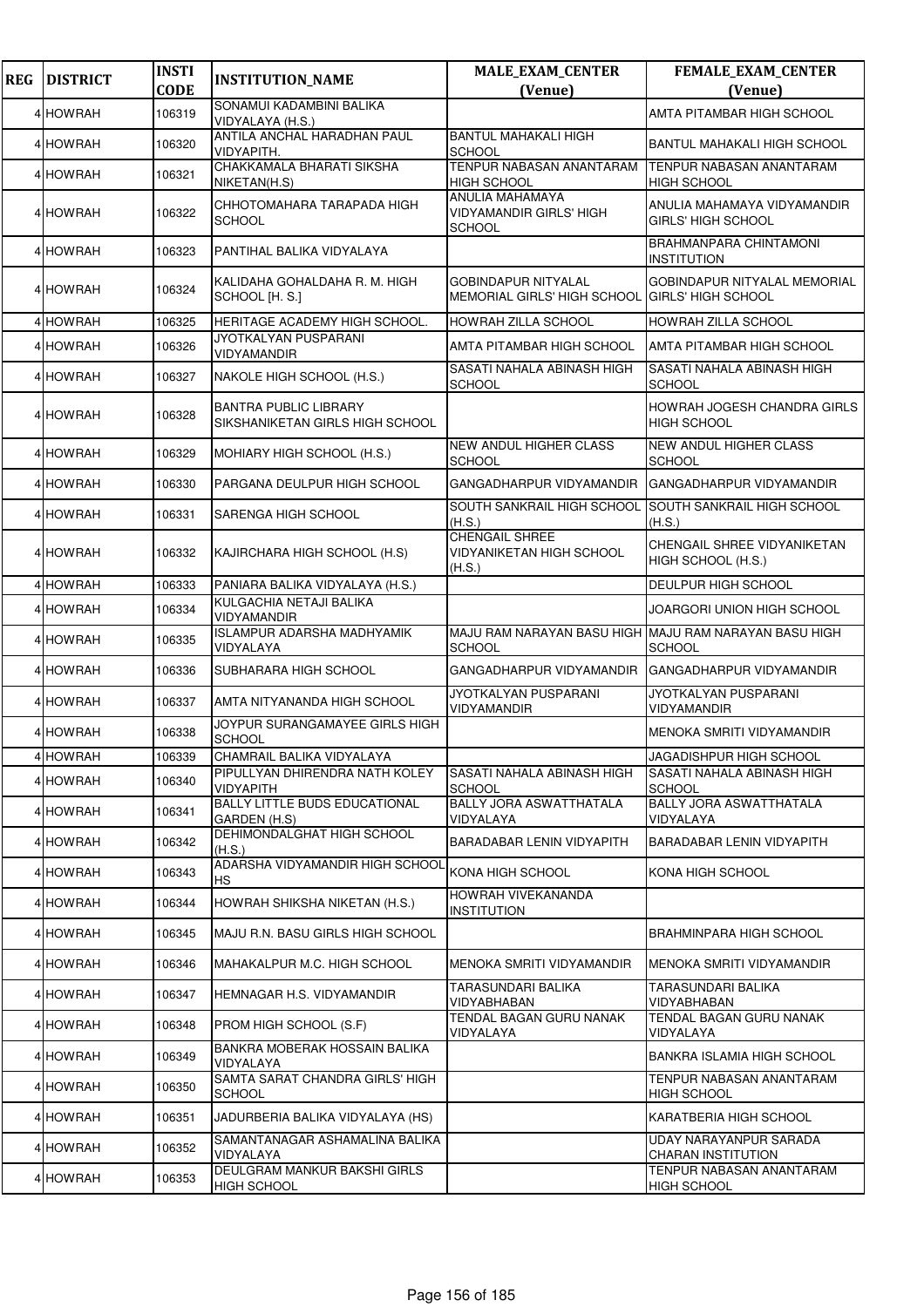| <b>REG</b> | <b>DISTRICT</b> | <b>INSTI</b><br><b>CODE</b> | <b>INSTITUTION_NAME</b>                                         | <b>MALE_EXAM_CENTER</b><br>(Venue)                                           | FEMALE_EXAM_CENTER<br>(Venue)                       |
|------------|-----------------|-----------------------------|-----------------------------------------------------------------|------------------------------------------------------------------------------|-----------------------------------------------------|
|            | 4 HOWRAH        | 106319                      | SONAMUI KADAMBINI BALIKA<br>VIDYALAYA (H.S.)                    |                                                                              | AMTA PITAMBAR HIGH SCHOOL                           |
|            | 4 HOWRAH        | 106320                      | ANTILA ANCHAL HARADHAN PAUL<br>VIDYAPITH.                       | <b>BANTUL MAHAKALI HIGH</b><br><b>SCHOOL</b>                                 | BANTUL MAHAKALI HIGH SCHOOL                         |
|            | 4 HOWRAH        | 106321                      | CHAKKAMALA BHARATI SIKSHA<br>NIKETAN(H.S)                       | TENPUR NABASAN ANANTARAM<br><b>HIGH SCHOOL</b>                               | TENPUR NABASAN ANANTARAM<br><b>HIGH SCHOOL</b>      |
|            | 4 HOWRAH        | 106322                      | CHHOTOMAHARA TARAPADA HIGH<br><b>SCHOOL</b>                     | <b>ANULIA MAHAMAYA</b><br><b>VIDYAMANDIR GIRLS' HIGH</b><br><b>SCHOOL</b>    | ANULIA MAHAMAYA VIDYAMANDIR<br>GIRLS' HIGH SCHOOL   |
|            | 4 HOWRAH        | 106323                      | PANTIHAL BALIKA VIDYALAYA                                       |                                                                              | <b>BRAHMANPARA CHINTAMONI</b><br><b>INSTITUTION</b> |
|            | 4 HOWRAH        | 106324                      | KALIDAHA GOHALDAHA R. M. HIGH<br>SCHOOL [H. S.]                 | <b>GOBINDAPUR NITYALAL</b><br>MEMORIAL GIRLS' HIGH SCHOOL GIRLS' HIGH SCHOOL | <b>GOBINDAPUR NITYALAL MEMORIAL</b>                 |
|            | 4 HOWRAH        | 106325                      | HERITAGE ACADEMY HIGH SCHOOL.                                   | <b>HOWRAH ZILLA SCHOOL</b>                                                   | HOWRAH ZILLA SCHOOL                                 |
|            | 4 HOWRAH        | 106326                      | <b>JYOTKALYAN PUSPARANI</b><br><b>VIDYAMANDIR</b>               | AMTA PITAMBAR HIGH SCHOOL                                                    | AMTA PITAMBAR HIGH SCHOOL                           |
|            | <b>4 HOWRAH</b> | 106327                      | NAKOLE HIGH SCHOOL (H.S.)                                       | SASATI NAHALA ABINASH HIGH<br><b>SCHOOL</b>                                  | SASATI NAHALA ABINASH HIGH<br><b>SCHOOL</b>         |
|            | 4 HOWRAH        | 106328                      | <b>BANTRA PUBLIC LIBRARY</b><br>SIKSHANIKETAN GIRLS HIGH SCHOOL |                                                                              | HOWRAH JOGESH CHANDRA GIRLS<br><b>HIGH SCHOOL</b>   |
|            | 4 HOWRAH        | 106329                      | MOHIARY HIGH SCHOOL (H.S.)                                      | <b>NEW ANDUL HIGHER CLASS</b><br><b>SCHOOL</b>                               | <b>NEW ANDUL HIGHER CLASS</b><br><b>SCHOOL</b>      |
|            | 4 HOWRAH        | 106330                      | PARGANA DEULPUR HIGH SCHOOL                                     | GANGADHARPUR VIDYAMANDIR                                                     | GANGADHARPUR VIDYAMANDIR                            |
|            | 4 HOWRAH        | 106331                      | SARENGA HIGH SCHOOL                                             | SOUTH SANKRAIL HIGH SCHOOL<br>(H.S.)                                         | SOUTH SANKRAIL HIGH SCHOOL<br>(H.S.)                |
|            | 4 HOWRAH        | 106332                      | KAJIRCHARA HIGH SCHOOL (H.S)                                    | <b>CHENGAIL SHREE</b><br><b>VIDYANIKETAN HIGH SCHOOL</b><br>(H.S.)           | CHENGAIL SHREE VIDYANIKETAN<br>HIGH SCHOOL (H.S.)   |
|            | <b>HOWRAH</b>   | 106333                      | PANIARA BALIKA VIDYALAYA (H.S.)                                 |                                                                              | DEULPUR HIGH SCHOOL                                 |
|            | 4 HOWRAH        | 106334                      | KULGACHIA NETAJI BALIKA<br>VIDYAMANDIR                          |                                                                              | JOARGORI UNION HIGH SCHOOL                          |
|            | 4 HOWRAH        | 106335                      | <b>ISLAMPUR ADARSHA MADHYAMIK</b><br>VIDYALAYA                  | MAJU RAM NARAYAN BASU HIGH MAJU RAM NARAYAN BASU HIGH<br><b>SCHOOL</b>       | <b>SCHOOL</b>                                       |
|            | 4 HOWRAH        | 106336                      | SUBHARARA HIGH SCHOOL                                           | GANGADHARPUR VIDYAMANDIR                                                     | GANGADHARPUR VIDYAMANDIR                            |
|            | 4 HOWRAH        | 106337                      | AMTA NITYANANDA HIGH SCHOOL                                     | JYOTKALYAN PUSPARANI<br>VIDYAMANDIR                                          | JYOTKALYAN PUSPARANI<br>VIDYAMANDIR                 |
|            | 4 HOWRAH        | 106338                      | JOYPUR SURANGAMAYEE GIRLS HIGH<br><b>SCHOOL</b>                 |                                                                              | <b>MENOKA SMRITI VIDYAMANDIR</b>                    |
|            | 4 HOWRAH        | 106339                      | CHAMRAIL BALIKA VIDYALAYA                                       | SASATI NAHALA ABINASH HIGH                                                   | JAGADISHPUR HIGH SCHOOL                             |
|            | 4 HOWRAH        | 106340                      | PIPULLYAN DHIRENDRA NATH KOLEY<br><b>VIDYAPITH</b>              | <b>SCHOOL</b>                                                                | SASATI NAHALA ABINASH HIGH<br><b>SCHOOL</b>         |
|            | 4 HOWRAH        | 106341                      | <b>BALLY LITTLE BUDS EDUCATIONAL</b><br>GARDEN (H.S)            | <b>BALLY JORA ASWATTHATALA</b><br>VIDYALAYA                                  | <b>BALLY JORA ASWATTHATALA</b><br>VIDYALAYA         |
|            | 4 HOWRAH        | 106342                      | DEHIMONDALGHAT HIGH SCHOOL<br>(H.S.)                            | BARADABAR LENIN VIDYAPITH                                                    | BARADABAR LENIN VIDYAPITH                           |
|            | 4 HOWRAH        | 106343                      | ADARSHA VIDYAMANDIR HIGH SCHOOL<br>НS                           | KONA HIGH SCHOOL                                                             | KONA HIGH SCHOOL                                    |
|            | 4 HOWRAH        | 106344                      | HOWRAH SHIKSHA NIKETAN (H.S.)                                   | <b>HOWRAH VIVEKANANDA</b><br><b>INSTITUTION</b>                              |                                                     |
|            | 4 HOWRAH        | 106345                      | MAJU R.N. BASU GIRLS HIGH SCHOOL                                |                                                                              | BRAHMINPARA HIGH SCHOOL                             |
|            | 4 HOWRAH        | 106346                      | MAHAKALPUR M.C. HIGH SCHOOL                                     | MENOKA SMRITI VIDYAMANDIR                                                    | MENOKA SMRITI VIDYAMANDIR                           |
|            | 4 HOWRAH        | 106347                      | HEMNAGAR H.S. VIDYAMANDIR                                       | TARASUNDARI BALIKA<br>VIDYABHABAN                                            | TARASUNDARI BALIKA<br>VIDYABHABAN                   |
|            | 4 HOWRAH        | 106348                      | PROM HIGH SCHOOL (S.F)                                          | TENDAL BAGAN GURU NANAK<br>VIDYALAYA                                         | TENDAL BAGAN GURU NANAK<br>VIDYALAYA                |
|            | 4 HOWRAH        | 106349                      | BANKRA MOBERAK HOSSAIN BALIKA<br>VIDYALAYA                      |                                                                              | BANKRA ISLAMIA HIGH SCHOOL                          |
|            | 4 HOWRAH        | 106350                      | SAMTA SARAT CHANDRA GIRLS' HIGH<br><b>SCHOOL</b>                |                                                                              | TENPUR NABASAN ANANTARAM<br><b>HIGH SCHOOL</b>      |
|            | 4 HOWRAH        | 106351                      | JADURBERIA BALIKA VIDYALAYA (HS)                                |                                                                              | KARATBERIA HIGH SCHOOL                              |
|            | 4 HOWRAH        | 106352                      | SAMANTANAGAR ASHAMALINA BALIKA<br>VIDYALAYA                     |                                                                              | UDAY NARAYANPUR SARADA<br><b>CHARAN INSTITUTION</b> |
|            | 4 HOWRAH        | 106353                      | DEULGRAM MANKUR BAKSHI GIRLS<br><b>HIGH SCHOOL</b>              |                                                                              | TENPUR NABASAN ANANTARAM<br><b>HIGH SCHOOL</b>      |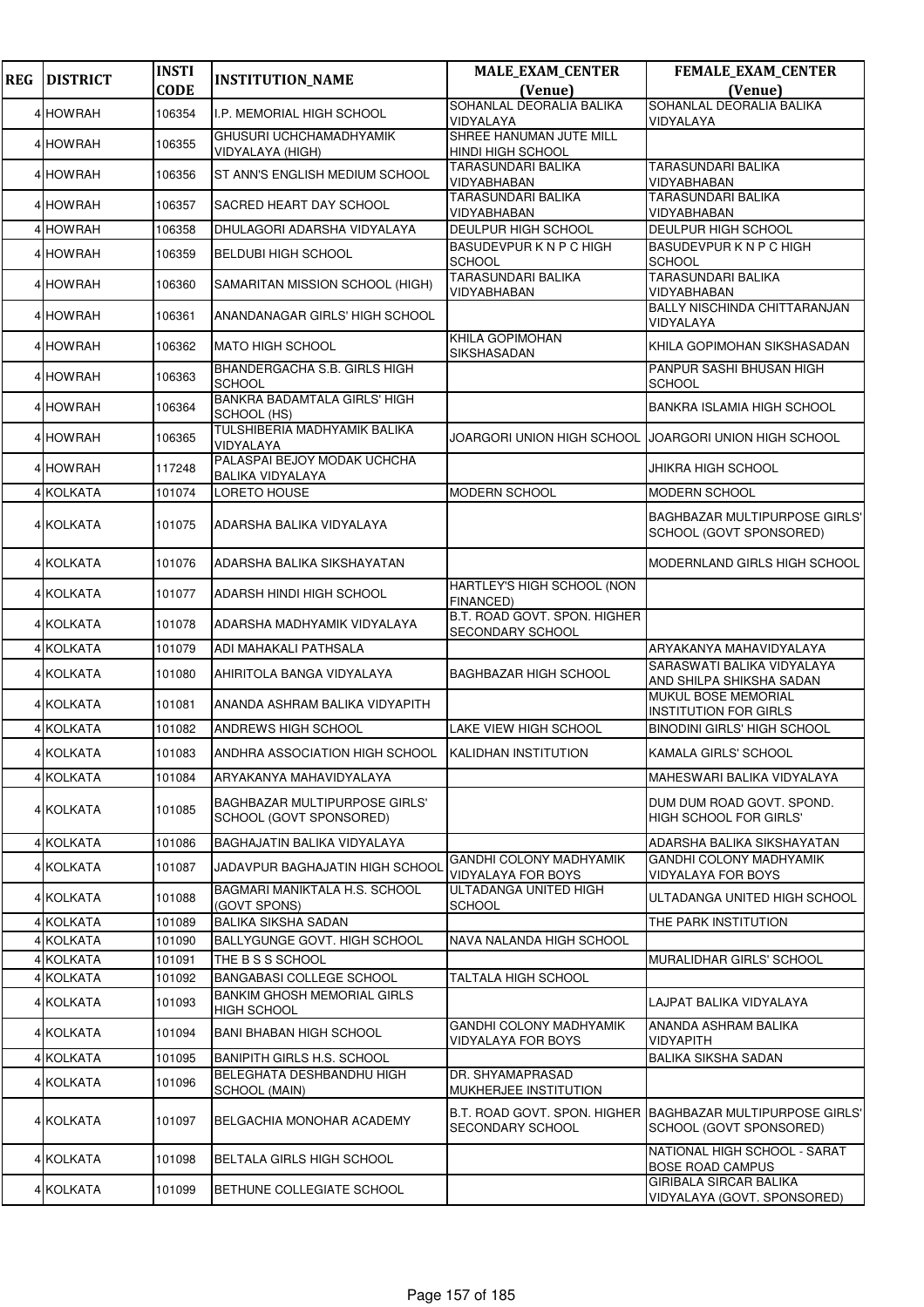| <b>REG</b> | <b>DISTRICT</b>        | <b>INSTI</b>     | <b>INSTITUTION_NAME</b>                                         | <b>MALE_EXAM_CENTER</b>                                     | <b>FEMALE_EXAM_CENTER</b>                                                              |
|------------|------------------------|------------------|-----------------------------------------------------------------|-------------------------------------------------------------|----------------------------------------------------------------------------------------|
|            |                        | <b>CODE</b>      |                                                                 | (Venue)                                                     | (Venue)                                                                                |
|            | 4 HOWRAH               | 106354           | <b>I.P. MEMORIAL HIGH SCHOOL</b>                                | SOHANLAL DEORALIA BALIKA<br>VIDYALAYA                       | SOHANLAL DEORALIA BALIKA<br>VIDYALAYA                                                  |
|            | 4 HOWRAH               | 106355           | GHUSURI UCHCHAMADHYAMIK<br>VIDYALAYA (HIGH)                     | SHREE HANUMAN JUTE MILL<br><b>HINDI HIGH SCHOOL</b>         |                                                                                        |
|            | 4 HOWRAH               | 106356           | ST ANN'S ENGLISH MEDIUM SCHOOL                                  | <b>TARASUNDARI BALIKA</b><br>VIDYABHABAN                    | <b>TARASUNDARI BALIKA</b><br>VIDYABHABAN                                               |
|            | 4 HOWRAH               | 106357           | SACRED HEART DAY SCHOOL                                         | <b>TARASUNDARI BALIKA</b><br>VIDYABHABAN                    | TARASUNDARI BALIKA<br>VIDYABHABAN                                                      |
|            | 4 HOWRAH               | 106358           | DHULAGORI ADARSHA VIDYALAYA                                     | <b>DEULPUR HIGH SCHOOL</b>                                  | DEULPUR HIGH SCHOOL                                                                    |
|            | 4 HOWRAH               | 106359           | <b>BELDUBI HIGH SCHOOL</b>                                      | <b>BASUDEVPURKNPCHIGH</b><br><b>SCHOOL</b>                  | <b>BASUDEVPURKNPCHIGH</b><br><b>SCHOOL</b>                                             |
|            | 4 HOWRAH               | 106360           | SAMARITAN MISSION SCHOOL (HIGH)                                 | <b>TARASUNDARI BALIKA</b><br>VIDYABHABAN                    | <b>TARASUNDARI BALIKA</b><br>VIDYABHABAN                                               |
|            | 4 HOWRAH               | 106361           | ANANDANAGAR GIRLS' HIGH SCHOOL                                  |                                                             | BALLY NISCHINDA CHITTARANJAN<br>VIDYALAYA                                              |
|            | 4 HOWRAH               | 106362           | <b>MATO HIGH SCHOOL</b>                                         | KHILA GOPIMOHAN<br>SIKSHASADAN                              | KHILA GOPIMOHAN SIKSHASADAN                                                            |
|            | 4 HOWRAH               | 106363           | <b>BHANDERGACHA S.B. GIRLS HIGH</b><br><b>SCHOOL</b>            |                                                             | PANPUR SASHI BHUSAN HIGH<br><b>SCHOOL</b>                                              |
|            | 4 HOWRAH               | 106364           | <b>BANKRA BADAMTALA GIRLS' HIGH</b><br>SCHOOL (HS)              |                                                             | BANKRA ISLAMIA HIGH SCHOOL                                                             |
|            | 4 HOWRAH               | 106365           | TULSHIBERIA MADHYAMIK BALIKA<br>VIDYALAYA                       | JOARGORI UNION HIGH SCHOOL                                  | JOARGORI UNION HIGH SCHOOL                                                             |
|            | 4 HOWRAH               | 117248           | PALASPAI BEJOY MODAK UCHCHA<br>BALIKA VIDYALAYA                 |                                                             | JHIKRA HIGH SCHOOL                                                                     |
|            | 4 KOLKATA              | 101074           | LORETO HOUSE                                                    | <b>MODERN SCHOOL</b>                                        | <b>MODERN SCHOOL</b>                                                                   |
|            | 4 KOLKATA              | 101075           | ADARSHA BALIKA VIDYALAYA                                        |                                                             | <b>BAGHBAZAR MULTIPURPOSE GIRLS'</b><br>SCHOOL (GOVT SPONSORED)                        |
|            | 4 KOLKATA              | 101076           | ADARSHA BALIKA SIKSHAYATAN                                      |                                                             | MODERNLAND GIRLS HIGH SCHOOL                                                           |
|            | 4 KOLKATA              | 101077           | ADARSH HINDI HIGH SCHOOL                                        | HARTLEY'S HIGH SCHOOL (NON<br><b>FINANCED)</b>              |                                                                                        |
|            | 4 KOLKATA              | 101078           | ADARSHA MADHYAMIK VIDYALAYA                                     | B.T. ROAD GOVT. SPON. HIGHER<br>SECONDARY SCHOOL            |                                                                                        |
|            | 4 KOLKATA              | 101079           | ADI MAHAKALI PATHSALA                                           |                                                             | ARYAKANYA MAHAVIDYALAYA                                                                |
|            | 4 KOLKATA              | 101080           | AHIRITOLA BANGA VIDYALAYA                                       | <b>BAGHBAZAR HIGH SCHOOL</b>                                | SARASWATI BALIKA VIDYALAYA<br>AND SHILPA SHIKSHA SADAN                                 |
|            | 4 KOLKATA              | 101081           | ANANDA ASHRAM BALIKA VIDYAPITH                                  |                                                             | MUKUL BOSE MEMORIAL<br><b>INSTITUTION FOR GIRLS</b>                                    |
|            | 4 KOLKATA              | 101082           | ANDREWS HIGH SCHOOL                                             | <b>LAKE VIEW HIGH SCHOOL</b>                                | <b>BINODINI GIRLS' HIGH SCHOOL</b>                                                     |
|            | <b>4 KOLKATA</b>       | 101083           | ANDHRA ASSOCIATION HIGH SCHOOL                                  | KALIDHAN INSTITUTION                                        | <b>KAMALA GIRLS' SCHOOL</b>                                                            |
|            | 4 KOLKATA              | 101084           | ARYAKANYA MAHAVIDYALAYA                                         |                                                             | MAHESWARI BALIKA VIDYALAYA                                                             |
|            | 4 KOLKATA              | 101085           | <b>BAGHBAZAR MULTIPURPOSE GIRLS'</b><br>SCHOOL (GOVT SPONSORED) |                                                             | DUM DUM ROAD GOVT. SPOND.<br><b>HIGH SCHOOL FOR GIRLS'</b>                             |
|            | 4 KOLKATA              | 101086           | BAGHAJATIN BALIKA VIDYALAYA                                     |                                                             | ADARSHA BALIKA SIKSHAYATAN                                                             |
|            | 4 KOLKATA              | 101087           | <b>JADAVPUR BAGHAJATIN HIGH SCHOOL</b>                          | <b>GANDHI COLONY MADHYAMIK</b><br><b>VIDYALAYA FOR BOYS</b> | <b>GANDHI COLONY MADHYAMIK</b><br>VIDYALAYA FOR BOYS                                   |
|            | 4 KOLKATA              | 101088           | BAGMARI MANIKTALA H.S. SCHOOL<br>(GOVT SPONS)                   | ULTADANGA UNITED HIGH<br><b>SCHOOL</b>                      | ULTADANGA UNITED HIGH SCHOOL                                                           |
|            | <b>4 KOLKATA</b>       | 101089           | <b>BALIKA SIKSHA SADAN</b>                                      |                                                             | THE PARK INSTITUTION                                                                   |
|            | 4 KOLKATA              | 101090           | <b>BALLYGUNGE GOVT. HIGH SCHOOL</b>                             | NAVA NALANDA HIGH SCHOOL                                    |                                                                                        |
|            | 4 KOLKATA              | 101091           | THE B S S SCHOOL<br><b>BANGABASI COLLEGE SCHOOL</b>             |                                                             | MURALIDHAR GIRLS' SCHOOL                                                               |
|            | 4 KOLKATA<br>4 KOLKATA | 101092<br>101093 | <b>BANKIM GHOSH MEMORIAL GIRLS</b>                              | TALTALA HIGH SCHOOL                                         | LAJPAT BALIKA VIDYALAYA                                                                |
|            | 4 KOLKATA              | 101094           | <b>HIGH SCHOOL</b><br><b>BANI BHABAN HIGH SCHOOL</b>            | <b>GANDHI COLONY MADHYAMIK</b>                              | ANANDA ASHRAM BALIKA                                                                   |
|            | 4 KOLKATA              | 101095           | <b>BANIPITH GIRLS H.S. SCHOOL</b>                               | VIDYALAYA FOR BOYS                                          | VIDYAPITH<br><b>BALIKA SIKSHA SADAN</b>                                                |
|            | 4 KOLKATA              | 101096           | BELEGHATA DESHBANDHU HIGH<br>SCHOOL (MAIN)                      | DR. SHYAMAPRASAD<br>MUKHERJEE INSTITUTION                   |                                                                                        |
|            | 4 KOLKATA              | 101097           | BELGACHIA MONOHAR ACADEMY                                       | SECONDARY SCHOOL                                            | B.T. ROAD GOVT. SPON. HIGHER  BAGHBAZAR MULTIPURPOSE GIRLS'<br>SCHOOL (GOVT SPONSORED) |
|            | 4 KOLKATA              | 101098           | <b>BELTALA GIRLS HIGH SCHOOL</b>                                |                                                             | NATIONAL HIGH SCHOOL - SARAT<br><b>BOSE ROAD CAMPUS</b>                                |
|            | 4 KOLKATA              | 101099           | BETHUNE COLLEGIATE SCHOOL                                       |                                                             | <b>GIRIBALA SIRCAR BALIKA</b><br>VIDYALAYA (GOVT. SPONSORED)                           |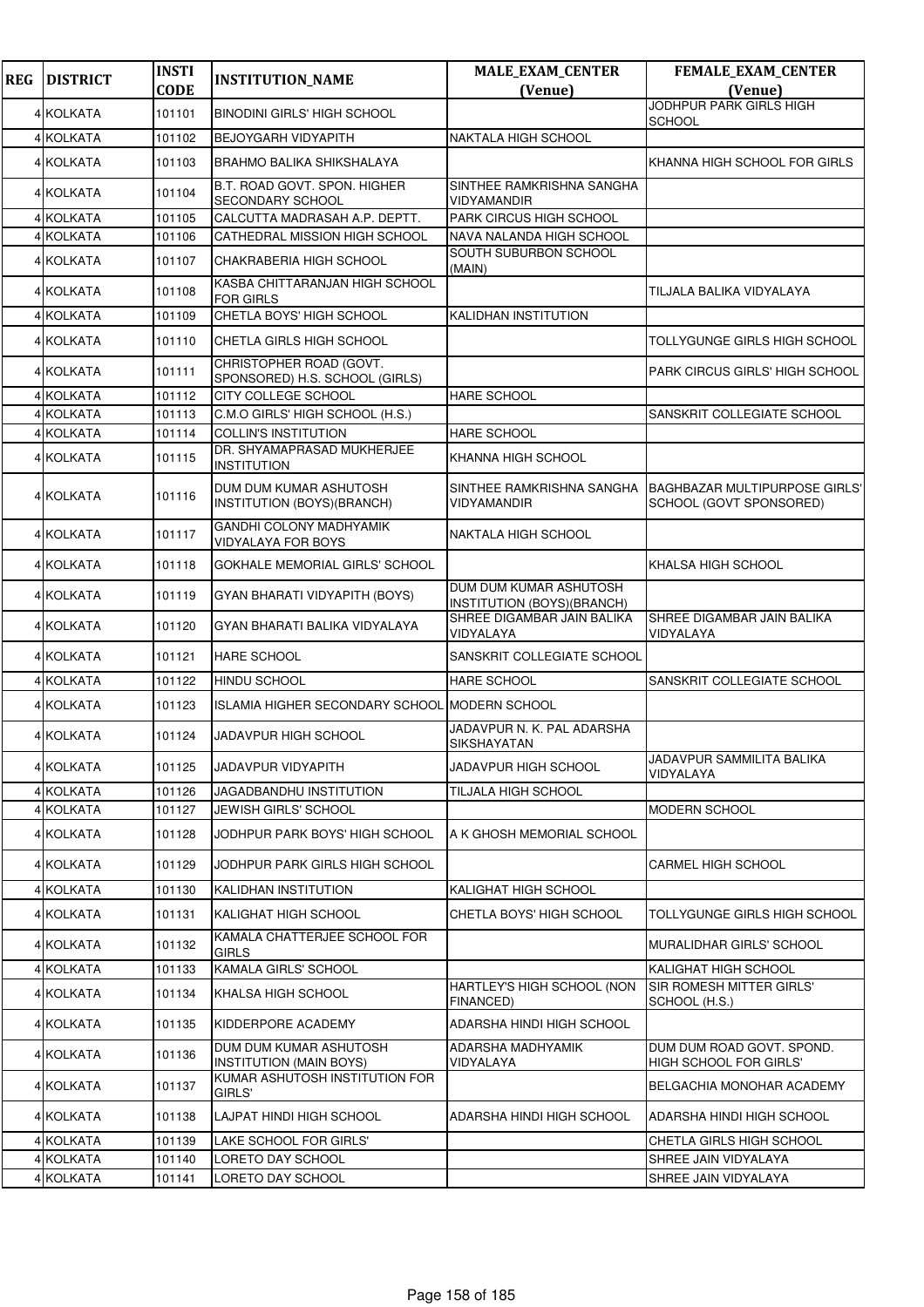| <b>REG</b> | <b>DISTRICT</b>  | <b>INSTI</b><br><b>CODE</b> | <b>INSTITUTION_NAME</b>                                     | <b>MALE_EXAM_CENTER</b><br>(Venue)                   | FEMALE_EXAM_CENTER<br>(Venue)                                   |
|------------|------------------|-----------------------------|-------------------------------------------------------------|------------------------------------------------------|-----------------------------------------------------------------|
|            |                  | 101101                      |                                                             |                                                      | JODHPUR PARK GIRLS HIGH                                         |
|            | 4 KOLKATA        |                             | <b>BINODINI GIRLS' HIGH SCHOOL</b>                          |                                                      | <b>SCHOOL</b>                                                   |
|            | 4 KOLKATA        | 101102                      | BEJOYGARH VIDYAPITH                                         | NAKTALA HIGH SCHOOL                                  |                                                                 |
|            | 4 KOLKATA        | 101103                      | BRAHMO BALIKA SHIKSHALAYA                                   |                                                      | KHANNA HIGH SCHOOL FOR GIRLS                                    |
|            | 4 KOLKATA        | 101104                      | B.T. ROAD GOVT. SPON. HIGHER<br>SECONDARY SCHOOL            | SINTHEE RAMKRISHNA SANGHA<br>VIDYAMANDIR             |                                                                 |
|            | 4 KOLKATA        | 101105                      | CALCUTTA MADRASAH A.P. DEPTT.                               | PARK CIRCUS HIGH SCHOOL                              |                                                                 |
|            | 4 KOLKATA        | 101106                      | CATHEDRAL MISSION HIGH SCHOOL                               | NAVA NALANDA HIGH SCHOOL                             |                                                                 |
|            | 4 KOLKATA        | 101107                      | CHAKRABERIA HIGH SCHOOL                                     | SOUTH SUBURBON SCHOOL<br>(MAIN)                      |                                                                 |
|            | 4 KOLKATA        | 101108                      | KASBA CHITTARANJAN HIGH SCHOOL<br>FOR GIRLS                 |                                                      | TILJALA BALIKA VIDYALAYA                                        |
|            | 4 KOLKATA        | 101109                      | CHETLA BOYS' HIGH SCHOOL                                    | KALIDHAN INSTITUTION                                 |                                                                 |
|            | 4 KOLKATA        | 101110                      | CHETLA GIRLS HIGH SCHOOL                                    |                                                      | TOLLYGUNGE GIRLS HIGH SCHOOL                                    |
|            | 4 KOLKATA        | 101111                      | CHRISTOPHER ROAD (GOVT.<br>SPONSORED) H.S. SCHOOL (GIRLS)   |                                                      | <b>PARK CIRCUS GIRLS' HIGH SCHOOL</b>                           |
|            | 4 KOLKATA        | 101112                      | CITY COLLEGE SCHOOL                                         | HARE SCHOOL                                          |                                                                 |
|            | 4 KOLKATA        | 101113                      | C.M.O GIRLS' HIGH SCHOOL (H.S.)                             |                                                      | SANSKRIT COLLEGIATE SCHOOL                                      |
|            | 4 KOLKATA        | 101114                      | <b>COLLIN'S INSTITUTION</b>                                 | <b>HARE SCHOOL</b>                                   |                                                                 |
|            | 4 KOLKATA        | 101115                      | DR. SHYAMAPRASAD MUKHERJEE<br><b>INSTITUTION</b>            | KHANNA HIGH SCHOOL                                   |                                                                 |
|            | <b>4 KOLKATA</b> | 101116                      | DUM DUM KUMAR ASHUTOSH<br>INSTITUTION (BOYS)(BRANCH)        | SINTHEE RAMKRISHNA SANGHA<br>VIDYAMANDIR             | <b>BAGHBAZAR MULTIPURPOSE GIRLS'</b><br>SCHOOL (GOVT SPONSORED) |
|            | 4 KOLKATA        | 101117                      | <b>GANDHI COLONY MADHYAMIK</b><br><b>VIDYALAYA FOR BOYS</b> | NAKTALA HIGH SCHOOL                                  |                                                                 |
|            | 4 KOLKATA        | 101118                      | GOKHALE MEMORIAL GIRLS' SCHOOL                              |                                                      | KHALSA HIGH SCHOOL                                              |
|            | 4 KOLKATA        | 101119                      | GYAN BHARATI VIDYAPITH (BOYS)                               | DUM DUM KUMAR ASHUTOSH<br>INSTITUTION (BOYS)(BRANCH) |                                                                 |
|            | 4 KOLKATA        | 101120                      | GYAN BHARATI BALIKA VIDYALAYA                               | SHREE DIGAMBAR JAIN BALIKA<br>VIDYALAYA              | SHREE DIGAMBAR JAIN BALIKA<br>VIDYALAYA                         |
|            | 4 KOLKATA        | 101121                      | <b>HARE SCHOOL</b>                                          | SANSKRIT COLLEGIATE SCHOOL                           |                                                                 |
|            | 4 KOLKATA        | 101122                      | <b>HINDU SCHOOL</b>                                         | <b>HARE SCHOOL</b>                                   | SANSKRIT COLLEGIATE SCHOOL                                      |
|            | 4 KOLKATA        | 101123                      | ISLAMIA HIGHER SECONDARY SCHOOL MODERN SCHOOL               |                                                      |                                                                 |
|            | 4 KOLKATA        | 101124                      | <b>JADAVPUR HIGH SCHOOL</b>                                 | JADAVPUR N. K. PAL ADARSHA<br>SIKSHAYATAN            |                                                                 |
|            | 4 KOLKATA        | 101125                      | <b>JADAVPUR VIDYAPITH</b>                                   | JADAVPUR HIGH SCHOOL                                 | JADAVPUR SAMMILITA BALIKA<br>VIDYALAYA                          |
|            | 4 KOLKATA        | 101126                      | JAGADBANDHU INSTITUTION                                     | TILJALA HIGH SCHOOL                                  |                                                                 |
|            | 4 KOLKATA        | 101127                      | <b>JEWISH GIRLS' SCHOOL</b>                                 |                                                      | <b>MODERN SCHOOL</b>                                            |
|            | 4 KOLKATA        | 101128                      | JODHPUR PARK BOYS' HIGH SCHOOL                              | A K GHOSH MEMORIAL SCHOOL                            |                                                                 |
|            | <b>4 KOLKATA</b> | 101129                      | JODHPUR PARK GIRLS HIGH SCHOOL                              |                                                      | <b>CARMEL HIGH SCHOOL</b>                                       |
|            | 4 KOLKATA        | 101130                      | KALIDHAN INSTITUTION                                        | KALIGHAT HIGH SCHOOL                                 |                                                                 |
|            | 4 KOLKATA        | 101131                      | KALIGHAT HIGH SCHOOL                                        | CHETLA BOYS' HIGH SCHOOL                             | TOLLYGUNGE GIRLS HIGH SCHOOL                                    |
|            | 4 KOLKATA        | 101132                      | KAMALA CHATTERJEE SCHOOL FOR<br><b>GIRLS</b>                |                                                      | MURALIDHAR GIRLS' SCHOOL                                        |
|            | 4 KOLKATA        | 101133                      | KAMALA GIRLS' SCHOOL                                        |                                                      | KALIGHAT HIGH SCHOOL                                            |
|            | 4 KOLKATA        | 101134                      | KHALSA HIGH SCHOOL                                          | HARTLEY'S HIGH SCHOOL (NON<br>FINANCED)              | SIR ROMESH MITTER GIRLS'<br>SCHOOL (H.S.)                       |
|            | 4 KOLKATA        | 101135                      | KIDDERPORE ACADEMY                                          | ADARSHA HINDI HIGH SCHOOL                            |                                                                 |
|            | 4 KOLKATA        | 101136                      | DUM DUM KUMAR ASHUTOSH<br><b>INSTITUTION (MAIN BOYS)</b>    | ADARSHA MADHYAMIK<br>VIDYALAYA                       | DUM DUM ROAD GOVT. SPOND.<br>HIGH SCHOOL FOR GIRLS'             |
|            | 4 KOLKATA        | 101137                      | KUMAR ASHUTOSH INSTITUTION FOR<br>GIRLS'                    |                                                      | BELGACHIA MONOHAR ACADEMY                                       |
|            | 4 KOLKATA        | 101138                      | LAJPAT HINDI HIGH SCHOOL                                    | ADARSHA HINDI HIGH SCHOOL                            | ADARSHA HINDI HIGH SCHOOL                                       |
|            | 4 KOLKATA        | 101139                      | LAKE SCHOOL FOR GIRLS'                                      |                                                      | CHETLA GIRLS HIGH SCHOOL                                        |
|            | 4 KOLKATA        | 101140                      | LORETO DAY SCHOOL                                           |                                                      | SHREE JAIN VIDYALAYA                                            |
|            | 4 KOLKATA        | 101141                      | LORETO DAY SCHOOL                                           |                                                      | SHREE JAIN VIDYALAYA                                            |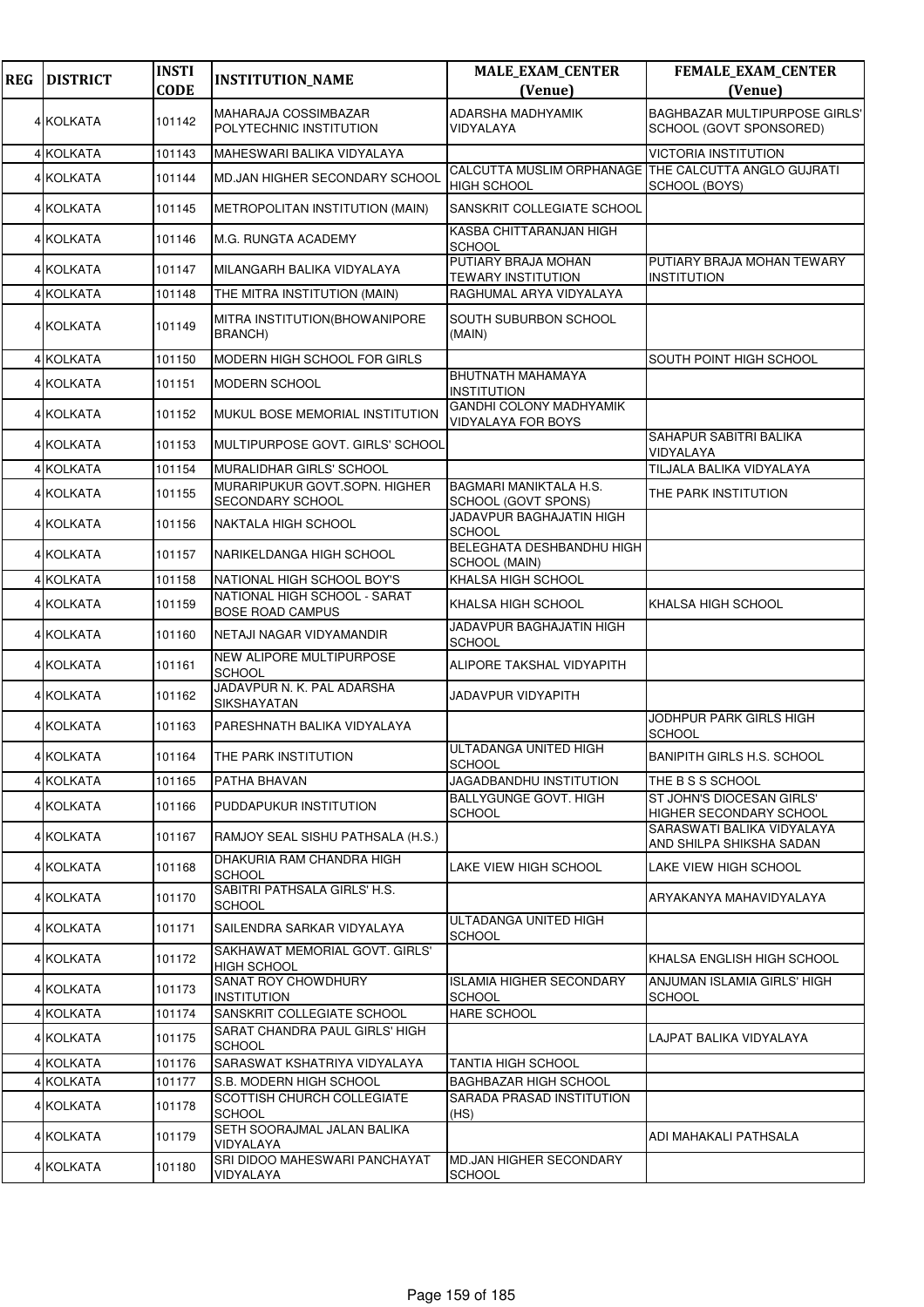| <b>REG</b> | <b>DISTRICT</b>  | <b>INSTI</b> | <b>INSTITUTION_NAME</b>                                 | <b>MALE_EXAM_CENTER</b>                                                    | <b>FEMALE_EXAM_CENTER</b>                                       |
|------------|------------------|--------------|---------------------------------------------------------|----------------------------------------------------------------------------|-----------------------------------------------------------------|
|            |                  | <b>CODE</b>  |                                                         | (Venue)                                                                    | (Venue)                                                         |
|            | 4 KOLKATA        | 101142       | MAHARAJA COSSIMBAZAR<br>POLYTECHNIC INSTITUTION         | ADARSHA MADHYAMIK<br>VIDYALAYA                                             | <b>BAGHBAZAR MULTIPURPOSE GIRLS'</b><br>SCHOOL (GOVT SPONSORED) |
|            | 4 KOLKATA        | 101143       | MAHESWARI BALIKA VIDYALAYA                              |                                                                            | <b>VICTORIA INSTITUTION</b>                                     |
|            | 4 KOLKATA        | 101144       | MD.JAN HIGHER SECONDARY SCHOOL                          | CALCUTTA MUSLIM ORPHANAGE THE CALCUTTA ANGLO GUJRATI<br><b>HIGH SCHOOL</b> | SCHOOL (BOYS)                                                   |
|            | 4 KOLKATA        | 101145       | METROPOLITAN INSTITUTION (MAIN)                         | SANSKRIT COLLEGIATE SCHOOL                                                 |                                                                 |
|            | 4 KOLKATA        | 101146       | M.G. RUNGTA ACADEMY                                     | KASBA CHITTARANJAN HIGH<br><b>SCHOOL</b>                                   |                                                                 |
|            | 4 KOLKATA        | 101147       | MILANGARH BALIKA VIDYALAYA                              | PUTIARY BRAJA MOHAN<br>TEWARY INSTITUTION                                  | PUTIARY BRAJA MOHAN TEWARY<br><b>INSTITUTION</b>                |
|            | 4 KOLKATA        | 101148       | THE MITRA INSTITUTION (MAIN)                            | RAGHUMAL ARYA VIDYALAYA                                                    |                                                                 |
|            | 4 KOLKATA        | 101149       | MITRA INSTITUTION(BHOWANIPORE<br>BRANCH)                | SOUTH SUBURBON SCHOOL<br>(MAIN)                                            |                                                                 |
|            | 4 KOLKATA        | 101150       | MODERN HIGH SCHOOL FOR GIRLS                            |                                                                            | SOUTH POINT HIGH SCHOOL                                         |
|            | 4 KOLKATA        | 101151       | <b>MODERN SCHOOL</b>                                    | BHUTNATH MAHAMAYA<br><b>INSTITUTION</b>                                    |                                                                 |
|            | 4 KOLKATA        | 101152       | MUKUL BOSE MEMORIAL INSTITUTION                         | <b>GANDHI COLONY MADHYAMIK</b><br>VIDYALAYA FOR BOYS                       |                                                                 |
|            | <b>4 KOLKATA</b> | 101153       | MULTIPURPOSE GOVT. GIRLS' SCHOOL                        |                                                                            | SAHAPUR SABITRI BALIKA<br>VIDYALAYA                             |
|            | 4 KOLKATA        | 101154       | <b>MURALIDHAR GIRLS' SCHOOL</b>                         |                                                                            | TILJALA BALIKA VIDYALAYA                                        |
|            | 4 KOLKATA        | 101155       | MURARIPUKUR GOVT.SOPN. HIGHER<br>SECONDARY SCHOOL       | <b>BAGMARI MANIKTALA H.S.</b><br>SCHOOL (GOVT SPONS)                       | THE PARK INSTITUTION                                            |
|            | 4 KOLKATA        | 101156       | NAKTALA HIGH SCHOOL                                     | JADAVPUR BAGHAJATIN HIGH<br><b>SCHOOL</b>                                  |                                                                 |
|            | 4 KOLKATA        | 101157       | NARIKELDANGA HIGH SCHOOL                                | BELEGHATA DESHBANDHU HIGH<br>SCHOOL (MAIN)                                 |                                                                 |
|            | 4 KOLKATA        | 101158       | NATIONAL HIGH SCHOOL BOY'S                              | KHALSA HIGH SCHOOL                                                         |                                                                 |
|            | 4 KOLKATA        | 101159       | NATIONAL HIGH SCHOOL - SARAT<br><b>BOSE ROAD CAMPUS</b> | KHALSA HIGH SCHOOL                                                         | KHALSA HIGH SCHOOL                                              |
|            | 4 KOLKATA        | 101160       | NETAJI NAGAR VIDYAMANDIR                                | JADAVPUR BAGHAJATIN HIGH<br><b>SCHOOL</b>                                  |                                                                 |
|            | 4 KOLKATA        | 101161       | NEW ALIPORE MULTIPURPOSE<br><b>SCHOOL</b>               | ALIPORE TAKSHAL VIDYAPITH                                                  |                                                                 |
|            | 4 KOLKATA        | 101162       | JADAVPUR N. K. PAL ADARSHA<br>SIKSHAYATAN               | JADAVPUR VIDYAPITH                                                         |                                                                 |
|            | 4 KOLKATA        | 101163       | PARESHNATH BALIKA VIDYALAYA                             |                                                                            | JODHPUR PARK GIRLS HIGH<br><b>SCHOOL</b>                        |
|            | 4 KOLKATA        | 101164       | THE PARK INSTITUTION                                    | ULTADANGA UNITED HIGH<br><b>SCHOOL</b>                                     | <b>BANIPITH GIRLS H.S. SCHOOL</b>                               |
|            | 4 KOLKATA        | 101165       | PATHA BHAVAN                                            | JAGADBANDHU INSTITUTION                                                    | THE B S S SCHOOL                                                |
|            | 4 KOLKATA        | 101166       | PUDDAPUKUR INSTITUTION                                  | <b>BALLYGUNGE GOVT. HIGH</b><br>SCHOOL                                     | ST JOHN'S DIOCESAN GIRLS'<br>HIGHER SECONDARY SCHOOL            |
|            | 4 KOLKATA        | 101167       | RAMJOY SEAL SISHU PATHSALA (H.S.)                       |                                                                            | SARASWATI BALIKA VIDYALAYA<br>AND SHILPA SHIKSHA SADAN          |
|            | 4 KOLKATA        | 101168       | DHAKURIA RAM CHANDRA HIGH<br><b>SCHOOL</b>              | LAKE VIEW HIGH SCHOOL                                                      | LAKE VIEW HIGH SCHOOL                                           |
|            | 4 KOLKATA        | 101170       | SABITRI PATHSALA GIRLS' H.S.<br><b>SCHOOL</b>           |                                                                            | ARYAKANYA MAHAVIDYALAYA                                         |
|            | 4 KOLKATA        | 101171       | SAILENDRA SARKAR VIDYALAYA                              | ULTADANGA UNITED HIGH<br>SCHOOL                                            |                                                                 |
|            | 4 KOLKATA        | 101172       | SAKHAWAT MEMORIAL GOVT. GIRLS'<br><b>HIGH SCHOOL</b>    |                                                                            | KHALSA ENGLISH HIGH SCHOOL                                      |
|            | 4 KOLKATA        | 101173       | SANAT ROY CHOWDHURY<br><b>INSTITUTION</b>               | <b>ISLAMIA HIGHER SECONDARY</b><br><b>SCHOOL</b>                           | ANJUMAN ISLAMIA GIRLS' HIGH<br><b>SCHOOL</b>                    |
|            | 4 KOLKATA        | 101174       | SANSKRIT COLLEGIATE SCHOOL                              | <b>HARE SCHOOL</b>                                                         |                                                                 |
|            | 4 KOLKATA        | 101175       | SARAT CHANDRA PAUL GIRLS' HIGH<br><b>SCHOOL</b>         |                                                                            | LAJPAT BALIKA VIDYALAYA                                         |
|            | 4 KOLKATA        | 101176       | SARASWAT KSHATRIYA VIDYALAYA                            | TANTIA HIGH SCHOOL                                                         |                                                                 |
|            | 4 KOLKATA        | 101177       | S.B. MODERN HIGH SCHOOL                                 | <b>BAGHBAZAR HIGH SCHOOL</b>                                               |                                                                 |
|            | 4 KOLKATA        | 101178       | SCOTTISH CHURCH COLLEGIATE<br>SCHOOL                    | SARADA PRASAD INSTITUTION<br>(HS)                                          |                                                                 |
|            | 4 KOLKATA        | 101179       | SETH SOORAJMAL JALAN BALIKA<br>VIDYALAYA                |                                                                            | ADI MAHAKALI PATHSALA                                           |
|            | 4 KOLKATA        | 101180       | SRI DIDOO MAHESWARI PANCHAYAT<br>VIDYALAYA              | MD.JAN HIGHER SECONDARY<br><b>SCHOOL</b>                                   |                                                                 |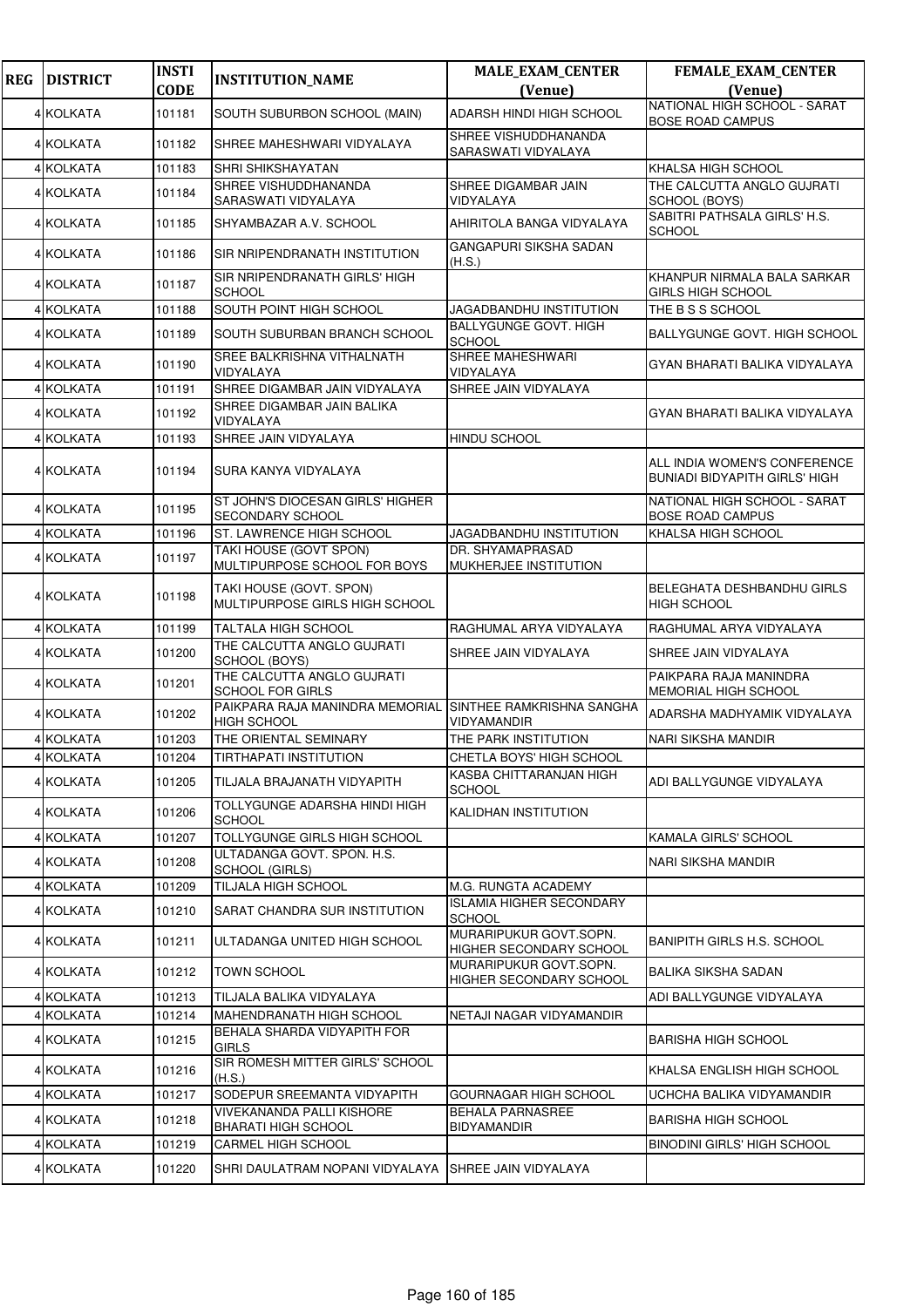| <b>REG</b> | <b>DISTRICT</b> | <b>INSTI</b> | <b>INSTITUTION_NAME</b>                                   | <b>MALE_EXAM_CENTER</b>                           | FEMALE_EXAM_CENTER                                                   |
|------------|-----------------|--------------|-----------------------------------------------------------|---------------------------------------------------|----------------------------------------------------------------------|
|            |                 | <b>CODE</b>  |                                                           | (Venue)                                           | (Venue)<br>NATIONAL HIGH SCHOOL - SARAT                              |
|            | 4 KOLKATA       | 101181       | SOUTH SUBURBON SCHOOL (MAIN)                              | ADARSH HINDI HIGH SCHOOL                          | <b>BOSE ROAD CAMPUS</b>                                              |
|            | 4 KOLKATA       | 101182       | SHREE MAHESHWARI VIDYALAYA                                | SHREE VISHUDDHANANDA<br>SARASWATI VIDYALAYA       |                                                                      |
|            | 4 KOLKATA       | 101183       | SHRI SHIKSHAYATAN                                         |                                                   | KHALSA HIGH SCHOOL                                                   |
|            | 4 KOLKATA       | 101184       | SHREE VISHUDDHANANDA<br>SARASWATI VIDYALAYA               | SHREE DIGAMBAR JAIN<br>VIDYALAYA                  | THE CALCUTTA ANGLO GUJRATI<br>SCHOOL (BOYS)                          |
|            | 4 KOLKATA       | 101185       | SHYAMBAZAR A.V. SCHOOL                                    | AHIRITOLA BANGA VIDYALAYA                         | SABITRI PATHSALA GIRLS' H.S.<br><b>SCHOOL</b>                        |
|            | 4 KOLKATA       | 101186       | SIR NRIPENDRANATH INSTITUTION                             | <b>GANGAPURI SIKSHA SADAN</b><br>(H.S.)           |                                                                      |
|            | 4 KOLKATA       | 101187       | SIR NRIPENDRANATH GIRLS' HIGH<br><b>SCHOOL</b>            |                                                   | KHANPUR NIRMALA BALA SARKAR<br>GIRLS HIGH SCHOOL                     |
|            | 4 KOLKATA       | 101188       | SOUTH POINT HIGH SCHOOL                                   | JAGADBANDHU INSTITUTION                           | THE B S S SCHOOL                                                     |
|            | 4 KOLKATA       | 101189       | SOUTH SUBURBAN BRANCH SCHOOL                              | <b>BALLYGUNGE GOVT. HIGH</b><br>SCHOOL            | BALLYGUNGE GOVT. HIGH SCHOOL                                         |
|            | 4 KOLKATA       | 101190       | SREE BALKRISHNA VITHALNATH<br>VIDYALAYA                   | SHREE MAHESHWARI<br>VIDYALAYA                     | GYAN BHARATI BALIKA VIDYALAYA                                        |
|            | 4 KOLKATA       | 101191       | SHREE DIGAMBAR JAIN VIDYALAYA                             | SHREE JAIN VIDYALAYA                              |                                                                      |
|            | 4 KOLKATA       | 101192       | SHREE DIGAMBAR JAIN BALIKA<br>VIDYALAYA                   |                                                   | GYAN BHARATI BALIKA VIDYALAYA                                        |
|            | 4 KOLKATA       | 101193       | SHREE JAIN VIDYALAYA                                      | <b>HINDU SCHOOL</b>                               |                                                                      |
|            | 4 KOLKATA       | 101194       | SURA KANYA VIDYALAYA                                      |                                                   | ALL INDIA WOMEN'S CONFERENCE<br><b>BUNIADI BIDYAPITH GIRLS' HIGH</b> |
|            | 4 KOLKATA       | 101195       | ST JOHN'S DIOCESAN GIRLS' HIGHER<br>SECONDARY SCHOOL      |                                                   | NATIONAL HIGH SCHOOL - SARAT<br><b>BOSE ROAD CAMPUS</b>              |
|            | 4 KOLKATA       | 101196       | ST. LAWRENCE HIGH SCHOOL                                  | JAGADBANDHU INSTITUTION                           | KHALSA HIGH SCHOOL                                                   |
|            | 4 KOLKATA       | 101197       | TAKI HOUSE (GOVT SPON)<br>MULTIPURPOSE SCHOOL FOR BOYS    | DR. SHYAMAPRASAD<br>MUKHERJEE INSTITUTION         |                                                                      |
|            | 4 KOLKATA       | 101198       | TAKI HOUSE (GOVT. SPON)<br>MULTIPURPOSE GIRLS HIGH SCHOOL |                                                   | BELEGHATA DESHBANDHU GIRLS<br><b>HIGH SCHOOL</b>                     |
|            | 4 KOLKATA       | 101199       | <b>TALTALA HIGH SCHOOL</b>                                | RAGHUMAL ARYA VIDYALAYA                           | RAGHUMAL ARYA VIDYALAYA                                              |
|            | 4 KOLKATA       | 101200       | THE CALCUTTA ANGLO GUJRATI<br>SCHOOL (BOYS)               | SHREE JAIN VIDYALAYA                              | SHREE JAIN VIDYALAYA                                                 |
|            | 4 KOLKATA       | 101201       | THE CALCUTTA ANGLO GUJRATI<br>SCHOOL FOR GIRLS            |                                                   | PAIKPARA RAJA MANINDRA<br>MEMORIAL HIGH SCHOOL                       |
|            | 4 KOLKATA       | 101202       | PAIKPARA RAJA MANINDRA MEMORIAL<br><b>HIGH SCHOOL</b>     | SINTHEE RAMKRISHNA SANGHA<br>VIDYAMANDIR          | ADARSHA MADHYAMIK VIDYALAYA                                          |
|            | 4 KOLKATA       | 101203       | THE ORIENTAL SEMINARY                                     | THE PARK INSTITUTION                              | NARI SIKSHA MANDIR                                                   |
|            | 4 KOLKATA       | 101204       | TIRTHAPATI INSTITUTION                                    | CHETLA BOYS' HIGH SCHOOL                          |                                                                      |
|            | 4 KOLKATA       | 101205       | TILJALA BRAJANATH VIDYAPITH                               | KASBA CHITTARANJAN HIGH<br><b>SCHOOL</b>          | ADI BALLYGUNGE VIDYALAYA                                             |
|            | 4 KOLKATA       | 101206       | TOLLYGUNGE ADARSHA HINDI HIGH<br><b>SCHOOL</b>            | <b>KALIDHAN INSTITUTION</b>                       |                                                                      |
|            | 4 KOLKATA       | 101207       | <b>TOLLYGUNGE GIRLS HIGH SCHOOL</b>                       |                                                   | KAMALA GIRLS' SCHOOL                                                 |
|            | 4 KOLKATA       | 101208       | ULTADANGA GOVT, SPON, H.S.<br>SCHOOL (GIRLS)              |                                                   | NARI SIKSHA MANDIR                                                   |
|            | 4 KOLKATA       | 101209       | TILJALA HIGH SCHOOL                                       | M.G. RUNGTA ACADEMY                               |                                                                      |
|            | 4 KOLKATA       | 101210       | SARAT CHANDRA SUR INSTITUTION                             | <b>ISLAMIA HIGHER SECONDARY</b><br><b>SCHOOL</b>  |                                                                      |
|            | 4 KOLKATA       | 101211       | ULTADANGA UNITED HIGH SCHOOL                              | MURARIPUKUR GOVT.SOPN.<br>HIGHER SECONDARY SCHOOL | BANIPITH GIRLS H.S. SCHOOL                                           |
|            | 4 KOLKATA       | 101212       | <b>TOWN SCHOOL</b>                                        | MURARIPUKUR GOVT.SOPN.<br>HIGHER SECONDARY SCHOOL | BALIKA SIKSHA SADAN                                                  |
|            | 4 KOLKATA       | 101213       | TILJALA BALIKA VIDYALAYA                                  |                                                   | ADI BALLYGUNGE VIDYALAYA                                             |
|            | 4 KOLKATA       | 101214       | <b>MAHENDRANATH HIGH SCHOOL</b>                           | NETAJI NAGAR VIDYAMANDIR                          |                                                                      |
|            | 4 KOLKATA       | 101215       | BEHALA SHARDA VIDYAPITH FOR<br><b>GIRLS</b>               |                                                   | <b>BARISHA HIGH SCHOOL</b>                                           |
|            | 4 KOLKATA       | 101216       | SIR ROMESH MITTER GIRLS' SCHOOL<br>(H.S.)                 |                                                   | KHALSA ENGLISH HIGH SCHOOL                                           |
|            | 4 KOLKATA       | 101217       | SODEPUR SREEMANTA VIDYAPITH                               | GOURNAGAR HIGH SCHOOL                             | UCHCHA BALIKA VIDYAMANDIR                                            |
|            | 4 KOLKATA       | 101218       | VIVEKANANDA PALLI KISHORE<br><b>BHARATI HIGH SCHOOL</b>   | <b>BEHALA PARNASREE</b><br><b>BIDYAMANDIR</b>     | <b>BARISHA HIGH SCHOOL</b>                                           |
|            | 4 KOLKATA       | 101219       | CARMEL HIGH SCHOOL                                        |                                                   | <b>BINODINI GIRLS' HIGH SCHOOL</b>                                   |
|            | 4 KOLKATA       | 101220       | SHRI DAULATRAM NOPANI VIDYALAYA                           | SHREE JAIN VIDYALAYA                              |                                                                      |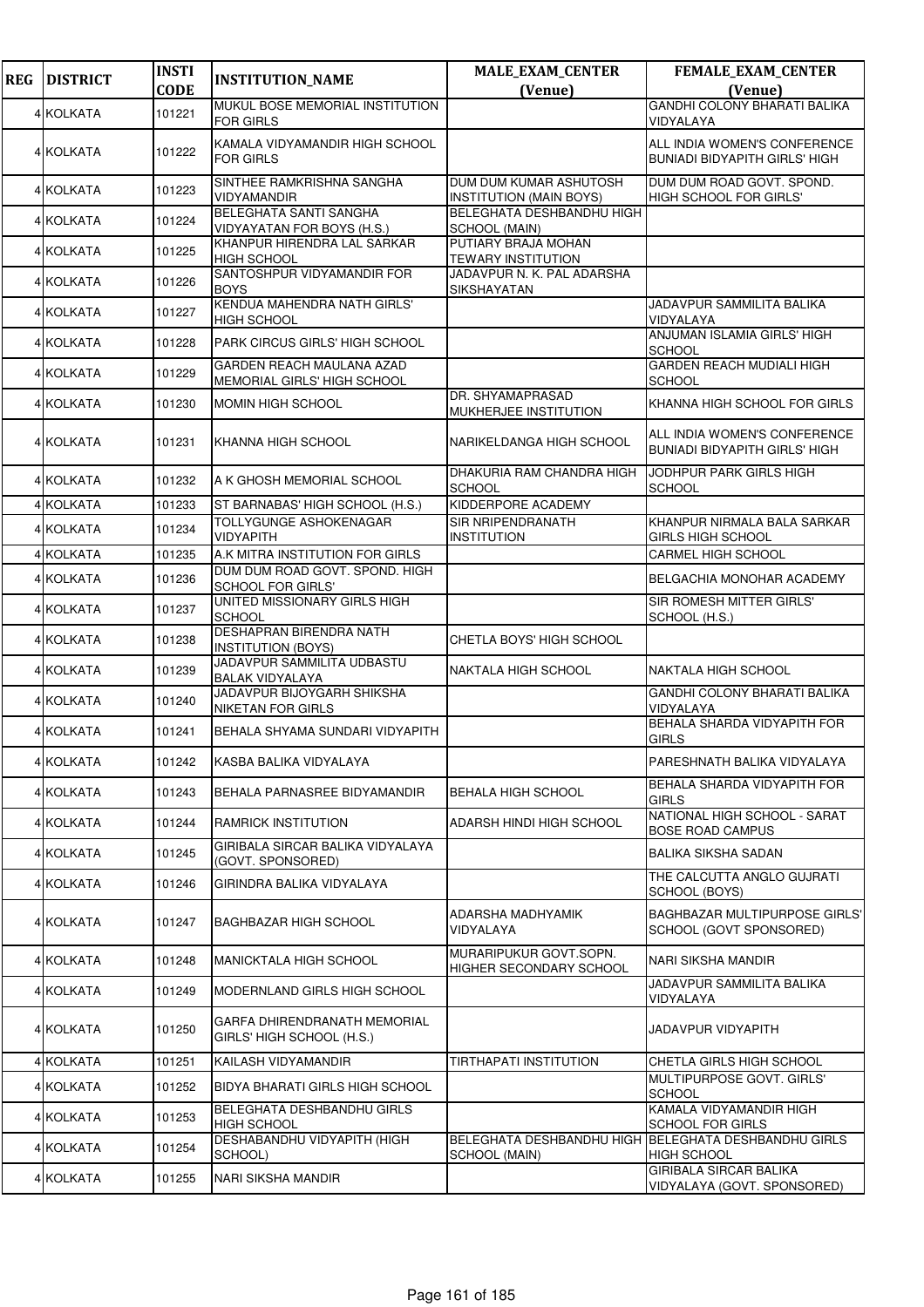| <b>REG</b> | <b>DISTRICT</b>  | <b>INSTI</b><br><b>CODE</b> | <b>INSTITUTION_NAME</b>                                         | <b>MALE_EXAM_CENTER</b>                                  | <b>FEMALE_EXAM_CENTER</b>                                            |
|------------|------------------|-----------------------------|-----------------------------------------------------------------|----------------------------------------------------------|----------------------------------------------------------------------|
|            |                  |                             | MUKUL BOSE MEMORIAL INSTITUTION                                 | (Venue)                                                  | (Venue)<br><b>GANDHI COLONY BHARATI BALIKA</b>                       |
|            | 4 KOLKATA        | 101221                      | <b>FOR GIRLS</b>                                                |                                                          | VIDYALAYA                                                            |
|            | <b>4 KOLKATA</b> | 101222                      | KAMALA VIDYAMANDIR HIGH SCHOOL<br><b>FOR GIRLS</b>              |                                                          | ALL INDIA WOMEN'S CONFERENCE<br><b>BUNIADI BIDYAPITH GIRLS' HIGH</b> |
|            | 4 KOLKATA        | 101223                      | SINTHEE RAMKRISHNA SANGHA<br>VIDYAMANDIR                        | DUM DUM KUMAR ASHUTOSH<br><b>INSTITUTION (MAIN BOYS)</b> | DUM DUM ROAD GOVT. SPOND.<br>HIGH SCHOOL FOR GIRLS'                  |
|            | 4 KOLKATA        | 101224                      | BELEGHATA SANTI SANGHA<br><b>VIDYAYATAN FOR BOYS (H.S.)</b>     | BELEGHATA DESHBANDHU HIGH<br>SCHOOL (MAIN)               |                                                                      |
|            | 4 KOLKATA        | 101225                      | KHANPUR HIRENDRA LAL SARKAR<br><b>HIGH SCHOOL</b>               | PUTIARY BRAJA MOHAN<br><b>TEWARY INSTITUTION</b>         |                                                                      |
|            | 4 KOLKATA        | 101226                      | SANTOSHPUR VIDYAMANDIR FOR<br><b>BOYS</b>                       | JADAVPUR N. K. PAL ADARSHA<br>SIKSHAYATAN                |                                                                      |
|            | 4 KOLKATA        | 101227                      | KENDUA MAHENDRA NATH GIRLS'<br><b>HIGH SCHOOL</b>               |                                                          | JADAVPUR SAMMILITA BALIKA<br>VIDYALAYA                               |
|            | 4 KOLKATA        | 101228                      | PARK CIRCUS GIRLS' HIGH SCHOOL                                  |                                                          | ANJUMAN ISLAMIA GIRLS' HIGH<br><b>SCHOOL</b>                         |
|            | <b>4 KOLKATA</b> | 101229                      | <b>GARDEN REACH MAULANA AZAD</b><br>MEMORIAL GIRLS' HIGH SCHOOL |                                                          | GARDEN REACH MUDIALI HIGH<br><b>SCHOOL</b>                           |
|            | 4 KOLKATA        | 101230                      | <b>MOMIN HIGH SCHOOL</b>                                        | DR. SHYAMAPRASAD<br>MUKHERJEE INSTITUTION                | KHANNA HIGH SCHOOL FOR GIRLS                                         |
|            | 4 KOLKATA        | 101231                      | KHANNA HIGH SCHOOL                                              | NARIKELDANGA HIGH SCHOOL                                 | ALL INDIA WOMEN'S CONFERENCE<br><b>BUNIADI BIDYAPITH GIRLS' HIGH</b> |
|            | 4 KOLKATA        | 101232                      | A K GHOSH MEMORIAL SCHOOL                                       | DHAKURIA RAM CHANDRA HIGH<br><b>SCHOOL</b>               | JODHPUR PARK GIRLS HIGH<br><b>SCHOOL</b>                             |
|            | 4 KOLKATA        | 101233                      | ST BARNABAS' HIGH SCHOOL (H.S.)                                 | KIDDERPORE ACADEMY                                       |                                                                      |
|            | 4 KOLKATA        | 101234                      | TOLLYGUNGE ASHOKENAGAR<br><b>VIDYAPITH</b>                      | SIR NRIPENDRANATH<br>INSTITUTION                         | KHANPUR NIRMALA BALA SARKAR<br><b>GIRLS HIGH SCHOOL</b>              |
|            | 4 KOLKATA        | 101235                      | A.K MITRA INSTITUTION FOR GIRLS                                 |                                                          | CARMEL HIGH SCHOOL                                                   |
|            | 4 KOLKATA        | 101236                      | DUM DUM ROAD GOVT. SPOND. HIGH<br>SCHOOL FOR GIRLS'             |                                                          | BELGACHIA MONOHAR ACADEMY                                            |
|            | 4 KOLKATA        | 101237                      | UNITED MISSIONARY GIRLS HIGH<br><b>SCHOOL</b>                   |                                                          | SIR ROMESH MITTER GIRLS'<br>SCHOOL (H.S.)                            |
|            | 4 KOLKATA        | 101238                      | DESHAPRAN BIRENDRA NATH<br><b>INSTITUTION (BOYS)</b>            | CHETLA BOYS' HIGH SCHOOL                                 |                                                                      |
|            | 4 KOLKATA        | 101239                      | JADAVPUR SAMMILITA UDBASTU<br><b>BALAK VIDYALAYA</b>            | <b>NAKTALA HIGH SCHOOL</b>                               | NAKTALA HIGH SCHOOL                                                  |
|            | 4 KOLKATA        | 101240                      | JADAVPUR BIJOYGARH SHIKSHA<br><b>NIKETAN FOR GIRLS</b>          |                                                          | <b>GANDHI COLONY BHARATI BALIKA</b><br>VIDYALAYA                     |
|            | 4 KOLKATA        | 101241                      | BEHALA SHYAMA SUNDARI VIDYAPITH                                 |                                                          | BEHALA SHARDA VIDYAPITH FOR<br><b>GIRLS</b>                          |
|            | 4 KOLKATA        | 101242                      | KASBA BALIKA VIDYALAYA                                          |                                                          | PARESHNATH BALIKA VIDYALAYA                                          |
|            | 4 KOLKATA        | 101243                      | BEHALA PARNASREE BIDYAMANDIR                                    | BEHALA HIGH SCHOOL                                       | BEHALA SHARDA VIDYAPITH FOR<br><b>GIRLS</b>                          |
|            | 4 KOLKATA        | 101244                      | <b>RAMRICK INSTITUTION</b>                                      | ADARSH HINDI HIGH SCHOOL                                 | NATIONAL HIGH SCHOOL - SARAT<br><b>BOSE ROAD CAMPUS</b>              |
|            | 4 KOLKATA        | 101245                      | GIRIBALA SIRCAR BALIKA VIDYALAYA<br>(GOVT. SPONSORED)           |                                                          | <b>BALIKA SIKSHA SADAN</b>                                           |
|            | 4 KOLKATA        | 101246                      | GIRINDRA BALIKA VIDYALAYA                                       |                                                          | THE CALCUTTA ANGLO GUJRATI<br>SCHOOL (BOYS)                          |
|            | 4 KOLKATA        | 101247                      | <b>BAGHBAZAR HIGH SCHOOL</b>                                    | ADARSHA MADHYAMIK<br>VIDYALAYA                           | <b>BAGHBAZAR MULTIPURPOSE GIRLS'</b><br>SCHOOL (GOVT SPONSORED)      |
|            | 4 KOLKATA        | 101248                      | <b>MANICKTALA HIGH SCHOOL</b>                                   | MURARIPUKUR GOVT.SOPN.<br>HIGHER SECONDARY SCHOOL        | NARI SIKSHA MANDIR                                                   |
|            | 4 KOLKATA        | 101249                      | MODERNLAND GIRLS HIGH SCHOOL                                    |                                                          | JADAVPUR SAMMILITA BALIKA<br>VIDYALAYA                               |
|            | 4 KOLKATA        | 101250                      | GARFA DHIRENDRANATH MEMORIAL<br>GIRLS' HIGH SCHOOL (H.S.)       |                                                          | JADAVPUR VIDYAPITH                                                   |
|            | 4 KOLKATA        | 101251                      | KAILASH VIDYAMANDIR                                             | TIRTHAPATI INSTITUTION                                   | CHETLA GIRLS HIGH SCHOOL                                             |
|            | 4 KOLKATA        | 101252                      | BIDYA BHARATI GIRLS HIGH SCHOOL                                 |                                                          | MULTIPURPOSE GOVT. GIRLS'<br>SCHOOL                                  |
|            | 4 KOLKATA        | 101253                      | BELEGHATA DESHBANDHU GIRLS<br><b>HIGH SCHOOL</b>                |                                                          | KAMALA VIDYAMANDIR HIGH<br><b>SCHOOL FOR GIRLS</b>                   |
|            | 4 KOLKATA        | 101254                      | <b>DESHABANDHU VIDYAPITH (HIGH</b><br>SCHOOL)                   | BELEGHATA DESHBANDHU HIGH<br>SCHOOL (MAIN)               | BELEGHATA DESHBANDHU GIRLS<br><b>HIGH SCHOOL</b>                     |
|            | 4 KOLKATA        | 101255                      | NARI SIKSHA MANDIR                                              |                                                          | <b>GIRIBALA SIRCAR BALIKA</b><br>VIDYALAYA (GOVT. SPONSORED)         |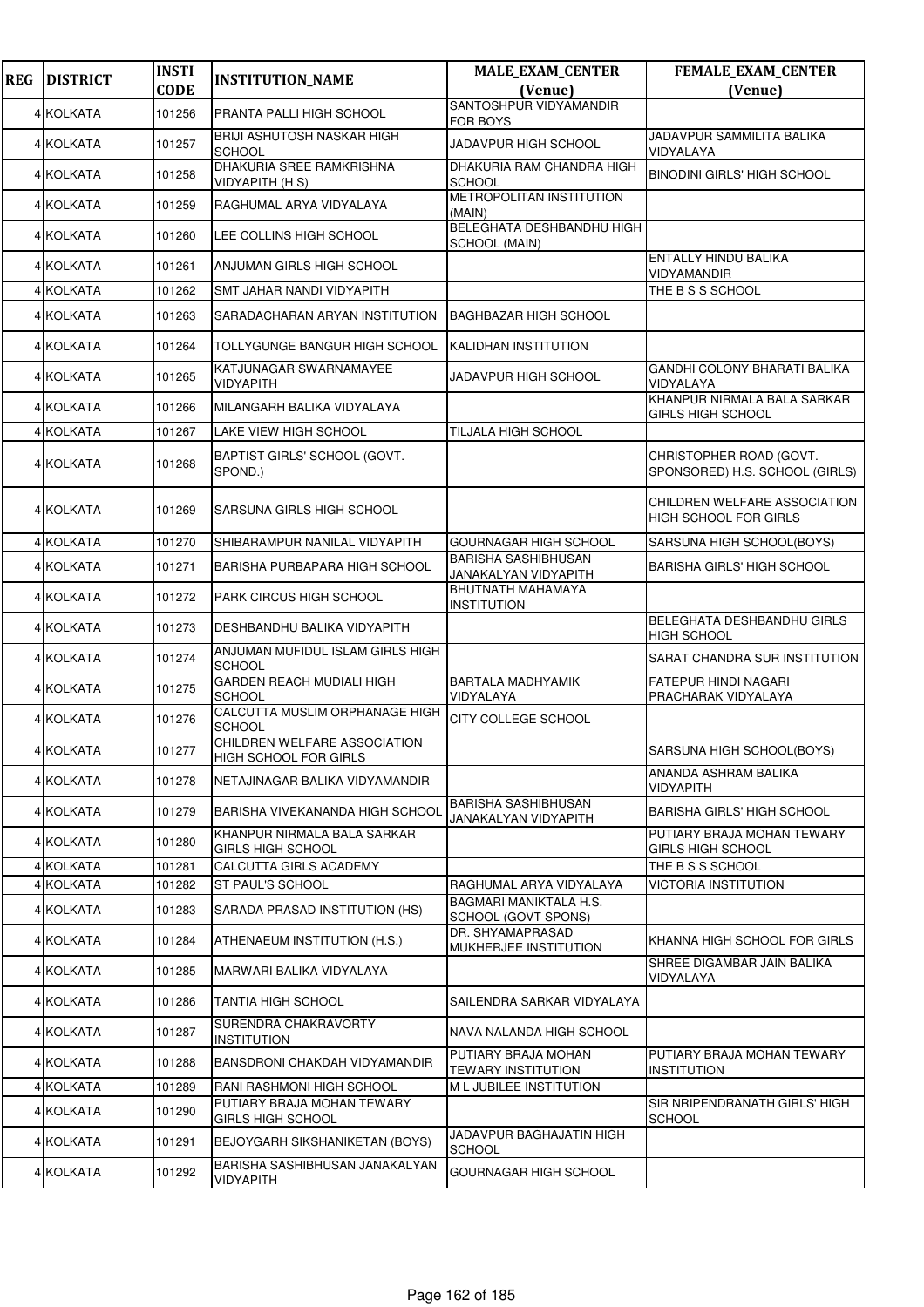| <b>REG</b> | <b>DISTRICT</b> | <b>INSTI</b> | <b>INSTITUTION_NAME</b>                               | <b>MALE_EXAM_CENTER</b>                            | FEMALE_EXAM_CENTER                                           |
|------------|-----------------|--------------|-------------------------------------------------------|----------------------------------------------------|--------------------------------------------------------------|
|            |                 | <b>CODE</b>  |                                                       | (Venue)<br>SANTOSHPUR VIDYAMANDIR                  | (Venue)                                                      |
|            | 4 KOLKATA       | 101256       | PRANTA PALLI HIGH SCHOOL                              | FOR BOYS                                           |                                                              |
|            | 4 KOLKATA       | 101257       | BRIJI ASHUTOSH NASKAR HIGH<br><b>SCHOOL</b>           | JADAVPUR HIGH SCHOOL                               | JADAVPUR SAMMILITA BALIKA<br>VIDYALAYA                       |
|            | 4 KOLKATA       | 101258       | DHAKURIA SREE RAMKRISHNA<br><b>VIDYAPITH (HS)</b>     | DHAKURIA RAM CHANDRA HIGH<br>SCHOOL                | <b>BINODINI GIRLS' HIGH SCHOOL</b>                           |
|            | 4 KOLKATA       | 101259       | RAGHUMAL ARYA VIDYALAYA                               | METROPOLITAN INSTITUTION<br>(MAIN)                 |                                                              |
|            | 4 KOLKATA       | 101260       | LEE COLLINS HIGH SCHOOL                               | BELEGHATA DESHBANDHU HIGH<br>SCHOOL (MAIN)         |                                                              |
|            | 4 KOLKATA       | 101261       | ANJUMAN GIRLS HIGH SCHOOL                             |                                                    | ENTALLY HINDU BALIKA<br>VIDYAMANDIR                          |
|            | 4 KOLKATA       | 101262       | SMT JAHAR NANDI VIDYAPITH                             |                                                    | THE B S S SCHOOL                                             |
|            | 4 KOLKATA       | 101263       | SARADACHARAN ARYAN INSTITUTION                        | <b>BAGHBAZAR HIGH SCHOOL</b>                       |                                                              |
|            | 4 KOLKATA       | 101264       | TOLLYGUNGE BANGUR HIGH SCHOOL                         | KALIDHAN INSTITUTION                               |                                                              |
|            | 4 KOLKATA       | 101265       | KATJUNAGAR SWARNAMAYEE<br>VIDYAPITH                   | JADAVPUR HIGH SCHOOL                               | <b>GANDHI COLONY BHARATI BALIKA</b><br>VIDYALAYA             |
|            | 4 KOLKATA       | 101266       | MILANGARH BALIKA VIDYALAYA                            |                                                    | KHANPUR NIRMALA BALA SARKAR<br>GIRLS HIGH SCHOOL             |
|            | 4 KOLKATA       | 101267       | LAKE VIEW HIGH SCHOOL                                 | TILJALA HIGH SCHOOL                                |                                                              |
|            | 4 KOLKATA       | 101268       | BAPTIST GIRLS' SCHOOL (GOVT.<br>SPOND.)               |                                                    | CHRISTOPHER ROAD (GOVT.<br>SPONSORED) H.S. SCHOOL (GIRLS)    |
|            | 4 KOLKATA       | 101269       | SARSUNA GIRLS HIGH SCHOOL                             |                                                    | CHILDREN WELFARE ASSOCIATION<br><b>HIGH SCHOOL FOR GIRLS</b> |
|            | 4 KOLKATA       | 101270       | SHIBARAMPUR NANILAL VIDYAPITH                         | <b>GOURNAGAR HIGH SCHOOL</b>                       | SARSUNA HIGH SCHOOL(BOYS)                                    |
|            | 4 KOLKATA       | 101271       | <b>BARISHA PURBAPARA HIGH SCHOOL</b>                  | <b>BARISHA SASHIBHUSAN</b><br>JANAKALYAN VIDYAPITH | <b>BARISHA GIRLS' HIGH SCHOOL</b>                            |
|            | 4 KOLKATA       | 101272       | PARK CIRCUS HIGH SCHOOL                               | <b>BHUTNATH MAHAMAYA</b><br><b>INSTITUTION</b>     |                                                              |
|            | 4 KOLKATA       | 101273       | DESHBANDHU BALIKA VIDYAPITH                           |                                                    | BELEGHATA DESHBANDHU GIRLS<br><b>HIGH SCHOOL</b>             |
|            | 4 KOLKATA       | 101274       | ANJUMAN MUFIDUL ISLAM GIRLS HIGH<br><b>SCHOOL</b>     |                                                    | SARAT CHANDRA SUR INSTITUTION                                |
|            | 4 KOLKATA       | 101275       | <b>GARDEN REACH MUDIALI HIGH</b><br><b>SCHOOL</b>     | BARTALA MADHYAMIK<br>VIDYALAYA                     | <b>FATEPUR HINDI NAGARI</b><br>PRACHARAK VIDYALAYA           |
|            | 4 KOLKATA       | 101276       | CALCUTTA MUSLIM ORPHANAGE HIGH<br><b>SCHOOL</b>       | CITY COLLEGE SCHOOL                                |                                                              |
|            | 4 KOLKATA       | 101277       | CHILDREN WELFARE ASSOCIATION<br>HIGH SCHOOL FOR GIRLS |                                                    | SARSUNA HIGH SCHOOL(BOYS)                                    |
|            | 4 KOLKATA       | 101278       | NETAJINAGAR BALIKA VIDYAMANDIR                        |                                                    | ANANDA ASHRAM BALIKA<br>VIDYAPITH                            |
|            | 4 KOLKATA       | 101279       | BARISHA VIVEKANANDA HIGH SCHOOL                       | <b>BARISHA SASHIBHUSAN</b><br>JANAKALYAN VIDYAPITH | <b>BARISHA GIRLS' HIGH SCHOOL</b>                            |
|            | 4 KOLKATA       | 101280       | KHANPUR NIRMALA BALA SARKAR<br>GIRLS HIGH SCHOOL      |                                                    | PUTIARY BRAJA MOHAN TEWARY<br>GIRLS HIGH SCHOOL              |
|            | 4 KOLKATA       | 101281       | CALCUTTA GIRLS ACADEMY                                |                                                    | THE B S S SCHOOL                                             |
|            | 4 KOLKATA       | 101282       | ST PAUL'S SCHOOL                                      | RAGHUMAL ARYA VIDYALAYA                            | VICTORIA INSTITUTION                                         |
|            | 4 KOLKATA       | 101283       | SARADA PRASAD INSTITUTION (HS)                        | BAGMARI MANIKTALA H.S.<br>SCHOOL (GOVT SPONS)      |                                                              |
|            | 4 KOLKATA       | 101284       | ATHENAEUM INSTITUTION (H.S.)                          | DR. SHYAMAPRASAD<br>MUKHERJEE INSTITUTION          | KHANNA HIGH SCHOOL FOR GIRLS                                 |
|            | 4 KOLKATA       | 101285       | MARWARI BALIKA VIDYALAYA                              |                                                    | SHREE DIGAMBAR JAIN BALIKA<br>VIDYALAYA                      |
|            | 4 KOLKATA       | 101286       | TANTIA HIGH SCHOOL                                    | SAILENDRA SARKAR VIDYALAYA                         |                                                              |
|            | 4 KOLKATA       | 101287       | SURENDRA CHAKRAVORTY<br><b>INSTITUTION</b>            | NAVA NALANDA HIGH SCHOOL                           |                                                              |
|            | 4 KOLKATA       | 101288       | BANSDRONI CHAKDAH VIDYAMANDIR                         | PUTIARY BRAJA MOHAN<br>TEWARY INSTITUTION          | PUTIARY BRAJA MOHAN TEWARY<br><b>INSTITUTION</b>             |
|            | 4 KOLKATA       | 101289       | RANI RASHMONI HIGH SCHOOL                             | M L JUBILEE INSTITUTION                            |                                                              |
|            | 4 KOLKATA       | 101290       | PUTIARY BRAJA MOHAN TEWARY<br>GIRLS HIGH SCHOOL       |                                                    | SIR NRIPENDRANATH GIRLS' HIGH<br><b>SCHOOL</b>               |
|            | 4 KOLKATA       | 101291       | BEJOYGARH SIKSHANIKETAN (BOYS)                        | JADAVPUR BAGHAJATIN HIGH<br><b>SCHOOL</b>          |                                                              |
|            | 4 KOLKATA       | 101292       | BARISHA SASHIBHUSAN JANAKALYAN<br><b>VIDYAPITH</b>    | GOURNAGAR HIGH SCHOOL                              |                                                              |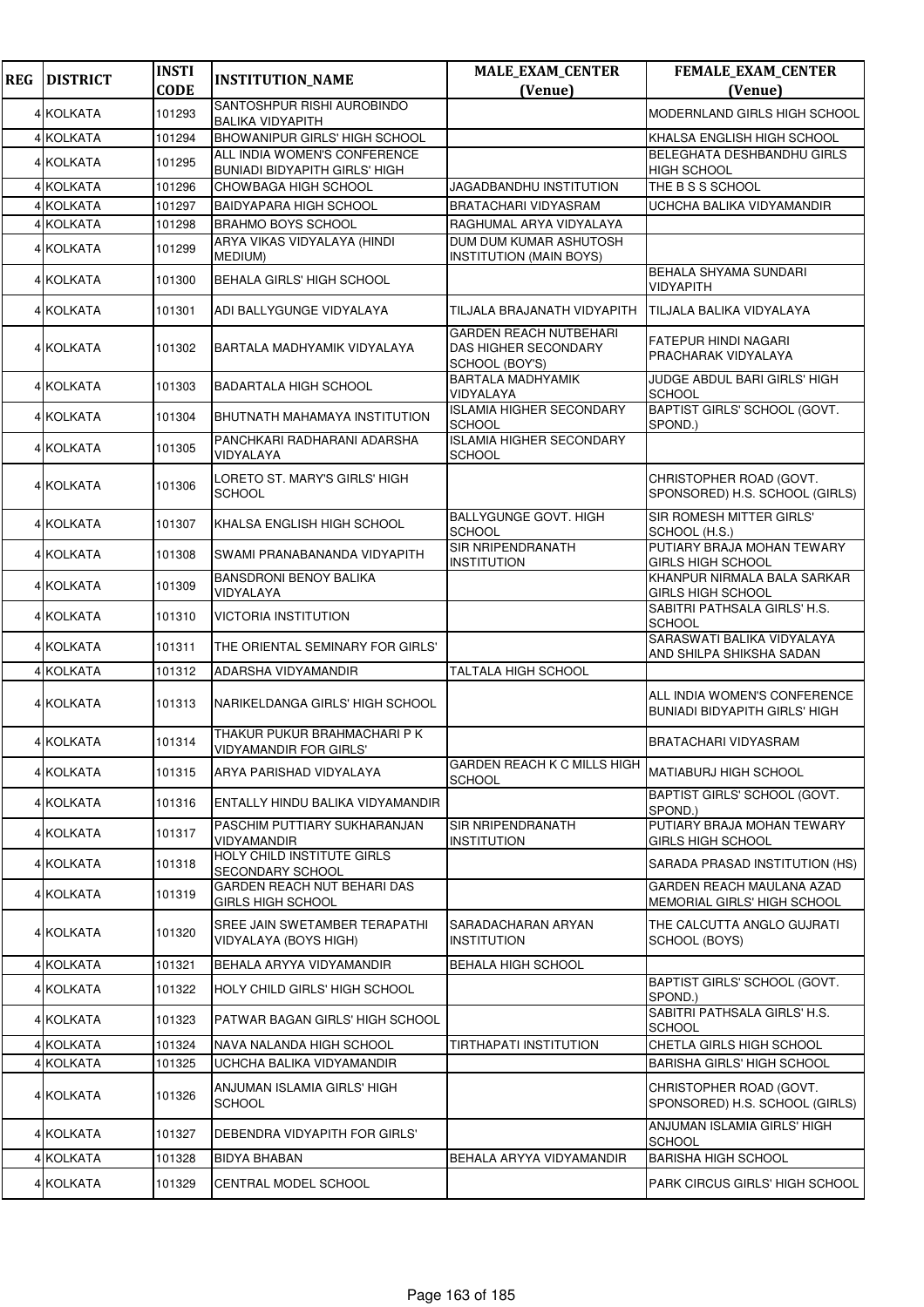| <b>REG</b> | <b>DISTRICT</b> | <b>INSTI</b> | <b>INSTITUTION_NAME</b>                                       | <b>MALE_EXAM_CENTER</b>                                          | <b>FEMALE_EXAM_CENTER</b>                                            |
|------------|-----------------|--------------|---------------------------------------------------------------|------------------------------------------------------------------|----------------------------------------------------------------------|
|            |                 | <b>CODE</b>  |                                                               | (Venue)                                                          | (Venue)                                                              |
|            | 4 KOLKATA       | 101293       | SANTOSHPUR RISHI AUROBINDO<br><b>BALIKA VIDYAPITH</b>         |                                                                  | <b>MODERNLAND GIRLS HIGH SCHOOL</b>                                  |
|            | 4 KOLKATA       | 101294       | <b>BHOWANIPUR GIRLS' HIGH SCHOOL</b>                          |                                                                  | KHALSA ENGLISH HIGH SCHOOL                                           |
|            | 4 KOLKATA       | 101295       | ALL INDIA WOMEN'S CONFERENCE                                  |                                                                  | BELEGHATA DESHBANDHU GIRLS                                           |
|            | 4 KOLKATA       | 101296       | <b>BUNIADI BIDYAPITH GIRLS' HIGH</b><br>CHOWBAGA HIGH SCHOOL  | JAGADBANDHU INSTITUTION                                          | <b>HIGH SCHOOL</b><br>THE B S S SCHOOL                               |
|            | 4 KOLKATA       | 101297       | <b>BAIDYAPARA HIGH SCHOOL</b>                                 | BRATACHARI VIDYASRAM                                             | UCHCHA BALIKA VIDYAMANDIR                                            |
|            | 4 KOLKATA       | 101298       | <b>BRAHMO BOYS SCHOOL</b>                                     | RAGHUMAL ARYA VIDYALAYA                                          |                                                                      |
|            | 4 KOLKATA       | 101299       | ARYA VIKAS VIDYALAYA (HINDI<br><b>MEDIUM</b> )                | DUM DUM KUMAR ASHUTOSH<br><b>INSTITUTION (MAIN BOYS)</b>         |                                                                      |
|            | 4 KOLKATA       | 101300       | <b>BEHALA GIRLS' HIGH SCHOOL</b>                              |                                                                  | BEHALA SHYAMA SUNDARI<br>VIDYAPITH                                   |
|            | 4 KOLKATA       | 101301       | ADI BALLYGUNGE VIDYALAYA                                      | TILJALA BRAJANATH VIDYAPITH                                      | TILJALA BALIKA VIDYALAYA                                             |
|            | 4 KOLKATA       | 101302       | BARTALA MADHYAMIK VIDYALAYA                                   | GARDEN REACH NUTBEHARI<br>DAS HIGHER SECONDARY<br>SCHOOL (BOY'S) | FATEPUR HINDI NAGARI<br>PRACHARAK VIDYALAYA                          |
|            | 4 KOLKATA       | 101303       | <b>BADARTALA HIGH SCHOOL</b>                                  | <b>BARTALA MADHYAMIK</b><br>VIDYALAYA                            | JUDGE ABDUL BARI GIRLS' HIGH<br><b>SCHOOL</b>                        |
|            | 4 KOLKATA       | 101304       | BHUTNATH MAHAMAYA INSTITUTION                                 | <b>ISLAMIA HIGHER SECONDARY</b><br><b>SCHOOL</b>                 | BAPTIST GIRLS' SCHOOL (GOVT.<br>SPOND.)                              |
|            | 4 KOLKATA       | 101305       | PANCHKARI RADHARANI ADARSHA<br>VIDYALAYA                      | <b>ISLAMIA HIGHER SECONDARY</b><br><b>SCHOOL</b>                 |                                                                      |
|            | 4 KOLKATA       | 101306       | LORETO ST. MARY'S GIRLS' HIGH<br><b>SCHOOL</b>                |                                                                  | CHRISTOPHER ROAD (GOVT.<br>SPONSORED) H.S. SCHOOL (GIRLS)            |
|            | 4 KOLKATA       | 101307       | KHALSA ENGLISH HIGH SCHOOL                                    | <b>BALLYGUNGE GOVT. HIGH</b><br><b>SCHOOL</b>                    | SIR ROMESH MITTER GIRLS'<br>SCHOOL (H.S.)                            |
|            | 4 KOLKATA       | 101308       | SWAMI PRANABANANDA VIDYAPITH                                  | SIR NRIPENDRANATH<br><b>INSTITUTION</b>                          | PUTIARY BRAJA MOHAN TEWARY<br><b>GIRLS HIGH SCHOOL</b>               |
|            | 4 KOLKATA       | 101309       | BANSDRONI BENOY BALIKA<br>VIDYALAYA                           |                                                                  | KHANPUR NIRMALA BALA SARKAR<br><b>GIRLS HIGH SCHOOL</b>              |
|            | 4 KOLKATA       | 101310       | <b>VICTORIA INSTITUTION</b>                                   |                                                                  | SABITRI PATHSALA GIRLS' H.S.<br><b>SCHOOL</b>                        |
|            | 4 KOLKATA       | 101311       | THE ORIENTAL SEMINARY FOR GIRLS'                              |                                                                  | SARASWATI BALIKA VIDYALAYA<br>AND SHILPA SHIKSHA SADAN               |
|            | 4 KOLKATA       | 101312       | ADARSHA VIDYAMANDIR                                           | TALTALA HIGH SCHOOL                                              |                                                                      |
|            | 4 KOLKATA       | 101313       | NARIKELDANGA GIRLS' HIGH SCHOOL                               |                                                                  | ALL INDIA WOMEN'S CONFERENCE<br><b>BUNIADI BIDYAPITH GIRLS' HIGH</b> |
|            | 4 KOLKATA       | 101314       | THAKUR PUKUR BRAHMACHARI P K<br><b>VIDYAMANDIR FOR GIRLS'</b> |                                                                  | <b>BRATACHARI VIDYASRAM</b>                                          |
|            | 4 KOLKATA       | 101315       | ARYA PARISHAD VIDYALAYA                                       | GARDEN REACH K C MILLS HIGH<br><b>SCHOOL</b>                     | MATIABURJ HIGH SCHOOL                                                |
|            | 4 KOLKATA       | 101316       | ENTALLY HINDU BALIKA VIDYAMANDIR                              |                                                                  | BAPTIST GIRLS' SCHOOL (GOVT.<br>SPOND.)                              |
|            | 4 KOLKATA       | 101317       | PASCHIM PUTTIARY SUKHARANJAN<br>VIDYAMANDIR                   | SIR NRIPENDRANATH<br><b>INSTITUTION</b>                          | PUTIARY BRAJA MOHAN TEWARY<br>GIRLS HIGH SCHOOL                      |
|            | 4 KOLKATA       | 101318       | HOLY CHILD INSTITUTE GIRLS<br>SECONDARY SCHOOL                |                                                                  | SARADA PRASAD INSTITUTION (HS)                                       |
|            | 4 KOLKATA       | 101319       | GARDEN REACH NUT BEHARI DAS<br><b>GIRLS HIGH SCHOOL</b>       |                                                                  | GARDEN REACH MAULANA AZAD<br>MEMORIAL GIRLS' HIGH SCHOOL             |
|            | 4 KOLKATA       | 101320       | SREE JAIN SWETAMBER TERAPATHI<br>VIDYALAYA (BOYS HIGH)        | SARADACHARAN ARYAN<br><b>INSTITUTION</b>                         | THE CALCUTTA ANGLO GUJRATI<br>SCHOOL (BOYS)                          |
|            | 4 KOLKATA       | 101321       | BEHALA ARYYA VIDYAMANDIR                                      | BEHALA HIGH SCHOOL                                               |                                                                      |
|            | 4 KOLKATA       | 101322       | HOLY CHILD GIRLS' HIGH SCHOOL                                 |                                                                  | BAPTIST GIRLS' SCHOOL (GOVT.<br>SPOND.)                              |
|            | 4 KOLKATA       | 101323       | PATWAR BAGAN GIRLS' HIGH SCHOOL                               |                                                                  | SABITRI PATHSALA GIRLS' H.S.<br><b>SCHOOL</b>                        |
|            | 4 KOLKATA       | 101324       | NAVA NALANDA HIGH SCHOOL                                      | TIRTHAPATI INSTITUTION                                           | CHETLA GIRLS HIGH SCHOOL                                             |
|            | 4 KOLKATA       | 101325       | UCHCHA BALIKA VIDYAMANDIR                                     |                                                                  | <b>BARISHA GIRLS' HIGH SCHOOL</b>                                    |
|            | 4 KOLKATA       | 101326       | ANJUMAN ISLAMIA GIRLS' HIGH<br><b>SCHOOL</b>                  |                                                                  | CHRISTOPHER ROAD (GOVT.<br>SPONSORED) H.S. SCHOOL (GIRLS)            |
|            | 4 KOLKATA       | 101327       | DEBENDRA VIDYAPITH FOR GIRLS'                                 |                                                                  | ANJUMAN ISLAMIA GIRLS' HIGH<br><b>SCHOOL</b>                         |
|            | 4 KOLKATA       | 101328       | <b>BIDYA BHABAN</b>                                           | BEHALA ARYYA VIDYAMANDIR                                         | <b>BARISHA HIGH SCHOOL</b>                                           |
|            | 4 KOLKATA       | 101329       | CENTRAL MODEL SCHOOL                                          |                                                                  | PARK CIRCUS GIRLS' HIGH SCHOOL                                       |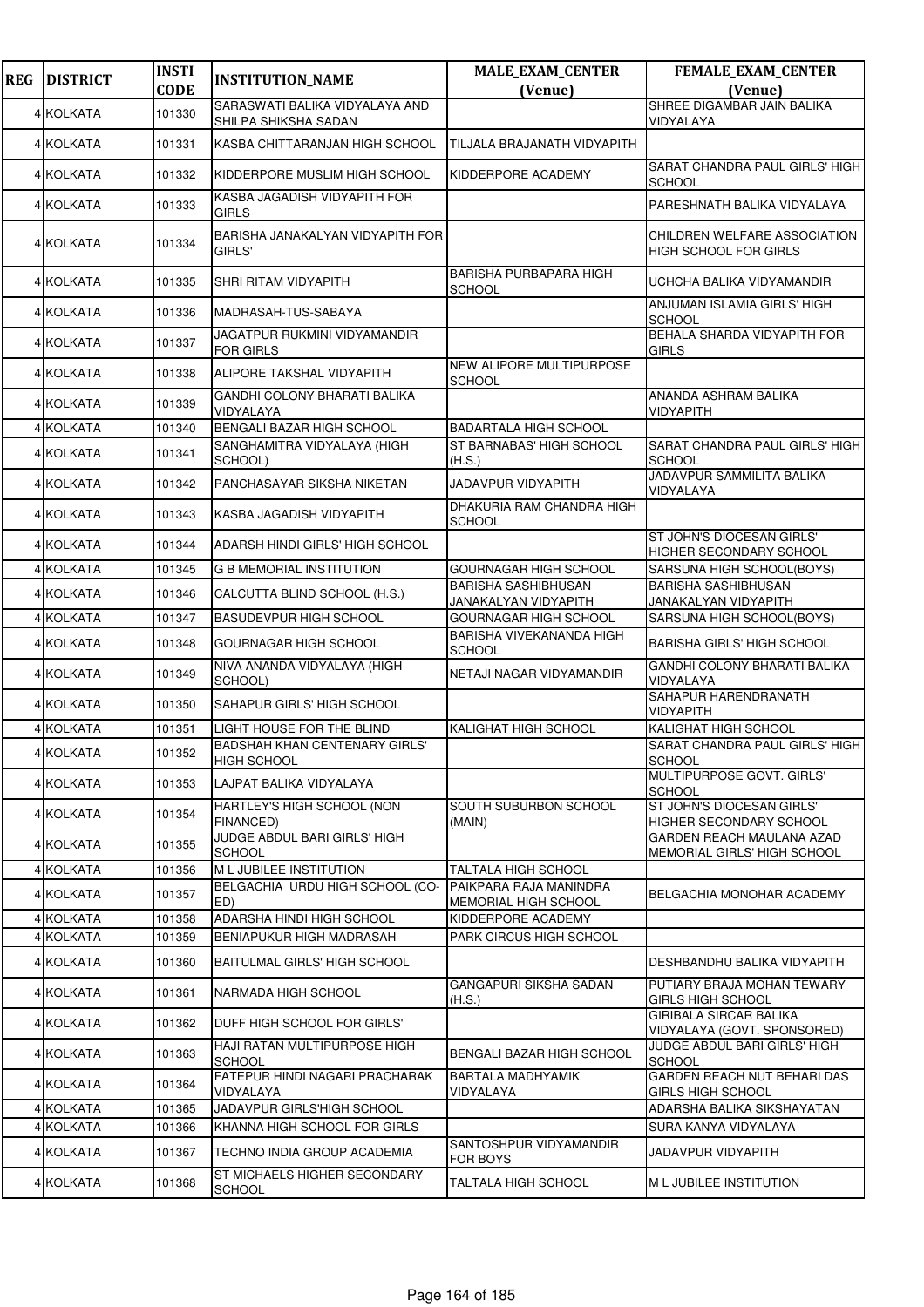| <b>REG</b> | <b>DISTRICT</b> | <b>INSTI</b><br><b>CODE</b> | <b>INSTITUTION_NAME</b>                             | <b>MALE_EXAM_CENTER</b><br>(Venue)                 | FEMALE_EXAM_CENTER                                           |
|------------|-----------------|-----------------------------|-----------------------------------------------------|----------------------------------------------------|--------------------------------------------------------------|
|            |                 |                             | SARASWATI BALIKA VIDYALAYA AND                      |                                                    | (Venue)<br>SHREE DIGAMBAR JAIN BALIKA                        |
|            | 4 KOLKATA       | 101330                      | SHILPA SHIKSHA SADAN                                |                                                    | VIDYALAYA                                                    |
|            | 4 KOLKATA       | 101331                      | KASBA CHITTARANJAN HIGH SCHOOL                      | TILJALA BRAJANATH VIDYAPITH                        |                                                              |
|            | 4 KOLKATA       | 101332                      | KIDDERPORE MUSLIM HIGH SCHOOL                       | KIDDERPORE ACADEMY                                 | SARAT CHANDRA PAUL GIRLS' HIGH<br><b>SCHOOL</b>              |
|            | 4 KOLKATA       | 101333                      | KASBA JAGADISH VIDYAPITH FOR<br><b>GIRLS</b>        |                                                    | PARESHNATH BALIKA VIDYALAYA                                  |
|            | 4 KOLKATA       | 101334                      | BARISHA JANAKALYAN VIDYAPITH FOR<br>GIRLS'          |                                                    | CHILDREN WELFARE ASSOCIATION<br><b>HIGH SCHOOL FOR GIRLS</b> |
|            | 4 KOLKATA       | 101335                      | SHRI RITAM VIDYAPITH                                | <b>BARISHA PURBAPARA HIGH</b><br><b>SCHOOL</b>     | UCHCHA BALIKA VIDYAMANDIR                                    |
|            | 4 KOLKATA       | 101336                      | MADRASAH-TUS-SABAYA                                 |                                                    | ANJUMAN ISLAMIA GIRLS' HIGH<br><b>SCHOOL</b>                 |
|            | 4 KOLKATA       | 101337                      | JAGATPUR RUKMINI VIDYAMANDIR<br><b>FOR GIRLS</b>    |                                                    | BEHALA SHARDA VIDYAPITH FOR<br>GIRLS                         |
|            | 4 KOLKATA       | 101338                      | ALIPORE TAKSHAL VIDYAPITH                           | NEW ALIPORE MULTIPURPOSE<br><b>SCHOOL</b>          |                                                              |
|            | 4 KOLKATA       | 101339                      | GANDHI COLONY BHARATI BALIKA<br>VIDYALAYA           |                                                    | ANANDA ASHRAM BALIKA<br>VIDYAPITH                            |
|            | 4 KOLKATA       | 101340                      | BENGALI BAZAR HIGH SCHOOL                           | <b>BADARTALA HIGH SCHOOL</b>                       |                                                              |
|            | 4 KOLKATA       | 101341                      | SANGHAMITRA VIDYALAYA (HIGH<br>SCHOOL)              | ST BARNABAS' HIGH SCHOOL<br>(H.S.)                 | SARAT CHANDRA PAUL GIRLS' HIGH<br><b>SCHOOL</b>              |
|            | 4 KOLKATA       | 101342                      | PANCHASAYAR SIKSHA NIKETAN                          | JADAVPUR VIDYAPITH                                 | JADAVPUR SAMMILITA BALIKA<br>VIDYALAYA                       |
|            | 4 KOLKATA       | 101343                      | KASBA JAGADISH VIDYAPITH                            | DHAKURIA RAM CHANDRA HIGH<br>SCHOOL                |                                                              |
|            | 4 KOLKATA       | 101344                      | ADARSH HINDI GIRLS' HIGH SCHOOL                     |                                                    | ST JOHN'S DIOCESAN GIRLS'<br>HIGHER SECONDARY SCHOOL         |
|            | 4 KOLKATA       | 101345                      | <b>G B MEMORIAL INSTITUTION</b>                     | GOURNAGAR HIGH SCHOOL                              | SARSUNA HIGH SCHOOL(BOYS)                                    |
|            | 4 KOLKATA       | 101346                      | CALCUTTA BLIND SCHOOL (H.S.)                        | <b>BARISHA SASHIBHUSAN</b><br>JANAKALYAN VIDYAPITH | <b>BARISHA SASHIBHUSAN</b><br>JANAKALYAN VIDYAPITH           |
|            | 4 KOLKATA       | 101347                      | <b>BASUDEVPUR HIGH SCHOOL</b>                       | GOURNAGAR HIGH SCHOOL                              | SARSUNA HIGH SCHOOL(BOYS)                                    |
|            | 4 KOLKATA       | 101348                      | <b>GOURNAGAR HIGH SCHOOL</b>                        | BARISHA VIVEKANANDA HIGH<br><b>SCHOOL</b>          | <b>BARISHA GIRLS' HIGH SCHOOL</b>                            |
|            | 4 KOLKATA       | 101349                      | NIVA ANANDA VIDYALAYA (HIGH<br>SCHOOL)              | NETAJI NAGAR VIDYAMANDIR                           | GANDHI COLONY BHARATI BALIKA<br>VIDYALAYA                    |
|            | 4 KOLKATA       | 101350                      | SAHAPUR GIRLS' HIGH SCHOOL                          |                                                    | SAHAPUR HARENDRANATH<br><b>VIDYAPITH</b>                     |
|            | 4 KOLKATA       | 101351                      | LIGHT HOUSE FOR THE BLIND                           | KALIGHAT HIGH SCHOOL                               | KALIGHAT HIGH SCHOOL                                         |
|            | 4 KOLKATA       | 101352                      | <b>BADSHAH KHAN CENTENARY GIRLS'</b><br>HIGH SCHOOL |                                                    | SARAT CHANDRA PAUL GIRLS' HIGH<br><b>SCHOOL</b>              |
|            | 4 KOLKATA       | 101353                      | LAJPAT BALIKA VIDYALAYA                             |                                                    | MULTIPURPOSE GOVT. GIRLS'<br><b>SCHOOL</b>                   |
|            | 4 KOLKATA       | 101354                      | HARTLEY'S HIGH SCHOOL (NON<br>FINANCED)             | SOUTH SUBURBON SCHOOL<br>(MAIN)                    | ST JOHN'S DIOCESAN GIRLS'<br>HIGHER SECONDARY SCHOOL         |
|            | 4 KOLKATA       | 101355                      | JUDGE ABDUL BARI GIRLS' HIGH<br><b>SCHOOL</b>       |                                                    | GARDEN REACH MAULANA AZAD<br>MEMORIAL GIRLS' HIGH SCHOOL     |
|            | 4 KOLKATA       | 101356                      | M L JUBILEE INSTITUTION                             | TALTALA HIGH SCHOOL                                |                                                              |
|            | 4 KOLKATA       | 101357                      | BELGACHIA URDU HIGH SCHOOL (CO-<br>ED)              | PAIKPARA RAJA MANINDRA<br>MEMORIAL HIGH SCHOOL     | BELGACHIA MONOHAR ACADEMY                                    |
|            | 4 KOLKATA       | 101358                      | ADARSHA HINDI HIGH SCHOOL                           | KIDDERPORE ACADEMY                                 |                                                              |
|            | 4 KOLKATA       | 101359                      | BENIAPUKUR HIGH MADRASAH                            | PARK CIRCUS HIGH SCHOOL                            |                                                              |
|            | 4 KOLKATA       | 101360                      | <b>BAITULMAL GIRLS' HIGH SCHOOL</b>                 |                                                    | DESHBANDHU BALIKA VIDYAPITH                                  |
|            | 4 KOLKATA       | 101361                      | NARMADA HIGH SCHOOL                                 | GANGAPURI SIKSHA SADAN<br>(H.S.)                   | PUTIARY BRAJA MOHAN TEWARY<br>GIRLS HIGH SCHOOL              |
|            | 4 KOLKATA       | 101362                      | DUFF HIGH SCHOOL FOR GIRLS'                         |                                                    | <b>GIRIBALA SIRCAR BALIKA</b><br>VIDYALAYA (GOVT. SPONSORED) |
|            | 4 KOLKATA       | 101363                      | HAJI RATAN MULTIPURPOSE HIGH<br><b>SCHOOL</b>       | BENGALI BAZAR HIGH SCHOOL                          | JUDGE ABDUL BARI GIRLS' HIGH<br><b>SCHOOL</b>                |
|            | 4 KOLKATA       | 101364                      | FATEPUR HINDI NAGARI PRACHARAK<br>VIDYALAYA         | BARTALA MADHYAMIK<br>VIDYALAYA                     | GARDEN REACH NUT BEHARI DAS<br>GIRLS HIGH SCHOOL             |
|            | 4 KOLKATA       | 101365                      | JADAVPUR GIRLS'HIGH SCHOOL                          |                                                    | ADARSHA BALIKA SIKSHAYATAN                                   |
|            | 4 KOLKATA       | 101366                      | KHANNA HIGH SCHOOL FOR GIRLS                        |                                                    | SURA KANYA VIDYALAYA                                         |
|            | 4 KOLKATA       | 101367                      | TECHNO INDIA GROUP ACADEMIA                         | SANTOSHPUR VIDYAMANDIR<br>FOR BOYS                 | JADAVPUR VIDYAPITH                                           |
|            | 4 KOLKATA       | 101368                      | ST MICHAELS HIGHER SECONDARY<br><b>SCHOOL</b>       | TALTALA HIGH SCHOOL                                | M L JUBILEE INSTITUTION                                      |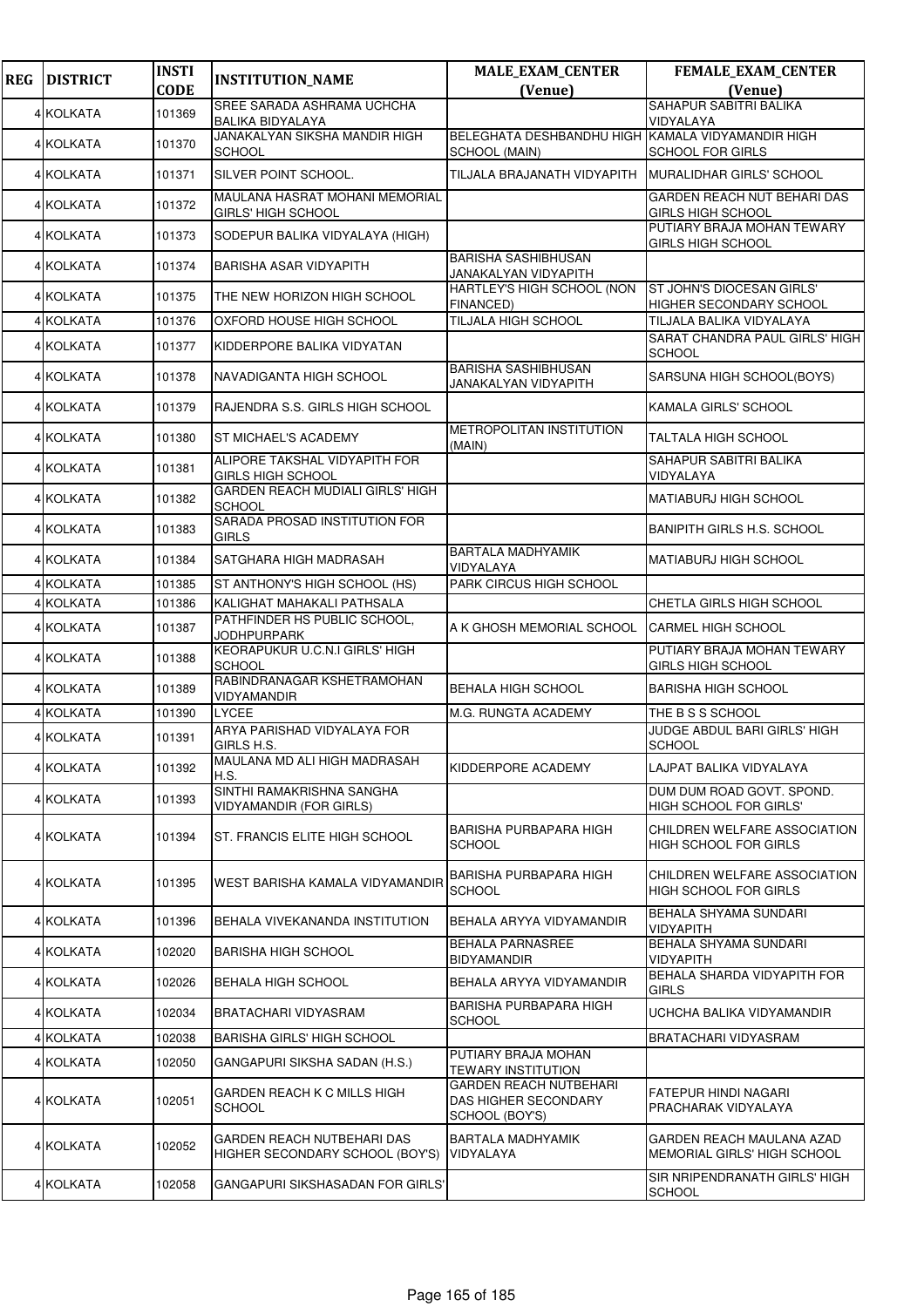| <b>REG</b> | <b>DISTRICT</b> | <b>INSTI</b> | <b>INSTITUTION_NAME</b>                                       | <b>MALE_EXAM_CENTER</b>                                                 | FEMALE_EXAM_CENTER                                           |
|------------|-----------------|--------------|---------------------------------------------------------------|-------------------------------------------------------------------------|--------------------------------------------------------------|
|            |                 | <b>CODE</b>  | SREE SARADA ASHRAMA UCHCHA                                    | (Venue)                                                                 | (Venue)<br>SAHAPUR SABITRI BALIKA                            |
|            | 4 KOLKATA       | 101369       | <b>BALIKA BIDYALAYA</b>                                       |                                                                         | VIDYALAYA                                                    |
|            | 4 KOLKATA       | 101370       | JANAKALYAN SIKSHA MANDIR HIGH<br><b>SCHOOL</b>                | BELEGHATA DESHBANDHU HIGH KAMALA VIDYAMANDIR HIGH<br>SCHOOL (MAIN)      | <b>SCHOOL FOR GIRLS</b>                                      |
|            | 4 KOLKATA       | 101371       | SILVER POINT SCHOOL.                                          | TILJALA BRAJANATH VIDYAPITH                                             | MURALIDHAR GIRLS' SCHOOL                                     |
|            | 4 KOLKATA       | 101372       | MAULANA HASRAT MOHANI MEMORIAL<br><b>GIRLS' HIGH SCHOOL</b>   |                                                                         | GARDEN REACH NUT BEHARI DAS<br><b>GIRLS HIGH SCHOOL</b>      |
|            | 4 KOLKATA       | 101373       | SODEPUR BALIKA VIDYALAYA (HIGH)                               |                                                                         | PUTIARY BRAJA MOHAN TEWARY<br><b>GIRLS HIGH SCHOOL</b>       |
|            | 4 KOLKATA       | 101374       | <b>BARISHA ASAR VIDYAPITH</b>                                 | <b>BARISHA SASHIBHUSAN</b><br>JANAKALYAN VIDYAPITH                      |                                                              |
|            | 4 KOLKATA       | 101375       | THE NEW HORIZON HIGH SCHOOL                                   | HARTLEY'S HIGH SCHOOL (NON<br>FINANCED)                                 | ST JOHN'S DIOCESAN GIRLS'<br>HIGHER SECONDARY SCHOOL         |
|            | 4 KOLKATA       | 101376       | OXFORD HOUSE HIGH SCHOOL                                      | TILJALA HIGH SCHOOL                                                     | TILJALA BALIKA VIDYALAYA                                     |
|            | 4 KOLKATA       | 101377       | KIDDERPORE BALIKA VIDYATAN                                    |                                                                         | SARAT CHANDRA PAUL GIRLS' HIGH<br><b>SCHOOL</b>              |
|            | 4 KOLKATA       | 101378       | NAVADIGANTA HIGH SCHOOL                                       | <b>BARISHA SASHIBHUSAN</b><br>JANAKALYAN VIDYAPITH                      | SARSUNA HIGH SCHOOL(BOYS)                                    |
|            | 4 KOLKATA       | 101379       | RAJENDRA S.S. GIRLS HIGH SCHOOL                               |                                                                         | <b>KAMALA GIRLS' SCHOOL</b>                                  |
|            | 4 KOLKATA       | 101380       | ST MICHAEL'S ACADEMY                                          | METROPOLITAN INSTITUTION<br>(MAIN)                                      | <b>TALTALA HIGH SCHOOL</b>                                   |
|            | 4 KOLKATA       | 101381       | ALIPORE TAKSHAL VIDYAPITH FOR<br><b>GIRLS HIGH SCHOOL</b>     |                                                                         | SAHAPUR SABITRI BALIKA<br>VIDYALAYA                          |
|            | 4 KOLKATA       | 101382       | <b>GARDEN REACH MUDIALI GIRLS' HIGH</b><br><b>SCHOOL</b>      |                                                                         | MATIABURJ HIGH SCHOOL                                        |
|            | 4 KOLKATA       | 101383       | SARADA PROSAD INSTITUTION FOR<br><b>GIRLS</b>                 |                                                                         | <b>BANIPITH GIRLS H.S. SCHOOL</b>                            |
|            | 4 KOLKATA       | 101384       | SATGHARA HIGH MADRASAH                                        | <b>BARTALA MADHYAMIK</b><br>VIDYALAYA                                   | <b>MATIABURJ HIGH SCHOOL</b>                                 |
|            | 4 KOLKATA       | 101385       | ST ANTHONY'S HIGH SCHOOL (HS)                                 | PARK CIRCUS HIGH SCHOOL                                                 |                                                              |
|            | 4 KOLKATA       | 101386       | KALIGHAT MAHAKALI PATHSALA                                    |                                                                         | CHETLA GIRLS HIGH SCHOOL                                     |
|            | 4 KOLKATA       | 101387       | PATHFINDER HS PUBLIC SCHOOL,<br><b>JODHPURPARK</b>            | A K GHOSH MEMORIAL SCHOOL                                               | <b>CARMEL HIGH SCHOOL</b>                                    |
|            | 4 KOLKATA       | 101388       | KEORAPUKUR U.C.N.I GIRLS' HIGH<br><b>SCHOOL</b>               |                                                                         | PUTIARY BRAJA MOHAN TEWARY<br><b>GIRLS HIGH SCHOOL</b>       |
|            | 4 KOLKATA       | 101389       | RABINDRANAGAR KSHETRAMOHAN<br>VIDYAMANDIR                     | <b>BEHALA HIGH SCHOOL</b>                                               | <b>BARISHA HIGH SCHOOL</b>                                   |
|            | 4 KOLKATA       | 101390       | <b>LYCEE</b>                                                  | M.G. RUNGTA ACADEMY                                                     | THE B S S SCHOOL                                             |
|            | 4 KOLKATA       | 101391       | ARYA PARISHAD VIDYALAYA FOR<br>GIRLS H.S.                     |                                                                         | <b>JUDGE ABDUL BARI GIRLS' HIGH</b><br><b>SCHOOL</b>         |
|            | 4 KOLKATA       | 101392       | MAULANA MD ALI HIGH MADRASAH<br>H.S.                          | KIDDERPORE ACADEMY                                                      | LAJPAT BALIKA VIDYALAYA                                      |
|            | 4 KOLKATA       | 101393       | SINTHI RAMAKRISHNA SANGHA<br>VIDYAMANDIR (FOR GIRLS)          |                                                                         | DUM DUM ROAD GOVT. SPOND.<br>HIGH SCHOOL FOR GIRLS'          |
|            | 4 KOLKATA       | 101394       | ST. FRANCIS ELITE HIGH SCHOOL                                 | BARISHA PURBAPARA HIGH<br><b>SCHOOL</b>                                 | CHILDREN WELFARE ASSOCIATION<br><b>HIGH SCHOOL FOR GIRLS</b> |
|            | 4 KOLKATA       | 101395       | WEST BARISHA KAMALA VIDYAMANDIR                               | BARISHA PURBAPARA HIGH<br>SCHOOL                                        | CHILDREN WELFARE ASSOCIATION<br><b>HIGH SCHOOL FOR GIRLS</b> |
|            | 4 KOLKATA       | 101396       | BEHALA VIVEKANANDA INSTITUTION                                | BEHALA ARYYA VIDYAMANDIR                                                | BEHALA SHYAMA SUNDARI<br><b>VIDYAPITH</b>                    |
|            | 4 KOLKATA       | 102020       | <b>BARISHA HIGH SCHOOL</b>                                    | BEHALA PARNASREE<br>BIDYAMANDIR                                         | BEHALA SHYAMA SUNDARI<br><b>VIDYAPITH</b>                    |
|            | 4 KOLKATA       | 102026       | BEHALA HIGH SCHOOL                                            | BEHALA ARYYA VIDYAMANDIR                                                | BEHALA SHARDA VIDYAPITH FOR<br><b>GIRLS</b>                  |
|            | 4 KOLKATA       | 102034       | BRATACHARI VIDYASRAM                                          | BARISHA PURBAPARA HIGH<br><b>SCHOOL</b>                                 | UCHCHA BALIKA VIDYAMANDIR                                    |
|            | 4 KOLKATA       | 102038       | <b>BARISHA GIRLS' HIGH SCHOOL</b>                             |                                                                         | BRATACHARI VIDYASRAM                                         |
|            | 4 KOLKATA       | 102050       | GANGAPURI SIKSHA SADAN (H.S.)                                 | PUTIARY BRAJA MOHAN<br>TEWARY INSTITUTION                               |                                                              |
|            | 4 KOLKATA       | 102051       | GARDEN REACH K C MILLS HIGH<br><b>SCHOOL</b>                  | <b>GARDEN REACH NUTBEHARI</b><br>DAS HIGHER SECONDARY<br>SCHOOL (BOY'S) | FATEPUR HINDI NAGARI<br>PRACHARAK VIDYALAYA                  |
|            | 4 KOLKATA       | 102052       | GARDEN REACH NUTBEHARI DAS<br>HIGHER SECONDARY SCHOOL (BOY'S) | BARTALA MADHYAMIK<br>VIDYALAYA                                          | GARDEN REACH MAULANA AZAD<br>MEMORIAL GIRLS' HIGH SCHOOL     |
|            | 4 KOLKATA       | 102058       | GANGAPURI SIKSHASADAN FOR GIRLS'                              |                                                                         | SIR NRIPENDRANATH GIRLS' HIGH<br><b>SCHOOL</b>               |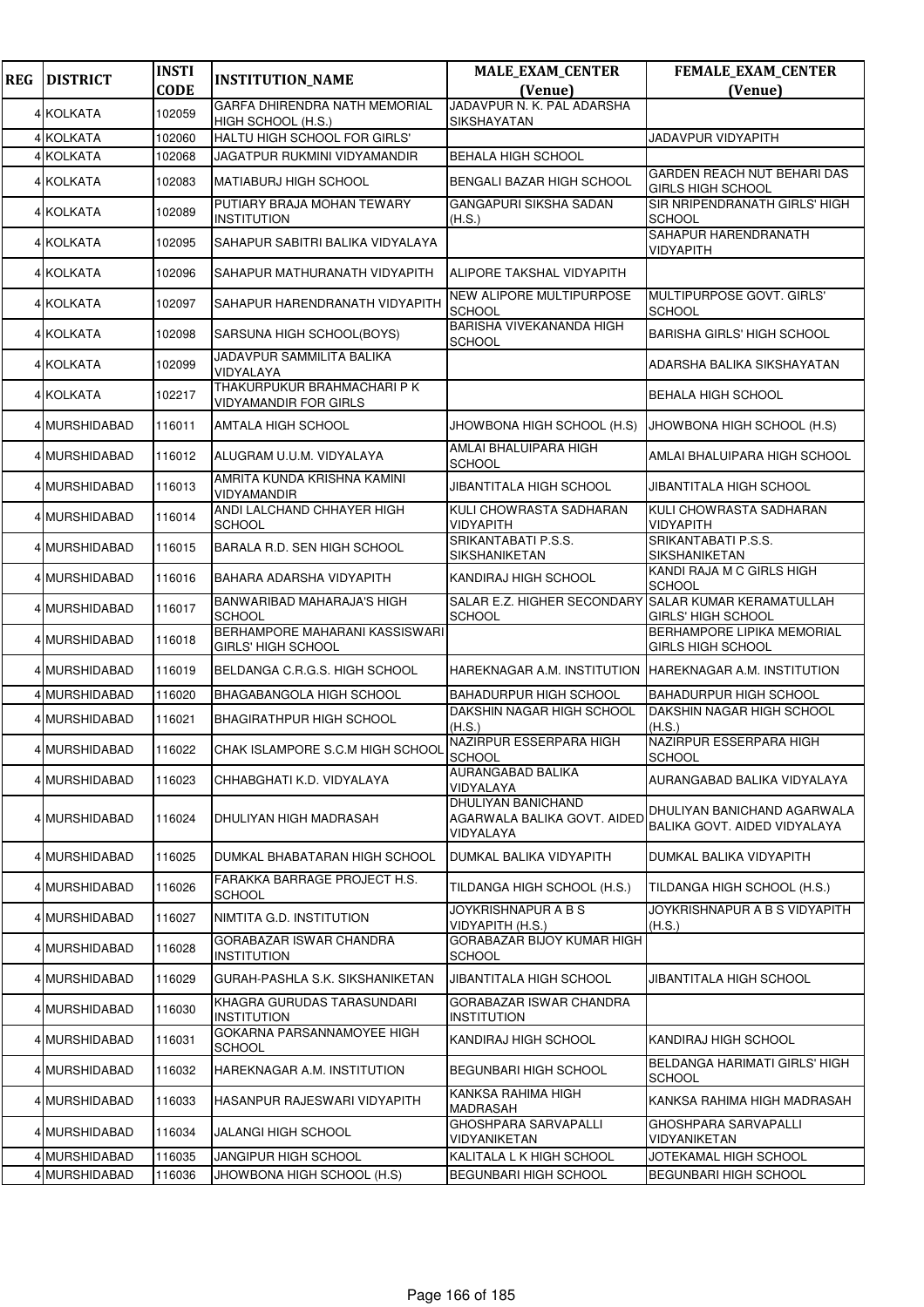| <b>REG</b> | <b>DISTRICT</b> | <b>INSTI</b> | <b>INSTITUTION_NAME</b>                                     | <b>MALE_EXAM_CENTER</b>                                        | FEMALE_EXAM_CENTER                                             |
|------------|-----------------|--------------|-------------------------------------------------------------|----------------------------------------------------------------|----------------------------------------------------------------|
|            |                 | <b>CODE</b>  | GARFA DHIRENDRA NATH MEMORIAL                               | (Venue)<br>JADAVPUR N. K. PAL ADARSHA                          | (Venue)                                                        |
|            | 4 KOLKATA       | 102059       | HIGH SCHOOL (H.S.)                                          | SIKSHAYATAN                                                    |                                                                |
|            | 4 KOLKATA       | 102060       | HALTU HIGH SCHOOL FOR GIRLS'                                |                                                                | JADAVPUR VIDYAPITH                                             |
|            | 4 KOLKATA       | 102068       | <b>JAGATPUR RUKMINI VIDYAMANDIR</b>                         | <b>BEHALA HIGH SCHOOL</b>                                      |                                                                |
|            | 4 KOLKATA       | 102083       | <b>MATIABURJ HIGH SCHOOL</b>                                | BENGALI BAZAR HIGH SCHOOL                                      | <b>GARDEN REACH NUT BEHARI DAS</b><br><b>GIRLS HIGH SCHOOL</b> |
|            | 4 KOLKATA       | 102089       | PUTIARY BRAJA MOHAN TEWARY<br><b>INSTITUTION</b>            | GANGAPURI SIKSHA SADAN<br>(H.S.)                               | SIR NRIPENDRANATH GIRLS' HIGH<br><b>SCHOOL</b>                 |
|            | 4 KOLKATA       | 102095       | SAHAPUR SABITRI BALIKA VIDYALAYA                            |                                                                | SAHAPUR HARENDRANATH<br><b>VIDYAPITH</b>                       |
|            | 4 KOLKATA       | 102096       | SAHAPUR MATHURANATH VIDYAPITH                               | ALIPORE TAKSHAL VIDYAPITH                                      |                                                                |
|            | 4 KOLKATA       | 102097       | SAHAPUR HARENDRANATH VIDYAPITH                              | NEW ALIPORE MULTIPURPOSE<br>SCHOOL                             | MULTIPURPOSE GOVT. GIRLS'<br><b>SCHOOL</b>                     |
|            | 4 KOLKATA       | 102098       | SARSUNA HIGH SCHOOL(BOYS)                                   | <b>BARISHA VIVEKANANDA HIGH</b><br>SCHOOL                      | <b>BARISHA GIRLS' HIGH SCHOOL</b>                              |
|            | 4 KOLKATA       | 102099       | JADAVPUR SAMMILITA BALIKA<br>VIDYALAYA                      |                                                                | ADARSHA BALIKA SIKSHAYATAN                                     |
|            | 4 KOLKATA       | 102217       | THAKURPUKUR BRAHMACHARI P K<br><b>VIDYAMANDIR FOR GIRLS</b> |                                                                | <b>BEHALA HIGH SCHOOL</b>                                      |
|            | 4 MURSHIDABAD   | 116011       | AMTALA HIGH SCHOOL                                          | JHOWBONA HIGH SCHOOL (H.S)                                     | JHOWBONA HIGH SCHOOL (H.S)                                     |
|            | 4 MURSHIDABAD   | 116012       | ALUGRAM U.U.M. VIDYALAYA                                    | AMLAI BHALUIPARA HIGH<br><b>SCHOOL</b>                         | AMLAI BHALUIPARA HIGH SCHOOL                                   |
|            | 4 MURSHIDABAD   | 116013       | AMRITA KUNDA KRISHNA KAMINI<br>VIDYAMANDIR                  | JIBANTITALA HIGH SCHOOL                                        | JIBANTITALA HIGH SCHOOL                                        |
|            | 4 MURSHIDABAD   | 116014       | ANDI LALCHAND CHHAYER HIGH<br><b>SCHOOL</b>                 | KULI CHOWRASTA SADHARAN<br>VIDYAPITH                           | KULI CHOWRASTA SADHARAN<br>VIDYAPITH                           |
|            | 4 MURSHIDABAD   | 116015       | BARALA R.D. SEN HIGH SCHOOL                                 | SRIKANTABATI P.S.S.<br>SIKSHANIKETAN                           | SRIKANTABATI P.S.S.<br>SIKSHANIKETAN                           |
|            | 4 MURSHIDABAD   | 116016       | BAHARA ADARSHA VIDYAPITH                                    | KANDIRAJ HIGH SCHOOL                                           | KANDI RAJA M C GIRLS HIGH<br><b>SCHOOL</b>                     |
|            | 4 MURSHIDABAD   | 116017       | BANWARIBAD MAHARAJA'S HIGH<br><b>SCHOOL</b>                 | SALAR E.Z. HIGHER SECONDARY<br><b>SCHOOL</b>                   | SALAR KUMAR KERAMATULLAH<br><b>GIRLS' HIGH SCHOOL</b>          |
|            | 4 MURSHIDABAD   | 116018       | BERHAMPORE MAHARANI KASSISWARI<br><b>GIRLS' HIGH SCHOOL</b> |                                                                | BERHAMPORE LIPIKA MEMORIAL<br><b>GIRLS HIGH SCHOOL</b>         |
|            | 4 MURSHIDABAD   | 116019       | BELDANGA C.R.G.S. HIGH SCHOOL                               | HAREKNAGAR A.M. INSTITUTION HAREKNAGAR A.M. INSTITUTION        |                                                                |
|            | 4 MURSHIDABAD   | 116020       | BHAGABANGOLA HIGH SCHOOL                                    | <b>BAHADURPUR HIGH SCHOOL</b>                                  | <b>BAHADURPUR HIGH SCHOOL</b>                                  |
|            | 4 MURSHIDABAD   | 116021       | BHAGIRATHPUR HIGH SCHOOL                                    | DAKSHIN NAGAR HIGH SCHOOL<br>(H.S.)                            | DAKSHIN NAGAR HIGH SCHOOL<br>(H.S.)                            |
|            | 4 MURSHIDABAD   | 116022       | CHAK ISLAMPORE S.C.M HIGH SCHOOL                            | NAZIRPUR ESSERPARA HIGH<br><b>SCHOOL</b>                       | NAZIRPUR ESSERPARA HIGH<br><b>SCHOOL</b>                       |
|            | 4 MURSHIDABAD   | 116023       | CHHABGHATI K.D. VIDYALAYA                                   | AURANGABAD BALIKA<br>VIDYALAYA                                 | AURANGABAD BALIKA VIDYALAYA                                    |
|            | 4 MURSHIDABAD   | 116024       | DHULIYAN HIGH MADRASAH                                      | DHULIYAN BANICHAND<br>AGARWALA BALIKA GOVT. AIDED<br>VIDYALAYA | DHULIYAN BANICHAND AGARWALA<br>BALIKA GOVT, AIDED VIDYALAYA    |
|            | 4 MURSHIDABAD   | 116025       | DUMKAL BHABATARAN HIGH SCHOOL                               | DUMKAL BALIKA VIDYAPITH                                        | DUMKAL BALIKA VIDYAPITH                                        |
|            | 4 MURSHIDABAD   | 116026       | FARAKKA BARRAGE PROJECT H.S.<br><b>SCHOOL</b>               | TILDANGA HIGH SCHOOL (H.S.)                                    | TILDANGA HIGH SCHOOL (H.S.)                                    |
|            | 4 MURSHIDABAD   | 116027       | NIMTITA G.D. INSTITUTION                                    | JOYKRISHNAPUR A B S<br>VIDYAPITH (H.S.)                        | JOYKRISHNAPUR A B S VIDYAPITH<br>(H.S.)                        |
|            | 4 MURSHIDABAD   | 116028       | GORABAZAR ISWAR CHANDRA<br><b>INSTITUTION</b>               | GORABAZAR BIJOY KUMAR HIGH<br><b>SCHOOL</b>                    |                                                                |
|            | 4 MURSHIDABAD   | 116029       | GURAH-PASHLA S.K. SIKSHANIKETAN                             | JIBANTITALA HIGH SCHOOL                                        | JIBANTITALA HIGH SCHOOL                                        |
|            | 4 MURSHIDABAD   | 116030       | KHAGRA GURUDAS TARASUNDARI<br><b>INSTITUTION</b>            | GORABAZAR ISWAR CHANDRA<br><b>INSTITUTION</b>                  |                                                                |
|            | 4 MURSHIDABAD   | 116031       | GOKARNA PARSANNAMOYEE HIGH<br><b>SCHOOL</b>                 | KANDIRAJ HIGH SCHOOL                                           | KANDIRAJ HIGH SCHOOL                                           |
|            | 4 MURSHIDABAD   | 116032       | HAREKNAGAR A.M. INSTITUTION                                 | BEGUNBARI HIGH SCHOOL                                          | BELDANGA HARIMATI GIRLS' HIGH<br><b>SCHOOL</b>                 |
|            | 4 MURSHIDABAD   | 116033       | HASANPUR RAJESWARI VIDYAPITH                                | KANKSA RAHIMA HIGH<br>MADRASAH                                 | KANKSA RAHIMA HIGH MADRASAH                                    |
|            | 4 MURSHIDABAD   | 116034       | JALANGI HIGH SCHOOL                                         | GHOSHPARA SARVAPALLI<br>VIDYANIKETAN                           | GHOSHPARA SARVAPALLI<br>VIDYANIKETAN                           |
|            | 4 MURSHIDABAD   | 116035       | JANGIPUR HIGH SCHOOL                                        | KALITALA L K HIGH SCHOOL                                       | JOTEKAMAL HIGH SCHOOL                                          |
|            | 4 MURSHIDABAD   | 116036       | JHOWBONA HIGH SCHOOL (H.S)                                  | BEGUNBARI HIGH SCHOOL                                          | BEGUNBARI HIGH SCHOOL                                          |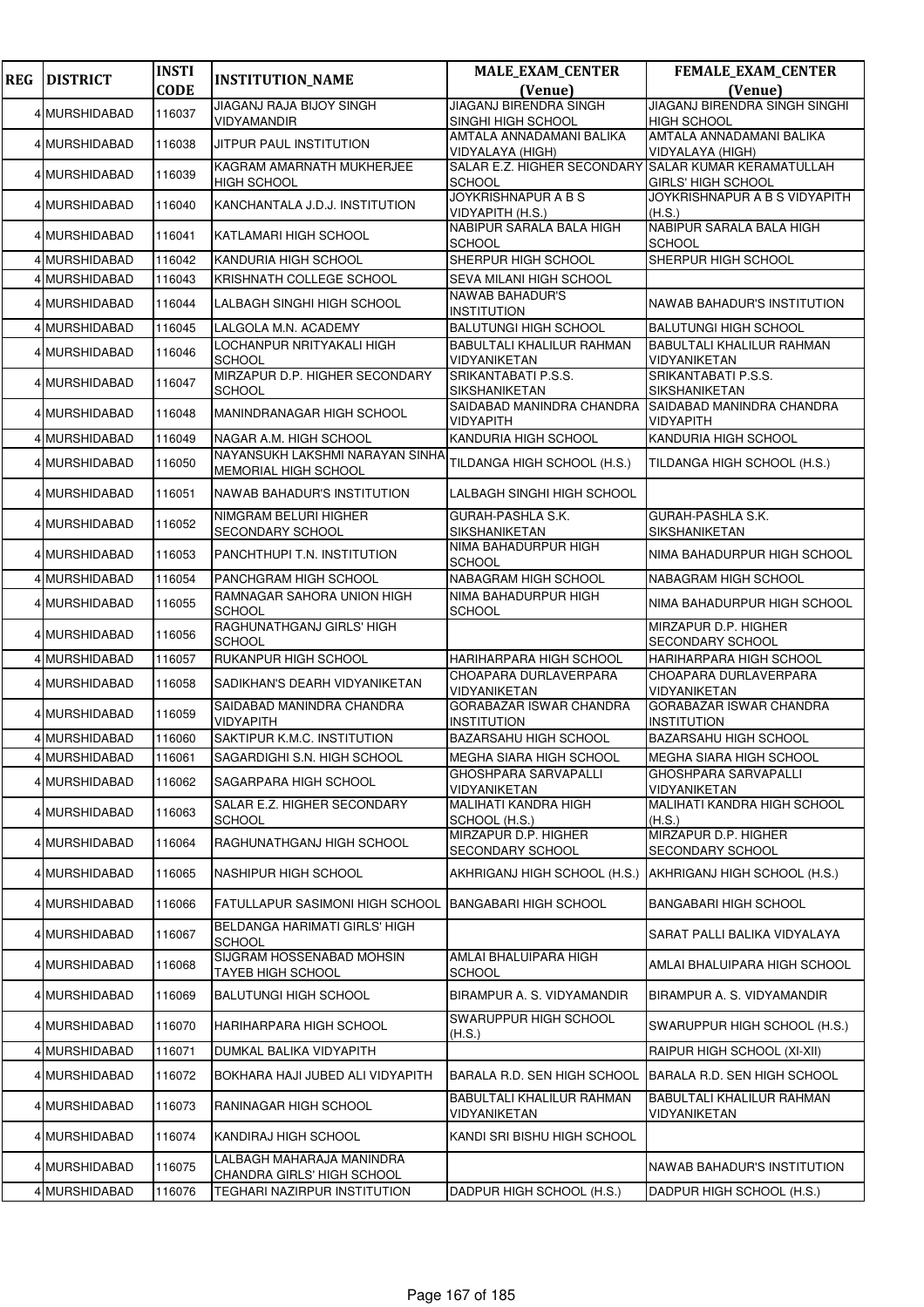| <b>REG</b> | <b>DISTRICT</b> | <b>INSTI</b> | <b>INSTITUTION_NAME</b>                                    | <b>MALE_EXAM_CENTER</b>                          | FEMALE_EXAM_CENTER                                    |
|------------|-----------------|--------------|------------------------------------------------------------|--------------------------------------------------|-------------------------------------------------------|
|            |                 | <b>CODE</b>  |                                                            | (Venue)                                          | (Venue)                                               |
|            | 4 MURSHIDABAD   | 116037       | JIAGANJ RAJA BIJOY SINGH<br><b>VIDYAMANDIR</b>             | JIAGANJ BIRENDRA SINGH<br>SINGHI HIGH SCHOOL     | JIAGANJ BIRENDRA SINGH SINGHI<br><b>HIGH SCHOOL</b>   |
|            |                 |              |                                                            | AMTALA ANNADAMANI BALIKA                         | AMTALA ANNADAMANI BALIKA                              |
|            | 4 MURSHIDABAD   | 116038       | JITPUR PAUL INSTITUTION                                    | VIDYALAYA (HIGH)                                 | <b>VIDYALAYA (HIGH)</b>                               |
|            | 4 MURSHIDABAD   | 116039       | KAGRAM AMARNATH MUKHERJEE<br><b>HIGH SCHOOL</b>            | SALAR E.Z. HIGHER SECONDARY<br><b>SCHOOL</b>     | SALAR KUMAR KERAMATULLAH<br><b>GIRLS' HIGH SCHOOL</b> |
|            | 4 MURSHIDABAD   | 116040       | KANCHANTALA J.D.J. INSTITUTION                             | <b>JOYKRISHNAPUR A B S</b><br>VIDYAPITH (H.S.)   | JOYKRISHNAPUR A B S VIDYAPITH<br>(H.S.)               |
|            | 4 MURSHIDABAD   | 116041       | KATLAMARI HIGH SCHOOL                                      | NABIPUR SARALA BALA HIGH<br><b>SCHOOL</b>        | NABIPUR SARALA BALA HIGH<br><b>SCHOOL</b>             |
|            | 4 MURSHIDABAD   | 116042       | KANDURIA HIGH SCHOOL                                       | SHERPUR HIGH SCHOOL                              | SHERPUR HIGH SCHOOL                                   |
|            | 4 MURSHIDABAD   | 116043       | KRISHNATH COLLEGE SCHOOL                                   | SEVA MILANI HIGH SCHOOL                          |                                                       |
|            | 4 MURSHIDABAD   | 116044       | LALBAGH SINGHI HIGH SCHOOL                                 | <b>NAWAB BAHADUR'S</b><br><b>INSTITUTION</b>     | NAWAB BAHADUR'S INSTITUTION                           |
|            | 4 MURSHIDABAD   | 116045       | LALGOLA M.N. ACADEMY                                       | <b>BALUTUNGI HIGH SCHOOL</b>                     | <b>BALUTUNGI HIGH SCHOOL</b>                          |
|            | 4 MURSHIDABAD   | 116046       | LOCHANPUR NRITYAKALI HIGH<br><b>SCHOOL</b>                 | <b>BABULTALI KHALILUR RAHMAN</b><br>VIDYANIKETAN | <b>BABULTALI KHALILUR RAHMAN</b><br>VIDYANIKETAN      |
|            | 4 MURSHIDABAD   | 116047       | MIRZAPUR D.P. HIGHER SECONDARY<br><b>SCHOOL</b>            | SRIKANTABATI P.S.S.<br><b>SIKSHANIKETAN</b>      | SRIKANTABATI P.S.S.<br><b>SIKSHANIKETAN</b>           |
|            | 4 MURSHIDABAD   | 116048       | MANINDRANAGAR HIGH SCHOOL                                  | SAIDABAD MANINDRA CHANDRA<br>VIDYAPITH           | SAIDABAD MANINDRA CHANDRA<br><b>VIDYAPITH</b>         |
|            | 4 MURSHIDABAD   | 116049       | NAGAR A.M. HIGH SCHOOL                                     | KANDURIA HIGH SCHOOL                             | <b>KANDURIA HIGH SCHOOL</b>                           |
|            | 4 MURSHIDABAD   | 116050       | NAYANSUKH LAKSHMI NARAYAN SINHA<br>MEMORIAL HIGH SCHOOL    | TILDANGA HIGH SCHOOL (H.S.)                      | TILDANGA HIGH SCHOOL (H.S.)                           |
|            | 4 MURSHIDABAD   | 116051       | NAWAB BAHADUR'S INSTITUTION                                | LALBAGH SINGHI HIGH SCHOOL                       |                                                       |
|            | 4 MURSHIDABAD   | 116052       | NIMGRAM BELURI HIGHER<br>SECONDARY SCHOOL                  | <b>GURAH-PASHLA S.K.</b><br>SIKSHANIKETAN        | <b>GURAH-PASHLA S.K.</b><br><b>SIKSHANIKETAN</b>      |
|            | 4 MURSHIDABAD   | 116053       | PANCHTHUPI T.N. INSTITUTION                                | NIMA BAHADURPUR HIGH<br><b>SCHOOL</b>            | NIMA BAHADURPUR HIGH SCHOOL                           |
|            | 4 MURSHIDABAD   | 116054       | PANCHGRAM HIGH SCHOOL                                      | NABAGRAM HIGH SCHOOL                             | NABAGRAM HIGH SCHOOL                                  |
|            | 4 MURSHIDABAD   | 116055       | RAMNAGAR SAHORA UNION HIGH<br><b>SCHOOL</b>                | NIMA BAHADURPUR HIGH<br><b>SCHOOL</b>            | NIMA BAHADURPUR HIGH SCHOOL                           |
|            | 4 MURSHIDABAD   | 116056       | RAGHUNATHGANJ GIRLS' HIGH<br><b>SCHOOL</b>                 |                                                  | MIRZAPUR D.P. HIGHER<br><b>SECONDARY SCHOOL</b>       |
|            | 4 MURSHIDABAD   | 116057       | RUKANPUR HIGH SCHOOL                                       | HARIHARPARA HIGH SCHOOL                          | HARIHARPARA HIGH SCHOOL                               |
|            | 4 MURSHIDABAD   | 116058       | SADIKHAN'S DEARH VIDYANIKETAN                              | CHOAPARA DURLAVERPARA<br>VIDYANIKETAN            | CHOAPARA DURLAVERPARA<br><b>VIDYANIKETAN</b>          |
|            | 4 MURSHIDABAD   | 116059       | SAIDABAD MANINDRA CHANDRA<br><b>VIDYAPITH</b>              | GORABAZAR ISWAR CHANDRA<br><b>INSTITUTION</b>    | GORABAZAR ISWAR CHANDRA<br><b>INSTITUTION</b>         |
|            | 4 MURSHIDABAD   | 116060       | SAKTIPUR K.M.C. INSTITUTION                                | <b>BAZARSAHU HIGH SCHOOL</b>                     | <b>BAZARSAHU HIGH SCHOOL</b>                          |
|            | 4 MURSHIDABAD   | 116061       | SAGARDIGHI S.N. HIGH SCHOOL                                | MEGHA SIARA HIGH SCHOOL                          | MEGHA SIARA HIGH SCHOOL                               |
|            | 4 MURSHIDABAD   | 116062       | SAGARPARA HIGH SCHOOL                                      | <b>GHOSHPARA SARVAPALLI</b><br>VIDYANIKETAN      | <b>GHOSHPARA SARVAPALLI</b><br>VIDYANIKETAN           |
|            | 4 MURSHIDABAD   | 116063       | SALAR E.Z. HIGHER SECONDARY<br><b>SCHOOL</b>               | <b>MALIHATI KANDRA HIGH</b><br>SCHOOL (H.S.)     | <b>MALIHATI KANDRA HIGH SCHOOL</b><br>(H.S.)          |
|            | 4 MURSHIDABAD   | 116064       | RAGHUNATHGANJ HIGH SCHOOL                                  | MIRZAPUR D.P. HIGHER<br>SECONDARY SCHOOL         | MIRZAPUR D.P. HIGHER<br><b>SECONDARY SCHOOL</b>       |
|            | 4 MURSHIDABAD   | 116065       | <b>NASHIPUR HIGH SCHOOL</b>                                | AKHRIGANJ HIGH SCHOOL (H.S.)                     | AKHRIGANJ HIGH SCHOOL (H.S.)                          |
|            | 4 MURSHIDABAD   | 116066       | FATULLAPUR SASIMONI HIGH SCHOOL                            | <b>BANGABARI HIGH SCHOOL</b>                     | <b>BANGABARI HIGH SCHOOL</b>                          |
|            | 4 MURSHIDABAD   | 116067       | BELDANGA HARIMATI GIRLS' HIGH<br><b>SCHOOL</b>             |                                                  | SARAT PALLI BALIKA VIDYALAYA                          |
|            | 4 MURSHIDABAD   | 116068       | SIJGRAM HOSSENABAD MOHSIN<br><b>TAYEB HIGH SCHOOL</b>      | AMLAI BHALUIPARA HIGH<br><b>SCHOOL</b>           | AMLAI BHALUIPARA HIGH SCHOOL                          |
|            | 4 MURSHIDABAD   | 116069       | <b>BALUTUNGI HIGH SCHOOL</b>                               | BIRAMPUR A. S. VIDYAMANDIR                       | BIRAMPUR A. S. VIDYAMANDIR                            |
|            | 4 MURSHIDABAD   | 116070       | HARIHARPARA HIGH SCHOOL                                    | SWARUPPUR HIGH SCHOOL<br>(H.S.)                  | SWARUPPUR HIGH SCHOOL (H.S.)                          |
|            | 4 MURSHIDABAD   | 116071       | DUMKAL BALIKA VIDYAPITH                                    |                                                  | RAIPUR HIGH SCHOOL (XI-XII)                           |
|            | 4 MURSHIDABAD   | 116072       | BOKHARA HAJI JUBED ALI VIDYAPITH                           | BARALA R.D. SEN HIGH SCHOOL                      | BARALA R.D. SEN HIGH SCHOOL                           |
|            | 4 MURSHIDABAD   | 116073       | RANINAGAR HIGH SCHOOL                                      | <b>BABULTALI KHALILUR RAHMAN</b><br>VIDYANIKETAN | BABULTALI KHALILUR RAHMAN<br>VIDYANIKETAN             |
|            | 4 MURSHIDABAD   | 116074       | KANDIRAJ HIGH SCHOOL                                       | KANDI SRI BISHU HIGH SCHOOL                      |                                                       |
|            | 4 MURSHIDABAD   | 116075       | LALBAGH MAHARAJA MANINDRA                                  |                                                  | NAWAB BAHADUR'S INSTITUTION                           |
|            | 4 MURSHIDABAD   | 116076       | CHANDRA GIRLS' HIGH SCHOOL<br>TEGHARI NAZIRPUR INSTITUTION | DADPUR HIGH SCHOOL (H.S.)                        | DADPUR HIGH SCHOOL (H.S.)                             |
|            |                 |              |                                                            |                                                  |                                                       |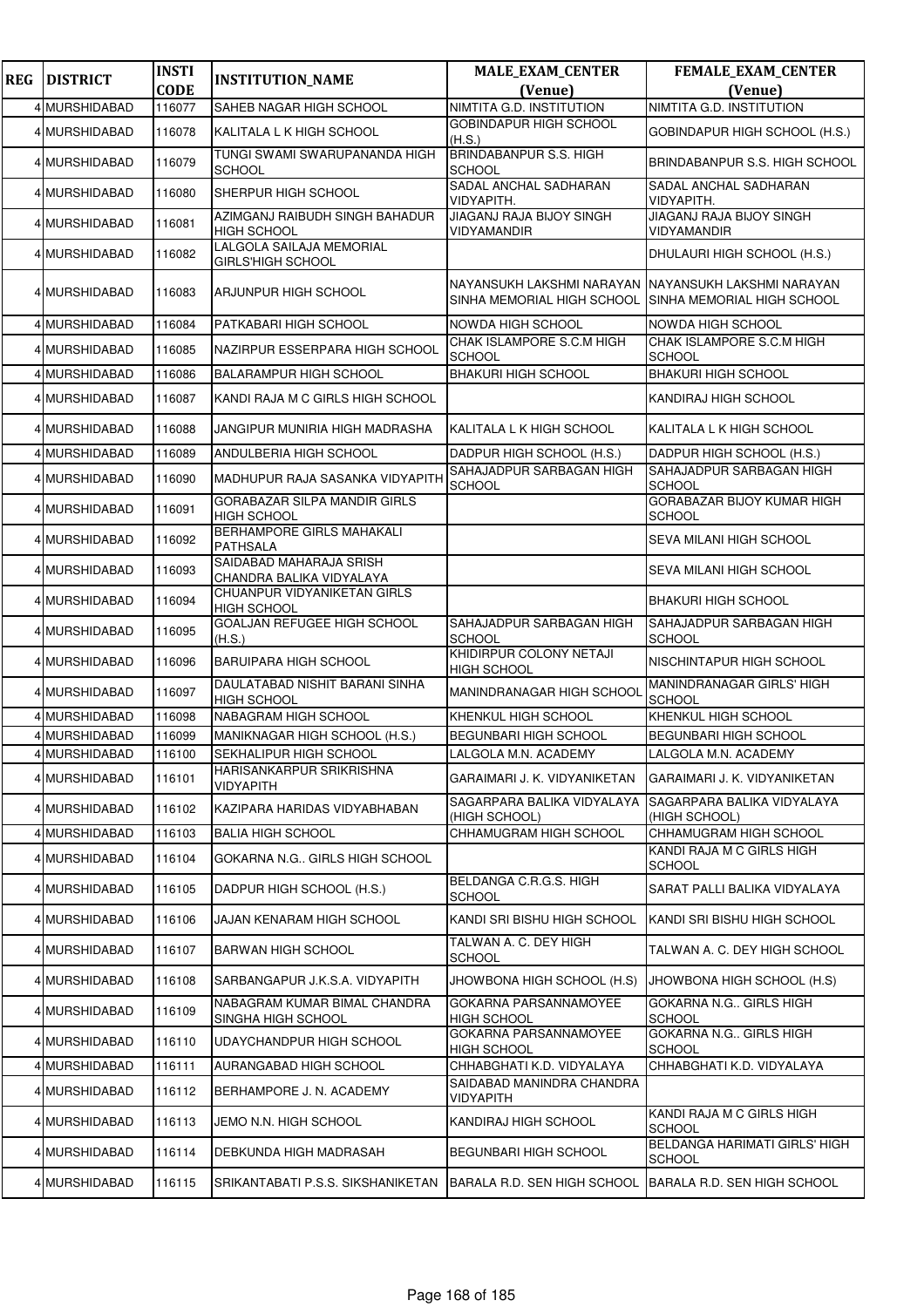| <b>REG</b> | <b>DISTRICT</b> | <b>INSTI</b> | <b>INSTITUTION_NAME</b>                              | <b>MALE_EXAM_CENTER</b>                                 | FEMALE_EXAM_CENTER                                       |
|------------|-----------------|--------------|------------------------------------------------------|---------------------------------------------------------|----------------------------------------------------------|
|            |                 | <b>CODE</b>  |                                                      | (Venue)                                                 | (Venue)                                                  |
|            | 4 MURSHIDABAD   | 116077       | SAHEB NAGAR HIGH SCHOOL                              | NIMTITA G.D. INSTITUTION                                | NIMTITA G.D. INSTITUTION                                 |
|            | 4 MURSHIDABAD   | 116078       | KALITALA L K HIGH SCHOOL                             | GOBINDAPUR HIGH SCHOOL<br>(H.S.)                        | GOBINDAPUR HIGH SCHOOL (H.S.)                            |
|            | 4 MURSHIDABAD   | 116079       | TUNGI SWAMI SWARUPANANDA HIGH<br><b>SCHOOL</b>       | <b>BRINDABANPUR S.S. HIGH</b><br><b>SCHOOL</b>          | BRINDABANPUR S.S. HIGH SCHOOL                            |
|            | 4 MURSHIDABAD   | 116080       | SHERPUR HIGH SCHOOL                                  | SADAL ANCHAL SADHARAN<br>VIDYAPITH.                     | SADAL ANCHAL SADHARAN<br>VIDYAPITH.                      |
|            | 4 MURSHIDABAD   | 116081       | AZIMGANJ RAIBUDH SINGH BAHADUR<br><b>HIGH SCHOOL</b> | JIAGANJ RAJA BIJOY SINGH<br>VIDYAMANDIR                 | JIAGANJ RAJA BIJOY SINGH<br>VIDYAMANDIR                  |
|            | 4 MURSHIDABAD   | 116082       | LALGOLA SAILAJA MEMORIAL<br><b>GIRLS'HIGH SCHOOL</b> |                                                         | DHULAURI HIGH SCHOOL (H.S.)                              |
|            | 4 MURSHIDABAD   | 116083       | ARJUNPUR HIGH SCHOOL                                 | NAYANSUKH LAKSHMI NARAYAN<br>SINHA MEMORIAL HIGH SCHOOL | INAYANSUKH LAKSHMI NARAYAN<br>SINHA MEMORIAL HIGH SCHOOL |
|            | 4 MURSHIDABAD   | 116084       | PATKABARI HIGH SCHOOL                                | <b>NOWDA HIGH SCHOOL</b>                                | NOWDA HIGH SCHOOL                                        |
|            | 4 MURSHIDABAD   | 116085       | NAZIRPUR ESSERPARA HIGH SCHOOL                       | CHAK ISLAMPORE S.C.M HIGH<br><b>SCHOOL</b>              | CHAK ISLAMPORE S.C.M HIGH<br><b>SCHOOL</b>               |
|            | 4 MURSHIDABAD   | 116086       | <b>BALARAMPUR HIGH SCHOOL</b>                        | <b>BHAKURI HIGH SCHOOL</b>                              | <b>BHAKURI HIGH SCHOOL</b>                               |
|            | 4 MURSHIDABAD   | 116087       | KANDI RAJA M C GIRLS HIGH SCHOOL                     |                                                         | KANDIRAJ HIGH SCHOOL                                     |
|            | 4 MURSHIDABAD   | 116088       | JANGIPUR MUNIRIA HIGH MADRASHA                       | KALITALA L K HIGH SCHOOL                                | KALITALA L K HIGH SCHOOL                                 |
|            | 4 MURSHIDABAD   | 116089       | ANDULBERIA HIGH SCHOOL                               | DADPUR HIGH SCHOOL (H.S.)                               | DADPUR HIGH SCHOOL (H.S.)                                |
|            | 4 MURSHIDABAD   | 116090       | MADHUPUR RAJA SASANKA VIDYAPITH                      | SAHAJADPUR SARBAGAN HIGH<br><b>SCHOOL</b>               | SAHAJADPUR SARBAGAN HIGH<br><b>SCHOOL</b>                |
|            | 4 MURSHIDABAD   | 116091       | GORABAZAR SILPA MANDIR GIRLS<br><b>HIGH SCHOOL</b>   |                                                         | <b>GORABAZAR BIJOY KUMAR HIGH</b><br><b>SCHOOL</b>       |
|            | 4 MURSHIDABAD   | 116092       | BERHAMPORE GIRLS MAHAKALI<br><b>PATHSALA</b>         |                                                         | SEVA MILANI HIGH SCHOOL                                  |
|            | 4 MURSHIDABAD   | 116093       | SAIDABAD MAHARAJA SRISH<br>CHANDRA BALIKA VIDYALAYA  |                                                         | SEVA MILANI HIGH SCHOOL                                  |
|            | 4 MURSHIDABAD   | 116094       | CHUANPUR VIDYANIKETAN GIRLS<br><b>HIGH SCHOOL</b>    |                                                         | <b>BHAKURI HIGH SCHOOL</b>                               |
|            | 4 MURSHIDABAD   | 116095       | <b>GOALJAN REFUGEE HIGH SCHOOL</b><br>(H.S.)         | SAHAJADPUR SARBAGAN HIGH<br><b>SCHOOL</b>               | SAHAJADPUR SARBAGAN HIGH<br><b>SCHOOL</b>                |
|            | 4 MURSHIDABAD   | 116096       | <b>BARUIPARA HIGH SCHOOL</b>                         | KHIDIRPUR COLONY NETAJI<br><b>HIGH SCHOOL</b>           | NISCHINTAPUR HIGH SCHOOL                                 |
|            | 4 MURSHIDABAD   | 116097       | DAULATABAD NISHIT BARANI SINHA<br><b>HIGH SCHOOL</b> | <b>MANINDRANAGAR HIGH SCHOOL</b>                        | MANINDRANAGAR GIRLS' HIGH<br><b>SCHOOL</b>               |
|            | 4 MURSHIDABAD   | 116098       | NABAGRAM HIGH SCHOOL                                 | KHENKUL HIGH SCHOOL                                     | KHENKUL HIGH SCHOOL                                      |
|            | 4 MURSHIDABAD   | 116099       | MANIKNAGAR HIGH SCHOOL (H.S.)                        | <b>BEGUNBARI HIGH SCHOOL</b>                            | <b>BEGUNBARI HIGH SCHOOL</b>                             |
|            | 4 MURSHIDABAD   | 116100       | SEKHALIPUR HIGH SCHOOL                               | LALGOLA M.N. ACADEMY                                    | LALGOLA M.N. ACADEMY                                     |
|            | 4 MURSHIDABAD   | 116101       | HARISANKARPUR SRIKRISHNA<br>VIDYAPITH                | GARAIMARI J. K. VIDYANIKETAN                            | GARAIMARI J. K. VIDYANIKETAN                             |
|            | 4 MURSHIDABAD   | 116102       | KAZIPARA HARIDAS VIDYABHABAN                         | SAGARPARA BALIKA VIDYALAYA<br>(HIGH SCHOOL)             | <b>SAGARPARA BALIKA VIDYALAYA</b><br>(HIGH SCHOOL)       |
|            | 4 MURSHIDABAD   | 116103       | <b>BALIA HIGH SCHOOL</b>                             | CHHAMUGRAM HIGH SCHOOL                                  | CHHAMUGRAM HIGH SCHOOL                                   |
|            | 4 MURSHIDABAD   | 116104       | GOKARNA N.G., GIRLS HIGH SCHOOL                      |                                                         | KANDI RAJA M C GIRLS HIGH<br><b>SCHOOL</b>               |
|            | 4 MURSHIDABAD   | 116105       | DADPUR HIGH SCHOOL (H.S.)                            | BELDANGA C.R.G.S. HIGH<br><b>SCHOOL</b>                 | SARAT PALLI BALIKA VIDYALAYA                             |
|            | 4 MURSHIDABAD   | 116106       | JAJAN KENARAM HIGH SCHOOL                            | KANDI SRI BISHU HIGH SCHOOL                             | KANDI SRI BISHU HIGH SCHOOL                              |
|            | 4 MURSHIDABAD   | 116107       | <b>BARWAN HIGH SCHOOL</b>                            | TALWAN A. C. DEY HIGH<br><b>SCHOOL</b>                  | TALWAN A. C. DEY HIGH SCHOOL                             |
|            | 4 MURSHIDABAD   | 116108       | SARBANGAPUR J.K.S.A. VIDYAPITH                       | JHOWBONA HIGH SCHOOL (H.S)                              | JHOWBONA HIGH SCHOOL (H.S)                               |
|            | 4 MURSHIDABAD   | 116109       | NABAGRAM KUMAR BIMAL CHANDRA<br>SINGHA HIGH SCHOOL   | GOKARNA PARSANNAMOYEE<br><b>HIGH SCHOOL</b>             | GOKARNA N.G GIRLS HIGH<br><b>SCHOOL</b>                  |
|            | 4 MURSHIDABAD   | 116110       | UDAYCHANDPUR HIGH SCHOOL                             | <b>GOKARNA PARSANNAMOYEE</b><br>HIGH SCHOOL             | GOKARNA N.G GIRLS HIGH<br><b>SCHOOL</b>                  |
|            | 4 MURSHIDABAD   | 116111       | AURANGABAD HIGH SCHOOL                               | CHHABGHATI K.D. VIDYALAYA                               | CHHABGHATI K.D. VIDYALAYA                                |
|            | 4 MURSHIDABAD   | 116112       | BERHAMPORE J. N. ACADEMY                             | SAIDABAD MANINDRA CHANDRA<br><b>VIDYAPITH</b>           |                                                          |
|            | 4 MURSHIDABAD   | 116113       | JEMO N.N. HIGH SCHOOL                                | KANDIRAJ HIGH SCHOOL                                    | KANDI RAJA M C GIRLS HIGH<br><b>SCHOOL</b>               |
|            | 4 MURSHIDABAD   | 116114       | DEBKUNDA HIGH MADRASAH                               | <b>BEGUNBARI HIGH SCHOOL</b>                            | <b>BELDANGA HARIMATI GIRLS' HIGH</b><br>SCHOOL           |
|            | 4 MURSHIDABAD   | 116115       | SRIKANTABATI P.S.S. SIKSHANIKETAN                    | BARALA R.D. SEN HIGH SCHOOL                             | BARALA R.D. SEN HIGH SCHOOL                              |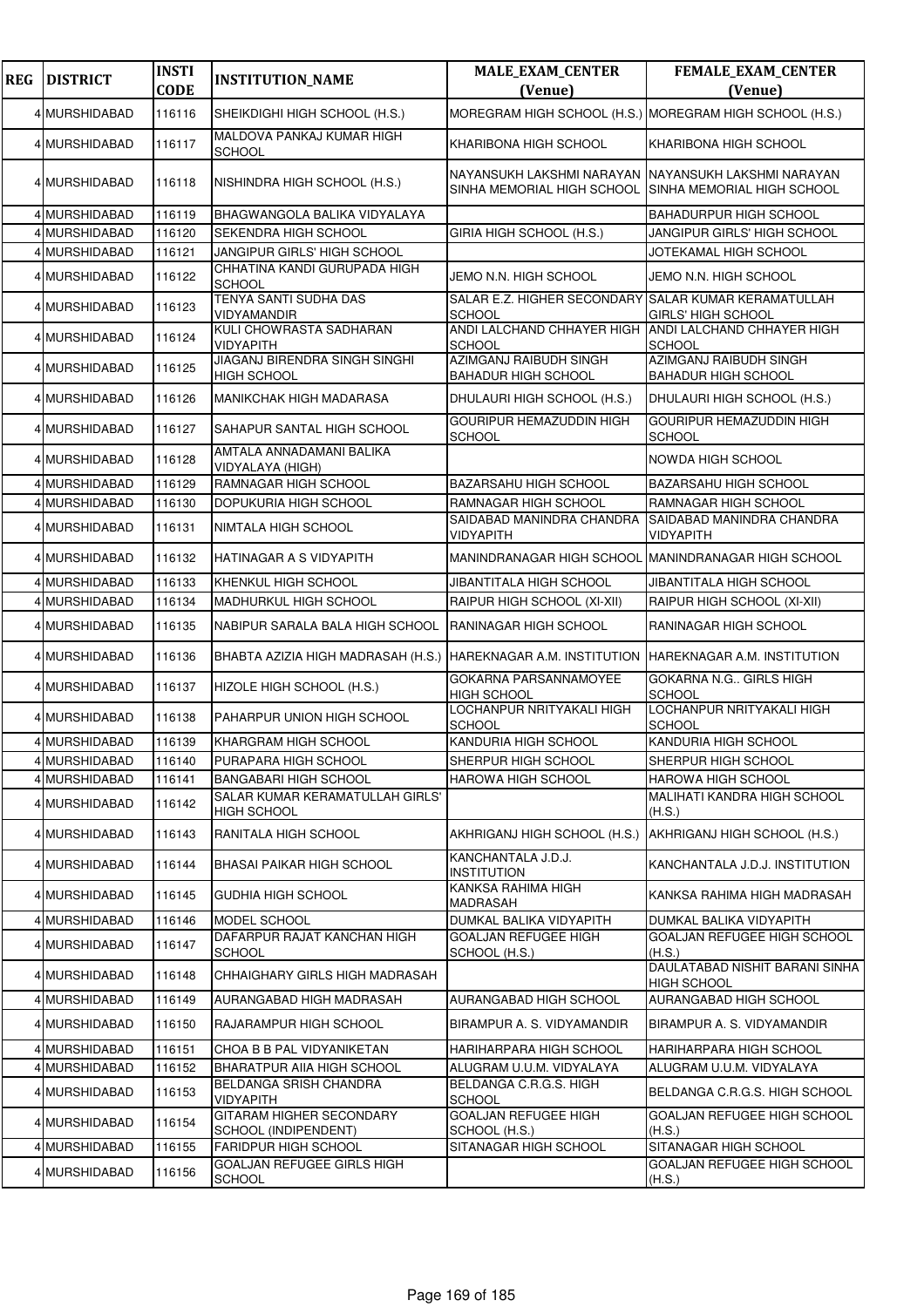| <b>REG</b> | <b>DISTRICT</b> | <b>INSTI</b><br><b>CODE</b> | <b>INSTITUTION_NAME</b>                             | <b>MALE_EXAM_CENTER</b><br>(Venue)                                                 | <b>FEMALE_EXAM_CENTER</b><br>(Venue)                    |
|------------|-----------------|-----------------------------|-----------------------------------------------------|------------------------------------------------------------------------------------|---------------------------------------------------------|
|            | 4 MURSHIDABAD   | 116116                      | SHEIKDIGHI HIGH SCHOOL (H.S.)                       |                                                                                    | MOREGRAM HIGH SCHOOL (H.S.) MOREGRAM HIGH SCHOOL (H.S.) |
|            | 4 MURSHIDABAD   | 116117                      | MALDOVA PANKAJ KUMAR HIGH<br><b>SCHOOL</b>          | KHARIBONA HIGH SCHOOL                                                              | KHARIBONA HIGH SCHOOL                                   |
|            | 4 MURSHIDABAD   | 116118                      | NISHINDRA HIGH SCHOOL (H.S.)                        | NAYANSUKH LAKSHMI NARAYAN<br>SINHA MEMORIAL HIGH SCHOOL SINHA MEMORIAL HIGH SCHOOL | INAYANSUKH LAKSHMI NARAYAN                              |
|            | 4 MURSHIDABAD   | 116119                      | BHAGWANGOLA BALIKA VIDYALAYA                        |                                                                                    | <b>BAHADURPUR HIGH SCHOOL</b>                           |
|            | 4 MURSHIDABAD   | 116120                      | SEKENDRA HIGH SCHOOL                                | GIRIA HIGH SCHOOL (H.S.)                                                           | JANGIPUR GIRLS' HIGH SCHOOL                             |
|            | 4 MURSHIDABAD   | 116121                      | JANGIPUR GIRLS' HIGH SCHOOL                         |                                                                                    | JOTEKAMAL HIGH SCHOOL                                   |
|            | 4 MURSHIDABAD   | 116122                      | CHHATINA KANDI GURUPADA HIGH<br><b>SCHOOL</b>       | JEMO N.N. HIGH SCHOOL                                                              | JEMO N.N. HIGH SCHOOL                                   |
|            | 4 MURSHIDABAD   | 116123                      | <b>TENYA SANTI SUDHA DAS</b><br><b>VIDYAMANDIR</b>  | SALAR E.Z. HIGHER SECONDARY SALAR KUMAR KERAMATULLAH<br><b>SCHOOL</b>              | <b>GIRLS' HIGH SCHOOL</b>                               |
|            | 4 MURSHIDABAD   | 116124                      | KULI CHOWRASTA SADHARAN<br><b>VIDYAPITH</b>         | ANDI LALCHAND CHHAYER HIGH<br><b>SCHOOL</b>                                        | ANDI LALCHAND CHHAYER HIGH<br><b>SCHOOL</b>             |
|            | 4 MURSHIDABAD   | 116125                      | JIAGANJ BIRENDRA SINGH SINGHI<br><b>HIGH SCHOOL</b> | AZIMGANJ RAIBUDH SINGH<br><b>BAHADUR HIGH SCHOOL</b>                               | AZIMGANJ RAIBUDH SINGH<br><b>BAHADUR HIGH SCHOOL</b>    |
|            | 4 MURSHIDABAD   | 116126                      | <b>MANIKCHAK HIGH MADARASA</b>                      | DHULAURI HIGH SCHOOL (H.S.)                                                        | DHULAURI HIGH SCHOOL (H.S.)                             |
|            | 4 MURSHIDABAD   | 116127                      | SAHAPUR SANTAL HIGH SCHOOL                          | GOURIPUR HEMAZUDDIN HIGH<br><b>SCHOOL</b>                                          | <b>GOURIPUR HEMAZUDDIN HIGH</b><br><b>SCHOOL</b>        |
|            | 4 MURSHIDABAD   | 116128                      | AMTALA ANNADAMANI BALIKA<br>VIDYALAYA (HIGH)        |                                                                                    | NOWDA HIGH SCHOOL                                       |
|            | 4 MURSHIDABAD   | 116129                      | RAMNAGAR HIGH SCHOOL                                | <b>BAZARSAHU HIGH SCHOOL</b>                                                       | <b>BAZARSAHU HIGH SCHOOL</b>                            |
|            | 4 MURSHIDABAD   | 116130                      | DOPUKURIA HIGH SCHOOL                               | RAMNAGAR HIGH SCHOOL                                                               | RAMNAGAR HIGH SCHOOL                                    |
|            | 4 MURSHIDABAD   | 116131                      | NIMTALA HIGH SCHOOL                                 | SAIDABAD MANINDRA CHANDRA<br>VIDYAPITH                                             | SAIDABAD MANINDRA CHANDRA<br>VIDYAPITH                  |
|            | 4 MURSHIDABAD   | 116132                      | HATINAGAR A S VIDYAPITH                             | MANINDRANAGAR HIGH SCHOOL                                                          | MANINDRANAGAR HIGH SCHOOL                               |
|            | 4 MURSHIDABAD   | 116133                      | KHENKUL HIGH SCHOOL                                 | JIBANTITALA HIGH SCHOOL                                                            | JIBANTITALA HIGH SCHOOL                                 |
|            | 4 MURSHIDABAD   | 116134                      | MADHURKUL HIGH SCHOOL                               | RAIPUR HIGH SCHOOL (XI-XII)                                                        | RAIPUR HIGH SCHOOL (XI-XII)                             |
|            | 4 MURSHIDABAD   | 116135                      | NABIPUR SARALA BALA HIGH SCHOOL                     | RANINAGAR HIGH SCHOOL                                                              | RANINAGAR HIGH SCHOOL                                   |
|            | 4 MURSHIDABAD   | 116136                      | BHABTA AZIZIA HIGH MADRASAH (H.S.)                  | HAREKNAGAR A.M. INSTITUTION                                                        | HAREKNAGAR A.M. INSTITUTION                             |
|            | 4 MURSHIDABAD   | 116137                      | HIZOLE HIGH SCHOOL (H.S.)                           | GOKARNA PARSANNAMOYEE<br><b>HIGH SCHOOL</b>                                        | <b>GOKARNA N.G., GIRLS HIGH</b><br><b>SCHOOL</b>        |
|            | 4 MURSHIDABAD   | 116138                      | PAHARPUR UNION HIGH SCHOOL                          | LOCHANPUR NRITYAKALI HIGH<br><b>SCHOOL</b>                                         | LOCHANPUR NRITYAKALI HIGH<br><b>SCHOOL</b>              |
|            | 4 MURSHIDABAD   | 116139                      | KHARGRAM HIGH SCHOOL                                | KANDURIA HIGH SCHOOL                                                               | KANDURIA HIGH SCHOOL                                    |
|            | 4 MURSHIDABAD   | 116140                      | PURAPARA HIGH SCHOOL                                | SHERPUR HIGH SCHOOL                                                                | SHERPUR HIGH SCHOOL                                     |
|            | 4 MURSHIDABAD   | 116141                      | BANGABARI HIGH SCHOOL                               | HAROWA HIGH SCHOOL                                                                 | <b>HAROWA HIGH SCHOOL</b>                               |
|            | 4 MURSHIDABAD   | 116142                      | SALAR KUMAR KERAMATULLAH GIRLS'<br>HIGH SCHOOL      |                                                                                    | <b>MALIHATI KANDRA HIGH SCHOOL</b><br>(H.S.)            |
|            | 4 MURSHIDABAD   | 116143                      | RANITALA HIGH SCHOOL                                | AKHRIGANJ HIGH SCHOOL (H.S.)                                                       | AKHRIGANJ HIGH SCHOOL (H.S.)                            |
|            | 4 MURSHIDABAD   | 116144                      | BHASAI PAIKAR HIGH SCHOOL                           | KANCHANTALA J.D.J.<br>INSTITUTION                                                  | KANCHANTALA J.D.J. INSTITUTION                          |
|            | 4 MURSHIDABAD   | 116145                      | <b>GUDHIA HIGH SCHOOL</b>                           | KANKSA RAHIMA HIGH<br>MADRASAH                                                     | KANKSA RAHIMA HIGH MADRASAH                             |
|            | 4 MURSHIDABAD   | 116146                      | MODEL SCHOOL                                        | DUMKAL BALIKA VIDYAPITH                                                            | DUMKAL BALIKA VIDYAPITH                                 |
|            | 4 MURSHIDABAD   | 116147                      | DAFARPUR RAJAT KANCHAN HIGH<br><b>SCHOOL</b>        | GOALJAN REFUGEE HIGH<br>SCHOOL (H.S.)                                              | GOALJAN REFUGEE HIGH SCHOOL<br>(H.S.)                   |
|            | 4 MURSHIDABAD   | 116148                      | CHHAIGHARY GIRLS HIGH MADRASAH                      |                                                                                    | DAULATABAD NISHIT BARANI SINHA<br><b>HIGH SCHOOL</b>    |
|            | 4 MURSHIDABAD   | 116149                      | AURANGABAD HIGH MADRASAH                            | AURANGABAD HIGH SCHOOL                                                             | AURANGABAD HIGH SCHOOL                                  |
|            | 4 MURSHIDABAD   | 116150                      | RAJARAMPUR HIGH SCHOOL                              | BIRAMPUR A. S. VIDYAMANDIR                                                         | BIRAMPUR A. S. VIDYAMANDIR                              |
|            | 4 MURSHIDABAD   | 116151                      | CHOA B B PAL VIDYANIKETAN                           | HARIHARPARA HIGH SCHOOL                                                            | HARIHARPARA HIGH SCHOOL                                 |
|            | 4 MURSHIDABAD   | 116152                      | BHARATPUR AIIA HIGH SCHOOL                          | ALUGRAM U.U.M. VIDYALAYA                                                           | ALUGRAM U.U.M. VIDYALAYA                                |
|            | 4 MURSHIDABAD   | 116153                      | BELDANGA SRISH CHANDRA<br><b>VIDYAPITH</b>          | BELDANGA C.R.G.S. HIGH<br><b>SCHOOL</b>                                            | BELDANGA C.R.G.S. HIGH SCHOOL                           |
|            | 4 MURSHIDABAD   | 116154                      | GITARAM HIGHER SECONDARY<br>SCHOOL (INDIPENDENT)    | <b>GOALJAN REFUGEE HIGH</b><br>SCHOOL (H.S.)                                       | GOALJAN REFUGEE HIGH SCHOOL<br>(H.S.)                   |
|            | 4 MURSHIDABAD   | 116155                      | <b>FARIDPUR HIGH SCHOOL</b>                         | SITANAGAR HIGH SCHOOL                                                              | SITANAGAR HIGH SCHOOL                                   |
|            | 4 MURSHIDABAD   | 116156                      | GOALJAN REFUGEE GIRLS HIGH<br><b>SCHOOL</b>         |                                                                                    | GOALJAN REFUGEE HIGH SCHOOL<br>(H.S.)                   |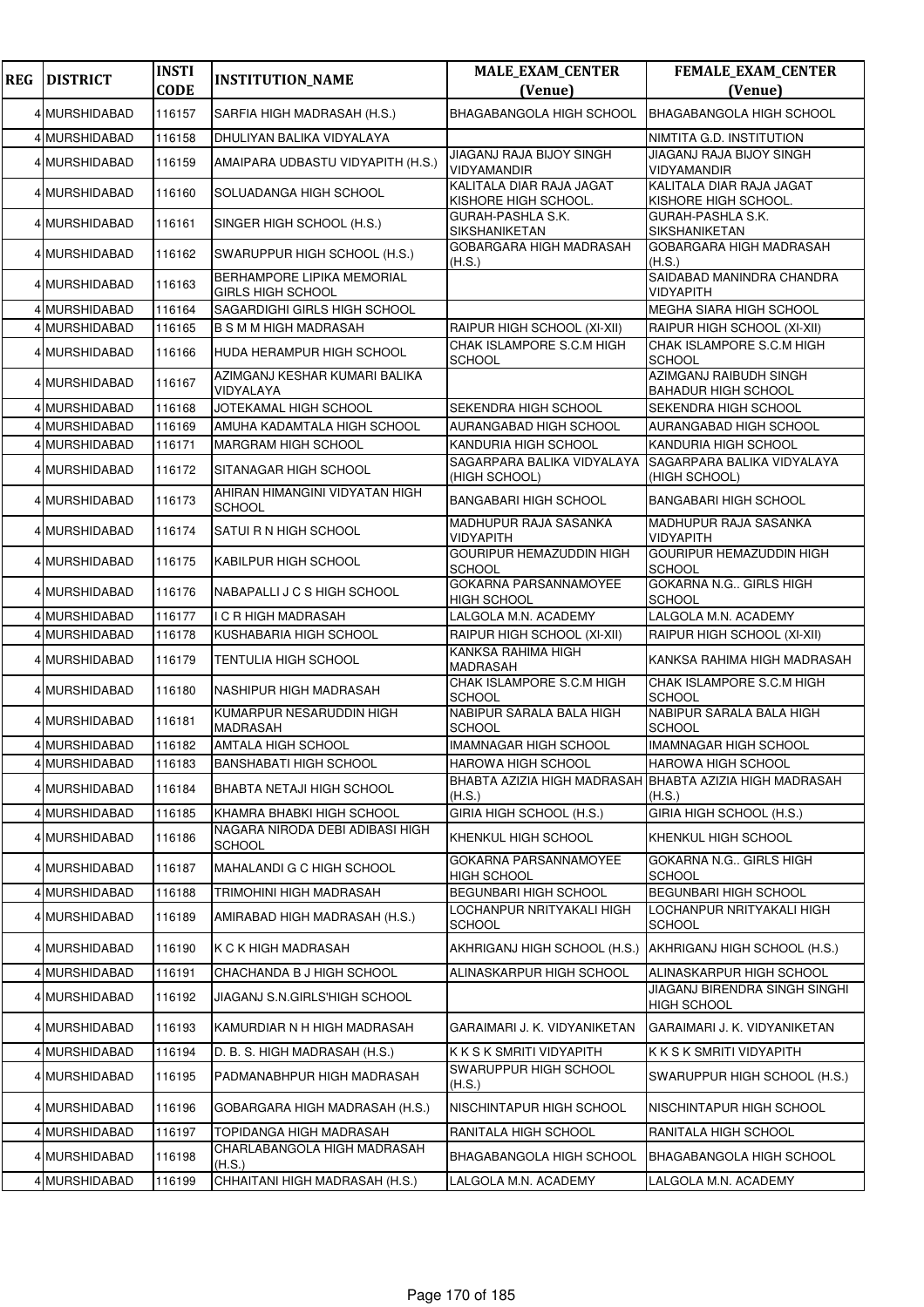| <b>REG</b> | <b>DISTRICT</b> | <b>INSTI</b> | <b>INSTITUTION_NAME</b>                                | <b>MALE_EXAM_CENTER</b>                          | FEMALE_EXAM_CENTER                                                |
|------------|-----------------|--------------|--------------------------------------------------------|--------------------------------------------------|-------------------------------------------------------------------|
|            |                 | <b>CODE</b>  |                                                        | (Venue)                                          | (Venue)                                                           |
|            | 4 MURSHIDABAD   | 116157       | SARFIA HIGH MADRASAH (H.S.)                            | BHAGABANGOLA HIGH SCHOOL                         | <b>BHAGABANGOLA HIGH SCHOOL</b>                                   |
|            | 4 MURSHIDABAD   | 116158       | DHULIYAN BALIKA VIDYALAYA                              |                                                  | NIMTITA G.D. INSTITUTION                                          |
|            | 4 MURSHIDABAD   | 116159       | AMAIPARA UDBASTU VIDYAPITH (H.S.)                      | JIAGANJ RAJA BIJOY SINGH<br><b>VIDYAMANDIR</b>   | JIAGANJ RAJA BIJOY SINGH<br>VIDYAMANDIR                           |
|            | 4 MURSHIDABAD   | 116160       | SOLUADANGA HIGH SCHOOL                                 | KALITALA DIAR RAJA JAGAT<br>KISHORE HIGH SCHOOL. | KALITALA DIAR RAJA JAGAT<br>KISHORE HIGH SCHOOL.                  |
|            | 4 MURSHIDABAD   | 116161       | SINGER HIGH SCHOOL (H.S.)                              | <b>GURAH-PASHLA S.K.</b><br>SIKSHANIKETAN        | GURAH-PASHLA S.K.<br>SIKSHANIKETAN                                |
|            | 4 MURSHIDABAD   | 116162       | SWARUPPUR HIGH SCHOOL (H.S.)                           | <b>GOBARGARA HIGH MADRASAH</b><br>(H.S.)         | GOBARGARA HIGH MADRASAH<br>(H.S.)                                 |
|            | 4 MURSHIDABAD   | 116163       | BERHAMPORE LIPIKA MEMORIAL<br><b>GIRLS HIGH SCHOOL</b> |                                                  | SAIDABAD MANINDRA CHANDRA<br><b>VIDYAPITH</b>                     |
|            | 4 MURSHIDABAD   | 116164       | SAGARDIGHI GIRLS HIGH SCHOOL                           |                                                  | MEGHA SIARA HIGH SCHOOL                                           |
|            | 4 MURSHIDABAD   | 116165       | <b>B S M M HIGH MADRASAH</b>                           | RAIPUR HIGH SCHOOL (XI-XII)                      | RAIPUR HIGH SCHOOL (XI-XII)                                       |
|            | 4 MURSHIDABAD   | 116166       | HUDA HERAMPUR HIGH SCHOOL                              | CHAK ISLAMPORE S.C.M HIGH<br><b>SCHOOL</b>       | CHAK ISLAMPORE S.C.M HIGH<br><b>SCHOOL</b>                        |
|            | 4 MURSHIDABAD   | 116167       | AZIMGANJ KESHAR KUMARI BALIKA<br>VIDYALAYA             |                                                  | AZIMGANJ RAIBUDH SINGH<br><b>BAHADUR HIGH SCHOOL</b>              |
|            | 4 MURSHIDABAD   | 116168       | JOTEKAMAL HIGH SCHOOL                                  | SEKENDRA HIGH SCHOOL                             | SEKENDRA HIGH SCHOOL                                              |
|            | 4 MURSHIDABAD   | 116169       | AMUHA KADAMTALA HIGH SCHOOL                            | AURANGABAD HIGH SCHOOL                           | AURANGABAD HIGH SCHOOL                                            |
|            | 4 MURSHIDABAD   | 116171       | <b>MARGRAM HIGH SCHOOL</b>                             | KANDURIA HIGH SCHOOL                             | KANDURIA HIGH SCHOOL                                              |
|            | 4 MURSHIDABAD   | 116172       | SITANAGAR HIGH SCHOOL                                  | SAGARPARA BALIKA VIDYALAYA<br>(HIGH SCHOOL)      | SAGARPARA BALIKA VIDYALAYA<br>(HIGH SCHOOL)                       |
|            | 4 MURSHIDABAD   | 116173       | AHIRAN HIMANGINI VIDYATAN HIGH<br><b>SCHOOL</b>        | <b>BANGABARI HIGH SCHOOL</b>                     | <b>BANGABARI HIGH SCHOOL</b>                                      |
|            | 4 MURSHIDABAD   | 116174       | SATUI R N HIGH SCHOOL                                  | MADHUPUR RAJA SASANKA<br><b>VIDYAPITH</b>        | MADHUPUR RAJA SASANKA<br><b>VIDYAPITH</b>                         |
|            | 4 MURSHIDABAD   | 116175       | KABILPUR HIGH SCHOOL                                   | <b>GOURIPUR HEMAZUDDIN HIGH</b><br><b>SCHOOL</b> | <b>GOURIPUR HEMAZUDDIN HIGH</b><br><b>SCHOOL</b>                  |
|            | 4 MURSHIDABAD   | 116176       | NABAPALLI J C S HIGH SCHOOL                            | GOKARNA PARSANNAMOYEE<br><b>HIGH SCHOOL</b>      | GOKARNA N.G., GIRLS HIGH<br><b>SCHOOL</b>                         |
|            | 4 MURSHIDABAD   | 116177       | I C R HIGH MADRASAH                                    | LALGOLA M.N. ACADEMY                             | LALGOLA M.N. ACADEMY                                              |
|            | 4 MURSHIDABAD   | 116178       | KUSHABARIA HIGH SCHOOL                                 | RAIPUR HIGH SCHOOL (XI-XII)                      | RAIPUR HIGH SCHOOL (XI-XII)                                       |
|            | 4 MURSHIDABAD   | 116179       | TENTULIA HIGH SCHOOL                                   | KANKSA RAHIMA HIGH<br><b>MADRASAH</b>            | KANKSA RAHIMA HIGH MADRASAH                                       |
|            | 4 MURSHIDABAD   | 116180       | NASHIPUR HIGH MADRASAH                                 | CHAK ISLAMPORE S.C.M HIGH<br>SCHOOL              | CHAK ISLAMPORE S.C.M HIGH<br><b>SCHOOL</b>                        |
|            | 4 MURSHIDABAD   | 116181       | KUMARPUR NESARUDDIN HIGH<br>MADRASAH                   | NABIPUR SARALA BALA HIGH<br><b>SCHOOL</b>        | NABIPUR SARALA BALA HIGH<br><b>SCHOOL</b>                         |
|            | 4 MURSHIDABAD   | 116182       | <b>AMTALA HIGH SCHOOL</b>                              | <b>IMAMNAGAR HIGH SCHOOL</b>                     | <b>IMAMNAGAR HIGH SCHOOL</b>                                      |
|            | 4 MURSHIDABAD   | 116183       | <b>BANSHABATI HIGH SCHOOL</b>                          | <b>HAROWA HIGH SCHOOL</b>                        | <b>HAROWA HIGH SCHOOL</b>                                         |
|            | 4 MURSHIDABAD   | 116184       | BHABTA NETAJI HIGH SCHOOL                              | (H.S.)                                           | BHABTA AZIZIA HIGH MADRASAH BHABTA AZIZIA HIGH MADRASAH<br>(H.S.) |
|            | 4 MURSHIDABAD   | 116185       | KHAMRA BHABKI HIGH SCHOOL                              | GIRIA HIGH SCHOOL (H.S.)                         | GIRIA HIGH SCHOOL (H.S.)                                          |
|            | 4 MURSHIDABAD   | 116186       | NAGARA NIRODA DEBI ADIBASI HIGH<br><b>SCHOOL</b>       | <b>KHENKUL HIGH SCHOOL</b>                       | KHENKUL HIGH SCHOOL                                               |
|            | 4 MURSHIDABAD   | 116187       | MAHALANDI G C HIGH SCHOOL                              | GOKARNA PARSANNAMOYEE<br><b>HIGH SCHOOL</b>      | GOKARNA N.G., GIRLS HIGH<br><b>SCHOOL</b>                         |
|            | 4 MURSHIDABAD   | 116188       | TRIMOHINI HIGH MADRASAH                                | <b>BEGUNBARI HIGH SCHOOL</b>                     | BEGUNBARI HIGH SCHOOL                                             |
|            | 4 MURSHIDABAD   | 116189       | AMIRABAD HIGH MADRASAH (H.S.)                          | LOCHANPUR NRITYAKALI HIGH<br><b>SCHOOL</b>       | LOCHANPUR NRITYAKALI HIGH<br><b>SCHOOL</b>                        |
|            | 4 MURSHIDABAD   | 116190       | K C K HIGH MADRASAH                                    | AKHRIGANJ HIGH SCHOOL (H.S.)                     | AKHRIGANJ HIGH SCHOOL (H.S.)                                      |
|            | 4 MURSHIDABAD   | 116191       | CHACHANDA B J HIGH SCHOOL                              | ALINASKARPUR HIGH SCHOOL                         | ALINASKARPUR HIGH SCHOOL                                          |
|            | 4 MURSHIDABAD   | 116192       | JIAGANJ S.N.GIRLS'HIGH SCHOOL                          |                                                  | JIAGANJ BIRENDRA SINGH SINGHI<br><b>HIGH SCHOOL</b>               |
|            | 4 MURSHIDABAD   | 116193       | KAMURDIAR N H HIGH MADRASAH                            | GARAIMARI J. K. VIDYANIKETAN                     | GARAIMARI J. K. VIDYANIKETAN                                      |
|            | 4 MURSHIDABAD   | 116194       | D. B. S. HIGH MADRASAH (H.S.)                          | K K S K SMRITI VIDYAPITH                         | K K S K SMRITI VIDYAPITH                                          |
|            | 4 MURSHIDABAD   | 116195       | PADMANABHPUR HIGH MADRASAH                             | SWARUPPUR HIGH SCHOOL<br>(H.S.)                  | SWARUPPUR HIGH SCHOOL (H.S.)                                      |
|            | 4 MURSHIDABAD   | 116196       | GOBARGARA HIGH MADRASAH (H.S.)                         | NISCHINTAPUR HIGH SCHOOL                         | NISCHINTAPUR HIGH SCHOOL                                          |
|            | 4 MURSHIDABAD   | 116197       | TOPIDANGA HIGH MADRASAH                                | RANITALA HIGH SCHOOL                             | RANITALA HIGH SCHOOL                                              |
|            | 4 MURSHIDABAD   | 116198       | CHARLABANGOLA HIGH MADRASAH<br>(H.S.)                  | <b>BHAGABANGOLA HIGH SCHOOL</b>                  | <b>BHAGABANGOLA HIGH SCHOOL</b>                                   |
|            | 4 MURSHIDABAD   | 116199       | CHHAITANI HIGH MADRASAH (H.S.)                         | LALGOLA M.N. ACADEMY                             | LALGOLA M.N. ACADEMY                                              |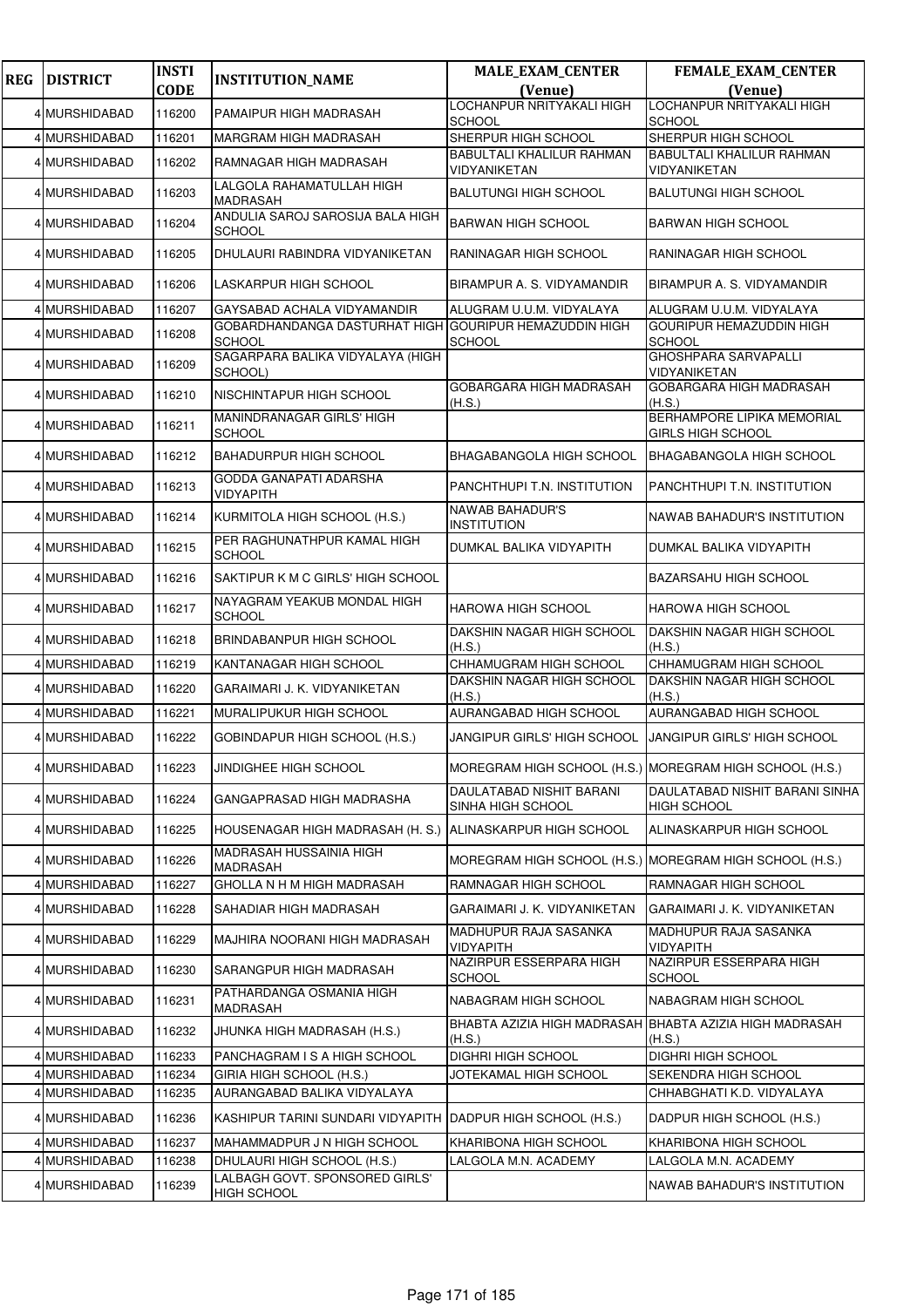| <b>REG</b> | <b>DISTRICT</b> | <b>INSTI</b> | <b>INSTITUTION_NAME</b>                           | <b>MALE_EXAM_CENTER</b>                                 | <b>FEMALE_EXAM_CENTER</b>                                         |
|------------|-----------------|--------------|---------------------------------------------------|---------------------------------------------------------|-------------------------------------------------------------------|
|            |                 | <b>CODE</b>  |                                                   | (Venue)<br>LOCHANPUR NRITYAKALI HIGH                    | (Venue)<br>LOCHANPUR NRITYAKALI HIGH                              |
|            | 4 MURSHIDABAD   | 116200       | PAMAIPUR HIGH MADRASAH                            | <b>SCHOOL</b>                                           | <b>SCHOOL</b>                                                     |
|            | 4 MURSHIDABAD   | 116201       | MARGRAM HIGH MADRASAH                             | SHERPUR HIGH SCHOOL                                     | SHERPUR HIGH SCHOOL                                               |
|            | 4 MURSHIDABAD   | 116202       | RAMNAGAR HIGH MADRASAH                            | BABULTALI KHALILUR RAHMAN<br>VIDYANIKETAN               | <b>BABULTALI KHALILUR RAHMAN</b><br>VIDYANIKETAN                  |
|            | 4 MURSHIDABAD   | 116203       | LALGOLA RAHAMATULLAH HIGH<br><b>MADRASAH</b>      | <b>BALUTUNGI HIGH SCHOOL</b>                            | <b>BALUTUNGI HIGH SCHOOL</b>                                      |
|            | 4 MURSHIDABAD   | 116204       | ANDULIA SAROJ SAROSIJA BALA HIGH<br><b>SCHOOL</b> | <b>BARWAN HIGH SCHOOL</b>                               | <b>BARWAN HIGH SCHOOL</b>                                         |
|            | 4 MURSHIDABAD   | 116205       | DHULAURI RABINDRA VIDYANIKETAN                    | RANINAGAR HIGH SCHOOL                                   | RANINAGAR HIGH SCHOOL                                             |
|            | 4 MURSHIDABAD   | 116206       | LASKARPUR HIGH SCHOOL                             | BIRAMPUR A. S. VIDYAMANDIR                              | BIRAMPUR A. S. VIDYAMANDIR                                        |
|            | 4 MURSHIDABAD   | 116207       | GAYSABAD ACHALA VIDYAMANDIR                       | ALUGRAM U.U.M. VIDYALAYA                                | ALUGRAM U.U.M. VIDYALAYA                                          |
|            | 4 MURSHIDABAD   | 116208       | GOBARDHANDANGA DASTURHAT HIGH<br><b>SCHOOL</b>    | <b>GOURIPUR HEMAZUDDIN HIGH</b><br><b>SCHOOL</b>        | <b>GOURIPUR HEMAZUDDIN HIGH</b><br><b>SCHOOL</b>                  |
|            | 4 MURSHIDABAD   | 116209       | SAGARPARA BALIKA VIDYALAYA (HIGH<br>SCHOOL)       |                                                         | <b>GHOSHPARA SARVAPALLI</b><br>VIDYANIKETAN                       |
|            | 4 MURSHIDABAD   | 116210       | NISCHINTAPUR HIGH SCHOOL                          | GOBARGARA HIGH MADRASAH<br>(H.S.)                       | <b>GOBARGARA HIGH MADRASAH</b><br>(H.S.)                          |
|            | 4 MURSHIDABAD   | 116211       | MANINDRANAGAR GIRLS' HIGH<br><b>SCHOOL</b>        |                                                         | <b>BERHAMPORE LIPIKA MEMORIAL</b><br><b>GIRLS HIGH SCHOOL</b>     |
|            | 4 MURSHIDABAD   | 116212       | <b>BAHADURPUR HIGH SCHOOL</b>                     | <b>BHAGABANGOLA HIGH SCHOOL</b>                         | <b>BHAGABANGOLA HIGH SCHOOL</b>                                   |
|            | 4 MURSHIDABAD   | 116213       | GODDA GANAPATI ADARSHA<br>VIDYAPITH               | PANCHTHUPI T.N. INSTITUTION                             | PANCHTHUPI T.N. INSTITUTION                                       |
|            | 4 MURSHIDABAD   | 116214       | KURMITOLA HIGH SCHOOL (H.S.)                      | <b>NAWAB BAHADUR'S</b><br><b>INSTITUTION</b>            | NAWAB BAHADUR'S INSTITUTION                                       |
|            | 4 MURSHIDABAD   | 116215       | PER RAGHUNATHPUR KAMAL HIGH<br><b>SCHOOL</b>      | DUMKAL BALIKA VIDYAPITH                                 | DUMKAL BALIKA VIDYAPITH                                           |
|            | 4 MURSHIDABAD   | 116216       | SAKTIPUR K M C GIRLS' HIGH SCHOOL                 |                                                         | <b>BAZARSAHU HIGH SCHOOL</b>                                      |
|            | 4 MURSHIDABAD   | 116217       | NAYAGRAM YEAKUB MONDAL HIGH<br><b>SCHOOL</b>      | <b>HAROWA HIGH SCHOOL</b>                               | <b>HAROWA HIGH SCHOOL</b>                                         |
|            | 4 MURSHIDABAD   | 116218       | BRINDABANPUR HIGH SCHOOL                          | DAKSHIN NAGAR HIGH SCHOOL<br>(H.S.)                     | DAKSHIN NAGAR HIGH SCHOOL<br>(H.S.)                               |
|            | 4 MURSHIDABAD   | 116219       | KANTANAGAR HIGH SCHOOL                            | CHHAMUGRAM HIGH SCHOOL                                  | CHHAMUGRAM HIGH SCHOOL                                            |
|            | 4 MURSHIDABAD   | 116220       | GARAIMARI J. K. VIDYANIKETAN                      | DAKSHIN NAGAR HIGH SCHOOL<br>(H.S.)                     | DAKSHIN NAGAR HIGH SCHOOL<br>(H.S.)                               |
|            | 4 MURSHIDABAD   | 116221       | <b>MURALIPUKUR HIGH SCHOOL</b>                    | AURANGABAD HIGH SCHOOL                                  | AURANGABAD HIGH SCHOOL                                            |
|            | 4 MURSHIDABAD   | 116222       | GOBINDAPUR HIGH SCHOOL (H.S.)                     | JANGIPUR GIRLS' HIGH SCHOOL                             | <b>JANGIPUR GIRLS' HIGH SCHOOL</b>                                |
|            | 4 MURSHIDABAD   | 116223       | JINDIGHEE HIGH SCHOOL                             | MOREGRAM HIGH SCHOOL (H.S.) MOREGRAM HIGH SCHOOL (H.S.) |                                                                   |
|            | 4 MURSHIDABAD   | 116224       | GANGAPRASAD HIGH MADRASHA                         | DAULATABAD NISHIT BARANI<br>SINHA HIGH SCHOOL           | DAULATABAD NISHIT BARANI SINHA<br><b>HIGH SCHOOL</b>              |
|            | 4 MURSHIDABAD   | 116225       | HOUSENAGAR HIGH MADRASAH (H. S.)                  | ALINASKARPUR HIGH SCHOOL                                | ALINASKARPUR HIGH SCHOOL                                          |
|            | 4 MURSHIDABAD   | 116226       | MADRASAH HUSSAINIA HIGH<br>MADRASAH               |                                                         | MOREGRAM HIGH SCHOOL (H.S.) MOREGRAM HIGH SCHOOL (H.S.)           |
|            | 4 MURSHIDABAD   | 116227       | GHOLLA N H M HIGH MADRASAH                        | RAMNAGAR HIGH SCHOOL                                    | RAMNAGAR HIGH SCHOOL                                              |
|            | 4 MURSHIDABAD   | 116228       | SAHADIAR HIGH MADRASAH                            | GARAIMARI J. K. VIDYANIKETAN                            | GARAIMARI J. K. VIDYANIKETAN                                      |
|            | 4 MURSHIDABAD   | 116229       | MAJHIRA NOORANI HIGH MADRASAH                     | MADHUPUR RAJA SASANKA<br>VIDYAPITH                      | MADHUPUR RAJA SASANKA<br>VIDYAPITH                                |
|            | 4 MURSHIDABAD   | 116230       | SARANGPUR HIGH MADRASAH                           | NAZIRPUR ESSERPARA HIGH<br><b>SCHOOL</b>                | NAZIRPUR ESSERPARA HIGH<br><b>SCHOOL</b>                          |
|            | 4 MURSHIDABAD   | 116231       | PATHARDANGA OSMANIA HIGH<br>MADRASAH              | NABAGRAM HIGH SCHOOL                                    | NABAGRAM HIGH SCHOOL                                              |
|            | 4 MURSHIDABAD   | 116232       | JHUNKA HIGH MADRASAH (H.S.)                       | (H.S.)                                                  | BHABTA AZIZIA HIGH MADRASAH BHABTA AZIZIA HIGH MADRASAH<br>(H.S.) |
|            | 4 MURSHIDABAD   | 116233       | PANCHAGRAM IS A HIGH SCHOOL                       | <b>DIGHRI HIGH SCHOOL</b>                               | <b>DIGHRI HIGH SCHOOL</b>                                         |
|            | 4 MURSHIDABAD   | 116234       | GIRIA HIGH SCHOOL (H.S.)                          | JOTEKAMAL HIGH SCHOOL                                   | SEKENDRA HIGH SCHOOL                                              |
|            | 4 MURSHIDABAD   | 116235       | AURANGABAD BALIKA VIDYALAYA                       |                                                         | CHHABGHATI K.D. VIDYALAYA                                         |
|            | 4 MURSHIDABAD   | 116236       | KASHIPUR TARINI SUNDARI VIDYAPITH                 | DADPUR HIGH SCHOOL (H.S.)                               | DADPUR HIGH SCHOOL (H.S.)                                         |
|            | 4 MURSHIDABAD   | 116237       | MAHAMMADPUR J N HIGH SCHOOL                       | KHARIBONA HIGH SCHOOL                                   | KHARIBONA HIGH SCHOOL                                             |
|            | 4 MURSHIDABAD   | 116238       | DHULAURI HIGH SCHOOL (H.S.)                       | LALGOLA M.N. ACADEMY                                    | LALGOLA M.N. ACADEMY                                              |
|            | 4 MURSHIDABAD   | 116239       | LALBAGH GOVT. SPONSORED GIRLS'<br>HIGH SCHOOL     |                                                         | NAWAB BAHADUR'S INSTITUTION                                       |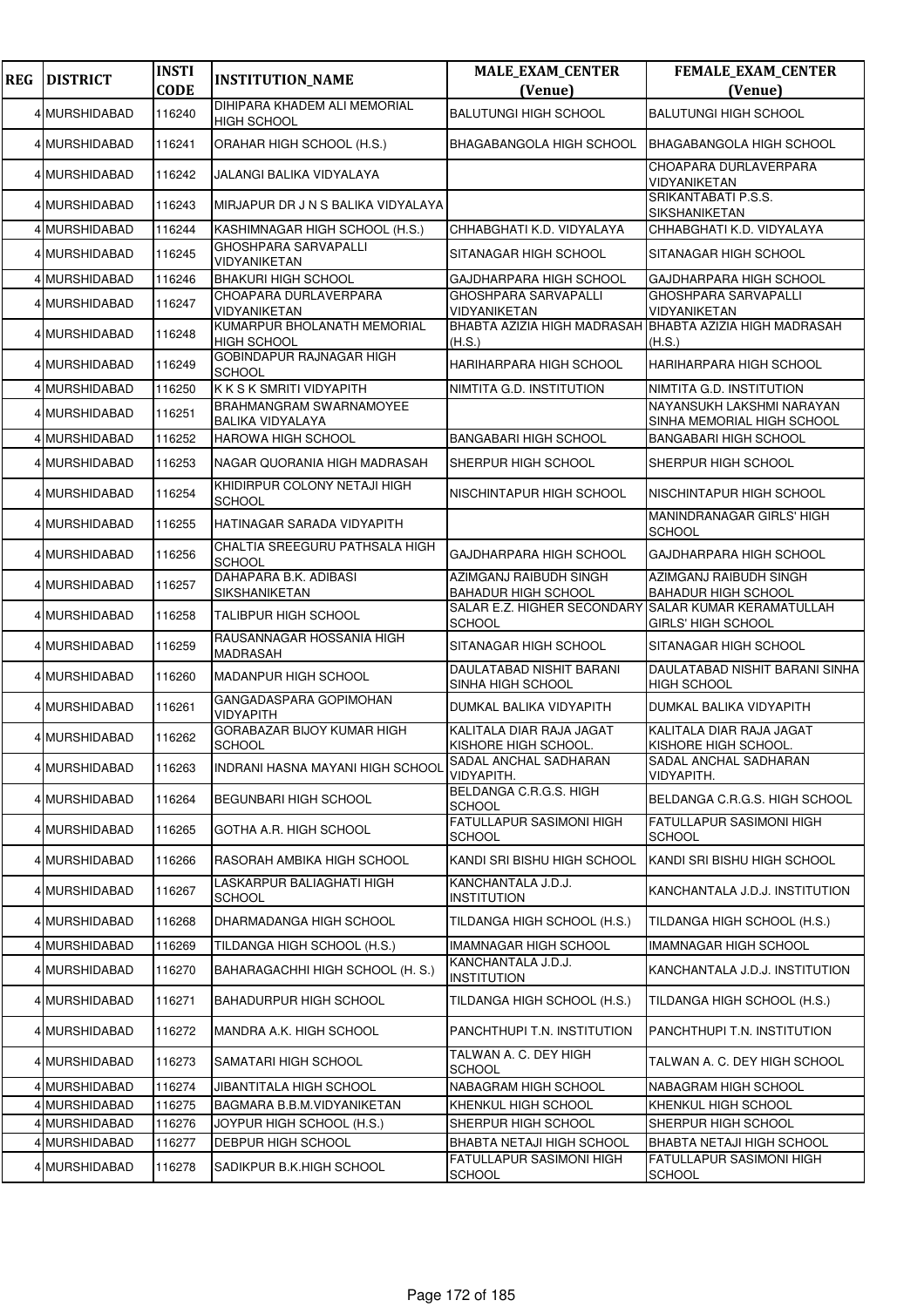| <b>REG</b> | <b>DISTRICT</b>                | <b>INSTI</b><br><b>CODE</b> | <b>INSTITUTION_NAME</b>                                   | <b>MALE_EXAM_CENTER</b><br>(Venue)                                    | FEMALE_EXAM_CENTER<br>(Venue)                           |
|------------|--------------------------------|-----------------------------|-----------------------------------------------------------|-----------------------------------------------------------------------|---------------------------------------------------------|
|            | 4 MURSHIDABAD                  | 116240                      | DIHIPARA KHADEM ALI MEMORIAL<br><b>HIGH SCHOOL</b>        | <b>BALUTUNGI HIGH SCHOOL</b>                                          | <b>BALUTUNGI HIGH SCHOOL</b>                            |
|            | 4 MURSHIDABAD                  | 116241                      | ORAHAR HIGH SCHOOL (H.S.)                                 | <b>BHAGABANGOLA HIGH SCHOOL</b>                                       | <b>BHAGABANGOLA HIGH SCHOOL</b>                         |
|            | 4 MURSHIDABAD                  | 116242                      | JALANGI BALIKA VIDYALAYA                                  |                                                                       | CHOAPARA DURLAVERPARA<br>VIDYANIKETAN                   |
|            | 4 MURSHIDABAD                  | 116243                      | MIRJAPUR DR J N S BALIKA VIDYALAYA                        |                                                                       | SRIKANTABATI P.S.S.<br>SIKSHANIKETAN                    |
|            | 4 MURSHIDABAD                  | 116244                      | KASHIMNAGAR HIGH SCHOOL (H.S.)                            | CHHABGHATI K.D. VIDYALAYA                                             | CHHABGHATI K.D. VIDYALAYA                               |
|            | 4 MURSHIDABAD                  | 116245                      | <b>GHOSHPARA SARVAPALLI</b><br>VIDYANIKETAN               | SITANAGAR HIGH SCHOOL                                                 | SITANAGAR HIGH SCHOOL                                   |
|            | 4 MURSHIDABAD                  | 116246                      | <b>BHAKURI HIGH SCHOOL</b>                                | GAJDHARPARA HIGH SCHOOL                                               | GAJDHARPARA HIGH SCHOOL                                 |
|            | 4 MURSHIDABAD                  | 116247                      | CHOAPARA DURLAVERPARA<br>VIDYANIKETAN                     | GHOSHPARA SARVAPALLI<br>VIDYANIKETAN                                  | <b>GHOSHPARA SARVAPALLI</b><br>VIDYANIKETAN             |
|            | 4 MURSHIDABAD                  | 116248                      | KUMARPUR BHOLANATH MEMORIAL<br><b>HIGH SCHOOL</b>         | BHABTA AZIZIA HIGH MADRASAH BHABTA AZIZIA HIGH MADRASAH<br>(H.S.)     | (H.S.)                                                  |
|            | 4 MURSHIDABAD                  | 116249                      | GOBINDAPUR RAJNAGAR HIGH<br><b>SCHOOL</b>                 | <b>HARIHARPARA HIGH SCHOOL</b>                                        | <b>HARIHARPARA HIGH SCHOOL</b>                          |
|            | 4 MURSHIDABAD                  | 116250                      | K K S K SMRITI VIDYAPITH                                  | NIMTITA G.D. INSTITUTION                                              | NIMTITA G.D. INSTITUTION                                |
|            | 4 MURSHIDABAD                  | 116251                      | <b>BRAHMANGRAM SWARNAMOYEE</b><br><b>BALIKA VIDYALAYA</b> |                                                                       | NAYANSUKH LAKSHMI NARAYAN<br>SINHA MEMORIAL HIGH SCHOOL |
|            | 4 MURSHIDABAD                  | 116252                      | <b>HAROWA HIGH SCHOOL</b>                                 | <b>BANGABARI HIGH SCHOOL</b>                                          | <b>BANGABARI HIGH SCHOOL</b>                            |
|            | 4 MURSHIDABAD                  | 116253                      | NAGAR QUORANIA HIGH MADRASAH                              | SHERPUR HIGH SCHOOL                                                   | SHERPUR HIGH SCHOOL                                     |
|            | 4 MURSHIDABAD                  | 116254                      | KHIDIRPUR COLONY NETAJI HIGH<br><b>SCHOOL</b>             | NISCHINTAPUR HIGH SCHOOL                                              | NISCHINTAPUR HIGH SCHOOL                                |
|            | 4 MURSHIDABAD                  | 116255                      | HATINAGAR SARADA VIDYAPITH                                |                                                                       | MANINDRANAGAR GIRLS' HIGH<br><b>SCHOOL</b>              |
|            | 4 MURSHIDABAD                  | 116256                      | CHALTIA SREEGURU PATHSALA HIGH<br><b>SCHOOL</b>           | GAJDHARPARA HIGH SCHOOL                                               | GAJDHARPARA HIGH SCHOOL                                 |
|            | 4 MURSHIDABAD                  | 116257                      | DAHAPARA B.K. ADIBASI<br>SIKSHANIKETAN                    | AZIMGANJ RAIBUDH SINGH<br><b>BAHADUR HIGH SCHOOL</b>                  | AZIMGANJ RAIBUDH SINGH<br><b>BAHADUR HIGH SCHOOL</b>    |
|            | 4 MURSHIDABAD                  | 116258                      | <b>TALIBPUR HIGH SCHOOL</b>                               | SALAR E.Z. HIGHER SECONDARY SALAR KUMAR KERAMATULLAH<br><b>SCHOOL</b> | <b>GIRLS' HIGH SCHOOL</b>                               |
|            | 4 MURSHIDABAD                  | 116259                      | RAUSANNAGAR HOSSANIA HIGH<br>MADRASAH                     | SITANAGAR HIGH SCHOOL                                                 | SITANAGAR HIGH SCHOOL                                   |
|            | 4 MURSHIDABAD                  | 116260                      | MADANPUR HIGH SCHOOL                                      | <b>DAULATABAD NISHIT BARANI</b><br>SINHA HIGH SCHOOL                  | DAULATABAD NISHIT BARANI SINHA<br><b>HIGH SCHOOL</b>    |
|            | 4 MURSHIDABAD                  | 116261                      | GANGADASPARA GOPIMOHAN<br><b>VIDYAPITH</b>                | DUMKAL BALIKA VIDYAPITH                                               | DUMKAL BALIKA VIDYAPITH                                 |
|            | 4 MURSHIDABAD                  | 116262                      | GORABAZAR BIJOY KUMAR HIGH<br><b>SCHOOL</b>               | KALITALA DIAR RAJA JAGAT<br>KISHORE HIGH SCHOOL.                      | KALITALA DIAR RAJA JAGAT<br>KISHORE HIGH SCHOOL.        |
|            | 4 MURSHIDABAD                  | 116263                      | INDRANI HASNA MAYANI HIGH SCHOOL                          | SADAL ANCHAL SADHARAN<br>VIDYAPITH.                                   | ISADAL ANCHAL SADHARAN<br><b>VIDYAPITH.</b>             |
|            | 4 MURSHIDABAD                  | 116264                      | <b>BEGUNBARI HIGH SCHOOL</b>                              | BELDANGA C.R.G.S. HIGH<br><b>SCHOOL</b>                               | BELDANGA C.R.G.S. HIGH SCHOOL                           |
|            | 4 MURSHIDABAD                  | 116265                      | GOTHA A.R. HIGH SCHOOL                                    | <b>FATULLAPUR SASIMONI HIGH</b><br><b>SCHOOL</b>                      | <b>FATULLAPUR SASIMONI HIGH</b><br><b>SCHOOL</b>        |
|            | 4 MURSHIDABAD                  | 116266                      | RASORAH AMBIKA HIGH SCHOOL                                | KANDI SRI BISHU HIGH SCHOOL                                           | KANDI SRI BISHU HIGH SCHOOL                             |
|            | 4 MURSHIDABAD                  | 116267                      | LASKARPUR BALIAGHATI HIGH<br><b>SCHOOL</b>                | KANCHANTALA J.D.J.<br><b>INSTITUTION</b>                              | KANCHANTALA J.D.J. INSTITUTION                          |
|            | 4 MURSHIDABAD                  | 116268                      | DHARMADANGA HIGH SCHOOL                                   | TILDANGA HIGH SCHOOL (H.S.)                                           | TILDANGA HIGH SCHOOL (H.S.)                             |
|            | 4 MURSHIDABAD                  | 116269                      | TILDANGA HIGH SCHOOL (H.S.)                               | <b>IMAMNAGAR HIGH SCHOOL</b>                                          | <b>IMAMNAGAR HIGH SCHOOL</b>                            |
|            | 4 MURSHIDABAD                  | 116270                      | BAHARAGACHHI HIGH SCHOOL (H. S.)                          | KANCHANTALA J.D.J.<br><b>INSTITUTION</b>                              | KANCHANTALA J.D.J. INSTITUTION                          |
|            | 4 MURSHIDABAD                  | 116271                      | <b>BAHADURPUR HIGH SCHOOL</b>                             | TILDANGA HIGH SCHOOL (H.S.)                                           | TILDANGA HIGH SCHOOL (H.S.)                             |
|            | 4 MURSHIDABAD                  | 116272                      | MANDRA A.K. HIGH SCHOOL                                   | PANCHTHUPI T.N. INSTITUTION                                           | PANCHTHUPI T.N. INSTITUTION                             |
|            | 4 MURSHIDABAD                  | 116273                      | SAMATARI HIGH SCHOOL                                      | TALWAN A. C. DEY HIGH<br><b>SCHOOL</b>                                | TALWAN A. C. DEY HIGH SCHOOL                            |
|            | 4 MURSHIDABAD                  | 116274                      | JIBANTITALA HIGH SCHOOL                                   | NABAGRAM HIGH SCHOOL                                                  | NABAGRAM HIGH SCHOOL                                    |
|            | 4 MURSHIDABAD<br>4 MURSHIDABAD | 116275                      | BAGMARA B.B.M. VIDYANIKETAN                               | KHENKUL HIGH SCHOOL                                                   | KHENKUL HIGH SCHOOL                                     |
|            | 4 MURSHIDABAD                  | 116276<br>116277            | JOYPUR HIGH SCHOOL (H.S.)<br>DEBPUR HIGH SCHOOL           | SHERPUR HIGH SCHOOL<br><b>BHABTA NETAJI HIGH SCHOOL</b>               | SHERPUR HIGH SCHOOL<br>BHABTA NETAJI HIGH SCHOOL        |
|            | 4 MURSHIDABAD                  | 116278                      | SADIKPUR B.K.HIGH SCHOOL                                  | <b>FATULLAPUR SASIMONI HIGH</b>                                       | FATULLAPUR SASIMONI HIGH                                |
|            |                                |                             |                                                           | <b>SCHOOL</b>                                                         | <b>SCHOOL</b>                                           |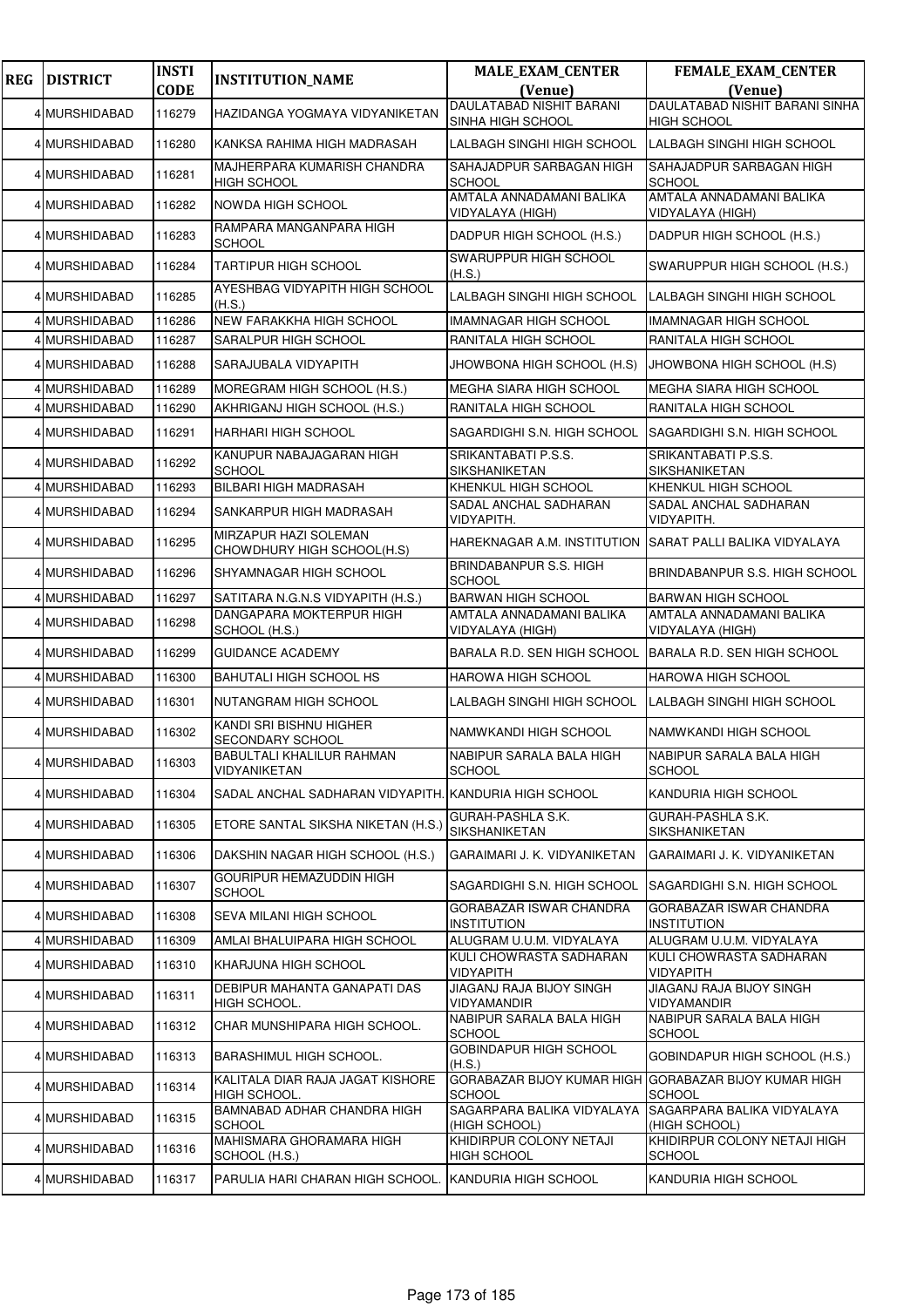| <b>REG</b> | <b>DISTRICT</b> | <b>INSTI</b> | <b>INSTITUTION_NAME</b>                               | <b>MALE_EXAM_CENTER</b>                                                | <b>FEMALE_EXAM_CENTER</b>                     |
|------------|-----------------|--------------|-------------------------------------------------------|------------------------------------------------------------------------|-----------------------------------------------|
|            |                 | <b>CODE</b>  |                                                       | (Venue)<br><b>DAULATABAD NISHIT BARANI</b>                             | (Venue)<br>DAULATABAD NISHIT BARANI SINHA     |
|            | 4 MURSHIDABAD   | 116279       | HAZIDANGA YOGMAYA VIDYANIKETAN                        | SINHA HIGH SCHOOL                                                      | <b>HIGH SCHOOL</b>                            |
|            | 4 MURSHIDABAD   | 116280       | KANKSA RAHIMA HIGH MADRASAH                           | LALBAGH SINGHI HIGH SCHOOL                                             | LALBAGH SINGHI HIGH SCHOOL                    |
|            | 4 MURSHIDABAD   | 116281       | MAJHERPARA KUMARISH CHANDRA<br><b>HIGH SCHOOL</b>     | SAHAJADPUR SARBAGAN HIGH<br><b>SCHOOL</b>                              | SAHAJADPUR SARBAGAN HIGH<br><b>SCHOOL</b>     |
|            | 4 MURSHIDABAD   | 116282       | NOWDA HIGH SCHOOL                                     | AMTALA ANNADAMANI BALIKA<br>VIDYALAYA (HIGH)                           | AMTALA ANNADAMANI BALIKA<br>VIDYALAYA (HIGH)  |
|            | 4 MURSHIDABAD   | 116283       | RAMPARA MANGANPARA HIGH<br><b>SCHOOL</b>              | DADPUR HIGH SCHOOL (H.S.)                                              | DADPUR HIGH SCHOOL (H.S.)                     |
|            | 4 MURSHIDABAD   | 116284       | <b>TARTIPUR HIGH SCHOOL</b>                           | <b>SWARUPPUR HIGH SCHOOL</b><br>(H.S.)                                 | SWARUPPUR HIGH SCHOOL (H.S.)                  |
|            | 4 MURSHIDABAD   | 116285       | AYESHBAG VIDYAPITH HIGH SCHOOL<br>(H.S.)              | LALBAGH SINGHI HIGH SCHOOL                                             | LALBAGH SINGHI HIGH SCHOOL                    |
|            | 4 MURSHIDABAD   | 116286       | NEW FARAKKHA HIGH SCHOOL                              | <b>IMAMNAGAR HIGH SCHOOL</b>                                           | <b>IMAMNAGAR HIGH SCHOOL</b>                  |
|            | 4 MURSHIDABAD   | 116287       | SARALPUR HIGH SCHOOL                                  | RANITALA HIGH SCHOOL                                                   | RANITALA HIGH SCHOOL                          |
|            | 4 MURSHIDABAD   | 116288       | SARAJUBALA VIDYAPITH                                  | JHOWBONA HIGH SCHOOL (H.S)                                             | JHOWBONA HIGH SCHOOL (H.S)                    |
|            | 4 MURSHIDABAD   | 116289       | MOREGRAM HIGH SCHOOL (H.S.)                           | <b>MEGHA SIARA HIGH SCHOOL</b>                                         | MEGHA SIARA HIGH SCHOOL                       |
|            | 4 MURSHIDABAD   | 116290       | AKHRIGANJ HIGH SCHOOL (H.S.)                          | RANITALA HIGH SCHOOL                                                   | RANITALA HIGH SCHOOL                          |
|            | 4 MURSHIDABAD   | 116291       | <b>HARHARI HIGH SCHOOL</b>                            | SAGARDIGHI S.N. HIGH SCHOOL                                            | SAGARDIGHI S.N. HIGH SCHOOL                   |
|            | 4 MURSHIDABAD   | 116292       | KANUPUR NABAJAGARAN HIGH<br><b>SCHOOL</b>             | SRIKANTABATI P.S.S.<br>SIKSHANIKETAN                                   | SRIKANTABATI P.S.S.<br>SIKSHANIKETAN          |
|            | 4 MURSHIDABAD   | 116293       | BILBARI HIGH MADRASAH                                 | KHENKUL HIGH SCHOOL                                                    | KHENKUL HIGH SCHOOL                           |
|            | 4 MURSHIDABAD   | 116294       | SANKARPUR HIGH MADRASAH                               | SADAL ANCHAL SADHARAN<br>VIDYAPITH.                                    | SADAL ANCHAL SADHARAN<br>VIDYAPITH.           |
|            | 4 MURSHIDABAD   | 116295       | MIRZAPUR HAZI SOLEMAN<br>CHOWDHURY HIGH SCHOOL(H.S)   | HAREKNAGAR A.M. INSTITUTION                                            | SARAT PALLI BALIKA VIDYALAYA                  |
|            | 4 MURSHIDABAD   | 116296       | SHYAMNAGAR HIGH SCHOOL                                | <b>BRINDABANPUR S.S. HIGH</b><br><b>SCHOOL</b>                         | BRINDABANPUR S.S. HIGH SCHOOL                 |
|            | 4 MURSHIDABAD   | 116297       | SATITARA N.G.N.S VIDYAPITH (H.S.)                     | <b>BARWAN HIGH SCHOOL</b>                                              | <b>BARWAN HIGH SCHOOL</b>                     |
|            | 4 MURSHIDABAD   | 116298       | DANGAPARA MOKTERPUR HIGH<br>SCHOOL (H.S.)             | AMTALA ANNADAMANI BALIKA<br>VIDYALAYA (HIGH)                           | AMTALA ANNADAMANI BALIKA<br>VIDYALAYA (HIGH)  |
|            | 4 MURSHIDABAD   | 116299       | <b>GUIDANCE ACADEMY</b>                               | BARALA R.D. SEN HIGH SCHOOL                                            | BARALA R.D. SEN HIGH SCHOOL                   |
|            | 4 MURSHIDABAD   | 116300       | <b>BAHUTALI HIGH SCHOOL HS</b>                        | HAROWA HIGH SCHOOL                                                     | HAROWA HIGH SCHOOL                            |
|            | 4 MURSHIDABAD   | 116301       | NUTANGRAM HIGH SCHOOL                                 | LALBAGH SINGHI HIGH SCHOOL                                             | LALBAGH SINGHI HIGH SCHOOL                    |
|            | 4 MURSHIDABAD   | 116302       | KANDI SRI BISHNU HIGHER<br>SECONDARY SCHOOL           | NAMWKANDI HIGH SCHOOL                                                  | NAMWKANDI HIGH SCHOOL                         |
|            | 4 MURSHIDABAD   | 116303       | <b>BABULTALI KHALILUR RAHMAN</b><br>VIDYANIKETAN      | NABIPUR SARALA BALA HIGH<br><b>SCHOOL</b>                              | NABIPUR SARALA BALA HIGH<br><b>SCHOOL</b>     |
|            | 4 MURSHIDABAD   | 116304       | SADAL ANCHAL SADHARAN VIDYAPITH. KANDURIA HIGH SCHOOL |                                                                        | KANDURIA HIGH SCHOOL                          |
|            | 4 MURSHIDABAD   | 116305       | ETORE SANTAL SIKSHA NIKETAN (H.S.)                    | GURAH-PASHLA S.K.<br>SIKSHANIKETAN                                     | GURAH-PASHLA S.K.<br>SIKSHANIKETAN            |
|            | 4 MURSHIDABAD   | 116306       | DAKSHIN NAGAR HIGH SCHOOL (H.S.)                      | GARAIMARI J. K. VIDYANIKETAN                                           | GARAIMARI J. K. VIDYANIKETAN                  |
|            | 4 MURSHIDABAD   | 116307       | GOURIPUR HEMAZUDDIN HIGH<br><b>SCHOOL</b>             | SAGARDIGHI S.N. HIGH SCHOOL                                            | SAGARDIGHI S.N. HIGH SCHOOL                   |
|            | 4 MURSHIDABAD   | 116308       | SEVA MILANI HIGH SCHOOL                               | GORABAZAR ISWAR CHANDRA<br><b>INSTITUTION</b>                          | GORABAZAR ISWAR CHANDRA<br><b>INSTITUTION</b> |
|            | 4 MURSHIDABAD   | 116309       | AMLAI BHALUIPARA HIGH SCHOOL                          | ALUGRAM U.U.M. VIDYALAYA                                               | ALUGRAM U.U.M. VIDYALAYA                      |
|            | 4 MURSHIDABAD   | 116310       | KHARJUNA HIGH SCHOOL                                  | KULI CHOWRASTA SADHARAN<br>VIDYAPITH                                   | KULI CHOWRASTA SADHARAN<br>VIDYAPITH          |
|            | 4 MURSHIDABAD   | 116311       | DEBIPUR MAHANTA GANAPATI DAS<br>HIGH SCHOOL.          | JIAGANJ RAJA BIJOY SINGH<br>VIDYAMANDIR                                | JIAGANJ RAJA BIJOY SINGH<br>VIDYAMANDIR       |
|            | 4 MURSHIDABAD   | 116312       | CHAR MUNSHIPARA HIGH SCHOOL.                          | NABIPUR SARALA BALA HIGH<br><b>SCHOOL</b>                              | NABIPUR SARALA BALA HIGH<br><b>SCHOOL</b>     |
|            | 4 MURSHIDABAD   | 116313       | BARASHIMUL HIGH SCHOOL.                               | GOBINDAPUR HIGH SCHOOL<br>(H.S.)                                       | GOBINDAPUR HIGH SCHOOL (H.S.)                 |
|            | 4 MURSHIDABAD   | 116314       | KALITALA DIAR RAJA JAGAT KISHORE<br>HIGH SCHOOL.      | GORABAZAR BIJOY KUMAR HIGH GORABAZAR BIJOY KUMAR HIGH<br><b>SCHOOL</b> | <b>SCHOOL</b>                                 |
|            | 4 MURSHIDABAD   | 116315       | BAMNABAD ADHAR CHANDRA HIGH<br><b>SCHOOL</b>          | SAGARPARA BALIKA VIDYALAYA<br>(HIGH SCHOOL)                            | SAGARPARA BALIKA VIDYALAYA<br>(HIGH SCHOOL)   |
|            | 4 MURSHIDABAD   | 116316       | MAHISMARA GHORAMARA HIGH<br>SCHOOL (H.S.)             | KHIDIRPUR COLONY NETAJI<br>HIGH SCHOOL                                 | KHIDIRPUR COLONY NETAJI HIGH<br><b>SCHOOL</b> |
|            | 4 MURSHIDABAD   | 116317       | PARULIA HARI CHARAN HIGH SCHOOL.                      | KANDURIA HIGH SCHOOL                                                   | KANDURIA HIGH SCHOOL                          |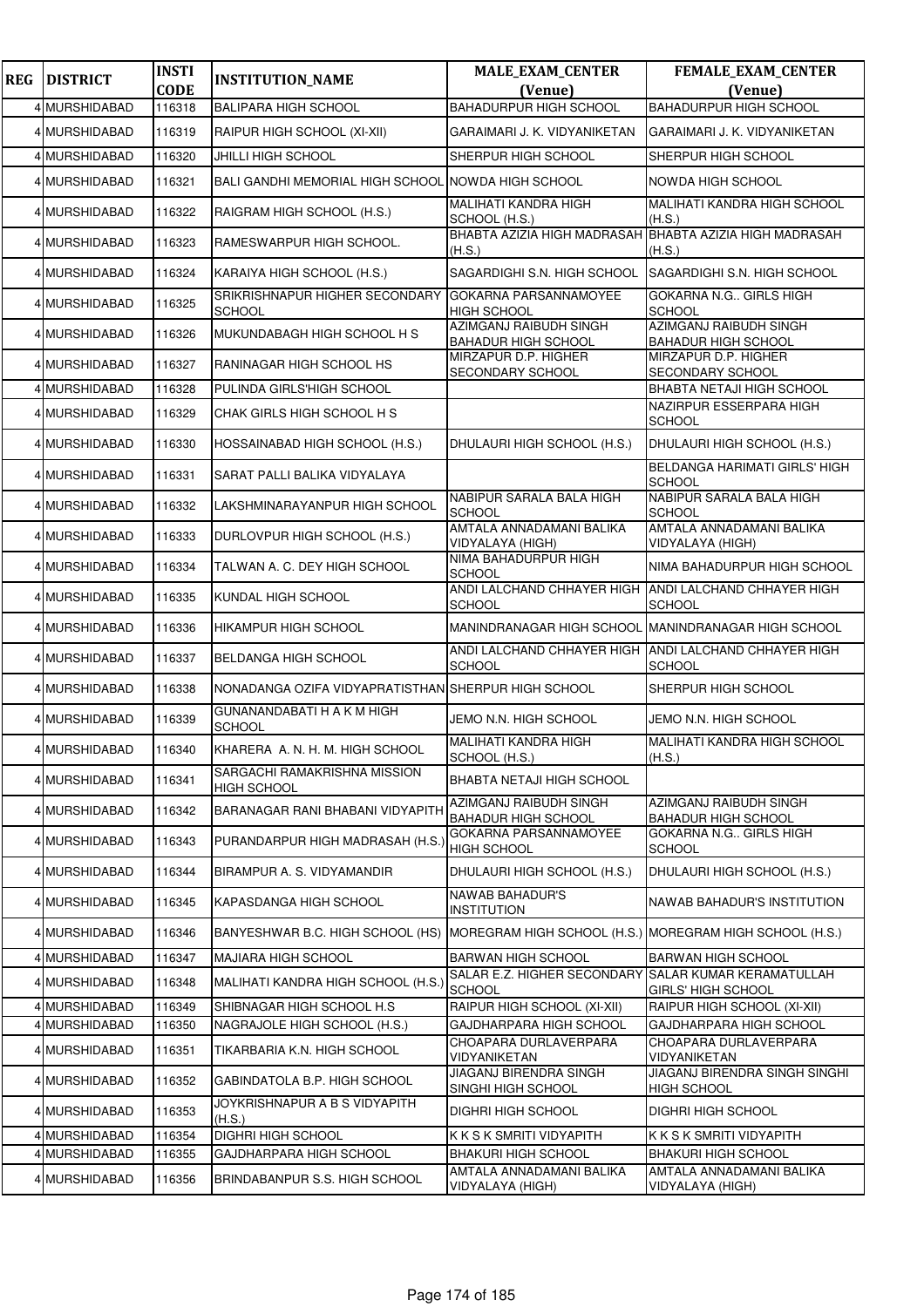| <b>REG</b> | <b>DISTRICT</b> | <b>INSTI</b> | <b>INSTITUTION_NAME</b>                             | <b>MALE_EXAM_CENTER</b>                                     | FEMALE_EXAM_CENTER                                                |
|------------|-----------------|--------------|-----------------------------------------------------|-------------------------------------------------------------|-------------------------------------------------------------------|
|            |                 | <b>CODE</b>  |                                                     | (Venue)                                                     | (Venue)                                                           |
|            | 4 MURSHIDABAD   | 116318       | <b>BALIPARA HIGH SCHOOL</b>                         | <b>BAHADURPUR HIGH SCHOOL</b>                               | <b>BAHADURPUR HIGH SCHOOL</b>                                     |
|            | 4 MURSHIDABAD   | 116319       | RAIPUR HIGH SCHOOL (XI-XII)                         | GARAIMARI J. K. VIDYANIKETAN                                | GARAIMARI J. K. VIDYANIKETAN                                      |
|            | 4 MURSHIDABAD   | 116320       | <b>JHILLI HIGH SCHOOL</b>                           | SHERPUR HIGH SCHOOL                                         | SHERPUR HIGH SCHOOL                                               |
|            | 4 MURSHIDABAD   | 116321       | BALI GANDHI MEMORIAL HIGH SCHOOL NOWDA HIGH SCHOOL  |                                                             | <b>NOWDA HIGH SCHOOL</b>                                          |
|            | 4 MURSHIDABAD   | 116322       | RAIGRAM HIGH SCHOOL (H.S.)                          | MALIHATI KANDRA HIGH<br>SCHOOL (H.S.)                       | MALIHATI KANDRA HIGH SCHOOL<br>(H.S.)                             |
|            | 4 MURSHIDABAD   | 116323       | RAMESWARPUR HIGH SCHOOL.                            | (H.S.)                                                      | BHABTA AZIZIA HIGH MADRASAH BHABTA AZIZIA HIGH MADRASAH<br>(H.S.) |
|            | 4 MURSHIDABAD   | 116324       | KARAIYA HIGH SCHOOL (H.S.)                          | SAGARDIGHI S.N. HIGH SCHOOL                                 | SAGARDIGHI S.N. HIGH SCHOOL                                       |
|            | 4 MURSHIDABAD   | 116325       | SRIKRISHNAPUR HIGHER SECONDARY<br><b>SCHOOL</b>     | GOKARNA PARSANNAMOYEE<br><b>HIGH SCHOOL</b>                 | GOKARNA N.G., GIRLS HIGH<br><b>SCHOOL</b>                         |
|            | 4 MURSHIDABAD   | 116326       | MUKUNDABAGH HIGH SCHOOL H S                         | <b>AZIMGANJ RAIBUDH SINGH</b><br><b>BAHADUR HIGH SCHOOL</b> | <b>AZIMGANJ RAIBUDH SINGH</b><br><b>BAHADUR HIGH SCHOOL</b>       |
|            | 4 MURSHIDABAD   | 116327       | RANINAGAR HIGH SCHOOL HS                            | MIRZAPUR D.P. HIGHER<br>SECONDARY SCHOOL                    | MIRZAPUR D.P. HIGHER<br>SECONDARY SCHOOL                          |
|            | 4 MURSHIDABAD   | 116328       | PULINDA GIRLS'HIGH SCHOOL                           |                                                             | BHABTA NETAJI HIGH SCHOOL                                         |
|            | 4 MURSHIDABAD   | 116329       | CHAK GIRLS HIGH SCHOOL H S                          |                                                             | NAZIRPUR ESSERPARA HIGH<br><b>SCHOOL</b>                          |
|            | 4 MURSHIDABAD   | 116330       | HOSSAINABAD HIGH SCHOOL (H.S.)                      | DHULAURI HIGH SCHOOL (H.S.)                                 | DHULAURI HIGH SCHOOL (H.S.)                                       |
|            | 4 MURSHIDABAD   | 116331       | SARAT PALLI BALIKA VIDYALAYA                        |                                                             | <b>BELDANGA HARIMATI GIRLS' HIGH</b><br><b>SCHOOL</b>             |
|            | 4 MURSHIDABAD   | 116332       | LAKSHMINARAYANPUR HIGH SCHOOL                       | NABIPUR SARALA BALA HIGH<br><b>SCHOOL</b>                   | NABIPUR SARALA BALA HIGH<br><b>SCHOOL</b>                         |
|            | 4 MURSHIDABAD   | 116333       | DURLOVPUR HIGH SCHOOL (H.S.)                        | AMTALA ANNADAMANI BALIKA<br>VIDYALAYA (HIGH)                | AMTALA ANNADAMANI BALIKA<br>VIDYALAYA (HIGH)                      |
|            | 4 MURSHIDABAD   | 116334       | TALWAN A. C. DEY HIGH SCHOOL                        | NIMA BAHADURPUR HIGH<br><b>SCHOOL</b>                       | NIMA BAHADURPUR HIGH SCHOOL                                       |
|            | 4 MURSHIDABAD   | 116335       | KUNDAL HIGH SCHOOL                                  | ANDI LALCHAND CHHAYER HIGH<br>SCHOOL                        | ANDI LALCHAND CHHAYER HIGH<br><b>SCHOOL</b>                       |
|            | 4 MURSHIDABAD   | 116336       | <b>HIKAMPUR HIGH SCHOOL</b>                         |                                                             | MANINDRANAGAR HIGH SCHOOL MANINDRANAGAR HIGH SCHOOL               |
|            | 4 MURSHIDABAD   | 116337       | <b>BELDANGA HIGH SCHOOL</b>                         | ANDI LALCHAND CHHAYER HIGH<br>SCHOOL                        | ANDI LALCHAND CHHAYER HIGH<br><b>SCHOOL</b>                       |
|            | 4 MURSHIDABAD   | 116338       | NONADANGA OZIFA VIDYAPRATISTHAN SHERPUR HIGH SCHOOL |                                                             | SHERPUR HIGH SCHOOL                                               |
|            | 4 MURSHIDABAD   | 116339       | GUNANANDABATI H A K M HIGH<br><b>SCHOOL</b>         | JEMO N.N. HIGH SCHOOL                                       | JEMO N.N. HIGH SCHOOL                                             |
|            | 4 MURSHIDABAD   | 116340       | KHARERA A. N. H. M. HIGH SCHOOL                     | MALIHATI KANDRA HIGH<br>SCHOOL (H.S.)                       | <b>MALIHATI KANDRA HIGH SCHOOL</b><br>(H.S.)                      |
|            | 4 MURSHIDABAD   | 116341       | SARGACHI RAMAKRISHNA MISSION<br><b>HIGH SCHOOL</b>  | BHABTA NETAJI HIGH SCHOOL                                   |                                                                   |
|            | 4 MURSHIDABAD   | 116342       | BARANAGAR RANI BHABANI VIDYAPITH                    | AZIMGANJ RAIBUDH SINGH<br><b>BAHADUR HIGH SCHOOL</b>        | AZIMGANJ RAIBUDH SINGH<br><b>BAHADUR HIGH SCHOOL</b>              |
|            | 4 MURSHIDABAD   | 116343       | PURANDARPUR HIGH MADRASAH (H.S.)                    | GOKARNA PARSANNAMOYEE<br>HIGH SCHOOL                        | GOKARNA N.G GIRLS HIGH<br><b>SCHOOL</b>                           |
|            | 4 MURSHIDABAD   | 116344       | BIRAMPUR A. S. VIDYAMANDIR                          | DHULAURI HIGH SCHOOL (H.S.)                                 | DHULAURI HIGH SCHOOL (H.S.)                                       |
|            | 4 MURSHIDABAD   | 116345       | KAPASDANGA HIGH SCHOOL                              | <b>NAWAB BAHADUR'S</b><br>INSTITUTION                       | NAWAB BAHADUR'S INSTITUTION                                       |
|            | 4 MURSHIDABAD   | 116346       | BANYESHWAR B.C. HIGH SCHOOL (HS)                    | MOREGRAM HIGH SCHOOL (H.S.) MOREGRAM HIGH SCHOOL (H.S.)     |                                                                   |
|            | 4 MURSHIDABAD   | 116347       | <b>MAJIARA HIGH SCHOOL</b>                          | BARWAN HIGH SCHOOL                                          | <b>BARWAN HIGH SCHOOL</b>                                         |
|            | 4 MURSHIDABAD   | 116348       | MALIHATI KANDRA HIGH SCHOOL (H.S.)                  | SALAR E.Z. HIGHER SECONDARY<br><b>SCHOOL</b>                | <b>SALAR KUMAR KERAMATULLAH</b><br>GIRLS' HIGH SCHOOL             |
|            | 4 MURSHIDABAD   | 116349       | SHIBNAGAR HIGH SCHOOL H.S                           | RAIPUR HIGH SCHOOL (XI-XII)                                 | RAIPUR HIGH SCHOOL (XI-XII)                                       |
|            | 4 MURSHIDABAD   | 116350       | NAGRAJOLE HIGH SCHOOL (H.S.)                        | GAJDHARPARA HIGH SCHOOL                                     | GAJDHARPARA HIGH SCHOOL                                           |
|            | 4 MURSHIDABAD   | 116351       | TIKARBARIA K.N. HIGH SCHOOL                         | CHOAPARA DURLAVERPARA<br>VIDYANIKETAN                       | CHOAPARA DURLAVERPARA<br>VIDYANIKETAN                             |
|            | 4 MURSHIDABAD   | 116352       | GABINDATOLA B.P. HIGH SCHOOL                        | JIAGANJ BIRENDRA SINGH<br>SINGHI HIGH SCHOOL                | JIAGANJ BIRENDRA SINGH SINGHI<br><b>HIGH SCHOOL</b>               |
|            | 4 MURSHIDABAD   | 116353       | JOYKRISHNAPUR A B S VIDYAPITH<br>(H.S.)             | DIGHRI HIGH SCHOOL                                          | <b>DIGHRI HIGH SCHOOL</b>                                         |
|            | 4 MURSHIDABAD   | 116354       | DIGHRI HIGH SCHOOL                                  | K K S K SMRITI VIDYAPITH                                    | K K S K SMRITI VIDYAPITH                                          |
|            | 4 MURSHIDABAD   | 116355       | GAJDHARPARA HIGH SCHOOL                             | BHAKURI HIGH SCHOOL<br>AMTALA ANNADAMANI BALIKA             | <b>BHAKURI HIGH SCHOOL</b><br>AMTALA ANNADAMANI BALIKA            |
|            | 4 MURSHIDABAD   | 116356       | BRINDABANPUR S.S. HIGH SCHOOL                       | VIDYALAYA (HIGH)                                            | VIDYALAYA (HIGH)                                                  |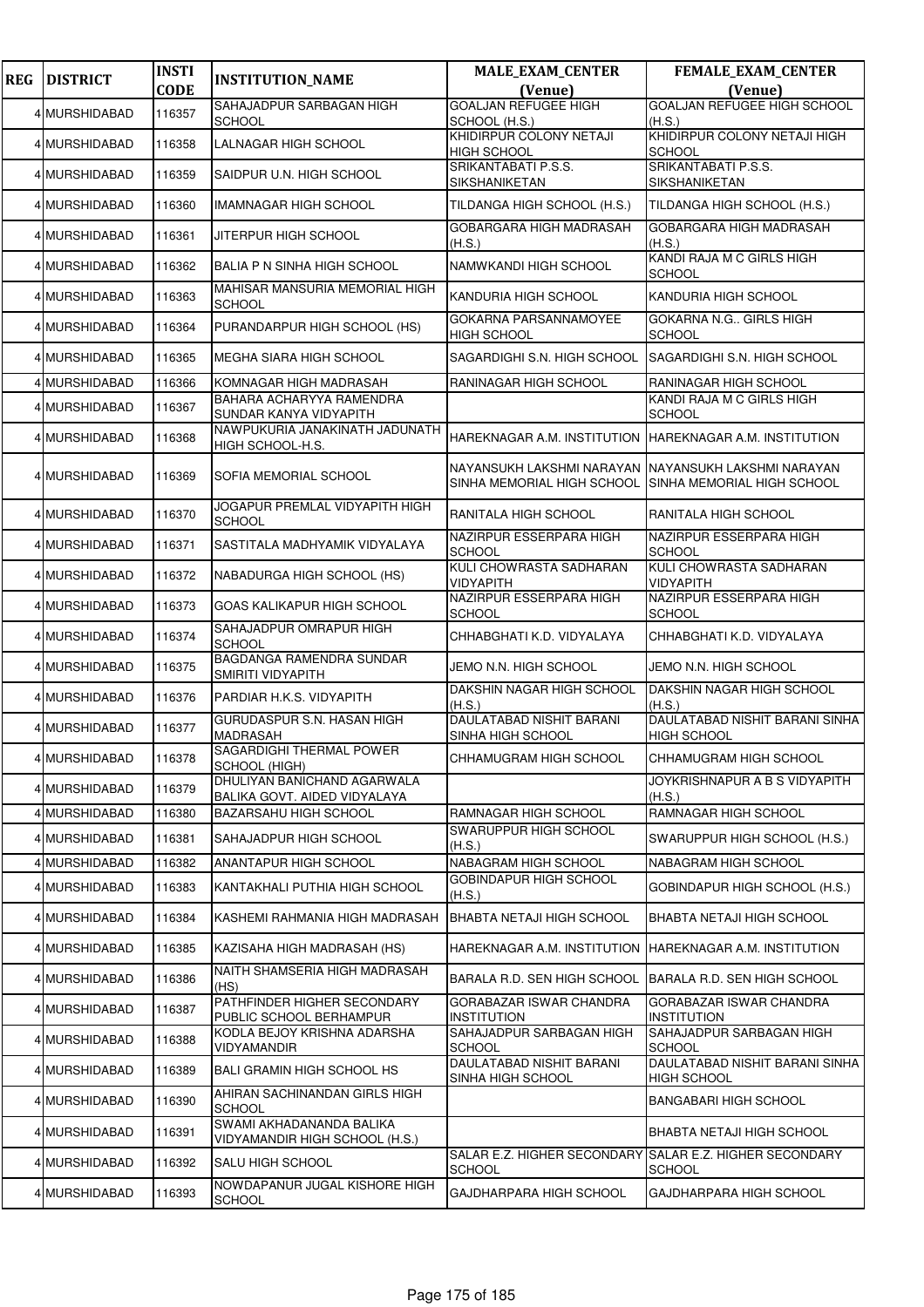| <b>REG</b> | <b>DISTRICT</b> | <b>INSTI</b> | <b>INSTITUTION_NAME</b>                                     | <b>MALE_EXAM_CENTER</b>                                                                                       | <b>FEMALE_EXAM_CENTER</b>                                         |
|------------|-----------------|--------------|-------------------------------------------------------------|---------------------------------------------------------------------------------------------------------------|-------------------------------------------------------------------|
|            |                 | <b>CODE</b>  |                                                             | (Venue)                                                                                                       | (Venue)                                                           |
|            | 4 MURSHIDABAD   | 116357       | SAHAJADPUR SARBAGAN HIGH<br><b>SCHOOL</b>                   | <b>GOALJAN REFUGEE HIGH</b><br>SCHOOL (H.S.)                                                                  | <b>GOALJAN REFUGEE HIGH SCHOOL</b><br>(H.S.)                      |
|            | 4 MURSHIDABAD   | 116358       | LALNAGAR HIGH SCHOOL                                        | KHIDIRPUR COLONY NETAJI<br><b>HIGH SCHOOL</b>                                                                 | KHIDIRPUR COLONY NETAJI HIGH<br>SCHOOL                            |
|            | 4 MURSHIDABAD   | 116359       | SAIDPUR U.N. HIGH SCHOOL                                    | SRIKANTABATI P.S.S.<br>SIKSHANIKETAN                                                                          | SRIKANTABATI P.S.S.<br>SIKSHANIKETAN                              |
|            | 4 MURSHIDABAD   | 116360       | <b>IMAMNAGAR HIGH SCHOOL</b>                                | TILDANGA HIGH SCHOOL (H.S.)                                                                                   | TILDANGA HIGH SCHOOL (H.S.)                                       |
|            | 4 MURSHIDABAD   | 116361       | JITERPUR HIGH SCHOOL                                        | GOBARGARA HIGH MADRASAH<br>(H.S.)                                                                             | GOBARGARA HIGH MADRASAH<br>(H.S.)                                 |
|            | 4 MURSHIDABAD   | 116362       | BALIA P N SINHA HIGH SCHOOL                                 | NAMWKANDI HIGH SCHOOL                                                                                         | KANDI RAJA M C GIRLS HIGH<br><b>SCHOOL</b>                        |
|            | 4 MURSHIDABAD   | 116363       | MAHISAR MANSURIA MEMORIAL HIGH<br><b>SCHOOL</b>             | KANDURIA HIGH SCHOOL                                                                                          | KANDURIA HIGH SCHOOL                                              |
|            | 4 MURSHIDABAD   | 116364       | PURANDARPUR HIGH SCHOOL (HS)                                | GOKARNA PARSANNAMOYEE<br><b>HIGH SCHOOL</b>                                                                   | GOKARNA N.G., GIRLS HIGH<br><b>SCHOOL</b>                         |
|            | 4 MURSHIDABAD   | 116365       | MEGHA SIARA HIGH SCHOOL                                     | SAGARDIGHI S.N. HIGH SCHOOL                                                                                   | SAGARDIGHI S.N. HIGH SCHOOL                                       |
|            | 4 MURSHIDABAD   | 116366       | KOMNAGAR HIGH MADRASAH                                      | RANINAGAR HIGH SCHOOL                                                                                         | RANINAGAR HIGH SCHOOL                                             |
|            | 4 MURSHIDABAD   | 116367       | BAHARA ACHARYYA RAMENDRA<br>SUNDAR KANYA VIDYAPITH          |                                                                                                               | KANDI RAJA M C GIRLS HIGH<br><b>SCHOOL</b>                        |
|            | 4 MURSHIDABAD   | 116368       | NAWPUKURIA JANAKINATH JADUNATH<br>HIGH SCHOOL-H.S.          | HAREKNAGAR A.M. INSTITUTION                                                                                   | HAREKNAGAR A.M. INSTITUTION                                       |
|            | 4 MURSHIDABAD   | 116369       | SOFIA MEMORIAL SCHOOL                                       | NAYANSUKH LAKSHMI NARAYAN INAYANSUKH LAKSHMI NARAYAN<br>SINHA MEMORIAL HIGH SCHOOL SINHA MEMORIAL HIGH SCHOOL |                                                                   |
|            | 4 MURSHIDABAD   | 116370       | JOGAPUR PREMLAL VIDYAPITH HIGH<br><b>SCHOOL</b>             | RANITALA HIGH SCHOOL                                                                                          | RANITALA HIGH SCHOOL                                              |
|            | 4 MURSHIDABAD   | 116371       | SASTITALA MADHYAMIK VIDYALAYA                               | NAZIRPUR ESSERPARA HIGH<br><b>SCHOOL</b>                                                                      | NAZIRPUR ESSERPARA HIGH<br><b>SCHOOL</b>                          |
|            | 4 MURSHIDABAD   | 116372       | NABADURGA HIGH SCHOOL (HS)                                  | KULI CHOWRASTA SADHARAN<br><b>VIDYAPITH</b>                                                                   | KULI CHOWRASTA SADHARAN<br>VIDYAPITH                              |
|            | 4 MURSHIDABAD   | 116373       | GOAS KALIKAPUR HIGH SCHOOL                                  | NAZIRPUR ESSERPARA HIGH<br><b>SCHOOL</b>                                                                      | NAZIRPUR ESSERPARA HIGH<br><b>SCHOOL</b>                          |
|            | 4 MURSHIDABAD   | 116374       | SAHAJADPUR OMRAPUR HIGH<br><b>SCHOOL</b>                    | CHHABGHATI K.D. VIDYALAYA                                                                                     | CHHABGHATI K.D. VIDYALAYA                                         |
|            | 4 MURSHIDABAD   | 116375       | BAGDANGA RAMENDRA SUNDAR<br>SMIRITI VIDYAPITH               | JEMO N.N. HIGH SCHOOL                                                                                         | JEMO N.N. HIGH SCHOOL                                             |
|            | 4 MURSHIDABAD   | 116376       | PARDIAR H.K.S. VIDYAPITH                                    | DAKSHIN NAGAR HIGH SCHOOL<br>(H.S.)                                                                           | DAKSHIN NAGAR HIGH SCHOOL<br>(H.S.)                               |
|            | 4 MURSHIDABAD   | 116377       | GURUDASPUR S.N. HASAN HIGH<br><b>MADRASAH</b>               | <b>DAULATABAD NISHIT BARANI</b><br>SINHA HIGH SCHOOL                                                          | DAULATABAD NISHIT BARANI SINHA<br><b>HIGH SCHOOL</b>              |
|            | 4 MURSHIDABAD   | 116378       | SAGARDIGHI THERMAL POWER<br>SCHOOL (HIGH)                   | CHHAMUGRAM HIGH SCHOOL                                                                                        | CHHAMUGRAM HIGH SCHOOL                                            |
|            | 4 MURSHIDABAD   | 116379       | DHULIYAN BANICHAND AGARWALA<br>BALIKA GOVT. AIDED VIDYALAYA |                                                                                                               | JOYKRISHNAPUR A B S VIDYAPITH<br>(H.S.)                           |
|            | 4 MURSHIDABAD   | 116380       | <b>BAZARSAHU HIGH SCHOOL</b>                                | RAMNAGAR HIGH SCHOOL                                                                                          | RAMNAGAR HIGH SCHOOL                                              |
|            | 4 MURSHIDABAD   | 116381       | SAHAJADPUR HIGH SCHOOL                                      | SWARUPPUR HIGH SCHOOL<br>(H.S.)                                                                               | SWARUPPUR HIGH SCHOOL (H.S.)                                      |
|            | 4 MURSHIDABAD   | 116382       | ANANTAPUR HIGH SCHOOL                                       | NABAGRAM HIGH SCHOOL                                                                                          | NABAGRAM HIGH SCHOOL                                              |
|            | 4 MURSHIDABAD   | 116383       | KANTAKHALI PUTHIA HIGH SCHOOL                               | GOBINDAPUR HIGH SCHOOL<br>(H.S.)                                                                              | GOBINDAPUR HIGH SCHOOL (H.S.)                                     |
|            | 4 MURSHIDABAD   | 116384       | KASHEMI RAHMANIA HIGH MADRASAH                              | <b>BHABTA NETAJI HIGH SCHOOL</b>                                                                              | BHABTA NETAJI HIGH SCHOOL                                         |
|            | 4 MURSHIDABAD   | 116385       | KAZISAHA HIGH MADRASAH (HS)                                 | HAREKNAGAR A.M. INSTITUTION                                                                                   | HAREKNAGAR A.M. INSTITUTION                                       |
|            | 4 MURSHIDABAD   | 116386       | NAITH SHAMSERIA HIGH MADRASAH<br>(HS)                       | BARALA R.D. SEN HIGH SCHOOL                                                                                   | BARALA R.D. SEN HIGH SCHOOL                                       |
|            | 4 MURSHIDABAD   | 116387       | PATHFINDER HIGHER SECONDARY<br>PUBLIC SCHOOL BERHAMPUR      | GORABAZAR ISWAR CHANDRA<br><b>INSTITUTION</b>                                                                 | <b>GORABAZAR ISWAR CHANDRA</b><br>INSTITUTION                     |
|            | 4 MURSHIDABAD   | 116388       | KODLA BEJOY KRISHNA ADARSHA<br>VIDYAMANDIR                  | SAHAJADPUR SARBAGAN HIGH<br><b>SCHOOL</b>                                                                     | SAHAJADPUR SARBAGAN HIGH<br><b>SCHOOL</b>                         |
|            | 4 MURSHIDABAD   | 116389       | <b>BALI GRAMIN HIGH SCHOOL HS</b>                           | DAULATABAD NISHIT BARANI<br>SINHA HIGH SCHOOL                                                                 | DAULATABAD NISHIT BARANI SINHA<br>HIGH SCHOOL                     |
|            | 4 MURSHIDABAD   | 116390       | AHIRAN SACHINANDAN GIRLS HIGH<br><b>SCHOOL</b>              |                                                                                                               | <b>BANGABARI HIGH SCHOOL</b>                                      |
|            | 4 MURSHIDABAD   | 116391       | SWAMI AKHADANANDA BALIKA<br>VIDYAMANDIR HIGH SCHOOL (H.S.)  |                                                                                                               | BHABTA NETAJI HIGH SCHOOL                                         |
|            | 4 MURSHIDABAD   | 116392       | <b>SALU HIGH SCHOOL</b>                                     | <b>SCHOOL</b>                                                                                                 | SALAR E.Z. HIGHER SECONDARY SALAR E.Z. HIGHER SECONDARY<br>SCHOOL |
|            | 4 MURSHIDABAD   | 116393       | NOWDAPANUR JUGAL KISHORE HIGH<br><b>SCHOOL</b>              | GAJDHARPARA HIGH SCHOOL                                                                                       | GAJDHARPARA HIGH SCHOOL                                           |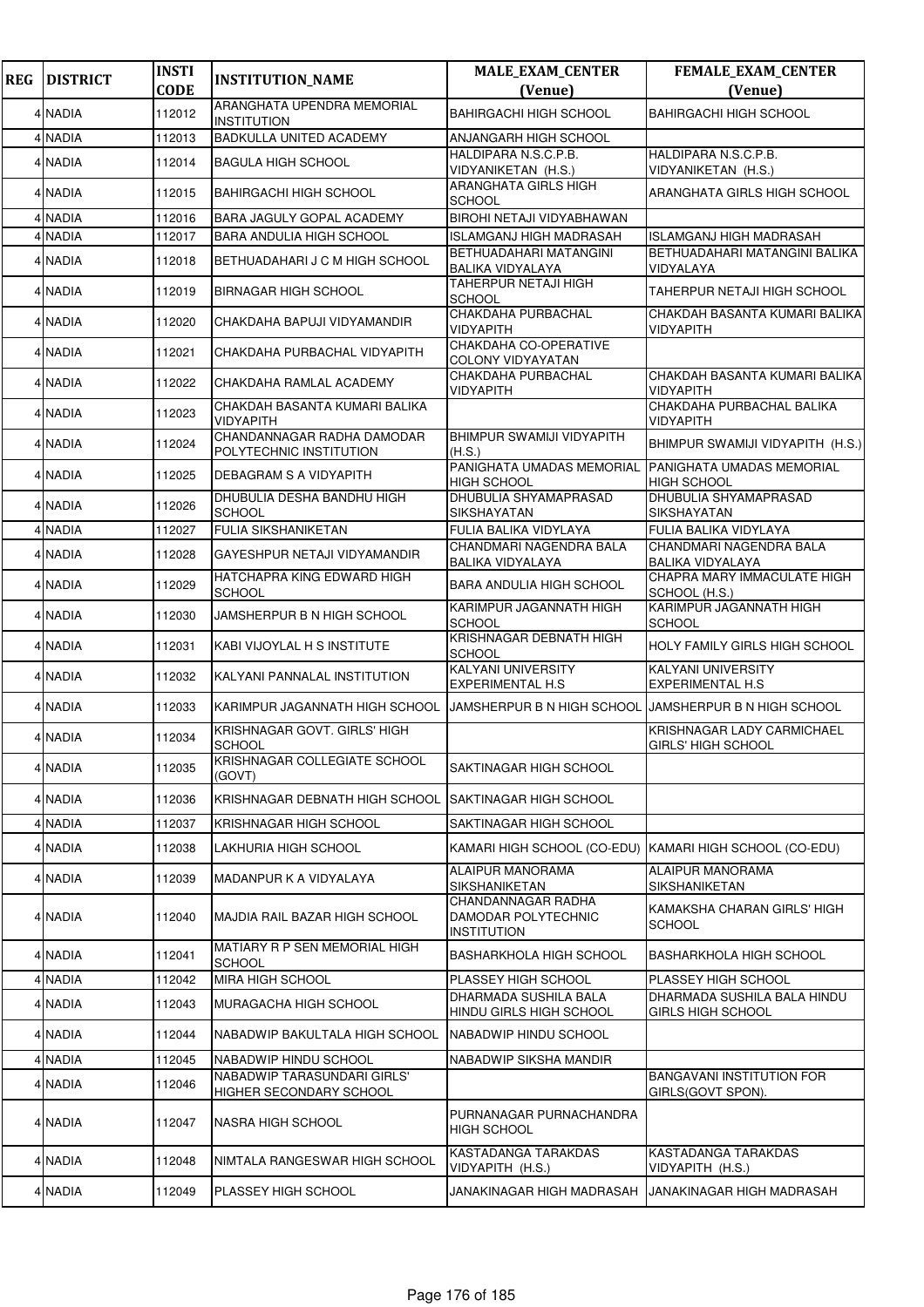| <b>REG</b> | <b>DISTRICT</b> | <b>INSTI</b><br><b>CODE</b> | <b>INSTITUTION_NAME</b>                                | <b>MALE_EXAM_CENTER</b><br>(Venue)                              | FEMALE_EXAM_CENTER<br>(Venue)                           |
|------------|-----------------|-----------------------------|--------------------------------------------------------|-----------------------------------------------------------------|---------------------------------------------------------|
|            |                 |                             | ARANGHATA UPENDRA MEMORIAL                             | <b>BAHIRGACHI HIGH SCHOOL</b>                                   |                                                         |
|            | 4 NADIA         | 112012                      | <b>INSTITUTION</b>                                     |                                                                 | <b>BAHIRGACHI HIGH SCHOOL</b>                           |
|            | 4 NADIA         | 112013                      | BADKULLA UNITED ACADEMY                                | ANJANGARH HIGH SCHOOL<br>HALDIPARA N.S.C.P.B.                   | HALDIPARA N.S.C.P.B.                                    |
|            | 4 NADIA         | 112014                      | <b>BAGULA HIGH SCHOOL</b>                              | VIDYANIKETAN (H.S.)                                             | VIDYANIKETAN (H.S.)                                     |
|            | 4 NADIA         | 112015                      | <b>BAHIRGACHI HIGH SCHOOL</b>                          | <b>ARANGHATA GIRLS HIGH</b><br>SCHOOL                           | ARANGHATA GIRLS HIGH SCHOOL                             |
|            | 4 NADIA         | 112016                      | BARA JAGULY GOPAL ACADEMY                              | BIROHI NETAJI VIDYABHAWAN                                       |                                                         |
|            | 4 NADIA         | 112017                      | <b>BARA ANDULIA HIGH SCHOOL</b>                        | ISLAMGANJ HIGH MADRASAH                                         | ISLAMGANJ HIGH MADRASAH                                 |
|            | 4 NADIA         | 112018                      | BETHUADAHARI J C M HIGH SCHOOL                         | BETHUADAHARI MATANGINI<br><b>BALIKA VIDYALAYA</b>               | BETHUADAHARI MATANGINI BALIKA<br>VIDYALAYA              |
|            | 4 NADIA         | 112019                      | <b>BIRNAGAR HIGH SCHOOL</b>                            | TAHERPUR NETAJI HIGH<br>SCHOOL                                  | TAHERPUR NETAJI HIGH SCHOOL                             |
|            | 4 NADIA         | 112020                      | CHAKDAHA BAPUJI VIDYAMANDIR                            | CHAKDAHA PURBACHAL<br>VIDYAPITH                                 | CHAKDAH BASANTA KUMARI BALIKA<br>VIDYAPITH              |
|            | 4 NADIA         | 112021                      | CHAKDAHA PURBACHAL VIDYAPITH                           | CHAKDAHA CO-OPERATIVE<br><b>COLONY VIDYAYATAN</b>               |                                                         |
|            | 4 NADIA         | 112022                      | CHAKDAHA RAMLAL ACADEMY                                | CHAKDAHA PURBACHAL<br>VIDYAPITH                                 | CHAKDAH BASANTA KUMARI BALIKA<br>VIDYAPITH              |
|            | 4 NADIA         | 112023                      | CHAKDAH BASANTA KUMARI BALIKA<br>VIDYAPITH             |                                                                 | CHAKDAHA PURBACHAL BALIKA<br>VIDYAPITH                  |
|            | 4 NADIA         | 112024                      | CHANDANNAGAR RADHA DAMODAR<br>POLYTECHNIC INSTITUTION  | <b>BHIMPUR SWAMIJI VIDYAPITH</b><br>(H.S.)                      | BHIMPUR SWAMIJI VIDYAPITH (H.S.)                        |
|            | 4 NADIA         | 112025                      | DEBAGRAM S A VIDYAPITH                                 | PANIGHATA UMADAS MEMORIAL<br><b>HIGH SCHOOL</b>                 | PANIGHATA UMADAS MEMORIAL<br><b>HIGH SCHOOL</b>         |
|            | 4 NADIA         | 112026                      | DHUBULIA DESHA BANDHU HIGH<br><b>SCHOOL</b>            | <b>DHUBULIA SHYAMAPRASAD</b><br>SIKSHAYATAN                     | DHUBULIA SHYAMAPRASAD<br>SIKSHAYATAN                    |
|            | 4 NADIA         | 112027                      | <b>FULIA SIKSHANIKETAN</b>                             | FULIA BALIKA VIDYLAYA                                           | FULIA BALIKA VIDYLAYA                                   |
|            | 4 NADIA         | 112028                      | GAYESHPUR NETAJI VIDYAMANDIR                           | <b>CHANDMARI NAGENDRA BALA</b><br><b>BALIKA VIDYALAYA</b>       | CHANDMARI NAGENDRA BALA<br>BALIKA VIDYALAYA             |
|            | 4 NADIA         | 112029                      | HATCHAPRA KING EDWARD HIGH<br><b>SCHOOL</b>            | <b>BARA ANDULIA HIGH SCHOOL</b>                                 | CHAPRA MARY IMMACULATE HIGH<br>SCHOOL (H.S.)            |
|            | 4 NADIA         | 112030                      | JAMSHERPUR B N HIGH SCHOOL                             | KARIMPUR JAGANNATH HIGH<br>SCHOOL                               | KARIMPUR JAGANNATH HIGH<br><b>SCHOOL</b>                |
|            | 4 NADIA         | 112031                      | KABI VIJOYLAL H S INSTITUTE                            | KRISHNAGAR DEBNATH HIGH<br><b>SCHOOL</b>                        | HOLY FAMILY GIRLS HIGH SCHOOL                           |
|            | 4 NADIA         | 112032                      | KALYANI PANNALAL INSTITUTION                           | KALYANI UNIVERSITY<br>EXPERIMENTAL H.S                          | <b>KALYANI UNIVERSITY</b><br><b>EXPERIMENTAL H.S</b>    |
|            | 4 NADIA         | 112033                      | KARIMPUR JAGANNATH HIGH SCHOOL                         | JAMSHERPUR B N HIGH SCHOOL                                      | <b>JAMSHERPUR B N HIGH SCHOOL</b>                       |
|            | 4 NADIA         | 112034                      | KRISHNAGAR GOVT. GIRLS' HIGH<br><b>SCHOOL</b>          |                                                                 | KRISHNAGAR LADY CARMICHAEL<br><b>GIRLS' HIGH SCHOOL</b> |
|            | 4 NADIA         | 112035                      | KRISHNAGAR COLLEGIATE SCHOOL<br>(GOVT)                 | SAKTINAGAR HIGH SCHOOL                                          |                                                         |
|            | 4 NADIA         | 112036                      | KRISHNAGAR DEBNATH HIGH SCHOOL                         | SAKTINAGAR HIGH SCHOOL                                          |                                                         |
|            | 4 NADIA         | 112037                      | KRISHNAGAR HIGH SCHOOL                                 | SAKTINAGAR HIGH SCHOOL                                          |                                                         |
|            | 4 NADIA         | 112038                      | LAKHURIA HIGH SCHOOL                                   | KAMARI HIGH SCHOOL (CO-EDU)                                     | KAMARI HIGH SCHOOL (CO-EDU)                             |
|            | 4 NADIA         | 112039                      | MADANPUR K A VIDYALAYA                                 | <b>ALAIPUR MANORAMA</b><br><b>SIKSHANIKETAN</b>                 | <b>ALAIPUR MANORAMA</b><br>SIKSHANIKETAN                |
|            | 4 NADIA         | 112040                      | MAJDIA RAIL BAZAR HIGH SCHOOL                          | CHANDANNAGAR RADHA<br>DAMODAR POLYTECHNIC<br><b>INSTITUTION</b> | KAMAKSHA CHARAN GIRLS' HIGH<br><b>SCHOOL</b>            |
|            | 4 NADIA         | 112041                      | MATIARY R P SEN MEMORIAL HIGH<br><b>SCHOOL</b>         | <b>BASHARKHOLA HIGH SCHOOL</b>                                  | BASHARKHOLA HIGH SCHOOL                                 |
|            | 4 NADIA         | 112042                      | <b>MIRA HIGH SCHOOL</b>                                | PLASSEY HIGH SCHOOL                                             | PLASSEY HIGH SCHOOL                                     |
|            | 4 NADIA         | 112043                      | MURAGACHA HIGH SCHOOL                                  | DHARMADA SUSHILA BALA<br>HINDU GIRLS HIGH SCHOOL                | DHARMADA SUSHILA BALA HINDU<br>GIRLS HIGH SCHOOL        |
|            | 4 NADIA         | 112044                      | NABADWIP BAKULTALA HIGH SCHOOL                         | NABADWIP HINDU SCHOOL                                           |                                                         |
|            | 4 NADIA         | 112045                      | NABADWIP HINDU SCHOOL                                  | NABADWIP SIKSHA MANDIR                                          |                                                         |
|            | 4 NADIA         | 112046                      | NABADWIP TARASUNDARI GIRLS'<br>HIGHER SECONDARY SCHOOL |                                                                 | BANGAVANI INSTITUTION FOR<br>GIRLS(GOVT SPON).          |
|            | 4 NADIA         | 112047                      | <b>NASRA HIGH SCHOOL</b>                               | PURNANAGAR PURNACHANDRA<br><b>HIGH SCHOOL</b>                   |                                                         |
|            | 4 NADIA         | 112048                      | NIMTALA RANGESWAR HIGH SCHOOL                          | KASTADANGA TARAKDAS<br>VIDYAPITH (H.S.)                         | KASTADANGA TARAKDAS<br>VIDYAPITH (H.S.)                 |
|            | 4 NADIA         | 112049                      | <b>PLASSEY HIGH SCHOOL</b>                             | JANAKINAGAR HIGH MADRASAH                                       | JANAKINAGAR HIGH MADRASAH                               |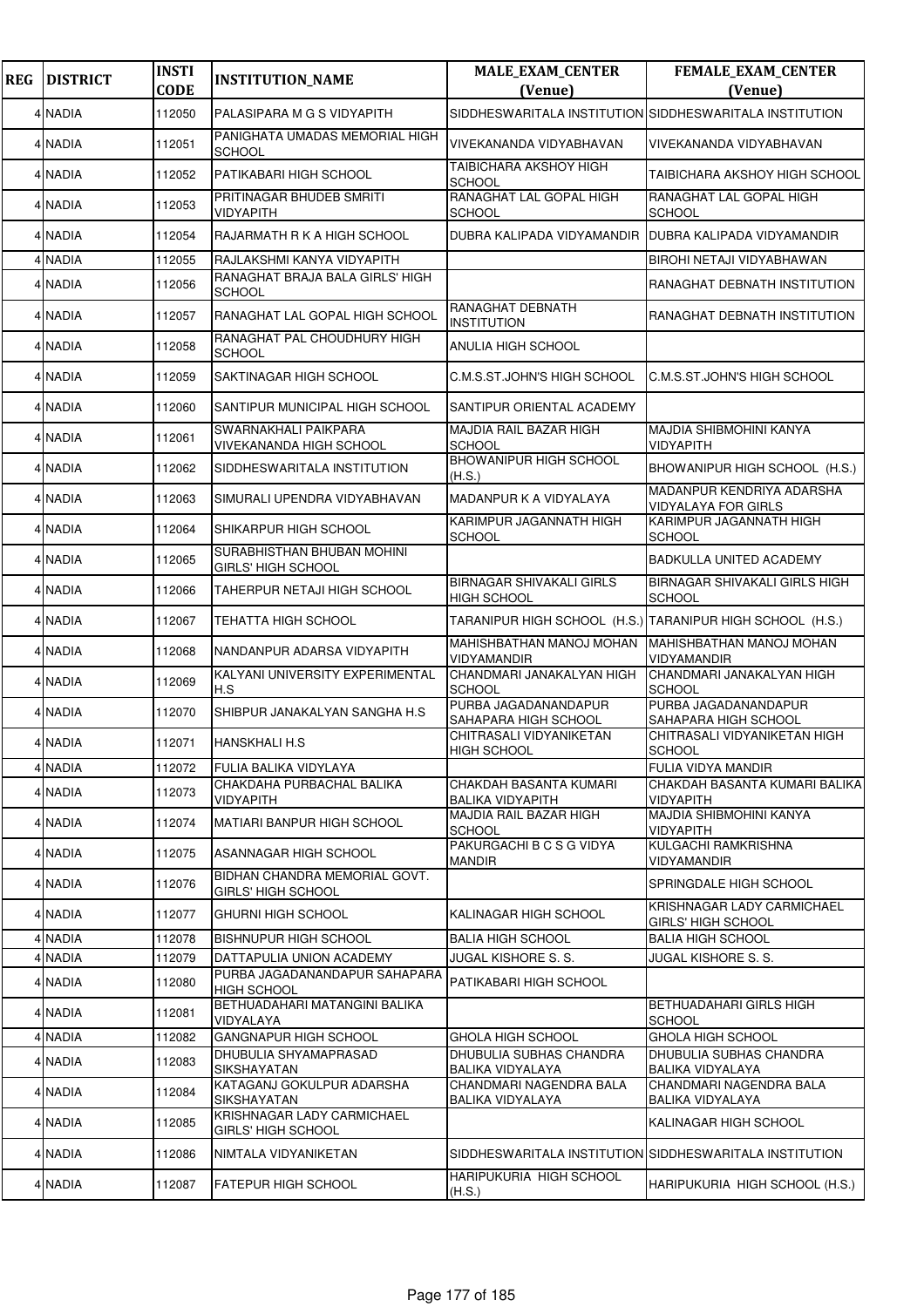| <b>REG</b> | <b>DISTRICT</b> | <b>INSTI</b><br><b>CODE</b> | <b>INSTITUTION_NAME</b>                                    | <b>MALE_EXAM_CENTER</b><br>(Venue)                      | FEMALE_EXAM_CENTER<br>(Venue)                             |
|------------|-----------------|-----------------------------|------------------------------------------------------------|---------------------------------------------------------|-----------------------------------------------------------|
|            | 4 NADIA         | 112050                      | PALASIPARA M G S VIDYAPITH                                 | SIDDHESWARITALA INSTITUTION SIDDHESWARITALA INSTITUTION |                                                           |
|            | 4 NADIA         | 112051                      | PANIGHATA UMADAS MEMORIAL HIGH<br><b>SCHOOL</b>            | VIVEKANANDA VIDYABHAVAN                                 | VIVEKANANDA VIDYABHAVAN                                   |
|            | 4 NADIA         | 112052                      | <b>PATIKABARI HIGH SCHOOL</b>                              | TAIBICHARA AKSHOY HIGH<br>SCHOOL                        | TAIBICHARA AKSHOY HIGH SCHOOL                             |
|            | 4 NADIA         | 112053                      | PRITINAGAR BHUDEB SMRITI<br><b>VIDYAPITH</b>               | RANAGHAT LAL GOPAL HIGH<br>SCHOOL                       | RANAGHAT LAL GOPAL HIGH<br><b>SCHOOL</b>                  |
|            | 4 NADIA         | 112054                      | RAJARMATH R K A HIGH SCHOOL                                | DUBRA KALIPADA VIDYAMANDIR                              | DUBRA KALIPADA VIDYAMANDIR                                |
|            | 4 NADIA         | 112055                      | RAJLAKSHMI KANYA VIDYAPITH                                 |                                                         | <b>BIROHI NETAJI VIDYABHAWAN</b>                          |
|            | 4 NADIA         | 112056                      | RANAGHAT BRAJA BALA GIRLS' HIGH<br><b>SCHOOL</b>           |                                                         | RANAGHAT DEBNATH INSTITUTION                              |
|            | 4 NADIA         | 112057                      | RANAGHAT LAL GOPAL HIGH SCHOOL                             | RANAGHAT DEBNATH<br><b>INSTITUTION</b>                  | RANAGHAT DEBNATH INSTITUTION                              |
|            | 4 NADIA         | 112058                      | RANAGHAT PAL CHOUDHURY HIGH<br><b>SCHOOL</b>               | ANULIA HIGH SCHOOL                                      |                                                           |
|            | 4 NADIA         | 112059                      | SAKTINAGAR HIGH SCHOOL                                     | C.M.S.ST.JOHN'S HIGH SCHOOL                             | C.M.S.ST.JOHN'S HIGH SCHOOL                               |
|            | 4 NADIA         | 112060                      | SANTIPUR MUNICIPAL HIGH SCHOOL                             | SANTIPUR ORIENTAL ACADEMY                               |                                                           |
|            | 4 NADIA         | 112061                      | <b>SWARNAKHALI PAIKPARA</b><br>VIVEKANANDA HIGH SCHOOL     | <b>MAJDIA RAIL BAZAR HIGH</b><br>SCHOOL                 | <b>MAJDIA SHIBMOHINI KANYA</b><br><b>VIDYAPITH</b>        |
|            | 4 NADIA         | 112062                      | SIDDHESWARITALA INSTITUTION                                | <b>BHOWANIPUR HIGH SCHOOL</b><br>(H.S.)                 | BHOWANIPUR HIGH SCHOOL (H.S.)                             |
|            | 4 NADIA         | 112063                      | SIMURALI UPENDRA VIDYABHAVAN                               | MADANPUR K A VIDYALAYA                                  | MADANPUR KENDRIYA ADARSHA<br><b>VIDYALAYA FOR GIRLS</b>   |
|            | 4 NADIA         | 112064                      | <b>SHIKARPUR HIGH SCHOOL</b>                               | KARIMPUR JAGANNATH HIGH<br>SCHOOL                       | KARIMPUR JAGANNATH HIGH<br><b>SCHOOL</b>                  |
|            | 4 NADIA         | 112065                      | SURABHISTHAN BHUBAN MOHINI<br><b>GIRLS' HIGH SCHOOL</b>    |                                                         | <b>BADKULLA UNITED ACADEMY</b>                            |
|            | 4 NADIA         | 112066                      | TAHERPUR NETAJI HIGH SCHOOL                                | BIRNAGAR SHIVAKALI GIRLS<br><b>HIGH SCHOOL</b>          | <b>BIRNAGAR SHIVAKALI GIRLS HIGH</b><br><b>SCHOOL</b>     |
|            | 4 NADIA         | 112067                      | TEHATTA HIGH SCHOOL                                        |                                                         | TARANIPUR HIGH SCHOOL (H.S.) TARANIPUR HIGH SCHOOL (H.S.) |
|            | 4 NADIA         | 112068                      | NANDANPUR ADARSA VIDYAPITH                                 | MAHISHBATHAN MANOJ MOHAN<br>VIDYAMANDIR                 | MAHISHBATHAN MANOJ MOHAN<br><b>VIDYAMANDIR</b>            |
|            | 4 NADIA         | 112069                      | KALYANI UNIVERSITY EXPERIMENTAL<br>H.S                     | CHANDMARI JANAKALYAN HIGH<br>SCHOOL                     | CHANDMARI JANAKALYAN HIGH<br><b>SCHOOL</b>                |
|            | 4 NADIA         | 112070                      | SHIBPUR JANAKALYAN SANGHA H.S.                             | PURBA JAGADANANDAPUR<br>SAHAPARA HIGH SCHOOL            | PURBA JAGADANANDAPUR<br>SAHAPARA HIGH SCHOOL              |
|            | 4 NADIA         | 112071                      | HANSKHALI H.S                                              | CHITRASALI VIDYANIKETAN<br><b>HIGH SCHOOL</b>           | CHITRASALI VIDYANIKETAN HIGH<br><b>SCHOOL</b>             |
|            | 4 NADIA         | 112072                      | FULIA BALIKA VIDYLAYA                                      |                                                         | <b>FULIA VIDYA MANDIR</b>                                 |
|            | 4 NADIA         | 112073                      | CHAKDAHA PURBACHAL BALIKA<br><b>VIDYAPITH</b>              | CHAKDAH BASANTA KUMARI<br>BALIKA VIDYAPITH              | CHAKDAH BASANTA KUMARI BALIKA<br><b>VIDYAPITH</b>         |
|            | 4 NADIA         | 112074                      | <b>MATIARI BANPUR HIGH SCHOOL</b>                          | MAJDIA RAIL BAZAR HIGH<br>SCHOOL                        | MAJDIA SHIBMOHINI KANYA<br><b>VIDYAPITH</b>               |
|            | 4 NADIA         | 112075                      | ASANNAGAR HIGH SCHOOL                                      | PAKURGACHI B C S G VIDYA<br>MANDIR                      | <b>KULGACHI RAMKRISHNA</b><br><b>VIDYAMANDIR</b>          |
|            | 4 NADIA         | 112076                      | BIDHAN CHANDRA MEMORIAL GOVT.<br><b>GIRLS' HIGH SCHOOL</b> |                                                         | SPRINGDALE HIGH SCHOOL                                    |
|            | 4 NADIA         | 112077                      | IGHURNI HIGH SCHOOL                                        | KALINAGAR HIGH SCHOOL                                   | KRISHNAGAR LADY CARMICHAEL<br><b>GIRLS' HIGH SCHOOL</b>   |
|            | 4 NADIA         | 112078                      | <b>BISHNUPUR HIGH SCHOOL</b>                               | BALIA HIGH SCHOOL                                       | <b>BALIA HIGH SCHOOL</b>                                  |
|            | 4 NADIA         | 112079                      | DATTAPULIA UNION ACADEMY                                   | JUGAL KISHORE S. S.                                     | <b>JUGAL KISHORE S. S.</b>                                |
|            | 4 NADIA         | 112080                      | PURBA JAGADANANDAPUR SAHAPARA<br><b>HIGH SCHOOL</b>        | PATIKABARI HIGH SCHOOL                                  |                                                           |
|            | 4 NADIA         | 112081                      | BETHUADAHARI MATANGINI BALIKA<br>VIDYALAYA                 |                                                         | BETHUADAHARI GIRLS HIGH<br><b>SCHOOL</b>                  |
|            | 4 NADIA         | 112082                      | <b>GANGNAPUR HIGH SCHOOL</b>                               | GHOLA HIGH SCHOOL                                       | <b>GHOLA HIGH SCHOOL</b>                                  |
|            | 4 NADIA         | 112083                      | DHUBULIA SHYAMAPRASAD<br><b>SIKSHAYATAN</b>                | DHUBULIA SUBHAS CHANDRA<br>BALIKA VIDYALAYA             | DHUBULIA SUBHAS CHANDRA<br><b>BALIKA VIDYALAYA</b>        |
|            | 4 NADIA         | 112084                      | KATAGANJ GOKULPUR ADARSHA<br><b>SIKSHAYATAN</b>            | CHANDMARI NAGENDRA BALA<br>BALIKA VIDYALAYA             | CHANDMARI NAGENDRA BALA<br>BALIKA VIDYALAYA               |
|            | 4 NADIA         | 112085                      | KRISHNAGAR LADY CARMICHAEL<br><b>GIRLS' HIGH SCHOOL</b>    |                                                         | KALINAGAR HIGH SCHOOL                                     |
|            | 4 NADIA         | 112086                      | NIMTALA VIDYANIKETAN                                       |                                                         | SIDDHESWARITALA INSTITUTION SIDDHESWARITALA INSTITUTION   |
|            | 4 NADIA         | 112087                      | <b>FATEPUR HIGH SCHOOL</b>                                 | HARIPUKURIA HIGH SCHOOL<br>(H.S.)                       | HARIPUKURIA HIGH SCHOOL (H.S.)                            |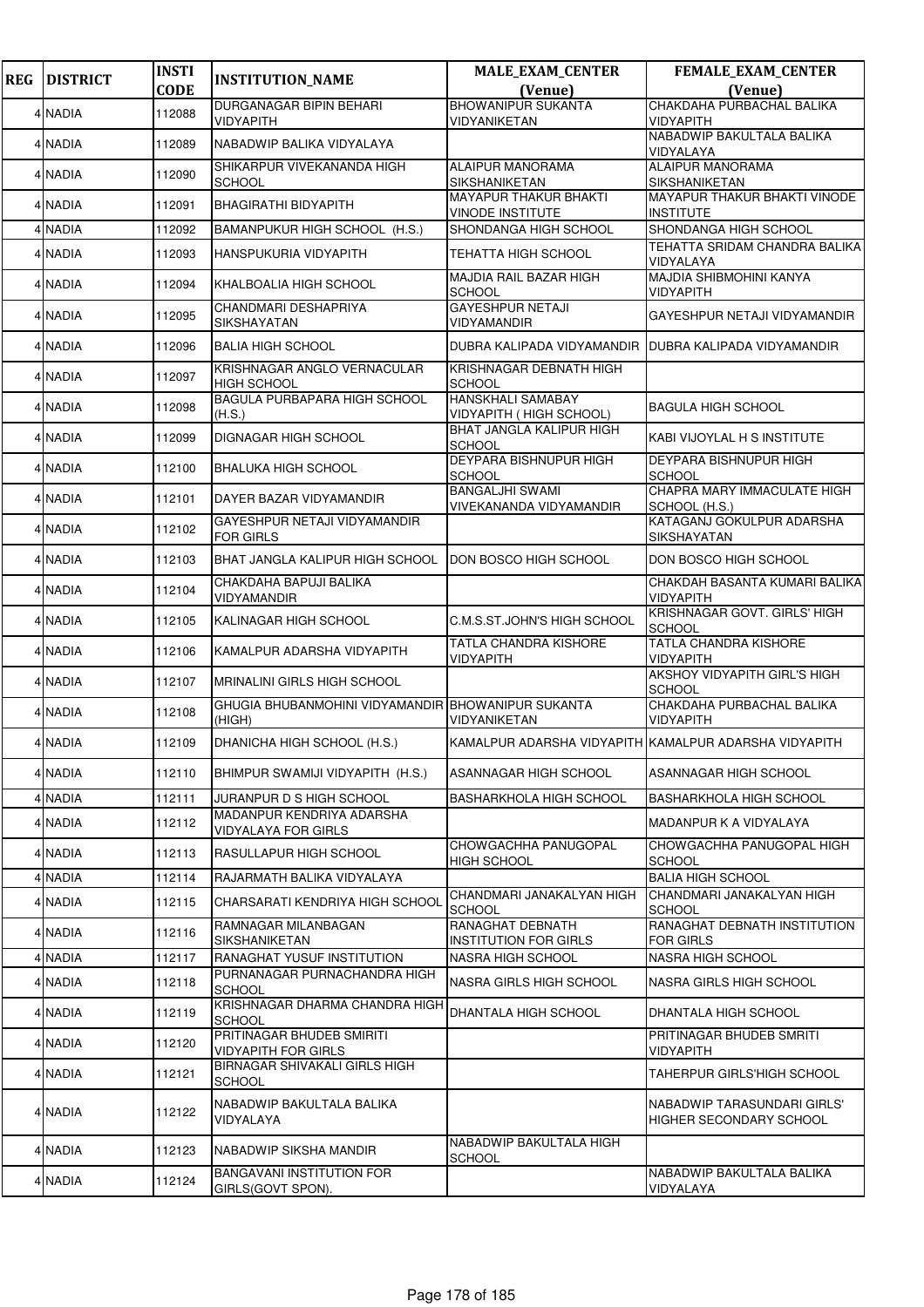| <b>REG</b> | <b>DISTRICT</b> | <b>INSTI</b> | <b>INSTITUTION_NAME</b>                                      | <b>MALE_EXAM_CENTER</b>                                 | FEMALE_EXAM_CENTER                                     |
|------------|-----------------|--------------|--------------------------------------------------------------|---------------------------------------------------------|--------------------------------------------------------|
|            |                 | <b>CODE</b>  |                                                              | (Venue)<br><b>BHOWANIPUR SUKANTA</b>                    | (Venue)<br>CHAKDAHA PURBACHAL BALIKA                   |
|            | 4 NADIA         | 112088       | <b>DURGANAGAR BIPIN BEHARI</b><br>VIDYAPITH                  | VIDYANIKETAN                                            | <b>VIDYAPITH</b>                                       |
|            | 4 NADIA         | 112089       | NABADWIP BALIKA VIDYALAYA                                    |                                                         | NABADWIP BAKULTALA BALIKA<br>VIDYALAYA                 |
|            | 4 NADIA         | 112090       | SHIKARPUR VIVEKANANDA HIGH<br><b>SCHOOL</b>                  | <b>ALAIPUR MANORAMA</b><br>SIKSHANIKETAN                | <b>ALAIPUR MANORAMA</b><br>SIKSHANIKETAN               |
|            | 4 NADIA         | 112091       | <b>BHAGIRATHI BIDYAPITH</b>                                  | <b>MAYAPUR THAKUR BHAKTI</b><br><b>VINODE INSTITUTE</b> | MAYAPUR THAKUR BHAKTI VINODE<br>INSTITUTE              |
|            | 4 NADIA         | 112092       | BAMANPUKUR HIGH SCHOOL (H.S.)                                | SHONDANGA HIGH SCHOOL                                   | SHONDANGA HIGH SCHOOL                                  |
|            | 4 NADIA         | 112093       | HANSPUKURIA VIDYAPITH                                        | <b>TEHATTA HIGH SCHOOL</b>                              | TEHATTA SRIDAM CHANDRA BALIKA<br>VIDYALAYA             |
|            | 4 NADIA         | 112094       | KHALBOALIA HIGH SCHOOL                                       | MAJDIA RAIL BAZAR HIGH<br>SCHOOL                        | MAJDIA SHIBMOHINI KANYA<br>VIDYAPITH                   |
|            | 4 NADIA         | 112095       | CHANDMARI DESHAPRIYA<br>SIKSHAYATAN                          | <b>GAYESHPUR NETAJI</b><br>VIDYAMANDIR                  | GAYESHPUR NETAJI VIDYAMANDIR                           |
|            | 4 NADIA         | 112096       | <b>BALIA HIGH SCHOOL</b>                                     | DUBRA KALIPADA VIDYAMANDIR                              | <b>IDUBRA KALIPADA VIDYAMANDIR</b>                     |
|            | 4 NADIA         | 112097       | KRISHNAGAR ANGLO VERNACULAR<br><b>HIGH SCHOOL</b>            | KRISHNAGAR DEBNATH HIGH<br><b>SCHOOL</b>                |                                                        |
|            | 4 NADIA         | 112098       | BAGULA PURBAPARA HIGH SCHOOL<br>(H.S.)                       | <b>HANSKHALI SAMABAY</b><br>VIDYAPITH ( HIGH SCHOOL)    | BAGULA HIGH SCHOOL                                     |
|            | 4 NADIA         | 112099       | <b>DIGNAGAR HIGH SCHOOL</b>                                  | <b>BHAT JANGLA KALIPUR HIGH</b><br>SCHOOL               | KABI VIJOYLAL H S INSTITUTE                            |
|            | 4 NADIA         | 112100       | <b>BHALUKA HIGH SCHOOL</b>                                   | <b>DEYPARA BISHNUPUR HIGH</b><br><b>SCHOOL</b>          | <b>DEYPARA BISHNUPUR HIGH</b><br><b>SCHOOL</b>         |
|            | 4 NADIA         | 112101       | DAYER BAZAR VIDYAMANDIR                                      | <b>BANGALJHI SWAMI</b><br>VIVEKANANDA VIDYAMANDIR       | CHAPRA MARY IMMACULATE HIGH<br>SCHOOL (H.S.)           |
|            | 4 NADIA         | 112102       | GAYESHPUR NETAJI VIDYAMANDIR<br><b>FOR GIRLS</b>             |                                                         | KATAGANJ GOKULPUR ADARSHA<br>SIKSHAYATAN               |
|            | 4 NADIA         | 112103       | BHAT JANGLA KALIPUR HIGH SCHOOL                              | DON BOSCO HIGH SCHOOL                                   | DON BOSCO HIGH SCHOOL                                  |
|            | 4 NADIA         | 112104       | CHAKDAHA BAPUJI BALIKA<br>VIDYAMANDIR                        |                                                         | CHAKDAH BASANTA KUMARI BALIKA<br>VIDYAPITH             |
|            | 4 NADIA         | 112105       | <b>KALINAGAR HIGH SCHOOL</b>                                 | C.M.S.ST.JOHN'S HIGH SCHOOL                             | KRISHNAGAR GOVT. GIRLS' HIGH<br><b>SCHOOL</b>          |
|            | 4 NADIA         | 112106       | KAMALPUR ADARSHA VIDYAPITH                                   | <b>TATLA CHANDRA KISHORE</b><br>VIDYAPITH               | <b>TATLA CHANDRA KISHORE</b><br>VIDYAPITH              |
|            | 4 NADIA         | 112107       | <b>MRINALINI GIRLS HIGH SCHOOL</b>                           |                                                         | AKSHOY VIDYAPITH GIRL'S HIGH<br><b>SCHOOL</b>          |
|            | 4 NADIA         | 112108       | GHUGIA BHUBANMOHINI VIDYAMANDIR BHOWANIPUR SUKANTA<br>(HIGH) | VIDYANIKETAN                                            | CHAKDAHA PURBACHAL BALIKA<br>VIDYAPITH                 |
|            | 4 NADIA         | 112109       | DHANICHA HIGH SCHOOL (H.S.)                                  | KAMALPUR ADARSHA VIDYAPITH KAMALPUR ADARSHA VIDYAPITH   |                                                        |
|            | 4 NADIA         | 112110       | BHIMPUR SWAMIJI VIDYAPITH (H.S.)                             | ASANNAGAR HIGH SCHOOL                                   | ASANNAGAR HIGH SCHOOL                                  |
|            | 4 NADIA         | 112111       | JURANPUR D S HIGH SCHOOL                                     | <b>BASHARKHOLA HIGH SCHOOL</b>                          | <b>BASHARKHOLA HIGH SCHOOL</b>                         |
|            | 4 NADIA         | 112112       | MADANPUR KENDRIYA ADARSHA<br>VIDYALAYA FOR GIRLS             |                                                         | <b>MADANPUR K A VIDYALAYA</b>                          |
|            | 4 NADIA         | 112113       | RASULLAPUR HIGH SCHOOL                                       | CHOWGACHHA PANUGOPAL<br><b>HIGH SCHOOL</b>              | CHOWGACHHA PANUGOPAL HIGH<br>SCHOOL                    |
|            | 4 NADIA         | 112114       | RAJARMATH BALIKA VIDYALAYA                                   |                                                         | <b>BALIA HIGH SCHOOL</b>                               |
|            | 4 NADIA         | 112115       | CHARSARATI KENDRIYA HIGH SCHOOL                              | CHANDMARI JANAKALYAN HIGH<br><b>SCHOOL</b>              | CHANDMARI JANAKALYAN HIGH<br>SCHOOL                    |
|            | 4 NADIA         | 112116       | RAMNAGAR MILANBAGAN<br>SIKSHANIKETAN                         | RANAGHAT DEBNATH<br><b>INSTITUTION FOR GIRLS</b>        | RANAGHAT DEBNATH INSTITUTION<br>FOR GIRLS              |
|            | 4 NADIA         | 112117       | <b>RANAGHAT YUSUF INSTITUTION</b>                            | NASRA HIGH SCHOOL                                       | NASRA HIGH SCHOOL                                      |
|            | 4 NADIA         | 112118       | PURNANAGAR PURNACHANDRA HIGH<br><b>SCHOOL</b>                | <b>NASRA GIRLS HIGH SCHOOL</b>                          | NASRA GIRLS HIGH SCHOOL                                |
|            | 4 NADIA         | 112119       | KRISHNAGAR DHARMA CHANDRA HIGH<br>SCHOOL                     | DHANTALA HIGH SCHOOL                                    | DHANTALA HIGH SCHOOL                                   |
|            | 4 NADIA         | 112120       | PRITINAGAR BHUDEB SMIRITI<br><b>VIDYAPITH FOR GIRLS</b>      |                                                         | PRITINAGAR BHUDEB SMRITI<br>VIDYAPITH                  |
|            | 4 NADIA         | 112121       | BIRNAGAR SHIVAKALI GIRLS HIGH<br><b>SCHOOL</b>               |                                                         | TAHERPUR GIRLS'HIGH SCHOOL                             |
|            | 4 NADIA         | 112122       | NABADWIP BAKULTALA BALIKA<br>VIDYALAYA                       |                                                         | NABADWIP TARASUNDARI GIRLS'<br>HIGHER SECONDARY SCHOOL |
|            | 4 NADIA         | 112123       | NABADWIP SIKSHA MANDIR                                       | NABADWIP BAKULTALA HIGH<br>SCHOOL                       |                                                        |
|            | 4 NADIA         | 112124       | BANGAVANI INSTITUTION FOR<br>GIRLS(GOVT SPON).               |                                                         | NABADWIP BAKULTALA BALIKA<br>VIDYALAYA                 |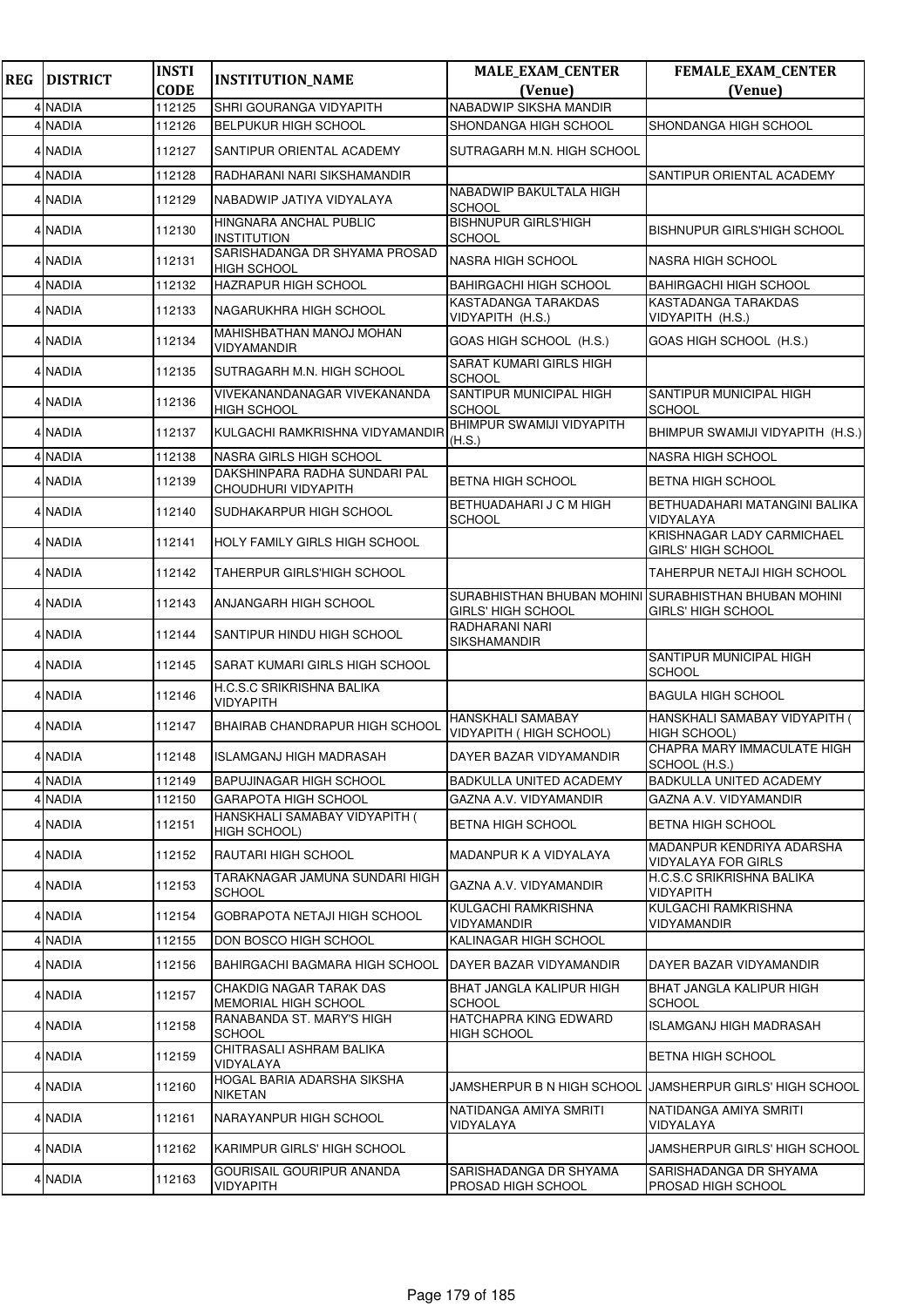| <b>REG</b> | <b>DISTRICT</b> | <b>INSTI</b> | <b>INSTITUTION_NAME</b>                                | <b>MALE_EXAM_CENTER</b>                                 | <b>FEMALE_EXAM_CENTER</b>                                      |
|------------|-----------------|--------------|--------------------------------------------------------|---------------------------------------------------------|----------------------------------------------------------------|
|            |                 | <b>CODE</b>  |                                                        | (Venue)                                                 | (Venue)                                                        |
|            | 4 NADIA         | 112125       | <b>SHRI GOURANGA VIDYAPITH</b>                         | NABADWIP SIKSHA MANDIR                                  |                                                                |
|            | 4 NADIA         | 112126       | <b>BELPUKUR HIGH SCHOOL</b>                            | SHONDANGA HIGH SCHOOL                                   | SHONDANGA HIGH SCHOOL                                          |
|            | 4 NADIA         | 112127       | SANTIPUR ORIENTAL ACADEMY                              | SUTRAGARH M.N. HIGH SCHOOL                              |                                                                |
| 4          | <b>NADIA</b>    | 112128       | RADHARANI NARI SIKSHAMANDIR                            |                                                         | <b>SANTIPUR ORIENTAL ACADEMY</b>                               |
|            | 4 NADIA         | 112129       | NABADWIP JATIYA VIDYALAYA                              | NABADWIP BAKULTALA HIGH<br>SCHOOL                       |                                                                |
|            | 4 NADIA         | 112130       | HINGNARA ANCHAL PUBLIC<br><b>INSTITUTION</b>           | <b>BISHNUPUR GIRLS'HIGH</b><br><b>SCHOOL</b>            | <b>BISHNUPUR GIRLS'HIGH SCHOOL</b>                             |
|            | 4 NADIA         | 112131       | SARISHADANGA DR SHYAMA PROSAD<br><b>HIGH SCHOOL</b>    | <b>NASRA HIGH SCHOOL</b>                                | <b>NASRA HIGH SCHOOL</b>                                       |
|            | 4 NADIA         | 112132       | <b>HAZRAPUR HIGH SCHOOL</b>                            | <b>BAHIRGACHI HIGH SCHOOL</b>                           | <b>BAHIRGACHI HIGH SCHOOL</b>                                  |
|            | 4 NADIA         | 112133       | NAGARUKHRA HIGH SCHOOL                                 | KASTADANGA TARAKDAS<br>VIDYAPITH (H.S.)                 | KASTADANGA TARAKDAS<br>VIDYAPITH (H.S.)                        |
|            | 4 NADIA         | 112134       | MAHISHBATHAN MANOJ MOHAN<br>VIDYAMANDIR                | GOAS HIGH SCHOOL (H.S.)                                 | GOAS HIGH SCHOOL (H.S.)                                        |
|            | 4 NADIA         | 112135       | SUTRAGARH M.N. HIGH SCHOOL                             | SARAT KUMARI GIRLS HIGH<br>SCHOOL                       |                                                                |
|            | 4 NADIA         | 112136       | VIVEKANANDANAGAR VIVEKANANDA<br><b>HIGH SCHOOL</b>     | SANTIPUR MUNICIPAL HIGH<br><b>SCHOOL</b>                | SANTIPUR MUNICIPAL HIGH<br><b>SCHOOL</b>                       |
|            | 4 NADIA         | 112137       | KULGACHI RAMKRISHNA VIDYAMANDIR                        | BHIMPUR SWAMIJI VIDYAPITH<br>(H.S.)                     | BHIMPUR SWAMIJI VIDYAPITH (H.S.)                               |
|            | 4 NADIA         | 112138       | <b>NASRA GIRLS HIGH SCHOOL</b>                         |                                                         | <b>NASRA HIGH SCHOOL</b>                                       |
|            | 4 NADIA         | 112139       | DAKSHINPARA RADHA SUNDARI PAL<br>CHOUDHURI VIDYAPITH   | BETNA HIGH SCHOOL                                       | BETNA HIGH SCHOOL                                              |
|            | 4 NADIA         | 112140       | SUDHAKARPUR HIGH SCHOOL                                | BETHUADAHARI J C M HIGH<br>SCHOOL                       | BETHUADAHARI MATANGINI BALIKA<br>VIDYALAYA                     |
|            | 4 NADIA         | 112141       | <b>HOLY FAMILY GIRLS HIGH SCHOOL</b>                   |                                                         | KRISHNAGAR LADY CARMICHAEL<br><b>GIRLS' HIGH SCHOOL</b>        |
|            | 4 NADIA         | 112142       | <b>TAHERPUR GIRLS'HIGH SCHOOL</b>                      |                                                         | <b>TAHERPUR NETAJI HIGH SCHOOL</b>                             |
|            | 4 NADIA         | 112143       | <b>ANJANGARH HIGH SCHOOL</b>                           | SURABHISTHAN BHUBAN MOHINI<br><b>GIRLS' HIGH SCHOOL</b> | <b>SURABHISTHAN BHUBAN MOHINI</b><br><b>GIRLS' HIGH SCHOOL</b> |
|            | 4 NADIA         | 112144       | SANTIPUR HINDU HIGH SCHOOL                             | RADHARANI NARI<br>SIKSHAMANDIR                          |                                                                |
|            | 4 NADIA         | 112145       | SARAT KUMARI GIRLS HIGH SCHOOL                         |                                                         | SANTIPUR MUNICIPAL HIGH<br><b>SCHOOL</b>                       |
|            | 4 NADIA         | 112146       | H.C.S.C SRIKRISHNA BALIKA<br><b>VIDYAPITH</b>          |                                                         | <b>BAGULA HIGH SCHOOL</b>                                      |
|            | 4 NADIA         | 112147       | <b>BHAIRAB CHANDRAPUR HIGH SCHOOL</b>                  | <b>HANSKHALI SAMABAY</b><br>VIDYAPITH ( HIGH SCHOOL)    | HANSKHALI SAMABAY VIDYAPITH (<br><b>HIGH SCHOOL)</b>           |
|            | 4 NADIA         | 112148       | ISLAMGANJ HIGH MADRASAH                                | DAYER BAZAR VIDYAMANDIR                                 | CHAPRA MARY IMMACULATE HIGH<br>SCHOOL (H.S.)                   |
|            | 4 NADIA         | 112149       | <b>BAPUJINAGAR HIGH SCHOOL</b>                         | BADKULLA UNITED ACADEMY                                 | <b>BADKULLA UNITED ACADEMY</b>                                 |
|            | 4 NADIA         | 112150       | GARAPOTA HIGH SCHOOL                                   | GAZNA A.V. VIDYAMANDIR                                  | GAZNA A.V. VIDYAMANDIR                                         |
|            | 4 NADIA         | 112151       | HANSKHALI SAMABAY VIDYAPITH (<br>HIGH SCHOOL)          | BETNA HIGH SCHOOL                                       | BETNA HIGH SCHOOL                                              |
|            | 4 NADIA         | 112152       | <b>RAUTARI HIGH SCHOOL</b>                             | MADANPUR K A VIDYALAYA                                  | MADANPUR KENDRIYA ADARSHA<br><b>VIDYALAYA FOR GIRLS</b>        |
|            | 4 NADIA         | 112153       | TARAKNAGAR JAMUNA SUNDARI HIGH<br><b>SCHOOL</b>        | GAZNA A.V. VIDYAMANDIR                                  | H.C.S.C SRIKRISHNA BALIKA<br><b>VIDYAPITH</b>                  |
|            | 4 NADIA         | 112154       | GOBRAPOTA NETAJI HIGH SCHOOL                           | KULGACHI RAMKRISHNA<br>VIDYAMANDIR                      | KULGACHI RAMKRISHNA<br><b>VIDYAMANDIR</b>                      |
|            | 4 NADIA         | 112155       | DON BOSCO HIGH SCHOOL                                  | KALINAGAR HIGH SCHOOL                                   |                                                                |
|            | 4 NADIA         | 112156       | BAHIRGACHI BAGMARA HIGH SCHOOL                         | DAYER BAZAR VIDYAMANDIR                                 | DAYER BAZAR VIDYAMANDIR                                        |
|            | 4 NADIA         | 112157       | CHAKDIG NAGAR TARAK DAS<br><b>MEMORIAL HIGH SCHOOL</b> | BHAT JANGLA KALIPUR HIGH<br>SCHOOL                      | BHAT JANGLA KALIPUR HIGH<br><b>SCHOOL</b>                      |
|            | 4 NADIA         | 112158       | RANABANDA ST. MARY'S HIGH<br><b>SCHOOL</b>             | HATCHAPRA KING EDWARD<br>HIGH SCHOOL                    | <b>ISLAMGANJ HIGH MADRASAH</b>                                 |
|            | 4 NADIA         | 112159       | CHITRASALI ASHRAM BALIKA<br>VIDYALAYA                  |                                                         | BETNA HIGH SCHOOL                                              |
|            | 4 NADIA         | 112160       | <b>HOGAL BARIA ADARSHA SIKSHA</b><br><b>NIKETAN</b>    | JAMSHERPUR B N HIGH SCHOOL                              | <b>JAMSHERPUR GIRLS' HIGH SCHOOL</b>                           |
|            | 4 NADIA         | 112161       | NARAYANPUR HIGH SCHOOL                                 | NATIDANGA AMIYA SMRITI<br>VIDYALAYA                     | NATIDANGA AMIYA SMRITI<br>VIDYALAYA                            |
|            | 4 NADIA         | 112162       | KARIMPUR GIRLS' HIGH SCHOOL                            |                                                         | JAMSHERPUR GIRLS' HIGH SCHOOL                                  |
|            | 4 NADIA         | 112163       | GOURISAIL GOURIPUR ANANDA<br><b>VIDYAPITH</b>          | SARISHADANGA DR SHYAMA<br>PROSAD HIGH SCHOOL            | SARISHADANGA DR SHYAMA<br><b>PROSAD HIGH SCHOOL</b>            |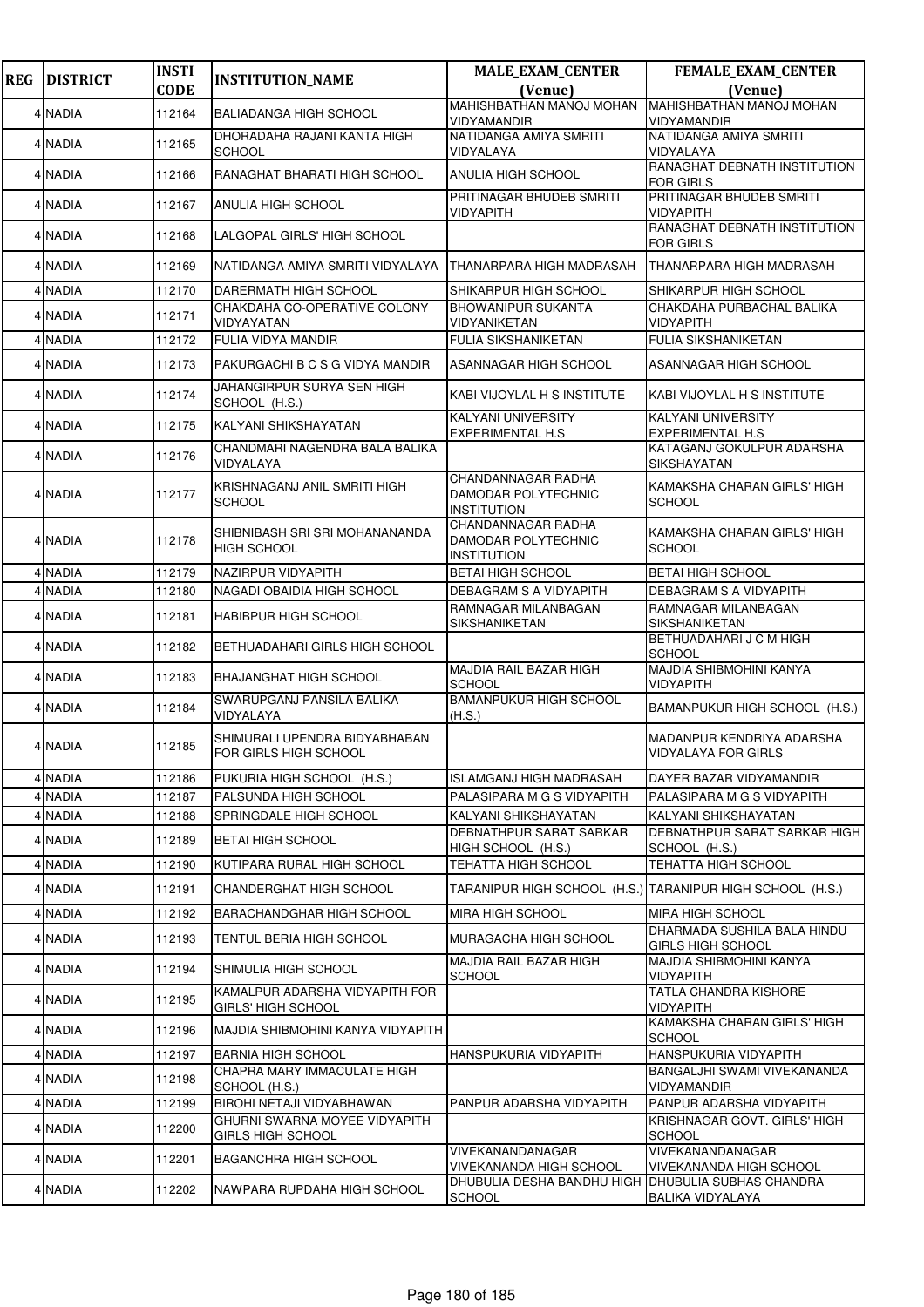| <b>REG</b> | <b>DISTRICT</b> | <b>INSTI</b> | <b>INSTITUTION_NAME</b>                                | <b>MALE_EXAM_CENTER</b>                                         | FEMALE_EXAM_CENTER                                           |
|------------|-----------------|--------------|--------------------------------------------------------|-----------------------------------------------------------------|--------------------------------------------------------------|
|            |                 | <b>CODE</b>  |                                                        | (Venue)                                                         | (Venue)                                                      |
|            | 4 NADIA         | 112164       | <b>BALIADANGA HIGH SCHOOL</b>                          | <b>MAHISHBATHAN MANOJ MOHAN</b><br>VIDYAMANDIR                  | MAHISHBATHAN MANOJ MOHAN<br><b>VIDYAMANDIR</b>               |
|            | 4 NADIA         | 112165       | DHORADAHA RAJANI KANTA HIGH<br><b>SCHOOL</b>           | NATIDANGA AMIYA SMRITI<br>VIDYALAYA                             | NATIDANGA AMIYA SMRITI<br>VIDYALAYA                          |
|            | 4 NADIA         | 112166       | RANAGHAT BHARATI HIGH SCHOOL                           | ANULIA HIGH SCHOOL                                              | RANAGHAT DEBNATH INSTITUTION<br><b>FOR GIRLS</b>             |
|            | 4 NADIA         | 112167       | ANULIA HIGH SCHOOL                                     | PRITINAGAR BHUDEB SMRITI<br>VIDYAPITH                           | PRITINAGAR BHUDEB SMRITI<br><b>VIDYAPITH</b>                 |
|            | 4 NADIA         | 112168       | LALGOPAL GIRLS' HIGH SCHOOL                            |                                                                 | RANAGHAT DEBNATH INSTITUTION<br><b>FOR GIRLS</b>             |
|            | 4 NADIA         | 112169       | NATIDANGA AMIYA SMRITI VIDYALAYA                       | THANARPARA HIGH MADRASAH                                        | THANARPARA HIGH MADRASAH                                     |
|            | 4 NADIA         | 112170       | DARERMATH HIGH SCHOOL                                  | SHIKARPUR HIGH SCHOOL                                           | SHIKARPUR HIGH SCHOOL                                        |
|            | 4 NADIA         | 112171       | CHAKDAHA CO-OPERATIVE COLONY<br>VIDYAYATAN             | <b>BHOWANIPUR SUKANTA</b><br>VIDYANIKETAN                       | CHAKDAHA PURBACHAL BALIKA<br><b>VIDYAPITH</b>                |
|            | 4 NADIA         | 112172       | FULIA VIDYA MANDIR                                     | FULIA SIKSHANIKETAN                                             | FULIA SIKSHANIKETAN                                          |
|            | 4 NADIA         | 112173       | PAKURGACHI B C S G VIDYA MANDIR                        | ASANNAGAR HIGH SCHOOL                                           | ASANNAGAR HIGH SCHOOL                                        |
|            | 4 NADIA         | 112174       | JAHANGIRPUR SURYA SEN HIGH<br>SCHOOL (H.S.)            | KABI VIJOYLAL H S INSTITUTE                                     | KABI VIJOYLAL H S INSTITUTE                                  |
|            | 4 NADIA         | 112175       | KALYANI SHIKSHAYATAN                                   | KALYANI UNIVERSITY<br><b>EXPERIMENTAL H.S</b>                   | <b>KALYANI UNIVERSITY</b><br><b>EXPERIMENTAL H.S</b>         |
|            | 4 NADIA         | 112176       | CHANDMARI NAGENDRA BALA BALIKA<br>VIDYALAYA            |                                                                 | KATAGANJ GOKULPUR ADARSHA<br><b>SIKSHAYATAN</b>              |
|            | 4 NADIA         | 112177       | KRISHNAGANJ ANIL SMRITI HIGH<br><b>SCHOOL</b>          | CHANDANNAGAR RADHA<br>DAMODAR POLYTECHNIC<br><b>INSTITUTION</b> | KAMAKSHA CHARAN GIRLS' HIGH<br><b>SCHOOL</b>                 |
|            | 4 NADIA         | 112178       | SHIBNIBASH SRI SRI MOHANANANDA<br><b>HIGH SCHOOL</b>   | CHANDANNAGAR RADHA<br>DAMODAR POLYTECHNIC<br>INSTITUTION        | KAMAKSHA CHARAN GIRLS' HIGH<br><b>SCHOOL</b>                 |
|            | 4 NADIA         | 112179       | NAZIRPUR VIDYAPITH                                     | <b>BETAI HIGH SCHOOL</b>                                        | <b>BETAI HIGH SCHOOL</b>                                     |
|            | 4 NADIA         | 112180       | NAGADI OBAIDIA HIGH SCHOOL                             | DEBAGRAM S A VIDYAPITH                                          | DEBAGRAM S A VIDYAPITH                                       |
|            | 4 NADIA         | 112181       | HABIBPUR HIGH SCHOOL                                   | RAMNAGAR MILANBAGAN<br><b>SIKSHANIKETAN</b>                     | <b>RAMNAGAR MILANBAGAN</b><br>SIKSHANIKETAN                  |
|            | 4 NADIA         | 112182       | BETHUADAHARI GIRLS HIGH SCHOOL                         |                                                                 | BETHUADAHARI J C M HIGH<br><b>SCHOOL</b>                     |
|            | 4 NADIA         | 112183       | BHAJANGHAT HIGH SCHOOL                                 | <b>MAJDIA RAIL BAZAR HIGH</b><br><b>SCHOOL</b>                  | MAJDIA SHIBMOHINI KANYA<br><b>VIDYAPITH</b>                  |
|            | 4 NADIA         | 112184       | SWARUPGANJ PANSILA BALIKA<br>VIDYALAYA                 | <b>BAMANPUKUR HIGH SCHOOL</b><br>(H.S.)                         | BAMANPUKUR HIGH SCHOOL (H.S.)                                |
|            | 4 NADIA         | 112185       | SHIMURALI UPENDRA BIDYABHABAN<br>FOR GIRLS HIGH SCHOOL |                                                                 | MADANPUR KENDRIYA ADARSHA<br><b>VIDYALAYA FOR GIRLS</b>      |
|            | 4 NADIA         | 112186       | PUKURIA HIGH SCHOOL (H.S.)                             | ISLAMGANJ HIGH MADRASAH                                         | DAYER BAZAR VIDYAMANDIR                                      |
|            | 4 NADIA         | 112187       | PALSUNDA HIGH SCHOOL                                   | PALASIPARA M G S VIDYAPITH                                      | PALASIPARA M G S VIDYAPITH                                   |
|            | 4 NADIA         | 112188       | SPRINGDALE HIGH SCHOOL                                 | KALYANI SHIKSHAYATAN                                            | KALYANI SHIKSHAYATAN                                         |
|            | 4 NADIA         | 112189       | <b>BETAI HIGH SCHOOL</b>                               | DEBNATHPUR SARAT SARKAR<br>HIGH SCHOOL (H.S.)                   | <b>DEBNATHPUR SARAT SARKAR HIGH</b><br>SCHOOL (H.S.)         |
|            | 4 NADIA         | 112190       | KUTIPARA RURAL HIGH SCHOOL                             | TEHATTA HIGH SCHOOL                                             | <b>TEHATTA HIGH SCHOOL</b>                                   |
|            | 4 NADIA         | 112191       | CHANDERGHAT HIGH SCHOOL                                |                                                                 | TARANIPUR HIGH SCHOOL  (H.S.)  TARANIPUR HIGH SCHOOL  (H.S.) |
|            | 4 NADIA         | 112192       | <b>BARACHANDGHAR HIGH SCHOOL</b>                       | <b>MIRA HIGH SCHOOL</b>                                         | <b>MIRA HIGH SCHOOL</b><br>DHARMADA SUSHILA BALA HINDU       |
|            | 4 NADIA         | 112193       | TENTUL BERIA HIGH SCHOOL                               | MURAGACHA HIGH SCHOOL<br>MAJDIA RAIL BAZAR HIGH                 | <b>GIRLS HIGH SCHOOL</b><br><b>MAJDIA SHIBMOHINI KANYA</b>   |
|            | 4 NADIA         | 112194       | SHIMULIA HIGH SCHOOL<br>KAMALPUR ADARSHA VIDYAPITH FOR | <b>SCHOOL</b>                                                   | <b>VIDYAPITH</b><br><b>TATLA CHANDRA KISHORE</b>             |
|            | 4 NADIA         | 112195       | GIRLS' HIGH SCHOOL                                     |                                                                 | <b>VIDYAPITH</b>                                             |
|            | 4 NADIA         | 112196       | MAJDIA SHIBMOHINI KANYA VIDYAPITH                      |                                                                 | KAMAKSHA CHARAN GIRLS' HIGH<br><b>SCHOOL</b>                 |
|            | 4 NADIA         | 112197       | <b>BARNIA HIGH SCHOOL</b>                              | HANSPUKURIA VIDYAPITH                                           | HANSPUKURIA VIDYAPITH                                        |
|            | 4 NADIA         | 112198       | CHAPRA MARY IMMACULATE HIGH<br>SCHOOL (H.S.)           |                                                                 | BANGALJHI SWAMI VIVEKANANDA<br>VIDYAMANDIR                   |
|            | 4 NADIA         | 112199       | BIROHI NETAJI VIDYABHAWAN                              | PANPUR ADARSHA VIDYAPITH                                        | PANPUR ADARSHA VIDYAPITH                                     |
|            | 4 NADIA         | 112200       | GHURNI SWARNA MOYEE VIDYAPITH<br>GIRLS HIGH SCHOOL     |                                                                 | KRISHNAGAR GOVT. GIRLS' HIGH<br><b>SCHOOL</b>                |
|            | 4 NADIA         | 112201       | BAGANCHRA HIGH SCHOOL                                  | VIVEKANANDANAGAR<br>VIVEKANANDA HIGH SCHOOL                     | VIVEKANANDANAGAR<br>VIVEKANANDA HIGH SCHOOL                  |
|            | 4 NADIA         | 112202       | NAWPARA RUPDAHA HIGH SCHOOL                            | <b>DHUBULIA DESHA BANDHU HIGH</b><br><b>SCHOOL</b>              | <b>DHUBULIA SUBHAS CHANDRA</b><br><b>BALIKA VIDYALAYA</b>    |
|            |                 |              |                                                        |                                                                 |                                                              |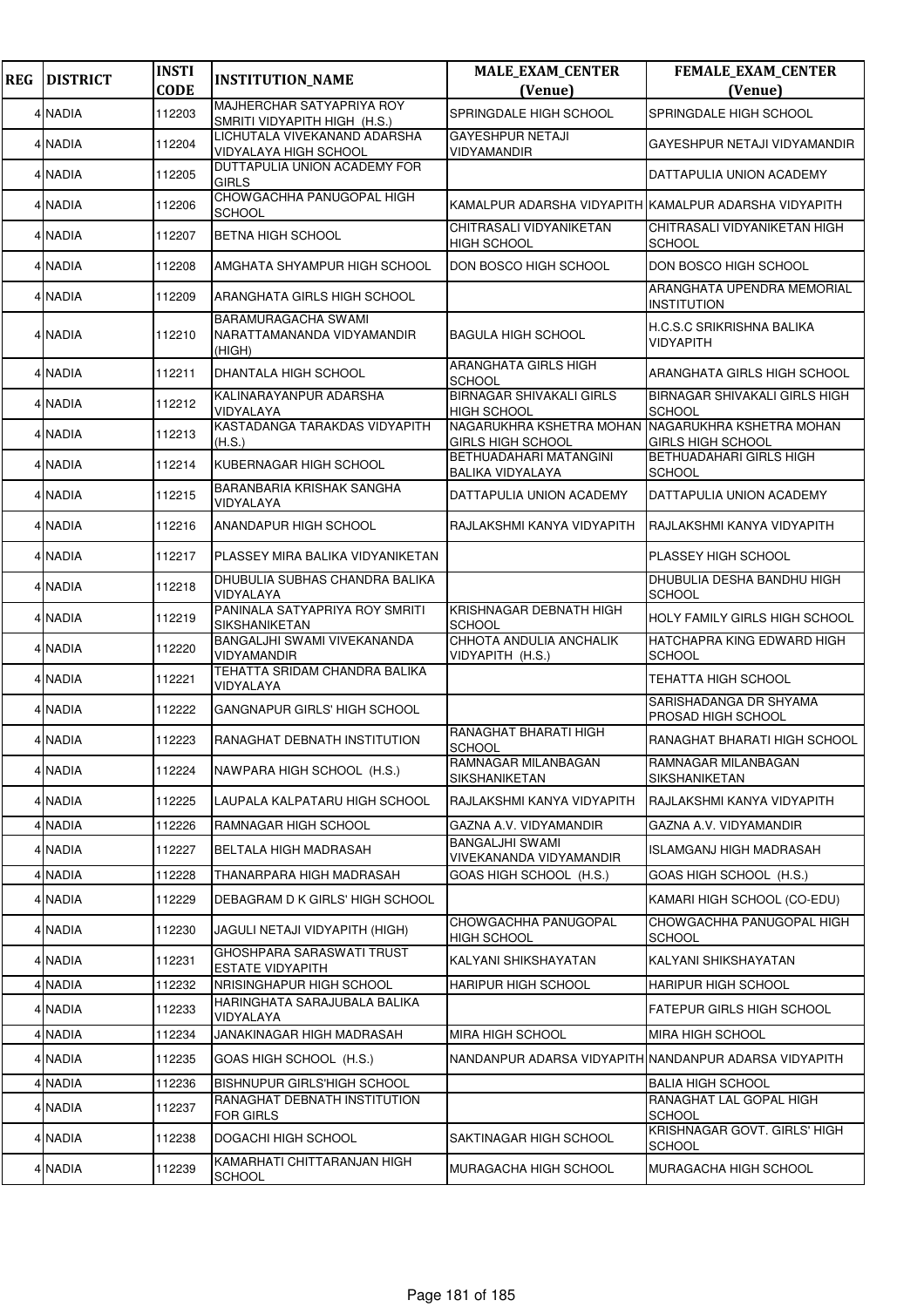| <b>REG</b> | <b>DISTRICT</b> | <b>INSTI</b><br><b>CODE</b> | <b>INSTITUTION_NAME</b>                                            | <b>MALE_EXAM_CENTER</b><br>(Venue)                    | FEMALE_EXAM_CENTER<br>(Venue)                         |
|------------|-----------------|-----------------------------|--------------------------------------------------------------------|-------------------------------------------------------|-------------------------------------------------------|
|            | 4 NADIA         | 112203                      | MAJHERCHAR SATYAPRIYA ROY<br>SMRITI VIDYAPITH HIGH (H.S.)          | SPRINGDALE HIGH SCHOOL                                | SPRINGDALE HIGH SCHOOL                                |
|            | 4 NADIA         | 112204                      | LICHUTALA VIVEKANAND ADARSHA<br><b>VIDYALAYA HIGH SCHOOL</b>       | <b>GAYESHPUR NETAJI</b><br>VIDYAMANDIR                | GAYESHPUR NETAJI VIDYAMANDIR                          |
|            | 4 NADIA         | 112205                      | <b>DUTTAPULIA UNION ACADEMY FOR</b><br><b>GIRLS</b>                |                                                       | DATTAPULIA UNION ACADEMY                              |
|            | 4 NADIA         | 112206                      | CHOWGACHHA PANUGOPAL HIGH<br><b>SCHOOL</b>                         | KAMALPUR ADARSHA VIDYAPITH KAMALPUR ADARSHA VIDYAPITH |                                                       |
|            | 4 NADIA         | 112207                      | <b>BETNA HIGH SCHOOL</b>                                           | CHITRASALI VIDYANIKETAN<br><b>HIGH SCHOOL</b>         | CHITRASALI VIDYANIKETAN HIGH<br><b>SCHOOL</b>         |
|            | 4 NADIA         | 112208                      | AMGHATA SHYAMPUR HIGH SCHOOL                                       | DON BOSCO HIGH SCHOOL                                 | DON BOSCO HIGH SCHOOL                                 |
|            | 4 NADIA         | 112209                      | ARANGHATA GIRLS HIGH SCHOOL                                        |                                                       | ARANGHATA UPENDRA MEMORIAL<br><b>INSTITUTION</b>      |
|            | 4 NADIA         | 112210                      | <b>BARAMURAGACHA SWAMI</b><br>NARATTAMANANDA VIDYAMANDIR<br>(HIGH) | <b>BAGULA HIGH SCHOOL</b>                             | H.C.S.C SRIKRISHNA BALIKA<br><b>VIDYAPITH</b>         |
|            | 4 NADIA         | 112211                      | DHANTALA HIGH SCHOOL                                               | ARANGHATA GIRLS HIGH<br><b>SCHOOL</b>                 | ARANGHATA GIRLS HIGH SCHOOL                           |
|            | 4 NADIA         | 112212                      | KALINARAYANPUR ADARSHA<br>VIDYALAYA                                | <b>BIRNAGAR SHIVAKALI GIRLS</b><br><b>HIGH SCHOOL</b> | <b>BIRNAGAR SHIVAKALI GIRLS HIGH</b><br><b>SCHOOL</b> |
|            | 4 NADIA         | 112213                      | KASTADANGA TARAKDAS VIDYAPITH<br>(H.S.)                            | NAGARUKHRA KSHETRA MOHAN<br><b>GIRLS HIGH SCHOOL</b>  | NAGARUKHRA KSHETRA MOHAN<br><b>GIRLS HIGH SCHOOL</b>  |
|            | 4 NADIA         | 112214                      | KUBERNAGAR HIGH SCHOOL                                             | BETHUADAHARI MATANGINI<br>BALIKA VIDYALAYA            | <b>BETHUADAHARI GIRLS HIGH</b><br><b>SCHOOL</b>       |
|            | 4 NADIA         | 112215                      | BARANBARIA KRISHAK SANGHA<br>VIDYALAYA                             | DATTAPULIA UNION ACADEMY                              | DATTAPULIA UNION ACADEMY                              |
|            | 4 NADIA         | 112216                      | ANANDAPUR HIGH SCHOOL                                              | RAJLAKSHMI KANYA VIDYAPITH                            | RAJLAKSHMI KANYA VIDYAPITH                            |
|            | 4 NADIA         | 112217                      | PLASSEY MIRA BALIKA VIDYANIKETAN                                   |                                                       | PLASSEY HIGH SCHOOL                                   |
|            | 4 NADIA         | 112218                      | DHUBULIA SUBHAS CHANDRA BALIKA<br>VIDYALAYA                        |                                                       | DHUBULIA DESHA BANDHU HIGH<br><b>SCHOOL</b>           |
|            | 4 NADIA         | 112219                      | PANINALA SATYAPRIYA ROY SMRITI<br>SIKSHANIKETAN                    | KRISHNAGAR DEBNATH HIGH<br><b>SCHOOL</b>              | <b>HOLY FAMILY GIRLS HIGH SCHOOL</b>                  |
|            | 4 NADIA         | 112220                      | BANGALJHI SWAMI VIVEKANANDA<br>VIDYAMANDIR                         | CHHOTA ANDULIA ANCHALIK<br>VIDYAPITH (H.S.)           | HATCHAPRA KING EDWARD HIGH<br><b>SCHOOL</b>           |
|            | 4 NADIA         | 112221                      | TEHATTA SRIDAM CHANDRA BALIKA<br>VIDYALAYA                         |                                                       | <b>TEHATTA HIGH SCHOOL</b>                            |
|            | 4 NADIA         | 112222                      | <b>GANGNAPUR GIRLS' HIGH SCHOOL</b>                                |                                                       | SARISHADANGA DR SHYAMA<br>PROSAD HIGH SCHOOL          |
|            | 4 NADIA         | 112223                      | RANAGHAT DEBNATH INSTITUTION                                       | RANAGHAT BHARATI HIGH<br><b>SCHOOL</b>                | RANAGHAT BHARATI HIGH SCHOOL                          |
|            | 4 NADIA         | 112224                      | NAWPARA HIGH SCHOOL (H.S.)                                         | RAMNAGAR MILANBAGAN<br>SIKSHANIKETAN                  | RAMNAGAR MILANBAGAN<br>SIKSHANIKETAN                  |
|            | 4 NADIA         | 112225                      | LAUPALA KALPATARU HIGH SCHOOL                                      | RAJLAKSHMI KANYA VIDYAPITH                            | RAJLAKSHMI KANYA VIDYAPITH                            |
|            | 4 NADIA         | 112226                      | RAMNAGAR HIGH SCHOOL                                               | GAZNA A.V. VIDYAMANDIR                                | GAZNA A.V. VIDYAMANDIR                                |
|            | 4 NADIA         | 112227                      | <b>BELTALA HIGH MADRASAH</b>                                       | <b>BANGALJHI SWAMI</b><br>VIVEKANANDA VIDYAMANDIR     | ISLAMGANJ HIGH MADRASAH                               |
|            | 4 NADIA         | 112228                      | THANARPARA HIGH MADRASAH                                           | GOAS HIGH SCHOOL (H.S.)                               | GOAS HIGH SCHOOL (H.S.)                               |
|            | 4 NADIA         | 112229                      | DEBAGRAM D K GIRLS' HIGH SCHOOL                                    |                                                       | KAMARI HIGH SCHOOL (CO-EDU)                           |
|            | 4 NADIA         | 112230                      | JAGULI NETAJI VIDYAPITH (HIGH)                                     | CHOWGACHHA PANUGOPAL<br><b>HIGH SCHOOL</b>            | CHOWGACHHA PANUGOPAL HIGH<br><b>SCHOOL</b>            |
|            | 4 NADIA         | 112231                      | GHOSHPARA SARASWATI TRUST<br><b>ESTATE VIDYAPITH</b>               | KALYANI SHIKSHAYATAN                                  | KALYANI SHIKSHAYATAN                                  |
|            | 4 NADIA         | 112232                      | NRISINGHAPUR HIGH SCHOOL                                           | <b>HARIPUR HIGH SCHOOL</b>                            | <b>HARIPUR HIGH SCHOOL</b>                            |
|            | 4 NADIA         | 112233                      | HARINGHATA SARAJUBALA BALIKA<br>VIDYALAYA                          |                                                       | <b>FATEPUR GIRLS HIGH SCHOOL</b>                      |
|            | 4 NADIA         | 112234                      | JANAKINAGAR HIGH MADRASAH                                          | <b>MIRA HIGH SCHOOL</b>                               | <b>MIRA HIGH SCHOOL</b>                               |
|            | 4 NADIA         | 112235                      | GOAS HIGH SCHOOL (H.S.)                                            |                                                       | NANDANPUR ADARSA VIDYAPITH NANDANPUR ADARSA VIDYAPITH |
|            | 4 NADIA         | 112236                      | <b>BISHNUPUR GIRLS'HIGH SCHOOL</b>                                 |                                                       | <b>BALIA HIGH SCHOOL</b>                              |
|            | 4 NADIA         | 112237                      | RANAGHAT DEBNATH INSTITUTION<br>FOR GIRLS                          |                                                       | RANAGHAT LAL GOPAL HIGH<br><b>SCHOOL</b>              |
|            | 4 NADIA         | 112238                      | DOGACHI HIGH SCHOOL                                                | SAKTINAGAR HIGH SCHOOL                                | KRISHNAGAR GOVT. GIRLS' HIGH<br><b>SCHOOL</b>         |
|            | 4 NADIA         | 112239                      | KAMARHATI CHITTARANJAN HIGH<br><b>SCHOOL</b>                       | MURAGACHA HIGH SCHOOL                                 | MURAGACHA HIGH SCHOOL                                 |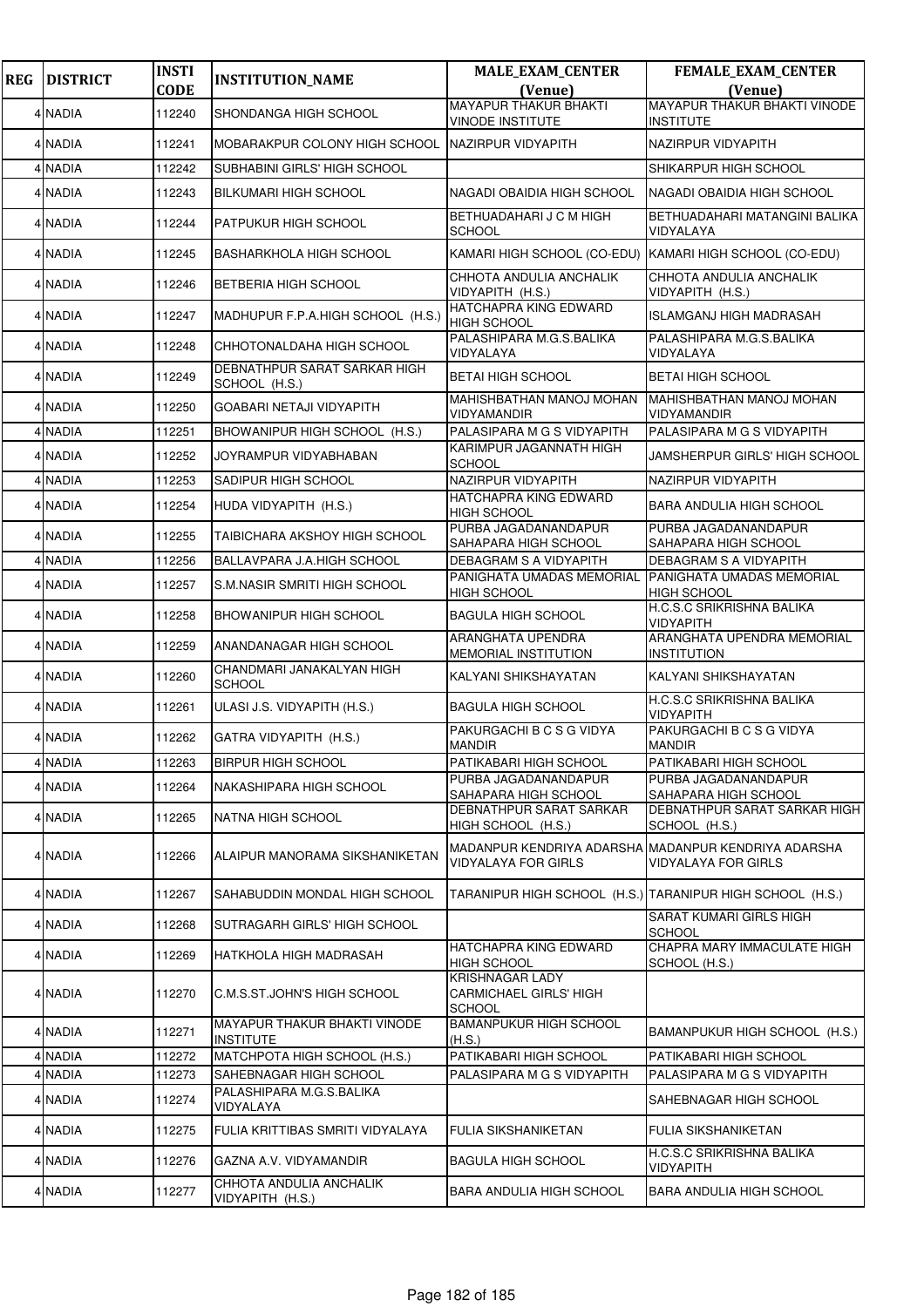| <b>REG</b> | <b>DISTRICT</b> | <b>INSTI</b><br><b>CODE</b> | <b>INSTITUTION_NAME</b>                                 | <b>MALE_EXAM_CENTER</b>                                                                                 | FEMALE_EXAM_CENTER<br>(Venue)                             |
|------------|-----------------|-----------------------------|---------------------------------------------------------|---------------------------------------------------------------------------------------------------------|-----------------------------------------------------------|
|            |                 |                             |                                                         | (Venue)<br><b>MAYAPUR THAKUR BHAKTI</b>                                                                 | MAYAPUR THAKUR BHAKTI VINODE                              |
|            | 4 NADIA         | 112240                      | SHONDANGA HIGH SCHOOL                                   | <b>VINODE INSTITUTE</b>                                                                                 | <b>INSTITUTE</b>                                          |
|            | 4 NADIA         | 112241                      | MOBARAKPUR COLONY HIGH SCHOOL                           | NAZIRPUR VIDYAPITH                                                                                      | NAZIRPUR VIDYAPITH                                        |
|            | 4 NADIA         | 112242                      | SUBHABINI GIRLS' HIGH SCHOOL                            |                                                                                                         | SHIKARPUR HIGH SCHOOL                                     |
|            | 4 NADIA         | 112243                      | <b>BILKUMARI HIGH SCHOOL</b>                            | NAGADI OBAIDIA HIGH SCHOOL                                                                              | NAGADI OBAIDIA HIGH SCHOOL                                |
|            | 4 NADIA         | 112244                      | PATPUKUR HIGH SCHOOL                                    | BETHUADAHARI J C M HIGH<br><b>SCHOOL</b>                                                                | BETHUADAHARI MATANGINI BALIKA<br>VIDYALAYA                |
|            | 4 NADIA         | 112245                      | <b>BASHARKHOLA HIGH SCHOOL</b>                          | KAMARI HIGH SCHOOL (CO-EDU) KAMARI HIGH SCHOOL (CO-EDU)                                                 |                                                           |
|            | 4 NADIA         | 112246                      | BETBERIA HIGH SCHOOL                                    | CHHOTA ANDULIA ANCHALIK<br>VIDYAPITH (H.S.)                                                             | CHHOTA ANDULIA ANCHALIK<br>VIDYAPITH (H.S.)               |
|            | 4 NADIA         | 112247                      | MADHUPUR F.P.A.HIGH SCHOOL (H.S.)                       | HATCHAPRA KING EDWARD<br><b>HIGH SCHOOL</b>                                                             | ISLAMGANJ HIGH MADRASAH                                   |
|            | 4 NADIA         | 112248                      | CHHOTONALDAHA HIGH SCHOOL                               | PALASHIPARA M.G.S.BALIKA<br>VIDYALAYA                                                                   | PALASHIPARA M.G.S.BALIKA<br>VIDYALAYA                     |
|            | 4 NADIA         | 112249                      | DEBNATHPUR SARAT SARKAR HIGH<br>SCHOOL (H.S.)           | <b>BETAI HIGH SCHOOL</b>                                                                                | <b>BETAI HIGH SCHOOL</b>                                  |
|            | 4 NADIA         | 112250                      | GOABARI NETAJI VIDYAPITH                                | MAHISHBATHAN MANOJ MOHAN<br>VIDYAMANDIR                                                                 | <b>MAHISHBATHAN MANOJ MOHAN</b><br>VIDYAMANDIR            |
|            | 4 NADIA         | 112251                      | BHOWANIPUR HIGH SCHOOL (H.S.)                           | PALASIPARA M G S VIDYAPITH                                                                              | PALASIPARA M G S VIDYAPITH                                |
|            | 4 NADIA         | 112252                      | JOYRAMPUR VIDYABHABAN                                   | KARIMPUR JAGANNATH HIGH<br>SCHOOL                                                                       | JAMSHERPUR GIRLS' HIGH SCHOOL                             |
|            | 4 NADIA         | 112253                      | SADIPUR HIGH SCHOOL                                     | NAZIRPUR VIDYAPITH                                                                                      | NAZIRPUR VIDYAPITH                                        |
|            | 4 NADIA         | 112254                      | HUDA VIDYAPITH (H.S.)                                   | HATCHAPRA KING EDWARD<br><b>HIGH SCHOOL</b>                                                             | <b>BARA ANDULIA HIGH SCHOOL</b>                           |
|            | 4 NADIA         | 112255                      | TAIBICHARA AKSHOY HIGH SCHOOL                           | PURBA JAGADANANDAPUR<br>SAHAPARA HIGH SCHOOL                                                            | PURBA JAGADANANDAPUR<br>SAHAPARA HIGH SCHOOL              |
|            | 4 NADIA         | 112256                      | BALLAVPARA J.A.HIGH SCHOOL                              | DEBAGRAM S A VIDYAPITH                                                                                  | DEBAGRAM S A VIDYAPITH                                    |
|            | 4 NADIA         | 112257                      | S.M.NASIR SMRITI HIGH SCHOOL                            | PANIGHATA UMADAS MEMORIAL<br>HIGH SCHOOL                                                                | PANIGHATA UMADAS MEMORIAL<br>HIGH SCHOOL                  |
|            | 4 NADIA         | 112258                      | <b>BHOWANIPUR HIGH SCHOOL</b>                           | <b>BAGULA HIGH SCHOOL</b>                                                                               | H.C.S.C SRIKRISHNA BALIKA<br><b>VIDYAPITH</b>             |
|            | 4 NADIA         | 112259                      | ANANDANAGAR HIGH SCHOOL                                 | ARANGHATA UPENDRA<br>MEMORIAL INSTITUTION                                                               | ARANGHATA UPENDRA MEMORIAL<br>INSTITUTION                 |
|            | 4 NADIA         | 112260                      | CHANDMARI JANAKALYAN HIGH<br><b>SCHOOL</b>              | KALYANI SHIKSHAYATAN                                                                                    | KALYANI SHIKSHAYATAN                                      |
|            | 4 NADIA         | 112261                      | ULASI J.S. VIDYAPITH (H.S.)                             | <b>BAGULA HIGH SCHOOL</b>                                                                               | H.C.S.C SRIKRISHNA BALIKA<br>VIDYAPITH                    |
|            | 4 NADIA         | 112262                      | GATRA VIDYAPITH (H.S.)                                  | PAKURGACHI B C S G VIDYA<br><b>MANDIR</b>                                                               | PAKURGACHI B C S G VIDYA<br><b>MANDIR</b>                 |
|            | 4 NADIA         | 112263                      | <b>BIRPUR HIGH SCHOOL</b>                               | PATIKABARI HIGH SCHOOL                                                                                  | PATIKABARI HIGH SCHOOL                                    |
|            | 4 NADIA         | 112264                      | NAKASHIPARA HIGH SCHOOL                                 | PURBA JAGADANANDAPUR                                                                                    | PURBA JAGADANANDAPUR                                      |
|            | 4 NADIA         | 112265                      | NATNA HIGH SCHOOL                                       | SAHAPARA HIGH SCHOOL<br><b>DEBNATHPUR SARAT SARKAR</b>                                                  | SAHAPARA HIGH SCHOOL<br>DEBNATHPUR SARAT SARKAR HIGH      |
|            | 4 NADIA         | 112266                      | ALAIPUR MANORAMA SIKSHANIKETAN                          | HIGH SCHOOL (H.S.)<br>MADANPUR KENDRIYA ADARSHA MADANPUR KENDRIYA ADARSHA<br><b>VIDYALAYA FOR GIRLS</b> | SCHOOL (H.S.)<br>VIDYALAYA FOR GIRLS                      |
|            | 4 NADIA         | 112267                      | SAHABUDDIN MONDAL HIGH SCHOOL                           |                                                                                                         | TARANIPUR HIGH SCHOOL (H.S.) TARANIPUR HIGH SCHOOL (H.S.) |
|            | 4 NADIA         | 112268                      | SUTRAGARH GIRLS' HIGH SCHOOL                            |                                                                                                         | SARAT KUMARI GIRLS HIGH<br>SCHOOL                         |
|            | 4 NADIA         | 112269                      | HATKHOLA HIGH MADRASAH                                  | HATCHAPRA KING EDWARD<br><b>HIGH SCHOOL</b>                                                             | CHAPRA MARY IMMACULATE HIGH<br>SCHOOL (H.S.)              |
|            | 4 NADIA         | 112270                      | C.M.S.ST.JOHN'S HIGH SCHOOL                             | <b>KRISHNAGAR LADY</b><br><b>CARMICHAEL GIRLS' HIGH</b><br><b>SCHOOL</b>                                |                                                           |
|            | 4 NADIA         | 112271                      | <b>MAYAPUR THAKUR BHAKTI VINODE</b><br><b>INSTITUTE</b> | <b>BAMANPUKUR HIGH SCHOOL</b><br>(H.S.)                                                                 | BAMANPUKUR HIGH SCHOOL (H.S.)                             |
|            | 4 NADIA         | 112272                      | MATCHPOTA HIGH SCHOOL (H.S.)                            | PATIKABARI HIGH SCHOOL                                                                                  | PATIKABARI HIGH SCHOOL                                    |
|            | 4 NADIA         | 112273                      | SAHEBNAGAR HIGH SCHOOL                                  | PALASIPARA M G S VIDYAPITH                                                                              | PALASIPARA M G S VIDYAPITH                                |
|            | 4 NADIA         | 112274                      | PALASHIPARA M.G.S.BALIKA<br>VIDYALAYA                   |                                                                                                         | SAHEBNAGAR HIGH SCHOOL                                    |
|            | 4 NADIA         | 112275                      | FULIA KRITTIBAS SMRITI VIDYALAYA                        | FULIA SIKSHANIKETAN                                                                                     | FULIA SIKSHANIKETAN                                       |
|            | 4 NADIA         | 112276                      | GAZNA A.V. VIDYAMANDIR                                  | <b>BAGULA HIGH SCHOOL</b>                                                                               | H.C.S.C SRIKRISHNA BALIKA<br>VIDYAPITH                    |
|            | 4 NADIA         | 112277                      | CHHOTA ANDULIA ANCHALIK<br>VIDYAPITH (H.S.)             | <b>BARA ANDULIA HIGH SCHOOL</b>                                                                         | <b>BARA ANDULIA HIGH SCHOOL</b>                           |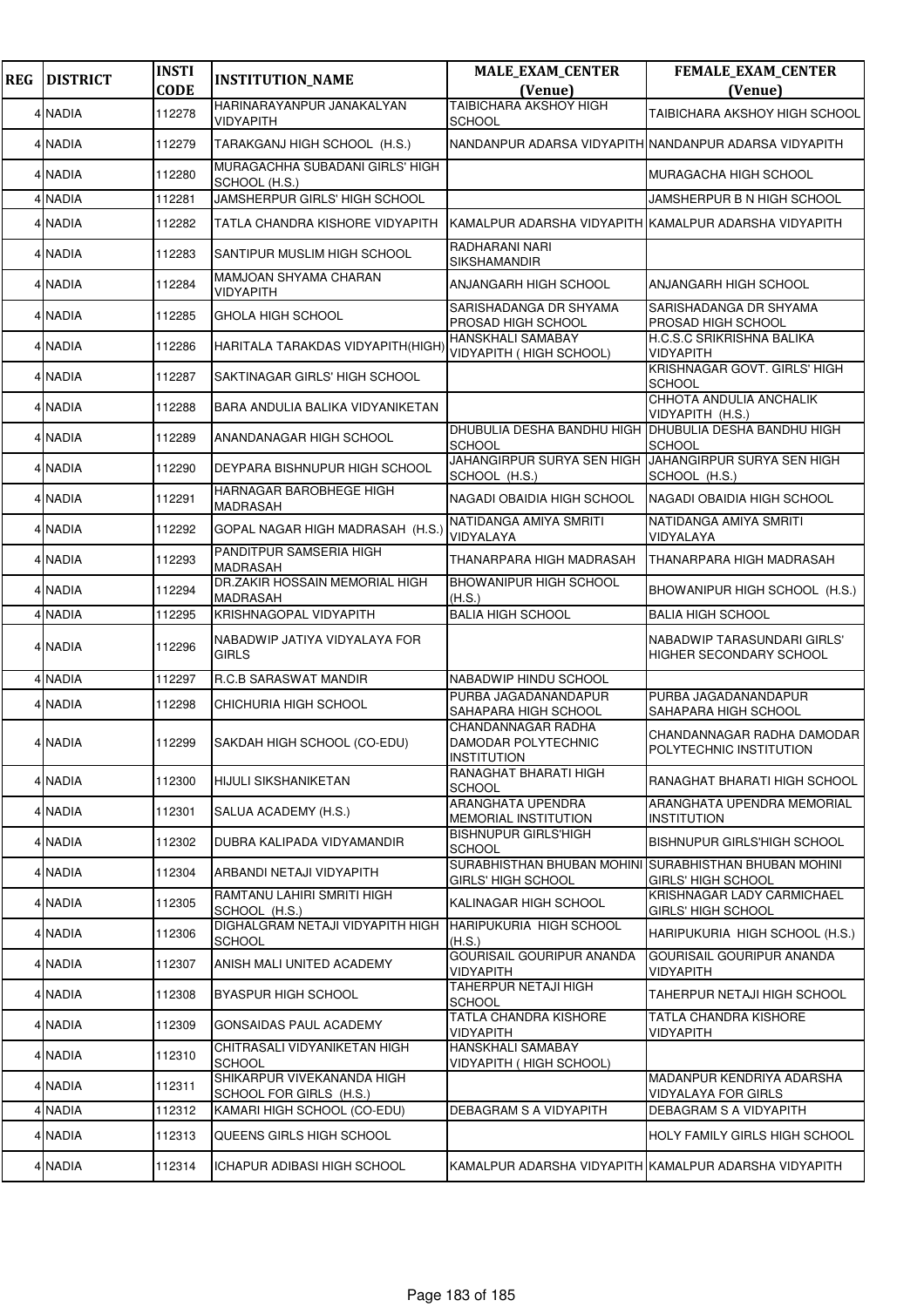| <b>REG</b> | <b>DISTRICT</b> | <b>INSTI</b><br><b>CODE</b> | <b>INSTITUTION_NAME</b>                               | <b>MALE_EXAM_CENTER</b><br>(Venue)                                     | <b>FEMALE_EXAM_CENTER</b><br>(Venue)                           |
|------------|-----------------|-----------------------------|-------------------------------------------------------|------------------------------------------------------------------------|----------------------------------------------------------------|
|            | 4 NADIA         | 112278                      | HARINARAYANPUR JANAKALYAN<br>VIDYAPITH                | <b>TAIBICHARA AKSHOY HIGH</b><br><b>SCHOOL</b>                         | <b>TAIBICHARA AKSHOY HIGH SCHOOL</b>                           |
|            | 4 NADIA         | 112279                      | TARAKGANJ HIGH SCHOOL (H.S.)                          | NANDANPUR ADARSA VIDYAPITH NANDANPUR ADARSA VIDYAPITH                  |                                                                |
|            | 4 NADIA         | 112280                      | MURAGACHHA SUBADANI GIRLS' HIGH<br>SCHOOL (H.S.)      |                                                                        | MURAGACHA HIGH SCHOOL                                          |
|            | 4 NADIA         | 112281                      | JAMSHERPUR GIRLS' HIGH SCHOOL                         |                                                                        | JAMSHERPUR B N HIGH SCHOOL                                     |
|            | 4 NADIA         | 112282                      | TATLA CHANDRA KISHORE VIDYAPITH                       | KAMALPUR ADARSHA VIDYAPITH KAMALPUR ADARSHA VIDYAPITH                  |                                                                |
|            | 4 NADIA         | 112283                      | SANTIPUR MUSLIM HIGH SCHOOL                           | <b>RADHARANI NARI</b><br>SIKSHAMANDIR                                  |                                                                |
|            | 4 NADIA         | 112284                      | MAMJOAN SHYAMA CHARAN<br>VIDYAPITH                    | ANJANGARH HIGH SCHOOL                                                  | ANJANGARH HIGH SCHOOL                                          |
|            | 4 NADIA         | 112285                      | GHOLA HIGH SCHOOL                                     | SARISHADANGA DR SHYAMA<br>PROSAD HIGH SCHOOL                           | SARISHADANGA DR SHYAMA<br><b>PROSAD HIGH SCHOOL</b>            |
|            | 4 NADIA         | 112286                      | HARITALA TARAKDAS VIDYAPITH(HIGH)                     | <b>HANSKHALI SAMABAY</b><br>VIDYAPITH ( HIGH SCHOOL)                   | H.C.S.C SRIKRISHNA BALIKA<br><b>VIDYAPITH</b>                  |
|            | 4 NADIA         | 112287                      | SAKTINAGAR GIRLS' HIGH SCHOOL                         |                                                                        | KRISHNAGAR GOVT. GIRLS' HIGH<br><b>SCHOOL</b>                  |
|            | 4 NADIA         | 112288                      | BARA ANDULIA BALIKA VIDYANIKETAN                      |                                                                        | CHHOTA ANDULIA ANCHALIK<br>VIDYAPITH (H.S.)                    |
|            | 4 NADIA         | 112289                      | ANANDANAGAR HIGH SCHOOL                               | DHUBULIA DESHA BANDHU HIGH DHUBULIA DESHA BANDHU HIGH<br><b>SCHOOL</b> | SCHOOL                                                         |
|            | 4 NADIA         | 112290                      | DEYPARA BISHNUPUR HIGH SCHOOL                         | JAHANGIRPUR SURYA SEN HIGH<br>SCHOOL (H.S.)                            | JAHANGIRPUR SURYA SEN HIGH<br>SCHOOL (H.S.)                    |
|            | 4 NADIA         | 112291                      | HARNAGAR BAROBHEGE HIGH<br><b>MADRASAH</b>            | NAGADI OBAIDIA HIGH SCHOOL                                             | NAGADI OBAIDIA HIGH SCHOOL                                     |
|            | 4 NADIA         | 112292                      | GOPAL NAGAR HIGH MADRASAH (H.S.)                      | NATIDANGA AMIYA SMRITI<br>VIDYALAYA                                    | NATIDANGA AMIYA SMRITI<br>VIDYALAYA                            |
|            | 4 NADIA         | 112293                      | PANDITPUR SAMSERIA HIGH<br><b>MADRASAH</b>            | THANARPARA HIGH MADRASAH                                               | THANARPARA HIGH MADRASAH                                       |
|            | 4 NADIA         | 112294                      | DR.ZAKIR HOSSAIN MEMORIAL HIGH<br>MADRASAH            | <b>BHOWANIPUR HIGH SCHOOL</b><br>(H.S.)                                | BHOWANIPUR HIGH SCHOOL (H.S.)                                  |
|            | 4 NADIA         | 112295                      | KRISHNAGOPAL VIDYAPITH                                | <b>BALIA HIGH SCHOOL</b>                                               | <b>BALIA HIGH SCHOOL</b>                                       |
|            | 4 NADIA         | 112296                      | NABADWIP JATIYA VIDYALAYA FOR<br><b>GIRLS</b>         |                                                                        | NABADWIP TARASUNDARI GIRLS'<br>HIGHER SECONDARY SCHOOL         |
|            | 4 NADIA         | 112297                      | R.C.B SARASWAT MANDIR                                 | <b>NABADWIP HINDU SCHOOL</b>                                           |                                                                |
|            | 4 NADIA         | 112298                      | CHICHURIA HIGH SCHOOL                                 | PURBA JAGADANANDAPUR<br>SAHAPARA HIGH SCHOOL                           | PURBA JAGADANANDAPUR<br>SAHAPARA HIGH SCHOOL                   |
|            | 4 NADIA         | 112299                      | SAKDAH HIGH SCHOOL (CO-EDU)                           | CHANDANNAGAR RADHA<br>DAMODAR POLYTECHNIC<br><b>INSTITUTION</b>        | CHANDANNAGAR RADHA DAMODAR<br>POLYTECHNIC INSTITUTION          |
|            | 4 NADIA         | 112300                      | <b>HIJULI SIKSHANIKETAN</b>                           | RANAGHAT BHARATI HIGH<br>SCHOOL                                        | RANAGHAT BHARATI HIGH SCHOOL                                   |
|            | 4 NADIA         | 112301                      | SALUA ACADEMY (H.S.)                                  | ARANGHATA UPENDRA<br>MEMORIAL INSTITUTION                              | ARANGHATA UPENDRA MEMORIAL<br><b>INSTITUTION</b>               |
|            | 4 NADIA         | 112302                      | DUBRA KALIPADA VIDYAMANDIR                            | <b>BISHNUPUR GIRLS'HIGH</b><br><b>SCHOOL</b>                           | <b>BISHNUPUR GIRLS'HIGH SCHOOL</b>                             |
|            | 4 NADIA         | 112304                      | ARBANDI NETAJI VIDYAPITH                              | SURABHISTHAN BHUBAN MOHINI<br><b>GIRLS' HIGH SCHOOL</b>                | <b>SURABHISTHAN BHUBAN MOHINI</b><br><b>GIRLS' HIGH SCHOOL</b> |
|            | 4 NADIA         | 112305                      | RAMTANU LAHIRI SMRITI HIGH<br>SCHOOL (H.S.)           | KALINAGAR HIGH SCHOOL                                                  | KRISHNAGAR LADY CARMICHAEL<br><b>GIRLS' HIGH SCHOOL</b>        |
|            | 4 NADIA         | 112306                      | DIGHALGRAM NETAJI VIDYAPITH HIGH<br><b>SCHOOL</b>     | HARIPUKURIA HIGH SCHOOL<br>(H.S.)                                      | HARIPUKURIA HIGH SCHOOL (H.S.)                                 |
|            | 4 NADIA         | 112307                      | ANISH MALI UNITED ACADEMY                             | <b>GOURISAIL GOURIPUR ANANDA</b><br>VIDYAPITH                          | GOURISAIL GOURIPUR ANANDA<br><b>VIDYAPITH</b>                  |
|            | 4 NADIA         | 112308                      | <b>BYASPUR HIGH SCHOOL</b>                            | TAHERPUR NETAJI HIGH<br>SCHOOL                                         | TAHERPUR NETAJI HIGH SCHOOL                                    |
|            | 4 NADIA         | 112309                      | GONSAIDAS PAUL ACADEMY                                | TATLA CHANDRA KISHORE<br>VIDYAPITH                                     | <b>TATLA CHANDRA KISHORE</b><br><b>VIDYAPITH</b>               |
|            | 4 NADIA         | 112310                      | CHITRASALI VIDYANIKETAN HIGH<br><b>SCHOOL</b>         | <b>HANSKHALI SAMABAY</b><br>VIDYAPITH ( HIGH SCHOOL)                   |                                                                |
|            | 4 NADIA         | 112311                      | SHIKARPUR VIVEKANANDA HIGH<br>SCHOOL FOR GIRLS (H.S.) |                                                                        | MADANPUR KENDRIYA ADARSHA<br><b>VIDYALAYA FOR GIRLS</b>        |
|            | 4 NADIA         | 112312                      | KAMARI HIGH SCHOOL (CO-EDU)                           | DEBAGRAM S A VIDYAPITH                                                 | DEBAGRAM S A VIDYAPITH                                         |
|            | 4 NADIA         | 112313                      | QUEENS GIRLS HIGH SCHOOL                              |                                                                        | HOLY FAMILY GIRLS HIGH SCHOOL                                  |
|            | 4 NADIA         | 112314                      | ICHAPUR ADIBASI HIGH SCHOOL                           | KAMALPUR ADARSHA VIDYAPITH KAMALPUR ADARSHA VIDYAPITH                  |                                                                |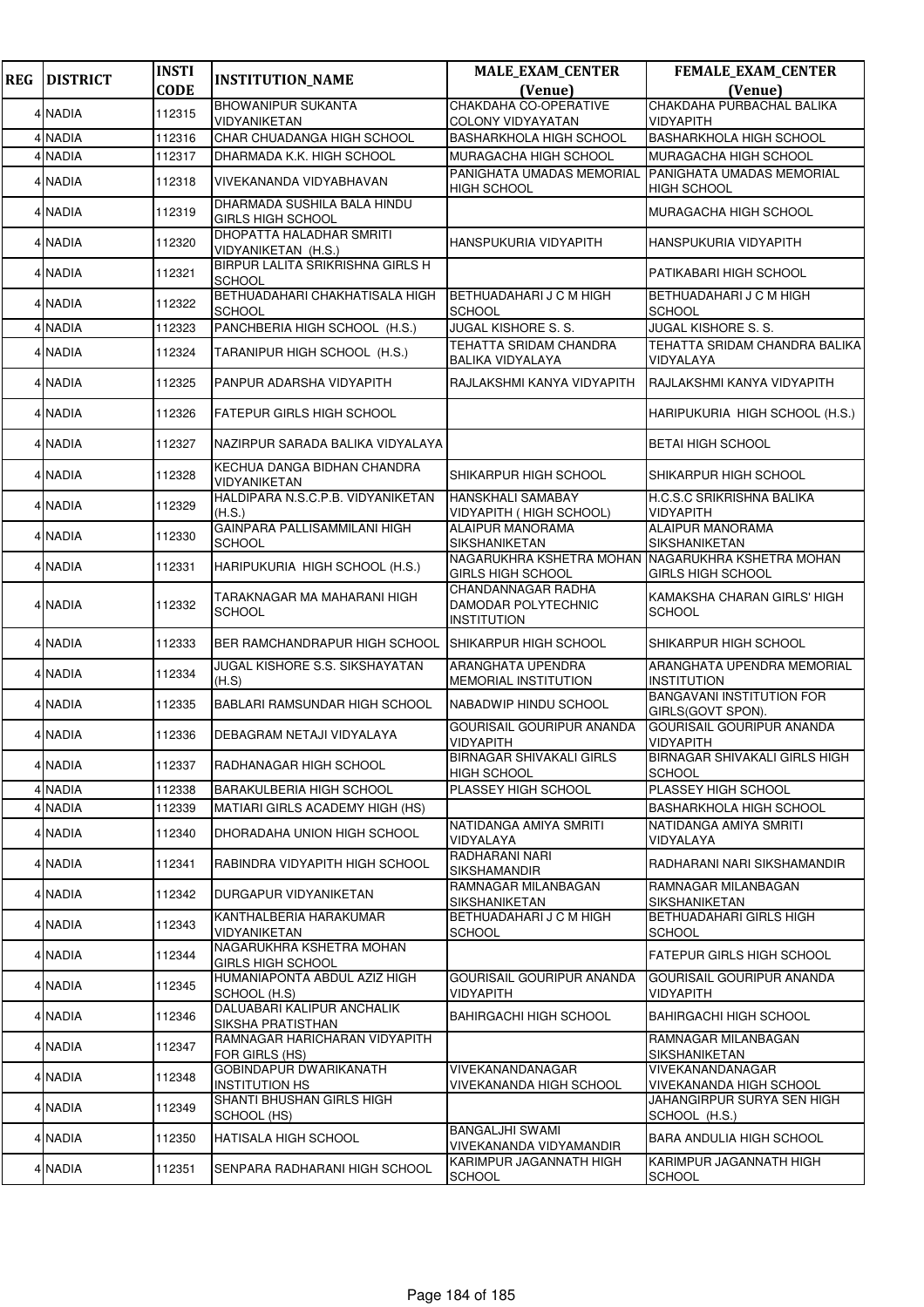| <b>REG</b> | <b>DISTRICT</b> | <b>INSTI</b> | <b>INSTITUTION_NAME</b>                                 | <b>MALE_EXAM_CENTER</b>                                         | <b>FEMALE_EXAM_CENTER</b>                             |
|------------|-----------------|--------------|---------------------------------------------------------|-----------------------------------------------------------------|-------------------------------------------------------|
|            |                 | <b>CODE</b>  |                                                         | (Venue)<br>CHAKDAHA CO-OPERATIVE                                | (Venue)                                               |
|            | 4 NADIA         | 112315       | <b>BHOWANIPUR SUKANTA</b><br>VIDYANIKETAN               | <b>COLONY VIDYAYATAN</b>                                        | CHAKDAHA PURBACHAL BALIKA<br><b>VIDYAPITH</b>         |
|            | 4 NADIA         | 112316       | CHAR CHUADANGA HIGH SCHOOL                              | <b>BASHARKHOLA HIGH SCHOOL</b>                                  | <b>BASHARKHOLA HIGH SCHOOL</b>                        |
|            | 4 NADIA         | 112317       | DHARMADA K.K. HIGH SCHOOL                               | <b>MURAGACHA HIGH SCHOOL</b>                                    | MURAGACHA HIGH SCHOOL                                 |
|            | 4 NADIA         | 112318       | VIVEKANANDA VIDYABHAVAN                                 | PANIGHATA UMADAS MEMORIAL<br><b>HIGH SCHOOL</b>                 | PANIGHATA UMADAS MEMORIAL<br><b>HIGH SCHOOL</b>       |
|            | 4 NADIA         | 112319       | DHARMADA SUSHILA BALA HINDU<br><b>GIRLS HIGH SCHOOL</b> |                                                                 | MURAGACHA HIGH SCHOOL                                 |
|            | 4 NADIA         | 112320       | DHOPATTA HALADHAR SMRITI<br>VIDYANIKETAN (H.S.)         | HANSPUKURIA VIDYAPITH                                           | HANSPUKURIA VIDYAPITH                                 |
|            | 4 NADIA         | 112321       | BIRPUR LALITA SRIKRISHNA GIRLS H<br><b>SCHOOL</b>       |                                                                 | PATIKABARI HIGH SCHOOL                                |
|            | 4 NADIA         | 112322       | BETHUADAHARI CHAKHATISALA HIGH<br><b>SCHOOL</b>         | BETHUADAHARI J C M HIGH<br><b>SCHOOL</b>                        | BETHUADAHARI J C M HIGH<br><b>SCHOOL</b>              |
|            | 4 NADIA         | 112323       | PANCHBERIA HIGH SCHOOL (H.S.)                           | <b>JUGAL KISHORE S. S.</b>                                      | <b>JUGAL KISHORE S. S.</b>                            |
|            | 4 NADIA         | 112324       | TARANIPUR HIGH SCHOOL (H.S.)                            | <b>TEHATTA SRIDAM CHANDRA</b><br><b>BALIKA VIDYALAYA</b>        | TEHATTA SRIDAM CHANDRA BALIKA<br>VIDYALAYA            |
|            | 4 NADIA         | 112325       | PANPUR ADARSHA VIDYAPITH                                | RAJLAKSHMI KANYA VIDYAPITH                                      | RAJLAKSHMI KANYA VIDYAPITH                            |
|            | 4 NADIA         | 112326       | <b>FATEPUR GIRLS HIGH SCHOOL</b>                        |                                                                 | HARIPUKURIA HIGH SCHOOL (H.S.)                        |
|            | 4 NADIA         | 112327       | NAZIRPUR SARADA BALIKA VIDYALAYA                        |                                                                 | <b>BETAI HIGH SCHOOL</b>                              |
|            | 4 NADIA         | 112328       | KECHUA DANGA BIDHAN CHANDRA<br>VIDYANIKETAN             | SHIKARPUR HIGH SCHOOL                                           | SHIKARPUR HIGH SCHOOL                                 |
|            | 4 NADIA         | 112329       | HALDIPARA N.S.C.P.B. VIDYANIKETAN<br>(H.S.)             | <b>HANSKHALI SAMABAY</b><br>VIDYAPITH (HIGH SCHOOL)             | H.C.S.C SRIKRISHNA BALIKA<br><b>VIDYAPITH</b>         |
|            | 4 NADIA         | 112330       | GAINPARA PALLISAMMILANI HIGH<br><b>SCHOOL</b>           | <b>ALAIPUR MANORAMA</b><br><b>SIKSHANIKETAN</b>                 | <b>ALAIPUR MANORAMA</b><br>SIKSHANIKETAN              |
|            | 4 NADIA         | 112331       | HARIPUKURIA HIGH SCHOOL (H.S.)                          | NAGARUKHRA KSHETRA MOHAN<br><b>GIRLS HIGH SCHOOL</b>            | NAGARUKHRA KSHETRA MOHAN<br><b>GIRLS HIGH SCHOOL</b>  |
|            | 4 NADIA         | 112332       | TARAKNAGAR MA MAHARANI HIGH<br><b>SCHOOL</b>            | CHANDANNAGAR RADHA<br>DAMODAR POLYTECHNIC<br><b>INSTITUTION</b> | KAMAKSHA CHARAN GIRLS' HIGH<br><b>SCHOOL</b>          |
|            | 4 NADIA         | 112333       | BER RAMCHANDRAPUR HIGH SCHOOL                           | SHIKARPUR HIGH SCHOOL                                           | SHIKARPUR HIGH SCHOOL                                 |
|            | 4 NADIA         | 112334       | <b>JUGAL KISHORE S.S. SIKSHAYATAN</b><br>(H.S)          | ARANGHATA UPENDRA<br><b>MEMORIAL INSTITUTION</b>                | ARANGHATA UPENDRA MEMORIAL<br><b>INSTITUTION</b>      |
|            | 4 NADIA         | 112335       | <b>BABLARI RAMSUNDAR HIGH SCHOOL</b>                    | NABADWIP HINDU SCHOOL                                           | <b>BANGAVANI INSTITUTION FOR</b><br>GIRLS(GOVT SPON). |
|            | 4 NADIA         | 112336       | DEBAGRAM NETAJI VIDYALAYA                               | GOURISAIL GOURIPUR ANANDA<br><b>VIDYAPITH</b>                   | <b>GOURISAIL GOURIPUR ANANDA</b><br><b>VIDYAPITH</b>  |
|            | 4 NADIA         | 112337       | RADHANAGAR HIGH SCHOOL                                  | <b>BIRNAGAR SHIVAKALI GIRLS</b><br><b>HIGH SCHOOL</b>           | BIRNAGAR SHIVAKALI GIRLS HIGH<br><b>SCHOOL</b>        |
|            | 4 NADIA         | 112338       | BARAKULBERIA HIGH SCHOOL                                | PLASSEY HIGH SCHOOL                                             | PLASSEY HIGH SCHOOL                                   |
|            | 4 NADIA         | 112339       | MATIARI GIRLS ACADEMY HIGH (HS)                         |                                                                 | <b>BASHARKHOLA HIGH SCHOOL</b>                        |
|            | 4 NADIA         | 112340       | DHORADAHA UNION HIGH SCHOOL                             | NATIDANGA AMIYA SMRITI<br>VIDYALAYA                             | NATIDANGA AMIYA SMRITI<br>VIDYALAYA                   |
|            | 4 NADIA         | 112341       | RABINDRA VIDYAPITH HIGH SCHOOL                          | RADHARANI NARI<br><b>SIKSHAMANDIR</b>                           | RADHARANI NARI SIKSHAMANDIR                           |
|            | 4 NADIA         | 112342       | DURGAPUR VIDYANIKETAN                                   | RAMNAGAR MILANBAGAN<br><b>SIKSHANIKETAN</b>                     | RAMNAGAR MILANBAGAN<br>SIKSHANIKETAN                  |
|            | 4 NADIA         | 112343       | KANTHALBERIA HARAKUMAR<br>VIDYANIKETAN                  | BETHUADAHARI J C M HIGH<br><b>SCHOOL</b>                        | <b>BETHUADAHARI GIRLS HIGH</b><br><b>SCHOOL</b>       |
|            | 4 NADIA         | 112344       | NAGARUKHRA KSHETRA MOHAN<br>GIRLS HIGH SCHOOL           |                                                                 | <b>FATEPUR GIRLS HIGH SCHOOL</b>                      |
|            | 4 NADIA         | 112345       | HUMANIAPONTA ABDUL AZIZ HIGH<br>SCHOOL (H.S)            | GOURISAIL GOURIPUR ANANDA<br><b>VIDYAPITH</b>                   | GOURISAIL GOURIPUR ANANDA<br>VIDYAPITH                |
|            | 4 NADIA         | 112346       | DALUABARI KALIPUR ANCHALIK<br>SIKSHA PRATISTHAN         | <b>BAHIRGACHI HIGH SCHOOL</b>                                   | <b>BAHIRGACHI HIGH SCHOOL</b>                         |
|            | 4 NADIA         | 112347       | RAMNAGAR HARICHARAN VIDYAPITH<br>FOR GIRLS (HS)         |                                                                 | RAMNAGAR MILANBAGAN<br>SIKSHANIKETAN                  |
|            | 4 NADIA         | 112348       | <b>GOBINDAPUR DWARIKANATH</b><br><b>INSTITUTION HS</b>  | VIVEKANANDANAGAR<br>VIVEKANANDA HIGH SCHOOL                     | VIVEKANANDANAGAR<br>VIVEKANANDA HIGH SCHOOL           |
|            | 4 NADIA         | 112349       | SHANTI BHUSHAN GIRLS HIGH<br>SCHOOL (HS)                |                                                                 | JAHANGIRPUR SURYA SEN HIGH<br>SCHOOL (H.S.)           |
|            | 4 NADIA         | 112350       | HATISALA HIGH SCHOOL                                    | <b>BANGALJHI SWAMI</b><br>VIVEKANANDA VIDYAMANDIR               | <b>BARA ANDULIA HIGH SCHOOL</b>                       |
|            | 4 NADIA         | 112351       | SENPARA RADHARANI HIGH SCHOOL                           | KARIMPUR JAGANNATH HIGH<br><b>SCHOOL</b>                        | KARIMPUR JAGANNATH HIGH<br><b>SCHOOL</b>              |